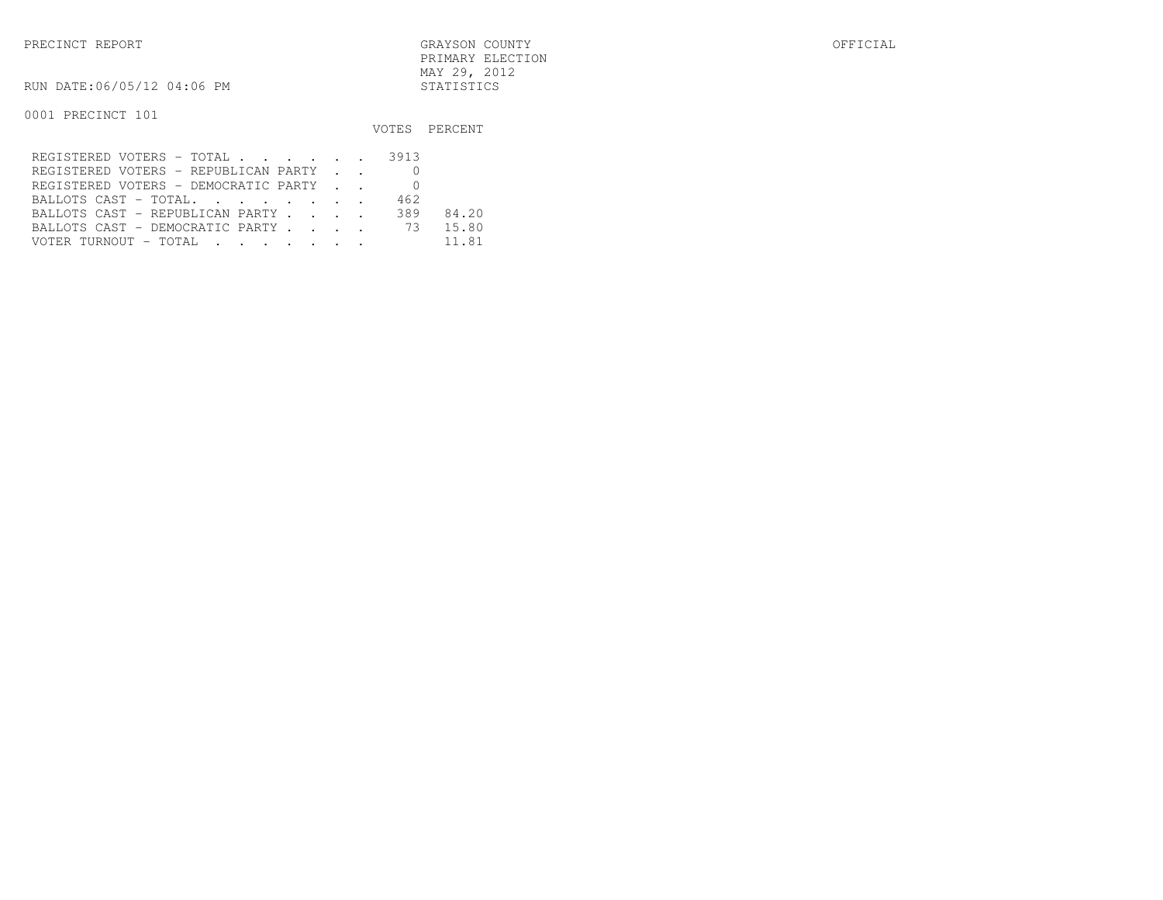| PRECINCT REPORT            | GRAYSON COUNTY   | OFFICIAL |
|----------------------------|------------------|----------|
|                            | PRIMARY ELECTION |          |
|                            | MAY 29, 2012     |          |
| RUN DATE:06/05/12 04:06 PM | STATISTICS       |          |

0001 PRECINCT 101

#### VOTES PERCENT

| REGISTERED VOTERS - TOTAL 3913         |     |       |
|----------------------------------------|-----|-------|
| REGISTERED VOTERS - REPUBLICAN PARTY   |     |       |
| REGISTERED VOTERS - DEMOCRATIC PARTY 0 |     |       |
| BALLOTS CAST - TOTAL                   | 462 |       |
| BALLOTS CAST - REPUBLICAN PARTY        | 389 | 84.20 |
| BALLOTS CAST - DEMOCRATIC PARTY 73     |     | 15.80 |
| VOTER TURNOUT - TOTAL                  |     | 11.81 |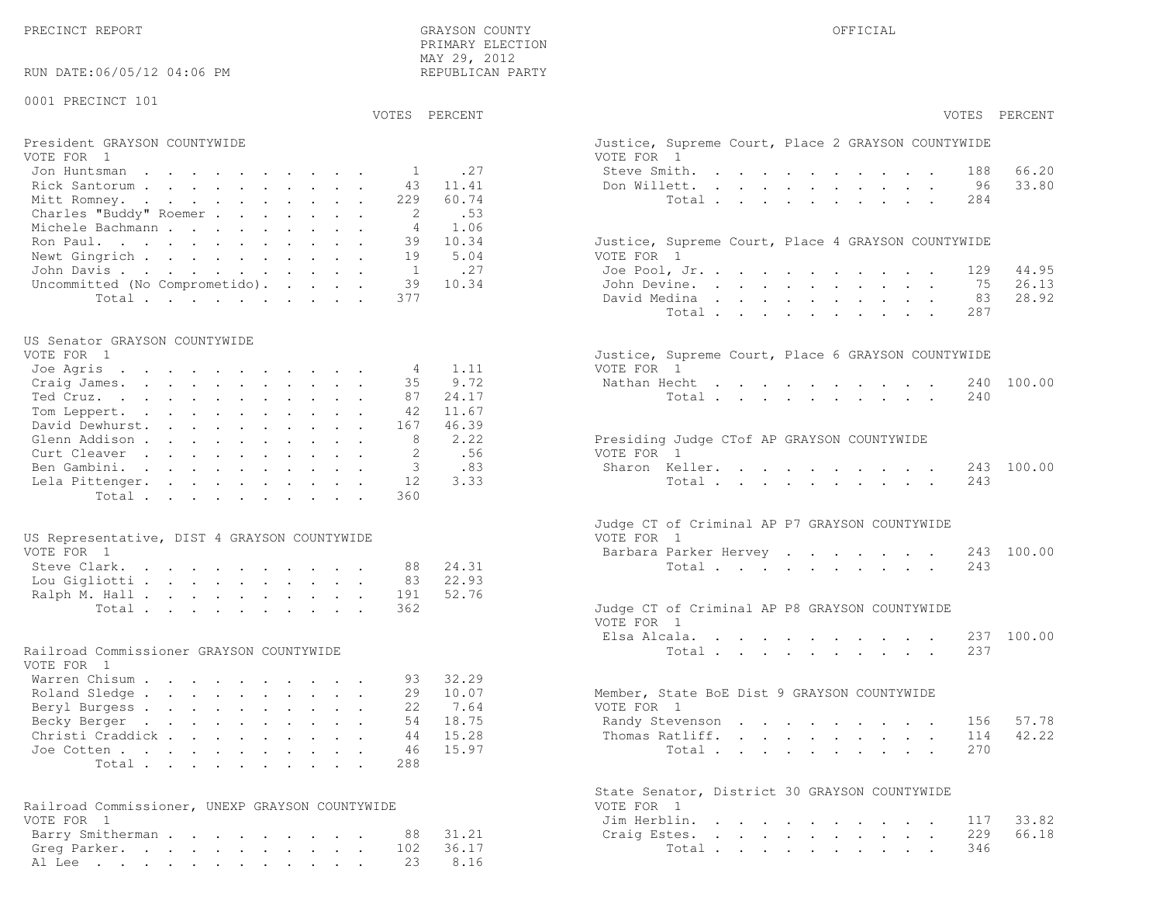PRECINCT REPORT OF THE SERVICE OF THE GRAYSON COUNTY OF THE GRAYSON COUNTY OF THE GRAYSON OF THE GRAYSON COUNTY

RUN DATE:06/05/12 04:06 PM

#### 0001 PRECINCT 101

 PRIMARY ELECTION MAY 29, 2012REPUBLICAN PARTY

# President GRAYSON COUNTYWIDE Justice, Superior Court, Place 2 Grayson, Superior Court, Place 2 Grayson, Place 2 Grayson, Place 2 Grayson, Place 2 Grayson, Place 2 Grayson, Place 2 Grayson, Place 2 Grayson, Place 2 Grayson,

| VOTE FOR 1                              | VOTE FOR 1                                         |
|-----------------------------------------|----------------------------------------------------|
| Jon Huntsman $\ldots$ 1 .27             | 66.20<br>Steve Smith. 188                          |
| Rick Santorum 43 11.41                  | 33.80<br>Don Willett. 96                           |
| Mitt Romney. 229 60.74                  | Total 284                                          |
| Charles "Buddy" Roemer 2 .53            |                                                    |
| Michele Bachmann 4 1.06                 |                                                    |
| Ron Paul. 39 10.34                      | Justice, Supreme Court, Place 4 GRAYSON COUNTYWIDE |
| Newt Gingrich 19 5.04                   | VOTE FOR 1                                         |
| John Davis 1 .27                        | Joe Pool, Jr. 129 44.95                            |
| Uncommitted (No Comprometido). 39 10.34 | John Devine. 75 26.13                              |
| Total 377                               | David Medina 83 28.92                              |

#### US Senator GRAYSON COUNTYWIDE

| VUIL FUK I                |  |  |  |  |  | JUSLICE, SUPPEME COUPL, PIACE 6 GRAISON COUNTINIDE |  |
|---------------------------|--|--|--|--|--|----------------------------------------------------|--|
| Joe Agris 4 1.11          |  |  |  |  |  | VOTE FOR 1                                         |  |
| Craig James. 35 9.72      |  |  |  |  |  | Nathan Hecht 240 100.00                            |  |
| Ted Cruz. 87 24.17        |  |  |  |  |  | Total 240                                          |  |
| Tom Leppert. 42 11.67     |  |  |  |  |  |                                                    |  |
| David Dewhurst. 167 46.39 |  |  |  |  |  |                                                    |  |
| Glenn Addison 8 2.22      |  |  |  |  |  | Presiding Judge CTof AP GRAYSON COUNTYWIDE         |  |
| Curt Cleaver 2 .56        |  |  |  |  |  | VOTE FOR 1                                         |  |
| Ben Gambini. 3 .83        |  |  |  |  |  | Sharon Keller. 243 100.00                          |  |
| Lela Pittenger. 12 3.33   |  |  |  |  |  | Total 243                                          |  |
| Total 360                 |  |  |  |  |  |                                                    |  |
|                           |  |  |  |  |  |                                                    |  |

| US Representative, DIST 4 GRAYSON COUNTYWIDE | VOTE FOR 1                                    |
|----------------------------------------------|-----------------------------------------------|
| VOTE FOR 1                                   | Barbara Parker Hervey 243 100.00              |
| Steve Clark. 88 24.31                        | Total 243                                     |
| Lou Gigliotti 83 22.93                       |                                               |
| Ralph M. Hall 191 52.76                      |                                               |
| Total 362                                    | Judge CT of Criminal AP P8 GRAYSON COUNTYWIDE |

#### Railroad Commissioner GRAYSON COUNTYWIDE

| VOTE FOR 1                |  |  |  |  |  |                                             |
|---------------------------|--|--|--|--|--|---------------------------------------------|
| Warren Chisum 93 32.29    |  |  |  |  |  |                                             |
| Roland Sledge 29 10.07    |  |  |  |  |  | Member, State BoE Dist 9 GRAYSON COUNTYWIDE |
| Beryl Burgess 22 7.64     |  |  |  |  |  | VOTE FOR 1                                  |
| Becky Berger 54 18.75     |  |  |  |  |  | Randy Stevenson 156 57.78                   |
| Christi Craddick 44 15.28 |  |  |  |  |  | Thomas Ratliff. 114 42.22                   |
| Joe Cotten 46 15.97       |  |  |  |  |  | Total 270                                   |
| Total 288                 |  |  |  |  |  |                                             |

| Railroad Commissioner, UNEXP GRAYSON COUNTYWIDE | VOTE FOR 1             |
|-------------------------------------------------|------------------------|
| VOTE FOR 1                                      | Jim Herblin. 117 33.82 |
| Barry Smitherman 88 31.21                       | Craig Estes. 229 66.18 |
| Greg Parker. 102 36.17                          | Total 346              |
| Al Lee 23 8.16                                  |                        |

|                                                 |                | VOTES PERCENT |                                                                                                                 | VOTES PERCENT |
|-------------------------------------------------|----------------|---------------|-----------------------------------------------------------------------------------------------------------------|---------------|
| President GRAYSON COUNTYWIDE<br>VOTE FOR 1      |                |               | Justice, Supreme Court, Place 2 GRAYSON COUNTYWIDE<br>VOTE FOR 1                                                |               |
| Jon Huntsman                                    | 1              | .27           | Steve Smith.<br>$\mathbf{r}$ , and $\mathbf{r}$ , and $\mathbf{r}$ , and $\mathbf{r}$ , and $\mathbf{r}$<br>188 | 66.20         |
| Rick Santorum                                   | 43             | 11.41         | Don Willett.<br>96                                                                                              | 33.80         |
| Mitt Romney.                                    | 229            | 60.74         | Total<br>284                                                                                                    |               |
| Charles "Buddy" Roemer                          | 2              | .53           |                                                                                                                 |               |
| Michele Bachmann                                | $\overline{4}$ | 1.06          |                                                                                                                 |               |
| Ron Paul.                                       | 39             | 10.34         | Justice, Supreme Court, Place 4 GRAYSON COUNTYWIDE                                                              |               |
| Newt Gingrich                                   | 19             | 5.04          | VOTE FOR 1                                                                                                      |               |
| John Davis                                      | <sup>1</sup>   | .27           | Joe Pool, Jr.<br>129                                                                                            | 44.95         |
| Uncommitted (No Comprometido).                  | 39             | 10.34         | John Devine.<br>75                                                                                              | 26.13         |
| Total                                           | 377            |               | David Medina<br>83                                                                                              | 28.92         |
|                                                 |                |               | Total<br>287                                                                                                    |               |
| US Senator GRAYSON COUNTYWIDE                   |                |               |                                                                                                                 |               |
| VOTE FOR 1                                      |                |               | Justice, Supreme Court, Place 6 GRAYSON COUNTYWIDE                                                              |               |
| Joe Agris                                       | 4              | 1.11          | VOTE FOR 1                                                                                                      |               |
| Craig James.                                    | 35             | 9.72          | Nathan Hecht<br>the contract of the contract of the contract of                                                 | 240 100.00    |
| Ted Cruz.                                       | 87             | 24.17         | Total<br>240                                                                                                    |               |
| Tom Leppert.                                    | 42             | 11.67         |                                                                                                                 |               |
| David Dewhurst.                                 | 167            | 46.39         |                                                                                                                 |               |
| Glenn Addison                                   | 8              | 2.22          | Presiding Judge CTof AP GRAYSON COUNTYWIDE                                                                      |               |
| Curt Cleaver                                    | 2              | .56           | VOTE FOR 1                                                                                                      |               |
| Ben Gambini.                                    | 3              | .83           | Sharon Keller.                                                                                                  | 243 100.00    |
| Lela Pittenger.                                 | 12             | 3.33          | Total<br>243                                                                                                    |               |
| Total                                           | 360            |               |                                                                                                                 |               |
| US Representative, DIST 4 GRAYSON COUNTYWIDE    |                |               | Judge CT of Criminal AP P7 GRAYSON COUNTYWIDE<br>VOTE FOR 1                                                     |               |
| VOTE FOR 1                                      |                |               | Barbara Parker Hervey                                                                                           | 243 100.00    |
| Steve Clark.                                    | 88             | 24.31         | Total<br>243                                                                                                    |               |
| Lou Gigliotti                                   | 83             | 22.93         |                                                                                                                 |               |
| Ralph M. Hall                                   | 191            | 52.76         |                                                                                                                 |               |
| Total                                           | 362            |               | Judge CT of Criminal AP P8 GRAYSON COUNTYWIDE                                                                   |               |
|                                                 |                |               | VOTE FOR 1                                                                                                      |               |
|                                                 |                |               | Elsa Alcala.                                                                                                    | 237 100.00    |
| Railroad Commissioner GRAYSON COUNTYWIDE        |                |               | 237<br>Total $\cdots$                                                                                           |               |
| VOTE FOR 1                                      |                |               |                                                                                                                 |               |
| Warren Chisum                                   | 93             | 32.29         |                                                                                                                 |               |
| Roland Sledge                                   | 29             | 10.07         | Member, State BoE Dist 9 GRAYSON COUNTYWIDE                                                                     |               |
| Beryl Burgess                                   | 22             | 7.64          | VOTE FOR 1                                                                                                      |               |
| Becky Berger                                    | 54             | 18.75         | 156<br>Randy Stevenson                                                                                          | 57.78         |
| Christi Craddick                                | 44             | 15.28         | Thomas Ratliff.<br>114                                                                                          | 42.22         |
| Joe Cotten                                      | 46             | 15.97         | 270<br>Total                                                                                                    |               |
| Total                                           | 288            |               |                                                                                                                 |               |
|                                                 |                |               | State Senator, District 30 GRAYSON COUNTYWIDE<br>VOTE FOR 1                                                     |               |
| Railroad Commissioner, UNEXP GRAYSON COUNTYWIDE |                |               |                                                                                                                 |               |
| VOTE FOR 1                                      |                |               | Jim Herblin.<br>117                                                                                             | 33.82         |
| Barry Smitherman                                | 88             | 31.21         | 229<br>Craig Estes.                                                                                             | 66.18         |
| Greg Parker.                                    | 102            | 36.17         | Total<br>346                                                                                                    |               |
| Al Lee 23                                       |                | 8.16          |                                                                                                                 |               |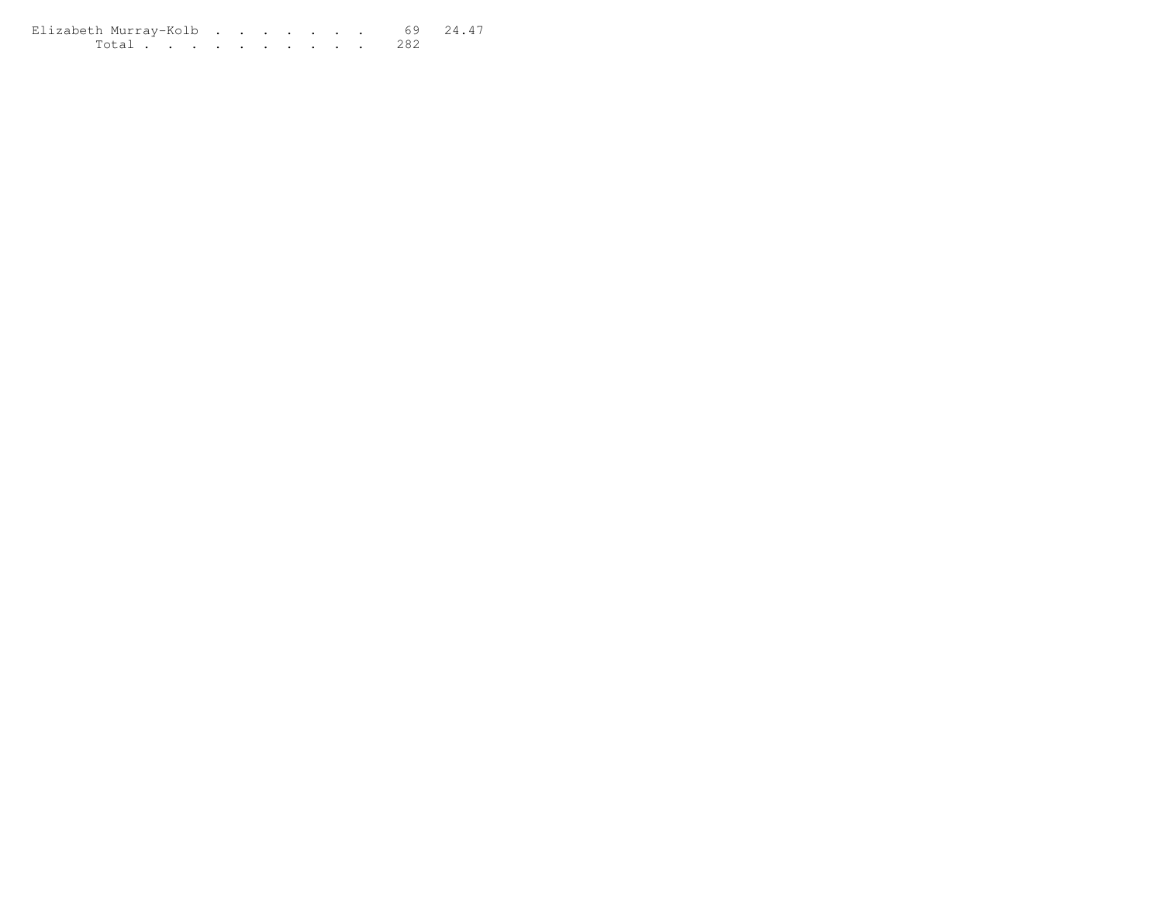Elizabeth Murray-Kolb . . . . . . . 69 24.47 Total . . . . . . . . . . 282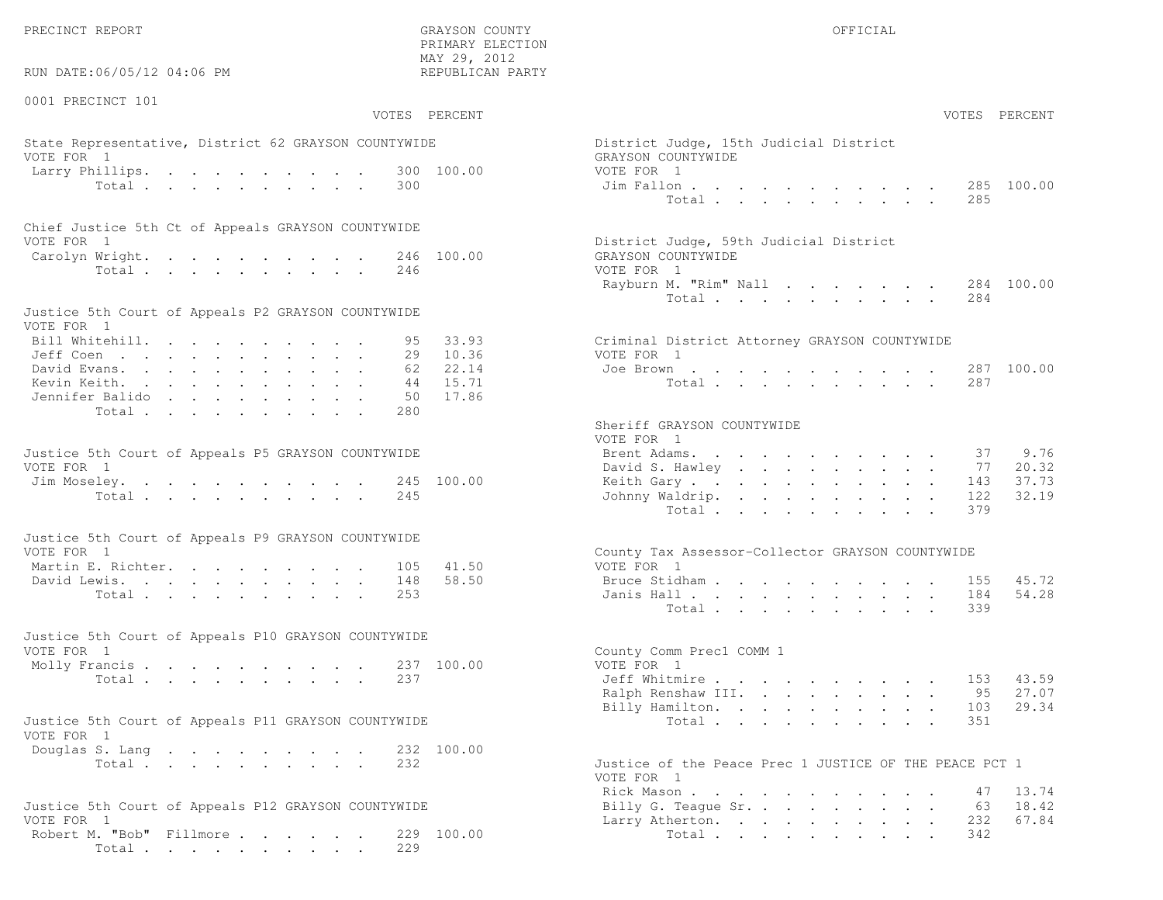PRECINCT REPORT OFFICIAL SERVICES OF THE GRAYSON COUNTY OF THE GRAYSON OF STREET OF THE GRAYSON OF THE GRAYSON OF THE GRAYSON OF THE GRAYSON OF THE GRAY OF THE GRAY OF THE GRAY OF THE GRAY OF THE GRAY OF THE GRAY OF THE GR

 PRIMARY ELECTION MAY 29, 2012REPUBLICAN PARTY

## State Representative, District 62 GRAYSON COUNTYWIDE District  $\overline{D}$ VOTE FOR 1 GRAYSON COUNTY OF REAL EXPLORER COUNTY OF REAL EXPLORER COUNTY OF REAL EXPLORER COUNTY OF REAL EXPLORER COUNTY OF REAL EXPLORER COUNTY OF REAL EXPLORER COUNTY OF REAL EXPLORER COUNTY OF REAL EXPLORER COUNTY OF R Larry Phillips. . . . . . . . . . 300 100.00 VOT<br>Total . . . . . . . . . 300 100.00 Ji

| Chief Justice 5th Ct of Appeals GRAYSON COUNTYWIDE |  |                                        |  |
|----------------------------------------------------|--|----------------------------------------|--|
| VOTE FOR 1                                         |  | District Judge, 59th Judicial District |  |
| Carolyn Wright. 246 100.00                         |  | GRAYSON COUNTYWIDE                     |  |
| Total 246                                          |  | VOTE FOR 1                             |  |

| Justice 5th Court of Appeals P2 GRAYSON COUNTYWIDE |  |  |  |  |  |                                               |  |
|----------------------------------------------------|--|--|--|--|--|-----------------------------------------------|--|
| VOTE FOR 1                                         |  |  |  |  |  |                                               |  |
| Bill Whitehill. 95 33.93                           |  |  |  |  |  | Criminal District Attorney GRAYSON COUNTYWIDE |  |
| Jeff Coen 29 10.36                                 |  |  |  |  |  | VOTE FOR 1                                    |  |
| David Evans. 62 22.14                              |  |  |  |  |  | Joe Brown 287 100.00                          |  |
| Kevin Keith. 44 15.71                              |  |  |  |  |  | Total 287                                     |  |
| Jennifer Balido 50 17.86                           |  |  |  |  |  |                                               |  |
| Total 280                                          |  |  |  |  |  |                                               |  |

| Justice 5th Court of Appeals P5 GRAYSON COUNTYWIDE | Brent Adams. 37 9.76      |  |
|----------------------------------------------------|---------------------------|--|
| VOTE FOR 1                                         | David S. Hawley 77 20.32  |  |
| Jim Moseley. 245 100.00                            | Keith Gary 143 37.73      |  |
| Total 245                                          | Johnny Waldrip. 122 32.19 |  |

| Justice 5th Court of Appeals P9 GRAYSON COUNTYWIDE |  |  |  |  |  |                                                  |  |
|----------------------------------------------------|--|--|--|--|--|--------------------------------------------------|--|
| VOTE FOR 1                                         |  |  |  |  |  | County Tax Assessor-Collector GRAYSON COUNTYWIDE |  |
| Martin E. Richter. 105 41.50                       |  |  |  |  |  | VOTE FOR 1                                       |  |
| David Lewis. 148 58.50                             |  |  |  |  |  | Bruce Stidham 155 45.72                          |  |
| Total 253                                          |  |  |  |  |  | Janis Hall 184 54.28                             |  |

| Justice 5th Court of Appeals P10 GRAYSON COUNTYWIDE |                             |
|-----------------------------------------------------|-----------------------------|
| VOTE FOR 1                                          | County Comm Prec1 COMM 1    |
| Molly Francis 237 100.00                            | VOTE FOR 1                  |
| Total 237                                           | Jeff Whitmire 153 43.59     |
|                                                     | Ralph Renshaw III. 95 27.07 |

| Justice 5th Court of Appeals P11 GRAYSON COUNTYWIDE |  |  |  |  |  |  |                                                    |  |  |  |  |  | Total 351 |  |
|-----------------------------------------------------|--|--|--|--|--|--|----------------------------------------------------|--|--|--|--|--|-----------|--|
| VOTE FOR 1                                          |  |  |  |  |  |  |                                                    |  |  |  |  |  |           |  |
| Douglas S. Lang 232 100.00                          |  |  |  |  |  |  |                                                    |  |  |  |  |  |           |  |
| $T \cap + \circ$                                    |  |  |  |  |  |  | Justice of the Peace Pres 1 JUSTICE OF THE PEACE I |  |  |  |  |  |           |  |

|            | Justice 5th Court of Appeals P12 GRAYSON COUNTYWIDE | Billy G. Teague Sr. 63 18.42 |  |  |  |  |  |
|------------|-----------------------------------------------------|------------------------------|--|--|--|--|--|
| VOTE FOR 1 |                                                     | Larry Atherton. 232 67.84    |  |  |  |  |  |
|            | Robert M. "Bob" Fillmore 229 100.00                 | Total 342                    |  |  |  |  |  |
|            | Total 229                                           |                              |  |  |  |  |  |

| RUN DATE:06/05/12 04:06 PM                                         |               | REPUBLICAN PARTY |                                                              |
|--------------------------------------------------------------------|---------------|------------------|--------------------------------------------------------------|
| 0001 PRECINCT 101                                                  | VOTES PERCENT |                  | VOTES PERCENT                                                |
|                                                                    |               |                  |                                                              |
| State Representative, District 62 GRAYSON COUNTYWIDE<br>VOTE FOR 1 |               |                  | District Judge, 15th Judicial District<br>GRAYSON COUNTYWIDE |
| Larry Phillips.<br>Total                                           | 300           | 300 100.00       | VOTE FOR 1<br>285 100.00<br>Jim Fallon<br>Total<br>285       |
| Chief Justice 5th Ct of Appeals GRAYSON COUNTYWIDE                 |               |                  |                                                              |
| VOTE FOR 1                                                         |               |                  | District Judge, 59th Judicial District                       |
| Carolyn Wright.                                                    |               | 246 100.00       | GRAYSON COUNTYWIDE                                           |
| Total                                                              | 246           |                  | VOTE FOR 1<br>284 100.00<br>Rayburn M. "Rim" Nall            |
|                                                                    |               |                  | Total<br>284                                                 |
| Justice 5th Court of Appeals P2 GRAYSON COUNTYWIDE<br>VOTE FOR 1   |               |                  |                                                              |
| Bill Whitehill.                                                    | 95.           | 33.93            | Criminal District Attorney GRAYSON COUNTYWIDE                |
| Jeff Coen                                                          | 29            | 10.36            | VOTE FOR 1                                                   |
| David Evans.                                                       | 62            | 22.14            | Joe Brown<br>287 100.00                                      |
| Kevin Keith.                                                       | 44            | 15.71            | 287<br>Total                                                 |
| Jennifer Balido                                                    | 50            | 17.86            |                                                              |
| Total                                                              | 280           |                  | Sheriff GRAYSON COUNTYWIDE                                   |
|                                                                    |               |                  | VOTE FOR 1                                                   |
| Justice 5th Court of Appeals P5 GRAYSON COUNTYWIDE                 |               |                  | 9.76<br>Brent Adams.<br>37                                   |
| VOTE FOR 1                                                         |               |                  | 20.32<br>David S. Hawley<br>77                               |
| Jim Moseley.                                                       |               | 245 100.00       | 37.73<br>Keith Gary.<br>143                                  |
| Total                                                              | 245           |                  | 32.19<br>Johnny Waldrip.<br>122                              |
|                                                                    |               |                  | 379<br>Total                                                 |
| Justice 5th Court of Appeals P9 GRAYSON COUNTYWIDE                 |               |                  |                                                              |
| VOTE FOR 1                                                         |               |                  | County Tax Assessor-Collector GRAYSON COUNTYWIDE             |
| Martin E. Richter.                                                 | 105           | 41.50            | VOTE FOR 1                                                   |
| David Lewis.                                                       | 148           | 58.50            | 45.72<br>Bruce Stidham<br>155                                |
| Total                                                              | 253           |                  | 54.28<br>Janis Hall<br>184                                   |
|                                                                    |               |                  | Total<br>339                                                 |
|                                                                    |               |                  |                                                              |
| Justice 5th Court of Appeals P10 GRAYSON COUNTYWIDE<br>VOTE FOR 1  |               |                  | County Comm Prec1 COMM 1                                     |
| Molly Francis                                                      |               | 237 100.00       | VOTE FOR 1                                                   |
| Total                                                              | 237           |                  | Jeff Whitmire<br>43.59<br>153                                |
|                                                                    |               |                  | Ralph Renshaw III.<br>27.07<br>95                            |
|                                                                    |               |                  | 29.34<br>Billy Hamilton.<br>103                              |
| Justice 5th Court of Appeals P11 GRAYSON COUNTYWIDE                |               |                  | 351<br>Total                                                 |
| VOTE FOR 1                                                         |               |                  |                                                              |
| Douglas S. Lang                                                    |               | 232 100.00       |                                                              |
| Total                                                              | 232           |                  | Justice of the Peace Prec 1 JUSTICE OF THE PEACE PCT 1       |
|                                                                    |               |                  | VOTE FOR 1                                                   |
|                                                                    |               |                  | Rick Mason<br>13.74<br>47                                    |
| Justice 5th Court of Appeals P12 GRAYSON COUNTYWIDE                |               |                  | 18.42<br>Billy G. Teague Sr.<br>63                           |
| VOTE FOR 1<br>Robert M. "Bob" Fillmore 229 100.00                  |               |                  | Larry Atherton.<br>232<br>67.84<br>Total<br>342              |
|                                                                    |               |                  |                                                              |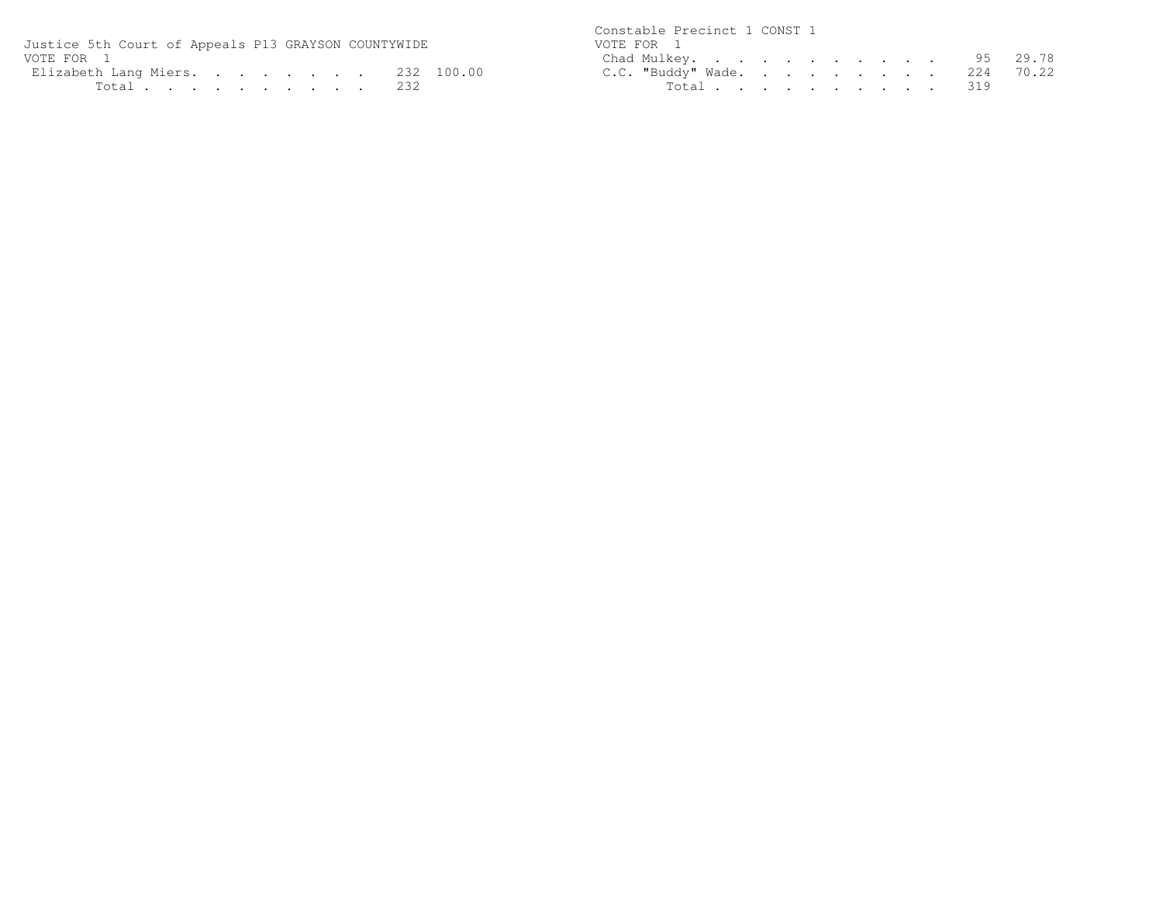| Justice 5th Court of Appeals P13 GRAYSON COUNTYWIDE | Constable Precinct 1 CONST 1<br>VOTE FOR 1 |
|-----------------------------------------------------|--------------------------------------------|
| VOTE FOR 1                                          | Chad Mulkey. 95 29.78                      |
| Elizabeth Lang Miers 232 100.00                     | C.C. "Buddy" Wade. 224 70.22               |
| Total 232                                           | Total 319                                  |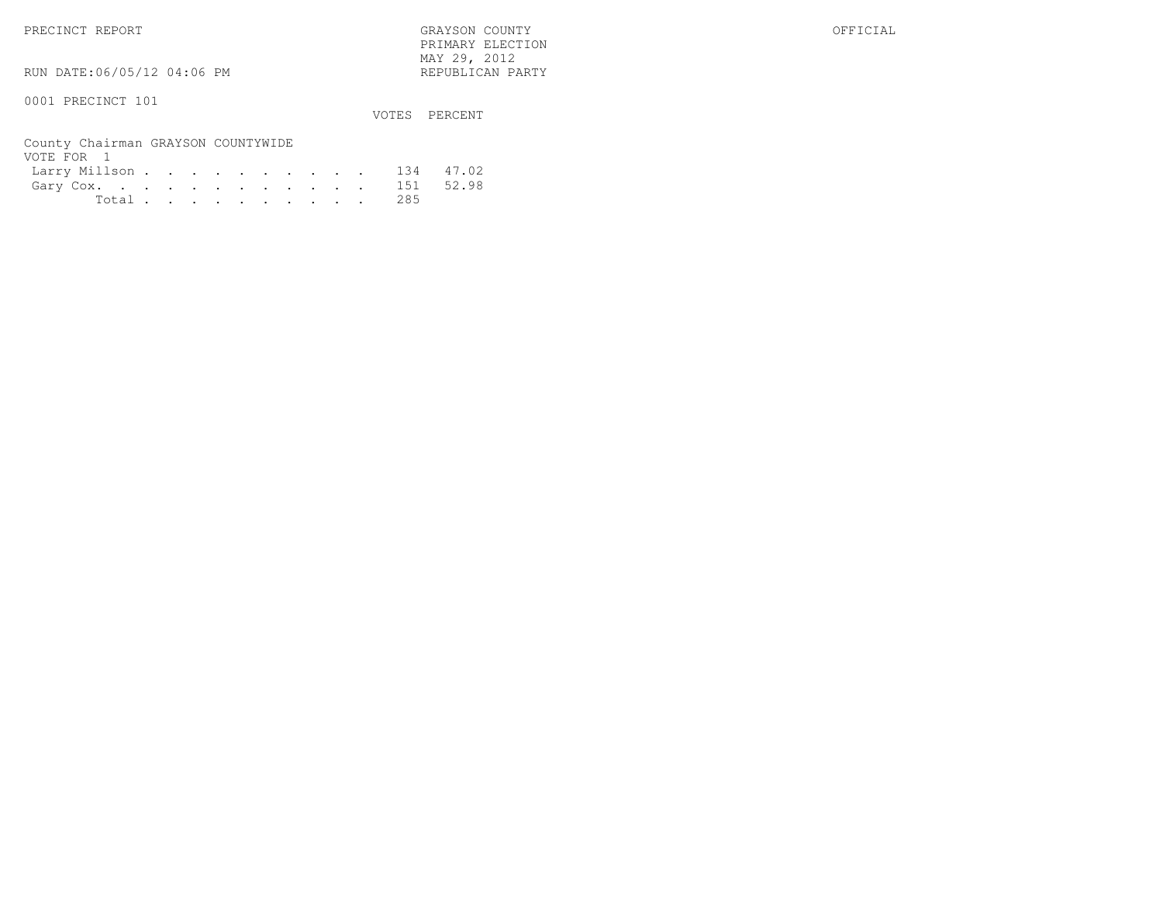PRECINCT REPORT GRAYSON COUNTY OFFICIAL PRIMARY ELECTION $\text{MAX } 29, \quad 2012$ 

RUN DATE:06/05/12 04:06 PM

0001 PRECINCT 101

VOTES PERCENT

| County Chairman GRAYSON COUNTYWIDE |  |  |  |  |  |  |
|------------------------------------|--|--|--|--|--|--|
| VOTE FOR 1                         |  |  |  |  |  |  |
| Larry Millson 134 47.02            |  |  |  |  |  |  |
| Gary Cox. 151 52.98                |  |  |  |  |  |  |
| Total 285                          |  |  |  |  |  |  |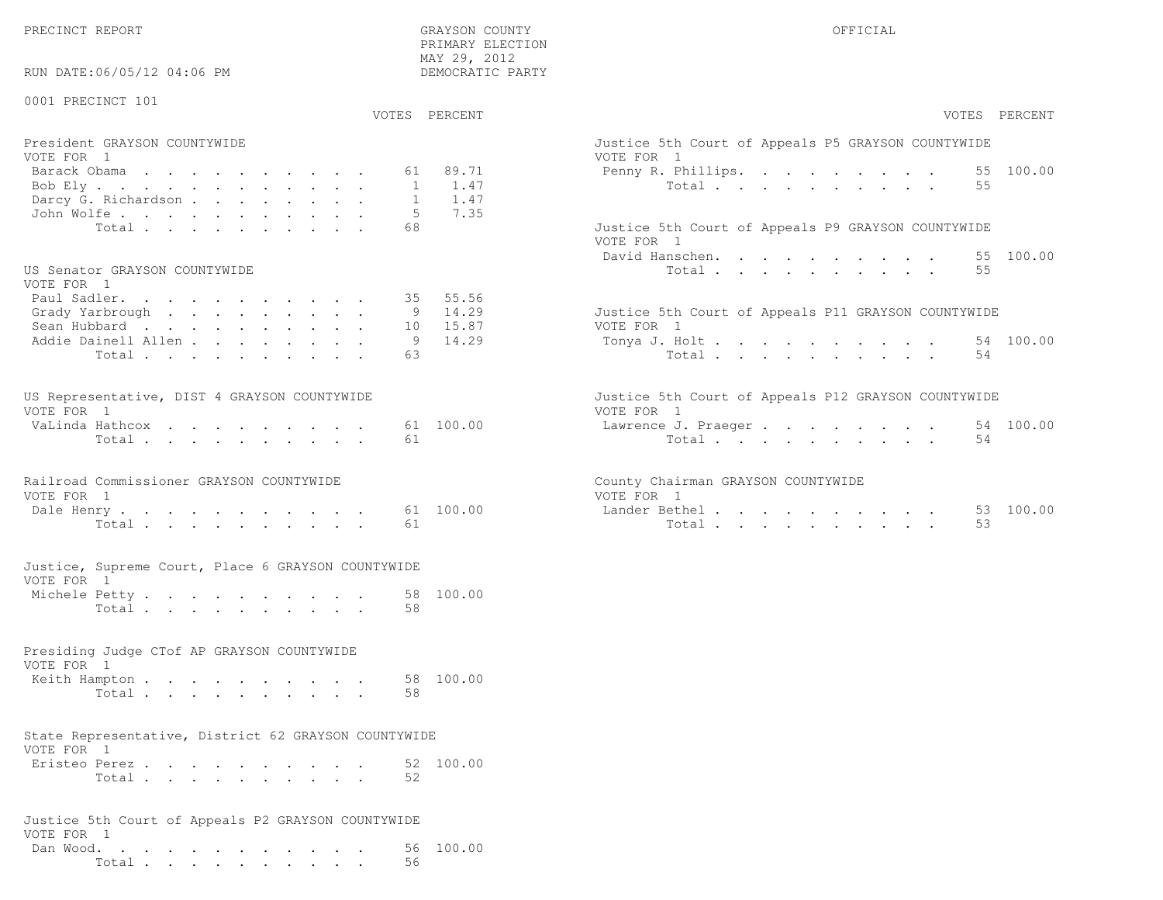PRECINCT REPORT OF THE SERVICE OF THE GRAYSON COUNTY OF THE GRAYSON COUNTY OF THE GRAYSON OF THE GRAYSON COUNTY

RUN DATE:06/05/12 04:06 PM

0001 PRECINCT 101

VOTES PERCENT VOTES PERCENT

 PRIMARY ELECTION MAY 29, 2012DEMOCRATIC PARTY

| President GRAYSON COUNTYWIDE | Justice 5th Court of Appeals P5 GRAYSON COUNTYWIDE |
|------------------------------|----------------------------------------------------|
| VOTE FOR 1                   | VOTE FOR 1                                         |
| Barack Obama 61 89.71        | Penny R. Phillips. 55 100.00                       |
| Bob Ely 1 1.47               | Total 55                                           |
| Darcy G. Richardson 1 $1.47$ |                                                    |
| John Wolfe. 5 7.35           |                                                    |
| Total 68                     | Justice 5th Court of Appeals P9 GRAYSON COUNTYWIDE |

#### US Senator GRAYSON COUNTYWIDE

| VOTE FOR 1                  |  |  |  |  |  |                                                     |  |
|-----------------------------|--|--|--|--|--|-----------------------------------------------------|--|
| Paul Sadler. 35 55.56       |  |  |  |  |  |                                                     |  |
| Grady Yarbrough 9 $14.29$   |  |  |  |  |  | Justice 5th Court of Appeals P11 GRAYSON COUNTYWIDE |  |
| Sean Hubbard 10 15.87       |  |  |  |  |  | VOTE FOR 1                                          |  |
| Addie Dainell Allen 9 14.29 |  |  |  |  |  | Tonya J. Holt 54 100.00                             |  |
| Total 63                    |  |  |  |  |  | Total 54                                            |  |

| US Representative, DIST 4 GRAYSON COUNTYWIDE |  |  |  |  |  | Justice 5th Court of Appeals P12 GRAYSON COUNTYWIDE |  |
|----------------------------------------------|--|--|--|--|--|-----------------------------------------------------|--|
| VOTE FOR 1                                   |  |  |  |  |  | VOTE FOR 1                                          |  |
| VaLinda Hathcox 61 100.00                    |  |  |  |  |  | Lawrence J. Praeger 54 100.00                       |  |
| Total 61                                     |  |  |  |  |  | Total 54                                            |  |

| Railroad Commissioner GRAYSON COUNTYWIDE |  |  | County Chairman GRAYSON COUNTYWIDE |
|------------------------------------------|--|--|------------------------------------|
| VOTE FOR 1                               |  |  | VOTE FOR 1                         |
| Dale Henry 61 100.00                     |  |  | Lander Bethel 53 100.00            |
| Total 61                                 |  |  | Total 53                           |

|                 |  |  | Justice, Supreme Court, Place 6 GRAYSON COUNTYWIDE |    |
|-----------------|--|--|----------------------------------------------------|----|
| VOTE FOR 1      |  |  |                                                    |    |
| Marchala Detter |  |  |                                                    | -1 |

| Michele Petty |       |  |  |  |  |  | 58 100.00 |
|---------------|-------|--|--|--|--|--|-----------|
|               | Total |  |  |  |  |  |           |

#### Presiding Judge CTof AP GRAYSON COUNTYWIDEVOTE FOR 1Keith Hampton . . . . . . . . . . 58 100.00 Total . . . . . . . . . . 58

#### State Representative, District 62 GRAYSON COUNTYWIDEVOTE FOR 1

| Eristeo Perez |       |  |  |  |  |  | 52 100.00 |
|---------------|-------|--|--|--|--|--|-----------|
|               | Total |  |  |  |  |  |           |

| Justice 5th Court of Appeals P2 GRAYSON COUNTYWIDE |  |  |  |  |  |  |        |    |                     |
|----------------------------------------------------|--|--|--|--|--|--|--------|----|---------------------|
| VOTE FOR 1                                         |  |  |  |  |  |  |        |    |                     |
|                                                    |  |  |  |  |  |  |        |    | Dan Wood. 56 100.00 |
|                                                    |  |  |  |  |  |  | Total. | 56 |                     |

| PERCENT                          | VOTES PERCENT                                                                                                |
|----------------------------------|--------------------------------------------------------------------------------------------------------------|
| 89.71<br>1.47<br>1.47            | Justice 5th Court of Appeals P5 GRAYSON COUNTYWIDE<br>VOTE FOR 1<br>Penny R. Phillips. 55 100.00<br>Total 55 |
| 7.35                             | Justice 5th Court of Appeals P9 GRAYSON COUNTYWIDE<br>VOTE FOR 1<br>David Hanschen. 55 100.00<br>Total<br>55 |
| 55.56<br>14.29<br>15.87<br>14.29 | Justice 5th Court of Appeals P11 GRAYSON COUNTYWIDE<br>VOTE FOR 1<br>Tonya J. Holt 54 100.00<br>Total<br>54  |
| 100.00                           | Justice 5th Court of Appeals P12 GRAYSON COUNTYWIDE<br>VOTE FOR 1<br>Lawrence J. Praeger 54 100.00<br>54     |
| 100.00                           | County Chairman GRAYSON COUNTYWIDE<br>VOTE FOR 1<br>100.00<br>Lander Bethel53<br>53<br>Total                 |
|                                  |                                                                                                              |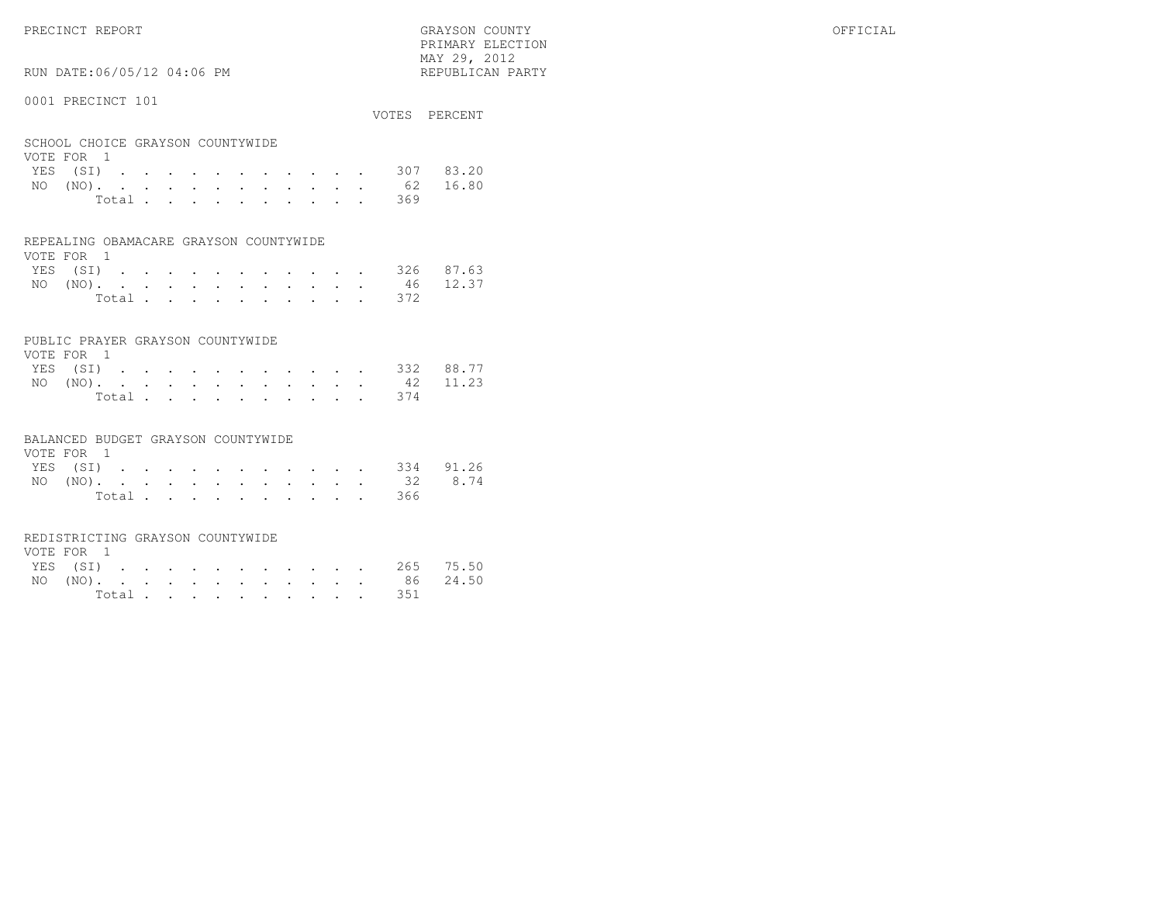PRECINCT REPORT OFFICIAL SERVICE OF STATISTIC GRAYSON COUNTY OF STATISTIC OF STATISTIC OF STATISTIC OF STATISTIC OF STATISTIC OF STATISTIC OF STATISTIC OF STATISTIC OF STATISTIC OF STATISTIC OF STATISTIC OF STATISTIC OF ST PRIMARY ELECTIONMAY 29, 2012

RUN DATE:06/05/12 04:06 PM

#### 0001 PRECINCT 101

VOTES PERCENT

REPUBLICAN PARTY

#### SCHOOL CHOICE GRAYSON COUNTYWIDEVOTE FOR 1

| VOTE FOR 1         |  |  |  |  |  |           |  |
|--------------------|--|--|--|--|--|-----------|--|
| YES (SI) 307 83.20 |  |  |  |  |  |           |  |
| NO (NO). 62 16.80  |  |  |  |  |  |           |  |
|                    |  |  |  |  |  | Total 369 |  |

#### REPEALING OBAMACARE GRAYSON COUNTYWIDE

| VOTE FOR 1 |  |  |  |  |  |  |                    |  |
|------------|--|--|--|--|--|--|--------------------|--|
|            |  |  |  |  |  |  | YES (SI) 326 87.63 |  |
|            |  |  |  |  |  |  | NO (NO). 46 12.37  |  |
|            |  |  |  |  |  |  | Total 372          |  |

#### PUBLIC PRAYER GRAYSON COUNTYWIDE

| VOTE FOR 1 |  |  |  |  |  |                    |  |
|------------|--|--|--|--|--|--------------------|--|
|            |  |  |  |  |  | YES (SI) 332 88.77 |  |
|            |  |  |  |  |  | NO (NO). 42 11.23  |  |
|            |  |  |  |  |  | Total 374          |  |

#### BALANCED BUDGET GRAYSON COUNTYWIDE

| VOTE FOR 1 |  |  |  |  |  |                    |  |
|------------|--|--|--|--|--|--------------------|--|
|            |  |  |  |  |  | YES (SI) 334 91.26 |  |
|            |  |  |  |  |  | NO (NO). 32 8.74   |  |
|            |  |  |  |  |  | Total 366          |  |

#### REDISTRICTING GRAYSON COUNTYWIDE

| VOTE FOR 1 |  |  |  |  |  |                    |  |
|------------|--|--|--|--|--|--------------------|--|
|            |  |  |  |  |  | YES (SI) 265 75.50 |  |
|            |  |  |  |  |  | NO (NO). 86 24.50  |  |
|            |  |  |  |  |  | Total 351          |  |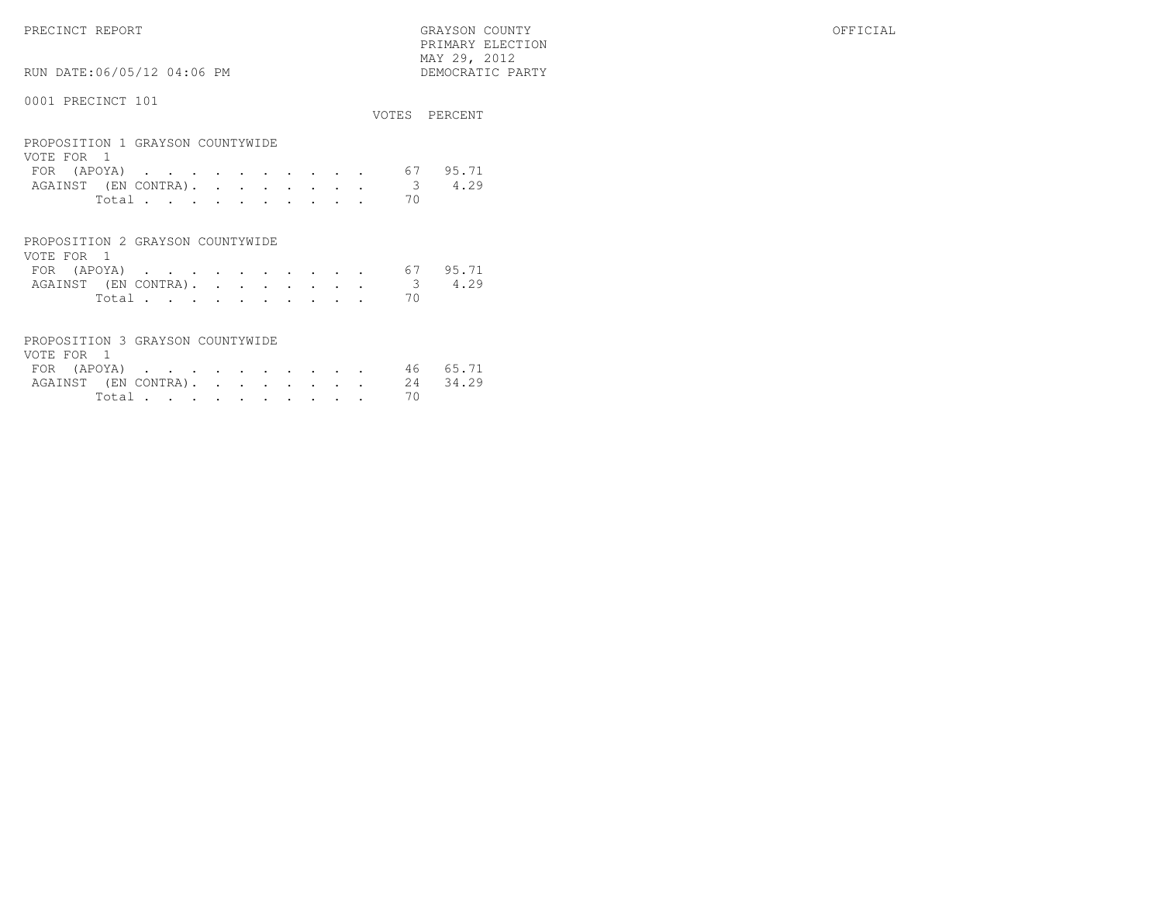PRECINCT REPORT GRAYSON COUNTY OFFICIAL PRIMARY ELECTION $\begin{array}{lll} \text{MAX} & 29, & 2012 \\ \text{NAY} & 29, & 2012 \end{array}$ 

RUN DATE:06/05/12 04:06 PM

### 0001 PRECINCT 101

|                                                |               | VOTES PERCENT |
|------------------------------------------------|---------------|---------------|
| PROPOSITION 1 GRAYSON COUNTYWIDE<br>VOTE FOR 1 |               |               |
| FOR $(APOYA)$ 67                               |               | 95.71         |
| AGAINST (EN CONTRA).                           | $\mathcal{B}$ | 4.29          |
| Total                                          | 70            |               |

| PROPOSITION 2 GRAYSON COUNTYWIDE |        |  |  |  |  |  |
|----------------------------------|--------|--|--|--|--|--|
| VOTE FOR 1                       |        |  |  |  |  |  |
| FOR (APOYA) 67 95.71             |        |  |  |  |  |  |
| AGAINST (EN CONTRA). 3 4.29      |        |  |  |  |  |  |
|                                  | Total. |  |  |  |  |  |

| PROPOSITION 3 GRAYSON COUNTYWIDE |  |  |  |  |          |  |
|----------------------------------|--|--|--|--|----------|--|
| VOTE FOR 1                       |  |  |  |  |          |  |
| FOR (APOYA) 46 65.71             |  |  |  |  |          |  |
| AGAINST (EN CONTRA). 24 34.29    |  |  |  |  |          |  |
|                                  |  |  |  |  | Total 70 |  |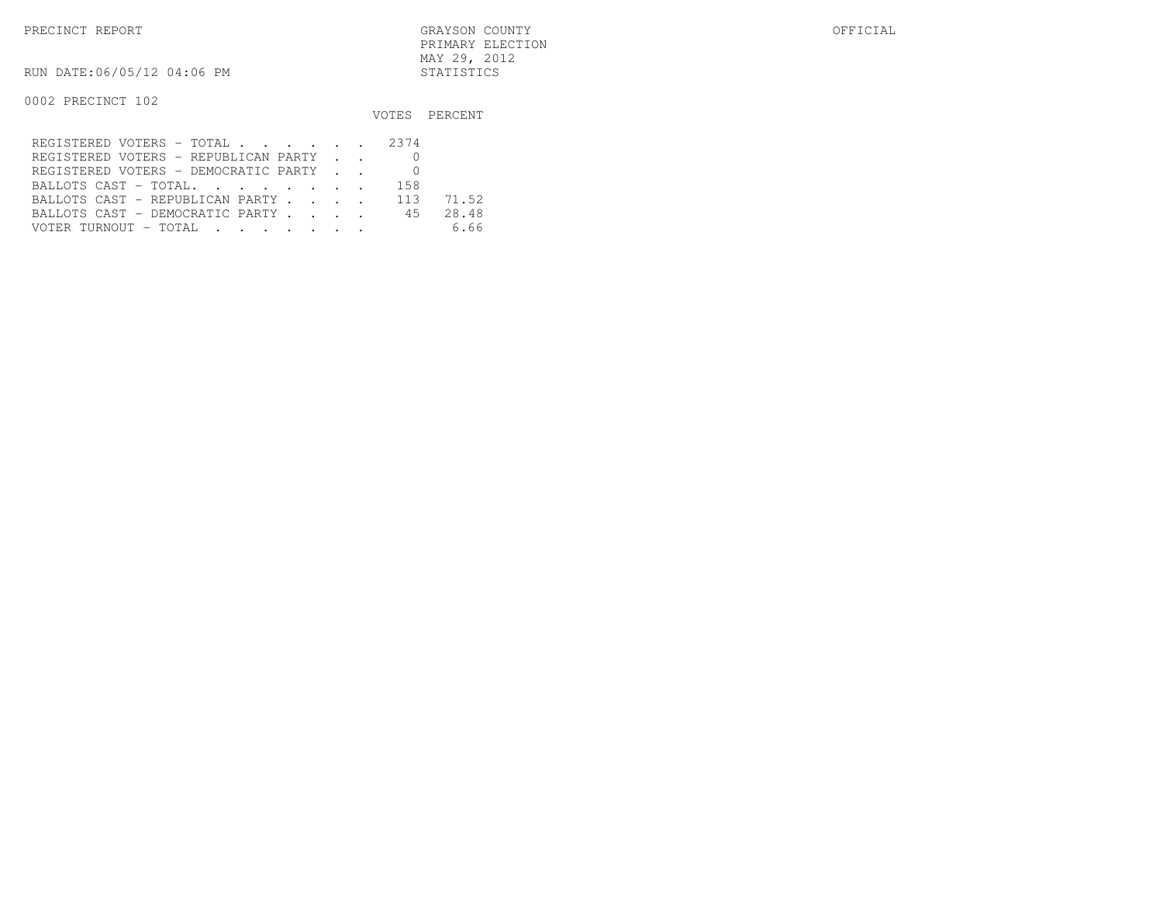PRECINCT REPORT GRAYSON COUNTY OFFICIAL PRIMARY ELECTIONMAY 29, 2012

RUN DATE:06/05/12 04:06 PM STATISTICS

0002 PRECINCT 102

|                                      |     | VOTES PERCENT |
|--------------------------------------|-----|---------------|
| REGISTERED VOTERS - TOTAL 2374       |     |               |
| REGISTERED VOTERS - REPUBLICAN PARTY |     |               |
| REGISTERED VOTERS - DEMOCRATIC PARTY |     |               |
| BALLOTS CAST - TOTAL.                | 158 |               |
| BALLOTS CAST - REPUBLICAN PARTY 113  |     | 71.52         |
| BALLOTS CAST - DEMOCRATIC PARTY 45   |     | 28.48         |
| VOTER TURNOUT - TOTAL                |     | 6.66          |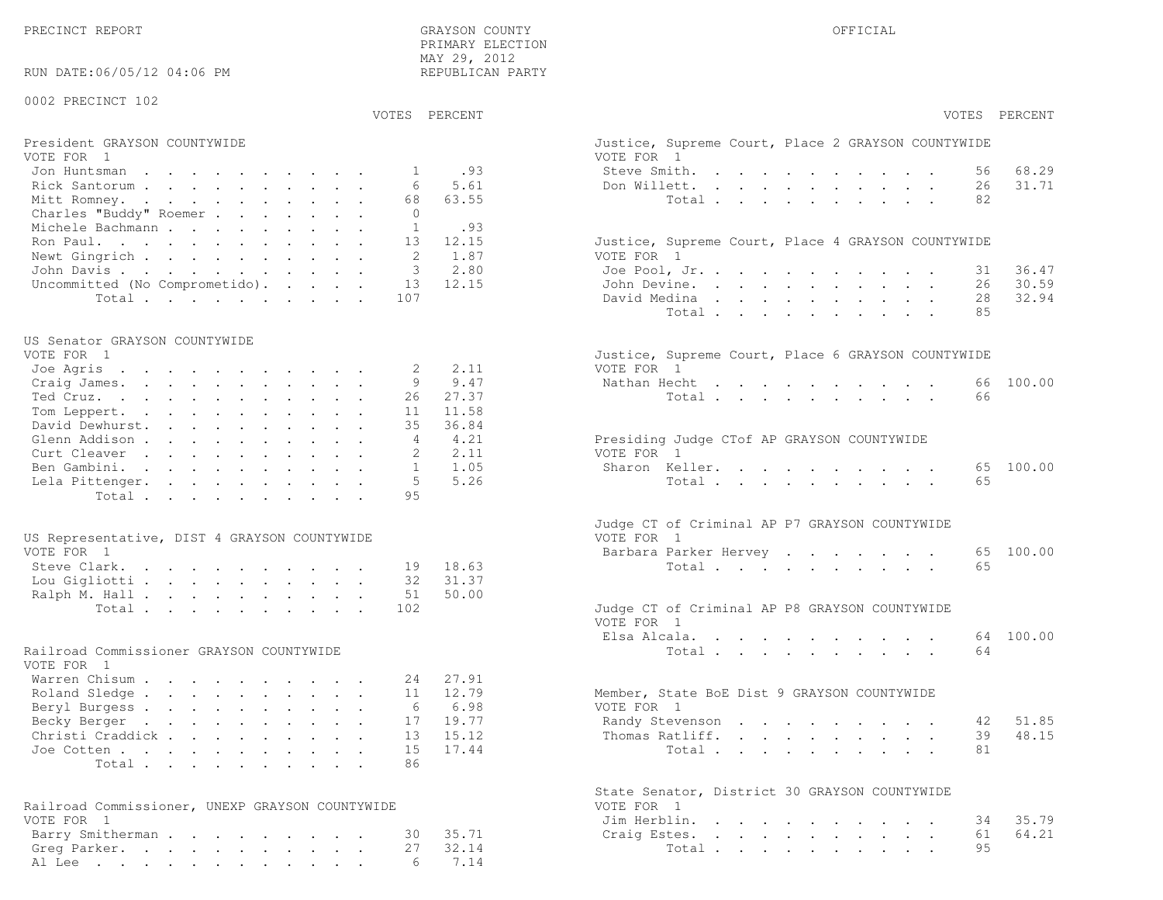PRECINCT REPORT OF THE SERVICE OF THE GRAYSON COUNTY OF THE GRAYSON COUNTY OF THE GRAYSON OF THE GRAYSON COUNTY PRIMARY ELECTION MAY 29, 2012REPUBLICAN PARTY

RUN DATE:06/05/12 04:06 PM

#### 0002 PRECINCT 102

### VOTES PERCENT VOTES PERCENT

| President GRAYSON COUNTYWIDE                                      | Justice, Supreme Court, Place 2 GRAYSON COUNTYWIDE |
|-------------------------------------------------------------------|----------------------------------------------------|
| VOTE FOR 1                                                        | VOTE FOR 1                                         |
| Jon Huntsman 1 .93                                                | 68.29<br>Steve Smith.<br>56                        |
| Rick Santorum 6 5.61                                              | 31.71<br>Don Willett.<br>26                        |
| 68 63.55<br>Mitt Romney.                                          | 82<br>Total.                                       |
| Charles "Buddy" Roemer                                            |                                                    |
| Michele Bachmann<br>.93                                           |                                                    |
| Ron Paul. 13 12.15                                                | Justice, Supreme Court, Place 4 GRAYSON COUNTYWIDE |
| Newt Gingrich $\ldots$ , $\ldots$ , $\ldots$ , $\ldots$ , 2, 1.87 | VOTE FOR 1                                         |
| John Davis 3 2.80                                                 | 36.47<br>Joe Pool, Jr.<br>31                       |
| Uncommitted (No Comprometido). $13$ 12.15                         | 30.59<br>John Devine.<br>26                        |
| Total 107                                                         | 28 32.94<br>David Medina                           |

#### US Senator GRAYSON COUNTYWIDE

| VOTE FOR 1               | Justice, Supreme Court, Place 6 GRAYSON COUNTYWIDE |
|--------------------------|----------------------------------------------------|
| Joe Agris 2 2.11         | VOTE FOR 1                                         |
| Craig James. 9 9.47      | Nathan Hecht 66 100.00                             |
| 26 27.37<br>Ted Cruz.    | Total 66                                           |
| Tom Leppert. 11 11.58    |                                                    |
| David Dewhurst. 35 36.84 |                                                    |
| Glenn Addison 4 4.21     | Presiding Judge CTof AP GRAYSON COUNTYWIDE         |
| 2 2.11<br>Curt Cleaver   | VOTE FOR 1                                         |
| Ben Gambini. 1 1.05      | Sharon Keller. 65 100.00                           |
| Lela Pittenger. 5 5.26   | Total 65                                           |
| Total 95                 |                                                    |

| US Representative, DIST 4 GRAYSON COUNTYWIDE |  |  |  |  | VOTE FOR 1                                    |
|----------------------------------------------|--|--|--|--|-----------------------------------------------|
| VOTE FOR 1                                   |  |  |  |  | Barbara Parker Hervey 65 100.00               |
| Steve Clark. 19 18.63                        |  |  |  |  | Total 65                                      |
| Lou Gigliotti 32 31.37                       |  |  |  |  |                                               |
| Ralph M. Hall 51 50.00                       |  |  |  |  |                                               |
| Total 102                                    |  |  |  |  | Judge CT of Criminal AP P8 GRAYSON COUNTYWIDE |

#### Railroad Commissioner GRAYSON COUNTYWIDE

| VOTE FOR 1                |  |  |  |  |  |                                             |
|---------------------------|--|--|--|--|--|---------------------------------------------|
| Warren Chisum 24 27.91    |  |  |  |  |  |                                             |
| Roland Sledge 11 12.79    |  |  |  |  |  | Member, State BoE Dist 9 GRAYSON COUNTYWIDE |
| Beryl Burgess 6 6.98      |  |  |  |  |  | VOTE FOR 1                                  |
| Becky Berger 17 19.77     |  |  |  |  |  | Randy Stevenson 42 51.85                    |
| Christi Craddick 13 15.12 |  |  |  |  |  | Thomas Ratliff. 39 48.15                    |
| Joe Cotten 15 17.44       |  |  |  |  |  | Total 81                                    |
| Total 86                  |  |  |  |  |  |                                             |

| Railroad Commissioner, UNEXP GRAYSON COUNTYWIDE | VOTE FOR 1            |
|-------------------------------------------------|-----------------------|
| VOTE FOR 1                                      | Jim Herblin. 34 35.79 |
| Barry Smitherman 30 35.71                       | Craig Estes. 61 64.21 |
| Greg Parker. 27 32.14                           | Total 95              |
| Al Lee 6 7.14                                   |                       |

| PERCENT        | VOTES<br>PERCENT                                                                                                                                                                                                |
|----------------|-----------------------------------------------------------------------------------------------------------------------------------------------------------------------------------------------------------------|
|                | Justice, Supreme Court, Place 2 GRAYSON COUNTYWIDE<br>VOTE FOR 1                                                                                                                                                |
| .93            | Steve Smith.<br>68.29<br>56                                                                                                                                                                                     |
| 5.61           | Don Willett.<br>26<br>31.71                                                                                                                                                                                     |
| 63.55          | Total<br>82<br>$\sim$<br>$\ddot{\phantom{a}}$<br>$\ddot{\phantom{0}}$<br>$\sim$<br>$\bullet$<br>$\ddot{\phantom{0}}$<br>$\sim$                                                                                  |
|                |                                                                                                                                                                                                                 |
| .93<br>12.15   | Justice, Supreme Court, Place 4 GRAYSON COUNTYWIDE                                                                                                                                                              |
| 1.87           | VOTE FOR 1                                                                                                                                                                                                      |
| 2.80           | Joe Pool, Jr.<br>36.47<br>31<br>$\ddot{\phantom{0}}$<br>$\sim$                                                                                                                                                  |
| 12.15          | 26 30.59<br>John Devine.<br>$\mathbf{r} = \mathbf{r} + \mathbf{r} + \mathbf{r} + \mathbf{r}$<br>$\sim$<br>$\mathbf{L}^{\text{max}}$ , and $\mathbf{L}^{\text{max}}$                                             |
|                | 32.94<br>David Medina<br>28<br>$\ddot{\phantom{a}}$<br>$\mathbf{L}^{\text{max}}$<br>$\ddot{\phantom{0}}$<br>$\ddot{\phantom{0}}$<br>$\mathbf{L}$                                                                |
|                | Total<br>85<br>$\cdot$ $\cdot$ $\cdot$<br>$\ddot{\phantom{a}}$<br>$\ddot{\phantom{a}}$                                                                                                                          |
|                | $\ddot{\phantom{0}}$                                                                                                                                                                                            |
|                | Justice, Supreme Court, Place 6 GRAYSON COUNTYWIDE                                                                                                                                                              |
| 2.11           | VOTE FOR 1                                                                                                                                                                                                      |
| 9.47           | 100.00<br>Nathan Hecht<br>66                                                                                                                                                                                    |
| 27.37<br>11.58 | Total<br>66                                                                                                                                                                                                     |
| 36.84          |                                                                                                                                                                                                                 |
| 4.21           | Presiding Judge CTof AP GRAYSON COUNTYWIDE                                                                                                                                                                      |
| 2.11           | VOTE FOR 1                                                                                                                                                                                                      |
| 1.05           | Sharon Keller.<br>65<br>100.00                                                                                                                                                                                  |
| 5.26           | Total<br>$\mathbf{r}$ , $\mathbf{r}$ , $\mathbf{r}$ , $\mathbf{r}$<br>65                                                                                                                                        |
|                | Judge CT of Criminal AP P7 GRAYSON COUNTYWIDE                                                                                                                                                                   |
|                | VOTE FOR 1                                                                                                                                                                                                      |
|                | Barbara Parker Hervey<br>65<br>100.00                                                                                                                                                                           |
| 18.63          | 65<br>Total $\cdots$                                                                                                                                                                                            |
| 31.37          |                                                                                                                                                                                                                 |
| 50.00          |                                                                                                                                                                                                                 |
|                | Judge CT of Criminal AP P8 GRAYSON COUNTYWIDE<br>VOTE FOR 1                                                                                                                                                     |
|                | Elsa Alcala.<br>64 100.00<br>$\begin{array}{cccccccccccccc} \bullet & \bullet & \bullet & \bullet & \bullet & \bullet & \bullet & \bullet & \bullet & \bullet & \bullet & \bullet \end{array}$                  |
|                | 64<br>Total                                                                                                                                                                                                     |
| 27.91          |                                                                                                                                                                                                                 |
| 12.79          | Member, State BoE Dist 9 GRAYSON COUNTYWIDE                                                                                                                                                                     |
| 6.98           | VOTE FOR 1                                                                                                                                                                                                      |
| 19.77          | Randy Stevenson<br>42 51.85                                                                                                                                                                                     |
| 15.12          | 39 48.15<br>Thomas Ratliff.<br>$\sim$<br>$\ddot{\phantom{a}}$<br>$\ddot{\phantom{0}}$                                                                                                                           |
| 17.44          | 81<br>Total                                                                                                                                                                                                     |
|                |                                                                                                                                                                                                                 |
|                | State Senator, District 30 GRAYSON COUNTYWIDE<br>VOTE FOR<br>$\overline{1}$                                                                                                                                     |
|                | Jim Herblin.<br>35.79<br>34<br>$\mathbf{r}$ , $\mathbf{r}$ , $\mathbf{r}$<br>$\mathbf{r}$ . The set of $\mathbf{r}$<br>$\ddot{\phantom{a}}$<br>$\ddot{\phantom{0}}$<br>$\sim$<br>$\sim$<br>$\ddot{\phantom{a}}$ |
| 35.71          | 64.21<br>Craig Estes.<br>61<br>$\mathbf{L}$<br>$\mathbf{r} = \mathbf{r} \cdot \mathbf{r}$<br>$\mathbf{L}$<br>$\mathbf{L}^{\text{max}}$<br>$\ddot{\phantom{a}}$<br>$\mathbf{L}^{\text{max}}$<br>$\sim$           |
| 32.14          | 95<br>Total                                                                                                                                                                                                     |
| 7.14           | <b>Contract Contract Contract</b><br>$\ddot{\phantom{0}}$                                                                                                                                                       |
|                |                                                                                                                                                                                                                 |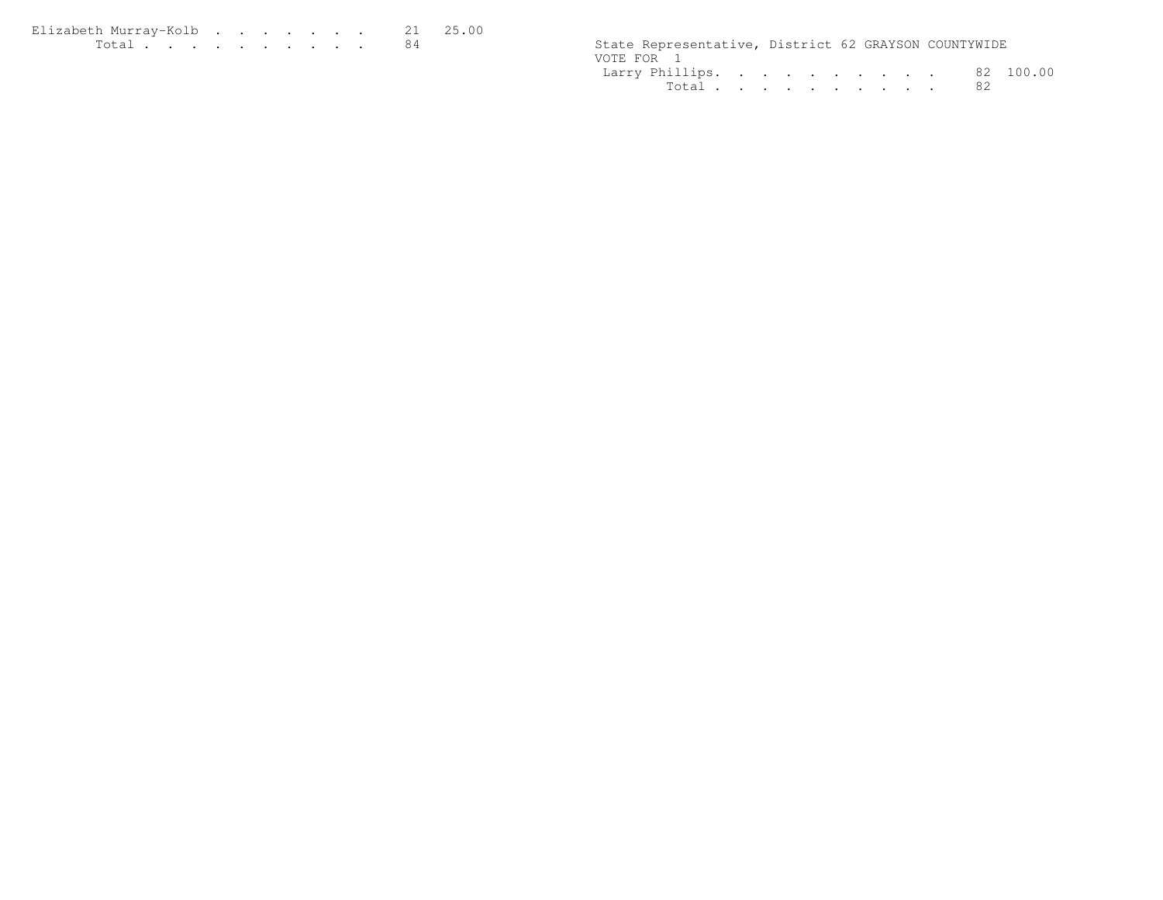| Elizabeth Murray-Kolb |  |  |  |  | 21 25.00 |
|-----------------------|--|--|--|--|----------|
| Total $\cdots$        |  |  |  |  |          |

| $T \cap$ + $\cap$ + | State Representative, District 62 GRAYSON COUNTYWIDE |                                                                                                                                                                                                                                   |                     |
|---------------------|------------------------------------------------------|-----------------------------------------------------------------------------------------------------------------------------------------------------------------------------------------------------------------------------------|---------------------|
|                     | VOTE FOR                                             |                                                                                                                                                                                                                                   |                     |
|                     | Larry Phillips.                                      | $\mathbf{a}$ . The contract of the contract of the contract of the contract of the contract of the contract of the contract of the contract of the contract of the contract of the contract of the contract of the contract of th | - 82<br>∩∩<br>1 N N |
|                     | $T \cap + \cap +$                                    |                                                                                                                                                                                                                                   |                     |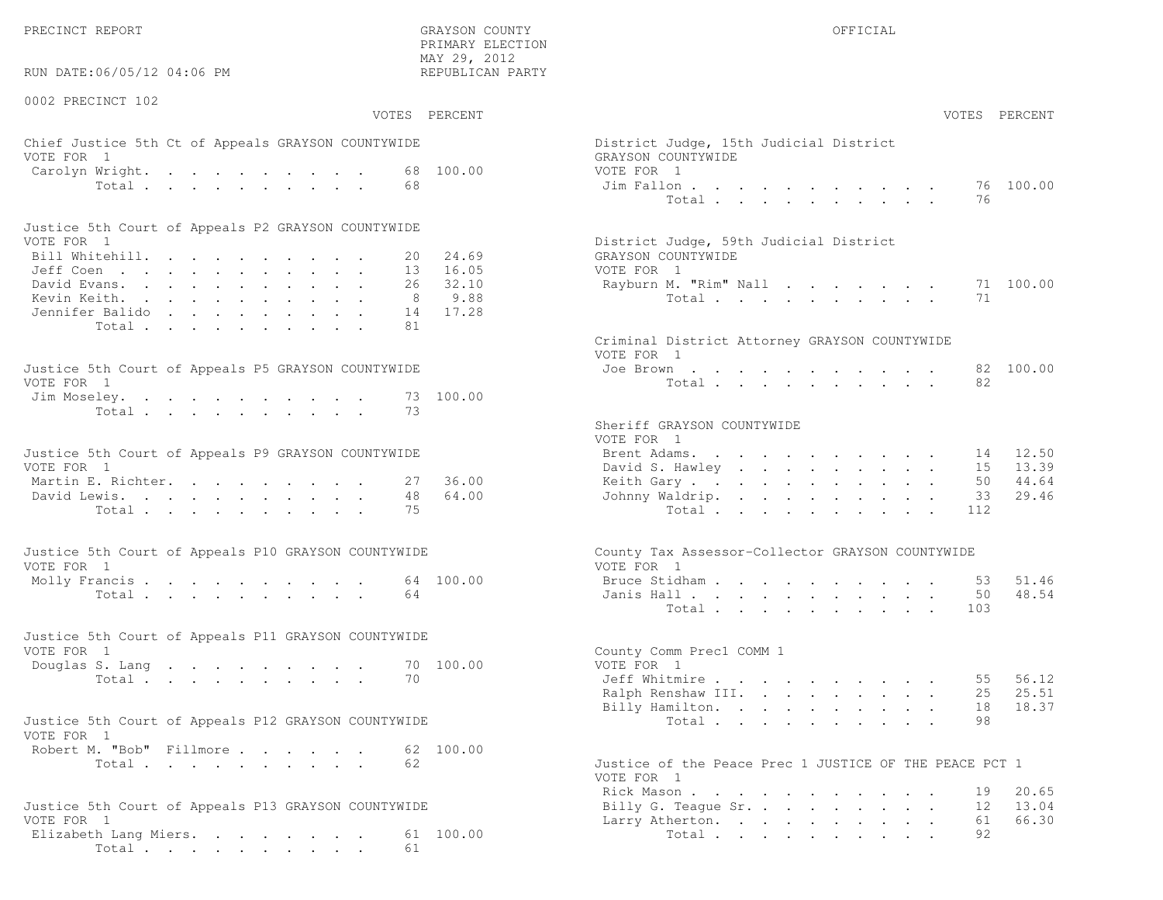PRECINCT REPORT THE COUNTY GRAYSON COUNTY THE COUNTY OFFICIAL OFFICIAL COUNTY OF THE COUNTY OF THE COUNTY OF THE COUNTY OF THE COUNTY OF THE COUNTY OF THE COUNTY OF THE COUNTY OF THE COUNTY OF THE COUNTY OF THE COUNTY OF T

RUN DATE:06/05/12 04:06 PM

#### 0002 PRECINCT 102

VOTES PERCENT VOTES PERCENT

 PRIMARY ELECTION MAY 29, 2012REPUBLICAN PARTY

### Chief Justice 5th Ct of Appeals GRAYSON COUNTYWIDE District District District District Only 15th Judge VOTE FOR 1 GRAYSON COUNTY OF REAL EXPLORER COUNTY OF REAL EXPLORER COUNTY OF REAL EXPLORER COUNTY OF REAL EXPLORER COUNTY OF REAL EXPLORER COUNTY OF REAL EXPLORER COUNTY OF REAL EXPLORER COUNTY OF REAL EXPLORER COUNTY OF R Carolyn Wright. . . . . . . . . . 68 100.00 VOT  $Total . . . . . . . . . . 68$

| Justice 5th Court of Appeals P2 GRAYSON COUNTYWIDE |  |  |  |  |  |                                        |
|----------------------------------------------------|--|--|--|--|--|----------------------------------------|
| VOTE FOR 1                                         |  |  |  |  |  | District Judge, 59th Judicial District |
| Bill Whitehill. 20 24.69                           |  |  |  |  |  | GRAYSON COUNTYWIDE                     |
| Jeff Coen , , , , , , , , , , , , 13 16.05         |  |  |  |  |  | VOTE FOR 1                             |
| David Evans. 26 32.10                              |  |  |  |  |  | Rayburn M. "Rim" Nall 71 100.00        |
| Kevin Keith. 8 9.88                                |  |  |  |  |  | Total 71                               |
| Jennifer Balido 14 17.28                           |  |  |  |  |  |                                        |
| Total 81                                           |  |  |  |  |  |                                        |

| Justice 5th Court of Appeals P5 GRAYSON COUNTYWIDE | Joe Brown 82 100.00 |
|----------------------------------------------------|---------------------|
| VOTE FOR 1                                         | Total 82            |
| Jim Moseley. 73 100.00                             |                     |
| Total 73                                           |                     |

| Justice 5th Court of Appeals P9 GRAYSON COUNTYWIDE | Brent Adams. 14 12.50    |
|----------------------------------------------------|--------------------------|
| VOTE FOR 1                                         | David S. Hawley 15 13.39 |
| Martin E. Richter. 27 36.00                        | Keith Gary 50 44.64      |
| David Lewis. 48 64.00                              | Johnny Waldrip. 33 29.46 |
| Total 75                                           | Total 112                |

| Justice 5th Court of Appeals P10 GRAYSON COUNTYWIDE | County Tax Assessor-Collector GRAYSON COUNTYWIDE |
|-----------------------------------------------------|--------------------------------------------------|
| VOTE FOR 1                                          | VOTE FOR 1                                       |
| Molly Francis 64 100.00                             | Bruce Stidham 53 51.46                           |
| Total 64                                            | Janis Hall 50 48.54                              |

| Justice 5th Court of Appeals P11 GRAYSON COUNTYWIDE |  |  |  |  |          |  |                          |  |
|-----------------------------------------------------|--|--|--|--|----------|--|--------------------------|--|
| VOTE FOR 1                                          |  |  |  |  |          |  | County Comm Prec1 COMM 1 |  |
| Douglas S. Lang 70 100.00                           |  |  |  |  |          |  | VOTE FOR 1               |  |
|                                                     |  |  |  |  | Total 70 |  | Jeff Whitmire 55 56.12   |  |

| Justice 5th Court of Appeals P12 GRAYSON COUNTYWIDE |  |  | Total 98 |  |  |  |  |  |
|-----------------------------------------------------|--|--|----------|--|--|--|--|--|
| VOTE FOR 1                                          |  |  |          |  |  |  |  |  |
| Robert M. "Bob" Fillmore 62 100.00                  |  |  |          |  |  |  |  |  |
|                                                     |  |  |          |  |  |  |  |  |

```
Total . . . . . . . . . . . 62 Just
```

```
Justice 5th Court of Appeals P13 GRAYSON COUNTYWIDE VOTE FOR 1
 Elizabeth Lang Miers. . . . . . . . 61 100.00
        Total . . . . . . . . . . 61
```

| . 227 LVII<br>EPUBLICAN PARTY |                                                                                    |                |                                                                                                                 |  |                                                                  |                                                                  |                               |                      |           |                |
|-------------------------------|------------------------------------------------------------------------------------|----------------|-----------------------------------------------------------------------------------------------------------------|--|------------------------------------------------------------------|------------------------------------------------------------------|-------------------------------|----------------------|-----------|----------------|
| PERCENT                       |                                                                                    |                |                                                                                                                 |  |                                                                  |                                                                  |                               |                      | VOTES     | PERCENT        |
| 100.00                        | District Judge, 15th Judicial District<br>GRAYSON COUNTYWIDE<br>VOTE FOR 1         |                |                                                                                                                 |  |                                                                  |                                                                  |                               |                      |           |                |
|                               | Jim Fallon                                                                         | Total          |                                                                                                                 |  |                                                                  |                                                                  |                               |                      | 76<br>76  | 100.00         |
| 24.69<br>16.05                | District Judge, 59th Judicial District<br>GRAYSON COUNTYWIDE<br>VOTE FOR 1         |                |                                                                                                                 |  |                                                                  |                                                                  |                               |                      |           |                |
| 32.10<br>9.88<br>17.28        | Rayburn M. "Rim" Nall                                                              | Total          |                                                                                                                 |  |                                                                  |                                                                  |                               |                      | 71<br>71  | 100.00         |
|                               | Criminal District Attorney GRAYSON COUNTYWIDE<br>VOTE FOR 1                        |                |                                                                                                                 |  |                                                                  |                                                                  |                               |                      |           |                |
| 100.00                        | Joe Brown                                                                          | Total          |                                                                                                                 |  |                                                                  |                                                                  |                               |                      | 82<br>82  | 100.00         |
|                               | Sheriff GRAYSON COUNTYWIDE<br>VOTE FOR 1                                           |                |                                                                                                                 |  |                                                                  |                                                                  |                               |                      |           |                |
|                               | Brent Adams.<br>David S. Hawley                                                    |                | the contract of the contract of the contract of the contract of the contract of the contract of the contract of |  |                                                                  |                                                                  |                               | $\sim$               | 14<br>15  | 12.50<br>13.39 |
| 36.00                         | Keith Gary                                                                         |                |                                                                                                                 |  | the contract of the contract of the                              |                                                                  | $\sim$ 100 $\mu$              |                      | 50        | 44.64          |
| 64.00                         | Johnny Waldrip.                                                                    | Total          |                                                                                                                 |  |                                                                  |                                                                  | $\mathbf{L}$ and $\mathbf{L}$ | $\ddot{\phantom{a}}$ | 33<br>112 | 29.46          |
|                               | County Tax Assessor-Collector GRAYSON COUNTYWIDE<br>VOTE FOR 1                     |                |                                                                                                                 |  |                                                                  |                                                                  |                               |                      |           |                |
| 100.00                        | Bruce Stidham                                                                      |                |                                                                                                                 |  |                                                                  | $\mathbf{r} = \mathbf{r} + \mathbf{r} + \mathbf{r} + \mathbf{r}$ |                               | $\bullet$            | 53        | 51.46          |
|                               | Janis Hall                                                                         | Total          |                                                                                                                 |  |                                                                  |                                                                  |                               | $\sim$               | 50<br>103 | 48.54          |
| 100.00                        | County Comm Prec1 COMM 1<br>VOTE FOR 1                                             |                |                                                                                                                 |  |                                                                  |                                                                  |                               |                      |           |                |
|                               | Jeff Whitmire                                                                      |                |                                                                                                                 |  |                                                                  |                                                                  |                               |                      |           | 55 56.12       |
|                               | Ralph Renshaw III.<br>Billy Hamilton.                                              |                |                                                                                                                 |  |                                                                  |                                                                  |                               | $\sim$<br>$\sim$     | 25<br>18  | 25.51<br>18.37 |
|                               |                                                                                    | Total $\cdots$ |                                                                                                                 |  | $\mathbf{r} = \mathbf{r} + \mathbf{r} + \mathbf{r} + \mathbf{r}$ |                                                                  | $\sim$ $-$                    |                      | 98        |                |
| 100.00                        | Justice of the Peace Prec 1 JUSTICE OF THE PEACE PCT 1<br>$V \cap TE$ $E \cap D$ 1 |                |                                                                                                                 |  |                                                                  |                                                                  |                               |                      |           |                |

|                                                     | VOIE FOR I                   |  |
|-----------------------------------------------------|------------------------------|--|
|                                                     | Rick Mason 19 20.65          |  |
| Justice 5th Court of Appeals P13 GRAYSON COUNTYWIDE | Billy G. Teague Sr. 12 13.04 |  |
| VOTE FOR 1                                          | Larry Atherton. 61 66.30     |  |
| Elizabeth Lang Miers. 61 100.00                     | Total 92                     |  |
|                                                     |                              |  |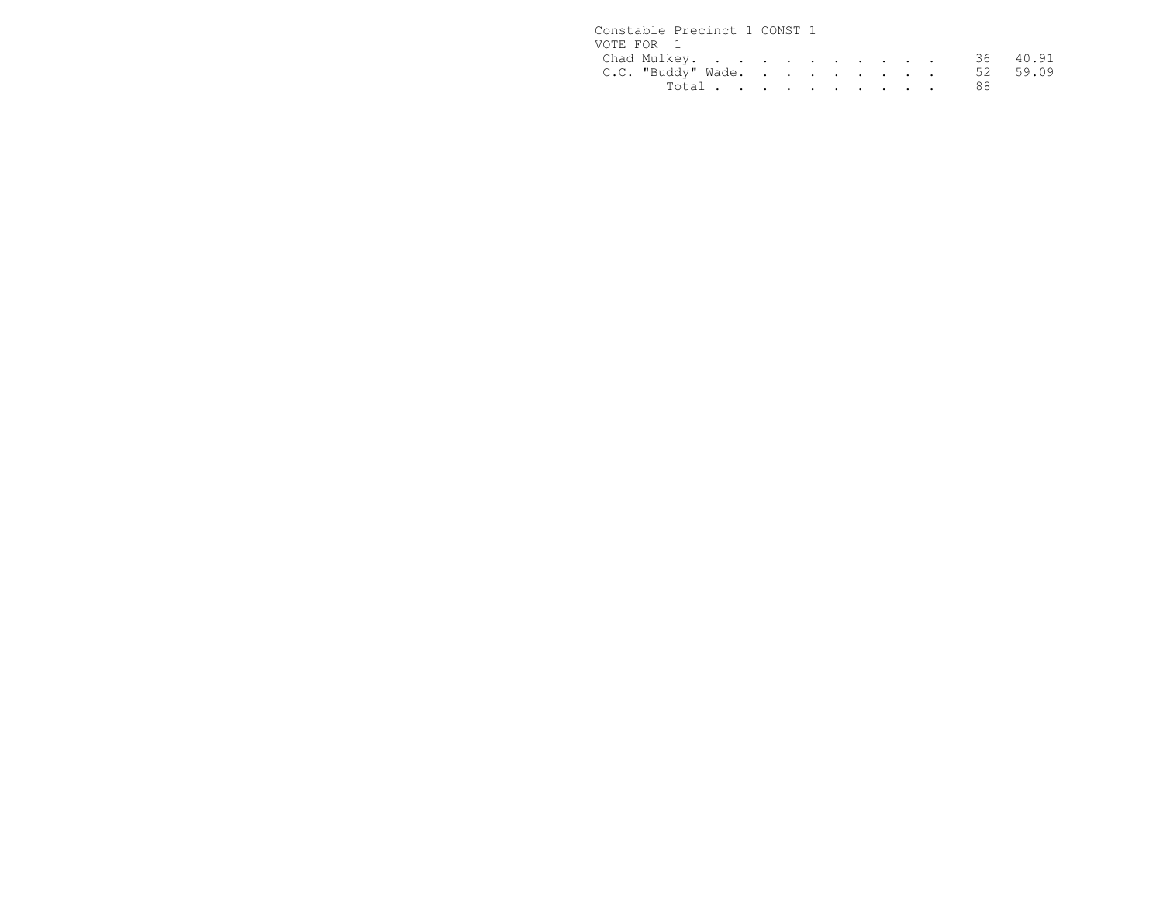| Constable Precinct 1 CONST 1 |  |  |  |  |  |
|------------------------------|--|--|--|--|--|
| VOTE FOR 1                   |  |  |  |  |  |
| Chad Mulkey. 36 40.91        |  |  |  |  |  |
| C.C. "Buddy" Wade. 52 59.09  |  |  |  |  |  |
| Total 88                     |  |  |  |  |  |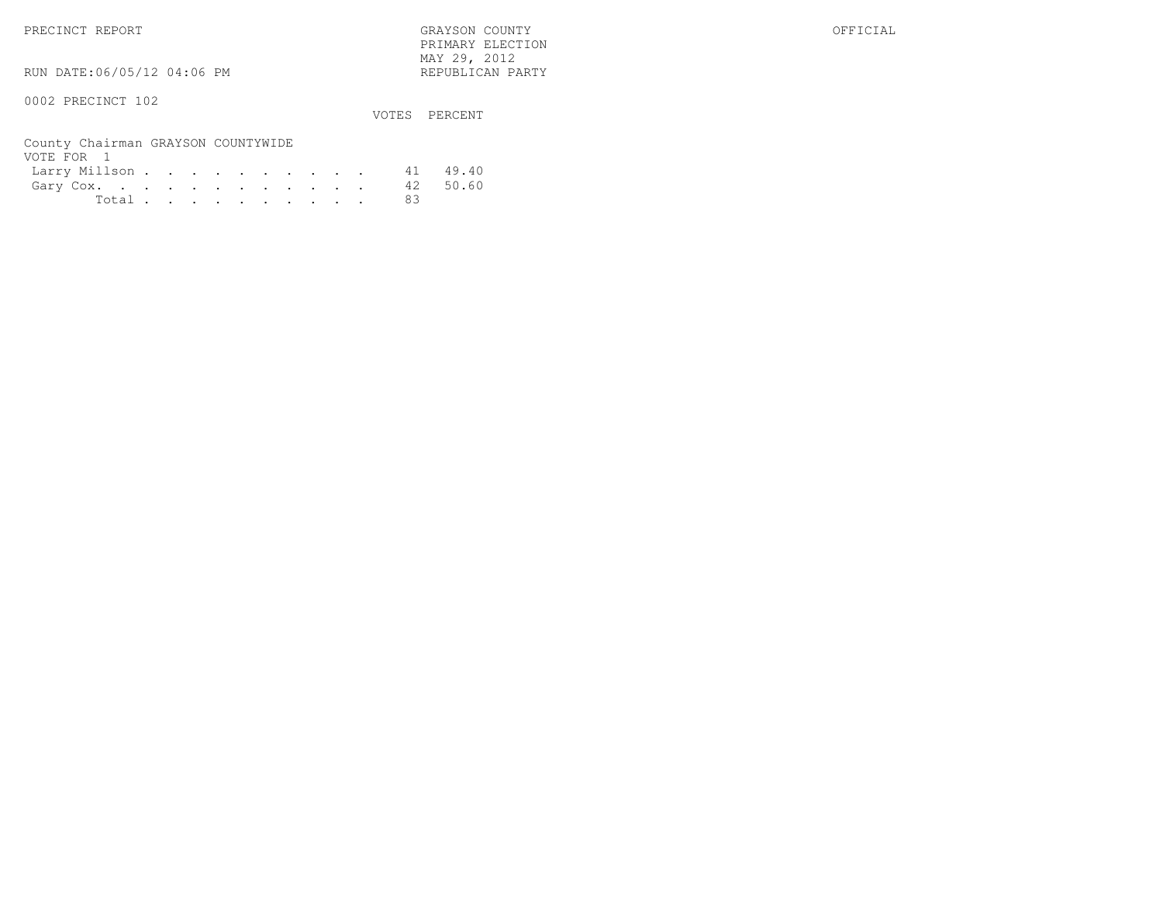PRIMARY ELECTION $\text{MAX } 29, \quad 2012$ 

RUN DATE:06/05/12 04:06 PM

### 0002 PRECINCT 102

VOTES PERCENT

| County Chairman GRAYSON COUNTYWIDE |  |  |  |  |  |     |  |
|------------------------------------|--|--|--|--|--|-----|--|
| VOTE FOR 1                         |  |  |  |  |  |     |  |
| Larry Millson 41 49.40             |  |  |  |  |  |     |  |
| Gary Cox. 42 50.60                 |  |  |  |  |  |     |  |
| Total $\cdots$                     |  |  |  |  |  | -83 |  |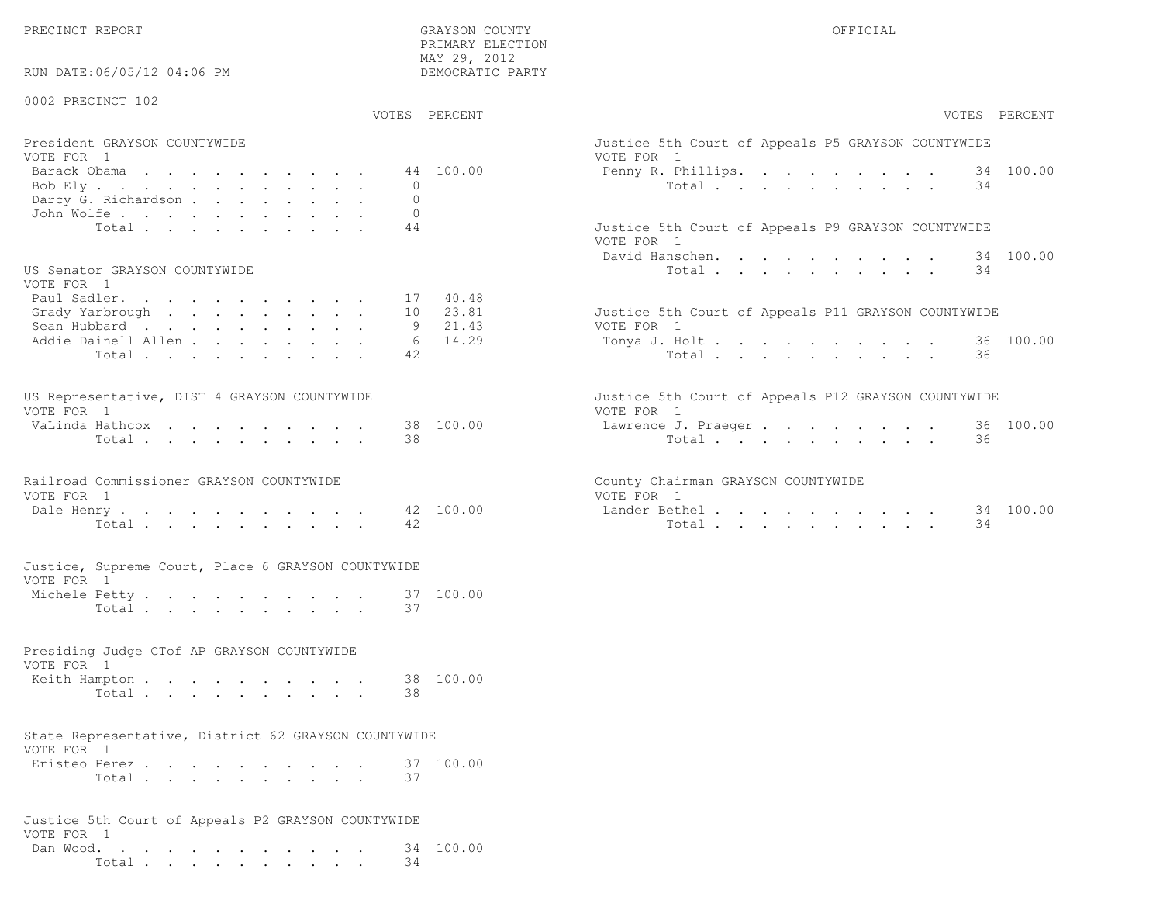$\begin{array}{lll} \text{MAX} & 29, & 2012 \\ \text{NAY} & 29, & 2012 \end{array}$  $RUN \ncurvearrowright 06/05/12 04:06 PM$ 

PRIMARY ELECTION

| KUN DAIL;U0/U3/IZ 04;U0 PM                                                                    |                      | DEMOCRAIIC PARII                      |                                                                                                                      |
|-----------------------------------------------------------------------------------------------|----------------------|---------------------------------------|----------------------------------------------------------------------------------------------------------------------|
| 0002 PRECINCT 102                                                                             |                      | VOTES PERCENT                         | VOTES PERCENT                                                                                                        |
| President GRAYSON COUNTYWIDE<br>VOTE FOR 1<br>Barack Obama<br>Bob Ely<br>Darcy G. Richardson  | $\Omega$<br>$\Omega$ | 44 100.00                             | Justice 5th Court of Appeals P5 GRAYSON COUNTYWIDE<br>VOTE FOR 1<br>Penny R. Phillips. 34 100.00<br>Total<br>34      |
| John Wolfe.<br>Total<br>US Senator GRAYSON COUNTYWIDE                                         | $\Omega$<br>44       |                                       | Justice 5th Court of Appeals P9 GRAYSON COUNTYWIDE<br>VOTE FOR 1<br>David Hanschen.<br>34 100.00<br>34<br>Total      |
| VOTE FOR 1<br>Paul Sadler.<br>Grady Yarbrough<br>Sean Hubbard<br>Addie Dainell Allen<br>Total | 10<br>6<br>42        | 17 40.48<br>23.81<br>9 21.43<br>14.29 | Justice 5th Court of Appeals P11 GRAYSON COUNTYWIDE<br>VOTE FOR 1<br>36 100.00<br>Tonya J. Holt<br>Total<br>36       |
| US Representative, DIST 4 GRAYSON COUNTYWIDE<br>VOTE FOR 1<br>VaLinda Hathcox<br>Total        | 38                   | 38 100.00                             | Justice 5th Court of Appeals P12 GRAYSON COUNTYWIDE<br>VOTE FOR 1<br>36 100.00<br>Lawrence J. Praeger<br>Total<br>36 |
| Railroad Commissioner GRAYSON COUNTYWIDE<br>VOTE FOR 1<br>Dale Henry<br>Total                 | 42                   | 42 100.00                             | County Chairman GRAYSON COUNTYWIDE<br>VOTE FOR 1<br>Lander Bethel 34 100.00<br>Total<br>34                           |
| Justice, Supreme Court, Place 6 GRAYSON COUNTYWIDE<br>VOTE FOR 1<br>Michele Petty<br>Total    | 37                   | 37 100.00                             |                                                                                                                      |
| Presiding Judge CTof AP GRAYSON COUNTYWIDE<br>VOTE FOR 1<br>Keith Hampton<br>Total            | 38                   | 38 100.00                             |                                                                                                                      |
| State Representative, District 62 GRAYSON COUNTYWIDE<br>VOTE FOR 1<br>Eristeo Perez.<br>Total | 37                   | 37 100.00                             |                                                                                                                      |
| Justice 5th Court of Appeals P2 GRAYSON COUNTYWIDE<br>VOTE FOR 1<br>Dan Wood.<br>Total        | 34                   | 34 100.00                             |                                                                                                                      |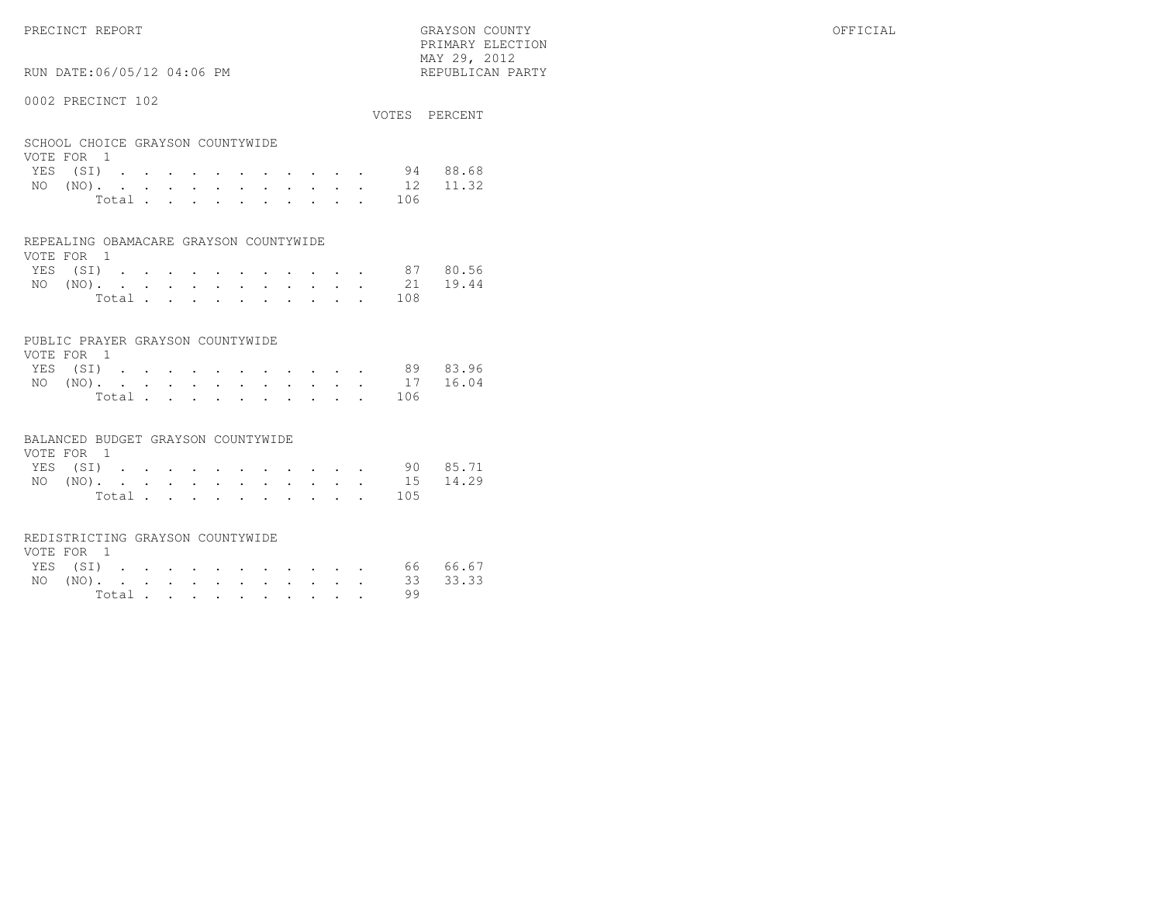PRECINCT REPORT OFFICIAL SERVICE OF STATISTIC GRAYSON COUNTY OF STATISTIC OF STATISTIC OF STATISTIC OF STATISTIC OF STATISTIC OF STATISTIC OF STATISTIC OF STATISTIC OF STATISTIC OF STATISTIC OF STATISTIC OF STATISTIC OF ST

RUN DATE:06/05/12 04:06 PM

#### 0002 PRECINCT 102

|                                  |        |  |  |  |  |  |       | VOTES PERCENT     |
|----------------------------------|--------|--|--|--|--|--|-------|-------------------|
| SCHOOL CHOICE GRAYSON COUNTYWIDE |        |  |  |  |  |  |       |                   |
| VOTE FOR 1                       |        |  |  |  |  |  |       |                   |
|                                  |        |  |  |  |  |  |       | YES (SI) 94 88.68 |
|                                  |        |  |  |  |  |  |       | NO (NO). 12 11.32 |
|                                  | Total. |  |  |  |  |  | - 106 |                   |

 PRIMARY ELECTION MAY 29, 2012REPUBLICAN PARTY

|  | REPEALING OBAMACARE GRAYSON COUNTYWIDE |
|--|----------------------------------------|

| VOTE FOR 1 |  |  |  |  |  |  |                   |  |
|------------|--|--|--|--|--|--|-------------------|--|
|            |  |  |  |  |  |  | YES (SI) 87 80.56 |  |
|            |  |  |  |  |  |  | NO (NO). 21 19.44 |  |
|            |  |  |  |  |  |  | Total 108         |  |

#### PUBLIC PRAYER GRAYSON COUNTYWIDE

| VOTE FOR 1 |          |  |  |  |  |  |  |           |                   |
|------------|----------|--|--|--|--|--|--|-----------|-------------------|
|            | YES (SI) |  |  |  |  |  |  |           | 89 83.96          |
|            |          |  |  |  |  |  |  |           | NO (NO). 17 16.04 |
|            |          |  |  |  |  |  |  | Total 106 |                   |

#### BALANCED BUDGET GRAYSON COUNTYWIDE

| VOTE FOR 1 |  |  |  |  |  |                   |          |
|------------|--|--|--|--|--|-------------------|----------|
| YES (SI)   |  |  |  |  |  |                   | 90 85.71 |
|            |  |  |  |  |  | NO (NO). 15 14.29 |          |
|            |  |  |  |  |  | Total 105         |          |

#### REDISTRICTING GRAYSON COUNTYWIDE

| VOTE FOR 1 |  |  |  |  |  |                   |    |  |
|------------|--|--|--|--|--|-------------------|----|--|
|            |  |  |  |  |  | YES (SI) 66 66.67 |    |  |
|            |  |  |  |  |  | NO (NO). 33 33.33 |    |  |
|            |  |  |  |  |  |                   | 99 |  |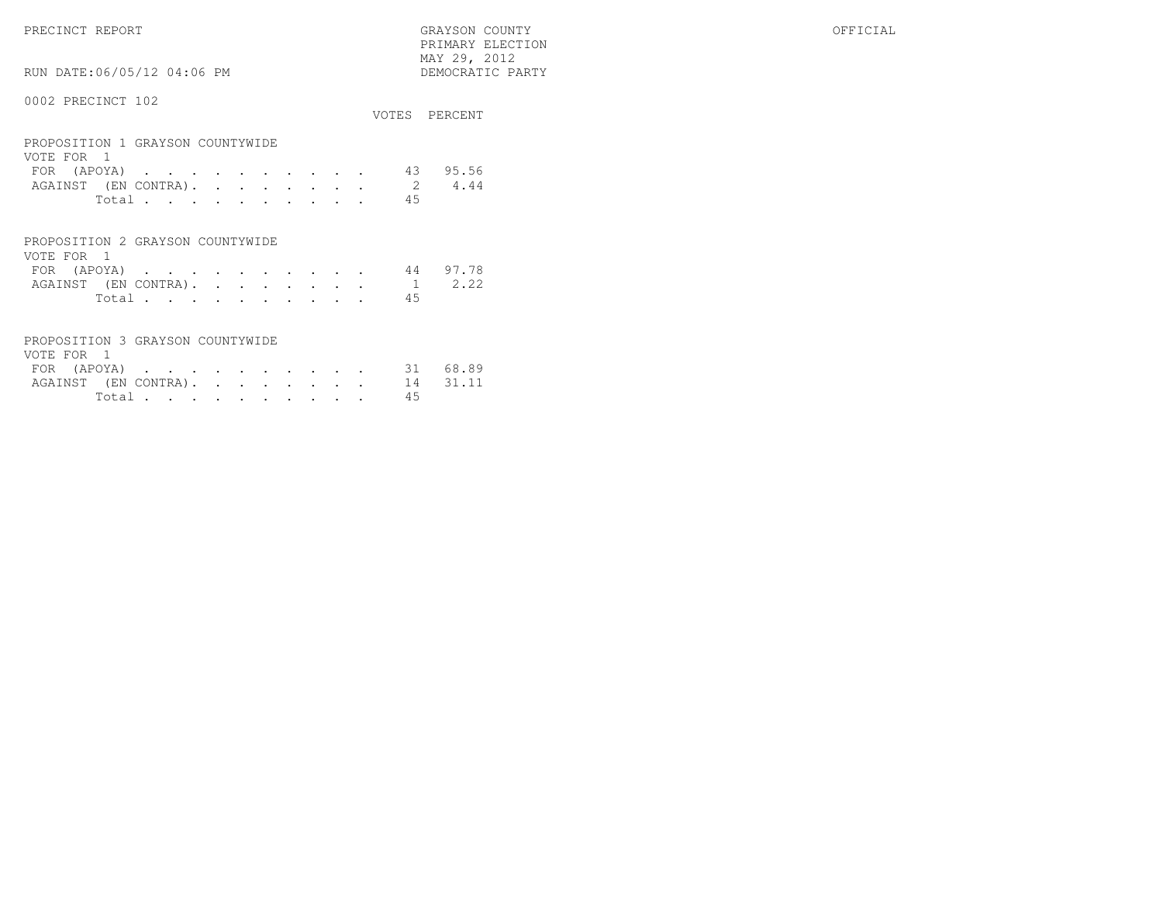PRECINCT REPORT GRAYSON COUNTY OFFICIAL PRIMARY ELECTION $\begin{array}{lll} \text{MAX} & 29, & 2012 \\ \text{NAY} & 29, & 2012 \end{array}$ 

RUN DATE:06/05/12 04:06 PM

### 0002 PRECINCT 102

|                                                |       |  |  |  |  |  |    | VOTES PERCENT |
|------------------------------------------------|-------|--|--|--|--|--|----|---------------|
| PROPOSITION 1 GRAYSON COUNTYWIDE<br>VOTE FOR 1 |       |  |  |  |  |  |    |               |
| FOR $($ APOYA $)$                              |       |  |  |  |  |  | 43 | 95.56         |
| AGAINST (EN CONTRA). 2                         |       |  |  |  |  |  |    | 4.44          |
|                                                | Total |  |  |  |  |  | 45 |               |
|                                                |       |  |  |  |  |  |    |               |

| PROPOSITION 2 GRAYSON COUNTYWIDE |  |  |  |  |  |                             |    |  |
|----------------------------------|--|--|--|--|--|-----------------------------|----|--|
| VOTE FOR 1                       |  |  |  |  |  |                             |    |  |
|                                  |  |  |  |  |  | FOR (APOYA) 44 97.78        |    |  |
|                                  |  |  |  |  |  | AGAINST (EN CONTRA). 1 2.22 |    |  |
|                                  |  |  |  |  |  | Total.                      | 45 |  |

| PROPOSITION 3 GRAYSON COUNTYWIDE |  |  |  |  |  |    |  |
|----------------------------------|--|--|--|--|--|----|--|
| VOTE FOR 1                       |  |  |  |  |  |    |  |
| FOR (APOYA) 31 68.89             |  |  |  |  |  |    |  |
| AGAINST (EN CONTRA). 14 31.11    |  |  |  |  |  |    |  |
| Total $\cdots$                   |  |  |  |  |  | 45 |  |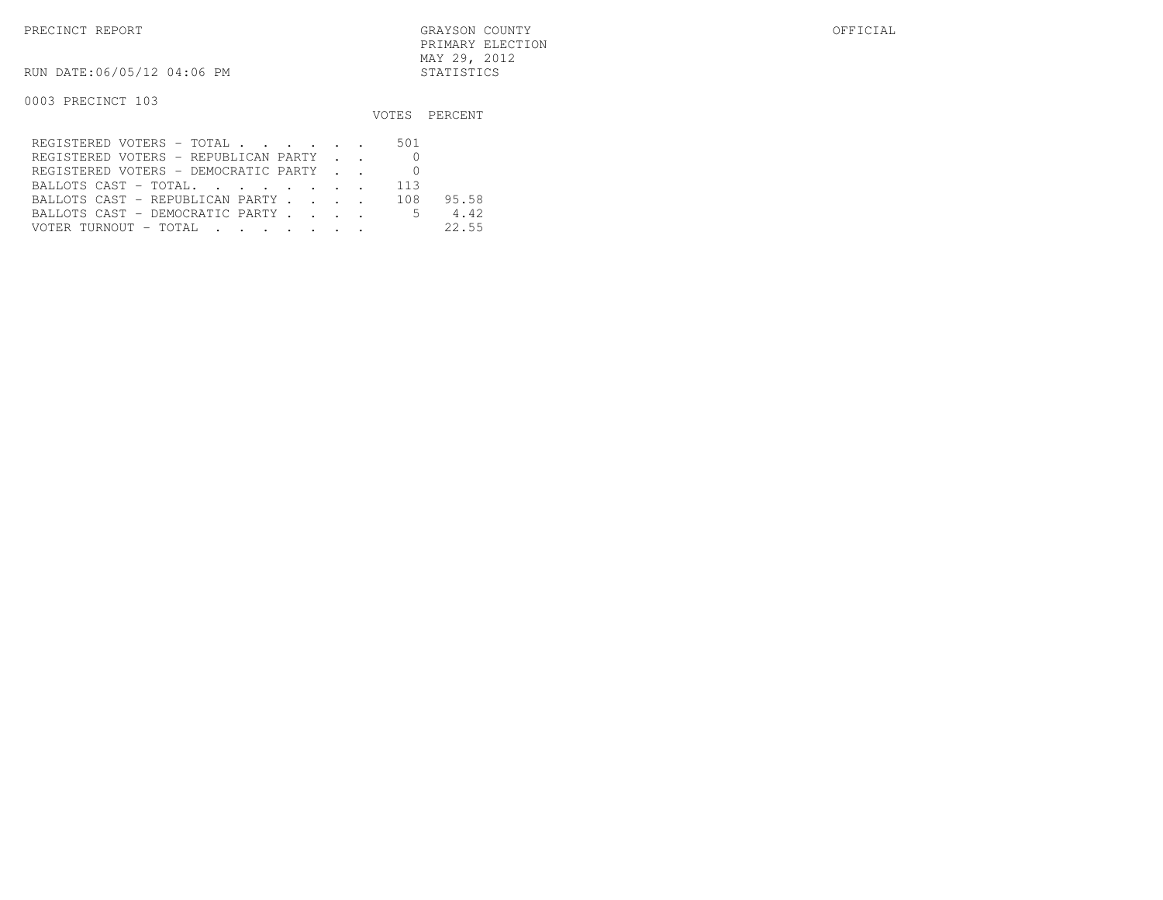PRECINCT REPORT GRAYSON COUNTY OFFICIAL PRIMARY ELECTIONMAY 29, 2012

RUN DATE:06/05/12 04:06 PM STATISTICS

0003 PRECINCT 103

|                                        |  | VOTES PERCENT |
|----------------------------------------|--|---------------|
| REGISTERED VOTERS - TOTAL 501          |  |               |
| REGISTERED VOTERS - REPUBLICAN PARTY 0 |  |               |
| REGISTERED VOTERS - DEMOCRATIC PARTY   |  |               |
| BALLOTS CAST - TOTAL 113               |  |               |
| BALLOTS CAST - REPUBLICAN PARTY 108    |  | 95.58         |
| BALLOTS CAST - DEMOCRATIC PARTY 5      |  | 4.42          |
|                                        |  | 22.55         |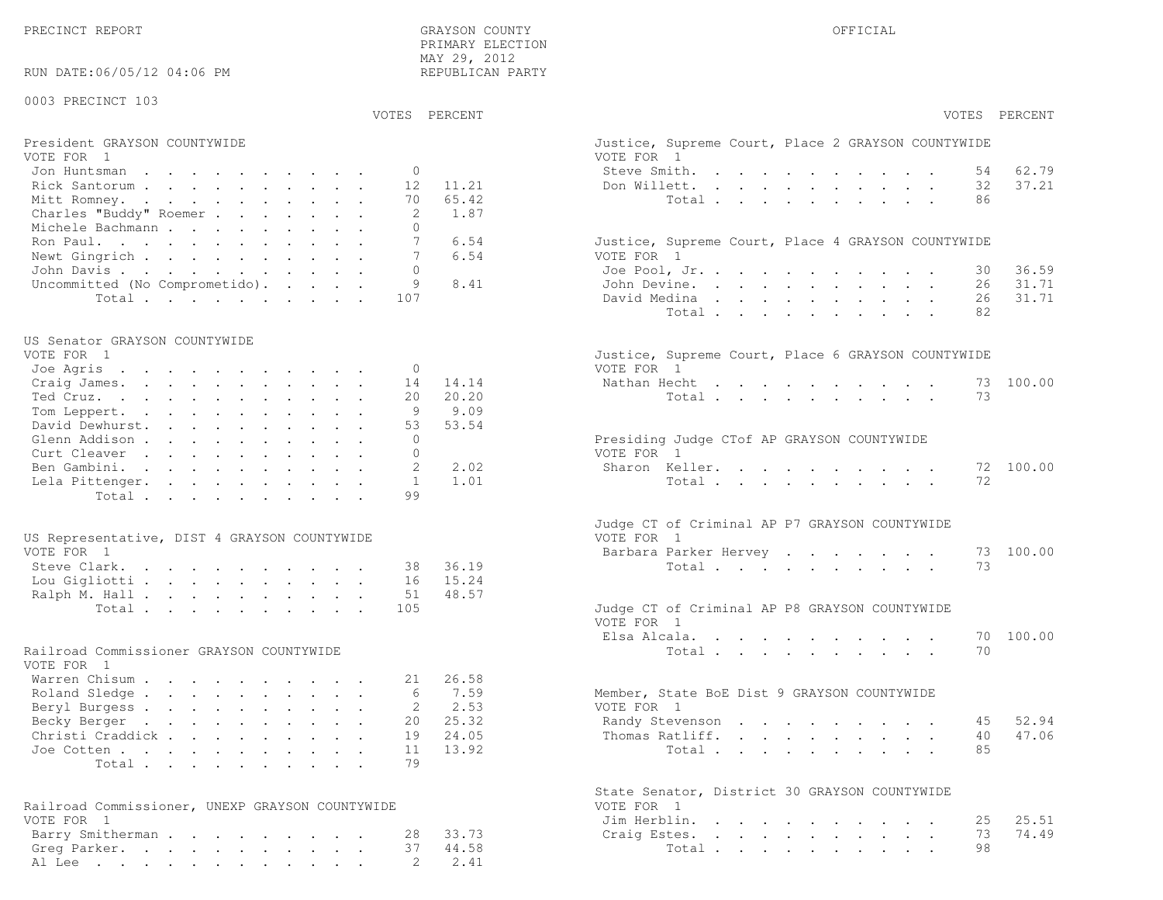PRECINCT REPORT THE COUNTY GRAYSON COUNTY THE COUNTY OFFICIAL OFFICIAL COUNTY OF THE COUNTY OF THE COUNTY OF THE COUNTY OF THE COUNTY OF THE COUNTY OF THE COUNTY OF THE COUNTY OF THE COUNTY OF THE COUNTY OF THE COUNTY OF T PRIMARY ELECTION MAY 29, 2012REPUBLICAN PARTY

RUN DATE:06/05/12 04:06 PM

#### 0003 PRECINCT 103

VOTES PERCENT VOTES PERCENT

# President GRAYSON COUNTYWIDE Justice, Superior Court, Superior Court, Place 2 Grammary 2 Grammary 2 Grammary 2 G<br>Vote 2 Grammary 2 Grammary 2 Grammary 2 Grammary 2 Grammary 2 Grammary 2 Grammary 2 Grammary 2 Grammary 2 Gra

| VOTE FOR 1                            | VOTE FOR 1                                         |
|---------------------------------------|----------------------------------------------------|
| Jon Huntsman 0                        | 62.79<br>Steve Smith. 54                           |
| Rick Santorum 12 11.21                | 37.21<br>Don Willett. 32                           |
| Mitt Romney. 70 65.42                 | Total 86                                           |
| Charles "Buddy" Roemer 2 1.87         |                                                    |
| Michele Bachmann                      |                                                    |
| 6.54<br>Ron Paul. 7                   | Justice, Supreme Court, Place 4 GRAYSON COUNTYWIDE |
| Newt Gingrich<br>6.54                 | VOTE FOR 1                                         |
| John Davis 0                          | 36.59<br>Joe Pool, Jr. 30                          |
| Uncommitted (No Comprometido). 9 8.41 | John Devine. 26 31.71                              |
| Total 107                             | 26 31.71<br>David Medina                           |

#### US Senator GRAYSON COUNTYWIDE

| Craig James. 14 14.14<br>20 20.20<br>Tom Leppert. 9 9.09<br>David Dewhurst. 53 53.54<br>Ben Gambini. 2 2.02<br>Lela Pittenger. 1 1.01 | VOTE FOR 1<br>VOTE FOR 1 |  |  |  | Justice, Supreme Court, Place 6 GRAYSON COUNTYWIDE<br>Nathan Hecht 73 100.00<br>Total 73<br>Presiding Judge CTof AP GRAYSON COUNTYWIDE<br>Sharon Keller. 72 100.00<br>Total 72 |
|---------------------------------------------------------------------------------------------------------------------------------------|--------------------------|--|--|--|--------------------------------------------------------------------------------------------------------------------------------------------------------------------------------|

| US Representative, DIST 4 GRAYSON COUNTYWIDE |                        | VOTE FOR 1                                    |
|----------------------------------------------|------------------------|-----------------------------------------------|
| VOTE FOR 1                                   |                        | Barbara Parker Hervey 73 100.00               |
|                                              | Steve Clark. 38 36.19  | Total 73                                      |
|                                              | Lou Gigliotti 16 15.24 |                                               |
|                                              | Ralph M. Hall 51 48.57 |                                               |
|                                              | Total 105              | Judge CT of Criminal AP P8 GRAYSON COUNTYWIDE |

#### Railroad Commissioner GRAYSON COUNTYWIDE

| VOTE FOR 1                |  |  |  |  |  |                                             |
|---------------------------|--|--|--|--|--|---------------------------------------------|
| Warren Chisum 21 26.58    |  |  |  |  |  |                                             |
| Roland Sledge 6 7.59      |  |  |  |  |  | Member, State BoE Dist 9 GRAYSON COUNTYWIDE |
| Beryl Burgess 2 2.53      |  |  |  |  |  | VOTE FOR 1                                  |
| Becky Berger 20 25.32     |  |  |  |  |  | Randy Stevenson 45 52.94                    |
| Christi Craddick 19 24.05 |  |  |  |  |  | Thomas Ratliff. 40 47.06                    |
| Joe Cotten 11 $13.92$     |  |  |  |  |  | Total 85                                    |
| Total 79                  |  |  |  |  |  |                                             |

| Railroad Commissioner, UNEXP GRAYSON COUNTYWIDE | VOTE FOR 1            |
|-------------------------------------------------|-----------------------|
| VOTE FOR 1                                      | Jim Herblin. 25 25.51 |
| Barry Smitherman 28 33.73                       | Craig Estes. 73 74.49 |
| Greg Parker. 37 44.58                           | Total 98              |
| Al Lee 2 2.41                                   |                       |

| PERCENT | VOTES<br>PERCENT                                                                                                                                                                                                                                 |
|---------|--------------------------------------------------------------------------------------------------------------------------------------------------------------------------------------------------------------------------------------------------|
|         | Justice, Supreme Court, Place 2 GRAYSON COUNTYWIDE<br>VOTE FOR 1                                                                                                                                                                                 |
|         | Steve Smith.<br>54 62.79<br>$\mathbf{L}^{\text{max}}$<br>$\mathbf{r} = \mathbf{r} + \mathbf{r}$<br>$\sim$ 100 $\pm$<br>$\ddot{\phantom{0}}$<br>$\ddot{\phantom{a}}$                                                                              |
| 11.21   | 32<br>37.21<br>Don Willett.<br>$\mathbf{L}^{\text{max}}$<br>$\mathbf{L} = \mathbf{L} \mathbf{L}$                                                                                                                                                 |
| 65.42   | Total .<br>86<br>$\mathcal{L}^{\text{max}}$                                                                                                                                                                                                      |
| 1.87    |                                                                                                                                                                                                                                                  |
|         |                                                                                                                                                                                                                                                  |
| 6.54    | Justice, Supreme Court, Place 4 GRAYSON COUNTYWIDE                                                                                                                                                                                               |
| 6.54    | VOTE FOR 1                                                                                                                                                                                                                                       |
|         | Joe Pool, Jr.<br>30<br>36.59                                                                                                                                                                                                                     |
| 8.41    | 31.71<br>John Devine.<br>26<br>$\mathbf{r} = \mathbf{r} + \mathbf{r} + \mathbf{r} + \mathbf{r}$<br>$\sim$ $-$<br>$\ddotsc$                                                                                                                       |
|         | 31.71<br>David Medina<br>26<br>$\ddot{\phantom{a}}$<br>$\mathbf{L}$<br>$\mathbf{L}$                                                                                                                                                              |
|         | Total<br>82<br>$\cdot$ $\cdot$ $\cdot$<br>$\ddot{\phantom{a}}$<br>$\ddot{\phantom{a}}$<br>$\ddot{\phantom{a}}$<br>$\mathbf{r}$<br>$\sim$                                                                                                         |
|         |                                                                                                                                                                                                                                                  |
|         |                                                                                                                                                                                                                                                  |
|         | Justice, Supreme Court, Place 6 GRAYSON COUNTYWIDE                                                                                                                                                                                               |
| 14.14   | VOTE FOR 1<br>73<br>100.00                                                                                                                                                                                                                       |
| 20.20   | Nathan Hecht<br>$\sim$<br>$\sim$<br>73                                                                                                                                                                                                           |
| 9.09    | Total                                                                                                                                                                                                                                            |
| 53.54   |                                                                                                                                                                                                                                                  |
|         | Presiding Judge CTof AP GRAYSON COUNTYWIDE                                                                                                                                                                                                       |
|         | VOTE FOR 1                                                                                                                                                                                                                                       |
| 2.02    | Sharon Keller.<br>100.00<br>72                                                                                                                                                                                                                   |
| 1.01    | Total<br>72                                                                                                                                                                                                                                      |
|         |                                                                                                                                                                                                                                                  |
|         |                                                                                                                                                                                                                                                  |
|         | Judge CT of Criminal AP P7 GRAYSON COUNTYWIDE                                                                                                                                                                                                    |
|         | VOTE FOR 1                                                                                                                                                                                                                                       |
|         | Barbara Parker Hervey<br>100.00<br>73                                                                                                                                                                                                            |
| 36.19   | 73<br>Total                                                                                                                                                                                                                                      |
| 15.24   |                                                                                                                                                                                                                                                  |
| 48.57   |                                                                                                                                                                                                                                                  |
|         | Judge CT of Criminal AP P8 GRAYSON COUNTYWIDE                                                                                                                                                                                                    |
|         | VOTE FOR 1                                                                                                                                                                                                                                       |
|         | Elsa Alcala.<br>70 100.00<br>$\sim$ $-$<br>$\mathbf{z} = \mathbf{z} + \mathbf{z}$ , where $\mathbf{z} = \mathbf{z}$<br>70                                                                                                                        |
|         | Total $\cdots$                                                                                                                                                                                                                                   |
| 26.58   |                                                                                                                                                                                                                                                  |
| 7.59    | Member, State BoE Dist 9 GRAYSON COUNTYWIDE                                                                                                                                                                                                      |
| 2.53    | VOTE FOR 1                                                                                                                                                                                                                                       |
| 25.32   | 52.94<br>Randy Stevenson<br>45                                                                                                                                                                                                                   |
| 24.05   | 40 47.06<br>Thomas Ratliff.<br>$\mathcal{L}^{\text{max}}$<br>$\ddot{\phantom{0}}$<br>$\ddot{\phantom{a}}$                                                                                                                                        |
| 13.92   | 85<br>Total<br>$\overline{\mathcal{L}}$ .                                                                                                                                                                                                        |
|         |                                                                                                                                                                                                                                                  |
|         |                                                                                                                                                                                                                                                  |
|         | State Senator, District 30 GRAYSON COUNTYWIDE                                                                                                                                                                                                    |
|         | VOTE FOR<br>$\overline{1}$                                                                                                                                                                                                                       |
|         | Jim Herblin.<br>25.51<br>25<br>$\mathbf{L} = \mathbf{L}$<br>$\ddot{\phantom{0}}$<br>$\ddot{\phantom{a}}$<br>$\ddot{\phantom{0}}$<br>$\ddot{\phantom{0}}$<br>$\bullet$<br>$\sim 100$ km s $^{-1}$<br>$\ddot{\phantom{a}}$<br>$\ddot{\phantom{a}}$ |
| 33.73   | 74.49<br>73<br>Craig Estes.<br>$\mathbf{L}$<br>$\mathbf{r} = \mathbf{r} + \mathbf{r} + \mathbf{r} + \mathbf{r}$<br>$\ddot{\phantom{0}}$<br>$\sim$ 100 $\pm$<br>$\ddot{\phantom{a}}$                                                              |
| 44.58   | 98<br>Total<br><b>Contract Contract Contract</b><br>$\ddot{\phantom{0}}$                                                                                                                                                                         |
| 2.41    |                                                                                                                                                                                                                                                  |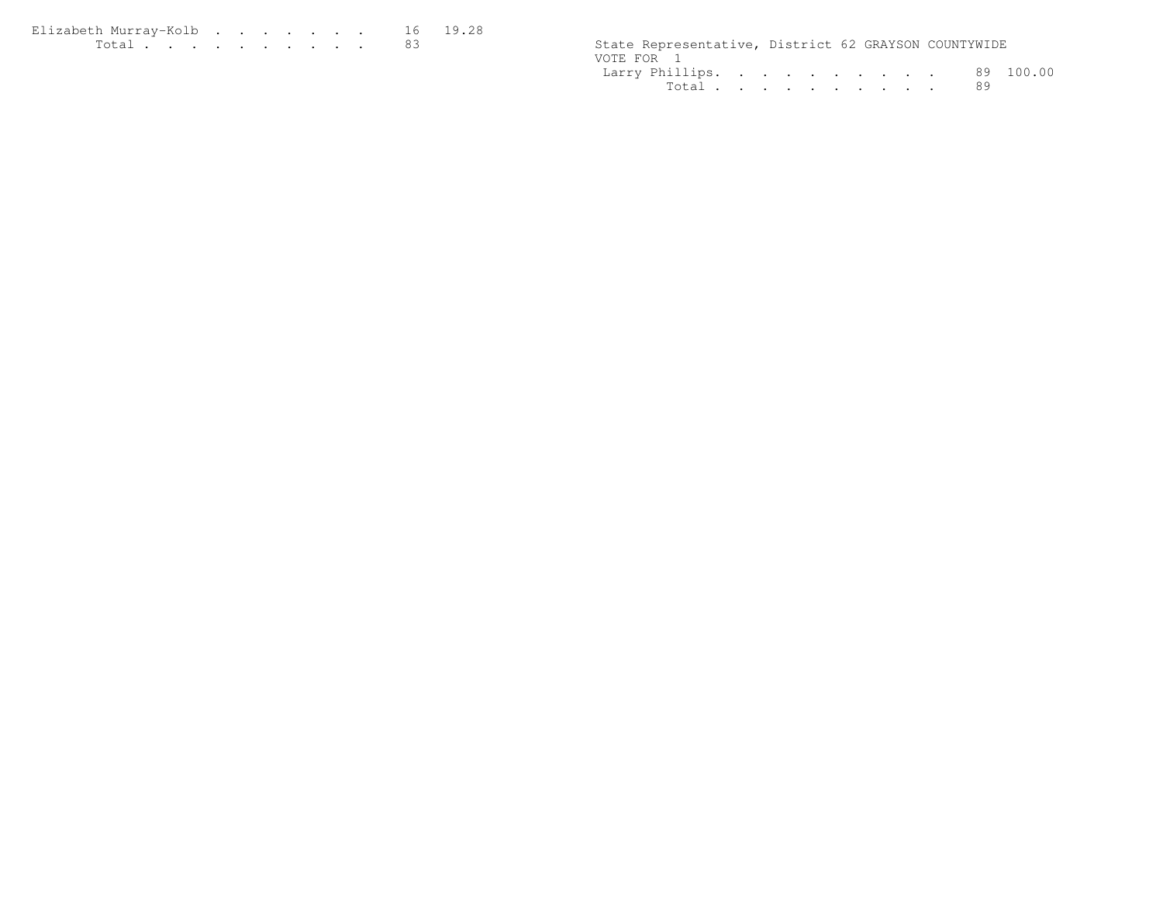| Elizabeth Murray-Kolb |  |  |  |  | 16 19.28 |
|-----------------------|--|--|--|--|----------|
| Total $\cdots$        |  |  |  |  |          |

| $T \cap$ + $\cap$ + | State Representative, District 62 GRAYSON COUNTYWIDE |                                                                                               |  |    |            |
|---------------------|------------------------------------------------------|-----------------------------------------------------------------------------------------------|--|----|------------|
|                     | VOTE FOR                                             |                                                                                               |  |    |            |
|                     | Larry Phillips.                                      | $\mathcal{L}$ , and the contribution of the contribution of the contribution of $\mathcal{L}$ |  | 89 | ∩∩<br>100. |
|                     | $T \cap + \cap +$                                    |                                                                                               |  | 89 |            |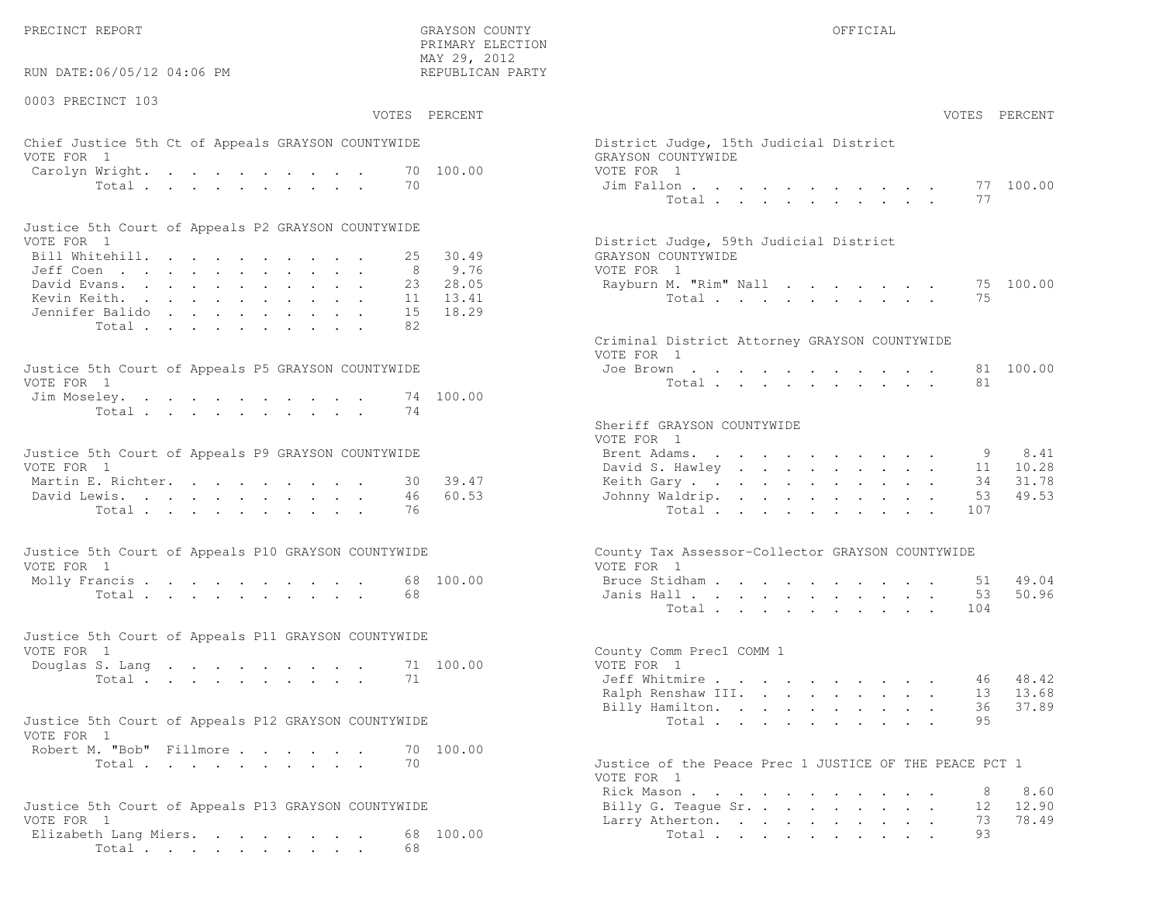PRECINCT REPORT OF THE SERVICE OF THE GRAYSON COUNTY OF THE GRAYSON COUNTY OF THE GRAYSON OF THE GRAYSON COUNTY

RUN DATE:06/05/12 04:06 PM

0003 PRECINCT 103

VOTES PERCENT VOTES PERCENT

 PRIMARY ELECTION MAY 29, 2012REPUBLICAN PARTY

### Chief Justice 5th Ct of Appeals GRAYSON COUNTYWIDE Dist VOTE FOR 1 GRAYSON COUNTY UNIVERSITY OF SALES AND GRAYSON COUNTY OF SALES AND GRAYSON COUNTY OF SALES AND GRAY Carolyn Wright. . . . . . . . . . . 70 100.00 VOTE  $Total . . . . . . . . . . . 70$  Jim

| Justice 5th Court of Appeals P2 GRAYSON COUNTYWIDE |  |  |  |  |  |                                        |
|----------------------------------------------------|--|--|--|--|--|----------------------------------------|
| VOTE FOR 1                                         |  |  |  |  |  | District Judge, 59th Judicial District |
| Bill Whitehill. 25 30.49                           |  |  |  |  |  | GRAYSON COUNTYWIDE                     |
| Jeff Coen 8 9.76                                   |  |  |  |  |  | VOTE FOR 1                             |
| David Evans. 23 28.05                              |  |  |  |  |  | Rayburn M. "Rim" Nall 75 100.00        |
| Kevin Keith. 11 13.41                              |  |  |  |  |  | Total 75                               |
| Jennifer Balido,    15 18.29                       |  |  |  |  |  |                                        |
| Total 82                                           |  |  |  |  |  |                                        |

| Justice 5th Court of Appeals P5 GRAYSON COUNTYWIDE | Joe Brown 81 100.00 |
|----------------------------------------------------|---------------------|
| VOTE FOR 1                                         | Total 81            |
| Jim Moseley. 74 100.00                             |                     |
| Total 74                                           |                     |

| Justice 5th Court of Appeals P9 GRAYSON COUNTYWIDE |  |  |  | Brent Adams. 9 8.41      |  |  |  |  |  |  |
|----------------------------------------------------|--|--|--|--------------------------|--|--|--|--|--|--|
| VOTE FOR 1                                         |  |  |  | David S. Hawley 11 10.28 |  |  |  |  |  |  |
| Martin E. Richter. 30 39.47                        |  |  |  | Keith Gary 34 31.78      |  |  |  |  |  |  |
| David Lewis. 46 60.53                              |  |  |  | Johnny Waldrip. 53 49.53 |  |  |  |  |  |  |
| Total 76                                           |  |  |  | Total 107                |  |  |  |  |  |  |

| Justice 5th Court of Appeals P10 GRAYSON COUNTYWIDE | County Tax Assessor-Collector GRAYSON COUNTYWIDE |
|-----------------------------------------------------|--------------------------------------------------|
| VOTE FOR 1                                          | VOTE FOR 1                                       |
| Molly Francis 68 100.00                             | Bruce Stidham 51 49.04                           |
| Total 68                                            | Janis Hall 53 50.96                              |

| Justice 5th Court of Appeals P11 GRAYSON COUNTYWIDE |  |  |  |  |          |  |                           |  |
|-----------------------------------------------------|--|--|--|--|----------|--|---------------------------|--|
| VOTE FOR 1                                          |  |  |  |  |          |  | County Comm Prec1 COMM 1  |  |
| Douglas S. Lang 71 100.00                           |  |  |  |  |          |  | VOTE FOR 1                |  |
|                                                     |  |  |  |  | Total 71 |  | 46 48.42<br>Jeff Whitmire |  |

| Justice 5th Court of Appeals P12 GRAYSON COUNTYWIDE |  |  | Total 95 |  |  |  |
|-----------------------------------------------------|--|--|----------|--|--|--|
| VOTE FOR 1                                          |  |  |          |  |  |  |
| Robert M. "Bob" Fillmore 70 100.00                  |  |  |          |  |  |  |
|                                                     |  |  |          |  |  |  |

```
Total . . . . . . . . . . . 70 Just
```

```
Justice 5th Court of Appeals P13 GRAYSON COUNTYWIDE Billy G. Teague Sr. . . . . . . . . . 12<br>VOTE FOR 1
Elizabeth Lang Miers. . . . . . . 68 100.00 10tal . . . . . . . . . . 93
      Total . . . . . . . . . . 68
```

| EPUBLICAN PARTY                          |                                                                                          |       |  |  |                                                                               |                      |                 |        |                            |                                 |
|------------------------------------------|------------------------------------------------------------------------------------------|-------|--|--|-------------------------------------------------------------------------------|----------------------|-----------------|--------|----------------------------|---------------------------------|
| PERCENT                                  |                                                                                          |       |  |  |                                                                               |                      |                 |        | VOTES                      | PERCENT                         |
| 100.00                                   | District Judge, 15th Judicial District<br>GRAYSON COUNTYWIDE<br>VOTE FOR 1<br>Jim Fallon |       |  |  |                                                                               |                      |                 |        |                            | 77 100.00                       |
|                                          | District Judge, 59th Judicial District                                                   | Total |  |  |                                                                               |                      |                 |        | 77                         |                                 |
| 30.49<br>9.76<br>28.05<br>13.41<br>18.29 | GRAYSON COUNTYWIDE<br>VOTE FOR 1<br>Rayburn M. "Rim" Nall                                | Total |  |  |                                                                               |                      |                 |        | 75                         | 75 100.00                       |
|                                          | Criminal District Attorney GRAYSON COUNTYWIDE<br>VOTE FOR 1                              |       |  |  |                                                                               |                      |                 |        |                            |                                 |
| 100.00                                   | Joe Brown                                                                                | Total |  |  |                                                                               |                      |                 |        | 81<br>81                   | 100.00                          |
|                                          | Sheriff GRAYSON COUNTYWIDE<br>VOTE FOR 1                                                 |       |  |  |                                                                               |                      |                 |        |                            |                                 |
| 39.47<br>60.53                           | Brent Adams.<br>David S. Hawley<br>Keith Gary<br>Johnny Waldrip.                         | Total |  |  | $\mathbf{r} = \mathbf{r} + \mathbf{r} + \mathbf{r} + \mathbf{r} + \mathbf{r}$ | $\ddot{\phantom{0}}$ |                 | $\sim$ | 9<br>11<br>34<br>53<br>107 | 8.41<br>10.28<br>31.78<br>49.53 |
|                                          | County Tax Assessor-Collector GRAYSON COUNTYWIDE<br>VOTE FOR 1                           |       |  |  |                                                                               |                      |                 |        |                            |                                 |
| 100.00                                   | Bruce Stidham<br>Janis Hall                                                              | Total |  |  |                                                                               |                      | $\mathbf{L}$    |        | 51<br>53<br>104            | 49.04<br>50.96                  |
| 100.00                                   | County Comm Prec1 COMM 1<br>VOTE FOR 1<br>Jeff Whitmire                                  |       |  |  |                                                                               |                      |                 |        | 46                         | 48.42                           |
|                                          | Ralph Renshaw III.<br>Billy Hamilton.                                                    | Total |  |  | $\begin{array}{cccccccccccccc} . & . & . & . & . & . & . & . & . \end{array}$ |                      | $\sim 10^{-11}$ |        | 13<br>36<br>95             | 13.68<br>37.89                  |
| 100.00                                   | Justice of the Peace Prec 1 JUSTICE OF THE PEACE PCT 1                                   |       |  |  |                                                                               |                      |                 |        |                            |                                 |
|                                          | VOTE FOR 1<br>Rick Mason.                                                                |       |  |  |                                                                               |                      |                 |        |                            | 8 8.60                          |

Larry Atherton. . . . . . . . . . 73

12.90

78.49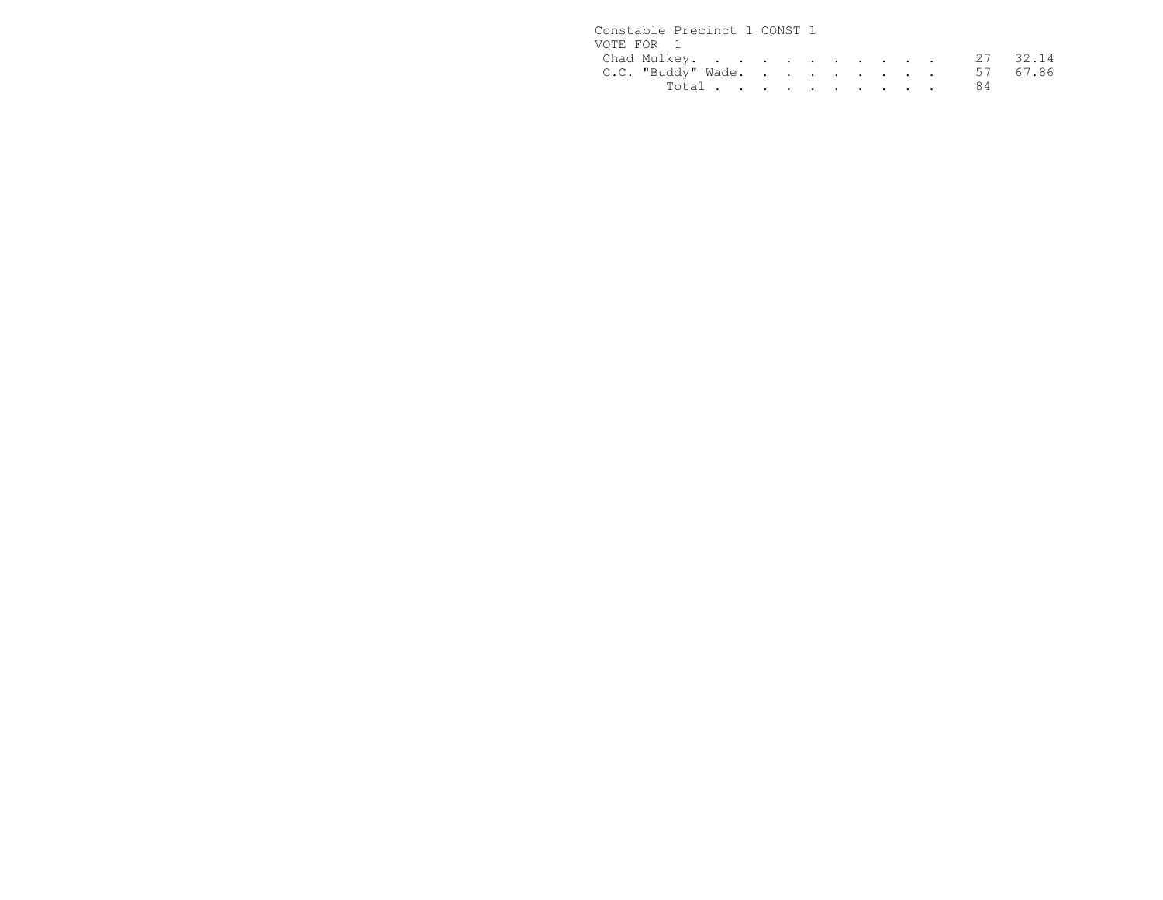| Constable Precinct 1 CONST 1 |  |  |  |  |  |
|------------------------------|--|--|--|--|--|
| VOTE FOR 1                   |  |  |  |  |  |
| Chad Mulkey. 27 32.14        |  |  |  |  |  |
| C.C. "Buddy" Wade. 57 67.86  |  |  |  |  |  |
| Total 84                     |  |  |  |  |  |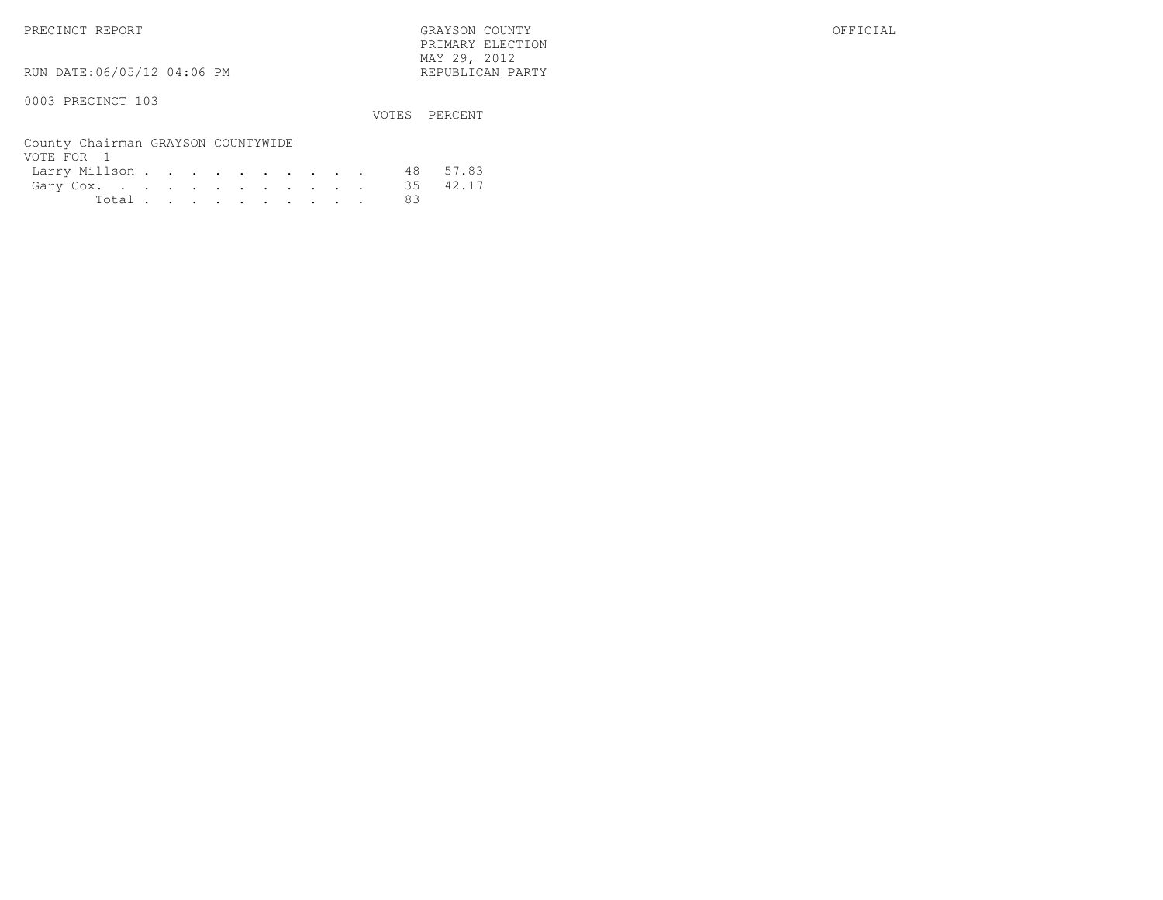RUN DATE:06/05/12 04:06 PM

0003 PRECINCT 103

VOTES PERCENT

 PRIMARY ELECTION MAY 29, 2012REPUBLICAN PARTY

County Chairman GRAYSON COUNTYWIDEVOTE FOR 1 Larry Millson . . . . . . . . . . 48 57.8335 42.17 Gary  $\overline{C}$ ox. . . . . . . . . . . . 35<br>Total . . . . . . . . . 83 Total . . . . . . . . . .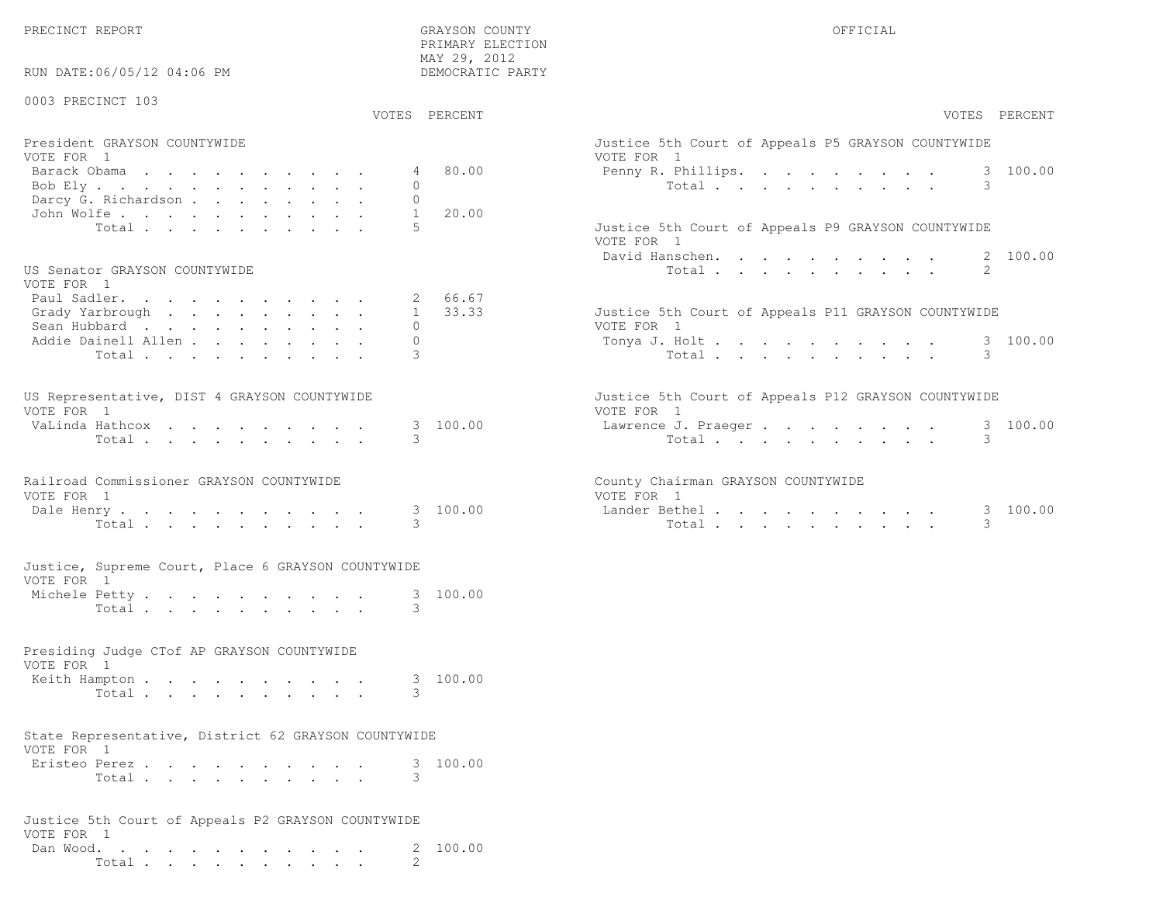PRECINCT REPORT GRAYSON COUNTY OFFICIAL PRIMARY ELECTION MAY 29, 2012DEMOCRATIC PARTY RUN DATE:06/05/12 04:06 PM 0003 PRECINCT 103 VOTES PERCENT VOTES PERCENTPresident GRAYSON COUNTYWIDE Justice 5th Court of Appeals P5 GRAYSON COUNTYWIDEVOTE FOR 1 VOTE FOR 1 Barack Obama . . . . . . . . . . 4 80.00 Penny R. Phillips. . . . . . . . . 3 100.00Bob Ely . . . . . . . . . . . . 0 Total . . . . . . . . . . 3 Darcy G. Richardson . . . . . . . . 0  $-1$  John Wolfe . . . . . . . . . . . 1 20.00Total . . . . . . . . . 5 Justice 5th Court of Appeals P9 GRAYSON COUNTYWIDE VOTE FOR 1 David Hanschen. . . . . . . . . . 2 100.00US Senator GRAYSON COUNTYWIDE **The COUNTY SERVICE ASSESS** (SERVICE 2) Total . . . . . . . . . . . . 2 VOTE FOR 1 Paul Sadler. . . . . . . . . . . 2 66.67 $1 \quad 33.33$ Grady Yarbrough . . . . . . . . 1 33.33 Justice 5th Court of Appeals P11 GRAYSON COUNTYWIDE Sean Hubbard . . . . . . . . . . 0 0 0 0 VOTE FOR 1 Addie Dainell Allen . . . . . . . . 0 Tonya J. Holt . . . . . . . . . . 3 100.00 Total . . . . . . . . . . 3 Total . . . . . . . . . . 3US Representative, DIST 4 GRAYSON COUNTYWIDE THE SERVICE STRAIN STATE OF A SUBSEXTED STATES OF A POSSIBLE OF A VOTE FOR 1 VOTE FOR 1 VaLinda Hathcox . . . . . . . . . 3 100.00 Lawrence J. Praeger . . . . . . . . 3 100.00 Total . . . . . . . . . . 3 Total . . . . . . . . . . 3Railroad Commissioner GRAYSON COUNTYWIDE County Chairman GRAYSON COUNTYWIDEVOTE FOR 1 VOTE FOR 1Lander Bethel. . . . . . . . . . Dale Henry . . . . . . . . . 3 100.00 Lander Bethel . . . . . . . . . 3 100.00 Total . . . . . . . . . . 3 Total . . . . . . . . . . 3Justice, Supreme Court, Place 6 GRAYSON COUNTYWIDEVOTE FOR 1Michele Petty . . . . . . . . . . . 3 100.00 Total . . . . . . . . . . 3 Presiding Judge CTof AP GRAYSON COUNTYWIDEVOTE FOR 1Keith Hampton . . . . . . . . . . . 3 100.00 Total . . . . . . . . . . 3 State Representative, District 62 GRAYSON COUNTYWIDEVOTE FOR 1 Eristeo Perez . . . . . . . . . . 3 100.00Total . . . . . . . . . . . 3 Justice 5th Court of Appeals P2 GRAYSON COUNTYWIDEVOTE FOR 1Dan Wood. . . . . . . . . . . . 2 100.00

Total  $\cdots$  . . . . . . . . 2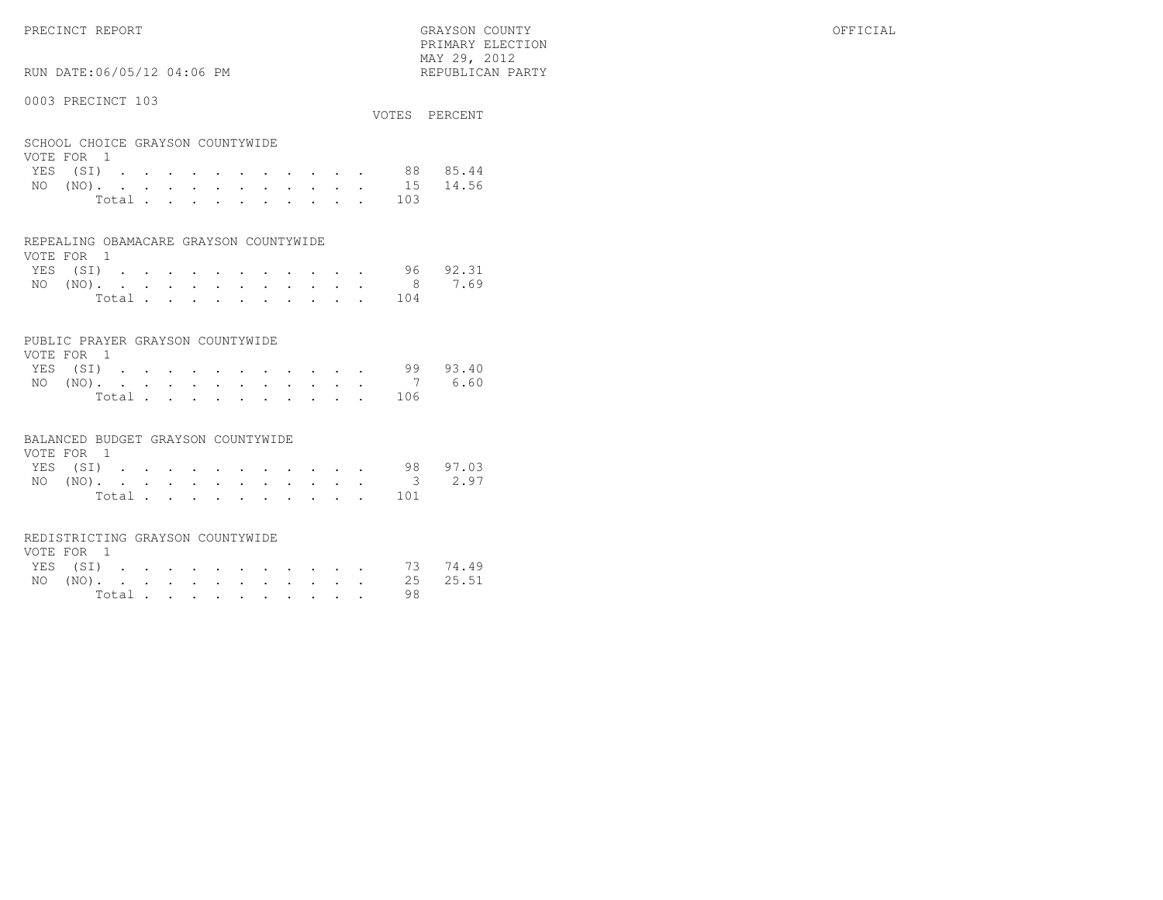PRIMARY ELECTION $\text{MAX } 29, \quad 2012$ 

## RUN DATE:06/05/12 04:06 PM

#### 0003 PRECINCT 103

|     |                                                |                                                                                                             |  |  |  |  |  |             | VOTES PERCENT |
|-----|------------------------------------------------|-------------------------------------------------------------------------------------------------------------|--|--|--|--|--|-------------|---------------|
|     | SCHOOL CHOICE GRAYSON COUNTYWIDE<br>VOTE FOR 1 |                                                                                                             |  |  |  |  |  |             |               |
|     |                                                |                                                                                                             |  |  |  |  |  | YES (SI) 88 | 85.44         |
| NO. | $(NO)$ .                                       | $\mathbf{r}$ , and $\mathbf{r}$ , and $\mathbf{r}$ , and $\mathbf{r}$ , and $\mathbf{r}$ , and $\mathbf{r}$ |  |  |  |  |  |             | 15 14.56      |
|     |                                                | Total                                                                                                       |  |  |  |  |  | 103         |               |
|     |                                                |                                                                                                             |  |  |  |  |  |             |               |

#### REPEALING OBAMACARE GRAYSON COUNTYWIDE

| VOTE FOR 1 |  |  |  |  |  |                 |          |
|------------|--|--|--|--|--|-----------------|----------|
| YES (SI)   |  |  |  |  |  |                 | 96 92.31 |
|            |  |  |  |  |  | NO (NO). 8 7.69 |          |
|            |  |  |  |  |  | Total 104       |          |

#### PUBLIC PRAYER GRAYSON COUNTYWIDE

| VOTE FOR 1 |  |  |  |  |  |  |           |                 |
|------------|--|--|--|--|--|--|-----------|-----------------|
| YES (SI)   |  |  |  |  |  |  |           | 99 93.40        |
|            |  |  |  |  |  |  |           | NO (NO). 7 6.60 |
|            |  |  |  |  |  |  | Total 106 |                 |

#### BALANCED BUDGET GRAYSON COUNTYWIDE

| VOTE FOR 1 |  |  |  |  |  |                 |          |
|------------|--|--|--|--|--|-----------------|----------|
| YES (SI)   |  |  |  |  |  |                 | 98 97.03 |
|            |  |  |  |  |  | NO (NO). 3 2.97 |          |
|            |  |  |  |  |  | Total 101       |          |

#### REDISTRICTING GRAYSON COUNTYWIDE

| VOTE FOR 1 |  |  |  |  |  |  |                   |  |
|------------|--|--|--|--|--|--|-------------------|--|
|            |  |  |  |  |  |  | YES (SI) 73 74.49 |  |
|            |  |  |  |  |  |  | NO (NO). 25 25.51 |  |
|            |  |  |  |  |  |  | Total $\cdot$     |  |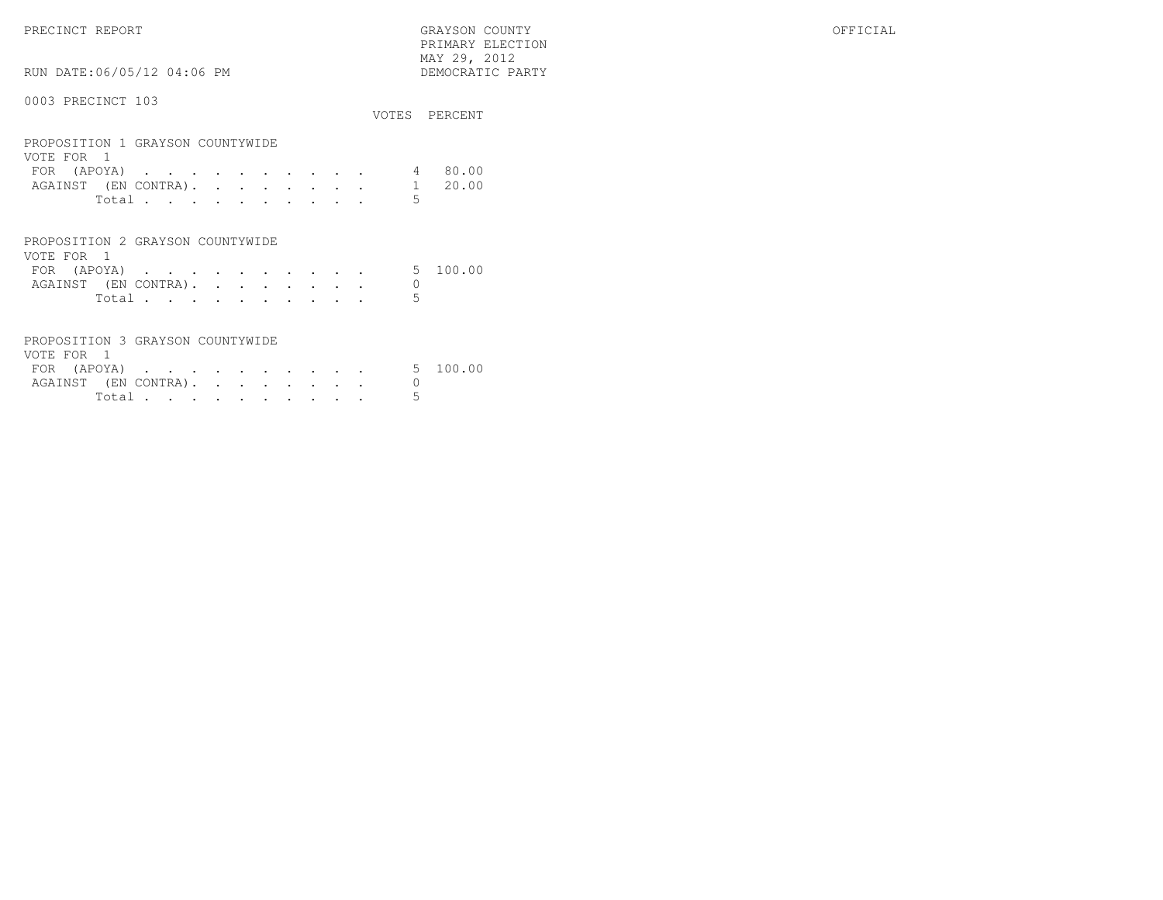PRECINCT REPORT GRAYSON COUNTY OFFICIAL PRIMARY ELECTION $\begin{array}{lll} \text{MAX} & 29, & 2012 \\ \text{NAY} & 29, & 2012 \end{array}$ RUN DATE:06/05/12 04:06 PM 0003 PRECINCT 103 VOTES PERCENTPROPOSITION 1 GRAYSON COUNTYWIDE

| VOTE FOR 1 |                     |  |  |  |  |  |                              |         |
|------------|---------------------|--|--|--|--|--|------------------------------|---------|
|            | FOR (APOYA) $\cdot$ |  |  |  |  |  |                              | 4 80.00 |
|            |                     |  |  |  |  |  | AGAINST (EN CONTRA). 1 20.00 |         |
|            | Total               |  |  |  |  |  |                              |         |
|            |                     |  |  |  |  |  |                              |         |

| PROPOSITION 2 GRAYSON COUNTYWIDE |        |  |  |  |  |  |
|----------------------------------|--------|--|--|--|--|--|
| VOTE FOR 1                       |        |  |  |  |  |  |
| FOR (APOYA) 5 100.00             |        |  |  |  |  |  |
| AGAINST (EN CONTRA).             |        |  |  |  |  |  |
|                                  | Total. |  |  |  |  |  |

| PROPOSITION 3 GRAYSON COUNTYWIDE |        |  |  |  |  |
|----------------------------------|--------|--|--|--|--|
| VOTE FOR 1                       |        |  |  |  |  |
| FOR (APOYA) 5 100.00             |        |  |  |  |  |
| AGAINST (EN CONTRA).             |        |  |  |  |  |
|                                  | Total. |  |  |  |  |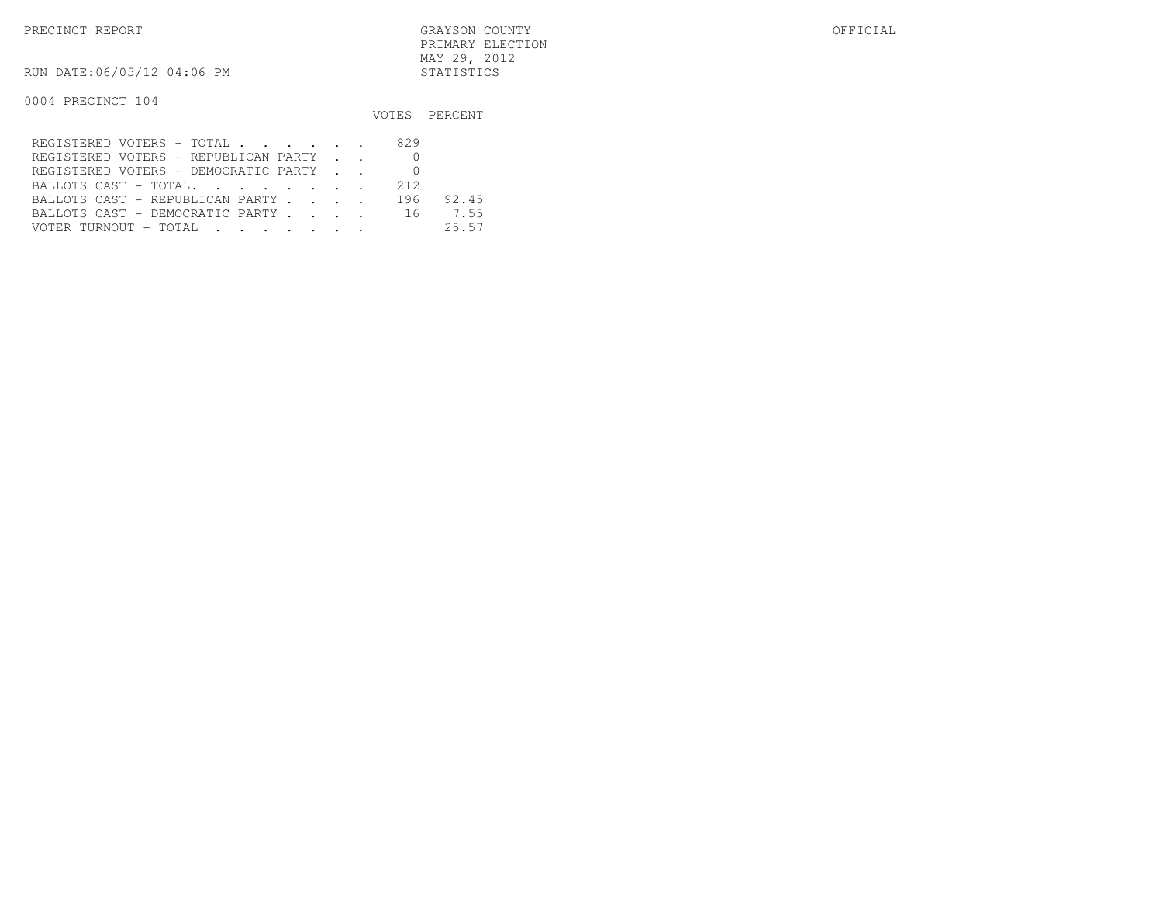PRECINCT REPORT GRAYSON COUNTY OFFICIAL PRIMARY ELECTIONMAY 29, 2012

RUN DATE:06/05/12 04:06 PM STATISTICS

0004 PRECINCT 104

|                                      |     | VOTES PERCENT |
|--------------------------------------|-----|---------------|
| REGISTERED VOTERS - TOTAL            | 829 |               |
| REGISTERED VOTERS - REPUBLICAN PARTY |     |               |
| REGISTERED VOTERS - DEMOCRATIC PARTY |     |               |
| BALLOTS CAST - TOTAL.                | 212 |               |
| BALLOTS CAST - REPUBLICAN PARTY      | 196 | 92.45         |
| BALLOTS CAST - DEMOCRATIC PARTY 16   |     | 7.55          |
| VOTER TURNOUT - TOTAL                |     | 25.57         |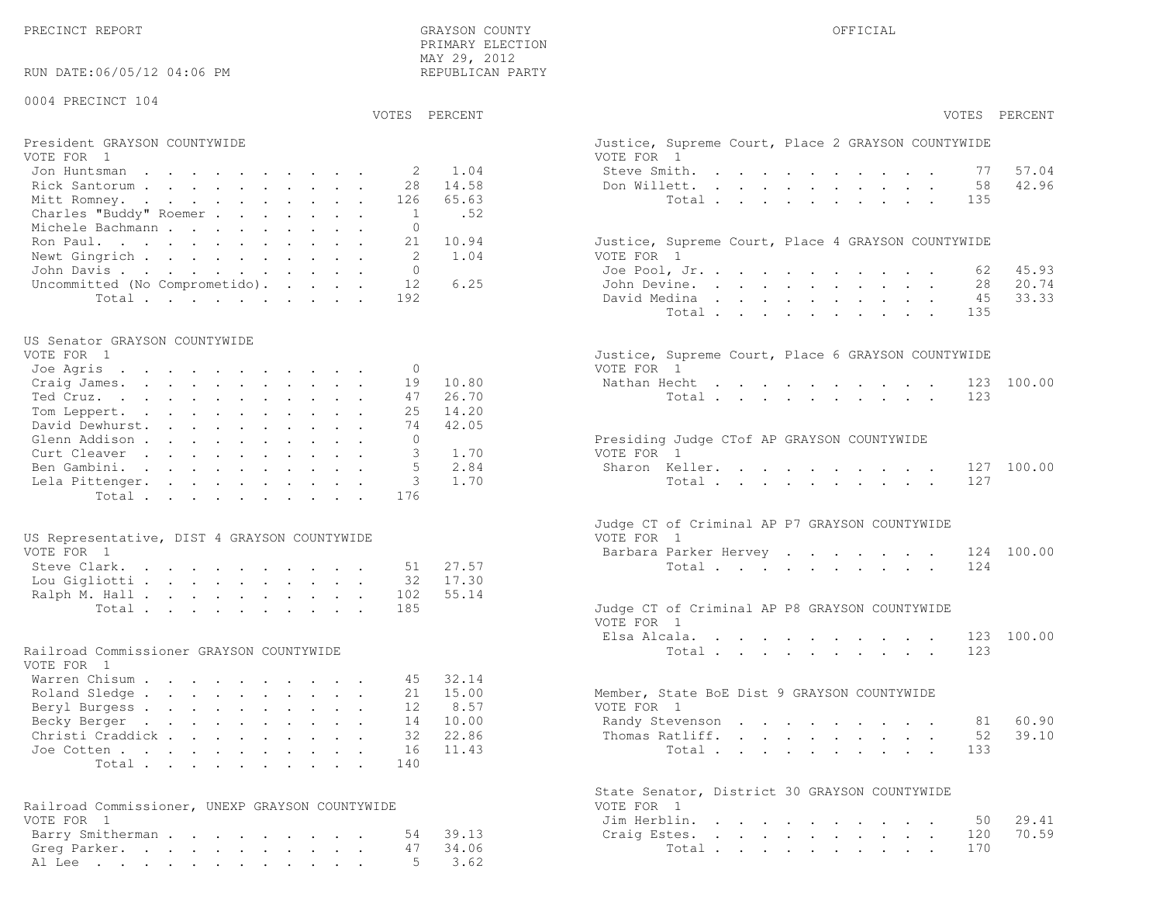PRECINCT REPORT OF THE SERVICE OF THE GRAYSON COUNTY OF THE GRAYSON COUNTY OF THE GRAYSON OF THE GRAYSON COUNTY

 PRIMARY ELECTION MAY 29, 2012REPUBLICAN PARTY

RUN DATE:06/05/12 04:06 PM

#### 0004 PRECINCT 104

#### VOTES PERCENT VOTES PERCENT

#### President GRAYSON COUNTYWIDE Justice, Supreme Court, Place 2 GRAYSON COUNTYWIDEVOTE FOR 1 VOTE FOR 1Jon Huntsman . . . . . . . . . . 2 1.04 St Rick Santorum . . . . . . . . . . 28 14.58 Don Mitt Romney. . . . . . . . . . . 126 65.63 Total . . . . . . . . . . 135 Charles "Buddy" Roemer . . . . . . . 1 .52Michele Bachmann . . . . . . . . . 0

| Ron Paul. 21 10.94                     | Justice, Supreme Court, Place 4 GRAYSON COUNTYWIDE |  |
|----------------------------------------|----------------------------------------------------|--|
| Newt Gingrich 2 1.04                   | VOTE FOR 1                                         |  |
| John Davis 0                           | Joe Pool, Jr. 62 45.93                             |  |
| Uncommitted (No Comprometido). 12 6.25 | John Devine. 28 20.74                              |  |
| Total 192                              | David Medina 45 33.33                              |  |

#### US Senator GRAYSON COUNTYWIDE

| VOTE FOR 1               | Justice, Supreme Court, Place 6 GRAYSON COUNTYWIDE |
|--------------------------|----------------------------------------------------|
| Joe Agris 0              | VOTE FOR 1                                         |
| Craig James. 19 10.80    | Nathan Hecht 123 100.00                            |
| 47 26.70<br>Ted Cruz.    | Total 123                                          |
| Tom Leppert. 25 14.20    |                                                    |
| David Dewhurst. 74 42.05 |                                                    |
| Glenn Addison            | Presiding Judge CTof AP GRAYSON COUNTYWIDE         |
| Curt Cleaver 3 1.70      | VOTE FOR 1                                         |
| Ben Gambini. 5 2.84      | Sharon Keller. 127 100.00                          |
| Lela Pittenger. 3 1.70   | Total 127                                          |
| Total 176                |                                                    |
|                          |                                                    |

| US Representative, DIST 4 GRAYSON COUNTYWIDE | VOTE FOR 1                                    |
|----------------------------------------------|-----------------------------------------------|
| VOTE FOR 1                                   | Barbara Parker Hervey 124 100.00              |
| Steve Clark. 51 27.57                        | Total 124                                     |
| Lou Gigliotti 32 17.30                       |                                               |
| Ralph M. Hall 102 55.14                      |                                               |
| Total 185                                    | Judge CT of Criminal AP P8 GRAYSON COUNTYWIDE |

### Railroad Commissioner GRAYSON COUNTYWIDE

| VOTE FOR 1                |  |  |  |  |  |                                             |  |
|---------------------------|--|--|--|--|--|---------------------------------------------|--|
| Warren Chisum 45 32.14    |  |  |  |  |  |                                             |  |
| Roland Sledge 21 15.00    |  |  |  |  |  | Member, State BoE Dist 9 GRAYSON COUNTYWIDE |  |
| Beryl Burgess 12 8.57     |  |  |  |  |  | VOTE FOR 1                                  |  |
| Becky Berger 14 10.00     |  |  |  |  |  | Randy Stevenson 81 60.90                    |  |
| Christi Craddick 32 22.86 |  |  |  |  |  | Thomas Ratliff. 52 39.10                    |  |
| Joe Cotten 16 11.43       |  |  |  |  |  | Total 133                                   |  |
| Total 140                 |  |  |  |  |  |                                             |  |

| Railroad Commissioner, UNEXP GRAYSON COUNTYWIDE |  | VOTE FOR 1             |  |  |  |  |  |  |
|-------------------------------------------------|--|------------------------|--|--|--|--|--|--|
| VOTE FOR 1                                      |  | Jim Herblin. 50 29.41  |  |  |  |  |  |  |
| Barry Smitherman 54 39.13                       |  | Craig Estes. 120 70.59 |  |  |  |  |  |  |
| Greg Parker. 47 34.06                           |  | Total 170              |  |  |  |  |  |  |
| Al Lee 5 3.62                                   |  |                        |  |  |  |  |  |  |

| PERCENT | VOTES PERCENT                                                                                                                                                                                                                                                                             |
|---------|-------------------------------------------------------------------------------------------------------------------------------------------------------------------------------------------------------------------------------------------------------------------------------------------|
|         | Justice, Supreme Court, Place 2 GRAYSON COUNTYWIDE<br>VOTE FOR 1                                                                                                                                                                                                                          |
| 1.04    | Steve Smith.<br>57.04<br>77<br><b>Contract Contract</b>                                                                                                                                                                                                                                   |
| 14.58   | 42.96<br>Don Willett.<br>58<br>$\mathbf{L}$<br>$\sim$<br>$\mathbf{L} = \mathbf{L} \times \mathbf{L}$<br>$\cdot$ $\cdot$<br>$\sim$                                                                                                                                                         |
| 65.63   | Total<br>135                                                                                                                                                                                                                                                                              |
| .52     |                                                                                                                                                                                                                                                                                           |
|         |                                                                                                                                                                                                                                                                                           |
| 10.94   | Justice, Supreme Court, Place 4 GRAYSON COUNTYWIDE                                                                                                                                                                                                                                        |
| 1.04    | VOTE FOR 1                                                                                                                                                                                                                                                                                |
|         | Joe Pool, Jr.<br>45.93<br>62<br>$\mathcal{L}^{\text{max}}$<br>$\cdot$ $\cdot$ $\cdot$ $\cdot$ $\cdot$                                                                                                                                                                                     |
| 6.25    | 20.74<br>John Devine.<br>28<br>$\mathbf{r}$ and $\mathbf{r}$ and $\mathbf{r}$ and $\mathbf{r}$<br>$\sim$<br>$\sim$                                                                                                                                                                        |
|         | 33.33<br>David Medina<br>45<br>$\sim$                                                                                                                                                                                                                                                     |
|         | Total<br>$\mathbf{L} = \mathbf{L} \mathbf{L}$<br>$\mathbf{L}$ and $\mathbf{L}$<br>$\mathbf{L} = \mathbf{L} \mathbf{L} + \mathbf{L} \mathbf{L}$<br>135                                                                                                                                     |
|         |                                                                                                                                                                                                                                                                                           |
|         | Justice, Supreme Court, Place 6 GRAYSON COUNTYWIDE                                                                                                                                                                                                                                        |
|         | VOTE FOR 1                                                                                                                                                                                                                                                                                |
| 10.80   | Nathan Hecht<br>123 100.00                                                                                                                                                                                                                                                                |
| 26.70   | 123<br>Total                                                                                                                                                                                                                                                                              |
| 14.20   |                                                                                                                                                                                                                                                                                           |
| 42.05   |                                                                                                                                                                                                                                                                                           |
|         | Presiding Judge CTof AP GRAYSON COUNTYWIDE                                                                                                                                                                                                                                                |
| 1.70    | VOTE FOR 1                                                                                                                                                                                                                                                                                |
| 2.84    | Sharon Keller.<br>127 100.00                                                                                                                                                                                                                                                              |
| 1.70    | 127<br>Total<br>$\mathbf{r} = \mathbf{r} + \mathbf{r} + \mathbf{r} + \mathbf{r} + \mathbf{r}$<br>$\sim$                                                                                                                                                                                   |
|         |                                                                                                                                                                                                                                                                                           |
|         | Judge CT of Criminal AP P7 GRAYSON COUNTYWIDE<br>VOTE FOR 1                                                                                                                                                                                                                               |
|         | Barbara Parker Hervey<br>124 100.00                                                                                                                                                                                                                                                       |
| 27.57   | 124<br>Total                                                                                                                                                                                                                                                                              |
| 17.30   |                                                                                                                                                                                                                                                                                           |
| 55.14   |                                                                                                                                                                                                                                                                                           |
|         | Judge CT of Criminal AP P8 GRAYSON COUNTYWIDE<br>VOTE FOR 1                                                                                                                                                                                                                               |
|         | Elsa Alcala.<br>123 100.00                                                                                                                                                                                                                                                                |
|         | 123<br>Total $\cdots$                                                                                                                                                                                                                                                                     |
|         |                                                                                                                                                                                                                                                                                           |
| 32.14   |                                                                                                                                                                                                                                                                                           |
| 15.00   | Member, State BoE Dist 9 GRAYSON COUNTYWIDE                                                                                                                                                                                                                                               |
| 8.57    | VOTE FOR 1                                                                                                                                                                                                                                                                                |
| 10.00   | Randy Stevenson<br>81 60.90                                                                                                                                                                                                                                                               |
| 22.86   | Thomas Ratliff.<br>52<br>39.10<br>$\ddot{\phantom{0}}$                                                                                                                                                                                                                                    |
| 11.43   | 133<br>Total $\cdots$                                                                                                                                                                                                                                                                     |
|         |                                                                                                                                                                                                                                                                                           |
|         |                                                                                                                                                                                                                                                                                           |
|         | State Senator, District 30 GRAYSON COUNTYWIDE<br>VOTE FOR<br>$\overline{1}$                                                                                                                                                                                                               |
|         | Jim Herblin.<br>29.41<br>50<br>$\sim$ $-$                                                                                                                                                                                                                                                 |
| 39.13   | Craig Estes.<br>120<br>70.59<br>$\ddot{\phantom{0}}$<br>$\mathbf{r} = \mathbf{r} \cdot \mathbf{r}$ .<br>$\mathbf{L}^{\text{max}}$ , and $\mathbf{L}^{\text{max}}$<br>$\mathbf{L}^{\text{max}}$<br>$\sim$ $-$<br>$\mathbf{L}^{\text{max}}$<br>$\ddot{\phantom{0}}$<br>$\ddot{\phantom{0}}$ |
| 34.06   | 170<br>Total                                                                                                                                                                                                                                                                              |
| 3.62    |                                                                                                                                                                                                                                                                                           |
|         |                                                                                                                                                                                                                                                                                           |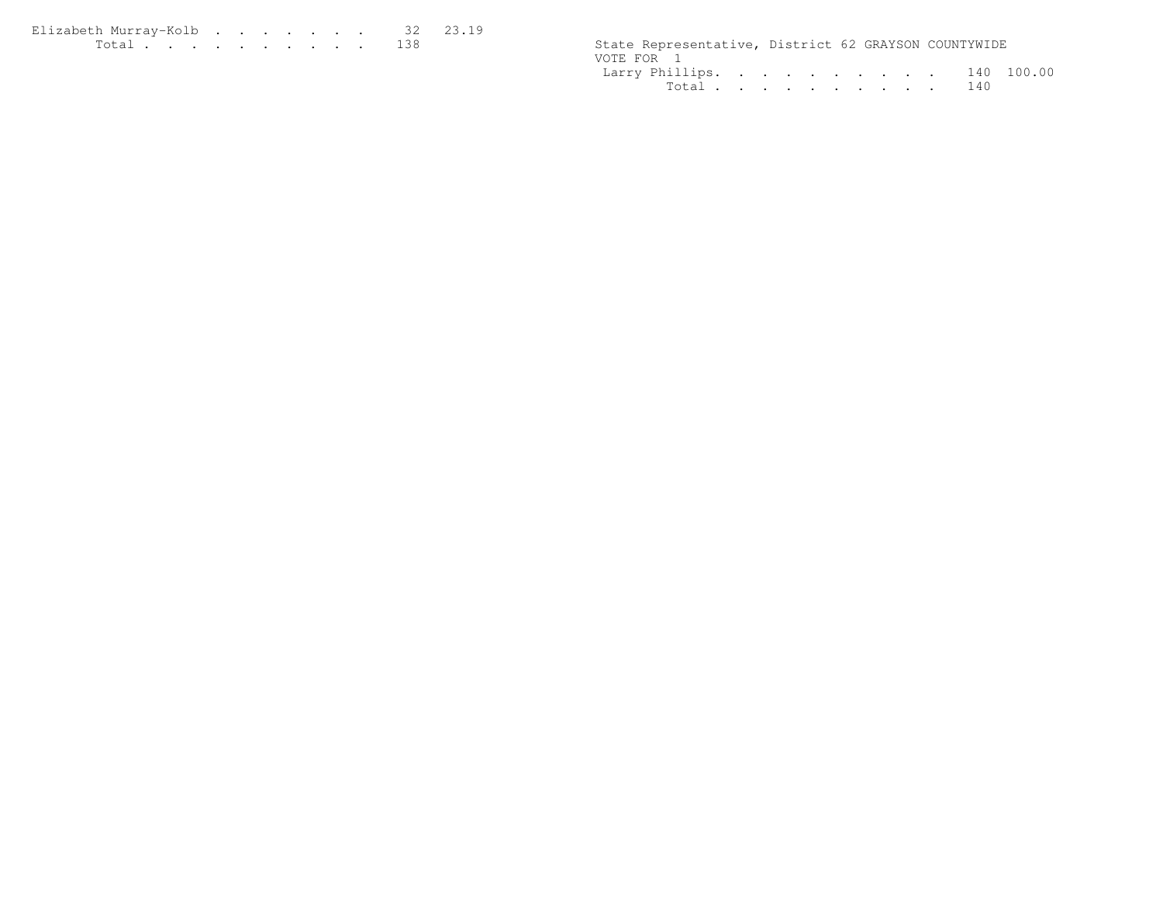| Elizabeth Murrav-Kolb 32 23.19 |  |  |  |  |  |                                                      |  |  |
|--------------------------------|--|--|--|--|--|------------------------------------------------------|--|--|
|                                |  |  |  |  |  | State Representative, District 62 GRAYSON COUNTYWIDE |  |  |

| State Representative, District 62 GRAYSON COUNTYWIDE |  |  |  |  |  |
|------------------------------------------------------|--|--|--|--|--|
| VOTE FOR 1                                           |  |  |  |  |  |
| Larry Phillips. 140 100.00                           |  |  |  |  |  |
| Total 140                                            |  |  |  |  |  |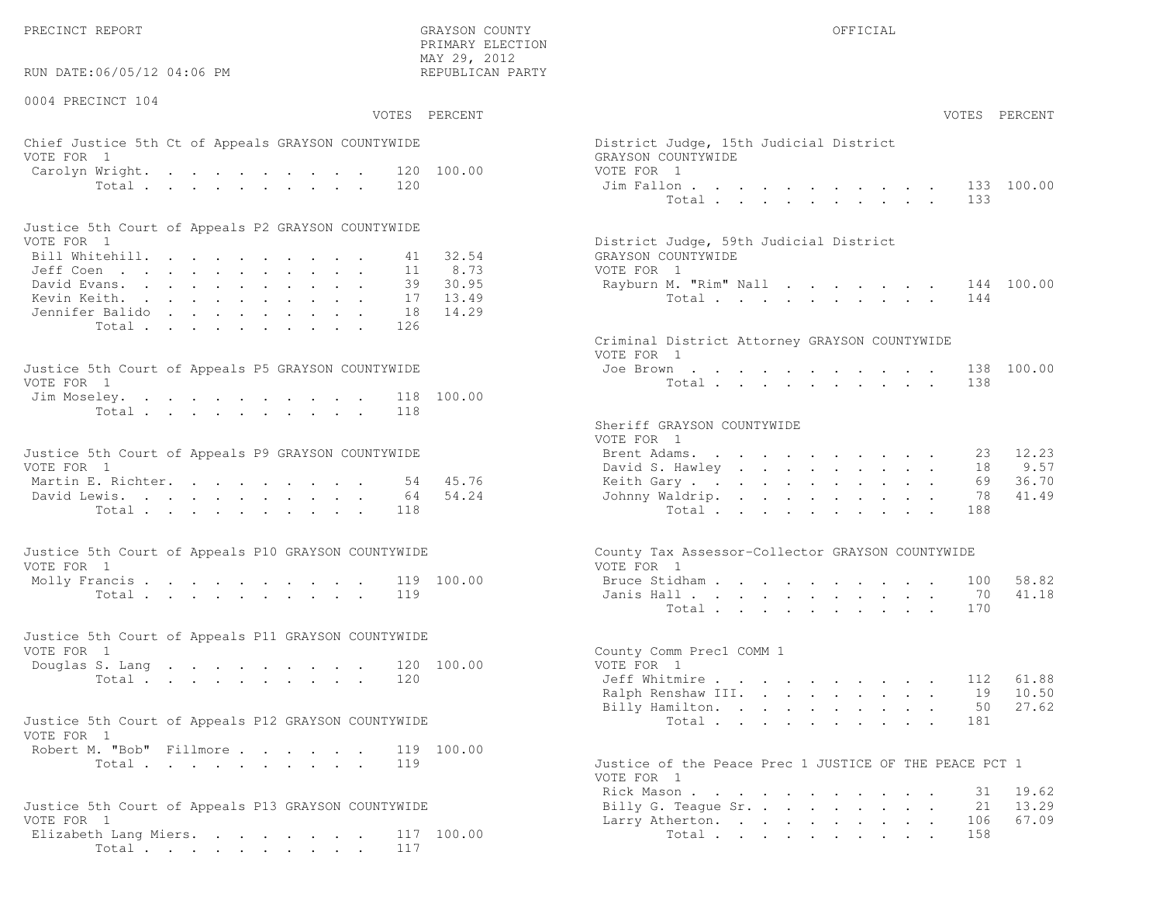PRECINCT REPORT THE COUNTY GRAYSON COUNTY THE COUNTY OFFICIAL OFFICIAL COUNTY OF THE COUNTY OF THE COUNTY OF THE COUNTY OF THE COUNTY OF THE COUNTY OF THE COUNTY OF THE COUNTY OF THE COUNTY OF THE COUNTY OF THE COUNTY OF T

RUN DATE:06/05/12 04:06 PM

0004 PRECINCT 104

VOTES PERCENT VOTES PERCENT

 PRIMARY ELECTION MAY 29, 2012REPUBLICAN PARTY

### Chief Justice 5th Ct of Appeals GRAYSON COUNTYWIDE District District District District Only 15th Judge VOTE FOR 1 GRAYSON COUNTY COUNTY OF THE COUNTY OF COUNTY OF COUNTY OF COUNTY OF COUNTY OF COUNTY OF COUNTY OF COUNTY OF COUNTY OF COUNTY OF COUNTY OF COUNTY OF COUNTY OF COUNTY OF COUNTY OF COUNTY OF COUNTY OF COUNTY OF CO Carolyn Wright. . . . . . . . . 120 100.00 VOTI<br>Total . . . . . . . . . 120 100.00 Jim Total  $\cdots$  . . . . . . . .

| Justice 5th Court of Appeals P2 GRAYSON COUNTYWIDE |  |  |  |  |  |                                        |
|----------------------------------------------------|--|--|--|--|--|----------------------------------------|
| VOTE FOR 1                                         |  |  |  |  |  | District Judge, 59th Judicial District |
| Bill Whitehill. 41 32.54                           |  |  |  |  |  | GRAYSON COUNTYWIDE                     |
| Jeff Coen 11 8.73                                  |  |  |  |  |  | VOTE FOR 1                             |
| David Evans. 39 30.95                              |  |  |  |  |  | Rayburn M. "Rim" Nall 144 100.00       |
| Kevin Keith. 17 13.49                              |  |  |  |  |  | Total 144                              |
| Jennifer Balido 18 14.29                           |  |  |  |  |  |                                        |
| Total 126                                          |  |  |  |  |  |                                        |

| Justice 5th Court of Appeals P5 GRAYSON COUNTYWIDE | Joe Brown 138 100.00 |
|----------------------------------------------------|----------------------|
| VOTE FOR 1                                         | Total 138            |
| Jim Moseley. 118 100.00                            |                      |
| Total 118                                          |                      |

| Justice 5th Court of Appeals P9 GRAYSON COUNTYWIDE | Brent Adams. 23 12.23    |  |  |  |  |  |  |
|----------------------------------------------------|--------------------------|--|--|--|--|--|--|
| VOTE FOR 1                                         | David S. Hawley 18 9.57  |  |  |  |  |  |  |
| Martin E. Richter. 54 45.76                        | Keith Gary 69 36.70      |  |  |  |  |  |  |
| David Lewis. 64 54.24                              | Johnny Waldrip. 78 41.49 |  |  |  |  |  |  |
| Total 118                                          | Total 188                |  |  |  |  |  |  |

| Justice 5th Court of Appeals P10 GRAYSON COUNTYWIDE | County Tax Assessor-Collector GRAYSON COUNTYWIDE |
|-----------------------------------------------------|--------------------------------------------------|
| VOTE FOR 1                                          | VOTE FOR 1                                       |
| Molly Francis 119 100.00                            | Bruce Stidham 100 58.82                          |
| Total 119                                           | Janis Hall 70 41.18                              |

| Justice 5th Court of Appeals P11 GRAYSON COUNTYWIDE |  |  |  |  |  |                          |  |
|-----------------------------------------------------|--|--|--|--|--|--------------------------|--|
| VOTE FOR 1                                          |  |  |  |  |  | County Comm Prec1 COMM 1 |  |
| Douglas S. Lang 120 100.00                          |  |  |  |  |  | VOTE FOR 1               |  |
| Total 120                                           |  |  |  |  |  | Jeff Whitmire 112 61.88  |  |

| Justice 5th Court of Appeals P12 GRAYSON COUNTYWIDE |           |  |  |  |                                                    |  |  |  | Total 181 |  |  |
|-----------------------------------------------------|-----------|--|--|--|----------------------------------------------------|--|--|--|-----------|--|--|
| VOTE FOR 1                                          |           |  |  |  |                                                    |  |  |  |           |  |  |
| Robert M. "Bob" Fillmore 119 100.00                 |           |  |  |  |                                                    |  |  |  |           |  |  |
|                                                     | Total 119 |  |  |  | Justice of the Peace Prec 1 JUSTICE OF THE PEACE F |  |  |  |           |  |  |

| Justice 5th Court of Appeals P13 GRAYSON COUNTYWIDE | Billy G. Teague Sr. 21 13.29 |
|-----------------------------------------------------|------------------------------|
| VOTE FOR 1                                          | Larry Atherton. 106 67.09    |
| Elizabeth Lang Miers. 117 100.00                    | Total 158                    |
| Total 117                                           |                              |

| AY 29, 2012<br>EPUBLICAN PARTY |                                                                                                                                      |  |
|--------------------------------|--------------------------------------------------------------------------------------------------------------------------------------|--|
| PERCENT                        | VOTES PERCENT                                                                                                                        |  |
| 100.00                         | District Judge, 15th Judicial District<br>GRAYSON COUNTYWIDE<br>VOTE FOR 1                                                           |  |
|                                | 133 100.00<br>Jim Fallon<br>Total<br>133                                                                                             |  |
| 32.54<br>8.73                  | District Judge, 59th Judicial District<br>GRAYSON COUNTYWIDE<br>VOTE FOR 1                                                           |  |
| 30.95<br>13.49<br>14.29        | Rayburn M. "Rim" Nall<br>144 100.00<br>144<br>Total                                                                                  |  |
|                                | Criminal District Attorney GRAYSON COUNTYWIDE<br>VOTE FOR 1                                                                          |  |
| 100.00                         | Joe Brown<br>138 100.00<br>$\mathbf{r} = \mathbf{r} + \mathbf{r} + \mathbf{r} + \mathbf{r} + \mathbf{r}$<br>$\sim$<br>Total<br>138   |  |
|                                | Sheriff GRAYSON COUNTYWIDE<br>VOTE FOR 1                                                                                             |  |
|                                | Brent Adams.<br>23 12.23                                                                                                             |  |
|                                | 9.57<br>David S. Hawley<br>18                                                                                                        |  |
| 45.76                          | 69<br>36.70<br>Keith Gary.                                                                                                           |  |
| 54.24                          | 41.49<br>Johnny Waldrip.<br>78<br>188<br>Total                                                                                       |  |
|                                | County Tax Assessor-Collector GRAYSON COUNTYWIDE<br>VOTE FOR 1                                                                       |  |
| 100.00                         | 58.82<br>Bruce Stidham<br>100<br>$\sim$<br>$\mathbf{r} = \mathbf{r} + \mathbf{r}$ , where $\mathbf{r} = \mathbf{r}$<br>$\sim$ $\sim$ |  |
|                                | 70<br>41.18<br>Janis Hall                                                                                                            |  |
|                                | 170<br>Total                                                                                                                         |  |
| 100.00                         | County Comm Prec1 COMM 1<br>VOTE FOR 1                                                                                               |  |
|                                | Jeff Whitmire<br>61.88<br>112                                                                                                        |  |
|                                | 10.50<br>Ralph Renshaw III.<br>19                                                                                                    |  |
|                                | Billy Hamilton.<br>50<br>27.62<br>181<br>Total                                                                                       |  |
| 100.00                         |                                                                                                                                      |  |
|                                | Justice of the Peace Prec 1 JUSTICE OF THE PEACE PCT 1<br>VOTE FOR 1                                                                 |  |
|                                | 19.62<br>Rick Mason.<br>31<br>$\sim 100$ km s $^{-1}$                                                                                |  |
|                                | 21<br>13.29<br>Billy G. Teague Sr.<br>$\sim$<br>$\sim$<br>67.09                                                                      |  |
| 100.00                         | 106<br>Larry Atherton.<br>$\bullet$<br>158<br>Total                                                                                  |  |
|                                |                                                                                                                                      |  |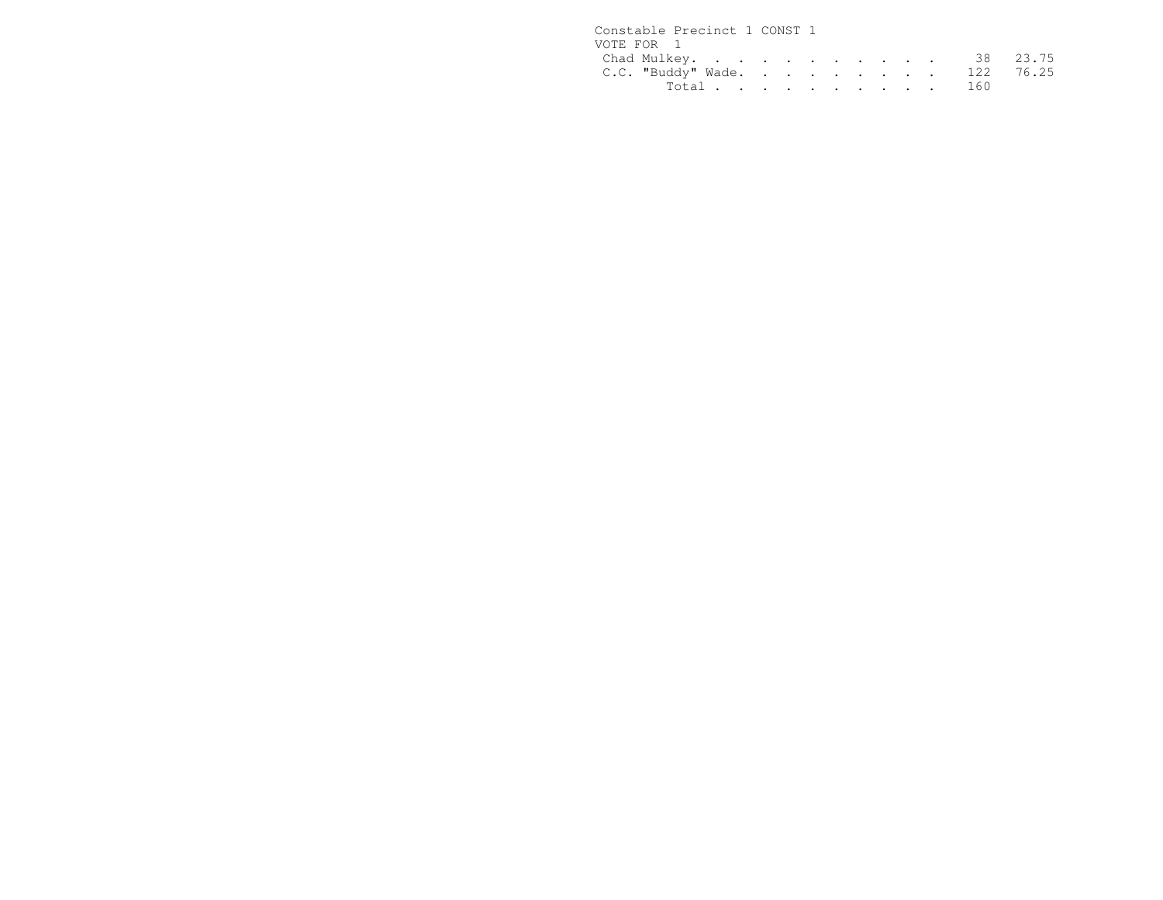| Constable Precinct 1 CONST 1 |  |  |  |  |  |
|------------------------------|--|--|--|--|--|
| VOTE FOR 1                   |  |  |  |  |  |
| Chad Mulkey. 38 23.75        |  |  |  |  |  |
| C.C. "Buddy" Wade. 122 76.25 |  |  |  |  |  |
| Total 160                    |  |  |  |  |  |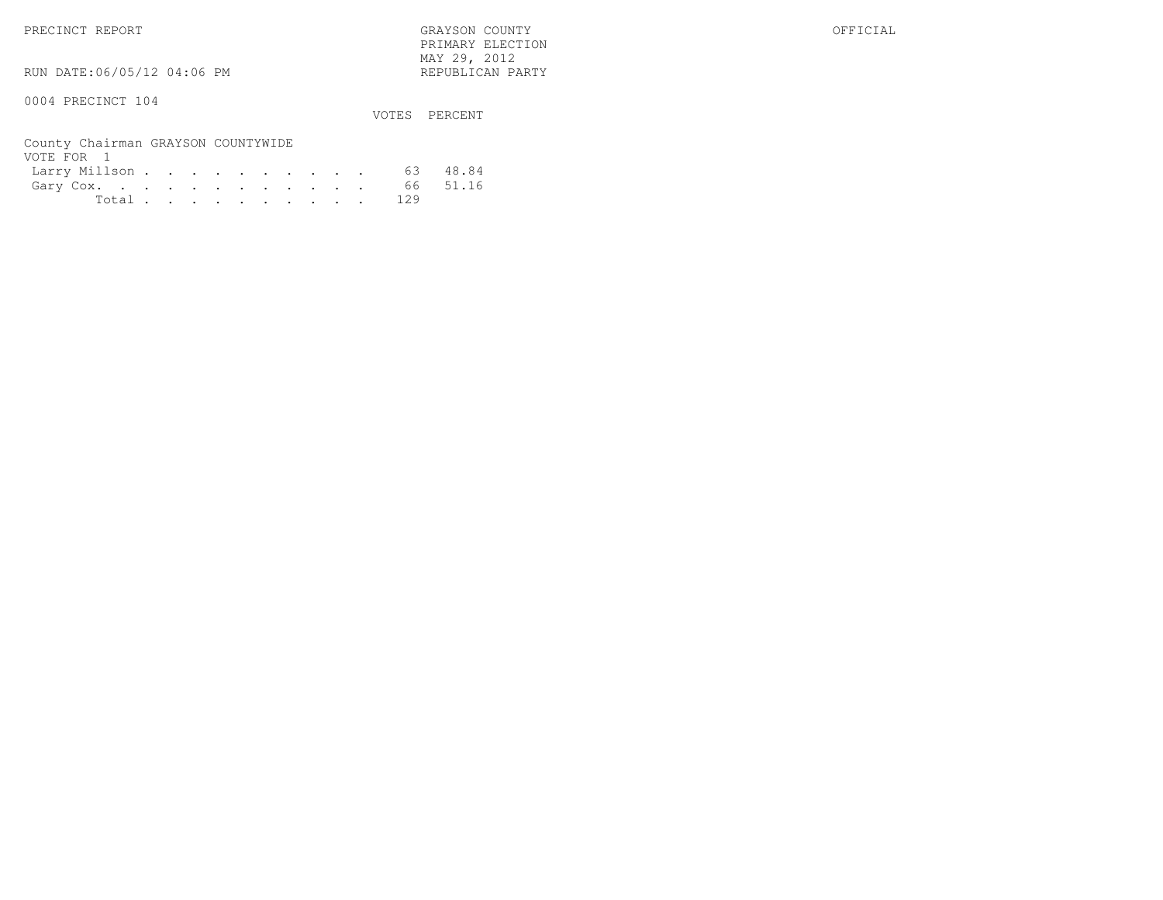PRECINCT REPORT GRAYSON COUNTY OFFICIAL PRIMARY ELECTION $\text{MAX } 29, \quad 2012$ 

RUN DATE:06/05/12 04:06 PM

#### 0004 PRECINCT 104

VOTES PERCENT

| County Chairman GRAYSON COUNTYWIDE |  |  |  |  |  |  |
|------------------------------------|--|--|--|--|--|--|
| VOTE FOR 1                         |  |  |  |  |  |  |
| Larry Millson 63 48.84             |  |  |  |  |  |  |
| Gary Cox. 66 51.16                 |  |  |  |  |  |  |
| Total 129                          |  |  |  |  |  |  |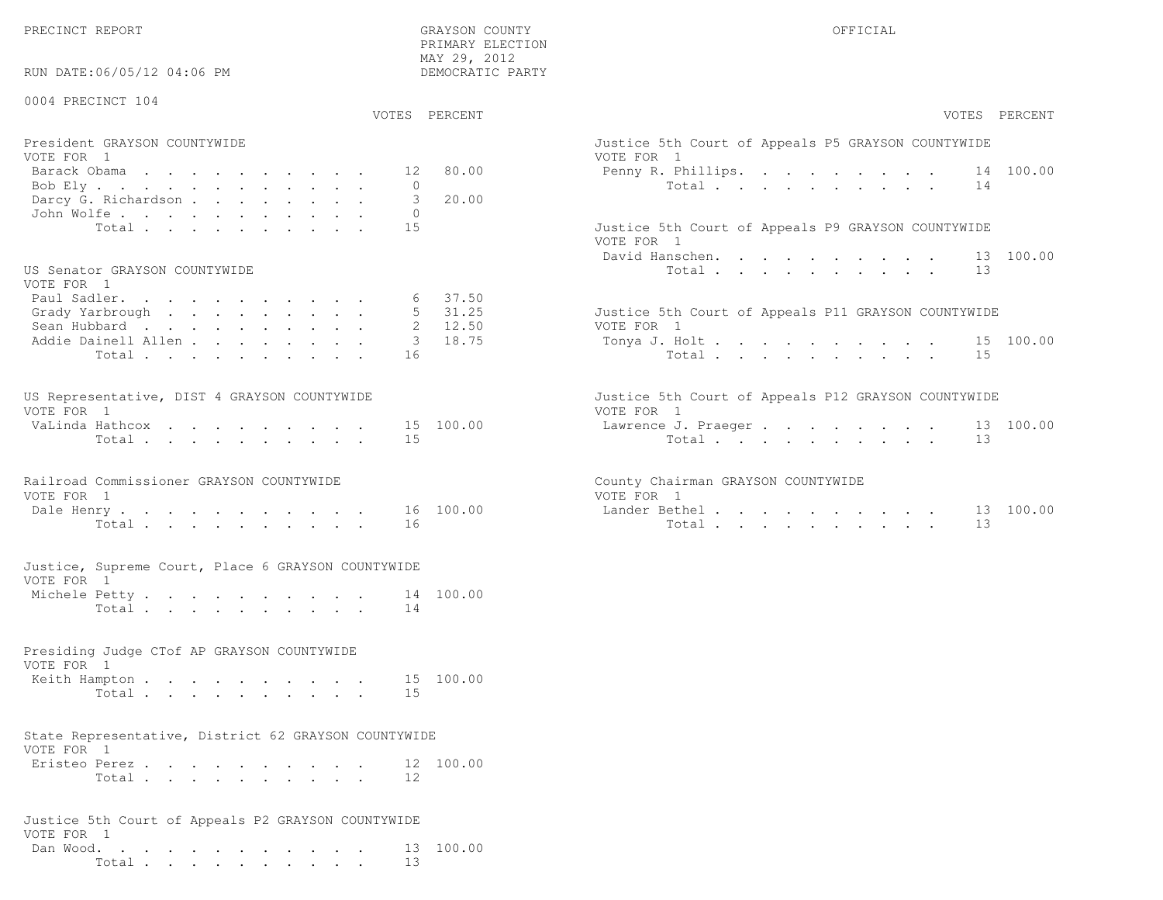PRIMARY ELECTION

| RUN DATE:06/05/12 04:06 PM                                                                                  | MAY 29, 2012<br>DEMOCRATIC PARTY                        |                                                                                                                      |
|-------------------------------------------------------------------------------------------------------------|---------------------------------------------------------|----------------------------------------------------------------------------------------------------------------------|
| 0004 PRECINCT 104                                                                                           | VOTES PERCENT                                           | VOTES PERCENT                                                                                                        |
| President GRAYSON COUNTYWIDE<br>VOTE FOR 1<br>Barack Obama<br>Bob Ely<br>Darcy G. Richardson<br>John Wolfe. | 80.00<br>12<br>$\overline{0}$<br>3<br>20.00<br>$\Omega$ | Justice 5th Court of Appeals P5 GRAYSON COUNTYWIDE<br>VOTE FOR 1<br>Penny R. Phillips. 14 100.00<br>Total<br>14      |
| Total<br>US Senator GRAYSON COUNTYWIDE                                                                      | 15                                                      | Justice 5th Court of Appeals P9 GRAYSON COUNTYWIDE<br>VOTE FOR 1<br>13 100.00<br>David Hanschen.<br>Total<br>13      |
| VOTE FOR 1<br>Paul Sadler.<br>Grady Yarbrough<br>Sean Hubbard<br>Addie Dainell Allen<br>Total               | 37.50<br>$5 \quad 31.25$<br>2 12.50<br>3 18.75<br>16    | Justice 5th Court of Appeals P11 GRAYSON COUNTYWIDE<br>VOTE FOR 1<br>Tonya J. Holt<br>15 100.00<br>15<br>Total       |
| US Representative, DIST 4 GRAYSON COUNTYWIDE<br>VOTE FOR 1<br>VaLinda Hathcox<br>Total                      | 15 100.00<br>15                                         | Justice 5th Court of Appeals P12 GRAYSON COUNTYWIDE<br>VOTE FOR 1<br>13 100.00<br>Lawrence J. Praeger<br>Total<br>13 |
| Railroad Commissioner GRAYSON COUNTYWIDE<br>VOTE FOR 1<br>Dale Henry<br>Total                               | 16 100.00<br>16                                         | County Chairman GRAYSON COUNTYWIDE<br>VOTE FOR 1<br>Lander Bethel.<br>13 100.00<br>Total<br>13                       |
| Justice, Supreme Court, Place 6 GRAYSON COUNTYWIDE<br>VOTE FOR 1<br>Michele Petty.<br>Total                 | 14 100.00<br>14                                         |                                                                                                                      |
| Presiding Judge CTof AP GRAYSON COUNTYWIDE<br>VOTE FOR 1<br>Keith Hampton<br>Total                          | 15 100.00<br>15                                         |                                                                                                                      |
| State Representative, District 62 GRAYSON COUNTYWIDE<br>VOTE FOR 1<br>Eristeo Perez<br>Total                | 12 100.00<br>12                                         |                                                                                                                      |
| Justice 5th Court of Appeals P2 GRAYSON COUNTYWIDE<br>VOTE FOR 1<br>Dan Wood.<br>Total                      | 13 100.00<br>13                                         |                                                                                                                      |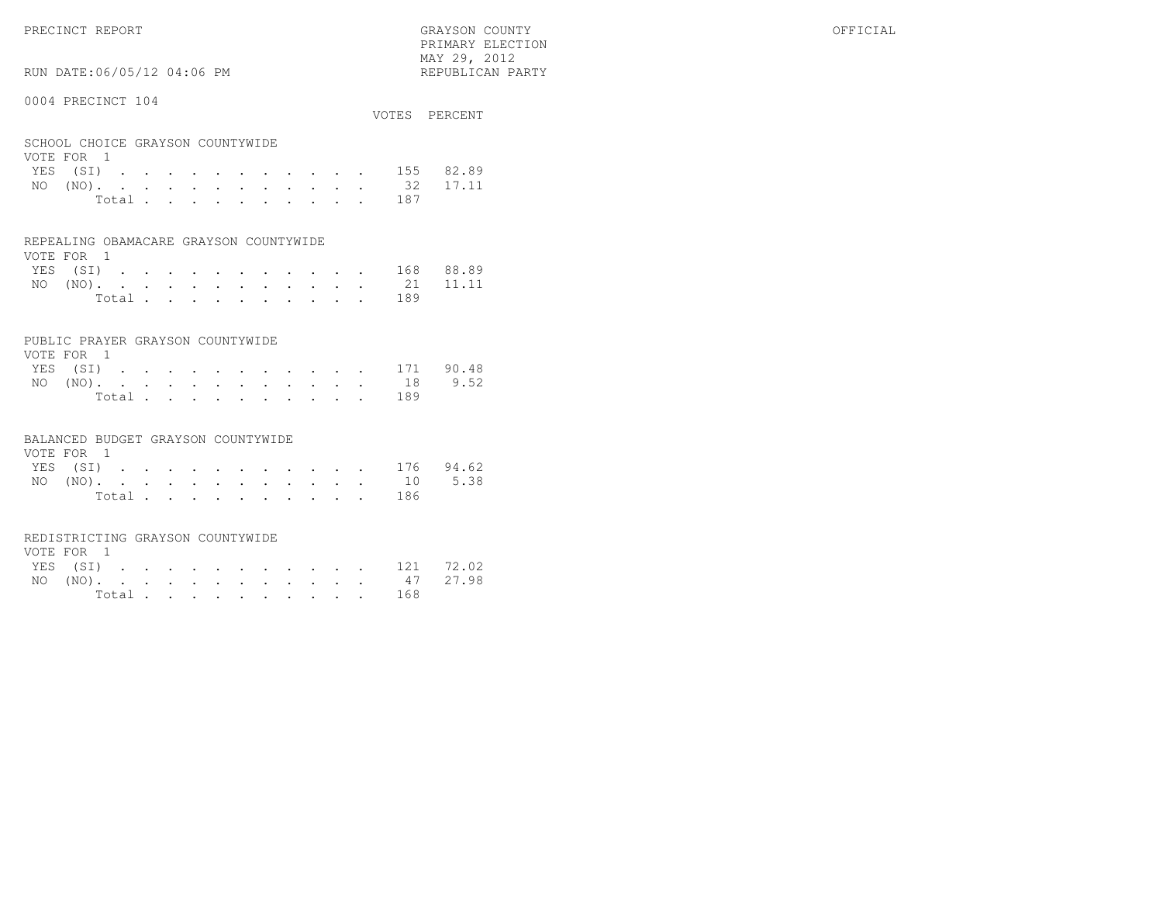$\text{MAX } 29, \quad 2012$ RUN DATE:06/05/12 04:06 PM

#### 0004 PRECINCT 104

|                                  |  |  |  |  |  |           | VOTES PERCENT      |
|----------------------------------|--|--|--|--|--|-----------|--------------------|
|                                  |  |  |  |  |  |           |                    |
| SCHOOL CHOICE GRAYSON COUNTYWIDE |  |  |  |  |  |           |                    |
| VOTE FOR 1                       |  |  |  |  |  |           |                    |
|                                  |  |  |  |  |  |           | YES (SI) 155 82.89 |
|                                  |  |  |  |  |  |           | NO (NO). 32 17.11  |
|                                  |  |  |  |  |  | Total 187 |                    |

PRIMARY ELECTION

|  | REPEALING OBAMACARE GRAYSON COUNTYWIDE |
|--|----------------------------------------|

| VOTE FOR 1 |  |  |  |  |  |  |                    |  |
|------------|--|--|--|--|--|--|--------------------|--|
|            |  |  |  |  |  |  | YES (SI) 168 88.89 |  |
|            |  |  |  |  |  |  | NO (NO). 21 11.11  |  |
|            |  |  |  |  |  |  | Total 189          |  |

#### PUBLIC PRAYER GRAYSON COUNTYWIDE

| VOTE FOR 1         |  |  |  |  |  |                |     |  |
|--------------------|--|--|--|--|--|----------------|-----|--|
| YES (SI) 171 90.48 |  |  |  |  |  |                |     |  |
| NO (NO). 18 9.52   |  |  |  |  |  |                |     |  |
|                    |  |  |  |  |  | Total $\cdots$ | 189 |  |

#### BALANCED BUDGET GRAYSON COUNTYWIDE

| VOTE FOR 1 |  |  |  |  |  |  |                    |  |
|------------|--|--|--|--|--|--|--------------------|--|
|            |  |  |  |  |  |  | YES (SI) 176 94.62 |  |
|            |  |  |  |  |  |  | NO (NO). 10 5.38   |  |
|            |  |  |  |  |  |  | Total 186          |  |

#### REDISTRICTING GRAYSON COUNTYWIDE

| VOTE FOR 1 |  |  |  |  |  |                |                    |  |
|------------|--|--|--|--|--|----------------|--------------------|--|
|            |  |  |  |  |  |                | YES (SI) 121 72.02 |  |
|            |  |  |  |  |  |                | NO (NO). 47 27.98  |  |
|            |  |  |  |  |  | Total $\cdots$ | 168                |  |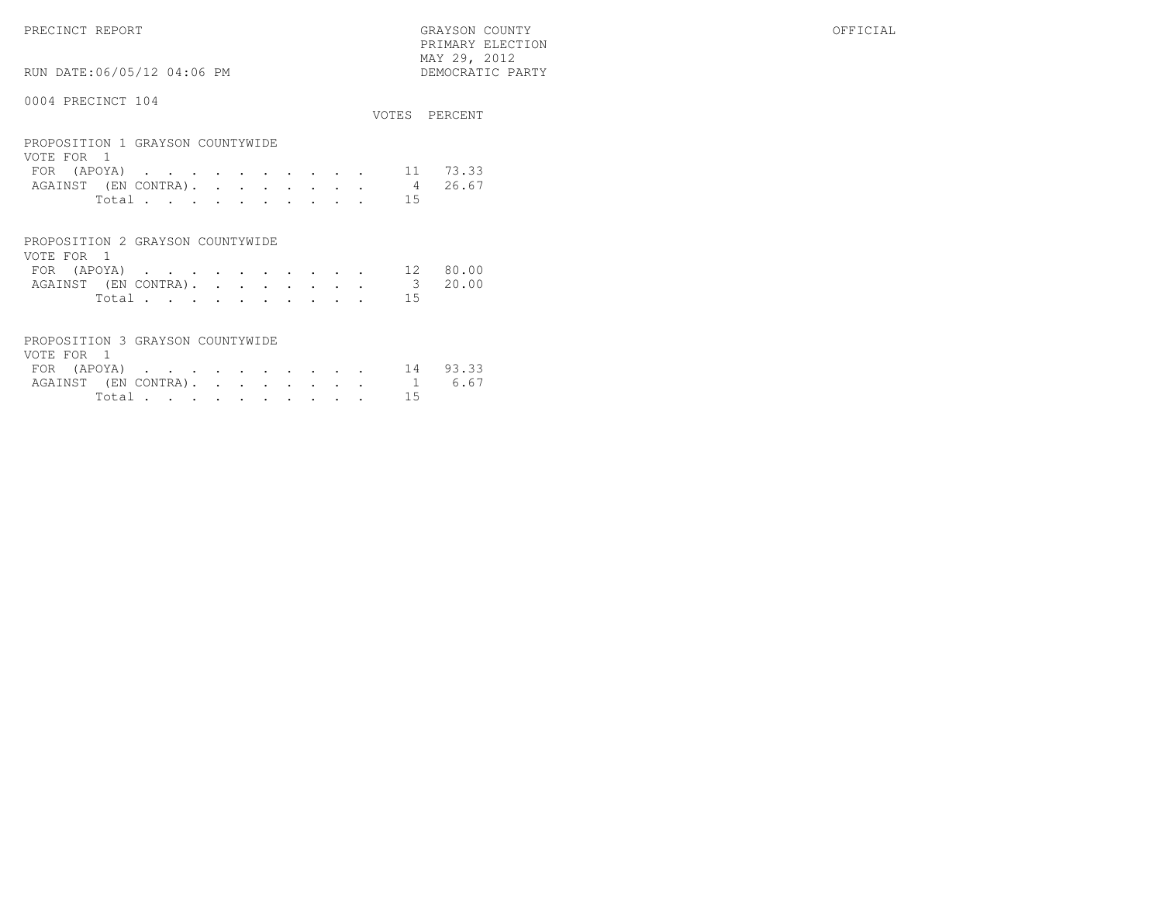$\begin{array}{lll} \text{MAX} & 29, & 2012 \\ \text{NAY} & 29, & 2012 \end{array}$ RUN DATE:06/05/12 04:06 PM

#### 0004 PRECINCT 104

|                                                |                           |                                                                                                                 |  |  |  |  |    | VOTES PERCENT |
|------------------------------------------------|---------------------------|-----------------------------------------------------------------------------------------------------------------|--|--|--|--|----|---------------|
| PROPOSITION 1 GRAYSON COUNTYWIDE<br>VOTE FOR 1 |                           |                                                                                                                 |  |  |  |  |    |               |
| FOR.                                           | (APOYA)                   | the contract of the contract of the contract of the contract of the contract of the contract of the contract of |  |  |  |  | 11 | 73.33         |
| AGAINST                                        | (EN CONTRA).              |                                                                                                                 |  |  |  |  | 4  | 26.67         |
|                                                | Total                     |                                                                                                                 |  |  |  |  | 15 |               |
| PROPOSITION 2 GRAYSON COUNTYWIDE               |                           |                                                                                                                 |  |  |  |  |    |               |
| VOTE FOR<br>FOR                                | $\overline{1}$<br>(APOYA) |                                                                                                                 |  |  |  |  | 12 | 8 U<br>n n    |

PRIMARY ELECTION

| $\blacksquare$       |       |  |  |  |  |  | TR OUTDU |
|----------------------|-------|--|--|--|--|--|----------|
| AGAINST (EN CONTRA). |       |  |  |  |  |  | 3 20.00  |
|                      | Total |  |  |  |  |  |          |

| PROPOSITION 3 GRAYSON COUNTYWIDE |  |  |  |  |  |       |                             |
|----------------------------------|--|--|--|--|--|-------|-----------------------------|
| VOTE FOR 1                       |  |  |  |  |  |       |                             |
|                                  |  |  |  |  |  |       | FOR (APOYA) 14 93.33        |
|                                  |  |  |  |  |  |       | AGAINST (EN CONTRA). 1 6.67 |
|                                  |  |  |  |  |  | Total |                             |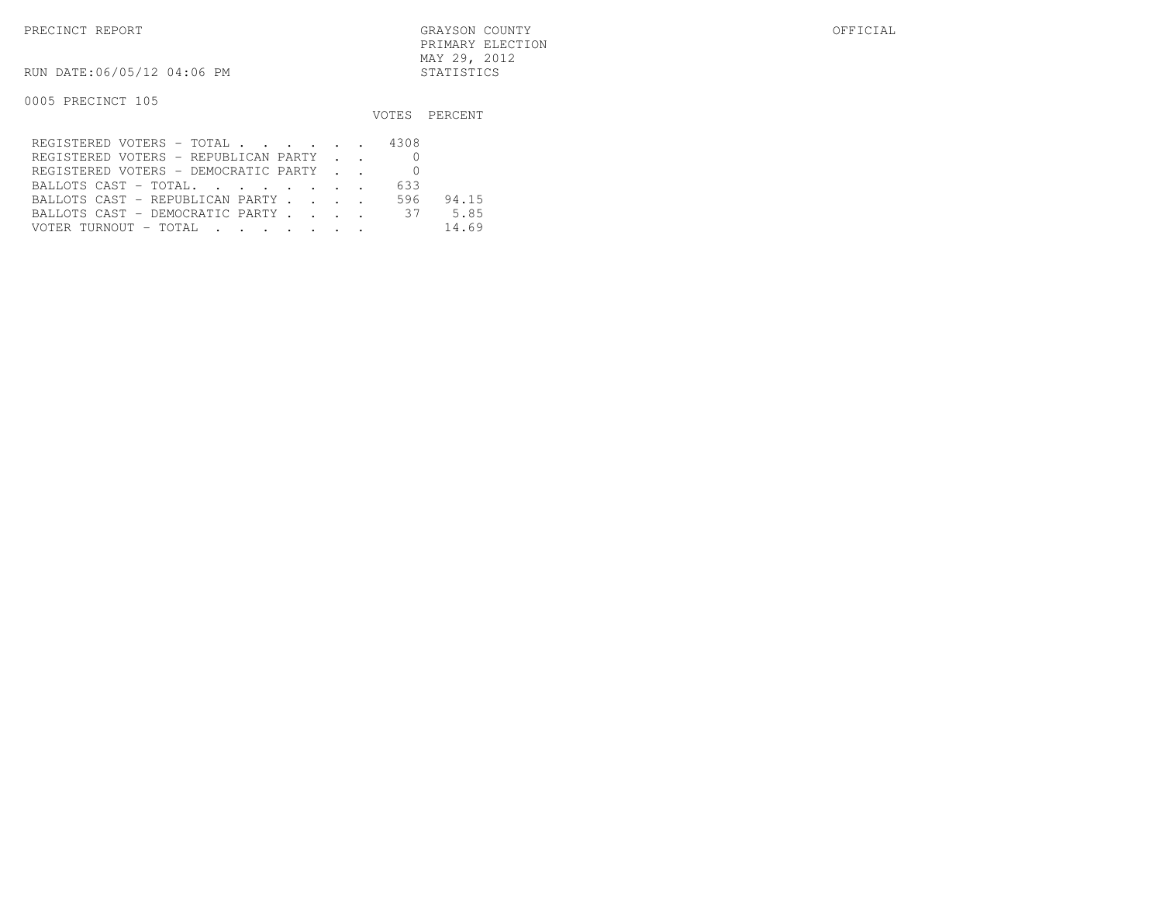RUN DATE:06/05/12 04:06 PM STATISTICS

|                                      |     | VOTES PERCENT |
|--------------------------------------|-----|---------------|
| REGISTERED VOTERS - TOTAL 4308       |     |               |
| REGISTERED VOTERS - REPUBLICAN PARTY |     |               |
| REGISTERED VOTERS - DEMOCRATIC PARTY |     |               |
| BALLOTS CAST - TOTAL.                | 633 |               |
| BALLOTS CAST - REPUBLICAN PARTY      | 596 | 94.15         |
| BALLOTS CAST - DEMOCRATIC PARTY 37   |     | 5.85          |
| VOTER TURNOUT - TOTAL                |     | 14.69         |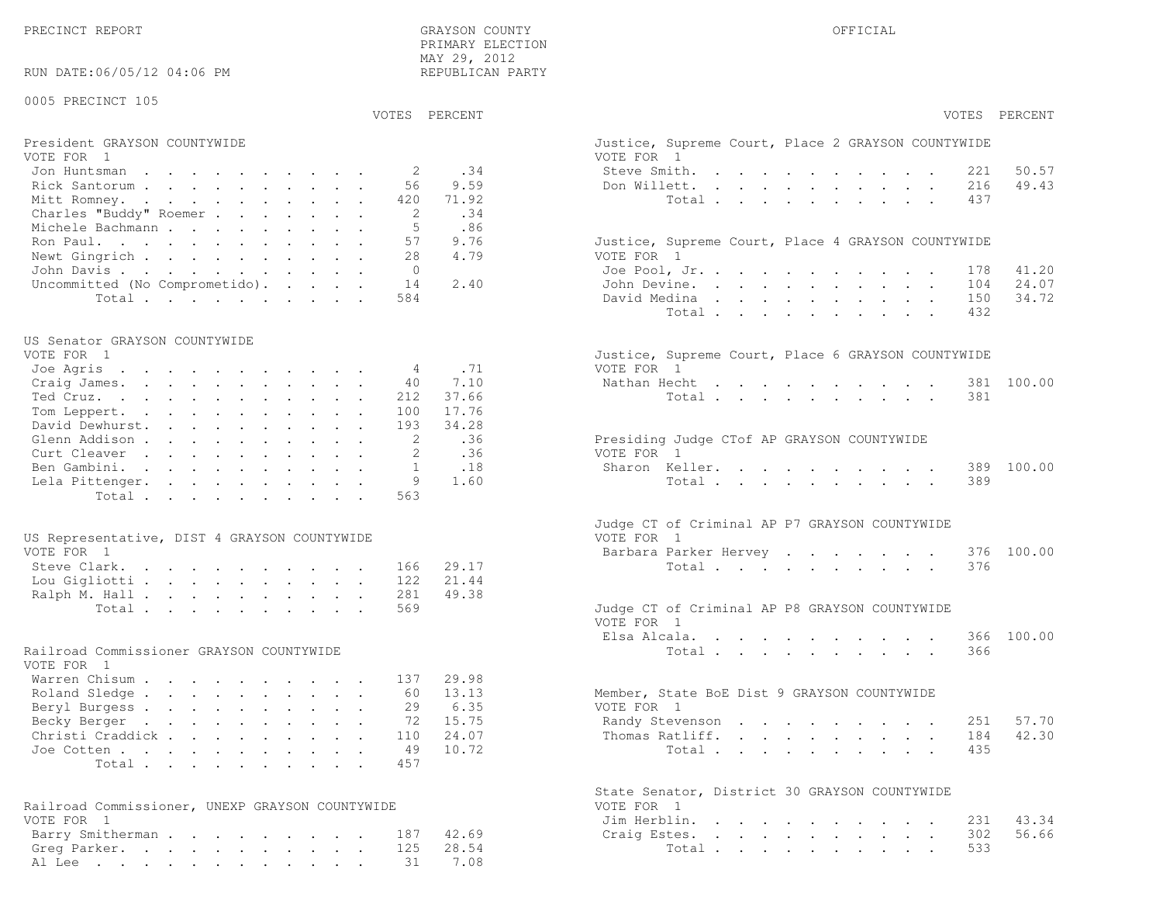| RUN DATE:06/05/12 04:06 PM                      | MAI 29, 2012<br>REPUBLICAN PARTY |                                                                  |
|-------------------------------------------------|----------------------------------|------------------------------------------------------------------|
| 0005 PRECINCT 105                               |                                  |                                                                  |
|                                                 | VOTES PERCENT                    | VOTES PERCENT                                                    |
| President GRAYSON COUNTYWIDE<br>VOTE FOR 1      |                                  | Justice, Supreme Court, Place 2 GRAYSON COUNTYWIDE<br>VOTE FOR 1 |
| Jon Huntsman                                    | .34<br>2                         | Steve Smith.<br>50.57<br>221                                     |
| Rick Santorum                                   | 9.59<br>56                       | 49.43<br>Don Willett.<br>216                                     |
| Mitt Romney.                                    | 71.92<br>420                     | Total<br>437                                                     |
| Charles "Buddy" Roemer                          | -2<br>.34                        |                                                                  |
| Michele Bachmann                                | .86<br>5                         |                                                                  |
| Ron Paul.                                       | 57<br>9.76                       | Justice, Supreme Court, Place 4 GRAYSON COUNTYWIDE               |
| Newt Gingrich                                   | 28<br>4.79                       | VOTE FOR 1                                                       |
| John Davis.<br>Uncommitted (No Comprometido).   | $\overline{0}$<br>14<br>2.40     | 41.20<br>Joe Pool, Jr.<br>178<br>John Devine.<br>24.07<br>104    |
| Total                                           | 584                              | 34.72<br>David Medina<br>150                                     |
|                                                 |                                  | Total<br>432                                                     |
|                                                 |                                  |                                                                  |
| US Senator GRAYSON COUNTYWIDE                   |                                  |                                                                  |
| VOTE FOR 1                                      |                                  | Justice, Supreme Court, Place 6 GRAYSON COUNTYWIDE               |
| Joe Agris                                       | .71<br>4                         | VOTE FOR 1                                                       |
| Craig James.                                    | 40<br>7.10<br>37.66<br>212       | Nathan Hecht<br>381 100.00<br>381                                |
| Ted Cruz.<br>Tom Leppert.                       | 17.76<br>100                     | Total                                                            |
| David Dewhurst.                                 | 34.28<br>193                     |                                                                  |
| Glenn Addison                                   | 2<br>.36                         | Presiding Judge CTof AP GRAYSON COUNTYWIDE                       |
| Curt Cleaver                                    | .36                              | VOTE FOR 1                                                       |
| Ben Gambini.                                    | .18<br>$\overline{1}$            | Sharon Keller.<br>100.00<br>389                                  |
| Lela Pittenger.                                 | 9<br>1.60                        | Total<br>389                                                     |
| Total.                                          | 563                              |                                                                  |
|                                                 |                                  | Judge CT of Criminal AP P7 GRAYSON COUNTYWIDE                    |
| US Representative, DIST 4 GRAYSON COUNTYWIDE    |                                  | VOTE FOR 1                                                       |
| VOTE FOR 1                                      |                                  | Barbara Parker Hervey<br>376 100.00                              |
| Steve Clark.<br>Lou Gigliotti                   | 29.17<br>166<br>21.44<br>122     | Total<br>376                                                     |
| Ralph M. Hall                                   | 49.38<br>281                     |                                                                  |
| Total                                           | 569                              | Judge CT of Criminal AP P8 GRAYSON COUNTYWIDE                    |
|                                                 |                                  | VOTE FOR 1                                                       |
|                                                 |                                  | Elsa Alcala.<br>366 100.00                                       |
| Railroad Commissioner GRAYSON COUNTYWIDE        |                                  | Total<br>366                                                     |
| VOTE FOR 1                                      |                                  |                                                                  |
| Warren Chisum<br>Roland Sledge                  | 29.98<br>137<br>13.13<br>60      | Member, State BoE Dist 9 GRAYSON COUNTYWIDE                      |
| Beryl Burgess                                   | 6.35<br>29                       | VOTE FOR 1                                                       |
| Becky Berger                                    | 72 15.75                         | Randy Stevenson 251 57.70                                        |
| Christi Craddick                                | 24.07<br>110                     | 42.30<br>Thomas Ratliff.<br>184                                  |
| Joe Cotten                                      | 49<br>10.72                      | Total<br>435                                                     |
| Total                                           | 457                              |                                                                  |
|                                                 |                                  |                                                                  |
| Railroad Commissioner, UNEXP GRAYSON COUNTYWIDE |                                  | State Senator, District 30 GRAYSON COUNTYWIDE<br>VOTE FOR 1      |
| VOTE FOR 1                                      |                                  | Jim Herblin.<br>43.34<br>231                                     |
| Barry Smitherman                                | 42.69<br>187                     | 56.66<br>Craig Estes.<br>302                                     |
| Greg Parker. 125                                | 28.54                            | Total<br>533                                                     |

Al Lee . . . . . . . . . . . . 31 7.08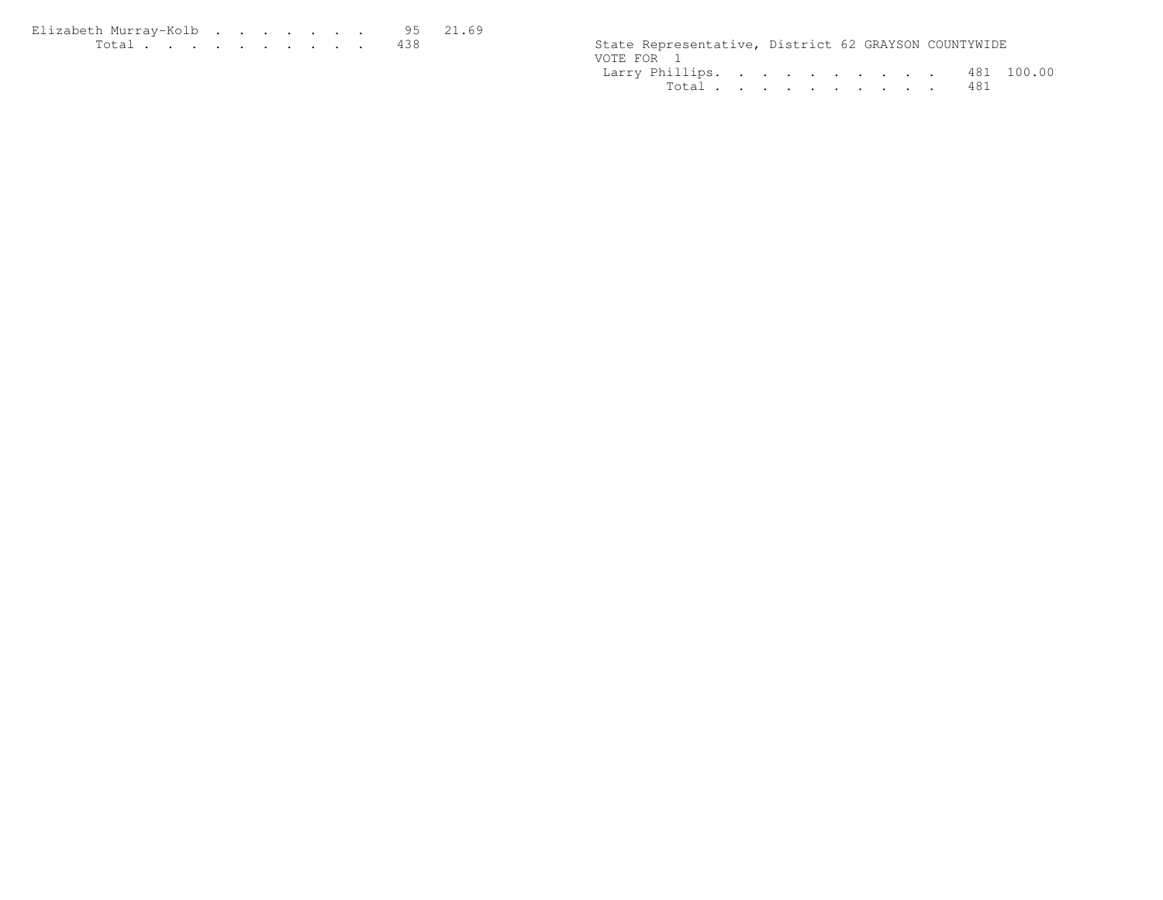| Elizabeth Murrav-Kolb 95 21.69 |  |  |  |  |  |                                                      |  |  |
|--------------------------------|--|--|--|--|--|------------------------------------------------------|--|--|
| .                              |  |  |  |  |  | State Representative, District 62 GRAYSON COUNTYWIDE |  |  |

| State Representative, District 62 GRAYSON COUNTYWIDE |  |  |  |  |  |
|------------------------------------------------------|--|--|--|--|--|
| VOTE FOR 1                                           |  |  |  |  |  |
| Larry Phillips. 481 100.00                           |  |  |  |  |  |
| Total 481                                            |  |  |  |  |  |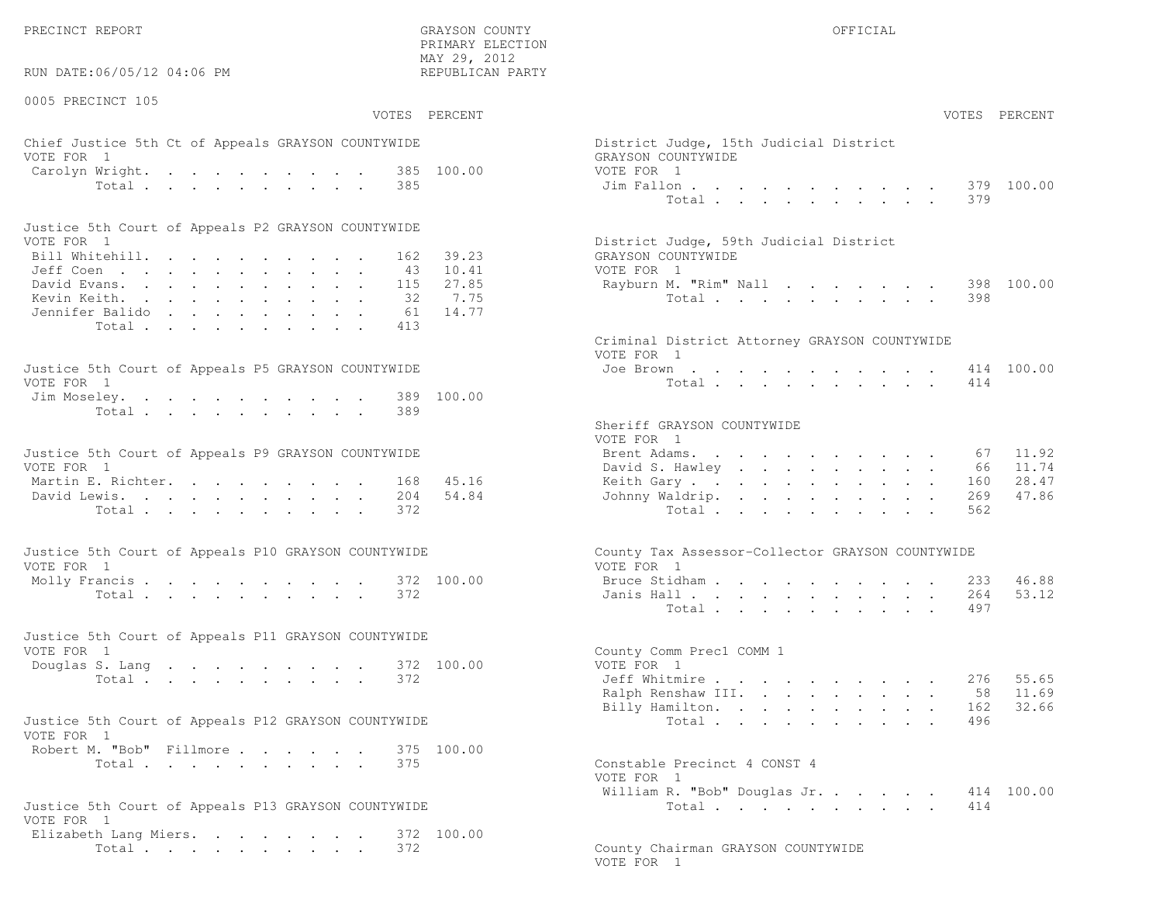PRECINCT REPORT OF THE SERVICE OF THE GRAYSON COUNTY OF THE GRAYSON COUNTY OF THE GRAYSON OF THE GRAYSON COUNTY

RUN DATE:06/05/12 04:06 PM

0005 PRECINCT 105

VOTES PERCENT VOTES PERCENT

 PRIMARY ELECTION MAY 29, 2012REPUBLICAN PARTY

# Chief Justice 5th Ct of Appeals GRAYSON COUNTYWIDE District Appeals Ois VOTE FOR 1 GRAYSON COUNTY OF REAL EXPLORER COUNTY OF REAL EXPLORER COUNTY OF REAL EXPLORER COUNTY OF REAL EXPLORER COUNTY OF REAL EXPLORER COUNTY OF REAL EXPLORER COUNTY OF REAL EXPLORER COUNTY OF REAL EXPLORER COUNTY OF R Carolyn Wright. . . . . . . . . 385 100.00 VOT Total . . . . . . . . . . 385 Ji

| Justice 5th Court of Appeals P2 GRAYSON COUNTYWIDE |  |  |  |  |  |                                        |
|----------------------------------------------------|--|--|--|--|--|----------------------------------------|
| VOTE FOR 1                                         |  |  |  |  |  | District Judge, 59th Judicial District |
| Bill Whitehill. 162 39.23                          |  |  |  |  |  | GRAYSON COUNTYWIDE                     |
| Jeff Coen 43 10.41                                 |  |  |  |  |  | VOTE FOR 1                             |
| David Evans. 115 27.85                             |  |  |  |  |  | Rayburn M. "Rim" Nall 398 100.00       |
| Kevin Keith. 32 7.75                               |  |  |  |  |  | Total 398                              |
| Jennifer Balido 61 14.77                           |  |  |  |  |  |                                        |
| Total 413                                          |  |  |  |  |  |                                        |

| Justice 5th Court of Appeals P5 GRAYSON COUNTYWIDE | Joe Brown 414 100.00 |
|----------------------------------------------------|----------------------|
| VOTE FOR 1                                         | Total 414            |
| Jim Moseley. 389 100.00                            |                      |
| Total 389                                          |                      |

| Justice 5th Court of Appeals P9 GRAYSON COUNTYWIDE | Brent Adams. 67 11.92     |
|----------------------------------------------------|---------------------------|
| VOTE FOR 1                                         | David S. Hawley 66 11.74  |
| Martin E. Richter. 168 45.16                       | Keith Gary 160 28.47      |
| David Lewis. 204 54.84                             | Johnny Waldrip. 269 47.86 |
| Total 372                                          | Total 562                 |

| Justice 5th Court of Appeals P10 GRAYSON COUNTYWIDE | County Tax Assessor-Collector GRAYSON COUNTYWIDE |
|-----------------------------------------------------|--------------------------------------------------|
| VOTE FOR 1                                          | VOTE FOR 1                                       |
| Molly Francis 372 100.00                            | Bruce Stidham 233 46.88                          |
| Total 372                                           | Janis Hall 264 53.12                             |

| Justice 5th Court of Appeals P11 GRAYSON COUNTYWIDE |  |  |  |  |  |           |                            |                          |                         |  |  |  |  |  |
|-----------------------------------------------------|--|--|--|--|--|-----------|----------------------------|--------------------------|-------------------------|--|--|--|--|--|
| VOTE FOR 1                                          |  |  |  |  |  |           |                            | County Comm Prec1 COMM 1 |                         |  |  |  |  |  |
|                                                     |  |  |  |  |  |           | Douglas S. Lang 372 100.00 | VOTE FOR 1               |                         |  |  |  |  |  |
|                                                     |  |  |  |  |  | Total 372 |                            |                          | Jeff Whitmire 276 55.65 |  |  |  |  |  |

| Justice 5th Court of Appeals P12 GRAYSON COUNTYWIDE |           |  |  |  | Total 496                    |  |
|-----------------------------------------------------|-----------|--|--|--|------------------------------|--|
| VOTE FOR 1                                          |           |  |  |  |                              |  |
| Robert M. "Bob" Fillmore 375 100.00                 |           |  |  |  |                              |  |
|                                                     | Total 375 |  |  |  | Constable Precinct 4 CONST 4 |  |

```
Justice 5th Court of Appeals P13 GRAYSON COUNTYWIDE
VOTE FOR 1
 Elizabeth Lang Miers. . . . . . . . 372 100.00Total . . . . . . . . . 372 County Chairman GRAYSON COUNTYWIDE
```

| AY 29, 2012<br>EPUBLICAN PARTY |                                                                            |                                                                                       |                                                                          |                                                                      |                                                                          |                                                                                    |                                                                                                                            |                                                                                          |                                                         |                           |                               |                                  |
|--------------------------------|----------------------------------------------------------------------------|---------------------------------------------------------------------------------------|--------------------------------------------------------------------------|----------------------------------------------------------------------|--------------------------------------------------------------------------|------------------------------------------------------------------------------------|----------------------------------------------------------------------------------------------------------------------------|------------------------------------------------------------------------------------------|---------------------------------------------------------|---------------------------|-------------------------------|----------------------------------|
| PERCENT                        |                                                                            |                                                                                       |                                                                          |                                                                      |                                                                          |                                                                                    |                                                                                                                            |                                                                                          |                                                         |                           |                               | VOTES PERCENT                    |
| 100.00                         | District Judge, 15th Judicial District<br>GRAYSON COUNTYWIDE<br>VOTE FOR 1 | Jim Fallon                                                                            | $\sim 10^{-11}$                                                          |                                                                      |                                                                          | $\sim$                                                                             |                                                                                                                            | $\mathbf{r} = \mathbf{r}$                                                                | $\ddot{\phantom{0}}$                                    |                           | 379                           | 100.00                           |
|                                |                                                                            | Total                                                                                 |                                                                          |                                                                      | $\mathbf{A}^{(1)}$ and                                                   |                                                                                    |                                                                                                                            |                                                                                          | and a strong control of the strong strong               |                           | 379                           |                                  |
| 39.23<br>10.41                 | District Judge, 59th Judicial District<br>GRAYSON COUNTYWIDE<br>VOTE FOR 1 |                                                                                       |                                                                          |                                                                      |                                                                          |                                                                                    |                                                                                                                            |                                                                                          |                                                         |                           |                               |                                  |
| 27.85<br>7.75<br>14.77         |                                                                            | Rayburn M. "Rim" Nall<br>Total                                                        |                                                                          | $\ddot{\phantom{0}}$                                                 | $\bullet$                                                                | $\bullet$                                                                          |                                                                                                                            |                                                                                          | $\sim$ $-$                                              |                           | 398<br>398                    | 100.00                           |
|                                | Criminal District Attorney GRAYSON COUNTYWIDE<br>VOTE FOR 1                |                                                                                       |                                                                          |                                                                      |                                                                          |                                                                                    |                                                                                                                            |                                                                                          |                                                         |                           |                               |                                  |
| 100.00                         |                                                                            | Joe Brown<br>Total $\cdots$                                                           |                                                                          | $\bullet$ . In the set of $\bullet$                                  |                                                                          |                                                                                    |                                                                                                                            |                                                                                          | and a strong control of the state of                    |                           | 414                           | 414 100.00                       |
|                                | Sheriff GRAYSON COUNTYWIDE<br>VOTE FOR 1                                   |                                                                                       |                                                                          |                                                                      |                                                                          |                                                                                    |                                                                                                                            |                                                                                          |                                                         |                           |                               |                                  |
| 45.16<br>54.84                 | Brent Adams.                                                               | <b>Contract Contract</b><br>David S. Hawley<br>Keith Gary<br>Johnny Waldrip.<br>Total | and a series of the series of the<br>$\bullet$ .                         | $\bullet$ .                                                          | $\mathbf{L}^{\text{max}}$<br>$\bullet$<br>$\Box$<br>$\ddot{\phantom{a}}$ | $\mathbf{L}^{\text{max}}$<br>$\bullet$ .<br>$\bullet$<br>$\mathbf{L}^{\text{max}}$ | $\sim$<br>$\bullet$ .<br>$\sim$<br>$\ddot{\phantom{a}}$                                                                    | $\mathbf{L}$<br>$\ddot{\phantom{0}}$<br>$\ddot{\phantom{0}}$                             | $\ddot{\phantom{a}}$<br>$\ddotsc$<br>$\bullet$ .        | $\bullet$                 | 67<br>66<br>160<br>269<br>562 | 11.92<br>11.74<br>28.47<br>47.86 |
|                                | County Tax Assessor-Collector GRAYSON COUNTYWIDE<br>VOTE FOR 1             |                                                                                       |                                                                          |                                                                      |                                                                          |                                                                                    |                                                                                                                            |                                                                                          |                                                         |                           |                               |                                  |
| 100.00                         |                                                                            | Bruce Stidham<br>Janis Hall<br>Total                                                  | $\mathbf{z} = \mathbf{z} + \mathbf{z}$ , where $\mathbf{z} = \mathbf{z}$ |                                                                      | $\sim$                                                                   | <b>All Cards</b><br>$\sim 10^{-10}$                                                | $\bullet$ .<br><br><br><br><br><br><br><br><br><br><br><br><br>$\bullet$ .<br><br><br><br><br><br><br><br><br><br><br><br> | $\bullet$ .                                                                              | $\bullet$ .<br>$\mathbf{z} = \mathbf{z} + \mathbf{z}$ . | $\mathbf{r}$<br>$\bullet$ | 233<br>264<br>497             | 46.88<br>53.12                   |
| 100.00                         | County Comm Prec1 COMM 1<br>VOTE FOR 1                                     |                                                                                       |                                                                          |                                                                      |                                                                          |                                                                                    |                                                                                                                            |                                                                                          |                                                         |                           |                               |                                  |
|                                |                                                                            | Jeff Whitmire<br>Ralph Renshaw III.<br>Billy Hamilton.<br>Total                       | $\mathbf{L}^{\text{max}}$                                                | $\mathbf{L} = \mathbf{L}$<br>$\sim 10^{-11}$<br>$\ddot{\phantom{0}}$ | $\mathbf{L}$<br>$\mathbf{L}^{\text{max}}$<br>$\ddot{\phantom{a}}$        | $\mathbf{L}$                                                                       | $\mathbf{r} = \mathbf{r} + \mathbf{r}$ .<br>$\mathbf{L}^{\text{max}}$<br>$\mathbf{L}$ and $\mathbf{L}$                     | $\mathbf{z} = \mathbf{z} + \mathbf{z}$ , where $\mathbf{z} = \mathbf{z}$<br>$\mathbf{L}$ | $\ddot{\phantom{0}}$<br>$\ddot{\phantom{a}}$            |                           | 276<br>58<br>162<br>496       | 55.65<br>11.69<br>32.66          |
| 100.00                         | Constable Precinct 4 CONST 4                                               |                                                                                       |                                                                          |                                                                      |                                                                          |                                                                                    |                                                                                                                            |                                                                                          |                                                         |                           |                               |                                  |
|                                | VOTE FOR 1                                                                 | William R. "Bob" Douglas Jr.<br>Total $\cdots$                                        |                                                                          |                                                                      |                                                                          |                                                                                    | $\sim 10^{-1}$                                                                                                             |                                                                                          |                                                         |                           | 414<br>414                    | 100.00                           |

VOTE FOR 1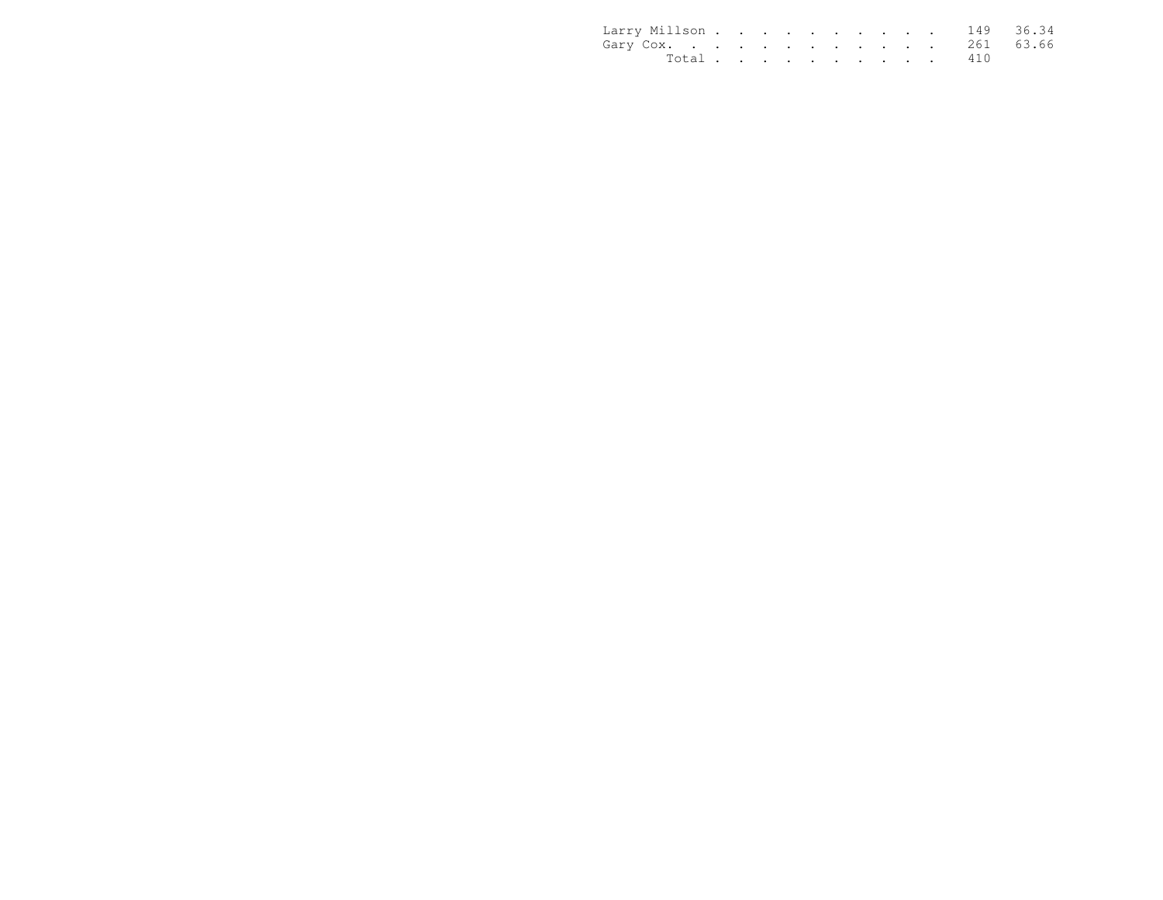| Larry Millson 149 36.34 |           |  |  |  |  |  |  |
|-------------------------|-----------|--|--|--|--|--|--|
| Gary Cox. 261 63.66     |           |  |  |  |  |  |  |
|                         | Total 410 |  |  |  |  |  |  |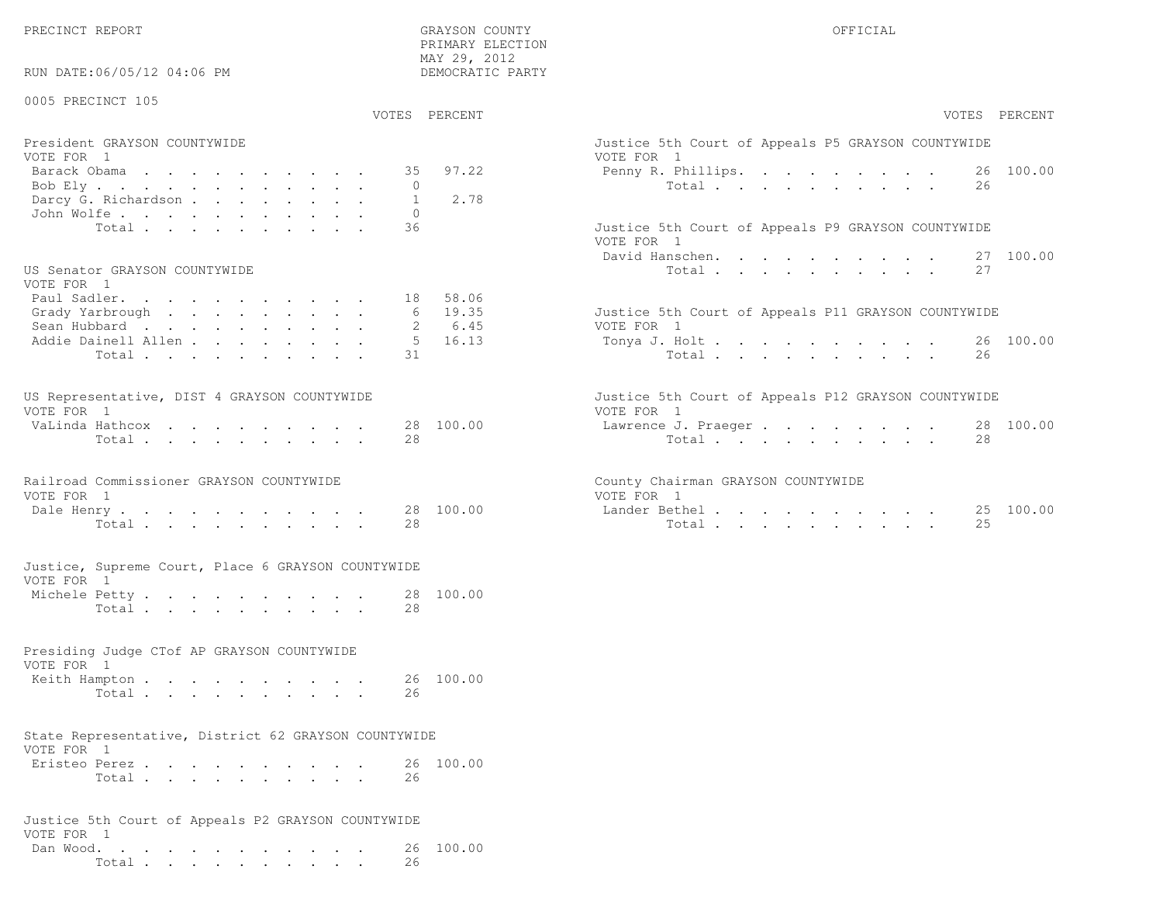PRECINCT REPORT GRAYSON COUNTY OFFICIAL

Total . . . . . . . . . . 26

 PRIMARY ELECTIONMAY 29, 2012

| RUN DATE:06/05/12 04:06 PM                           | DEMOCRATIC PARTY          |                                                     |
|------------------------------------------------------|---------------------------|-----------------------------------------------------|
| 0005 PRECINCT 105                                    | VOTES PERCENT             | VOTES PERCENT                                       |
| President GRAYSON COUNTYWIDE                         |                           | Justice 5th Court of Appeals P5 GRAYSON COUNTYWIDE  |
| VOTE FOR 1                                           |                           | VOTE FOR 1                                          |
| Barack Obama                                         | 97.22<br>35               | Penny R. Phillips. 26 100.00                        |
| Bob Ely                                              | $\Omega$                  | Total<br>26                                         |
| Darcy G. Richardson<br>John Wolfe.                   | 2.78<br>$\mathbf{1}$<br>0 |                                                     |
| Total                                                | 36                        | Justice 5th Court of Appeals P9 GRAYSON COUNTYWIDE  |
|                                                      |                           | VOTE FOR 1                                          |
|                                                      |                           | 27 100.00<br>David Hanschen.                        |
| US Senator GRAYSON COUNTYWIDE<br>VOTE FOR 1          |                           | Total<br>27                                         |
| Paul Sadler.                                         | 18 58.06                  |                                                     |
| Grady Yarbrough                                      | 6 19.35                   | Justice 5th Court of Appeals P11 GRAYSON COUNTYWIDE |
| Sean Hubbard                                         | 6.45<br>2                 | VOTE FOR 1                                          |
| Addie Dainell Allen                                  | $5 \t16.13$               | 26 100.00<br>Tonya J. Holt                          |
| Total                                                | 31                        | Total<br>26                                         |
| US Representative, DIST 4 GRAYSON COUNTYWIDE         |                           | Justice 5th Court of Appeals P12 GRAYSON COUNTYWIDE |
| VOTE FOR 1                                           |                           | VOTE FOR 1                                          |
| VaLinda Hathcox                                      | 28 100.00                 | 28 100.00<br>Lawrence J. Praeger                    |
| Total                                                | 2.8                       | Total<br>28                                         |
| Railroad Commissioner GRAYSON COUNTYWIDE             |                           | County Chairman GRAYSON COUNTYWIDE                  |
| VOTE FOR 1                                           |                           | VOTE FOR 1                                          |
| Dale Henry                                           | 28 100.00<br>28           | Lander Bethel.<br>25 100.00<br>25                   |
| Total $\cdots$                                       |                           | Total                                               |
| Justice, Supreme Court, Place 6 GRAYSON COUNTYWIDE   |                           |                                                     |
| VOTE FOR 1                                           |                           |                                                     |
| Michele Petty<br>Total                               | 28 100.00<br>28           |                                                     |
|                                                      |                           |                                                     |
| Presiding Judge CTof AP GRAYSON COUNTYWIDE           |                           |                                                     |
| VOTE FOR 1                                           |                           |                                                     |
| Keith Hampton                                        | 26 100.00                 |                                                     |
| Total                                                | 26                        |                                                     |
| State Representative, District 62 GRAYSON COUNTYWIDE |                           |                                                     |
| VOTE FOR 1                                           |                           |                                                     |
| Eristeo Perez                                        | 26 100.00                 |                                                     |
| Total                                                | 26                        |                                                     |
| Justice 5th Court of Appeals P2 GRAYSON COUNTYWIDE   |                           |                                                     |
| VOTE FOR 1                                           |                           |                                                     |
| Dan Wood.                                            | 26 100.00                 |                                                     |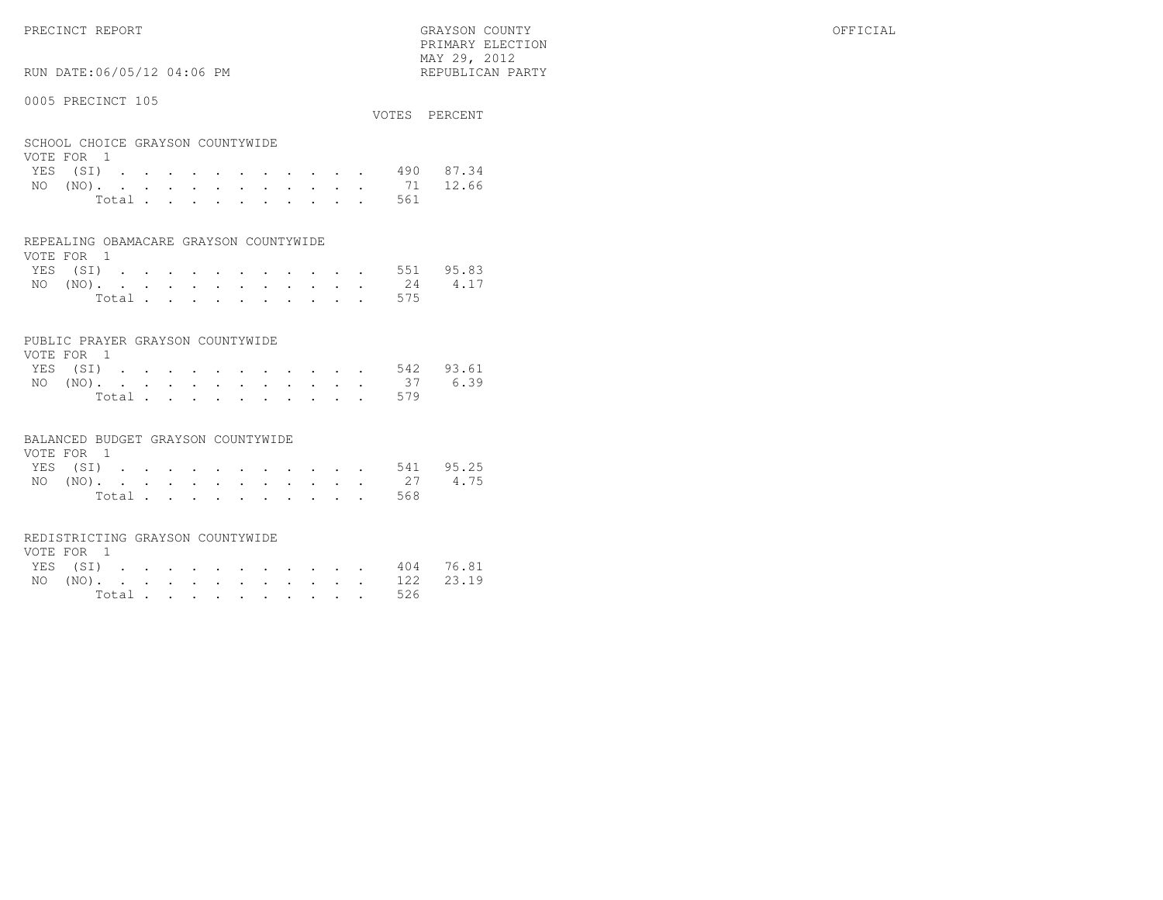PRECINCT REPORT GRAYSON COUNTY OFFICIAL PRIMARY ELECTION $\text{MAX } 29, \quad 2012$ 

# RUN DATE:06/05/12 04:06 PM

### 0005 PRECINCT 105

| OUUJ INDUINUI IUJ                              |       |  |  |  |  |     | VOTES PERCENT      |
|------------------------------------------------|-------|--|--|--|--|-----|--------------------|
| SCHOOL CHOICE GRAYSON COUNTYWIDE<br>VOTE FOR 1 |       |  |  |  |  |     |                    |
|                                                |       |  |  |  |  |     | YES (SI) 490 87.34 |
|                                                |       |  |  |  |  |     | NO (NO). 71 12.66  |
|                                                | Total |  |  |  |  | 561 |                    |

#### REPEALING OBAMACARE GRAYSON COUNTYWIDE

| VOTE FOR 1 |  |  |  |  |  |  |                    |  |
|------------|--|--|--|--|--|--|--------------------|--|
|            |  |  |  |  |  |  | YES (SI) 551 95.83 |  |
|            |  |  |  |  |  |  | NO (NO). 24 4.17   |  |
|            |  |  |  |  |  |  | Total 575          |  |

## PUBLIC PRAYER GRAYSON COUNTYWIDE

| VOTE FOR 1 |  |  |  |  |  |           |                    |
|------------|--|--|--|--|--|-----------|--------------------|
|            |  |  |  |  |  |           | YES (SI) 542 93.61 |
|            |  |  |  |  |  |           | NO (NO). 37 6.39   |
|            |  |  |  |  |  | Total 579 |                    |

#### BALANCED BUDGET GRAYSON COUNTYWIDE

| VOTE FOR 1 |                |  |  |  |  |  |                    |  |
|------------|----------------|--|--|--|--|--|--------------------|--|
|            |                |  |  |  |  |  | YES (SI) 541 95.25 |  |
|            |                |  |  |  |  |  | NO (NO). 27 4.75   |  |
|            | Total $\cdots$ |  |  |  |  |  | 568                |  |

## REDISTRICTING GRAYSON COUNTYWIDE

| VOTE FOR 1 |  |  |  |  |  |           |                    |  |
|------------|--|--|--|--|--|-----------|--------------------|--|
|            |  |  |  |  |  |           | YES (SI) 404 76.81 |  |
|            |  |  |  |  |  |           | NO (NO). 122 23.19 |  |
|            |  |  |  |  |  | Total 526 |                    |  |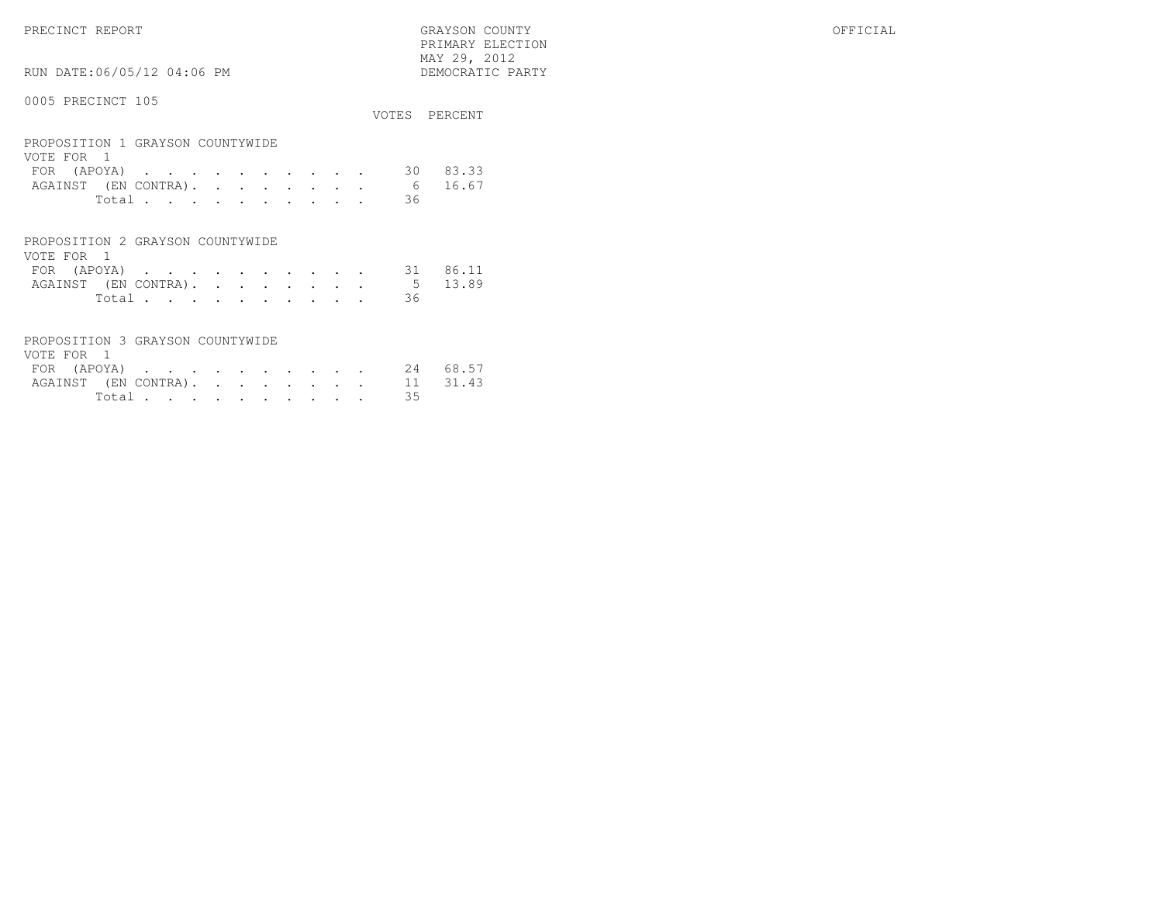PRECINCT REPORT GRAYSON COUNTY OFFICIAL PRIMARY ELECTION $\begin{array}{lll} \text{MAX} & 29, & 2012 \\ \text{NAY} & 29, & 2012 \end{array}$ 

RUN DATE:06/05/12 04:06 PM

|                                                |       |  |  |  |  |  |     | VOTES PERCENT |
|------------------------------------------------|-------|--|--|--|--|--|-----|---------------|
| PROPOSITION 1 GRAYSON COUNTYWIDE<br>VOTE FOR 1 |       |  |  |  |  |  |     |               |
| FOR (APOYA)                                    |       |  |  |  |  |  | 30. | 83.33         |
| AGAINST (EN CONTRA).                           |       |  |  |  |  |  |     | 6 16.67       |
|                                                | Total |  |  |  |  |  | 36  |               |
|                                                |       |  |  |  |  |  |     |               |

| PROPOSITION 2 GRAYSON COUNTYWIDE |        |  |  |  |  |  |                              |  |
|----------------------------------|--------|--|--|--|--|--|------------------------------|--|
| VOTE FOR 1                       |        |  |  |  |  |  |                              |  |
|                                  |        |  |  |  |  |  | FOR (APOYA) 31 86.11         |  |
|                                  |        |  |  |  |  |  | AGAINST (EN CONTRA). 5 13.89 |  |
|                                  | Total. |  |  |  |  |  | - 36                         |  |

| PROPOSITION 3 GRAYSON COUNTYWIDE |                |  |  |  |  |    |  |
|----------------------------------|----------------|--|--|--|--|----|--|
| VOTE FOR 1                       |                |  |  |  |  |    |  |
| FOR (APOYA) 24 68.57             |                |  |  |  |  |    |  |
| AGAINST (EN CONTRA). 11 31.43    |                |  |  |  |  |    |  |
|                                  | Total $\cdots$ |  |  |  |  | 35 |  |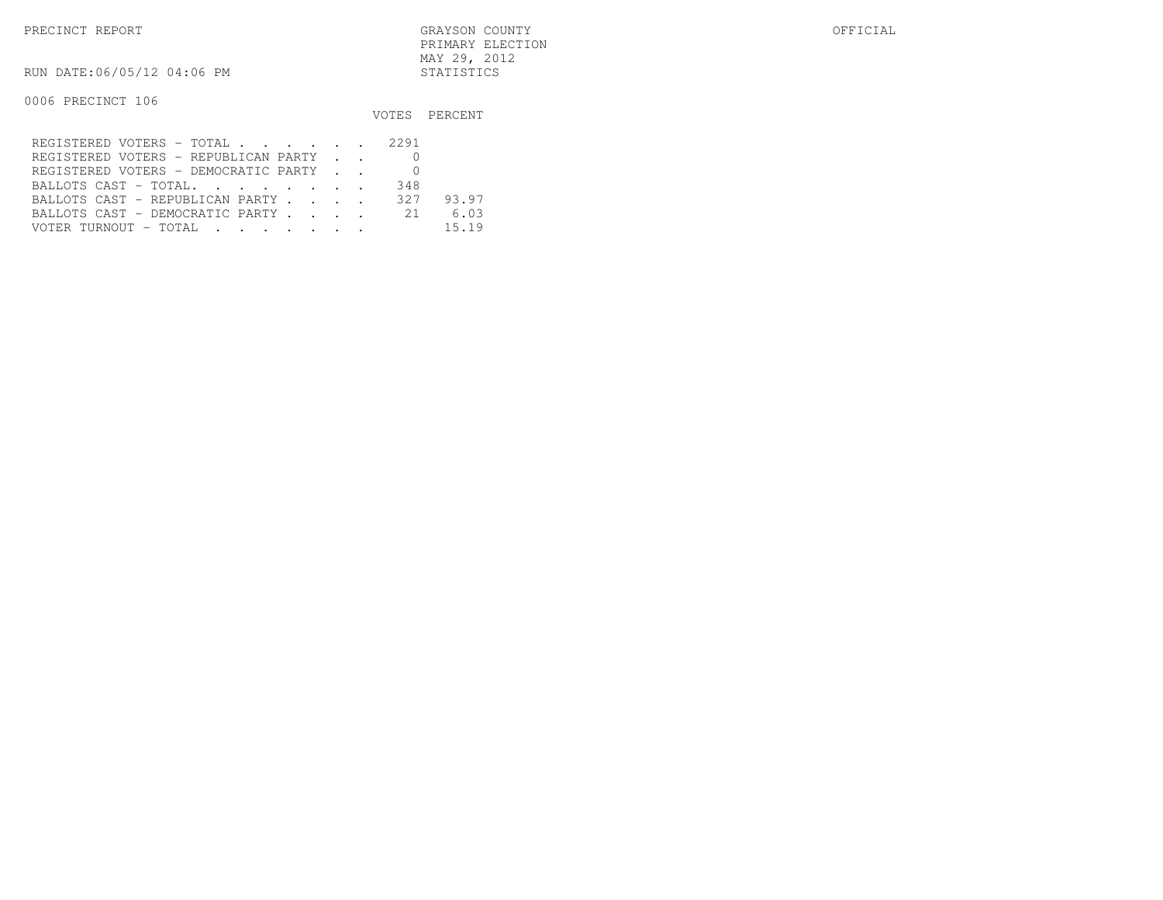RUN DATE:06/05/12 04:06 PM STATISTICS

|                                         |     | VOTES PERCENT |
|-----------------------------------------|-----|---------------|
| REGISTERED VOTERS - TOTAL 2291          |     |               |
| REGISTERED VOTERS - REPUBLICAN PARTY    |     |               |
| REGISTERED VOTERS - DEMOCRATIC PARTY    |     |               |
| BALLOTS CAST - TOTAL.                   | 348 |               |
| BALLOTS CAST - REPUBLICAN PARTY 327     |     | 93.97         |
| BALLOTS CAST - DEMOCRATIC PARTY 21 6.03 |     |               |
|                                         |     | 15.19         |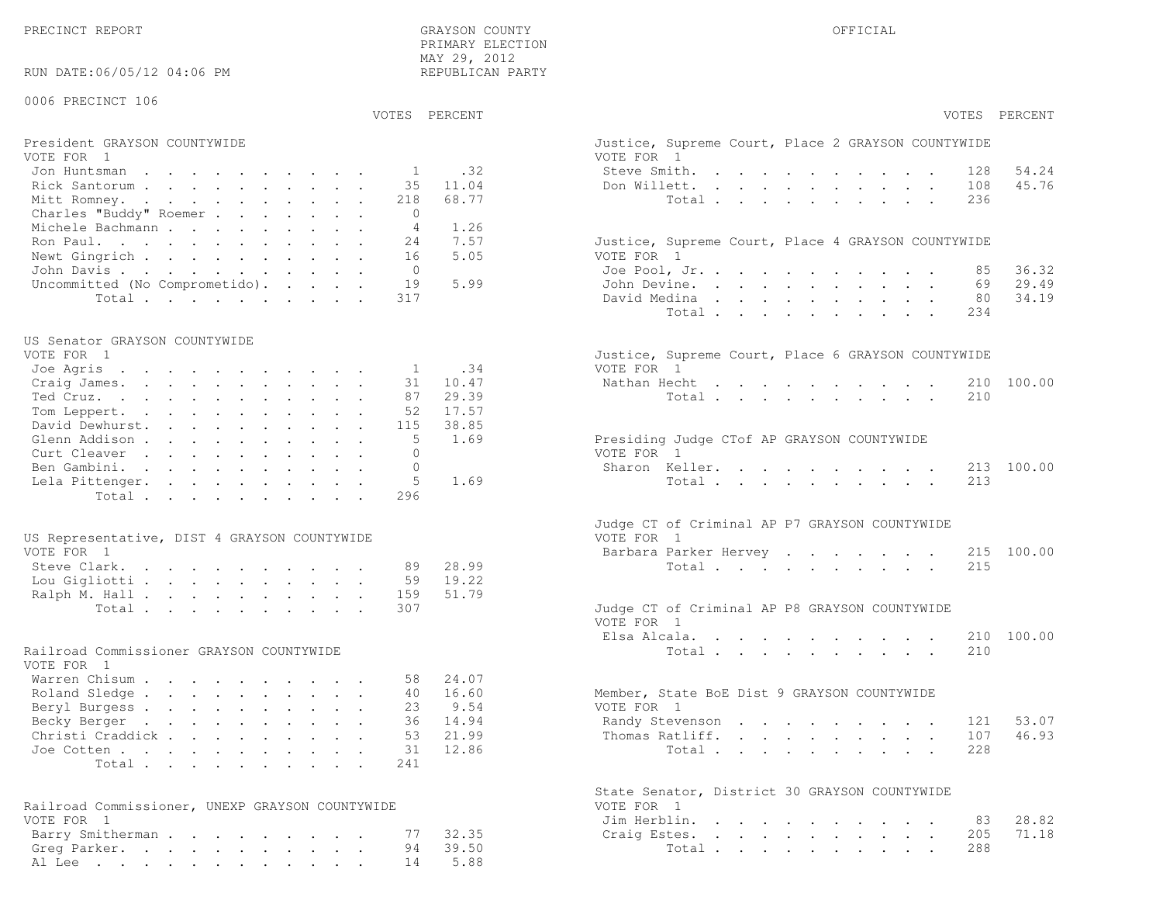PRECINCT REPORT OF THE SERVICE OF THE GRAYSON COUNTY OF THE GRAYSON COUNTY OF THE GRAYSON OF THE GRAYSON COUNTY PRIMARY ELECTION MAY 29, 2012REPUBLICAN PARTY

#### RUN DATE:06/05/12 04:06 PM

## 0006 PRECINCT 106

VOTES PERCENT VOTES PERCENT

# President GRAYSON COUNTYWIDE Justice, Superior Court, Superior Court, Place 2 Graphs Court, Place 2 GRAYSON COUNTY

| VOTE FOR 1                                   | VOTE FOR 1                                         |
|----------------------------------------------|----------------------------------------------------|
| Jon Huntsman $\ldots$ , , , , , , , , , , 32 | 54.24<br>Steve Smith. 128                          |
| Rick Santorum 35 11.04                       | 45.76<br>Don Willett. 108                          |
| Mitt Romney. 218 68.77                       | Total 236                                          |
| Charles "Buddy" Roemer<br>$\circ$            |                                                    |
| Michele Bachmann 4 1.26                      |                                                    |
| Ron Paul. 24 7.57                            | Justice, Supreme Court, Place 4 GRAYSON COUNTYWIDE |
| Newt Gingrich 16 5.05                        | VOTE FOR 1                                         |
| John Davis 0                                 | 36.32<br>Joe Pool, Jr. 85                          |
| Uncommitted (No Comprometido). 19 5.99       | 29.49<br>John Devine. 69                           |
| Total 317                                    | 80 34.19<br>David Medina                           |

#### US Senator GRAYSON COUNTYWIDE

| VOTE FOR 1                | Justice, Supreme Court, Place 6 GRAYSON COUNTYWIDE |
|---------------------------|----------------------------------------------------|
| Joe Agris 1 .34           | VOTE FOR 1                                         |
| Craig James. 31 10.47     | Nathan Hecht 210 100.00                            |
| Ted Cruz. 87 29.39        | Total 210                                          |
| Tom Leppert. 52 17.57     |                                                    |
| David Dewhurst. 115 38.85 |                                                    |
| Glenn Addison 5 1.69      | Presiding Judge CTof AP GRAYSON COUNTYWIDE         |
| Curt Cleaver 0            | VOTE FOR 1                                         |
| Ben Gambini. 0            | Sharon Keller. 213 100.00                          |
| Lela Pittenger. 5 1.69    | Total 213                                          |
| Total 296                 |                                                    |
|                           |                                                    |

| US Representative, DIST 4 GRAYSON COUNTYWIDE | VOTE FOR 1                                    |
|----------------------------------------------|-----------------------------------------------|
| VOTE FOR 1                                   | Barbara Parker Hervey 215 100.00              |
| Steve Clark. 89 28.99                        | Total 215                                     |
| Lou Gigliotti 59 19.22                       |                                               |
| Ralph M. Hall 159 51.79                      |                                               |
| Total 307                                    | Judge CT of Criminal AP P8 GRAYSON COUNTYWIDE |

## Railroad Commissioner GRAYSON COUNTYWIDE

| VOTE FOR 1                |  |  |  |  |  |                                             |       |
|---------------------------|--|--|--|--|--|---------------------------------------------|-------|
| Warren Chisum 58 24.07    |  |  |  |  |  |                                             |       |
| Roland Sledge 40 16.60    |  |  |  |  |  | Member, State BoE Dist 9 GRAYSON COUNTYWIDE |       |
| Beryl Burgess 23 9.54     |  |  |  |  |  | VOTE FOR 1                                  |       |
| Becky Berger 36 14.94     |  |  |  |  |  | Randy Stevenson 121 53.07                   |       |
| Christi Craddick 53 21.99 |  |  |  |  |  | Thomas Ratliff. 107                         | 46.93 |
| Joe Cotten 31 12.86       |  |  |  |  |  | Total 228                                   |       |
| Total 241                 |  |  |  |  |  |                                             |       |

| Railroad Commissioner, UNEXP GRAYSON COUNTYWIDE | VOTE FOR 1             |
|-------------------------------------------------|------------------------|
| VOTE FOR 1                                      | Jim Herblin. 83 28.82  |
| Barry Smitherman 77 32.35                       | Craiq Estes. 205 71.18 |
| Greg Parker. 94 39.50                           | Total 288              |
| Al Lee 14 5.88                                  |                        |

| PERCENT      | VOTES PERCENT                                                                                                                                                                                                                                                                                                                                            |
|--------------|----------------------------------------------------------------------------------------------------------------------------------------------------------------------------------------------------------------------------------------------------------------------------------------------------------------------------------------------------------|
|              | Justice, Supreme Court, Place 2 GRAYSON COUNTYWIDE<br>VOTE FOR 1                                                                                                                                                                                                                                                                                         |
| .32          | Steve Smith.<br>128 54.24<br>$\ddot{\phantom{0}}$<br>$\ddot{\phantom{0}}$<br>$\cdot$ $\cdot$ $\cdot$<br>$\cdot$ $\cdot$ $\cdot$                                                                                                                                                                                                                          |
| 11.04        | 108 45.76<br>Don Willett.<br>$\cdot$ $\cdot$ $\cdot$ $\cdot$ $\cdot$<br>$\sim$                                                                                                                                                                                                                                                                           |
| 68.77        | Total .<br>236<br>$\sim 100$ km s $^{-1}$<br>$\ddot{\phantom{a}}$<br>$\bullet$<br>$\bullet$<br>$\ddot{\phantom{0}}$                                                                                                                                                                                                                                      |
| 1.26         |                                                                                                                                                                                                                                                                                                                                                          |
| 7.57<br>5.05 | Justice, Supreme Court, Place 4 GRAYSON COUNTYWIDE<br>VOTE FOR 1                                                                                                                                                                                                                                                                                         |
|              | Joe Pool, Jr.<br>36.32<br>85<br>$\mathbf{L} = \mathbf{L}$<br>$\sim$<br>$\mathbf{r}$ and $\mathbf{r}$                                                                                                                                                                                                                                                     |
| 5.99         | John Devine.<br>69 29.49<br>$\mathbf{r} = \mathbf{r} + \mathbf{r}$<br>$\sim$                                                                                                                                                                                                                                                                             |
|              | 34.19<br>David Medina<br>80 —<br>$\mathbf{r}$ , and $\mathbf{r}$ , and $\mathbf{r}$<br>$\mathbf{L}$<br>$\sim$<br>$\sim$<br>$\ddot{\phantom{0}}$<br>$\mathcal{L}$                                                                                                                                                                                         |
|              | Total<br>234<br>$\mathbf{L} = \mathbf{L}$<br>$\ddot{\phantom{a}}$<br>$\ddot{\phantom{a}}$<br>$\cdot$<br>$\sim$ 100 $\sim$<br>$\ddot{\phantom{a}}$                                                                                                                                                                                                        |
| .34          | Justice, Supreme Court, Place 6 GRAYSON COUNTYWIDE                                                                                                                                                                                                                                                                                                       |
| 10.47        | VOTE FOR 1<br>Nathan Hecht 210<br>100.00                                                                                                                                                                                                                                                                                                                 |
| 29.39        | 210<br>Total $\cdots$                                                                                                                                                                                                                                                                                                                                    |
| 17.57        |                                                                                                                                                                                                                                                                                                                                                          |
| 38.85        |                                                                                                                                                                                                                                                                                                                                                          |
| 1.69         | Presiding Judge CTof AP GRAYSON COUNTYWIDE                                                                                                                                                                                                                                                                                                               |
|              | VOTE FOR 1                                                                                                                                                                                                                                                                                                                                               |
|              | Sharon Keller.<br>213<br>100.00                                                                                                                                                                                                                                                                                                                          |
| 1.69         | 213<br>Total<br>$\mathbf{r}$                                                                                                                                                                                                                                                                                                                             |
|              | Judge CT of Criminal AP P7 GRAYSON COUNTYWIDE<br>VOTE FOR 1                                                                                                                                                                                                                                                                                              |
|              | Barbara Parker Hervey<br>215 100.00<br>$\sim$                                                                                                                                                                                                                                                                                                            |
| 28.99        | Total<br>215                                                                                                                                                                                                                                                                                                                                             |
| 19.22        |                                                                                                                                                                                                                                                                                                                                                          |
| 51.79        |                                                                                                                                                                                                                                                                                                                                                          |
|              | Judge CT of Criminal AP P8 GRAYSON COUNTYWIDE<br>VOTE FOR 1                                                                                                                                                                                                                                                                                              |
|              | Elsa Alcala.<br>210 100.00<br>and a strong control of the strong strong<br>$\mathbf{A}$                                                                                                                                                                                                                                                                  |
|              | 210<br>Total                                                                                                                                                                                                                                                                                                                                             |
| 24.07        |                                                                                                                                                                                                                                                                                                                                                          |
| 16.60        | Member, State BoE Dist 9 GRAYSON COUNTYWIDE                                                                                                                                                                                                                                                                                                              |
| 9.54         | VOTE FOR 1                                                                                                                                                                                                                                                                                                                                               |
| 14.94        | Randy Stevenson<br>121 53.07                                                                                                                                                                                                                                                                                                                             |
| 21.99        | 107 46.93<br>Thomas Ratliff.<br>$\ddot{\phantom{0}}$<br>$\mathbf{L}^{\text{max}}$<br>$\bullet$ .<br>$\mathbf{z} = \mathbf{z} + \mathbf{z}$ .                                                                                                                                                                                                             |
| 12.86        | Total<br>228<br>$\sim$                                                                                                                                                                                                                                                                                                                                   |
|              | State Senator, District 30 GRAYSON COUNTYWIDE<br>VOTE FOR<br>$\overline{1}$                                                                                                                                                                                                                                                                              |
|              | Jim Herblin.<br>28.82<br>83<br>$\ddot{\phantom{1}}$                                                                                                                                                                                                                                                                                                      |
| 32.35        | $\sim$ $-$<br>$\mathbf{L}$<br>$\ddot{\phantom{a}}$<br>$\ddot{\phantom{a}}$<br>$\bullet$ .<br>$\ddot{\phantom{a}}$<br>$\ddot{\phantom{a}}$<br>71.18<br>Craig Estes.<br>205<br>$\sim$<br>$\ddot{\phantom{0}}$<br>$\ddot{\phantom{a}}$<br>$\ddot{\phantom{0}}$<br>$\mathbf{L}$ and $\mathbf{L}$<br>$\mathbf{z} = \mathbf{z} + \mathbf{z}$ .<br>$\mathbf{L}$ |
| 39.50        | 288<br>Total<br>$\mathbf{A}^{(1)}$ and $\mathbf{A}^{(2)}$ and $\mathbf{A}^{(3)}$ and $\mathbf{A}^{(4)}$<br>$\bullet$<br>$\sim$ 100 $\sim$ 100 $\sim$ 100 $\sim$                                                                                                                                                                                          |
| 5.88         |                                                                                                                                                                                                                                                                                                                                                          |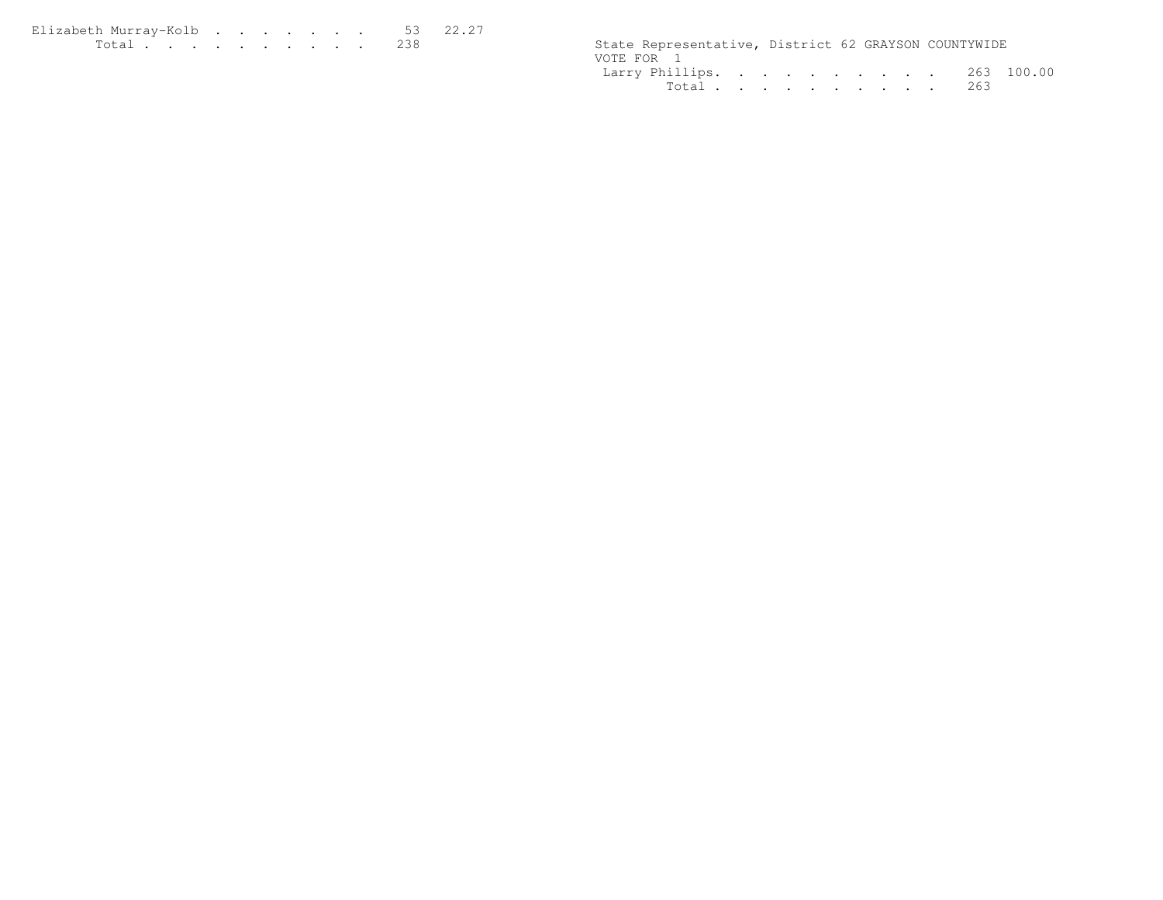| Elizabeth Murray-Kolb 53 22.27                                                                                                                                                                                                       |  |  |  |  |  |                                                      |  |  |
|--------------------------------------------------------------------------------------------------------------------------------------------------------------------------------------------------------------------------------------|--|--|--|--|--|------------------------------------------------------|--|--|
| <u>in the community of the community of the community of the community of the community of the community of the community of the community of the community of the community of the community of the community of the community </u> |  |  |  |  |  | State Representative, District 62 GRAYSON COUNTYWIDE |  |  |

|            | State Representative, District 62 GRAYSON COUNTYWIDE |  |  |  |  |  |
|------------|------------------------------------------------------|--|--|--|--|--|
| VOTE FOR 1 |                                                      |  |  |  |  |  |
|            | Larry Phillips. 263 100.00                           |  |  |  |  |  |
|            | Total 263                                            |  |  |  |  |  |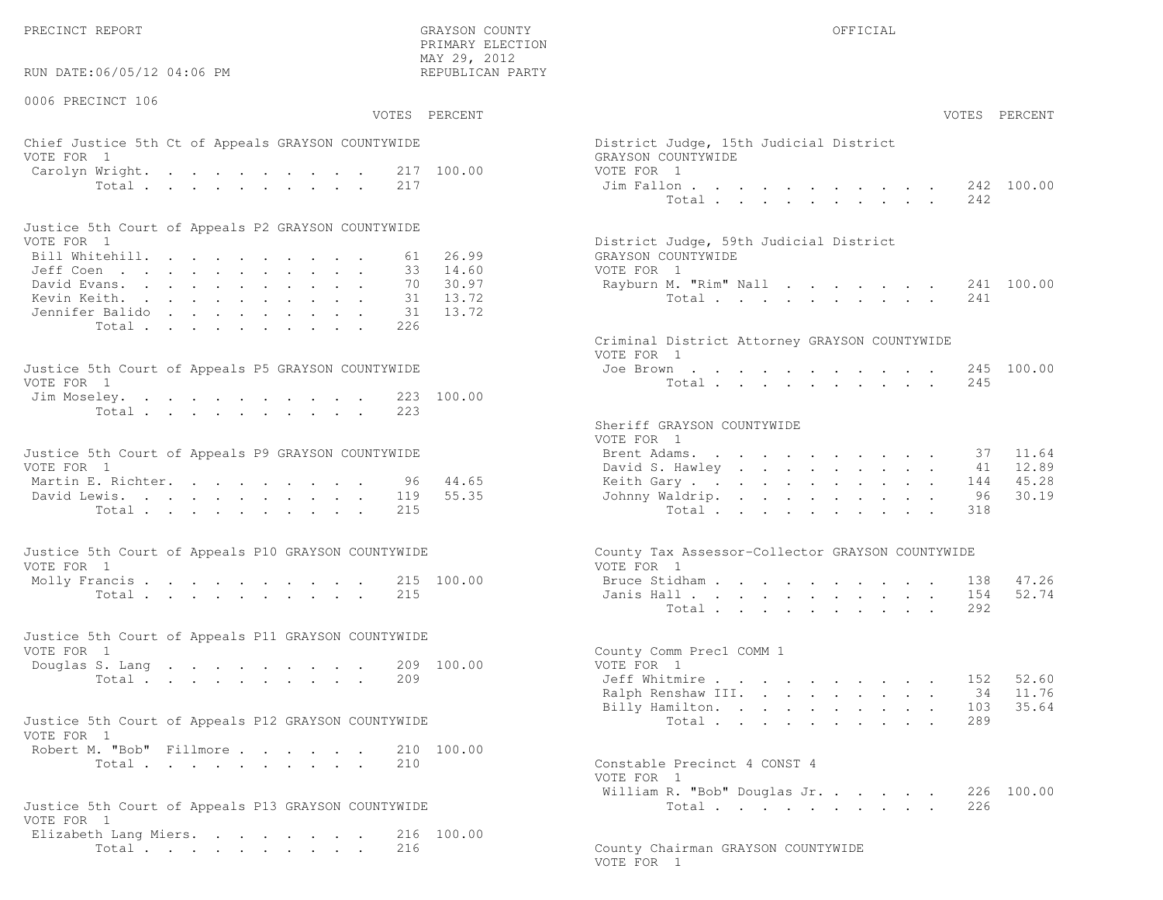PRECINCT REPORT OF THE SERVICE OF THE GRAYSON COUNTY OF THE GRAYSON COUNTY OF THE GRAYSON OF THE GRAYSON COUNTY

RUN DATE:06/05/12 04:06 PM

0006 PRECINCT 106

 PRIMARY ELECTION MAY 29, 2012REPUBLICAN PARTY

# Chief Justice 5th Ct of Appeals GRAYSON COUNTYWIDE The State of District District District Order VOTE FOR 1 GRA Carolyn Wright. . . . . . . . . 217 100.00 VOT<br>Total . . . . . . . . . 217 100.00 Ji

| Justice 5th Court of Appeals P2 GRAYSON COUNTYWIDE |  |  |  |  |  |                                        |
|----------------------------------------------------|--|--|--|--|--|----------------------------------------|
| VOTE FOR 1                                         |  |  |  |  |  | District Judge, 59th Judicial District |
| Bill Whitehill. 61 26.99                           |  |  |  |  |  | GRAYSON COUNTYWIDE                     |
| Jeff Coen 33 14.60                                 |  |  |  |  |  | VOTE FOR 1                             |
| David Evans. 70 30.97                              |  |  |  |  |  | Rayburn M. "Rim" Nall 241 100.00       |
| Kevin Keith. 31 13.72                              |  |  |  |  |  | Total 241                              |
| Jennifer Balido 31 13.72                           |  |  |  |  |  |                                        |
| Total 226                                          |  |  |  |  |  |                                        |

| Justice 5th Court of Appeals P5 GRAYSON COUNTYWIDE | Joe Brown 245 100.00 |
|----------------------------------------------------|----------------------|
| VOTE FOR 1                                         | Total 245            |
| Jim Moseley. 223 100.00                            |                      |
| Total 223                                          |                      |

| Justice 5th Court of Appeals P9 GRAYSON COUNTYWIDE | Brent Adams. 37 11.64    |  |  |  |  |  |  |
|----------------------------------------------------|--------------------------|--|--|--|--|--|--|
| VOTE FOR 1                                         | David S. Hawley 41 12.89 |  |  |  |  |  |  |
| Martin E. Richter. 96 44.65                        | Keith Gary 144 45.28     |  |  |  |  |  |  |
| David Lewis. 119 55.35                             | Johnny Waldrip. 96 30.19 |  |  |  |  |  |  |
| Total 215                                          | Total 318                |  |  |  |  |  |  |

| Justice 5th Court of Appeals P10 GRAYSON COUNTYWIDE | County Tax Assessor-Collector GRAYSON COUNTYWIDE |
|-----------------------------------------------------|--------------------------------------------------|
| VOTE FOR 1                                          | VOTE FOR 1                                       |
| Molly Francis 215 100.00                            | Bruce Stidham 138 47.26                          |
| Total 215                                           | Janis Hall 154 52.74                             |

| Justice 5th Court of Appeals P11 GRAYSON COUNTYWIDE |  |                            |  |
|-----------------------------------------------------|--|----------------------------|--|
| VOTE FOR 1                                          |  | County Comm Prec1 COMM 1   |  |
| Douglas S. Lang 209 100.00                          |  | VOTE FOR 1                 |  |
| Total 209                                           |  | 152 52.60<br>Jeff Whitmire |  |
|                                                     |  | _ _ _ _ _ _ _              |  |

| Justice 5th Court of Appeals P12 GRAYSON COUNTYWIDE |           |  |  |  | Total 289                    |  |
|-----------------------------------------------------|-----------|--|--|--|------------------------------|--|
| VOTE FOR 1                                          |           |  |  |  |                              |  |
| Robert M. "Bob" Fillmore 210 100.00                 |           |  |  |  |                              |  |
|                                                     | Total 210 |  |  |  | Constable Precinct 4 CONST 4 |  |

| Justice 5th Court of Appeals P13 GRAYSON COUNTYWIDE | Total 226                          |  |
|-----------------------------------------------------|------------------------------------|--|
| VOTE FOR 1                                          |                                    |  |
| Elizabeth Lang Miers. 216 100.00                    |                                    |  |
| Total 216                                           | County Chairman GRAYSON COUNTYWIDE |  |

| :06/05/12 04:06 PM                                            | May Z9, Zuiz<br>REPUBLICAN PARTY                      |                                                                                                                                   |
|---------------------------------------------------------------|-------------------------------------------------------|-----------------------------------------------------------------------------------------------------------------------------------|
| CINCT 106                                                     | VOTES PERCENT                                         | VOTES PERCENT                                                                                                                     |
| stice 5th Ct of Appeals GRAYSON COUNTYWIDE<br>$\overline{1}$  |                                                       | District Judge, 15th Judicial District<br>GRAYSON COUNTYWIDE                                                                      |
| Wright. 217 100.00<br>Total                                   | 217                                                   | VOTE FOR 1<br>242 100.00<br>Jim Fallon<br>Total<br>242                                                                            |
| ith Court of Appeals P2 GRAYSON COUNTYWIDE                    |                                                       |                                                                                                                                   |
| $\mathbf{1}$<br>tehill.<br>$\mathbb{R}^n$<br>rans.<br>eith.   | 26.99<br>61<br>33 14.60<br>30.97<br>70<br>13.72<br>31 | District Judge, 59th Judicial District<br>GRAYSON COUNTYWIDE<br>VOTE FOR 1<br>Rayburn M. "Rim" Nall<br>241 100.00<br>Total<br>241 |
| : Balido<br>Total                                             | 13.72<br>31<br>226                                    | Criminal District Attorney GRAYSON COUNTYWIDE                                                                                     |
| oth Court of Appeals P5 GRAYSON COUNTYWIDE<br>$\overline{1}$  |                                                       | VOTE FOR 1<br>245 100.00<br>Joe Brown<br>Total $\cdots$<br>245                                                                    |
| eley.<br>Total                                                | 223 100.00<br>223                                     | Sheriff GRAYSON COUNTYWIDE                                                                                                        |
| ith Court of Appeals P9 GRAYSON COUNTYWIDE<br>$\mathbf{1}$    |                                                       | VOTE FOR 1<br>Brent Adams.<br>11.64<br>37<br>David S. Hawley<br>12.89<br>41                                                       |
| $\mathbb{R}$ . Richter.<br>ewis.<br>Total                     | 96<br>44.65<br>55.35<br>119<br>215                    | 45.28<br>Keith Gary<br>144<br>Johnny Waldrip.<br>30.19<br>96<br>Total<br>318                                                      |
| ith Court of Appeals P10 GRAYSON COUNTYWIDE<br>$\overline{1}$ |                                                       | County Tax Assessor-Collector GRAYSON COUNTYWIDE<br>VOTE FOR 1                                                                    |
| rancis<br>Total                                               | 215 100.00<br>215                                     | Bruce Stidham<br>47.26<br>138<br>52.74<br>Janis Hall<br>154<br>Total<br>292                                                       |
| oth Court of Appeals P11 GRAYSON COUNTYWIDE<br>$\overline{1}$ |                                                       | County Comm Prec1 COMM 1                                                                                                          |
| S. Lang<br>Total                                              | 209 100.00<br>209                                     | VOTE FOR 1<br>Jeff Whitmire<br>52.60<br>152<br>Ralph Renshaw III.<br>11.76<br>34<br>35.64<br>Billy Hamilton.<br>103               |
| ith Court of Appeals P12 GRAYSON COUNTYWIDE<br>$\mathbf{1}$   |                                                       | Total<br>289                                                                                                                      |
| 1. "Bob" Fillmore 210 100.00<br>Total                         | 210                                                   | Constable Precinct 4 CONST 4<br>VOTE FOR 1                                                                                        |
| ith Court of Appeals P13 GRAYSON COUNTYWIDE                   |                                                       | William R. "Bob" Douglas Jr.<br>226 100.00<br>226<br>Total                                                                        |

VOTE FOR 1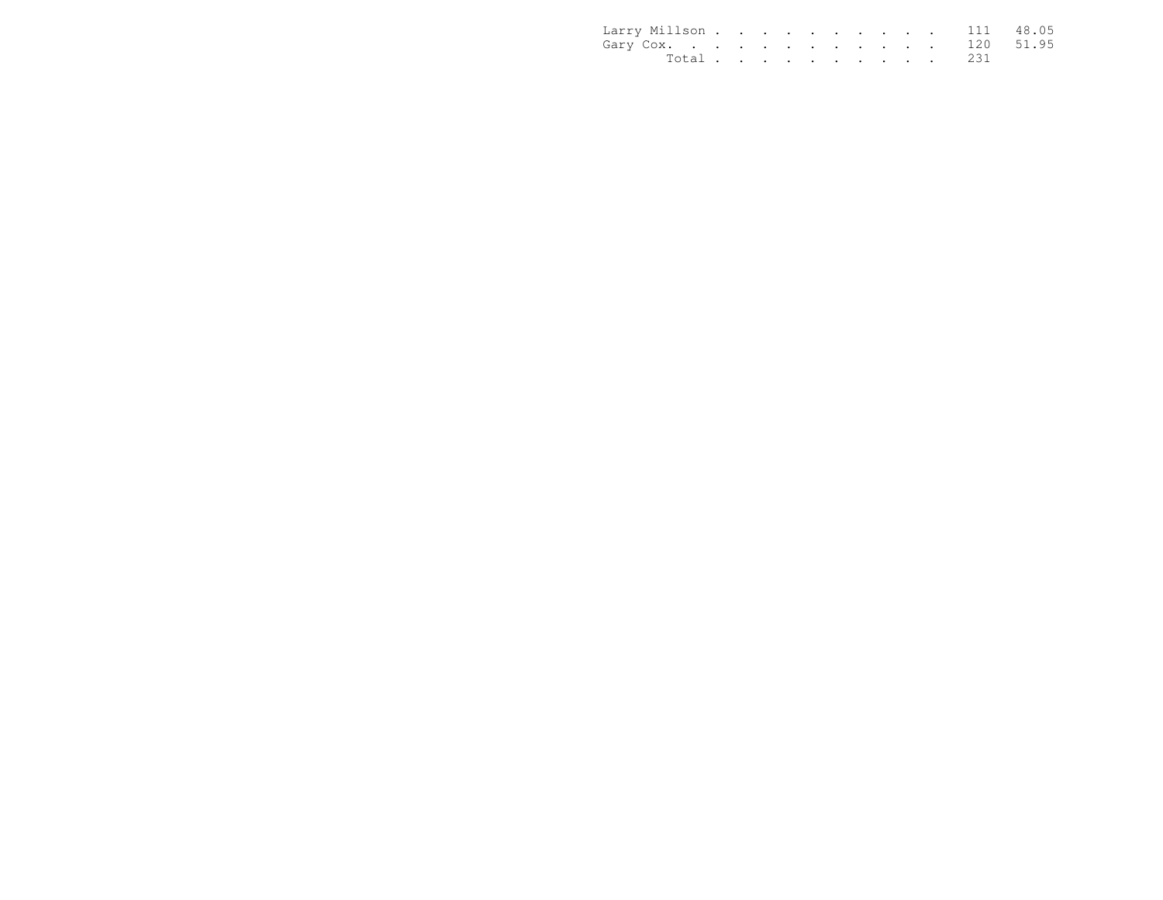| Larry Millson 111 48.05 |           |  |  |  |  |  |  |
|-------------------------|-----------|--|--|--|--|--|--|
| Gary Cox. 120 51.95     |           |  |  |  |  |  |  |
|                         | Total 231 |  |  |  |  |  |  |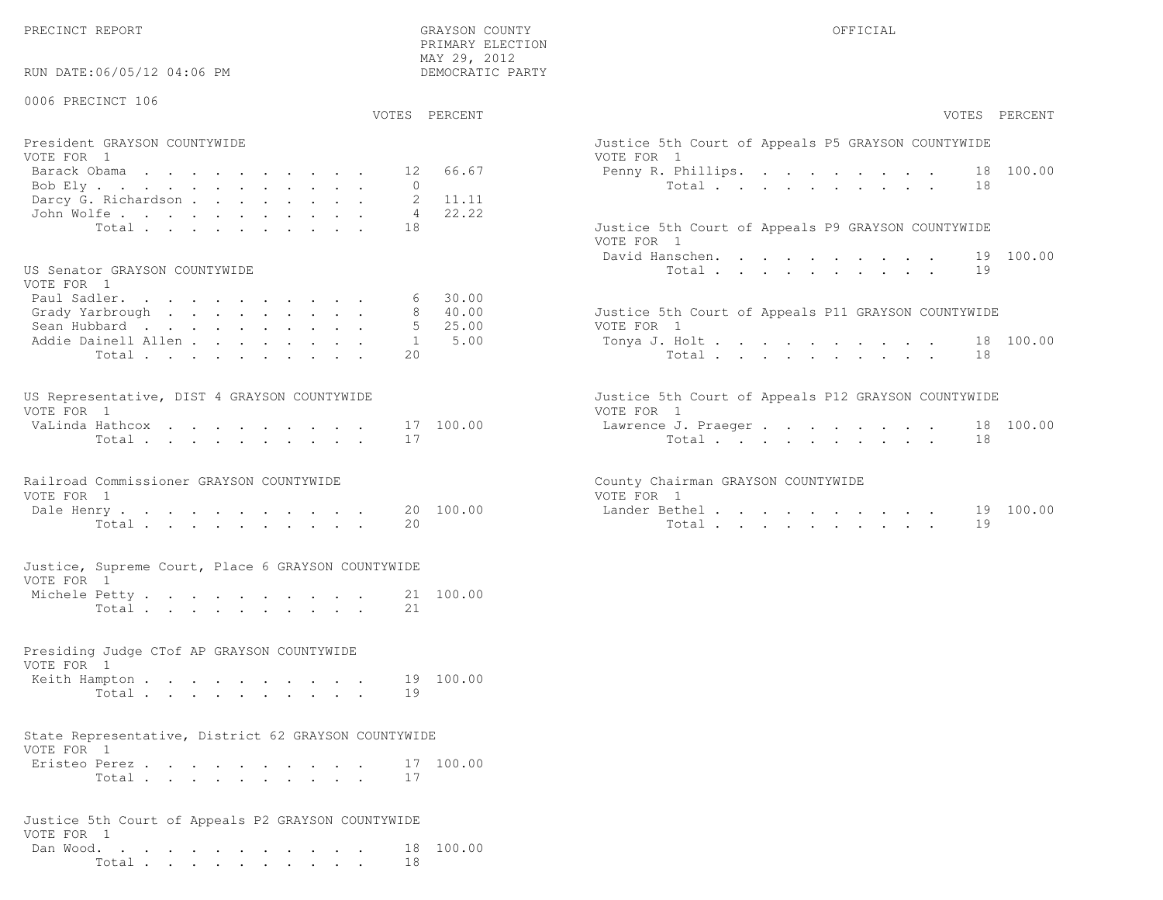PRECINCT REPORT OF THE SERVICE OF THE GRAYSON COUNTY OF THE GRAYSON COUNTY OF THE GRAYSON OF THE GRAYSON COUNTY

VOTE FOR 1

 Dan Wood. . . . . . . . . . . . 18 100.00Total . . . . . . . . . . 18

RUN DATE:06/05/12 04:06 PM

 PRIMARY ELECTION MAY 29, 2012DEMOCRATIC PARTY

| 0006 PRECINCT 106                                                                                                                                                      |                                                                                                                      |
|------------------------------------------------------------------------------------------------------------------------------------------------------------------------|----------------------------------------------------------------------------------------------------------------------|
| VOTES PERCENT                                                                                                                                                          | VOTES PERCENT                                                                                                        |
| President GRAYSON COUNTYWIDE<br>VOTE FOR 1<br>66.67<br>Barack Obama<br>12<br>$\Omega$<br>Bob Ely.<br>Darcy G. Richardson<br>2<br>11.11<br>22.22<br>John Wolfe.<br>4    | Justice 5th Court of Appeals P5 GRAYSON COUNTYWIDE<br>VOTE FOR 1<br>18 100.00<br>Penny R. Phillips.<br>Total<br>18   |
| Total<br>18<br>US Senator GRAYSON COUNTYWIDE                                                                                                                           | Justice 5th Court of Appeals P9 GRAYSON COUNTYWIDE<br>VOTE FOR 1<br>David Hanschen.<br>100.00<br>19<br>Total<br>19   |
| VOTE FOR 1<br>Paul Sadler.<br>30.00<br>6<br>Grady Yarbrough<br>40.00<br>8<br>25.00<br>Sean Hubbard<br>.5<br>5.00<br>Addie Dainell Allen<br>$\mathbf{1}$<br>Total<br>20 | Justice 5th Court of Appeals P11 GRAYSON COUNTYWIDE<br>VOTE FOR 1<br>Tonya J. Holt<br>18 100.00<br>Total<br>18       |
| US Representative, DIST 4 GRAYSON COUNTYWIDE<br>VOTE FOR 1<br>VaLinda Hathcox<br>17 100.00<br>Total<br>17                                                              | Justice 5th Court of Appeals P12 GRAYSON COUNTYWIDE<br>VOTE FOR 1<br>18 100.00<br>Lawrence J. Praeger<br>Total<br>18 |
| Railroad Commissioner GRAYSON COUNTYWIDE<br>VOTE FOR 1<br>Dale Henry<br>20<br>100.00<br>Total<br>20                                                                    | County Chairman GRAYSON COUNTYWIDE<br>VOTE FOR 1<br>19 100.00<br>Lander Bethel<br>19<br>Total                        |
| Justice, Supreme Court, Place 6 GRAYSON COUNTYWIDE<br>VOTE FOR 1<br>Michele Petty<br>21 100.00<br>2.1<br>Total                                                         |                                                                                                                      |
| Presiding Judge CTof AP GRAYSON COUNTYWIDE<br>VOTE FOR 1<br>100.00<br>Keith Hampton<br>19<br>Total<br>19                                                               |                                                                                                                      |
| State Representative, District 62 GRAYSON COUNTYWIDE<br>VOTE FOR 1<br>Eristeo Perez<br>17 100.00<br>Total<br>17                                                        |                                                                                                                      |
| Justice 5th Court of Appeals P2 GRAYSON COUNTYWIDE                                                                                                                     |                                                                                                                      |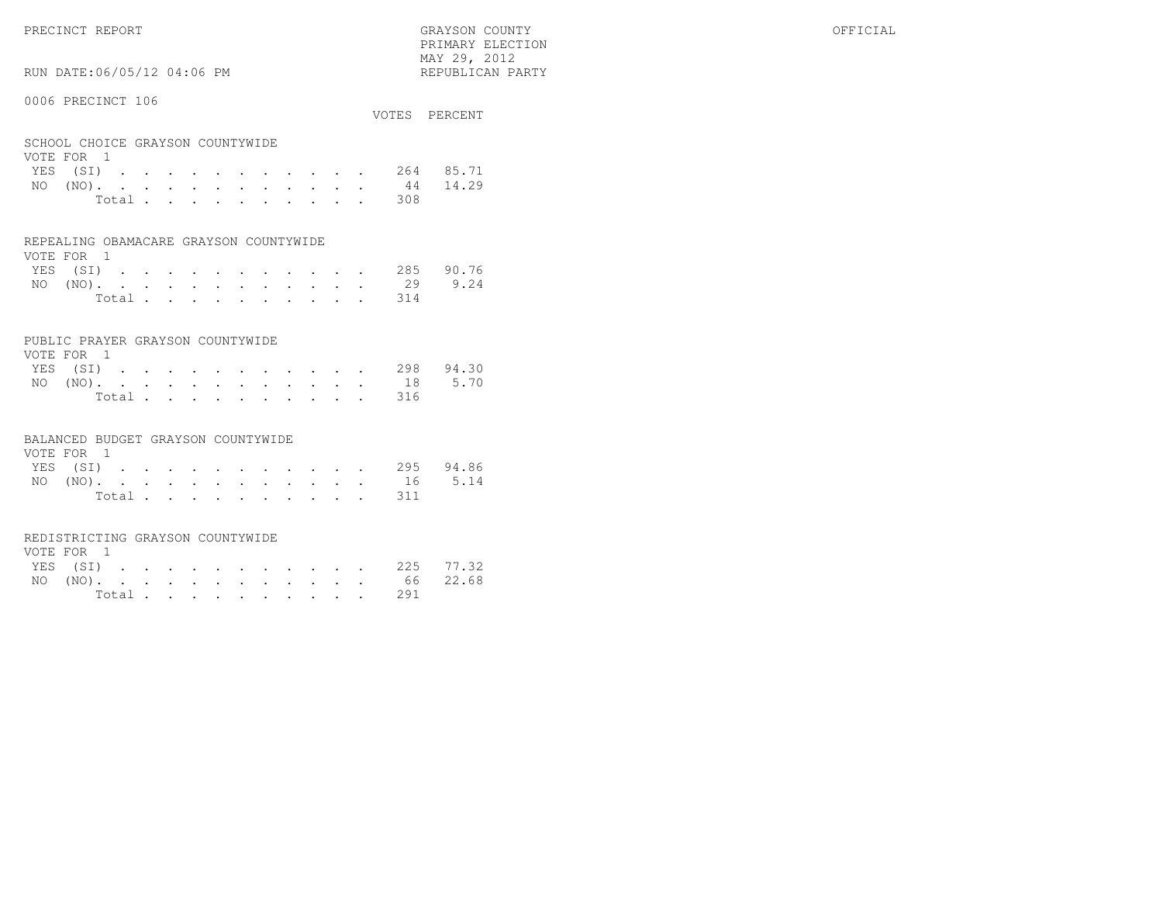PRIMARY ELECTION $\text{MAX } 29, \quad 2012$ 

# RUN DATE:06/05/12 04:06 PM

### 0006 PRECINCT 106

|                                                |       |  |  |  |  |  |                                    | VOTES PERCENT      |
|------------------------------------------------|-------|--|--|--|--|--|------------------------------------|--------------------|
| SCHOOL CHOICE GRAYSON COUNTYWIDE<br>VOTE FOR 1 |       |  |  |  |  |  |                                    |                    |
|                                                |       |  |  |  |  |  |                                    | YES (SI) 264 85.71 |
|                                                |       |  |  |  |  |  | NO $(NO)$ , , , , , , , , , , , 44 | 14.29              |
|                                                | Total |  |  |  |  |  | 308                                |                    |

#### REPEALING OBAMACARE GRAYSON COUNTYWIDE

| VOTE FOR 1 |  |  |  |  |  |  |                    |  |
|------------|--|--|--|--|--|--|--------------------|--|
|            |  |  |  |  |  |  | YES (SI) 285 90.76 |  |
|            |  |  |  |  |  |  | NO (NO). 29 9.24   |  |
|            |  |  |  |  |  |  | Total 314          |  |

#### PUBLIC PRAYER GRAYSON COUNTYWIDE

| VOTE FOR 1 |  |  |  |  |  |           |                    |
|------------|--|--|--|--|--|-----------|--------------------|
|            |  |  |  |  |  |           | YES (SI) 298 94.30 |
|            |  |  |  |  |  |           | NO (NO). 18 5.70   |
|            |  |  |  |  |  | Total 316 |                    |

#### BALANCED BUDGET GRAYSON COUNTYWIDE

| VOTE FOR 1 |  |  |  |  |  |                    |  |
|------------|--|--|--|--|--|--------------------|--|
|            |  |  |  |  |  | YES (SI) 295 94.86 |  |
|            |  |  |  |  |  | NO (NO). 16 5.14   |  |
|            |  |  |  |  |  | Total 311          |  |

#### REDISTRICTING GRAYSON COUNTYWIDE

| VOTE FOR 1 |  |  |  |  |  |           |                    |  |
|------------|--|--|--|--|--|-----------|--------------------|--|
|            |  |  |  |  |  |           | YES (SI) 225 77.32 |  |
|            |  |  |  |  |  |           | NO (NO). 66 22.68  |  |
|            |  |  |  |  |  | Total 291 |                    |  |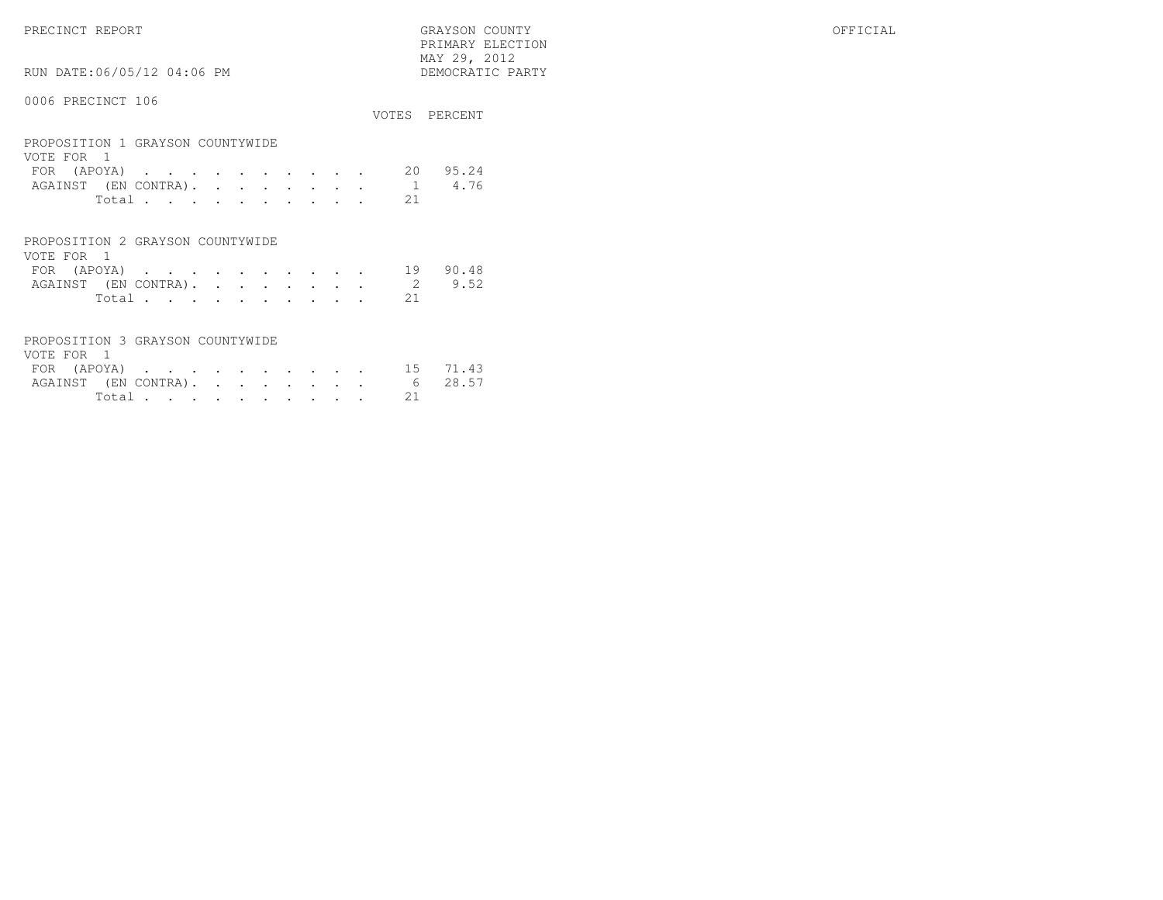PRECINCT REPORT GRAYSON COUNTY OFFICIAL PRIMARY ELECTION $\begin{array}{lll} \text{MAX} & 29, & 2012 \\ \text{NAY} & 29, & 2012 \end{array}$ 

# RUN DATE:06/05/12 04:06 PM

|                                                                                                |                           | VOTES PERCENT |
|------------------------------------------------------------------------------------------------|---------------------------|---------------|
| PROPOSITION 1 GRAYSON COUNTYWIDE<br>VOTE FOR 1<br>FOR (APOYA)<br>AGAINST (EN CONTRA).<br>Total | 20<br>$\mathbf{1}$<br>2.1 | 95.24<br>4.76 |
| PROPOSITION 2 GRAYSON COUNTYWIDE<br>VOTE FOR                                                   |                           |               |

| VUIL PUN I |             |  |  |  |  |  |                             |          |
|------------|-------------|--|--|--|--|--|-----------------------------|----------|
|            | FOR (APOYA) |  |  |  |  |  |                             | 19 90.48 |
|            |             |  |  |  |  |  | AGAINST (EN CONTRA). 2 9.52 |          |
|            |             |  |  |  |  |  | Total 21                    |          |

| PROPOSITION 3 GRAYSON COUNTYWIDE |  |  |  |  |  |          |                              |
|----------------------------------|--|--|--|--|--|----------|------------------------------|
| VOTE FOR 1                       |  |  |  |  |  |          |                              |
|                                  |  |  |  |  |  |          | FOR (APOYA) 15 71.43         |
|                                  |  |  |  |  |  |          | AGAINST (EN CONTRA). 6 28.57 |
|                                  |  |  |  |  |  | Total 21 |                              |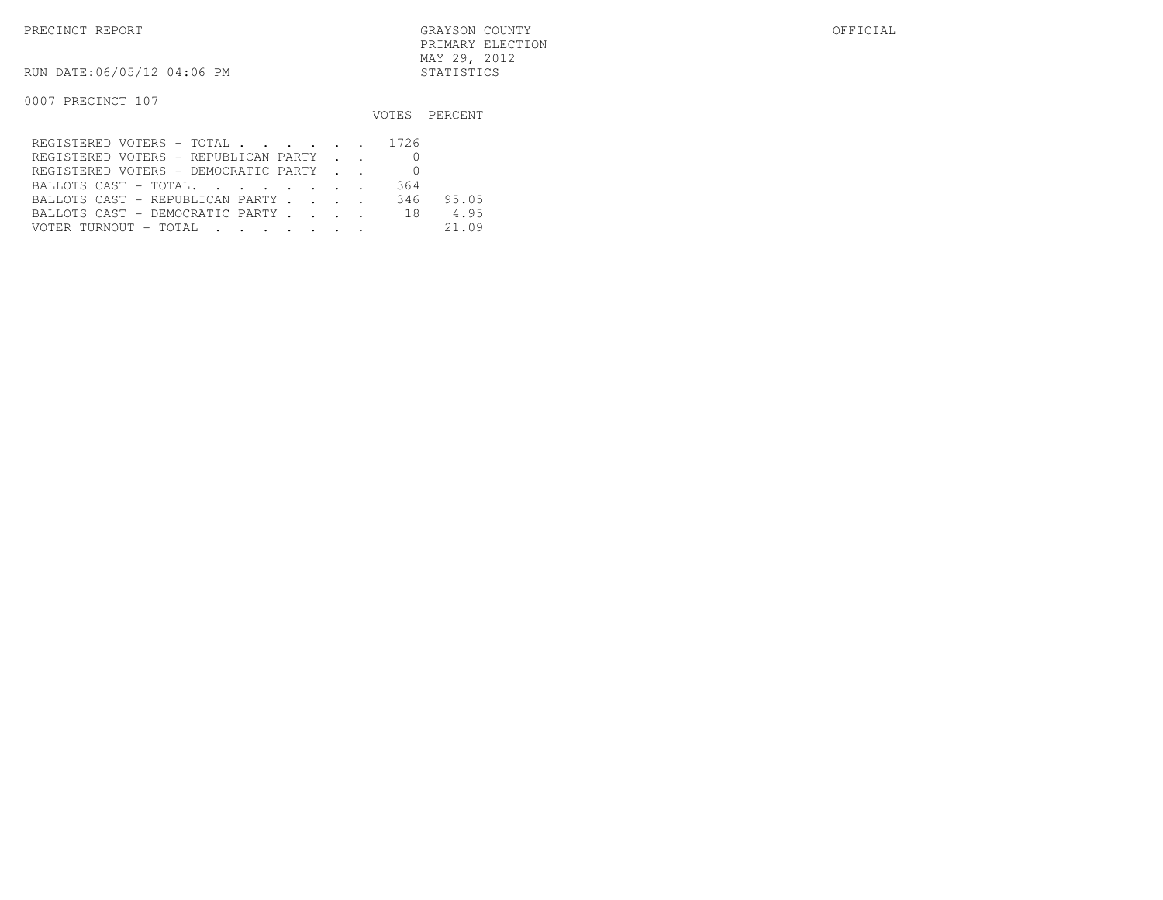RUN DATE:06/05/12 04:06 PM STATISTICS

|                                         |     | VOTES PERCENT |
|-----------------------------------------|-----|---------------|
| REGISTERED VOTERS - TOTAL 1726          |     |               |
| REGISTERED VOTERS - REPUBLICAN PARTY    |     |               |
| REGISTERED VOTERS - DEMOCRATIC PARTY    |     |               |
| BALLOTS CAST - TOTAL.                   | 364 |               |
| BALLOTS CAST - REPUBLICAN PARTY         | 346 | 95.05         |
| BALLOTS CAST - DEMOCRATIC PARTY 18      |     | 4.95          |
| VOTER TURNOUT – TOTAL III III IIII IIII |     | 21.09         |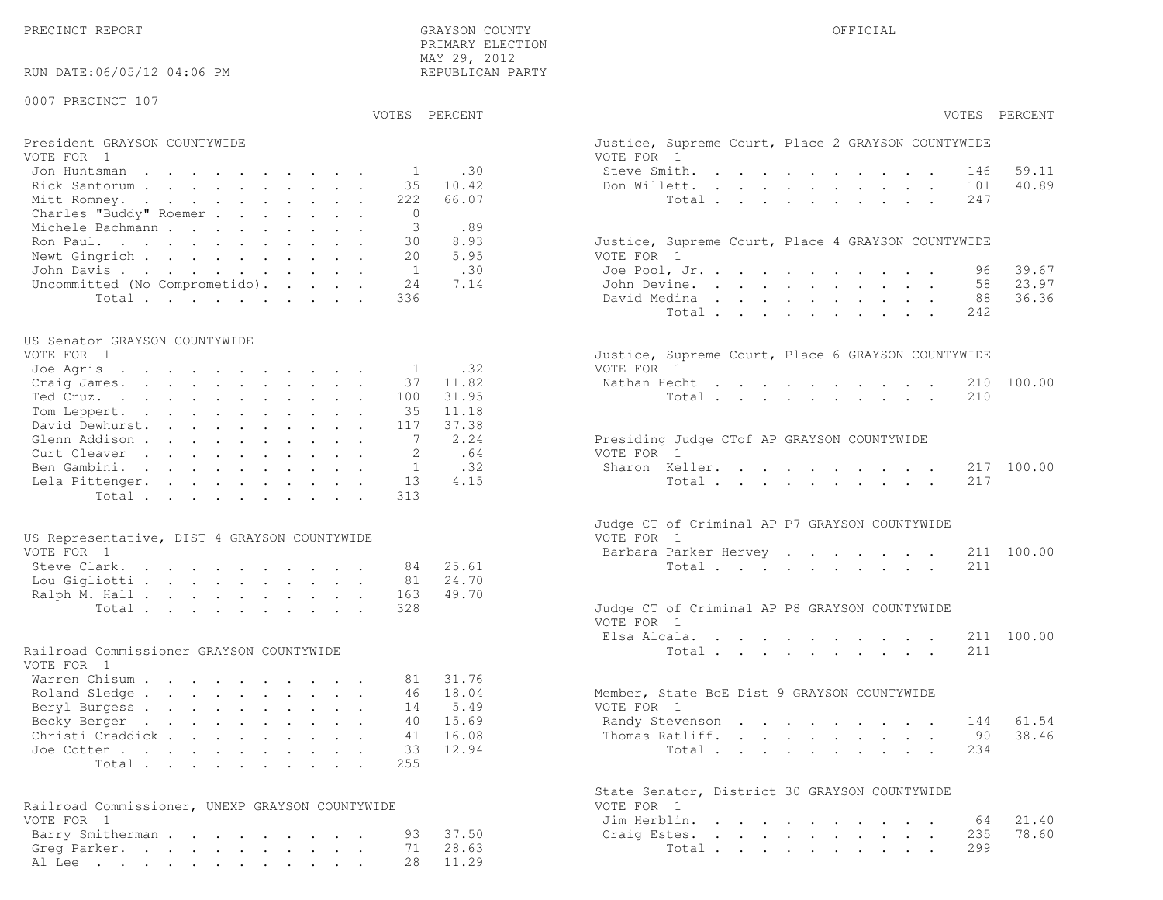| RUN DATE:06/05/12 04:06 PM                      |              | MAY 29, 2012<br>REPUBLICAN PARTY |                                                    |               |
|-------------------------------------------------|--------------|----------------------------------|----------------------------------------------------|---------------|
| 0007 PRECINCT 107                               |              | VOTES PERCENT                    |                                                    | VOTES PERCENT |
|                                                 |              |                                  |                                                    |               |
| President GRAYSON COUNTYWIDE                    |              |                                  | Justice, Supreme Court, Place 2 GRAYSON COUNTYWIDE |               |
| VOTE FOR 1                                      |              |                                  | VOTE FOR 1                                         |               |
| Jon Huntsman                                    | 1            | .30                              | Steve Smith.<br>146                                | 59.11         |
| Rick Santorum                                   | 35           | 10.42                            | Don Willett.<br>101                                | 40.89         |
| Mitt Romney.                                    | 222          | 66.07                            | 247<br>Total $\cdots$                              |               |
| Charles "Buddy" Roemer                          | $\Omega$     |                                  |                                                    |               |
| Michele Bachmann                                | 3            | .89                              |                                                    |               |
| Ron Paul.                                       | 30           | 8.93                             | Justice, Supreme Court, Place 4 GRAYSON COUNTYWIDE |               |
| Newt Gingrich                                   | 20           | 5.95                             | VOTE FOR 1                                         |               |
| John Davis.                                     | <sup>1</sup> | .30                              | Joe Pool, Jr.<br>96.                               | 39.67         |
| Uncommitted (No Comprometido).                  | 24           | 7.14                             | John Devine.<br>58                                 | 23.97         |
| Total                                           | 336          |                                  | David Medina<br>88                                 | 36.36         |
|                                                 |              |                                  | Total<br>242                                       |               |
| US Senator GRAYSON COUNTYWIDE                   |              |                                  |                                                    |               |
| VOTE FOR 1                                      |              |                                  | Justice, Supreme Court, Place 6 GRAYSON COUNTYWIDE |               |
| Joe Agris                                       | -1           | .32                              | VOTE FOR 1                                         |               |
| Craig James.                                    | 37           | 11.82                            | Nathan Hecht<br>210                                | 100.00        |
| Ted Cruz.                                       | 100          | 31.95                            | 210<br>Total                                       |               |
| Tom Leppert.                                    | 35           | 11.18                            |                                                    |               |
| David Dewhurst.                                 | 117          | 37.38                            |                                                    |               |
| Glenn Addison                                   | 7            | 2.24                             | Presiding Judge CTof AP GRAYSON COUNTYWIDE         |               |
| Curt Cleaver                                    |              | .64                              | VOTE FOR 1                                         |               |
| Ben Gambini.                                    | 1            | .32                              | Sharon Keller.<br>217                              | 100.00        |
| Lela Pittenger.                                 | 13           | 4.15                             | Total<br>217                                       |               |
| Total                                           | 313          |                                  |                                                    |               |
|                                                 |              |                                  | Judge CT of Criminal AP P7 GRAYSON COUNTYWIDE      |               |
| US Representative, DIST 4 GRAYSON COUNTYWIDE    |              |                                  | VOTE FOR 1                                         |               |
| VOTE FOR 1                                      |              |                                  | Barbara Parker Hervey                              | 211 100.00    |
| Steve Clark.                                    | 84           | 25.61                            | Total<br>211                                       |               |
| Lou Gigliotti                                   | 81           | 24.70                            |                                                    |               |
| Ralph M. Hall                                   | 163          | 49.70                            |                                                    |               |
| Total                                           | 328          |                                  | Judge CT of Criminal AP P8 GRAYSON COUNTYWIDE      |               |
|                                                 |              |                                  | VOTE FOR 1                                         |               |
|                                                 |              |                                  | Elsa Alcala.                                       | 211 100.00    |
| Railroad Commissioner GRAYSON COUNTYWIDE        |              |                                  | Total<br>211                                       |               |
| VOTE FOR 1                                      |              |                                  |                                                    |               |
| Warren Chisum                                   | 81           | 31.76                            |                                                    |               |
| Roland Sledge                                   | 46           | 18.04                            | Member, State BoE Dist 9 GRAYSON COUNTYWIDE        |               |
| Beryl Burgess                                   | 14           | 5.49                             | VOTE FOR 1                                         |               |
| Becky Berger                                    | 40           | 15.69                            | 144<br>Randy Stevenson                             | 61.54         |
| Christi Craddick                                | 41           | 16.08                            | Thomas Ratliff.<br>90                              | 38.46         |
| Joe Cotten                                      | 33           | 12.94                            | 234<br>Total                                       |               |
| Total                                           | 255          |                                  |                                                    |               |
|                                                 |              |                                  |                                                    |               |
|                                                 |              |                                  | State Senator, District 30 GRAYSON COUNTYWIDE      |               |
| Railroad Commissioner, UNEXP GRAYSON COUNTYWIDE |              |                                  | VOTE FOR 1                                         |               |
| VOTE FOR 1                                      |              |                                  | Jim Herblin.<br>64                                 | 21.40         |
| Barry Smitherman                                | 93           | 37.50                            | 235<br>Craig Estes.                                | 78.60         |
| Greg Parker.                                    | 71           | 28.63                            | 299<br>Total                                       |               |

Al Lee . . . . . . . . . . . . 28 11.29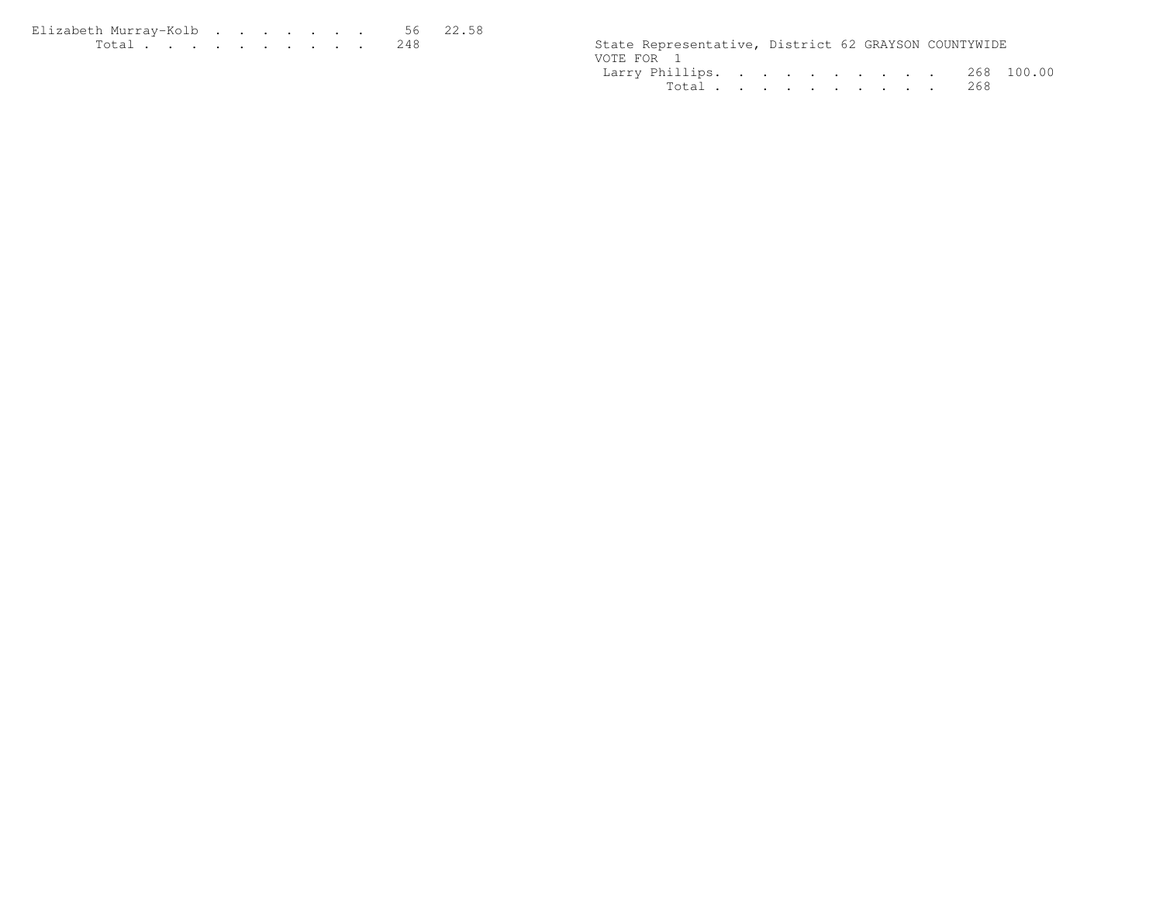| Elizabeth Murrav-Kolb56 22.58                                                                                   |  |  |  |  |  |                                                      |  |  |
|-----------------------------------------------------------------------------------------------------------------|--|--|--|--|--|------------------------------------------------------|--|--|
| the contract of the contract of the contract of the contract of the contract of the contract of the contract of |  |  |  |  |  | State Representative, District 62 GRAYSON COUNTYWIDE |  |  |

|            | State Representative, District 62 GRAYSON COUNTYWIDE |  |  |  |  |  |
|------------|------------------------------------------------------|--|--|--|--|--|
| VOTE FOR 1 |                                                      |  |  |  |  |  |
|            | Larry Phillips. 268 100.00                           |  |  |  |  |  |
|            | Total268                                             |  |  |  |  |  |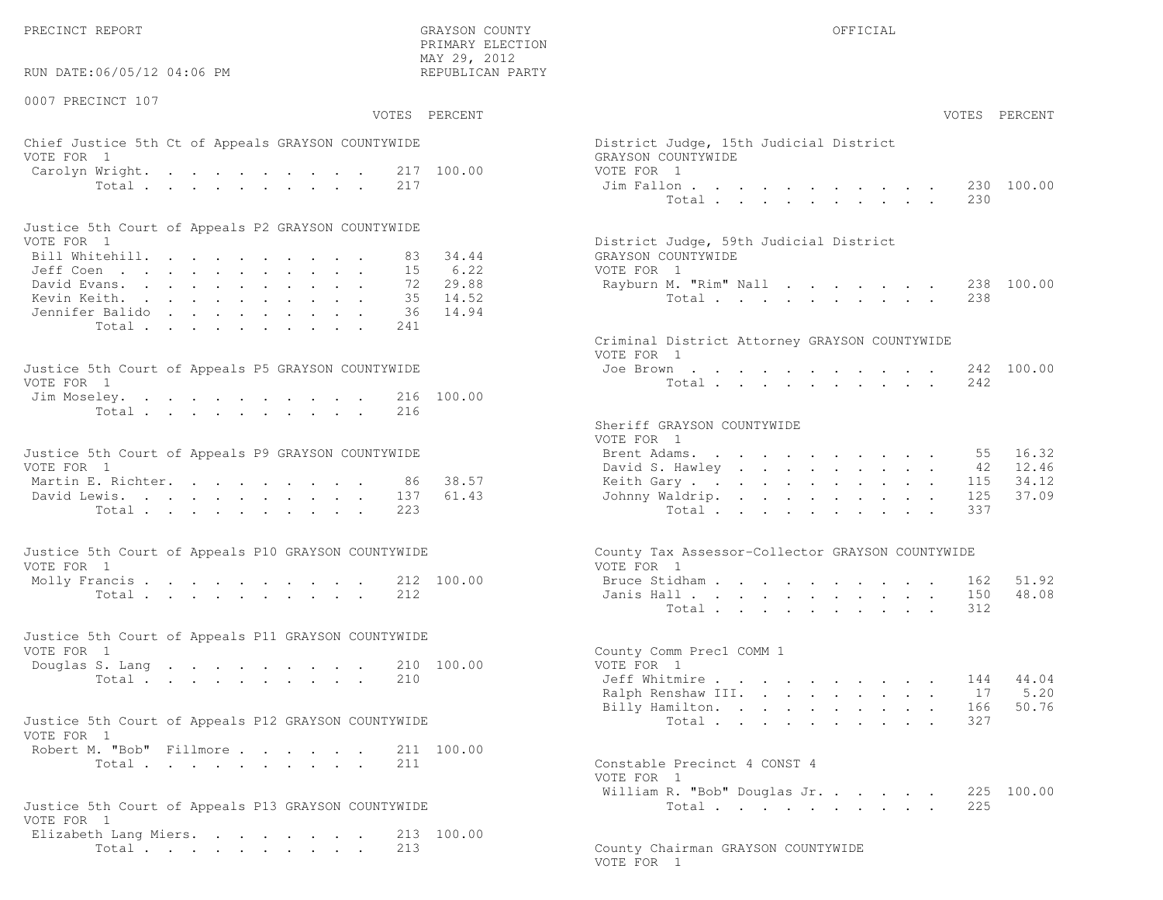PRECINCT REPORT THE COUNTY GRAYSON COUNTY THE COUNTY OFFICIAL OFFICIAL COUNTY OF THE COUNTY OF THE COUNTY OF THE COUNTY OF THE COUNTY OF THE COUNTY OF THE COUNTY OF THE COUNTY OF THE COUNTY OF THE COUNTY OF THE COUNTY OF T

RUN DATE:06/05/12 04:06 PM

0007 PRECINCT 107

VOTES PERCENT VOTES PERCENT

 PRIMARY ELECTION MAY 29, 2012REPUBLICAN PARTY

# Chief Justice 5th Ct of Appeals GRAYSON COUNTYWIDE Dist VOTE FOR 1 GRAYSON COUNTY COUNTY OF THE COUNTY OF GRAYSON COUNTY OF GRAYSON COUNTY OF GRAYSON COUNTY OF GRAYSON COUNTY OF GRAYSON COUNTY OF GRAYSON COUNTY OF GRAYSON COUNTY OF GRAYSON COUNTY OF GRAYSON COUNTY OF GRAYSON CO Carolyn Wright. . . . . . . . 217 100.00 VOTE Total . . . . . . . . . 217 Jim

| Justice 5th Court of Appeals P2 GRAYSON COUNTYWIDE |  |  |  |  |  |                                        |
|----------------------------------------------------|--|--|--|--|--|----------------------------------------|
| VOTE FOR 1                                         |  |  |  |  |  | District Judge, 59th Judicial District |
| Bill Whitehill. 83 34.44                           |  |  |  |  |  | GRAYSON COUNTYWIDE                     |
| Jeff Coen 15 6.22                                  |  |  |  |  |  | VOTE FOR 1                             |
| David Evans. 72 29.88                              |  |  |  |  |  | Rayburn M. "Rim" Nall 238 100.00       |
| Kevin Keith. 35 14.52                              |  |  |  |  |  | Total 238                              |
| Jennifer Balido 36 14.94                           |  |  |  |  |  |                                        |
| Total 241                                          |  |  |  |  |  |                                        |

| Justice 5th Court of Appeals P5 GRAYSON COUNTYWIDE | Joe Brown 242 100.00 |
|----------------------------------------------------|----------------------|
| VOTE FOR 1                                         | Total 242            |
| Jim Moseley. 216 100.00                            |                      |
| Total 216                                          |                      |

| Justice 5th Court of Appeals P9 GRAYSON COUNTYWIDE | Martin E. Richter. 86 38.57<br>David Lewis. 137 61.43<br>Total 223 |  |  |  |  |  | Brent Adams. 55 16.32<br>David S. Hawley 42 12.46<br>Keith Gary 115 34.12<br>Johnny Waldrip. 125 37.09<br>Total 337 |
|----------------------------------------------------|--------------------------------------------------------------------|--|--|--|--|--|---------------------------------------------------------------------------------------------------------------------|

| Justice 5th Court of Appeals P10 GRAYSON COUNTYWIDE | County Tax Assessor-Collector GRAYSON COUNTYWIDE |
|-----------------------------------------------------|--------------------------------------------------|
| VOTE FOR 1                                          | VOTE FOR 1                                       |
| Molly Francis 212 100.00                            | Bruce Stidham 162 51.92                          |
| Total 212                                           | Janis Hall 150 48.08                             |

| Justice 5th Court of Appeals P11 GRAYSON COUNTYWIDE |  |  |  |  |  |                          |  |
|-----------------------------------------------------|--|--|--|--|--|--------------------------|--|
| VOTE FOR 1                                          |  |  |  |  |  | County Comm Prec1 COMM 1 |  |
| Douglas S. Lang 210 100.00                          |  |  |  |  |  | VOTE FOR 1               |  |
| Total 210                                           |  |  |  |  |  | Jeff Whitmire 144 44.04  |  |

| Justice 5th Court of Appeals P12 GRAYSON COUNTYWIDE |           |  |  |  | Total 327                    |  |
|-----------------------------------------------------|-----------|--|--|--|------------------------------|--|
| VOTE FOR 1                                          |           |  |  |  |                              |  |
| Robert M. "Bob" Fillmore 211 100.00                 |           |  |  |  |                              |  |
|                                                     | Total 211 |  |  |  | Constable Precinct 4 CONST 4 |  |

|                                                     | VOTE FOR 1                       |  |
|-----------------------------------------------------|----------------------------------|--|
|                                                     | William R. "Bob" Douglas Jr. 225 |  |
| Justice 5th Court of Appeals P13 GRAYSON COUNTYWIDE | Total 225                        |  |
| VOTE FOR 1                                          |                                  |  |

| VUILLUIVI I           |  |  |  |  |            |
|-----------------------|--|--|--|--|------------|
| Elizabeth Lang Miers. |  |  |  |  | 213 100.00 |
| Total 213             |  |  |  |  |            |

| AY 29, 2012<br>EPUBLICAN PARTY           |                                                                                                                                                                                                                                                                                                                                                                                                                                                                                                                                                                              |
|------------------------------------------|------------------------------------------------------------------------------------------------------------------------------------------------------------------------------------------------------------------------------------------------------------------------------------------------------------------------------------------------------------------------------------------------------------------------------------------------------------------------------------------------------------------------------------------------------------------------------|
| PERCENT                                  | VOTES PERCENT                                                                                                                                                                                                                                                                                                                                                                                                                                                                                                                                                                |
| 100.00                                   | District Judge, 15th Judicial District<br>GRAYSON COUNTYWIDE<br>VOTE FOR 1<br>Jim Fallon.<br>230<br>100.00<br>and a series of the contract of the series of the series of the series of the series of the series of the series of the series of the series of the series of the series of the series of the series of the series of the seri<br>Total<br>230                                                                                                                                                                                                                 |
| 34.44<br>6.22<br>29.88<br>14.52<br>14.94 | District Judge, 59th Judicial District<br>GRAYSON COUNTYWIDE<br>VOTE FOR 1<br>Rayburn M. "Rim" Nall<br>238<br>100.00<br>238<br>Total $\cdots$                                                                                                                                                                                                                                                                                                                                                                                                                                |
| 100.00                                   | Criminal District Attorney GRAYSON COUNTYWIDE<br>VOTE FOR 1<br>Joe Brown.<br>242 100.00<br>and a strong control of the state of the state of the state of the state of the state of the state of the state of the state of the state of the state of the state of the state of the state of the state of the state of the<br>Total $\cdots$ $\cdots$ $\cdots$<br>242<br>$\sim$<br>$\ddot{\phantom{0}}$<br>$\ddot{\phantom{a}}$                                                                                                                                               |
| 38.57<br>61.43                           | Sheriff GRAYSON COUNTYWIDE<br>VOTE FOR 1<br>Brent Adams.<br>16.32<br>55<br>$\mathbf{a} = \mathbf{a} + \mathbf{a} + \mathbf{a} + \mathbf{a} + \mathbf{a} + \mathbf{a} + \mathbf{a} + \mathbf{a}$<br>12.46<br>David S. Hawley<br>42<br>$\mathbf{A}^{\text{max}}$ and $\mathbf{A}^{\text{max}}$<br>115<br>34.12<br>Keith Gary<br>$\mathbf{L}^{\text{max}}$<br>37.09<br>Johnny Waldrip.<br>125<br>and a strategic control of the<br>$\ddot{\phantom{0}}$<br>337<br>Total<br>$\ddot{\phantom{a}}$                                                                                 |
| 100.00                                   | County Tax Assessor-Collector GRAYSON COUNTYWIDE<br>VOTE FOR 1<br>Bruce Stidham.<br>51.92<br>162<br>the contract of the contract of the contract of the contract of the contract of the contract of the contract of<br>150<br>48.08<br>Janis Hall<br>and a strong control of the state of the<br>$\sim$<br>$\mathbf{L}$<br>Total<br>312                                                                                                                                                                                                                                      |
| 100.00                                   | County Comm Prec1 COMM 1<br>VOTE FOR 1<br>Jeff Whitmire<br>144 44.04<br>$\ddot{\phantom{0}}$<br>$\ddot{\phantom{0}}$<br>$\sim$<br>and a strong control of the state of<br>17 5.20<br>Ralph Renshaw III.<br>and a series of the series of<br>50.76<br>Billy Hamilton.<br>166<br>$\mathbf{r} = \left\{ \mathbf{r}_1, \ldots, \mathbf{r}_n \right\}$ , where<br>$\mathbf{A}^{\mathrm{max}}$<br>$\bullet$ .<br>327<br>Total<br>$\ddot{\phantom{a}}$<br>$\mathbf{r} = \mathbf{r} + \mathbf{r}$<br>$\mathcal{L}^{\text{max}}$<br>$\mathbf{L}^{\text{max}}$<br>$\ddot{\phantom{0}}$ |
| 100.00                                   | Constable Precinct 4 CONST 4<br>VOTE FOR 1<br>William R. "Bob" Douglas Jr.<br>225 100.00<br>225<br>related the contract of the contract of the contract of the contract of the contract of the contract of the contract of the contract of the contract of the contract of the contract of the contract of the contract of the co                                                                                                                                                                                                                                            |

County Chairman GRAYSON COUNTYWIDE VOTE FOR 1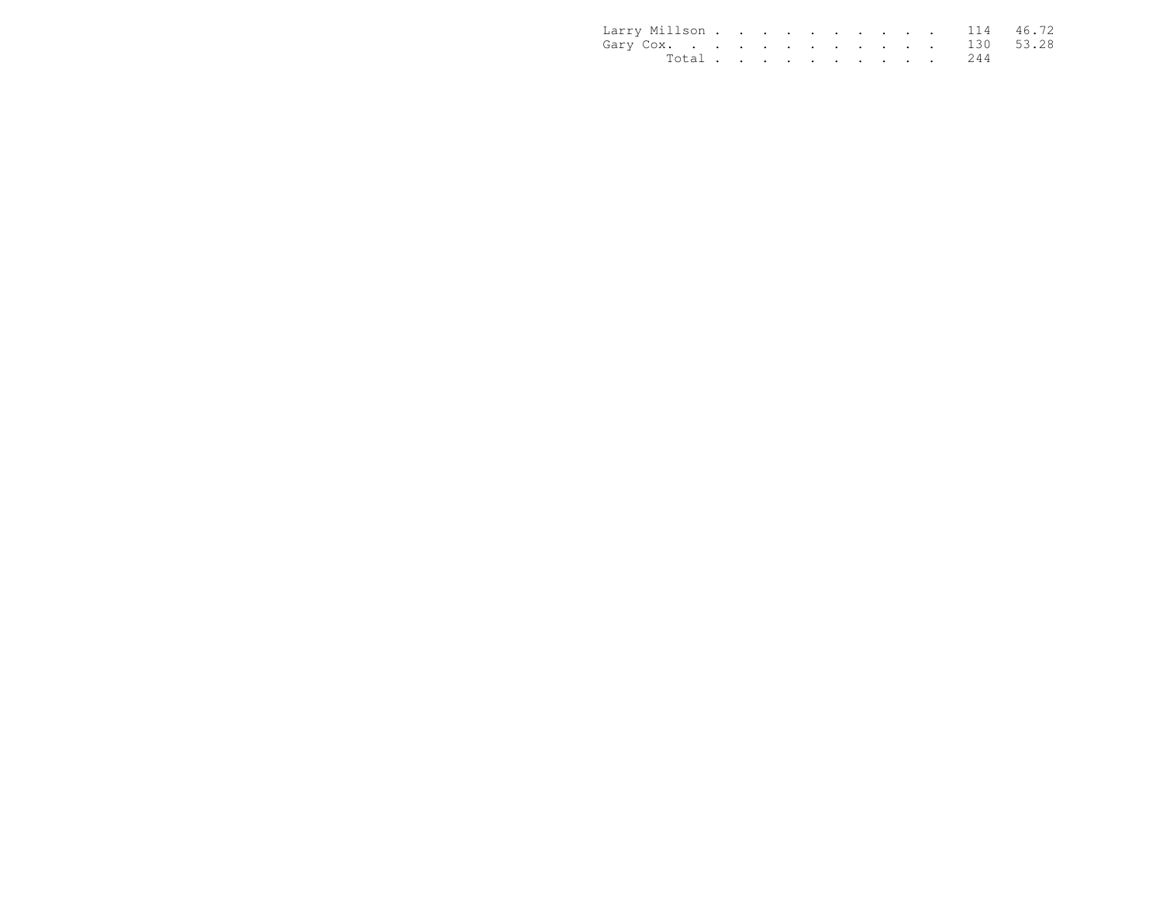| Larry Millson 114 46.72 |  |  |  |  |  |           |  |
|-------------------------|--|--|--|--|--|-----------|--|
| Gary Cox. 130 53.28     |  |  |  |  |  |           |  |
|                         |  |  |  |  |  | Total 244 |  |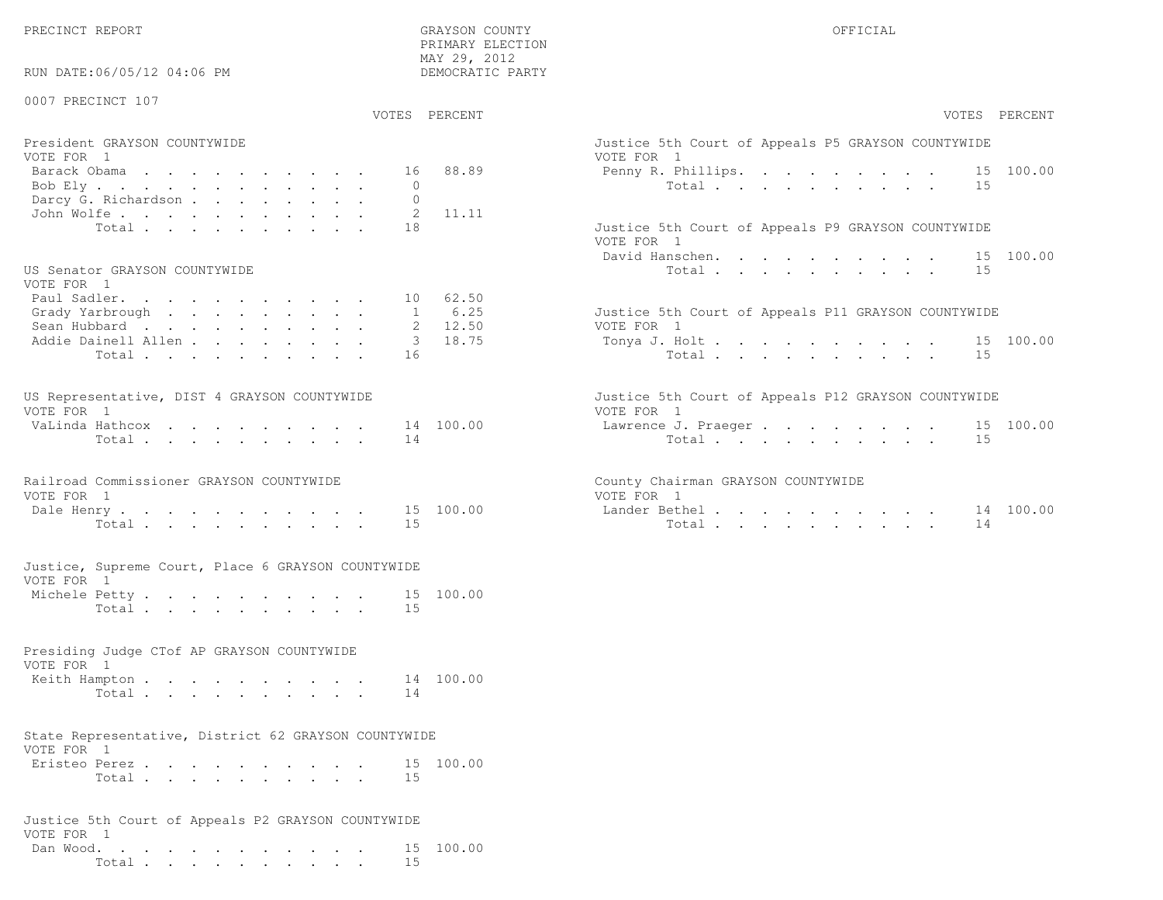PRECINCT REPORT THE COUNTY GRAYSON COUNTY THE COUNTY OFFICIAL SERVICES OF SAMPLE OF STREET OF STREET ALL OF STREET ALL SERVICES OF STREET ALL SERVICES OF STREET ALL SERVICES OF STREET ALL SERVICES OF STREET ALL SERVICES OF

RUN DATE:06/05/12 04:06 PM

### 0007 PRECINCT 107

VOTES PERCENT VOTES PERCENT

 PRIMARY ELECTION MAY 29, 2012DEMOCRATIC PARTY

| President GRAYSON COUNTYWIDE | Justice 5th Court of Appeals P5 GRAYSON COUNTYWIDE |
|------------------------------|----------------------------------------------------|
| VOTE FOR 1                   | VOTE FOR 1                                         |
| Barack Obama 16 88.89        | Penny R. Phillips. 15 100.00                       |
|                              | Total 15                                           |
| Darcy G. Richardson 0        |                                                    |
| John Wolfe. 2 11.11          |                                                    |
| $Total \t{18}$               | Justice 5th Court of Appeals P9 GRAYSON COUNTYWIDE |

#### US Senator GRAYSON COUNTYWIDE

| VOTE FOR 1                  |  |  |  |  |  |                                                     |  |
|-----------------------------|--|--|--|--|--|-----------------------------------------------------|--|
| Paul Sadler. 10 62.50       |  |  |  |  |  |                                                     |  |
| Grady Yarbrough 1 6.25      |  |  |  |  |  | Justice 5th Court of Appeals P11 GRAYSON COUNTYWIDE |  |
| Sean Hubbard 2 12.50        |  |  |  |  |  | VOTE FOR 1                                          |  |
| Addie Dainell Allen 3 18.75 |  |  |  |  |  | Tonya J. Holt 15 100.00                             |  |
| Total16                     |  |  |  |  |  | Total 15                                            |  |

| US Representative, DIST 4 GRAYSON COUNTYWIDE |  |  |  |  |  | Justice 5th Court of Appeals P12 GRAYSON COUNTYWIDE |  |
|----------------------------------------------|--|--|--|--|--|-----------------------------------------------------|--|
| VOTE FOR 1                                   |  |  |  |  |  | VOTE FOR 1                                          |  |
| VaLinda Hathcox 14 100.00                    |  |  |  |  |  | Lawrence J. Praeger 15 100.00                       |  |
| Total 14                                     |  |  |  |  |  | Total 15                                            |  |

# Railroad Commissioner GRAYSON COUNTYWIDE County County County VOTE FOR 1 VOTE FOR 1 VOTE FOR 1 VOTE FOR 1 VOTE 2001 15 100 00

| Dale Henry 15 |  |  |  |  |  | 100.00 | Lander Bethel |       |  |  |  |  |  | . 14 |
|---------------|--|--|--|--|--|--------|---------------|-------|--|--|--|--|--|------|
| Total         |  |  |  |  |  |        |               | Total |  |  |  |  |  | . 14 |

#### Justice, Supreme Court, Place 6 GRAYSON COUNTYWIDEVOTE FOR 1

| Michele Petty |                |  |  |  |  |  |  | 15 100.00 |
|---------------|----------------|--|--|--|--|--|--|-----------|
|               | Total $\ldots$ |  |  |  |  |  |  |           |

# Presiding Judge CTof AP GRAYSON COUNTYWIDE

| VOTE FOR 1              |  |  |  |  |  |  |
|-------------------------|--|--|--|--|--|--|
| Keith Hampton 14 100.00 |  |  |  |  |  |  |
| Total 14                |  |  |  |  |  |  |

#### State Representative, District 62 GRAYSON COUNTYWIDEVOTE FOR 1

| VOTE FOR I    |       |  |  |  |  |  |           |
|---------------|-------|--|--|--|--|--|-----------|
| Eristeo Perez |       |  |  |  |  |  | 15 100.00 |
|               | Total |  |  |  |  |  |           |

## Justice 5th Court of Appeals P2 GRAYSON COUNTYWIDEVOTE FOR 1 Dan Wood. . . . . . . . . . . . 15 100.00Total . . . . . . . . . . 15

| VOTES PERCENT                                              | VOTES PERCENT                                                     |
|------------------------------------------------------------|-------------------------------------------------------------------|
| President GRAYSON COUNTYWIDE<br>VOTE FOR 1                 | Justice 5th Court of Appeals P5 GRAYSON COUNTYWIDE<br>VOTE FOR 1  |
| 88.89<br>Barack Obama<br>16                                | Penny R. Phillips. 15 100.00                                      |
| Bob Ely<br>$\Omega$                                        | Total<br>15                                                       |
| Darcy G. Richardson                                        |                                                                   |
| 11.11<br>John Wolfe.<br>-2                                 |                                                                   |
| 18<br>Total                                                | Justice 5th Court of Appeals P9 GRAYSON COUNTYWIDE<br>VOTE FOR 1  |
|                                                            | David Hanschen. 15 100.00                                         |
| US Senator GRAYSON COUNTYWIDE<br>VOTE FOR 1                | Total $\cdot$<br>15                                               |
| 62.50<br>Paul Sadler.<br>10                                |                                                                   |
| Grady Yarbrough<br>6.25                                    | Justice 5th Court of Appeals P11 GRAYSON COUNTYWIDE               |
| 12.50<br>Sean Hubbard                                      | VOTE FOR 1                                                        |
| 18.75<br>Addie Dainell Allen                               | 15 100.00<br>Tonya J. Holt                                        |
| Total<br>16                                                | Total $\cdot$<br>15                                               |
| US Representative, DIST 4 GRAYSON COUNTYWIDE<br>VOTE FOR 1 | Justice 5th Court of Appeals P12 GRAYSON COUNTYWIDE<br>VOTE FOR 1 |
| 14 100.00<br>VaLinda Hathcox                               | 15 100.00<br>Lawrence J. Praeger                                  |
| 14<br>Total                                                | Total 15                                                          |
| Railroad Commissioner GRAYSON COUNTYWIDE<br>VOTE FOR 1     | County Chairman GRAYSON COUNTYWIDE<br>VOTE FOR 1                  |
| 15 100.00<br>Dale Henry                                    | Lander Bethel14 100.00                                            |
| Total<br>15                                                | Total<br>14                                                       |
| Justice, Supreme Court, Place 6 GRAYSON COUNTYWIDE         |                                                                   |
| VOTE FOR 1                                                 |                                                                   |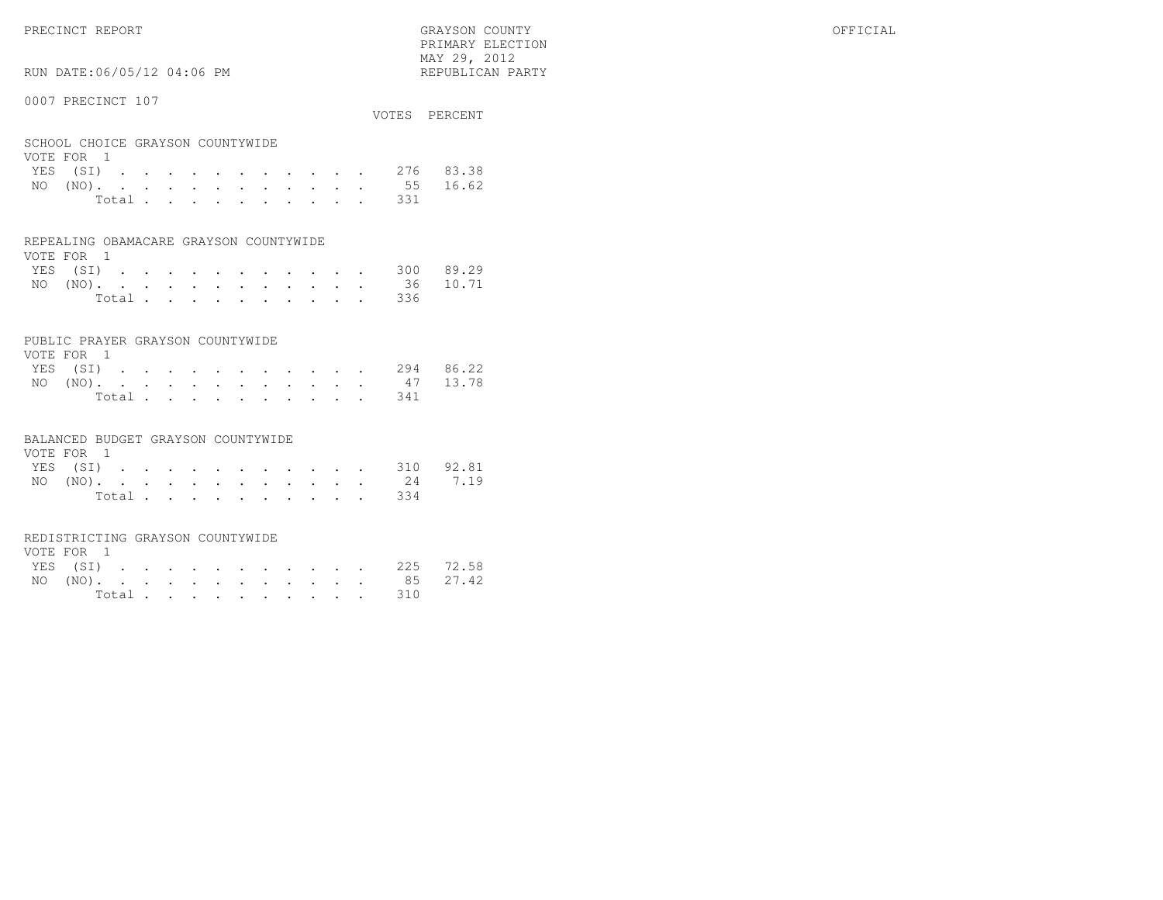PRECINCT REPORT GRAYSON COUNTY OFFICIAL

 $\text{MAX } 29, \quad 2012$ RUN DATE:06/05/12 04:06 PM

### 0007 PRECINCT 107

|                                  |  |  |  |  |  |           | VOTES PERCENT      |
|----------------------------------|--|--|--|--|--|-----------|--------------------|
| SCHOOL CHOICE GRAYSON COUNTYWIDE |  |  |  |  |  |           |                    |
| VOTE FOR 1                       |  |  |  |  |  |           |                    |
|                                  |  |  |  |  |  |           | YES (SI) 276 83.38 |
|                                  |  |  |  |  |  |           | NO (NO). 55 16.62  |
|                                  |  |  |  |  |  | Total 331 |                    |

PRIMARY ELECTION

#### REPEALING OBAMACARE GRAYSON COUNTYWIDE

| VOTE FOR 1 |  |  |  |  |  |  |                    |  |
|------------|--|--|--|--|--|--|--------------------|--|
|            |  |  |  |  |  |  | YES (SI) 300 89.29 |  |
|            |  |  |  |  |  |  | NO (NO). 36 10.71  |  |
|            |  |  |  |  |  |  | Total 336          |  |

### PUBLIC PRAYER GRAYSON COUNTYWIDE

| VOTE FOR 1         |  |  |  |  |  |           |  |
|--------------------|--|--|--|--|--|-----------|--|
| YES (SI) 294 86.22 |  |  |  |  |  |           |  |
| NO (NO). 47 13.78  |  |  |  |  |  |           |  |
|                    |  |  |  |  |  | Total 341 |  |

#### BALANCED BUDGET GRAYSON COUNTYWIDE

| VOTE FOR 1 |  |  |  |  |  |                    |  |
|------------|--|--|--|--|--|--------------------|--|
|            |  |  |  |  |  | YES (SI) 310 92.81 |  |
|            |  |  |  |  |  | NO (NO). 24 7.19   |  |
|            |  |  |  |  |  | Total 334          |  |

#### REDISTRICTING GRAYSON COUNTYWIDE

| VOTE FOR 1 |  |  |  |  |  |           |                    |  |
|------------|--|--|--|--|--|-----------|--------------------|--|
|            |  |  |  |  |  |           | YES (SI) 225 72.58 |  |
|            |  |  |  |  |  |           | NO (NO). 85 27.42  |  |
|            |  |  |  |  |  | Total 310 |                    |  |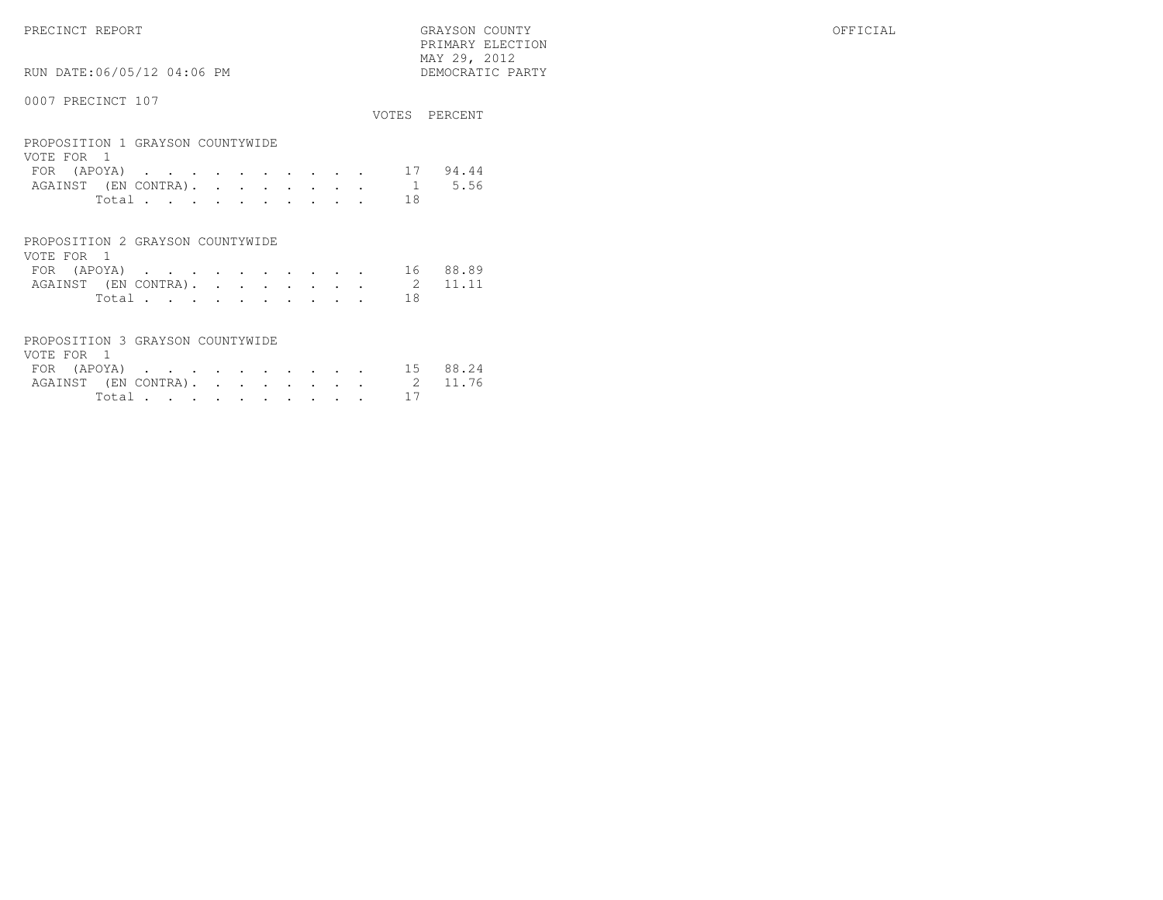PRECINCT REPORT GRAYSON COUNTY OFFICIAL PRIMARY ELECTION $\begin{array}{lll} \text{MAX} & 29, & 2012 \\ \text{NAY} & 29, & 2012 \end{array}$ 

# RUN DATE:06/05/12 04:06 PM

|                                                |  |  |  |  |    | VOTES PERCENT |
|------------------------------------------------|--|--|--|--|----|---------------|
| PROPOSITION 1 GRAYSON COUNTYWIDE<br>VOTE FOR 1 |  |  |  |  |    |               |
| FOR (APOYA)                                    |  |  |  |  |    | 94.44         |
| AGAINST (EN CONTRA). 1                         |  |  |  |  |    | 5.56          |
| Total                                          |  |  |  |  | 18 |               |
|                                                |  |  |  |  |    |               |
|                                                |  |  |  |  |    |               |

| PROPOSITION 2 GRAYSON COUNTYWIDE |  |  |  |  |        |      |  |
|----------------------------------|--|--|--|--|--------|------|--|
| VOTE FOR 1                       |  |  |  |  |        |      |  |
| FOR (APOYA) 16 88.89             |  |  |  |  |        |      |  |
| AGAINST (EN CONTRA). 2 11.11     |  |  |  |  |        |      |  |
|                                  |  |  |  |  | Total. | - 18 |  |

| PROPOSITION 3 GRAYSON COUNTYWIDE |  |  |  |  |            |  |
|----------------------------------|--|--|--|--|------------|--|
| VOTE FOR 1                       |  |  |  |  |            |  |
| FOR (APOYA) 15 88.24             |  |  |  |  |            |  |
| AGAINST (EN CONTRA). 2 11.76     |  |  |  |  |            |  |
|                                  |  |  |  |  | Total $17$ |  |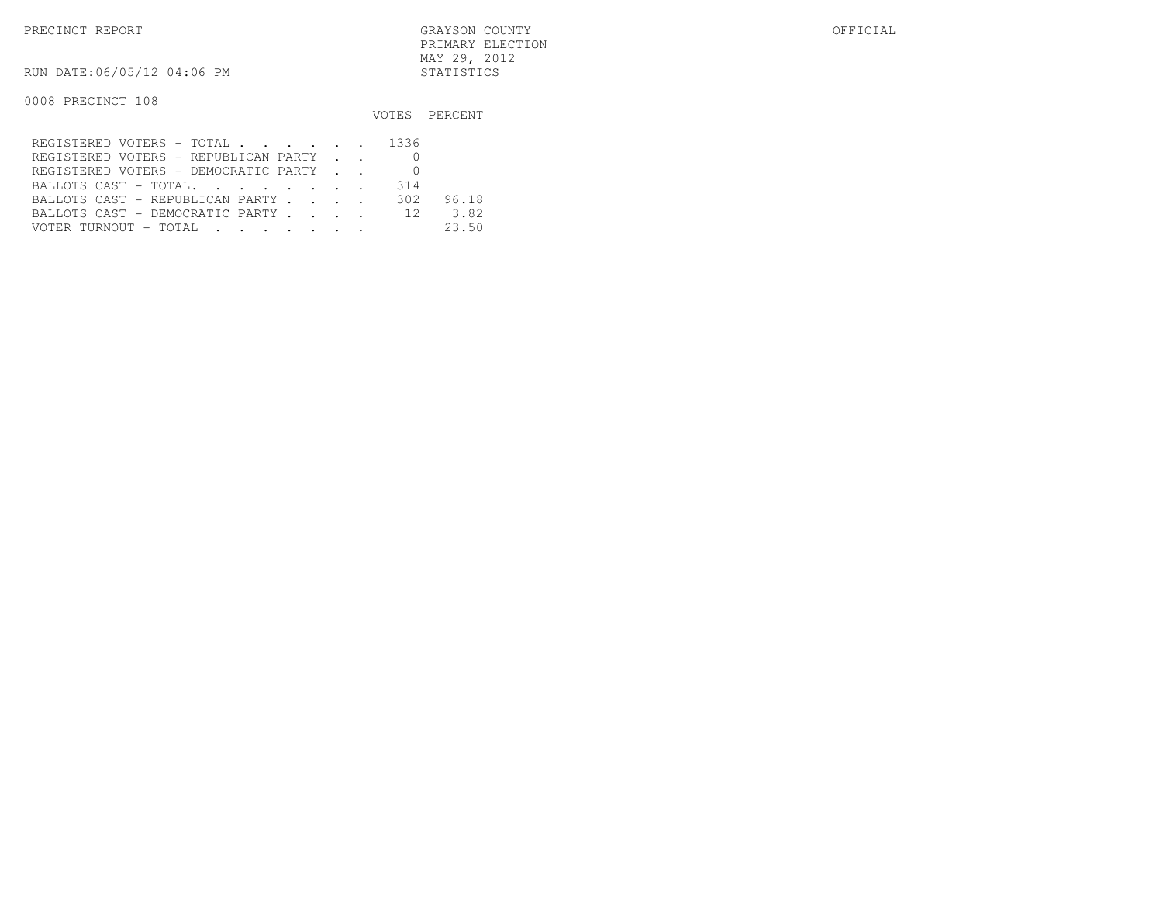RUN DATE:06/05/12 04:06 PM STATISTICS

|                                         |     | VOTES PERCENT |
|-----------------------------------------|-----|---------------|
| REGISTERED VOTERS - TOTAL 1336          |     |               |
| REGISTERED VOTERS - REPUBLICAN PARTY    |     |               |
| REGISTERED VOTERS - DEMOCRATIC PARTY    |     |               |
| BALLOTS CAST - TOTAL.                   | 314 |               |
| BALLOTS CAST - REPUBLICAN PARTY         | 302 | 96.18         |
| BALLOTS CAST - DEMOCRATIC PARTY 12 3.82 |     |               |
|                                         |     | 23.50         |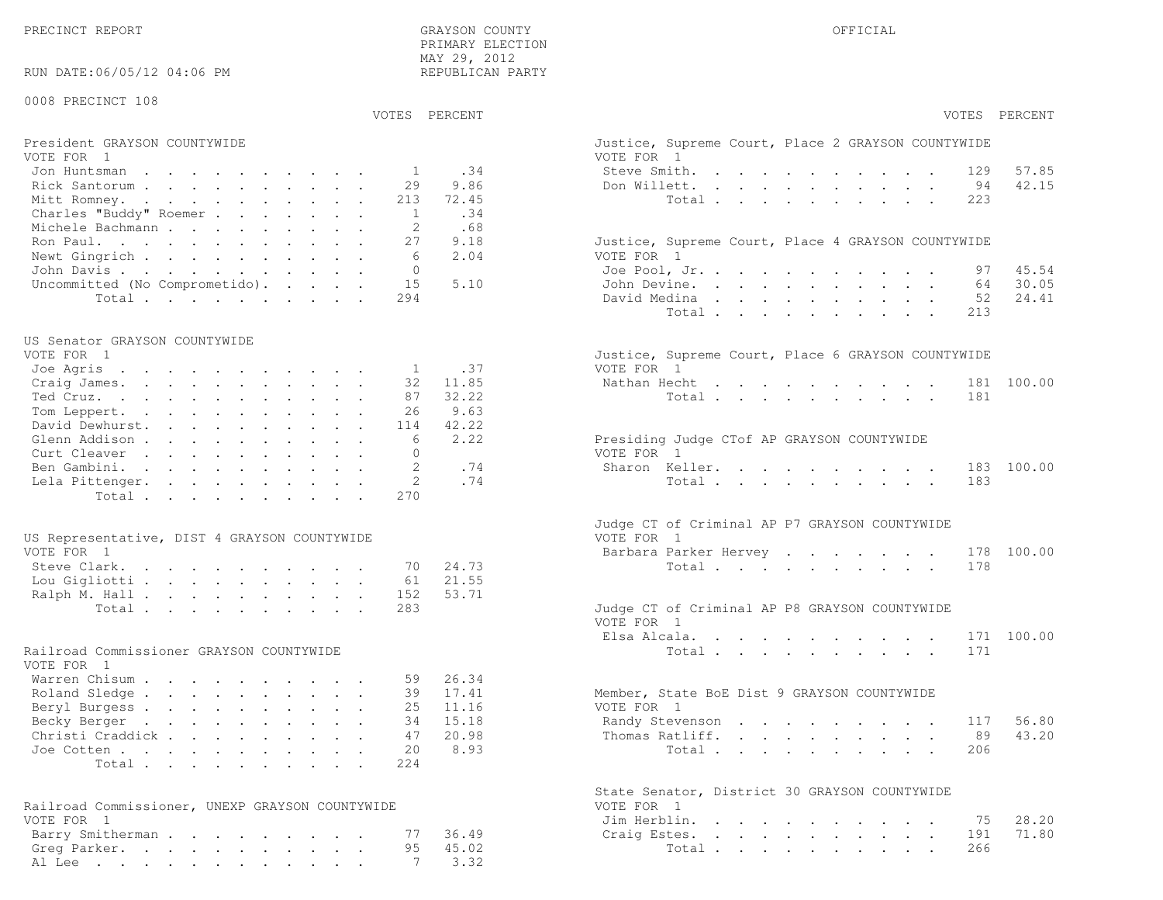PRECINCT REPORT GRAYSON COUNTY OFFICIAL

|                                                                                            |              | PRIMARY ELECTION<br>MAY 29, 2012 |                                                                  |
|--------------------------------------------------------------------------------------------|--------------|----------------------------------|------------------------------------------------------------------|
| RUN DATE:06/05/12 04:06 PM                                                                 |              | REPUBLICAN PARTY                 |                                                                  |
| 0008 PRECINCT 108                                                                          |              |                                  |                                                                  |
|                                                                                            |              | VOTES PERCENT                    | VOTES PERCENT                                                    |
| President GRAYSON COUNTYWIDE<br>VOTE FOR 1                                                 |              |                                  | Justice, Supreme Court, Place 2 GRAYSON COUNTYWIDE<br>VOTE FOR 1 |
| Jon Huntsman                                                                               | $\mathbf{1}$ | .34                              | 57.85<br>Steve Smith.<br>129                                     |
| Rick Santorum                                                                              | 29           | 9.86                             | 42.15<br>Don Willett.<br>94                                      |
| Mitt Romney.                                                                               | 213          | 72.45                            | 223<br>Total                                                     |
| Charles "Buddy" Roemer                                                                     | 1            | .34                              |                                                                  |
| Michele Bachmann<br>Ron Paul.                                                              | 2<br>27      | .68<br>9.18                      | Justice, Supreme Court, Place 4 GRAYSON COUNTYWIDE               |
| Newt Gingrich                                                                              | 6            | 2.04                             | VOTE FOR 1                                                       |
| John Davis                                                                                 | $\mathbf{0}$ |                                  | 45.54<br>Joe Pool, Jr.<br>97                                     |
| Uncommitted (No Comprometido).                                                             | 15           | 5.10                             | 30.05<br>John Devine.<br>64                                      |
| Total                                                                                      | 294          |                                  | 24.41<br>David Medina<br>52                                      |
|                                                                                            |              |                                  | Total<br>213                                                     |
| US Senator GRAYSON COUNTYWIDE                                                              |              |                                  |                                                                  |
| VOTE FOR 1                                                                                 |              |                                  | Justice, Supreme Court, Place 6 GRAYSON COUNTYWIDE               |
| Joe Agris                                                                                  | <sup>1</sup> | .37                              | VOTE FOR 1                                                       |
| Craig James.<br>Ted Cruz.                                                                  | 32<br>87     | 11.85<br>32.22                   | 181 100.00<br>Nathan Hecht<br>Total<br>181                       |
| Tom Leppert.                                                                               | 26           | 9.63                             |                                                                  |
| David Dewhurst.                                                                            | 114          | 42.22                            |                                                                  |
| Glenn Addison                                                                              | 6            | 2.22                             | Presiding Judge CTof AP GRAYSON COUNTYWIDE                       |
| Curt Cleaver                                                                               | $\Omega$     |                                  | VOTE FOR 1                                                       |
| Ben Gambini.                                                                               | 2<br>2       | .74<br>.74                       | Sharon Keller.<br>100.00<br>183<br>183                           |
| Lela Pittenger.<br>Total.                                                                  | 270          |                                  | Total                                                            |
|                                                                                            |              |                                  |                                                                  |
|                                                                                            |              |                                  | Judge CT of Criminal AP P7 GRAYSON COUNTYWIDE                    |
| US Representative, DIST 4 GRAYSON COUNTYWIDE<br>VOTE FOR 1                                 |              |                                  | VOTE FOR 1<br>Barbara Parker Hervey<br>178 100.00                |
| Steve Clark.                                                                               | 70           | 24.73                            | Total<br>178                                                     |
| Lou Gigliotti                                                                              | 61           | 21.55                            |                                                                  |
| Ralph M. Hall                                                                              | 152          | 53.71                            |                                                                  |
| Total                                                                                      | 283          |                                  | Judge CT of Criminal AP P8 GRAYSON COUNTYWIDE<br>VOTE FOR 1      |
|                                                                                            |              |                                  | Elsa Alcala.<br>171 100.00                                       |
| Railroad Commissioner GRAYSON COUNTYWIDE                                                   |              |                                  | 171<br>Total $\cdots$                                            |
| VOTE FOR 1                                                                                 |              |                                  |                                                                  |
| Warren Chisum                                                                              | 59           | 26.34                            |                                                                  |
| Roland Sledge                                                                              | 39           | 17.41                            | Member, State BoE Dist 9 GRAYSON COUNTYWIDE                      |
| Beryl Burgess<br>Becky Berger                                                              | 25<br>34     | 11.16<br>15.18                   | VOTE FOR 1<br>56.80<br>Randy Stevenson<br>117                    |
| Christi Craddick.<br>$\mathbf{r}$ , and $\mathbf{r}$ , and $\mathbf{r}$ , and $\mathbf{r}$ | 47           | 20.98                            | 43.20<br>89<br>Thomas Ratliff.                                   |
| Joe Cotten                                                                                 | 20           | 8.93                             | Total<br>206                                                     |
| Total                                                                                      | 224          |                                  |                                                                  |
|                                                                                            |              |                                  | State Senator, District 30 GRAYSON COUNTYWIDE                    |
| Railroad Commissioner, UNEXP GRAYSON COUNTYWIDE                                            |              |                                  | VOTE FOR 1                                                       |
| VOTE FOR 1                                                                                 |              |                                  | 75<br>28.20<br>Jim Herblin.                                      |
| Barry Smitherman                                                                           | 77           | 36.49                            | 71.80<br>Craig Estes.<br>191                                     |
| Greg Parker.                                                                               | 95           | 45.02                            | 266<br>Total                                                     |
| Al Lee                                                                                     | -7           | 3.32                             |                                                                  |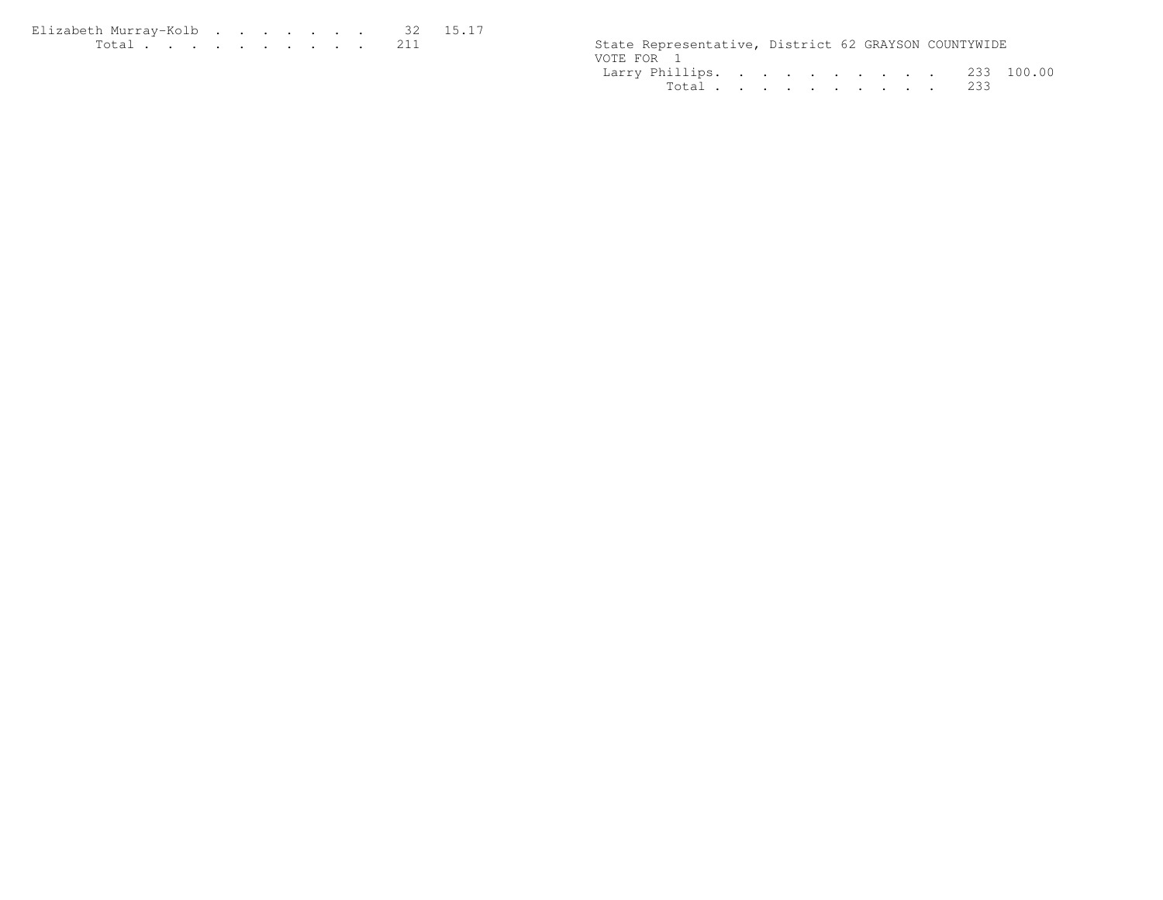Elizabeth Murray-Kolb . . . . . . . 32 15.17 Total . . . . . . . . . . 211 State Representative, District 62 GRAYSON COUNTYWIDE

| State Representative, District 62 GRAYSON COUNTYWIDE |  |  |  |  |  |
|------------------------------------------------------|--|--|--|--|--|
| VOTE FOR 1                                           |  |  |  |  |  |
| Larry Phillips. 233 100.00                           |  |  |  |  |  |
| Total 233                                            |  |  |  |  |  |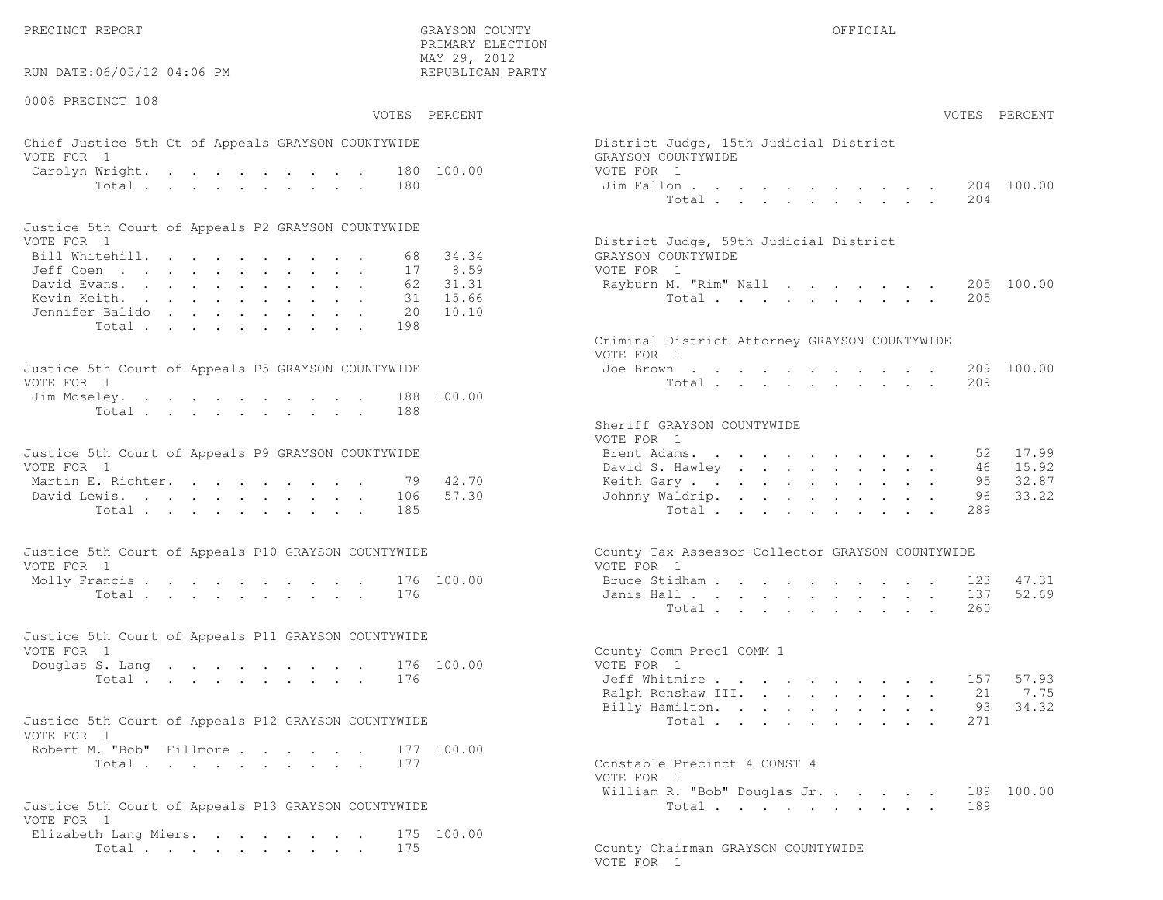PRECINCT REPORT THE COUNTY GRAYSON COUNTY THE COUNTY OFFICIAL OFFICIAL COUNTY OF THE COUNTY OF THE COUNTY OF THE COUNTY OF THE COUNTY OF THE COUNTY OF THE COUNTY OF THE COUNTY OF THE COUNTY OF THE COUNTY OF THE COUNTY OF T

 $\text{MAX } 29, \quad 2012$ RUN DATE:06/05/12 04:06 PM

0008 PRECINCT 108

VOTES PERCENT VOTES PERCENT

PRIMARY ELECTION

# Chief Justice 5th Ct of Appeals GRAYSON COUNTYWIDE District District District District District District District District District District District District District District District District District District District VOTE FOR 1 GRAYSON COUNTY WITH SALE COUNTY OF REAL COUNTY OF REAL COUNTY OF REAL COUNTY OF REAL COUNTY OF REAL COUNTY OF REAL COUNTY OF REAL COUNTY OF REAL COUNTY OF REAL COUNTY OF REAL COUNTY OF REAL COUNTY OF REAL COUNTY Carolyn Wright. . . . . . . . . . 180 100.00 VOT<br>Total . . . . . . . . . 180 100.00 J Total . . . . . . . . . .

| Justice 5th Court of Appeals P2 GRAYSON COUNTYWIDE |  |  |  |  |  |                                        |
|----------------------------------------------------|--|--|--|--|--|----------------------------------------|
| VOTE FOR 1                                         |  |  |  |  |  | District Judge, 59th Judicial District |
| Bill Whitehill. 68 34.34                           |  |  |  |  |  | GRAYSON COUNTYWIDE                     |
| Jeff Coen 17 8.59                                  |  |  |  |  |  | VOTE FOR 1                             |
| David Evans. 62 31.31                              |  |  |  |  |  | Rayburn M. "Rim" Nall 205 100.00       |
| Kevin Keith. 31 15.66                              |  |  |  |  |  | Total 205                              |
| Jennifer Balido 20 10.10                           |  |  |  |  |  |                                        |
| Total 198                                          |  |  |  |  |  |                                        |

| Justice 5th Court of Appeals P5 GRAYSON COUNTYWIDE | Joe Brown 209 100.00 |
|----------------------------------------------------|----------------------|
| VOTE FOR 1                                         | Total 209            |
| Jim Moseley. 188 100.00                            |                      |
| Total 188                                          |                      |
|                                                    |                      |

| Justice 5th Court of Appeals P9 GRAYSON COUNTYWIDE | Brent Adams. 52 17.99    |  |  |  |  |  |  |
|----------------------------------------------------|--------------------------|--|--|--|--|--|--|
| VOTE FOR 1                                         | David S. Hawley 46 15.92 |  |  |  |  |  |  |
| Martin E. Richter. 79 42.70                        | Keith Gary 95 32.87      |  |  |  |  |  |  |
| David Lewis. 106 57.30                             | Johnny Waldrip. 96 33.22 |  |  |  |  |  |  |
| Total 185                                          | Total 289                |  |  |  |  |  |  |

| Justice 5th Court of Appeals P10 GRAYSON COUNTYWIDE | County Tax Assessor-Collector GRAYSON COUNTYWIDE |
|-----------------------------------------------------|--------------------------------------------------|
| VOTE FOR 1                                          | VOTE FOR 1                                       |
| Molly Francis 176 100.00                            | Bruce Stidham 123 47.31                          |
| Total 176                                           | Janis Hall 137 52.69                             |

| Justice 5th Court of Appeals P11 GRAYSON COUNTYWIDE |  |  |  |  |           |  |                          |  |
|-----------------------------------------------------|--|--|--|--|-----------|--|--------------------------|--|
| VOTE FOR 1                                          |  |  |  |  |           |  | County Comm Prec1 COMM 1 |  |
| Douglas S. Lang 176 100.00                          |  |  |  |  |           |  | VOTE FOR 1               |  |
|                                                     |  |  |  |  | Total 176 |  | Jeff Whitmire 157 57.93  |  |

| Justice 5th Court of Appeals P12 GRAYSON COUNTYWIDE |           |  |  |  | Total 271                    |  |
|-----------------------------------------------------|-----------|--|--|--|------------------------------|--|
| VOTE FOR 1                                          |           |  |  |  |                              |  |
| Robert M. "Bob" Fillmore 177 100.00                 |           |  |  |  |                              |  |
|                                                     | Total 177 |  |  |  | Constable Precinct 4 CONST 4 |  |

|                                                     | $\frac{1}{2}$                      |  |
|-----------------------------------------------------|------------------------------------|--|
| Justice 5th Court of Appeals P13 GRAYSON COUNTYWIDE | Total 189                          |  |
| VOTE FOR 1                                          |                                    |  |
| Elizabeth Lang Miers. 175 100.00                    |                                    |  |
| Total 175                                           | County Chairman GRAYSON COUNTYWIDE |  |

| AY 29, 2012<br>EPUBLICAN PARTY |                                                                            |                                   |                           |                                          |                           |                                                                                                                      |                                                                                                                                   |                      |                                       |                                                                                                                                                                                                                                                                                                                                                                                                                              |                        |                                  |
|--------------------------------|----------------------------------------------------------------------------|-----------------------------------|---------------------------|------------------------------------------|---------------------------|----------------------------------------------------------------------------------------------------------------------|-----------------------------------------------------------------------------------------------------------------------------------|----------------------|---------------------------------------|------------------------------------------------------------------------------------------------------------------------------------------------------------------------------------------------------------------------------------------------------------------------------------------------------------------------------------------------------------------------------------------------------------------------------|------------------------|----------------------------------|
| PERCENT                        |                                                                            |                                   |                           |                                          |                           |                                                                                                                      |                                                                                                                                   |                      |                                       |                                                                                                                                                                                                                                                                                                                                                                                                                              |                        | VOTES PERCENT                    |
| 100.00                         | District Judge, 15th Judicial District<br>GRAYSON COUNTYWIDE<br>VOTE FOR 1 |                                   |                           |                                          |                           |                                                                                                                      |                                                                                                                                   |                      |                                       |                                                                                                                                                                                                                                                                                                                                                                                                                              |                        |                                  |
|                                | Jim Fallon                                                                 | Total $\cdots$                    | $\mathbf{L}^{\text{max}}$ |                                          |                           | $\mathbf{a} = \mathbf{a} + \mathbf{a} + \mathbf{a} + \mathbf{a} + \mathbf{a} + \mathbf{a} + \mathbf{a} + \mathbf{a}$ |                                                                                                                                   |                      |                                       | $\sim 100$                                                                                                                                                                                                                                                                                                                                                                                                                   | 204                    | 204 100.00                       |
| 34.34<br>8.59                  | District Judge, 59th Judicial District<br>GRAYSON COUNTYWIDE<br>VOTE FOR 1 |                                   |                           |                                          |                           |                                                                                                                      |                                                                                                                                   |                      |                                       |                                                                                                                                                                                                                                                                                                                                                                                                                              |                        |                                  |
| 31.31<br>15.66<br>10.10        | Rayburn M. "Rim" Nall                                                      | Total $\cdots$                    |                           |                                          |                           |                                                                                                                      |                                                                                                                                   |                      |                                       |                                                                                                                                                                                                                                                                                                                                                                                                                              | 205<br>205             | 100.00                           |
|                                | Criminal District Attorney GRAYSON COUNTYWIDE<br>VOTE FOR 1                |                                   |                           |                                          |                           |                                                                                                                      |                                                                                                                                   |                      |                                       |                                                                                                                                                                                                                                                                                                                                                                                                                              |                        |                                  |
| 100.00                         | Joe Brown                                                                  | <b>CALCUM</b><br>Total $\cdots$   |                           |                                          |                           |                                                                                                                      |                                                                                                                                   |                      |                                       | $\mathbf{a} = \mathbf{a} + \mathbf{a} + \mathbf{a} + \mathbf{a} + \mathbf{a} + \mathbf{a} + \mathbf{a} + \mathbf{a} + \mathbf{a} + \mathbf{a} + \mathbf{a} + \mathbf{a} + \mathbf{a} + \mathbf{a} + \mathbf{a} + \mathbf{a} + \mathbf{a} + \mathbf{a} + \mathbf{a} + \mathbf{a} + \mathbf{a} + \mathbf{a} + \mathbf{a} + \mathbf{a} + \mathbf{a} + \mathbf{a} + \mathbf{a} + \mathbf{a} + \mathbf{a} + \mathbf{a} + \mathbf$ | 209<br>209             | 100.00                           |
|                                | Sheriff GRAYSON COUNTYWIDE<br>VOTE FOR 1                                   |                                   |                           |                                          |                           |                                                                                                                      |                                                                                                                                   |                      |                                       |                                                                                                                                                                                                                                                                                                                                                                                                                              |                        |                                  |
| 42.70<br>57.30                 | Brent Adams.<br>David S. Hawley<br>Keith Gary<br>Johnny Waldrip.           | <b>Contract Contract Contract</b> |                           | $\mathbf{r} = \mathbf{r} + \mathbf{r}$ . | $\mathbf{z} = \mathbf{z}$ | the contract of the contract of the contract of<br>$\sim$                                                            | $\cdot$ $\cdot$<br>$\mathbf{z} = \mathbf{z} + \mathbf{z}$ .<br>$\mathbf{z} = \mathbf{z} + \mathbf{z} + \mathbf{z} + \mathbf{z}$ . |                      | $\sim$ $\sim$<br>$\ddot{\phantom{0}}$ | $\ddot{\phantom{a}}$                                                                                                                                                                                                                                                                                                                                                                                                         | 52<br>46<br>95<br>96   | 17.99<br>15.92<br>32.87<br>33.22 |
|                                | County Tax Assessor-Collector GRAYSON COUNTYWIDE                           | Total                             |                           | $\mathbf{L}$ $\mathbf{L}$                |                           |                                                                                                                      |                                                                                                                                   |                      |                                       |                                                                                                                                                                                                                                                                                                                                                                                                                              | 289                    |                                  |
| 100.00                         | VOTE FOR 1<br>Bruce Stidham                                                |                                   |                           |                                          | $\overline{a}$            | $\ddot{\phantom{a}}$                                                                                                 | $\overline{a}$                                                                                                                    | $\ddot{\phantom{a}}$ |                                       |                                                                                                                                                                                                                                                                                                                                                                                                                              | 123                    | 47.31                            |
|                                | Janis Hall                                                                 | Total .                           |                           |                                          |                           | $\mathbf{r} = \mathbf{r} + \mathbf{r} + \mathbf{r} + \mathbf{r} + \mathbf{r}$                                        |                                                                                                                                   | $\ddot{\phantom{a}}$ | $\sim$ $\sim$                         | $\mathbf{L}^{\text{max}}$                                                                                                                                                                                                                                                                                                                                                                                                    | 137<br>260             | 52.69                            |
| 100.00                         | County Comm Prec1 COMM 1<br>VOTE FOR 1                                     |                                   |                           |                                          |                           |                                                                                                                      |                                                                                                                                   |                      |                                       |                                                                                                                                                                                                                                                                                                                                                                                                                              |                        |                                  |
|                                | Jeff Whitmire<br>Ralph Renshaw III.<br>Billy Hamilton.                     | Total                             |                           |                                          | $\bullet$ .               | $\mathbf{A}^{(1)}$ and $\mathbf{A}^{(2)}$ and $\mathbf{A}^{(3)}$                                                     |                                                                                                                                   |                      | $\sim$ $-$                            | $\ddot{\phantom{a}}$                                                                                                                                                                                                                                                                                                                                                                                                         | 157<br>21<br>93<br>271 | 57.93<br>7.75<br>34.32           |
| 100.00                         | Constable Precinct 4 CONST 4                                               |                                   |                           |                                          |                           |                                                                                                                      |                                                                                                                                   |                      |                                       |                                                                                                                                                                                                                                                                                                                                                                                                                              |                        |                                  |
|                                | VOTE FOR 1<br>William R. "Bob" Douglas Jr.                                 | Total $\cdots$                    |                           |                                          |                           |                                                                                                                      |                                                                                                                                   |                      |                                       |                                                                                                                                                                                                                                                                                                                                                                                                                              | 189<br>189             | 100.00                           |

VOTE FOR 1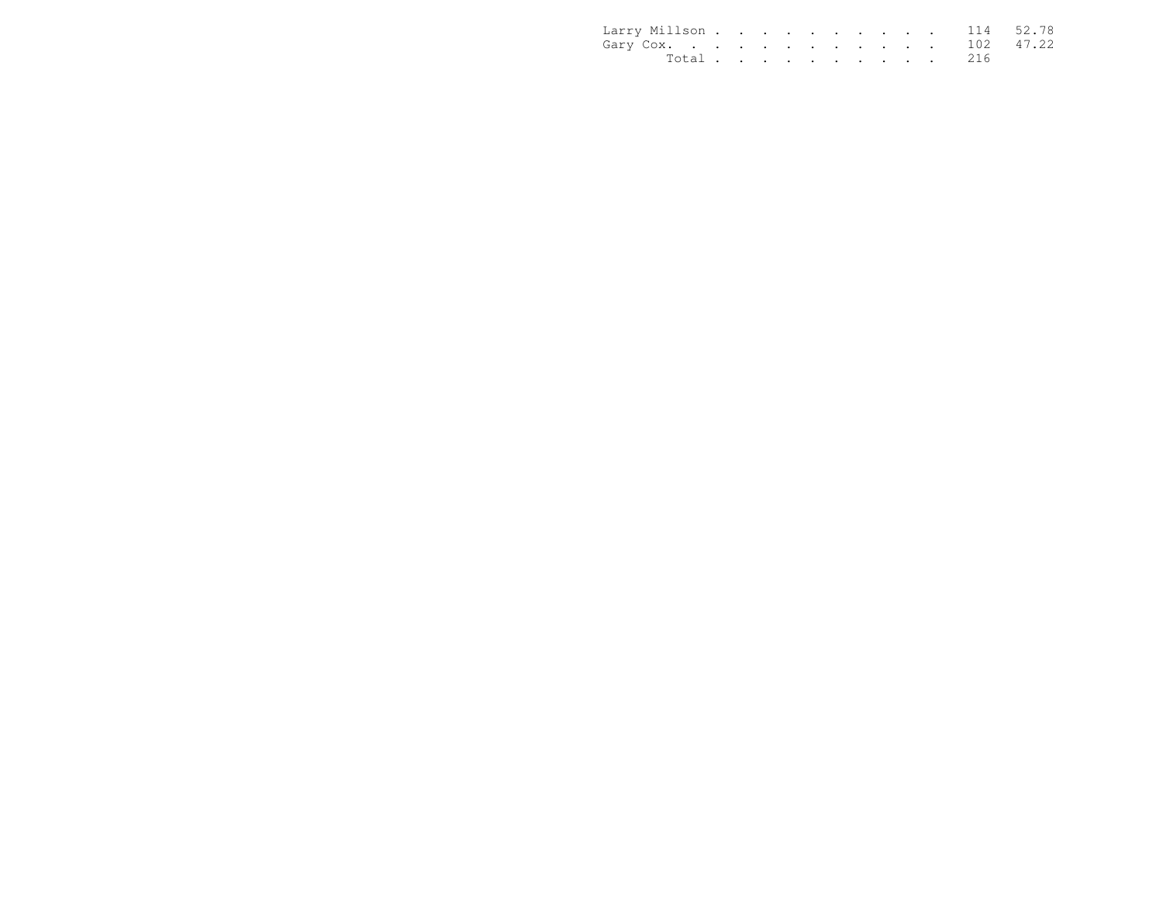| Larry Millson 114 52.78 |  |  |  |  |  |           |  |
|-------------------------|--|--|--|--|--|-----------|--|
| Gary Cox. 102 47.22     |  |  |  |  |  |           |  |
|                         |  |  |  |  |  | Total 216 |  |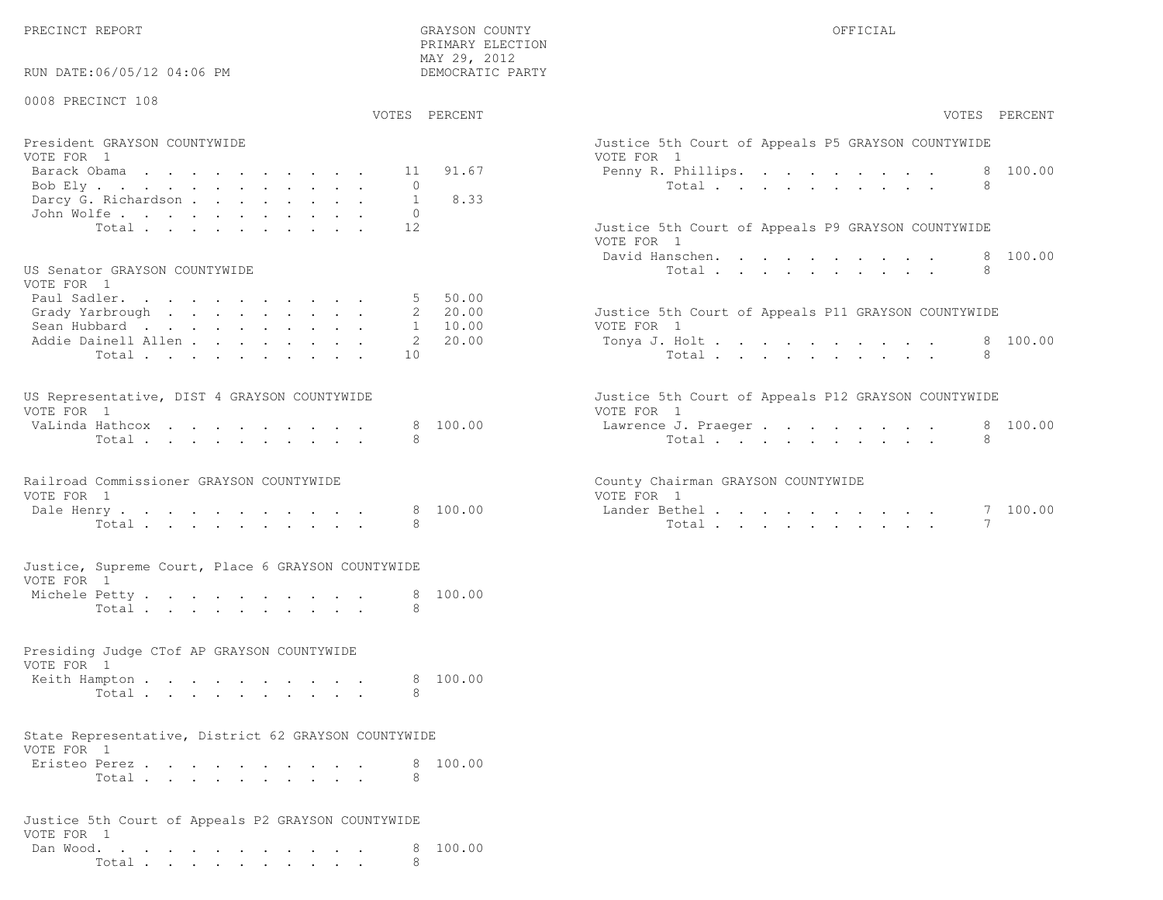PRECINCT REPORT GRAYSON COUNTY OFFICIAL

RUN DATE:06/05/12 04:06 PM

 PRIMARY ELECTION MAY 29, 2012DEMOCRATIC PARTY

| 0008 PRECINCT 108                                                |              | VOTES PERCENT      | VOTES PERCENT                                                     |
|------------------------------------------------------------------|--------------|--------------------|-------------------------------------------------------------------|
|                                                                  |              |                    |                                                                   |
| President GRAYSON COUNTYWIDE                                     |              |                    | Justice 5th Court of Appeals P5 GRAYSON COUNTYWIDE                |
| VOTE FOR 1                                                       | 11           | 91.67              | VOTE FOR 1<br>100.00                                              |
| Barack Obama                                                     | $\Omega$     |                    | Penny R. Phillips.<br>8<br>Total<br>8                             |
| Bob Ely<br>Darcy G. Richardson                                   | $\mathbf{1}$ | 8.33               |                                                                   |
| John Wolfe.                                                      | $\circ$      |                    |                                                                   |
| Total                                                            | 12           |                    | Justice 5th Court of Appeals P9 GRAYSON COUNTYWIDE                |
|                                                                  |              |                    | VOTE FOR 1                                                        |
|                                                                  |              |                    | David Hanschen.<br>100.00<br>8                                    |
| US Senator GRAYSON COUNTYWIDE                                    |              |                    | Total<br>8                                                        |
| VOTE FOR 1                                                       |              |                    |                                                                   |
| Paul Sadler.                                                     |              | 5 50.00            |                                                                   |
| Grady Yarbrough<br>Sean Hubbard                                  |              | 2 20.00<br>1 10.00 | Justice 5th Court of Appeals P11 GRAYSON COUNTYWIDE<br>VOTE FOR 1 |
| Addie Dainell Allen                                              |              | 2 20.00            | 8 100.00<br>Tonya J. Holt                                         |
| Total                                                            | 10           |                    | 8                                                                 |
|                                                                  |              |                    | Total                                                             |
| US Representative, DIST 4 GRAYSON COUNTYWIDE<br>VOTE FOR 1       |              |                    | Justice 5th Court of Appeals P12 GRAYSON COUNTYWIDE<br>VOTE FOR 1 |
| VaLinda Hathcox                                                  | 8            | 100.00             | 8 100.00<br>Lawrence J. Praeger                                   |
| Total                                                            | 8            |                    | Total<br>8                                                        |
| Railroad Commissioner GRAYSON COUNTYWIDE<br>VOTE FOR 1           |              |                    | County Chairman GRAYSON COUNTYWIDE<br>VOTE FOR 1                  |
| Dale Henry<br>Total                                              | 8            | 8 100.00           | Lander Bethel.<br>7 100.00<br>Total                               |
|                                                                  |              |                    |                                                                   |
| Justice, Supreme Court, Place 6 GRAYSON COUNTYWIDE<br>VOTE FOR 1 |              |                    |                                                                   |
| Michele Petty                                                    |              | 8 100.00           |                                                                   |
| Total                                                            | 8            |                    |                                                                   |
| Presiding Judge CTof AP GRAYSON COUNTYWIDE<br>VOTE FOR 1         |              |                    |                                                                   |
| Keith Hampton                                                    |              | 8 100.00           |                                                                   |
| Total                                                            | 8            |                    |                                                                   |
| State Representative, District 62 GRAYSON COUNTYWIDE             |              |                    |                                                                   |
| VOTE FOR 1                                                       |              |                    |                                                                   |
| Eristeo Perez                                                    |              | 8 100.00           |                                                                   |
| Total                                                            | 8            |                    |                                                                   |
|                                                                  |              |                    |                                                                   |

Justice 5th Court of Appeals P2 GRAYSON COUNTYWIDEVOTE FOR 1 Dan Wood. . . . . . . . . . . . 8 100.00Total . . . . . . . . . . 8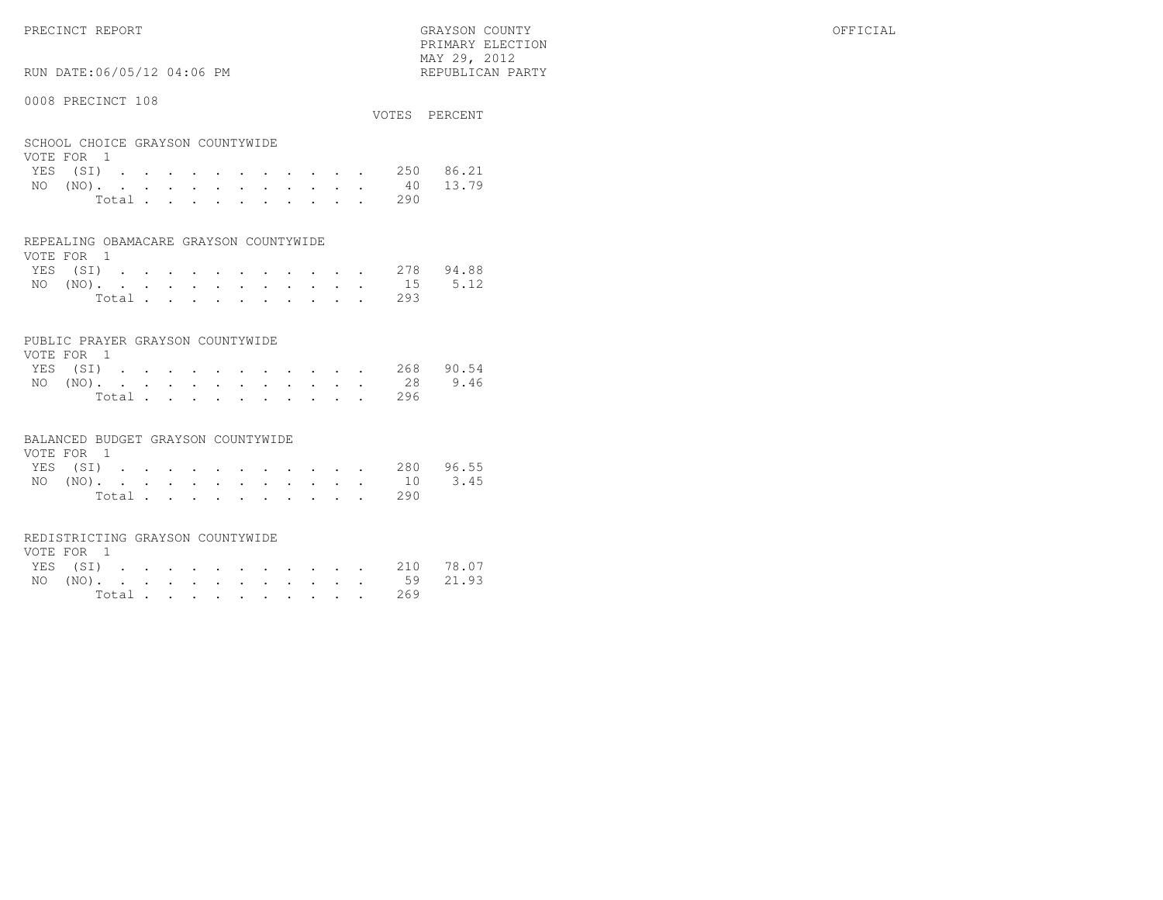PRECINCT REPORT GRAYSON COUNTY OFFICIAL

 $\text{MAX } 29, \quad 2012$ RUN DATE:06/05/12 04:06 PM

#### 0008 PRECINCT 108

|                                  |  |  |  |  |  |  | VOTES PERCENT      |
|----------------------------------|--|--|--|--|--|--|--------------------|
|                                  |  |  |  |  |  |  |                    |
| SCHOOL CHOICE GRAYSON COUNTYWIDE |  |  |  |  |  |  |                    |
| VOTE FOR 1                       |  |  |  |  |  |  |                    |
|                                  |  |  |  |  |  |  | YES (SI) 250 86.21 |
| $N\cap (N\cap)$                  |  |  |  |  |  |  | 40 13 79           |

PRIMARY ELECTION

|  |  |  |  |  |  | NO (NO). 40 13.79 |  |
|--|--|--|--|--|--|-------------------|--|
|  |  |  |  |  |  | Total 290         |  |

#### REPEALING OBAMACARE GRAYSON COUNTYWIDE

| VOTE FOR 1 |  |  |  |  |  |  |                    |  |
|------------|--|--|--|--|--|--|--------------------|--|
|            |  |  |  |  |  |  | YES (SI) 278 94.88 |  |
|            |  |  |  |  |  |  | NO (NO). 15 5.12   |  |
|            |  |  |  |  |  |  | Total 293          |  |

#### PUBLIC PRAYER GRAYSON COUNTYWIDE

| VOTE FOR 1 |  |  |  |  |  |  |                    |  |
|------------|--|--|--|--|--|--|--------------------|--|
|            |  |  |  |  |  |  | YES (SI) 268 90.54 |  |
|            |  |  |  |  |  |  | NO (NO). 28 9.46   |  |
|            |  |  |  |  |  |  | Total 296          |  |

#### BALANCED BUDGET GRAYSON COUNTYWIDE

| VOTE FOR 1 |  |  |  |  |  |                    |  |
|------------|--|--|--|--|--|--------------------|--|
|            |  |  |  |  |  | YES (SI) 280 96.55 |  |
|            |  |  |  |  |  | NO (NO). 10 3.45   |  |
|            |  |  |  |  |  | Total 290          |  |

## REDISTRICTING GRAYSON COUNTYWIDE

| VOTE FOR 1 |  |  |  |  |  |           |                    |  |
|------------|--|--|--|--|--|-----------|--------------------|--|
|            |  |  |  |  |  |           | YES (SI) 210 78.07 |  |
|            |  |  |  |  |  |           | NO (NO). 59 21.93  |  |
|            |  |  |  |  |  | Total 269 |                    |  |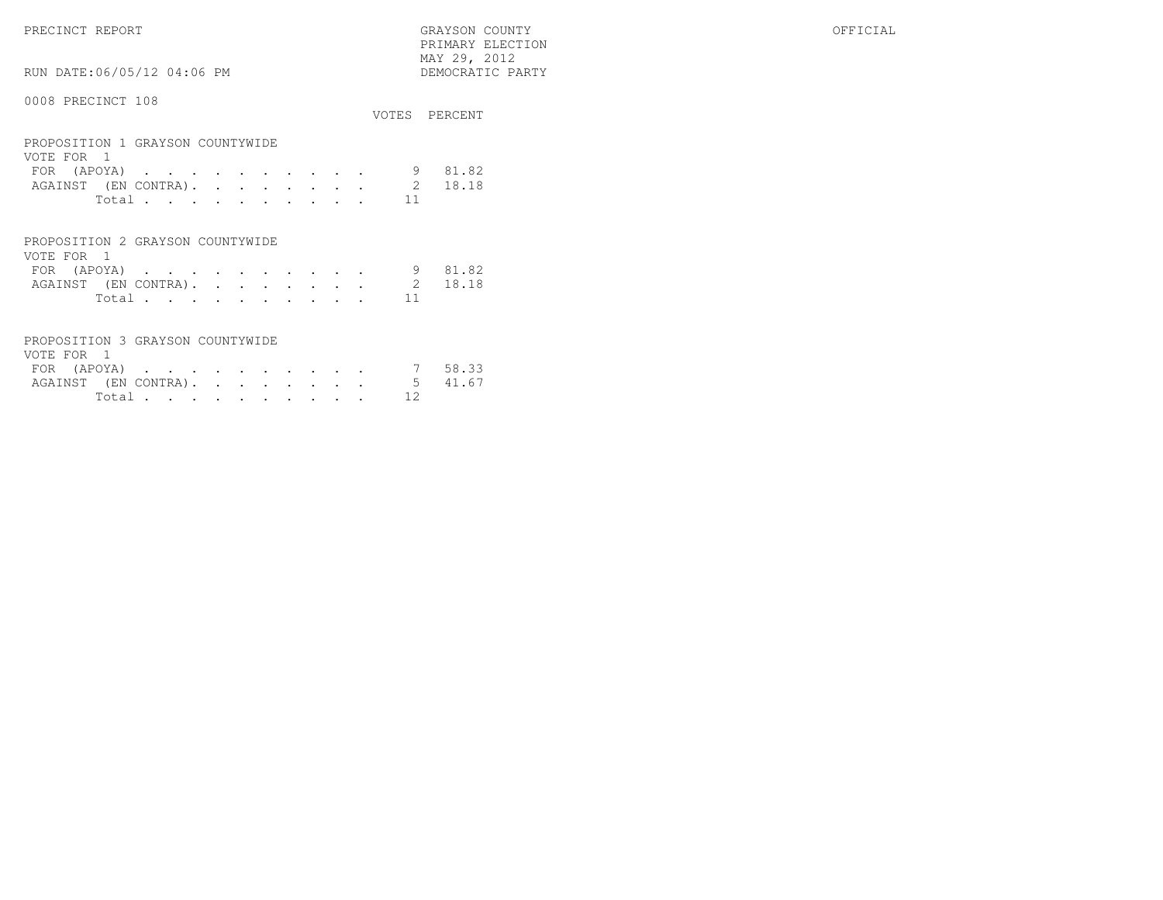PRECINCT REPORT GRAYSON COUNTY OFFICIAL PRIMARY ELECTION $\begin{array}{lll} \text{MAX} & 29, & 2012 \\ \text{NAY} & 29, & 2012 \end{array}$ 

RUN DATE:06/05/12 04:06 PM

|                                                |                | VOTES PERCENT |
|------------------------------------------------|----------------|---------------|
| PROPOSITION 1 GRAYSON COUNTYWIDE<br>VOTE FOR 1 |                |               |
| FOR (APOYA)                                    |                | 81.82         |
| AGAINST (EN CONTRA).                           | $\mathfrak{D}$ | 18.18         |
| Total                                          | 11             |               |
|                                                |                |               |
| PROPOSITION 2 GRAYSON COUNTYWIDE               |                |               |

| VOTE FOR 1 |                |  |  |  |  |  |                              |         |
|------------|----------------|--|--|--|--|--|------------------------------|---------|
|            | FOR (APOYA)    |  |  |  |  |  |                              | 9 81.82 |
|            |                |  |  |  |  |  | AGAINST (EN CONTRA). 2 18.18 |         |
|            | Total $\cdots$ |  |  |  |  |  |                              |         |

| PROPOSITION 3 GRAYSON COUNTYWIDE |          |  |  |  |  |  |
|----------------------------------|----------|--|--|--|--|--|
| VOTE FOR 1                       |          |  |  |  |  |  |
| FOR (APOYA) 7 58.33              |          |  |  |  |  |  |
| AGAINST (EN CONTRA). 5 41.67     |          |  |  |  |  |  |
|                                  | Total 12 |  |  |  |  |  |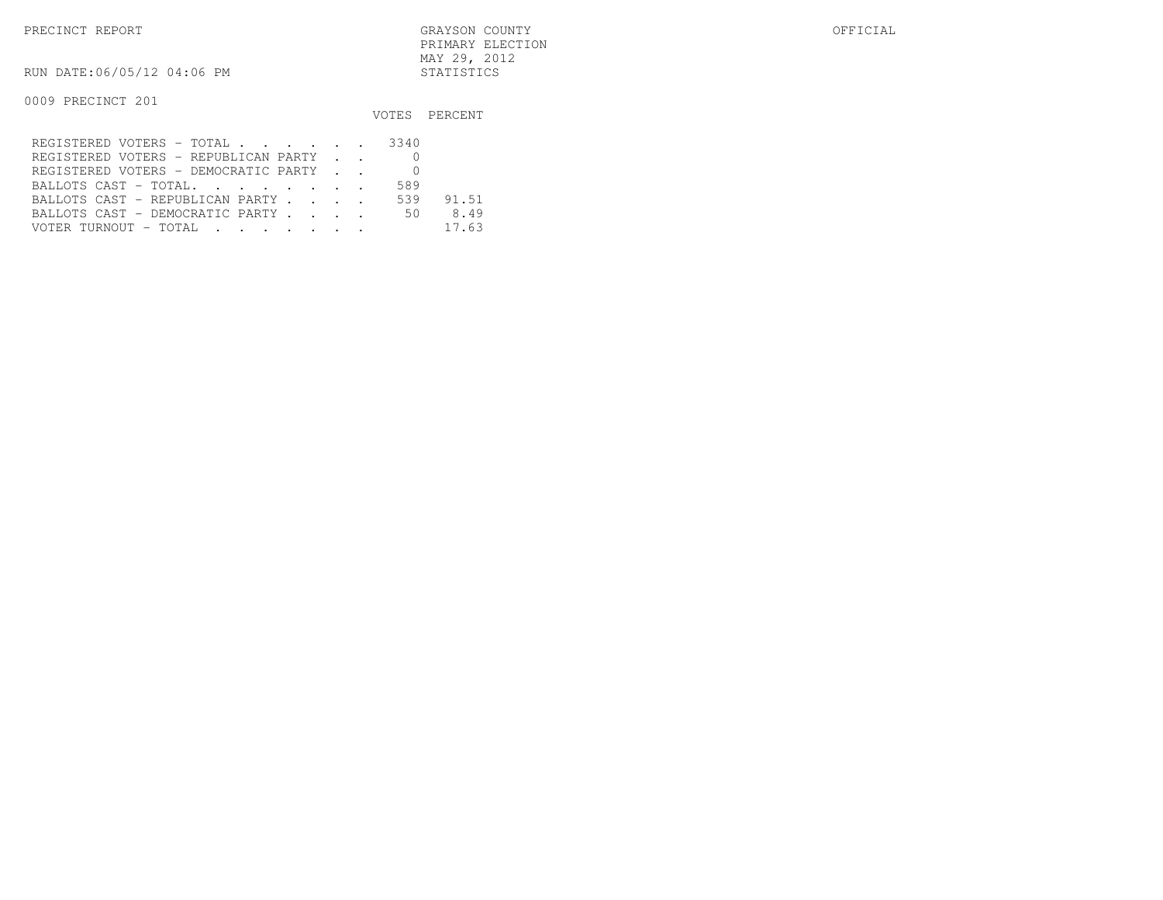RUN DATE:06/05/12 04:06 PM STATISTICS

|                                         |     | VOTES PERCENT |
|-----------------------------------------|-----|---------------|
| REGISTERED VOTERS - TOTAL 3340          |     |               |
| REGISTERED VOTERS - REPUBLICAN PARTY    |     |               |
| REGISTERED VOTERS - DEMOCRATIC PARTY    |     |               |
| BALLOTS CAST - TOTAL.                   | 589 |               |
| BALLOTS CAST - REPUBLICAN PARTY         | 539 | 91.51         |
| BALLOTS CAST - DEMOCRATIC PARTY 50 8.49 |     |               |
| VOTER TURNOUT - TOTAL                   |     | 17.63         |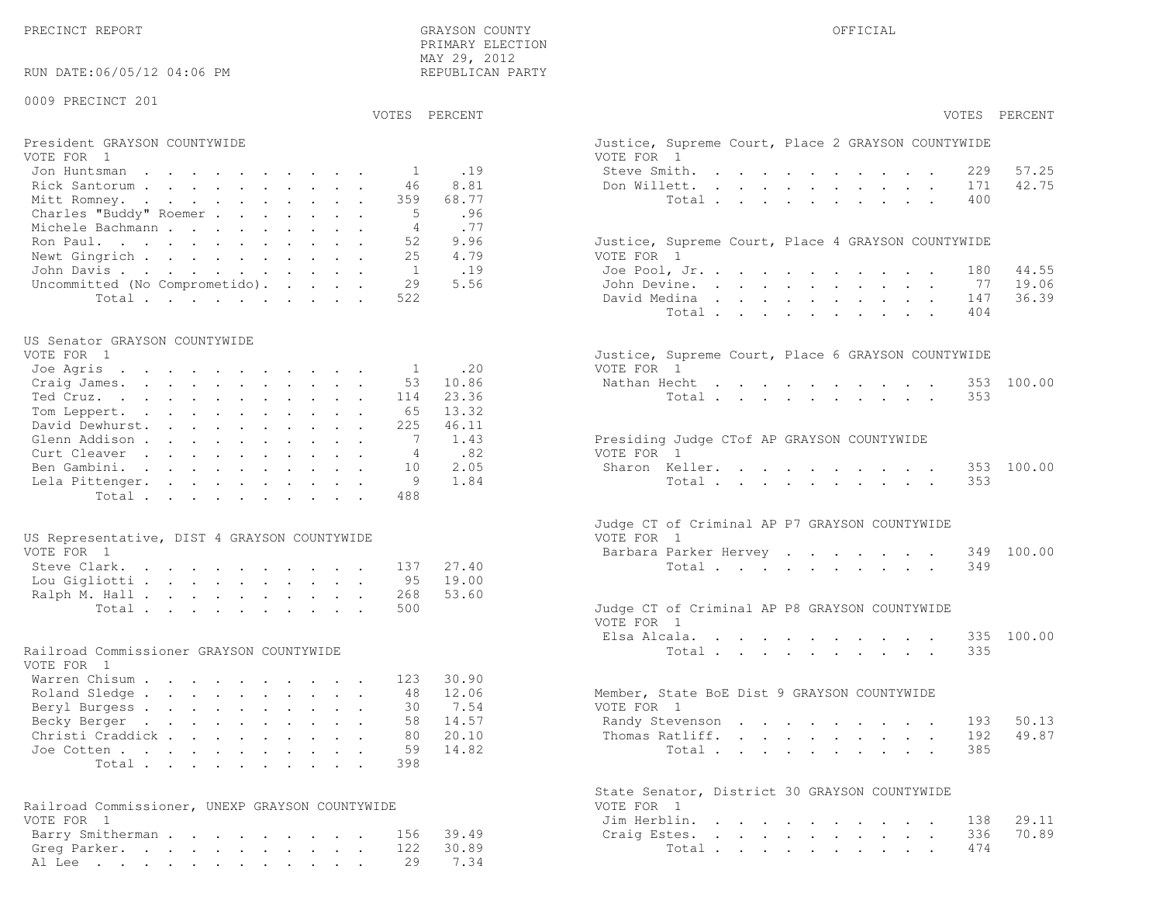42.75

19.06

36.39

49.87

70.89

| RUN DATE:06/05/12 04:06 PM                             |                | REPUBLICAN PARTY |                                                                  |
|--------------------------------------------------------|----------------|------------------|------------------------------------------------------------------|
| 0009 PRECINCT 201                                      |                |                  |                                                                  |
|                                                        | VOTES PERCENT  |                  | VOTES PERCENT                                                    |
| President GRAYSON COUNTYWIDE<br>VOTE FOR 1             |                |                  | Justice, Supreme Court, Place 2 GRAYSON COUNTYWIDE<br>VOTE FOR 1 |
| Jon Huntsman                                           | 1              | .19              | 57.25<br>Steve Smith.<br>229                                     |
| Rick Santorum                                          | 46             | 8.81             | 42.75<br>Don Willett.<br>171                                     |
| Mitt Romney.                                           | 359            | 68.77            | Total<br>400                                                     |
| Charles "Buddy" Roemer<br>Michele Bachmann             | - 5<br>4       | .96<br>.77       |                                                                  |
| Ron Paul.                                              | 52             | 9.96             | Justice, Supreme Court, Place 4 GRAYSON COUNTYWIDE               |
| Newt Gingrich                                          | 25             | 4.79             | VOTE FOR 1                                                       |
| John Davis                                             | $\overline{1}$ | .19              | 44.55<br>Joe Pool, Jr.<br>180                                    |
| Uncommitted (No Comprometido).                         | 29             | 5.56             | 19.06<br>John Devine.<br>- 77                                    |
| Total                                                  | 522            |                  | 36.39<br>David Medina<br>147                                     |
|                                                        |                |                  | Total<br>404                                                     |
| US Senator GRAYSON COUNTYWIDE                          |                |                  |                                                                  |
| VOTE FOR 1                                             |                |                  | Justice, Supreme Court, Place 6 GRAYSON COUNTYWIDE               |
| Joe Agris                                              | $\mathbf{1}$   | .20              | VOTE FOR 1                                                       |
| Craig James.                                           | 53             | 10.86            | 353 100.00<br>Nathan Hecht                                       |
| Ted Cruz.<br>Tom Leppert.                              | 114<br>65      | 23.36<br>13.32   | Total<br>353                                                     |
| David Dewhurst.                                        | 225            | 46.11            |                                                                  |
| Glenn Addison                                          | -7             | 1.43             | Presiding Judge CTof AP GRAYSON COUNTYWIDE                       |
| Curt Cleaver                                           | $\overline{4}$ | .82              | VOTE FOR 1                                                       |
| Ben Gambini.                                           | 10             | 2.05             | 100.00<br>Sharon Keller.<br>353                                  |
| Lela Pittenger.                                        | 9              | 1.84             | 353<br>Total                                                     |
| Total                                                  | 488            |                  |                                                                  |
|                                                        |                |                  | Judge CT of Criminal AP P7 GRAYSON COUNTYWIDE                    |
| US Representative, DIST 4 GRAYSON COUNTYWIDE           |                |                  | VOTE FOR 1                                                       |
| VOTE FOR 1                                             |                |                  | 349 100.00<br>Barbara Parker Hervey                              |
| Steve Clark.                                           | 137            | 27.40            | Total<br>349                                                     |
| Lou Gigliotti                                          | 95             | 19.00            |                                                                  |
| Ralph M. Hall<br>Total                                 | 268<br>500     | 53.60            | Judge CT of Criminal AP P8 GRAYSON COUNTYWIDE                    |
|                                                        |                |                  | VOTE FOR 1                                                       |
|                                                        |                |                  | 100.00<br>Elsa Alcala.<br>335                                    |
| Railroad Commissioner GRAYSON COUNTYWIDE<br>VOTE FOR 1 |                |                  | Total<br>335                                                     |
| Warren Chisum                                          | 123            | 30.90            |                                                                  |
| Roland Sledge                                          | 48             | 12.06            | Member, State BoE Dist 9 GRAYSON COUNTYWIDE                      |
| Beryl Burgess<br>Becky Berger                          | 30             | 7.54<br>58 14.57 | VOTE FOR 1<br>193 50.13<br>Randy Stevenson                       |
| Christi Craddick                                       | 80             | 20.10            | 49.87<br>Thomas Ratliff.<br>192                                  |
| Joe Cotten                                             | 59             | 14.82            | Total<br>385                                                     |
| Total                                                  | 398            |                  |                                                                  |
|                                                        |                |                  |                                                                  |
| Railroad Commissioner, UNEXP GRAYSON COUNTYWIDE        |                |                  | State Senator, District 30 GRAYSON COUNTYWIDE<br>VOTE FOR 1      |
| VOTE FOR 1                                             |                |                  | Jim Herblin.<br>29.11<br>138                                     |
| Barry Smitherman                                       | 156            | 39.49            | 70.89<br>336<br>Craig Estes.                                     |
| Greg Parker.                                           | 122            | 30.89            | 474<br>Total $\cdots$                                            |
| Al Lee                                                 | 29             | 7.34             |                                                                  |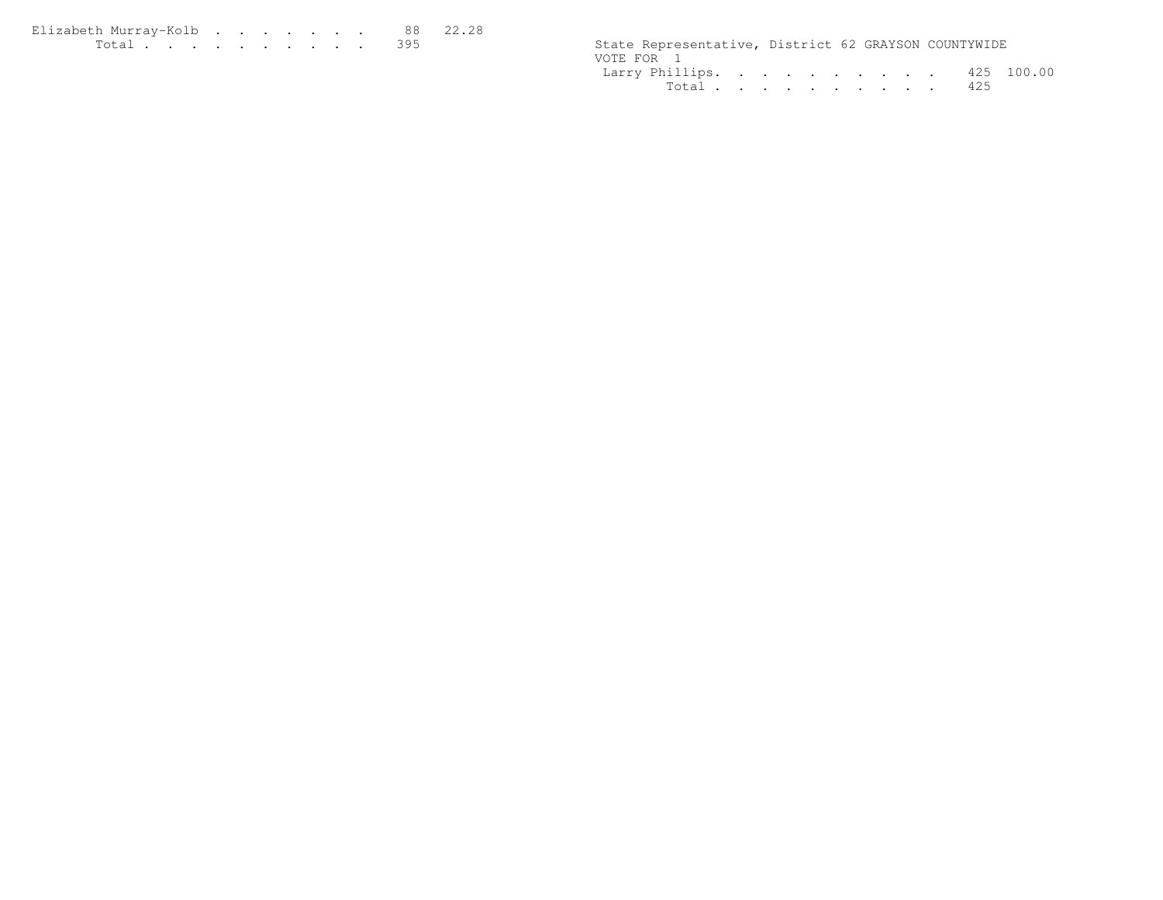| Elizabeth Murrav-Kolb 88 22.28 |  |  |  |  |  |                                                      |  |  |
|--------------------------------|--|--|--|--|--|------------------------------------------------------|--|--|
| <u>. 395</u>                   |  |  |  |  |  | State Representative, District 62 GRAYSON COUNTYWIDE |  |  |

| State Representative, District 62 GRAYSON COUNTYWIDE |  |  |  |  |           |  |
|------------------------------------------------------|--|--|--|--|-----------|--|
| VOTE FOR 1                                           |  |  |  |  |           |  |
| Larry Phillips. 425 100.00                           |  |  |  |  |           |  |
|                                                      |  |  |  |  | Total 425 |  |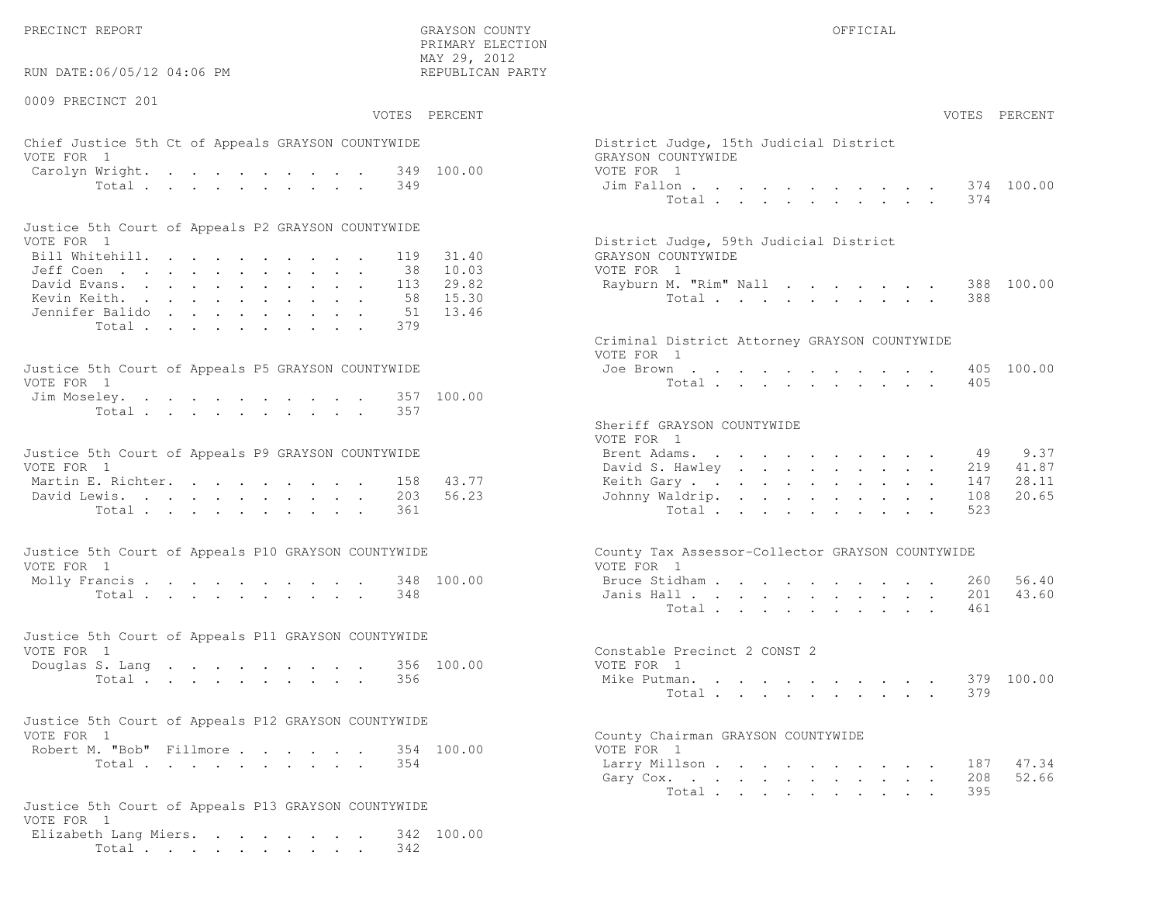PRECINCT REPORT OF THE SERVICE OF THE GRAYSON COUNTY OF THE GRAYSON COUNTY OF THE GRAYSON OF THE GRAYSON COUNTY

RUN DATE:06/05/12 04:06 PM

0009 PRECINCT 201

VOTES PERCENT VOTES PERCENT

 PRIMARY ELECTION MAY 29, 2012REPUBLICAN PARTY

# Chief Justice 5th Ct of Appeals GRAYSON COUNTYWIDE District District District District Only 15th Judge VOTE FOR 1 GRAYSON COUNTY OF REAL EXPLORER COUNTY OF REAL EXPLORER COUNTY OF REAL EXPLORER COUNTY OF REAL EXPLORER COUNTY OF REAL EXPLORER COUNTY OF REAL EXPLORER COUNTY OF REAL EXPLORER COUNTY OF REAL EXPLORER COUNTY OF R Carolyn Wright. . . . . . . . . 349 100.00 VOTE Total . . . . . . . . . 349 Jim

| Justice 5th Court of Appeals P2 GRAYSON COUNTYWIDE |  |  |  |  |  |                                        |
|----------------------------------------------------|--|--|--|--|--|----------------------------------------|
| VOTE FOR 1                                         |  |  |  |  |  | District Judge, 59th Judicial District |
| Bill Whitehill. 119 31.40                          |  |  |  |  |  | GRAYSON COUNTYWIDE                     |
| Jeff Coen 38 10.03                                 |  |  |  |  |  | VOTE FOR 1                             |
| David Evans. 113 29.82                             |  |  |  |  |  | Rayburn M. "Rim" Nall 388 100.00       |
| Kevin Keith. 58 15.30                              |  |  |  |  |  | Total 388                              |
| Jennifer Balido 51 13.46                           |  |  |  |  |  |                                        |
| Total 379                                          |  |  |  |  |  |                                        |

| Justice 5th Court of Appeals P5 GRAYSON COUNTYWIDE | Joe Brown 405 100.00 |
|----------------------------------------------------|----------------------|
| VOTE FOR 1                                         | Total 405            |
| Jim Moseley. 357 100.00                            |                      |
| Total 357                                          |                      |

| Justice 5th Court of Appeals P9 GRAYSON COUNTYWIDE |  |  |  |  |  | Brent Adams. 49 9.37      |  |  |  |  |  |  |
|----------------------------------------------------|--|--|--|--|--|---------------------------|--|--|--|--|--|--|
| VOTE FOR 1                                         |  |  |  |  |  | David S. Hawley 219 41.87 |  |  |  |  |  |  |
| Martin E. Richter. 158 43.77                       |  |  |  |  |  | Keith Gary 147 28.11      |  |  |  |  |  |  |
| David Lewis. 203 56.23                             |  |  |  |  |  | Johnny Waldrip. 108 20.65 |  |  |  |  |  |  |
| Total 361                                          |  |  |  |  |  | Total 523                 |  |  |  |  |  |  |

| Justice 5th Court of Appeals P10 GRAYSON COUNTYWIDE | County Tax Assessor-Collector GRAYSON COUNTYWIDE |
|-----------------------------------------------------|--------------------------------------------------|
| VOTE FOR 1                                          | VOTE FOR 1                                       |
| Molly Francis 348 100.00                            | Bruce Stidham 260 56.40                          |
| Total 348                                           | Janis Hall 201 43.60                             |

| Justice 5th Court of Appeals P11 GRAYSON COUNTYWIDE |  |  |  |  |           |  |                              |  |
|-----------------------------------------------------|--|--|--|--|-----------|--|------------------------------|--|
| VOTE FOR 1                                          |  |  |  |  |           |  | Constable Precinct 2 CONST 2 |  |
| Douglas S. Lang 356 100.00                          |  |  |  |  |           |  | VOTE FOR 1                   |  |
|                                                     |  |  |  |  | Total 356 |  | Mike Putman. 379 100.00      |  |

| Justice 5th Court of Appeals P12 GRAYSON COUNTYWIDE |           |  |  |  |                                    |  |
|-----------------------------------------------------|-----------|--|--|--|------------------------------------|--|
| VOTE FOR 1                                          |           |  |  |  | County Chairman GRAYSON COUNTYWIDE |  |
| Robert M. "Bob" Fillmore 354 100.00                 |           |  |  |  | VOTE FOR 1                         |  |
|                                                     | Total 354 |  |  |  | Larry Millson                      |  |

```
Justice 5th Court of Appeals P13 GRAYSON COUNTYWIDEVOTE FOR 1
 Elizabeth Lang Miers. . . . . . . . 342 100.00Total . . . . . . . . . . 342
```

| AY 29, 2012<br>EPUBLICAN PARTY            |                                                                                                                                                                                                                                                                                                                        |
|-------------------------------------------|------------------------------------------------------------------------------------------------------------------------------------------------------------------------------------------------------------------------------------------------------------------------------------------------------------------------|
| PERCENT                                   | VOTES PERCENT                                                                                                                                                                                                                                                                                                          |
| 100.00                                    | District Judge, 15th Judicial District<br>GRAYSON COUNTYWIDE<br>VOTE FOR 1<br>100.00<br>Jim Fallon<br>374<br>Total<br>374                                                                                                                                                                                              |
| 31.40<br>10.03<br>29.82<br>15.30<br>13.46 | District Judge, 59th Judicial District<br>GRAYSON COUNTYWIDE<br>VOTE FOR 1<br>Rayburn M. "Rim" Nall<br>100.00<br>388<br>Total<br>388                                                                                                                                                                                   |
| 100.00                                    | Criminal District Attorney GRAYSON COUNTYWIDE<br>VOTE FOR 1<br>Joe Brown.<br>405<br>100.00<br>$\bullet$ .<br><br><br><br><br><br><br><br><br><br><br><br><br>$\bullet$ .<br><br><br><br><br><br><br><br><br><br><br><br><br>Total 405                                                                                  |
| 43.77<br>56.23                            | Sheriff GRAYSON COUNTYWIDE<br>VOTE FOR 1<br>9.37<br>Brent Adams.<br>49<br>designed to the control of the state of the<br>41.87<br>David S. Hawley<br>219<br>147<br>28.11<br>Keith Gary.<br>20.65<br>Johnny Waldrip.<br>108<br>$\ddot{\phantom{0}}$<br>Total<br>523<br><b>Contract Contract</b><br>$\ddot{\phantom{0}}$ |
| 100.00                                    | County Tax Assessor-Collector GRAYSON COUNTYWIDE<br>VOTE FOR 1<br>Bruce Stidham<br>260<br>56.40<br>43.60<br>Janis Hall<br>201<br>461<br>Total<br>design and a state of the state of<br>$\sim$                                                                                                                          |
| 100.00                                    | Constable Precinct 2 CONST 2<br>VOTE FOR 1<br>Mike Putman. .<br>379<br>100.00<br>$\sim$<br>379<br>Total $\cdots$                                                                                                                                                                                                       |
| 100.00                                    | County Chairman GRAYSON COUNTYWIDE<br>VOTE FOR 1<br>Larry Millson<br>187 47.34<br>52.66<br>Gary Cox.<br>208<br>395<br>Total                                                                                                                                                                                            |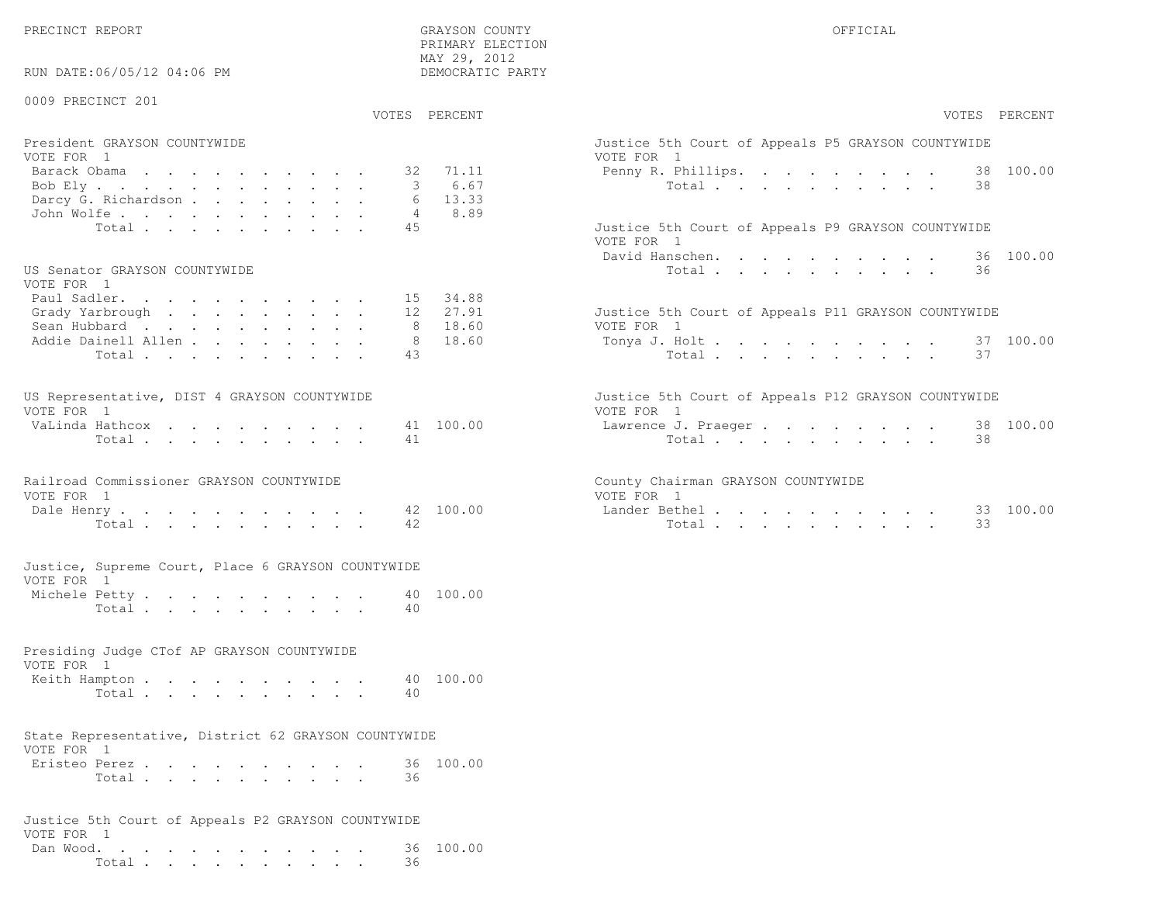RUN DATE:06/05/12 04:06 PM

## 0009 PRECINCT 201

VOTES PERCENT VOTES PERCENT

 PRIMARY ELECTION MAY 29, 2012DEMOCRATIC PARTY

| President GRAYSON COUNTYWIDE<br>VOTE FOR 1 | Justice 5th Court of Appeals P5 GRAYSON COUNTYWIDE<br>VOTE FOR 1 |
|--------------------------------------------|------------------------------------------------------------------|
|                                            |                                                                  |
| Barack Obama 32 71.11                      | Penny R. Phillips. 38 100.00                                     |
| Bob Ely 3 6.67                             | Total 38                                                         |
| Darcy G. Richardson 6 13.33                |                                                                  |
| John Wolfe. 4 8.89                         |                                                                  |
| Total 45                                   | Justice 5th Court of Appeals P9 GRAYSON COUNTYWIDE               |

#### US Senator GRAYSON COUNTYWIDE  $U(0)$

| VOTE FOR I                  |  |  |  |  |                                                     |
|-----------------------------|--|--|--|--|-----------------------------------------------------|
| Paul Sadler. 15 34.88       |  |  |  |  |                                                     |
| Grady Yarbrough 12 27.91    |  |  |  |  | Justice 5th Court of Appeals P11 GRAYSON COUNTYWIDE |
| Sean Hubbard 8 18.60        |  |  |  |  | VOTE FOR 1                                          |
| Addie Dainell Allen 8 18.60 |  |  |  |  | Tonya J. Holt 37 100.00                             |
| Total 43                    |  |  |  |  | Total 37                                            |
|                             |  |  |  |  |                                                     |

| US Representative, DIST 4 GRAYSON COUNTYWIDE |  |  |  |  |  | Justice 5th Court of Appeals P12 GRAYSON COUNTYWIDE |  |
|----------------------------------------------|--|--|--|--|--|-----------------------------------------------------|--|
| VOTE FOR 1                                   |  |  |  |  |  | VOTE FOR 1                                          |  |
| VaLinda Hathcox 41 100.00                    |  |  |  |  |  | Lawrence J. Praeger 38 100.00                       |  |
| Total 41                                     |  |  |  |  |  | Total 38                                            |  |

| Railroad Commissioner GRAYSON COUNTYWIDE |          |  |  |  |  |  | County Chairman GRAYSON COUNTYWIDE |  |
|------------------------------------------|----------|--|--|--|--|--|------------------------------------|--|
| VOTE FOR 1                               |          |  |  |  |  |  | VOTE FOR 1                         |  |
| Dale Henry 42 100.00                     |          |  |  |  |  |  | Lander Bethel                      |  |
|                                          | Total 42 |  |  |  |  |  | Total                              |  |

#### Justice, Supreme Court, Place 6 GRAYSON COUNTYWIDEVOTE FOR 1

| Michele Petty |                |  |  |  |  |  |      | 40 100.00 |
|---------------|----------------|--|--|--|--|--|------|-----------|
|               | Total $\cdots$ |  |  |  |  |  | - 40 |           |

#### Presiding Judge CTof AP GRAYSON COUNTYWIDEVOTE FOR 1

| VUIL PUK I    |       |  |  |  |  |  |           |
|---------------|-------|--|--|--|--|--|-----------|
| Keith Hampton |       |  |  |  |  |  | 40 100.00 |
|               | Total |  |  |  |  |  |           |

#### State Representative, District 62 GRAYSON COUNTYWIDEVOTE FOR 1

| VUILLEUI I    |       |  |  |  |  |  |           |
|---------------|-------|--|--|--|--|--|-----------|
| Eristeo Perez |       |  |  |  |  |  | 36 100.00 |
|               | Total |  |  |  |  |  |           |

|            |  |  |  |  |  |  | Justice 5th Court of Appeals P2 GRAYSON COUNTYWIDE |                     |
|------------|--|--|--|--|--|--|----------------------------------------------------|---------------------|
| VOTE FOR 1 |  |  |  |  |  |  |                                                    |                     |
|            |  |  |  |  |  |  |                                                    | Dan Wood. 36 100.00 |
|            |  |  |  |  |  |  | - 36                                               |                     |

| VOTES PERCENT                                              |           | VOTES PERCENT                                                     |
|------------------------------------------------------------|-----------|-------------------------------------------------------------------|
| President GRAYSON COUNTYWIDE<br>VOTE FOR 1                 |           | Justice 5th Court of Appeals P5 GRAYSON COUNTYWIDE<br>VOTE FOR 1  |
| Barack Obama<br>32                                         | 71.11     | 38 100.00<br>Penny R. Phillips.                                   |
| Bob Ely                                                    | 6.67      | Total<br>38                                                       |
| Darcy G. Richardson<br>6                                   | 13.33     |                                                                   |
| John Wolfe.<br>$\overline{4}$                              | 8.89      |                                                                   |
| 45<br>Total                                                |           | Justice 5th Court of Appeals P9 GRAYSON COUNTYWIDE<br>VOTE FOR 1  |
|                                                            |           | David Hanschen.<br>36 100.00                                      |
| US Senator GRAYSON COUNTYWIDE<br>VOTE FOR 1                |           | 36<br>Total                                                       |
| Paul Sadler.                                               | 15 34.88  |                                                                   |
| Grady Yarbrough<br>12                                      | 27.91     | Justice 5th Court of Appeals P11 GRAYSON COUNTYWIDE               |
| Sean Hubbard<br>-8                                         | 18.60     | VOTE FOR 1                                                        |
| Addie Dainell Allen<br>8                                   | 18.60     | 37 100.00<br>Tonya J. Holt                                        |
| 43<br>Total                                                |           | 37<br>Total                                                       |
| US Representative, DIST 4 GRAYSON COUNTYWIDE<br>VOTE FOR 1 |           | Justice 5th Court of Appeals P12 GRAYSON COUNTYWIDE<br>VOTE FOR 1 |
| VaLinda Hathcox                                            | 41 100.00 | 38 100.00<br>Lawrence J. Praeger                                  |
| Total<br>41                                                |           | 38<br>Total                                                       |
| Railroad Commissioner GRAYSON COUNTYWIDE                   |           | County Chairman GRAYSON COUNTYWIDE                                |
| VOTE FOR 1                                                 |           | VOTE FOR 1                                                        |
| Dale Henry                                                 | 42 100.00 | 33 100.00<br>Lander Bethel<br>33                                  |
| 42<br>Total                                                |           | Total                                                             |
| Justice, Supreme Court, Place 6 GRAYSON COUNTYWIDE         |           |                                                                   |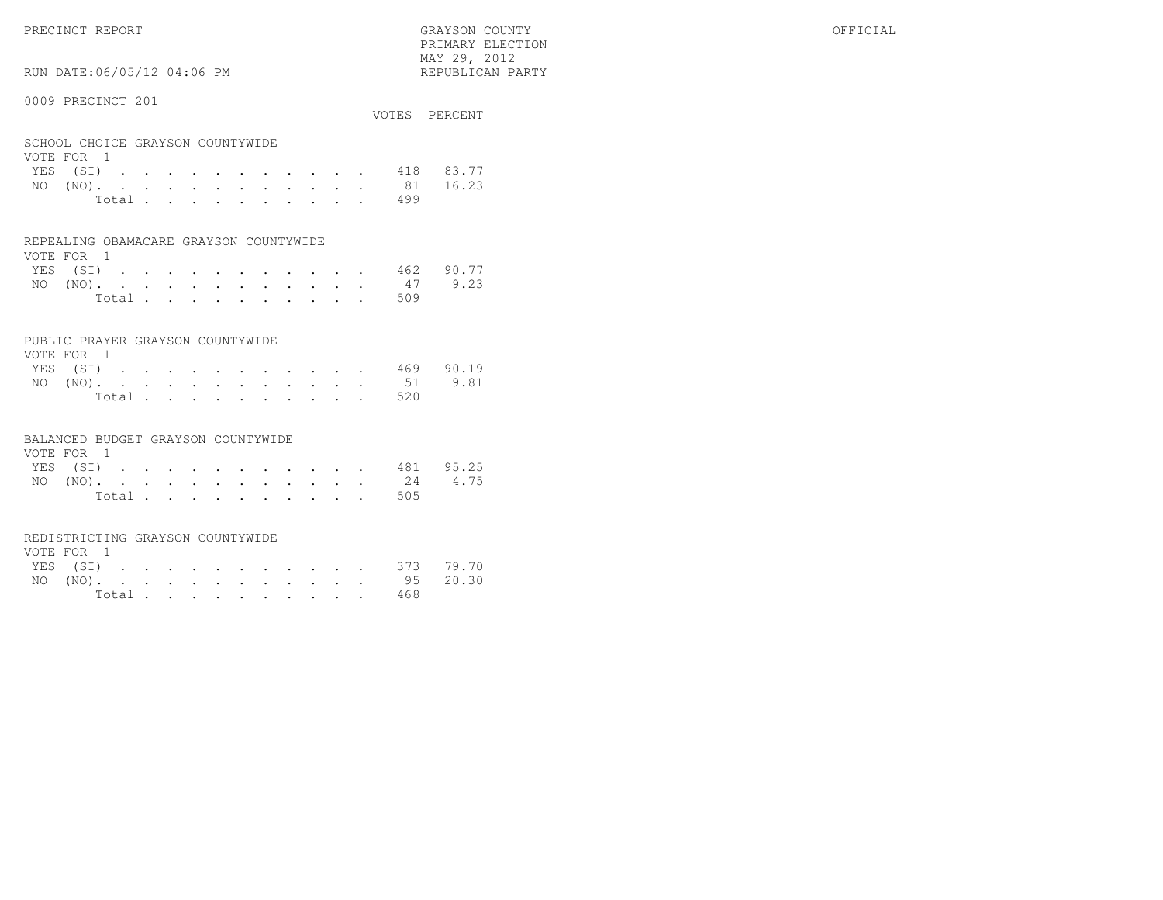RUN DATE:06/05/12 04:06 PM

### 0009 PRECINCT 201

|                                  |  |  |  |  |  |  | VOTES PERCENT      |
|----------------------------------|--|--|--|--|--|--|--------------------|
|                                  |  |  |  |  |  |  |                    |
| SCHOOL CHOICE GRAYSON COUNTYWIDE |  |  |  |  |  |  |                    |
| VOTE FOR 1                       |  |  |  |  |  |  |                    |
|                                  |  |  |  |  |  |  | YES (SI) 418 83.77 |
| NO (NO).                         |  |  |  |  |  |  | 81 16.23           |

 PRIMARY ELECTION MAY 29, 2012REPUBLICAN PARTY

|  |  |  |  |  |  | NO (NO). 81 16.23 |  |
|--|--|--|--|--|--|-------------------|--|
|  |  |  |  |  |  | Total 499         |  |

#### REPEALING OBAMACARE GRAYSON COUNTYWIDE

| VOTE FOR 1 |  |  |  |  |  |                |                    |  |
|------------|--|--|--|--|--|----------------|--------------------|--|
|            |  |  |  |  |  |                | YES (SI) 462 90.77 |  |
|            |  |  |  |  |  |                | NO (NO). 47 9.23   |  |
|            |  |  |  |  |  | Total $\cdots$ | 509                |  |

### PUBLIC PRAYER GRAYSON COUNTYWIDE

| VOTE FOR 1 |  |  |  |  |  |  |           |                    |
|------------|--|--|--|--|--|--|-----------|--------------------|
|            |  |  |  |  |  |  |           | YES (SI) 469 90.19 |
|            |  |  |  |  |  |  |           | NO (NO). 51 9.81   |
|            |  |  |  |  |  |  | Total 520 |                    |

#### BALANCED BUDGET GRAYSON COUNTYWIDE

| VOTE FOR 1 |          |  |  |  |  |  |  |                  |           |
|------------|----------|--|--|--|--|--|--|------------------|-----------|
|            | YES (SI) |  |  |  |  |  |  |                  | 481 95.25 |
|            |          |  |  |  |  |  |  | NO (NO). 24 4.75 |           |
|            |          |  |  |  |  |  |  | Total 505        |           |

#### REDISTRICTING GRAYSON COUNTYWIDE

| VOTE FOR 1 |  |  |  |  |  |                    |  |
|------------|--|--|--|--|--|--------------------|--|
|            |  |  |  |  |  | YES (SI) 373 79.70 |  |
|            |  |  |  |  |  | NO (NO). 95 20.30  |  |
|            |  |  |  |  |  | Total 468          |  |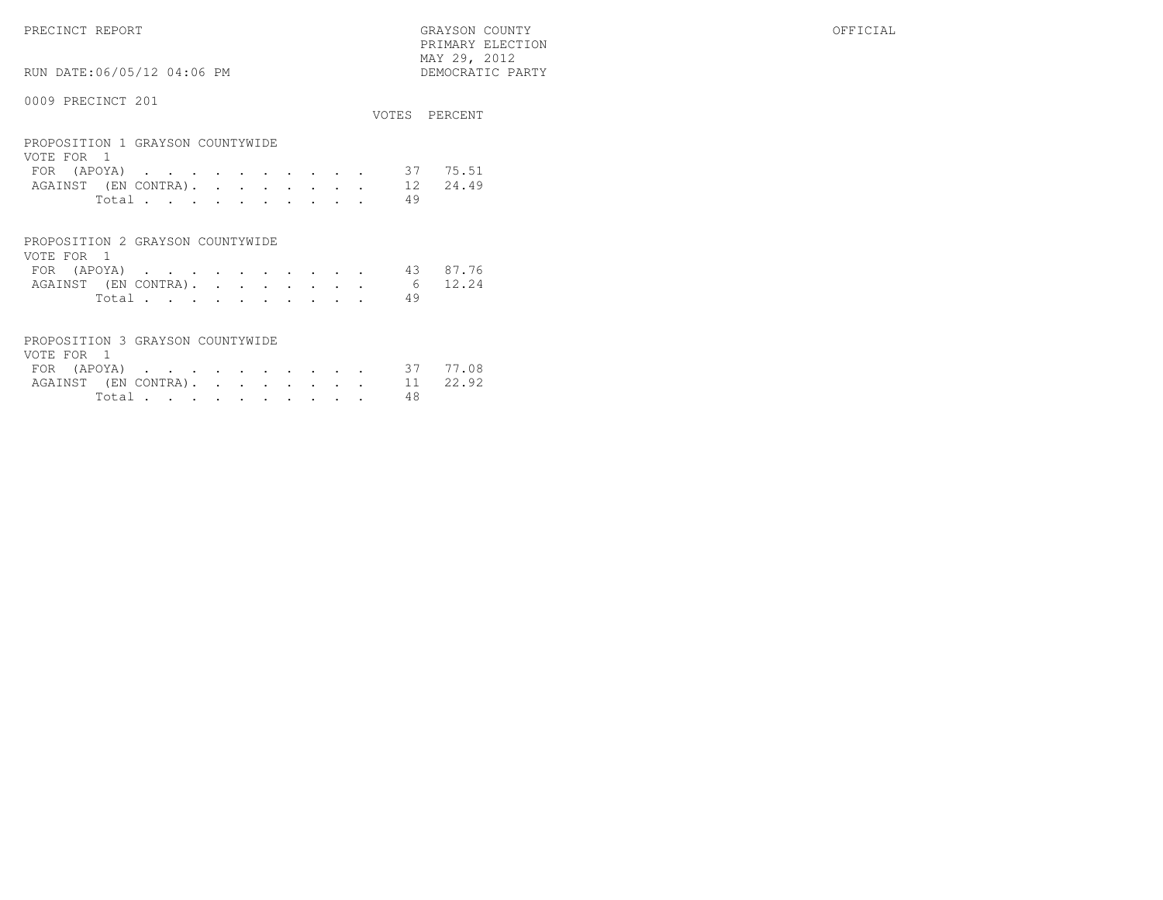VOTE FOR 1

RUN DATE:06/05/12 04:06 PM

 PRIMARY ELECTION MAY 29, 2012DEMOCRATIC PARTY

# 0009 PRECINCT 201

PROPOSITION 3 GRAYSON COUNTYWIDE

|                                                                |                |  |   |   |           |     | VOTES PERCENT |
|----------------------------------------------------------------|----------------|--|---|---|-----------|-----|---------------|
| PROPOSITION 1 GRAYSON COUNTYWIDE<br>VOTE FOR 1                 |                |  |   |   |           |     |               |
| $(APOYA)$<br>FOR                                               |                |  |   |   |           | 37. | 75.51         |
| AGAINST (EN CONTRA).                                           |                |  |   |   |           |     | 12 24.49      |
|                                                                | Total $\cdots$ |  |   |   |           | 49  |               |
| PROPOSITION 2 GRAYSON COUNTYWIDE<br>VOTE FOR<br>$\overline{1}$ |                |  |   |   |           |     |               |
| FOR (APOYA)                                                    |                |  | ٠ | ٠ | $\bullet$ | 43  | 87.76         |

AGAINST (EN CONTRA). . . . . . . . 6 12.24 Total . . . . . . . . . . 49

 FOR (APOYA) . . . . . . . . . . 37 77.08AGAINST (EN CONTRA). . . . . . . . 11 22.92 Total . . . . . . . . . . 48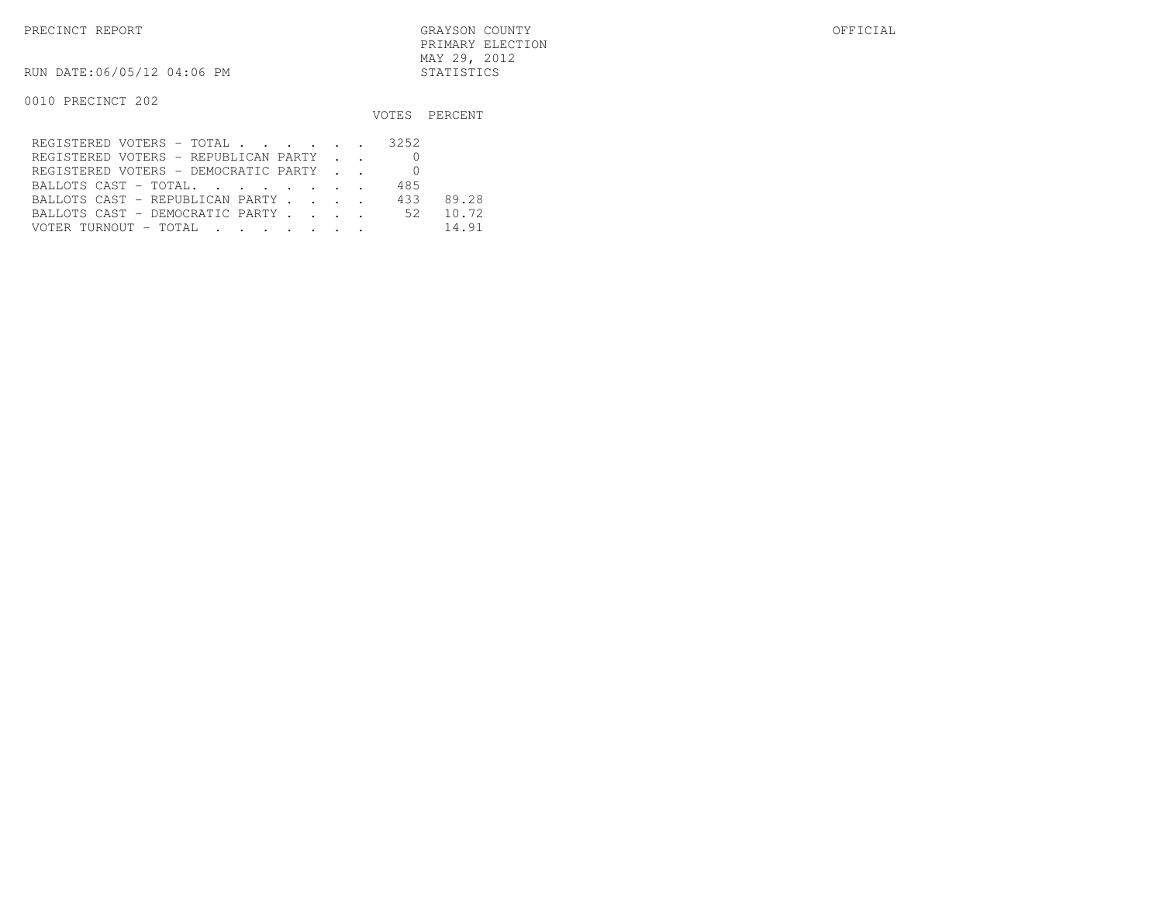PRECINCT REPORT GRAYSON COUNTY OFFICIAL PRIMARY ELECTIONMAY 29, 2012

RUN DATE:06/05/12 04:06 PM STATISTICS

|                                      |     | VOTES PERCENT |
|--------------------------------------|-----|---------------|
| REGISTERED VOTERS - TOTAL 3252       |     |               |
| REGISTERED VOTERS - REPUBLICAN PARTY |     |               |
| REGISTERED VOTERS - DEMOCRATIC PARTY |     |               |
| BALLOTS CAST - TOTAL.                | 485 |               |
| BALLOTS CAST - REPUBLICAN PARTY      | 433 | 89.28         |
| BALLOTS CAST - DEMOCRATIC PARTY 52   |     | 10.72         |
| VOTER TURNOUT - TOTAL                |     | 14.91         |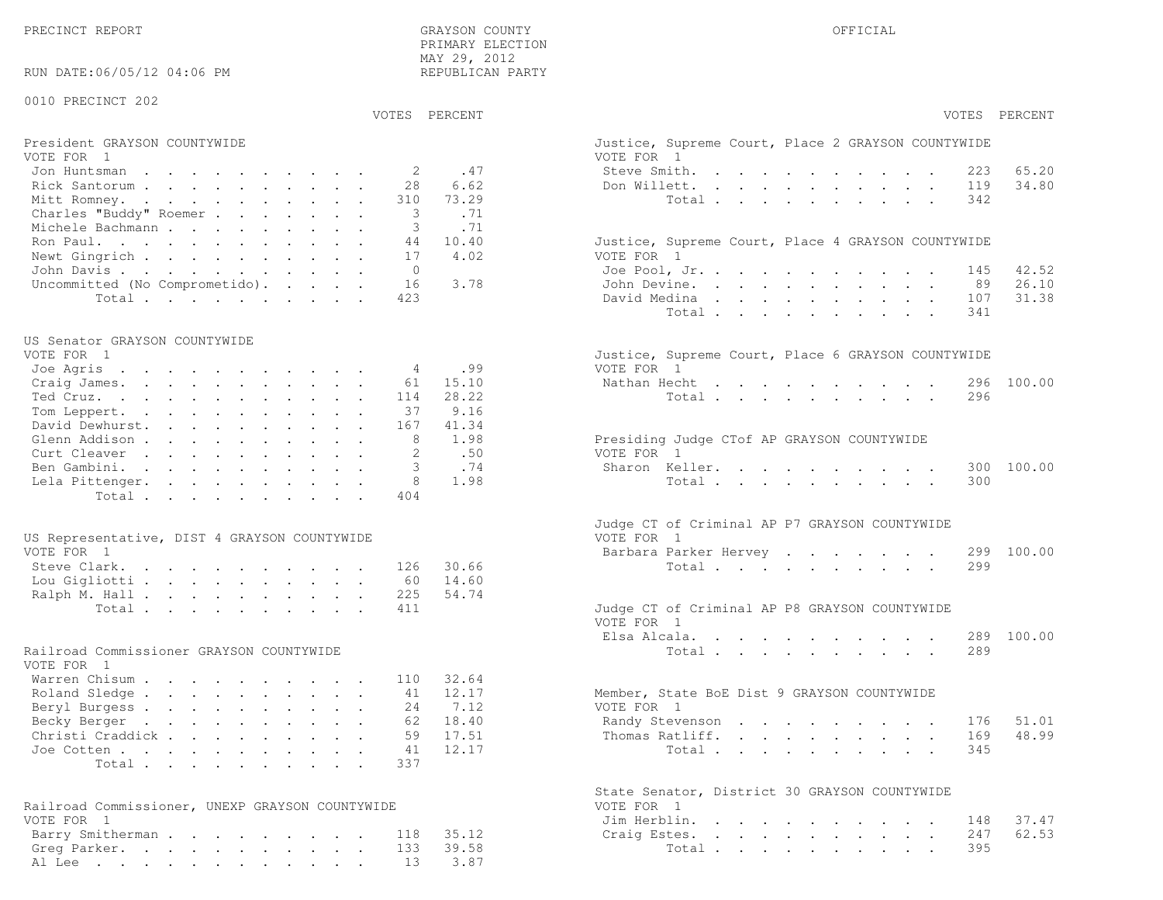|                                                 | PRIMARY ELECTION<br>MAY 29, 2012 |                                                             |
|-------------------------------------------------|----------------------------------|-------------------------------------------------------------|
| RUN DATE:06/05/12 04:06 PM                      | REPUBLICAN PARTY                 |                                                             |
| 0010 PRECINCT 202                               |                                  |                                                             |
|                                                 | VOTES PERCENT                    | VOTES PERCENT                                               |
| President GRAYSON COUNTYWIDE                    |                                  | Justice, Supreme Court, Place 2 GRAYSON COUNTYWIDE          |
| VOTE FOR 1<br>Jon Huntsman                      | .47<br>2                         | VOTE FOR 1<br>Steve Smith.<br>65.20<br>223                  |
| Rick Santorum                                   | 28<br>6.62                       | 34.80<br>Don Willett.<br>119                                |
| Mitt Romney.                                    | 310<br>73.29                     | 342<br>Total $\cdots$                                       |
| Charles "Buddy" Roemer                          | 3<br>.71                         |                                                             |
| Michele Bachmann                                | .71<br>3                         |                                                             |
| Ron Paul.                                       | 10.40<br>44                      | Justice, Supreme Court, Place 4 GRAYSON COUNTYWIDE          |
| Newt Gingrich                                   | 4.02<br>17                       | VOTE FOR 1                                                  |
| John Davis.                                     | $\overline{0}$                   | 42.52<br>Joe Pool, Jr.<br>145                               |
| Uncommitted (No Comprometido).                  | 16<br>3.78                       | 26.10<br>John Devine.<br>89                                 |
| Total                                           | 423                              | 31.38<br>David Medina<br>107                                |
|                                                 |                                  | 341<br>Total                                                |
| US Senator GRAYSON COUNTYWIDE                   |                                  |                                                             |
| VOTE FOR 1                                      |                                  | Justice, Supreme Court, Place 6 GRAYSON COUNTYWIDE          |
| Joe Agris                                       | .99<br>4                         | VOTE FOR 1                                                  |
| Craig James.                                    | 15.10<br>61                      | 100.00<br>Nathan Hecht<br>296                               |
| Ted Cruz.                                       | 28.22<br>114                     | 296<br>Total $\cdots$                                       |
| Tom Leppert.                                    | 9.16<br>37                       |                                                             |
| David Dewhurst.                                 | 41.34<br>167                     |                                                             |
| Glenn Addison                                   | 8<br>1.98                        | Presiding Judge CTof AP GRAYSON COUNTYWIDE                  |
| Curt Cleaver                                    | $\mathfrak{D}$<br>.50            | VOTE FOR 1                                                  |
| Ben Gambini.                                    | 3<br>.74                         | 100.00<br>Sharon Keller.<br>300                             |
| Lela Pittenger.                                 | 8<br>1.98                        | 300<br>Total                                                |
| Total.                                          | 404                              |                                                             |
|                                                 |                                  |                                                             |
|                                                 |                                  | Judge CT of Criminal AP P7 GRAYSON COUNTYWIDE               |
| US Representative, DIST 4 GRAYSON COUNTYWIDE    |                                  | VOTE FOR 1                                                  |
| VOTE FOR 1                                      |                                  | 100.00<br>Barbara Parker Hervey<br>299                      |
| Steve Clark.                                    | 30.66<br>126                     | Total<br>299                                                |
| Lou Gigliotti                                   | 14.60<br>60                      |                                                             |
| Ralph M. Hall                                   | 225<br>54.74                     |                                                             |
| Total                                           | 411                              | Judge CT of Criminal AP P8 GRAYSON COUNTYWIDE<br>VOTE FOR 1 |
|                                                 |                                  | 100.00<br>Elsa Alcala.<br>289                               |
| Railroad Commissioner GRAYSON COUNTYWIDE        |                                  | 289<br>Total $\cdots$                                       |
| VOTE FOR 1                                      |                                  |                                                             |
| Warren Chisum                                   | 32.64<br>110                     |                                                             |
| Roland Sledge                                   | 12.17<br>41                      | Member, State BoE Dist 9 GRAYSON COUNTYWIDE                 |
| Beryl Burgess                                   | 7.12<br>24                       | VOTE FOR 1                                                  |
| Becky Berger                                    | 18.40<br>62                      | 51.01<br>Randy Stevenson<br>176                             |
| Christi Craddick                                | 59<br>17.51                      | 48.99<br>Thomas Ratliff.<br>169                             |
| Joe Cotten                                      | 12.17<br>41                      | Total<br>345                                                |
| Total                                           | 337                              |                                                             |
|                                                 |                                  |                                                             |
|                                                 |                                  | State Senator, District 30 GRAYSON COUNTYWIDE               |
| Railroad Commissioner, UNEXP GRAYSON COUNTYWIDE |                                  | VOTE FOR 1                                                  |
| VOTE FOR 1                                      |                                  | Jim Herblin.<br>37.47<br>148                                |
| Barry Smitherman                                | 35.12<br>118                     | 247<br>62.53<br>Craig Estes.                                |
| Greg Parker.                                    | 39.58<br>133                     | 395<br>Total                                                |
| Al Lee                                          | 13<br>3.87                       |                                                             |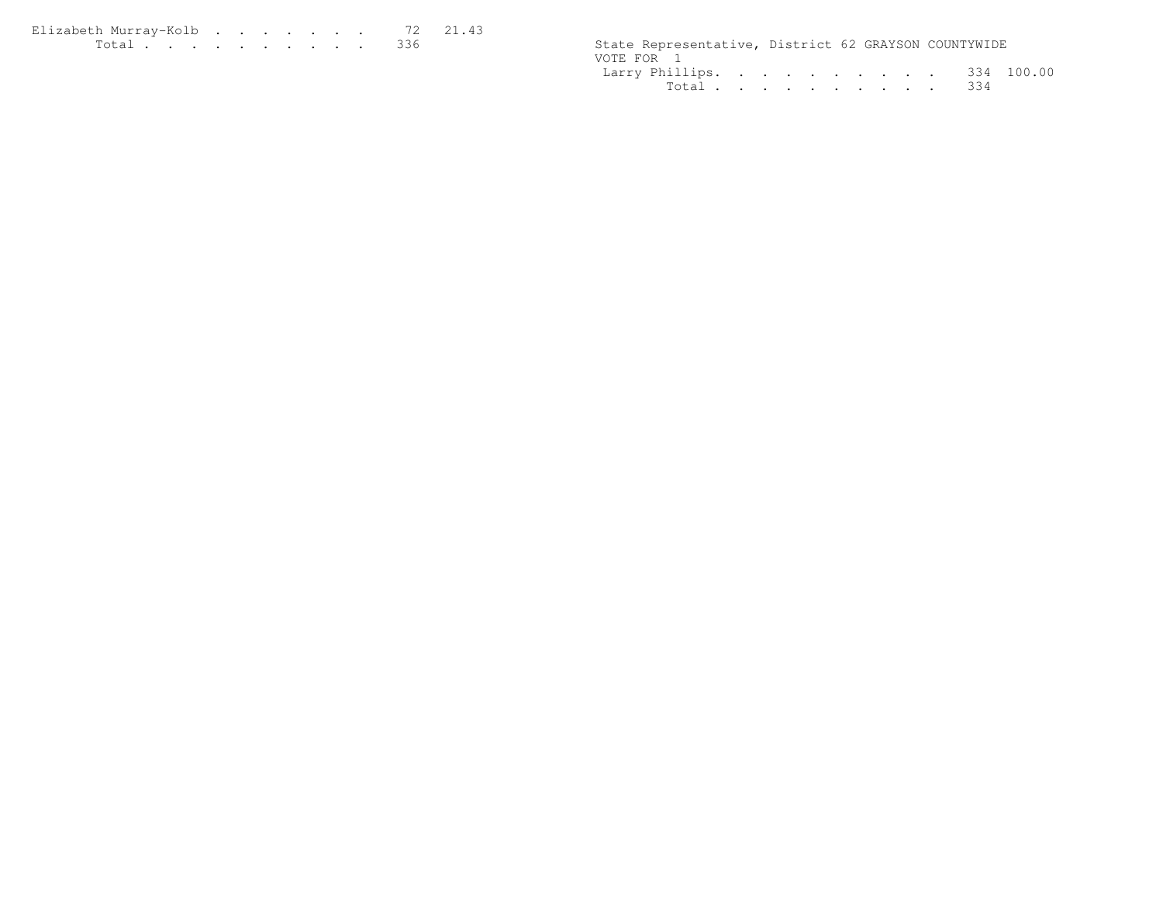| Elizabeth Murrav-Kolb 72 21.43                                                                                   |  |  |  |  |  |                                                      |  |  |
|------------------------------------------------------------------------------------------------------------------|--|--|--|--|--|------------------------------------------------------|--|--|
| in the common contract of the common contract of the common contract of the common contract of the common common |  |  |  |  |  | State Representative, District 62 GRAYSON COUNTYWIDE |  |  |

| State Representative, District 62 GRAYSON COUNTYWIDE |  |  |  |  |  |
|------------------------------------------------------|--|--|--|--|--|
| VOTE FOR 1                                           |  |  |  |  |  |
| Larry Phillips. 334 100.00                           |  |  |  |  |  |
| Total 334                                            |  |  |  |  |  |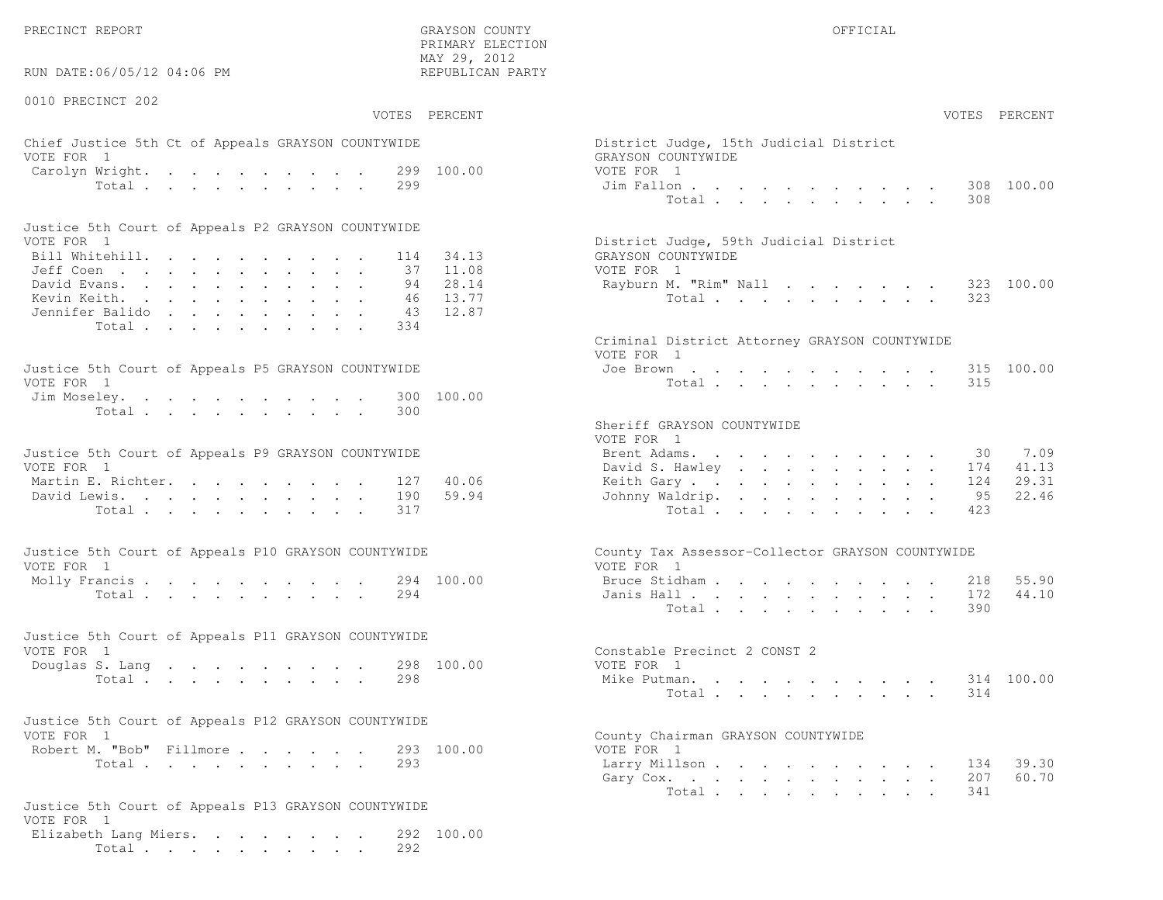RUN DATE:06/05/12 04:06 PM

0010 PRECINCT 202

 PRIMARY ELECTION MAY 29, 2012REPUBLICAN PARTY

# Chief Justice 5th Ct of Appeals GRAYSON COUNTYWIDE District District District District District District District District District District District District District District District District District District District VOTE FOR 1 GRAYSON COUNTY OF SALES AND THE SERIES OF SALES AND GRAYSON COUNTY OF SALES AND GRAYSON COUNTY OF SALES AND GRAYSON CONTROL OF SALES AND GRAYSON CONTROL OF SALES AND GRAYSON CONTROL OF SALES AND GRAYSON CONTROL Carolyn Wright. . . . . . . . 299 100.00 VOT

| Justice 5th Court of Appeals P2 GRAYSON COUNTYWIDE |  |  |  |  |  |                                        |
|----------------------------------------------------|--|--|--|--|--|----------------------------------------|
| VOTE FOR 1                                         |  |  |  |  |  | District Judge, 59th Judicial District |
| Bill Whitehill. 114 34.13                          |  |  |  |  |  | GRAYSON COUNTYWIDE                     |
| Jeff Coen 37 11.08                                 |  |  |  |  |  | VOTE FOR 1                             |
| David Evans. 94 28.14                              |  |  |  |  |  | Rayburn M. "Rim" Nall 323 100.00       |
| Kevin Keith. 46 13.77                              |  |  |  |  |  | Total 323                              |
| Jennifer Balido 43 12.87                           |  |  |  |  |  |                                        |
| Total 334                                          |  |  |  |  |  |                                        |

| Justice 5th Court of Appeals P5 GRAYSON COUNTYWIDE | Joe Brown 315 100.00 |
|----------------------------------------------------|----------------------|
| VOTE FOR 1                                         | Total 315            |
| Jim Moseley. 300 100.00                            |                      |
| Total 300                                          |                      |

| Justice 5th Court of Appeals P9 GRAYSON COUNTYWIDE | Brent Adams. 30 7.09      |  |
|----------------------------------------------------|---------------------------|--|
| VOTE FOR 1                                         | David S. Hawley 174 41.13 |  |
| Martin E. Richter. 127 40.06                       | Keith Gary 124 29.31      |  |
| David Lewis. 190 59.94                             | Johnny Waldrip. 95 22.46  |  |
| Total 317                                          | Total 423                 |  |

| Justice 5th Court of Appeals P10 GRAYSON COUNTYWIDE | County Tax Assessor-Collector GRAYSON COUNTYWIDE |
|-----------------------------------------------------|--------------------------------------------------|
| VOTE FOR 1                                          | VOTE FOR 1                                       |
| Molly Francis 294 100.00                            | Bruce Stidham 218 55.90                          |
| Total 294                                           | Janis Hall 172 44.10                             |

|            |  |  |  |  | Justice 5th Court of Appeals P11 GRAYSON COUNTYWIDE |                              |  |
|------------|--|--|--|--|-----------------------------------------------------|------------------------------|--|
| VOTE FOR 1 |  |  |  |  |                                                     | Constable Precinct 2 CONST 2 |  |
|            |  |  |  |  | Douglas S. Lang 298 100.00                          | VOTE FOR 1                   |  |
|            |  |  |  |  | Total 298                                           | Mike Putman. 314 100.00      |  |

| Justice 5th Court of Appeals P12 GRAYSON COUNTYWIDE |                                    |
|-----------------------------------------------------|------------------------------------|
| VOTE FOR 1                                          | County Chairman GRAYSON COUNTYWIDE |
| Robert M. "Bob" Fillmore<br>293 100.00              | VOTE FOR 1                         |
|                                                     |                                    |

```
Justice 5th Court of Appeals P13 GRAYSON COUNTYWIDEVOTE FOR 1
Elizabeth Lang Miers. . . . . . . . 292 100.00Total . . . . . . . . . . 292
```

|                | :06/05/12 04:06 PM                                                                                                 | MAY 29, ZUIZ<br>REPUBLICAN PARTY                                         |                                                                                                                                   |
|----------------|--------------------------------------------------------------------------------------------------------------------|--------------------------------------------------------------------------|-----------------------------------------------------------------------------------------------------------------------------------|
| CINCT 202      |                                                                                                                    | VOTES PERCENT                                                            | VOTES PERCENT                                                                                                                     |
| $\overline{1}$ | stice 5th Ct of Appeals GRAYSON COUNTYWIDE                                                                         |                                                                          | District Judge, 15th Judicial District<br>GRAYSON COUNTYWIDE                                                                      |
|                | Wright.<br>Total                                                                                                   | 299 100.00<br>299                                                        | VOTE FOR 1<br>308 100.00<br>Jim Fallon<br>Total<br>308                                                                            |
|                | ith Court of Appeals P2 GRAYSON COUNTYWIDE                                                                         |                                                                          |                                                                                                                                   |
| $\mathbf{1}$   | tehill.<br>$\mathbb{R}^n$<br>rans.<br>eith.<br>. Balido                                                            | 34.13<br>114<br>11.08<br>37<br>28.14<br>94<br>13.77<br>46<br>12.87<br>43 | District Judge, 59th Judicial District<br>GRAYSON COUNTYWIDE<br>VOTE FOR 1<br>Rayburn M. "Rim" Nall<br>323 100.00<br>Total<br>323 |
|                | Total                                                                                                              | 334                                                                      | Criminal District Attorney GRAYSON COUNTYWIDE<br>VOTE FOR 1                                                                       |
| $\overline{1}$ | ith Court of Appeals P5 GRAYSON COUNTYWIDE<br>eley.                                                                | 100.00<br>300<br>300                                                     | 315 100.00<br>Joe Brown<br>Total<br>315                                                                                           |
|                | Total<br>ith Court of Appeals P9 GRAYSON COUNTYWIDE                                                                |                                                                          | Sheriff GRAYSON COUNTYWIDE<br>VOTE FOR 1<br>Brent Adams.<br>7.09<br>30                                                            |
| $\overline{1}$ | . Richter.                                                                                                         | 40.06<br>127                                                             | 41.13<br>David S. Hawley<br>174<br>29.31<br>Keith Gary<br>124                                                                     |
|                | ewis.<br>Total                                                                                                     | 190<br>59.94<br>317                                                      | 22.46<br>Johnny Waldrip.<br>95<br>Total<br>423                                                                                    |
| $\overline{1}$ | ith Court of Appeals P10 GRAYSON COUNTYWIDE                                                                        |                                                                          | County Tax Assessor-Collector GRAYSON COUNTYWIDE<br>VOTE FOR 1                                                                    |
|                | $\text{rancis}$<br>Total                                                                                           | 294 100.00<br>294                                                        | 55.90<br>Bruce Stidham<br>218<br>44.10<br>Janis Hall<br>172<br>Total<br>390                                                       |
| $\mathbf{1}$   | ith Court of Appeals P11 GRAYSON COUNTYWIDE                                                                        |                                                                          | Constable Precinct 2 CONST 2                                                                                                      |
|                | S. Lang<br>Total                                                                                                   | 298 100.00<br>298                                                        | VOTE FOR 1<br>Mike Putman.<br>314 100.00<br>Total<br>314                                                                          |
| $\mathbf{1}$   | ith Court of Appeals P12 GRAYSON COUNTYWIDE                                                                        |                                                                          | County Chairman GRAYSON COUNTYWIDE                                                                                                |
|                | 1. "Bob" Fillmore.<br>Total<br>كالمستحدث والمتعادل والمتحدث والمتحال والمنافر المناقص والمنافر والمنافرة والمنافرة | 293 100.00<br>293                                                        | VOTE FOR 1<br>39.30<br>Larry Millson<br>134<br>60.70<br>207<br>Gary Cox.<br>Total<br>341                                          |
|                |                                                                                                                    |                                                                          |                                                                                                                                   |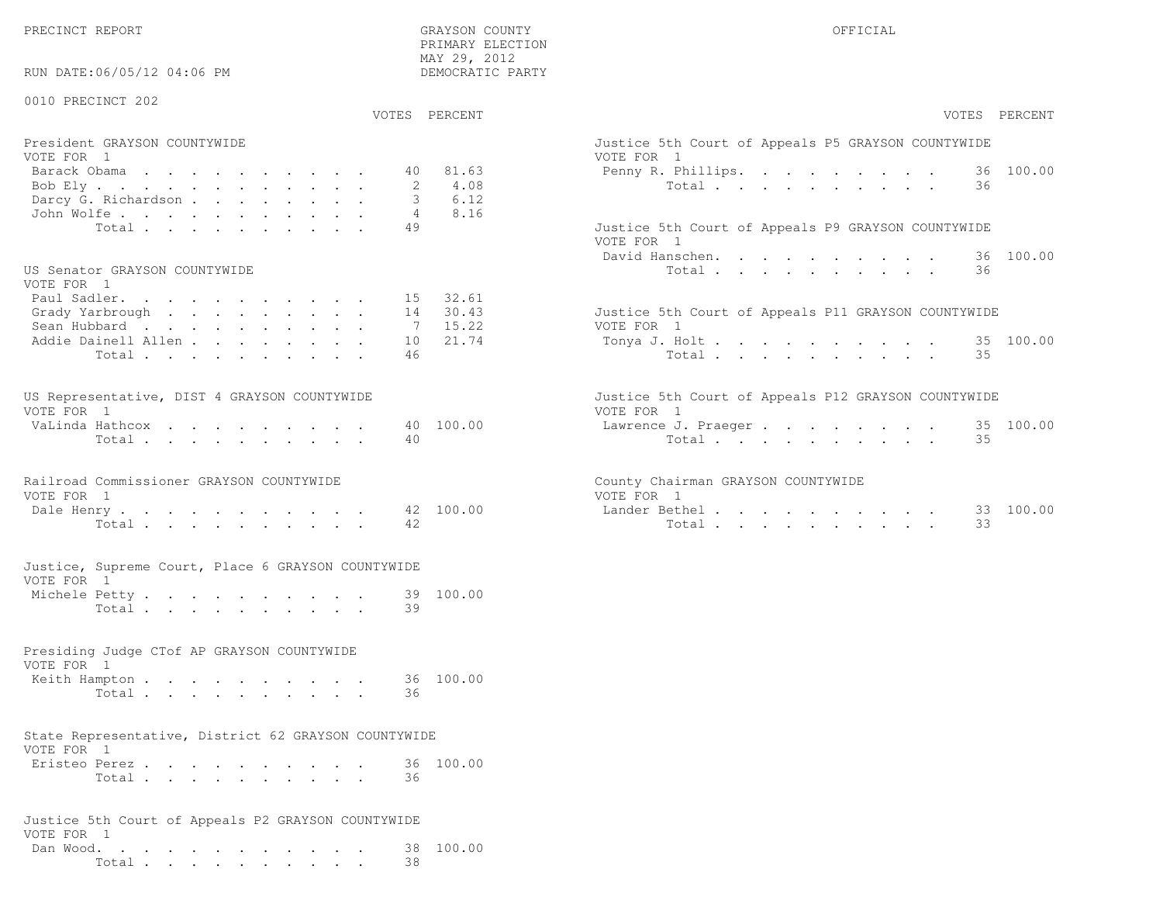RUN DATE:06/05/12 04:06 PM

## 0010 PRECINCT 202

VOTES PERCENT VOTES PERCENT

 PRIMARY ELECTION MAY 29, 2012DEMOCRATIC PARTY

| President GRAYSON COUNTYWIDE         | Justice 5th Court of Appeals P5 GRAYSON COUNTYWIDE |
|--------------------------------------|----------------------------------------------------|
| VOTE FOR 1                           | VOTE FOR 1                                         |
| Barack Obama 40 81.63                | Penny R. Phillips. 36 100.00                       |
| Bob Ely 2 4.08                       | Total 36                                           |
| Darcy G. Richardson 3 6.12           |                                                    |
| John Wolfe. 4 8.16                   |                                                    |
| Total extensive contracts and the 49 | Justice 5th Court of Appeals P9 GRAYSON COUNTYWIDE |

#### US Senator GRAYSON COUNTYWIDE  $U(0,0)$

| VOTE FOR I                   |  |  |  |  |                                                     |
|------------------------------|--|--|--|--|-----------------------------------------------------|
| Paul Sadler. 15 32.61        |  |  |  |  |                                                     |
|                              |  |  |  |  | Justice 5th Court of Appeals P11 GRAYSON COUNTYWIDE |
| Sean Hubbard 7 15.22         |  |  |  |  | VOTE FOR 1                                          |
| Addie Dainell Allen 10 21.74 |  |  |  |  | Tonya J. Holt 35 100.00                             |
| Total 46                     |  |  |  |  | Total 35                                            |
|                              |  |  |  |  |                                                     |

| US Representative, DIST 4 GRAYSON COUNTYWIDE |  |  |  |  |  | Justice 5th Court of Appeals P12 GRAYSON COUNTYWIDE |  |
|----------------------------------------------|--|--|--|--|--|-----------------------------------------------------|--|
| VOTE FOR 1                                   |  |  |  |  |  | VOTE FOR 1                                          |  |
| VaLinda Hathcox 40 100.00                    |  |  |  |  |  | Lawrence J. Praeger 35 100.00                       |  |
| Total 40                                     |  |  |  |  |  | Total 35                                            |  |

|            | Railroad Commissioner GRAYSON COUNTYWIDE |                      |  |            |  | County Chairman GRAYSON COUNTYWIDE |
|------------|------------------------------------------|----------------------|--|------------|--|------------------------------------|
| VOTE FOR 1 |                                          |                      |  | VOTE FOR 1 |  |                                    |
|            |                                          | Dale Henry 42 100.00 |  |            |  | Lander Bethel                      |

| Tota <sub>+</sub> |  |  |  |  | ᠴ᠘ | Total |  |  |  |  | $\sim$ $\sim$ | - -<br>. . |
|-------------------|--|--|--|--|----|-------|--|--|--|--|---------------|------------|
|                   |  |  |  |  |    |       |  |  |  |  |               |            |

|                 |  |  | Justice, Supreme Court, Place 6 GRAYSON COUNTYWIDE |  |
|-----------------|--|--|----------------------------------------------------|--|
| VOTE FOR 1      |  |  |                                                    |  |
| Marchala Detter |  |  |                                                    |  |

| Michele Petty |       |  |  |  |  |  | 39 100.00 |
|---------------|-------|--|--|--|--|--|-----------|
|               | Total |  |  |  |  |  |           |

# Presiding Judge CTof AP GRAYSON COUNTYWIDEVOTE FOR 1Keith Hampton . . . . . . . . . . 36 100.00

| Total |  |  |  |  |  |  |
|-------|--|--|--|--|--|--|
|       |  |  |  |  |  |  |

#### State Representative, District 62 GRAYSON COUNTYWIDEVOTE FOR 1

| Eristeo Perez |       |  |  |  |  |  | 36 100.00 |
|---------------|-------|--|--|--|--|--|-----------|
|               | Total |  |  |  |  |  |           |

|            |  |  |  |  |  |  | Justice 5th Court of Appeals P2 GRAYSON COUNTYWIDE |                     |
|------------|--|--|--|--|--|--|----------------------------------------------------|---------------------|
| VOTE FOR 1 |  |  |  |  |  |  |                                                    |                     |
|            |  |  |  |  |  |  |                                                    | Dan Wood. 38 100.00 |
|            |  |  |  |  |  |  | Total 38                                           |                     |

| VOTES PERCENT                                                                                                                                               | VOTES PERCENT                                                                                                        |
|-------------------------------------------------------------------------------------------------------------------------------------------------------------|----------------------------------------------------------------------------------------------------------------------|
| President GRAYSON COUNTYWIDE<br>VOTE FOR 1<br>81.63<br>Barack Obama<br>40<br>4.08<br>Bob Ely<br>6.12<br>Darcy G. Richardson                                 | Justice 5th Court of Appeals P5 GRAYSON COUNTYWIDE<br>VOTE FOR 1<br>36 100.00<br>Penny R. Phillips.<br>Total<br>36   |
| 8.16<br>John Wolfe.<br>49<br>Total<br>US Senator GRAYSON COUNTYWIDE                                                                                         | Justice 5th Court of Appeals P9 GRAYSON COUNTYWIDE<br>VOTE FOR 1<br>36 100.00<br>David Hanschen.<br>Total<br>36      |
| VOTE FOR 1<br>15 32.61<br>Paul Sadler.<br>30.43<br>Grady Yarbrough<br>14<br>15.22<br>Sean Hubbard<br>7<br>Addie Dainell Allen<br>21.74<br>10<br>46<br>Total | Justice 5th Court of Appeals P11 GRAYSON COUNTYWIDE<br>VOTE FOR 1<br>35 100.00<br>Tonya J. Holt<br>Total<br>35       |
| US Representative, DIST 4 GRAYSON COUNTYWIDE<br>VOTE FOR 1<br>40 100.00<br>VaLinda Hathcox<br>Total<br>40                                                   | Justice 5th Court of Appeals P12 GRAYSON COUNTYWIDE<br>VOTE FOR 1<br>35 100.00<br>Lawrence J. Praeqer<br>35<br>Total |
| Railroad Commissioner GRAYSON COUNTYWIDE<br>VOTE FOR 1<br>42 100.00<br>Dale Henry<br>42<br>Total                                                            | County Chairman GRAYSON COUNTYWIDE<br>VOTE FOR 1<br>33 100.00<br>Lander Bethel.<br>33<br>Total                       |
| Justice, Supreme Court, Place 6 GRAYSON COUNTYWIDE                                                                                                          |                                                                                                                      |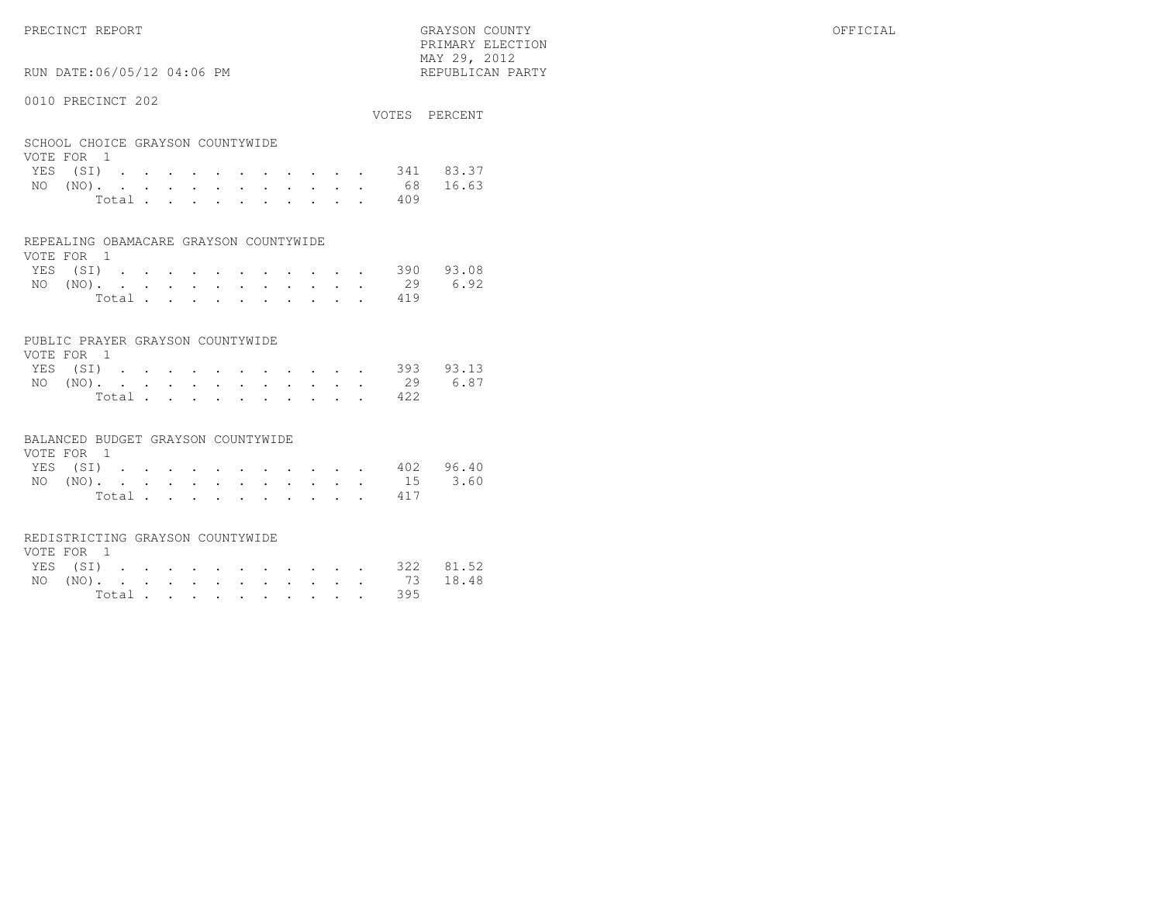RUN DATE:06/05/12 04:06 PM

## 0010 PRECINCT 202

|                                  |       |  |  |  |  |  |      | VOTES PERCENT      |
|----------------------------------|-------|--|--|--|--|--|------|--------------------|
| SCHOOL CHOICE GRAYSON COUNTYWIDE |       |  |  |  |  |  |      |                    |
| VOTE FOR 1                       |       |  |  |  |  |  |      |                    |
|                                  |       |  |  |  |  |  |      | YES (SI) 341 83.37 |
|                                  |       |  |  |  |  |  |      | NO (NO). 68 16.63  |
|                                  | Total |  |  |  |  |  | -409 |                    |

 PRIMARY ELECTION MAY 29, 2012REPUBLICAN PARTY

#### REPEALING OBAMACARE GRAYSON COUNTYWIDE

| VOTE FOR 1 |  |  |  |  |  |  |                    |  |
|------------|--|--|--|--|--|--|--------------------|--|
|            |  |  |  |  |  |  | YES (SI) 390 93.08 |  |
|            |  |  |  |  |  |  | NO (NO). 29 6.92   |  |
|            |  |  |  |  |  |  | Total 419          |  |

### PUBLIC PRAYER GRAYSON COUNTYWIDE

| VOTE FOR 1 |  |  |  |  |  |           |                    |
|------------|--|--|--|--|--|-----------|--------------------|
|            |  |  |  |  |  |           | YES (SI) 393 93.13 |
|            |  |  |  |  |  |           | NO (NO). 29 6.87   |
|            |  |  |  |  |  | Total 422 |                    |

#### BALANCED BUDGET GRAYSON COUNTYWIDE

| VOTE FOR 1 |       |  |  |  |  |  |                    |
|------------|-------|--|--|--|--|--|--------------------|
|            |       |  |  |  |  |  | YES (SI) 402 96.40 |
|            |       |  |  |  |  |  | NO (NO). 15 3.60   |
|            | Total |  |  |  |  |  |                    |

#### REDISTRICTING GRAYSON COUNTYWIDE

| VOTE FOR 1 |  |  |  |  |  |           |                    |  |
|------------|--|--|--|--|--|-----------|--------------------|--|
|            |  |  |  |  |  |           | YES (SI) 322 81.52 |  |
|            |  |  |  |  |  |           | NO (NO). 73 18.48  |  |
|            |  |  |  |  |  | Total 395 |                    |  |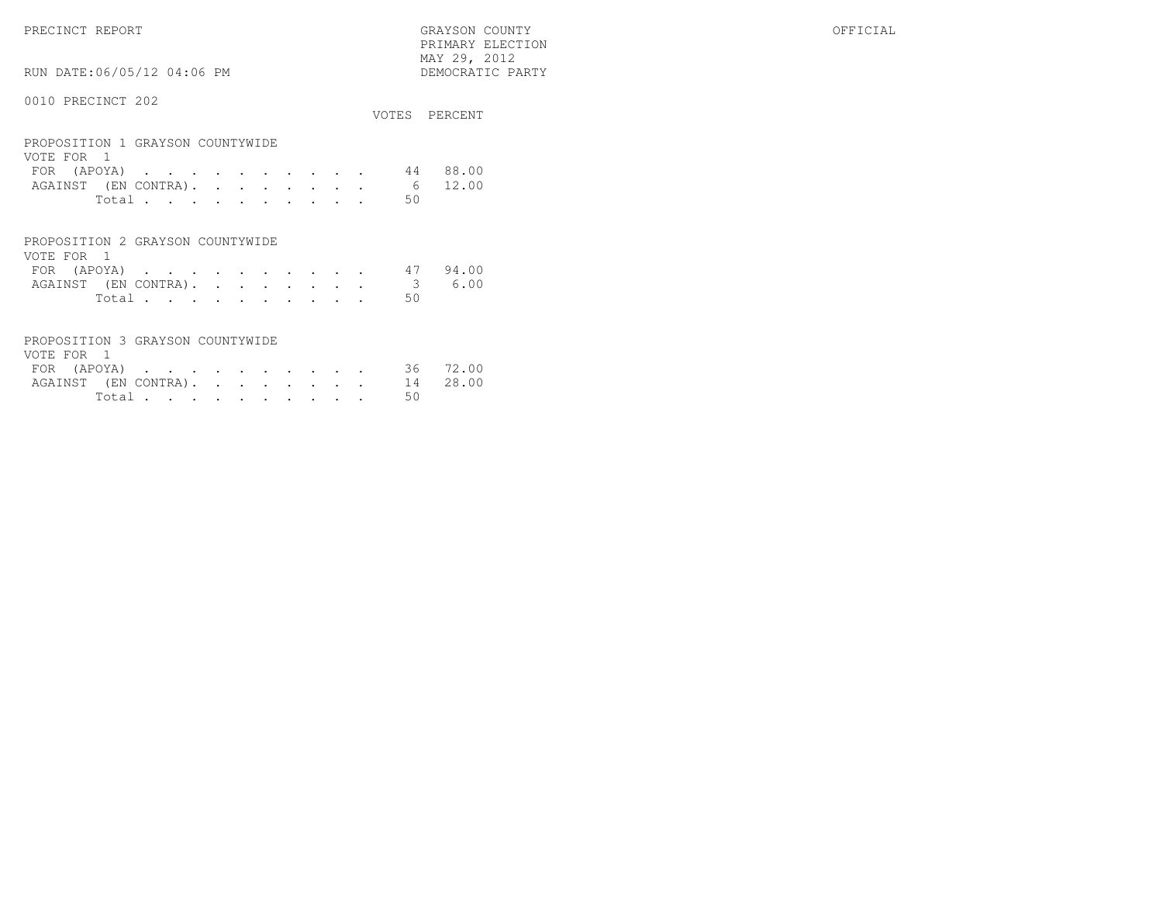PRECINCT REPORT GRAYSON COUNTY OFFICIAL PRIMARY ELECTION $\begin{array}{lll} \text{MAX} & 29, & 2012 \\ \text{NAY} & 29, & 2012 \end{array}$ 

RUN DATE:06/05/12 04:06 PM

|                                                |  |  |  |  |    | VOTES PERCENT |
|------------------------------------------------|--|--|--|--|----|---------------|
| PROPOSITION 1 GRAYSON COUNTYWIDE<br>VOTE FOR 1 |  |  |  |  |    |               |
| FOR (APOYA)                                    |  |  |  |  | 44 | 88.00         |
| AGAINST (EN CONTRA).                           |  |  |  |  | 6  | 12.00         |
| Total                                          |  |  |  |  | 50 |               |
|                                                |  |  |  |  |    |               |

| PROPOSITION 2 GRAYSON COUNTYWIDE |  |  |  |  |  |  |                             |  |
|----------------------------------|--|--|--|--|--|--|-----------------------------|--|
| VOTE FOR 1                       |  |  |  |  |  |  |                             |  |
|                                  |  |  |  |  |  |  | FOR (APOYA) 47 94.00        |  |
|                                  |  |  |  |  |  |  | AGAINST (EN CONTRA). 3 6.00 |  |
|                                  |  |  |  |  |  |  | Total 50                    |  |

| PROPOSITION 3 GRAYSON COUNTYWIDE |          |  |  |  |  |  |
|----------------------------------|----------|--|--|--|--|--|
| VOTE FOR 1                       |          |  |  |  |  |  |
| FOR (APOYA) 36 72.00             |          |  |  |  |  |  |
| AGAINST (EN CONTRA). 14 28.00    |          |  |  |  |  |  |
|                                  | Total 50 |  |  |  |  |  |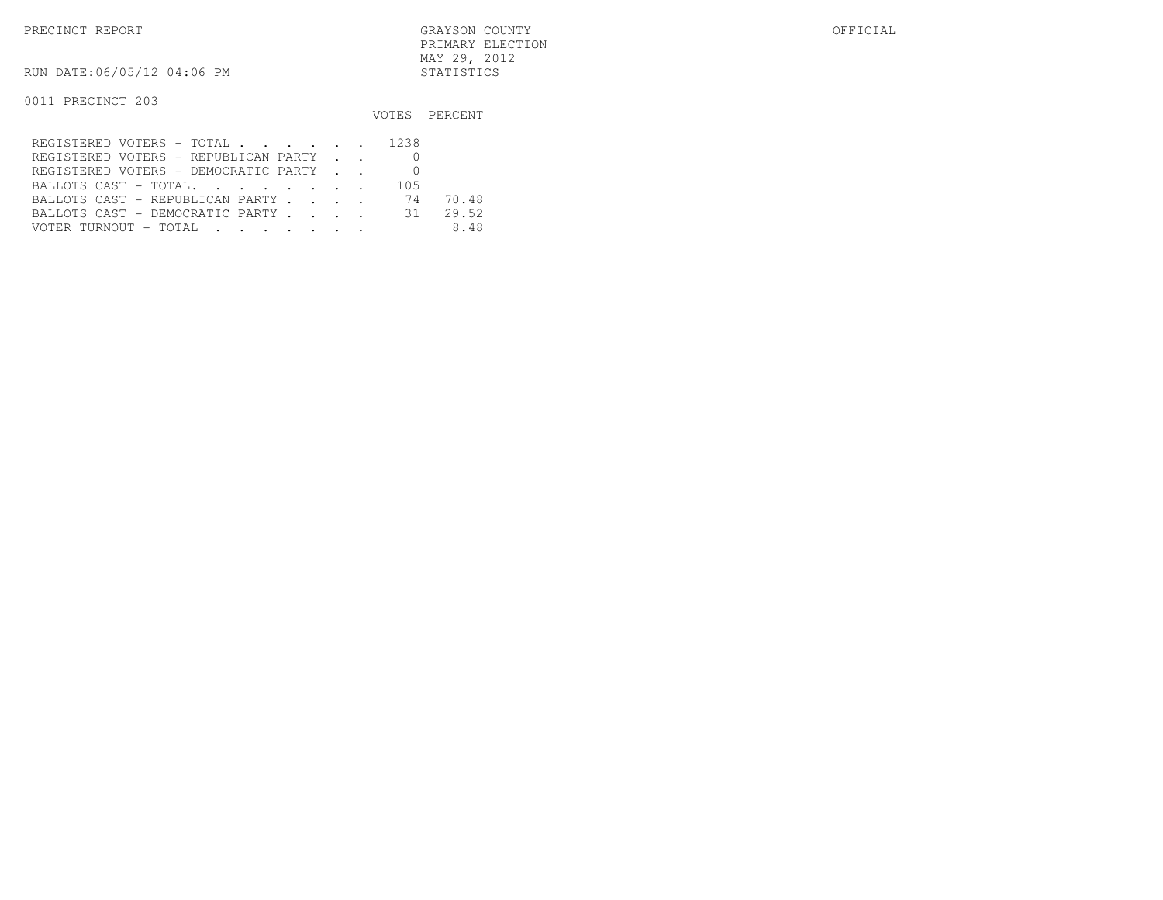PRECINCT REPORT GRAYSON COUNTY OFFICIAL PRIMARY ELECTIONMAY 29, 2012

RUN DATE:06/05/12 04:06 PM STATISTICS

|                                      |     | VOTES PERCENT |
|--------------------------------------|-----|---------------|
| REGISTERED VOTERS - TOTAL 1238       |     |               |
| REGISTERED VOTERS - REPUBLICAN PARTY |     |               |
| REGISTERED VOTERS - DEMOCRATIC PARTY |     |               |
| BALLOTS CAST - TOTAL.                | 105 |               |
| BALLOTS CAST - REPUBLICAN PARTY 74   |     | 70.48         |
| BALLOTS CAST - DEMOCRATIC PARTY 31   |     | 29.52         |
|                                      |     | 8.48          |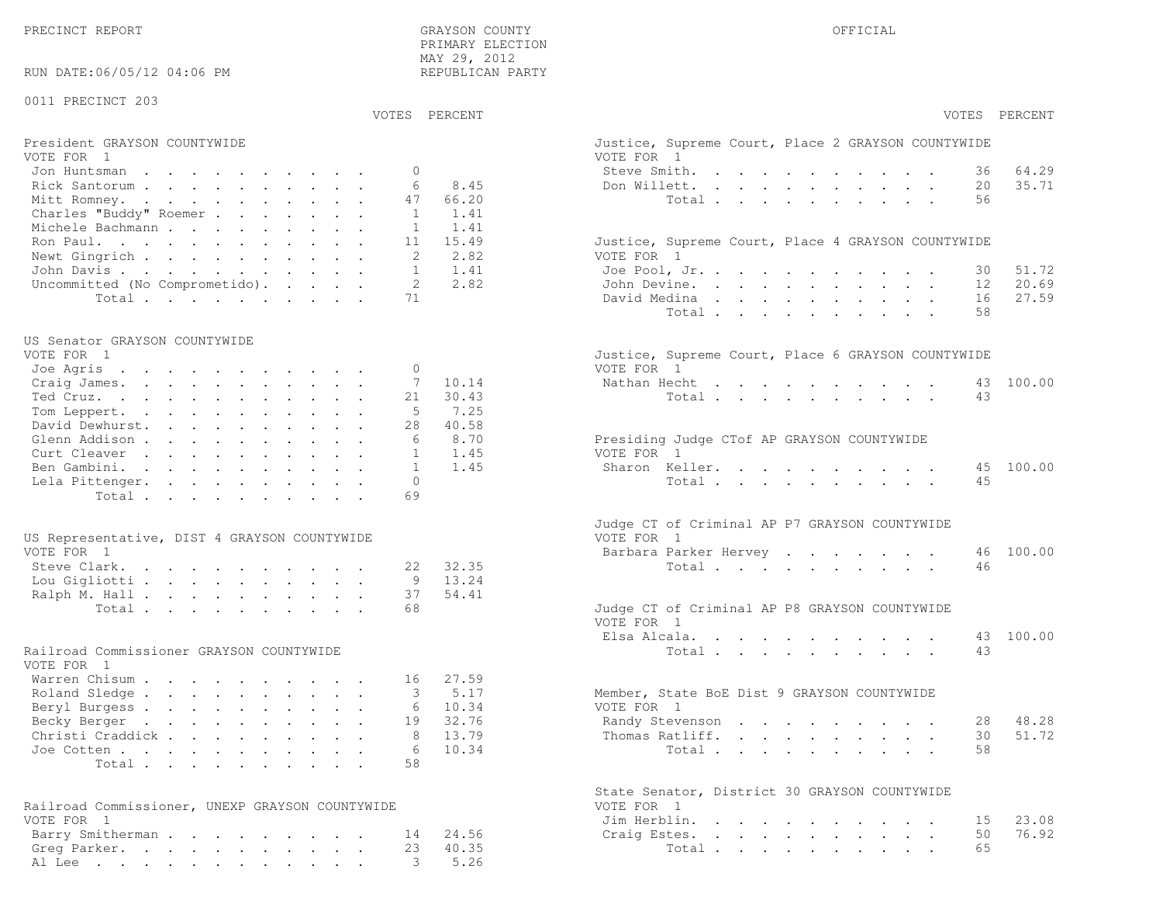| RUN DATE:06/05/12 04:06 PM                             | PRIMARY ELECTION<br>MAY 29, 2012<br>REPUBLICAN PARTY |                                                                  |
|--------------------------------------------------------|------------------------------------------------------|------------------------------------------------------------------|
| 0011 PRECINCT 203                                      |                                                      |                                                                  |
|                                                        | VOTES PERCENT                                        | VOTES PERCENT                                                    |
| President GRAYSON COUNTYWIDE<br>VOTE FOR 1             |                                                      | Justice, Supreme Court, Place 2 GRAYSON COUNTYWIDE<br>VOTE FOR 1 |
| Jon Huntsman                                           | $\circ$                                              | Steve Smith.<br>64.29<br>36                                      |
| Rick Santorum                                          | 6<br>8.45                                            | 35.71<br>Don Willett.<br>20                                      |
| Mitt Romney.                                           | 66.20<br>47                                          | Total<br>56                                                      |
| Charles "Buddy" Roemer                                 | 1.41<br>1                                            |                                                                  |
| Michele Bachmann                                       | 1.41<br>1                                            |                                                                  |
| Ron Paul.                                              | 11<br>15.49                                          | Justice, Supreme Court, Place 4 GRAYSON COUNTYWIDE               |
| Newt Gingrich                                          | 2<br>2.82                                            | VOTE FOR 1                                                       |
| John Davis.                                            | 1.41<br>$\mathbf{1}$<br>2<br>2.82                    | Joe Pool, Jr.<br>51.72<br>30                                     |
| Uncommitted (No Comprometido).<br>Total                | 71                                                   | 20.69<br>John Devine.<br>12<br>27.59<br>David Medina<br>16       |
|                                                        |                                                      | Total.<br>58                                                     |
|                                                        |                                                      |                                                                  |
| US Senator GRAYSON COUNTYWIDE<br>VOTE FOR 1            |                                                      |                                                                  |
|                                                        | 0                                                    | Justice, Supreme Court, Place 6 GRAYSON COUNTYWIDE<br>VOTE FOR 1 |
| Joe Agris<br>Craig James.                              | 7<br>10.14                                           | Nathan Hecht<br>100.00<br>43                                     |
| Ted Cruz.                                              | 30.43<br>21                                          | Total<br>43                                                      |
| Tom Leppert.                                           | 5<br>7.25                                            |                                                                  |
| David Dewhurst.                                        | 40.58<br>28                                          |                                                                  |
| Glenn Addison                                          | 8.70<br>6                                            | Presiding Judge CTof AP GRAYSON COUNTYWIDE                       |
| Curt Cleaver                                           | 1.45<br>$\mathbf{1}$                                 | VOTE FOR 1                                                       |
| Ben Gambini.                                           | $\mathbf{1}$<br>1.45                                 | Sharon Keller.<br>100.00<br>45                                   |
| Lela Pittenger.                                        | $\Omega$                                             | 45<br>Total                                                      |
| Total.                                                 | 69                                                   |                                                                  |
|                                                        |                                                      | Judge CT of Criminal AP P7 GRAYSON COUNTYWIDE                    |
| US Representative, DIST 4 GRAYSON COUNTYWIDE           |                                                      | VOTE FOR 1                                                       |
| VOTE FOR 1                                             |                                                      | 100.00<br>Barbara Parker Hervey<br>46                            |
| Steve Clark.                                           | 32.35<br>22                                          | Total<br>46                                                      |
| Lou Gigliotti                                          | 13.24<br>9                                           |                                                                  |
| Ralph M. Hall                                          | 37<br>54.41<br>68                                    |                                                                  |
| Total.                                                 |                                                      | Judge CT of Criminal AP P8 GRAYSON COUNTYWIDE<br>VOTE FOR 1      |
|                                                        |                                                      | 100.00<br>Elsa Alcala.<br>43                                     |
| Railroad Commissioner GRAYSON COUNTYWIDE<br>VOTE FOR 1 |                                                      | Total<br>43                                                      |
| Warren Chisum                                          | 27.59<br>16                                          |                                                                  |
| Roland Sledge                                          | 5.17<br>3                                            | Member, State BoE Dist 9 GRAYSON COUNTYWIDE                      |
| Beryl Burgess                                          | 10.34<br>6                                           | VOTE FOR 1                                                       |
| Becky Berger                                           | 32.76<br>19                                          | 48.28<br>Randy Stevenson<br>28                                   |
| Christi Craddick                                       | 13.79<br>8                                           | 51.72<br>Thomas Ratliff.<br>30                                   |
| Joe Cotten                                             | 10.34<br>-6                                          | 58<br>Total                                                      |
| Total                                                  | 58                                                   |                                                                  |
|                                                        |                                                      | State Senator, District 30 GRAYSON COUNTYWIDE                    |
| Railroad Commissioner, UNEXP GRAYSON COUNTYWIDE        |                                                      | VOTE FOR 1                                                       |
| VOTE FOR 1                                             | 24.56                                                | 23.08<br>Jim Herblin.<br>15<br>76.92<br>Craig Estes.<br>50       |
| Barry Smitherman<br>Greg Parker.                       | 14<br>40.35<br>23                                    | Total<br>65                                                      |
| Al Lee                                                 | 5.26<br>3                                            |                                                                  |
|                                                        |                                                      |                                                                  |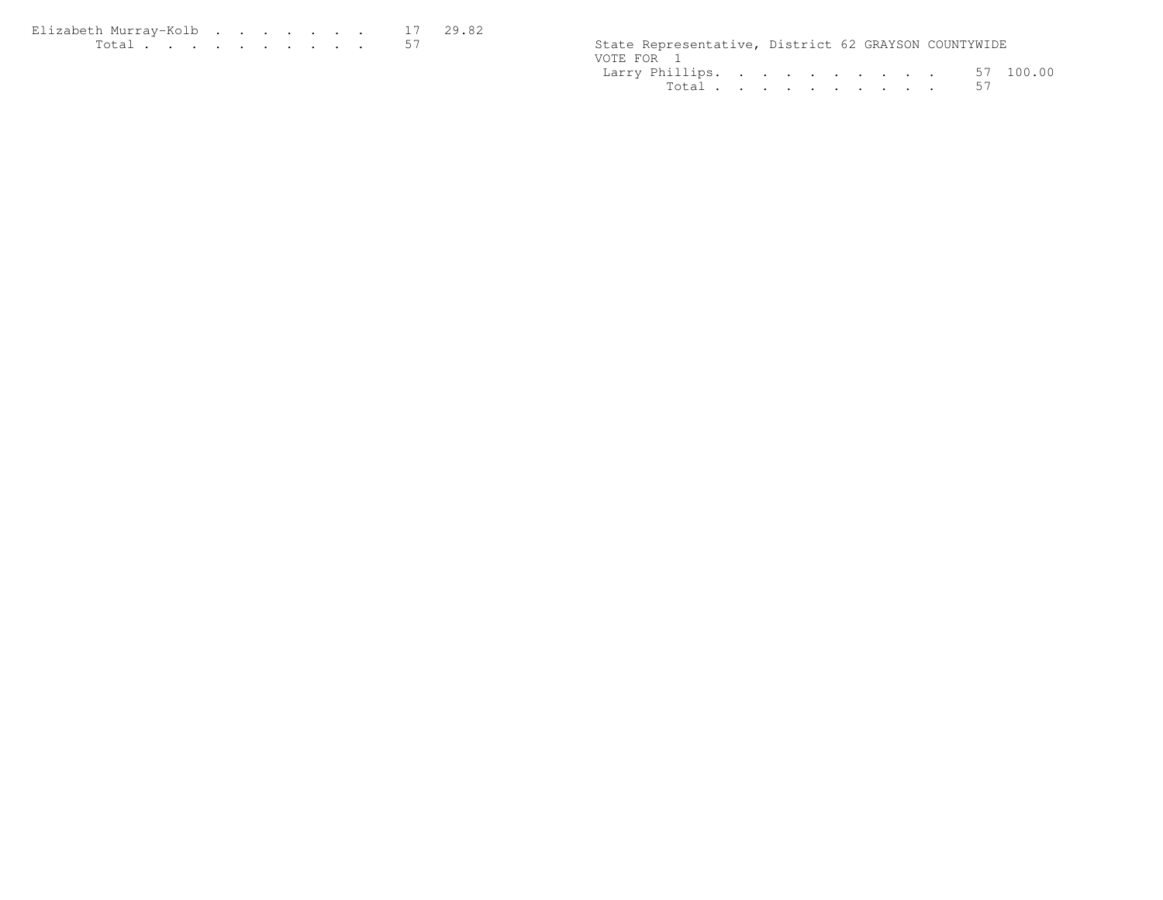| Elizabeth Murray-Kolb |  |  |  |  | 17 29.82 |
|-----------------------|--|--|--|--|----------|
| Total .<br>.          |  |  |  |  |          |

| $T \cap$ + $\cap$ + | State Representative, District 62 GRAYSON COUNTYWIDE |  |                |
|---------------------|------------------------------------------------------|--|----------------|
|                     | VOTE FOR                                             |  |                |
|                     | Larry Phillips.                                      |  | 100.00<br>. 57 |
|                     | $T \cap + \cap +$                                    |  | 57             |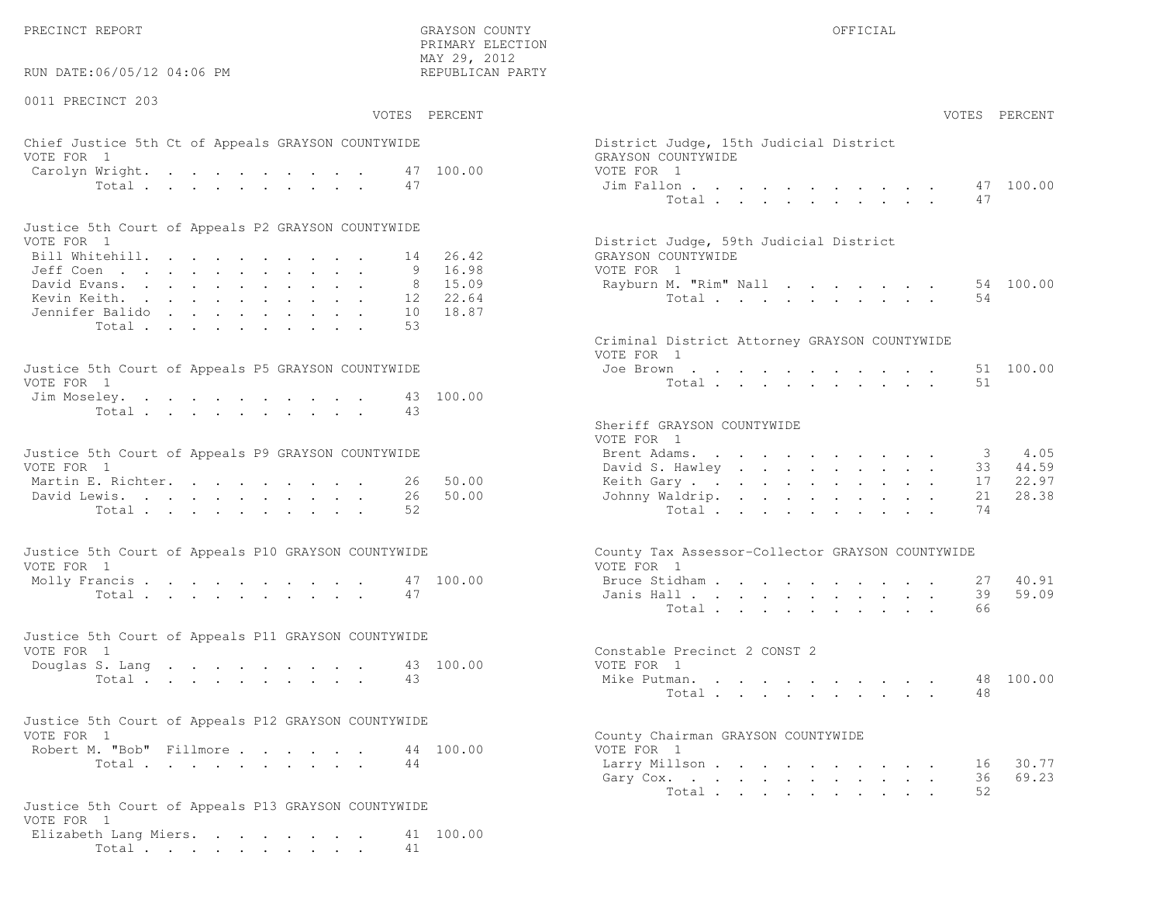RUN DATE:06/05/12 04:06 PM

0011 PRECINCT 203

 PRIMARY ELECTION MAY 29, 2012REPUBLICAN PARTY

# Chief Justice 5th Ct of Appeals GRAYSON COUNTYWIDE District District District District Only 15th Judge VOTE FOR 1 GRAYSON COUNTY OF SALES AND COUNTY OF SALES AND COUNTY OF SALES AND GRAYSON COUNTY OF SALES AND LOCAL COUNTY OF SALES AND LOCAL COUNTY OF SALES AND LOCAL COUNTY OF SALES AND LOCAL COUNTY OF SALES AND LOCAL COUNT Carolyn Wright. . . . . . . . . 47 100.00 VOTE  $Total . . . . . . . . . . . 47$

| Justice 5th Court of Appeals P2 GRAYSON COUNTYWIDE |  |  |  |  |  |                                        |
|----------------------------------------------------|--|--|--|--|--|----------------------------------------|
| VOTE FOR 1                                         |  |  |  |  |  | District Judge, 59th Judicial District |
| Bill Whitehill. 14 26.42                           |  |  |  |  |  | GRAYSON COUNTYWIDE                     |
| Jeff Coen 9 16.98                                  |  |  |  |  |  | VOTE FOR 1                             |
| David Evans. 8 15.09                               |  |  |  |  |  | Rayburn M. "Rim" Nall 54 100.00        |
| Kevin Keith. 12 22.64                              |  |  |  |  |  | Total 54                               |
| Jennifer Balido 10 18.87                           |  |  |  |  |  |                                        |
| Total 53                                           |  |  |  |  |  |                                        |

| Justice 5th Court of Appeals P5 GRAYSON COUNTYWIDE | Joe Brown 51 100.00 |
|----------------------------------------------------|---------------------|
| VOTE FOR 1                                         | Total 51            |
| Jim Moseley. 43 100.00                             |                     |
| Total 43                                           |                     |

| Justice 5th Court of Appeals P9 GRAYSON COUNTYWIDE | Brent Adams. 3 4.05      |  |  |  |  |  |  |
|----------------------------------------------------|--------------------------|--|--|--|--|--|--|
| VOTE FOR 1                                         | David S. Hawley 33 44.59 |  |  |  |  |  |  |
| Martin E. Richter. 26 50.00                        | Keith Gary 17 22.97      |  |  |  |  |  |  |
| David Lewis. 26 50.00                              | Johnny Waldrip. 21 28.38 |  |  |  |  |  |  |
| Total 52                                           | Total 74                 |  |  |  |  |  |  |

| Justice 5th Court of Appeals P10 GRAYSON COUNTYWIDE | County Tax Assessor-Collector GRAYSON COUNTYWIDE |
|-----------------------------------------------------|--------------------------------------------------|
| VOTE FOR 1                                          | VOTE FOR 1                                       |
| Molly Francis 47 100.00                             | Bruce Stidham 27 40.91                           |
| Total 47                                            | Janis Hall 39 59.09                              |

| Justice 5th Court of Appeals P11 GRAYSON COUNTYWIDE |  |  |  |  |  |                              |
|-----------------------------------------------------|--|--|--|--|--|------------------------------|
| VOTE FOR 1                                          |  |  |  |  |  | Constable Precinct 2 CONST 2 |
| Douglas S. Lang 43 100.00                           |  |  |  |  |  | VOTE FOR 1                   |
| Total 43                                            |  |  |  |  |  | 48 100.00<br>Mike Putman.    |

| Justice 5th Court of Appeals P12 GRAYSON COUNTYWIDE |                                    |
|-----------------------------------------------------|------------------------------------|
| VOTE FOR 1                                          | County Chairman GRAYSON COUNTYWIDE |
| Robert M. "Bob" Fillmore<br>44 100.00               | VOTE FOR 1                         |
|                                                     |                                    |

```
Justice 5th Court of Appeals P13 GRAYSON COUNTYWIDEVOTE FOR 1
Elizabeth Lang Miers. . . . . . . . 41 100.00Total . . . . . . . . . . 41
```

| :06/05/12 04:06 PM                                           | MAY 29, 2012<br>REPUBLICAN PARTY |                                                              |
|--------------------------------------------------------------|----------------------------------|--------------------------------------------------------------|
| CINCT 203                                                    |                                  |                                                              |
|                                                              | VOTES PERCENT                    | VOTES PERCENT                                                |
| stice 5th Ct of Appeals GRAYSON COUNTYWIDE<br>$\overline{1}$ |                                  | District Judge, 15th Judicial District<br>GRAYSON COUNTYWIDE |
| Wright.                                                      | 47 100.00                        | VOTE FOR 1                                                   |
| Total                                                        | 47                               | 47 100.00<br>Jim Fallon<br>Total<br>47                       |
| oth Court of Appeals P2 GRAYSON COUNTYWIDE                   |                                  |                                                              |
| $\overline{1}$                                               |                                  | District Judge, 59th Judicial District                       |
| tehill.                                                      | 14 26.42                         | GRAYSON COUNTYWIDE                                           |
| $\mathbb{R}^n$                                               | 9 16.98<br>8 15.09               | VOTE FOR 1<br>54 100.00                                      |
| rans.<br>eith.                                               | 12 22.64                         | Rayburn M. "Rim" Nall<br>Total<br>54                         |
| . Balido <b>.</b>                                            | 10 18.87                         |                                                              |
| Total                                                        | 53                               |                                                              |
|                                                              |                                  | Criminal District Attorney GRAYSON COUNTYWIDE<br>VOTE FOR 1  |
| ith Court of Appeals P5 GRAYSON COUNTYWIDE<br>$\mathbf{1}$   |                                  | 51 100.00<br>Joe Brown<br>Total<br>51                        |
| eley.<br>Total                                               | 43 100.00<br>43                  |                                                              |
|                                                              |                                  | Sheriff GRAYSON COUNTYWIDE<br>VOTE FOR 1                     |
| ith Court of Appeals P9 GRAYSON COUNTYWIDE<br>$\overline{1}$ |                                  | 4.05<br>Brent Adams.<br>3<br>David S. Hawley<br>44.59<br>33  |
| : Richter.                                                   | 50.00<br>26                      | 22.97<br>Keith Gary.<br>17                                   |
| ewis.                                                        | 26<br>50.00                      | 21<br>28.38<br>Johnny Waldrip.                               |
| Total                                                        | 52                               | Total<br>74                                                  |
| oth Court of Appeals P10 GRAYSON COUNTYWIDE                  |                                  | County Tax Assessor-Collector GRAYSON COUNTYWIDE             |
| $\overline{1}$                                               |                                  | VOTE FOR 1                                                   |
| rancis                                                       | 47 100.00                        | 40.91<br>Bruce Stidham<br>27                                 |
| Total                                                        | 47                               | 59.09<br>Janis Hall<br>39                                    |
|                                                              |                                  | 66<br>Total                                                  |
|                                                              |                                  |                                                              |
| ith Court of Appeals P11 GRAYSON COUNTYWIDE                  |                                  |                                                              |
| $\sim$ 1                                                     |                                  | Constable Precinct 2 CONST 2                                 |
| S. Lang                                                      | 43 100.00                        | VOTE FOR 1                                                   |
| Total                                                        | 43                               | 48 100.00<br>Mike Putman.<br>48<br>Total                     |
| ith Court of Appeals P12 GRAYSON COUNTYWIDE                  |                                  |                                                              |
| $\overline{1}$                                               |                                  | County Chairman GRAYSON COUNTYWIDE                           |
| 1. "Bob" Fillmore.                                           | 44 100.00<br>44                  | VOTE FOR 1<br>30.77                                          |
| Total                                                        |                                  | Larry Millson<br>16<br>69.23<br>36                           |
|                                                              |                                  | Gary Cox.<br>Total.<br>52                                    |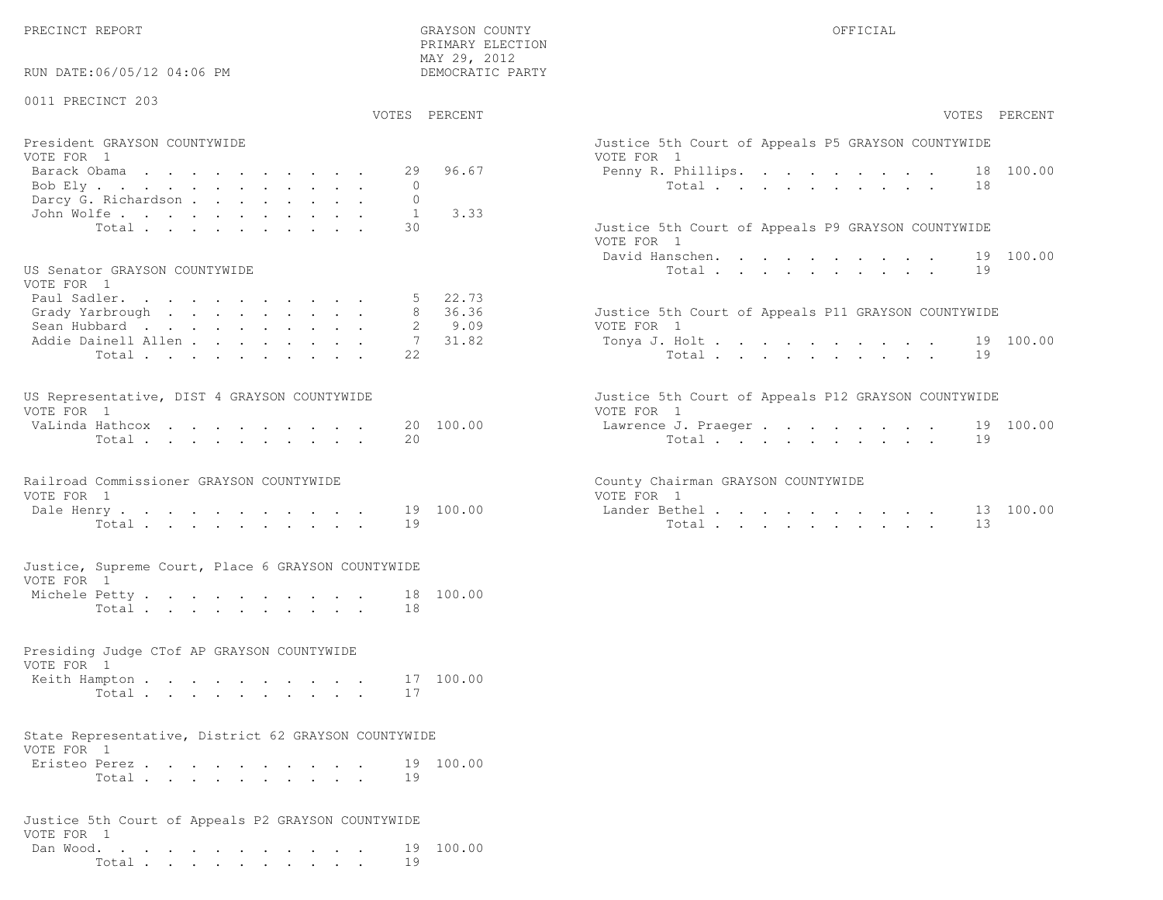PRIMARY ELECTION MAY 29, 2012

| RUN DATE:06/05/12 04:06 PM                                                    |                                | MAY 29, ZUIZ<br>DEMOCRATIC PARTY |                                                                            |  |    |               |
|-------------------------------------------------------------------------------|--------------------------------|----------------------------------|----------------------------------------------------------------------------|--|----|---------------|
| 0011 PRECINCT 203                                                             | VOTES PERCENT                  |                                  |                                                                            |  |    | VOTES PERCENT |
| President GRAYSON COUNTYWIDE                                                  |                                |                                  | Justice 5th Court of Appeals P5 GRAYSON COUNTYWIDE                         |  |    |               |
| VOTE FOR 1                                                                    |                                |                                  | VOTE FOR 1                                                                 |  |    |               |
| Barack Obama                                                                  | 29                             | 96.67                            | Penny R. Phillips.                                                         |  |    | 18 100.00     |
| Bob Ely                                                                       | $\mathbf{0}$                   |                                  | Total                                                                      |  | 18 |               |
| Darcy G. Richardson<br>John Wolfe.                                            | $\mathbf{0}$<br>$\overline{1}$ | 3.33                             |                                                                            |  |    |               |
| Total                                                                         | 30                             |                                  | Justice 5th Court of Appeals P9 GRAYSON COUNTYWIDE                         |  |    |               |
|                                                                               |                                |                                  | VOTE FOR 1                                                                 |  |    | 19 100.00     |
| US Senator GRAYSON COUNTYWIDE                                                 |                                |                                  | David Hanschen.<br>Total                                                   |  | 19 |               |
| VOTE FOR 1                                                                    |                                |                                  |                                                                            |  |    |               |
| Paul Sadler.                                                                  | 5                              | 22.73                            |                                                                            |  |    |               |
| Grady Yarbrough                                                               | 8                              | 36.36                            | Justice 5th Court of Appeals P11 GRAYSON COUNTYWIDE                        |  |    |               |
| Sean Hubbard                                                                  | 2                              | 9.09                             | VOTE FOR 1                                                                 |  |    |               |
| Addie Dainell Allen                                                           | 7                              | 31.82                            | Tonya J. Holt                                                              |  |    | 19 100.00     |
| Total                                                                         | 22                             |                                  | Total                                                                      |  | 19 |               |
| US Representative, DIST 4 GRAYSON COUNTYWIDE<br>VOTE FOR 1                    |                                |                                  | Justice 5th Court of Appeals P12 GRAYSON COUNTYWIDE<br>VOTE FOR 1          |  |    |               |
| VaLinda Hathcox                                                               | 20 100.00                      |                                  | Lawrence J. Praeger                                                        |  |    | 19 100.00     |
| Total                                                                         | 2.0                            |                                  | Total $\cdot$                                                              |  | 19 |               |
| Railroad Commissioner GRAYSON COUNTYWIDE<br>VOTE FOR 1<br>Dale Henry<br>Total | 19 100.00<br>19                |                                  | County Chairman GRAYSON COUNTYWIDE<br>VOTE FOR 1<br>Lander Bethel<br>Total |  | 13 | 13 100.00     |
| Justice, Supreme Court, Place 6 GRAYSON COUNTYWIDE<br>VOTE FOR 1              |                                |                                  |                                                                            |  |    |               |
| Michele Petty                                                                 | 18 100.00                      |                                  |                                                                            |  |    |               |
| Total                                                                         | 18                             |                                  |                                                                            |  |    |               |
| Presiding Judge CTof AP GRAYSON COUNTYWIDE<br>VOTE FOR 1                      |                                |                                  |                                                                            |  |    |               |
| Keith Hampton                                                                 | 17 100.00                      |                                  |                                                                            |  |    |               |
| Total                                                                         | 17                             |                                  |                                                                            |  |    |               |
| State Representative, District 62 GRAYSON COUNTYWIDE<br>VOTE FOR 1            |                                |                                  |                                                                            |  |    |               |
| Eristeo Perez                                                                 | 19 100.00                      |                                  |                                                                            |  |    |               |
| Total                                                                         | 19                             |                                  |                                                                            |  |    |               |
| Justice 5th Court of Appeals P2 GRAYSON COUNTYWIDE<br>VOTE FOR 1              |                                |                                  |                                                                            |  |    |               |
| Dan Wood.                                                                     | 19 100.00                      |                                  |                                                                            |  |    |               |
| Total                                                                         | 19                             |                                  |                                                                            |  |    |               |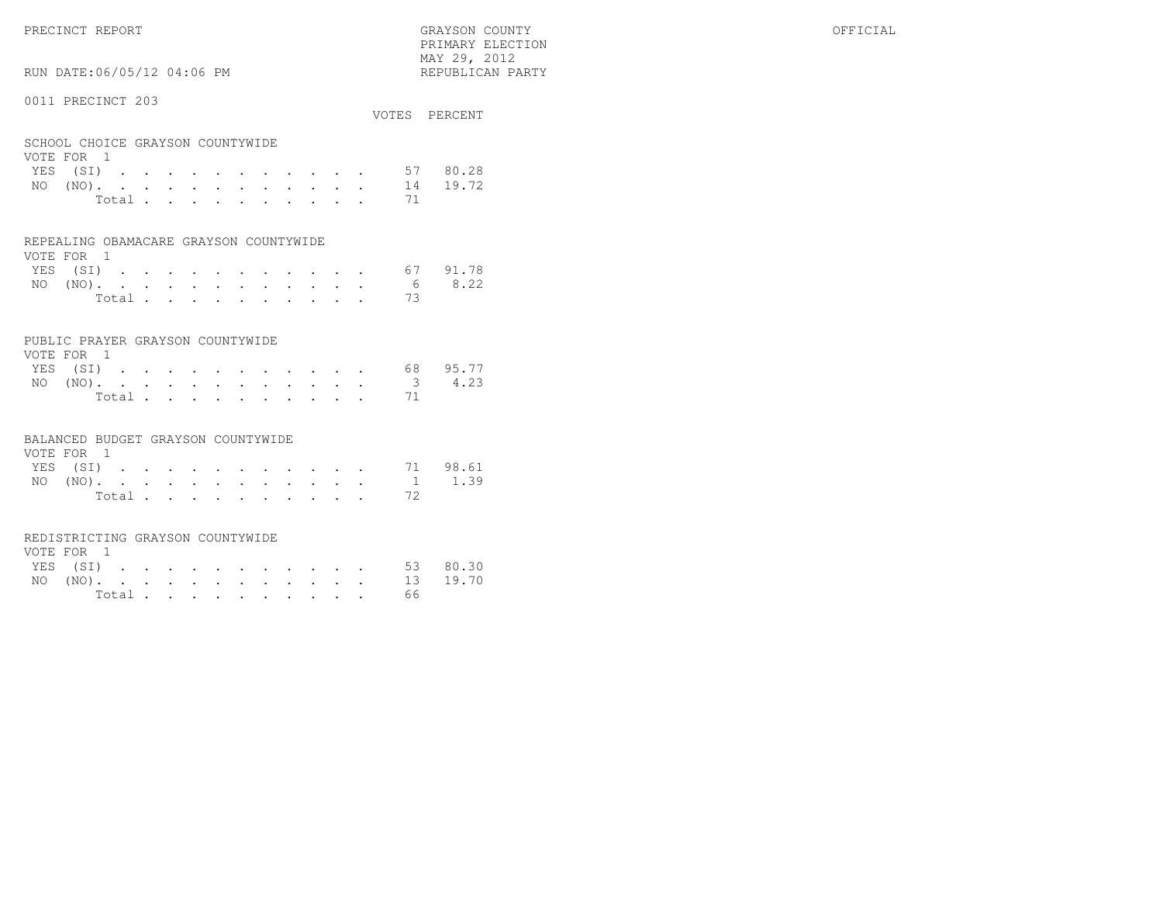# RUN DATE:06/05/12 04:06 PM

## 0011 PRECINCT 203

|                                                |          |  |  |  |       |  |  |    | VOTES PERCENT |
|------------------------------------------------|----------|--|--|--|-------|--|--|----|---------------|
| SCHOOL CHOICE GRAYSON COUNTYWIDE<br>VOTE FOR 1 |          |  |  |  |       |  |  |    |               |
| YES (SI)                                       |          |  |  |  |       |  |  | 57 | 80.28         |
| NO.                                            | $(NO)$ . |  |  |  |       |  |  | 14 | 19.72         |
|                                                |          |  |  |  | Total |  |  | 71 |               |
|                                                |          |  |  |  |       |  |  |    |               |

#### REPEALING OBAMACARE GRAYSON COUNTYWIDE

| VOTE FOR 1 |  |  |  |  |  |                                          |          |
|------------|--|--|--|--|--|------------------------------------------|----------|
| YES (SI)   |  |  |  |  |  |                                          | 67 91.78 |
|            |  |  |  |  |  | NO $(NO)$ , , , , , , , , , , , , 6 8.22 |          |
|            |  |  |  |  |  | Total 73                                 |          |

## PUBLIC PRAYER GRAYSON COUNTYWIDE

| VOTE FOR 1 |  |  |  |  |  |          |                 |
|------------|--|--|--|--|--|----------|-----------------|
| YES (SI)   |  |  |  |  |  |          | 68 95.77        |
|            |  |  |  |  |  |          | NO (NO). 3 4.23 |
|            |  |  |  |  |  | Total 71 |                 |

#### BALANCED BUDGET GRAYSON COUNTYWIDE

| VOTE FOR 1 |       |  |  |  |  |  |                 |          |
|------------|-------|--|--|--|--|--|-----------------|----------|
| YES (SI)   |       |  |  |  |  |  |                 | 71 98.61 |
|            |       |  |  |  |  |  | NO (NO). 1 1.39 |          |
|            | Total |  |  |  |  |  |                 |          |

#### REDISTRICTING GRAYSON COUNTYWIDE

| VOTE FOR 1 |  |  |  |  |  |        |                   |  |
|------------|--|--|--|--|--|--------|-------------------|--|
|            |  |  |  |  |  |        | YES (SI) 53 80.30 |  |
|            |  |  |  |  |  |        | NO (NO). 13 19.70 |  |
|            |  |  |  |  |  | Total. | 66                |  |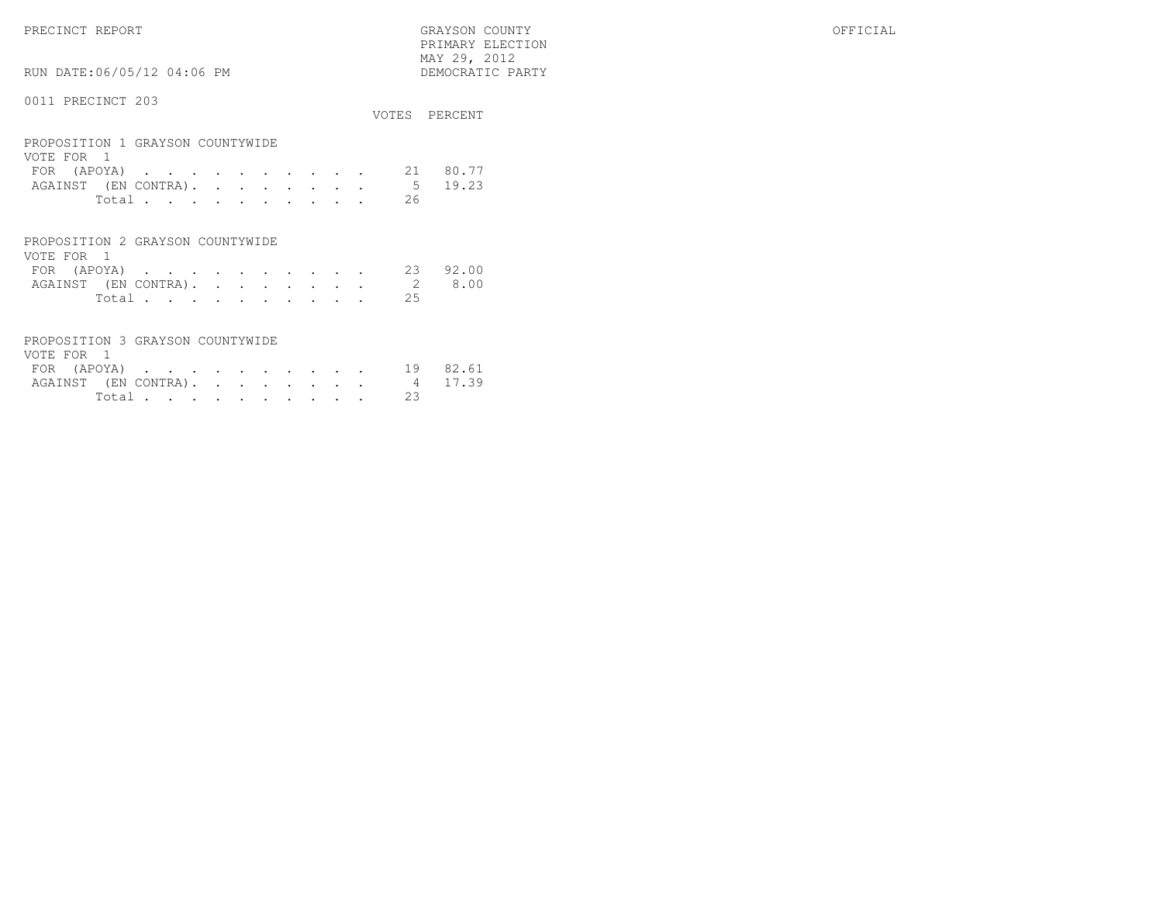PRECINCT REPORT GRAYSON COUNTY OFFICIAL PRIMARY ELECTION $\begin{array}{lll} \text{MAX} & 29, & 2012 \\ \text{NAY} & 29, & 2012 \end{array}$ 

# 0011 PRECINCT 203

RUN DATE:06/05/12 04:06 PM

|                                                                 |                |                                                                                                                 |  |  |  |             | VOTES PERCENT |
|-----------------------------------------------------------------|----------------|-----------------------------------------------------------------------------------------------------------------|--|--|--|-------------|---------------|
| PROPOSITION 1 GRAYSON COUNTYWIDE<br>VOTE FOR 1<br>FOR $(APOYA)$ |                |                                                                                                                 |  |  |  | 21          | 80.77         |
| AGAINST (EN CONTRA).                                            |                | the contract of the contract of the contract of the contract of the contract of the contract of the contract of |  |  |  | $5^{\circ}$ | 19.23         |
|                                                                 | Total          |                                                                                                                 |  |  |  | 26          |               |
| PROPOSITION 2 GRAYSON COUNTYWIDE<br>VOTE FOR 1                  |                |                                                                                                                 |  |  |  |             |               |
| FOR (APOYA)                                                     |                |                                                                                                                 |  |  |  | 23          | 92.00         |
| AGAINST (EN CONTRA).                                            |                |                                                                                                                 |  |  |  | 2           | 8.00          |
|                                                                 | Total $\cdots$ |                                                                                                                 |  |  |  | 2.5         |               |
| PROPOSITION 3 GRAYSON COUNTYWIDE<br>VOTE FOR                    |                |                                                                                                                 |  |  |  |             |               |

| VULLI LUN L |  |  |  |  |  |  |                              |  |
|-------------|--|--|--|--|--|--|------------------------------|--|
|             |  |  |  |  |  |  | FOR (APOYA) 19 82.61         |  |
|             |  |  |  |  |  |  | AGAINST (EN CONTRA). 4 17.39 |  |
|             |  |  |  |  |  |  | Total 23                     |  |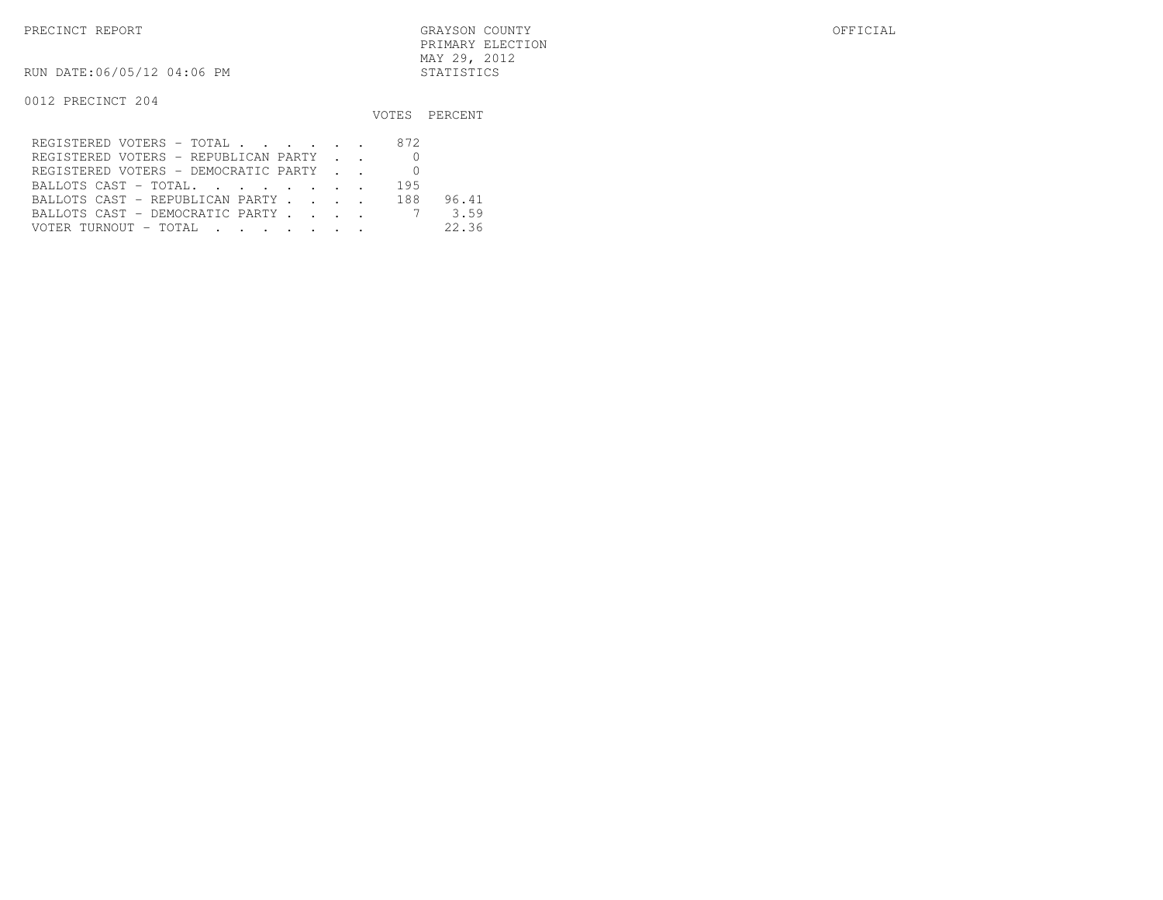PRECINCT REPORT GRAYSON COUNTY OFFICIAL PRIMARY ELECTIONMAY 29, 2012

RUN DATE:06/05/12 04:06 PM STATISTICS

|                                         |     | VOTES PERCENT |
|-----------------------------------------|-----|---------------|
| REGISTERED VOTERS - TOTAL 872           |     |               |
| REGISTERED VOTERS - REPUBLICAN PARTY    |     |               |
| REGISTERED VOTERS - DEMOCRATIC PARTY    |     |               |
| BALLOTS CAST - TOTAL.                   | 195 |               |
| BALLOTS CAST - REPUBLICAN PARTY 188     |     | 96.41         |
| BALLOTS CAST - DEMOCRATIC PARTY 7       |     | 3.59          |
| VOTER TURNOUT – TOTAL III III IIII IIII |     | 22.36         |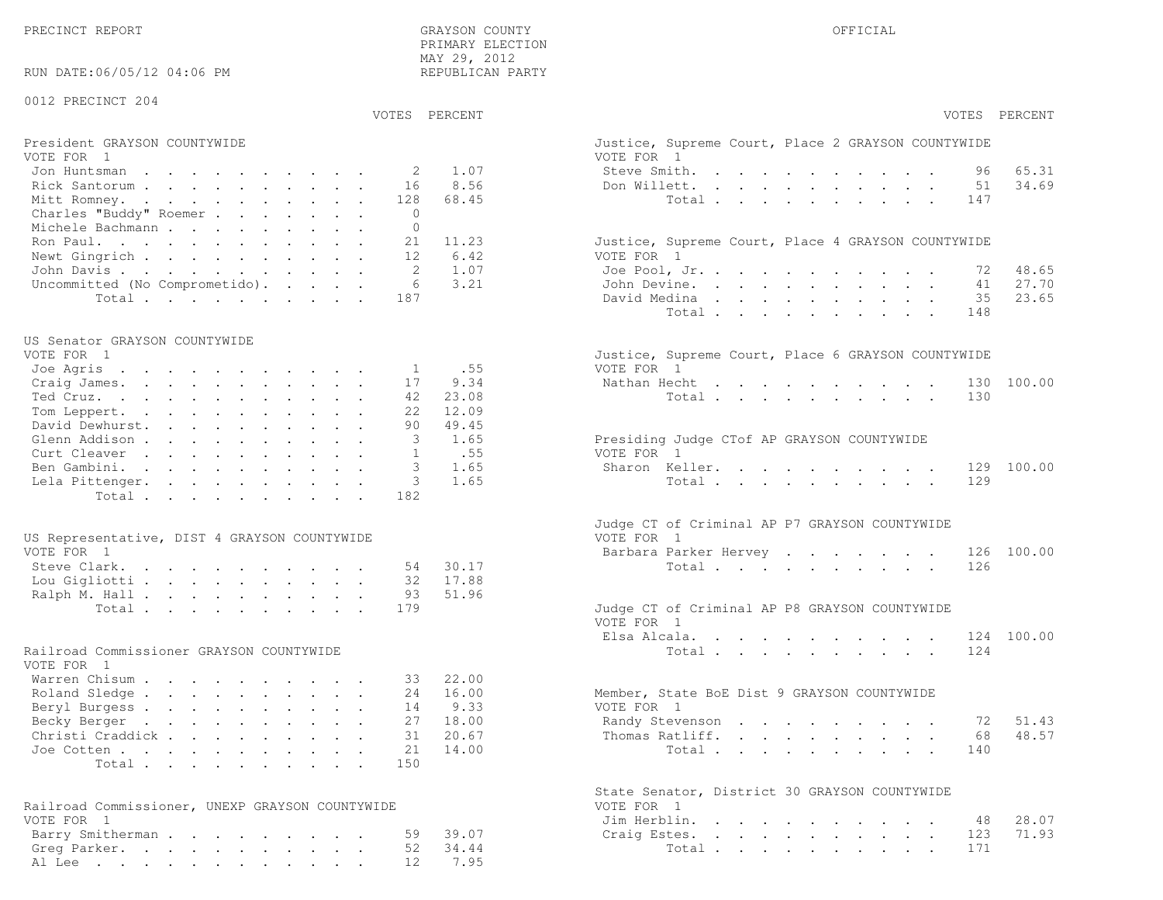PRECINCT REPORT OF THE SERVICE OF THE GRAYSON COUNTY OF THE GRAYSON COUNTY OF THE GRAYSON OF THE GRAYSON COUNTY PRIMARY ELECTION MAY 29, 2012REPUBLICAN PARTY

RUN DATE:06/05/12 04:06 PM

## 0012 PRECINCT 204

VOTES PERCENT VOTES PERCENT

# President GRAYSON COUNTYWIDE Justice, Superior Court, Superior Court, Place 2 Grammary Court, Place 2 Grammary Court, Place 2 Grammary Court, Place 2 Grammary Court, Place 2 Grammary Court, Place 2 Grammary Court, Place 2

| VOTE FOR 1                            | VOTE FOR 1                                         |
|---------------------------------------|----------------------------------------------------|
| Jon Huntsman 2 1.07                   | Steve Smith. 96 65.31                              |
| Rick Santorum 16 8.56                 | 34.69<br>Don Willett. 51                           |
| Mitt Romney. 128 68.45                | Total 147                                          |
| Charles "Buddy" Roemer 0              |                                                    |
| Michele Bachmann 0                    |                                                    |
| Ron Paul. 21 11.23                    | Justice, Supreme Court, Place 4 GRAYSON COUNTYWIDE |
| Newt Gingrich 12 6.42                 | VOTE FOR 1                                         |
| John Davis 2 1.07                     | Joe Pool, Jr. 72 48.65                             |
| Uncommitted (No Comprometido). 6 3.21 | John Devine. 41 27.70                              |
| Total 187                             | 35 23.65<br>David Medina                           |

#### US Senator GRAYSON COUNTYWIDE

| Justice, Supreme Court, Place 6 GRAYSON COUNTYWIDE                                                                                                                                                                             |
|--------------------------------------------------------------------------------------------------------------------------------------------------------------------------------------------------------------------------------|
| VOTE FOR 1                                                                                                                                                                                                                     |
| Nathan Hecht 130 100.00                                                                                                                                                                                                        |
| Total 130                                                                                                                                                                                                                      |
|                                                                                                                                                                                                                                |
|                                                                                                                                                                                                                                |
| Presiding Judge CTof AP GRAYSON COUNTYWIDE                                                                                                                                                                                     |
| VOTE FOR 1                                                                                                                                                                                                                     |
| Sharon Keller. 129 100.00                                                                                                                                                                                                      |
| Total 129                                                                                                                                                                                                                      |
|                                                                                                                                                                                                                                |
| Joe Agris 1 .55<br>Craig James. 17 9.34<br>Ted Cruz. 42 23.08<br>Tom Leppert. 22 12.09<br>David Dewhurst. 90 49.45<br>Glenn Addison 3 1.65<br>Curt Cleaver 1 .55<br>Ben Gambini. 3 1.65<br>Lela Pittenger. 3 1.65<br>Total 182 |

| US Representative, DIST 4 GRAYSON COUNTYWIDE | VOTE FOR 1                                    |
|----------------------------------------------|-----------------------------------------------|
| VOTE FOR 1                                   | Barbara Parker Hervey 126 100.00              |
| Steve Clark. 54 30.17                        | Total 126                                     |
| Lou Gigliotti 32 17.88                       |                                               |
| Ralph M. Hall 93 51.96                       |                                               |
| Total 179                                    | Judge CT of Criminal AP P8 GRAYSON COUNTYWIDE |

## Railroad Commissioner GRAYSON COUNTYWIDE

| VOTE FOR 1                |  |  |  |  |  |                                             |  |
|---------------------------|--|--|--|--|--|---------------------------------------------|--|
| Warren Chisum 33 22.00    |  |  |  |  |  |                                             |  |
| Roland Sledge 24 16.00    |  |  |  |  |  | Member, State BoE Dist 9 GRAYSON COUNTYWIDE |  |
| Beryl Burgess 14 9.33     |  |  |  |  |  | VOTE FOR 1                                  |  |
| Becky Berger 27 18.00     |  |  |  |  |  | Randy Stevenson 72 51.43                    |  |
| Christi Craddick 31 20.67 |  |  |  |  |  | Thomas Ratliff. 68 48.57                    |  |
| Joe Cotten 21 14.00       |  |  |  |  |  | Total 140                                   |  |
| Total 150                 |  |  |  |  |  |                                             |  |

| Railroad Commissioner, UNEXP GRAYSON COUNTYWIDE | VOTE FOR 1             |
|-------------------------------------------------|------------------------|
| VOTE FOR 1                                      | Jim Herblin. 48 28.07  |
| Barry Smitherman 59 39.07                       | Craig Estes. 123 71.93 |
| Greg Parker. 52 34.44                           | Total 171              |
| Al Lee 12 7.95                                  |                        |

| PERCENT       | VOTES PERCENT                                                                                                                                                                                                                                                                                                                                                                                                                                                                                                                                                                                     |
|---------------|---------------------------------------------------------------------------------------------------------------------------------------------------------------------------------------------------------------------------------------------------------------------------------------------------------------------------------------------------------------------------------------------------------------------------------------------------------------------------------------------------------------------------------------------------------------------------------------------------|
|               | Justice, Supreme Court, Place 2 GRAYSON COUNTYWIDE<br>VOTE FOR 1                                                                                                                                                                                                                                                                                                                                                                                                                                                                                                                                  |
| 1.07          | Steve Smith.<br>65.31<br>96<br>and a strong control of the state of the state of the state of the state of the state of the state of the state of the state of the state of the state of the state of the state of the state of the state of the state of the                                                                                                                                                                                                                                                                                                                                     |
| 8.56          | 34.69<br>Don Willett.<br>51<br>$\mathbf{L}$<br>$\mathbf{L} = \mathbf{L}$<br>$\sim$<br>$\cdot$ $\cdot$ $\cdot$ $\cdot$<br>$\ddot{\phantom{a}}$<br>$\ddot{\phantom{0}}$                                                                                                                                                                                                                                                                                                                                                                                                                             |
| 68.45         | Total<br>147<br>$\sim$ $\sim$<br>$\sim$ $-$<br>$\mathbf{L}$<br>$\mathbf{r}$<br>$\mathbf{L}$<br>$\bullet$<br>$\ddot{\phantom{a}}$                                                                                                                                                                                                                                                                                                                                                                                                                                                                  |
|               |                                                                                                                                                                                                                                                                                                                                                                                                                                                                                                                                                                                                   |
| 11.23         | Justice, Supreme Court, Place 4 GRAYSON COUNTYWIDE                                                                                                                                                                                                                                                                                                                                                                                                                                                                                                                                                |
| 6.42<br>1.07  | VOTE FOR 1<br>Joe Pool, Jr.<br>48.65                                                                                                                                                                                                                                                                                                                                                                                                                                                                                                                                                              |
| 3.21          | 72<br>$\ddot{\phantom{1}}$<br>$\cdot$ $\cdot$ $\cdot$ $\cdot$<br>$\ddot{\phantom{0}}$<br>$\sim$                                                                                                                                                                                                                                                                                                                                                                                                                                                                                                   |
|               | 41 27.70<br>John Devine.<br>$\sim$<br>$\mathbf{L}^{\text{max}}$ , and                                                                                                                                                                                                                                                                                                                                                                                                                                                                                                                             |
|               | 35 23.65<br>David Medina<br><b>All Adams</b><br>$\sim$ $-$<br>$\sim$<br>$\mathbf{L}^{\text{max}}$<br>$\sim$<br>$\sim 100$ km s $^{-1}$<br>$\bullet$ .<br>$\ddot{\phantom{0}}$                                                                                                                                                                                                                                                                                                                                                                                                                     |
|               | Total .<br>148<br>$\sim$ $\sim$ $\sim$<br>$\mathcal{L}^{\text{max}}$<br>$\mathbf{L} = \mathbf{L}$<br>$\ddot{\phantom{a}}$<br>$\mathbf{L}$<br>$\mathcal{L}^{\text{max}}$<br>$\mathbf{r}$<br>$\ddot{\phantom{a}}$                                                                                                                                                                                                                                                                                                                                                                                   |
| .55           | Justice, Supreme Court, Place 6 GRAYSON COUNTYWIDE<br>VOTE FOR 1                                                                                                                                                                                                                                                                                                                                                                                                                                                                                                                                  |
| 9.34          | Nathan Hecht<br>100.00<br>130                                                                                                                                                                                                                                                                                                                                                                                                                                                                                                                                                                     |
| 23.08         | 130<br>Total                                                                                                                                                                                                                                                                                                                                                                                                                                                                                                                                                                                      |
| 12.09         |                                                                                                                                                                                                                                                                                                                                                                                                                                                                                                                                                                                                   |
| 49.45<br>1.65 |                                                                                                                                                                                                                                                                                                                                                                                                                                                                                                                                                                                                   |
| .55           | Presiding Judge CTof AP GRAYSON COUNTYWIDE<br>VOTE FOR 1                                                                                                                                                                                                                                                                                                                                                                                                                                                                                                                                          |
|               |                                                                                                                                                                                                                                                                                                                                                                                                                                                                                                                                                                                                   |
| 1.65<br>1.65  | Sharon Keller.<br>100.00<br>129<br>129                                                                                                                                                                                                                                                                                                                                                                                                                                                                                                                                                            |
|               | Total $\cdots$<br>$\ddot{\phantom{0}}$<br>$\sim$                                                                                                                                                                                                                                                                                                                                                                                                                                                                                                                                                  |
|               | Judge CT of Criminal AP P7 GRAYSON COUNTYWIDE<br>VOTE FOR 1                                                                                                                                                                                                                                                                                                                                                                                                                                                                                                                                       |
|               | Barbara Parker Hervey<br>126 100.00<br>$\ddot{\phantom{0}}$                                                                                                                                                                                                                                                                                                                                                                                                                                                                                                                                       |
| 30.17         | 126<br>Total                                                                                                                                                                                                                                                                                                                                                                                                                                                                                                                                                                                      |
| 17.88         |                                                                                                                                                                                                                                                                                                                                                                                                                                                                                                                                                                                                   |
| 51.96         |                                                                                                                                                                                                                                                                                                                                                                                                                                                                                                                                                                                                   |
|               | Judge CT of Criminal AP P8 GRAYSON COUNTYWIDE<br>VOTE FOR 1                                                                                                                                                                                                                                                                                                                                                                                                                                                                                                                                       |
|               | Elsa Alcala<br>124 100.00<br>$\mathbf{r}$ and $\mathbf{r}$ and $\mathbf{r}$ and $\mathbf{r}$<br><b>Contract Contract Contract</b><br>$\ddot{\phantom{0}}$<br>$\mathbf{L}^{\text{max}}$                                                                                                                                                                                                                                                                                                                                                                                                            |
|               | 124<br>Total .<br>$\mathbf{r}$ , and $\mathbf{r}$ , and $\mathbf{r}$ , and $\mathbf{r}$ , and $\mathbf{r}$                                                                                                                                                                                                                                                                                                                                                                                                                                                                                        |
| 22.00         |                                                                                                                                                                                                                                                                                                                                                                                                                                                                                                                                                                                                   |
| 16.00<br>9.33 | Member, State BoE Dist 9 GRAYSON COUNTYWIDE<br>VOTE FOR 1                                                                                                                                                                                                                                                                                                                                                                                                                                                                                                                                         |
| 18.00         | Randy Stevenson<br>72 51.43                                                                                                                                                                                                                                                                                                                                                                                                                                                                                                                                                                       |
| 20.67         | 68 48.57<br>Thomas Ratliff.<br>$\ddot{\phantom{a}}$                                                                                                                                                                                                                                                                                                                                                                                                                                                                                                                                               |
| 14.00         | $\sim 10^{-11}$<br>$\ddot{\phantom{0}}$<br>140                                                                                                                                                                                                                                                                                                                                                                                                                                                                                                                                                    |
|               | Total $\cdots$                                                                                                                                                                                                                                                                                                                                                                                                                                                                                                                                                                                    |
|               | State Senator, District 30 GRAYSON COUNTYWIDE                                                                                                                                                                                                                                                                                                                                                                                                                                                                                                                                                     |
|               | VOTE FOR<br>$\overline{1}$                                                                                                                                                                                                                                                                                                                                                                                                                                                                                                                                                                        |
|               | Jim Herblin.<br>48<br>28.07<br>$\sim$<br>$\sim$<br>$\sim$<br>$\sim$<br>$\ddot{\phantom{0}}$<br>$\ddot{\phantom{a}}$<br>$\sim$<br><b>Contract Contract</b>                                                                                                                                                                                                                                                                                                                                                                                                                                         |
| 39.07         | 71.93<br>Craig Estes.<br>123<br>$\mathbf{L}$<br>$\mathbf{1} \qquad \mathbf{1} \qquad \mathbf{1} \qquad \mathbf{1} \qquad \mathbf{1} \qquad \mathbf{1} \qquad \mathbf{1} \qquad \mathbf{1} \qquad \mathbf{1} \qquad \mathbf{1} \qquad \mathbf{1} \qquad \mathbf{1} \qquad \mathbf{1} \qquad \mathbf{1} \qquad \mathbf{1} \qquad \mathbf{1} \qquad \mathbf{1} \qquad \mathbf{1} \qquad \mathbf{1} \qquad \mathbf{1} \qquad \mathbf{1} \qquad \mathbf{1} \qquad \mathbf{1} \qquad \mathbf{1} \qquad \mathbf{$<br>$\ddot{\phantom{a}}$<br>$\ddot{\phantom{0}}$<br>$\bullet$ .<br>$\ddot{\phantom{0}}$ |
| 34.44         | Total<br>171<br><b>Contract Contract Contract Contract</b>                                                                                                                                                                                                                                                                                                                                                                                                                                                                                                                                        |
| 7.95          |                                                                                                                                                                                                                                                                                                                                                                                                                                                                                                                                                                                                   |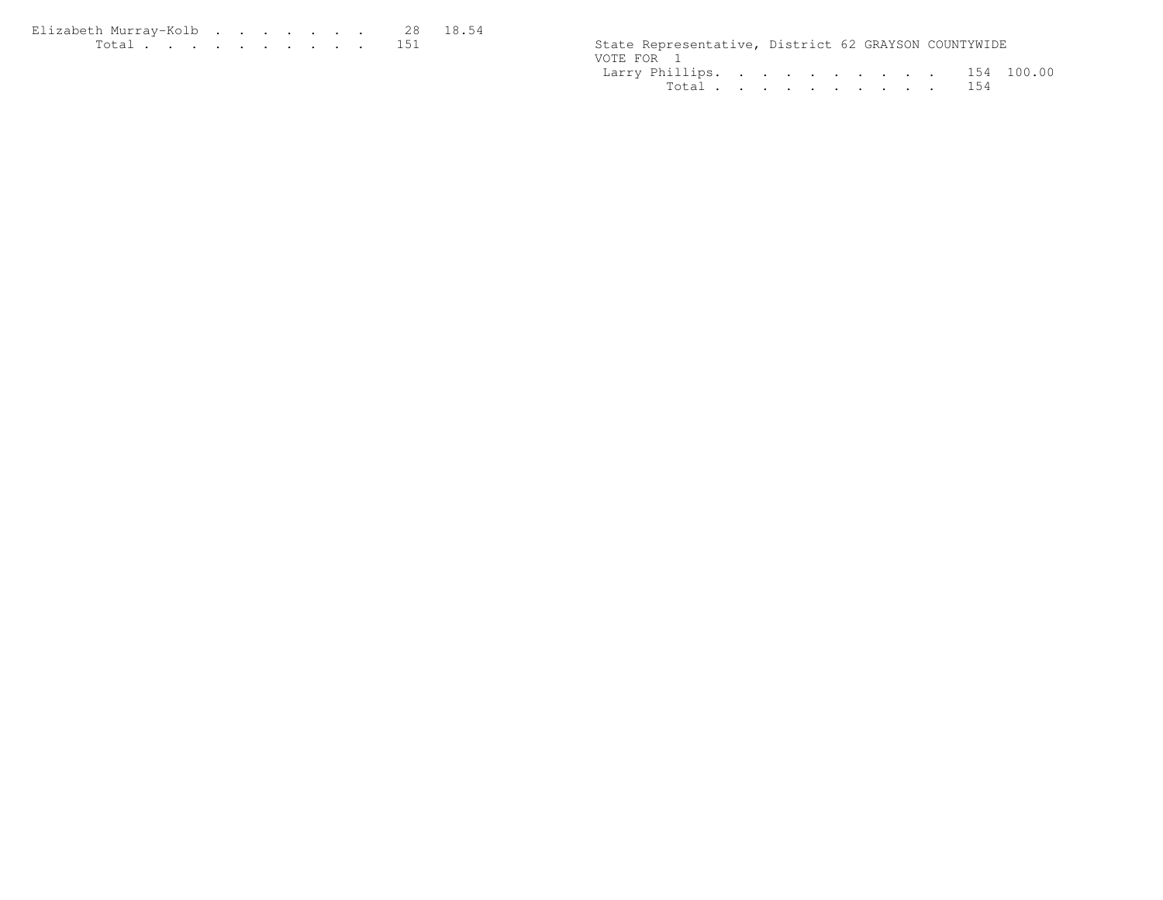| Elizabeth Murrav-Kolb 28 18.54 |  |  |  |  |  |                                                      |  |  |
|--------------------------------|--|--|--|--|--|------------------------------------------------------|--|--|
| .                              |  |  |  |  |  | State Representative, District 62 GRAYSON COUNTYWIDE |  |  |

|            | State Representative, District 62 GRAYSON COUNTYWIDE |  |  |  |  |  |
|------------|------------------------------------------------------|--|--|--|--|--|
| VOTE FOR 1 |                                                      |  |  |  |  |  |
|            | Larry Phillips. 154 100.00                           |  |  |  |  |  |
|            | Total 154                                            |  |  |  |  |  |
|            |                                                      |  |  |  |  |  |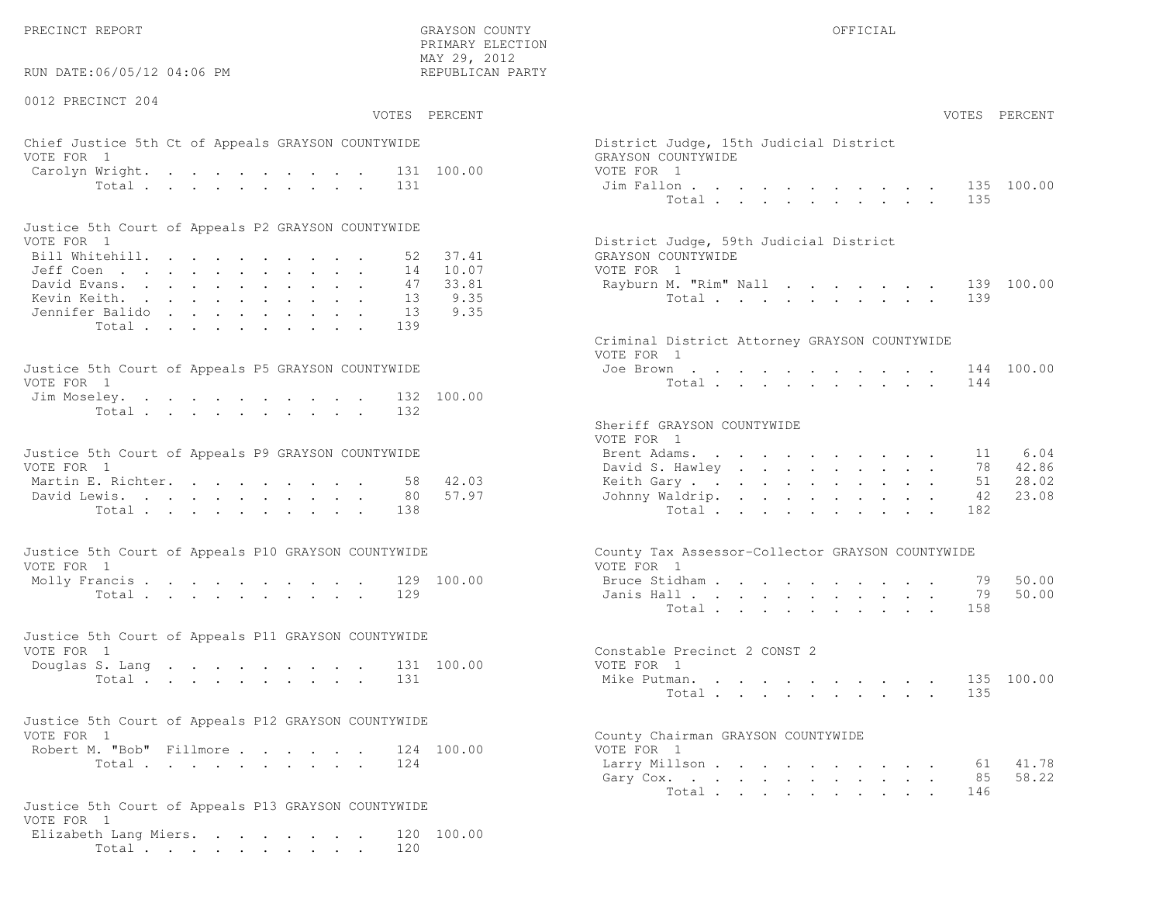RUN DATE:06/05/12 04:06 PM

0012 PRECINCT 204

 PRIMARY ELECTION MAY 29, 2012REPUBLICAN PARTY

# Chief Justice 5th Ct of Appeals GRAYSON COUNTYWIDE District Appeals Ois VOTE FOR 1 GRAYSON COUNTY OF REAL EXPLORER COUNTY OF REAL EXPLORER COUNTY OF REAL EXPLORER COUNTY OF REAL EXPLORER COUNTY OF REAL EXPLORER COUNTY OF REAL EXPLORER COUNTY OF REAL EXPLORER COUNTY OF REAL EXPLORER COUNTY OF R Carolyn Wright. . . . . . . . . 131 100.00 VOT Total . . . . . . . . . 131 Ji

| Justice 5th Court of Appeals P2 GRAYSON COUNTYWIDE |  |  |  |  |  |                                        |
|----------------------------------------------------|--|--|--|--|--|----------------------------------------|
| VOTE FOR 1                                         |  |  |  |  |  | District Judge, 59th Judicial District |
| Bill Whitehill. 52 37.41                           |  |  |  |  |  | GRAYSON COUNTYWIDE                     |
| Jeff Coen 14 10.07                                 |  |  |  |  |  | VOTE FOR 1                             |
| David Evans. 47 33.81                              |  |  |  |  |  | Rayburn M. "Rim" Nall 139 100.00       |
| Kevin Keith. 13 9.35                               |  |  |  |  |  | Total 139                              |
| Jennifer Balido 13 9.35                            |  |  |  |  |  |                                        |
| Total 139                                          |  |  |  |  |  |                                        |

| Justice 5th Court of Appeals P5 GRAYSON COUNTYWIDE | Joe Brown 144 100.00 |
|----------------------------------------------------|----------------------|
| VOTE FOR 1                                         | Total 144            |
| Jim Moseley. 132 100.00                            |                      |
| Total 132                                          |                      |

| Justice 5th Court of Appeals P9 GRAYSON COUNTYWIDE |  |  |  |  |  | Brent Adams. 11 6.04     |  |  |  |  |  |  |
|----------------------------------------------------|--|--|--|--|--|--------------------------|--|--|--|--|--|--|
| VOTE FOR 1                                         |  |  |  |  |  | David S. Hawley 78 42.86 |  |  |  |  |  |  |
| Martin E. Richter. 58 42.03                        |  |  |  |  |  | Keith Gary 51 28.02      |  |  |  |  |  |  |
| David Lewis. 80 57.97                              |  |  |  |  |  | Johnny Waldrip. 42 23.08 |  |  |  |  |  |  |
| Total 138                                          |  |  |  |  |  | Total 182                |  |  |  |  |  |  |

| Justice 5th Court of Appeals P10 GRAYSON COUNTYWIDE | County Tax Assessor-Collector GRAYSON COUNTYWIDE |
|-----------------------------------------------------|--------------------------------------------------|
| VOTE FOR 1                                          | VOTE FOR 1                                       |
| Molly Francis 129 100.00                            | Bruce Stidham 79 50.00                           |
| Total 129                                           | Janis Hall 79 50.00                              |

| Justice 5th Court of Appeals P11 GRAYSON COUNTYWIDE |           |  |  |  |  |  |                              |  |
|-----------------------------------------------------|-----------|--|--|--|--|--|------------------------------|--|
| VOTE FOR 1                                          |           |  |  |  |  |  | Constable Precinct 2 CONST 2 |  |
| Douglas S. Lang 131 100.00                          |           |  |  |  |  |  | VOTE FOR 1                   |  |
|                                                     | Total 131 |  |  |  |  |  | Mike Putman. 135 100.00      |  |

| Justice 5th Court of Appeals P12 GRAYSON COUNTYWIDE |  |            |                                                  |
|-----------------------------------------------------|--|------------|--------------------------------------------------|
| VOTE FOR 1                                          |  |            | County Chairman GRAYSON COUNTYWIDE               |
| Robert M. "Bob" Fillmore                            |  | 124 100.00 | VOTE FOR 1                                       |
| - -                                                 |  |            | $\sim$ $\sim$ $\sim$ $\sim$ $\sim$ $\sim$ $\sim$ |

```
Justice 5th Court of Appeals P13 GRAYSON COUNTYWIDEVOTE FOR 1
Elizabeth Lang Miers. . . . . . . . 120 100.00Total . . . . . . . . . . 120
```

|                | :06/05/12 04:06 PM                                                                                                | MAY 29, 2012<br>REPUBLICAN PARTY        |                                                                                                               |                                                      |
|----------------|-------------------------------------------------------------------------------------------------------------------|-----------------------------------------|---------------------------------------------------------------------------------------------------------------|------------------------------------------------------|
| CINCT 204      |                                                                                                                   | VOTES PERCENT                           |                                                                                                               | VOTES PERCENT                                        |
| $\mathbf{1}$   | stice 5th Ct of Appeals GRAYSON COUNTYWIDE                                                                        |                                         | District Judge, 15th Judicial District<br>GRAYSON COUNTYWIDE                                                  |                                                      |
|                | Wright.<br>Total<br>131                                                                                           | 131 100.00                              | VOTE FOR 1<br>Jim Fallon<br>Total                                                                             | 135 100.00<br>135                                    |
|                | ith Court of Appeals P2 GRAYSON COUNTYWIDE                                                                        |                                         |                                                                                                               |                                                      |
| $\overline{1}$ | tehill.<br>52<br>$\mathbb{R}^{n}$<br>14<br>$\lambda$ rans.<br>47<br>eith.<br>13<br>: Balido<br>13<br>Total<br>139 | 37.41<br>10.07<br>33.81<br>9.35<br>9.35 | District Judge, 59th Judicial District<br>GRAYSON COUNTYWIDE<br>VOTE FOR 1<br>Rayburn M. "Rim" Nall<br>Total  | 139 100.00<br>139                                    |
|                |                                                                                                                   |                                         | Criminal District Attorney GRAYSON COUNTYWIDE<br>VOTE FOR 1                                                   |                                                      |
| $\overline{1}$ | oth Court of Appeals P5 GRAYSON COUNTYWIDE<br>eley. 132 100.00                                                    |                                         | Joe Brown<br>Total                                                                                            | 144 100.00<br>144                                    |
| $\mathbf{1}$   | Total<br>132<br>ith Court of Appeals P9 GRAYSON COUNTYWIDE<br>$\mathbb{E}$ . Richter.<br>58<br>ewis.<br>80        | 42.03<br>57.97                          | Sheriff GRAYSON COUNTYWIDE<br>VOTE FOR 1<br>Brent Adams.<br>David S. Hawley<br>Keith Gary.<br>Johnny Waldrip. | 6.04<br>11<br>78 42.86<br>28.02<br>51<br>23.08<br>42 |
|                | Total<br>138                                                                                                      |                                         | Total                                                                                                         | 182                                                  |
|                | ith Court of Appeals P10 GRAYSON COUNTYWIDE                                                                       |                                         | County Tax Assessor-Collector GRAYSON COUNTYWIDE                                                              |                                                      |
| $\overline{1}$ | rancis 129 100.00<br>Total<br>129                                                                                 |                                         | VOTE FOR 1<br>Bruce Stidham<br>Janis Hall<br>Total                                                            | 50.00<br>79<br>50.00<br>79<br>158                    |
|                | oth Court of Appeals P11 GRAYSON COUNTYWIDE                                                                       |                                         |                                                                                                               |                                                      |
| $\mathbf{1}$   | S. Lang<br>Total<br>131                                                                                           | 131 100.00                              | Constable Precinct 2 CONST 2<br>VOTE FOR 1<br>Mike Putman.<br>Total                                           | 135 100.00<br>135                                    |
|                | ith Court of Appeals P12 GRAYSON COUNTYWIDE                                                                       |                                         |                                                                                                               |                                                      |
| $\overline{1}$ | 1. "Bob" Fillmore 124 100.00<br>Total<br>124                                                                      |                                         | County Chairman GRAYSON COUNTYWIDE<br>VOTE FOR 1<br>Larry Millson 61<br>Gary Cox.<br>Total                    | 41.78<br>58.22<br>85<br>146                          |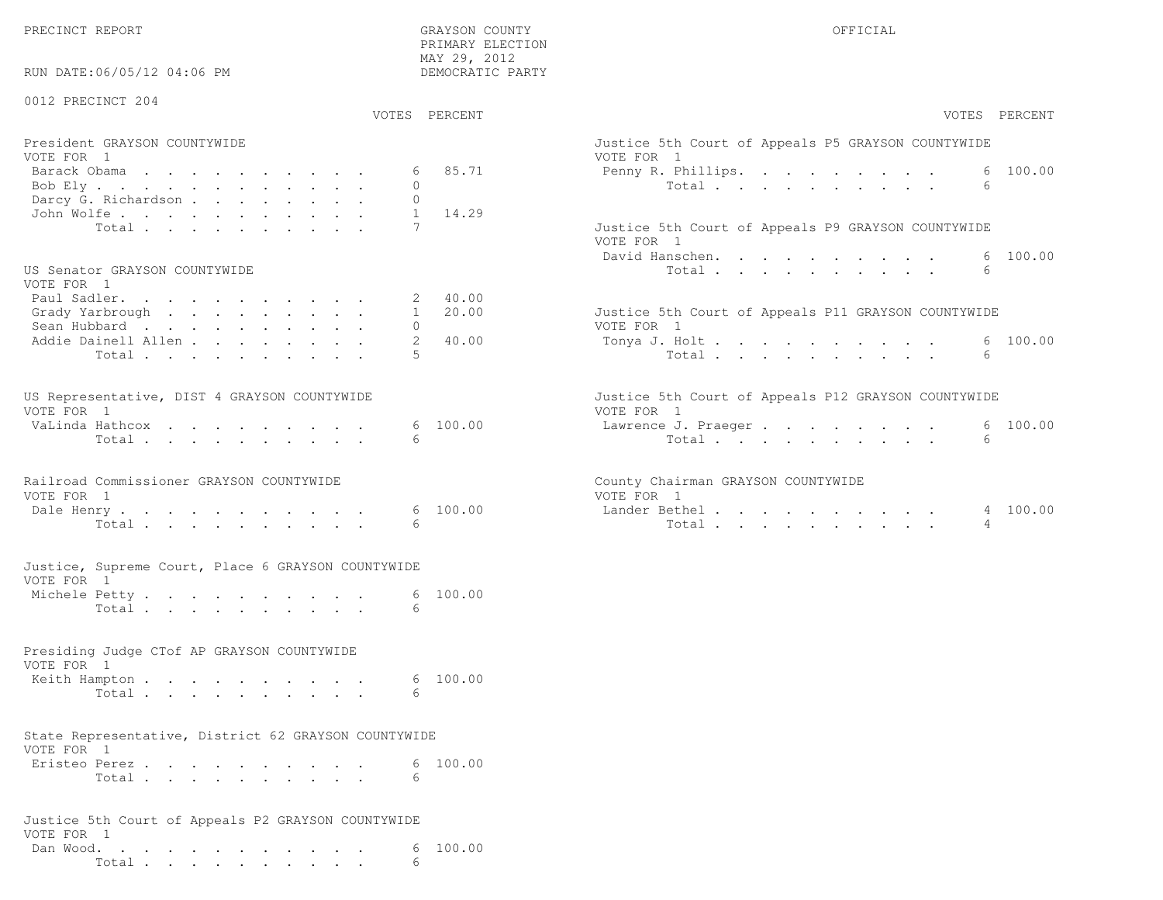| RUN DATE:06/05/12 04:06 PM                                         | PRIMARY ELECTION<br>MAY 29, 2012<br>DEMOCRATIC PARTY |                                                                   |
|--------------------------------------------------------------------|------------------------------------------------------|-------------------------------------------------------------------|
| 0012 PRECINCT 204                                                  | VOTES PERCENT                                        | VOTES PERCENT                                                     |
|                                                                    |                                                      |                                                                   |
| President GRAYSON COUNTYWIDE<br>VOTE FOR 1                         |                                                      | Justice 5th Court of Appeals P5 GRAYSON COUNTYWIDE<br>VOTE FOR 1  |
| Barack Obama                                                       | 6 85.71                                              | 6 100.00<br>Penny R. Phillips.                                    |
| Bob Ely                                                            | $\circ$                                              | Total $\cdot$<br>6                                                |
| Darcy G. Richardson                                                | $\mathbf{0}$                                         |                                                                   |
| John Wolfe.                                                        | $\mathbf{1}$<br>14.29                                |                                                                   |
| Total                                                              |                                                      | Justice 5th Court of Appeals P9 GRAYSON COUNTYWIDE<br>VOTE FOR 1  |
|                                                                    |                                                      | 100.00<br>David Hanschen.<br>6                                    |
| US Senator GRAYSON COUNTYWIDE<br>VOTE FOR 1                        |                                                      | Total<br>6                                                        |
| Paul Sadler.                                                       | 40.00<br>2                                           |                                                                   |
| Grady Yarbrough                                                    | 20.00<br>$\mathbf{1}$                                | Justice 5th Court of Appeals P11 GRAYSON COUNTYWIDE               |
| Sean Hubbard<br>Addie Dainell Allen                                | $\Omega$<br>40.00<br>2                               | VOTE FOR 1<br>6 100.00<br>Tonya J. Holt                           |
| Total                                                              | 5                                                    | 6<br>Total                                                        |
|                                                                    |                                                      |                                                                   |
| US Representative, DIST 4 GRAYSON COUNTYWIDE<br>VOTE FOR 1         |                                                      | Justice 5th Court of Appeals P12 GRAYSON COUNTYWIDE<br>VOTE FOR 1 |
| VaLinda Hathcox                                                    | 6 100.00                                             | 6 100.00<br>Lawrence J. Praeger                                   |
| Total                                                              | 6                                                    | Total<br>6                                                        |
| Railroad Commissioner GRAYSON COUNTYWIDE<br>VOTE FOR 1             |                                                      | County Chairman GRAYSON COUNTYWIDE<br>VOTE FOR 1                  |
| Dale Henry.                                                        | 100.00<br>6                                          | Lander Bethel.<br>4 100.00                                        |
| Total                                                              |                                                      | $\overline{4}$<br>Total                                           |
| Justice, Supreme Court, Place 6 GRAYSON COUNTYWIDE<br>VOTE FOR 1   |                                                      |                                                                   |
| Michele Petty                                                      | 6 100.00                                             |                                                                   |
| Total                                                              | 6                                                    |                                                                   |
| Presiding Judge CTof AP GRAYSON COUNTYWIDE<br>VOTE FOR 1           |                                                      |                                                                   |
| Keith Hampton                                                      | 6 100.00                                             |                                                                   |
| Total                                                              | 6                                                    |                                                                   |
| State Representative, District 62 GRAYSON COUNTYWIDE<br>VOTE FOR 1 |                                                      |                                                                   |
| Eristeo Perez                                                      | 6 100.00                                             |                                                                   |
| Total                                                              | 6                                                    |                                                                   |
| Justice 5th Court of Appeals P2 GRAYSON COUNTYWIDE<br>VOTE FOR 1   |                                                      |                                                                   |
| Dan Wood,                                                          | 6, 100, 00                                           |                                                                   |

Total . . . . . . . . . . 6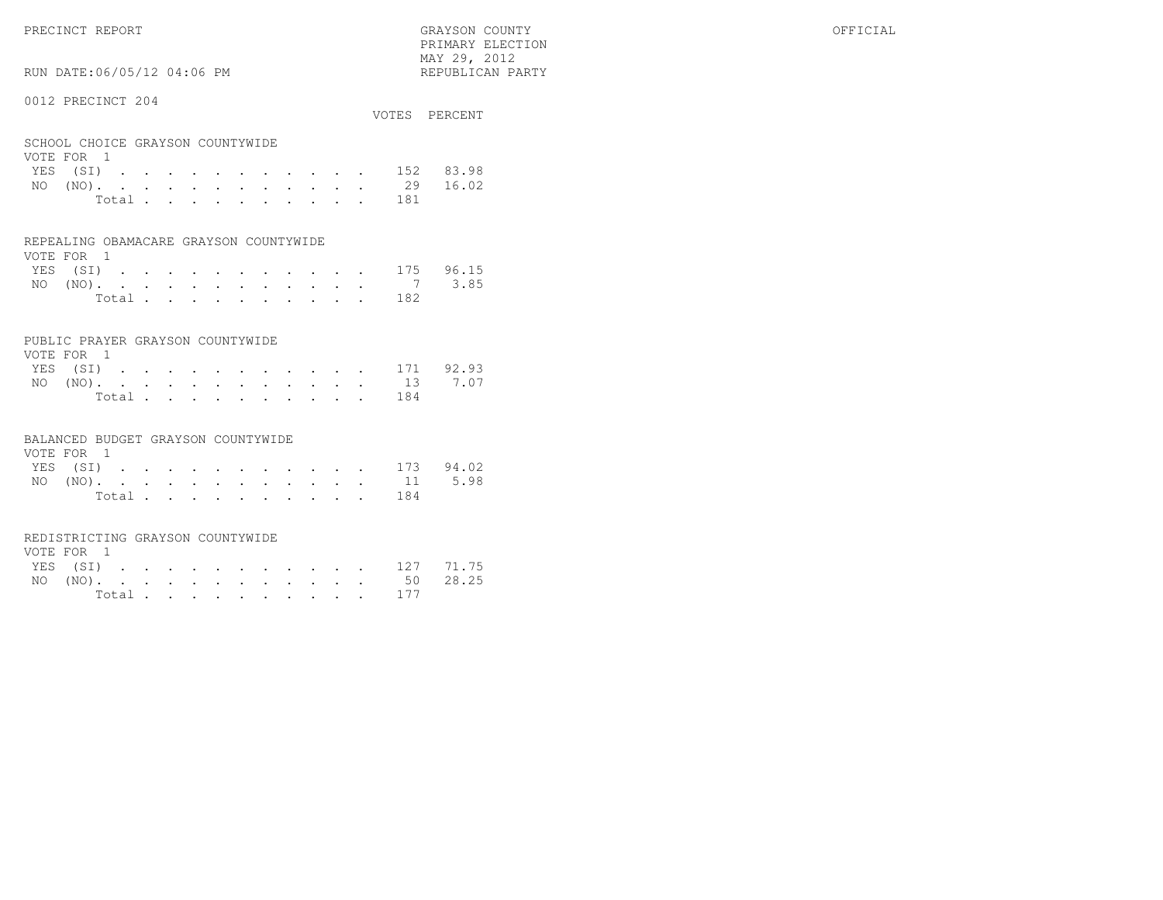PRIMARY ELECTION $\text{MAX } 29, \quad 2012$ 

# RUN DATE:06/05/12 04:06 PM

### 0012 PRECINCT 204

| UUIA FINDUINUI AUT                             |       |  |  |  |  |       | VOTES PERCENT      |
|------------------------------------------------|-------|--|--|--|--|-------|--------------------|
| SCHOOL CHOICE GRAYSON COUNTYWIDE<br>VOTE FOR 1 |       |  |  |  |  |       |                    |
|                                                |       |  |  |  |  |       | YES (SI) 152 83.98 |
|                                                |       |  |  |  |  |       | NO (NO). 29 16.02  |
|                                                | Total |  |  |  |  | - 181 |                    |

#### REPEALING OBAMACARE GRAYSON COUNTYWIDE

| VOTE FOR 1 |  |  |  |  |  |  |                    |  |
|------------|--|--|--|--|--|--|--------------------|--|
|            |  |  |  |  |  |  | YES (SI) 175 96.15 |  |
|            |  |  |  |  |  |  | NO (NO). 7 3.85    |  |
|            |  |  |  |  |  |  | Total 182          |  |

#### PUBLIC PRAYER GRAYSON COUNTYWIDE

| VOTE FOR 1 |  |  |  |  |  |           |                    |
|------------|--|--|--|--|--|-----------|--------------------|
|            |  |  |  |  |  |           | YES (SI) 171 92.93 |
|            |  |  |  |  |  |           | NO (NO). 13 7.07   |
|            |  |  |  |  |  | Total 184 |                    |

#### BALANCED BUDGET GRAYSON COUNTYWIDE

| VOTE FOR 1 |  |  |  |  |  |                    |  |
|------------|--|--|--|--|--|--------------------|--|
|            |  |  |  |  |  | YES (SI) 173 94.02 |  |
|            |  |  |  |  |  | NO (NO). 11 5.98   |  |
|            |  |  |  |  |  | Total 184          |  |

#### REDISTRICTING GRAYSON COUNTYWIDE

| VOTE FOR 1 |  |  |  |  |  |                    |  |
|------------|--|--|--|--|--|--------------------|--|
|            |  |  |  |  |  | YES (SI) 127 71.75 |  |
|            |  |  |  |  |  | NO (NO). 50 28.25  |  |
|            |  |  |  |  |  | Total 177          |  |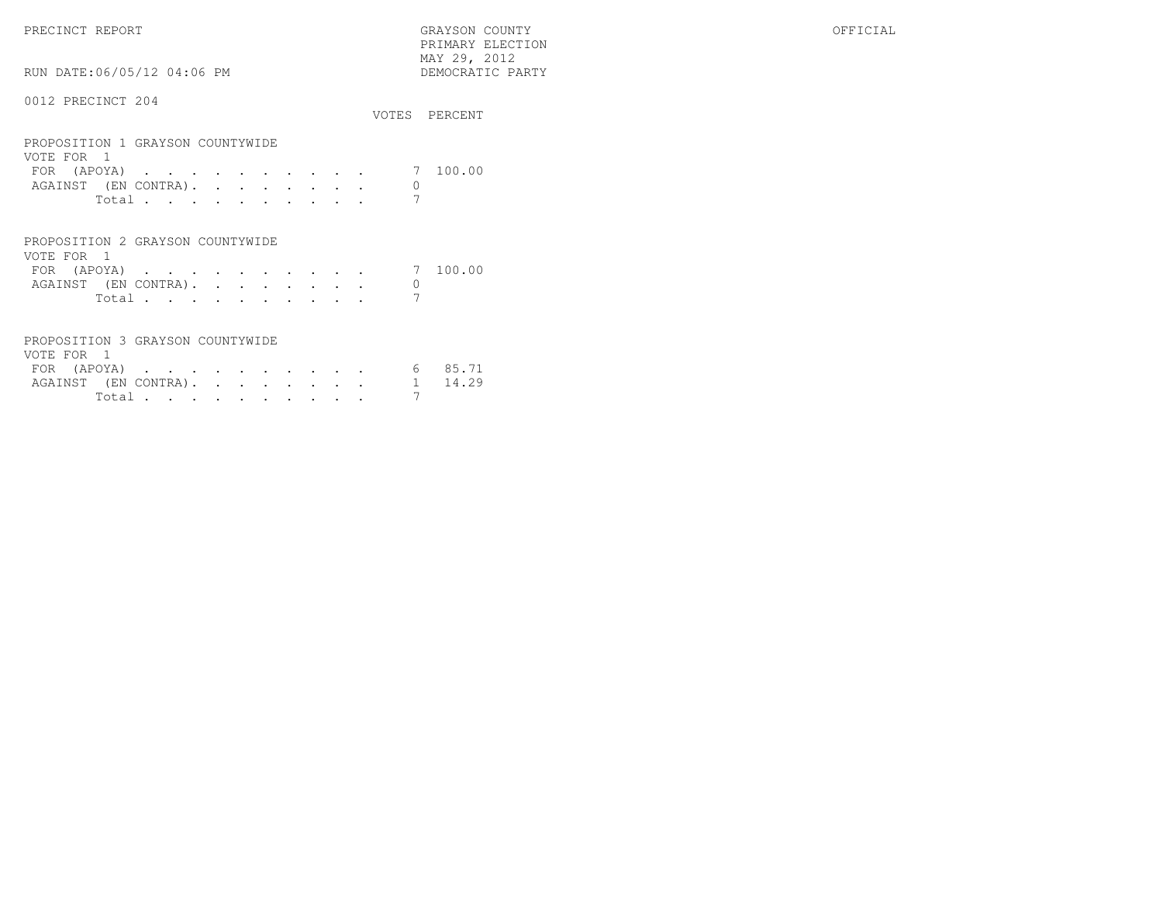PRECINCT REPORT GRAYSON COUNTY OFFICIAL PRIMARY ELECTION $\begin{array}{lll} \text{MAX} & 29, & 2012 \\ \text{NAY} & 29, & 2012 \end{array}$ 

### 0012 PRECINCT 204

RUN DATE:06/05/12 04:06 PM

| OUIL INDUINUI LUI                              |       |  |  |  |  | VOTES PERCENT |
|------------------------------------------------|-------|--|--|--|--|---------------|
| PROPOSITION 1 GRAYSON COUNTYWIDE<br>VOTE FOR 1 |       |  |  |  |  |               |
| FOR (APOYA) 7 100.00                           |       |  |  |  |  |               |
| AGAINST (EN CONTRA).                           |       |  |  |  |  |               |
|                                                | Total |  |  |  |  |               |

| PROPOSITION 2 GRAYSON COUNTYWIDE |  |  |  |  |       |  |
|----------------------------------|--|--|--|--|-------|--|
| VOTE FOR 1                       |  |  |  |  |       |  |
| FOR (APOYA) 7 100.00             |  |  |  |  |       |  |
| AGAINST (EN CONTRA).             |  |  |  |  |       |  |
|                                  |  |  |  |  | Total |  |

| PROPOSITION 3 GRAYSON COUNTYWIDE |  |  |
|----------------------------------|--|--|
| VOTE FOR                         |  |  |

| VUILLE LUINE |  |  |  |  |  |                              |         |
|--------------|--|--|--|--|--|------------------------------|---------|
| FOR (APOYA)  |  |  |  |  |  |                              | 6 85.71 |
|              |  |  |  |  |  | AGAINST (EN CONTRA). 1 14.29 |         |
|              |  |  |  |  |  |                              |         |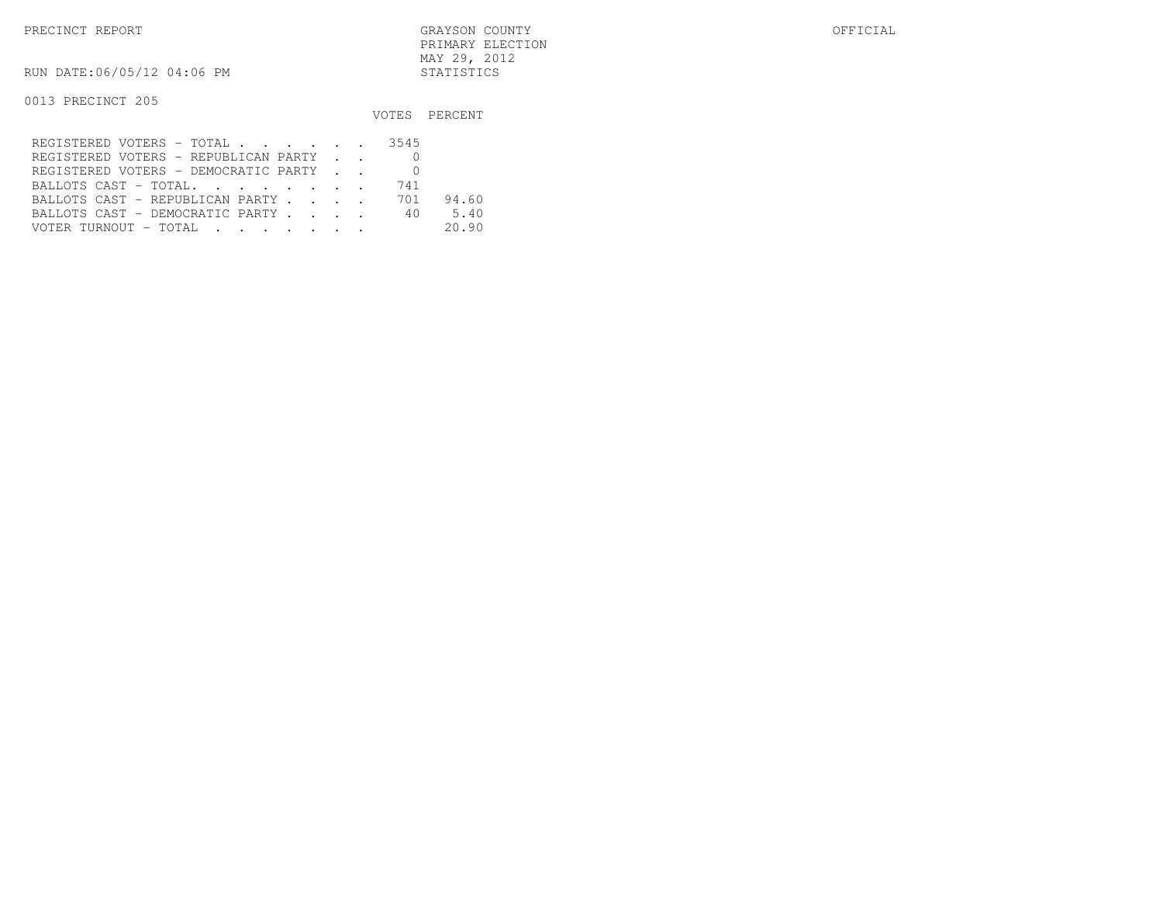PRECINCT REPORT GRAYSON COUNTY OFFICIAL PRIMARY ELECTIONMAY 29, 2012

RUN DATE:06/05/12 04:06 PM STATISTICS

|                                                                                                                                            |     | VOTES PERCENT |
|--------------------------------------------------------------------------------------------------------------------------------------------|-----|---------------|
| REGISTERED VOTERS - TOTAL 3545                                                                                                             |     |               |
| REGISTERED VOTERS - REPUBLICAN PARTY                                                                                                       |     |               |
| REGISTERED VOTERS - DEMOCRATIC PARTY                                                                                                       |     |               |
| BALLOTS CAST - TOTAL.                                                                                                                      | 741 |               |
| BALLOTS CAST - REPUBLICAN PARTY                                                                                                            | 701 | 94.60         |
| BALLOTS CAST - DEMOCRATIC PARTY                                                                                                            |     | 40 —<br>5.40  |
| VOTER TURNOUT - TOTAL .<br>the contract of the contract of the contract of the contract of the contract of the contract of the contract of |     | 20.90         |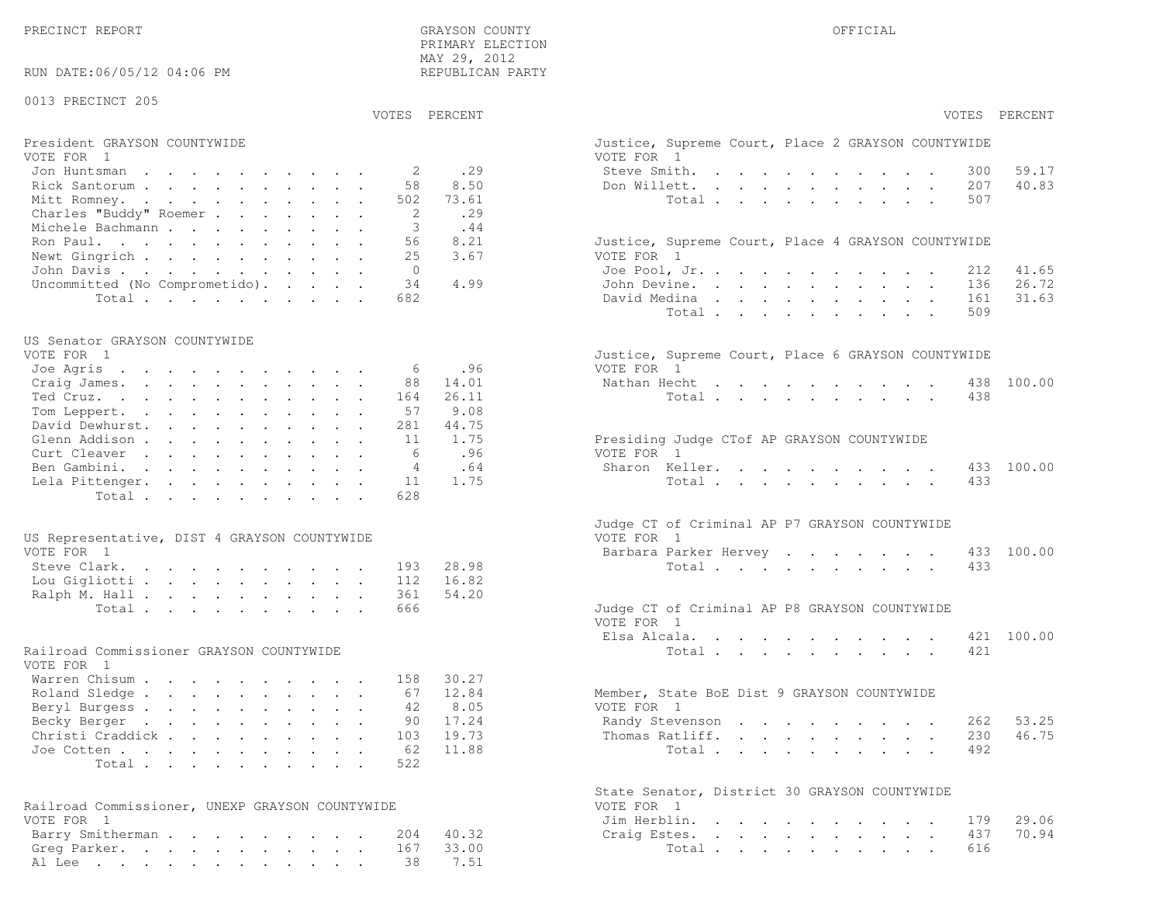PRECINCT REPORT GRAYSON COUNTY OFFICIALPRIMARY ELECTION

| RUN DATE:06/05/12 04:06 PM                                 | MAY 29, 2012<br>REPUBLICAN PARTY |                                                                  |                |
|------------------------------------------------------------|----------------------------------|------------------------------------------------------------------|----------------|
| 0013 PRECINCT 205                                          |                                  |                                                                  |                |
|                                                            | VOTES PERCENT                    | VOTES PERCENT                                                    |                |
| President GRAYSON COUNTYWIDE<br>VOTE FOR 1                 |                                  | Justice, Supreme Court, Place 2 GRAYSON COUNTYWIDE<br>VOTE FOR 1 |                |
| Jon Huntsman                                               | .29<br>2                         | Steve Smith.<br>300                                              | 59.17          |
| Rick Santorum                                              | 8.50<br>58                       | Don Willett.<br>207                                              | 40.83          |
| Mitt Romney.                                               | 73.61<br>502                     | Total<br>507                                                     |                |
| Charles "Buddy" Roemer                                     | 2<br>.29                         |                                                                  |                |
| Michele Bachmann<br>Ron Paul.                              | 3<br>.44<br>8.21<br>56           | Justice, Supreme Court, Place 4 GRAYSON COUNTYWIDE               |                |
| Newt Gingrich                                              | 3.67<br>25                       | VOTE FOR 1                                                       |                |
| John Davis                                                 | $\Omega$                         | Joe Pool, Jr.<br>212                                             | 41.65          |
| Uncommitted (No Comprometido).                             | 4.99<br>34                       | John Devine.<br>136                                              | 26.72          |
| Total                                                      | 682                              | David Medina<br>161                                              | 31.63          |
|                                                            |                                  | Total<br>509                                                     |                |
| US Senator GRAYSON COUNTYWIDE                              |                                  |                                                                  |                |
| VOTE FOR 1                                                 |                                  | Justice, Supreme Court, Place 6 GRAYSON COUNTYWIDE               |                |
| Joe Agris                                                  | .96<br>6<br>14.01                | VOTE FOR 1<br>Nathan Hecht                                       |                |
| Craig James.<br>Ted Cruz.                                  | 88<br>26.11<br>164               | 438 100.00<br>Total<br>438                                       |                |
| Tom Leppert.                                               | 57<br>9.08                       |                                                                  |                |
| David Dewhurst.                                            | 44.75<br>281                     |                                                                  |                |
| Glenn Addison                                              | 1.75<br>11                       | Presiding Judge CTof AP GRAYSON COUNTYWIDE                       |                |
| Curt Cleaver                                               | .96<br>6                         | VOTE FOR 1                                                       |                |
| Ben Gambini.                                               | .64<br>4                         | Sharon Keller.<br>433 100.00                                     |                |
| Lela Pittenger.                                            | 1.75<br>11                       | Total<br>433                                                     |                |
| Total                                                      | 628                              |                                                                  |                |
|                                                            |                                  | Judge CT of Criminal AP P7 GRAYSON COUNTYWIDE                    |                |
| US Representative, DIST 4 GRAYSON COUNTYWIDE<br>VOTE FOR 1 |                                  | VOTE FOR 1<br>Barbara Parker Hervey<br>433 100.00                |                |
| Steve Clark.                                               | 28.98<br>193                     | Total<br>433                                                     |                |
| Lou Gigliotti                                              | 16.82<br>112                     |                                                                  |                |
| Ralph M. Hall                                              | 54.20<br>361                     |                                                                  |                |
| Total                                                      | 666                              | Judge CT of Criminal AP P8 GRAYSON COUNTYWIDE                    |                |
|                                                            |                                  | VOTE FOR 1<br>421 100.00                                         |                |
| Railroad Commissioner GRAYSON COUNTYWIDE                   |                                  | Elsa Alcala.<br>Total<br>421                                     |                |
| VOTE FOR 1                                                 |                                  |                                                                  |                |
| Warren Chisum                                              | 30.27<br>158                     |                                                                  |                |
| Roland Sledge 67                                           | 12.84                            | Member, State BoE Dist 9 GRAYSON COUNTYWIDE                      |                |
| Beryl Burgess                                              | 8.05<br>42                       | VOTE FOR 1                                                       |                |
| Becky Berger                                               | 17.24<br>90                      | Randy Stevenson<br>262                                           | 53.25          |
| Christi Craddick                                           | 19.73<br>103                     | Thomas Ratliff.<br>230                                           | 46.75          |
| Joe Cotten                                                 | 11.88<br>62                      | Total<br>492                                                     |                |
| Total                                                      | 522                              |                                                                  |                |
|                                                            |                                  | State Senator, District 30 GRAYSON COUNTYWIDE                    |                |
| Railroad Commissioner, UNEXP GRAYSON COUNTYWIDE            |                                  | VOTE FOR 1                                                       |                |
| VOTE FOR 1                                                 | 40.32                            | Jim Herblin.<br>179<br>437                                       | 29.06<br>70.94 |
| Barry Smitherman<br>Greg Parker.                           | 204<br>167<br>33.00              | Craig Estes.<br>Total<br>616                                     |                |
| Al Lee                                                     | 38<br>7.51                       |                                                                  |                |
|                                                            |                                  |                                                                  |                |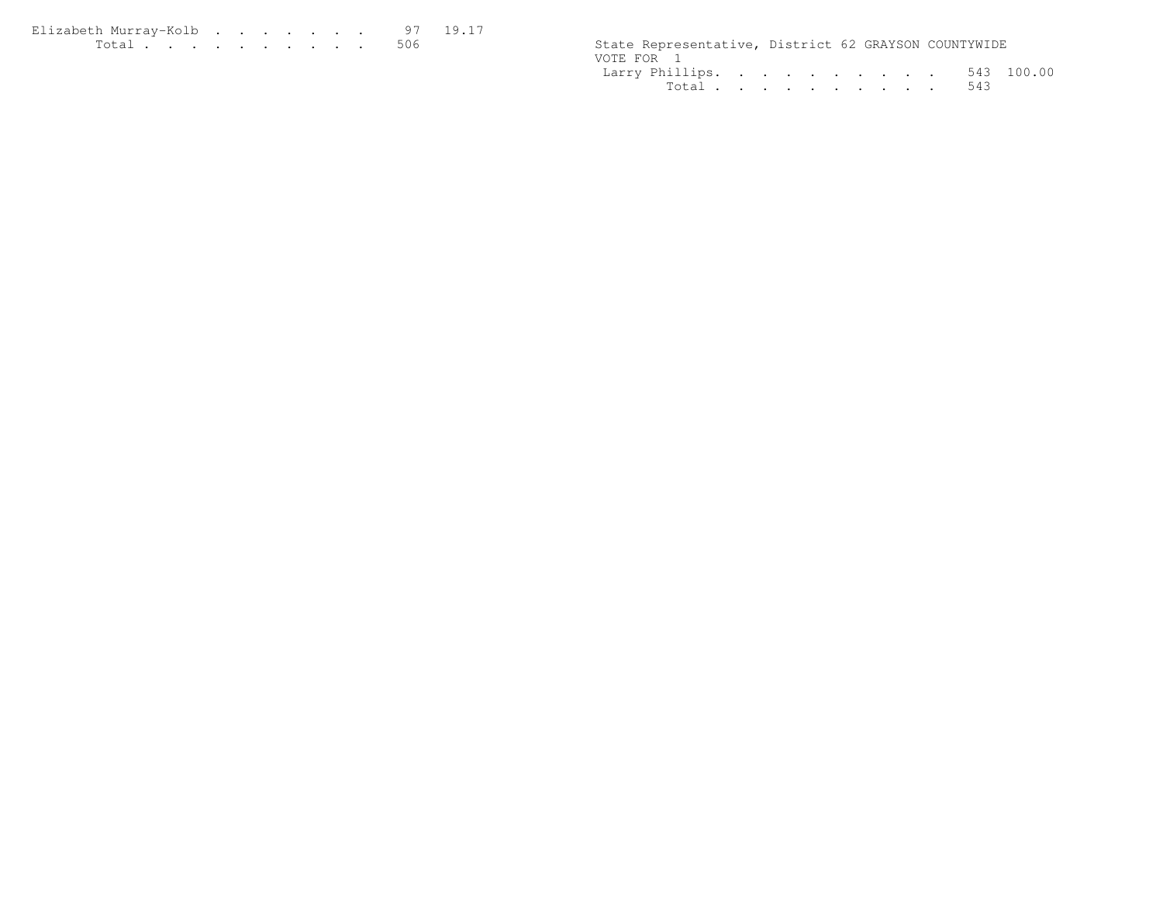| Elizabeth Murrav-Kolb 97 19.17 |  |  |  |  |  |                                                      |  |  |
|--------------------------------|--|--|--|--|--|------------------------------------------------------|--|--|
| . 506                          |  |  |  |  |  | State Representative, District 62 GRAYSON COUNTYWIDE |  |  |

| 19.17 | State Representative, District 62 GRAYSON COUNTYWIDE |
|-------|------------------------------------------------------|
|       | VOTE FOR 1                                           |
|       | Larry Phillips. 543 100.00                           |
|       | Total, , , , , , , , , , , 543                       |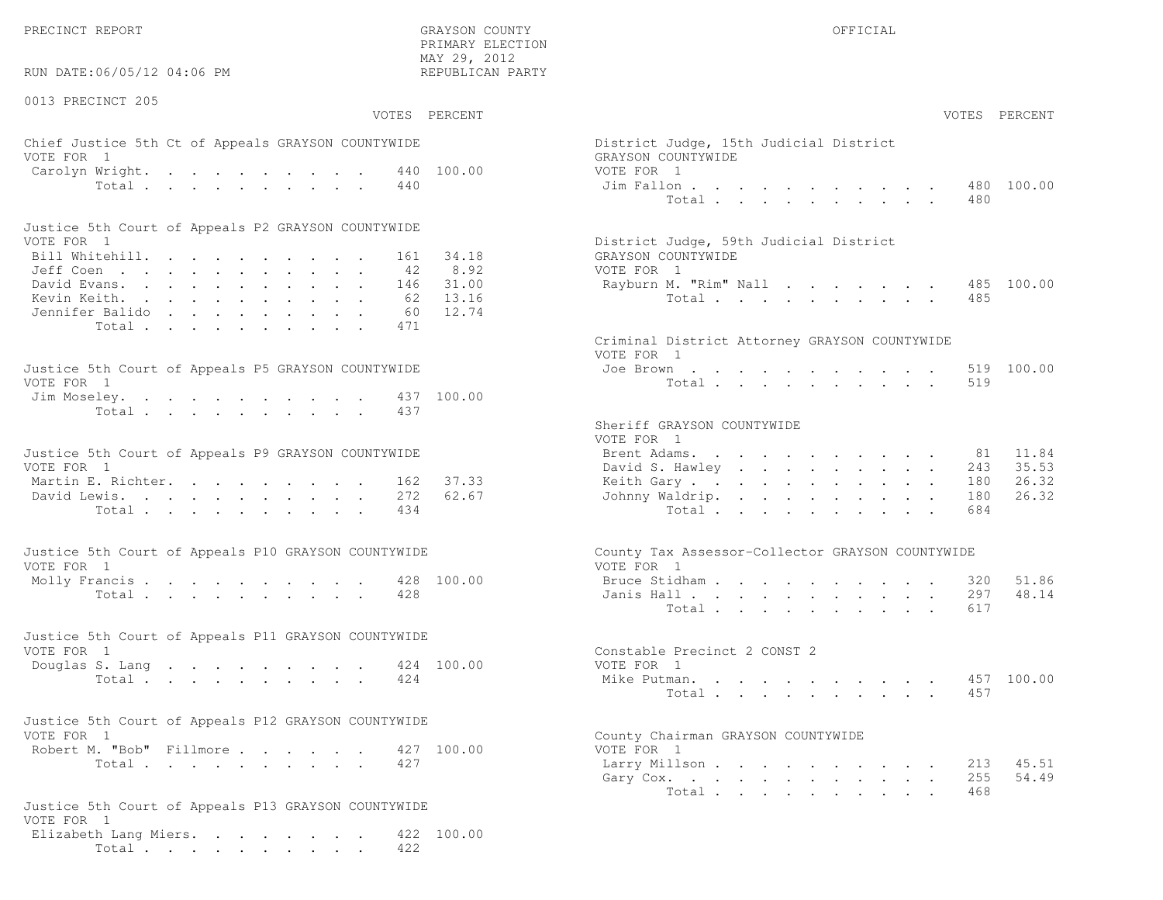RUN DATE:06/05/12 04:06 PM

0013 PRECINCT 205

VOTES PERCENT VOTES PERCENT

 PRIMARY ELECTION MAY 29, 2012REPUBLICAN PARTY

## Chief Justice 5th Ct of Appeals GRAYSON COUNTYWIDE District District District District Only 15th Judge VOTE FOR 1 GRAYSON COUNTY OF REAL EXPLORER COUNTY OF REAL EXPLORER COUNTY OF REAL EXPLORER COUNTY OF REAL EXPLORER COUNTY OF REAL EXPLORER COUNTY OF REAL EXPLORER COUNTY OF REAL EXPLORER COUNTY OF REAL EXPLORER COUNTY OF R Carolyn Wright. . . . . . . . . 440 100.00 VOTE Total . . . . . . . . . . 440 Jim

| Justice 5th Court of Appeals P2 GRAYSON COUNTYWIDE |  |  |  |  |  |                                        |
|----------------------------------------------------|--|--|--|--|--|----------------------------------------|
| VOTE FOR 1                                         |  |  |  |  |  | District Judge, 59th Judicial District |
| Bill Whitehill. 161 34.18                          |  |  |  |  |  | GRAYSON COUNTYWIDE                     |
| Jeff Coen 42 8.92                                  |  |  |  |  |  | VOTE FOR 1                             |
| David Evans. 146 31.00                             |  |  |  |  |  | Rayburn M. "Rim" Nall 485 100.00       |
| Kevin Keith. 62 13.16                              |  |  |  |  |  | Total 485                              |
| Jennifer Balido 60 12.74                           |  |  |  |  |  |                                        |
| Total 471                                          |  |  |  |  |  |                                        |

| Justice 5th Court of Appeals P5 GRAYSON COUNTYWIDE | Joe Brown 519 100.00 |
|----------------------------------------------------|----------------------|
| VOTE FOR 1                                         | Total 519            |
| Jim Moseley. 437 100.00                            |                      |
| Total 437                                          |                      |

| Justice 5th Court of Appeals P9 GRAYSON COUNTYWIDE | Brent Adams. 81 11.84                                  |
|----------------------------------------------------|--------------------------------------------------------|
|                                                    | David S. Hawley 243 35.53                              |
|                                                    | Keith Gary 180 26.32                                   |
|                                                    | Johnny Waldrip. 180 26.32                              |
| Total 434                                          | Total 684                                              |
|                                                    | Martin E. Richter. 162 37.33<br>David Lewis. 272 62.67 |

| Justice 5th Court of Appeals P10 GRAYSON COUNTYWIDE | County Tax Assessor-Collector GRAYSON COUNTYWIDE |
|-----------------------------------------------------|--------------------------------------------------|
| VOTE FOR 1                                          | VOTE FOR 1                                       |
| Molly Francis 428 100.00                            | Bruce Stidham 320 51.86                          |
| Total 428                                           | Janis Hall 297 48.14                             |

| Justice 5th Court of Appeals P11 GRAYSON COUNTYWIDE |           |  |  |  |  |  |                              |  |
|-----------------------------------------------------|-----------|--|--|--|--|--|------------------------------|--|
| VOTE FOR 1                                          |           |  |  |  |  |  | Constable Precinct 2 CONST 2 |  |
| Douglas S. Lang 424 100.00                          |           |  |  |  |  |  | VOTE FOR 1                   |  |
|                                                     | Total 424 |  |  |  |  |  | Mike Putman. 457 100.00      |  |

| Justice 5th Court of Appeals P12 GRAYSON COUNTYWIDE |           |  |  |  |                                    |
|-----------------------------------------------------|-----------|--|--|--|------------------------------------|
| VOTE FOR 1                                          |           |  |  |  | County Chairman GRAYSON COUNTYWIDE |
| Robert M. "Bob" Fillmore 427 100.00                 |           |  |  |  | VOTE FOR 1                         |
|                                                     | Total 427 |  |  |  | Larry Millson                      |

```
Justice 5th Court of Appeals P13 GRAYSON COUNTYWIDEVOTE FOR 1
Elizabeth Lang Miers. . . . . . . . 422 100.00Total . . . . . . . . . . 422
```

| MTLIUMI TIIMATTAM<br>AY 29, 2012<br>EPUBLICAN PARTY |                                                                            |                          |  |                              |  |  |                                                                                                                                                                                                                                                                                                                                                                                                                                                            |                                              |                   |                         |
|-----------------------------------------------------|----------------------------------------------------------------------------|--------------------------|--|------------------------------|--|--|------------------------------------------------------------------------------------------------------------------------------------------------------------------------------------------------------------------------------------------------------------------------------------------------------------------------------------------------------------------------------------------------------------------------------------------------------------|----------------------------------------------|-------------------|-------------------------|
| PERCENT                                             |                                                                            |                          |  |                              |  |  |                                                                                                                                                                                                                                                                                                                                                                                                                                                            |                                              |                   | VOTES PERCENT           |
| 100.00                                              | District Judge, 15th Judicial District<br>GRAYSON COUNTYWIDE<br>VOTE FOR 1 |                          |  |                              |  |  |                                                                                                                                                                                                                                                                                                                                                                                                                                                            |                                              |                   |                         |
|                                                     | Jim Fallon                                                                 | Total                    |  |                              |  |  |                                                                                                                                                                                                                                                                                                                                                                                                                                                            |                                              | 480<br>480        | 100.00                  |
| 34.18<br>8.92                                       | District Judge, 59th Judicial District<br>GRAYSON COUNTYWIDE<br>VOTE FOR 1 |                          |  |                              |  |  |                                                                                                                                                                                                                                                                                                                                                                                                                                                            |                                              |                   |                         |
| 31.00<br>13.16<br>12.74                             | Rayburn M. "Rim" Nall                                                      | Total                    |  |                              |  |  |                                                                                                                                                                                                                                                                                                                                                                                                                                                            |                                              | 485<br>485        | 100.00                  |
|                                                     | Criminal District Attorney GRAYSON COUNTYWIDE<br>VOTE FOR 1                |                          |  |                              |  |  |                                                                                                                                                                                                                                                                                                                                                                                                                                                            |                                              |                   |                         |
| 100.00                                              | Joe Brown                                                                  | Total                    |  |                              |  |  |                                                                                                                                                                                                                                                                                                                                                                                                                                                            | and a series of the series of the series of  | 519<br>519        | 100.00                  |
|                                                     | Sheriff GRAYSON COUNTYWIDE<br>VOTE FOR 1                                   |                          |  |                              |  |  |                                                                                                                                                                                                                                                                                                                                                                                                                                                            |                                              |                   |                         |
| 37.33                                               | Brent Adams.<br>David S. Hawley<br>Keith Gary                              |                          |  |                              |  |  | $\mathbf{1} \qquad \mathbf{1} \qquad \mathbf{1} \qquad \mathbf{1} \qquad \mathbf{1} \qquad \mathbf{1} \qquad \mathbf{1} \qquad \mathbf{1} \qquad \mathbf{1} \qquad \mathbf{1} \qquad \mathbf{1} \qquad \mathbf{1} \qquad \mathbf{1} \qquad \mathbf{1} \qquad \mathbf{1} \qquad \mathbf{1} \qquad \mathbf{1} \qquad \mathbf{1} \qquad \mathbf{1} \qquad \mathbf{1} \qquad \mathbf{1} \qquad \mathbf{1} \qquad \mathbf{1} \qquad \mathbf{1} \qquad \mathbf{$ | $\ddot{\phantom{0}}$<br>$\ddot{\phantom{0}}$ | 81<br>243<br>180  | 11.84<br>35.53<br>26.32 |
| 62.67                                               | Johnny Waldrip.                                                            | Total                    |  |                              |  |  | $\mathbf{A}^{\mathrm{max}}$                                                                                                                                                                                                                                                                                                                                                                                                                                |                                              | 180<br>684        | 26.32                   |
|                                                     | County Tax Assessor-Collector GRAYSON COUNTYWIDE<br>VOTE FOR 1             |                          |  |                              |  |  |                                                                                                                                                                                                                                                                                                                                                                                                                                                            |                                              |                   |                         |
| 100.00                                              | Bruce Stidham<br>Janis Hall                                                | Total $\cdots$           |  | and a strain and a strain of |  |  | $\mathbf{r} = \mathbf{r} \cdot \mathbf{r}$ .                                                                                                                                                                                                                                                                                                                                                                                                               |                                              | 320<br>297<br>617 | 51.86<br>48.14          |
| 100.00                                              | Constable Precinct 2 CONST 2<br>VOTE FOR 1                                 |                          |  |                              |  |  |                                                                                                                                                                                                                                                                                                                                                                                                                                                            |                                              |                   |                         |
|                                                     | Mike Putman.                                                               | Total                    |  |                              |  |  |                                                                                                                                                                                                                                                                                                                                                                                                                                                            |                                              | 457<br>457        | 100.00                  |
| 100.00                                              | County Chairman GRAYSON COUNTYWIDE<br>VOTE FOR 1                           |                          |  |                              |  |  |                                                                                                                                                                                                                                                                                                                                                                                                                                                            |                                              |                   |                         |
|                                                     | Larry Millson<br>Gary Cox.                                                 | Total, , , , , , , , , , |  |                              |  |  | and a strong control of the strong strong                                                                                                                                                                                                                                                                                                                                                                                                                  |                                              | 255<br>468        | 213 45.51<br>54.49      |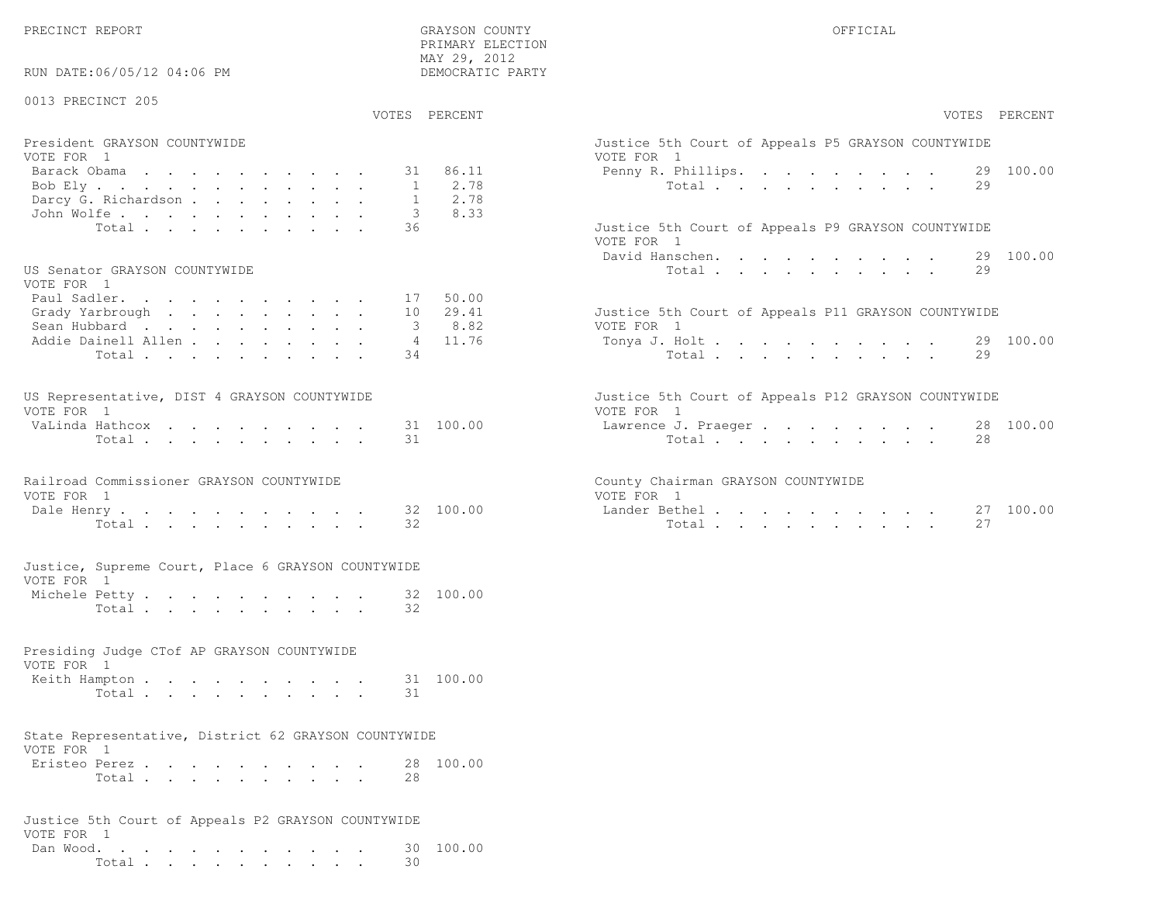RUN DATE:06/05/12 04:06 PM

## 0013 PRECINCT 205

VOTES PERCENT VOTES PERCENT

 PRIMARY ELECTION MAY 29, 2012DEMOCRATIC PARTY

| President GRAYSON COUNTYWIDE<br>VOTE FOR 1 | Justice 5th Court of Appeals P5 GRAYSON COUNTYWIDE<br>VOTE FOR 1 |
|--------------------------------------------|------------------------------------------------------------------|
|                                            |                                                                  |
| Barack Obama 31 86.11                      | Penny R. Phillips. 29 100.00                                     |
| Bob Ely 1 2.78                             | Total 29                                                         |
| Darcy G. Richardson 1 2.78                 |                                                                  |
| John Wolfe. 3 8.33                         |                                                                  |
| Total 36                                   | Justice 5th Court of Appeals P9 GRAYSON COUNTYWIDE               |

#### US Senator GRAYSON COUNTYWIDE

| VOTE FOR 1                                                         |  |  |  |  |  |                                                     |  |
|--------------------------------------------------------------------|--|--|--|--|--|-----------------------------------------------------|--|
| Paul Sadler. 17 50.00                                              |  |  |  |  |  |                                                     |  |
| Grady Yarbrough $\ldots$ , $\ldots$ , $\ldots$ , $\ldots$ 10 29.41 |  |  |  |  |  | Justice 5th Court of Appeals P11 GRAYSON COUNTYWIDE |  |
| Sean Hubbard 3 8.82                                                |  |  |  |  |  | VOTE FOR 1                                          |  |
| Addie Dainell Allen 4 11.76                                        |  |  |  |  |  | Tonya J. Holt 29 100.00                             |  |
| Total34                                                            |  |  |  |  |  | Total. 29                                           |  |

| US Representative, DIST 4 GRAYSON COUNTYWIDE |  |  |  |  |  | Justice 5th Court of Appeals P12 GRAYSON COUNTYWIDE |  |
|----------------------------------------------|--|--|--|--|--|-----------------------------------------------------|--|
| VOTE FOR 1                                   |  |  |  |  |  | VOTE FOR 1                                          |  |
| VaLinda Hathcox 31 100.00                    |  |  |  |  |  | Lawrence J. Praeger 28 100.00                       |  |
| Total 31                                     |  |  |  |  |  | Total 28                                            |  |

|            | Railroad Commissioner GRAYSON COUNTYWIDE |                      | County Chairman GRAYSON COUNTYWIDE |  |
|------------|------------------------------------------|----------------------|------------------------------------|--|
| VOTE FOR 1 |                                          |                      | VOTE FOR 1                         |  |
|            |                                          | Dale Henry 32 100.00 | Lander Bethel                      |  |

|            |  |  |  | Justice, Supreme Court, Place 6 GRAYSON COUNTYWIDE |  |
|------------|--|--|--|----------------------------------------------------|--|
| VOTE FOR 1 |  |  |  |                                                    |  |

| Michele Petty |       |  |  |  |  |  | 32 100.00 |
|---------------|-------|--|--|--|--|--|-----------|
|               | Total |  |  |  |  |  |           |

# Presiding Judge CTof AP GRAYSON COUNTYWIDEVOTE FOR 1

|  | Keith Hampton |  |  |  |  |  |          | 31 100.00 |
|--|---------------|--|--|--|--|--|----------|-----------|
|  |               |  |  |  |  |  | Total 31 |           |
|  |               |  |  |  |  |  |          |           |

#### State Representative, District 62 GRAYSON COUNTYWIDEVOTE FOR 1

| VUIL FUNIL    |       |  |  |  |  |  |           |
|---------------|-------|--|--|--|--|--|-----------|
| Eristeo Perez |       |  |  |  |  |  | 28 100.00 |
|               | Total |  |  |  |  |  |           |

| Justice 5th Court of Appeals P2 GRAYSON COUNTYWIDE |  |  |  |  |  |        |                     |
|----------------------------------------------------|--|--|--|--|--|--------|---------------------|
| VOTE FOR 1                                         |  |  |  |  |  |        | Dan Wood. 30 100.00 |
|                                                    |  |  |  |  |  | Total. |                     |

| VOTES PERCENT                                                                                                                                                   | VOTES PERCENT                                                                                                         |
|-----------------------------------------------------------------------------------------------------------------------------------------------------------------|-----------------------------------------------------------------------------------------------------------------------|
| President GRAYSON COUNTYWIDE<br>VOTE FOR 1<br>31 86.11<br>Barack Obama<br>2.78<br>Bob Ely<br>2.78<br>Darcy G. Richardson<br>8.33<br>John Wolfe.                 | Justice 5th Court of Appeals P5 GRAYSON COUNTYWIDE<br>VOTE FOR 1<br>Penny R. Phillips. 29 100.00<br>29<br>Total       |
| 36<br>Total                                                                                                                                                     | Justice 5th Court of Appeals P9 GRAYSON COUNTYWIDE<br>VOTE FOR 1<br>29 100.00<br>David Hanschen.                      |
| US Senator GRAYSON COUNTYWIDE<br>VOTE FOR 1<br>Paul Sadler.<br>50.00<br>17<br>29.41<br>Grady Yarbrough<br>10<br>8.82<br>Sean Hubbard<br>11.76<br>$\overline{4}$ | 29<br>Total<br>Justice 5th Court of Appeals P11 GRAYSON COUNTYWIDE<br>VOTE FOR 1                                      |
| Addie Dainell Allen<br>34<br>Total                                                                                                                              | Tonya J. Holt 29 100.00<br>Total<br>29                                                                                |
| US Representative, DIST 4 GRAYSON COUNTYWIDE<br>VOTE FOR 1<br>31 100.00<br>VaLinda Hathcox<br>.31<br>Total                                                      | Justice 5th Court of Appeals P12 GRAYSON COUNTYWIDE<br>VOTE FOR 1<br>28 100.00<br>Lawrence J. Praeger<br>2.8<br>Total |
| Railroad Commissioner GRAYSON COUNTYWIDE<br>VOTE FOR 1<br>32 100.00<br>Dale Henry<br>32<br>Total.                                                               | County Chairman GRAYSON COUNTYWIDE<br>VOTE FOR 1<br>27 100.00<br>Lander Bethel<br>27<br>Total                         |
| Justice, Supreme Court, Place 6 GRAYSON COUNTYWIDE                                                                                                              |                                                                                                                       |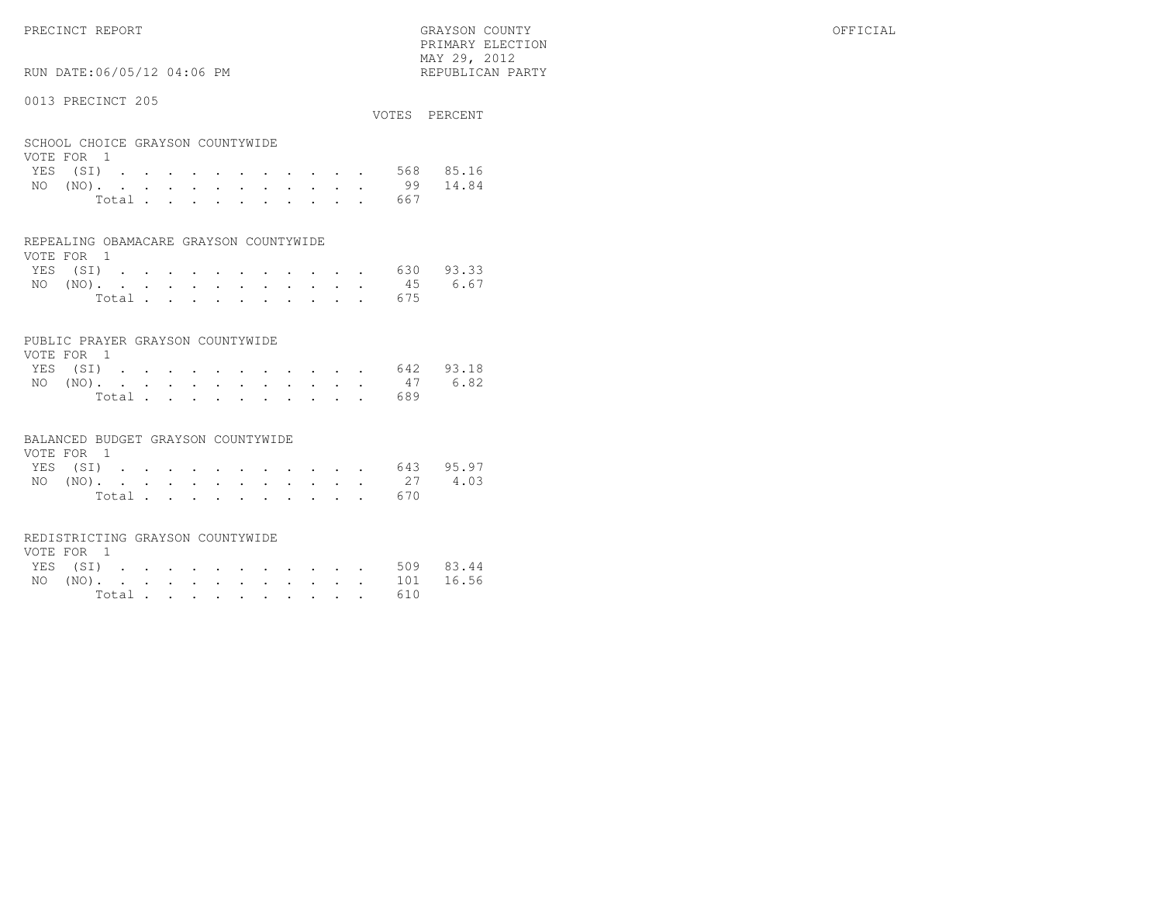PRIMARY ELECTION $\text{MAX } 29, \quad 2012$ 

# RUN DATE:06/05/12 04:06 PM

### 0013 PRECINCT 205

| OUIU INDUINUI 20U                              |  |  |  |  |  |  | VOTES PERCENT |
|------------------------------------------------|--|--|--|--|--|--|---------------|
| SCHOOL CHOICE GRAYSON COUNTYWIDE<br>VOTE FOR 1 |  |  |  |  |  |  |               |
| YES (SI)                                       |  |  |  |  |  |  | 568 85.16     |
| $NO (NO)$ .                                    |  |  |  |  |  |  | 99 14.84      |

| Total |  |  |  |  |  | 667 |  |
|-------|--|--|--|--|--|-----|--|

#### REPEALING OBAMACARE GRAYSON COUNTYWIDE

| VOTE FOR 1 |  |  |  |  |  |  |                    |  |
|------------|--|--|--|--|--|--|--------------------|--|
|            |  |  |  |  |  |  | YES (SI) 630 93.33 |  |
|            |  |  |  |  |  |  | NO (NO). 45 6.67   |  |
|            |  |  |  |  |  |  | Total 675          |  |

### PUBLIC PRAYER GRAYSON COUNTYWIDE

| VOTE FOR 1 |  |  |  |  |  |           |                    |
|------------|--|--|--|--|--|-----------|--------------------|
|            |  |  |  |  |  |           | YES (SI) 642 93.18 |
|            |  |  |  |  |  |           | NO (NO). 47 6.82   |
|            |  |  |  |  |  | Total 689 |                    |

#### BALANCED BUDGET GRAYSON COUNTYWIDE

| VOTE FOR 1 |  |  |  |  |  |                    |  |
|------------|--|--|--|--|--|--------------------|--|
|            |  |  |  |  |  | YES (SI) 643 95.97 |  |
|            |  |  |  |  |  | NO (NO). 27 4.03   |  |
|            |  |  |  |  |  | Total 670          |  |

#### REDISTRICTING GRAYSON COUNTYWIDE

| VOTE FOR 1 |  |  |  |  |  |           |                    |  |
|------------|--|--|--|--|--|-----------|--------------------|--|
|            |  |  |  |  |  |           | YES (SI) 509 83.44 |  |
|            |  |  |  |  |  |           | NO (NO). 101 16.56 |  |
|            |  |  |  |  |  | Total 610 |                    |  |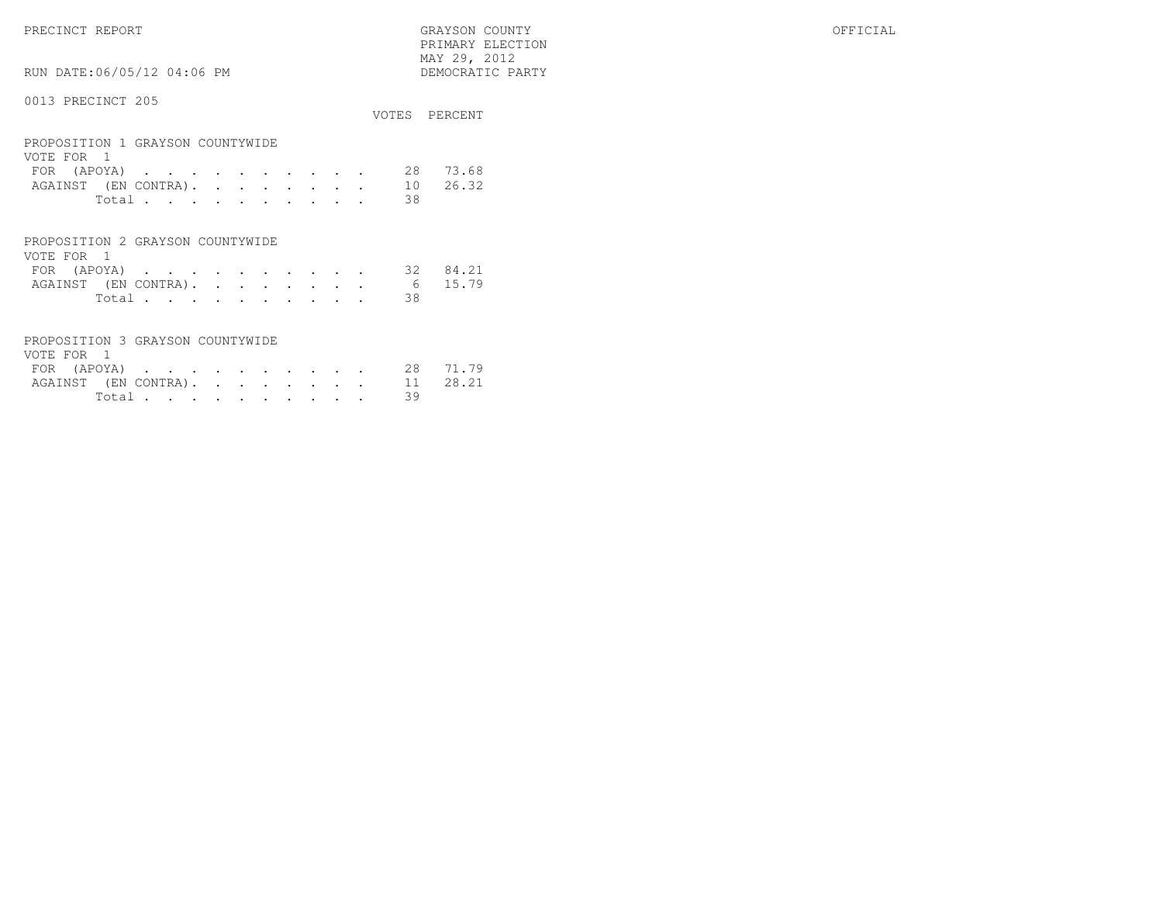PRECINCT REPORT GRAYSON COUNTY OFFICIAL PRIMARY ELECTION $\begin{array}{lll} \text{MAX} & 29, & 2012 \\ \text{NAY} & 29, & 2012 \end{array}$ 

# RUN DATE:06/05/12 04:06 PM

|                                                |       |  |  |  |  |  |    | VOTES PERCENT |
|------------------------------------------------|-------|--|--|--|--|--|----|---------------|
| PROPOSITION 1 GRAYSON COUNTYWIDE<br>VOTE FOR 1 |       |  |  |  |  |  |    |               |
| FOR (APOYA)                                    |       |  |  |  |  |  | 28 | 73.68         |
| AGAINST (EN CONTRA). 10 26.32                  |       |  |  |  |  |  |    |               |
|                                                | Total |  |  |  |  |  | 38 |               |
|                                                |       |  |  |  |  |  |    |               |

| PROPOSITION 2 GRAYSON COUNTYWIDE |        |  |  |  |  |  |    |  |
|----------------------------------|--------|--|--|--|--|--|----|--|
| VOTE FOR 1                       |        |  |  |  |  |  |    |  |
| FOR (APOYA) 32 84.21             |        |  |  |  |  |  |    |  |
| AGAINST (EN CONTRA). 6 15.79     |        |  |  |  |  |  |    |  |
|                                  | Total. |  |  |  |  |  | 38 |  |

| PROPOSITION 3 GRAYSON COUNTYWIDE |  |  |  |  |  |          |  |
|----------------------------------|--|--|--|--|--|----------|--|
| VOTE FOR 1                       |  |  |  |  |  |          |  |
| FOR (APOYA) 28 71.79             |  |  |  |  |  |          |  |
| AGAINST (EN CONTRA). 11 28.21    |  |  |  |  |  |          |  |
|                                  |  |  |  |  |  | Total 39 |  |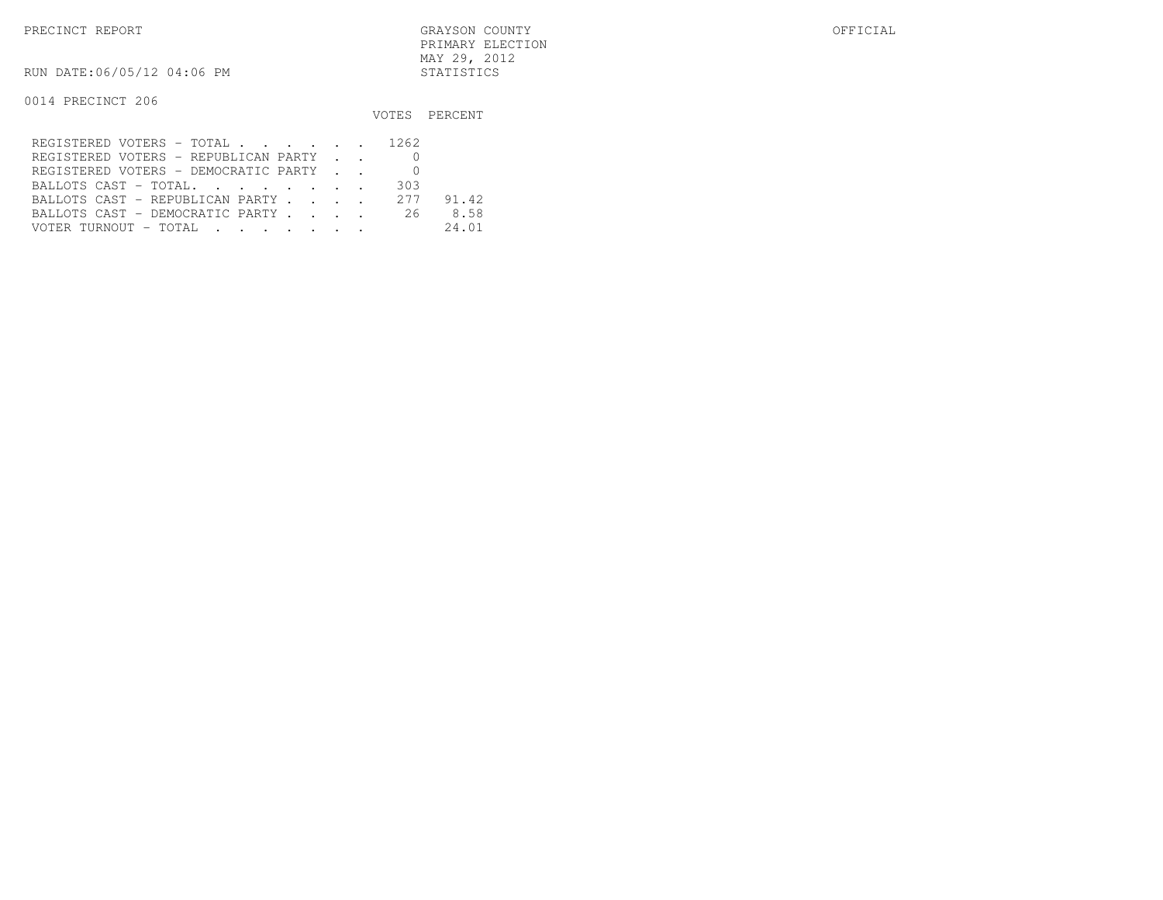PRECINCT REPORT GRAYSON COUNTY OFFICIAL PRIMARY ELECTIONMAY 29, 2012

RUN DATE:06/05/12 04:06 PM STATISTICS

|                                         |     | VOTES PERCENT |
|-----------------------------------------|-----|---------------|
| REGISTERED VOTERS - TOTAL 1262          |     |               |
| REGISTERED VOTERS - REPUBLICAN PARTY    |     |               |
| REGISTERED VOTERS - DEMOCRATIC PARTY    |     |               |
| BALLOTS CAST - TOTAL.                   | 303 |               |
| BALLOTS CAST - REPUBLICAN PARTY 277     |     | 91.42         |
| BALLOTS CAST - DEMOCRATIC PARTY 26      |     | 8.58          |
| VOTER TURNOUT – TOTAL III III IIII IIII |     | 24.01         |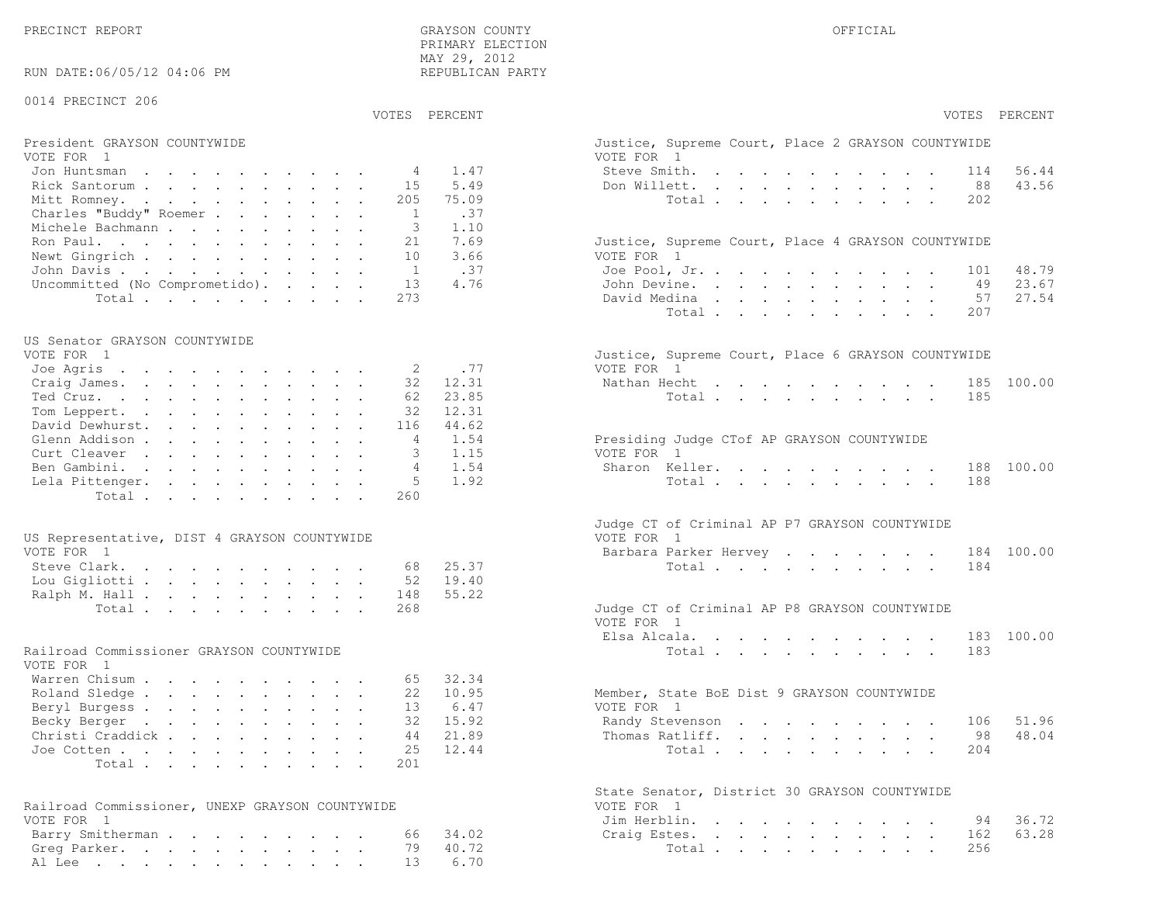PRECINCT REPORT THE COUNTY GRAYSON COUNTY THE COUNTY OFFICIAL OFFICIAL COUNTY OF THE COUNTY OF THE COUNTY OF THE COUNTY OF THE COUNTY OF THE COUNTY OF THE COUNTY OF THE COUNTY OF THE COUNTY OF THE COUNTY OF THE COUNTY OF T PRIMARY ELECTION MAY 29, 2012REPUBLICAN PARTY

RUN DATE:06/05/12 04:06 PM

### 0014 PRECINCT 206

VOTES PERCENT VOTES PERCENT

# President GRAYSON COUNTYWIDE Justice, Superior Court, Superior Court, Place 2 Graphic Court, Place 2 Graphic Court, Place 2 Graphic Court, Place 2 Graphic Court, Place 2 Graphic Court, Place 2 Graphic Court, Place 2 Graphi

| VOTE FOR 1                             | VOTE FOR 1                                         |
|----------------------------------------|----------------------------------------------------|
| Jon Huntsman $\ldots$ 4 1.47           | 56.44<br>Steve Smith. 114                          |
| Rick Santorum 15 5.49                  | 43.56<br>Don Willett. 88                           |
| Mitt Romney. 205 75.09                 | Total 202                                          |
| Charles "Buddy" Roemer 1 .37           |                                                    |
| Michele Bachmann 3 1.10                |                                                    |
| Ron Paul. 21 7.69                      | Justice, Supreme Court, Place 4 GRAYSON COUNTYWIDE |
| Newt Gingrich 10 3.66                  | VOTE FOR 1                                         |
| John Davis 1 .37                       | 48.79<br>Joe Pool, Jr., 101                        |
| Uncommitted (No Comprometido). 13 4.76 | John Devine. 49 23.67                              |
| Total 273                              | David Medina 57 27.54                              |

## US Senator GRAYSON COUNTYWIDE

| Justice, Supreme Court, Place 6 GRAYSON COUNTYWIDE |
|----------------------------------------------------|
| VOTE FOR 1                                         |
| Nathan Hecht 185 100.00                            |
| Total185                                           |
|                                                    |
|                                                    |
| Presiding Judge CTof AP GRAYSON COUNTYWIDE         |
| VOTE FOR 1                                         |
| Sharon Keller. 188 100.00                          |
| Total 188                                          |
|                                                    |
|                                                    |

| US Representative, DIST 4 GRAYSON COUNTYWIDE | VOTE FOR 1                                    |
|----------------------------------------------|-----------------------------------------------|
| VOTE FOR 1                                   | Barbara Parker Hervey 184 100.00              |
| Steve Clark. 68 25.37                        | Total 184                                     |
| Lou Gigliotti 52 19.40                       |                                               |
| Ralph M. Hall 148 55.22                      |                                               |
| Total 268                                    | Judge CT of Criminal AP P8 GRAYSON COUNTYWIDE |

# Railroad Commissioner GRAYSON COUNTYWIDE

| VOTE FOR 1                |  |  |  |  |  |                                             |  |
|---------------------------|--|--|--|--|--|---------------------------------------------|--|
| Warren Chisum 65 32.34    |  |  |  |  |  |                                             |  |
| Roland Sledge 22 10.95    |  |  |  |  |  | Member, State BoE Dist 9 GRAYSON COUNTYWIDE |  |
| Beryl Burgess 13 6.47     |  |  |  |  |  | VOTE FOR 1                                  |  |
| Becky Berger 32 15.92     |  |  |  |  |  | Randy Stevenson 106 51.96                   |  |
| Christi Craddick 44 21.89 |  |  |  |  |  | Thomas Ratliff. 98 48.04                    |  |
| Joe Cotten 25 12.44       |  |  |  |  |  | Total 204                                   |  |
| Total 201                 |  |  |  |  |  |                                             |  |
|                           |  |  |  |  |  |                                             |  |

| Railroad Commissioner, UNEXP GRAYSON COUNTYWIDE | VOTE FOR 1             |
|-------------------------------------------------|------------------------|
| VOTE FOR 1                                      | Jim Herblin. 94 36.72  |
| Barry Smitherman 66 34.02                       | Craiq Estes. 162 63.28 |
| Greq Parker. 79 40.72                           | Total 256              |
| Al Lee 13 6.70                                  |                        |

| PERCENT | VOTES PERCENT                                                                                                                                                                                                  |
|---------|----------------------------------------------------------------------------------------------------------------------------------------------------------------------------------------------------------------|
|         | Justice, Supreme Court, Place 2 GRAYSON COUNTYWIDE<br>VOTE FOR 1                                                                                                                                               |
| 1.47    | Steve Smith.<br>114 56.44<br>$\mathbf{A}^{(1)}$ and $\mathbf{A}^{(2)}$ .<br>the contract of the contract of                                                                                                    |
| 5.49    | Don Willett.<br>88 43.56<br>$\mathbf{r} = \mathbf{r} - \mathbf{r}$ , and $\mathbf{r} = \mathbf{r} - \mathbf{r}$ , and $\mathbf{r} = \mathbf{r} - \mathbf{r}$                                                   |
| 75.09   | Total<br>202<br>$\sim 10$<br>$\sim$<br>$\mathbf{L} = \mathbf{L}$<br>$\sim$ $-$<br>$\sim$<br>$\bullet$                                                                                                          |
| .37     |                                                                                                                                                                                                                |
|         |                                                                                                                                                                                                                |
| 1.10    |                                                                                                                                                                                                                |
| 7.69    | Justice, Supreme Court, Place 4 GRAYSON COUNTYWIDE                                                                                                                                                             |
| 3.66    | VOTE FOR 1                                                                                                                                                                                                     |
| .37     | Joe Pool, Jr.<br>101 48.79<br>and a series of the series of the series of the series of the series of the series of                                                                                            |
| 4.76    | 49 23.67<br>John Devine.<br>$\mathbf{u} = \mathbf{u} \mathbf{u} + \mathbf{u} \mathbf{u} + \mathbf{u} \mathbf{u}$<br>$\mathbf{L}^{\text{max}}$<br>$\mathbf{L}^{\text{max}}$ , and $\mathbf{L}^{\text{max}}$     |
|         | David Medina<br>57<br>27.54<br>$\mathbf{L}$<br>$\ddot{\phantom{a}}$<br>$\mathbf{L} = \mathbf{L}$<br>$\mathbf{L}^{\text{max}}$<br>$\mathbf{L}$<br>$\ddot{\phantom{0}}$<br>$\ddot{\phantom{0}}$                  |
|         | Total<br>207<br>$\mathbf{r} = \mathbf{r} \cdot \mathbf{r}$ .<br>$\ddot{\phantom{a}}$<br>$\ddot{\phantom{a}}$<br><b>All All Andrew</b>                                                                          |
|         |                                                                                                                                                                                                                |
|         | Justice, Supreme Court, Place 6 GRAYSON COUNTYWIDE                                                                                                                                                             |
| .77     | VOTE FOR 1                                                                                                                                                                                                     |
| 12.31   | Nathan Hecht<br>100.00<br>185                                                                                                                                                                                  |
| 23.85   | 185<br>Total $\cdots$                                                                                                                                                                                          |
| 12.31   |                                                                                                                                                                                                                |
| 44.62   |                                                                                                                                                                                                                |
| 1.54    | Presiding Judge CTof AP GRAYSON COUNTYWIDE                                                                                                                                                                     |
| 1.15    | VOTE FOR 1                                                                                                                                                                                                     |
| 1.54    | Sharon Keller.<br>188<br>100.00                                                                                                                                                                                |
| 1.92    | 188<br>Total<br>$\mathbf{L}^{\text{max}}$ and $\mathbf{L}^{\text{max}}$<br>$\mathbf{r}$                                                                                                                        |
|         |                                                                                                                                                                                                                |
|         |                                                                                                                                                                                                                |
|         | Judge CT of Criminal AP P7 GRAYSON COUNTYWIDE                                                                                                                                                                  |
|         | VOTE FOR 1                                                                                                                                                                                                     |
|         | Barbara Parker Hervey<br>184 100.00                                                                                                                                                                            |
| 25.37   | 184<br>Total $\cdots$                                                                                                                                                                                          |
| 19.40   |                                                                                                                                                                                                                |
| 55.22   |                                                                                                                                                                                                                |
|         | Judge CT of Criminal AP P8 GRAYSON COUNTYWIDE                                                                                                                                                                  |
|         | VOTE FOR 1                                                                                                                                                                                                     |
|         | Elsa Alcala.<br>183 100.00<br>and a strong control of the state of                                                                                                                                             |
|         | Total<br>183                                                                                                                                                                                                   |
|         |                                                                                                                                                                                                                |
| 32.34   |                                                                                                                                                                                                                |
| 10.95   | Member, State BoE Dist 9 GRAYSON COUNTYWIDE                                                                                                                                                                    |
| 6.47    | VOTE FOR 1                                                                                                                                                                                                     |
| 15.92   | Randy Stevenson<br>106<br>51.96                                                                                                                                                                                |
| 21.89   | 48.04<br>98                                                                                                                                                                                                    |
|         | Thomas Ratliff.<br>$\sim$<br>$\ddot{\phantom{0}}$                                                                                                                                                              |
| 12.44   | 204<br>Total $\cdots$                                                                                                                                                                                          |
|         |                                                                                                                                                                                                                |
|         | State Senator, District 30 GRAYSON COUNTYWIDE                                                                                                                                                                  |
|         | VOTE FOR<br>$\overline{1}$                                                                                                                                                                                     |
|         | Jim Herblin. .<br>36.72<br>94<br>$\mathbf{z} = \mathbf{z} + \mathbf{z}$<br>and a state of<br>$\sim$<br>$\ddot{\phantom{0}}$<br>$\sim$<br>$\ddot{\phantom{a}}$                                                  |
| 34.02   | 63.28<br>Craig Estes.<br>162<br>$\mathbf{r} = \mathbf{r} + \mathbf{r} + \mathbf{r} + \mathbf{r} + \mathbf{r}$<br>$\mathbf{L}^{\text{max}}$<br>$\ddot{\phantom{0}}$<br>$\ddot{\phantom{a}}$<br>$\sim$<br>$\sim$ |
| 40.72   | 256<br>Total                                                                                                                                                                                                   |
| 6.70    |                                                                                                                                                                                                                |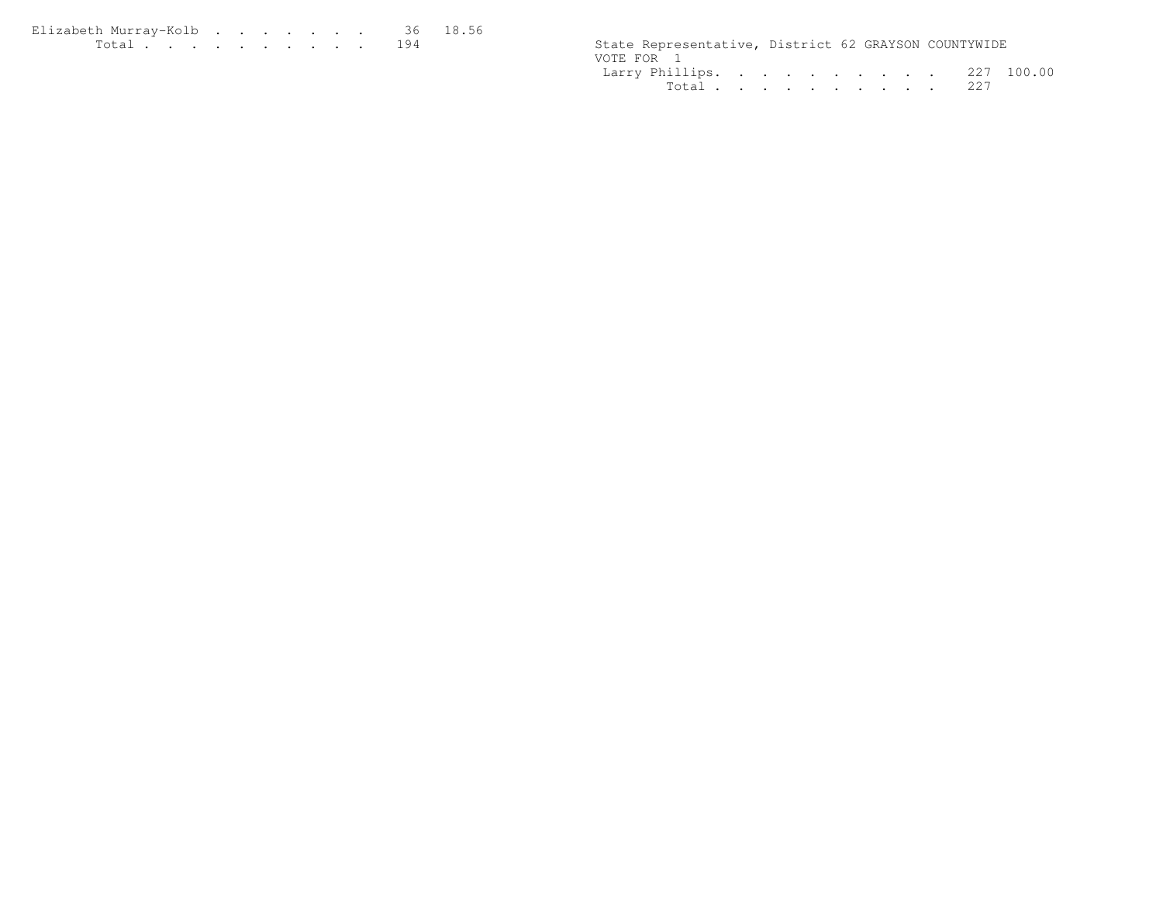| Elizabeth Murrav-Kolb 36 18.56 |  |  |  |  |  |                                                      |  |  |
|--------------------------------|--|--|--|--|--|------------------------------------------------------|--|--|
|                                |  |  |  |  |  | State Representative, District 62 GRAYSON COUNTYWIDE |  |  |

| State Representative, District 62 GRAYSON COUNTYWIDE |           |  |  |  |  |  |
|------------------------------------------------------|-----------|--|--|--|--|--|
| VOTE FOR 1                                           |           |  |  |  |  |  |
| Larry Phillips. 227 100.00                           |           |  |  |  |  |  |
|                                                      | Total 227 |  |  |  |  |  |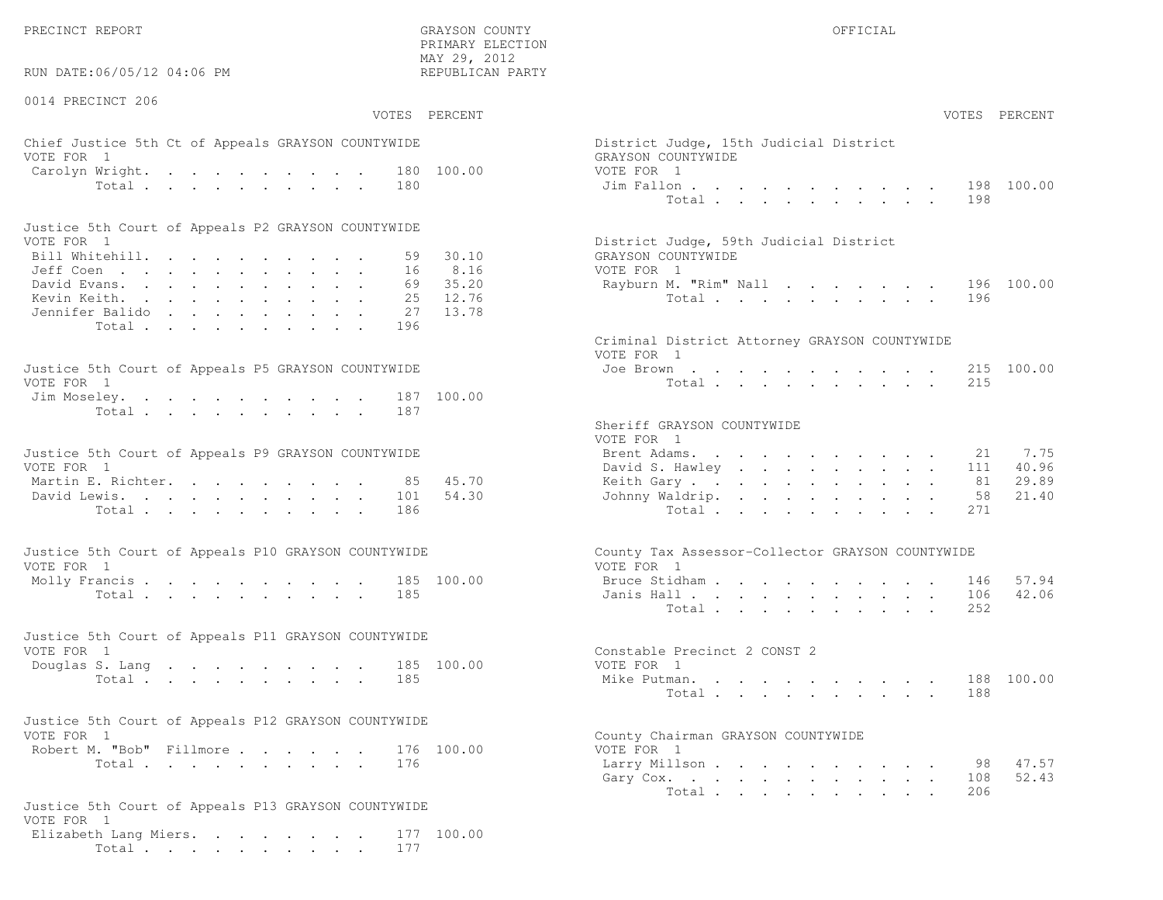RUN DATE:06/05/12 04:06 PM

0014 PRECINCT 206

 PRIMARY ELECTION MAY 29, 2012REPUBLICAN PARTY

# Chief Justice 5th Ct of Appeals GRAYSON COUNTYWIDE District Appeals Only 15th District Judge VOTE FOR 1 GRAYSON COUNTY OF REAL EXPLORER COUNTY OF REAL EXPLORER COUNTY OF REAL EXPLORER COUNTY OF REAL EXPLORER COUNTY OF REAL EXPLORER COUNTY OF REAL EXPLORER COUNTY OF REAL EXPLORER COUNTY OF REAL EXPLORER COUNTY OF R Carolyn Wright. . . . . . . . . 180 100.00 VOT

| Justice 5th Court of Appeals P2 GRAYSON COUNTYWIDE |  |  |  |  |  |                                        |
|----------------------------------------------------|--|--|--|--|--|----------------------------------------|
| VOTE FOR 1                                         |  |  |  |  |  | District Judge, 59th Judicial District |
| Bill Whitehill. 59 30.10                           |  |  |  |  |  | GRAYSON COUNTYWIDE                     |
| Jeff Coen 16 8.16                                  |  |  |  |  |  | VOTE FOR 1                             |
| David Evans. 69 35.20                              |  |  |  |  |  | Rayburn M. "Rim" Nall 196 100.00       |
| Kevin Keith. 25 12.76                              |  |  |  |  |  | Total 196                              |
| Jennifer Balido 27 13.78                           |  |  |  |  |  |                                        |
| Total 196                                          |  |  |  |  |  |                                        |

| Justice 5th Court of Appeals P5 GRAYSON COUNTYWIDE | Joe Brown 215 100.00 |
|----------------------------------------------------|----------------------|
| VOTE FOR 1                                         | Total 215            |
| Jim Moseley. 187 100.00                            |                      |
| Total 187                                          |                      |

| Justice 5th Court of Appeals P9 GRAYSON COUNTYWIDE |  |  |  |  | Brent Adams. 21 7.75      |  |  |  |  |  |  |
|----------------------------------------------------|--|--|--|--|---------------------------|--|--|--|--|--|--|
| VOTE FOR 1                                         |  |  |  |  | David S. Hawley 111 40.96 |  |  |  |  |  |  |
| Martin E. Richter. 85 45.70                        |  |  |  |  | Keith Gary 81 29.89       |  |  |  |  |  |  |
| David Lewis. 101 54.30                             |  |  |  |  | Johnny Waldrip. 58 21.40  |  |  |  |  |  |  |
| Total 186                                          |  |  |  |  | Total 271                 |  |  |  |  |  |  |

| Justice 5th Court of Appeals P10 GRAYSON COUNTYWIDE | County Tax Assessor-Collector GRAYSON COUNTYWIDE |
|-----------------------------------------------------|--------------------------------------------------|
| VOTE FOR 1                                          | VOTE FOR 1                                       |
| Molly Francis 185 100.00                            | Bruce Stidham 146 57.94                          |
| Total 185                                           | Janis Hall 106 42.06                             |

| Justice 5th Court of Appeals P11 GRAYSON COUNTYWIDE |  |  |  |  |           |  |  |                              |  |  |  |  |  |  |                         |
|-----------------------------------------------------|--|--|--|--|-----------|--|--|------------------------------|--|--|--|--|--|--|-------------------------|
| VOTE FOR 1                                          |  |  |  |  |           |  |  | Constable Precinct 2 CONST 2 |  |  |  |  |  |  |                         |
| Douglas S. Lang 185 100.00                          |  |  |  |  |           |  |  | VOTE FOR 1                   |  |  |  |  |  |  |                         |
|                                                     |  |  |  |  | Total 185 |  |  |                              |  |  |  |  |  |  | Mike Putman. 188 100.00 |

| Justice 5th Court of Appeals P12 GRAYSON COUNTYWIDE |  |                                     |                                    |
|-----------------------------------------------------|--|-------------------------------------|------------------------------------|
| VOTE FOR 1                                          |  |                                     | County Chairman GRAYSON COUNTYWIDE |
|                                                     |  | Robert M. "Bob" Fillmore 176 100.00 | VOTE FOR 1                         |
| $T - 1 - 1$                                         |  |                                     | Transaction Md 1.1 and an          |

```
Justice 5th Court of Appeals P13 GRAYSON COUNTYWIDEVOTE FOR 1
Elizabeth Lang Miers. . . . . . . . 177 100.00Total . . . . . . . . . . 177
```

|                | :06/05/12 04:06 PM         |                                                              | MAY 29, 2012<br>REPUBLICAN PARTY |                                                                                                                                    |
|----------------|----------------------------|--------------------------------------------------------------|----------------------------------|------------------------------------------------------------------------------------------------------------------------------------|
| CINCT 206      |                            |                                                              | VOTES PERCENT                    | VOTES PERCENT                                                                                                                      |
| $\overline{1}$ |                            | stice 5th Ct of Appeals GRAYSON COUNTYWIDE<br>Wright.<br>180 | 180 100.00                       | District Judge, 15th Judicial District<br>GRAYSON COUNTYWIDE<br>VOTE FOR 1<br>198 100.00                                           |
|                |                            | Total                                                        |                                  | Jim Fallon<br>Total<br>198                                                                                                         |
| $\overline{1}$ |                            | ith Court of Appeals P2 GRAYSON COUNTYWIDE                   |                                  | District Judge, 59th Judicial District                                                                                             |
|                | tehill.                    |                                                              | 30.10<br>59                      | GRAYSON COUNTYWIDE                                                                                                                 |
|                | $\mathbb{R}^n$             | 16                                                           | 8.16                             | VOTE FOR 1                                                                                                                         |
|                | rans.                      | 69 —                                                         | 35.20                            | Rayburn M. "Rim" Nall<br>196 100.00                                                                                                |
|                | eith.                      | 25                                                           | 12.76                            | Total<br>196                                                                                                                       |
|                | : Balido                   | 27                                                           | 13.78                            |                                                                                                                                    |
|                | Total                      | 196                                                          |                                  |                                                                                                                                    |
|                |                            |                                                              |                                  | Criminal District Attorney GRAYSON COUNTYWIDE<br>VOTE FOR 1                                                                        |
| $\mathbf{1}$   |                            | ith Court of Appeals P5 GRAYSON COUNTYWIDE                   |                                  | 215 100.00<br>Joe Brown<br>215<br>Total                                                                                            |
|                |                            | eley.<br>Total<br>187                                        | 187 100.00                       |                                                                                                                                    |
|                |                            |                                                              |                                  | Sheriff GRAYSON COUNTYWIDE<br>VOTE FOR 1                                                                                           |
| $\overline{1}$ |                            | oth Court of Appeals P9 GRAYSON COUNTYWIDE                   |                                  | 7.75<br>Brent Adams.<br>21<br>40.96<br>David S. Hawley<br>111                                                                      |
|                | : Richter.                 | 85                                                           | 45.70                            | 29.89<br>Keith Gary<br>81                                                                                                          |
|                | ewis.                      | 101                                                          | 54.30                            | Johnny Waldrip.<br>21.40<br>58                                                                                                     |
|                |                            | Total<br>186                                                 |                                  | Total<br>271                                                                                                                       |
| $\overline{1}$ |                            | ith Court of Appeals P10 GRAYSON COUNTYWIDE                  |                                  | County Tax Assessor-Collector GRAYSON COUNTYWIDE<br>VOTE FOR 1                                                                     |
|                |                            | $\text{rancis}$                                              | 185 100.00                       | 57.94<br>Bruce Stidham<br>146                                                                                                      |
|                |                            | 185<br>Total                                                 |                                  | 42.06<br>Janis Hall<br>106                                                                                                         |
|                |                            |                                                              |                                  | 252<br>Total                                                                                                                       |
| $\overline{1}$ |                            | ith Court of Appeals P11 GRAYSON COUNTYWIDE                  |                                  | Constable Precinct 2 CONST 2                                                                                                       |
|                |                            |                                                              | 185 100.00                       | VOTE FOR 1                                                                                                                         |
|                | S. Lang                    | 185                                                          |                                  | 188 100.00<br>Mike Putman.                                                                                                         |
|                |                            | Total                                                        |                                  | 188<br>Total                                                                                                                       |
| $\overline{1}$ |                            | ith Court of Appeals P12 GRAYSON COUNTYWIDE                  |                                  |                                                                                                                                    |
|                |                            |                                                              | 176 100.00                       | County Chairman GRAYSON COUNTYWIDE<br>VOTE FOR 1                                                                                   |
|                | 1. "Bob" Fillmore<br>Total | 176                                                          |                                  | Larry Millson<br>47.57<br>98                                                                                                       |
|                |                            |                                                              |                                  | 52.43<br>108                                                                                                                       |
|                |                            |                                                              |                                  | Gary Cox.<br>restaurant d'article de la commune de la commune de la commune de la commune de la commune de la commune de la<br>206 |
|                |                            |                                                              |                                  |                                                                                                                                    |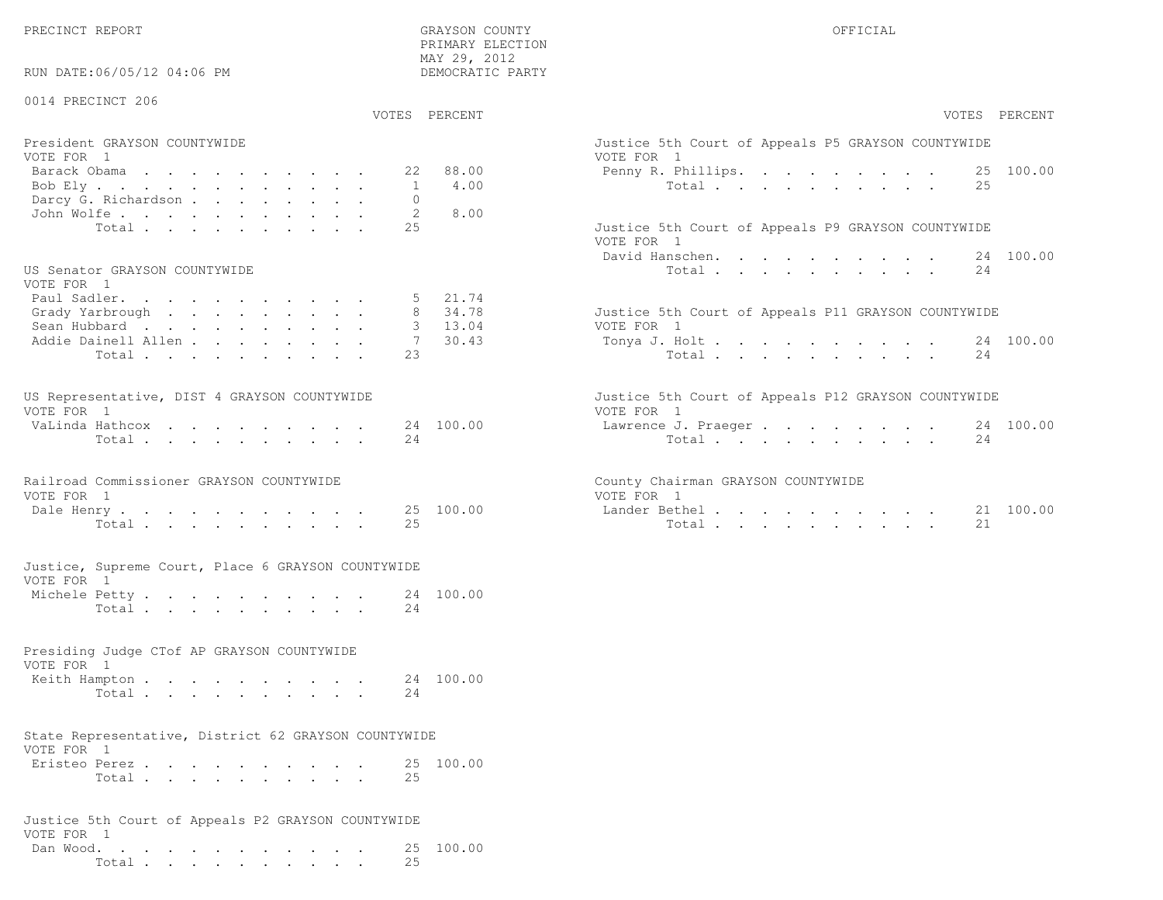RUN DATE:06/05/12 04:06 PM

## 0014 PRECINCT 206

VOTES PERCENT VOTES PERCENT

 PRIMARY ELECTION MAY 29, 2012DEMOCRATIC PARTY

| President GRAYSON COUNTYWIDE<br>VOTE FOR 1 | Justice 5th Court of Appeals P5 GRAYSON COUNTYWIDE<br>VOTE FOR 1 |
|--------------------------------------------|------------------------------------------------------------------|
| Barack Obama 22 88.00                      | Penny R. Phillips. 25 100.00                                     |
| Bob Ely 1 4.00                             | Total 25                                                         |
| Darcy G. Richardson 0                      |                                                                  |
| John Wolfe. 2 8.00                         |                                                                  |
| Total 25                                   | Justice 5th Court of Appeals P9 GRAYSON COUNTYWIDE               |

#### US Senator GRAYSON COUNTYWIDE

| VOTE FOR 1                  |  |  |  |  |  |                                                     |
|-----------------------------|--|--|--|--|--|-----------------------------------------------------|
| Paul Sadler. 5 21.74        |  |  |  |  |  |                                                     |
| Grady Yarbrough 8 $34.78$   |  |  |  |  |  | Justice 5th Court of Appeals P11 GRAYSON COUNTYWIDE |
| Sean Hubbard 3 13.04        |  |  |  |  |  | VOTE FOR 1                                          |
| Addie Dainell Allen 7 30.43 |  |  |  |  |  | Tonya J. Holt 24 100.00                             |
| Total 23                    |  |  |  |  |  | Total 24                                            |

| US Representative, DIST 4 GRAYSON COUNTYWIDE |  |  |  |  |  | Justice 5th Court of Appeals P12 GRAYSON COUNTYWIDE |  |
|----------------------------------------------|--|--|--|--|--|-----------------------------------------------------|--|
| VOTE FOR 1                                   |  |  |  |  |  | VOTE FOR 1                                          |  |
| VaLinda Hathcox 24 100.00                    |  |  |  |  |  | Lawrence J. Praeger 24 100.00                       |  |
| Total 24                                     |  |  |  |  |  | Total 24                                            |  |

# Railroad Commissioner GRAYSON COUNTYWIDE County County VOTE FOR 1 VOTE FOR 1 VOTE FOR 1 VOTE FOR 1 VOTE 25 100 00

| - nate                   |  |  |  |  | $\cup$<br>(11)<br>-<br>رے ک | ╌        |  |  |  |  |  |  |
|--------------------------|--|--|--|--|-----------------------------|----------|--|--|--|--|--|--|
| $T \cap \vdash A$ .<br>. |  |  |  |  | ب ے                         | $T \cap$ |  |  |  |  |  |  |

#### Justice, Supreme Court, Place 6 GRAYSON COUNTYWIDEVOTE FOR 1

| Michele Petty |       |  |  |  |  |  | 24 100.00 |
|---------------|-------|--|--|--|--|--|-----------|
|               | Total |  |  |  |  |  |           |

### Presiding Judge CTof AP GRAYSON COUNTYWIDE

| VOTE FOR 1              |  |  |  |  |  |  |
|-------------------------|--|--|--|--|--|--|
| Keith Hampton 24 100.00 |  |  |  |  |  |  |
|                         |  |  |  |  |  |  |

# State Representative, District 62 GRAYSON COUNTYWIDE

| VOTE FOR 1 |               |  |  |  |  |  |           |
|------------|---------------|--|--|--|--|--|-----------|
|            | Eristeo Perez |  |  |  |  |  | 25 100.00 |
|            | Total         |  |  |  |  |  |           |

#### Justice 5th Court of Appeals P2 GRAYSON COUNTYWIDEVOTE FOR 1 Dan Wood. . . . . . . . . . . . 25 100.00Total . . . . . . . . . . 25

| VOTES PERCENT                                                                                             | VOTES PERCENT                                                                                                                     |
|-----------------------------------------------------------------------------------------------------------|-----------------------------------------------------------------------------------------------------------------------------------|
| President GRAYSON COUNTYWIDE<br>VOTE FOR 1<br>88.00<br>Barack Obama<br>22<br>4.00<br>Bob Ely              | Justice 5th Court of Appeals P5 GRAYSON COUNTYWIDE<br>VOTE FOR 1<br>Penny R. Phillips. 25 100.00<br>Total $\cdot$<br>2.5          |
| Darcy G. Richardson<br>John Wolfe.<br>8.00<br>2.5<br>Total                                                | Justice 5th Court of Appeals P9 GRAYSON COUNTYWIDE<br>VOTE FOR 1<br>24 100.00                                                     |
| US Senator GRAYSON COUNTYWIDE<br>VOTE FOR 1<br>21.74<br>Paul Sadler.                                      | David Hanschen.<br>24<br>Total                                                                                                    |
| 34.78<br>Grady Yarbrough<br>13.04<br>Sean Hubbard<br>30.43<br>Addie Dainell Allen<br>7<br>2.3<br>Total    | Justice 5th Court of Appeals P11 GRAYSON COUNTYWIDE<br>VOTE FOR 1<br>Tonya J. Holt 24 100.00<br>Total<br>24                       |
| US Representative, DIST 4 GRAYSON COUNTYWIDE<br>VOTE FOR 1<br>24 100.00<br>VaLinda Hathcox<br>24<br>Total | Justice 5th Court of Appeals P12 GRAYSON COUNTYWIDE<br>VOTE FOR 1<br>24 100.00<br>Lawrence J. Praeger<br>Total<br>24              |
| Railroad Commissioner GRAYSON COUNTYWIDE<br>VOTE FOR 1<br>25 100.00<br>Dale Henry<br>25<br>Total          | County Chairman GRAYSON COUNTYWIDE<br>VOTE FOR 1<br>21 100.00<br>Lander Bethel<br>21<br>Total $\cdots$ $\cdots$ $\cdots$ $\cdots$ |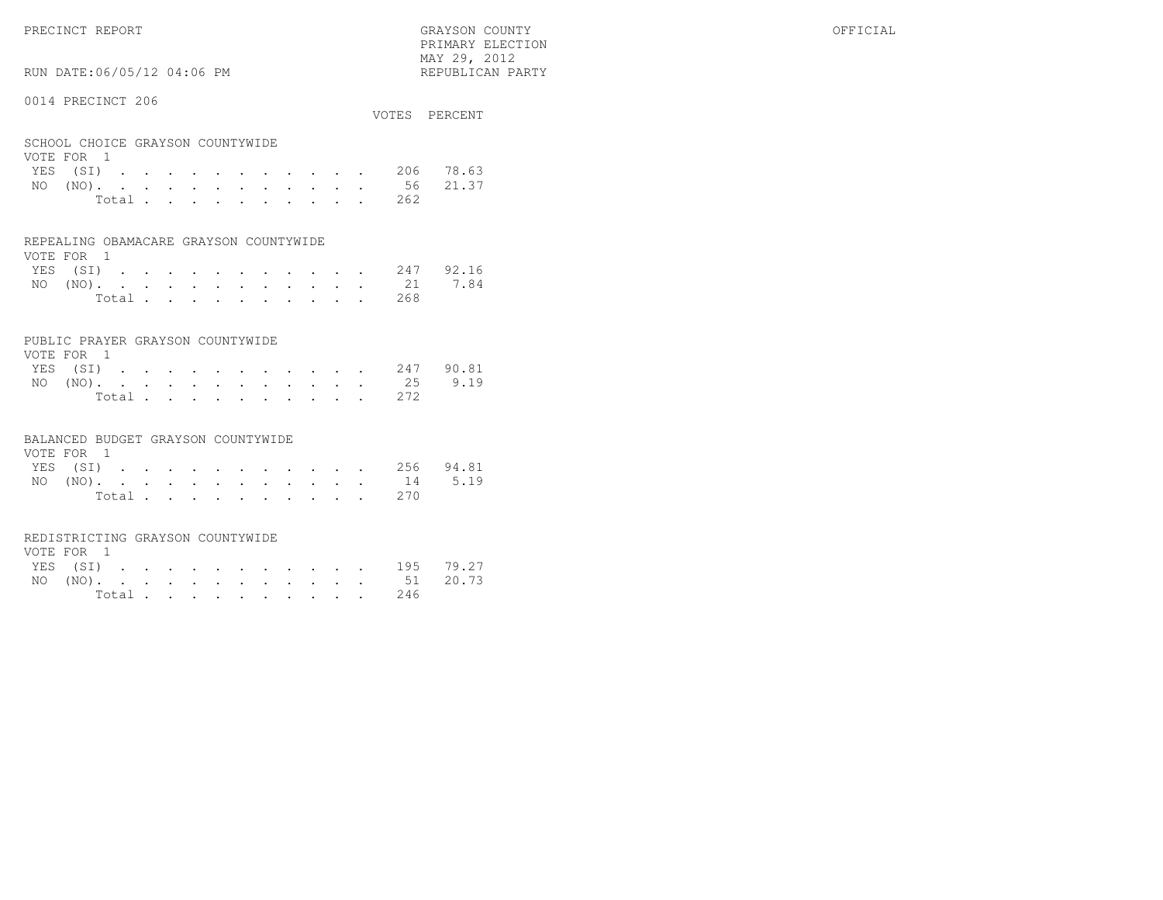PRIMARY ELECTION $\text{MAX } 29, \quad 2012$ 

### RUN DATE:06/05/12 04:06 PM

#### 0014 PRECINCT 206

| OUIT FINDUINGI ZUU                             |       |  |  |  |  |  |     | VOTES PERCENT      |
|------------------------------------------------|-------|--|--|--|--|--|-----|--------------------|
| SCHOOL CHOICE GRAYSON COUNTYWIDE<br>VOTE FOR 1 |       |  |  |  |  |  |     |                    |
|                                                |       |  |  |  |  |  |     | YES (SI) 206 78.63 |
|                                                |       |  |  |  |  |  |     | NO (NO). 56 21.37  |
|                                                | Total |  |  |  |  |  | 262 |                    |

#### REPEALING OBAMACARE GRAYSON COUNTYWIDE

| VOTE FOR 1 |  |  |  |                |  |  |                    |  |
|------------|--|--|--|----------------|--|--|--------------------|--|
|            |  |  |  |                |  |  | YES (SI) 247 92.16 |  |
|            |  |  |  |                |  |  | NO (NO). 21 7.84   |  |
|            |  |  |  | Total $\cdots$ |  |  | 268                |  |

#### PUBLIC PRAYER GRAYSON COUNTYWIDE

| VOTE FOR 1 |  |  |  |  |  |           |                    |
|------------|--|--|--|--|--|-----------|--------------------|
|            |  |  |  |  |  |           | YES (SI) 247 90.81 |
|            |  |  |  |  |  |           | NO (NO). 25 9.19   |
|            |  |  |  |  |  | Total 272 |                    |

#### BALANCED BUDGET GRAYSON COUNTYWIDE

| VOTE FOR 1 |  |  |  |  |  |                    |  |
|------------|--|--|--|--|--|--------------------|--|
|            |  |  |  |  |  | YES (SI) 256 94.81 |  |
|            |  |  |  |  |  | NO (NO). 14 5.19   |  |
|            |  |  |  |  |  | Total 270          |  |

#### REDISTRICTING GRAYSON COUNTYWIDE

| VOTE FOR 1 |  |  |  |  |  |           |                    |  |
|------------|--|--|--|--|--|-----------|--------------------|--|
|            |  |  |  |  |  |           | YES (SI) 195 79.27 |  |
|            |  |  |  |  |  |           | NO (NO). 51 20.73  |  |
|            |  |  |  |  |  | Total 246 |                    |  |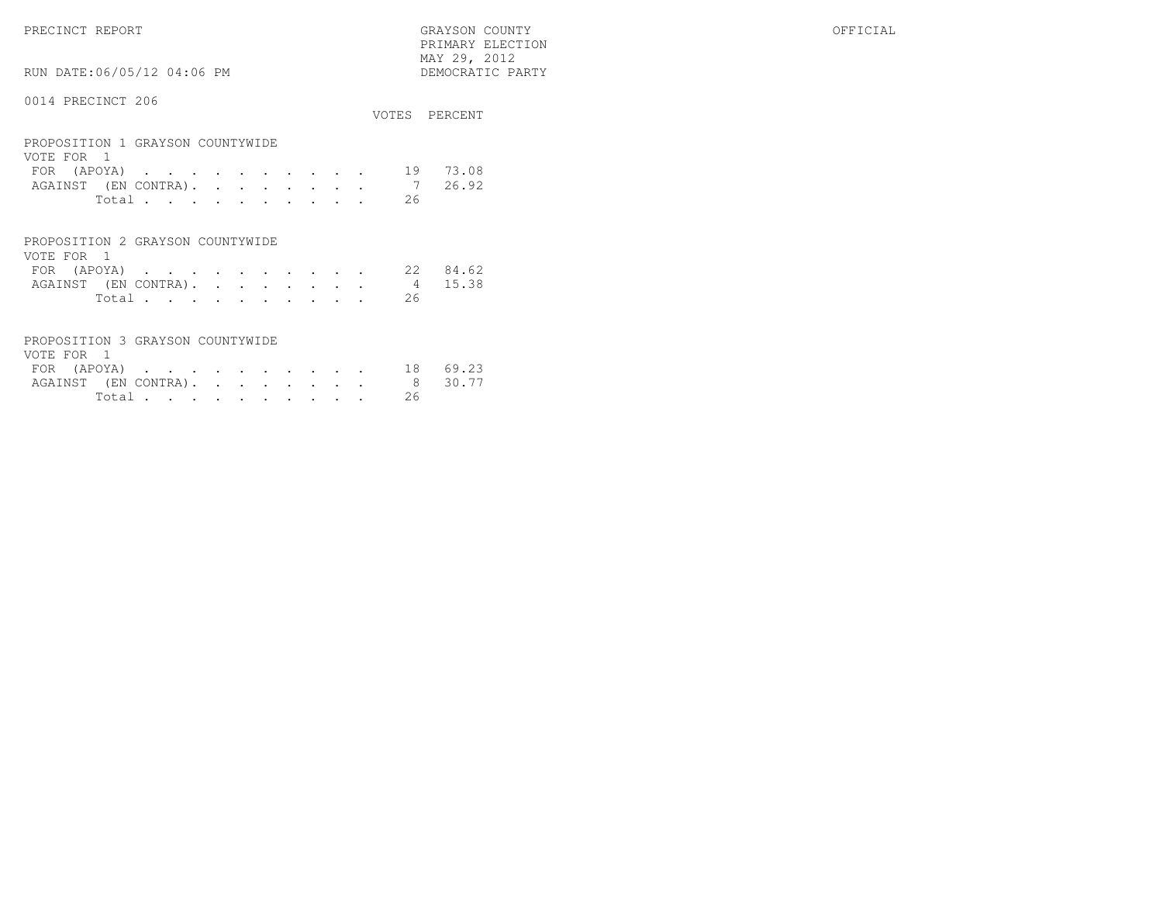PRECINCT REPORT GRAYSON COUNTY OFFICIAL PRIMARY ELECTION $\begin{array}{lll} \text{MAX} & 29, & 2012 \\ \text{NAY} & 29, & 2012 \end{array}$ 

#### 0014 PRECINCT 206

RUN DATE:06/05/12 04:06 PM

|                                                                                     | VOTES. | PERCENT |
|-------------------------------------------------------------------------------------|--------|---------|
| PROPOSITION 1 GRAYSON COUNTYWIDE<br>VOTE FOR<br>$\overline{1}$                      |        |         |
| (APOYA)<br>FOR.<br>$\ddot{\phantom{a}}$<br>$\sim 100$<br>$\sim$                     | 19     | 73.08   |
| (EN CONTRA).<br>AGAINST<br>$\sim$<br>$\ddot{\phantom{a}}$<br>$\bullet$<br>$\bullet$ |        | 26.92   |
| Total                                                                               | 26     |         |
|                                                                                     |        |         |
| PROPOSITION 2 GRAYSON COUNTYWIDE<br>VOTE FOR<br>$\overline{1}$                      |        |         |
| (APOYA)<br><b>FOR</b><br>$\mathbf{z} = \mathbf{z} + \mathbf{z} + \mathbf{z}$        | 2.2.   | 84.62   |
| (EN CONTRA).<br>AGAINST<br>$\sim$                                                   | 4      | 15.38   |
| Total .<br>$\cdot$<br>٠<br>٠<br>$\bullet$<br>٠<br>$\bullet$<br>٠<br>٠               | 26     |         |

| PROPOSITION 3 GRAYSON COUNTYWIDE |        |  |  |  |  |     |         |
|----------------------------------|--------|--|--|--|--|-----|---------|
| VOTE FOR 1                       |        |  |  |  |  |     |         |
| FOR (APOYA) 18 69.23             |        |  |  |  |  |     |         |
| AGAINST (EN CONTRA).             |        |  |  |  |  |     | 8 30.77 |
|                                  | Total. |  |  |  |  | -26 |         |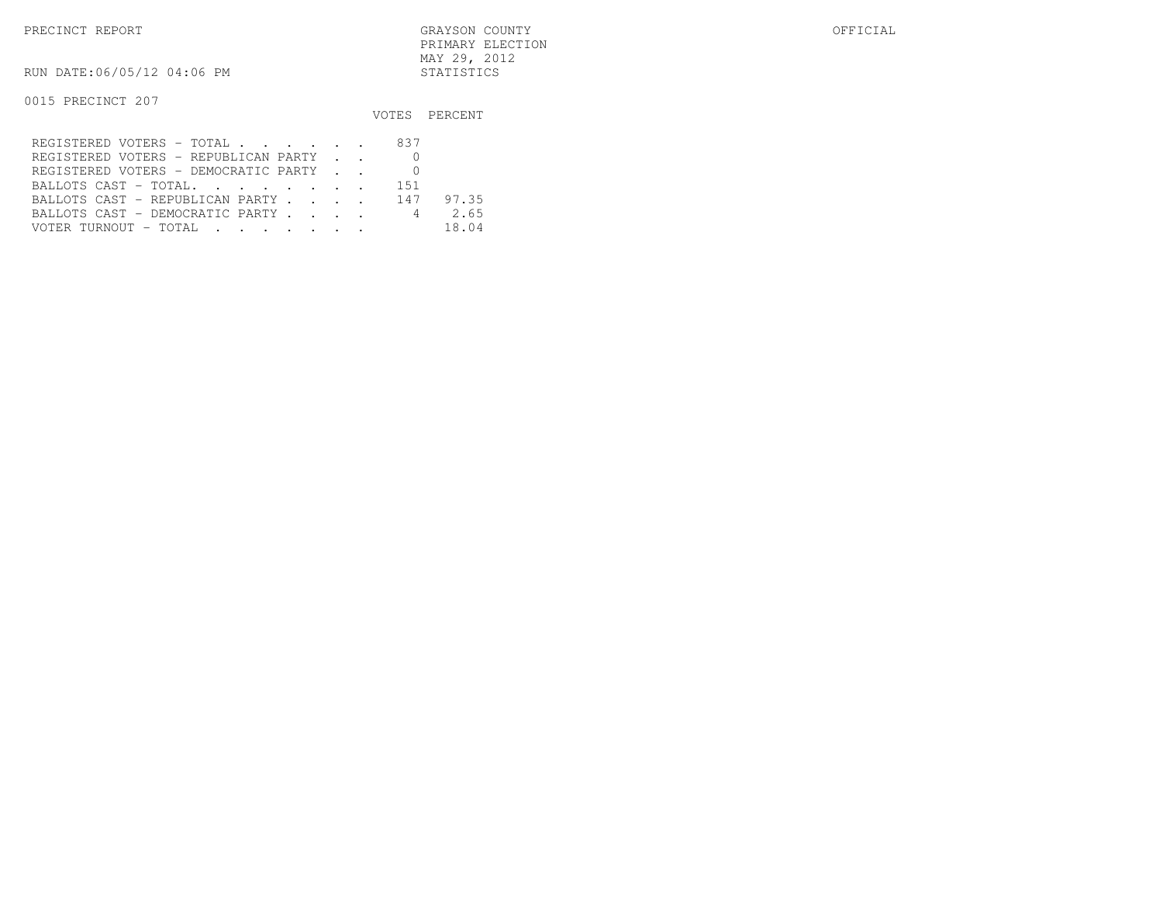PRECINCT REPORT GRAYSON COUNTY OFFICIAL PRIMARY ELECTIONMAY 29, 2012

RUN DATE:06/05/12 04:06 PM STATISTICS

|                                      |  | VOTES PERCENT |
|--------------------------------------|--|---------------|
| REGISTERED VOTERS - TOTAL 837        |  |               |
| REGISTERED VOTERS - REPUBLICAN PARTY |  |               |
| REGISTERED VOTERS - DEMOCRATIC PARTY |  |               |
|                                      |  |               |
| BALLOTS CAST - REPUBLICAN PARTY 147  |  | 97.35         |
| BALLOTS CAST - DEMOCRATIC PARTY 4    |  | 2.65          |
| VOTER TURNOUT - TOTAL                |  | 18.04         |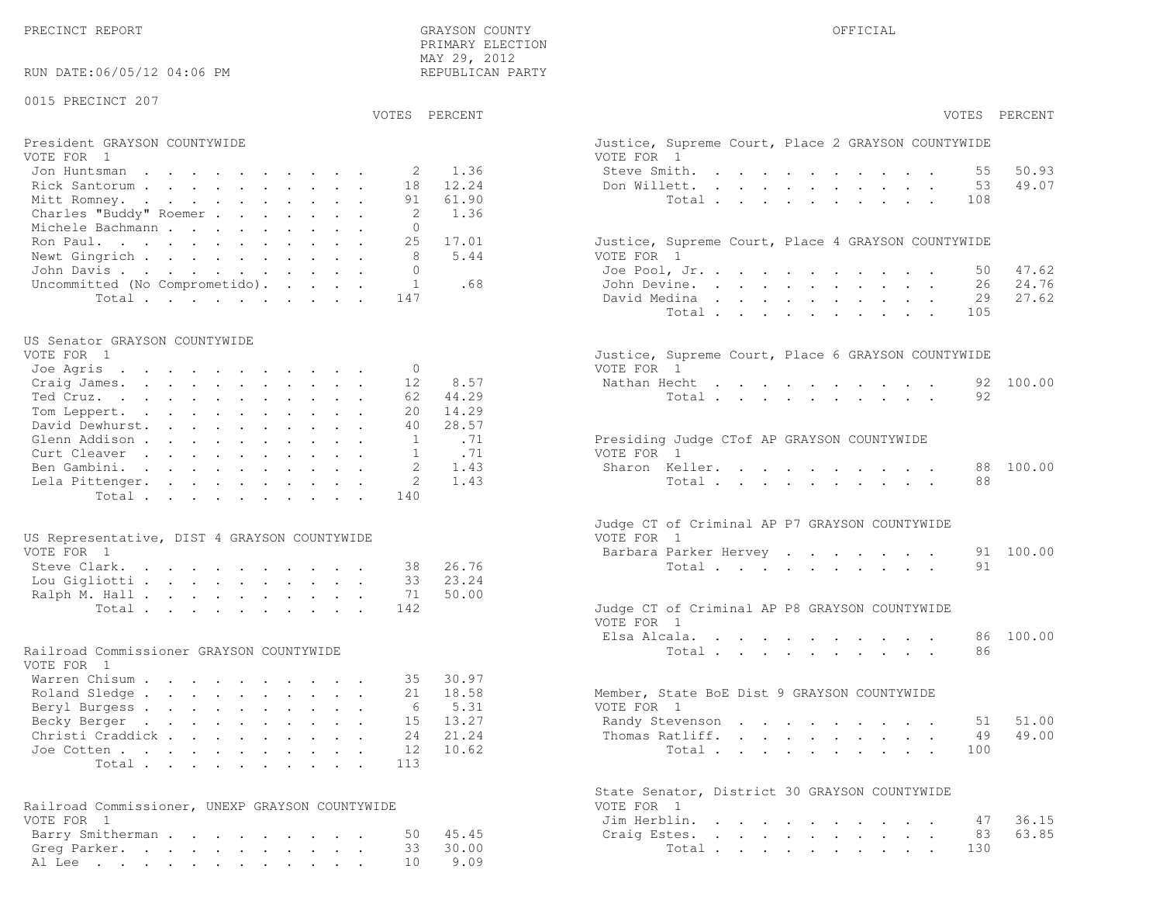PRECINCT REPORT OF THE SERVICE OF THE GRAYSON COUNTY OF THE GRAYSON COUNTY OF THE GRAYSON OF THE GRAYSON COUNTY PRIMARY ELECTION MAY 29, 2012REPUBLICAN PARTY

RUN DATE:06/05/12 04:06 PM

#### 0015 PRECINCT 207

VOTES PERCENT VOTES PERCENT

#### President GRAYSON COUNTYWIDE Justice, Supreme County County County, Supreme County, Place 2 GRAYSON COUNTY WIDE VOTE FOR 1 VOTE FOR 1Jon Huntsman . . . . . . . . . . 2 1.36 St Rick Santorum . . . . . . . . . . . 18 12.24 Don Mitt Romney. . . . . . . . . . . 91 61.90

| Charles "Buddy" Roemer 2 1.36        |  |  |                                                    |
|--------------------------------------|--|--|----------------------------------------------------|
| Michele Bachmann 0                   |  |  |                                                    |
| Ron Paul. 25 17.01                   |  |  | Justice, Supreme Court, Place 4 GRAYSON COUNTYWIDE |
| Newt Gingrich 8 5.44                 |  |  | VOTE FOR 1                                         |
| John Davis 0                         |  |  | Joe Pool, Jr. 50 47.62                             |
| Uncommitted (No Comprometido). 1 .68 |  |  | John Devine. 26 24.76                              |
| Total147                             |  |  | David Medina 29 27.62                              |

### US Senator GRAYSON COUNTYWIDE

| VOTE FOR - I             |  |  |  |  |  | Justice, Supreme Court, Place 6 GRAYSON COUNTYWIDE |  |
|--------------------------|--|--|--|--|--|----------------------------------------------------|--|
| Joe Agris 0              |  |  |  |  |  | VOTE FOR 1                                         |  |
| Craig James. 12 8.57     |  |  |  |  |  | Nathan Hecht 92 100.00                             |  |
| Ted Cruz. 62 44.29       |  |  |  |  |  | Total 92                                           |  |
| Tom Leppert. 20 14.29    |  |  |  |  |  |                                                    |  |
| David Dewhurst. 40 28.57 |  |  |  |  |  |                                                    |  |
| Glenn Addison 1 .71      |  |  |  |  |  | Presiding Judge CTof AP GRAYSON COUNTYWIDE         |  |
| Curt Cleaver 1 .71       |  |  |  |  |  | VOTE FOR 1                                         |  |
| Ben Gambini. 2 1.43      |  |  |  |  |  | Sharon Keller. 88 100.00                           |  |
| Lela Pittenger. 2 1.43   |  |  |  |  |  | Total 88                                           |  |
| Total 140                |  |  |  |  |  |                                                    |  |
|                          |  |  |  |  |  |                                                    |  |

| US Representative, DIST 4 GRAYSON COUNTYWIDE | VOTE FOR 1                                    |
|----------------------------------------------|-----------------------------------------------|
| VOTE FOR 1                                   | Barbara Parker Hervey 91 100.00               |
| Steve Clark. 38 26.76                        | Total 91                                      |
| Lou Gigliotti 33 23.24                       |                                               |
| Ralph M. Hall 71 50.00                       |                                               |
| Total 142                                    | Judge CT of Criminal AP P8 GRAYSON COUNTYWIDE |

### Railroad Commissioner GRAYSON COUNTYWIDE

| VOTE FOR 1                |  |  |  |  |  |                                             |  |
|---------------------------|--|--|--|--|--|---------------------------------------------|--|
| Warren Chisum 35 30.97    |  |  |  |  |  |                                             |  |
| Roland Sledge 21 18.58    |  |  |  |  |  | Member, State BoE Dist 9 GRAYSON COUNTYWIDE |  |
| Beryl Burgess 6 5.31      |  |  |  |  |  | VOTE FOR 1                                  |  |
| Becky Berger 15 13.27     |  |  |  |  |  | Randy Stevenson 51 51.00                    |  |
| Christi Craddick 24 21.24 |  |  |  |  |  | Thomas Ratliff. 49 49.00                    |  |
| Joe Cotten 12 10.62       |  |  |  |  |  | Total 100                                   |  |
| Total 113                 |  |  |  |  |  |                                             |  |

| Railroad Commissioner, UNEXP GRAYSON COUNTYWIDE |  | VOTE FOR 1            |  |  |  |  |  |  |
|-------------------------------------------------|--|-----------------------|--|--|--|--|--|--|
| VOTE FOR 1                                      |  | Jim Herblin. 47 36.15 |  |  |  |  |  |  |
| Barry Smitherman 50 45.45                       |  | Craig Estes. 83 63.85 |  |  |  |  |  |  |
| Greg Parker. 33 30.00                           |  | Total 130             |  |  |  |  |  |  |
| Al Lee 10 9.09                                  |  |                       |  |  |  |  |  |  |

| VOTES PERCENT                                                                                                           | VOTES PERCENT                                                                   |
|-------------------------------------------------------------------------------------------------------------------------|---------------------------------------------------------------------------------|
| President GRAYSON COUNTYWIDE<br>VOTE FOR 1                                                                              | Justice, Supreme Court, Place 2 GRAYSON COUNTYWIDE<br>VOTE FOR 1                |
| 1.36<br>Jon Huntsman<br>2                                                                                               | 50.93<br>Steve Smith.<br>55                                                     |
| Rick Santorum<br>18<br>12.24                                                                                            | Don Willett.<br>53<br>49.07                                                     |
| Mitt Romney.<br>91<br>61.90                                                                                             | Total<br>108                                                                    |
| Charles "Buddy" Roemer<br>2<br>1.36                                                                                     |                                                                                 |
| Michele Bachmann<br>$\mathbf{0}$                                                                                        |                                                                                 |
| Ron Paul.<br>25<br>17.01                                                                                                | Justice, Supreme Court, Place 4 GRAYSON COUNTYWIDE                              |
| Newt Gingrich<br>8<br>5.44                                                                                              | VOTE FOR 1                                                                      |
| John Davis.<br>$\mathbf{0}$                                                                                             | 47.62<br>Joe Pool, Jr.<br>50                                                    |
| Uncommitted (No Comprometido).<br>$\mathbf{1}$<br>.68                                                                   | John Devine.<br>26<br>24.76                                                     |
| Total<br>147                                                                                                            | David Medina<br>29<br>27.62                                                     |
|                                                                                                                         | Total<br>105                                                                    |
| US Senator GRAYSON COUNTYWIDE                                                                                           |                                                                                 |
| VOTE FOR 1                                                                                                              | Justice, Supreme Court, Place 6 GRAYSON COUNTYWIDE                              |
| Joe Agris<br>$\mathbf{0}$                                                                                               | VOTE FOR 1                                                                      |
| 12<br>8.57<br>Craig James.                                                                                              | 100.00<br>Nathan Hecht<br>92<br>the contract of the contract of the contract of |
| Ted Cruz.<br>44.29<br>62                                                                                                | 92<br>Total                                                                     |
| Tom Leppert.<br>20<br>14.29                                                                                             |                                                                                 |
| David Dewhurst.<br>28.57<br>40                                                                                          |                                                                                 |
| Glenn Addison<br>$\mathbf{1}$<br>.71                                                                                    | Presiding Judge CTof AP GRAYSON COUNTYWIDE                                      |
| Curt Cleaver<br>.71<br>$\mathbf{1}$                                                                                     | VOTE FOR 1                                                                      |
| $\mathfrak{D}$<br>Ben Gambini.<br>1.43                                                                                  | Sharon Keller.<br>88<br>100.00                                                  |
| 2<br>1.43<br>Lela Pittenger.                                                                                            | 88<br>Total                                                                     |
| 140<br>Total                                                                                                            |                                                                                 |
|                                                                                                                         | Judge CT of Criminal AP P7 GRAYSON COUNTYWIDE                                   |
| US Representative, DIST 4 GRAYSON COUNTYWIDE<br>VOTE FOR 1                                                              | VOTE FOR 1<br>100.00<br>91                                                      |
| 26.76<br>38                                                                                                             | Barbara Parker Hervey<br>91                                                     |
| Steve Clark.<br>33<br>23.24                                                                                             | Total                                                                           |
| Lou Gigliotti<br>50.00<br>71                                                                                            |                                                                                 |
| Ralph M. Hall<br>142                                                                                                    | Judge CT of Criminal AP P8 GRAYSON COUNTYWIDE                                   |
| Total                                                                                                                   | VOTE FOR 1                                                                      |
|                                                                                                                         | 100.00<br>Elsa Alcala.<br>86                                                    |
| Railroad Commissioner GRAYSON COUNTYWIDE<br>VOTE FOR 1                                                                  | 86<br>Total                                                                     |
| Warren Chisum<br>30.97<br>35                                                                                            |                                                                                 |
| 18.58<br>Roland Sledge<br>2.1                                                                                           | Member, State BoE Dist 9 GRAYSON COUNTYWIDE                                     |
| Beryl Burgess<br>5.31<br>6                                                                                              | VOTE FOR 1                                                                      |
| 13.27<br>Becky Berger<br>15                                                                                             | 51.00<br>Randy Stevenson<br>51                                                  |
| Christi Craddick<br>24<br>21.24                                                                                         | 49.00<br>Thomas Ratliff.<br>49                                                  |
| 10.62<br>Joe Cotten<br>12                                                                                               | Total<br>100                                                                    |
| Total<br>113                                                                                                            |                                                                                 |
|                                                                                                                         | State Senator, District 30 GRAYSON COUNTYWIDE                                   |
| Railroad Commissioner, UNEXP GRAYSON COUNTYWIDE                                                                         | VOTE FOR 1                                                                      |
| VOTE FOR 1                                                                                                              | 36.15<br>Jim Herblin.<br>47                                                     |
| Barry Smitherman<br>45.45<br>50                                                                                         | 63.85<br>Craig Estes.<br>83                                                     |
| Greg Parker.<br>33<br>30.00                                                                                             | Total<br>130                                                                    |
| Allee discussed and the first term of the first term of the first state of the first state of the first state o<br>9.09 |                                                                                 |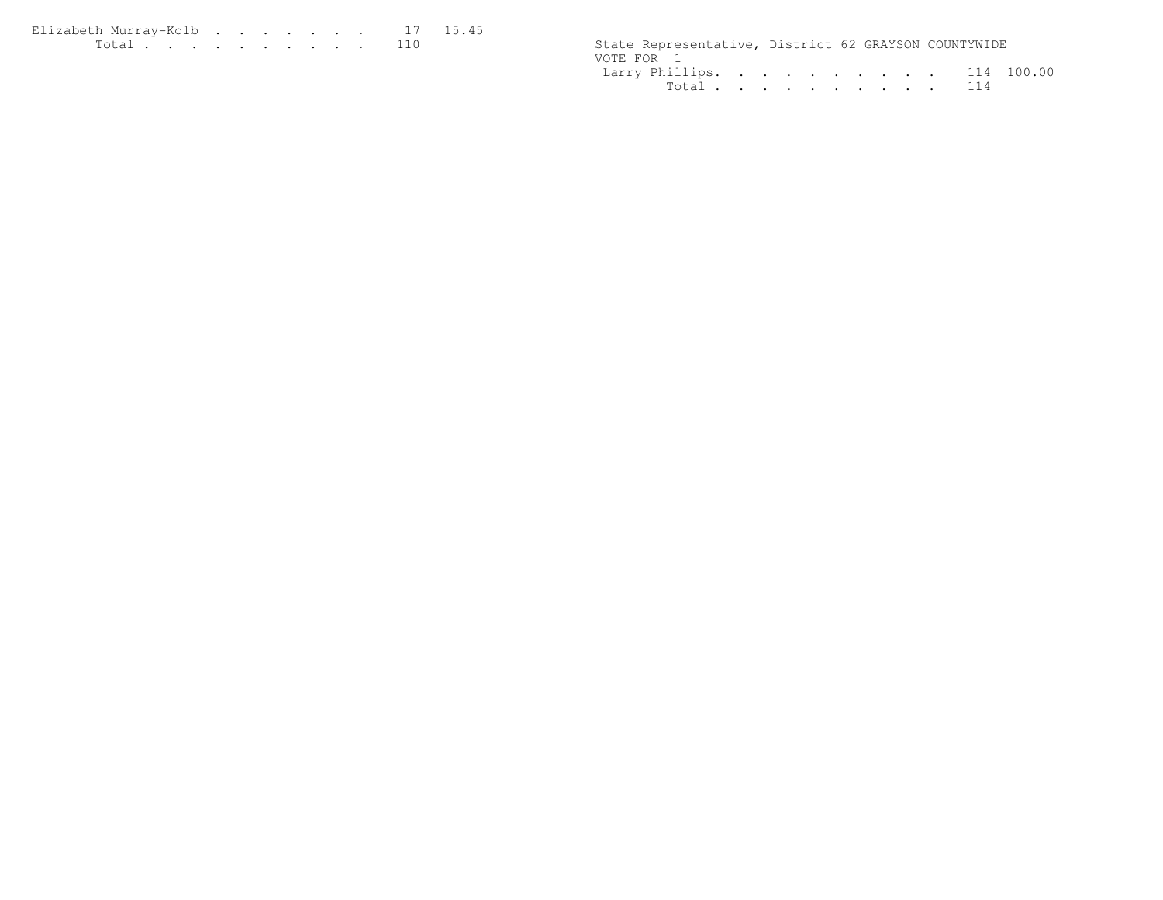Elizabeth Murray-Kolb . . . . . . . 17 15.45<br>Total . . . . . . . . . . 110

State Representative, District 62 GRAYSON COUNTYWIDE VOTE FOR 1 Larry Phillips. . . . . . . . . . 114 100.00Total . . . . . . . . . . 114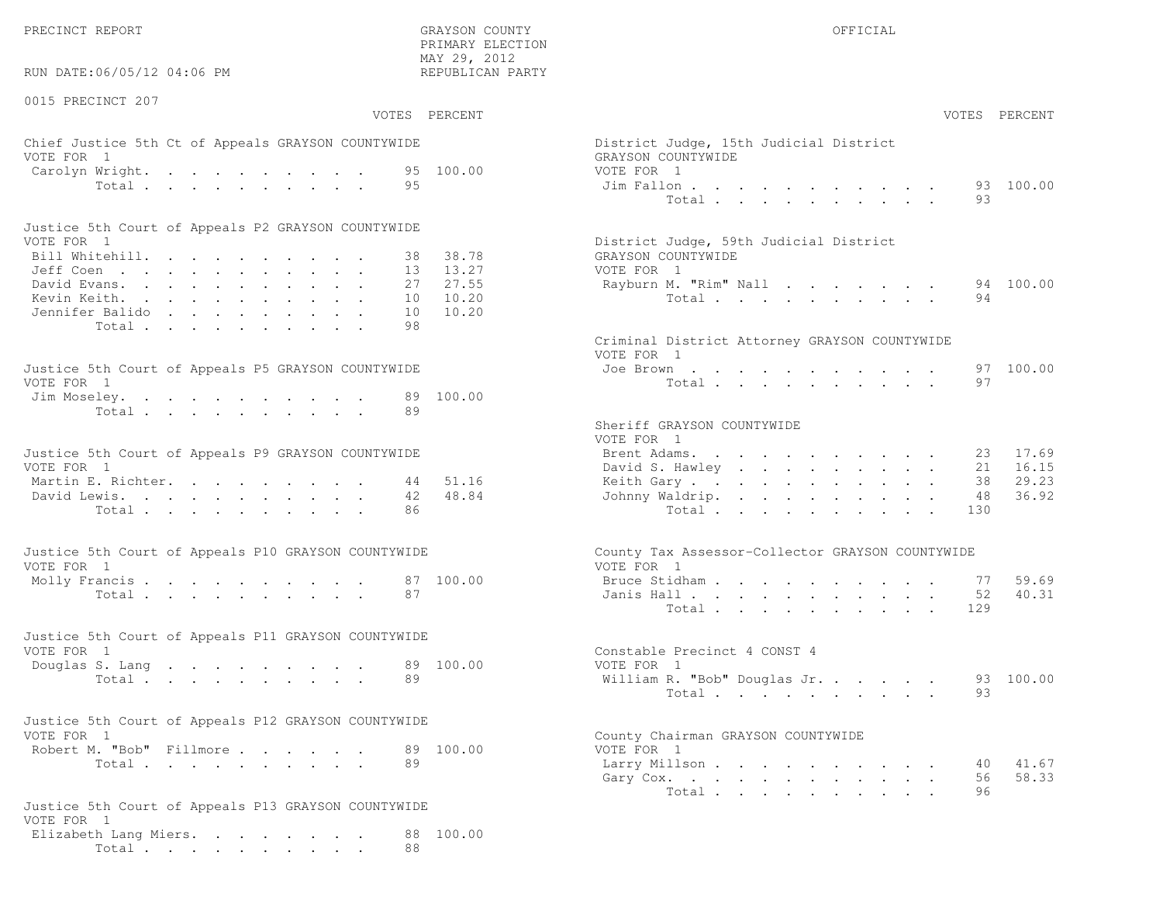PRECINCT REPORT OF THE SERVICE OF THE GRAYSON COUNTY OF THE GRAYSON COUNTY OF THE GRAYSON OF THE GRAYSON COUNTY

 PRIMARY ELECTION MAY 29, 2012REPUBLICAN PARTY

# Chief Justice 5th Ct of Appeals GRAYSON COUNTYWIDE District District District District District District District District District District District District District District District District District District District VOTE FOR 1 GRAYSON COUNTY OF SALES AND THE SERIES OF SALES AND GRAYSON COUNTY OF SALES AND GRAYSON COUNTY OF SALES AND GRAYSON CONTROL OF SALES AND GRAYSON CONTROL OF SALES AND GRAYSON CONTROL OF SALES AND GRAYSON CONTROL Carolyn Wright. . . . . . . . . 95 100.00 VOT<br>Total . . . . . . . . . 95 100.00 J

| Justice 5th Court of Appeals P2 GRAYSON COUNTYWIDE |  |  |  |  |  |                                        |  |
|----------------------------------------------------|--|--|--|--|--|----------------------------------------|--|
| VOTE FOR 1                                         |  |  |  |  |  | District Judge, 59th Judicial District |  |
| Bill Whitehill. 38 38.78                           |  |  |  |  |  | GRAYSON COUNTYWIDE                     |  |
| Jeff Coen 13 13.27                                 |  |  |  |  |  | VOTE FOR 1                             |  |
| David Evans. 27 27.55                              |  |  |  |  |  | Rayburn M. "Rim" Nall 94 100.00        |  |
| Kevin Keith. 10 10.20                              |  |  |  |  |  | Total 94                               |  |
| Jennifer Balido 10 10.20                           |  |  |  |  |  |                                        |  |
| Total 98                                           |  |  |  |  |  |                                        |  |

| Justice 5th Court of Appeals P5 GRAYSON COUNTYWIDE | Joe Brown 97 100.00 |
|----------------------------------------------------|---------------------|
| VOTE FOR 1                                         | Total 97            |
| Jim Moseley. 89 100.00                             |                     |
| Total 89                                           |                     |

| Justice 5th Court of Appeals P9 GRAYSON COUNTYWIDE |  |  | Brent Adams. 23 17.69    |  |  |  |  |  |  |
|----------------------------------------------------|--|--|--------------------------|--|--|--|--|--|--|
| VOTE FOR 1                                         |  |  | David S. Hawley 21 16.15 |  |  |  |  |  |  |
| Martin E. Richter. 44 51.16                        |  |  | Keith Gary 38 29.23      |  |  |  |  |  |  |
| David Lewis. 42 48.84                              |  |  | Johnny Waldrip. 48 36.92 |  |  |  |  |  |  |
| Total 86                                           |  |  | Total 130                |  |  |  |  |  |  |

| Justice 5th Court of Appeals P10 GRAYSON COUNTYWIDE | County Tax Assessor-Collector GRAYSON COUNTYWIDE |
|-----------------------------------------------------|--------------------------------------------------|
| VOTE FOR 1                                          | VOTE FOR 1                                       |
| Molly Francis 87 100.00                             | Bruce Stidham 77 59.69                           |
| Total 87                                            | Janis Hall 52 40.31                              |

| Justice 5th Court of Appeals P11 GRAYSON COUNTYWIDE |  |  |  |  |  |  |          |  |                              |  |  |  |
|-----------------------------------------------------|--|--|--|--|--|--|----------|--|------------------------------|--|--|--|
| VOTE FOR 1                                          |  |  |  |  |  |  |          |  | Constable Precinct 4 CONST 4 |  |  |  |
| Douglas S. Lang 89 100.00                           |  |  |  |  |  |  |          |  | VOTE FOR 1                   |  |  |  |
|                                                     |  |  |  |  |  |  | Total 89 |  | William R. "Bob" Douglas Jr  |  |  |  |

| Justice 5th Court of Appeals P12 GRAYSON COUNTYWIDE |           |                                    |
|-----------------------------------------------------|-----------|------------------------------------|
| VOTE FOR 1                                          |           | County Chairman GRAYSON COUNTYWIDE |
| Robert M. "Bob" Fillmore                            | 89 100.00 | VOTE FOR 1                         |
|                                                     |           |                                    |

```
Justice 5th Court of Appeals P13 GRAYSON COUNTYWIDEVOTE FOR 1
 Elizabeth Lang Miers. . . . . . . . 88 100.00Total . . . . . . . . . . 88
```

| RUN DATE:06/05/12 04:06 PM                                                                                      |        |          | REPUBLICAN PARTY |                                                              |     |               |
|-----------------------------------------------------------------------------------------------------------------|--------|----------|------------------|--------------------------------------------------------------|-----|---------------|
| 0015 PRECINCT 207                                                                                               |        |          | VOTES PERCENT    |                                                              |     | VOTES PERCENT |
|                                                                                                                 |        |          |                  |                                                              |     |               |
| Chief Justice 5th Ct of Appeals GRAYSON COUNTYWIDE<br>VOTE FOR 1                                                |        |          |                  | District Judge, 15th Judicial District<br>GRAYSON COUNTYWIDE |     |               |
| Carolyn Wright.                                                                                                 |        |          | 95 100.00        | VOTE FOR 1                                                   |     |               |
|                                                                                                                 | Total  | 95       |                  | Jim Fallon<br>Total                                          | 93  | 93 100.00     |
| Justice 5th Court of Appeals P2 GRAYSON COUNTYWIDE                                                              |        |          |                  |                                                              |     |               |
| VOTE FOR 1                                                                                                      |        |          |                  | District Judge, 59th Judicial District                       |     |               |
| Bill Whitehill.                                                                                                 |        | 38       | 38.78            | GRAYSON COUNTYWIDE                                           |     |               |
| Jeff Coen<br>David Evans.                                                                                       |        | 13<br>27 | 13.27<br>27.55   | VOTE FOR 1<br>Rayburn M. "Rim" Nall                          |     | 94 100.00     |
| Kevin Keith.                                                                                                    |        | 10       | 10.20            | Total                                                        | 94  |               |
| Jennifer Balido                                                                                                 |        | 10       | 10.20            |                                                              |     |               |
|                                                                                                                 | Total. | 98       |                  |                                                              |     |               |
|                                                                                                                 |        |          |                  | Criminal District Attorney GRAYSON COUNTYWIDE<br>VOTE FOR 1  |     |               |
| Justice 5th Court of Appeals P5 GRAYSON COUNTYWIDE                                                              |        |          |                  | Joe Brown                                                    |     | 97 100.00     |
| VOTE FOR 1                                                                                                      |        |          |                  | Total                                                        | 97  |               |
| Jim Moseley.                                                                                                    |        | 89       | 100.00           |                                                              |     |               |
|                                                                                                                 | Total  | 89       |                  |                                                              |     |               |
|                                                                                                                 |        |          |                  | Sheriff GRAYSON COUNTYWIDE<br>VOTE FOR 1                     |     |               |
| Justice 5th Court of Appeals P9 GRAYSON COUNTYWIDE                                                              |        |          |                  | Brent Adams.                                                 | 23  | 17.69         |
| VOTE FOR 1                                                                                                      |        |          |                  | David S. Hawley                                              | 21  | 16.15         |
| Martin E. Richter.                                                                                              |        | 44       | 51.16            | Keith Gary.                                                  | 38  | 29.23         |
| David Lewis.                                                                                                    |        | 42       | 48.84            | Johnny Waldrip.                                              | 48  | 36.92         |
|                                                                                                                 | Total  | 86       |                  | Total                                                        | 130 |               |
|                                                                                                                 |        |          |                  |                                                              |     |               |
| Justice 5th Court of Appeals P10 GRAYSON COUNTYWIDE                                                             |        |          |                  | County Tax Assessor-Collector GRAYSON COUNTYWIDE             |     |               |
| VOTE FOR 1                                                                                                      |        |          |                  | VOTE FOR 1                                                   |     |               |
| Molly Francis                                                                                                   |        |          | 87 100.00        | Bruce Stidham                                                | 77  | 59.69         |
|                                                                                                                 | Total  | 87       |                  | Janis Hall                                                   | 52  | 40.31         |
|                                                                                                                 |        |          |                  | Total                                                        | 129 |               |
| Justice 5th Court of Appeals P11 GRAYSON COUNTYWIDE                                                             |        |          |                  |                                                              |     |               |
| VOTE FOR 1                                                                                                      |        |          |                  | Constable Precinct 4 CONST 4                                 |     |               |
| Douglas S. Lang                                                                                                 |        |          | 89 100.00        | VOTE FOR 1                                                   |     |               |
|                                                                                                                 | Total  | 89       |                  | William R. "Bob" Douglas Jr.                                 |     | 93 100.00     |
|                                                                                                                 |        |          |                  | Total                                                        | 93  |               |
| Justice 5th Court of Appeals P12 GRAYSON COUNTYWIDE                                                             |        |          |                  |                                                              |     |               |
| VOTE FOR 1                                                                                                      |        |          |                  | County Chairman GRAYSON COUNTYWIDE                           |     |               |
| Robert M. "Bob" Fillmore.                                                                                       |        |          | 89 100.00        | VOTE FOR 1                                                   |     |               |
|                                                                                                                 | Total  | 89       |                  | Larry Millson                                                | 40  | 41.67         |
|                                                                                                                 |        |          |                  | Gary Cox.                                                    | 56  | 58.33         |
| in the company of the company of the company of the company of the company of the company of the company of the |        |          |                  | Total                                                        | 96  |               |
|                                                                                                                 |        |          |                  |                                                              |     |               |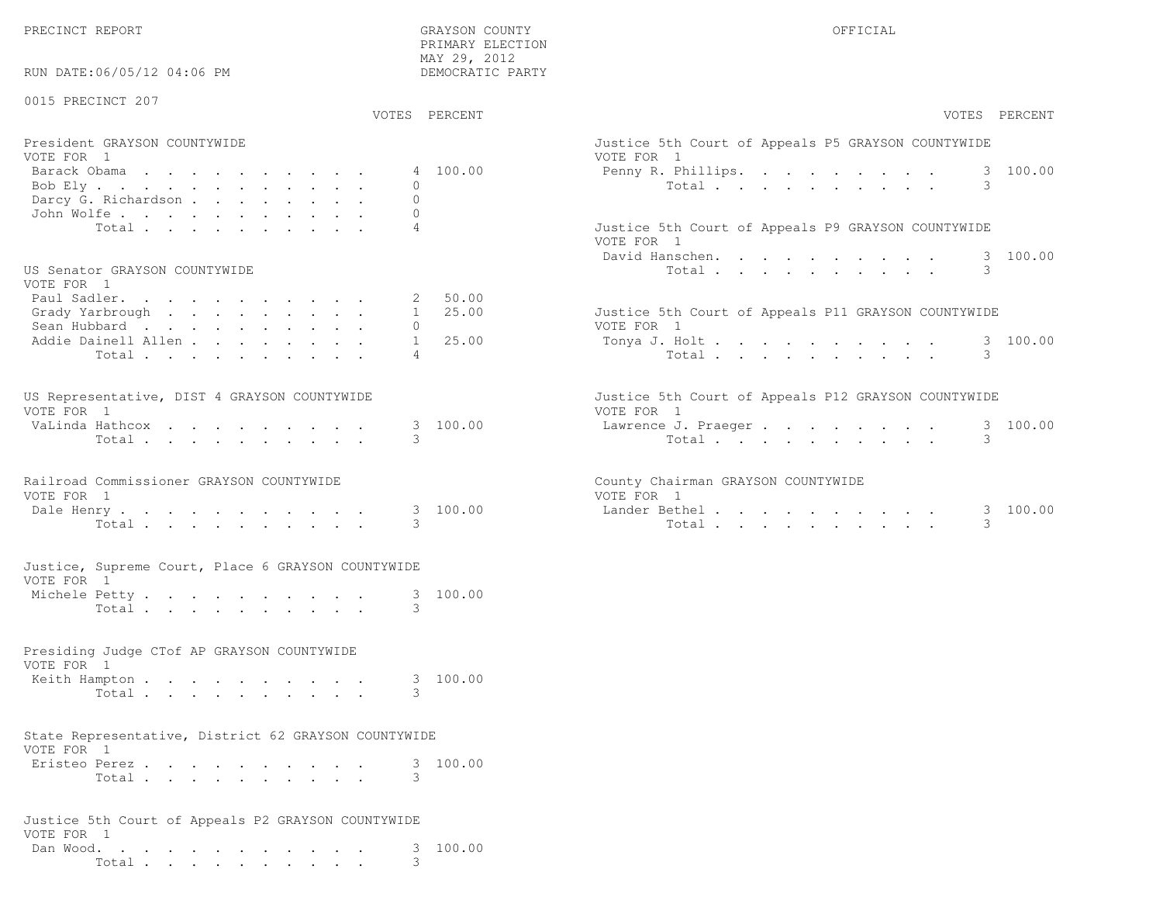PRECINCT REPORT GRAYSON COUNTY OFFICIAL

PRIMARY ELECTION

| RUN DATE:06/05/12 04:06 PM                                         | MAY 29, 2012<br>DEMOCRATIC PARTY             |                                                                                                    |
|--------------------------------------------------------------------|----------------------------------------------|----------------------------------------------------------------------------------------------------|
| 0015 PRECINCT 207                                                  | VOTES PERCENT                                | VOTES PERCENT                                                                                      |
| President GRAYSON COUNTYWIDE<br>VOTE FOR 1                         |                                              | Justice 5th Court of Appeals P5 GRAYSON COUNTYWIDE<br>VOTE FOR 1                                   |
| Barack Obama<br>Bob Ely<br>Darcy G. Richardson<br>John Wolfe.      | 4 100.00<br>$\circ$<br>$\Omega$<br>$\Omega$  | 3 100.00<br>Penny R. Phillips.<br>3<br>Total                                                       |
| Total                                                              | $\overline{4}$                               | Justice 5th Court of Appeals P9 GRAYSON COUNTYWIDE<br>VOTE FOR 1<br>100.00<br>David Hanschen.<br>3 |
| US Senator GRAYSON COUNTYWIDE<br>VOTE FOR 1                        |                                              | 3<br>Total                                                                                         |
| Paul Sadler.<br>Grady Yarbrough<br>Sean Hubbard                    | 50.00<br>2<br>25.00<br>$1 \quad$<br>$\Omega$ | Justice 5th Court of Appeals P11 GRAYSON COUNTYWIDE<br>VOTE FOR 1                                  |
| Addie Dainell Allen<br>Total                                       | $\mathbf{1}$<br>25.00<br>$\overline{4}$      | 3 100.00<br>Tonya J. Holt<br>3<br>Total                                                            |
| US Representative, DIST 4 GRAYSON COUNTYWIDE<br>VOTE FOR 1         |                                              | Justice 5th Court of Appeals P12 GRAYSON COUNTYWIDE<br>VOTE FOR 1                                  |
| VaLinda Hathcox<br>Total                                           | 3 100.00<br>3                                | 3 100.00<br>Lawrence J. Praeger<br>Total<br>3                                                      |
| Railroad Commissioner GRAYSON COUNTYWIDE<br>VOTE FOR 1             |                                              | County Chairman GRAYSON COUNTYWIDE<br>VOTE FOR 1                                                   |
| Dale Henry<br>Total                                                | 3 100.00<br>3                                | Lander Bethel.<br>3 100.00<br>3<br>Total                                                           |
| Justice, Supreme Court, Place 6 GRAYSON COUNTYWIDE<br>VOTE FOR 1   |                                              |                                                                                                    |
| Michele Petty<br>Total                                             | 3 100.00<br>3                                |                                                                                                    |
| Presiding Judge CTof AP GRAYSON COUNTYWIDE<br>VOTE FOR 1           |                                              |                                                                                                    |
| Keith Hampton<br>Total                                             | 100.00<br>3<br>3                             |                                                                                                    |
| State Representative, District 62 GRAYSON COUNTYWIDE<br>VOTE FOR 1 |                                              |                                                                                                    |
| Eristeo Perez<br>Total                                             | 3 100.00<br>3                                |                                                                                                    |
| Justice 5th Court of Appeals P2 GRAYSON COUNTYWIDE                 |                                              |                                                                                                    |
| VOTE FOR 1<br>Dan Wood.<br>Total                                   | 100.00<br>3                                  |                                                                                                    |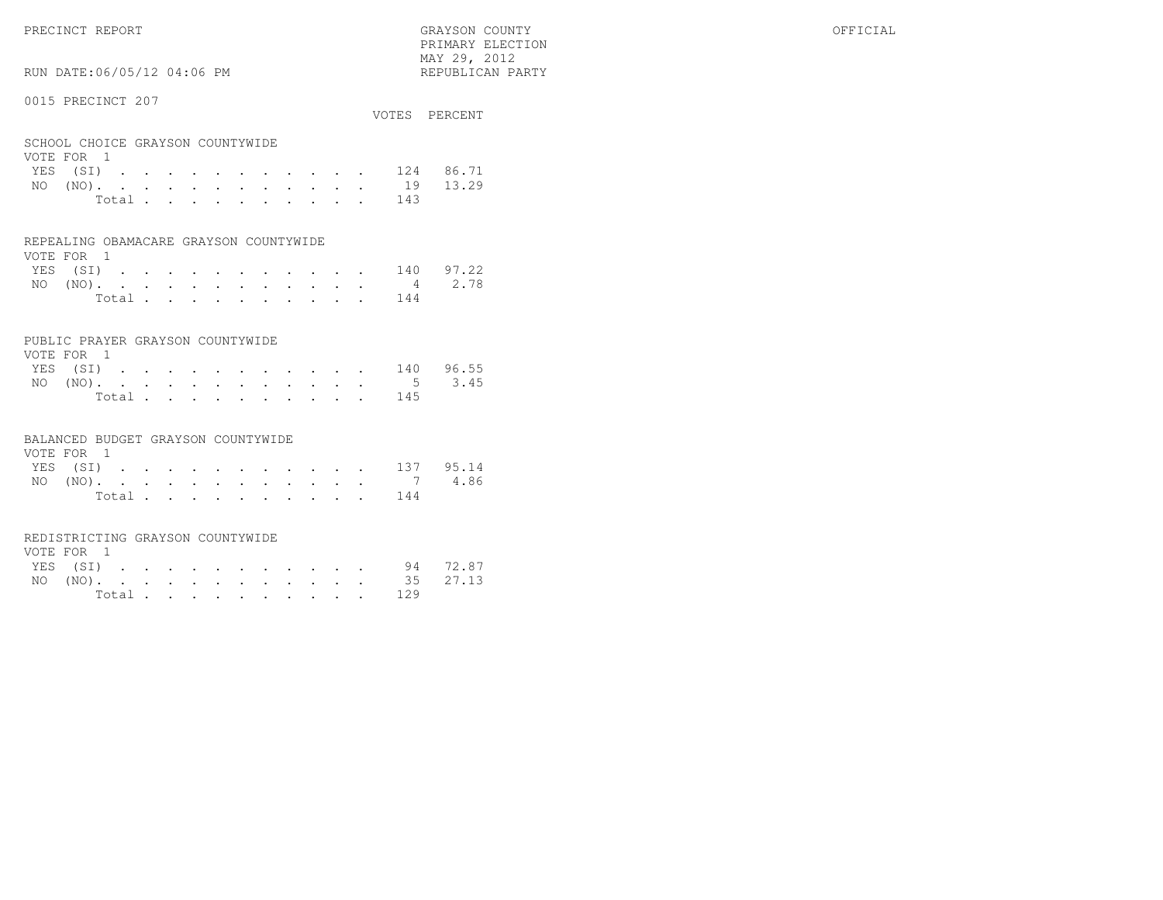# RUN DATE:06/05/12 04:06 PM

#### 0015 PRECINCT 207

|                                                |  |  |  |  |  |     | VOTES PERCENT |
|------------------------------------------------|--|--|--|--|--|-----|---------------|
| SCHOOL CHOICE GRAYSON COUNTYWIDE<br>VOTE FOR 1 |  |  |  |  |  |     |               |
| YES (SI) 124 86.71                             |  |  |  |  |  |     |               |
| NO (NO). 19 13.29                              |  |  |  |  |  |     |               |
| Total                                          |  |  |  |  |  | 143 |               |

#### REPEALING OBAMACARE GRAYSON COUNTYWIDE

| VOTE FOR 1 |  |  |  |  |  |                    |  |
|------------|--|--|--|--|--|--------------------|--|
|            |  |  |  |  |  | YES (SI) 140 97.22 |  |
|            |  |  |  |  |  | NO (NO). 4 2.78    |  |
|            |  |  |  |  |  | Total 144          |  |

#### PUBLIC PRAYER GRAYSON COUNTYWIDE

| VOTE FOR 1 |  |  |  |  |  |                    |  |
|------------|--|--|--|--|--|--------------------|--|
|            |  |  |  |  |  | YES (SI) 140 96.55 |  |
|            |  |  |  |  |  | NO (NO). 5 3.45    |  |
|            |  |  |  |  |  | Total 145          |  |

#### BALANCED BUDGET GRAYSON COUNTYWIDE

| VOTE FOR 1 |  |  |  |  |  |                    |  |
|------------|--|--|--|--|--|--------------------|--|
|            |  |  |  |  |  | YES (SI) 137 95.14 |  |
|            |  |  |  |  |  | NO (NO). 7 4.86    |  |
|            |  |  |  |  |  | Total 144          |  |

#### REDISTRICTING GRAYSON COUNTYWIDE

| VOTE FOR 1 |  |  |  |  |  |           |                   |  |
|------------|--|--|--|--|--|-----------|-------------------|--|
|            |  |  |  |  |  |           | YES (SI) 94 72.87 |  |
|            |  |  |  |  |  |           | NO (NO). 35 27.13 |  |
|            |  |  |  |  |  | Total 129 |                   |  |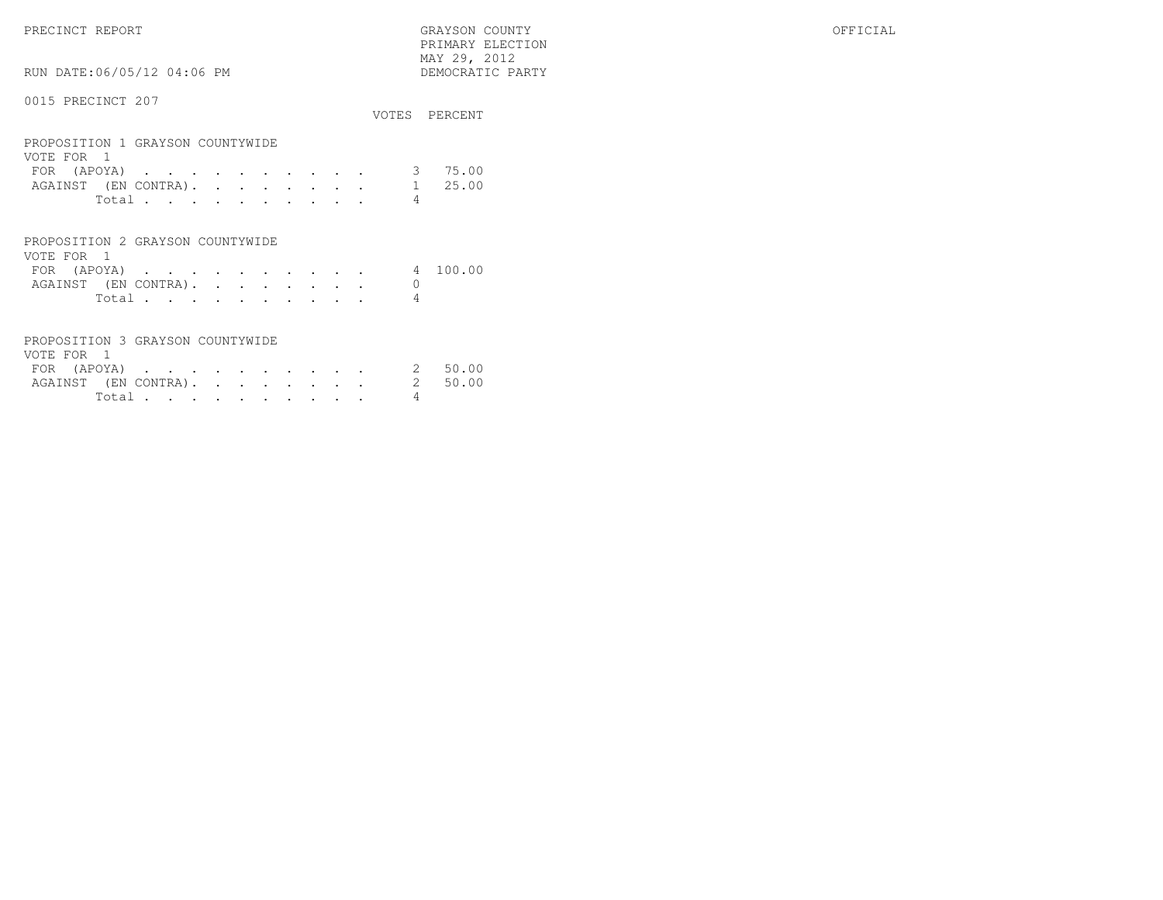PRECINCT REPORT GRAYSON COUNTY OFFICIAL PRIMARY ELECTION $\begin{array}{lll} \text{MAX} & 29, & 2012 \\ \text{NAY} & 29, & 2012 \end{array}$ RUN DATE:06/05/12 04:06 PM

#### 0015 PRECINCT 207

|                                                                                                                                                                                      |   | VOTES PERCENT |
|--------------------------------------------------------------------------------------------------------------------------------------------------------------------------------------|---|---------------|
| PROPOSITION 1 GRAYSON COUNTYWIDE<br>VOTE FOR 1<br>(APOYA)<br>FOR.<br>the contract of the contract of the contract of the contract of the contract of the contract of the contract of |   | 75.00         |
| AGAINST (EN CONTRA).                                                                                                                                                                 |   | 25.00         |
| Total                                                                                                                                                                                | 4 |               |
|                                                                                                                                                                                      |   |               |
| PROPOSITION 2 GRAYSON COUNTYWIDE                                                                                                                                                     |   |               |
| VOTE FOR                                                                                                                                                                             |   |               |

| FOR (APOYA)          |  |  |  |  |  | 4 100.00 |
|----------------------|--|--|--|--|--|----------|
| AGAINST (EN CONTRA). |  |  |  |  |  |          |
| Total                |  |  |  |  |  |          |

### PROPOSITION 3 GRAYSON COUNTYWIDE

| VOTE FOR 1 |                   |  |  |  |  |  |                              |         |
|------------|-------------------|--|--|--|--|--|------------------------------|---------|
|            | FOR $($ APOYA $)$ |  |  |  |  |  |                              | 2 50.00 |
|            |                   |  |  |  |  |  | AGAINST (EN CONTRA). 2 50.00 |         |
|            | Total.            |  |  |  |  |  |                              |         |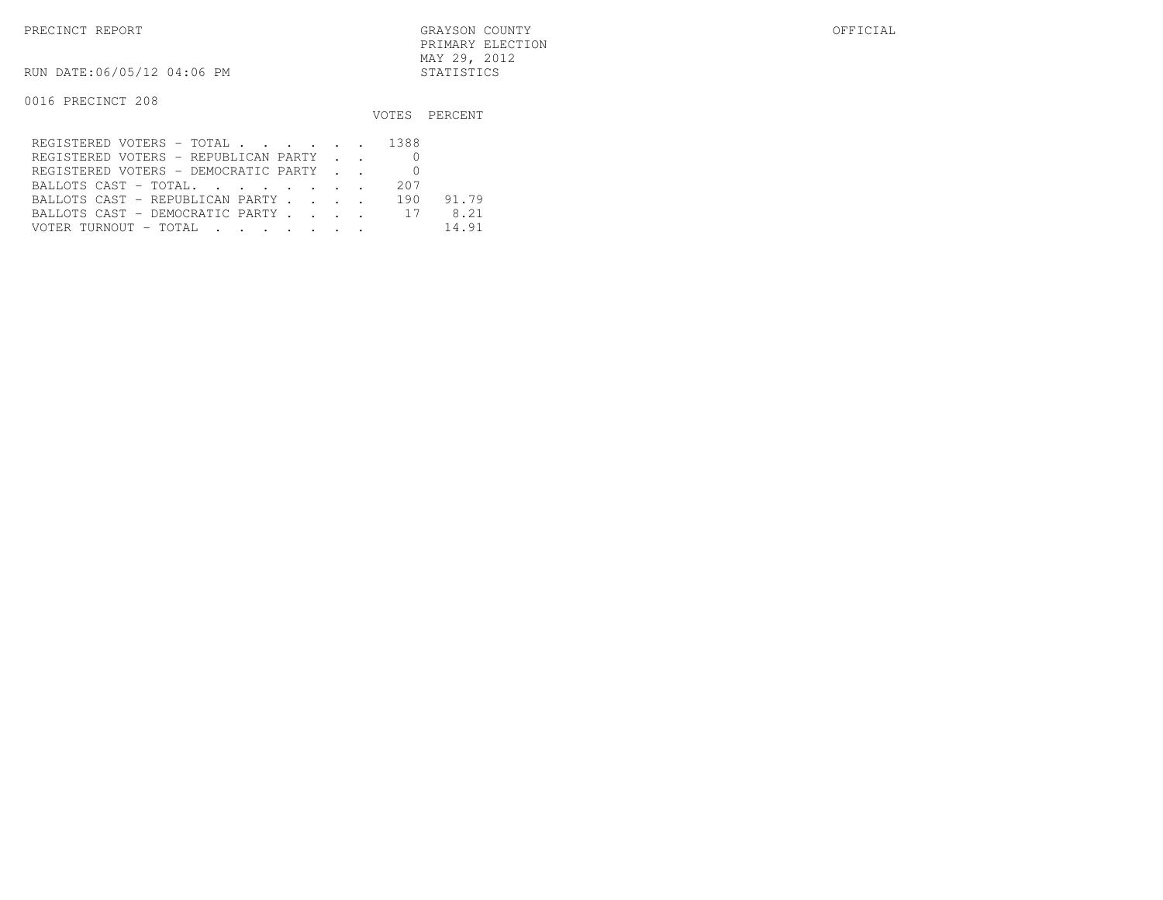PRECINCT REPORT GRAYSON COUNTY OFFICIAL PRIMARY ELECTIONMAY 29, 2012

RUN DATE:06/05/12 04:06 PM STATISTICS

|                                               |     | VOTES PERCENT |
|-----------------------------------------------|-----|---------------|
| REGISTERED VOTERS - TOTAL 1388                |     |               |
| REGISTERED VOTERS - REPUBLICAN PARTY          |     |               |
| REGISTERED VOTERS - DEMOCRATIC PARTY          |     |               |
| BALLOTS CAST - TOTAL.                         | 207 |               |
| BALLOTS CAST - REPUBLICAN PARTY               | 190 | 91.79         |
| BALLOTS CAST - DEMOCRATIC PARTY 17            |     | 8.21          |
| VOTER TURNOUT – TOTAL   .   .   .   .   .   . |     | 14.91         |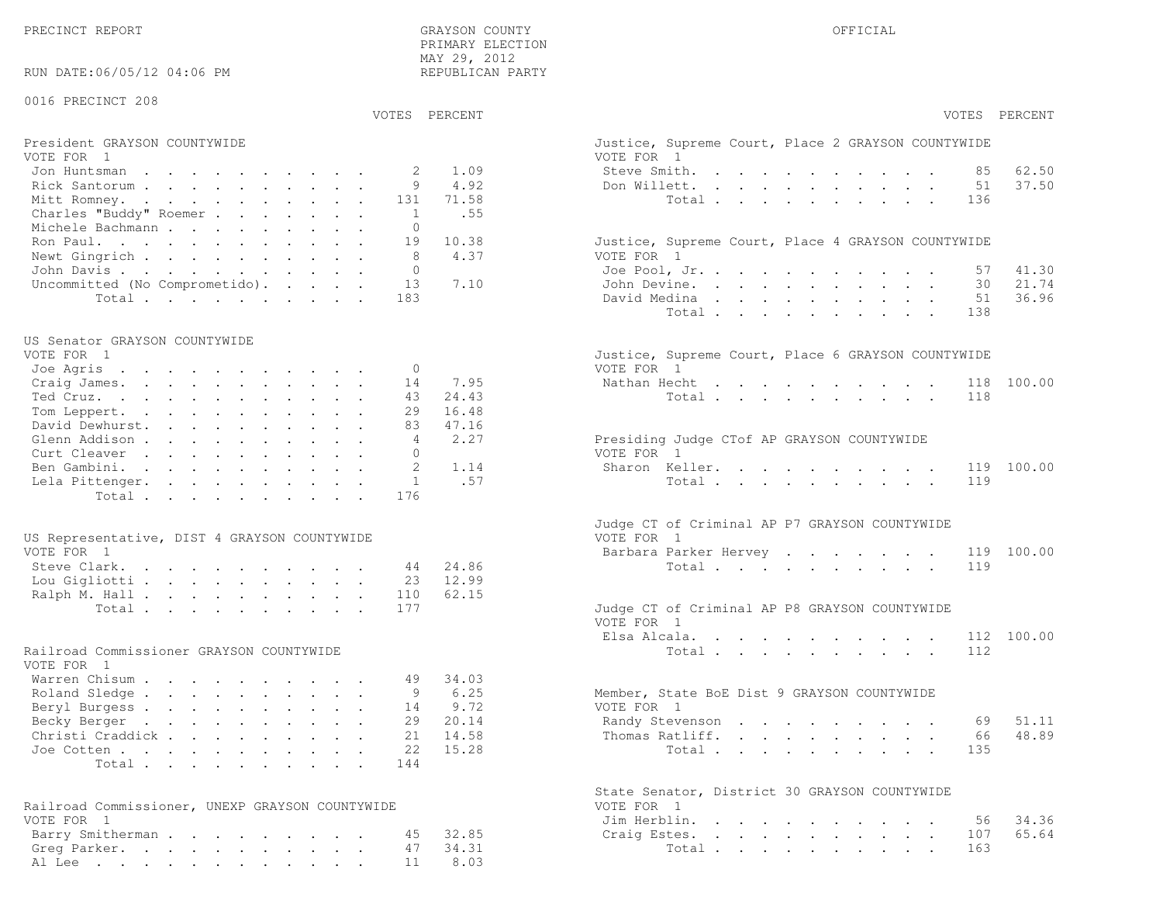PRECINCT REPORT THE COUNTY GRAYSON COUNTY THE COUNTY OFFICIAL OFFICIAL COUNTY OF THE COUNTY OF THE COUNTY OF THE COUNTY OF THE COUNTY OF THE COUNTY OF THE COUNTY OF THE COUNTY OF THE COUNTY OF THE COUNTY OF THE COUNTY OF T

RUN DATE:06/05/12 04:06 PM

### 0016 PRECINCT 208

 PRIMARY ELECTION MAY 29, 2012REPUBLICAN PARTY

# President GRAYSON COUNTYWIDE Justice, Superior Court, Place 2 Grayson, Superior Court, Place 2 Grayson, Place 2 Grayson, Place 2 Grayson, Place 2 Grayson, Place 2 Grayson, Place 2 Grayson, Place 2 Grayson, Place 2 Grayson,

| VOTE FOR 1                             | VOTE FOR 1                                         |
|----------------------------------------|----------------------------------------------------|
| Jon Huntsman 2 1.09                    | 62.50<br>Steve Smith. 85                           |
| Rick Santorum 9 4.92                   | 37.50<br>Don Willett. 51                           |
| Mitt Romney. 131 71.58                 | Total 136                                          |
| Charles "Buddy" Roemer 1 .55           |                                                    |
| Michele Bachmann 0                     |                                                    |
| Ron Paul. 19 10.38                     | Justice, Supreme Court, Place 4 GRAYSON COUNTYWIDE |
| Newt Gingrich 8 4.37                   | VOTE FOR 1                                         |
| John Davis 0                           | Joe Pool, Jr. 57 41.30                             |
| Uncommitted (No Comprometido). 13 7.10 | 21.74<br>John Devine. 30                           |
| Total 183                              | 36.96<br>David Medina<br>51                        |

#### US Senator GRAYSON COUNTYWIDE

| VOIE FOR I               | JUStice, Supreme Court, Place 6 GRAISON COUNTIVIDE |
|--------------------------|----------------------------------------------------|
| Joe Agris 0              | VOTE FOR 1                                         |
| Craig James. 14 7.95     | Nathan Hecht 118 100.00                            |
| Ted Cruz. 43 24.43       | Total 118                                          |
| Tom Leppert. 29 16.48    |                                                    |
| David Dewhurst. 83 47.16 |                                                    |
| 4 2.27<br>Glenn Addison  | Presiding Judge CTof AP GRAYSON COUNTYWIDE         |
| Curt Cleaver             | VOTE FOR 1                                         |
| Ben Gambini. 2 1.14      | Sharon Keller. 119 100.00                          |
| Lela Pittenger. 1 .57    | Total 119                                          |
| Total 176                |                                                    |
|                          |                                                    |

| US Representative, DIST 4 GRAYSON COUNTYWIDE | VOTE FOR 1                                    |
|----------------------------------------------|-----------------------------------------------|
| VOTE FOR 1                                   | Barbara Parker Hervey 119 100.00              |
| Steve Clark. 44 24.86                        | Total 119                                     |
| Lou Gigliotti 23 12.99                       |                                               |
| Ralph M. Hall 110 62.15                      |                                               |
| Total 177                                    | Judge CT of Criminal AP P8 GRAYSON COUNTYWIDE |

#### Railroad Commissioner GRAYSON COUNTYWIDE

| VOTE FOR 1                |  |  |  |  |  |                                             |  |
|---------------------------|--|--|--|--|--|---------------------------------------------|--|
| Warren Chisum 49 34.03    |  |  |  |  |  |                                             |  |
| Roland Sledge 9 6.25      |  |  |  |  |  | Member, State BoE Dist 9 GRAYSON COUNTYWIDE |  |
| Beryl Burgess 14 9.72     |  |  |  |  |  | VOTE FOR 1                                  |  |
| Becky Berger 29 20.14     |  |  |  |  |  | Randy Stevenson 69 51.11                    |  |
| Christi Craddick 21 14.58 |  |  |  |  |  | Thomas Ratliff. 66 48.89                    |  |
| Joe Cotten 22 15.28       |  |  |  |  |  | Total 135                                   |  |
| Total 144                 |  |  |  |  |  |                                             |  |

| Railroad Commissioner, UNEXP GRAYSON COUNTYWIDE | VOTE FOR 1             |
|-------------------------------------------------|------------------------|
| VOTE FOR 1                                      | Jim Herblin. 56 34.36  |
| Barry Smitherman 45 32.85                       | Craig Estes. 107 65.64 |
| Greg Parker. 47 34.31                           | Total 163              |
| Al Lee 11 8.03                                  |                        |

|                                                 | VOTES PERCENT | VOTES PERCENT                                                                 |  |
|-------------------------------------------------|---------------|-------------------------------------------------------------------------------|--|
| President GRAYSON COUNTYWIDE                    |               | Justice, Supreme Court, Place 2 GRAYSON COUNTYWIDE                            |  |
| VOTE FOR 1                                      |               | VOTE FOR 1                                                                    |  |
| Jon Huntsman<br>2                               | 1.09          | 62.50<br>Steve Smith.<br>85                                                   |  |
| Rick Santorum<br>9                              | 4.92          | Don Willett.<br>51<br>37.50                                                   |  |
| Mitt Romney.<br>131                             | 71.58         | Total<br>136                                                                  |  |
| Charles "Buddy" Roemer<br>1                     | .55           |                                                                               |  |
| Michele Bachmann<br>$\Omega$<br>19              | 10.38         |                                                                               |  |
| Ron Paul.<br>Newt Gingrich<br>8                 | 4.37          | Justice, Supreme Court, Place 4 GRAYSON COUNTYWIDE<br>VOTE FOR 1              |  |
| John Davis.<br>$\Omega$                         |               | Joe Pool, Jr.<br>41.30<br>57                                                  |  |
| 13                                              | 7.10          | 21.74<br>30                                                                   |  |
| Uncommitted (No Comprometido).<br>183           |               | John Devine.<br>36.96<br>David Medina<br>51                                   |  |
| Total                                           |               | 138                                                                           |  |
|                                                 |               | Total                                                                         |  |
| US Senator GRAYSON COUNTYWIDE                   |               |                                                                               |  |
| VOTE FOR 1                                      |               | Justice, Supreme Court, Place 6 GRAYSON COUNTYWIDE                            |  |
| Joe Agris<br>$\mathbf{0}$                       |               | VOTE FOR 1                                                                    |  |
| 14<br>Craig James.                              | 7.95          | 118 100.00<br>Nathan Hecht                                                    |  |
| Ted Cruz.<br>43                                 | 24.43         | 118<br>Total                                                                  |  |
| Tom Leppert.<br>29                              | 16.48         |                                                                               |  |
| David Dewhurst.<br>83                           | 47.16         |                                                                               |  |
| Glenn Addison<br>4                              | 2.27          | Presiding Judge CTof AP GRAYSON COUNTYWIDE                                    |  |
| Curt Cleaver<br>$\Omega$                        |               | VOTE FOR 1                                                                    |  |
| $\mathfrak{D}$<br>Ben Gambini.                  | 1.14          | Sharon Keller.<br>119 100.00                                                  |  |
| $\mathbf{1}$<br>Lela Pittenger.                 | .57           | Total<br>119                                                                  |  |
| Total<br>176                                    |               |                                                                               |  |
|                                                 |               | Judge CT of Criminal AP P7 GRAYSON COUNTYWIDE                                 |  |
| US Representative, DIST 4 GRAYSON COUNTYWIDE    |               | VOTE FOR 1                                                                    |  |
| VOTE FOR 1                                      |               | Barbara Parker Hervey<br>100.00<br>119                                        |  |
| Steve Clark.<br>44                              | 24.86         | Total<br>119                                                                  |  |
| 23<br>Lou Gigliotti                             | 12.99         |                                                                               |  |
| Ralph M. Hall<br>110                            | 62.15         |                                                                               |  |
| 177<br>Total                                    |               | Judge CT of Criminal AP P8 GRAYSON COUNTYWIDE                                 |  |
|                                                 |               | VOTE FOR 1                                                                    |  |
|                                                 |               | Elsa Alcala.<br>the contract of the contract of the contract of<br>112 100.00 |  |
| Railroad Commissioner GRAYSON COUNTYWIDE        |               | Total<br>112                                                                  |  |
| VOTE FOR 1                                      |               |                                                                               |  |
| Warren Chisum<br>49                             | 34.03         |                                                                               |  |
| Roland Sledge<br>9                              | 6.25          | Member, State BoE Dist 9 GRAYSON COUNTYWIDE                                   |  |
| Beryl Burgess<br>14                             | 9.72          | VOTE FOR 1                                                                    |  |
| 29<br>Becky Berger                              | 20.14         | 51.11<br>Randy Stevenson<br>69                                                |  |
| Christi Craddick<br>21                          | 14.58         | 48.89<br>Thomas Ratliff.<br>66                                                |  |
| 22<br>Joe Cotten                                | 15.28         | Total<br>135                                                                  |  |
| Total<br>144                                    |               |                                                                               |  |
|                                                 |               | State Senator, District 30 GRAYSON COUNTYWIDE                                 |  |
| Railroad Commissioner, UNEXP GRAYSON COUNTYWIDE |               | VOTE FOR 1                                                                    |  |
| VOTE FOR 1                                      |               | 34.36<br>Jim Herblin.<br>56                                                   |  |
| Barry Smitherman<br>45                          | 32.85         | 65.64<br>107<br>Craig Estes.                                                  |  |
| Greg Parker.<br>47                              | 34.31         | Total<br>163                                                                  |  |
| Al Lee 11                                       | 8.03          |                                                                               |  |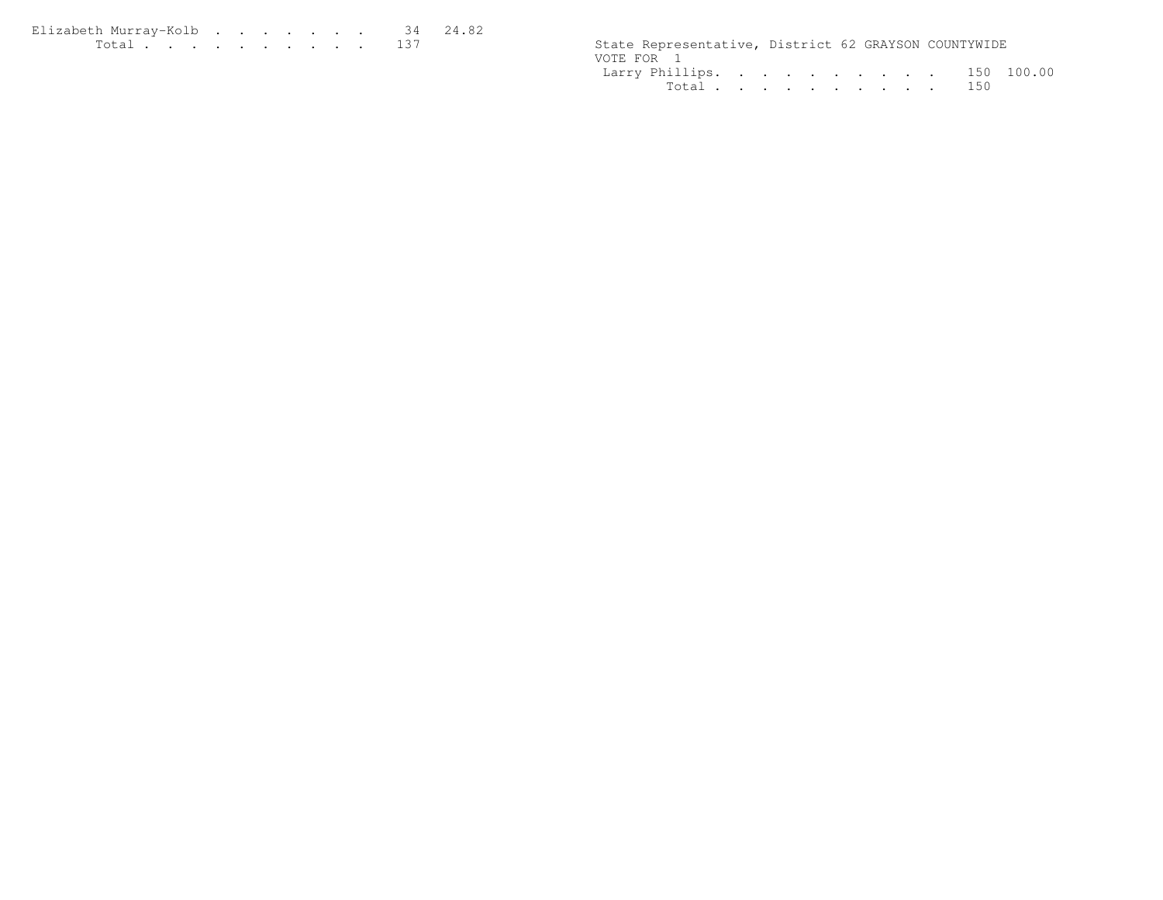| Elizabeth Murrav-Kolb 34 24.82                                                                                                                                                                                                       |  |  |  |  |  |                                                      |  |  |
|--------------------------------------------------------------------------------------------------------------------------------------------------------------------------------------------------------------------------------------|--|--|--|--|--|------------------------------------------------------|--|--|
| <u>in the second contract of the second contract of the second contract of the second contract of the second contract of the second contract of the second contract of the second contract of the second contract of the second </u> |  |  |  |  |  | State Representative, District 62 GRAYSON COUNTYWIDE |  |  |

| State Representative, District 62 GRAYSON COUNTYWIDE |           |  |  |  |  |  |
|------------------------------------------------------|-----------|--|--|--|--|--|
| VOTE FOR 1                                           |           |  |  |  |  |  |
| Larry Phillips. 150 100.00                           |           |  |  |  |  |  |
|                                                      | Total 150 |  |  |  |  |  |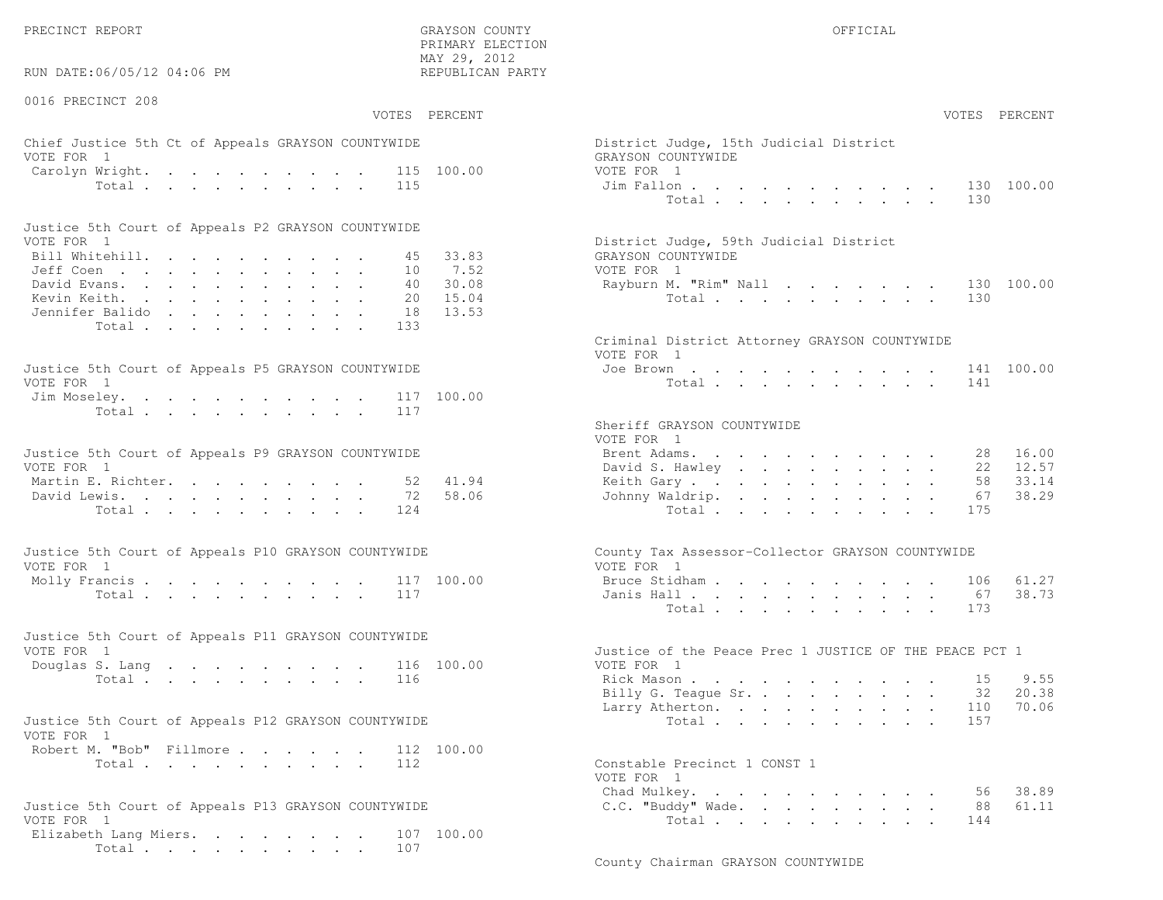PRECINCT REPORT GRAYSON COUNTY OFFICIAL

 $\text{MAX } 29, \quad 2012$ RUN DATE:06/05/12 04:06 PM

0016 PRECINCT 208

PRIMARY ELECTION

# Chief Justice 5th Ct of Appeals GRAYSON COUNTYWIDE The State of District District District Order VOTE FOR 1 GRAYSON COUNTY WITH SALE COUNTY OF A GRAY COUNTY OF A GRAY COUNTY OF A GRAY COUNTY OF A GRAY COUNTY OF A GRAY COUNTY OF A GRAY COUNTY OF A GRAY COUNTY OF A GRAY COUNTY OF A GRAY COUNTY OF A GRAY COUNTY OF A GRAY Carolyn Wright. . . . . . . . . 115 100.00 VOT

| Justice 5th Court of Appeals P2 GRAYSON COUNTYWIDE |  |  |  |  |  |                                        |
|----------------------------------------------------|--|--|--|--|--|----------------------------------------|
| VOTE FOR 1                                         |  |  |  |  |  | District Judge, 59th Judicial District |
| Bill Whitehill. 45 33.83                           |  |  |  |  |  | GRAYSON COUNTYWIDE                     |
| Jeff Coen 10 7.52                                  |  |  |  |  |  | VOTE FOR 1                             |
| David Evans. 40 30.08                              |  |  |  |  |  | Rayburn M. "Rim" Nall 130 100.00       |
| Kevin Keith. 20 15.04                              |  |  |  |  |  | Total 130                              |
| Jennifer Balido 18 13.53                           |  |  |  |  |  |                                        |
| Total 133                                          |  |  |  |  |  |                                        |

| Justice 5th Court of Appeals P5 GRAYSON COUNTYWIDE | Joe Brown 141 100.00 |
|----------------------------------------------------|----------------------|
| VOTE FOR 1                                         | Total 141            |
| Jim Moseley. 117 100.00                            |                      |
| Total 117                                          |                      |

| Justice 5th Court of Appeals P9 GRAYSON COUNTYWIDE |  |  |  |  | Brent Adams. 28 16.00    |  |  |  |  |  |  |
|----------------------------------------------------|--|--|--|--|--------------------------|--|--|--|--|--|--|
| VOTE FOR 1                                         |  |  |  |  | David S. Hawley 22 12.57 |  |  |  |  |  |  |
| Martin E. Richter. 52 41.94                        |  |  |  |  | Keith Gary 58 33.14      |  |  |  |  |  |  |
| David Lewis. 72 58.06                              |  |  |  |  | Johnny Waldrip. 67 38.29 |  |  |  |  |  |  |
| Total 124                                          |  |  |  |  | Total 175                |  |  |  |  |  |  |

| Justice 5th Court of Appeals P10 GRAYSON COUNTYWIDE | County Tax Assessor-Collector GRAYSON COUNTYWIDE |
|-----------------------------------------------------|--------------------------------------------------|
| VOTE FOR 1                                          | VOTE FOR 1                                       |
| Molly Francis 117 100.00                            | Bruce Stidham 106 61.27                          |
| Total 117                                           | Janis Hall 67 38.73                              |

| Justice 5th Court of Appeals P11 GRAYSON COUNTYWIDE |  |  |  |  |                                                        |  |
|-----------------------------------------------------|--|--|--|--|--------------------------------------------------------|--|
| VOTE FOR 1                                          |  |  |  |  | Justice of the Peace Prec 1 JUSTICE OF THE PEACE PCT 1 |  |
| Douglas S. Lang 116 100.00                          |  |  |  |  | VOTE FOR 1                                             |  |
| Total 116                                           |  |  |  |  | 9.55<br>Rick Mason 15                                  |  |

| Justice 5th Court of Appeals P12 GRAYSON COUNTYWIDE |           |  |  |  | Total 157                    |  |
|-----------------------------------------------------|-----------|--|--|--|------------------------------|--|
| VOTE FOR 1                                          |           |  |  |  |                              |  |
| Robert M. "Bob" Fillmore 112 100.00                 |           |  |  |  |                              |  |
|                                                     | Total 112 |  |  |  | Constable Precinct 1 CONST 1 |  |

| Justice 5th Court of Appeals P13 GRAYSON COUNTYWIDE | C.C. "Buddy" Wade. 88 61.11 |  |
|-----------------------------------------------------|-----------------------------|--|
| VOTE FOR 1                                          | Total 144                   |  |
| Elizabeth Lang Miers. 107 100.00                    |                             |  |
| Total 107                                           |                             |  |

| :06/05/12 04:06 PM                                                                    | MAY 29, 2012<br>REPUBLICAN PARTY          |                                                                                             |  |
|---------------------------------------------------------------------------------------|-------------------------------------------|---------------------------------------------------------------------------------------------|--|
| CINCT 208                                                                             | VOTES PERCENT                             | VOTES PERCENT                                                                               |  |
| stice 5th Ct of Appeals GRAYSON COUNTYWIDE<br>1                                       |                                           | District Judge, 15th Judicial District<br>GRAYSON COUNTYWIDE                                |  |
| Wright.<br>Total<br>115                                                               | 115 100.00                                | VOTE FOR 1<br>130 100.00<br>Jim Fallon<br>Total<br>130                                      |  |
| ith Court of Appeals P2 GRAYSON COUNTYWIDE                                            |                                           |                                                                                             |  |
| $\mathbf{1}$<br>itehill.                                                              | 33.83<br>45<br>7.52<br>10                 | District Judge, 59th Judicial District<br>GRAYSON COUNTYWIDE<br>VOTE FOR 1                  |  |
| rans.<br>eith.<br>: Balido<br>133                                                     | 30.08<br>40<br>15.04<br>20<br>13.53<br>18 | 130 100.00<br>Rayburn M. "Rim" Nall<br>Total<br>130                                         |  |
| Total<br>oth Court of Appeals P5 GRAYSON COUNTYWIDE                                   |                                           | Criminal District Attorney GRAYSON COUNTYWIDE<br>VOTE FOR 1<br>Joe Brown<br>141 100.00      |  |
| $\mathbf{1}$<br>eley.<br>117                                                          | 100.00                                    | Total $\cdots$<br>141                                                                       |  |
| Total<br>117                                                                          |                                           | Sheriff GRAYSON COUNTYWIDE<br>VOTE FOR 1                                                    |  |
| ith Court of Appeals P9 GRAYSON COUNTYWIDE<br>$\mathbf{1}$<br>$\mathbb{R}$ . Richter. | 41.94<br>52                               | Brent Adams.<br>16.00<br>28<br>12.57<br>David S. Hawley<br>22<br>33.14<br>Keith Gary.<br>58 |  |
| ewis.<br>Total<br>124                                                                 | 58.06<br>72                               | 38.29<br>Johnny Waldrip.<br>67<br>Total<br>175                                              |  |
| ith Court of Appeals P10 GRAYSON COUNTYWIDE<br>$\sim$ 1                               |                                           | County Tax Assessor-Collector GRAYSON COUNTYWIDE<br>VOTE FOR 1                              |  |
| rancis 117 100.00<br>Total<br>117                                                     |                                           | 61.27<br>Bruce Stidham<br>106<br>38.73<br>Janis Hall<br>67<br>Total<br>173                  |  |
| oth Court of Appeals P11 GRAYSON COUNTYWIDE<br>$\mathbf{1}$                           |                                           | Justice of the Peace Prec 1 JUSTICE OF THE PEACE PCT 1                                      |  |
| S. Lang 116 100.00<br>116<br>Total                                                    |                                           | VOTE FOR 1<br>Rick Mason<br>9.55<br>15                                                      |  |
| oth Court of Appeals P12 GRAYSON COUNTYWIDE                                           |                                           | Billy G. Teague Sr.<br>20.38<br>32<br>Larry Atherton. 110 70.06                             |  |
| $\mathbf{1}$<br>1. "Bob" Fillmore.                                                    | 112 100.00                                | Total<br>157                                                                                |  |
| Total<br>112                                                                          |                                           | Constable Precinct 1 CONST 1<br>VOTE FOR 1<br>38.89<br>Chad Mulkey.<br>56                   |  |
| ith Court of Appeals P13 GRAYSON COUNTYWIDE<br>$\sim$ 1                               |                                           | C.C. "Buddy" Wade.<br>61.11<br>88<br>Total<br>144                                           |  |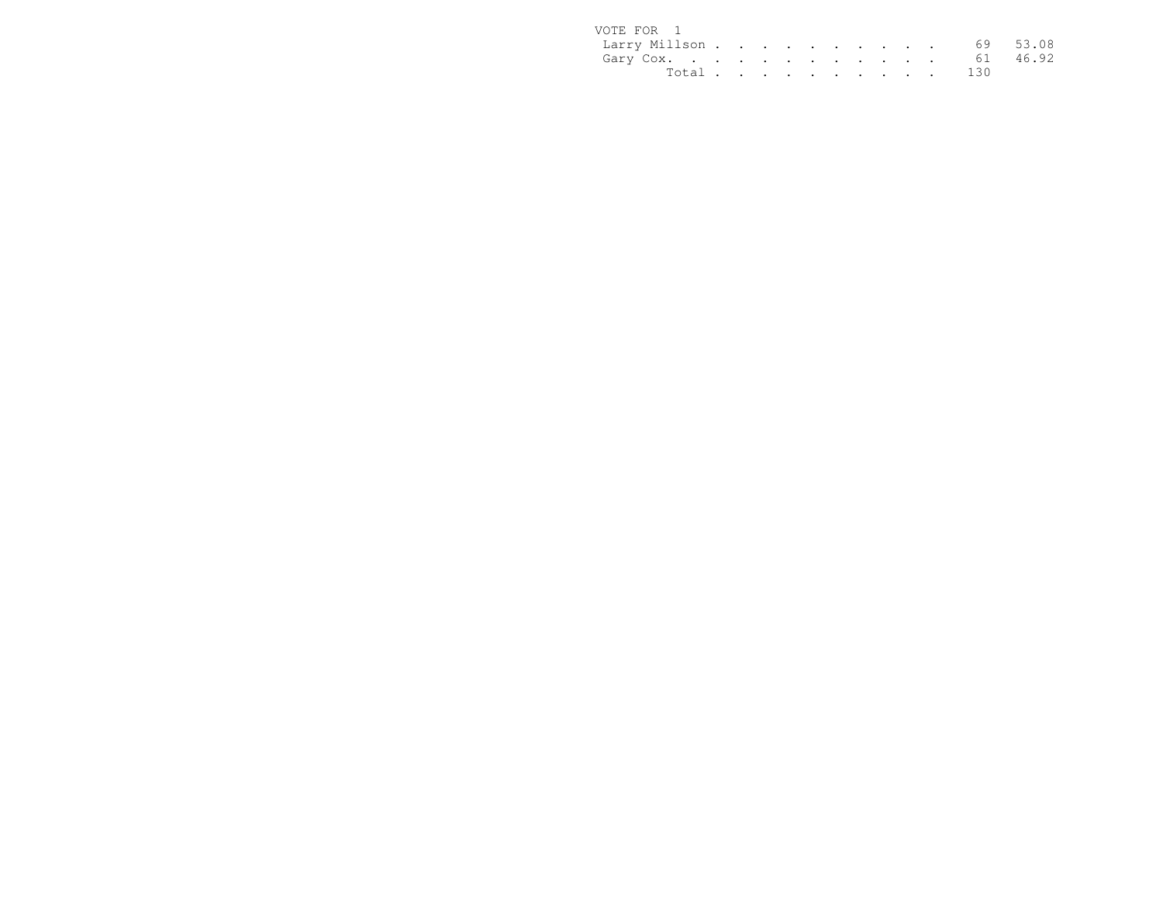| VOTE FOR 1             |  |  |  |  |  |           |  |
|------------------------|--|--|--|--|--|-----------|--|
| Larry Millson 69 53.08 |  |  |  |  |  |           |  |
| Gary Cox. 61 46.92     |  |  |  |  |  |           |  |
|                        |  |  |  |  |  | Total 130 |  |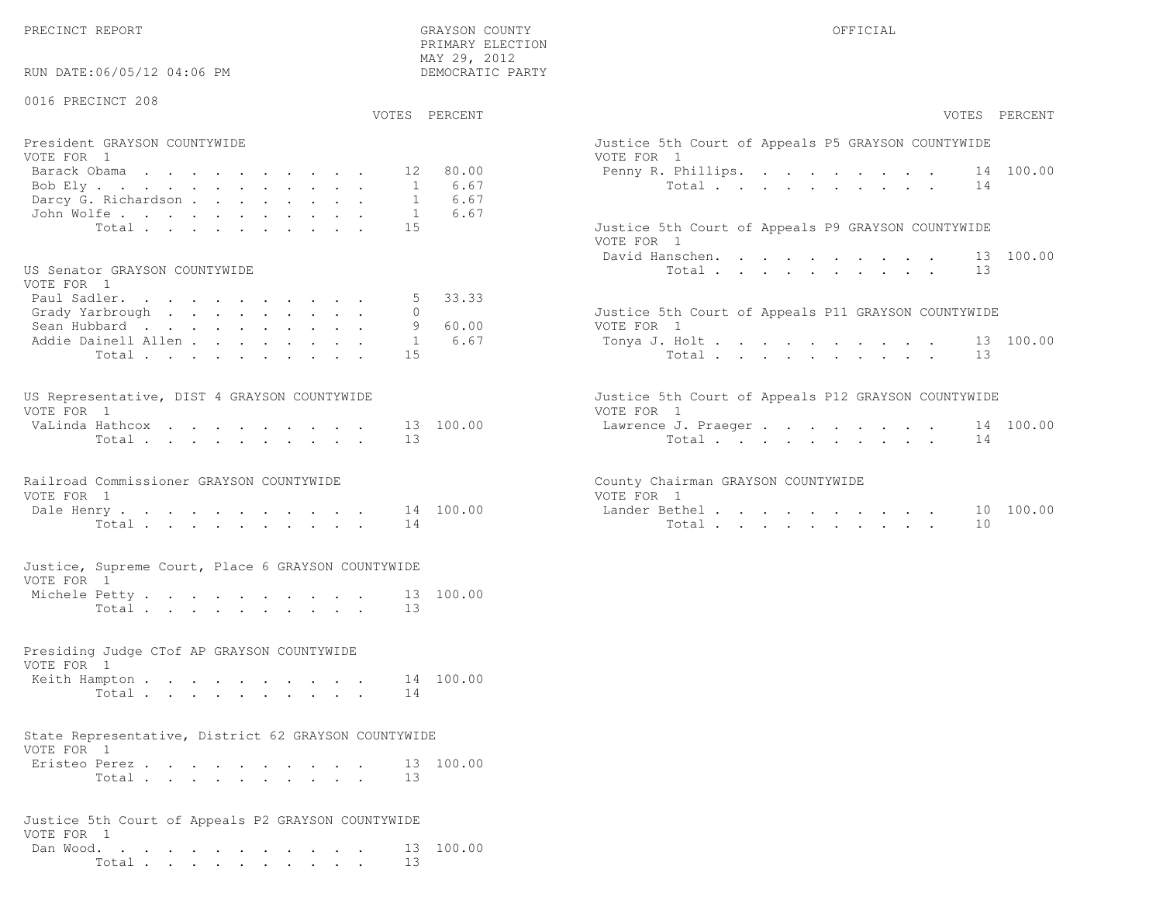PRECINCT REPORT OF THE SERVICE OF THE GRAYSON COUNTY OF THE GRAYSON COUNTY OF THE GRAYSON OF THE GRAYSON COUNTY

RUN DATE:06/05/12 04:06 PM

#### 0016 PRECINCT 208

VOTES PERCENT VOTES PERCENT

 PRIMARY ELECTION MAY 29, 2012DEMOCRATIC PARTY

| President GRAYSON COUNTYWIDE    | Justice 5th Court of Appeals P5 GRAYSON COUNTYWIDE |
|---------------------------------|----------------------------------------------------|
| VOTE FOR 1                      | VOTE FOR 1                                         |
| Barack Obama <b>. 1</b> 2 80.00 | Penny R. Phillips. 14 100.00                       |
| Bob Ely 1 6.67                  | Total 14                                           |
| Darcy G. Richardson 1 6.67      |                                                    |
| John Wolfe. 1 6.67              |                                                    |
| Total 15                        | Justice 5th Court of Appeals P9 GRAYSON COUNTYWIDE |

#### US Senator GRAYSON COUNTYWIDE

| VOTE FOR 1                 |  |  |  |  |  |                                                     |  |
|----------------------------|--|--|--|--|--|-----------------------------------------------------|--|
| Paul Sadler. 5 33.33       |  |  |  |  |  |                                                     |  |
| Grady Yarbrough 0          |  |  |  |  |  | Justice 5th Court of Appeals P11 GRAYSON COUNTYWIDE |  |
| Sean Hubbard 9 60.00       |  |  |  |  |  | VOTE FOR 1                                          |  |
| Addie Dainell Allen 1 6.67 |  |  |  |  |  | Tonya J. Holt 13 100.00                             |  |
| Total 15                   |  |  |  |  |  | Total 13                                            |  |

|                           | US Representative, DIST 4 GRAYSON COUNTYWIDE |  |  |  |  |  |  |  | Justice 5th Court of Appeals P12 GRAYSON COUNTYWIDE |  |
|---------------------------|----------------------------------------------|--|--|--|--|--|--|--|-----------------------------------------------------|--|
| VOTE FOR 1                |                                              |  |  |  |  |  |  |  | VOTE FOR 1                                          |  |
| VaLinda Hathcox 13 100.00 |                                              |  |  |  |  |  |  |  | Lawrence J. Praeger 14 100.00                       |  |
| Total 13                  |                                              |  |  |  |  |  |  |  | Total 14                                            |  |

## Railroad Commissioner GRAYSON COUNTYWIDE County County County County County County County County County County County County County County County County County County County County County County County County County County VOTE FOR 1 VOTE FOR 1Dale Henry . . . . . . . . . . . . 14 100.00<br>
Total

| Justice, Supreme Court, Place 6 GRAYSON COUNTYWIDE |  |  |  |           |
|----------------------------------------------------|--|--|--|-----------|
| VOTE FOR 1                                         |  |  |  |           |
| Michele Petty                                      |  |  |  | 13 100.00 |

|  | Total |  |  |  |  |  |  |
|--|-------|--|--|--|--|--|--|
|  |       |  |  |  |  |  |  |

### Presiding Judge CTof AP GRAYSON COUNTYWIDEVOTE FOR 1

|  | Keith Hampton |  |  |  |  |  | 14 100.00 |
|--|---------------|--|--|--|--|--|-----------|
|  | Total         |  |  |  |  |  |           |

#### State Representative, District 62 GRAYSON COUNTYWIDEVOTE FOR 1

| VUILLEUIVE I  |       |  |  |  |  |  |           |
|---------------|-------|--|--|--|--|--|-----------|
| Eristeo Perez |       |  |  |  |  |  | 13 100.00 |
|               | Total |  |  |  |  |  |           |

#### Justice 5th Court of Appeals P2 GRAYSON COUNTYWIDEVOTE FOR 1 Dan Wood. . . . . . . . . . . . 13 100.00Total . . . . . . . . . . 13

| PERCENT                | VOTES PERCENT                                                                                                                                                                 |
|------------------------|-------------------------------------------------------------------------------------------------------------------------------------------------------------------------------|
| 80.00<br>6.67<br>6.67  | Justice 5th Court of Appeals P5 GRAYSON COUNTYWIDE<br>VOTE FOR 1<br>Penny R. Phillips. 14 100.00<br>$Total \cdot \cdot \cdot \cdot \cdot \cdot \cdot \cdot \cdot \cdot$<br>14 |
| 6.67                   | Justice 5th Court of Appeals P9 GRAYSON COUNTYWIDE<br>VOTE FOR 1<br>David Hanschen. 13 100.00<br>Total<br>13                                                                  |
| 33.33<br>60.00<br>6.67 | Justice 5th Court of Appeals P11 GRAYSON COUNTYWIDE<br>VOTE FOR 1<br>Tonya J. Holt 13 100.00<br>Total $\cdots$<br>13                                                          |
| 100.00                 | Justice 5th Court of Appeals P12 GRAYSON COUNTYWIDE<br>VOTE FOR 1<br>Lawrence J. Praeger 14 100.00<br>Total<br>14                                                             |
| 100.00                 | County Chairman GRAYSON COUNTYWIDE<br>VOTE FOR 1<br>10 100.00<br>Lander Bethel<br>Total<br>10                                                                                 |
| 100.00                 |                                                                                                                                                                               |

| ᠇<br>௱ |  |
|--------|--|
| 70     |  |
|        |  |

| 1011 LOIL         |                 |                          |               |
|-------------------|-----------------|--------------------------|---------------|
| Dale Henry        | n n<br>$\Delta$ | Lander Bethel            | 100.00<br>1 O |
| $T \cap \vdash A$ |                 | $T \cap$ $+$ $\supset$ . | 10            |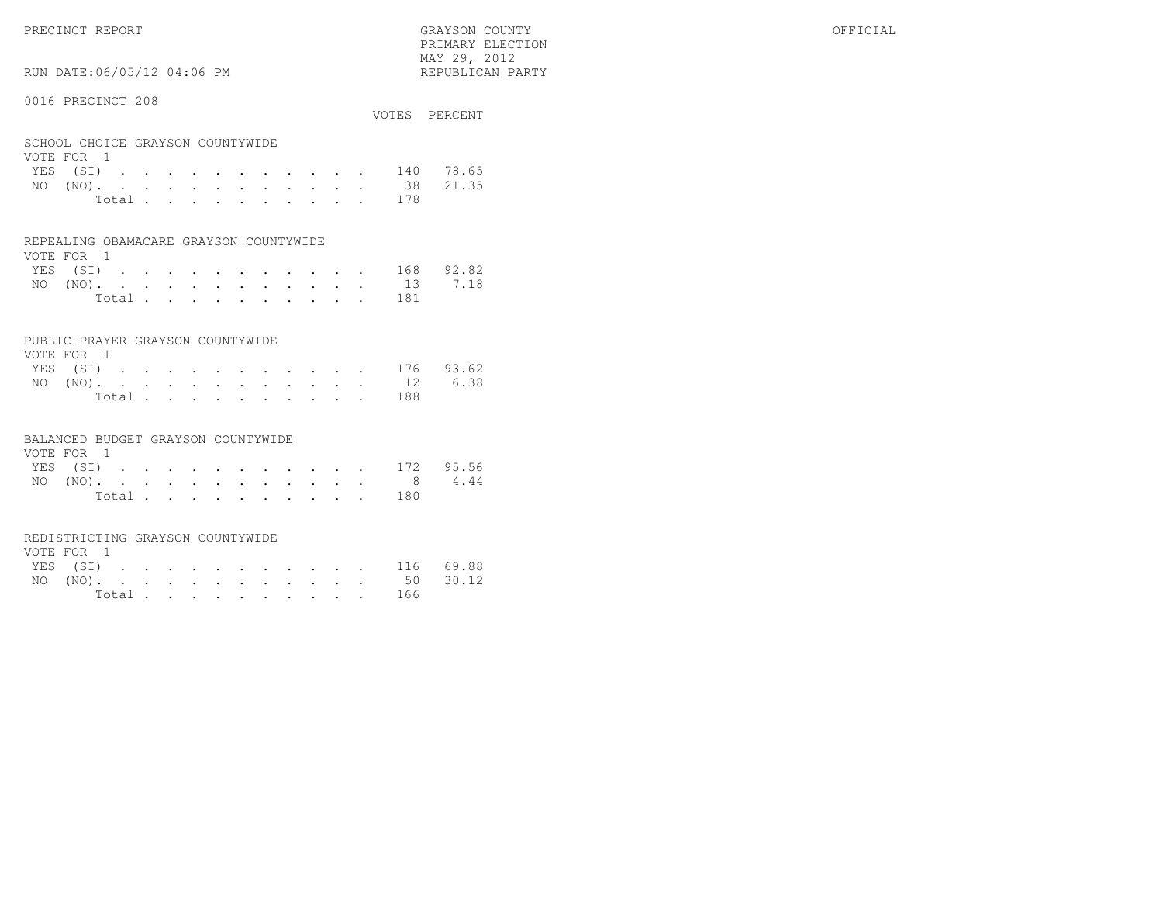PRECINCT REPORT GRAYSON COUNTY OFFICIAL PRIMARY ELECTION $\text{MAX } 29, \quad 2012$ 

# RUN DATE:06/05/12 04:06 PM

#### 0016 PRECINCT 208

| VVIV INDVINCI ZVV                              |  |  |  |  |  |  |           | VOTES PERCENT      |
|------------------------------------------------|--|--|--|--|--|--|-----------|--------------------|
| SCHOOL CHOICE GRAYSON COUNTYWIDE<br>VOTE FOR 1 |  |  |  |  |  |  |           |                    |
|                                                |  |  |  |  |  |  |           | YES (SI) 140 78.65 |
|                                                |  |  |  |  |  |  |           | NO (NO). 38 21.35  |
|                                                |  |  |  |  |  |  | Total 178 |                    |

#### REPEALING OBAMACARE GRAYSON COUNTYWIDE

| VOTE FOR 1 |  |  |  |  |  |  |                    |  |
|------------|--|--|--|--|--|--|--------------------|--|
|            |  |  |  |  |  |  | YES (SI) 168 92.82 |  |
|            |  |  |  |  |  |  | NO (NO). 13 7.18   |  |
|            |  |  |  |  |  |  | Total 181          |  |

#### PUBLIC PRAYER GRAYSON COUNTYWIDE

| VOTE FOR 1       |  |  |  |  |  |           |                    |
|------------------|--|--|--|--|--|-----------|--------------------|
|                  |  |  |  |  |  |           | YES (SI) 176 93.62 |
| NO (NO). 12 6.38 |  |  |  |  |  |           |                    |
|                  |  |  |  |  |  | Total 188 |                    |

#### BALANCED BUDGET GRAYSON COUNTYWIDE

| VOTE FOR 1 |                |  |  |  |  |  |                    |  |
|------------|----------------|--|--|--|--|--|--------------------|--|
|            |                |  |  |  |  |  | YES (SI) 172 95.56 |  |
|            |                |  |  |  |  |  | NO (NO). 8 4.44    |  |
|            | Total $\cdots$ |  |  |  |  |  | 180                |  |

#### REDISTRICTING GRAYSON COUNTYWIDE

| VOTE FOR 1 |  |  |  |  |  |           |                    |  |
|------------|--|--|--|--|--|-----------|--------------------|--|
|            |  |  |  |  |  |           | YES (SI) 116 69.88 |  |
|            |  |  |  |  |  |           | NO (NO). 50 30.12  |  |
|            |  |  |  |  |  | Total 166 |                    |  |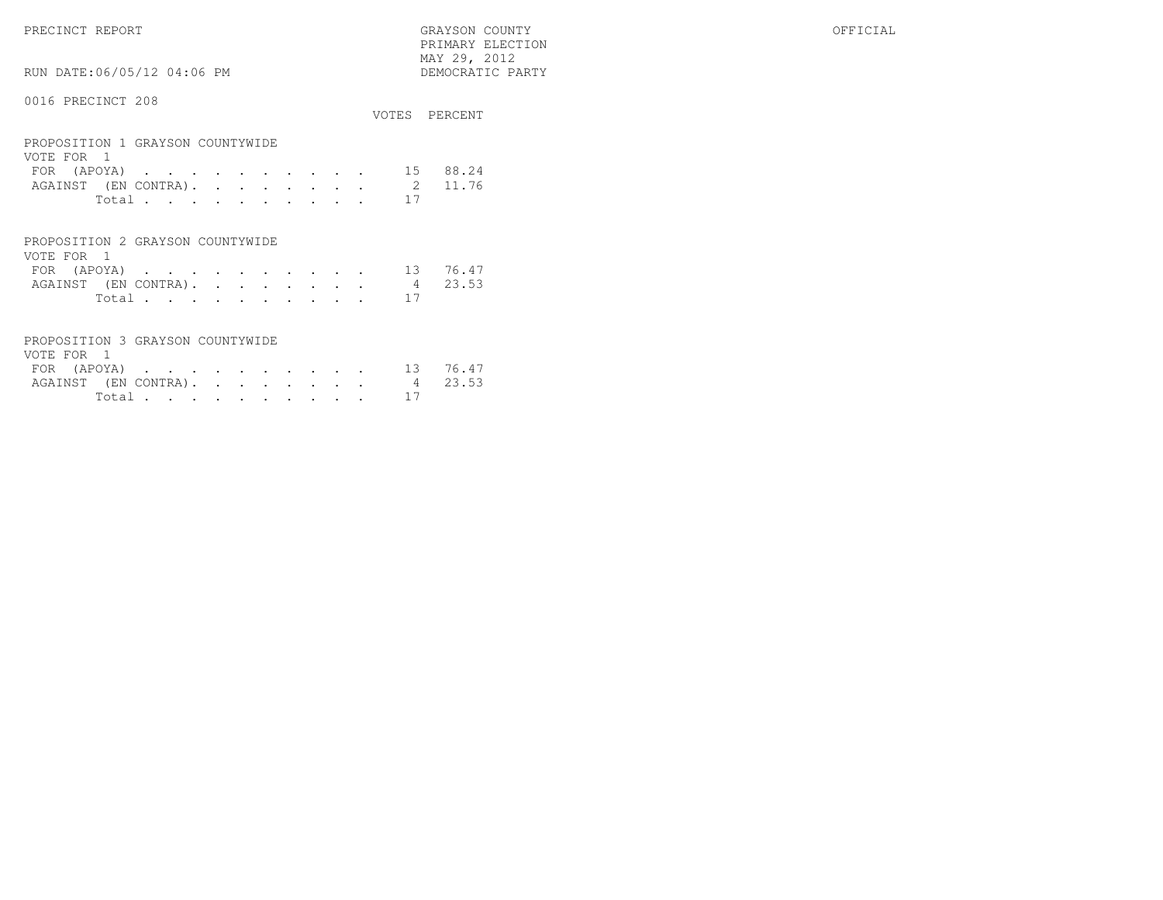PRECINCT REPORT GRAYSON COUNTY OFFICIAL PRIMARY ELECTION $\begin{array}{lll} \text{MAX} & 29, & 2012 \\ \text{NAY} & 29, & 2012 \end{array}$ 

RUN DATE:06/05/12 04:06 PM

|                                                                                                                                                                                                                             | VOTES                     | PERCENT        |
|-----------------------------------------------------------------------------------------------------------------------------------------------------------------------------------------------------------------------------|---------------------------|----------------|
| PROPOSITION 1 GRAYSON COUNTYWIDE<br>VOTE FOR 1<br>(APOYA)<br><b>FOR</b><br>the contract of the contract of the contract of the contract of the contract of the contract of the contract of<br>AGAINST (EN CONTRA).<br>Total | 15<br>$\mathcal{L}$<br>17 | 88.24<br>11.76 |
| PROPOSITION 2 GRAYSON COUNTYWIDE                                                                                                                                                                                            |                           |                |

| VOTE FOR 1 |             |  |  |  |  |  |                              |          |
|------------|-------------|--|--|--|--|--|------------------------------|----------|
|            | FOR (APOYA) |  |  |  |  |  |                              | 13 76.47 |
|            |             |  |  |  |  |  | AGAINST (EN CONTRA). 4 23.53 |          |
|            |             |  |  |  |  |  | Total 17                     |          |

| PROPOSITION 3 GRAYSON COUNTYWIDE |  |  |  |  |            |  |
|----------------------------------|--|--|--|--|------------|--|
| VOTE FOR 1                       |  |  |  |  |            |  |
| FOR (APOYA) 13 76.47             |  |  |  |  |            |  |
| AGAINST (EN CONTRA). 4 23.53     |  |  |  |  |            |  |
|                                  |  |  |  |  | Total $17$ |  |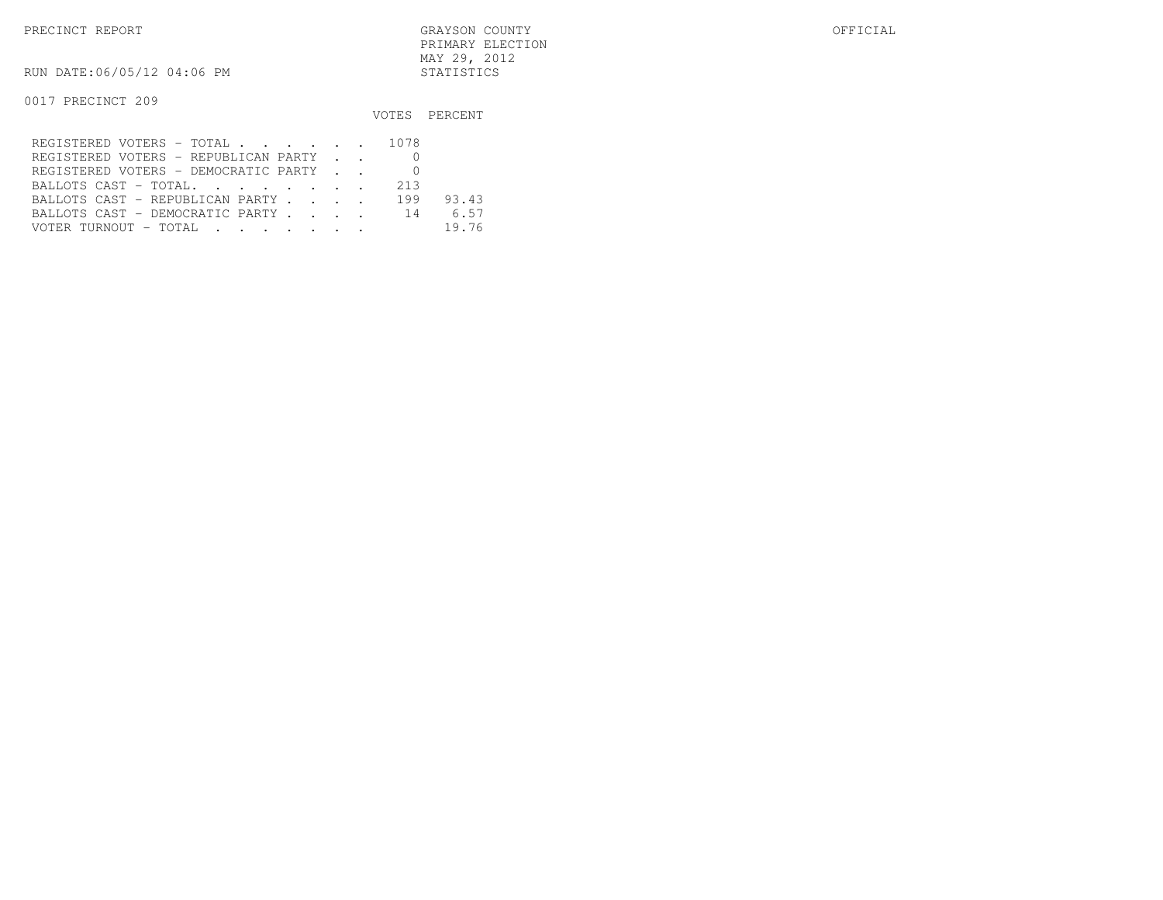PRECINCT REPORT GRAYSON COUNTY OFFICIAL PRIMARY ELECTIONMAY 29, 2012

RUN DATE:06/05/12 04:06 PM STATISTICS

|                                         |     | VOTES PERCENT |
|-----------------------------------------|-----|---------------|
| REGISTERED VOTERS - TOTAL 1078          |     |               |
| REGISTERED VOTERS - REPUBLICAN PARTY    |     |               |
| REGISTERED VOTERS - DEMOCRATIC PARTY    |     |               |
| BALLOTS CAST - TOTAL.                   | 213 |               |
| BALLOTS CAST - REPUBLICAN PARTY         | 199 | 93.43         |
| BALLOTS CAST - DEMOCRATIC PARTY 14 6.57 |     |               |
|                                         |     | 19.76         |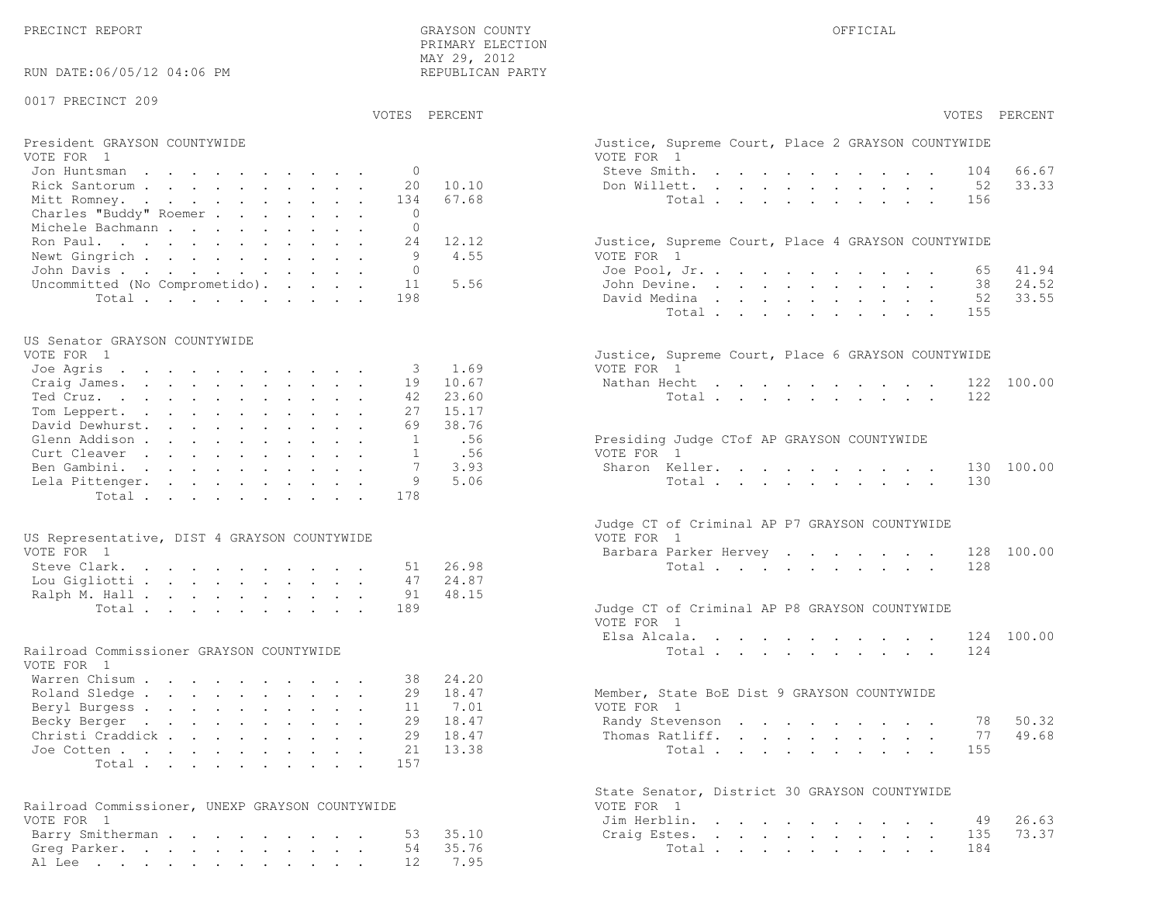PRECINCT REPORT OF THE SERVICE OF THE GRAYSON COUNTY OF THE GRAYSON COUNTY OF THE GRAYSON OF THE GRAYSON COUNTY PRIMARY ELECTION MAY 29, 2012REPUBLICAN PARTY

RUN DATE:06/05/12 04:06 PM

#### 0017 PRECINCT 209

#### VOTES PERCENT VOTES PERCENT

# President GRAYSON COUNTYWIDE Justice, Supreme Court, Supreme Court, Place 2 Gray Court, Place 2 Gray Court, Place 2 Gray Court, Place 2 Gray Court, Place 2 Gray Court, Place 2 Gray Court, Place 2 Gray Court, Place 2 Gray C

| VOTE FOR 1                             | VOTE FOR 1                                         |
|----------------------------------------|----------------------------------------------------|
| Jon Huntsman 0                         | 66.67<br>Steve Smith. 104                          |
| Rick Santorum 20 10.10                 | 33.33<br>Don Willett. 52                           |
| Mitt Romney. 134 67.68                 | Total 156                                          |
| Charles "Buddy" Roemer 0               |                                                    |
| Michele Bachmann                       |                                                    |
| Ron Paul. 24 12.12                     | Justice, Supreme Court, Place 4 GRAYSON COUNTYWIDE |
| Newt Gingrich 9 4.55                   | VOTE FOR 1                                         |
| John Davis 0                           | Joe Pool, Jr. 65 41.94                             |
| Uncommitted (No Comprometido). 11 5.56 | John Devine. 38 24.52                              |
| Total 198                              | 52 33.55<br>David Medina                           |

#### US Senator GRAYSON COUNTYWIDE

| VOIE FOR I               |  |  |  |      | JUSTICE, SUPPEME COUPL, PIACE 6 GRAISON COUNTIVIDE |  |
|--------------------------|--|--|--|------|----------------------------------------------------|--|
| Joe Agris 3 1.69         |  |  |  |      | VOTE FOR 1                                         |  |
| Craig James. 19 10.67    |  |  |  |      | Nathan Hecht 122 100.00                            |  |
| Ted Cruz. 42 23.60       |  |  |  |      | Total 122                                          |  |
| Tom Leppert. 27 15.17    |  |  |  |      |                                                    |  |
| David Dewhurst. 69 38.76 |  |  |  |      |                                                    |  |
| Glenn Addison 1 .56      |  |  |  |      | Presiding Judge CTof AP GRAYSON COUNTYWIDE         |  |
| Curt Cleaver 1 .56       |  |  |  |      | VOTE FOR 1                                         |  |
| Ben Gambini. 7           |  |  |  | 3.93 | Sharon Keller. 130 100.00                          |  |
| Lela Pittenger. 9 5.06   |  |  |  |      | Total 130                                          |  |
| Total 178                |  |  |  |      |                                                    |  |
|                          |  |  |  |      |                                                    |  |

| US Representative, DIST 4 GRAYSON COUNTYWIDE | VOTE FOR 1                                    |
|----------------------------------------------|-----------------------------------------------|
| VOTE FOR 1                                   | Barbara Parker Hervey 128 100.00              |
| Steve Clark. 51 26.98                        | Total 128                                     |
| Lou Gigliotti 47 24.87                       |                                               |
| Ralph M. Hall 91 48.15                       |                                               |
| Total 189                                    | Judge CT of Criminal AP P8 GRAYSON COUNTYWIDE |

#### Railroad Commissioner GRAYSON COUNTYWIDE

| VOTE FOR 1                |  |  |  |  |  |                                             |       |
|---------------------------|--|--|--|--|--|---------------------------------------------|-------|
| Warren Chisum 38 24.20    |  |  |  |  |  |                                             |       |
| Roland Sledge 29 18.47    |  |  |  |  |  | Member, State BoE Dist 9 GRAYSON COUNTYWIDE |       |
| Beryl Burgess 11 7.01     |  |  |  |  |  | VOTE FOR 1                                  |       |
| Becky Berger 29 18.47     |  |  |  |  |  | Randy Stevenson 78 50.32                    |       |
| Christi Craddick 29 18.47 |  |  |  |  |  | Thomas Ratliff. 77                          | 49.68 |
| Joe Cotten 21 13.38       |  |  |  |  |  | Total 155                                   |       |
| Total 157                 |  |  |  |  |  |                                             |       |

| Railroad Commissioner, UNEXP GRAYSON COUNTYWIDE | VOTE FOR 1             |
|-------------------------------------------------|------------------------|
| VOTE FOR 1                                      | Jim Herblin. 49 26.63  |
| Barry Smitherman 53 35.10                       | Craig Estes. 135 73.37 |
| Greg Parker. 54 35.76                           | Total 184              |
| Al Lee 12 7.95                                  |                        |

| VOTES PERCENT                                                                  | VOTES PERCENT                                                                                                                                    |
|--------------------------------------------------------------------------------|--------------------------------------------------------------------------------------------------------------------------------------------------|
| President GRAYSON COUNTYWIDE<br>VOTE FOR 1                                     | Justice, Supreme Court, Place 2 GRAYSON COUNTYWIDE<br>VOTE FOR 1                                                                                 |
| $\mathbf{0}$<br>Jon Huntsman                                                   | Steve Smith.<br>66.67<br>104                                                                                                                     |
| 20<br>10.10<br>Rick Santorum                                                   | Don Willett.<br>52<br>33.33                                                                                                                      |
| 67.68<br>Mitt Romney.<br>134                                                   | Total<br>156                                                                                                                                     |
| Charles "Buddy" Roemer<br>$\Omega$                                             |                                                                                                                                                  |
| $\Omega$<br>Michele Bachmann                                                   |                                                                                                                                                  |
| Ron Paul.<br>24<br>12.12                                                       | Justice, Supreme Court, Place 4 GRAYSON COUNTYWIDE                                                                                               |
| 9<br>4.55                                                                      |                                                                                                                                                  |
| Newt Gingrich<br>$\Omega$                                                      | VOTE FOR 1                                                                                                                                       |
| John Davis.                                                                    | 41.94<br>Joe Pool, Jr.<br>65                                                                                                                     |
| 5.56<br>Uncommitted (No Comprometido).<br>11                                   | 24.52<br>John Devine.<br>38                                                                                                                      |
| Total<br>198                                                                   | 33.55<br>David Medina<br>52<br>Total<br>155                                                                                                      |
| US Senator GRAYSON COUNTYWIDE                                                  |                                                                                                                                                  |
| VOTE FOR 1                                                                     | Justice, Supreme Court, Place 6 GRAYSON COUNTYWIDE                                                                                               |
| Joe Agris<br>1.69<br>3                                                         | VOTE FOR 1                                                                                                                                       |
| Craig James.<br>19<br>10.67                                                    | 100.00<br>Nathan Hecht<br>the contract of the contract of the contract of the contract of the contract of the contract of the contract of<br>122 |
| 23.60<br>Ted Cruz.<br>42                                                       | Total<br>122                                                                                                                                     |
| 27<br>Tom Leppert.<br>15.17                                                    |                                                                                                                                                  |
| David Dewhurst.<br>69<br>38.76                                                 |                                                                                                                                                  |
| Glenn Addison<br>1<br>.56                                                      | Presiding Judge CTof AP GRAYSON COUNTYWIDE                                                                                                       |
| Curt Cleaver<br>.56<br>1                                                       | VOTE FOR 1                                                                                                                                       |
| Ben Gambini.<br>7<br>3.93                                                      | 130 100.00<br>Sharon Keller.                                                                                                                     |
| 9<br>5.06<br>Lela Pittenger.                                                   | 130<br>Total                                                                                                                                     |
| Total<br>178                                                                   |                                                                                                                                                  |
|                                                                                | Judge CT of Criminal AP P7 GRAYSON COUNTYWIDE                                                                                                    |
| US Representative, DIST 4 GRAYSON COUNTYWIDE<br>VOTE FOR 1                     | VOTE FOR 1<br>Barbara Parker Hervey<br>128<br>100.00                                                                                             |
| Steve Clark.<br>26.98<br>51                                                    | 128<br>Total                                                                                                                                     |
| 24.87<br>Lou Gigliotti<br>47                                                   |                                                                                                                                                  |
| Ralph M. Hall<br>48.15<br>91                                                   |                                                                                                                                                  |
| Total<br>189                                                                   | Judge CT of Criminal AP P8 GRAYSON COUNTYWIDE<br>VOTE FOR 1                                                                                      |
|                                                                                | Elsa Alcala.<br>124 100.00                                                                                                                       |
| Railroad Commissioner GRAYSON COUNTYWIDE<br>VOTE FOR 1                         | 124<br>Total                                                                                                                                     |
| Warren Chisum<br>24.20<br>38                                                   |                                                                                                                                                  |
| Roland Sledge<br>29<br>18.47                                                   | Member, State BoE Dist 9 GRAYSON COUNTYWIDE                                                                                                      |
| Beryl Burgess<br>11<br>7.01                                                    | VOTE FOR 1                                                                                                                                       |
| Becky Berger<br>29<br>18.47<br>the contract of the contract of the contract of | 50.32<br>Randy Stevenson<br>78                                                                                                                   |
| Christi Craddick<br>29<br>18.47                                                | 77<br>49.68<br>Thomas Ratliff.                                                                                                                   |
| 21<br>13.38<br>Joe Cotten                                                      | 155                                                                                                                                              |
| Total<br>157                                                                   | Total                                                                                                                                            |
|                                                                                | State Senator, District 30 GRAYSON COUNTYWIDE                                                                                                    |
| Railroad Commissioner, UNEXP GRAYSON COUNTYWIDE                                | VOTE FOR 1                                                                                                                                       |
| VOTE FOR 1                                                                     | Jim Herblin.<br>26.63<br>49                                                                                                                      |
| Barry Smitherman.<br>35.10<br>53                                               | 73.37<br>Craig Estes.<br>135                                                                                                                     |
| 35.76<br>Greg Parker.<br>54                                                    | Total<br>184                                                                                                                                     |
| 7.95<br>Al Lee 12                                                              |                                                                                                                                                  |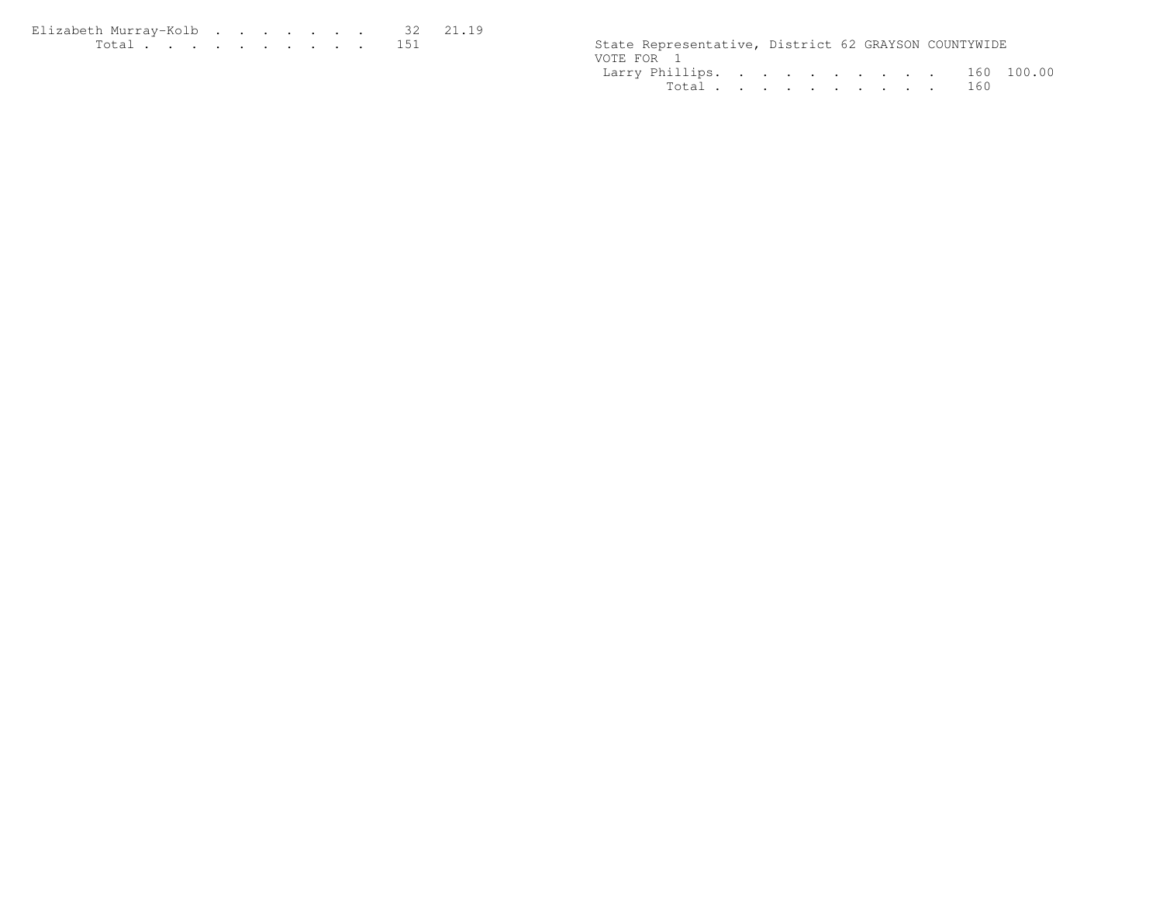| Elizabeth Murrav-Kolb 32 21.19 |  |  |  |  |  |                                                      |  |  |
|--------------------------------|--|--|--|--|--|------------------------------------------------------|--|--|
| . 151                          |  |  |  |  |  | State Representative, District 62 GRAYSON COUNTYWIDE |  |  |

|  |  |  |  | State Representative, District 62 GRAYSON COUNTYWIDE<br>Larry Phillips. 160 100.00<br>Total 160 |
|--|--|--|--|-------------------------------------------------------------------------------------------------|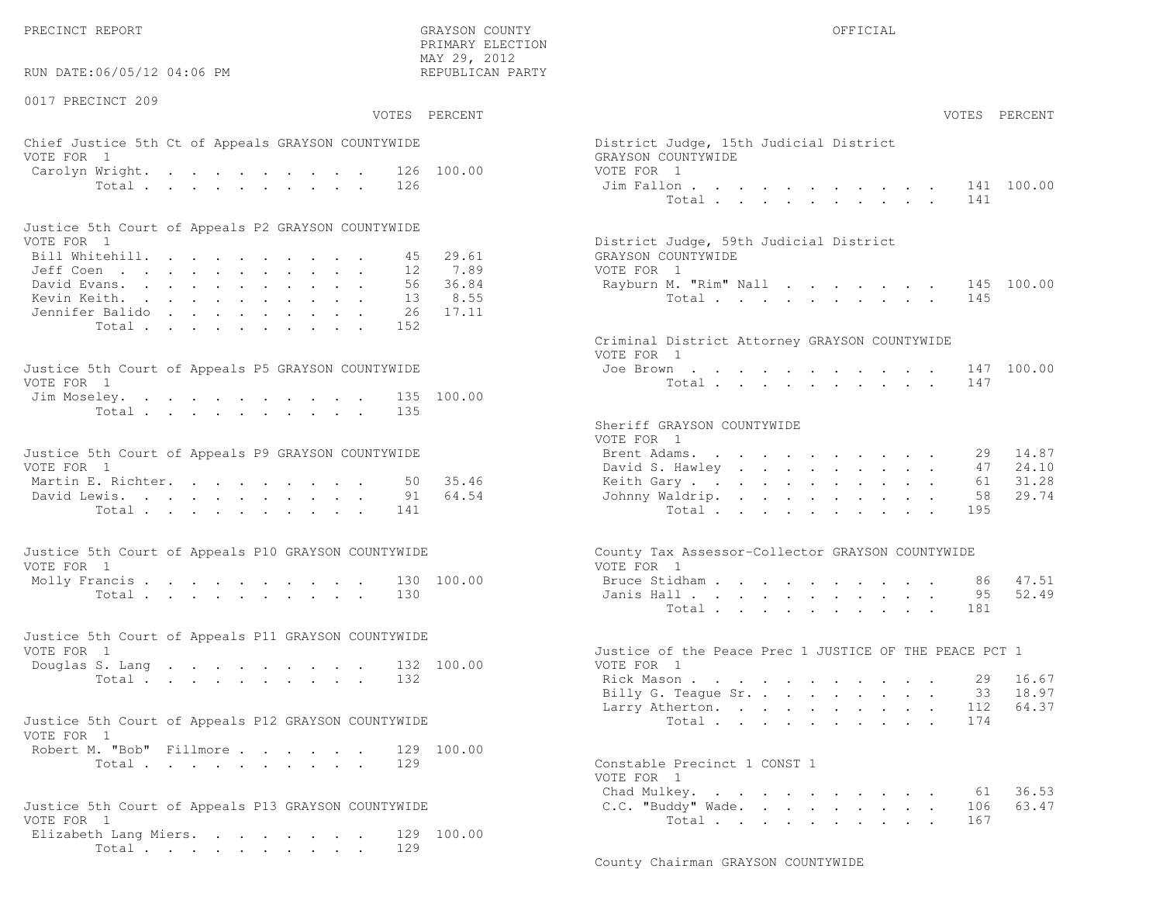PRECINCT REPORT GRAYSON COUNTY OFFICIAL

 $\text{MAX } 29, \quad 2012$ RUN DATE:06/05/12 04:06 PM

0017 PRECINCT 209

PRIMARY ELECTION

# Chief Justice 5th Ct of Appeals GRAYSON COUNTYWIDE District District District District District District District District District District District District District District District District District District District VOTE FOR 1 GRAYSON COUNTY WITH SALE COUNTY OF REAL GRAYSON COUNTY OF REAL COUNTY OF REAL COUNTY OF REAL COUNTY OF REAL COUNTY OF REAL COUNTY OF REAL COUNTY OF REAL COUNTY OF REAL COUNTY OF REAL COUNTY OF REAL COUNTY OF REA Carolyn Wright. . . . . . . . . 126 100.00 VOT

| Justice 5th Court of Appeals P2 GRAYSON COUNTYWIDE |  |  |  |  |  |                                        |
|----------------------------------------------------|--|--|--|--|--|----------------------------------------|
| VOTE FOR 1                                         |  |  |  |  |  | District Judge, 59th Judicial District |
| Bill Whitehill. 45 29.61                           |  |  |  |  |  | GRAYSON COUNTYWIDE                     |
| Jeff Coen 12 7.89                                  |  |  |  |  |  | VOTE FOR 1                             |
| David Evans. 56 36.84                              |  |  |  |  |  | Rayburn M. "Rim" Nall 145 100.00       |
| Kevin Keith. 13 8.55                               |  |  |  |  |  | Total 145                              |
| Jennifer Balido 26 17.11                           |  |  |  |  |  |                                        |
| Total 152                                          |  |  |  |  |  |                                        |

| Justice 5th Court of Appeals P5 GRAYSON COUNTYWIDE | Joe Brown 147 100.00 |
|----------------------------------------------------|----------------------|
| VOTE FOR 1                                         | Total 147            |
| Jim Moseley. 135 100.00                            |                      |
| Total 135                                          |                      |

| Justice 5th Court of Appeals P9 GRAYSON COUNTYWIDE |  |  |  |  |  | Brent Adams. 29 14.87    |  |  |  |  |  |  |
|----------------------------------------------------|--|--|--|--|--|--------------------------|--|--|--|--|--|--|
| VOTE FOR 1                                         |  |  |  |  |  | David S. Hawley 47 24.10 |  |  |  |  |  |  |
| Martin E. Richter. 50 35.46                        |  |  |  |  |  | Keith Gary 61 31.28      |  |  |  |  |  |  |
| David Lewis. 91 64.54                              |  |  |  |  |  | Johnny Waldrip. 58 29.74 |  |  |  |  |  |  |
| Total 141                                          |  |  |  |  |  | Total 195                |  |  |  |  |  |  |

| Justice 5th Court of Appeals P10 GRAYSON COUNTYWIDE | County Tax Assessor-Collector GRAYSON COUNTYWIDE |
|-----------------------------------------------------|--------------------------------------------------|
| VOTE FOR 1                                          | VOTE FOR 1                                       |
| Molly Francis 130 100.00                            | Bruce Stidham 86 47.51                           |
| Total 130                                           | Janis Hall 95 52.49                              |

| Justice 5th Court of Appeals P11 GRAYSON COUNTYWIDE |                                                                                      |
|-----------------------------------------------------|--------------------------------------------------------------------------------------|
| VOTE FOR 1                                          | Justice of the Peace Prec 1 JUSTICE OF THE PEACE PCT 1                               |
| Douglas S. Lang 132 100.00                          | VOTE FOR 1                                                                           |
| Total 132                                           | 29 16.67<br>Rick Mason<br>.<br>しんしゅう しゅうしょう しんしゅう しゅうしゅう しゅうしゅう しゅうしゅう しゅうしゅう しゅうしょう |

| Justice 5th Court of Appeals P12 GRAYSON COUNTYWIDE |           |  |  |  | Total 174                    |  |
|-----------------------------------------------------|-----------|--|--|--|------------------------------|--|
| VOTE FOR 1                                          |           |  |  |  |                              |  |
| Robert M. "Bob" Fillmore 129 100.00                 |           |  |  |  |                              |  |
|                                                     | Total 129 |  |  |  | Constable Precinct 1 CONST 1 |  |

| Justice 5th Court of Appeals P13 GRAYSON COUNTYWIDE | C.C. "Buddy" Wade. 106 63.47 |  |
|-----------------------------------------------------|------------------------------|--|
| VOTE FOR 1                                          | Total 167                    |  |
| Elizabeth Lang Miers. 129 100.00                    |                              |  |
| Total 129                                           |                              |  |

| MAY 29, 2012<br>:06/05/12 04:06 PM<br>REPUBLICAN PARTY        |                                                                            |
|---------------------------------------------------------------|----------------------------------------------------------------------------|
| CINCT 209<br>VOTES PERCENT                                    | VOTES PERCENT                                                              |
| stice 5th Ct of Appeals GRAYSON COUNTYWIDE                    | District Judge, 15th Judicial District                                     |
| 1<br>Wright. 126 100.00                                       | GRAYSON COUNTYWIDE<br>VOTE FOR 1                                           |
| Total<br>126                                                  | Jim Fallon<br>141 100.00<br>Total<br>141                                   |
| ith Court of Appeals P2 GRAYSON COUNTYWIDE                    |                                                                            |
| $\mathbf{1}$<br>29.61<br>tehill.<br>45                        | District Judge, 59th Judicial District<br>GRAYSON COUNTYWIDE               |
| 7.89<br>$\mathbb{R}^n$<br>12                                  | VOTE FOR 1                                                                 |
| 36.84<br>rans.<br>56                                          | Rayburn M. "Rim" Nall<br>145 100.00                                        |
| eith.<br>8.55<br>13                                           | Total $\cdot$<br>145                                                       |
| 17.11<br>: Balido<br>26                                       |                                                                            |
| Total<br>152                                                  |                                                                            |
|                                                               | Criminal District Attorney GRAYSON COUNTYWIDE<br>VOTE FOR 1                |
| oth Court of Appeals P5 GRAYSON COUNTYWIDE<br>$\overline{1}$  | 147 100.00<br>Joe Brown<br>Total<br>147                                    |
| eley.<br>135 100.00<br>Total<br>135                           |                                                                            |
|                                                               | Sheriff GRAYSON COUNTYWIDE<br>VOTE FOR 1                                   |
| ith Court of Appeals P9 GRAYSON COUNTYWIDE                    | 29 14.87<br>Brent Adams.                                                   |
| $\overline{1}$                                                | David S. Hawley<br>24.10<br>47                                             |
| 35.46<br>: Richter.<br>50                                     | 31.28<br>Keith Gary.<br>61                                                 |
| 64.54<br>ewis.<br>91                                          | 29.74<br>Johnny Waldrip.<br>58                                             |
| Total<br>141                                                  | Total<br>195                                                               |
| ith Court of Appeals P10 GRAYSON COUNTYWIDE<br>$\mathbf{1}$   | County Tax Assessor-Collector GRAYSON COUNTYWIDE<br>VOTE FOR 1             |
| rancis 130 100.00                                             | 47.51<br>Bruce Stidham<br>86                                               |
| 130<br>Total                                                  | 52.49<br>Janis Hall<br>95                                                  |
|                                                               | Total<br>181                                                               |
| 5th Court of Appeals P11 GRAYSON COUNTYWIDE                   |                                                                            |
| 1                                                             | Justice of the Peace Prec 1 JUSTICE OF THE PEACE PCT 1<br>VOTE FOR 1       |
| S. Lang 132 100.00<br>Total 132                               | 29 16.67<br>Rick Mason                                                     |
|                                                               | Billy G. Teague Sr.<br>33 18.97                                            |
|                                                               | 64.37<br>Larry Atherton.<br>112                                            |
| ith Court of Appeals P12 GRAYSON COUNTYWIDE<br>$\overline{1}$ | Total<br>174                                                               |
| 1. "Bob" Fillmore.<br>129 100.00                              |                                                                            |
| Total<br>129                                                  | Constable Precinct 1 CONST 1<br>VOTE FOR 1                                 |
|                                                               | Chad Mulkey.<br>36.53<br>61                                                |
| ith Court of Appeals P13 GRAYSON COUNTYWIDE                   | C.C. "Buddy" Wade.<br>63.47<br>106                                         |
| $\sim$ 1                                                      | $Total \cdot \cdot \cdot \cdot \cdot \cdot \cdot \cdot \cdot \cdot$<br>167 |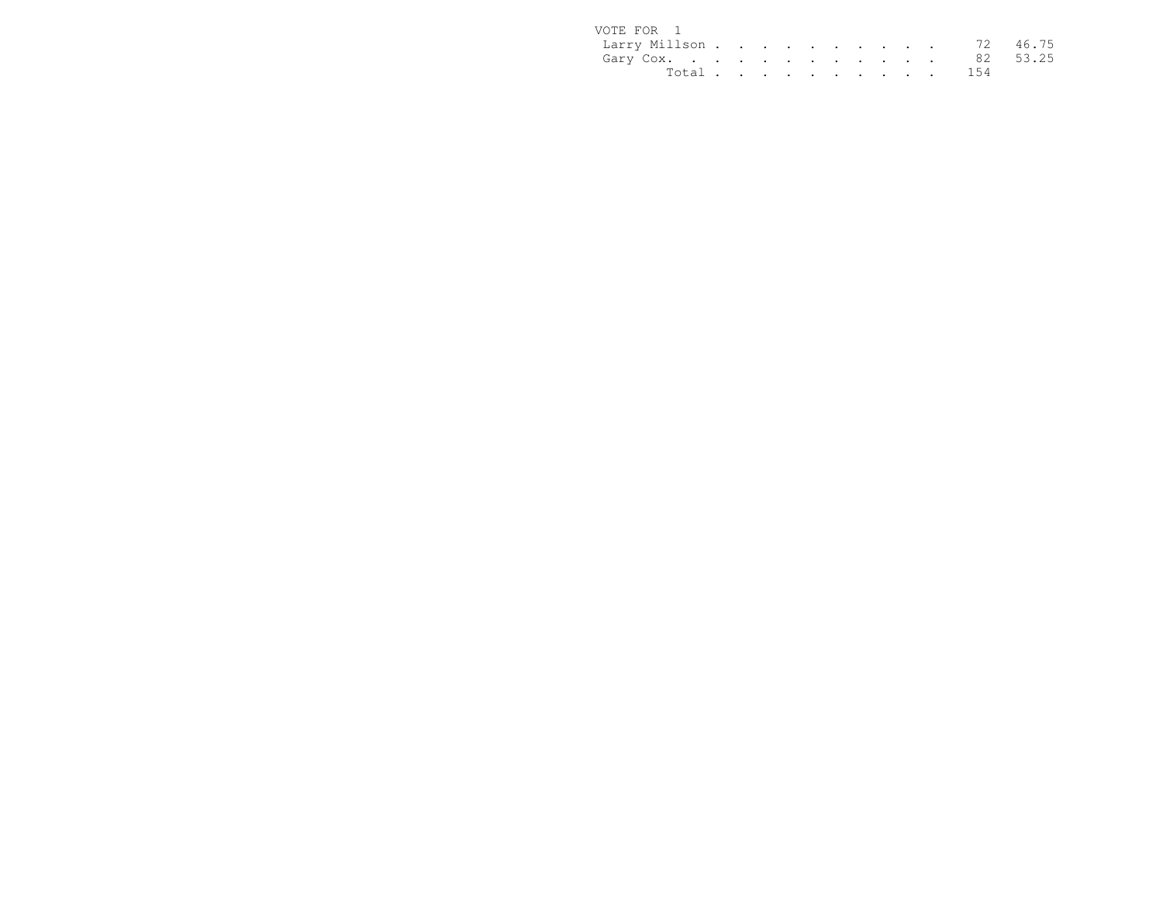| VOTE FOR 1             |  |  |  |  |  |           |  |
|------------------------|--|--|--|--|--|-----------|--|
| Larry Millson 72 46.75 |  |  |  |  |  |           |  |
| Gary Cox. 82 53.25     |  |  |  |  |  |           |  |
|                        |  |  |  |  |  | Total 154 |  |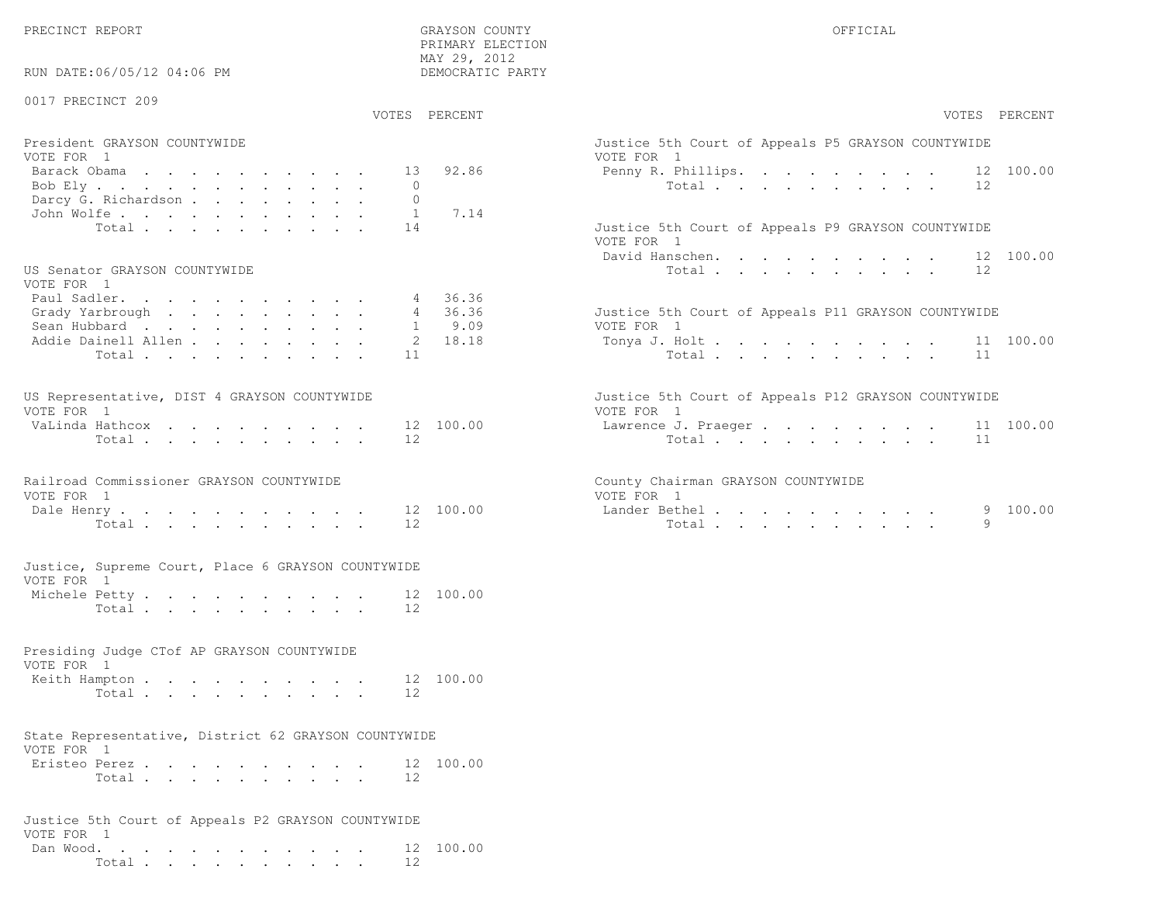PRECINCT REPORT GRAYSON COUNTY OFFICIAL

| RUN DATE:06/05/12 04:06 PM                                         | PRIMARY ELECTION<br>MAY 29, 2012<br>DEMOCRATIC PARTY |                                                     |
|--------------------------------------------------------------------|------------------------------------------------------|-----------------------------------------------------|
| 0017 PRECINCT 209                                                  | VOTES PERCENT                                        | VOTES PERCENT                                       |
| President GRAYSON COUNTYWIDE                                       |                                                      | Justice 5th Court of Appeals P5 GRAYSON COUNTYWIDE  |
| VOTE FOR 1                                                         |                                                      | VOTE FOR 1                                          |
| Barack Obama                                                       | 92.86<br>13                                          | Penny R. Phillips. 12 100.00                        |
| Bob Ely<br>Darcy G. Richardson                                     | $\Omega$<br>$\circ$                                  | Total<br>12                                         |
| John Wolfe.                                                        | $\overline{1}$<br>7.14                               |                                                     |
| Total                                                              | 14                                                   | Justice 5th Court of Appeals P9 GRAYSON COUNTYWIDE  |
|                                                                    |                                                      | VOTE FOR 1                                          |
|                                                                    |                                                      | David Hanschen. 12 100.00                           |
| US Senator GRAYSON COUNTYWIDE                                      |                                                      | 12<br>Total $\cdots$                                |
| VOTE FOR 1                                                         |                                                      |                                                     |
| Paul Sadler.<br>Grady Yarbrough                                    | 36.36<br>4<br>36.36<br>4                             | Justice 5th Court of Appeals P11 GRAYSON COUNTYWIDE |
| Sean Hubbard                                                       | $1 \t 9.09$                                          | VOTE FOR 1                                          |
| Addie Dainell Allen                                                | 18.18<br>2                                           | Tonya J. Holt<br>11 100.00                          |
| Total                                                              | 11                                                   | Total<br>11                                         |
|                                                                    |                                                      |                                                     |
| US Representative, DIST 4 GRAYSON COUNTYWIDE<br>VOTE FOR 1         |                                                      | Justice 5th Court of Appeals P12 GRAYSON COUNTYWIDE |
| VaLinda Hathcox                                                    | 12 100.00                                            | VOTE FOR 1<br>11 100.00<br>Lawrence J. Praeger      |
| Total                                                              | 12                                                   | Total<br>11                                         |
| Railroad Commissioner GRAYSON COUNTYWIDE                           |                                                      | County Chairman GRAYSON COUNTYWIDE                  |
| VOTE FOR 1                                                         |                                                      | VOTE FOR 1                                          |
| Dale Henry.                                                        | 12 100.00                                            | Lander Bethel.<br>100.00<br>9                       |
| Total                                                              | 12                                                   | Total<br>9                                          |
| Justice, Supreme Court, Place 6 GRAYSON COUNTYWIDE<br>VOTE FOR 1   |                                                      |                                                     |
| Michele Petty                                                      | 12 100.00                                            |                                                     |
| Total                                                              | 12.                                                  |                                                     |
|                                                                    |                                                      |                                                     |
| Presiding Judge CTof AP GRAYSON COUNTYWIDE<br>VOTE FOR 1           |                                                      |                                                     |
| Keith Hampton                                                      | 12 100.00                                            |                                                     |
| Total                                                              | 12                                                   |                                                     |
|                                                                    |                                                      |                                                     |
| State Representative, District 62 GRAYSON COUNTYWIDE<br>VOTE FOR 1 |                                                      |                                                     |
| Eristeo Perez.                                                     | 12 100.00                                            |                                                     |
| Total                                                              | 12                                                   |                                                     |
| Justice 5th Court of Appeals P2 GRAYSON COUNTYWIDE<br>VOTE FOR 1   |                                                      |                                                     |

 Dan Wood. . . . . . . . . . . . 12 100.00Total . . . . . . . . . . 12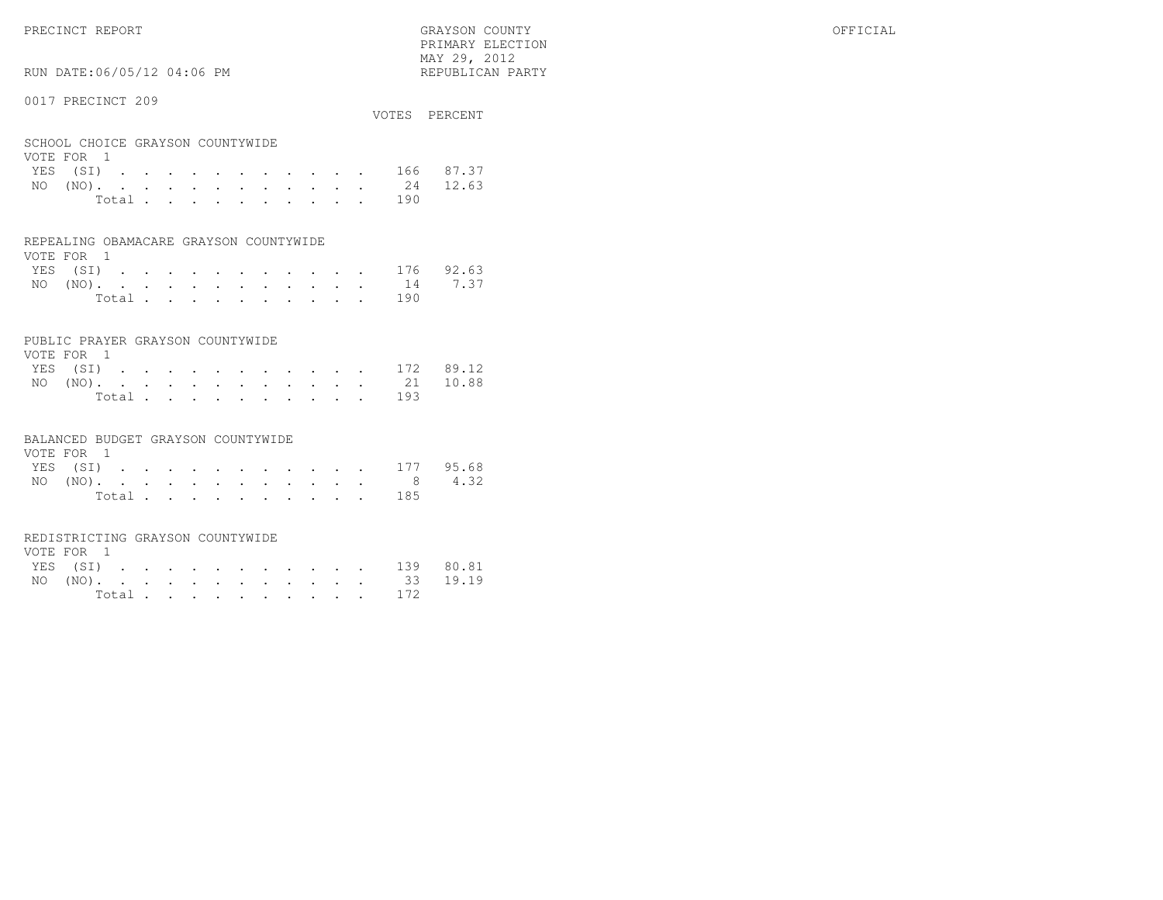PRIMARY ELECTION MAY 29, 2012REPUBLICAN PARTY

## RUN DATE:06/05/12 04:06 PM

#### 0017 PRECINCT 209

|     |                                  |  |  |  |       |  |  |                                   | VOTES PERCENT      |
|-----|----------------------------------|--|--|--|-------|--|--|-----------------------------------|--------------------|
|     | SCHOOL CHOICE GRAYSON COUNTYWIDE |  |  |  |       |  |  |                                   |                    |
|     | VOTE FOR 1                       |  |  |  |       |  |  |                                   |                    |
|     |                                  |  |  |  |       |  |  |                                   | YES (SI) 166 87.37 |
| NO. |                                  |  |  |  |       |  |  | $(NO)$ , , , , , , , , , , , , 24 | 12.63              |
|     |                                  |  |  |  | Total |  |  | 190                               |                    |

#### REPEALING OBAMACARE GRAYSON COUNTYWIDE

| VOTE FOR 1 |  |  |  |  |  |                                           |  |
|------------|--|--|--|--|--|-------------------------------------------|--|
|            |  |  |  |  |  | YES (SI) 176 92.63                        |  |
|            |  |  |  |  |  | NO $(NO)$ , , , , , , , , , , , , 14 7.37 |  |
|            |  |  |  |  |  | Total 190                                 |  |

#### PUBLIC PRAYER GRAYSON COUNTYWIDE

| VOTE FOR 1 |  |  |  |  |  |           |                    |
|------------|--|--|--|--|--|-----------|--------------------|
|            |  |  |  |  |  |           | YES (SI) 172 89.12 |
|            |  |  |  |  |  |           | NO (NO). 21 10.88  |
|            |  |  |  |  |  | Total 193 |                    |

#### BALANCED BUDGET GRAYSON COUNTYWIDE

| VOTE FOR 1 |  |  |  |  |  |                    |  |
|------------|--|--|--|--|--|--------------------|--|
|            |  |  |  |  |  | YES (SI) 177 95.68 |  |
|            |  |  |  |  |  | NO (NO). 8 4.32    |  |
|            |  |  |  |  |  | Total 185          |  |

#### REDISTRICTING GRAYSON COUNTYWIDE

| VOTE FOR 1 |  |  |  |  |  |  |                    |  |
|------------|--|--|--|--|--|--|--------------------|--|
|            |  |  |  |  |  |  | YES (SI) 139 80.81 |  |
|            |  |  |  |  |  |  | NO (NO). 33 19.19  |  |
|            |  |  |  |  |  |  | Total 172          |  |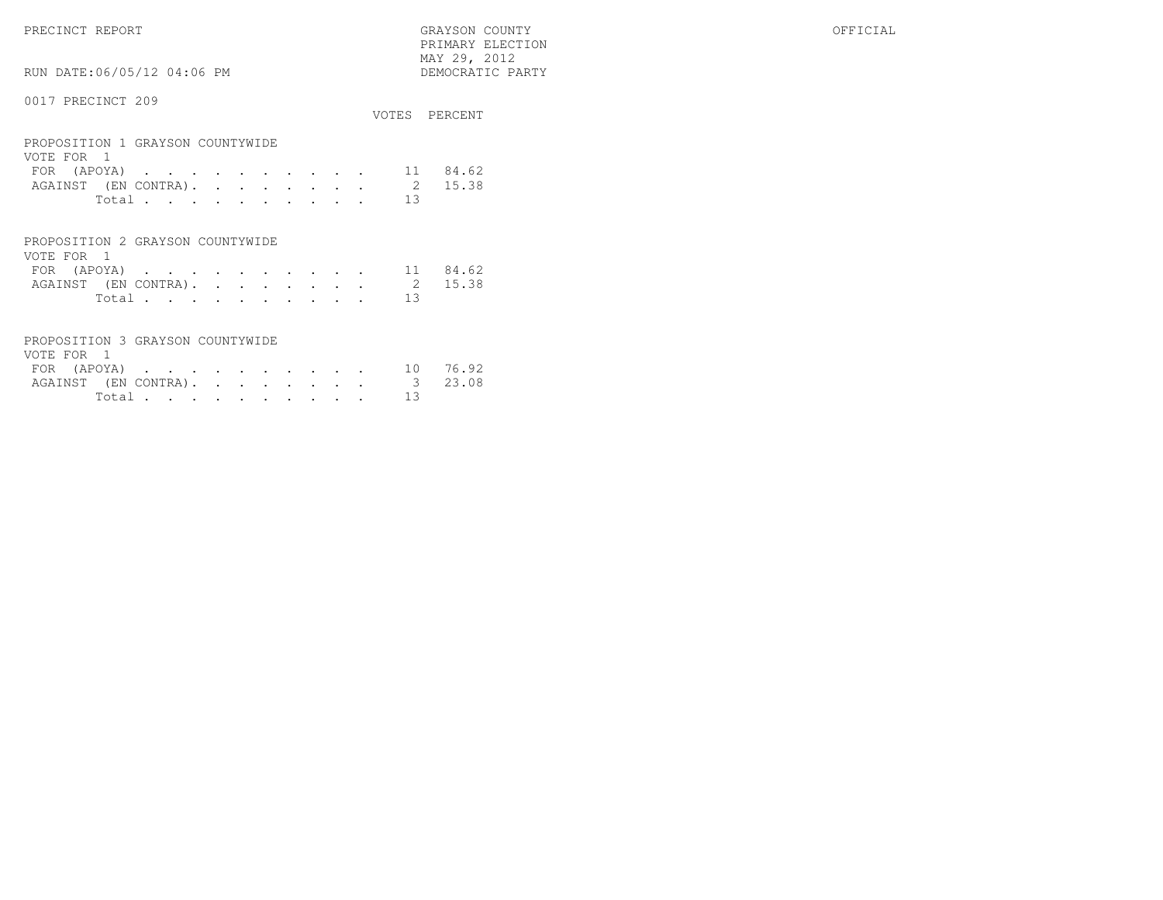PRECINCT REPORT GRAYSON COUNTY OFFICIAL PRIMARY ELECTION $\begin{array}{lll} \text{MAX} & 29, & 2012 \\ \text{NAY} & 29, & 2012 \end{array}$ 

# RUN DATE:06/05/12 04:06 PM

|                                                                                       |                      | VOTES PERCENT  |
|---------------------------------------------------------------------------------------|----------------------|----------------|
| PROPOSITION 1 GRAYSON COUNTYWIDE<br>VOTE FOR 1<br>FOR (APOYA)<br>AGAINST (EN CONTRA). | 11<br>$\mathfrak{D}$ | 84.62<br>15.38 |
| Total.                                                                                | 13                   |                |
| PROPOSITION 2 GRAYSON COUNTYWIDE                                                      |                      |                |

| VOTE FOR 1  |        |  |  |  |  |  |                              |          |
|-------------|--------|--|--|--|--|--|------------------------------|----------|
| FOR (APOYA) |        |  |  |  |  |  |                              | 11 84.62 |
|             |        |  |  |  |  |  | AGAINST (EN CONTRA). 2 15.38 |          |
|             | Total. |  |  |  |  |  |                              |          |

|          |  | PROPOSITION 3 GRAYSON COUNTYWIDE |  |
|----------|--|----------------------------------|--|
| VOTE FOR |  |                                  |  |

| FOR (APOYA) |        |  |  |  |  |  |                              | 10 76.92 |
|-------------|--------|--|--|--|--|--|------------------------------|----------|
|             |        |  |  |  |  |  | AGAINST (EN CONTRA). 3 23.08 |          |
|             | Total. |  |  |  |  |  |                              |          |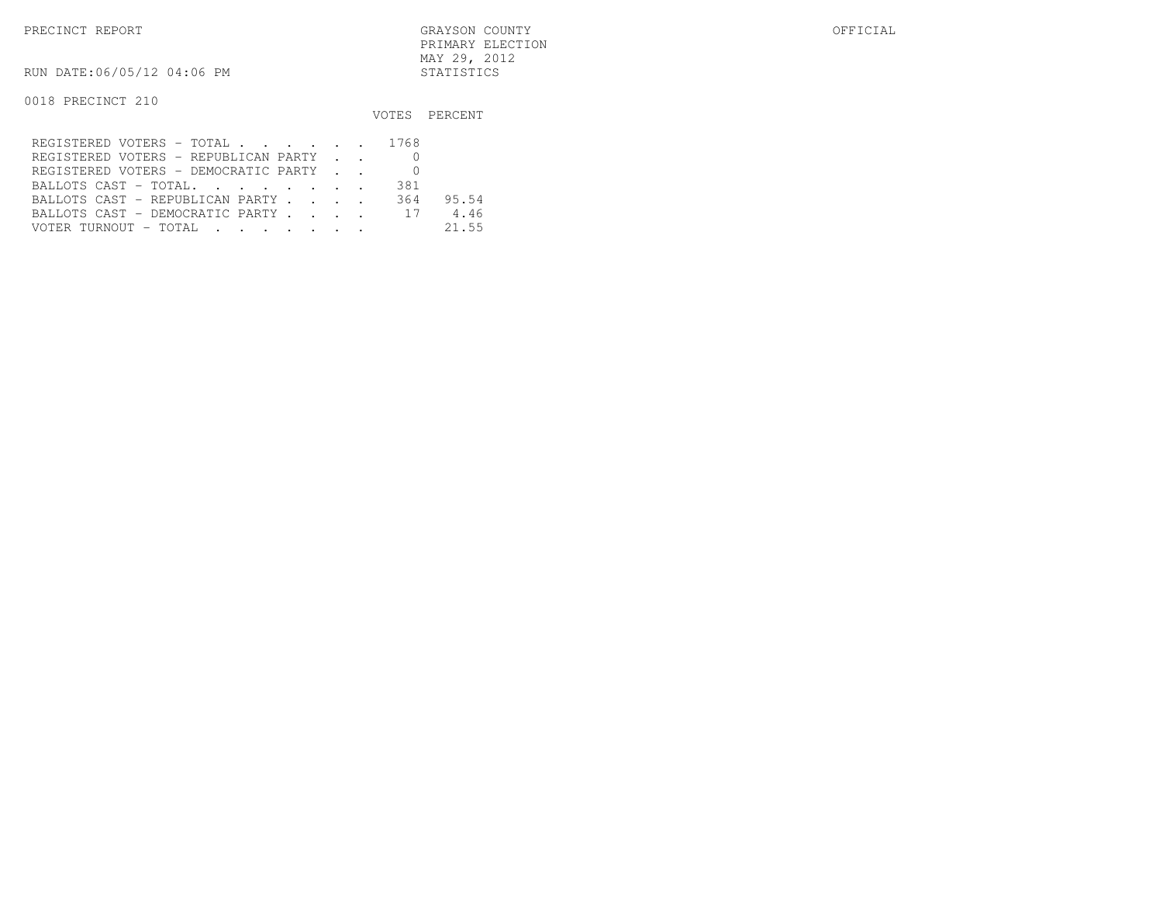PRECINCT REPORT GRAYSON COUNTY OFFICIAL PRIMARY ELECTIONMAY 29, 2012

RUN DATE:06/05/12 04:06 PM STATISTICS

|                                         |     | VOTES PERCENT |
|-----------------------------------------|-----|---------------|
| REGISTERED VOTERS - TOTAL 1768          |     |               |
| REGISTERED VOTERS - REPUBLICAN PARTY    |     |               |
| REGISTERED VOTERS - DEMOCRATIC PARTY    |     |               |
| BALLOTS CAST - TOTAL.                   | 381 |               |
| BALLOTS CAST - REPUBLICAN PARTY         | 364 | 95.54         |
| BALLOTS CAST - DEMOCRATIC PARTY 17      |     | 4.46          |
| VOTER TURNOUT – TOTAL III III IIII IIII |     | 21.55         |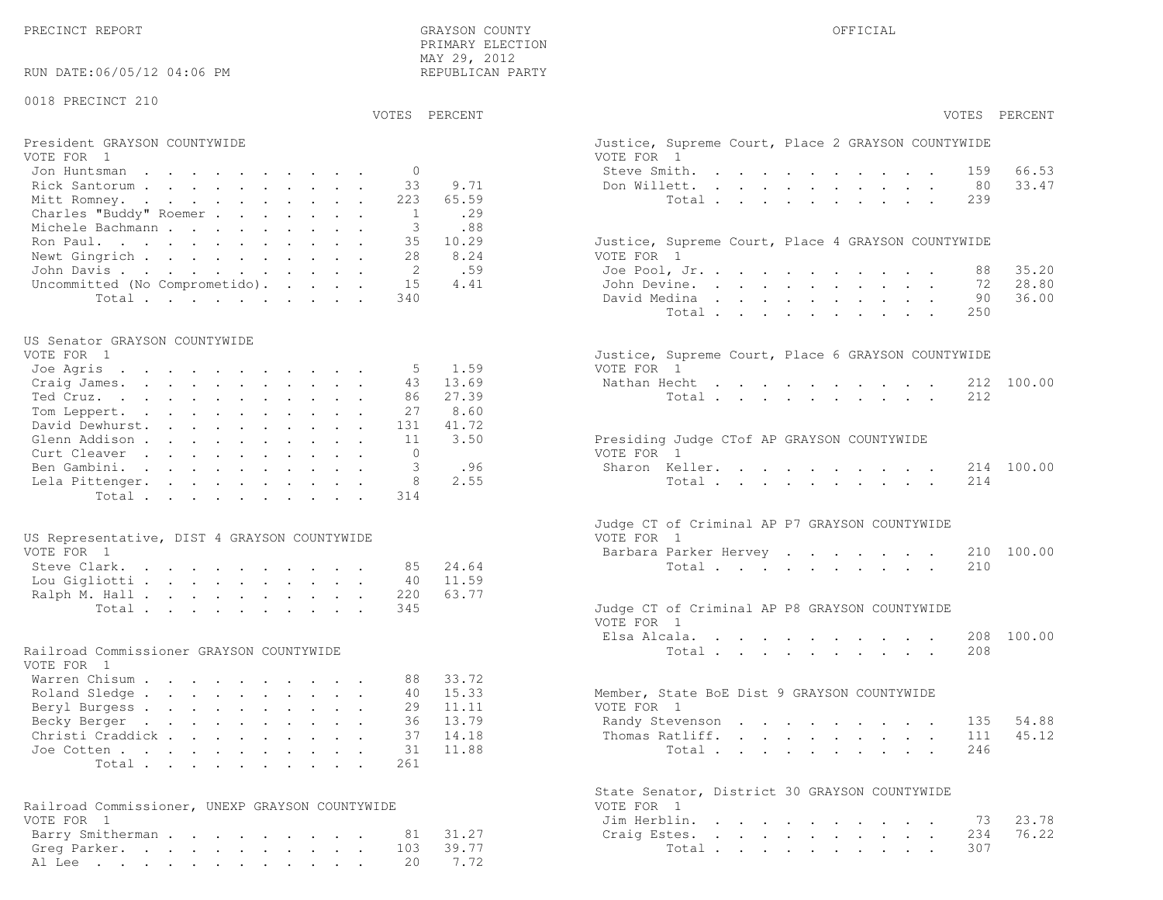PRECINCT REPORT OF THE SERVICE OF THE GRAYSON COUNTY OF THE GRAYSON COUNTY OF THE GRAYSON OF THE GRAYSON COUNTY PRIMARY ELECTION MAY 29, 2012REPUBLICAN PARTY

### RUN DATE:06/05/12 04:06 PM

#### 0018 PRECINCT 210

VOTES PERCENT VOTES PERCENT

# President GRAYSON COUNTYWIDE Justice, Superior Court, Superior Court, Place 2 Grammary Court, Place 2 Grammary<br>Vote 2 Grammary 2 Grammary Court, Place 2 Grammary 2 Grammary 2 Grammary 2 Grammary 2 Grammary 2 Grammary 2 Gr

| VOTE FOR 1                             | VOTE FOR 1                                         |
|----------------------------------------|----------------------------------------------------|
| Jon Huntsman 0                         | 66.53<br>Steve Smith. 159                          |
| Rick Santorum 33 9.71                  | Don Willett. 80 33.47                              |
| Mitt Romney. 223 65.59                 | Total 239                                          |
| Charles "Buddy" Roemer 1 . 29          |                                                    |
| Michele Bachmann 3 .88                 |                                                    |
| Ron Paul. 35 10.29                     | Justice, Supreme Court, Place 4 GRAYSON COUNTYWIDE |
| Newt Gingrich 28 8.24                  | VOTE FOR 1                                         |
| John Davis 2 .59                       | 35.20<br>Joe Pool, Jr., 88                         |
| Uncommitted (No Comprometido). 15 4.41 | 28.80<br>John Devine. 72                           |
| Total 340                              | 36.00<br>David Medina<br>90 —                      |

#### US Senator GRAYSON COUNTYWIDE

| VOTE FOR - I              |  |  |  |  |  | Justice, Supreme Court, Place 6 GRAYSON COUNTYWIDE |  |
|---------------------------|--|--|--|--|--|----------------------------------------------------|--|
| Joe Agris 5 1.59          |  |  |  |  |  | VOTE FOR 1                                         |  |
| Craig James. 43 13.69     |  |  |  |  |  | Nathan Hecht 212 100.00                            |  |
| Ted Cruz. 86 27.39        |  |  |  |  |  | Total 212                                          |  |
| Tom Leppert. 27 8.60      |  |  |  |  |  |                                                    |  |
| David Dewhurst. 131 41.72 |  |  |  |  |  |                                                    |  |
| Glenn Addison 11 3.50     |  |  |  |  |  | Presiding Judge CTof AP GRAYSON COUNTYWIDE         |  |
| Curt Cleaver 0            |  |  |  |  |  | VOTE FOR 1                                         |  |
| Ben Gambini. 3 .96        |  |  |  |  |  | Sharon Keller. 214 100.00                          |  |
| Lela Pittenger. 8 2.55    |  |  |  |  |  | Total 214                                          |  |
| Total 314                 |  |  |  |  |  |                                                    |  |
|                           |  |  |  |  |  |                                                    |  |

| US Representative, DIST 4 GRAYSON COUNTYWIDE | VOTE FOR 1                                    |
|----------------------------------------------|-----------------------------------------------|
| VOTE FOR 1                                   | Barbara Parker Hervey 210 100.00              |
| Steve Clark. 85 24.64                        | Total 210                                     |
| Lou Gigliotti 40 11.59                       |                                               |
| Ralph M. Hall 220 63.77                      |                                               |
| Total 345                                    | Judge CT of Criminal AP P8 GRAYSON COUNTYWIDE |

#### Railroad Commissioner GRAYSON COUNTYWIDE

| VOTE FOR 1                |  |  |  |  |  |                                             |  |
|---------------------------|--|--|--|--|--|---------------------------------------------|--|
| Warren Chisum 88 33.72    |  |  |  |  |  |                                             |  |
| Roland Sledge 40 15.33    |  |  |  |  |  | Member, State BoE Dist 9 GRAYSON COUNTYWIDE |  |
| Beryl Burgess 29 11.11    |  |  |  |  |  | VOTE FOR 1                                  |  |
| Becky Berger 36 13.79     |  |  |  |  |  | Randy Stevenson 135 54.88                   |  |
| Christi Craddick 37 14.18 |  |  |  |  |  | Thomas Ratliff. 111 45.12                   |  |
| Joe Cotten 31 11.88       |  |  |  |  |  | Total 246                                   |  |
| Total 261                 |  |  |  |  |  |                                             |  |

| Railroad Commissioner, UNEXP GRAYSON COUNTYWIDE | VOTE FOR 1             |
|-------------------------------------------------|------------------------|
| VOTE FOR 1                                      | Jim Herblin. 73 23.78  |
| Barry Smitherman 81 31.27                       | Craig Estes. 234 76.22 |
| Greg Parker. 103 39.77                          | Total 307              |
| Al Lee 20 7.72                                  |                        |

| VOTES PERCENT                                                         |                                                                                                                                               | VOTES PERCENT |
|-----------------------------------------------------------------------|-----------------------------------------------------------------------------------------------------------------------------------------------|---------------|
| President GRAYSON COUNTYWIDE<br>VOTE FOR 1                            | Justice, Supreme Court, Place 2 GRAYSON COUNTYWIDE<br>VOTE FOR 1                                                                              |               |
| $\Omega$<br>Jon Huntsman                                              | Steve Smith.<br>$\mathbf{r}$ , and $\mathbf{r}$ , and $\mathbf{r}$ , and $\mathbf{r}$ , and $\mathbf{r}$<br>159                               | 66.53         |
| 33<br>Rick Santorum                                                   | 9.71<br>Don Willett.<br>80<br>the contract of the contract of the contract of the contract of the contract of the contract of the contract of | 33.47         |
| Mitt Romney.<br>223                                                   | Total<br>65.59<br>239                                                                                                                         |               |
| Charles "Buddy" Roemer<br>$\overline{1}$                              | .29                                                                                                                                           |               |
| 3<br>Michele Bachmann                                                 | .88                                                                                                                                           |               |
| Ron Paul.<br>35                                                       | 10.29<br>Justice, Supreme Court, Place 4 GRAYSON COUNTYWIDE                                                                                   |               |
| Newt Gingrich<br>28                                                   | 8.24<br>VOTE FOR 1                                                                                                                            |               |
| 2<br>John Davis                                                       | .59<br>Joe Pool, Jr.<br>88                                                                                                                    | 35.20         |
| Uncommitted (No Comprometido).<br>15                                  | 4.41<br>John Devine.<br>72                                                                                                                    | 28.80         |
| Total<br>340                                                          | David Medina<br>90                                                                                                                            | 36.00         |
|                                                                       | Total<br>250                                                                                                                                  |               |
| US Senator GRAYSON COUNTYWIDE                                         |                                                                                                                                               |               |
| VOTE FOR 1                                                            | Justice, Supreme Court, Place 6 GRAYSON COUNTYWIDE                                                                                            |               |
| Joe Agris<br>5                                                        | 1.59<br>VOTE FOR 1                                                                                                                            |               |
| 43<br>Craig James.                                                    | 13.69<br>Nathan Hecht<br>the contract of the contract of the contract of                                                                      | 212 100.00    |
| Ted Cruz.<br>86                                                       | 27.39<br>Total<br>212                                                                                                                         |               |
| Tom Leppert.<br>27                                                    | 8.60                                                                                                                                          |               |
| David Dewhurst.<br>131                                                | 41.72                                                                                                                                         |               |
| Glenn Addison<br>11                                                   | 3.50<br>Presiding Judge CTof AP GRAYSON COUNTYWIDE                                                                                            |               |
| Curt Cleaver<br>$\bigcap$                                             | VOTE FOR 1                                                                                                                                    |               |
| 3<br>Ben Gambini.                                                     | .96<br>Sharon Keller.                                                                                                                         | 214 100.00    |
| Lela Pittenger.<br>8                                                  | 2.55<br>Total<br>214                                                                                                                          |               |
| Total<br>314                                                          |                                                                                                                                               |               |
| US Representative, DIST 4 GRAYSON COUNTYWIDE                          | Judge CT of Criminal AP P7 GRAYSON COUNTYWIDE<br>VOTE FOR 1                                                                                   |               |
| VOTE FOR 1                                                            | Barbara Parker Hervey                                                                                                                         | 210 100.00    |
| Steve Clark.<br>the contract of the contract of the contract of<br>85 | 24.64<br>Total<br>210                                                                                                                         |               |
| Lou Gigliotti<br>40                                                   | 11.59                                                                                                                                         |               |
| Ralph M. Hall<br>220                                                  | 63.77                                                                                                                                         |               |
| 345<br>Total                                                          | Judge CT of Criminal AP P8 GRAYSON COUNTYWIDE                                                                                                 |               |
|                                                                       | VOTE FOR 1                                                                                                                                    |               |
|                                                                       | 208<br>Elsa Alcala.<br>the contract of the contract of the contract of the contract of the contract of the contract of the contract of        | 100.00        |
| Railroad Commissioner GRAYSON COUNTYWIDE<br>VOTE FOR 1                | 208<br>Total                                                                                                                                  |               |
| Warren Chisum<br>88                                                   | 33.72                                                                                                                                         |               |
| Roland Sledge<br>40                                                   | 15.33<br>Member, State BoE Dist 9 GRAYSON COUNTYWIDE                                                                                          |               |
| Beryl Burgess<br>29                                                   | 11.11<br>VOTE FOR 1                                                                                                                           |               |
| Becky Berger<br>the contract of the contract of the contract of<br>36 | 13.79<br>135<br>Randy Stevenson                                                                                                               | 54.88         |
| Christi Craddick<br>37                                                | 14.18<br>Thomas Ratliff.<br>111                                                                                                               | 45.12         |
| 31<br>Joe Cotten                                                      | 11.88<br>246<br>Total                                                                                                                         |               |
| Total<br>261                                                          |                                                                                                                                               |               |
|                                                                       | State Senator, District 30 GRAYSON COUNTYWIDE                                                                                                 |               |
| Railroad Commissioner, UNEXP GRAYSON COUNTYWIDE                       | VOTE FOR 1                                                                                                                                    |               |
| VOTE FOR 1                                                            | Jim Herblin.<br>73                                                                                                                            | 23.78         |
| Barry Smitherman.<br>81                                               | 234<br>31.27<br>Craig Estes.                                                                                                                  | 76.22         |
| Greg Parker.<br>103                                                   | 39.77<br>Total<br>307                                                                                                                         |               |
| Al Lee 20                                                             | 7.72                                                                                                                                          |               |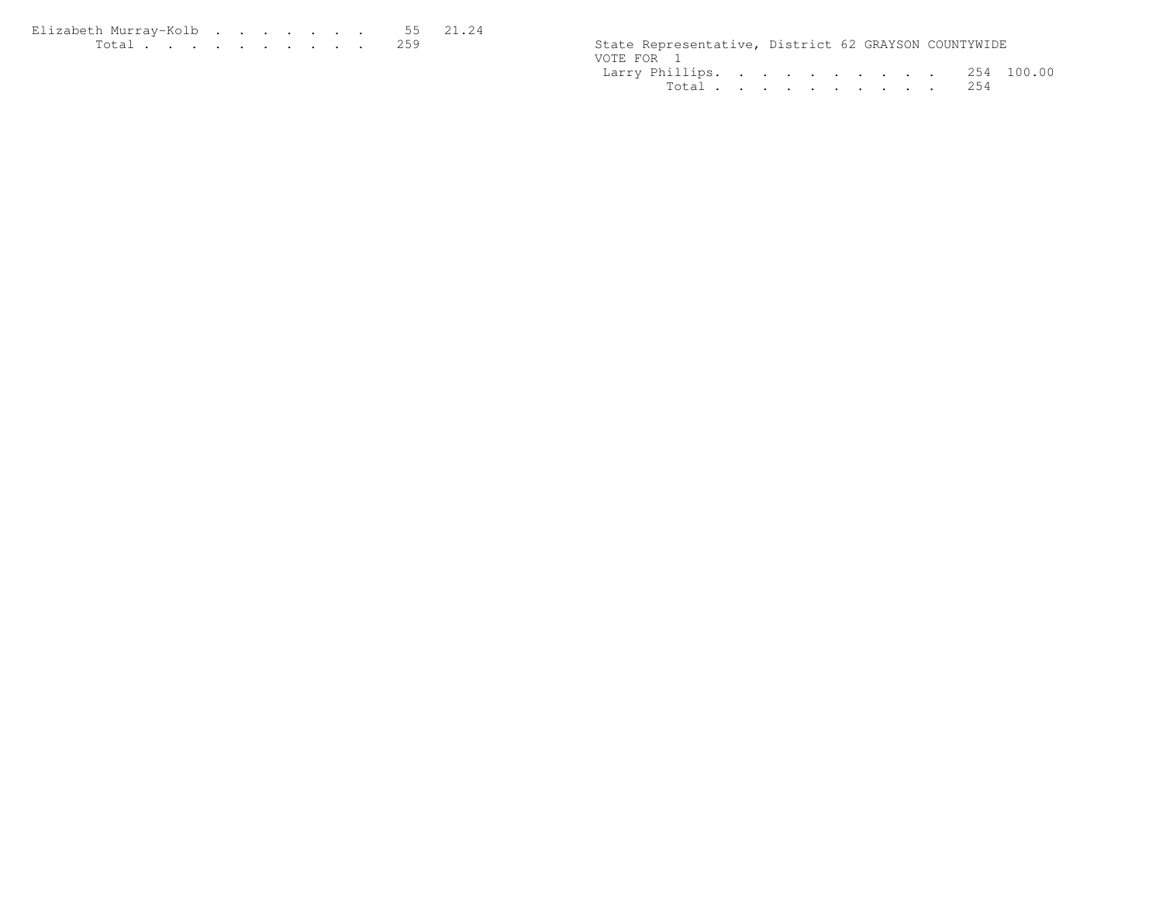| Elizabeth Murrav-Kolb55 21.24 |  |  |  |  |  |                                                      |  |  |
|-------------------------------|--|--|--|--|--|------------------------------------------------------|--|--|
| <u>. 259</u>                  |  |  |  |  |  | State Representative, District 62 GRAYSON COUNTYWIDE |  |  |

|            | State Representative, District 62 GRAYSON COUNTYWIDE |  |  |  |  |  |
|------------|------------------------------------------------------|--|--|--|--|--|
| VOTE FOR 1 |                                                      |  |  |  |  |  |
|            | Larry Phillips. 254 100.00                           |  |  |  |  |  |
|            | Total 254                                            |  |  |  |  |  |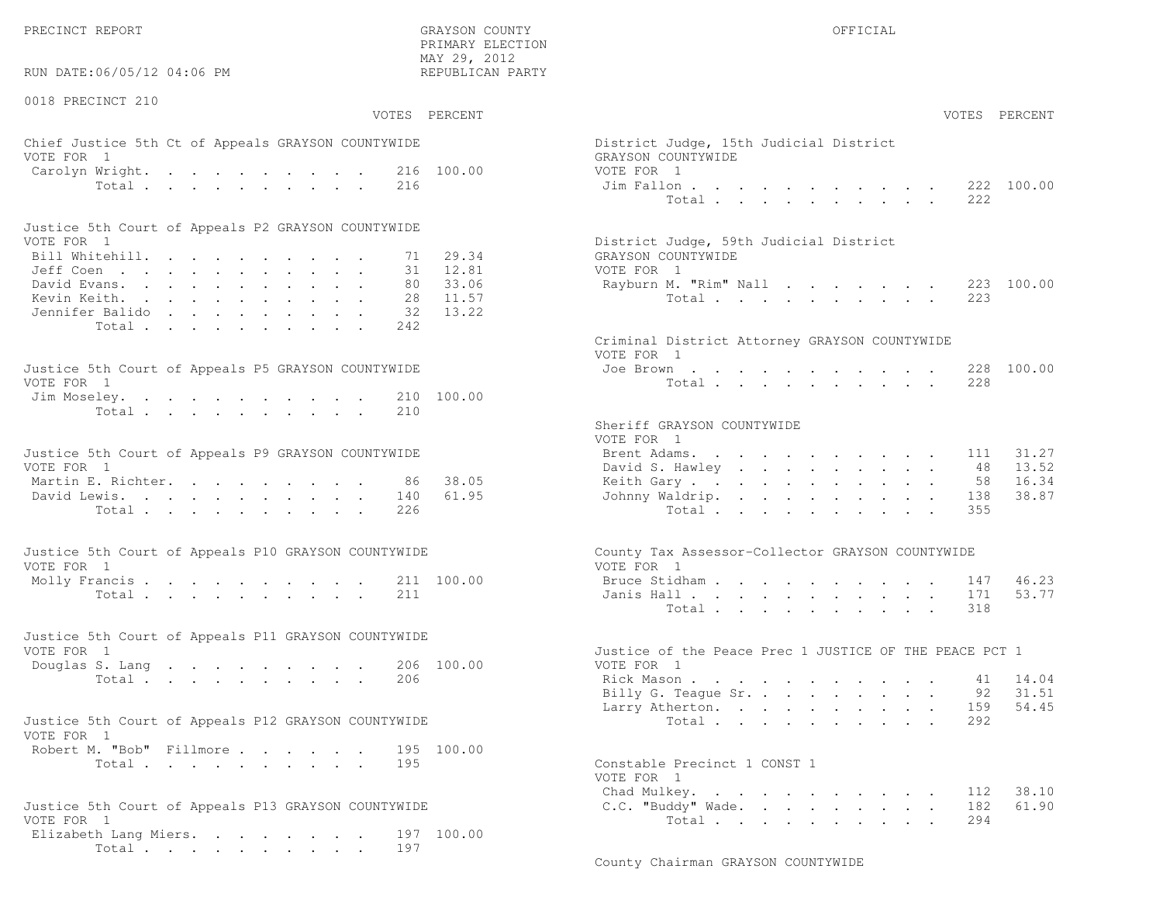PRECINCT REPORT GRAYSON COUNTY OFFICIAL

 $\text{MAX } 29, \quad 2012$ RUN DATE:06/05/12 04:06 PM

0018 PRECINCT 210

PRIMARY ELECTION

# Chief Justice 5th Ct of Appeals GRAYSON COUNTYWIDE The State of District District District Order VOTE FOR 1 GRA Carolyn Wright. . . . . . . . 216 100.00 VOT

| Justice 5th Court of Appeals P2 GRAYSON COUNTYWIDE |  |  |  |  |  |                                        |
|----------------------------------------------------|--|--|--|--|--|----------------------------------------|
| VOTE FOR 1                                         |  |  |  |  |  | District Judge, 59th Judicial District |
| Bill Whitehill. 71 29.34                           |  |  |  |  |  | GRAYSON COUNTYWIDE                     |
| Jeff Coen 31 12.81                                 |  |  |  |  |  | VOTE FOR 1                             |
| David Evans. 80 33.06                              |  |  |  |  |  | Rayburn M. "Rim" Nall 223 100.00       |
| Kevin Keith. 28 11.57                              |  |  |  |  |  | Total 223                              |
| Jennifer Balido 32 13.22                           |  |  |  |  |  |                                        |
| Total 242                                          |  |  |  |  |  |                                        |

| Justice 5th Court of Appeals P5 GRAYSON COUNTYWIDE | Joe Brown 228 100.00 |
|----------------------------------------------------|----------------------|
| VOTE FOR 1                                         | Total 228            |
| Jim Moseley. 210 100.00                            |                      |
| Total 210                                          |                      |

| Justice 5th Court of Appeals P9 GRAYSON COUNTYWIDE |  |  | Brent Adams. 111 31.27    |  |  |  |  |  |  |
|----------------------------------------------------|--|--|---------------------------|--|--|--|--|--|--|
| VOTE FOR 1                                         |  |  | David S. Hawley 48 13.52  |  |  |  |  |  |  |
| Martin E. Richter. 86 38.05                        |  |  | Keith Gary 58 16.34       |  |  |  |  |  |  |
| David Lewis. 140 61.95                             |  |  | Johnny Waldrip. 138 38.87 |  |  |  |  |  |  |
| Total 226                                          |  |  | Total 355                 |  |  |  |  |  |  |

| Justice 5th Court of Appeals P10 GRAYSON COUNTYWIDE | County Tax Assessor-Collector GRAYSON COUNTYWIDE |
|-----------------------------------------------------|--------------------------------------------------|
| VOTE FOR 1                                          | VOTE FOR 1                                       |
| Molly Francis 211 100.00                            | Bruce Stidham 147 46.23                          |
| Total 211                                           | Janis Hall 171 53.77                             |

| Justice 5th Court of Appeals P11 GRAYSON COUNTYWIDE |                                                        |
|-----------------------------------------------------|--------------------------------------------------------|
| VOTE FOR 1                                          | Justice of the Peace Prec 1 JUSTICE OF THE PEACE PCT 1 |
| Douglas S. Lang 206 100.00                          | VOTE FOR 1                                             |
| Total 206                                           | Rick Mason 41 14.04                                    |

| Justice 5th Court of Appeals P12 GRAYSON COUNTYWIDE |           |  |  |  | Total 292                    |  |
|-----------------------------------------------------|-----------|--|--|--|------------------------------|--|
| VOTE FOR 1                                          |           |  |  |  |                              |  |
| Robert M. "Bob" Fillmore 195 100.00                 |           |  |  |  |                              |  |
|                                                     | Total 195 |  |  |  | Constable Precinct 1 CONST 1 |  |

| Justice 5th Court of Appeals P13 GRAYSON COUNTYWIDE | C.C. "Buddy" Wade. 182 61.90 |  |
|-----------------------------------------------------|------------------------------|--|
| VOTE FOR 1                                          | Total 294                    |  |
| Elizabeth Lang Miers. 197 100.00                    |                              |  |
| Total 197                                           |                              |  |

| INITERNI PERCITOR<br>MAY 29, 2012<br>:06/05/12 04:06 PM<br>REPUBLICAN PARTY |                                                                |
|-----------------------------------------------------------------------------|----------------------------------------------------------------|
| CINCT 210                                                                   |                                                                |
| VOTES PERCENT                                                               | VOTES PERCENT                                                  |
| stice 5th Ct of Appeals GRAYSON COUNTYWIDE<br>$\mathbf{1}$                  | District Judge, 15th Judicial District<br>GRAYSON COUNTYWIDE   |
| Wright.<br>100.00<br>216                                                    | VOTE FOR 1                                                     |
| Total<br>216                                                                | 222 100.00<br>Jim Fallon<br>Total $\cdot$<br>222               |
| oth Court of Appeals P2 GRAYSON COUNTYWIDE                                  |                                                                |
| $\overline{1}$                                                              | District Judge, 59th Judicial District                         |
| tehill.<br>29.34<br>71                                                      | GRAYSON COUNTYWIDE                                             |
| 31<br>12.81                                                                 | VOTE FOR 1                                                     |
| 33.06<br>80<br>$\lambda$ rans.                                              | 223 100.00<br>Rayburn M. "Rim" Nall                            |
| 11.57<br>eith.<br>28<br>13.22<br>: Balido<br>32                             | Total<br>223                                                   |
| Total<br>242                                                                |                                                                |
|                                                                             | Criminal District Attorney GRAYSON COUNTYWIDE<br>VOTE FOR 1    |
| oth Court of Appeals P5 GRAYSON COUNTYWIDE                                  | Joe Brown<br>228 100.00                                        |
| $\overline{1}$                                                              | 228<br>Total $\cdots$                                          |
| eley.<br>210 100.00<br>Total<br>210                                         |                                                                |
|                                                                             | Sheriff GRAYSON COUNTYWIDE<br>VOTE FOR 1                       |
| oth Court of Appeals P9 GRAYSON COUNTYWIDE                                  | 31.27<br>Brent Adams.<br>111                                   |
| $\mathbf{1}$                                                                | David S. Hawley<br>13.52<br>48                                 |
| 38.05<br>$\mathbb{R}$ . Richter.<br>- 86                                    | 16.34<br>Keith Gary.<br>58                                     |
| 61.95<br>ewis.<br>140                                                       | 38.87<br>Johnny Waldrip.<br>138                                |
| Total<br>226                                                                | 355<br>Total                                                   |
| ith Court of Appeals P10 GRAYSON COUNTYWIDE<br>$\overline{1}$               | County Tax Assessor-Collector GRAYSON COUNTYWIDE<br>VOTE FOR 1 |
| rancis $\cdots$<br>211 100.00                                               | Bruce Stidham<br>46.23<br>147                                  |
| Total<br>211                                                                | 53.77<br>Janis Hall<br>171                                     |
|                                                                             | 318<br>Total                                                   |
| ith Court of Appeals P11 GRAYSON COUNTYWIDE<br>$\overline{1}$               | Justice of the Peace Prec 1 JUSTICE OF THE PEACE PCT 1         |
| 206 100.00<br>S. Lang                                                       | VOTE FOR 1                                                     |
| Total<br>206                                                                | Rick Mason<br>14.04<br>41                                      |
|                                                                             | Billy G. Teague Sr.<br>31.51<br>92                             |
|                                                                             | Larry Atherton.<br>159 54.45                                   |
| oth Court of Appeals P12 GRAYSON COUNTYWIDE<br>$\overline{1}$               | Total $\cdots$<br>292                                          |
| 1. "Bob" Fillmore.<br>195 100.00                                            |                                                                |
| 195<br>Total                                                                | Constable Precinct 1 CONST 1<br>VOTE FOR 1                     |
|                                                                             | Chad Mulkey.<br>38.10<br>112                                   |
| oth Court of Appeals P13 GRAYSON COUNTYWIDE                                 | C.C. "Buddy" Wade.<br>182<br>61.90                             |
|                                                                             | 294<br>Total                                                   |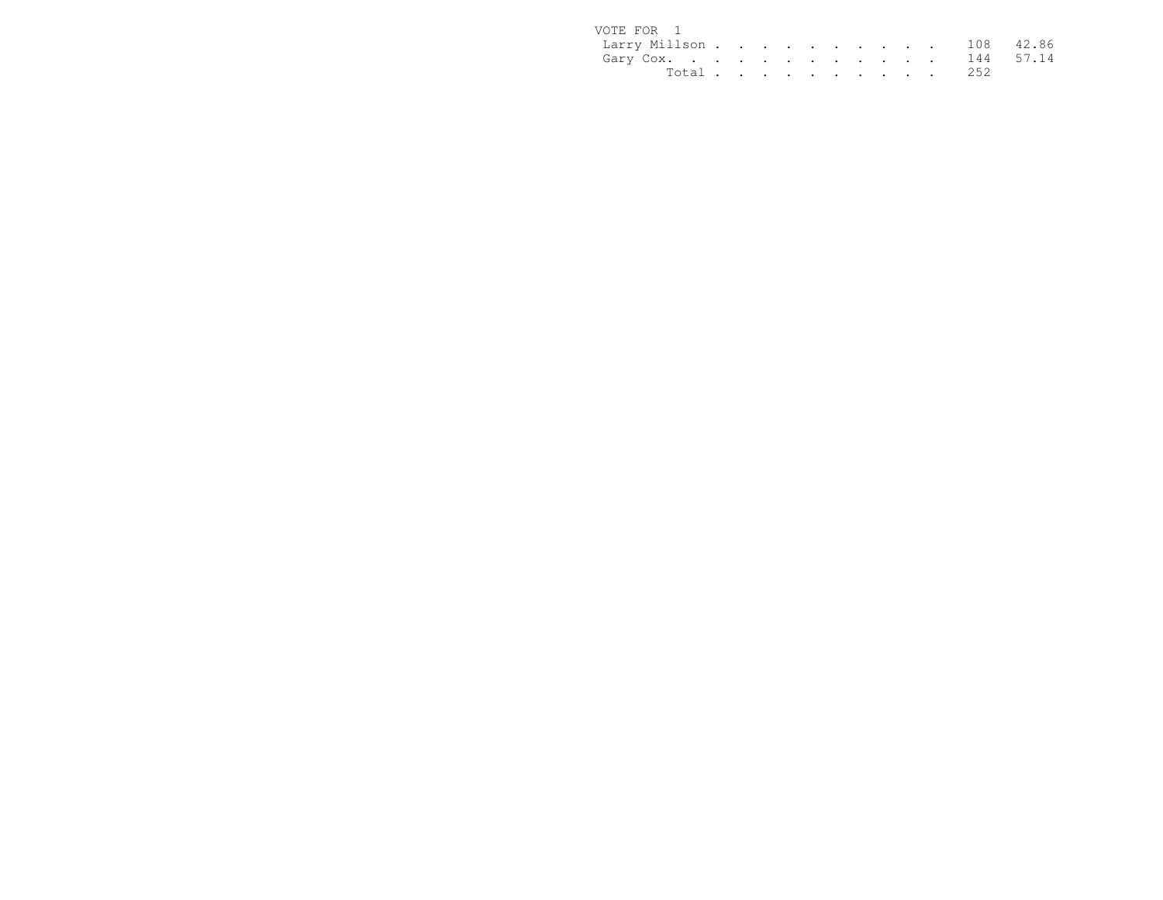| VOTE FOR 1              |  |  |  |  |  |           |  |
|-------------------------|--|--|--|--|--|-----------|--|
| Larry Millson 108 42.86 |  |  |  |  |  |           |  |
| Gary Cox. 144 57.14     |  |  |  |  |  |           |  |
|                         |  |  |  |  |  | Total 252 |  |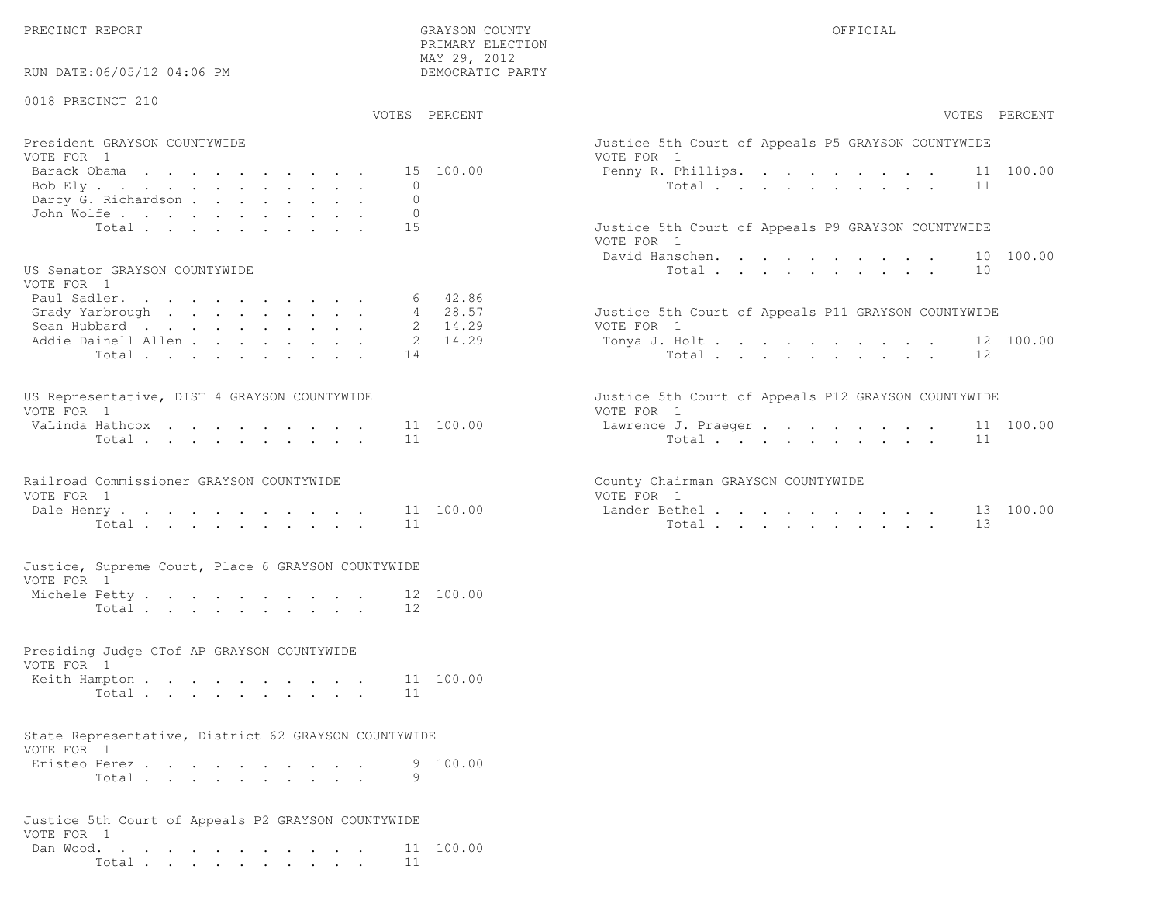PRECINCT REPORT OFFICIAL SERVICES OF THE GRAYSON COUNTY OF THE GRAYSON OF STREET OF THE GRAYSON OF THE GRAYSON OF THE GRAYSON OF THE GRAYSON OF THE GRAY OF THE GRAY OF THE GRAY OF THE GRAY OF THE GRAY OF THE GRAY OF THE GR

RUN DATE:06/05/12 04:06 PM

 PRIMARY ELECTION MAY 29, 2012DEMOCRATIC PARTY

| 0018 PRECINCT 210<br>VOTES PERCENT                                                                                                                     |                                      | VOTES PERCENT                                                                                                        |
|--------------------------------------------------------------------------------------------------------------------------------------------------------|--------------------------------------|----------------------------------------------------------------------------------------------------------------------|
|                                                                                                                                                        |                                      |                                                                                                                      |
| President GRAYSON COUNTYWIDE<br>VOTE FOR 1<br>Barack Obama<br>Bob Ely<br>$\circ$<br>Darcy G. Richardson<br>$\mathbf{0}$<br>John Wolfe.<br>$\mathbf{0}$ | 15 100.00                            | Justice 5th Court of Appeals P5 GRAYSON COUNTYWIDE<br>VOTE FOR 1<br>11 100.00<br>Penny R. Phillips.<br>Total<br>11   |
| Total<br>15<br>US Senator GRAYSON COUNTYWIDE                                                                                                           |                                      | Justice 5th Court of Appeals P9 GRAYSON COUNTYWIDE<br>VOTE FOR 1<br>David Hanschen.<br>100.00<br>10<br>Total<br>10   |
| VOTE FOR 1<br>Paul Sadler.<br>6<br>Grady Yarbrough<br>Sean Hubbard<br>Addie Dainell Allen<br>2<br>Total<br>14                                          | 42.86<br>4 28.57<br>2 14.29<br>14.29 | Justice 5th Court of Appeals P11 GRAYSON COUNTYWIDE<br>VOTE FOR 1<br>Tonya J. Holt<br>12 100.00<br>Total<br>12       |
| US Representative, DIST 4 GRAYSON COUNTYWIDE<br>VOTE FOR 1<br>VaLinda Hathcox<br>Total<br>11                                                           | 11 100.00                            | Justice 5th Court of Appeals P12 GRAYSON COUNTYWIDE<br>VOTE FOR 1<br>Lawrence J. Praeger<br>11 100.00<br>Total<br>11 |
| Railroad Commissioner GRAYSON COUNTYWIDE<br>VOTE FOR 1<br>Dale Henry<br>11<br>Total                                                                    | 11 100.00                            | County Chairman GRAYSON COUNTYWIDE<br>VOTE FOR 1<br>13 100.00<br>Lander Bethel.<br>13<br>Total                       |
| Justice, Supreme Court, Place 6 GRAYSON COUNTYWIDE<br>VOTE FOR 1<br>Michele Petty<br>12<br>Total $\cdots$                                              | 12 100.00                            |                                                                                                                      |
| Presiding Judge CTof AP GRAYSON COUNTYWIDE<br>VOTE FOR 1<br>Keith Hampton<br>Total<br>11                                                               | 11 100.00                            |                                                                                                                      |
| State Representative, District 62 GRAYSON COUNTYWIDE<br>VOTE FOR 1<br>Eristeo Perez<br>9<br>Total                                                      | 9 100.00                             |                                                                                                                      |
| Justice 5th Court of Appeals P2 GRAYSON COUNTYWIDE<br>VOTE FOR 1<br>Dan Wood.<br>$T0+1$<br>11                                                          | 11 100.00                            |                                                                                                                      |

Total . . . . . . . . . . 11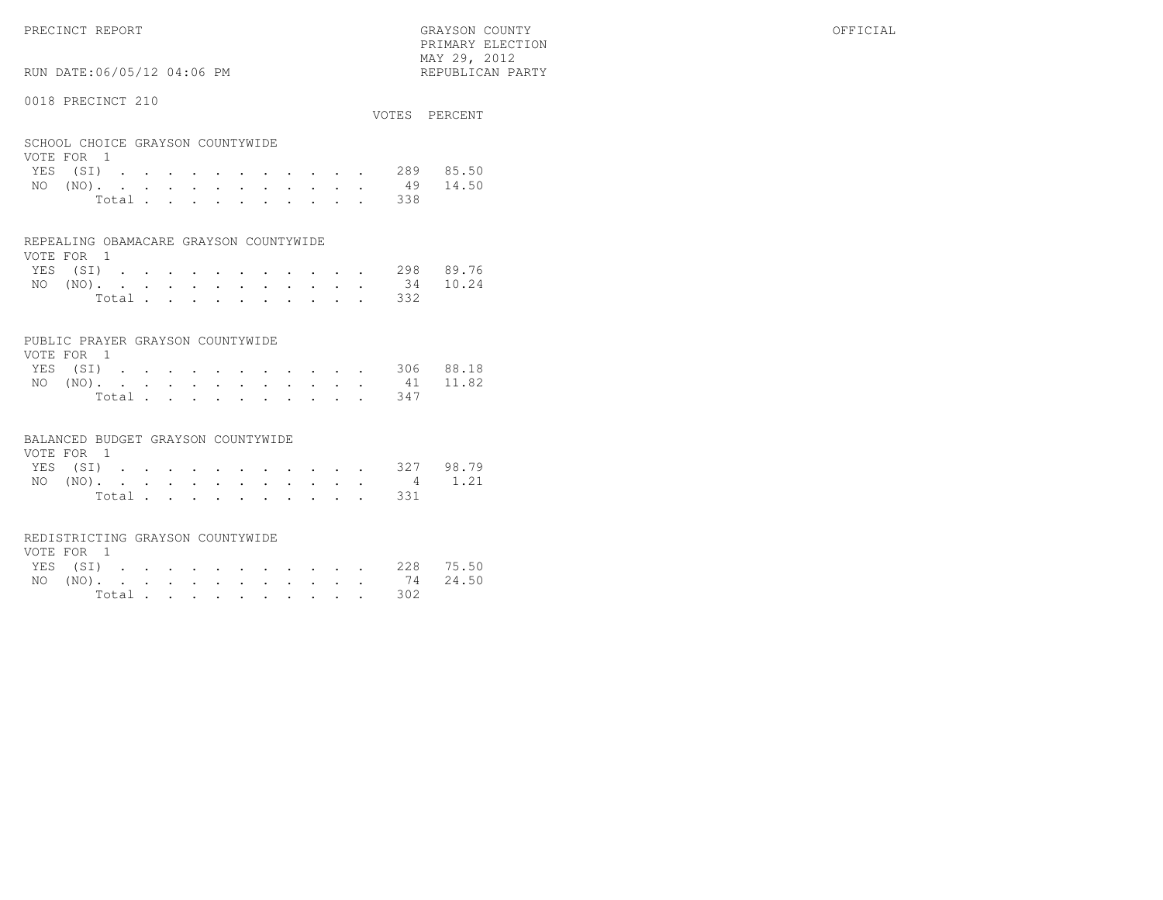PRECINCT REPORT GRAYSON COUNTY OFFICIAL PRIMARY ELECTION $\text{MAX } 29, \quad 2012$ 

# RUN DATE:06/05/12 04:06 PM

#### 0018 PRECINCT 210

| OUIU INDUINUI ZIU                              |  |  |  |  |  |  | VOTES PERCENT      |
|------------------------------------------------|--|--|--|--|--|--|--------------------|
| SCHOOL CHOICE GRAYSON COUNTYWIDE<br>VOTE FOR 1 |  |  |  |  |  |  |                    |
|                                                |  |  |  |  |  |  | YES (SI) 289 85.50 |
| $NO (NO)$ .                                    |  |  |  |  |  |  | 49 14.50           |
|                                                |  |  |  |  |  |  |                    |

| Total |  |  |  |  |  | 338 |
|-------|--|--|--|--|--|-----|
|       |  |  |  |  |  |     |

#### REPEALING OBAMACARE GRAYSON COUNTYWIDE

| VOTE FOR 1 |  |  |  |  |  |  |                    |  |
|------------|--|--|--|--|--|--|--------------------|--|
|            |  |  |  |  |  |  | YES (SI) 298 89.76 |  |
|            |  |  |  |  |  |  | NO (NO). 34 10.24  |  |
|            |  |  |  |  |  |  | Total 332          |  |

#### PUBLIC PRAYER GRAYSON COUNTYWIDE

| VOTE FOR 1 |  |  |  |  |  |                   |                    |
|------------|--|--|--|--|--|-------------------|--------------------|
|            |  |  |  |  |  |                   | YES (SI) 306 88.18 |
|            |  |  |  |  |  | NO (NO). 41 11.82 |                    |
|            |  |  |  |  |  | Total 347         |                    |

#### BALANCED BUDGET GRAYSON COUNTYWIDE

| VOTE FOR 1 |  |  |  |  |  |                    |  |
|------------|--|--|--|--|--|--------------------|--|
|            |  |  |  |  |  | YES (SI) 327 98.79 |  |
|            |  |  |  |  |  | NO (NO). 4 1.21    |  |
|            |  |  |  |  |  | Total 331          |  |

#### REDISTRICTING GRAYSON COUNTYWIDE

| VOTE FOR 1 |  |  |  |  |  |           |                    |  |
|------------|--|--|--|--|--|-----------|--------------------|--|
|            |  |  |  |  |  |           | YES (SI) 228 75.50 |  |
|            |  |  |  |  |  |           | NO (NO). 74 24.50  |  |
|            |  |  |  |  |  | Total 302 |                    |  |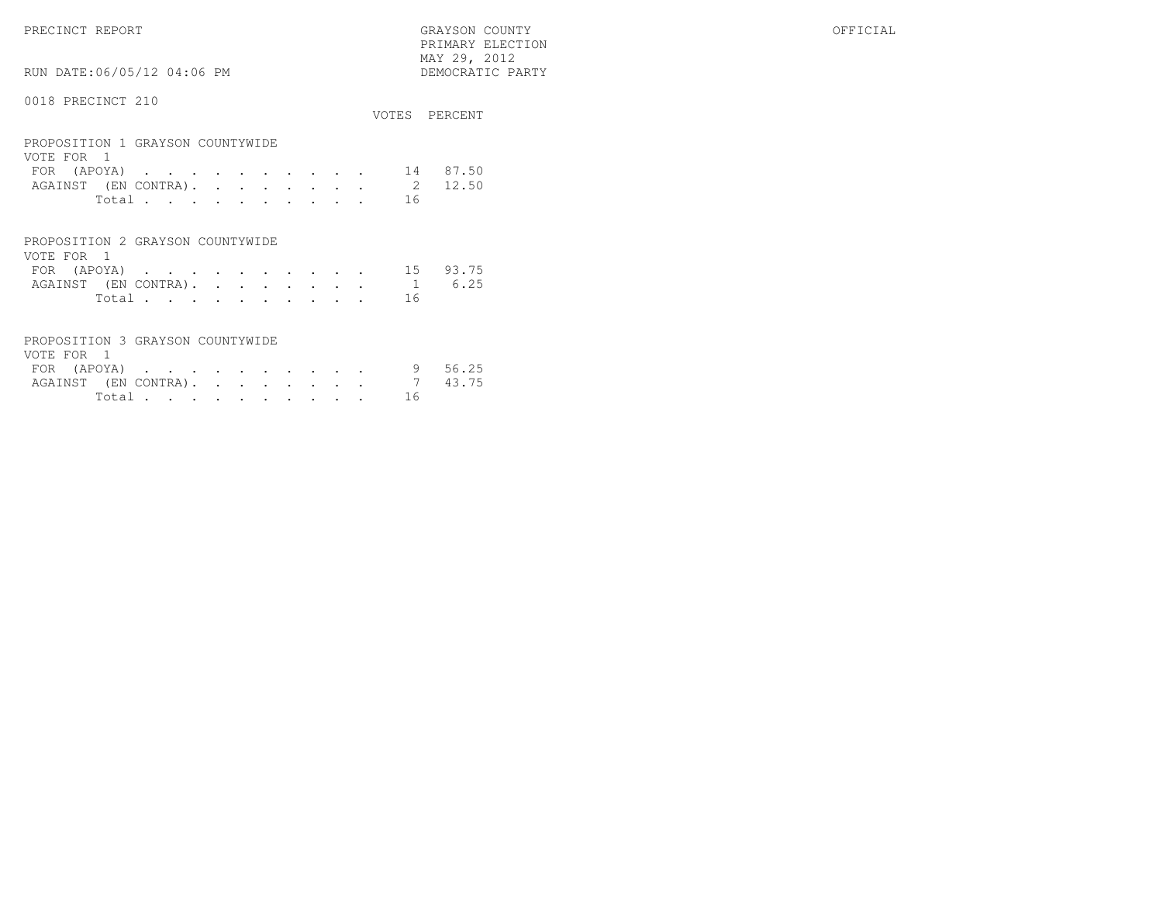PRECINCT REPORT GRAYSON COUNTY OFFICIAL PRIMARY ELECTION $\begin{array}{lll} \text{MAX} & 29, & 2012 \\ \text{NAY} & 29, & 2012 \end{array}$ 

# 0018 PRECINCT 210

RUN DATE:06/05/12 04:06 PM

| VVIV IILUVINUI                                                                |                                                                     |                                   |                      |           |           |               |   | VOTES                    | PERCENT                 |
|-------------------------------------------------------------------------------|---------------------------------------------------------------------|-----------------------------------|----------------------|-----------|-----------|---------------|---|--------------------------|-------------------------|
| PROPOSITION 1 GRAYSON COUNTYWIDE<br>VOTE FOR 1                                |                                                                     |                                   |                      |           |           |               |   |                          |                         |
| FOR (APOYA)                                                                   | <b>Contract Contract Contract Contract</b>                          |                                   |                      |           |           |               |   | 14                       | 87.50                   |
|                                                                               | AGAINST (EN CONTRA).                                                | <b>Contractor</b>                 | $\ddot{\phantom{0}}$ | $\bullet$ | $\bullet$ | $\sim$ $\sim$ | ٠ |                          | $\overline{2}$<br>12.50 |
|                                                                               | Total                                                               |                                   |                      |           |           |               |   | 16                       |                         |
| PROPOSITION 2 GRAYSON COUNTYWIDE<br>VOTE FOR<br>$\overline{1}$<br>FOR (APOYA) | <b>Contract Contract Contract</b><br>AGAINST (EN CONTRA).<br>Total. | <b>Contract Contract Contract</b> | $\cdot$              |           | $\cdot$   | $\cdot$       |   | 15<br>$\mathbf{1}$<br>16 | 93.75<br>6.25           |

| PROPOSITION 3 GRAYSON COUNTYWIDE |        |  |  |  |  |    |       |
|----------------------------------|--------|--|--|--|--|----|-------|
| VOTE FOR 1                       |        |  |  |  |  |    |       |
| FOR (APOYA)                      |        |  |  |  |  |    | 56.25 |
| AGAINST (EN CONTRA).             |        |  |  |  |  |    | 43.75 |
|                                  | Total. |  |  |  |  | 16 |       |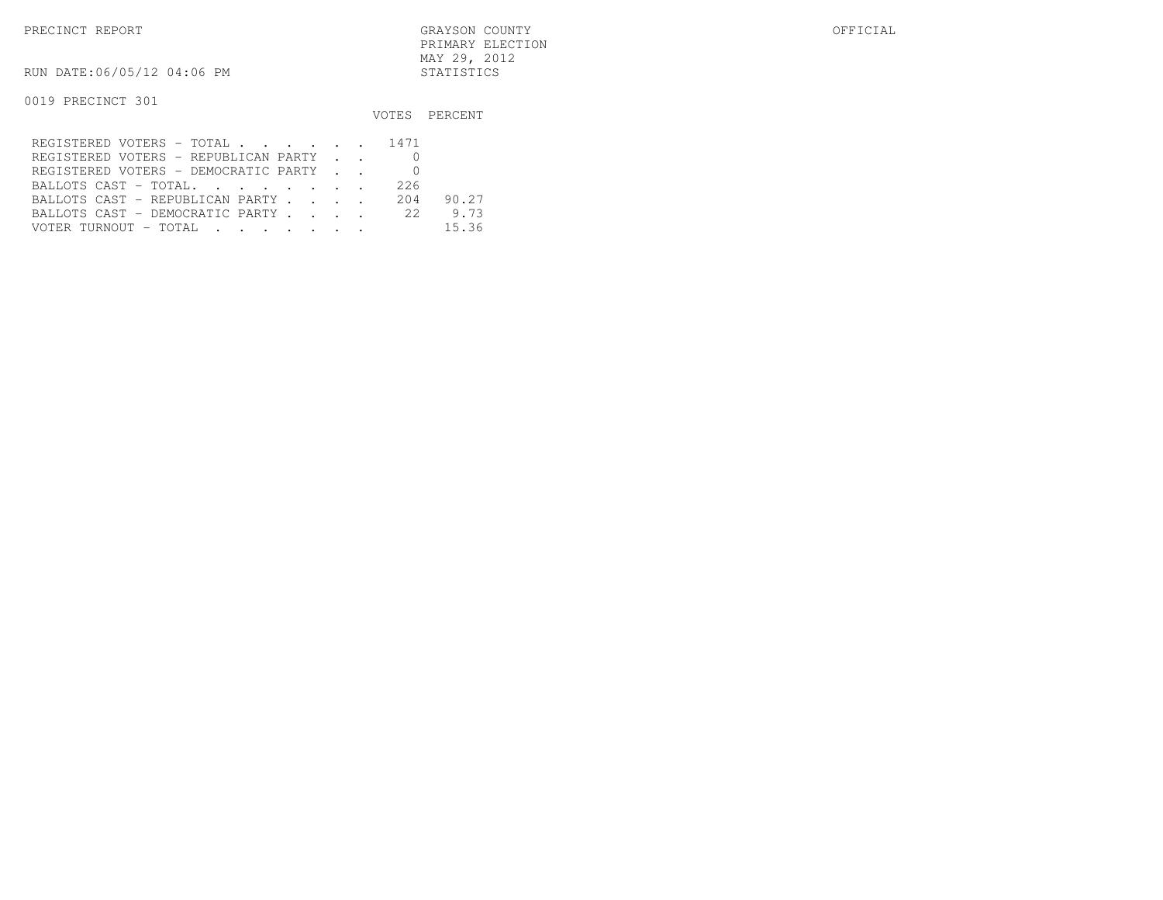PRECINCT REPORT GRAYSON COUNTY OFFICIAL PRIMARY ELECTIONMAY 29, 2012

RUN DATE:06/05/12 04:06 PM STATISTICS

|                                      |     | VOTES PERCENT |
|--------------------------------------|-----|---------------|
| REGISTERED VOTERS - TOTAL 1471       |     |               |
| REGISTERED VOTERS - REPUBLICAN PARTY |     |               |
| REGISTERED VOTERS - DEMOCRATIC PARTY |     |               |
| BALLOTS CAST - TOTAL.                | 226 |               |
| BALLOTS CAST - REPUBLICAN PARTY      | 204 | 90.27         |
| BALLOTS CAST - DEMOCRATIC PARTY      | 22  | 9.73          |
| VOTER TURNOUT - TOTAL.               |     | 15.36         |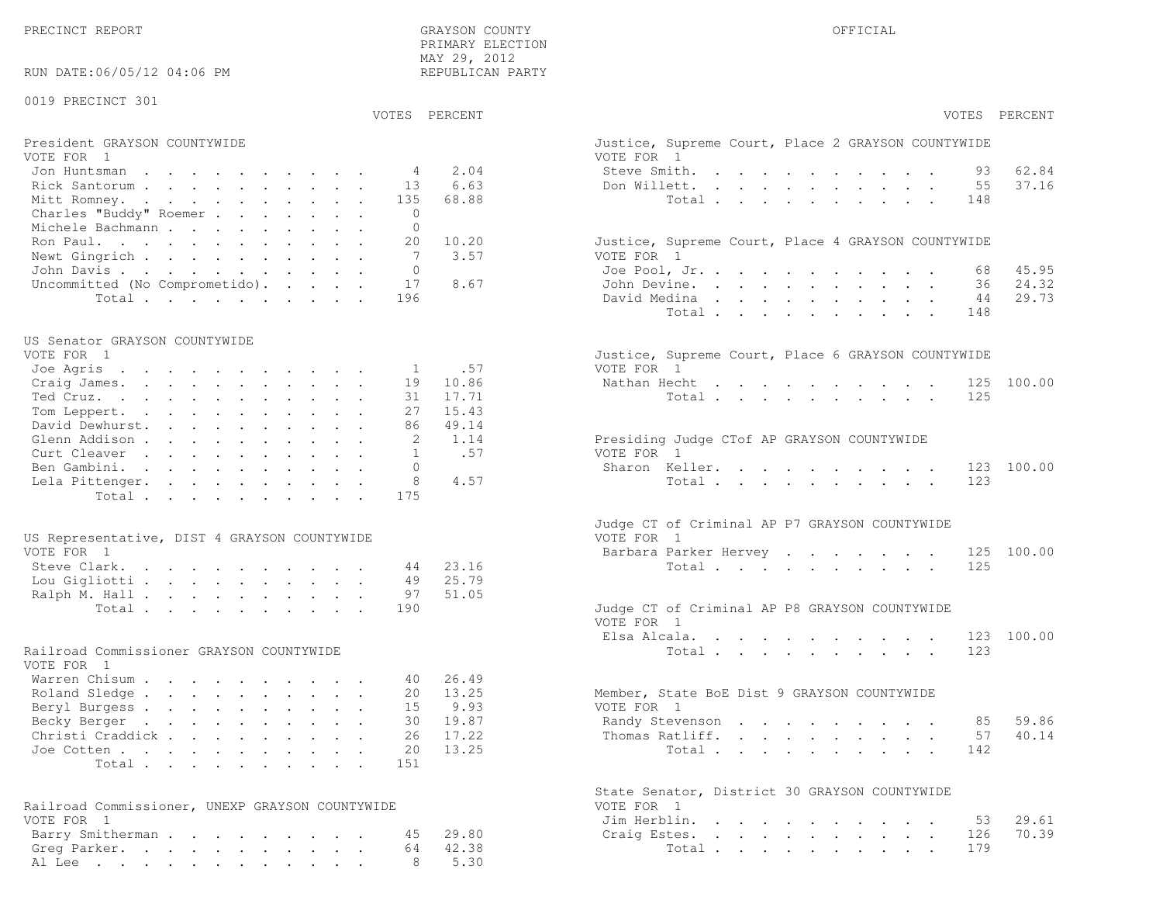PRECINCT REPORT OF THE SERVICE OF THE GRAYSON COUNTY OF THE GRAYSON COUNTY OF THE GRAYSON OF THE GRAYSON COUNTY PRIMARY ELECTION MAY 29, 2012REPUBLICAN PARTY

#### RUN DATE:06/05/12 04:06 PM

#### 0019 PRECINCT 301

VOTES PERCENT VOTES PERCENT

# President GRAYSON COUNTYWIDE<br>VOTE FOR 1

| VOTE FOR 1                             | VOTE FOR 1                                         |
|----------------------------------------|----------------------------------------------------|
| Jon Huntsman 4 2.04                    | 62.84<br>Steve Smith. 93                           |
| Rick Santorum 13 6.63                  | 37.16<br>Don Willett. 55                           |
| Mitt Romney. 135 68.88                 | Total 148                                          |
| Charles "Buddy" Roemer 0               |                                                    |
| Michele Bachmann                       |                                                    |
| Ron Paul. 20 10.20                     | Justice, Supreme Court, Place 4 GRAYSON COUNTYWIDE |
| Newt Gingrich 7 3.57                   | VOTE FOR 1                                         |
| John Davis 0                           | Joe Pool, Jr. 68 45.95                             |
| Uncommitted (No Comprometido). 17 8.67 | 24.32<br>John Devine. 36                           |
| Total 196                              | 44 29.73<br>David Medina                           |

#### US Senator GRAYSON COUNTYWIDE

| VOTE FOR 1               | Justice, Supreme Court, Place 6 GRAYSON COUNTYWIDE |
|--------------------------|----------------------------------------------------|
| Joe Agris 1 .57          | VOTE FOR 1                                         |
| Craig James. 19 10.86    | Nathan Hecht 125 100.00                            |
| Ted Cruz. 31 17.71       | Total 125                                          |
| Tom Leppert. 27 15.43    |                                                    |
| David Dewhurst. 86 49.14 |                                                    |
| Glenn Addison 2 1.14     | Presiding Judge CTof AP GRAYSON COUNTYWIDE         |
| Curt Cleaver 1 .57       | VOTE FOR 1                                         |
| Ben Gambini. 0           | Sharon Keller. 123 100.00                          |
| Lela Pittenger. 8 4.57   | Total 123                                          |
| Total 175                |                                                    |
|                          |                                                    |

| US Representative, DIST 4 GRAYSON COUNTYWIDE |  |  |  |  |  | VOTE FOR 1                                    |  |
|----------------------------------------------|--|--|--|--|--|-----------------------------------------------|--|
| VOTE FOR 1                                   |  |  |  |  |  | Barbara Parker Hervey 125 100.00              |  |
| Steve Clark. 44 23.16                        |  |  |  |  |  | Total 125                                     |  |
| Lou Gigliotti 49 25.79                       |  |  |  |  |  |                                               |  |
| Ralph M. Hall 97 51.05                       |  |  |  |  |  |                                               |  |
| Total 190                                    |  |  |  |  |  | Judge CT of Criminal AP P8 GRAYSON COUNTYWIDE |  |

#### Railroad Commissioner GRAYSON COUNTYWIDE

|  |  |  |                                             | 59.86                                                       |
|--|--|--|---------------------------------------------|-------------------------------------------------------------|
|  |  |  |                                             |                                                             |
|  |  |  |                                             |                                                             |
|  |  |  |                                             |                                                             |
|  |  |  | Member, State BoE Dist 9 GRAYSON COUNTYWIDE | Randy Stevenson 85<br>Thomas Ratliff. 57 40.14<br>Total 142 |

| Railroad Commissioner, UNEXP GRAYSON COUNTYWIDE | VOTE FOR 1             |
|-------------------------------------------------|------------------------|
| VOTE FOR 1                                      | Jim Herblin. 53 29.61  |
| Barry Smitherman 45 29.80                       | Craig Estes. 126 70.39 |
| Greg Parker. 64 42.38                           | Total 179              |
| Al Lee 8 5.30                                   |                        |

| PERCENT        | VOTES<br>PERCENT                                                                                                                                                                                                                                                                   |
|----------------|------------------------------------------------------------------------------------------------------------------------------------------------------------------------------------------------------------------------------------------------------------------------------------|
|                | Justice, Supreme Court, Place 2 GRAYSON COUNTYWIDE<br>VOTE FOR 1                                                                                                                                                                                                                   |
| 2.04           | Steve Smith.<br>93 62.84<br>$\mathbf{L}^{\text{max}}$<br>$\sim$                                                                                                                                                                                                                    |
| 6.63           | $\mathbf{z} = \mathbf{z} + \mathbf{z}$ , where $\mathbf{z}$<br>37.16<br>Don Willett.<br>55                                                                                                                                                                                         |
| 68.88          | Total<br>148<br>$\ddot{\phantom{a}}$<br>$\mathbf{L}^{\text{max}}$<br>$\mathbf{L}$<br>$\ddot{\phantom{a}}$<br>$\ddot{\phantom{a}}$                                                                                                                                                  |
|                |                                                                                                                                                                                                                                                                                    |
| 10.20          | Justice, Supreme Court, Place 4 GRAYSON COUNTYWIDE                                                                                                                                                                                                                                 |
| 3.57           | VOTE FOR 1<br>Joe Pool, Jr.<br>68 45.95                                                                                                                                                                                                                                            |
| 8.67           | 36 24.32<br>John Devine.                                                                                                                                                                                                                                                           |
|                | $\mathbf{L}^{\text{max}}$<br>$\mathbf{z} = \mathbf{z}$<br>$\mathbf{L}^{\text{max}}$<br>$\mathbf{L}^{\text{max}}$ , and<br>44 29.73<br>David Medina .<br>$\mathbf{r}$ , $\mathbf{r}$ , $\mathbf{r}$<br>$\mathbf{L}$<br>$\mathbf{L}$<br>$\ddot{\phantom{0}}$<br>$\ddot{\phantom{0}}$ |
|                | Total<br>148<br>$\ddot{\phantom{a}}$<br>$\mathbf{L}^{\text{max}}$ , and<br>$\mathbf{z} = \mathbf{z} + \mathbf{z}$ .<br>$\ddot{\phantom{a}}$<br>$\ddot{\phantom{a}}$                                                                                                                |
|                |                                                                                                                                                                                                                                                                                    |
| .57            | Justice, Supreme Court, Place 6 GRAYSON COUNTYWIDE<br>VOTE FOR 1                                                                                                                                                                                                                   |
| 10.86          | Nathan Hecht<br>125<br>100.00                                                                                                                                                                                                                                                      |
| 17.71          | 125<br>Total                                                                                                                                                                                                                                                                       |
| 15.43          |                                                                                                                                                                                                                                                                                    |
| 49.14          |                                                                                                                                                                                                                                                                                    |
| 1.14           | Presiding Judge CTof AP GRAYSON COUNTYWIDE                                                                                                                                                                                                                                         |
| .57            | VOTE FOR 1                                                                                                                                                                                                                                                                         |
|                | Sharon Keller.<br>123<br>100.00                                                                                                                                                                                                                                                    |
| 4.57           | 123<br>Total                                                                                                                                                                                                                                                                       |
|                | Judge CT of Criminal AP P7 GRAYSON COUNTYWIDE<br>VOTE FOR 1<br>Barbara Parker Hervey<br>125 100.00                                                                                                                                                                                 |
| 23.16          | 125<br>Total $\cdots$                                                                                                                                                                                                                                                              |
| 25.79<br>51.05 |                                                                                                                                                                                                                                                                                    |
|                | Judge CT of Criminal AP P8 GRAYSON COUNTYWIDE<br>VOTE FOR 1                                                                                                                                                                                                                        |
|                | Elsa Alcala.<br>123 100.00<br>$\ddot{\phantom{0}}$<br>$\mathbf{r} = \mathbf{r} + \mathbf{r} + \mathbf{r} + \mathbf{r}$<br>$\sim$<br>$\sim 10^{-11}$                                                                                                                                |
|                | Total<br>123                                                                                                                                                                                                                                                                       |
| 26.49<br>13.25 | Member, State BoE Dist 9 GRAYSON COUNTYWIDE                                                                                                                                                                                                                                        |
| 9.93           | VOTE FOR 1                                                                                                                                                                                                                                                                         |
| 19.87          | 85 59.86<br>Randy Stevenson                                                                                                                                                                                                                                                        |
| 17.22          | 57 40.14<br>Thomas Ratliff.<br>$\mathbf{L}^{\text{max}}$<br>$\bullet$ .<br>$\mathbf{r} = \mathbf{r} \cdot \mathbf{r}$<br>$\ddot{\phantom{0}}$                                                                                                                                      |
| 13.25          | Total<br>142                                                                                                                                                                                                                                                                       |
|                | State Senator, District 30 GRAYSON COUNTYWIDE<br>VOTE FOR<br>$\overline{1}$                                                                                                                                                                                                        |
|                | Jim Herblin.<br>29.61<br>53<br>$\mathbf{L}$ and $\mathbf{L}$<br>$\mathbf{r} = \mathbf{r} \cdot \mathbf{r}$ . The set of $\mathbf{r}$<br>$\sim$<br>$\mathbf{L}$<br>$\ddot{\phantom{0}}$<br>$\ddot{\phantom{a}}$                                                                     |
| 29.80          | 70.39<br>Craig Estes.<br>126<br>$\mathbf{L}^{\text{max}}$ , and $\mathbf{L}^{\text{max}}$<br>$\sim$ $\sim$<br>$\mathbf{L}^{\text{max}}$<br>$\ddot{\phantom{0}}$<br>$\ddot{\phantom{0}}$<br>and a strategic state                                                                   |
| 42.38          | 179<br>Total                                                                                                                                                                                                                                                                       |
| 5.30           |                                                                                                                                                                                                                                                                                    |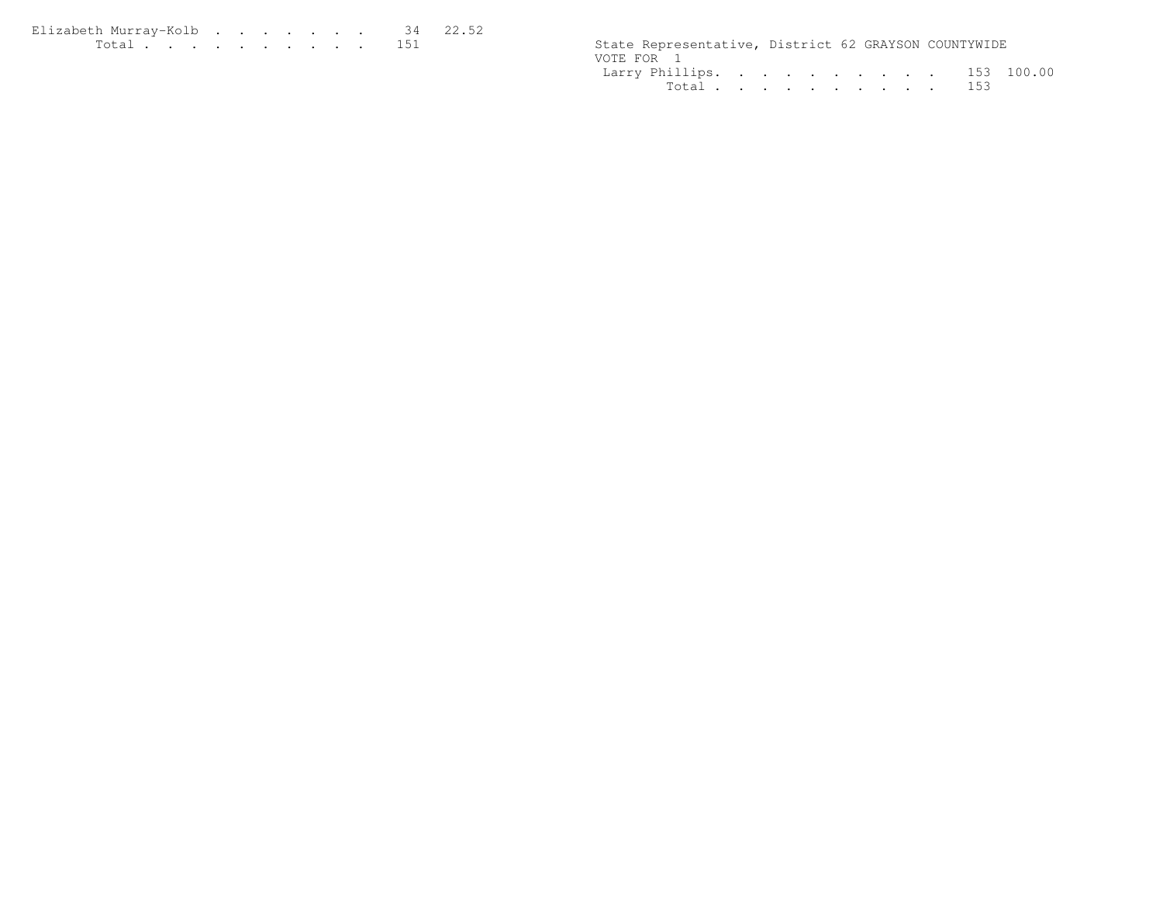| Elizabeth Murray-Kolb 34 22.52                                                                                                                                                                                                       |  |  |  |  |  |                                                      |  |  |
|--------------------------------------------------------------------------------------------------------------------------------------------------------------------------------------------------------------------------------------|--|--|--|--|--|------------------------------------------------------|--|--|
| <u>in the community of the community of the community of the community of the community of the community of the community of the community of the community of the community of the community of the community of the community </u> |  |  |  |  |  | State Representative, District 62 GRAYSON COUNTYWIDE |  |  |

|            | State Representative, District 62 GRAYSON COUNTYWIDE |  |  |  |  |  |
|------------|------------------------------------------------------|--|--|--|--|--|
| VOTE FOR 1 |                                                      |  |  |  |  |  |
|            | Larry Phillips. 153 100.00                           |  |  |  |  |  |
|            | Total 153                                            |  |  |  |  |  |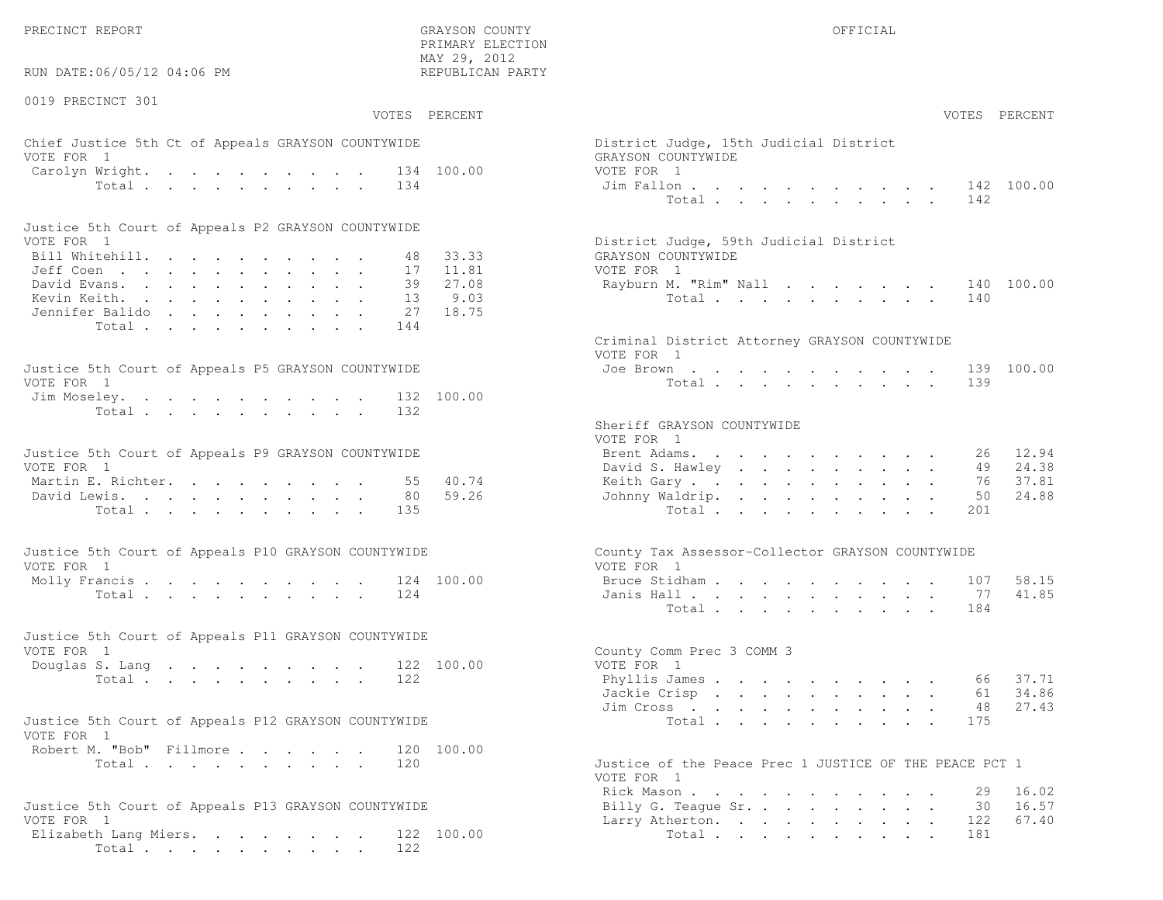PRECINCT REPORT OF THE SERVICE OF THE GRAYSON COUNTY OF THE GRAYSON COUNTY OF THE GRAYSON OF THE GRAYSON COUNTY

RUN DATE:06/05/12 04:06 PM

0019 PRECINCT 301

VOTES PERCENT VOTES PERCENT

 PRIMARY ELECTION MAY 29, 2012REPUBLICAN PARTY

# Chief Justice 5th Ct of Appeals GRAYSON COUNTYWIDE Dist VOTE FOR 1 GRAYSON COUNTY OF REAL EXPLORER SERVICE SERVICE SERVICE SERVICE SERVICE SERVICE SERVICE SERVICE SERVICE SERVICE SERVICE SERVICE SERVICE SERVICE SERVICE SERVICE SERVICE SERVICE SERVICE SERVICE SERVICE SERVICE SER Carolyn Wright. . . . . . . . . . 134 100.00 VOTE Total . . . . . . . . . 134 Jim

| Justice 5th Court of Appeals P2 GRAYSON COUNTYWIDE |  |  |  |  |  |                                        |
|----------------------------------------------------|--|--|--|--|--|----------------------------------------|
| VOTE FOR 1                                         |  |  |  |  |  | District Judge, 59th Judicial District |
| Bill Whitehill. 48 33.33                           |  |  |  |  |  | GRAYSON COUNTYWIDE                     |
| Jeff Coen 17 11.81                                 |  |  |  |  |  | VOTE FOR 1                             |
| David Evans. 39 27.08                              |  |  |  |  |  | Rayburn M. "Rim" Nall 140 100.00       |
| Kevin Keith. 13 9.03                               |  |  |  |  |  | Total 140                              |
| Jennifer Balido 27 18.75                           |  |  |  |  |  |                                        |
| Total 144                                          |  |  |  |  |  |                                        |

| Justice 5th Court of Appeals P5 GRAYSON COUNTYWIDE | Joe Brown 139 100.00 |
|----------------------------------------------------|----------------------|
| VOTE FOR 1                                         | Total 139            |
| Jim Moseley. 132 100.00                            |                      |
| Total 132                                          |                      |

| Justice 5th Court of Appeals P9 GRAYSON COUNTYWIDE |  |  |  |  |  | Brent Adams. 26 12.94    |  |  |  |  |  |  |
|----------------------------------------------------|--|--|--|--|--|--------------------------|--|--|--|--|--|--|
| VOTE FOR 1                                         |  |  |  |  |  | David S. Hawley 49 24.38 |  |  |  |  |  |  |
| Martin E. Richter. 55 40.74                        |  |  |  |  |  | Keith Gary 76 37.81      |  |  |  |  |  |  |
| David Lewis. 80 59.26                              |  |  |  |  |  | Johnny Waldrip. 50 24.88 |  |  |  |  |  |  |
| Total 135                                          |  |  |  |  |  | Total 201                |  |  |  |  |  |  |

| Justice 5th Court of Appeals P10 GRAYSON COUNTYWIDE | County Tax Assessor-Collector GRAYSON COUNTYWIDE |
|-----------------------------------------------------|--------------------------------------------------|
| VOTE FOR 1                                          | VOTE FOR 1                                       |
| Molly Francis 124 100.00                            | Bruce Stidham 107 58.15                          |
| Total 124                                           | Janis Hall 77 41.85                              |

|            |  |  |  |  |  | Justice 5th Court of Appeals P11 GRAYSON COUNTYWIDE |                           |  |
|------------|--|--|--|--|--|-----------------------------------------------------|---------------------------|--|
| VOTE FOR 1 |  |  |  |  |  |                                                     | County Comm Prec 3 COMM 3 |  |
|            |  |  |  |  |  | Douglas S. Lang 122 100.00                          | VOTE FOR 1                |  |
|            |  |  |  |  |  | Total 122                                           | Phyllis James 66 37.71    |  |

| Justice 5th Court of Appeals P12 GRAYSON COUNTYWIDE |  |                                                                                                                                                                                                                                                                                               | Total 175 |  |  |  |  |  |
|-----------------------------------------------------|--|-----------------------------------------------------------------------------------------------------------------------------------------------------------------------------------------------------------------------------------------------------------------------------------------------|-----------|--|--|--|--|--|
| VOTE FOR 1                                          |  |                                                                                                                                                                                                                                                                                               |           |  |  |  |  |  |
| Robert M. "Bob" Fillmore 120 100.00                 |  |                                                                                                                                                                                                                                                                                               |           |  |  |  |  |  |
|                                                     |  | $\tau$ , $\tau$ , $\tau$ , $\tau$ , $\tau$ , $\tau$ , $\tau$ , $\tau$ , $\tau$ , $\tau$ , $\tau$ , $\tau$ , $\tau$ , $\tau$ , $\tau$ , $\tau$ , $\tau$ , $\tau$ , $\tau$ , $\tau$ , $\tau$ , $\tau$ , $\tau$ , $\tau$ , $\tau$ , $\tau$ , $\tau$ , $\tau$ , $\tau$ , $\tau$ , $\tau$ , $\tau$ |           |  |  |  |  |  |

```
Total . . . . . . . . . . . 120 Just
```

```
Justice 5th Court of Appeals P13 GRAYSON COUNTYWIDE VOTE FOR 1
 Elizabeth Lang Miers. . . . . . . . 122 100.00
        Total . . . . . . . . . . 122
```

| AY 29, 2012<br>EPUBLICAN PARTY  |                                                                                                                                                                                                                                                                                                                                                                                                                                                                              |
|---------------------------------|------------------------------------------------------------------------------------------------------------------------------------------------------------------------------------------------------------------------------------------------------------------------------------------------------------------------------------------------------------------------------------------------------------------------------------------------------------------------------|
| PERCENT                         | VOTES PERCENT                                                                                                                                                                                                                                                                                                                                                                                                                                                                |
| 100.00                          | District Judge, 15th Judicial District<br>GRAYSON COUNTYWIDE<br>VOTE FOR 1<br>Jim Fallon<br>100.00<br>142<br>$\mathbf{L}$<br>$\mathbf{r}$ , and $\mathbf{r}$ , and $\mathbf{r}$ , and $\mathbf{r}$<br>142<br>Total .                                                                                                                                                                                                                                                         |
| 33.33<br>11.81<br>27.08<br>9.03 | District Judge, 59th Judicial District<br>GRAYSON COUNTYWIDE<br>VOTE FOR 1<br>Rayburn M. "Rim" Nall<br>140 100.00<br>140<br>Total $\cdots$                                                                                                                                                                                                                                                                                                                                   |
| 18.75<br>100.00                 | Criminal District Attorney GRAYSON COUNTYWIDE<br>VOTE FOR 1<br>100.00<br>Joe Brown<br>139<br>design and a state of the state of the<br>139<br>Total                                                                                                                                                                                                                                                                                                                          |
| 40.74<br>59.26                  | Sheriff GRAYSON COUNTYWIDE<br>VOTE FOR 1<br>26 12.94<br>Brent Adams.<br>the contract of the contract of the contract of the contract of the contract of the contract of the contract of<br>49 24.38<br>David S. Hawley<br>37.81<br>Keith Gary<br>76<br>$\ddot{\phantom{0}}$<br>$\mathbf{L}$<br>50<br>24.88<br>Johnny Waldrip.<br>Total<br>201                                                                                                                                |
| 100.00                          | County Tax Assessor-Collector GRAYSON COUNTYWIDE<br>VOTE FOR 1<br>58.15<br>Bruce Stidham.<br>107<br>and the contract of the con-<br>and a strong control of the strong strong<br>77<br>41.85<br>Janis Hall<br>and a strong control of the state of the state of the state of the state of the state of the state of the state of the state of the state of the state of the state of the state of the state of the state of the state of the<br>$\mathbf{L}$<br>Total<br>184 |
| 100.00                          | County Comm Prec 3 COMM 3<br>VOTE FOR 1<br>Phyllis James<br>37.71<br>66<br>34.86<br>Jackie Crisp<br>61<br>27.43<br>48<br>Jim Cross<br>the contract of the contract of the contract of the contract of the contract of the contract of the contract of<br>Total $\cdots$<br>175<br>$\mathcal{L}^{\text{max}}$<br>$\sim$ $-$                                                                                                                                                   |
| 100.00                          | Justice of the Peace Prec 1 JUSTICE OF THE PEACE PCT 1<br>VOTE FOD 1                                                                                                                                                                                                                                                                                                                                                                                                         |

| VOTE FOR 1                   |
|------------------------------|
| Rick Mason 29 16.02          |
| Billy G. Teaque Sr. 30 16.57 |
| Larry Atherton. 122 67.40    |
| Total 181                    |
|                              |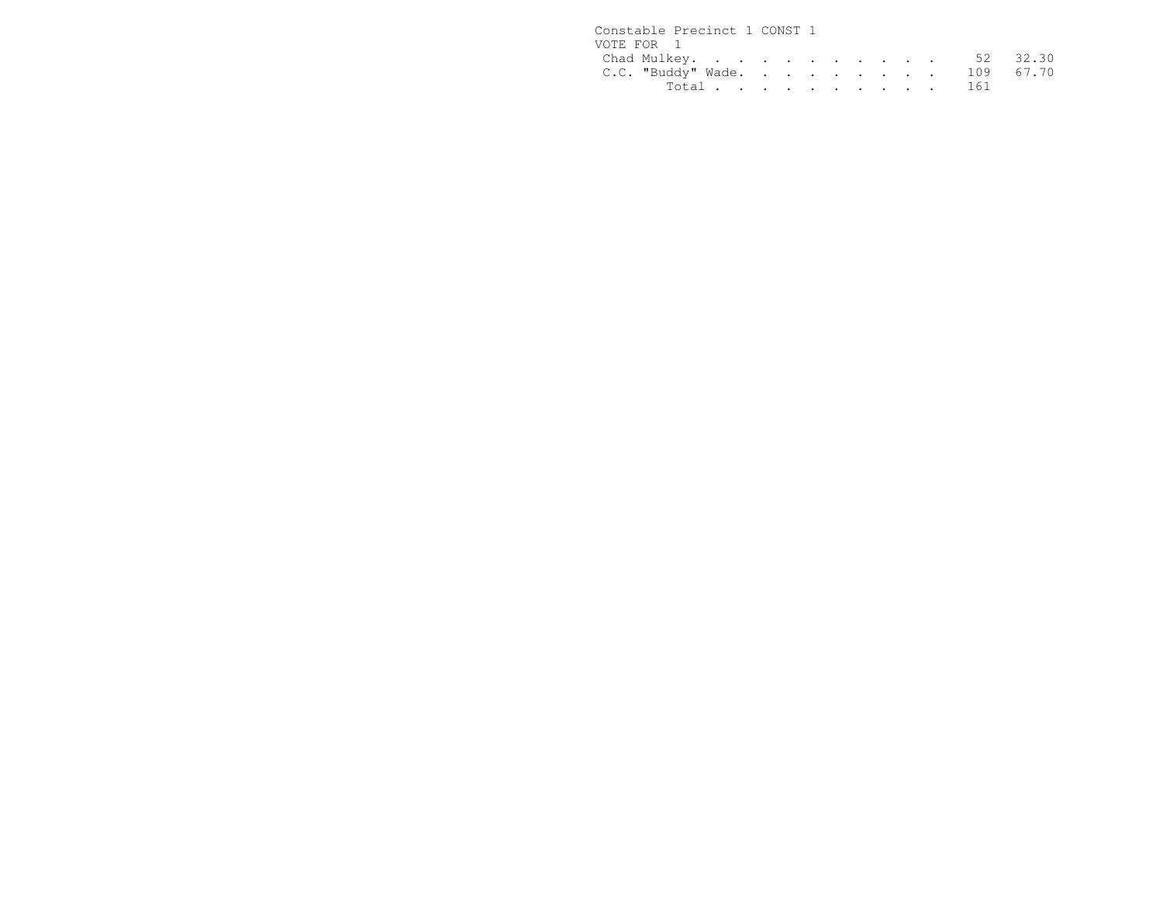| Constable Precinct 1 CONST 1 |           |  |  |  |  |  |
|------------------------------|-----------|--|--|--|--|--|
| VOTE FOR 1                   |           |  |  |  |  |  |
| Chad Mulkey. 52 32.30        |           |  |  |  |  |  |
| C.C. "Buddy" Wade. 109 67.70 |           |  |  |  |  |  |
|                              | Total 161 |  |  |  |  |  |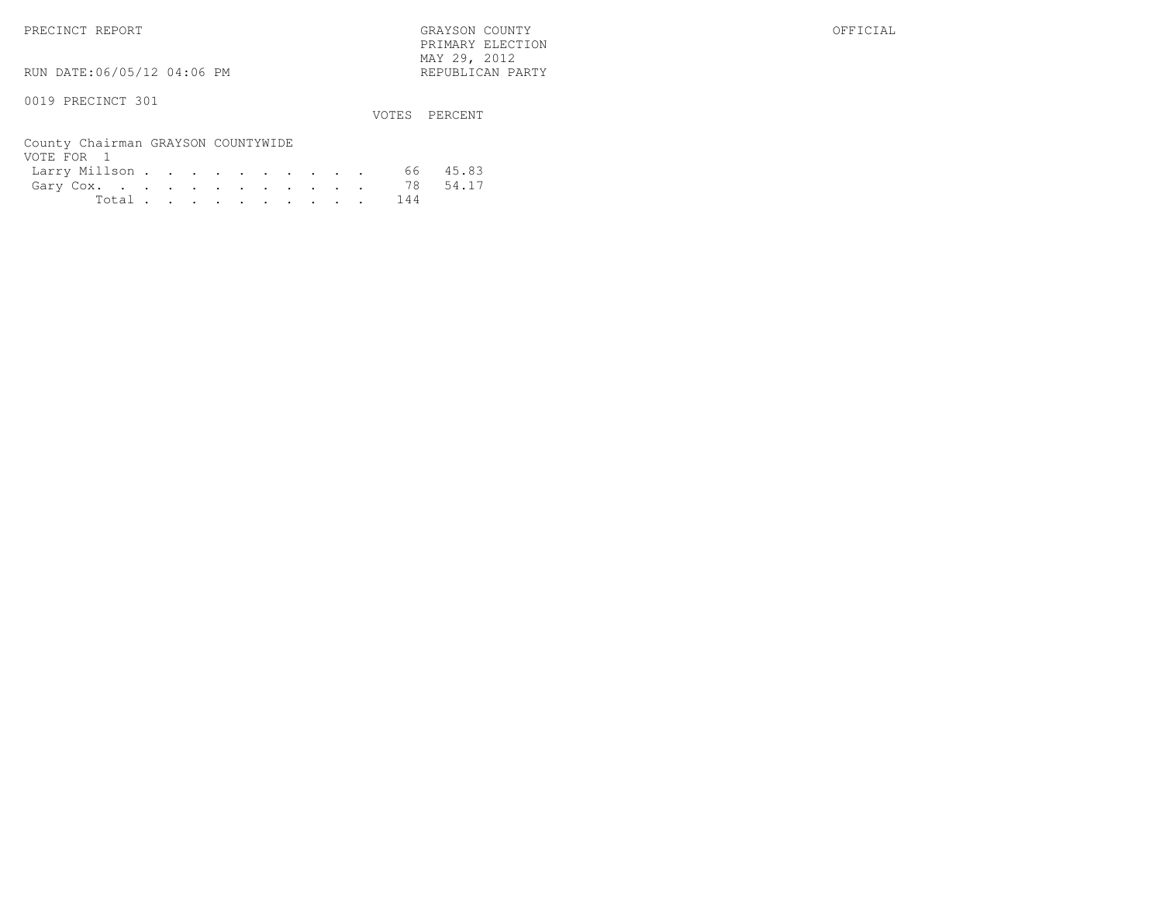PRIMARY ELECTION $\text{MAX } 29, \quad 2012$ 

RUN DATE:06/05/12 04:06 PM

# 0019 PRECINCT 301

VOTES PERCENT

# County Chairman GRAYSON COUNTYWIDE VOTE FOR 1

| VUILLEUIVEL        |  |  |  |  |  |           |          |
|--------------------|--|--|--|--|--|-----------|----------|
| Larry Millson      |  |  |  |  |  |           | 66 45.83 |
| Gary Cox. 78 54.17 |  |  |  |  |  |           |          |
|                    |  |  |  |  |  | Total 144 |          |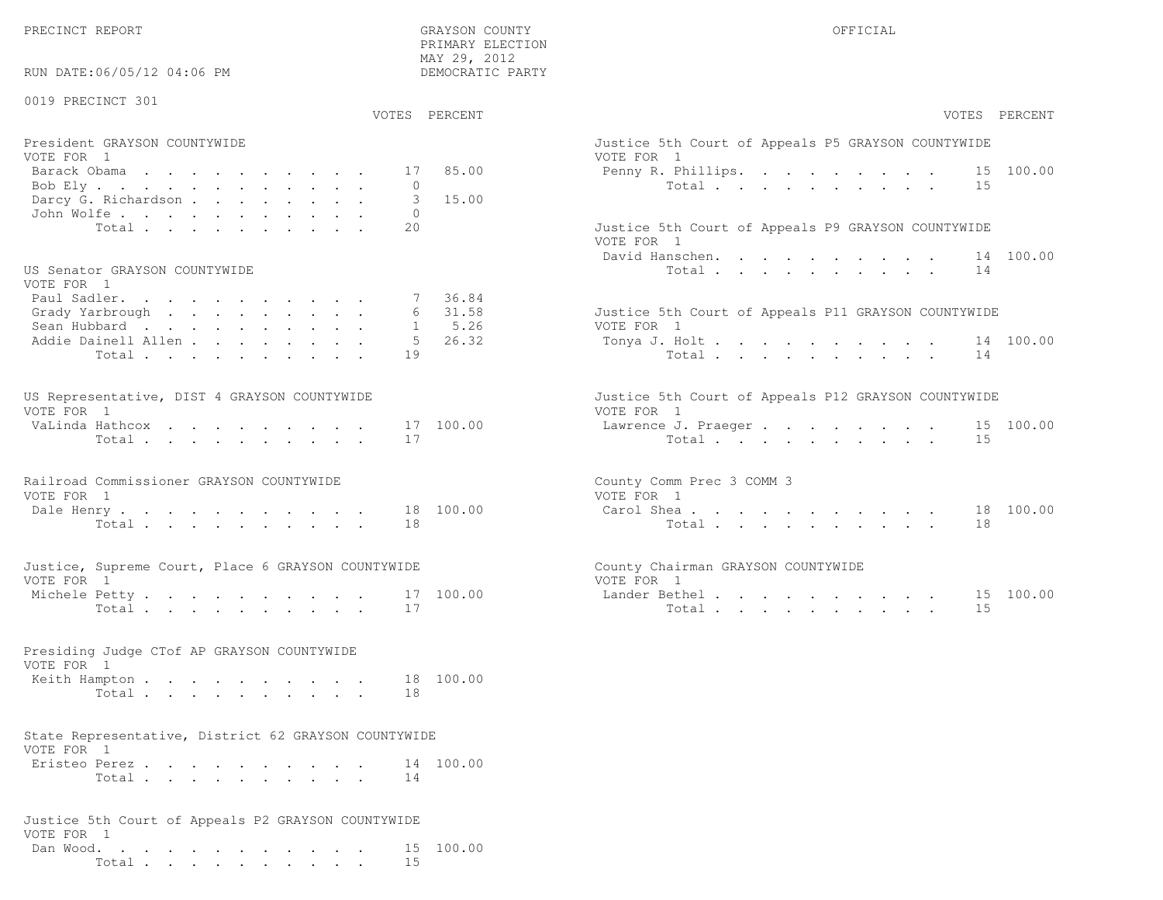PRIMARY ELECTION

| RUN DATE:06/05/12 04:06 PM                                                                                                     | LIVILLIVITTI RIPOTTOIM<br>MAY 29, 2012<br>DEMOCRATIC PARTY      |                                                                                                                                                                                                                     |
|--------------------------------------------------------------------------------------------------------------------------------|-----------------------------------------------------------------|---------------------------------------------------------------------------------------------------------------------------------------------------------------------------------------------------------------------|
| 0019 PRECINCT 301                                                                                                              | VOTES PERCENT                                                   | VOTES PERCENT                                                                                                                                                                                                       |
| President GRAYSON COUNTYWIDE<br>VOTE FOR 1<br>Barack Obama<br>Bob Ely<br>Darcy G. Richardson<br>John Wolfe.<br>Total           | 85.00<br>17<br>$\Omega$<br>15.00<br>3<br>$\circ$<br>20          | Justice 5th Court of Appeals P5 GRAYSON COUNTYWIDE<br>VOTE FOR 1<br>Penny R. Phillips. 15 100.00<br>Total<br>15<br>Justice 5th Court of Appeals P9 GRAYSON COUNTYWIDE<br>VOTE FOR 1<br>14 100.00<br>David Hanschen. |
| US Senator GRAYSON COUNTYWIDE<br>VOTE FOR 1<br>Paul Sadler.<br>Grady Yarbrough<br>Sean Hubbard<br>Addie Dainell Allen<br>Total | 7 36.84<br>6 31.58<br>5.26<br>$\mathbf{1}$<br>.5<br>26.32<br>19 | Total<br>14<br>Justice 5th Court of Appeals P11 GRAYSON COUNTYWIDE<br>VOTE FOR 1<br>Tonya J. Holt 14 100.00<br>Total $\cdot$<br>14                                                                                  |
| US Representative, DIST 4 GRAYSON COUNTYWIDE<br>VOTE FOR 1<br>VaLinda Hathcox<br>Total                                         | 17 100.00<br>17                                                 | Justice 5th Court of Appeals P12 GRAYSON COUNTYWIDE<br>VOTE FOR 1<br>Lawrence J. Praeger 15 100.00<br>Total.<br>15                                                                                                  |
| Railroad Commissioner GRAYSON COUNTYWIDE<br>VOTE FOR 1<br>Dale Henry<br>Total $\cdots$                                         | 18 100.00<br>18                                                 | County Comm Prec 3 COMM 3<br>VOTE FOR 1<br>Carol Shea 18 100.00<br>Total<br>18                                                                                                                                      |
| Justice, Supreme Court, Place 6 GRAYSON COUNTYWIDE<br>VOTE FOR 1<br>Michele Petty<br>Total                                     | 17 100.00<br>17                                                 | County Chairman GRAYSON COUNTYWIDE<br>VOTE FOR 1<br>Lander Bethel.<br>15 100.00<br>15<br>Total                                                                                                                      |
| Presiding Judge CTof AP GRAYSON COUNTYWIDE<br>VOTE FOR 1<br>Keith Hampton<br>Total                                             | 18 100.00<br>18                                                 |                                                                                                                                                                                                                     |
| State Representative, District 62 GRAYSON COUNTYWIDE<br>VOTE FOR 1<br>Eristeo Perez<br>Total                                   | 14 100.00<br>14                                                 |                                                                                                                                                                                                                     |
| Justice 5th Court of Appeals P2 GRAYSON COUNTYWIDE<br>VOTE FOR 1<br>Dan Wood.<br>Total                                         | 15 100.00<br>15                                                 |                                                                                                                                                                                                                     |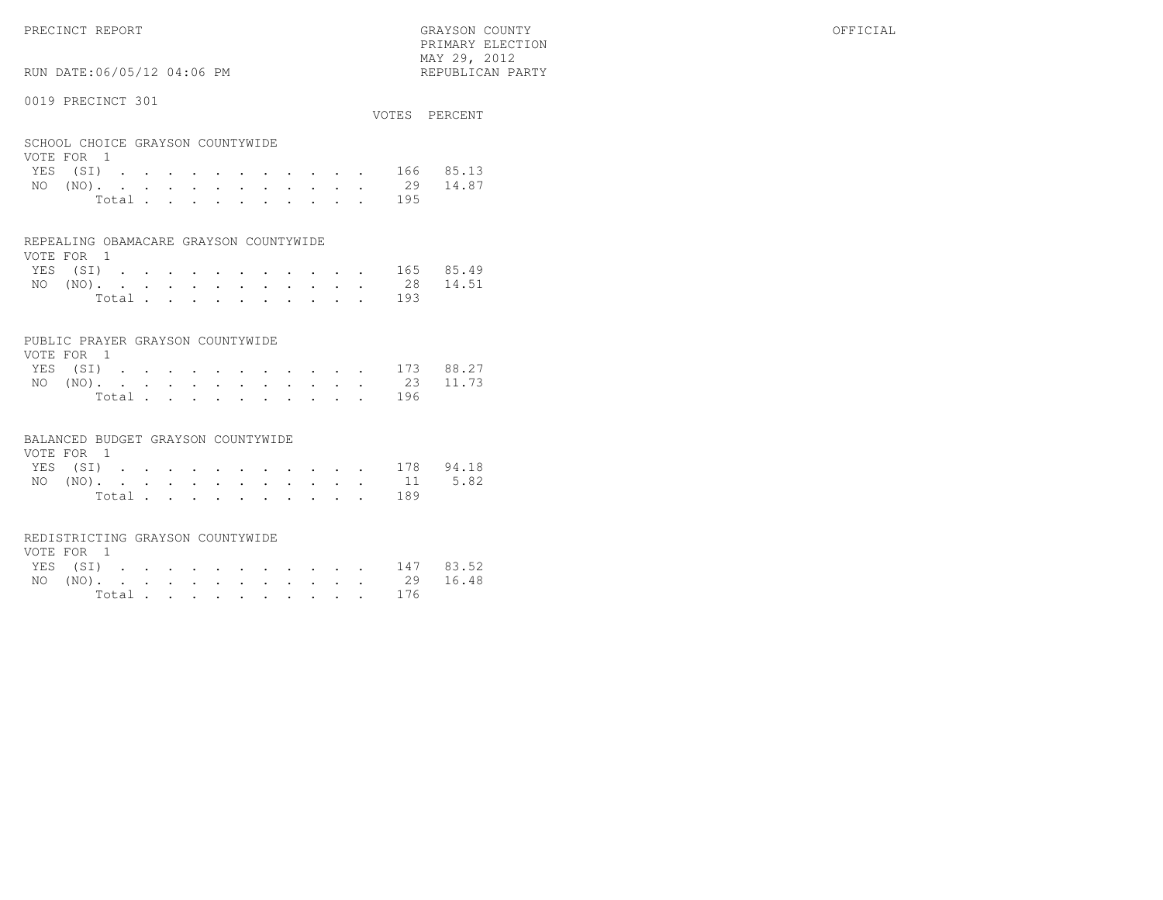PRIMARY ELECTION $\text{MAX } 29, \quad 2012$ 

# RUN DATE:06/05/12 04:06 PM

### 0019 PRECINCT 301

| OUIJ LINDUINUI JUI                             |  |  |  |  |  |    | VOTES PERCENT |
|------------------------------------------------|--|--|--|--|--|----|---------------|
| SCHOOL CHOICE GRAYSON COUNTYWIDE<br>VOTE FOR 1 |  |  |  |  |  |    |               |
| YES (SI) 166 85.13                             |  |  |  |  |  |    |               |
| NO $(NO)$                                      |  |  |  |  |  | 29 | 14.87         |

| Total .<br>. |  |  |  |  |  |  |  |  | 195 |
|--------------|--|--|--|--|--|--|--|--|-----|
|--------------|--|--|--|--|--|--|--|--|-----|

### REPEALING OBAMACARE GRAYSON COUNTYWIDE

| VOTE FOR 1 |  |  |  |  |  |  |                    |  |
|------------|--|--|--|--|--|--|--------------------|--|
|            |  |  |  |  |  |  | YES (SI) 165 85.49 |  |
|            |  |  |  |  |  |  | NO (NO). 28 14.51  |  |
|            |  |  |  |  |  |  | Total 193          |  |

### PUBLIC PRAYER GRAYSON COUNTYWIDE

| VOTE FOR 1         |  |  |  |  |  |           |  |
|--------------------|--|--|--|--|--|-----------|--|
| YES (SI) 173 88.27 |  |  |  |  |  |           |  |
| NO (NO). 23 11.73  |  |  |  |  |  |           |  |
|                    |  |  |  |  |  | Total 196 |  |

### BALANCED BUDGET GRAYSON COUNTYWIDE

| VOTE FOR 1 |  |  |  |  |  |                    |  |
|------------|--|--|--|--|--|--------------------|--|
|            |  |  |  |  |  | YES (SI) 178 94.18 |  |
|            |  |  |  |  |  | NO (NO). 11 5.82   |  |
|            |  |  |  |  |  | Total 189          |  |

### REDISTRICTING GRAYSON COUNTYWIDE

| VOTE FOR 1 |  |  |  |  |  |           |                    |  |
|------------|--|--|--|--|--|-----------|--------------------|--|
|            |  |  |  |  |  |           | YES (SI) 147 83.52 |  |
|            |  |  |  |  |  |           | NO (NO). 29 16.48  |  |
|            |  |  |  |  |  | Total 176 |                    |  |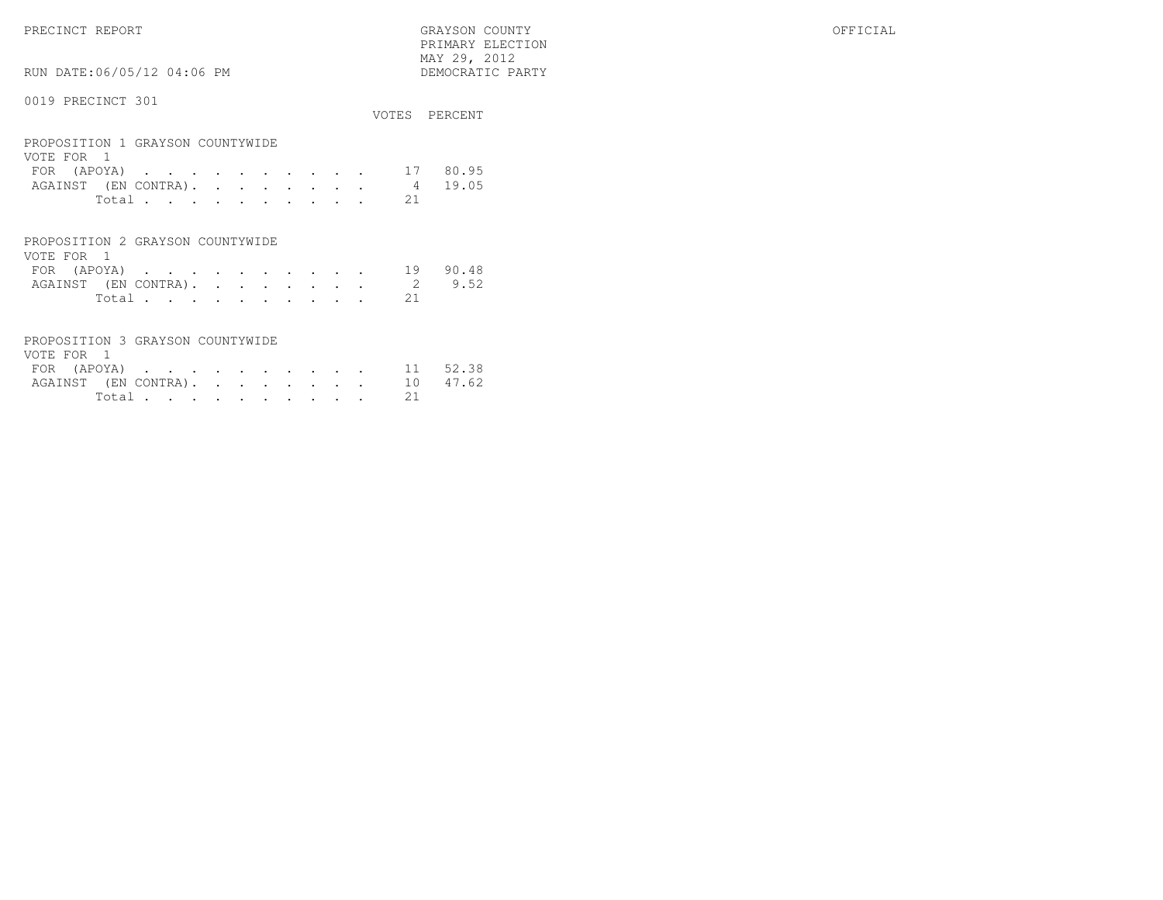PRIMARY ELECTION MAY 29, 2012DEMOCRATIC PARTY

# RUN DATE:06/05/12 04:06 PM

### 0019 PRECINCT 301

|                                                |       |  |  |  |  |                | VOTES PERCENT |
|------------------------------------------------|-------|--|--|--|--|----------------|---------------|
| PROPOSITION 1 GRAYSON COUNTYWIDE<br>VOTE FOR 1 |       |  |  |  |  |                |               |
| FOR (APOYA) 17 80.95                           |       |  |  |  |  |                |               |
| AGAINST (EN CONTRA).                           |       |  |  |  |  | $\overline{4}$ | 19.05         |
|                                                | Total |  |  |  |  | 21             |               |

### PROPOSITION 2 GRAYSON COUNTYWIDEVOTE FOR 1 FOR (APOYA) . . . . . . . . . . 19 90.48AGAINST (EN CONTRA). . . . . . . . 2 9.52 Total . . . . . . . . . . 21

| PROPOSITION 3 GRAYSON COUNTYWIDE |  |  |  |  |  |          |  |
|----------------------------------|--|--|--|--|--|----------|--|
| VOTE FOR 1                       |  |  |  |  |  |          |  |
| FOR (APOYA) 11 52.38             |  |  |  |  |  |          |  |
| AGAINST (EN CONTRA). 10 47.62    |  |  |  |  |  |          |  |
|                                  |  |  |  |  |  | Total 21 |  |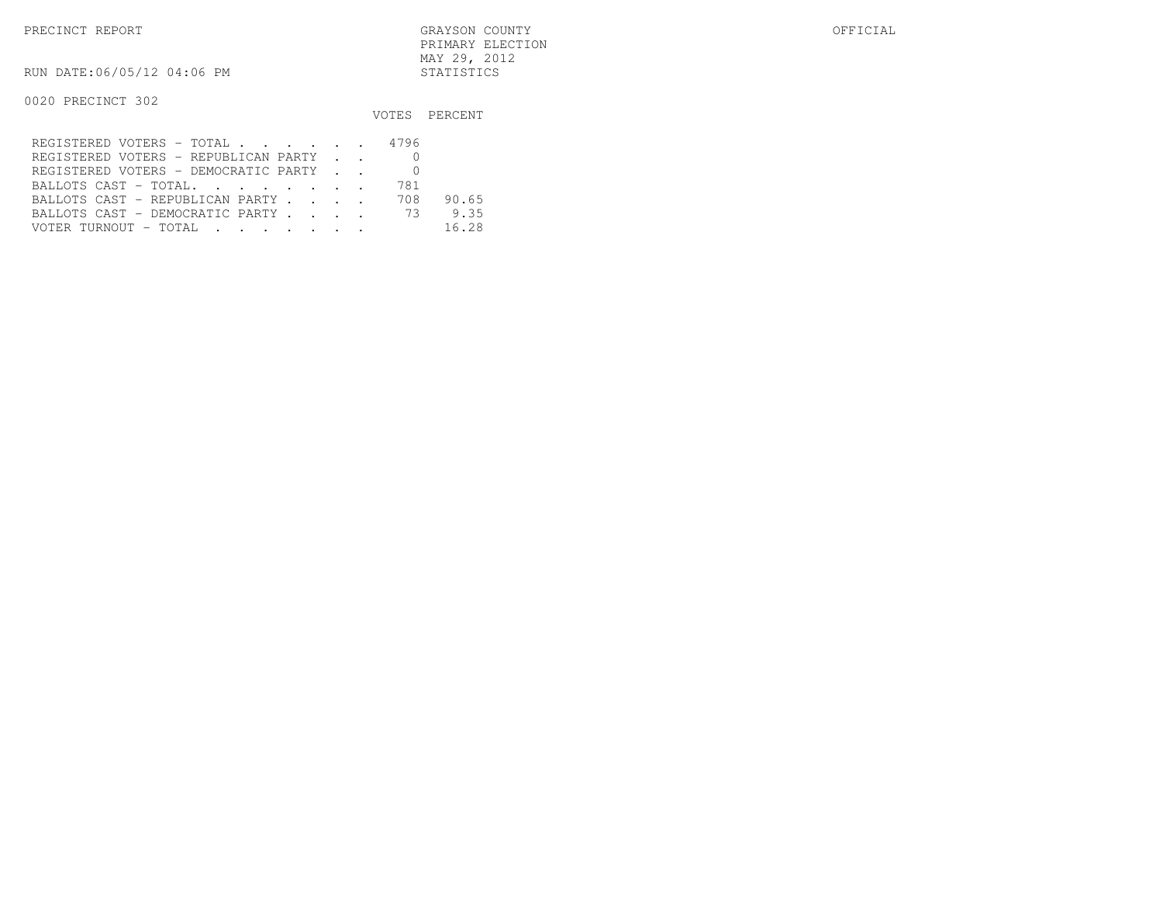PRECINCT REPORT GRAYSON COUNTY OFFICIAL PRIMARY ELECTIONMAY 29, 2012

RUN DATE:06/05/12 04:06 PM STATISTICS

|                                                                                                                                            |     | VOTES PERCENT |
|--------------------------------------------------------------------------------------------------------------------------------------------|-----|---------------|
| REGISTERED VOTERS - TOTAL 4796                                                                                                             |     |               |
| REGISTERED VOTERS - REPUBLICAN PARTY                                                                                                       |     |               |
| REGISTERED VOTERS - DEMOCRATIC PARTY                                                                                                       |     |               |
| BALLOTS CAST - TOTAL.                                                                                                                      | 781 |               |
| BALLOTS CAST - REPUBLICAN PARTY                                                                                                            | 708 | 90.65         |
| BALLOTS CAST - DEMOCRATIC PARTY 73                                                                                                         |     | 9.35          |
| VOTER TURNOUT - TOTAL .<br>the contract of the contract of the contract of the contract of the contract of the contract of the contract of |     | 16.28         |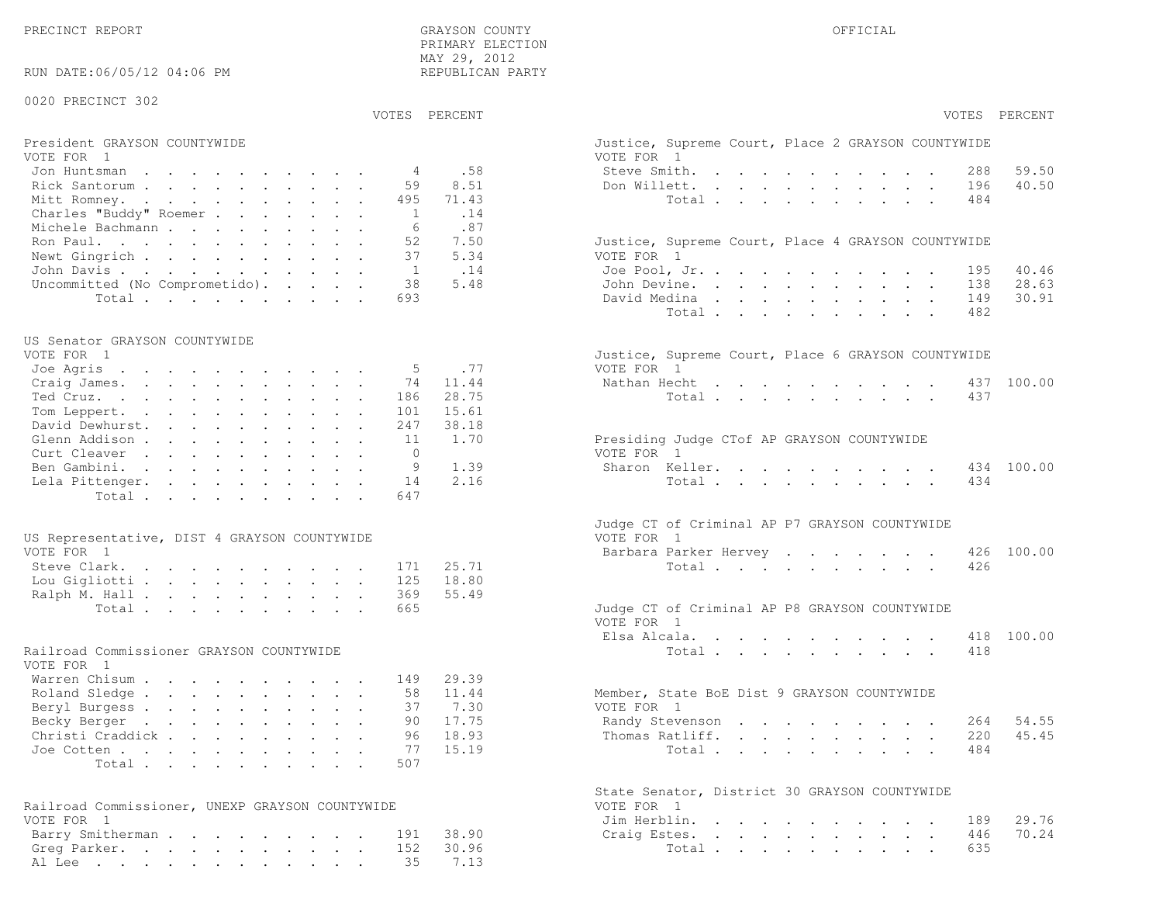40.50

28.63

30.91

45.45

70.24

| PRIMARY ELECTION<br>MAY 29, 2012<br>RUN DATE:06/05/12 04:06 PM<br>REPUBLICAN PARTY |                                                    |
|------------------------------------------------------------------------------------|----------------------------------------------------|
| 0020 PRECINCT 302<br>VOTES PERCENT                                                 | VOTES PERCENT                                      |
|                                                                                    |                                                    |
| President GRAYSON COUNTYWIDE                                                       | Justice, Supreme Court, Place 2 GRAYSON COUNTYWIDE |
| VOTE FOR 1<br>.58                                                                  | VOTE FOR 1<br>59.50<br>288                         |
| Jon Huntsman<br>4<br>8.51<br>Rick Santorum<br>59                                   | Steve Smith.<br>40.50<br>Don Willett.<br>196       |
| Mitt Romney.<br>495<br>71.43                                                       | Total<br>484                                       |
| Charles "Buddy" Roemer<br>$\overline{1}$<br>.14                                    |                                                    |
| Michele Bachmann<br>.87<br>6                                                       |                                                    |
| Ron Paul.<br>52<br>7.50                                                            | Justice, Supreme Court, Place 4 GRAYSON COUNTYWIDE |
| Newt Gingrich<br>37<br>5.34                                                        | VOTE FOR 1                                         |
| John Davis.<br>.14<br>1                                                            | 40.46<br>Joe Pool, Jr.<br>195                      |
| Uncommitted (No Comprometido).<br>38<br>5.48                                       | 28.63<br>John Devine.<br>138                       |
| Total<br>693                                                                       | 30.91<br>David Medina<br>149                       |
|                                                                                    | Total<br>482                                       |
|                                                                                    |                                                    |
| US Senator GRAYSON COUNTYWIDE<br>VOTE FOR 1                                        | Justice, Supreme Court, Place 6 GRAYSON COUNTYWIDE |
| .77<br>Joe Agris<br>5                                                              | VOTE FOR 1                                         |
| Craig James.<br>11.44<br>74                                                        | 437 100.00<br>Nathan Hecht                         |
| Ted Cruz.<br>28.75<br>186                                                          | Total<br>437                                       |
| Tom Leppert.<br>15.61<br>101                                                       |                                                    |
| David Dewhurst.<br>38.18<br>247                                                    |                                                    |
| 1.70<br>Glenn Addison<br>11                                                        | Presiding Judge CTof AP GRAYSON COUNTYWIDE         |
| $\Omega$<br>Curt Cleaver                                                           | VOTE FOR 1                                         |
| 1.39<br>Ben Gambini.<br>9                                                          | 100.00<br>Sharon Keller.<br>434                    |
| 2.16<br>Lela Pittenger.<br>14                                                      | Total<br>434                                       |
| Total<br>647                                                                       |                                                    |
|                                                                                    |                                                    |
|                                                                                    | Judge CT of Criminal AP P7 GRAYSON COUNTYWIDE      |
| US Representative, DIST 4 GRAYSON COUNTYWIDE<br>VOTE FOR 1                         | VOTE FOR 1<br>100.00                               |
|                                                                                    | Barbara Parker Hervey<br>426                       |
| Steve Clark.<br>25.71<br>171<br>18.80<br>125                                       | Total<br>426                                       |
| Lou Gigliotti<br>369<br>55.49<br>Ralph M. Hall                                     |                                                    |
| Total<br>665                                                                       | Judge CT of Criminal AP P8 GRAYSON COUNTYWIDE      |
|                                                                                    | VOTE FOR 1                                         |
|                                                                                    | 100.00<br>Elsa Alcala.<br>418                      |
| Railroad Commissioner GRAYSON COUNTYWIDE                                           | Total<br>418                                       |
| VOTE FOR 1                                                                         |                                                    |
| Warren Chisum<br>29.39<br>149                                                      |                                                    |
| 11.44<br>Roland Sledge<br>58                                                       | Member, State BoE Dist 9 GRAYSON COUNTYWIDE        |
| Beryl Burgess<br>37<br>7.30                                                        | VOTE FOR 1                                         |
| 17.75<br>Becky Berger<br>90                                                        | 54.55<br>Randy Stevenson<br>264                    |
| Christi Craddick<br>96<br>18.93                                                    | 45.45<br>Thomas Ratliff.<br>220                    |
| 15.19<br>Joe Cotten<br>77                                                          | 484<br>Total                                       |
| 507<br>Total                                                                       |                                                    |
|                                                                                    |                                                    |
|                                                                                    | State Senator, District 30 GRAYSON COUNTYWIDE      |
| Railroad Commissioner, UNEXP GRAYSON COUNTYWIDE<br>VOTE FOR 1                      | VOTE FOR 1<br>29.76<br>189                         |
| 38.90<br>Barry Smitherman<br>191                                                   | Jim Herblin.<br>70.24<br>446<br>Craig Estes.       |
| Greg Parker.<br>30.96<br>152                                                       | Total<br>635                                       |
|                                                                                    |                                                    |

Al Lee . . . . . . . . . . . . 35 7.13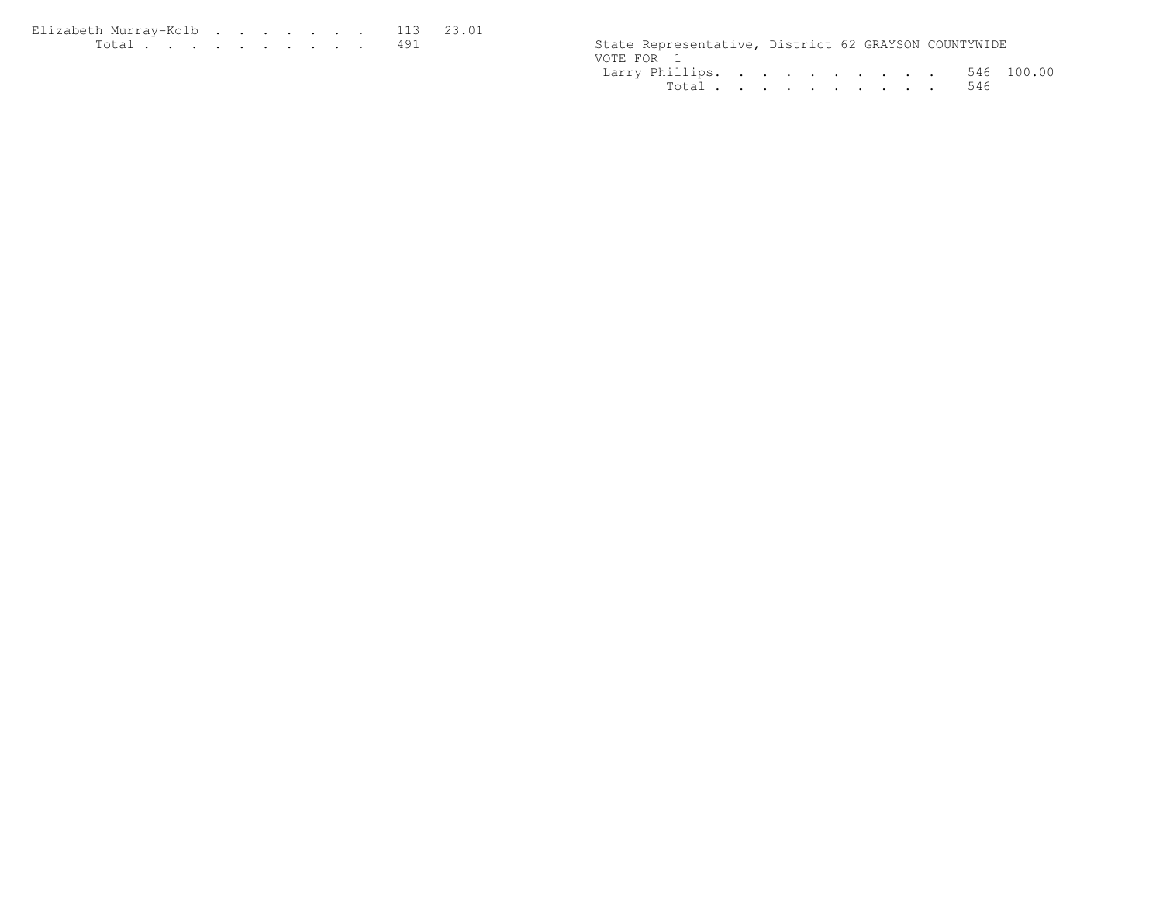| Elizabeth Murrav-Kolb 113 23.01 |  |  |  |  |  |                                                      |  |  |
|---------------------------------|--|--|--|--|--|------------------------------------------------------|--|--|
|                                 |  |  |  |  |  | State Representative, District 62 GRAYSON COUNTYWIDE |  |  |

| State Representative, District 62 GRAYSON COUNTYWIDE |  |  |  |  |  |  |
|------------------------------------------------------|--|--|--|--|--|--|
| VOTE FOR 1                                           |  |  |  |  |  |  |
| Larry Phillips. 546 100.00                           |  |  |  |  |  |  |
| Total 546                                            |  |  |  |  |  |  |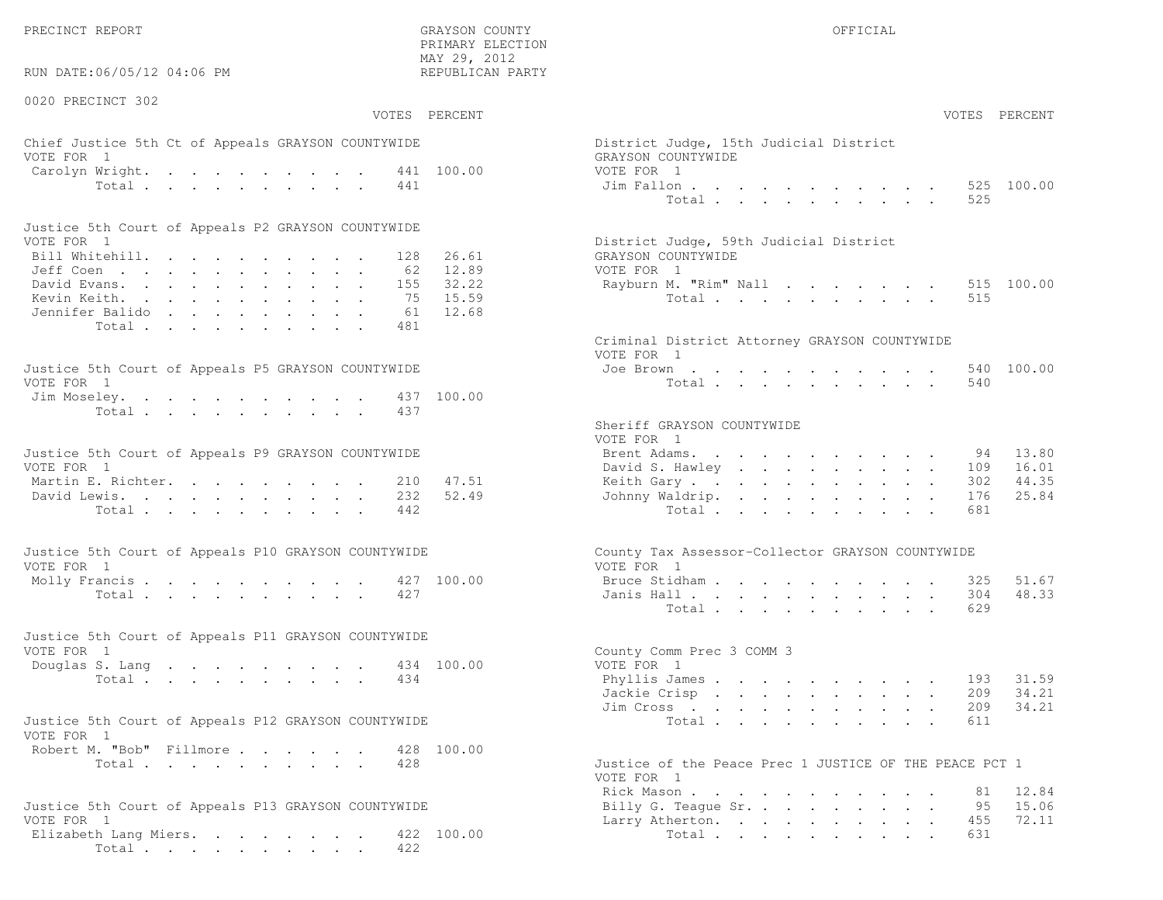PRECINCT REPORT OF THE SERVICE OF THE GRAYSON COUNTY OF THE GRAYSON COUNTY OF THE GRAYSON OF THE GRAYSON COUNTY

RUN DATE:06/05/12 04:06 PM

0020 PRECINCT 302

VOTES PERCENT VOTES PERCENT

 PRIMARY ELECTION MAY 29, 2012REPUBLICAN PARTY

# Chief Justice 5th Ct of Appeals GRAYSON COUNTYWIDE District Appears of District District District District District District District District District District District District District District District District Distric VOTE FOR  $1$  GRAYSON COUNTY  $\mathbb{R}^2$ Carolyn Wright. . . . . . . . . 441 100.00 VOT  $\text{Total}$  . . . . . . . . . 441 Ji

| Justice 5th Court of Appeals P2 GRAYSON COUNTYWIDE |  |  |  |  |  |                                        |
|----------------------------------------------------|--|--|--|--|--|----------------------------------------|
| VOTE FOR 1                                         |  |  |  |  |  | District Judge, 59th Judicial District |
| Bill Whitehill. 128 26.61                          |  |  |  |  |  | GRAYSON COUNTYWIDE                     |
| Jeff Coen 62 12.89                                 |  |  |  |  |  | VOTE FOR 1                             |
| David Evans. 155 32.22                             |  |  |  |  |  | Rayburn M. "Rim" Nall 515 100.00       |
| Kevin Keith. 75 15.59                              |  |  |  |  |  | Total 515                              |
| Jennifer Balido 61 12.68                           |  |  |  |  |  |                                        |
| Total 481                                          |  |  |  |  |  |                                        |

| Justice 5th Court of Appeals P5 GRAYSON COUNTYWIDE | Joe Brown 540 100.00 |
|----------------------------------------------------|----------------------|
| VOTE FOR 1                                         | Total 540            |
| Jim Moseley. 437 100.00                            |                      |
| Total 437                                          |                      |

| Justice 5th Court of Appeals P9 GRAYSON COUNTYWIDE |  |  |  |  |  | Brent Adams. 94 13.80     |  |  |  |  |  |  |
|----------------------------------------------------|--|--|--|--|--|---------------------------|--|--|--|--|--|--|
| VOTE FOR 1                                         |  |  |  |  |  | David S. Hawley 109 16.01 |  |  |  |  |  |  |
| Martin E. Richter. 210 47.51                       |  |  |  |  |  | Keith Gary 302 44.35      |  |  |  |  |  |  |
| David Lewis. 232 52.49                             |  |  |  |  |  | Johnny Waldrip. 176 25.84 |  |  |  |  |  |  |
| Total 442                                          |  |  |  |  |  | Total 681                 |  |  |  |  |  |  |

| Justice 5th Court of Appeals P10 GRAYSON COUNTYWIDE | County Tax Assessor-Collector GRAYSON COUNTYWIDE |
|-----------------------------------------------------|--------------------------------------------------|
| VOTE FOR 1                                          | VOTE FOR 1                                       |
| Molly Francis 427 100.00                            | Bruce Stidham 325 51.67                          |
| Total 427                                           | Janis Hall 304 48.33                             |

| Justice 5th Court of Appeals P11 GRAYSON COUNTYWIDE |  |  |  |  |  |           |                           |  |
|-----------------------------------------------------|--|--|--|--|--|-----------|---------------------------|--|
| VOTE FOR 1                                          |  |  |  |  |  |           | County Comm Prec 3 COMM 3 |  |
| Douglas S. Lang 434 100.00                          |  |  |  |  |  |           | VOTE FOR 1                |  |
|                                                     |  |  |  |  |  | Total 434 | Phyllis James 193 31.59   |  |

| Justice 5th Court of Appeals P12 GRAYSON COUNTYWIDE |           |  |  |  |  |                                                    |  |  |  | Total 611 |  |  |
|-----------------------------------------------------|-----------|--|--|--|--|----------------------------------------------------|--|--|--|-----------|--|--|
| VOTE FOR 1                                          |           |  |  |  |  |                                                    |  |  |  |           |  |  |
| Robert M. "Bob" Fillmore 428 100.00                 |           |  |  |  |  |                                                    |  |  |  |           |  |  |
|                                                     | Total 428 |  |  |  |  | Justice of the Peace Prec 1 JUSTICE OF THE PEACE P |  |  |  |           |  |  |

```
Justice 5th Court of Appeals P13 GRAYSON COUNTYWIDE VOTE FOR 1
Elizabeth Lang Miers. . . . . . . 422 100.00 10tal . . . . . . . . . . 631
      Total . . . . . . . . . . 422
```

| ai 49, 4014<br>EPUBLICAN PARTY |                                                                                                                                                         |                |
|--------------------------------|---------------------------------------------------------------------------------------------------------------------------------------------------------|----------------|
| PERCENT                        | VOTES PERCENT                                                                                                                                           |                |
| 100.00                         | District Judge, 15th Judicial District<br>GRAYSON COUNTYWIDE<br>VOTE FOR 1<br>Jim Fallon<br>$\cdot$ $\cdot$ $\cdot$ $\cdot$ $\cdot$ $\cdot$ 525         | 100.00         |
|                                | 525<br>Total                                                                                                                                            |                |
| 26.61<br>12.89                 | District Judge, 59th Judicial District<br>GRAYSON COUNTYWIDE<br>VOTE FOR 1                                                                              |                |
| 32.22<br>15.59<br>12.68        | Rayburn M. "Rim" Nall<br>515<br>515<br>Total $\ldots$                                                                                                   | 100.00         |
|                                | Criminal District Attorney GRAYSON COUNTYWIDE<br>VOTE FOR 1                                                                                             |                |
| 100.00                         | Joe Brown<br>540<br>Total<br>540                                                                                                                        | 100.00         |
|                                | Sheriff GRAYSON COUNTYWIDE<br>VOTE FOR 1                                                                                                                |                |
|                                | Brent Adams.<br>94                                                                                                                                      | 13.80          |
| 47.51                          | David S. Hawley<br>109<br>302                                                                                                                           | 16.01<br>44.35 |
| 52.49                          | Keith Gary<br>Johnny Waldrip.<br>176                                                                                                                    | 25.84          |
|                                | Total<br>681                                                                                                                                            |                |
|                                | County Tax Assessor-Collector GRAYSON COUNTYWIDE<br>VOTE FOR 1                                                                                          |                |
| 100.00                         | Bruce Stidham<br>325                                                                                                                                    | 51.67          |
|                                | Janis Hall<br>304                                                                                                                                       | 48.33          |
|                                | Total<br>629                                                                                                                                            |                |
| 100.00                         | County Comm Prec 3 COMM 3<br>VOTE FOR 1                                                                                                                 |                |
|                                | Phyllis James 193 31.59                                                                                                                                 |                |
|                                | 209<br>Jackie Crisp                                                                                                                                     | 34.21          |
|                                | 209<br>Jim Cross                                                                                                                                        | 34.21          |
|                                | 611<br>Total                                                                                                                                            |                |
| 100.00                         | Justice of the Peace Prec 1 JUSTICE OF THE PEACE PCT 1                                                                                                  |                |
|                                | VOTE FOR 1                                                                                                                                              |                |
|                                | Rick Mason<br>81<br>Billy G. Teaque Sr.<br>95<br>$\sim$                                                                                                 | 12.84<br>15.06 |
|                                | 455<br>Larry Atherton.<br>$\bullet$ .<br><br><br><br><br><br><br><br><br><br><br><br><br>$\mathbf{L}^{\text{max}}$<br>$\ddotsc$<br>$\ddot{\phantom{0}}$ | 72.11          |
|                                |                                                                                                                                                         |                |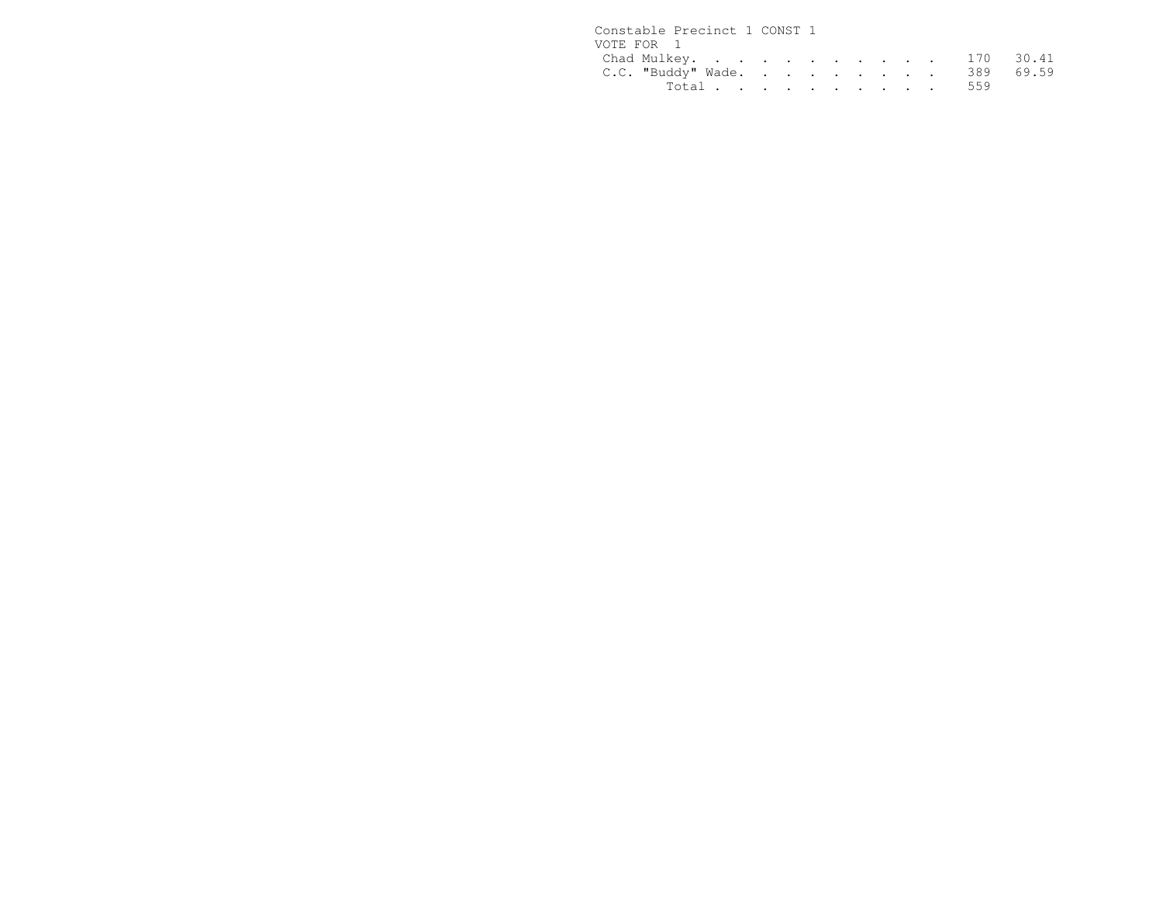| Constable Precinct 1 CONST 1 |           |  |  |  |  |
|------------------------------|-----------|--|--|--|--|
| VOTE FOR 1                   |           |  |  |  |  |
| Chad Mulkey. 170 30.41       |           |  |  |  |  |
| C.C. "Buddy" Wade. 389 69.59 |           |  |  |  |  |
|                              | Total 559 |  |  |  |  |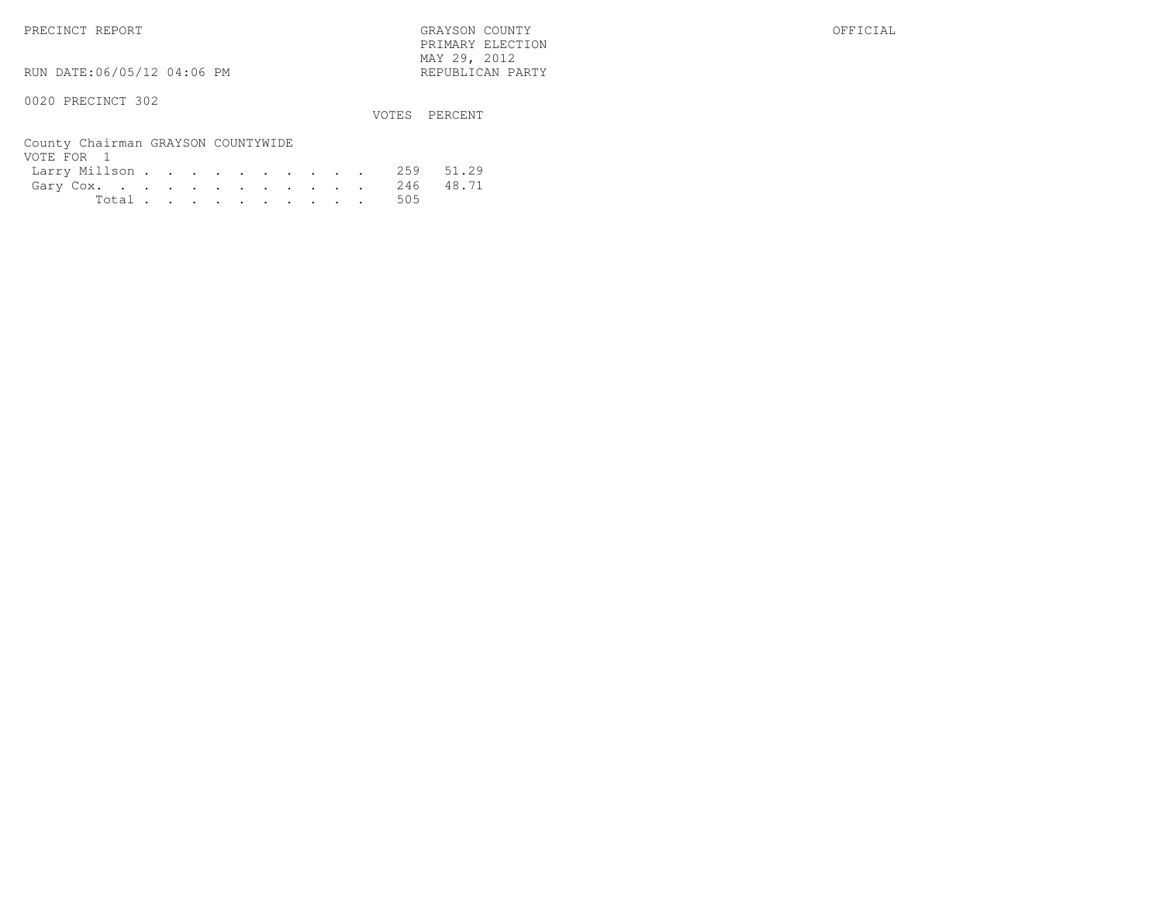PRIMARY ELECTION $\text{MAX } 29, \quad 2012$ 

RUN DATE:06/05/12 04:06 PM

0020 PRECINCT 302

VOTES PERCENT

| County Chairman GRAYSON COUNTYWIDE |  |  |  |  |  |           |  |
|------------------------------------|--|--|--|--|--|-----------|--|
| VOTE FOR 1                         |  |  |  |  |  |           |  |
| Larry Millson 259 51.29            |  |  |  |  |  |           |  |
| Gary Cox. 246 48.71                |  |  |  |  |  |           |  |
|                                    |  |  |  |  |  | Total 505 |  |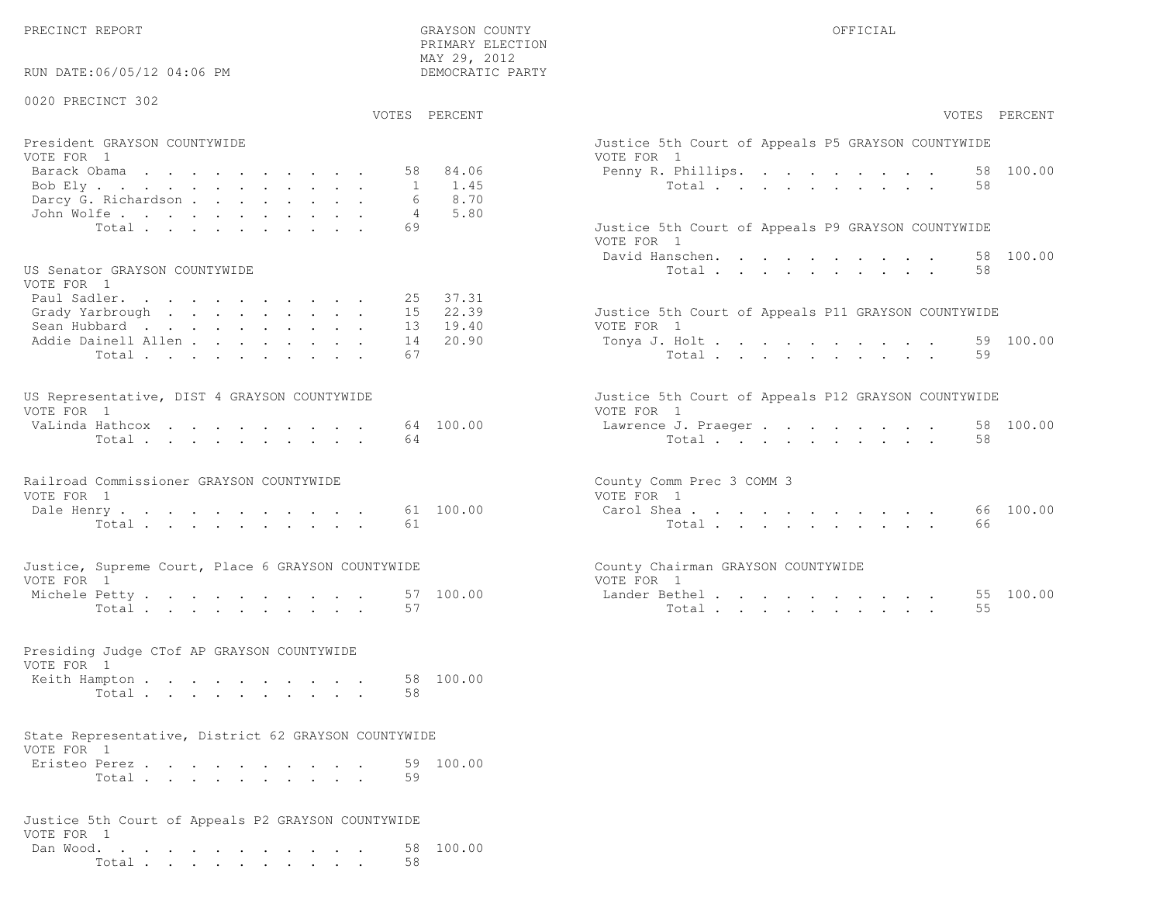PRECINCT REPORT OF THE SERVICE OF THE GRAYSON COUNTY OF THE GRAYSON COUNTY OF THE GRAYSON OF THE GRAYSON COUNTY

 PRIMARY ELECTION MAY 29, 2012DEMOCRATIC PARTY

# RUN DATE:06/05/12 04:06 PM

### 0020 PRECINCT 302

VOTES PERCENT VOTES PERCENT

| President GRAYSON COUNTYWIDE   | Justice 5th Court of Appeals P5 GRAYSON COUNTYWIDE |
|--------------------------------|----------------------------------------------------|
| VOTE FOR 1                     | VOTE FOR 1                                         |
| Barack Obama <b>.</b> 58 84.06 | Penny R. Phillips. 58 100.00                       |
| Bob Ely 1 1.45                 | Total 58                                           |
| Darcy G. Richardson 6 8.70     |                                                    |
| John Wolfe. 4 5.80             |                                                    |
| Total 69                       | Justice 5th Court of Appeals P9 GRAYSON COUNTYWIDE |

### US Senator GRAYSON COUNTYWIDE  $U(0)$

| VOTE FOR I                   |                                                     |
|------------------------------|-----------------------------------------------------|
| Paul Sadler. 25 37.31        |                                                     |
| Grady Yarbrough 15 22.39     | Justice 5th Court of Appeals P11 GRAYSON COUNTYWIDE |
| Sean Hubbard 13 19.40        | VOTE FOR 1                                          |
| Addie Dainell Allen 14 20.90 | Tonya J. Holt 59 100.00                             |
| Total 67                     | Total 59                                            |
|                              |                                                     |

| US Representative, DIST 4 GRAYSON COUNTYWIDE |  |  |  |  |  | Justice 5th Court of Appeals P12 GRAYSON COUNTYWIDE |  |
|----------------------------------------------|--|--|--|--|--|-----------------------------------------------------|--|
| VOTE FOR 1                                   |  |  |  |  |  | VOTE FOR 1                                          |  |
| VaLinda Hathcox 64 100.00                    |  |  |  |  |  | Lawrence J. Praeger 58 100.00                       |  |
| Total 64                                     |  |  |  |  |  | Total 58                                            |  |

| Railroad Commissioner GRAYSON COUNTYWIDE | County Comm Prec 3 COMM 3 |  |
|------------------------------------------|---------------------------|--|
| VOTE FOR 1                               | VOTE FOR 1                |  |
| Dale Henry 61 100.00                     | Carol Shea 66 100.00      |  |
| Total 61                                 | Total 66                  |  |

|                           | Justice, Supreme Court, Place 6 GRAYSON COUNTYWIDE |           |          |               | County Chairman GRAYSON COUNTYWIDE |
|---------------------------|----------------------------------------------------|-----------|----------|---------------|------------------------------------|
| VOTE FOR 1                |                                                    |           | VOTE FOR |               |                                    |
| $M_2 \cap h_2$ $\cap h_3$ |                                                    | 57 100 00 |          | Inndor Dothol |                                    |

| $\frac{1}{2}$ . The set of the set of the set of $\frac{1}{2}$ . In the set of $\frac{1}{2}$ , $\frac{1}{2}$ , $\frac{1}{2}$ , $\frac{1}{2}$ , $\frac{1}{2}$ , $\frac{1}{2}$ , $\frac{1}{2}$ , $\frac{1}{2}$ , $\frac{1}{2}$ , $\frac{1}{2}$ , $\frac{1}{2}$ , $\frac{1}{2}$ , $\frac{1}{$ |  |  |                                                                                                                 |  |  |  |       |  |  |  |  |   | --   |
|--------------------------------------------------------------------------------------------------------------------------------------------------------------------------------------------------------------------------------------------------------------------------------------------|--|--|-----------------------------------------------------------------------------------------------------------------|--|--|--|-------|--|--|--|--|---|------|
| Total                                                                                                                                                                                                                                                                                      |  |  | the contract of the contract of the contract of the contract of the contract of the contract of the contract of |  |  |  | Total |  |  |  |  | . | - ೧೦ |

| Presiding Judge CTof AP GRAYSON COUNTYWIDE |  |  |  |  |  |     |  |
|--------------------------------------------|--|--|--|--|--|-----|--|
| VOTE FOR 1                                 |  |  |  |  |  |     |  |
| Keith Hampton 58 100.00                    |  |  |  |  |  |     |  |
|                                            |  |  |  |  |  | -58 |  |

### State Representative, District 62 GRAYSON COUNTYWIDEVOTE FOR 1

| Eristeo Perez |       |  |  |  |  |  | 59 100.00 |
|---------------|-------|--|--|--|--|--|-----------|
|               | Total |  |  |  |  |  |           |

| Justice 5th Court of Appeals P2 GRAYSON COUNTYWIDE |  |  |  |  |  |  |        |    |                     |
|----------------------------------------------------|--|--|--|--|--|--|--------|----|---------------------|
| VOTE FOR 1                                         |  |  |  |  |  |  |        |    |                     |
|                                                    |  |  |  |  |  |  |        |    | Dan Wood. 58 100.00 |
|                                                    |  |  |  |  |  |  | Total. | 58 |                     |

| VOTES PERCENT                                                                                                                                     | VOTES PERCENT                                                                                                        |
|---------------------------------------------------------------------------------------------------------------------------------------------------|----------------------------------------------------------------------------------------------------------------------|
| President GRAYSON COUNTYWIDE<br>VOTE FOR 1<br>84.06<br>Barack Obama<br>58<br>1.45<br>Bob Ely<br>$\mathbf{1}$<br>8.70<br>Darcy G. Richardson       | Justice 5th Court of Appeals P5 GRAYSON COUNTYWIDE<br>VOTE FOR 1<br>58 100.00<br>Penny R. Phillips.<br>Total<br>58   |
| 5.80<br>John Wolfe.<br>$\overline{4}$<br>69<br>Total<br>US Senator GRAYSON COUNTYWIDE<br>VOTE FOR 1                                               | Justice 5th Court of Appeals P9 GRAYSON COUNTYWIDE<br>VOTE FOR 1<br>58 100.00<br>David Hanschen.<br>58<br>Total      |
| 37.31<br>Paul Sadler.<br>25<br>22.39<br>Grady Yarbrough<br>15<br>19.40<br>Sean Hubbard<br>13<br>20.90<br>Addie Dainell Allen<br>14<br>67<br>Total | Justice 5th Court of Appeals P11 GRAYSON COUNTYWIDE<br>VOTE FOR 1<br>59 100.00<br>Tonya J. Holt<br>59<br>Total       |
| US Representative, DIST 4 GRAYSON COUNTYWIDE<br>VOTE FOR 1<br>64 100.00<br>VaLinda Hathcox<br>64<br>Total                                         | Justice 5th Court of Appeals P12 GRAYSON COUNTYWIDE<br>VOTE FOR 1<br>58 100.00<br>Lawrence J. Praeger<br>Total<br>58 |
| Railroad Commissioner GRAYSON COUNTYWIDE<br>VOTE FOR 1<br>61 100.00<br>Dale Henry<br>Total<br>61                                                  | County Comm Prec 3 COMM 3<br>VOTE FOR 1<br>100.00<br>Carol Shea<br>66<br>66<br>Total                                 |
| Justice, Supreme Court, Place 6 GRAYSON COUNTYWIDE<br>VOTE FOR 1<br>100.00<br>Michele Petty<br>57<br>57<br>Total                                  | County Chairman GRAYSON COUNTYWIDE<br>VOTE FOR 1<br>Lander Bethel.<br>100.00<br>55<br>55<br>Total                    |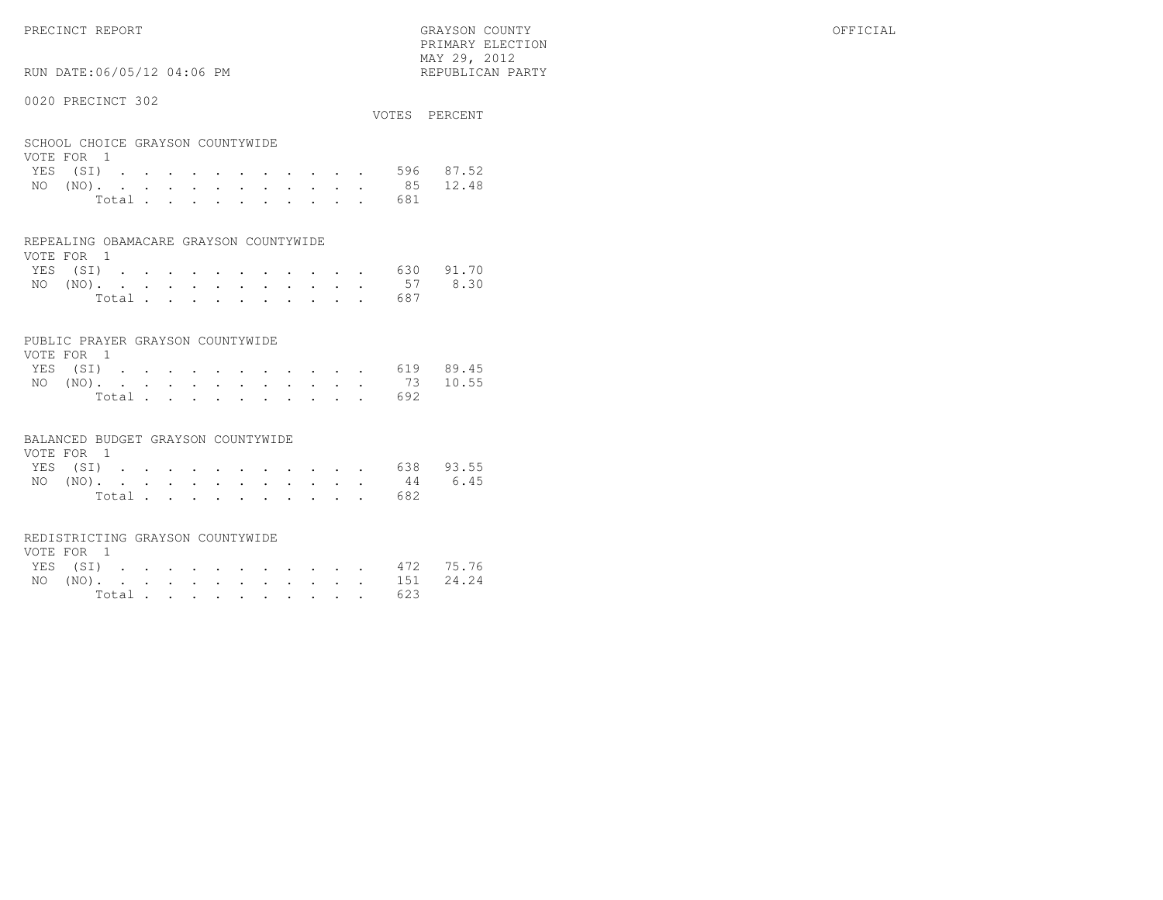RUN DATE:06/05/12 04:06 PM

### 0020 PRECINCT 302

|                                  |  |  |  |  |  |  | VOTES PERCENT      |
|----------------------------------|--|--|--|--|--|--|--------------------|
| SCHOOL CHOICE GRAYSON COUNTYWIDE |  |  |  |  |  |  |                    |
| VOTE FOR 1                       |  |  |  |  |  |  |                    |
|                                  |  |  |  |  |  |  | YES (SI) 596 87.52 |
| $NO (NO)$ .                      |  |  |  |  |  |  | 85 12.48           |

 PRIMARY ELECTION MAY 29, 2012REPUBLICAN PARTY

| Total |  |  |  |  |  | 681 |
|-------|--|--|--|--|--|-----|
|       |  |  |  |  |  |     |

### REPEALING OBAMACARE GRAYSON COUNTYWIDE

| VOTE FOR 1 |  |  |  |  |  |                |                    |  |
|------------|--|--|--|--|--|----------------|--------------------|--|
|            |  |  |  |  |  |                | YES (SI) 630 91.70 |  |
|            |  |  |  |  |  |                | NO (NO). 57 8.30   |  |
|            |  |  |  |  |  | Total $\cdots$ | 687                |  |

### PUBLIC PRAYER GRAYSON COUNTYWIDE

| VOTE FOR 1         |  |  |  |  |  |           |  |
|--------------------|--|--|--|--|--|-----------|--|
| YES (SI) 619 89.45 |  |  |  |  |  |           |  |
| NO (NO). 73 10.55  |  |  |  |  |  |           |  |
|                    |  |  |  |  |  | Total 692 |  |

### BALANCED BUDGET GRAYSON COUNTYWIDE

| VOTE FOR 1 |  |  |  |  |  |  |                    |  |
|------------|--|--|--|--|--|--|--------------------|--|
|            |  |  |  |  |  |  | YES (SI) 638 93.55 |  |
|            |  |  |  |  |  |  | NO (NO). 44 6.45   |  |
|            |  |  |  |  |  |  | Total 682          |  |

### REDISTRICTING GRAYSON COUNTYWIDE

| VOTE FOR 1 |  |  |  |  |  |  |                    |  |
|------------|--|--|--|--|--|--|--------------------|--|
|            |  |  |  |  |  |  | YES (SI) 472 75.76 |  |
|            |  |  |  |  |  |  | NO (NO). 151 24.24 |  |
|            |  |  |  |  |  |  | Total 623          |  |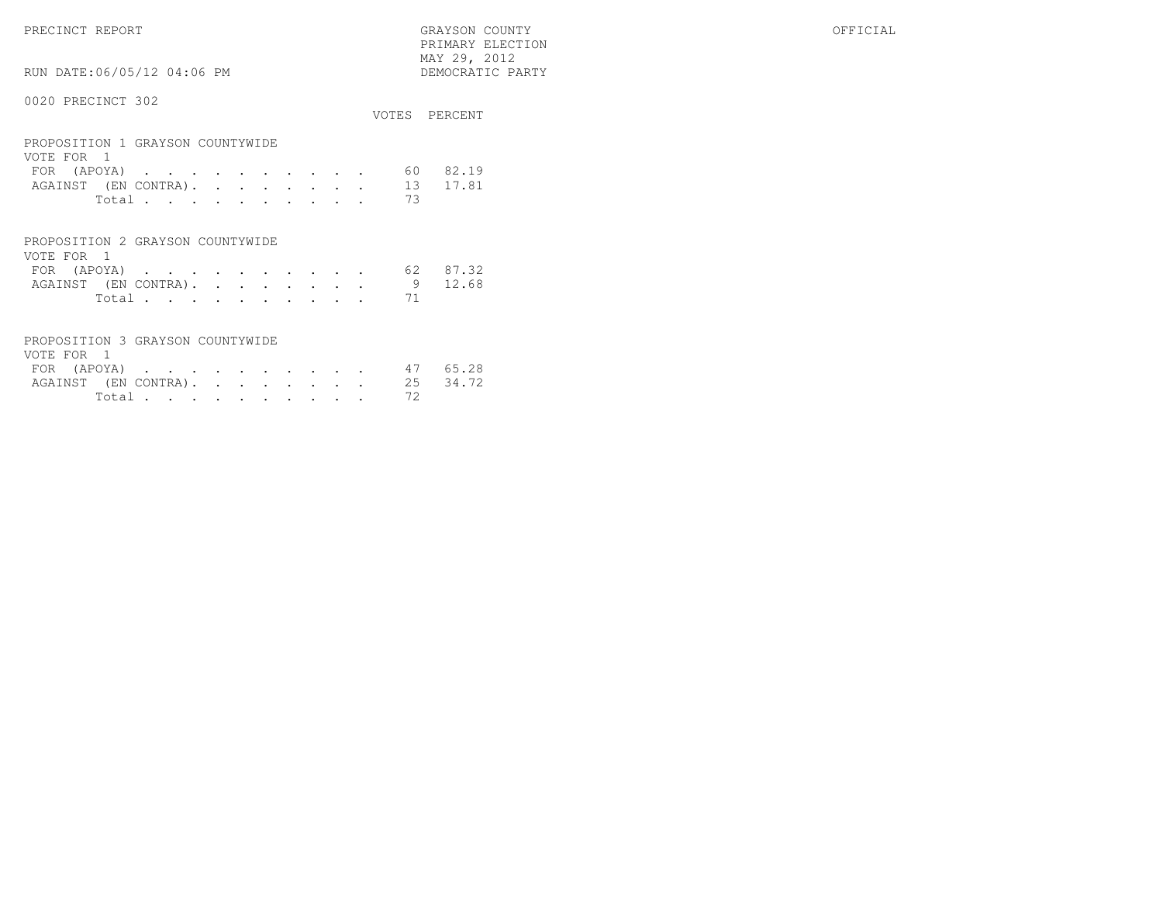PRECINCT REPORT GRAYSON COUNTY OFFICIAL PRIMARY ELECTION $\begin{array}{lll} \text{MAX} & 29, & 2012 \\ \text{NAY} & 29, & 2012 \end{array}$ 

RUN DATE:06/05/12 04:06 PM

|                                                |  |  |  |  |  |    | VOTES PERCENT |
|------------------------------------------------|--|--|--|--|--|----|---------------|
| PROPOSITION 1 GRAYSON COUNTYWIDE<br>VOTE FOR 1 |  |  |  |  |  |    |               |
| FOR (APOYA)                                    |  |  |  |  |  | 60 | 82.19         |
| AGAINST (EN CONTRA).                           |  |  |  |  |  | 13 | 17.81         |
| Total                                          |  |  |  |  |  | 73 |               |
|                                                |  |  |  |  |  |    |               |
|                                                |  |  |  |  |  |    |               |

| PROPOSITION 2 GRAYSON COUNTYWIDE |        |  |  |  |  |  |
|----------------------------------|--------|--|--|--|--|--|
| VOTE FOR 1                       |        |  |  |  |  |  |
| FOR (APOYA) 62 87.32             |        |  |  |  |  |  |
| AGAINST (EN CONTRA). 9 12.68     |        |  |  |  |  |  |
|                                  | Total. |  |  |  |  |  |

| PROPOSITION 3 GRAYSON COUNTYWIDE |  |  |  |  |          |  |
|----------------------------------|--|--|--|--|----------|--|
| VOTE FOR 1                       |  |  |  |  |          |  |
| FOR (APOYA) 47 65.28             |  |  |  |  |          |  |
| AGAINST (EN CONTRA). 25 34.72    |  |  |  |  |          |  |
|                                  |  |  |  |  | Total 72 |  |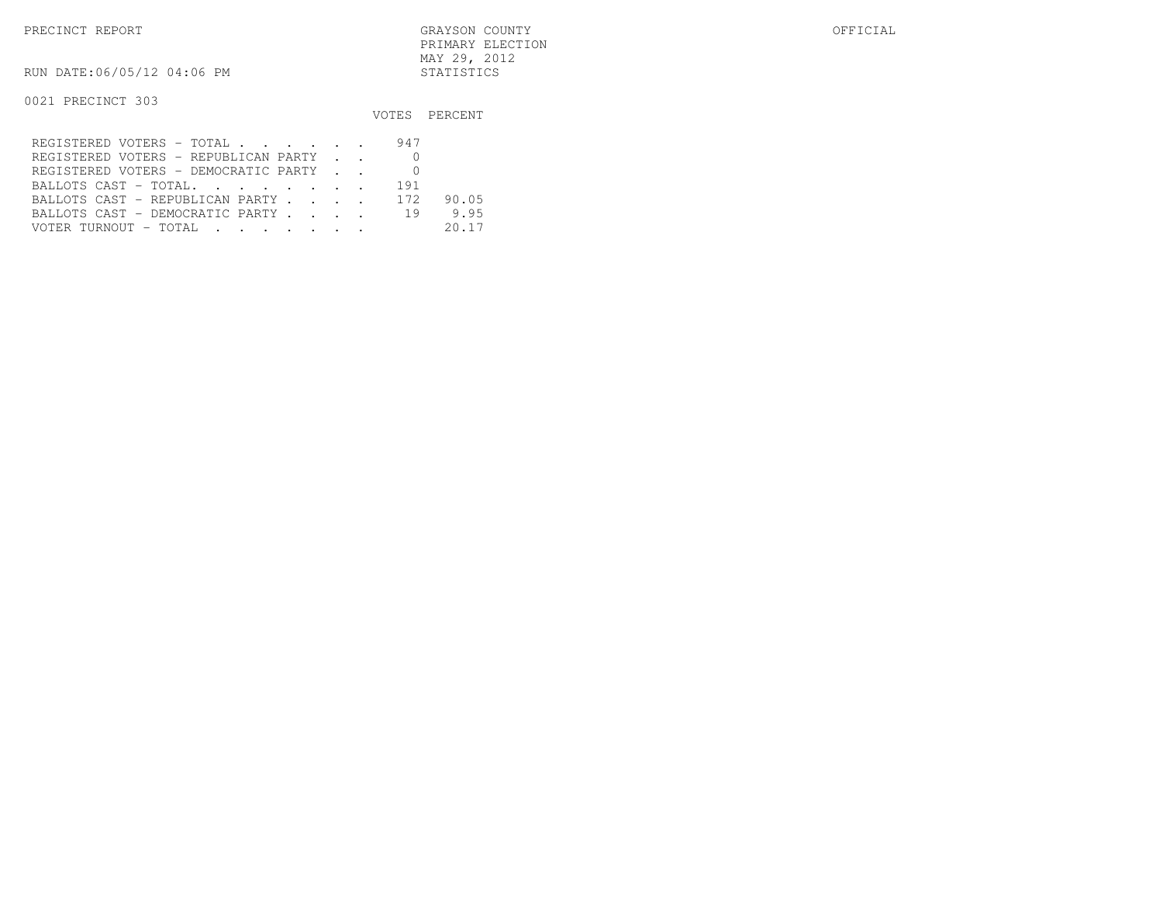PRECINCT REPORT GRAYSON COUNTY OFFICIAL PRIMARY ELECTIONMAY 29, 2012

RUN DATE:06/05/12 04:06 PM STATISTICS

|                                               |     | VOTES PERCENT |
|-----------------------------------------------|-----|---------------|
| REGISTERED VOTERS - TOTAL                     | 947 |               |
| REGISTERED VOTERS - REPUBLICAN PARTY          |     |               |
| REGISTERED VOTERS - DEMOCRATIC PARTY          |     |               |
| BALLOTS CAST - TOTAL.                         | 191 |               |
| BALLOTS CAST - REPUBLICAN PARTY 172           |     | 90.05         |
| BALLOTS CAST - DEMOCRATIC PARTY               | 19  | 9.95          |
| VOTER TURNOUT – TOTAL   .   .   .   .   .   . |     | 20.17         |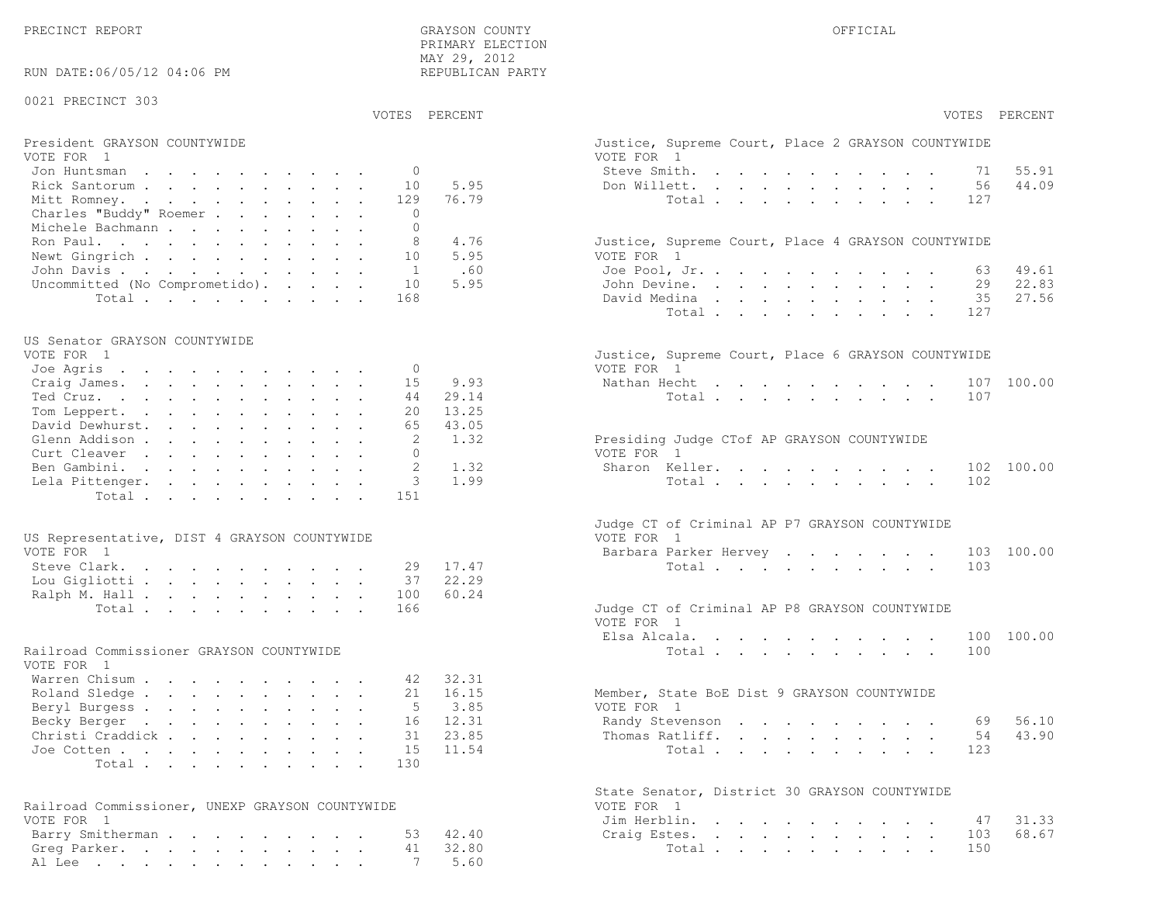PRECINCT REPORT THE COUNTY GRAYSON COUNTY THE COUNTY OFFICIAL OFFICIAL COUNTY OF THE COUNTY OF THE COUNTY OF THE COUNTY OF THE COUNTY OF THE COUNTY OF THE COUNTY OF THE COUNTY OF THE COUNTY OF THE COUNTY OF THE COUNTY OF T PRIMARY ELECTION MAY 29, 2012REPUBLICAN PARTY

### RUN DATE:06/05/12 04:06 PM

### 0021 PRECINCT 303

# President GRAYSON COUNTYWIDE <br>VOTE FOR 1 GRAYSON COUNTYWIDE COURT, PLACE 2 GRAYSON COURT, PLACE 2 GRAYSON COURT, PLACE 2 GRAYSON COURT, PLAC

| VUILLE LUINITI                         | $V \cup V \cup V$ $V \cup V$                       |
|----------------------------------------|----------------------------------------------------|
| Jon Huntsman 0                         | 55.91<br>Steve Smith. 71                           |
| Rick Santorum 10 5.95                  | Don Willett. 56 44.09                              |
| Mitt Romney. 129 76.79                 | Total 127                                          |
| Charles "Buddy" Roemer 0               |                                                    |
| Michele Bachmann 0                     |                                                    |
| Ron Paul. 8 4.76                       | Justice, Supreme Court, Place 4 GRAYSON COUNTYWIDE |
| Newt Gingrich 10 5.95                  | VOTE FOR 1                                         |
| John Davis 1 .60                       | Joe Pool, Jr. 63 49.61                             |
| Uncommitted (No Comprometido). 10 5.95 | 22.83<br>John Devine. 29                           |
| Total 168                              | 35 27.56<br>David Medina                           |

### US Senator GRAYSON COUNTYWIDE

| VOTE FOR 1                |  |  |  |  |    |          | Justice, Supreme Court, Place 6 GRAYSON COUNTYWIDE |  |
|---------------------------|--|--|--|--|----|----------|----------------------------------------------------|--|
| Joe Agris $\, \cdot \,$ 0 |  |  |  |  |    |          | VOTE FOR 1                                         |  |
| Craig James. 15 9.93      |  |  |  |  |    |          | Nathan Hecht 107 100.00                            |  |
| Ted Cruz.                 |  |  |  |  | 44 | 29.14    | Total 107                                          |  |
| Tom Leppert.              |  |  |  |  |    | 20 13.25 |                                                    |  |
| David Dewhurst.           |  |  |  |  |    | 65 43.05 |                                                    |  |
| Glenn Addison             |  |  |  |  |    | 2 1.32   | Presiding Judge CTof AP GRAYSON COUNTYWIDE         |  |
| Curt Cleaver              |  |  |  |  |    |          | VOTE FOR 1                                         |  |
| Ben Gambini. 2 1.32       |  |  |  |  |    |          | Sharon Keller. 102 100.00                          |  |
| Lela Pittenger. 3 1.99    |  |  |  |  |    |          | Total 102                                          |  |
| Total 151                 |  |  |  |  |    |          |                                                    |  |

| US Representative, DIST 4 GRAYSON COUNTYWIDE |  |  |  |  |  | VOTE FOR 1                                    |  |
|----------------------------------------------|--|--|--|--|--|-----------------------------------------------|--|
| VOTE FOR 1                                   |  |  |  |  |  | Barbara Parker Hervey 103                     |  |
| Steve Clark. 29 17.47                        |  |  |  |  |  | Total 103                                     |  |
| Lou Gigliotti 37 22.29                       |  |  |  |  |  |                                               |  |
| Ralph M. Hall 100 60.24                      |  |  |  |  |  |                                               |  |
| Total 166                                    |  |  |  |  |  | Judge CT of Criminal AP P8 GRAYSON COUNTYWIDE |  |

| VOTE FOR 1                |  |  |  |  |  |                                             |  |
|---------------------------|--|--|--|--|--|---------------------------------------------|--|
| Warren Chisum 42 32.31    |  |  |  |  |  |                                             |  |
| Roland Sledge 21 16.15    |  |  |  |  |  | Member, State BoE Dist 9 GRAYSON COUNTYWIDE |  |
| Beryl Burgess 5 3.85      |  |  |  |  |  | VOTE FOR 1                                  |  |
| Becky Berger 16 12.31     |  |  |  |  |  | Randy Stevenson 69 56.10                    |  |
| Christi Craddick 31 23.85 |  |  |  |  |  | Thomas Ratliff. 54 43.90                    |  |
| Joe Cotten 15 11.54       |  |  |  |  |  | Total 123                                   |  |
| Total 130                 |  |  |  |  |  |                                             |  |

| Railroad Commissioner, UNEXP GRAYSON COUNTYWIDE |  |  |  |  | VOTE FOR 1       |
|-------------------------------------------------|--|--|--|--|------------------|
| VOTE FOR 1                                      |  |  |  |  | Jim Herblin. 47  |
| Barry Smitherman 53 42.40                       |  |  |  |  | Craig Estes. 103 |
| Greg Parker. 41 32.80                           |  |  |  |  | Total 150        |
| Al Lee 7 5.60                                   |  |  |  |  |                  |

|                               | PRIMARY ELECTION<br>MAY 29, 2012<br>REPUBLICAN PARTY |                                                                  |            |
|-------------------------------|------------------------------------------------------|------------------------------------------------------------------|------------|
| VOTES PERCENT                 |                                                      | VOTES PERCENT                                                    |            |
|                               |                                                      | Justice, Supreme Court, Place 2 GRAYSON COUNTYWIDE<br>VOTE FOR 1 |            |
| $\Omega$                      |                                                      | Steve Smith.                                                     | 71 55.91   |
| 10                            | 5.95                                                 | Don Willett.<br>56                                               | 44.09      |
| 129                           | 76.79                                                | 127<br>Total $\cdots$                                            |            |
| $\mathbf{0}$                  |                                                      |                                                                  |            |
| $\circ$                       |                                                      |                                                                  |            |
| 8                             | 4.76                                                 | Justice, Supreme Court, Place 4 GRAYSON COUNTYWIDE               |            |
| 10                            | 5.95                                                 | VOTE FOR 1                                                       |            |
| $\overline{1}$                | .60                                                  | 63<br>Joe Pool, Jr.                                              | 49.61      |
| 10 <sup>°</sup>               | 5.95                                                 | John Devine. 29                                                  | 22.83      |
| 168                           |                                                      | David Medina 35                                                  | 27.56      |
|                               |                                                      | 127<br>Total                                                     |            |
|                               |                                                      |                                                                  |            |
|                               |                                                      | Justice, Supreme Court, Place 6 GRAYSON COUNTYWIDE               |            |
| $\mathbf{0}$                  |                                                      | VOTE FOR 1                                                       |            |
| 15                            | 9.93                                                 | Nathan Hecht 107                                                 | 100.00     |
| 44                            | 29.14                                                | 107<br>Total                                                     |            |
| 20                            | 13.25                                                |                                                                  |            |
| 65                            | 43.05                                                |                                                                  |            |
| 2                             | 1.32                                                 | Presiding Judge CTof AP GRAYSON COUNTYWIDE                       |            |
| $\mathbf{0}$<br>$\mathcal{L}$ |                                                      | VOTE FOR 1                                                       |            |
|                               | 1.32                                                 | Sharon Keller.                                                   | 102 100.00 |

|                                              | Judge CT of Criminal AP P7 GRAYSON COUNTYWIDE |
|----------------------------------------------|-----------------------------------------------|
| US Representative, DIST 4 GRAYSON COUNTYWIDE | VOTE FOR 1                                    |
| VOTE FOR 1                                   | Barbara Parker Hervey 103 100.00              |
| Steve Clark. 29 17.47                        | Total 103                                     |

| Total 166                                |  |  | Judge CT of Criminal AP P8 GRAYSON COUNTYWIDE |  |  |  |  |  |           |  |
|------------------------------------------|--|--|-----------------------------------------------|--|--|--|--|--|-----------|--|
|                                          |  |  | VOTE FOR 1                                    |  |  |  |  |  |           |  |
|                                          |  |  | Elsa Alcala. 100 100.00                       |  |  |  |  |  |           |  |
| Railroad Commissioner GRAYSON COUNTYWIDE |  |  |                                               |  |  |  |  |  | Total 100 |  |

| Member, State BoE Dist 9 GRAYSON COUNTYWIDE |  |  |  |  |  |                          |  |
|---------------------------------------------|--|--|--|--|--|--------------------------|--|
| VOTE FOR 1                                  |  |  |  |  |  |                          |  |
|                                             |  |  |  |  |  | Randy Stevenson 69 56.10 |  |
|                                             |  |  |  |  |  | Thomas Ratliff. 54 43.90 |  |
|                                             |  |  |  |  |  | Total 123                |  |

|                                                 | State Senator, District 30 GRAYSON COUNTYWIDE |  |
|-------------------------------------------------|-----------------------------------------------|--|
| Railroad Commissioner, UNEXP GRAYSON COUNTYWIDE | VOTE FOR 1                                    |  |
| VOTE FOR 1                                      | Jim Herblin. 47 31.33                         |  |
| Barry Smitherman53 42.40                        | Craig Estes. 103 68.67                        |  |
| Greg Parker. 41 32.80                           | Total 150                                     |  |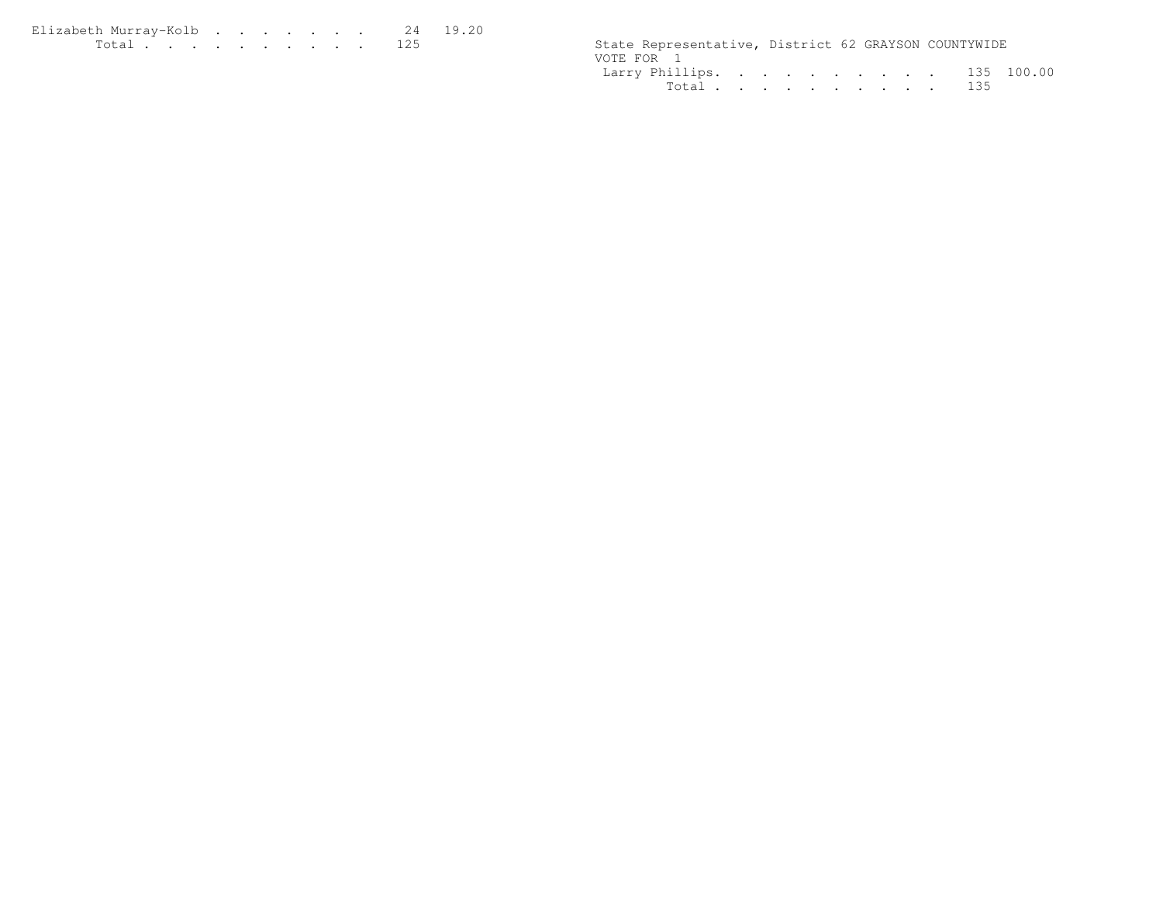| Elizabeth Murrav-Kolb 24 19.20                                                                                                                                                                                                       |  |  |  |  |  |                                                      |  |  |
|--------------------------------------------------------------------------------------------------------------------------------------------------------------------------------------------------------------------------------------|--|--|--|--|--|------------------------------------------------------|--|--|
| <u>in the community of the community of the community of the community of the community of the community of the community of the community of the community of the community of the community of the community of the community </u> |  |  |  |  |  | State Representative, District 62 GRAYSON COUNTYWIDE |  |  |

|  |  |  |  | State Representative, District 62 GRAYSON COUNTYWIDE<br>Larry Phillips. 135 100.00<br>Total 135 |
|--|--|--|--|-------------------------------------------------------------------------------------------------|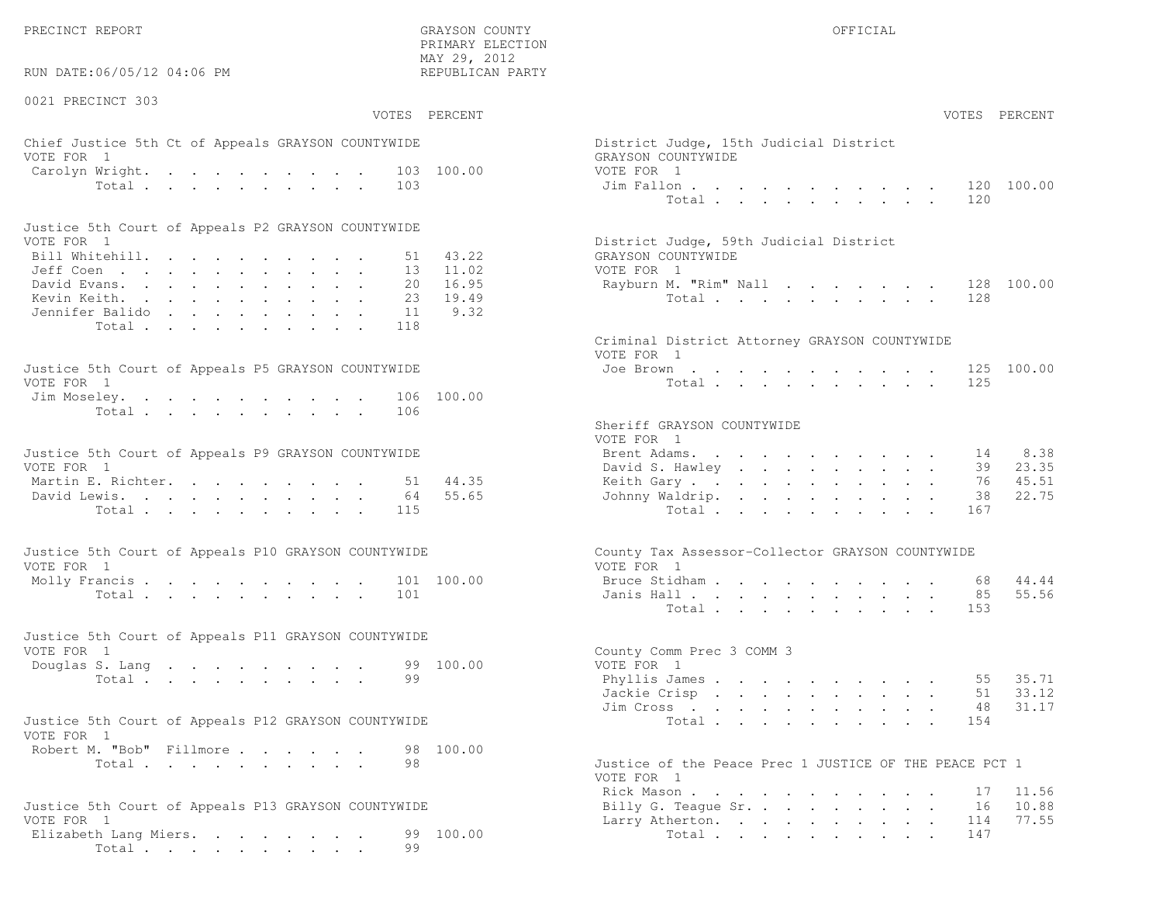RUN DATE:06/05/12 04:06 PM

0021 PRECINCT 303

 PRIMARY ELECTION MAY 29, 2012REPUBLICAN PARTY

# Chief Justice 5th Ct of Appeals GRAYSON COUNTYWIDE **Chief Act and Tart and Act Act Act Act Act Act Act Act Act A** VOTE FOR 1 GRAYSON COUNTYWIDECarolyn Wright. . . . . . . . . 103 100.00 VOTE FOR 1 Total . . . . . . . . . . 103 Jim Fallon . . . . . . . . . . . 120 100.00

| Justice 5th Court of Appeals P2 GRAYSON COUNTYWIDE |  |  |  |  |  |                                        |
|----------------------------------------------------|--|--|--|--|--|----------------------------------------|
| VOTE FOR 1                                         |  |  |  |  |  | District Judge, 59th Judicial District |
| Bill Whitehill. 51 43.22                           |  |  |  |  |  | GRAYSON COUNTYWIDE                     |
| Jeff Coen 13 11.02                                 |  |  |  |  |  | VOTE FOR 1                             |
| David Evans. 20 16.95                              |  |  |  |  |  | Rayburn M. "Rim" Nall 128 100.00       |
| Kevin Keith. 23 19.49                              |  |  |  |  |  | Total 128                              |
| Jennifer Balido 11 9.32                            |  |  |  |  |  |                                        |
| Total 118                                          |  |  |  |  |  |                                        |

| Justice 5th Court of Appeals P5 GRAYSON COUNTYWIDE | Joe Brown 125 100.00 |
|----------------------------------------------------|----------------------|
| VOTE FOR 1                                         | Total 125            |
| Jim Moseley. 106 100.00                            |                      |
| Total 106                                          |                      |

| Justice 5th Court of Appeals P9 GRAYSON COUNTYWIDE | Brent Adams. 14 8.38     |  |  |  |  |  |  |
|----------------------------------------------------|--------------------------|--|--|--|--|--|--|
| VOTE FOR 1                                         | David S. Hawley 39 23.35 |  |  |  |  |  |  |
| Martin E. Richter. 51 44.35                        | Keith Gary 76 45.51      |  |  |  |  |  |  |
| David Lewis. 64 55.65                              | Johnny Waldrip. 38 22.75 |  |  |  |  |  |  |
| Total 115                                          | Total 167                |  |  |  |  |  |  |

| Justice 5th Court of Appeals P10 GRAYSON COUNTYWIDE | County Tax Assessor-Collector GRAYSON COUNTYWIDE |
|-----------------------------------------------------|--------------------------------------------------|
| VOTE FOR 1                                          | VOTE FOR 1                                       |
| Molly Francis 101 100.00                            | Bruce Stidham 68 44.44                           |
| Total 101                                           | Janis Hall 85 55.56                              |

| Justice 5th Court of Appeals P11 GRAYSON COUNTYWIDE |  |  |  |  |          |  |                           |  |
|-----------------------------------------------------|--|--|--|--|----------|--|---------------------------|--|
| VOTE FOR 1                                          |  |  |  |  |          |  | County Comm Prec 3 COMM 3 |  |
| Douglas S. Lang 99 100.00                           |  |  |  |  |          |  | VOTE FOR 1                |  |
|                                                     |  |  |  |  | Total 99 |  | Phyllis James 55 35.71    |  |

| Justice 5th Court of Appeals P12 GRAYSON COUNTYWIDE |  |  |           |
|-----------------------------------------------------|--|--|-----------|
| VOTE FOR 1                                          |  |  |           |
| Robert M. "Bob" Fillmore                            |  |  | 98 100.00 |

```
Justice 5th Court of Appeals P13 GRAYSON COUNTYWIDE Billy G. Teague Sr. . . . . . . . . 16 10.88VOTE FOR 1 Larry Atherton. . . . . . . . . 114
Elizabeth Lang Miers. . . . . . . 99 100.00 101 Total . . . . . . . . . 147
     Total . . . . . . . . . 99
```
 VOTES PERCENT VOTES PERCENTTotal . . . . . . . . . . 120 District Judge, 59th Judicial District 2 GRAYSON COUNTYWIDE Jeff Coen . . . . . . . . . . . 13 11.02 VOTE FOR 1extending to the set of the set of the set of the set of the set of the set of the set of the set of the set o Criminal District Attorney GRAYSON COUNTYWIDE VOTE FOR 1Total . . . . . . . . . . 125 Sheriff GRAYSON COUNTYWIDE VOTE FOR 139 23.35 David S. Hawley . . . . . . . . . 76 45.51 Martin E. Richter. . . . . . . . . 51 44.35 Keith Gary . . . . . . . . . . . 76 45.5122 75 5 Johnny Waldrip. . . . . . . . . 38 Total . . . . . . . . . . 167 County Tax Assessor-Collector GRAYSON COUNTYWIDE VOTE FOR 1 55.56 Janis Hall . . . . . . . . . . . . 85 Total . . . . . . . . . . 153 County Comm Prec 3 COMM 3 Douglas S. Lang . . . . . . . . . 99 100.00 VOTE FOR 151 33.12 Jackie Crisp............ 31.17 Jim Cross . . . . . . . . . . . 48 Total . . . . . . . . . . 154 Total . . . . . . . . 98 Justice of the Peace Prec 1 JUSTICE OF THE PEACE PCT 1 VOTE FOR 1Rick Mason **. . . . . . . . . . . 1**7 11.56 16 10.88

77.55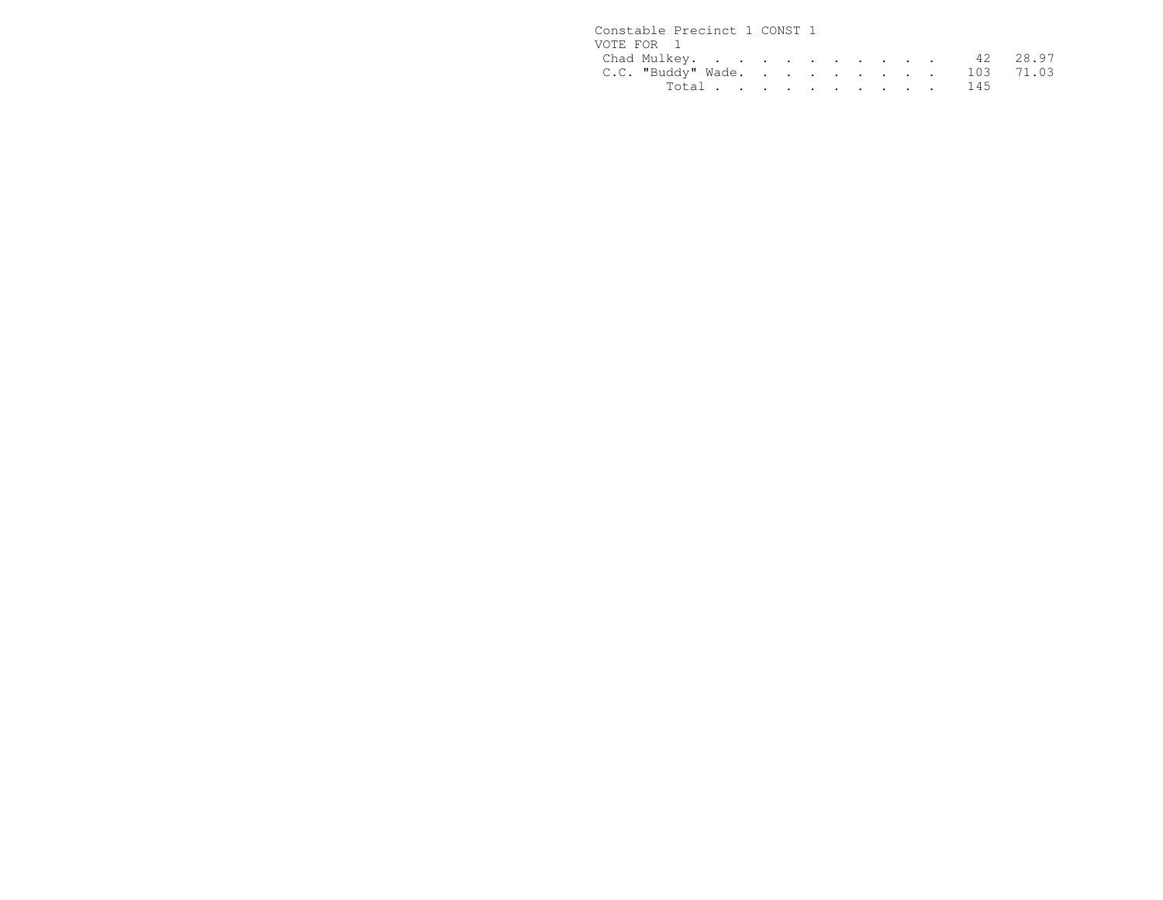| Constable Precinct 1 CONST 1 |  |  |  |  |  |  |
|------------------------------|--|--|--|--|--|--|
| VOTE FOR 1                   |  |  |  |  |  |  |
| Chad Mulkey. 42 28.97        |  |  |  |  |  |  |
| C.C. "Buddy" Wade. 103 71.03 |  |  |  |  |  |  |
| Total 145                    |  |  |  |  |  |  |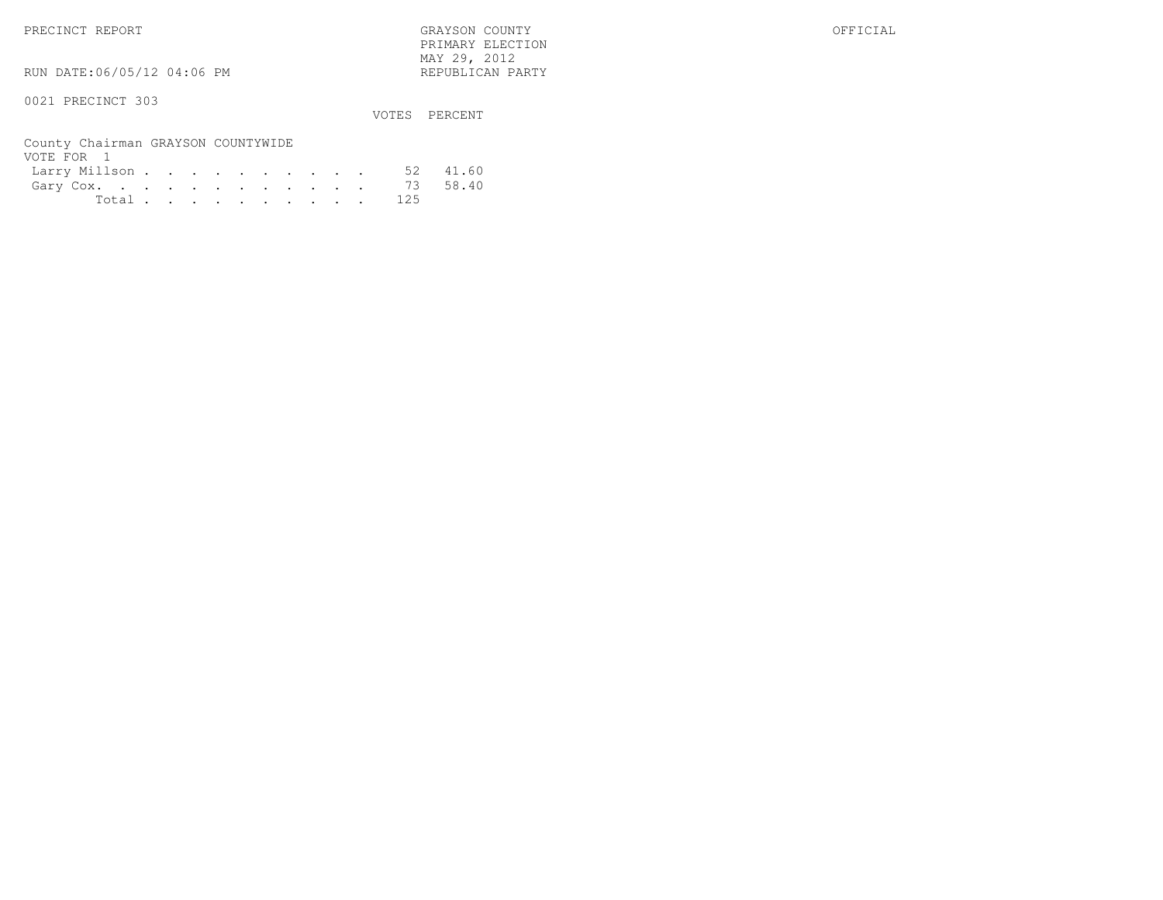PRECINCT REPORT GRAYSON COUNTY OFFICIAL PRIMARY ELECTION $\text{MAX } 29, \quad 2012$ 

RUN DATE:06/05/12 04:06 PM

### 0021 PRECINCT 303

VOTES PERCENT

| County Chairman GRAYSON COUNTYWIDE |  |  |  |  |  |           |  |
|------------------------------------|--|--|--|--|--|-----------|--|
| VOTE FOR 1                         |  |  |  |  |  |           |  |
| Larry Millson 52 41.60             |  |  |  |  |  |           |  |
| Gary Cox. 73 58.40                 |  |  |  |  |  |           |  |
|                                    |  |  |  |  |  | Total 125 |  |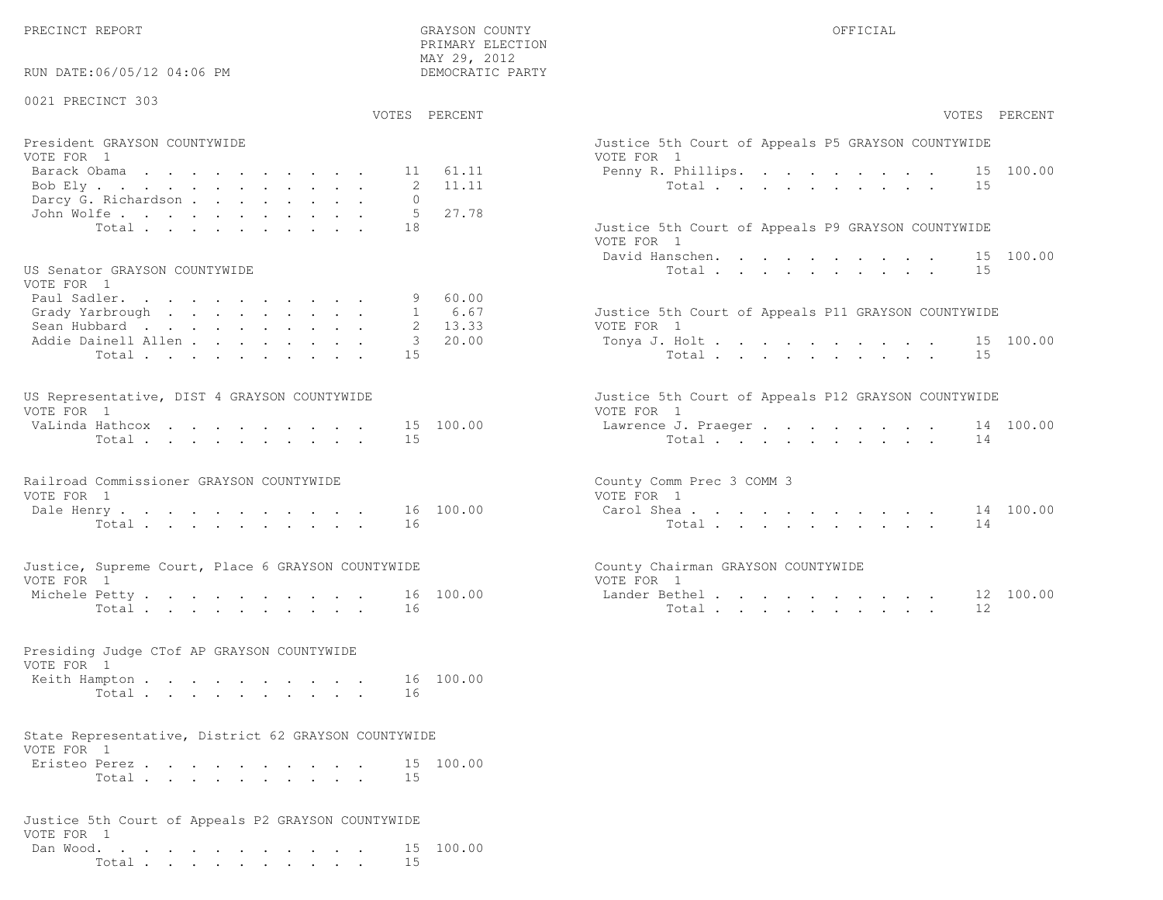RUN DATE:06/05/12 04:06 PM

 PRIMARY ELECTION MAY 29, 2012DEMOCRATIC PARTY

| 0021 PRECINCT 303<br>VOTES PERCENT                                 | VOTES PERCENT                                                     |
|--------------------------------------------------------------------|-------------------------------------------------------------------|
| President GRAYSON COUNTYWIDE                                       | Justice 5th Court of Appeals P5 GRAYSON COUNTYWIDE                |
| VOTE FOR 1<br>Barack Obama<br>61.11<br>11<br>Bob Ely<br>2<br>11.11 | VOTE FOR 1<br>15 100.00<br>Penny R. Phillips.<br>Total<br>15      |
| Darcy G. Richardson<br>$\circ$<br>John Wolfe.<br>5<br>27.78        |                                                                   |
| Total<br>18                                                        | Justice 5th Court of Appeals P9 GRAYSON COUNTYWIDE<br>VOTE FOR 1  |
| US Senator GRAYSON COUNTYWIDE<br>VOTE FOR 1                        | David Hanschen.<br>15 100.00<br>Total<br>15                       |
| Paul Sadler.<br>60.00<br>9                                         |                                                                   |
| 6.67<br>Grady Yarbrough<br>$\mathbf{1}$<br>2 13.33<br>Sean Hubbard | Justice 5th Court of Appeals P11 GRAYSON COUNTYWIDE<br>VOTE FOR 1 |
| Addie Dainell Allen<br>3, 20, 00<br>Total<br>15                    | Tonya J. Holt<br>15 100.00<br>Total<br>15                         |
| US Representative, DIST 4 GRAYSON COUNTYWIDE<br>VOTE FOR 1         | Justice 5th Court of Appeals P12 GRAYSON COUNTYWIDE<br>VOTE FOR 1 |
| VaLinda Hathcox<br>15<br>100.00                                    | Lawrence J. Praeger<br>14 100.00                                  |
| Total<br>15                                                        | Total<br>14                                                       |
| Railroad Commissioner GRAYSON COUNTYWIDE<br>VOTE FOR 1             | County Comm Prec 3 COMM 3<br>VOTE FOR 1                           |
| 16 100.00<br>Dale Henry<br>Total<br>16                             | Carol Shea<br>14 100.00<br>Total<br>14                            |
| Justice, Supreme Court, Place 6 GRAYSON COUNTYWIDE<br>VOTE FOR 1   | County Chairman GRAYSON COUNTYWIDE<br>VOTE FOR 1                  |
| 100.00<br>Michele Petty<br>16<br>Total<br>16                       | Lander Bethel.<br>12 100.00<br>Total<br>12                        |
|                                                                    |                                                                   |
| Presiding Judge CTof AP GRAYSON COUNTYWIDE<br>VOTE FOR 1           |                                                                   |
| Keith Hampton<br>16 100.00<br>16<br>Total.                         |                                                                   |
| State Representative, District 62 GRAYSON COUNTYWIDE<br>VOTE FOR 1 |                                                                   |
| Eristeo Perez<br>15 100.00                                         |                                                                   |
| Total<br>15                                                        |                                                                   |
| Justice 5th Court of Appeals P2 GRAYSON COUNTYWIDE<br>VOTE FOR 1   |                                                                   |

VOTE FOR 1 Dan Wood. . . . . . . . . . . . 15 100.00Total . . . . . . . . . . 15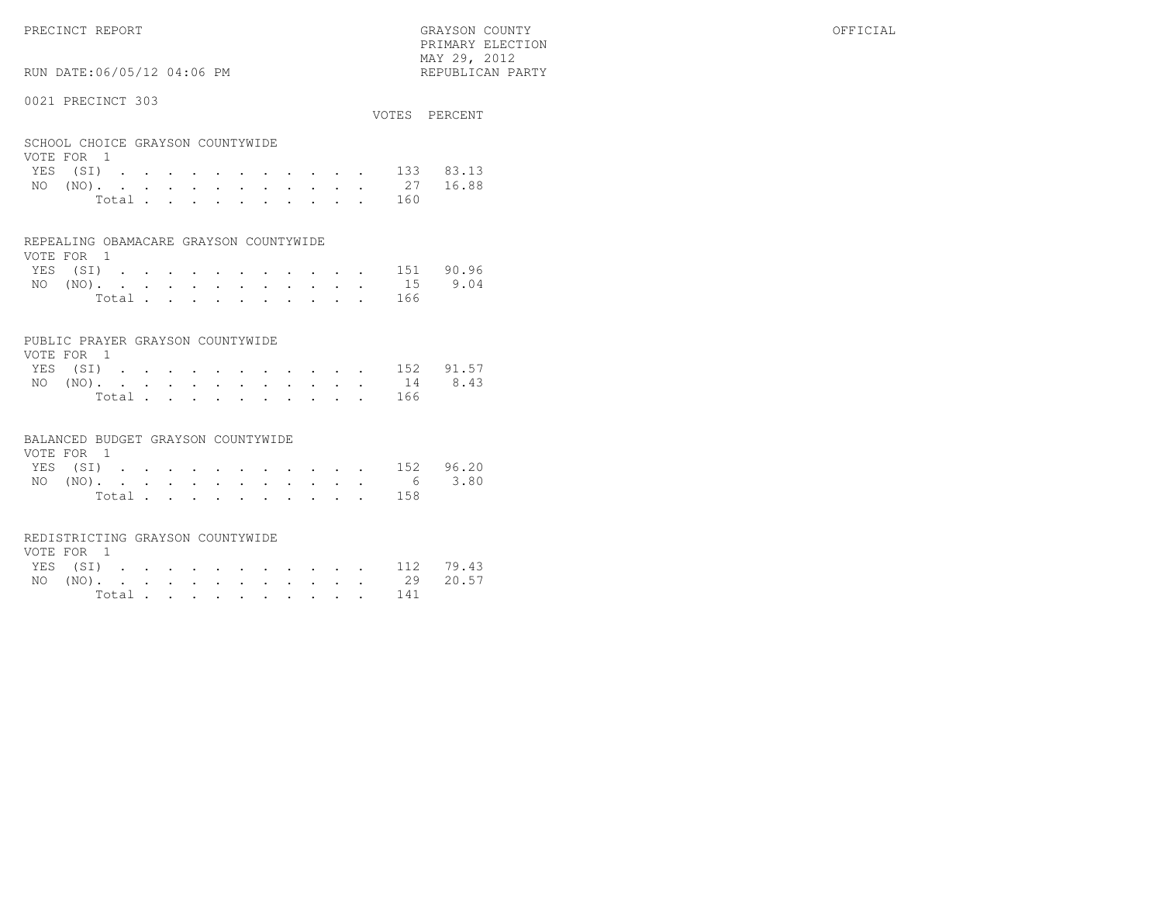PRIMARY ELECTION $\text{MAX } 29, \quad 2012$ 

# RUN DATE:06/05/12 04:06 PM

### 0021 PRECINCT 303

|                                  |  |  |  |  |  |  |           | VOTES PERCENT      |
|----------------------------------|--|--|--|--|--|--|-----------|--------------------|
| SCHOOL CHOICE GRAYSON COUNTYWIDE |  |  |  |  |  |  |           |                    |
| VOTE FOR 1                       |  |  |  |  |  |  |           |                    |
|                                  |  |  |  |  |  |  |           | YES (SI) 133 83.13 |
|                                  |  |  |  |  |  |  |           | NO (NO). 27 16.88  |
|                                  |  |  |  |  |  |  | Total 160 |                    |

### REPEALING OBAMACARE GRAYSON COUNTYWIDE

| VOTE FOR 1 |  |  |  |  |  |  |                    |  |
|------------|--|--|--|--|--|--|--------------------|--|
|            |  |  |  |  |  |  | YES (SI) 151 90.96 |  |
|            |  |  |  |  |  |  | NO (NO). 15 9.04   |  |
|            |  |  |  |  |  |  | Total 166          |  |

### PUBLIC PRAYER GRAYSON COUNTYWIDE

| VOTE FOR 1 |  |  |  |  |  |           |                    |
|------------|--|--|--|--|--|-----------|--------------------|
|            |  |  |  |  |  |           | YES (SI) 152 91.57 |
|            |  |  |  |  |  |           | NO (NO). 14 8.43   |
|            |  |  |  |  |  | Total 166 |                    |

### BALANCED BUDGET GRAYSON COUNTYWIDE

| VOTE FOR 1 |  |  |  |  |  |                    |  |
|------------|--|--|--|--|--|--------------------|--|
|            |  |  |  |  |  | YES (SI) 152 96.20 |  |
|            |  |  |  |  |  | NO (NO). 6 3.80    |  |
|            |  |  |  |  |  | Total 158          |  |

### REDISTRICTING GRAYSON COUNTYWIDE

| VOTE FOR 1 |  |  |  |  |  |           |                    |  |
|------------|--|--|--|--|--|-----------|--------------------|--|
|            |  |  |  |  |  |           | YES (SI) 112 79.43 |  |
|            |  |  |  |  |  |           | NO (NO). 29 20.57  |  |
|            |  |  |  |  |  | Total 141 |                    |  |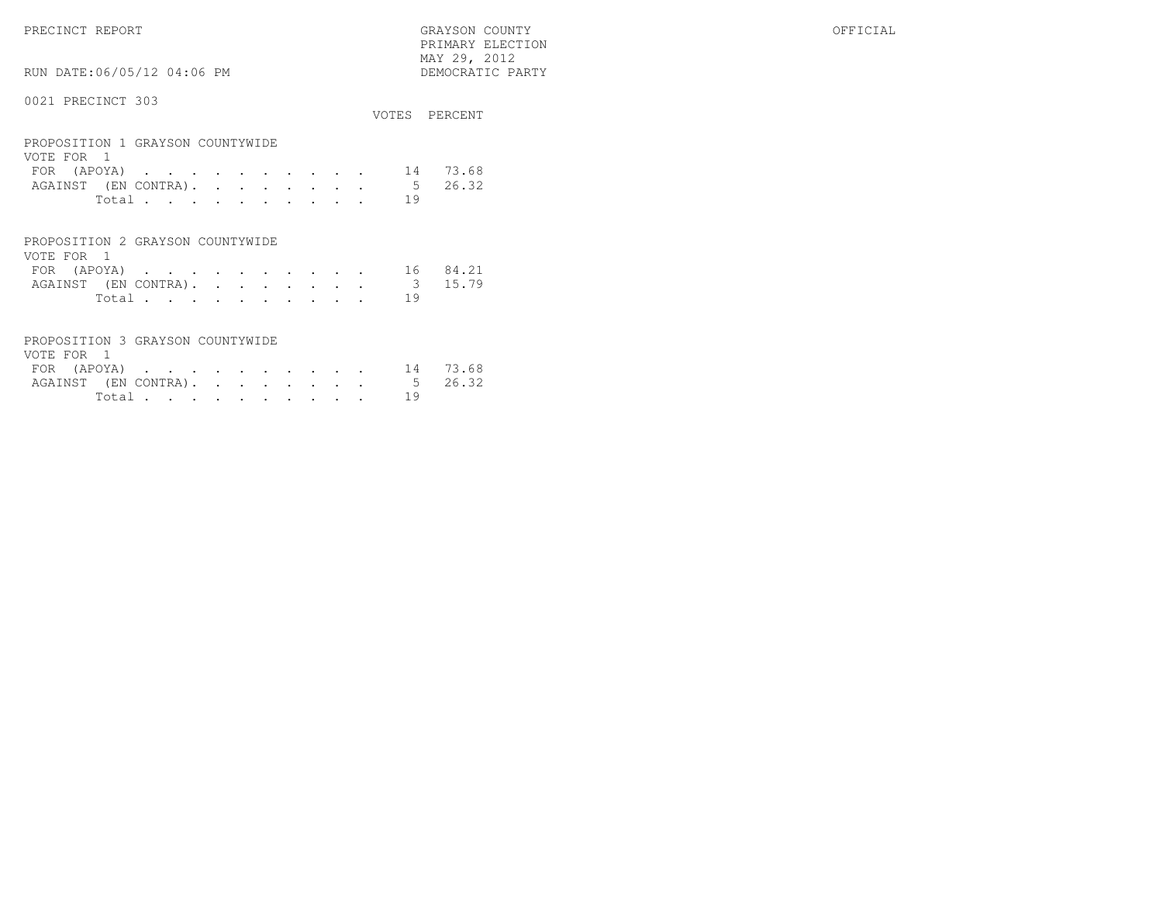PRECINCT REPORT GRAYSON COUNTY OFFICIAL PRIMARY ELECTION $\begin{array}{lll} \text{MAX} & 29, & 2012 \\ \text{NAY} & 29, & 2012 \end{array}$ RUN DATE:06/05/12 04:06 PM

|                                                |                 | VOTES PERCENT |
|------------------------------------------------|-----------------|---------------|
| PROPOSITION 1 GRAYSON COUNTYWIDE<br>VOTE FOR 1 |                 |               |
| FOR (APOYA)                                    | 14              | 73.68         |
| AGAINST (EN CONTRA).                           | $5\overline{)}$ | 26.32         |
| Total                                          | 19              |               |
|                                                |                 |               |
| PROPOSITION 2 GRAYSON COUNTYWIDE               |                 |               |
| VOTE FOR 1                                     |                 |               |
| FOR.<br>(APOYA)<br>.<br>$\bullet$              | 16              | 84.21         |

|  |  |  |  |  |  | IUN (AEUIA) , , , , , , , , , , , iU UI,AI |  |
|--|--|--|--|--|--|--------------------------------------------|--|
|  |  |  |  |  |  | AGAINST (EN CONTRA). 3 15.79               |  |
|  |  |  |  |  |  | Total 19                                   |  |

| PROPOSITION 3 GRAYSON COUNTYWIDE |  |  |  |  |  |        |    |                              |
|----------------------------------|--|--|--|--|--|--------|----|------------------------------|
| VOTE FOR 1                       |  |  |  |  |  |        |    |                              |
|                                  |  |  |  |  |  |        |    | FOR (APOYA) 14 73.68         |
|                                  |  |  |  |  |  |        |    | AGAINST (EN CONTRA). 5 26.32 |
|                                  |  |  |  |  |  | Total. | 19 |                              |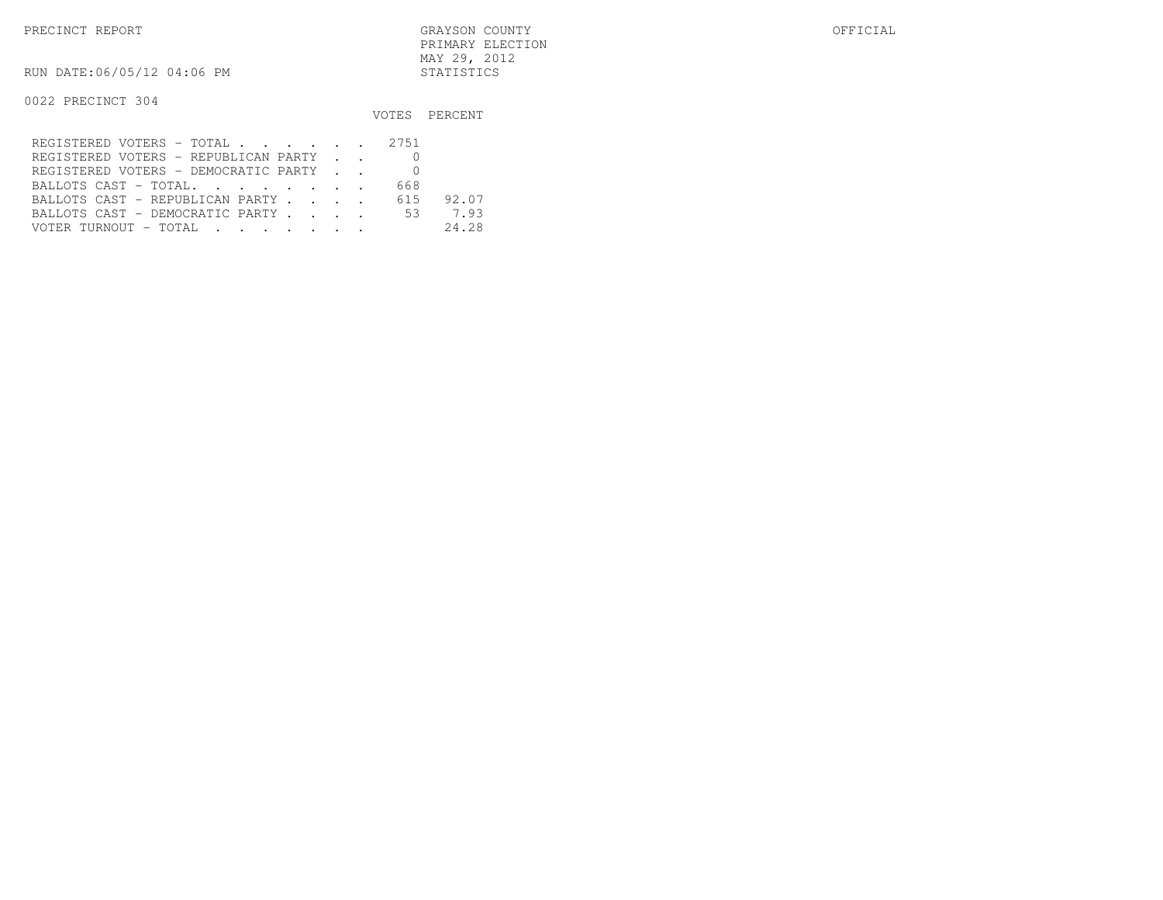PRECINCT REPORT GRAYSON COUNTY OFFICIAL PRIMARY ELECTIONMAY 29, 2012

RUN DATE:06/05/12 04:06 PM STATISTICS

|                                         |     | VOTES PERCENT |
|-----------------------------------------|-----|---------------|
| REGISTERED VOTERS - TOTAL 2751          |     |               |
| REGISTERED VOTERS - REPUBLICAN PARTY    |     |               |
| REGISTERED VOTERS - DEMOCRATIC PARTY    |     |               |
| BALLOTS CAST - TOTAL.                   | 668 |               |
| BALLOTS CAST - REPUBLICAN PARTY         | 615 | 92.07         |
| BALLOTS CAST - DEMOCRATIC PARTY 53 7.93 |     |               |
| VOTER TURNOUT – TOTAL III III IIII IIII |     | 24.28         |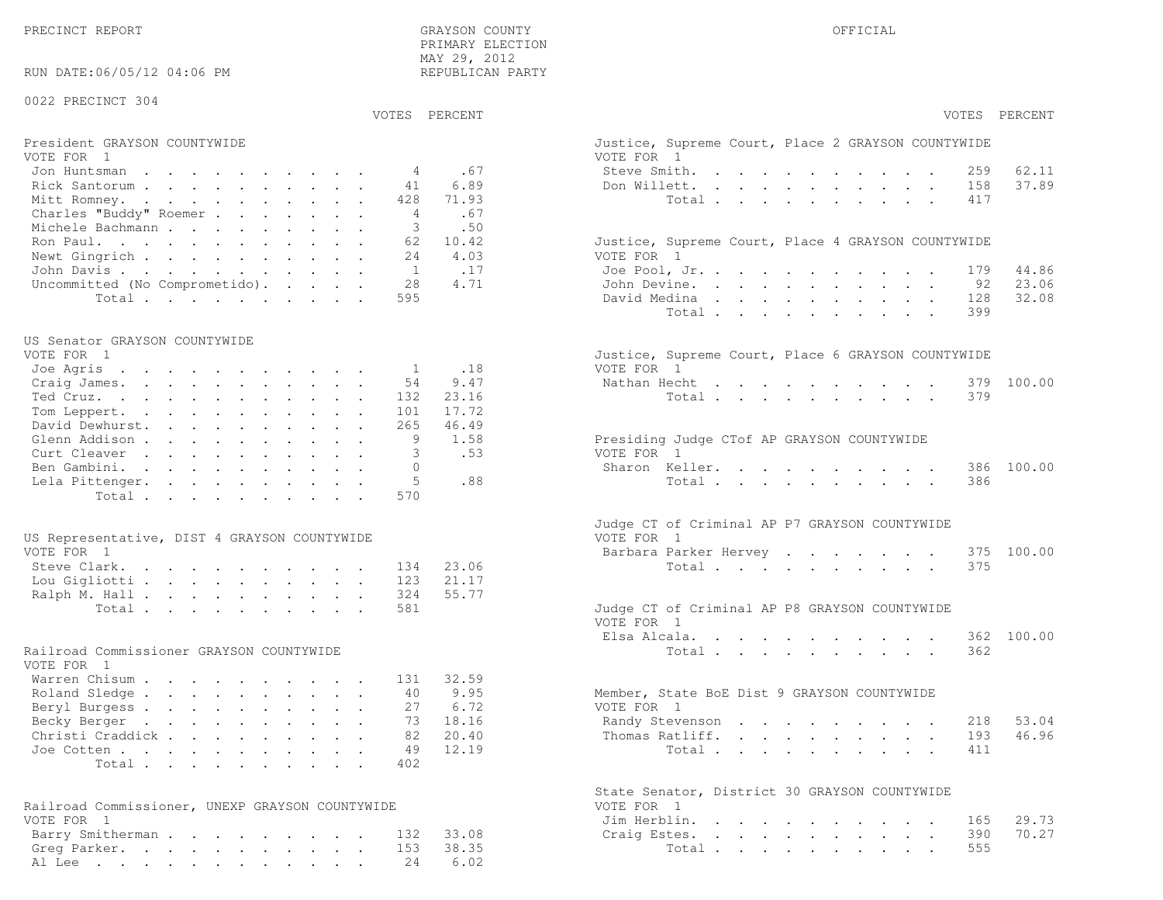PRECINCT REPORT GRAYSON COUNTY OFFICIALPRIMARY ELECTION

37.89

23.06

32.08

46.96

70.27

| RUN DATE:06/05/12 04:06 PM                      | MAY 29, 2012<br>REPUBLICAN PARTY |                                                             |
|-------------------------------------------------|----------------------------------|-------------------------------------------------------------|
| 0022 PRECINCT 304                               |                                  |                                                             |
|                                                 | VOTES PERCENT                    | VOTES PERCENT                                               |
| President GRAYSON COUNTYWIDE                    |                                  | Justice, Supreme Court, Place 2 GRAYSON COUNTYWIDE          |
| VOTE FOR 1                                      |                                  | VOTE FOR 1                                                  |
| Jon Huntsman                                    | .67<br>4                         | 62.11<br>Steve Smith.<br>259                                |
| Rick Santorum                                   | 6.89<br>41                       | 37.89<br>Don Willett.<br>158                                |
| Mitt Romney.                                    | 71.93<br>428                     | Total<br>417                                                |
| Charles "Buddy" Roemer                          | .67<br>4                         |                                                             |
| Michele Bachmann                                | 3<br>.50                         |                                                             |
| Ron Paul.                                       | 10.42<br>62                      | Justice, Supreme Court, Place 4 GRAYSON COUNTYWIDE          |
| Newt Gingrich                                   | 24<br>4.03                       | VOTE FOR 1                                                  |
| John Davis                                      | 1<br>.17                         | 44.86<br>Joe Pool, Jr.<br>179                               |
| Uncommitted (No Comprometido).                  | 4.71<br>28                       | 23.06<br>John Devine.<br>92                                 |
| Total                                           | 595                              | 32.08<br>David Medina<br>128                                |
|                                                 |                                  | Total<br>399                                                |
| US Senator GRAYSON COUNTYWIDE                   |                                  |                                                             |
| VOTE FOR 1                                      |                                  | Justice, Supreme Court, Place 6 GRAYSON COUNTYWIDE          |
| Joe Agris                                       | .18<br>1                         | VOTE FOR 1                                                  |
| Craig James.                                    | 9.47<br>54                       | 379 100.00<br>Nathan Hecht                                  |
| Ted Cruz.                                       | 23.16<br>132                     | Total<br>379                                                |
| Tom Leppert.                                    | 17.72<br>101                     |                                                             |
| David Dewhurst.                                 | 46.49<br>265                     |                                                             |
| Glenn Addison                                   | 1.58<br>9                        | Presiding Judge CTof AP GRAYSON COUNTYWIDE                  |
| Curt Cleaver                                    | .53<br>3                         | VOTE FOR 1                                                  |
| Ben Gambini.                                    | $\Omega$                         | Sharon Keller.<br>386 100.00                                |
| Lela Pittenger.                                 | 5<br>.88                         | Total<br>386                                                |
| Total                                           | 570                              |                                                             |
|                                                 |                                  | Judge CT of Criminal AP P7 GRAYSON COUNTYWIDE               |
| US Representative, DIST 4 GRAYSON COUNTYWIDE    |                                  | VOTE FOR 1                                                  |
| VOTE FOR 1                                      |                                  | 100.00<br>Barbara Parker Hervey<br>375                      |
| Steve Clark.                                    | 23.06<br>134                     | Total<br>375                                                |
| Lou Gigliotti                                   | 123<br>21.17                     |                                                             |
| Ralph M. Hall                                   | 55.77<br>324                     |                                                             |
| Total                                           | 581                              | Judge CT of Criminal AP P8 GRAYSON COUNTYWIDE               |
|                                                 |                                  | VOTE FOR 1                                                  |
|                                                 |                                  | 362 100.00<br>Elsa Alcala.                                  |
| Railroad Commissioner GRAYSON COUNTYWIDE        |                                  | Total<br>362                                                |
| VOTE FOR 1                                      |                                  |                                                             |
| Warren Chisum                                   | 32.59<br>131                     |                                                             |
| Roland Sledge                                   | 9.95<br>40                       | Member, State BoE Dist 9 GRAYSON COUNTYWIDE                 |
| Beryl Burgess                                   | 6.72<br>27                       | VOTE FOR 1                                                  |
| Becky Berger                                    | 18.16<br>73                      | 53.04<br>Randy Stevenson<br>218                             |
| Christi Craddick                                | 20.40<br>82                      | 46.96<br>Thomas Ratliff.<br>193                             |
| Joe Cotten                                      | 12.19<br>49                      | Total<br>411                                                |
| Total                                           | 402                              |                                                             |
|                                                 |                                  |                                                             |
| Railroad Commissioner, UNEXP GRAYSON COUNTYWIDE |                                  | State Senator, District 30 GRAYSON COUNTYWIDE<br>VOTE FOR 1 |
| VOTE FOR 1                                      |                                  | 29.73<br>Jim Herblin.<br>165                                |
| Barry Smitherman                                | 33.08<br>132                     | 70.27<br>390<br>Craiq Estes.                                |
| Greg Parker.                                    | 38.35<br>153                     | 555<br>Total                                                |
| Al Lee                                          | 6.02<br>24                       |                                                             |
|                                                 |                                  |                                                             |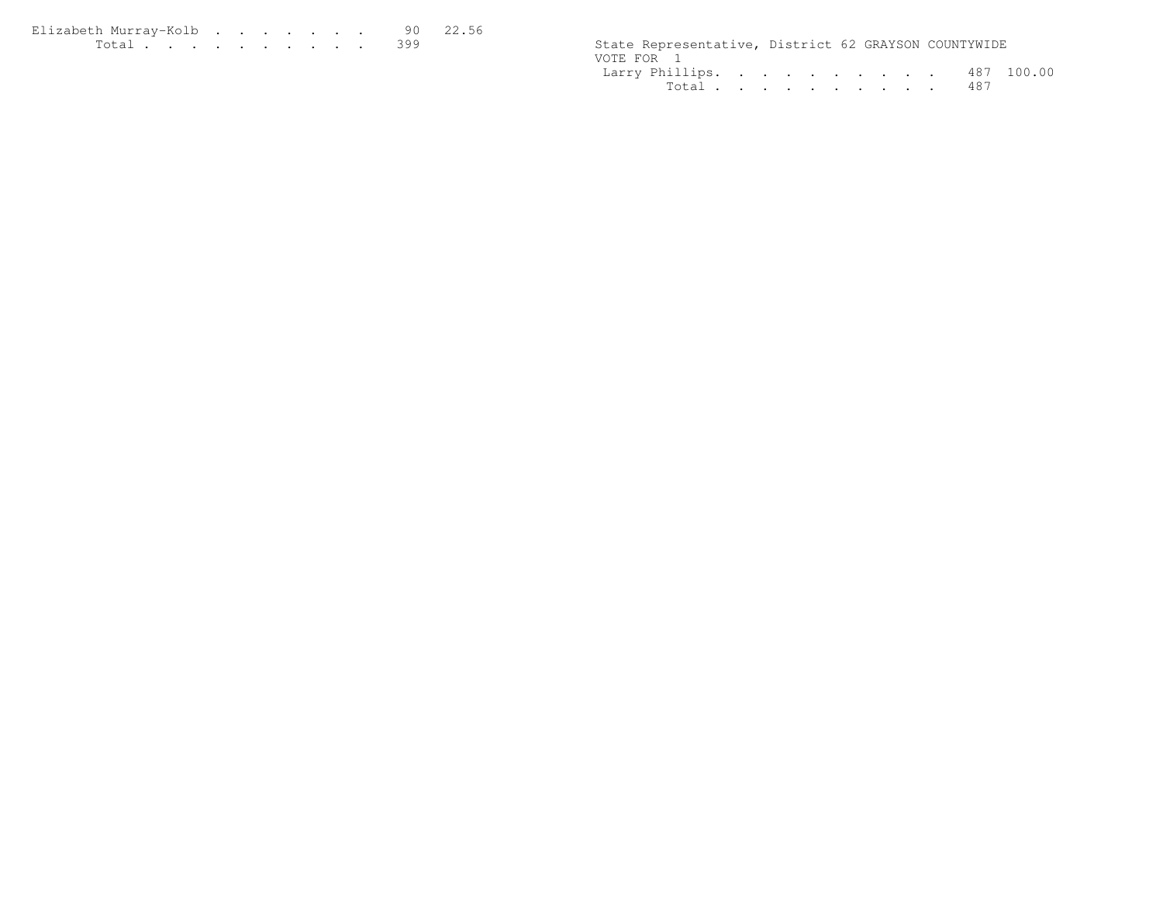| Elizabeth Murrav-Kolb 90 22.56 |  |  |  |  |  |                                                      |  |  |
|--------------------------------|--|--|--|--|--|------------------------------------------------------|--|--|
|                                |  |  |  |  |  | State Representative, District 62 GRAYSON COUNTYWIDE |  |  |

| State Representative, District 62 GRAYSON COUNTYWIDE |  |  |  |  |           |  |
|------------------------------------------------------|--|--|--|--|-----------|--|
| VOTE FOR 1                                           |  |  |  |  |           |  |
| Larry Phillips. 487 100.00                           |  |  |  |  |           |  |
|                                                      |  |  |  |  | Total 487 |  |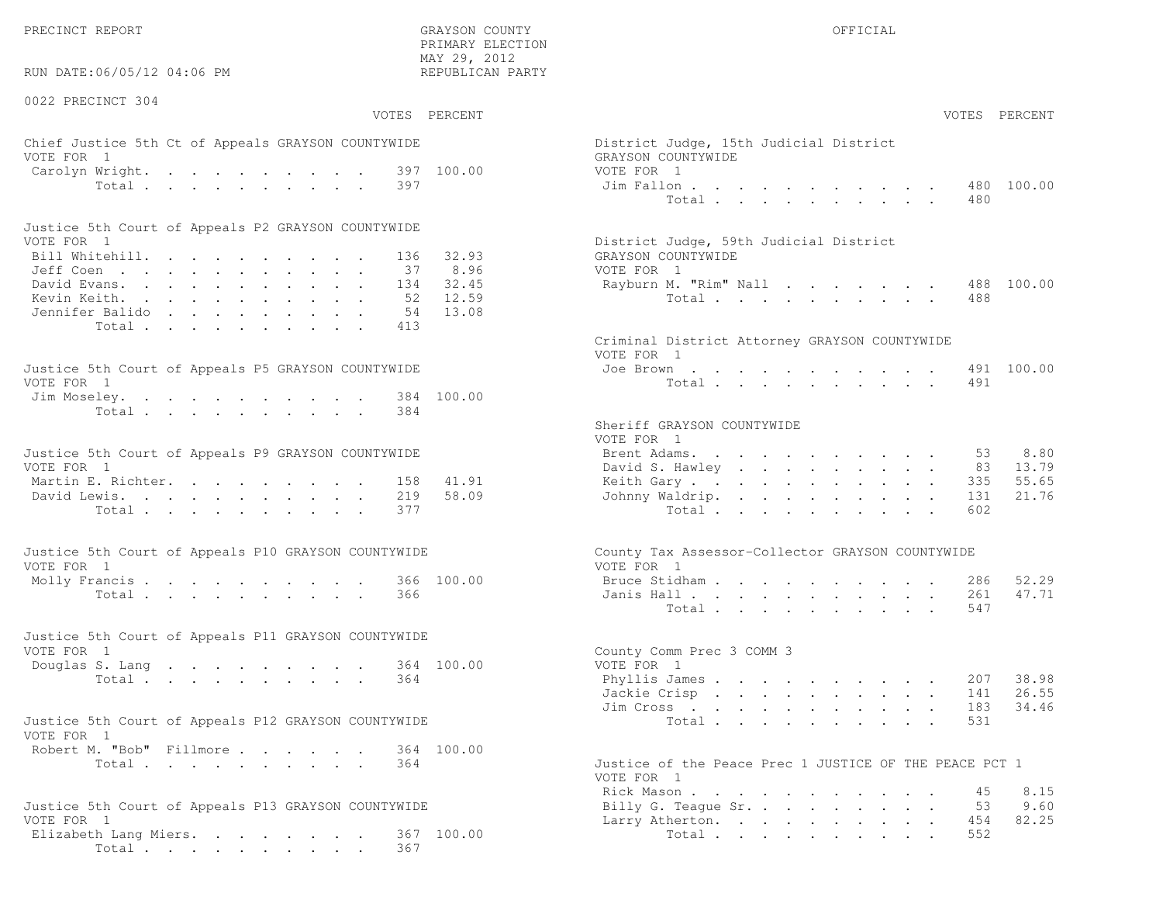PRECINCT REPORT THE COUNTY GRAYSON COUNTY THE COUNTY OFFICIAL OFFICIAL COUNTY OF THE COUNTY OF THE COUNTY OF THE COUNTY OF THE COUNTY OF THE COUNTY OF THE COUNTY OF THE COUNTY OF THE COUNTY OF THE COUNTY OF THE COUNTY OF T

RUN DATE:06/05/12 04:06 PM

0022 PRECINCT 304

VOTES PERCENT VOTES PERCENT

 PRIMARY ELECTION MAY 29, 2012REPUBLICAN PARTY

# Chief Justice 5th Ct of Appeals GRAYSON COUNTYWIDE Dist VOTE FOR 1 GRAYSON COUNTY OF REAL EXPLORER SERVICE SERVICE SERVICE SERVICE SERVICE SERVICE SERVICE SERVICE SERVICE SERVICE SERVICE SERVICE SERVICE SERVICE SERVICE SERVICE SERVICE SERVICE SERVICE SERVICE SERVICE SERVICE SER Carolyn Wright. . . . . . . . . . 397 100.00 VOTE<br>Total . . . . . . . . . . 397 397 Jim Total . . . . . . . . . 397 Jim

| Justice 5th Court of Appeals P2 GRAYSON COUNTYWIDE |  |  |  |  |  |                                        |
|----------------------------------------------------|--|--|--|--|--|----------------------------------------|
| VOTE FOR 1                                         |  |  |  |  |  | District Judge, 59th Judicial District |
| Bill Whitehill. 136 32.93                          |  |  |  |  |  | GRAYSON COUNTYWIDE                     |
| Jeff Coen 37 8.96                                  |  |  |  |  |  | VOTE FOR 1                             |
| David Evans. 134 32.45                             |  |  |  |  |  | Rayburn M. "Rim" Nall 488 100.00       |
| Kevin Keith. 52 12.59                              |  |  |  |  |  | Total 488                              |
| Jennifer Balido 54 13.08                           |  |  |  |  |  |                                        |
| Total 413                                          |  |  |  |  |  |                                        |

| Justice 5th Court of Appeals P5 GRAYSON COUNTYWIDE | Joe Brown 491 100.00 |
|----------------------------------------------------|----------------------|
| VOTE FOR 1                                         | Total 491            |
| Jim Moseley. 384 100.00                            |                      |
| Total 384                                          |                      |

| Justice 5th Court of Appeals P9 GRAYSON COUNTYWIDE | Brent Adams. 53 8.80      |  |  |  |  |  |  |
|----------------------------------------------------|---------------------------|--|--|--|--|--|--|
| VOTE FOR 1                                         | David S. Hawley 83 13.79  |  |  |  |  |  |  |
| Martin E. Richter. 158 41.91                       | Keith Gary 335 55.65      |  |  |  |  |  |  |
| David Lewis. 219 58.09                             | Johnny Waldrip. 131 21.76 |  |  |  |  |  |  |
| Total 377                                          | Total 602                 |  |  |  |  |  |  |

| Justice 5th Court of Appeals P10 GRAYSON COUNTYWIDE | County Tax Assessor-Collector GRAYSON COUNTYWIDE |
|-----------------------------------------------------|--------------------------------------------------|
| VOTE FOR 1                                          | VOTE FOR 1                                       |
| Molly Francis 366 100.00                            | Bruce Stidham 286 52.29                          |
| Total 366                                           | Janis Hall <b>.</b> 261 47.71                    |

| Justice 5th Court of Appeals P11 GRAYSON COUNTYWIDE |  |  |  |  |           |                           |  |
|-----------------------------------------------------|--|--|--|--|-----------|---------------------------|--|
| VOTE FOR 1                                          |  |  |  |  |           | County Comm Prec 3 COMM 3 |  |
| Douglas S. Lang 364 100.00                          |  |  |  |  |           | VOTE FOR 1                |  |
|                                                     |  |  |  |  | Total 364 | Phyllis James 207 38.98   |  |

| Justice 5th Court of Appeals P12 GRAYSON COUNTYWIDE |           |  |  |  |                                                    |  |  | Total 531 |  |  |
|-----------------------------------------------------|-----------|--|--|--|----------------------------------------------------|--|--|-----------|--|--|
| VOTE FOR 1                                          |           |  |  |  |                                                    |  |  |           |  |  |
| Robert M. "Bob" Fillmore 364 100.00                 |           |  |  |  |                                                    |  |  |           |  |  |
|                                                     | Total 364 |  |  |  | Justice of the Peace Prec 1 JUSTICE OF THE PEACE F |  |  |           |  |  |

| Justice 5th Court of Appeals P13 GRAYSON COUNTYWIDE | Billy G. Teague Sr. 53 9.60 |  |
|-----------------------------------------------------|-----------------------------|--|
| VOTE FOR 1                                          | Larry Atherton. 454 82.25   |  |
| Elizabeth Lang Miers. 367 100.00                    | Total 552                   |  |
| Total 367                                           |                             |  |

| AY 29, 2012<br>EPUBLICAN PARTY |                                                                                              |                |  |  |                                     |  |                                                                                 |                      |               |               |
|--------------------------------|----------------------------------------------------------------------------------------------|----------------|--|--|-------------------------------------|--|---------------------------------------------------------------------------------|----------------------|---------------|---------------|
| PERCENT                        |                                                                                              |                |  |  |                                     |  |                                                                                 |                      | VOTES PERCENT |               |
| 100.00                         | District Judge, 15th Judicial District<br>GRAYSON COUNTYWIDE<br>VOTE FOR 1<br>Jim Fallon 480 |                |  |  |                                     |  |                                                                                 |                      |               | 100.00        |
|                                |                                                                                              | Total          |  |  |                                     |  |                                                                                 |                      | 480           |               |
| 32.93<br>8.96                  | District Judge, 59th Judicial District<br>GRAYSON COUNTYWIDE<br>VOTE FOR 1                   |                |  |  |                                     |  |                                                                                 |                      |               |               |
| 32.45<br>12.59<br>13.08        | Rayburn M. "Rim" Nall                                                                        | Total $\cdots$ |  |  |                                     |  |                                                                                 |                      | 488           | 488 100.00    |
|                                | Criminal District Attorney GRAYSON COUNTYWIDE<br>VOTE FOR 1                                  |                |  |  |                                     |  |                                                                                 |                      |               |               |
| 100.00                         | Joe Brown                                                                                    | Total          |  |  |                                     |  | $\mathbf{z} = \mathbf{z} + \mathbf{z} + \mathbf{z} + \mathbf{z} + \mathbf{z}$ . |                      | 491           | 491 100.00    |
|                                | Sheriff GRAYSON COUNTYWIDE<br>VOTE FOR 1                                                     |                |  |  |                                     |  |                                                                                 |                      |               |               |
|                                | Brent Adams.<br>David S. Hawley                                                              |                |  |  |                                     |  |                                                                                 |                      | 53<br>83      | 8.80<br>13.79 |
| 41.91                          | Keith Gary                                                                                   |                |  |  |                                     |  | $\sim$                                                                          | $\ddot{\phantom{0}}$ | 335           | 55.65         |
| 58.09                          | Johnny Waldrip.                                                                              | Total $\cdots$ |  |  |                                     |  |                                                                                 |                      | 131<br>602    | 21.76         |
|                                | County Tax Assessor-Collector GRAYSON COUNTYWIDE<br>VOTE FOR 1                               |                |  |  |                                     |  |                                                                                 |                      |               |               |
| 100.00                         | Bruce Stidham                                                                                |                |  |  | the contract of the contract of the |  |                                                                                 |                      | 286           | 52.29         |
|                                | Janis Hall                                                                                   | Total          |  |  |                                     |  |                                                                                 |                      | 261<br>547    | 47.71         |
| 100.00                         | County Comm Prec 3 COMM 3<br>VOTE FOR 1                                                      |                |  |  |                                     |  |                                                                                 |                      |               |               |
|                                | Phyllis James                                                                                |                |  |  |                                     |  |                                                                                 |                      | . 207         | 38.98         |
|                                | Jackie Crisp                                                                                 |                |  |  |                                     |  |                                                                                 |                      | 141           | 26.55         |
|                                | Jim Cross                                                                                    | Total          |  |  |                                     |  |                                                                                 |                      | 183<br>531    | 34.46         |
| 100.00                         | Justice of the Peace Prec 1 JUSTICE OF THE PEACE PCT 1                                       |                |  |  |                                     |  |                                                                                 |                      |               |               |
|                                | VOTE FOR 1                                                                                   |                |  |  |                                     |  |                                                                                 |                      |               |               |
|                                | Rick Mason                                                                                   |                |  |  |                                     |  |                                                                                 |                      | 45            | 8.15          |
|                                | Billy G. Teague Sr.<br>Larry Atherton.                                                       |                |  |  |                                     |  | $\bullet$                                                                       |                      | 53<br>454     | 9.60<br>82.25 |
|                                |                                                                                              |                |  |  |                                     |  |                                                                                 |                      |               |               |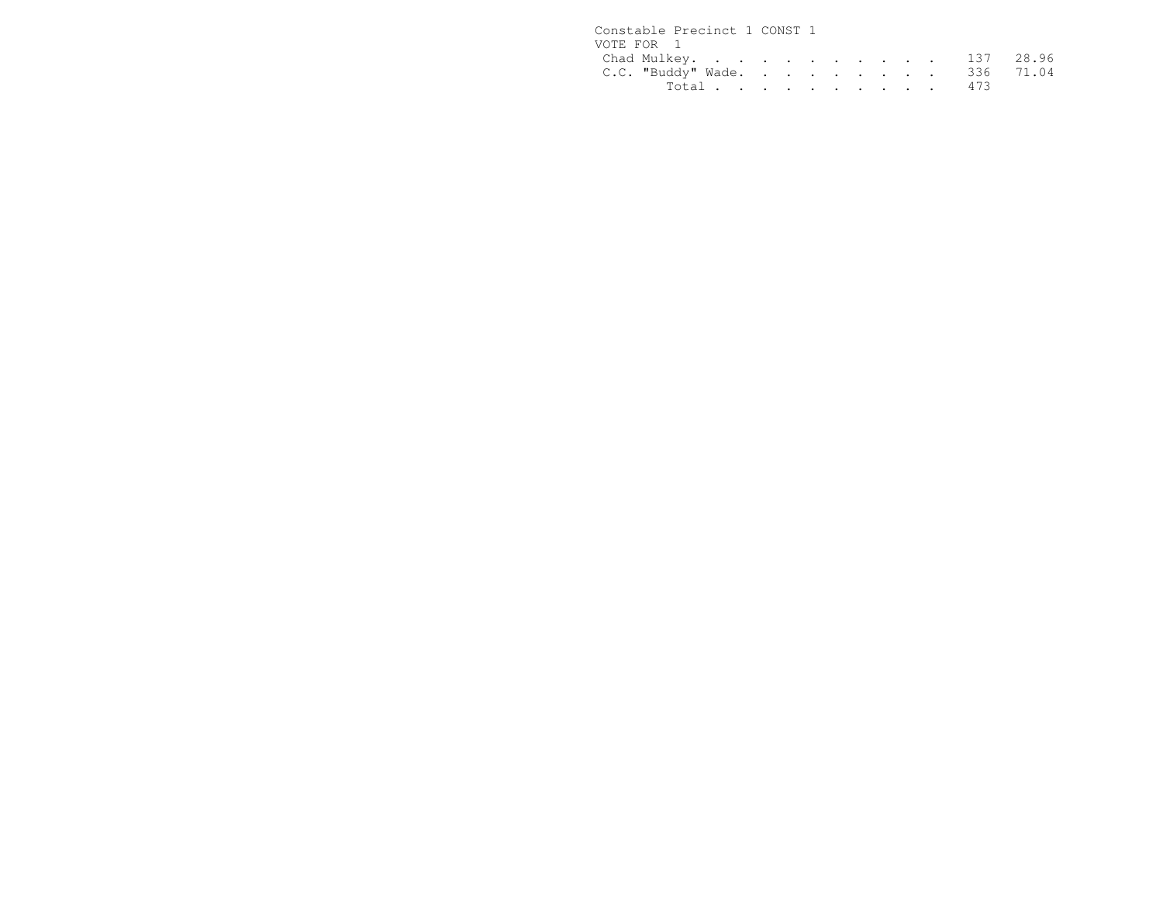| Constable Precinct 1 CONST 1 |                              |  |  |  |  |  |
|------------------------------|------------------------------|--|--|--|--|--|
| VOTE FOR 1                   |                              |  |  |  |  |  |
|                              | Chad Mulkey. 137 28.96       |  |  |  |  |  |
|                              | C.C. "Buddy" Wade. 336 71.04 |  |  |  |  |  |
|                              | Total 473                    |  |  |  |  |  |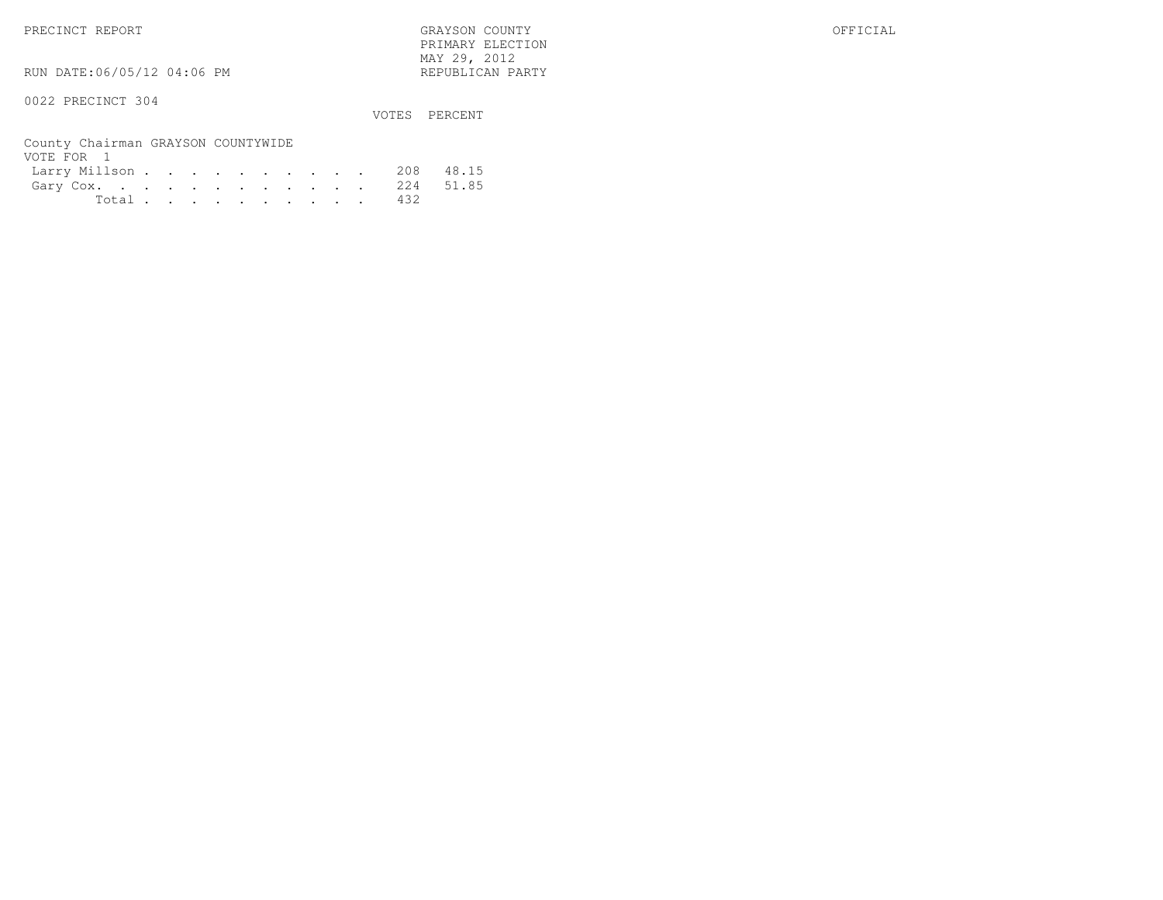PRECINCT REPORT GRAYSON COUNTY OFFICIAL PRIMARY ELECTION $\text{MAX } 29, \quad 2012$ 

RUN DATE:06/05/12 04:06 PM

### 0022 PRECINCT 304

VOTES PERCENT

| County Chairman GRAYSON COUNTYWIDE |  |  |  |  |  |           |  |
|------------------------------------|--|--|--|--|--|-----------|--|
| VOTE FOR 1                         |  |  |  |  |  |           |  |
| Larry Millson 208 48.15            |  |  |  |  |  |           |  |
| Gary Cox. 224 51.85                |  |  |  |  |  |           |  |
|                                    |  |  |  |  |  | Total 432 |  |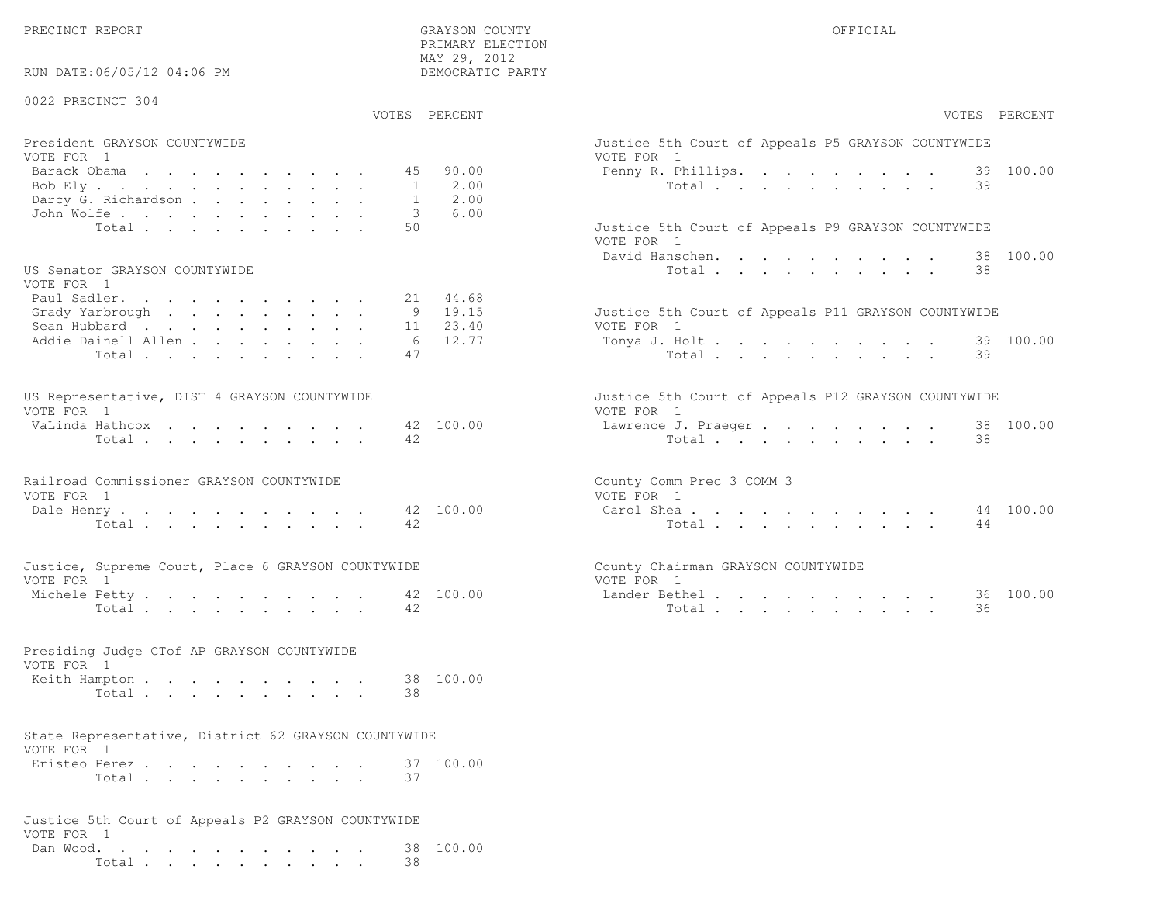PRIMARY ELECTION

| RUN DATE:06/05/12 04:06 PM                                                                    | MAY 29, 2012<br>DEMOCRATIC PARTY                          |                                                                                                                       |
|-----------------------------------------------------------------------------------------------|-----------------------------------------------------------|-----------------------------------------------------------------------------------------------------------------------|
| 0022 PRECINCT 304                                                                             | VOTES PERCENT                                             | VOTES PERCENT                                                                                                         |
| President GRAYSON COUNTYWIDE<br>VOTE FOR 1<br>Barack Obama<br>Bob Ely.                        | 90.00<br>45<br>2.00<br>1                                  | Justice 5th Court of Appeals P5 GRAYSON COUNTYWIDE<br>VOTE FOR 1<br>100.00<br>Penny R. Phillips.<br>39<br>Total<br>39 |
| Darcy G. Richardson<br>John Wolfe.<br>Total<br>US Senator GRAYSON COUNTYWIDE                  | 2.00<br>1<br>6.00<br>3<br>50                              | Justice 5th Court of Appeals P9 GRAYSON COUNTYWIDE<br>VOTE FOR 1<br>38 100.00<br>David Hanschen.<br>Total<br>38       |
| VOTE FOR 1<br>Paul Sadler.<br>Grady Yarbrough<br>Sean Hubbard<br>Addie Dainell Allen<br>Total | 44.68<br>21<br>9 19.15<br>23.40<br>11<br>12.77<br>6<br>47 | Justice 5th Court of Appeals P11 GRAYSON COUNTYWIDE<br>VOTE FOR 1<br>39 100.00<br>Tonya J. Holt<br>39<br>Total        |
| US Representative, DIST 4 GRAYSON COUNTYWIDE<br>VOTE FOR 1<br>VaLinda Hathcox<br>Total        | 42 100.00<br>42                                           | Justice 5th Court of Appeals P12 GRAYSON COUNTYWIDE<br>VOTE FOR 1<br>38 100.00<br>Lawrence J. Praeger<br>Total<br>38  |
| Railroad Commissioner GRAYSON COUNTYWIDE<br>VOTE FOR 1<br>Dale Henry<br>Total                 | 42 100.00<br>42                                           | County Comm Prec 3 COMM 3<br>VOTE FOR 1<br>44 100.00<br>Carol Shea<br>44<br>Total                                     |
| Justice, Supreme Court, Place 6 GRAYSON COUNTYWIDE<br>VOTE FOR 1<br>Michele Petty<br>Total    | 42 100.00<br>42                                           | County Chairman GRAYSON COUNTYWIDE<br>VOTE FOR 1<br>Lander Bethel.<br>36 100.00<br>Total<br>36                        |
| Presiding Judge CTof AP GRAYSON COUNTYWIDE<br>VOTE FOR 1<br>Keith Hampton<br>Total            | 38 100.00<br>38                                           |                                                                                                                       |
| State Representative, District 62 GRAYSON COUNTYWIDE<br>VOTE FOR 1<br>Eristeo Perez<br>Total  | 37 100.00<br>37                                           |                                                                                                                       |
| Justice 5th Court of Appeals P2 GRAYSON COUNTYWIDE<br>VOTE FOR 1<br>Dan Wood.<br>Total.       | 38 100.00<br>38                                           |                                                                                                                       |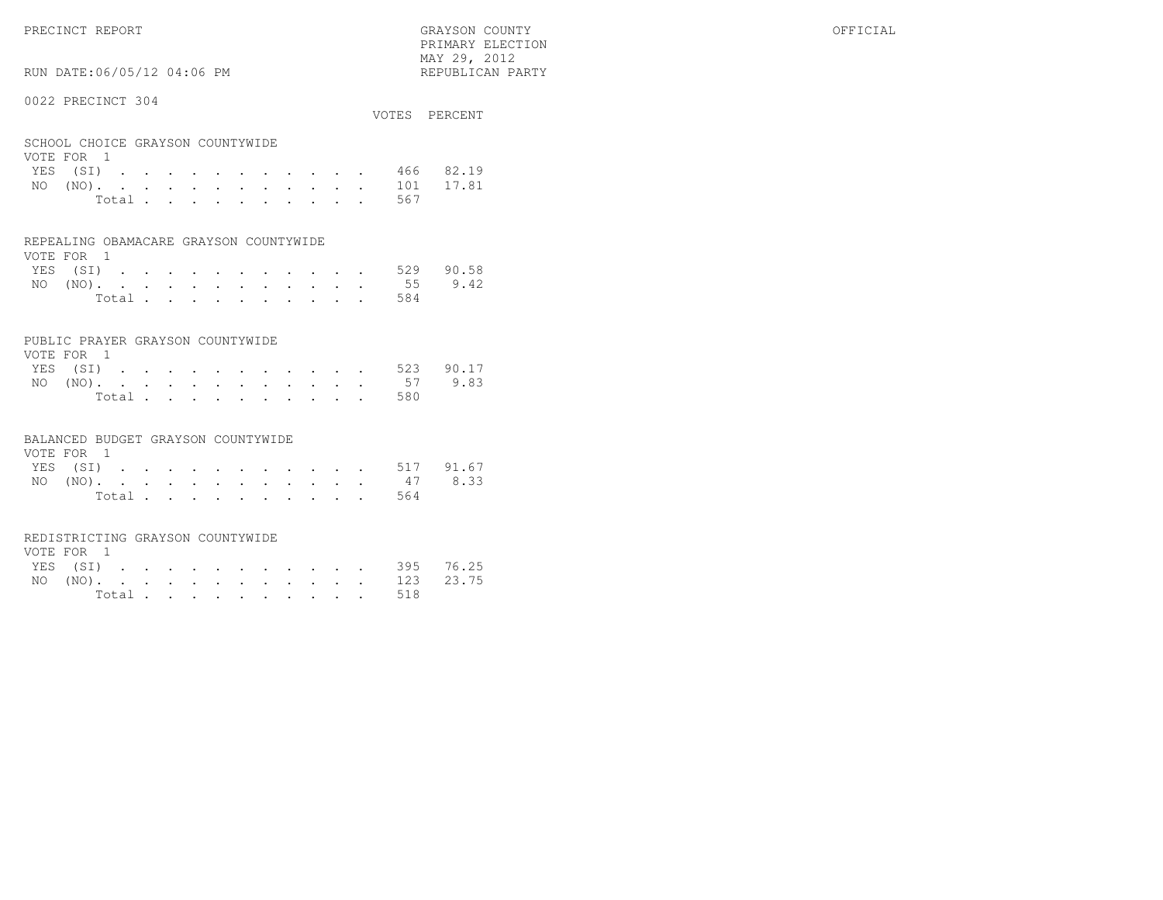RUN DATE:06/05/12 04:06 PM

### 0022 PRECINCT 304

|                                  | VOTES PERCENT |
|----------------------------------|---------------|
| SCHOOL CHOICE GRAYSON COUNTYWIDE |               |
| VOTE FOR 1                       |               |
| $\mathbf{r}$                     | $100 - 0010$  |

 PRIMARY ELECTION MAY 29, 2012REPUBLICAN PARTY

|  |  |  |  |  |  | YES (SI) 466 82.19 |  |
|--|--|--|--|--|--|--------------------|--|
|  |  |  |  |  |  | NO (NO). 101 17.81 |  |
|  |  |  |  |  |  | Total 567          |  |

### REPEALING OBAMACARE GRAYSON COUNTYWIDE

| VOTE FOR 1 |  |  |  |  |  |  |                    |  |
|------------|--|--|--|--|--|--|--------------------|--|
|            |  |  |  |  |  |  | YES (SI) 529 90.58 |  |
|            |  |  |  |  |  |  | NO (NO). 55 9.42   |  |
|            |  |  |  |  |  |  | Total 584          |  |

### PUBLIC PRAYER GRAYSON COUNTYWIDE

| VOTE FOR 1 |  |  |  |  |  |           |                    |
|------------|--|--|--|--|--|-----------|--------------------|
|            |  |  |  |  |  |           | YES (SI) 523 90.17 |
|            |  |  |  |  |  |           | NO (NO). 57 9.83   |
|            |  |  |  |  |  | Total 580 |                    |

### BALANCED BUDGET GRAYSON COUNTYWIDE

| VOTE FOR 1 |  |  |  |  |  |  |                    |  |
|------------|--|--|--|--|--|--|--------------------|--|
|            |  |  |  |  |  |  | YES (SI) 517 91.67 |  |
|            |  |  |  |  |  |  | NO (NO). 47 8.33   |  |
|            |  |  |  |  |  |  | Total 564          |  |

### REDISTRICTING GRAYSON COUNTYWIDE

| VOTE FOR 1 |  |  |  |  |  |  |                    |  |
|------------|--|--|--|--|--|--|--------------------|--|
|            |  |  |  |  |  |  | YES (SI) 395 76.25 |  |
|            |  |  |  |  |  |  | NO (NO). 123 23.75 |  |
|            |  |  |  |  |  |  | Total 518          |  |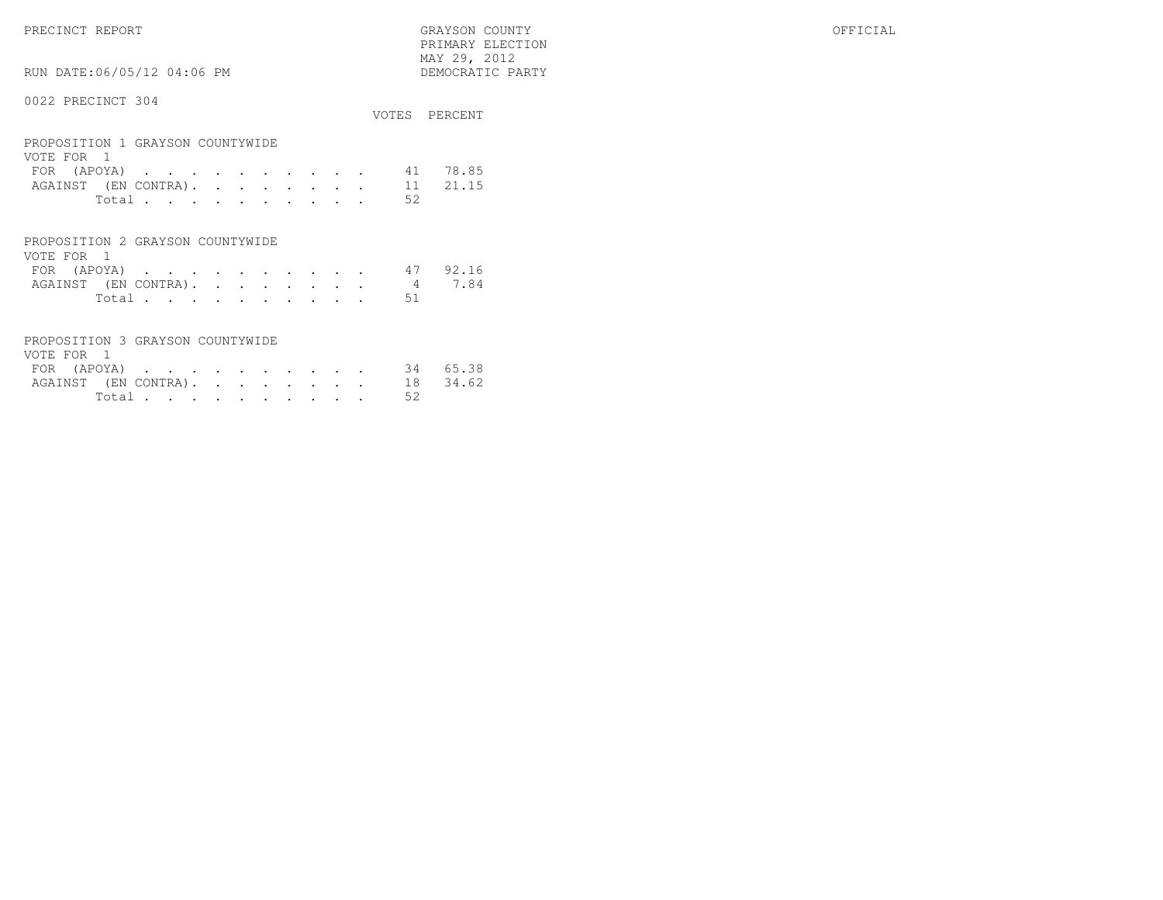PRECINCT REPORT GRAYSON COUNTY OFFICIAL PRIMARY ELECTION $\begin{array}{lll} \text{MAX} & 29, & 2012 \\ \text{NAY} & 29, & 2012 \end{array}$ 

RUN DATE:06/05/12 04:06 PM

|                                                |  |  |  |  |    | VOTES PERCENT |
|------------------------------------------------|--|--|--|--|----|---------------|
| PROPOSITION 1 GRAYSON COUNTYWIDE<br>VOTE FOR 1 |  |  |  |  |    |               |
| FOR (APOYA) 41 78.85                           |  |  |  |  |    |               |
| AGAINST (EN CONTRA). 11 21.15                  |  |  |  |  |    |               |
| Total                                          |  |  |  |  | 52 |               |
|                                                |  |  |  |  |    |               |

| PROPOSITION 2 GRAYSON COUNTYWIDE |  |  |  |  |  |                             |  |
|----------------------------------|--|--|--|--|--|-----------------------------|--|
| VOTE FOR 1                       |  |  |  |  |  |                             |  |
|                                  |  |  |  |  |  | FOR (APOYA) 47 92.16        |  |
|                                  |  |  |  |  |  | AGAINST (EN CONTRA). 4 7.84 |  |
|                                  |  |  |  |  |  | Total 51                    |  |

| PROPOSITION 3 GRAYSON COUNTYWIDE |                |  |  |  |  |    |          |
|----------------------------------|----------------|--|--|--|--|----|----------|
| VOTE FOR 1                       |                |  |  |  |  |    |          |
| FOR (APOYA) 34 65.38             |                |  |  |  |  |    |          |
| AGAINST (EN CONTRA).             |                |  |  |  |  |    | 18 34.62 |
|                                  | Total $\cdots$ |  |  |  |  | 52 |          |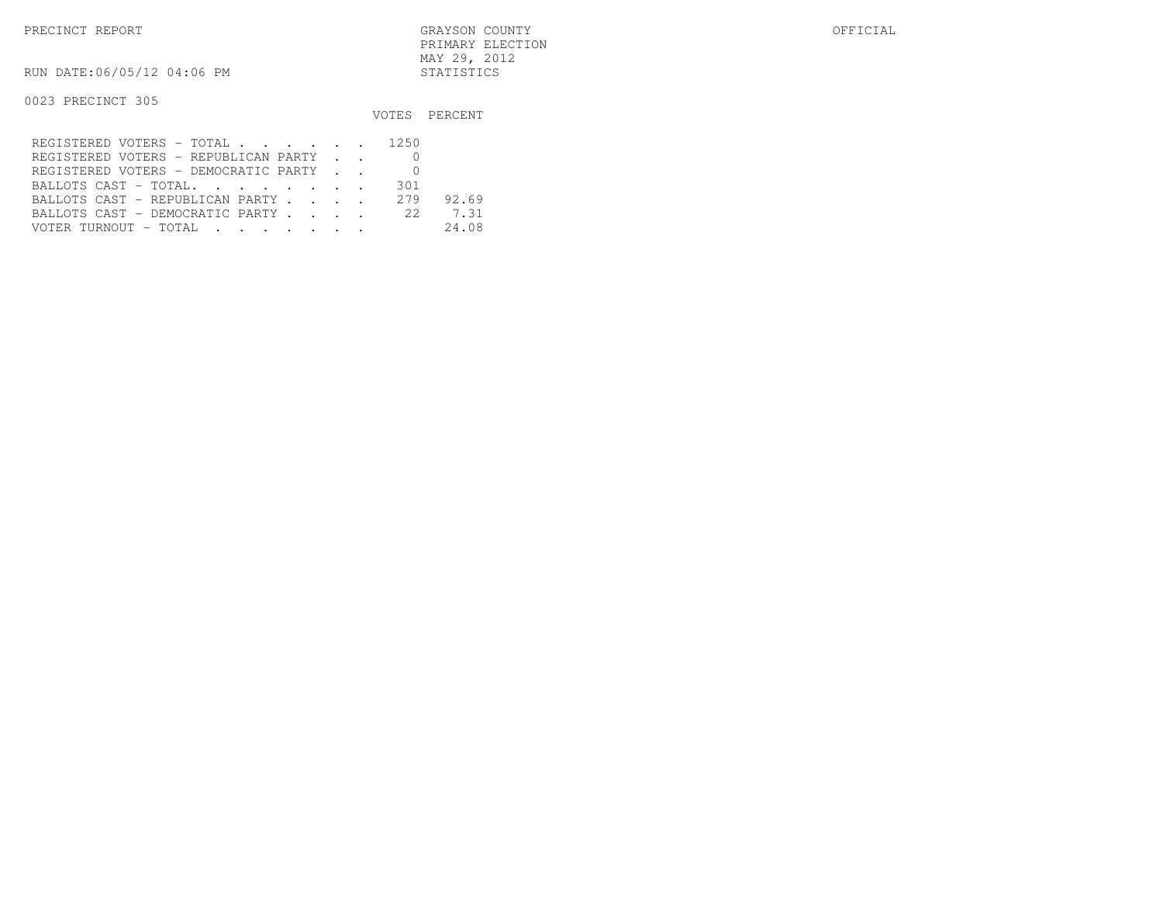PRECINCT REPORT GRAYSON COUNTY OFFICIAL PRIMARY ELECTIONMAY 29, 2012

RUN DATE:06/05/12 04:06 PM STATISTICS

|                                      |     | VOTES PERCENT |
|--------------------------------------|-----|---------------|
| REGISTERED VOTERS - TOTAL 1250       |     |               |
| REGISTERED VOTERS - REPUBLICAN PARTY |     |               |
| REGISTERED VOTERS - DEMOCRATIC PARTY |     |               |
| BALLOTS CAST - TOTAL.                | 301 |               |
| BALLOTS CAST - REPUBLICAN PARTY      | 279 | 92.69         |
| BALLOTS CAST - DEMOCRATIC PARTY 22   |     | 7.31          |
|                                      |     | 24.08         |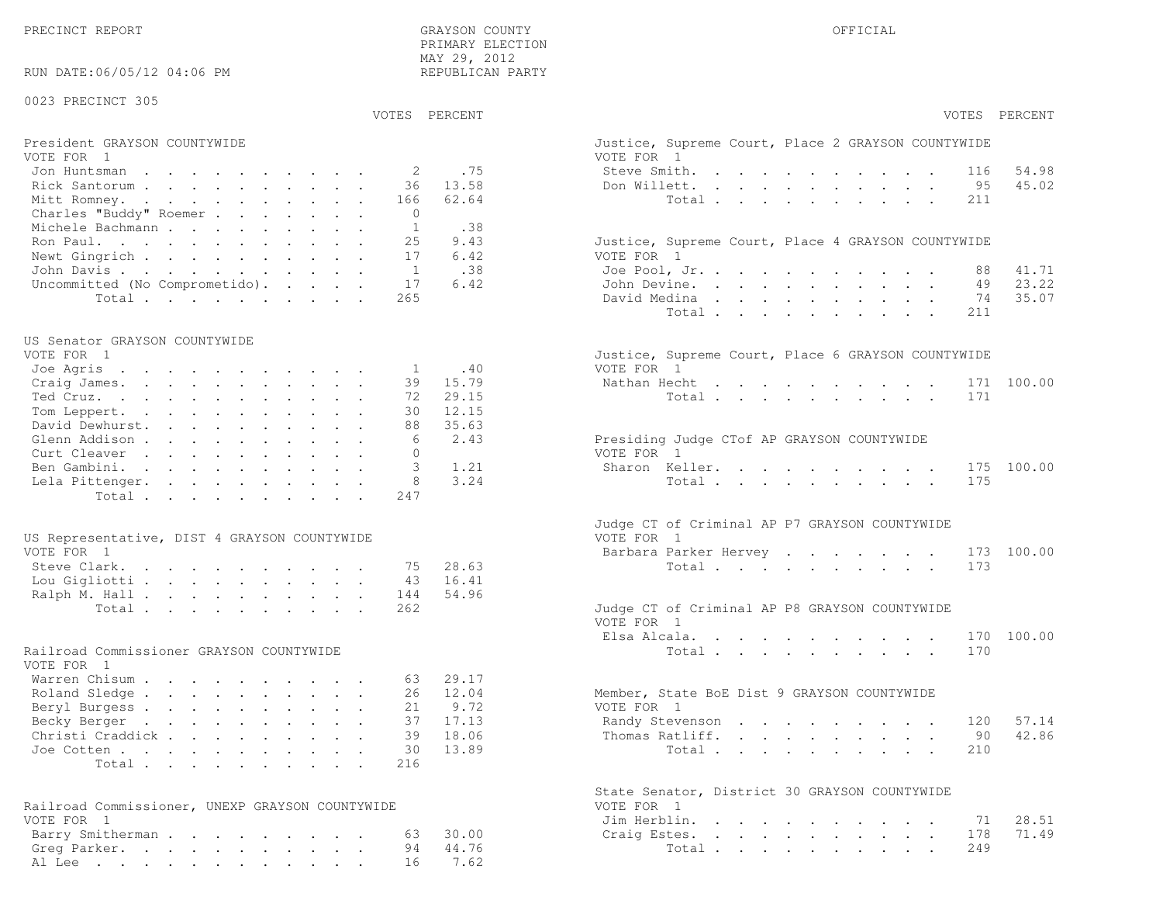PRECINCT REPORT OF THE SERVICE OF THE GRAYSON COUNTY OF THE GRAYSON COUNTY OF THE GRAYSON OF THE GRAYSON COUNTY PRIMARY ELECTION MAY 29, 2012REPUBLICAN PARTY

### RUN DATE:06/05/12 04:06 PM

### 0023 PRECINCT 305

VOTES PERCENT VOTES PERCENT

# President GRAYSON COUNTYWIDE Justice, Superior Court, Place 2 Grayson, Place 2 Grayson, Place 2 Grayson, Place 2 Grayson, Place 2 Grayson, Place 2 Grayson, Place 2 Grayson, Place 2 Grayson, Place 2 Grayson, Place 2 Grayson

| VOTE FOR 1                             | VOTE FOR 1                                         |
|----------------------------------------|----------------------------------------------------|
| Jon Huntsman 2 .75                     | 54.98<br>Steve Smith. 116                          |
| Rick Santorum 36 13.58                 | Don Willett. 95 45.02                              |
| Mitt Romney. 166 62.64                 | Total 211                                          |
| Charles "Buddy" Roemer 0               |                                                    |
| Michele Bachmann 1 .38                 |                                                    |
| Ron Paul. 25 9.43                      | Justice, Supreme Court, Place 4 GRAYSON COUNTYWIDE |
| Newt Gingrich 17 6.42                  | VOTE FOR 1                                         |
| John Davis 1 .38                       | Joe Pool, Jr. 88 41.71                             |
| Uncommitted (No Comprometido). 17 6.42 | John Devine. 49 23.22                              |
| Total 265                              | 74 35.07<br>David Medina                           |

### US Senator GRAYSON COUNTYWIDE

| VOTE FOR 1               | Justice, Supreme Court, Place 6 GRAYSON COUNTYWIDE |
|--------------------------|----------------------------------------------------|
| Joe Agris 1 .40          | VOTE FOR 1                                         |
| Craig James. 39 15.79    | Nathan Hecht 171 100.00                            |
| Ted Cruz. 72 29.15       | Total 171                                          |
| 30 12.15<br>Tom Leppert. |                                                    |
| David Dewhurst. 88 35.63 |                                                    |
| 6 2.43<br>Glenn Addison  | Presiding Judge CTof AP GRAYSON COUNTYWIDE         |
| Curt Cleaver<br>$\Omega$ | VOTE FOR 1                                         |
| Ben Gambini. 3 1.21      | Sharon Keller. 175 100.00                          |
| Lela Pittenger. 8 3.24   | Total175                                           |
| Total 247                |                                                    |
|                          |                                                    |

| US Representative, DIST 4 GRAYSON COUNTYWIDE |  |  |  |  |  | VOTE FOR 1                                    |  |
|----------------------------------------------|--|--|--|--|--|-----------------------------------------------|--|
| VOTE FOR 1                                   |  |  |  |  |  | Barbara Parker Hervey 173 100.00              |  |
| Steve Clark. 75 28.63                        |  |  |  |  |  | Total 173                                     |  |
| Lou Gigliotti 43 16.41                       |  |  |  |  |  |                                               |  |
| Ralph M. Hall 144 54.96                      |  |  |  |  |  |                                               |  |
| Total 262                                    |  |  |  |  |  | Judge CT of Criminal AP P8 GRAYSON COUNTYWIDE |  |

### Railroad Commissioner GRAYSON COUNTYWIDE

| VOTE FOR 1                |  |  |  |  |  |                                             |
|---------------------------|--|--|--|--|--|---------------------------------------------|
| Warren Chisum 63 29.17    |  |  |  |  |  |                                             |
| Roland Sledge 26 12.04    |  |  |  |  |  | Member, State BoE Dist 9 GRAYSON COUNTYWIDE |
| Beryl Burgess 21 9.72     |  |  |  |  |  | VOTE FOR 1                                  |
| Becky Berger 37 17.13     |  |  |  |  |  | Randy Stevenson 120 57.14                   |
| Christi Craddick 39 18.06 |  |  |  |  |  | Thomas Ratliff. 90 42.86                    |
| Joe Cotten 30 13.89       |  |  |  |  |  | Total 210                                   |
| Total 216                 |  |  |  |  |  |                                             |

| Railroad Commissioner, UNEXP GRAYSON COUNTYWIDE | VOTE FOR 1             |
|-------------------------------------------------|------------------------|
| VOTE FOR 1                                      | Jim Herblin. 71 28.51  |
| Barry Smitherman 63 30.00                       | Craig Estes. 178 71.49 |
| Greg Parker. 94 44.76                           | Total 249              |
| Al Lee 16 7.62                                  |                        |

| PERCENT      | VOTES PERCENT                                                                                                                                                                                                              |
|--------------|----------------------------------------------------------------------------------------------------------------------------------------------------------------------------------------------------------------------------|
|              | Justice, Supreme Court, Place 2 GRAYSON COUNTYWIDE<br>VOTE FOR 1                                                                                                                                                           |
| .75          | Steve Smith. .<br>116 54.98<br>$\mathcal{L}^{\mathcal{L}}$ , and $\mathcal{L}^{\mathcal{L}}$ , and $\mathcal{L}^{\mathcal{L}}$<br>and the contract of the con-<br>$\sim$<br>$\sim$ $\sim$                                  |
| 13.58        | 95 45.02<br>Don Willett.<br>$\ddot{\phantom{0}}$<br>$\sim$ 100 $\pm$<br>$\mathbf{r} = \mathbf{r}$<br>$\mathbf{r} = \mathbf{r} \cdot \mathbf{r}$ , where $\mathbf{r} = \mathbf{r} \cdot \mathbf{r}$<br>$\ddot{\phantom{a}}$ |
| 62.64        | Total<br>211<br>$\mathbf{r}$ , $\mathbf{r}$ , $\mathbf{r}$ , $\mathbf{r}$ , $\mathbf{r}$                                                                                                                                   |
|              |                                                                                                                                                                                                                            |
| .38          |                                                                                                                                                                                                                            |
| 9.43<br>6.42 | Justice, Supreme Court, Place 4 GRAYSON COUNTYWIDE<br>VOTE FOR 1                                                                                                                                                           |
| .38          | Joe Pool, Jr.<br>88<br>41.71<br>$\sim$<br>$\mathbf{r}$<br>$\mathbf{A}^{(1)}$ and $\mathbf{A}^{(2)}$ and $\mathbf{A}^{(3)}$<br>$\mathbf{L}$                                                                                 |
| 6.42         | 49 23.22<br>John Devine.<br>$\mathcal{L}^{\pm}$<br>$\sim$<br>$\mathbf{r} = \mathbf{r} \cdot \mathbf{r}$<br>$\sim$                                                                                                          |
|              | David Medina<br>74 35.07<br>$\bullet$ .<br>$\bullet$ .<br>$\bullet$ .<br>$\bullet$ .                                                                                                                                       |
|              | Total<br>211<br>$\sim$ $-$<br>$\mathbf{L} = \mathbf{L}$<br>$\ddot{\phantom{a}}$<br>$\mathbf{L}$<br>$\mathcal{L}^{\text{max}}$<br>$\mathbf{L}$<br>$\ddot{\phantom{a}}$                                                      |
|              |                                                                                                                                                                                                                            |
|              | Justice, Supreme Court, Place 6 GRAYSON COUNTYWIDE                                                                                                                                                                         |
| .40          | VOTE FOR 1                                                                                                                                                                                                                 |
| 15.79        | Nathan Hecht<br>100.00<br>171                                                                                                                                                                                              |
| 29.15        | 171<br>Total                                                                                                                                                                                                               |
| 12.15        |                                                                                                                                                                                                                            |
| 35.63        |                                                                                                                                                                                                                            |
| 2.43         | Presiding Judge CTof AP GRAYSON COUNTYWIDE                                                                                                                                                                                 |
|              | VOTE FOR 1                                                                                                                                                                                                                 |
| 1.21         | Sharon Keller.<br>175<br>100.00                                                                                                                                                                                            |
| 3.24         | 175<br>Total<br>$\mathbf{r}$                                                                                                                                                                                               |
|              |                                                                                                                                                                                                                            |
|              | Judge CT of Criminal AP P7 GRAYSON COUNTYWIDE                                                                                                                                                                              |
|              | VOTE FOR 1                                                                                                                                                                                                                 |
|              | Barbara Parker Hervey<br>100.00<br>173                                                                                                                                                                                     |
| 28.63        | 173<br>Total                                                                                                                                                                                                               |
| 16.41        |                                                                                                                                                                                                                            |
| 54.96        |                                                                                                                                                                                                                            |
|              | Judge CT of Criminal AP P8 GRAYSON COUNTYWIDE                                                                                                                                                                              |
|              | VOTE FOR 1                                                                                                                                                                                                                 |
|              | Elsa Alcala.<br>170<br>100.00<br>$\mathbf{L}^{\text{max}}$                                                                                                                                                                 |
|              | 170<br>Total.<br>$\mathbf{r}$ , and $\mathbf{r}$ , and $\mathbf{r}$ , and $\mathbf{r}$ , and $\mathbf{r}$                                                                                                                  |
|              |                                                                                                                                                                                                                            |
| 29.17        |                                                                                                                                                                                                                            |
| 12.04        | Member, State BoE Dist 9 GRAYSON COUNTYWIDE                                                                                                                                                                                |
| 9.72         | VOTE FOR 1                                                                                                                                                                                                                 |
| 17.13        | Randy Stevenson<br>120 57.14                                                                                                                                                                                               |
| 18.06        | 90 42.86                                                                                                                                                                                                                   |
|              | Thomas Ratliff.<br>$\mathbf{z} = \left\{ \mathbf{z}_1, \ldots, \mathbf{z}_n \right\}$ , where<br>$\bullet$ .                                                                                                               |
| 13.89        | 210<br>Total                                                                                                                                                                                                               |
|              |                                                                                                                                                                                                                            |
|              | State Senator, District 30 GRAYSON COUNTYWIDE<br>VOTE FOR 1                                                                                                                                                                |
|              | Jim Herblin.<br>71<br>28.51<br>$\ddot{\phantom{a}}$<br>$\sim$<br>$\ddot{\phantom{a}}$<br>$\ddot{\phantom{0}}$<br>$\blacksquare$<br>$\ddot{\phantom{a}}$<br>$\sim$ $\sim$<br>$\sim$                                         |
| 30.00        | 71.49<br>Craig Estes.<br>178<br>$\mathbf{L}$<br>$\sim$<br>$\mathbf{L}^{\text{max}}$ , and $\mathbf{L}^{\text{max}}$<br>$\ddot{\phantom{0}}$<br>$\bullet$ .<br>$\sim$<br>$\mathcal{L}^{\text{max}}$<br>$\ddot{\phantom{0}}$ |
| 44.76        | 249<br>Total .<br>the contract of the contract of the contract of the contract of the contract of                                                                                                                          |
| 7.62         | $\mathbf{a}^{\prime}$ , $\mathbf{a}^{\prime}$ , $\mathbf{a}^{\prime}$ , $\mathbf{a}^{\prime}$ , $\mathbf{a}^{\prime}$ ,                                                                                                    |
|              |                                                                                                                                                                                                                            |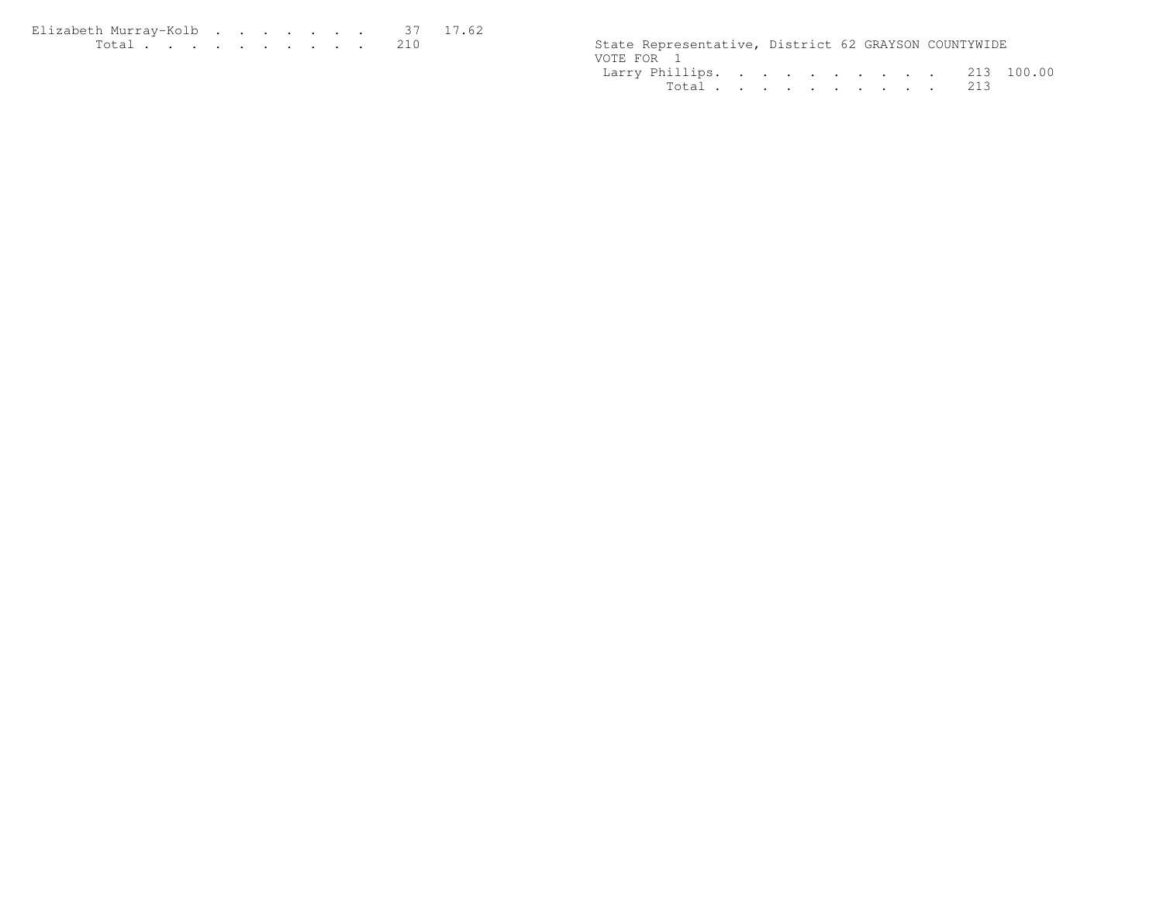Elizabeth Murray-Kolb . . . . . . . 37 17.62 <br>Total . . . . . . . . . . 210

State Representative, District 62 GRAYSON COUNTYWIDE VOTE FOR 1 Larry Phillips. . . . . . . . . . 213 100.00Total . . . . . . . . . . 213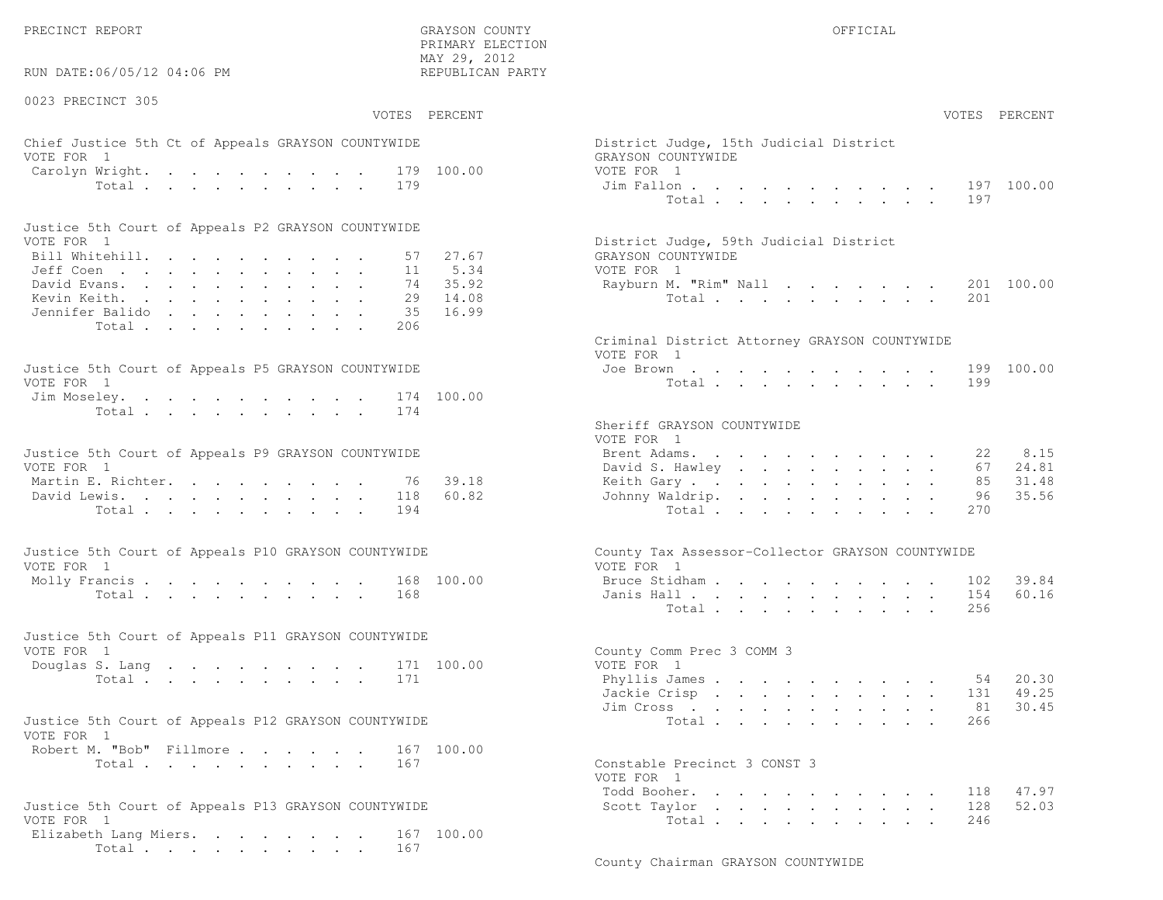PRECINCT REPORT OF THE SERVICE OF THE GRAYSON COUNTY OF THE GRAYSON COUNTY OF THE GRAYSON OF THE GRAYSON COUNTY

RUN DATE:06/05/12 04:06 PM

0023 PRECINCT 305

 PRIMARY ELECTION MAY 29, 2012REPUBLICAN PARTY

# Chief Justice 5th Ct of Appeals GRAYSON COUNTYWIDE District District District District District District District District District District District District District District District District District District District VOTE FOR 1 GRAYSON COUNTY WITH SALES AND COUNTY OF SALES AND GRAYSON COUNTY OF SALES AND GRAYSON COUNTY OF SALES AND GRAYSON CONTROL OF SALES AND GRAYSON CONTROL OF SALES AND GRAYSON CONTROL OF SALES AND GRAYSON CONTROL OF Carolyn Wright. . . . . . . . . . 179 100.00 VOT

| Justice 5th Court of Appeals P2 GRAYSON COUNTYWIDE |  |  |  |  |  |                                        |
|----------------------------------------------------|--|--|--|--|--|----------------------------------------|
| VOTE FOR 1                                         |  |  |  |  |  | District Judge, 59th Judicial District |
| Bill Whitehill. 57 27.67                           |  |  |  |  |  | GRAYSON COUNTYWIDE                     |
| Jeff Coen , , , , , , , , , , , , 11 5.34          |  |  |  |  |  | VOTE FOR 1                             |
| David Evans. 74 35.92                              |  |  |  |  |  | Rayburn M. "Rim" Nall 201 100.00       |
| Kevin Keith. 29 14.08                              |  |  |  |  |  | Total 201                              |
| Jennifer Balido 35 16.99                           |  |  |  |  |  |                                        |
| Total 206                                          |  |  |  |  |  |                                        |

| Justice 5th Court of Appeals P5 GRAYSON COUNTYWIDE | Joe Brown 199 100.00 |
|----------------------------------------------------|----------------------|
| VOTE FOR 1                                         | Total 199            |
| Jim Moseley. 174 100.00                            |                      |
| Total 174                                          |                      |

| Justice 5th Court of Appeals P9 GRAYSON COUNTYWIDE |  |  | Brent Adams. 22 8.15     |  |  |  |  |  |  |
|----------------------------------------------------|--|--|--------------------------|--|--|--|--|--|--|
| VOTE FOR 1                                         |  |  | David S. Hawley 67 24.81 |  |  |  |  |  |  |
| Martin E. Richter. 76 39.18                        |  |  | Keith Gary 85 31.48      |  |  |  |  |  |  |
| David Lewis. 118 60.82                             |  |  | Johnny Waldrip. 96 35.56 |  |  |  |  |  |  |
| Total 194                                          |  |  | Total 270                |  |  |  |  |  |  |

| Justice 5th Court of Appeals P10 GRAYSON COUNTYWIDE | County Tax Assessor-Collector GRAYSON COUNTYWIDE |
|-----------------------------------------------------|--------------------------------------------------|
| VOTE FOR 1                                          | VOTE FOR 1                                       |
| Molly Francis 168 100.00                            | Bruce Stidham 102 39.84                          |
| Total 168                                           | Janis Hall 154 60.16                             |

| Justice 5th Court of Appeals P11 GRAYSON COUNTYWIDE |           |  |  |  |  |  |                            |                           |  |
|-----------------------------------------------------|-----------|--|--|--|--|--|----------------------------|---------------------------|--|
| VOTE FOR 1                                          |           |  |  |  |  |  |                            | County Comm Prec 3 COMM 3 |  |
|                                                     |           |  |  |  |  |  | Douglas S. Lang 171 100.00 | VOTE FOR 1                |  |
|                                                     | Total 171 |  |  |  |  |  |                            | Phyllis James 54 20.30    |  |

| Justice 5th Court of Appeals P12 GRAYSON COUNTYWIDE |           |  |  |  | Total 266                    |  |
|-----------------------------------------------------|-----------|--|--|--|------------------------------|--|
| VOTE FOR 1                                          |           |  |  |  |                              |  |
| Robert M. "Bob" Fillmore 167 100.00                 |           |  |  |  |                              |  |
|                                                     | Total 167 |  |  |  | Constable Precinct 3 CONST 3 |  |

```
Justice 5th Court of Appeals P13 GRAYSON COUNTYWIDE Scott Taylor . . . . . . . . . . 128 52.03Elizabeth Lang Miers. . . . . . . 167 100.00
        Total . . . . . . . . . . 167
```

| :06/05/12 04:06 PM                                            | ہے ہرے ہے اس<br>REPUBLICAN PARTY |                                                                |
|---------------------------------------------------------------|----------------------------------|----------------------------------------------------------------|
| CINCT 305                                                     | VOTES PERCENT                    | VOTES PERCENT                                                  |
| stice 5th Ct of Appeals GRAYSON COUNTYWIDE                    |                                  | District Judge, 15th Judicial District                         |
| $\mathbf{1}$                                                  |                                  | GRAYSON COUNTYWIDE                                             |
| Wright. 179 100.00                                            |                                  | VOTE FOR 1                                                     |
| Total                                                         | 179                              | 197 100.00<br>Jim Fallon<br>Total<br>197                       |
| ith Court of Appeals P2 GRAYSON COUNTYWIDE                    |                                  |                                                                |
| $\overline{1}$                                                |                                  | District Judge, 59th Judicial District                         |
| tehill.                                                       | 27.67<br>57                      | GRAYSON COUNTYWIDE                                             |
|                                                               | 11 5.34                          | VOTE FOR 1                                                     |
| $\lambda$ rans.                                               | 35.92<br>74                      | 201 100.00<br>Rayburn M. "Rim" Nall                            |
| eith.<br>: Balido                                             | 29 14.08<br>16.99<br>35          | Total<br>201                                                   |
| Total                                                         | 206                              |                                                                |
|                                                               |                                  | Criminal District Attorney GRAYSON COUNTYWIDE<br>VOTE FOR 1    |
| ith Court of Appeals P5 GRAYSON COUNTYWIDE                    |                                  | 199 100.00<br>Joe Brown                                        |
| $\mathbf{1}$                                                  |                                  | Total<br>199                                                   |
| eley.<br>Total                                                | 174 100.00<br>174                |                                                                |
|                                                               |                                  | Sheriff GRAYSON COUNTYWIDE                                     |
|                                                               |                                  | VOTE FOR 1                                                     |
| ith Court of Appeals P9 GRAYSON COUNTYWIDE                    |                                  | 8.15<br>Brent Adams.<br>22                                     |
| $\mathbf{1}$                                                  |                                  | David S. Hawley<br>24.81<br>67                                 |
| . Richter.                                                    | 39.18<br>76                      | 31.48<br>Keith Gary.<br>85                                     |
| ewis.<br>Total                                                | 60.82<br>118<br>194              | Johnny Waldrip.<br>35.56<br>96<br>Total<br>270                 |
|                                                               |                                  |                                                                |
| ith Court of Appeals P10 GRAYSON COUNTYWIDE<br>$\overline{1}$ |                                  | County Tax Assessor-Collector GRAYSON COUNTYWIDE<br>VOTE FOR 1 |
| rancis                                                        | 168 100.00                       | 39.84<br>Bruce Stidham<br>102                                  |
| Total $\cdot$                                                 | 168                              | 60.16<br>Janis Hall<br>154                                     |
|                                                               |                                  | 256<br>Total                                                   |
| oth Court of Appeals P11 GRAYSON COUNTYWIDE                   |                                  |                                                                |
| $\overline{1}$                                                |                                  | County Comm Prec 3 COMM 3                                      |
| S. Lang 171 100.00                                            |                                  | VOTE FOR 1                                                     |
| Total                                                         | 171                              | 20.30<br>Phyllis James<br>54                                   |
|                                                               |                                  | Jackie Crisp<br>49.25<br>131                                   |
|                                                               |                                  | 30.45<br>Jim Cross<br>81                                       |
| oth Court of Appeals P12 GRAYSON COUNTYWIDE<br>$\mathbf{1}$   |                                  | Total<br>266                                                   |
| 1. "Bob" Fillmore 167 100.00                                  |                                  |                                                                |
| Total 167                                                     |                                  | Constable Precinct 3 CONST 3<br>VOTE FOR 1                     |
|                                                               |                                  | 47.97<br>Todd Booher.<br>118                                   |
| ith Court of Appeals P13 GRAYSON COUNTYWIDE                   |                                  | 52.03<br>Scott Taylor<br>128                                   |
| $\mathbf{1}$                                                  |                                  | Total<br>246                                                   |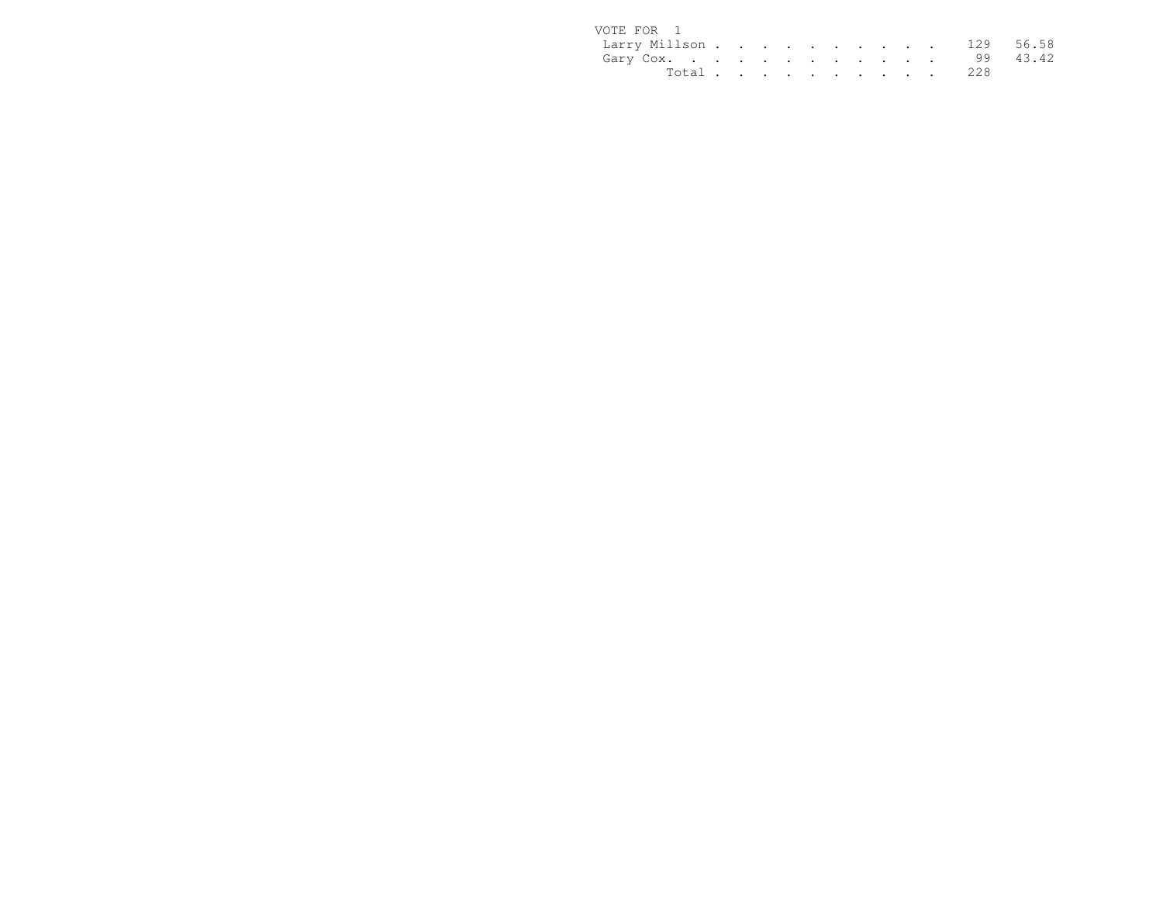| VOTE FOR 1              |  |  |  |  |  |           |  |
|-------------------------|--|--|--|--|--|-----------|--|
| Larry Millson 129 56.58 |  |  |  |  |  |           |  |
| Gary Cox. 99 43.42      |  |  |  |  |  |           |  |
|                         |  |  |  |  |  | Total 228 |  |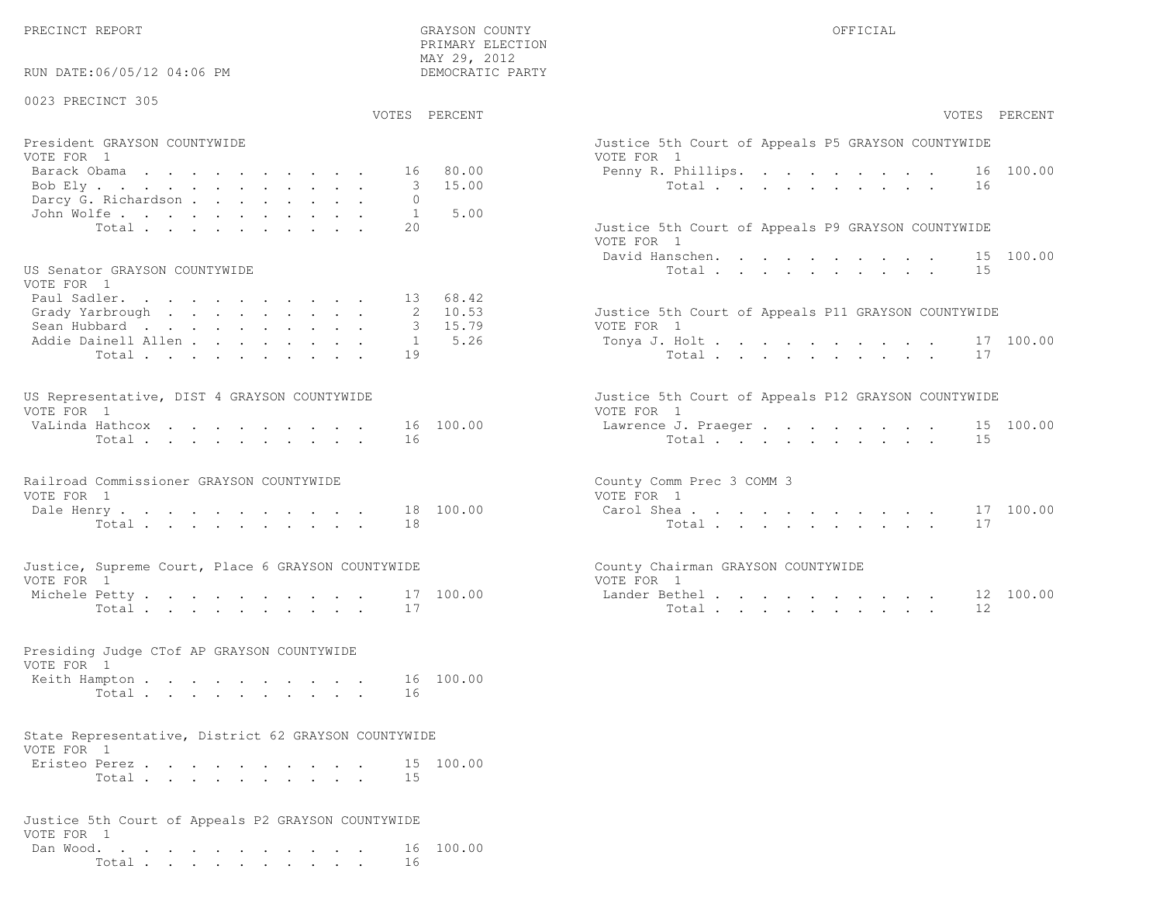PRIMARY ELECTION

| RUN DATE:06/05/12 04:06 PM                                                                            | MAY 29, 2012<br>DEMOCRATIC PARTY                             |                                                                                                                    |
|-------------------------------------------------------------------------------------------------------|--------------------------------------------------------------|--------------------------------------------------------------------------------------------------------------------|
| 0023 PRECINCT 305                                                                                     | VOTES PERCENT                                                | VOTES PERCENT                                                                                                      |
| President GRAYSON COUNTYWIDE<br>VOTE FOR 1<br>Barack Obama<br>Bob Ely<br>Darcy G. Richardson          | 80.00<br>16<br>15.00<br>3<br>$\Omega$                        | Justice 5th Court of Appeals P5 GRAYSON COUNTYWIDE<br>VOTE FOR 1<br>16 100.00<br>Penny R. Phillips.<br>Total<br>16 |
| John Wolfe.<br>Total<br>US Senator GRAYSON COUNTYWIDE                                                 | 5.00<br>1<br>2.0                                             | Justice 5th Court of Appeals P9 GRAYSON COUNTYWIDE<br>VOTE FOR 1<br>David Hanschen. 15 100.00<br>Total<br>15       |
| VOTE FOR 1<br>Paul Sadler.<br>Grady Yarbrough<br>Sean Hubbard<br>Addie Dainell Allen<br>Total         | 13 68.42<br>2, 10, 53<br>15.79<br>5.26<br>$\mathbf{1}$<br>19 | Justice 5th Court of Appeals P11 GRAYSON COUNTYWIDE<br>VOTE FOR 1<br>Tonya J. Holt<br>17 100.00<br>Total<br>17     |
| US Representative, DIST 4 GRAYSON COUNTYWIDE<br>VOTE FOR 1<br>VaLinda Hathcox<br>Total                | 16 100.00<br>16                                              | Justice 5th Court of Appeals P12 GRAYSON COUNTYWIDE<br>VOTE FOR 1<br>Lawrence J. Praeger 15 100.00<br>Total<br>15  |
| Railroad Commissioner GRAYSON COUNTYWIDE<br>VOTE FOR 1<br>Dale Henry<br>Total                         | 18 100.00<br>18                                              | County Comm Prec 3 COMM 3<br>VOTE FOR 1<br>Carol Shea<br>17 100.00<br>Total<br>17                                  |
| Justice, Supreme Court, Place 6 GRAYSON COUNTYWIDE<br>VOTE FOR 1<br>Michele Petty<br>Total            | 17 100.00<br>17                                              | County Chairman GRAYSON COUNTYWIDE<br>VOTE FOR 1<br>Lander Bethel<br>12 100.00<br>Total<br>12                      |
| Presiding Judge CTof AP GRAYSON COUNTYWIDE<br>VOTE FOR 1<br>Keith Hampton<br>Total                    | 16 100.00<br>16                                              |                                                                                                                    |
| State Representative, District 62 GRAYSON COUNTYWIDE<br>VOTE FOR 1<br>Eristeo Perez<br>Total $\cdots$ | 15 100.00<br>15                                              |                                                                                                                    |
| Justice 5th Court of Appeals P2 GRAYSON COUNTYWIDE<br>VOTE FOR 1<br>Dan Wood.<br>Total                | 16 100.00<br>16                                              |                                                                                                                    |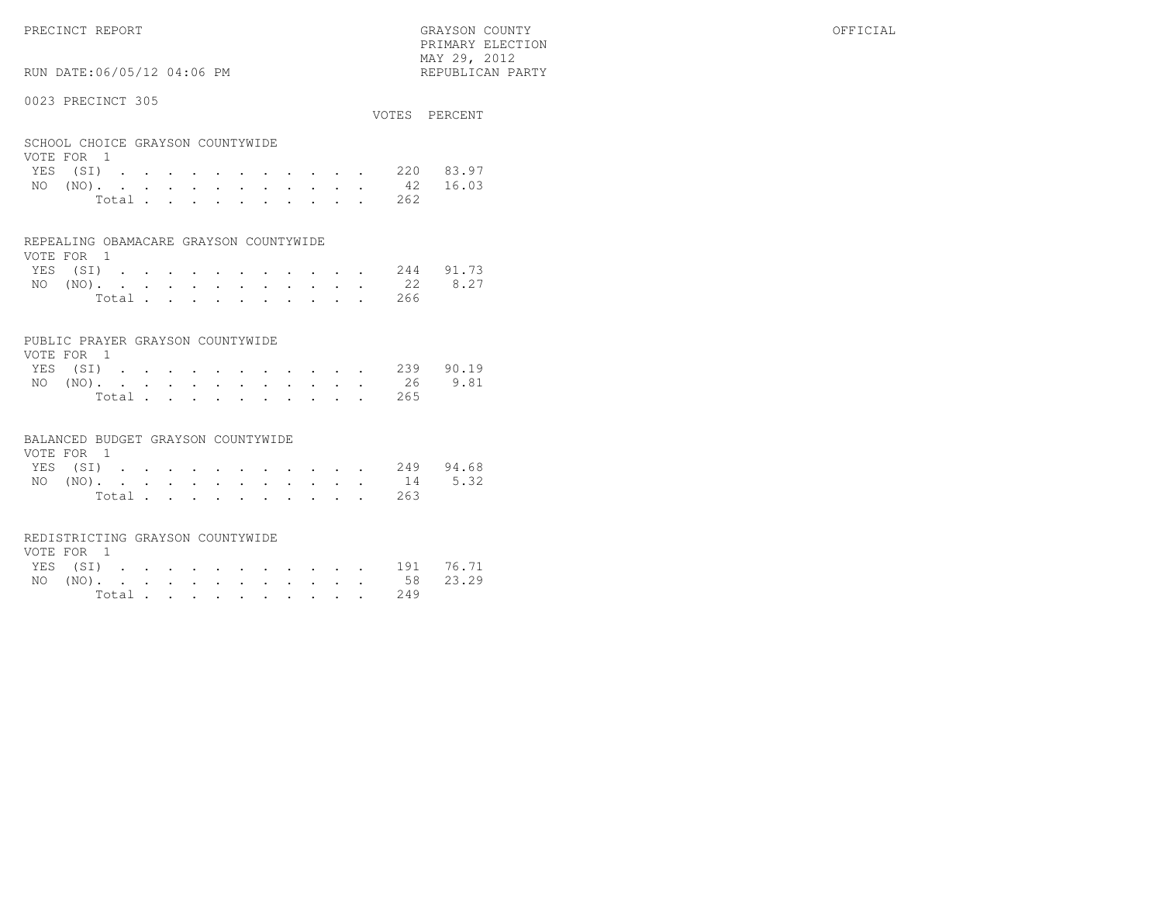RUN DATE:06/05/12 04:06 PM

## 0023 PRECINCT 305

|                                  | VOTES PERCENT |
|----------------------------------|---------------|
| SCHOOL CHOICE GRAYSON COUNTYWIDE |               |
| VOTE FOR 1                       |               |
| VEC (CT)                         | דם כס חרר     |

 PRIMARY ELECTION MAY 29, 2012REPUBLICAN PARTY

|  |  |  |  |  |  | YES (SI) 220 83.97 |  |
|--|--|--|--|--|--|--------------------|--|
|  |  |  |  |  |  | NO (NO). 42 16.03  |  |
|  |  |  |  |  |  | Total 262          |  |

#### REPEALING OBAMACARE GRAYSON COUNTYWIDE

| VOTE FOR 1 |  |  |  |  |  |  |                    |  |
|------------|--|--|--|--|--|--|--------------------|--|
|            |  |  |  |  |  |  | YES (SI) 244 91.73 |  |
|            |  |  |  |  |  |  | NO (NO). 22 8.27   |  |
|            |  |  |  |  |  |  | Total 266          |  |

## PUBLIC PRAYER GRAYSON COUNTYWIDE

| VOTE FOR 1 |  |  |  |  |  |  |           |                    |
|------------|--|--|--|--|--|--|-----------|--------------------|
|            |  |  |  |  |  |  |           | YES (SI) 239 90.19 |
|            |  |  |  |  |  |  |           | NO (NO). 26 9.81   |
|            |  |  |  |  |  |  | Total 265 |                    |

#### BALANCED BUDGET GRAYSON COUNTYWIDE

| VOTE FOR 1 |  |  |  |  |  |                    |  |
|------------|--|--|--|--|--|--------------------|--|
|            |  |  |  |  |  | YES (SI) 249 94.68 |  |
|            |  |  |  |  |  | NO (NO). 14 5.32   |  |
|            |  |  |  |  |  | Total 263          |  |

#### REDISTRICTING GRAYSON COUNTYWIDE

| VOTE FOR 1 |  |  |  |  |  |  |                    |  |
|------------|--|--|--|--|--|--|--------------------|--|
|            |  |  |  |  |  |  | YES (SI) 191 76.71 |  |
|            |  |  |  |  |  |  | NO (NO). 58 23.29  |  |
|            |  |  |  |  |  |  | Total 249          |  |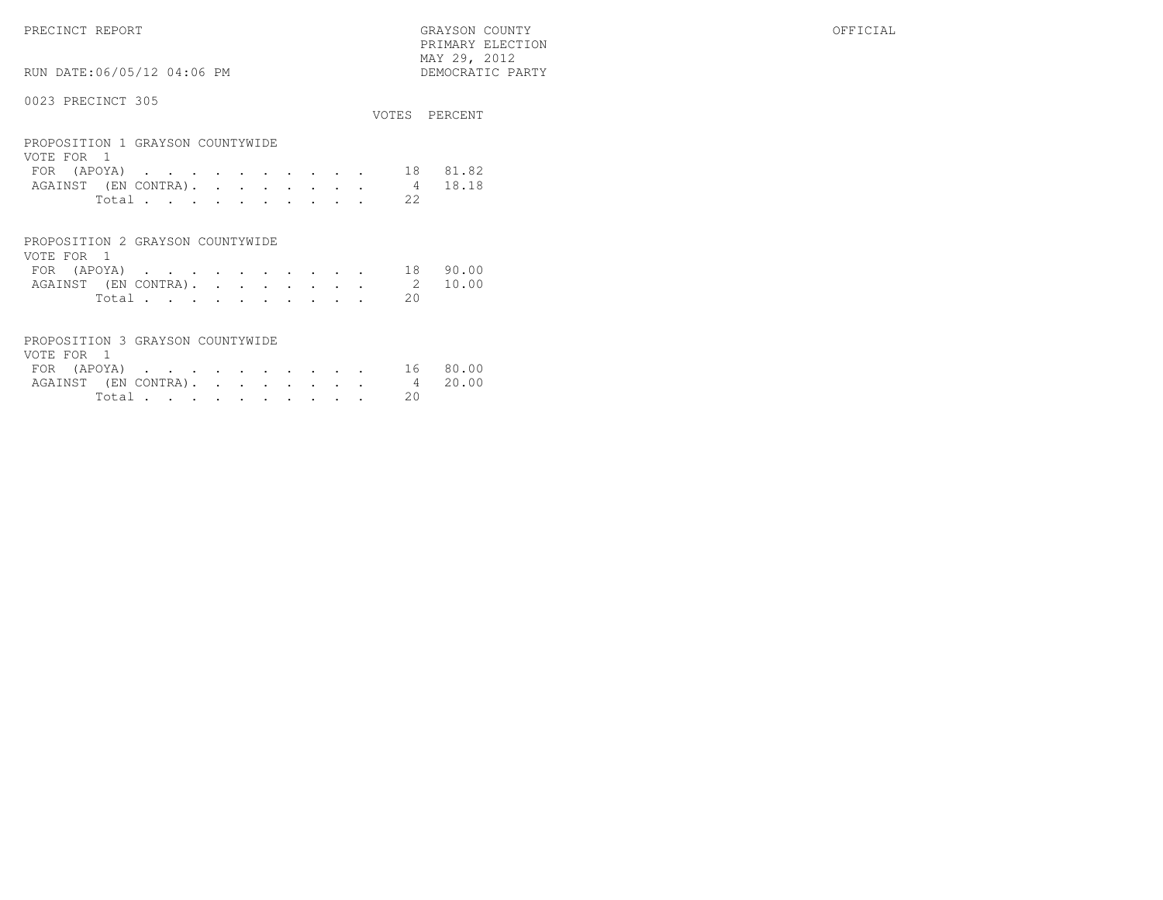PRECINCT REPORT GRAYSON COUNTY OFFICIAL PRIMARY ELECTION $\begin{array}{lll} \text{MAX} & 29, & 2012 \\ \text{NAY} & 29, & 2012 \end{array}$ 

# RUN DATE:06/05/12 04:06 PM

|                                                                                                                                                                                                                             | VOTES           | PERCENT        |
|-----------------------------------------------------------------------------------------------------------------------------------------------------------------------------------------------------------------------------|-----------------|----------------|
| PROPOSITION 1 GRAYSON COUNTYWIDE<br>VOTE FOR 1<br>(APOYA)<br><b>FOR</b><br>the contract of the contract of the contract of the contract of the contract of the contract of the contract of<br>AGAINST (EN CONTRA).<br>Total | 18<br>4<br>2.2. | 81.82<br>18.18 |
| PROPOSITION 2 GRAYSON COUNTYWIDE                                                                                                                                                                                            |                 |                |

| VOTE FOR 1 |       |  |  |  |  |                              |          |
|------------|-------|--|--|--|--|------------------------------|----------|
|            |       |  |  |  |  |                              | 18 90.00 |
|            |       |  |  |  |  | AGAINST (EN CONTRA). 2 10.00 |          |
|            | Total |  |  |  |  |                              |          |

| PROPOSITION 3 GRAYSON COUNTYWIDE |  |  |  |  |          |  |
|----------------------------------|--|--|--|--|----------|--|
| VOTE FOR 1                       |  |  |  |  |          |  |
| FOR (APOYA) 16 80.00             |  |  |  |  |          |  |
| AGAINST (EN CONTRA). 4 20.00     |  |  |  |  |          |  |
|                                  |  |  |  |  | Total 20 |  |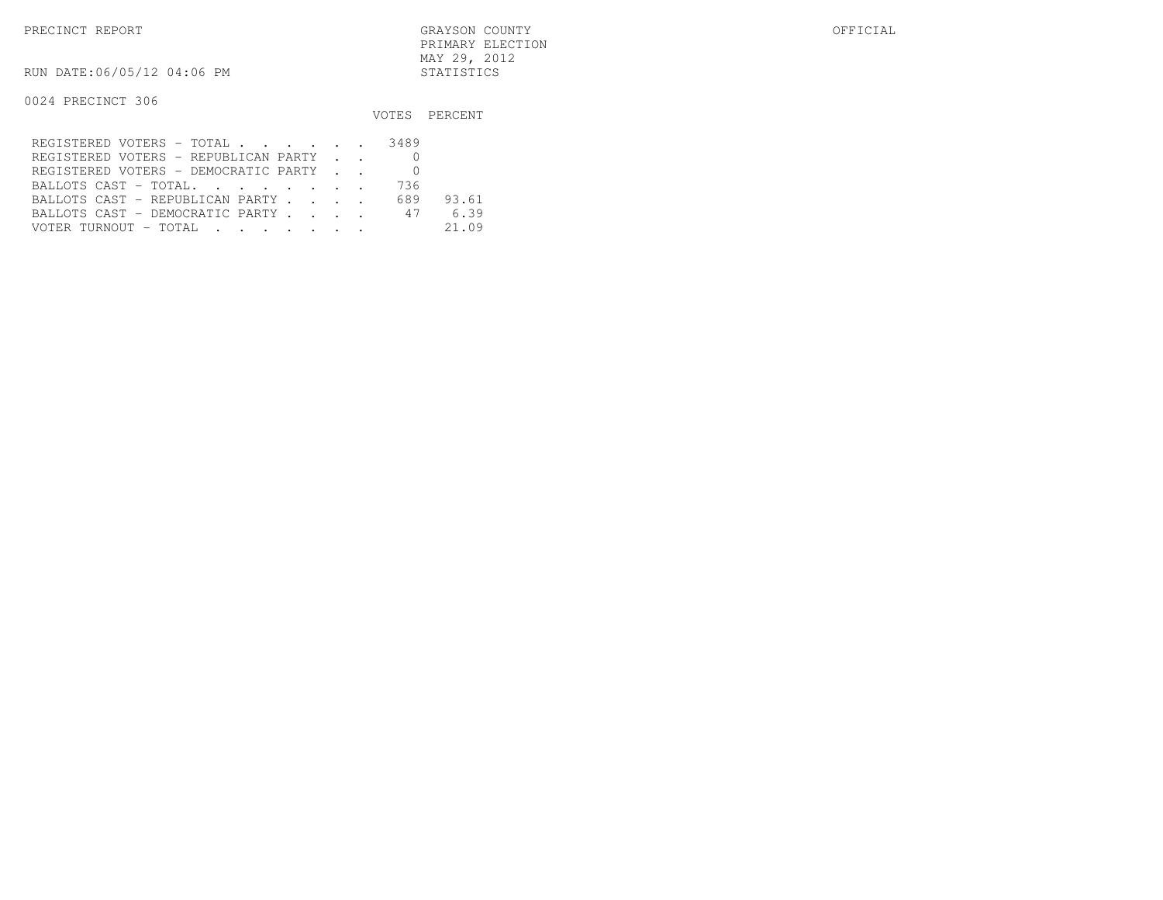RUN DATE:06/05/12 04:06 PM STATISTICS

|                                                                                                                                                                                                                                                                          |     | VOTES PERCENT |
|--------------------------------------------------------------------------------------------------------------------------------------------------------------------------------------------------------------------------------------------------------------------------|-----|---------------|
| REGISTERED VOTERS - TOTAL 3489                                                                                                                                                                                                                                           |     |               |
| REGISTERED VOTERS - REPUBLICAN PARTY                                                                                                                                                                                                                                     |     |               |
| REGISTERED VOTERS - DEMOCRATIC PARTY                                                                                                                                                                                                                                     |     |               |
| BALLOTS CAST - TOTAL.                                                                                                                                                                                                                                                    | 736 |               |
| BALLOTS CAST - REPUBLICAN PARTY                                                                                                                                                                                                                                          | 689 | 93.61         |
| BALLOTS CAST - DEMOCRATIC PARTY 47                                                                                                                                                                                                                                       |     | 6.39          |
| VOTER TURNOUT - TOTAL .<br>$\mathcal{L}(\mathbf{r},\mathbf{r})$ . The contract of the contract of the contract of the contract of the contract of the contract of the contract of the contract of the contract of the contract of the contract of the contract of the co |     | 21.09         |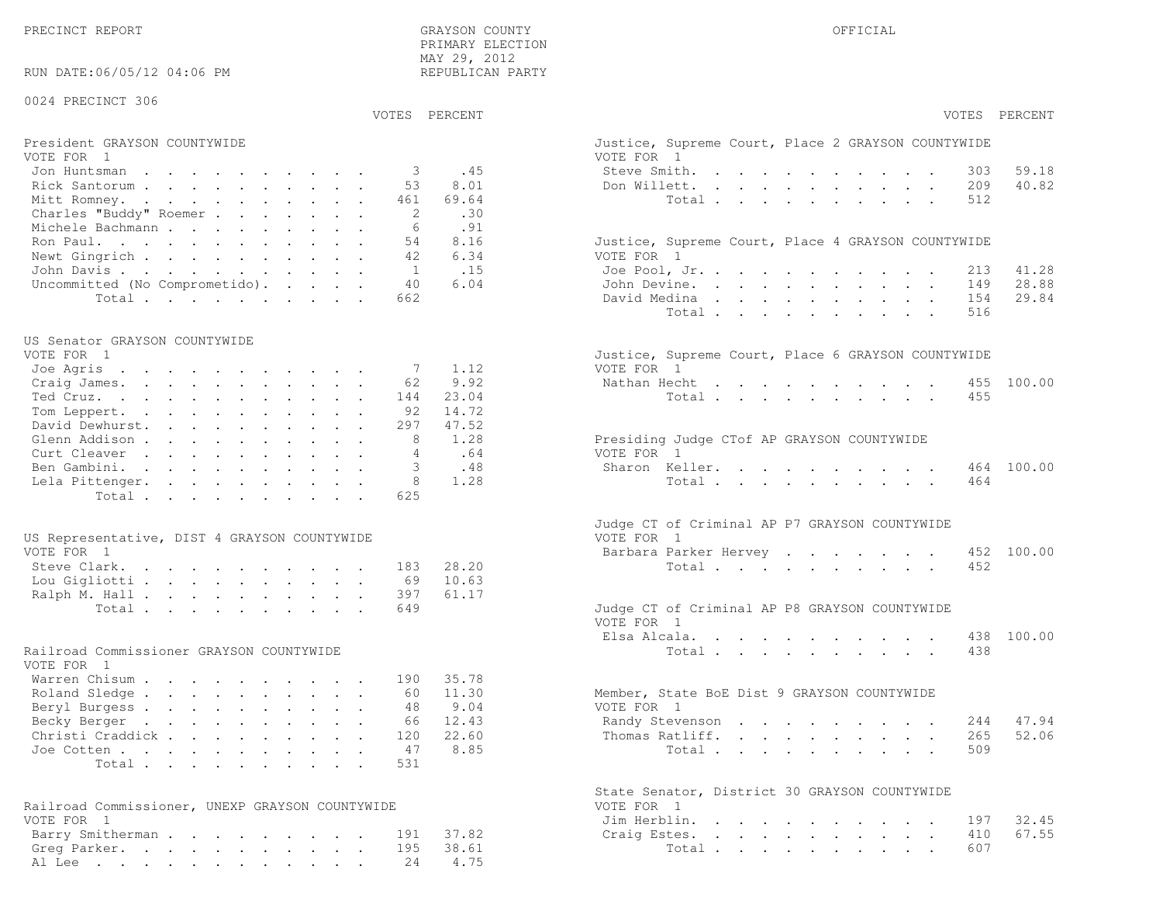| RUN DATE:06/05/12 04:06 PM                                                  | REPUBLICAN PARTY                                   |                                                                                                                                  |
|-----------------------------------------------------------------------------|----------------------------------------------------|----------------------------------------------------------------------------------------------------------------------------------|
| 0024 PRECINCT 306                                                           |                                                    |                                                                                                                                  |
|                                                                             | VOTES PERCENT                                      | VOTES PERCENT                                                                                                                    |
| President GRAYSON COUNTYWIDE<br>VOTE FOR 1<br>Jon Huntsman<br>Rick Santorum | .45<br>-3<br>8.01<br>53                            | Justice, Supreme Court, Place 2 GRAYSON COUNTYWIDE<br>VOTE FOR 1<br>Steve Smith.<br>59.18<br>303<br>40.82<br>Don Willett.<br>209 |
| Mitt Romney.<br>Charles "Buddy" Roemer<br>Michele Bachmann<br>Ron Paul.     | 69.64<br>461<br>.30<br>2<br>.91<br>6<br>8.16<br>54 | Total<br>512<br>Justice, Supreme Court, Place 4 GRAYSON COUNTYWIDE                                                               |
| Newt Gingrich                                                               | 6.34<br>42                                         | VOTE FOR 1                                                                                                                       |
| John Davis<br>Uncommitted (No Comprometido).                                | .15<br>$\overline{1}$<br>6.04<br>40                | Joe Pool, Jr.<br>41.28<br>213<br>28.88<br>John Devine.<br>149                                                                    |
| Total                                                                       | 662                                                | 29.84<br>David Medina<br>154                                                                                                     |
|                                                                             |                                                    | Total<br>516                                                                                                                     |
| US Senator GRAYSON COUNTYWIDE                                               |                                                    |                                                                                                                                  |
| VOTE FOR 1<br>Joe Agris                                                     | 1.12<br>-7                                         | Justice, Supreme Court, Place 6 GRAYSON COUNTYWIDE<br>VOTE FOR 1                                                                 |
| Craig James.                                                                | 9.92<br>62                                         | Nathan Hecht<br>455 100.00                                                                                                       |
| Ted Cruz.                                                                   | 23.04<br>144                                       | Total<br>455                                                                                                                     |
| Tom Leppert.                                                                | 14.72<br>92                                        |                                                                                                                                  |
| David Dewhurst.                                                             | 47.52<br>297                                       |                                                                                                                                  |
| Glenn Addison                                                               | 1.28<br>8                                          | Presiding Judge CTof AP GRAYSON COUNTYWIDE                                                                                       |
| Curt Cleaver<br>Ben Gambini.                                                | .64<br>$\overline{4}$<br>.48                       | VOTE FOR 1<br>Sharon Keller.<br>464 100.00                                                                                       |
| Lela Pittenger.                                                             | 1.28                                               | Total<br>464                                                                                                                     |
| Total                                                                       | 625                                                |                                                                                                                                  |
|                                                                             |                                                    | Judge CT of Criminal AP P7 GRAYSON COUNTYWIDE                                                                                    |
| US Representative, DIST 4 GRAYSON COUNTYWIDE                                |                                                    | VOTE FOR 1                                                                                                                       |
| VOTE FOR 1<br>Steve Clark.                                                  | 28.20<br>183                                       | Barbara Parker Hervey<br>452 100.00<br>Total<br>452                                                                              |
| Lou Gigliotti                                                               | 10.63<br>69                                        |                                                                                                                                  |
| Ralph M. Hall                                                               | 61.17<br>397                                       |                                                                                                                                  |
| Total                                                                       | 649                                                | Judge CT of Criminal AP P8 GRAYSON COUNTYWIDE<br>VOTE FOR 1                                                                      |
|                                                                             |                                                    | Elsa Alcala.<br>438 100.00                                                                                                       |
| Railroad Commissioner GRAYSON COUNTYWIDE<br>VOTE FOR 1                      |                                                    | Total<br>438                                                                                                                     |
| Warren Chisum                                                               | 35.78<br>190                                       |                                                                                                                                  |
| Roland Sledge<br>Beryl Burgess                                              | 11.30<br>60<br>9.04<br>48                          | Member, State BoE Dist 9 GRAYSON COUNTYWIDE<br>VOTE FOR 1                                                                        |
| Becky Berger                                                                | 66 12.43                                           | Randy Stevenson 244 47.94                                                                                                        |
| Christi Craddick                                                            | 22.60<br>120                                       | Thomas Ratliff.<br>52.06<br>265                                                                                                  |
| Joe Cotten                                                                  | 8.85<br>47                                         | Total<br>509                                                                                                                     |
| Total                                                                       | 531                                                |                                                                                                                                  |
|                                                                             |                                                    | State Senator, District 30 GRAYSON COUNTYWIDE                                                                                    |
| Railroad Commissioner, UNEXP GRAYSON COUNTYWIDE<br>VOTE FOR 1               |                                                    | VOTE FOR 1                                                                                                                       |
| Barry Smitherman                                                            | 37.82<br>191                                       | Jim Herblin.<br>32.45<br>197<br>67.55<br>Craig Estes.<br>410                                                                     |
| Greg Parker.                                                                | 38.61<br>195                                       | Total<br>607                                                                                                                     |
| Al Lee                                                                      | 4.75<br>24                                         |                                                                                                                                  |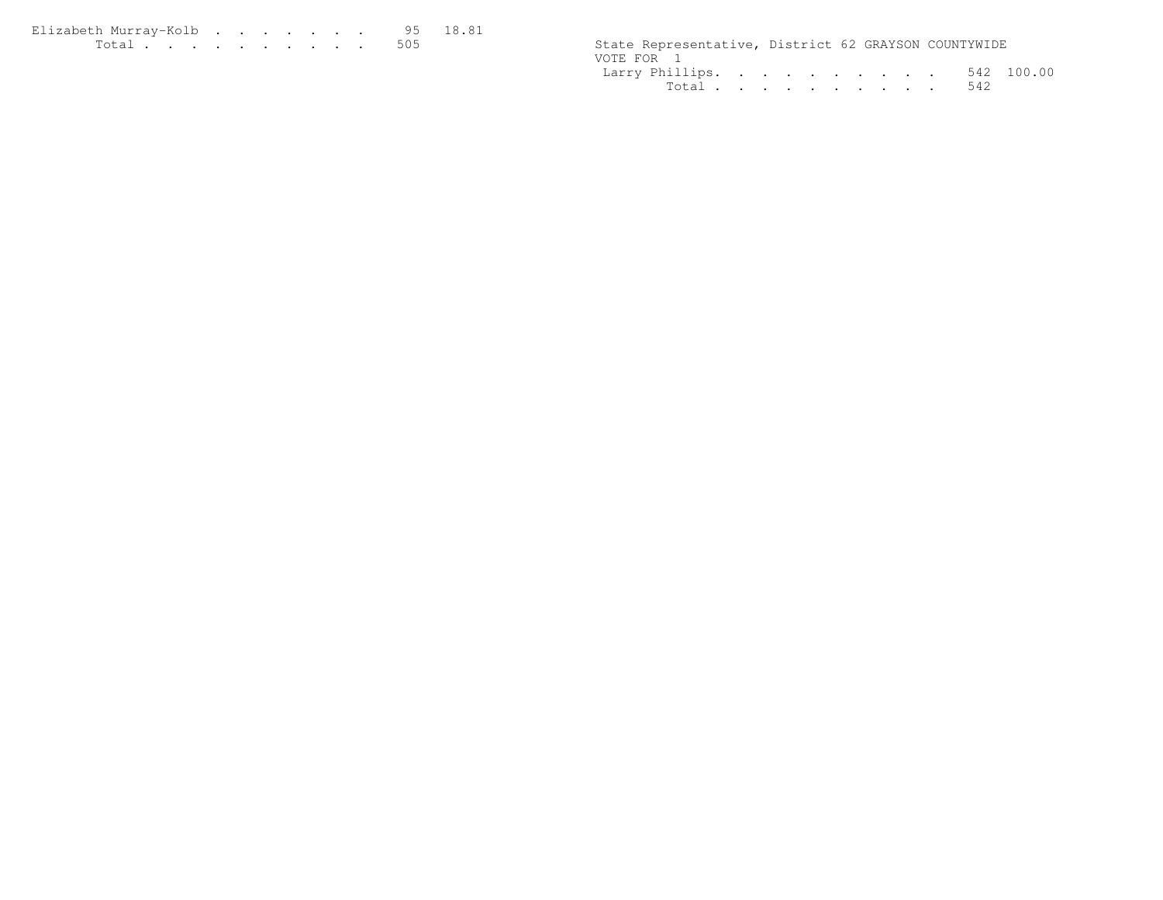| Elizabeth Murrav-Kolb 95 18.81 |  |  |  |  |  |                                                      |  |  |
|--------------------------------|--|--|--|--|--|------------------------------------------------------|--|--|
| .                              |  |  |  |  |  | State Representative, District 62 GRAYSON COUNTYWIDE |  |  |

| State Representative, District 62 GRAYSON COUNTYWIDE |  |  |  |  |  |
|------------------------------------------------------|--|--|--|--|--|
| VOTE FOR 1                                           |  |  |  |  |  |
| Larry Phillips. 542 100.00                           |  |  |  |  |  |
| Total 542                                            |  |  |  |  |  |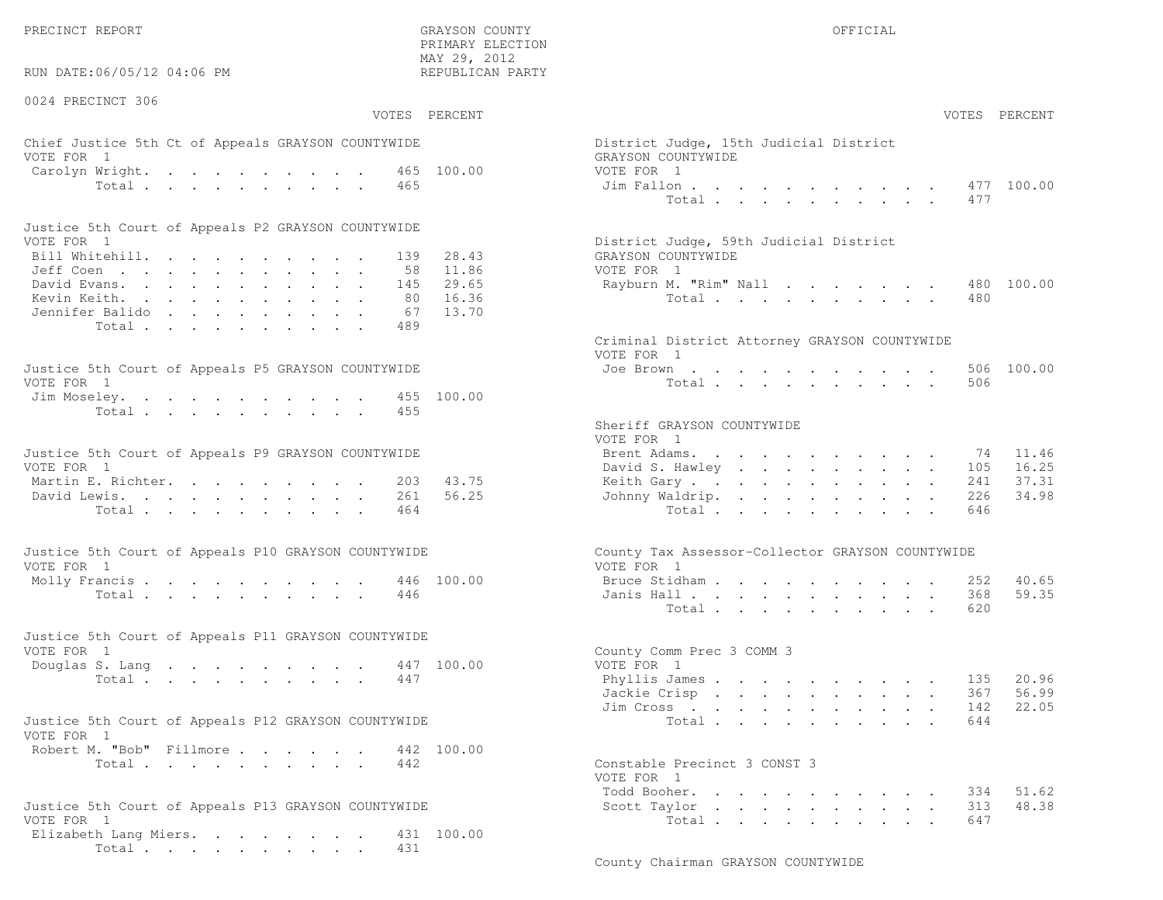PRECINCT REPORT OF THE SERVICE OF THE GRAYSON COUNTY OF THE GRAYSON COUNTY OF THE GRAYSON OF THE GRAYSON COUNTY

RUN DATE:06/05/12 04:06 PM

0024 PRECINCT 306

VOTES PERCENT VOTES PERCENT

 PRIMARY ELECTION MAY 29, 2012REPUBLICAN PARTY

# Chief Justice 5th Ct of Appeals GRAYSON COUNTYWIDE The State of District District District Only 15th Judge, 15th Judge VOTE FOR 1 GRAYSON COUNTY OF REAL EXPLORER COUNTY OF REAL EXPLORER CONTROL CONTROL CONTROL CONTROL CONTROL CONTROL CONTROL CONTROL CONTROL CONTROL CONTROL CONTROL CONTROL CONTROL CONTROL CONTROL CONTROL CONTROL CONTROL CON Carolyn Wright. . . . . . . . . 465 100.00 VOT  $\text{Total}$  . . . . . . . . . 465  $\qquad \qquad$  Ji

| Justice 5th Court of Appeals P2 GRAYSON COUNTYWIDE |  |  |  |  |  |                                        |
|----------------------------------------------------|--|--|--|--|--|----------------------------------------|
| VOTE FOR 1                                         |  |  |  |  |  | District Judge, 59th Judicial District |
| Bill Whitehill. 139 28.43                          |  |  |  |  |  | GRAYSON COUNTYWIDE                     |
| Jeff Coen 58 11.86                                 |  |  |  |  |  | VOTE FOR 1                             |
| David Evans. 145 29.65                             |  |  |  |  |  | Rayburn M. "Rim" Nall 480 100.00       |
| Kevin Keith. 80 16.36                              |  |  |  |  |  | Total 480                              |
| Jennifer Balido 67 13.70                           |  |  |  |  |  |                                        |
| Total 489                                          |  |  |  |  |  |                                        |

| Justice 5th Court of Appeals P5 GRAYSON COUNTYWIDE | Joe Brown 506 100.00 |
|----------------------------------------------------|----------------------|
| VOTE FOR 1                                         | Total 506            |
| Jim Moseley. 455 100.00                            |                      |
| Total 455                                          |                      |
|                                                    |                      |

| Justice 5th Court of Appeals P9 GRAYSON COUNTYWIDE |  |  |  |  |  | Brent Adams. 74 11.46     |  |  |  |  |  |  |
|----------------------------------------------------|--|--|--|--|--|---------------------------|--|--|--|--|--|--|
| VOTE FOR 1                                         |  |  |  |  |  | David S. Hawley 105 16.25 |  |  |  |  |  |  |
| Martin E. Richter. 203 43.75                       |  |  |  |  |  | Keith Gary 241 37.31      |  |  |  |  |  |  |
| David Lewis. 261 56.25                             |  |  |  |  |  | Johnny Waldrip. 226 34.98 |  |  |  |  |  |  |
| Total 464                                          |  |  |  |  |  | Total 646                 |  |  |  |  |  |  |

| Justice 5th Court of Appeals P10 GRAYSON COUNTYWIDE | County Tax Assessor-Collector GRAYSON COUNTYWIDE |
|-----------------------------------------------------|--------------------------------------------------|
| VOTE FOR 1                                          | VOTE FOR 1                                       |
| Molly Francis 446 100.00                            | Bruce Stidham 252 40.65                          |
| Total 446                                           | Janis Hall 368 59.35                             |

| Justice 5th Court of Appeals P11 GRAYSON COUNTYWIDE |  |  |  |  |           |  |                           |  |
|-----------------------------------------------------|--|--|--|--|-----------|--|---------------------------|--|
| VOTE FOR 1                                          |  |  |  |  |           |  | County Comm Prec 3 COMM 3 |  |
| Douglas S. Lang 447 100.00                          |  |  |  |  |           |  | VOTE FOR 1                |  |
|                                                     |  |  |  |  | Total 447 |  | Phyllis James 135 20.96   |  |

| Justice 5th Court of Appeals P12 GRAYSON COUNTYWIDE |           |  | Total 644                    |  |
|-----------------------------------------------------|-----------|--|------------------------------|--|
| VOTE FOR 1                                          |           |  |                              |  |
| Robert M. "Bob" Fillmore 442 100.00                 |           |  |                              |  |
|                                                     | Total 442 |  | Constable Precinct 3 CONST 3 |  |

```

Justice 5th Court of Appeals P13 GRAYSON COUNTYWIDE Scott Taylor . . . . . . . . . . 313 48.38VOTE FOR 1 Total . . . . . . . . . . 647
Elizabeth Lang Miers. . . . . . . . 431 100.00
     Total . . . . . . . . . . 431
```

| AY 29, 2012<br>EPUBLICAN PARTY |                                                                            |                                        |                                                                                                                 |                                   |                                 |               |        |                                |                                |                                  |
|--------------------------------|----------------------------------------------------------------------------|----------------------------------------|-----------------------------------------------------------------------------------------------------------------|-----------------------------------|---------------------------------|---------------|--------|--------------------------------|--------------------------------|----------------------------------|
| PERCENT                        |                                                                            |                                        |                                                                                                                 |                                   |                                 |               |        |                                |                                | VOTES PERCENT                    |
| 100.00                         | District Judge, 15th Judicial District<br>GRAYSON COUNTYWIDE<br>VOTE FOR 1 |                                        |                                                                                                                 |                                   |                                 |               |        |                                |                                | 477 100.00                       |
|                                |                                                                            | Jim Fallon<br>Total                    |                                                                                                                 |                                   |                                 |               |        | $\sim$                         | 477                            |                                  |
| 28.43<br>11.86                 | District Judge, 59th Judicial District<br>GRAYSON COUNTYWIDE<br>VOTE FOR 1 |                                        |                                                                                                                 |                                   |                                 |               |        |                                |                                |                                  |
| 29.65<br>16.36<br>13.70        | Rayburn M. "Rim" Nall                                                      | Total $\cdots$                         |                                                                                                                 |                                   |                                 |               |        |                                | 480<br>480                     | 100.00                           |
|                                | Criminal District Attorney GRAYSON COUNTYWIDE<br>VOTE FOR 1                |                                        |                                                                                                                 |                                   |                                 |               |        |                                |                                |                                  |
| 100.00                         |                                                                            | Joe Brown<br>Total                     |                                                                                                                 |                                   |                                 |               |        |                                | 506<br>506                     | 100.00                           |
|                                | Sheriff GRAYSON COUNTYWIDE<br>VOTE FOR 1                                   |                                        |                                                                                                                 |                                   |                                 |               |        |                                |                                |                                  |
| 43.75<br>56.25                 | David S. Hawley<br>Keith Gary<br>Johnny Waldrip.                           | Brent Adams.<br>Total                  |                                                                                                                 | and a series of the series of the |                                 |               |        | $\sim$<br>$\sim$               | 74<br>105<br>241<br>226<br>646 | 11.46<br>16.25<br>37.31<br>34.98 |
|                                | County Tax Assessor-Collector GRAYSON COUNTYWIDE<br>VOTE FOR 1             |                                        |                                                                                                                 |                                   |                                 |               |        |                                |                                |                                  |
| 100.00                         | Bruce Stidham                                                              | Janis Hall<br>Total                    |                                                                                                                 |                                   |                                 |               |        |                                | 252<br>368<br>620              | 40.65<br>59.35                   |
| 100.00                         | County Comm Prec 3 COMM 3<br>VOTE FOR 1                                    |                                        |                                                                                                                 |                                   |                                 |               |        |                                |                                |                                  |
|                                | Jim Cross                                                                  | Phyllis James<br>Jackie Crisp<br>Total | the contract of the contract of the contract of the contract of the contract of the contract of the contract of | $\mathbf{L}$ and $\mathbf{L}$     |                                 | $\sim$ $\sim$ | $\sim$ | $\sim$<br>$\ddot{\phantom{a}}$ | 135<br>367<br>142<br>644       | 20.96<br>56.99<br>22.05          |
| 100.00                         | Constable Precinct 3 CONST 3<br>VOTE FOR 1                                 |                                        |                                                                                                                 |                                   |                                 |               |        |                                |                                |                                  |
|                                | Todd Booher.                                                               |                                        | $\ddot{\phantom{a}}$                                                                                            |                                   | the contract of the contract of |               |        |                                | 334                            | 51.62                            |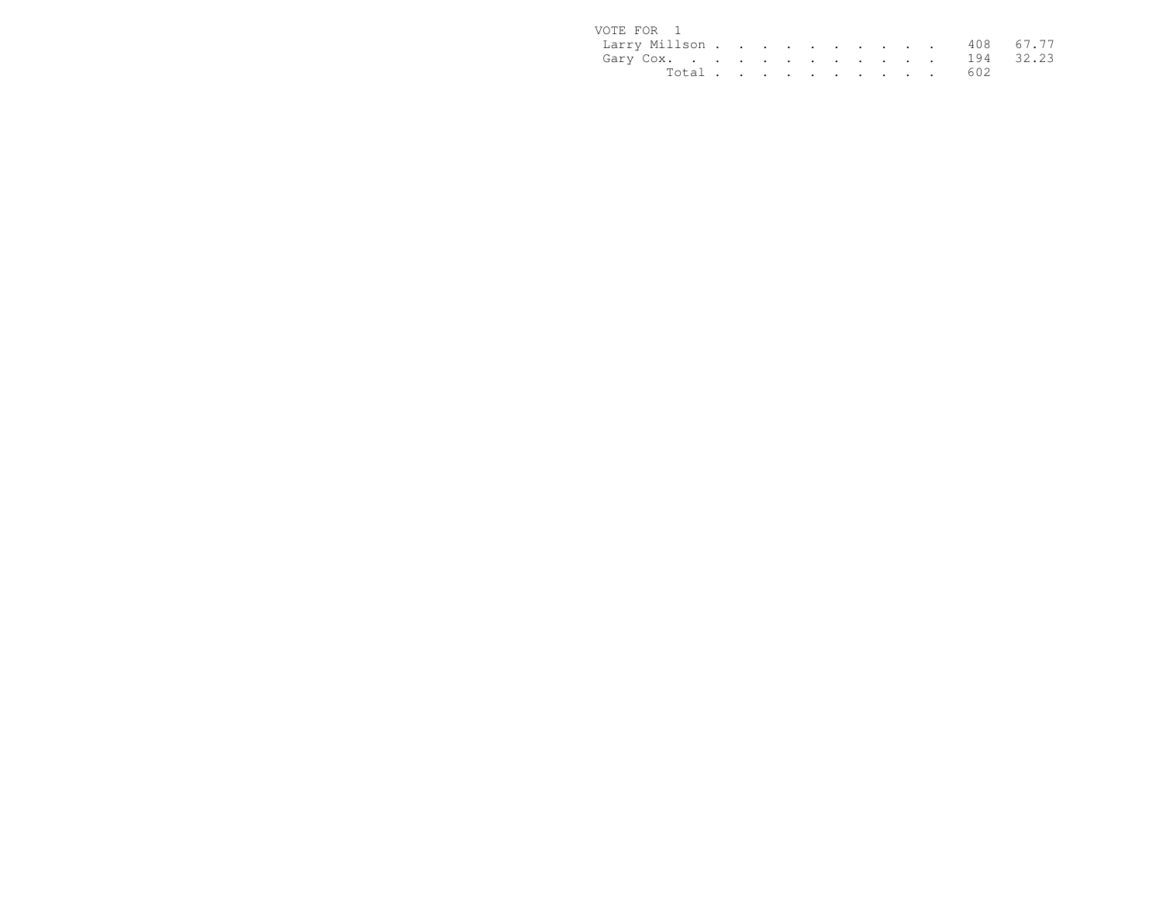| VOTE FOR 1              |  |  |  |  |  |           |  |
|-------------------------|--|--|--|--|--|-----------|--|
| Larry Millson 408 67.77 |  |  |  |  |  |           |  |
| Gary Cox. 194 32.23     |  |  |  |  |  |           |  |
|                         |  |  |  |  |  | Total 602 |  |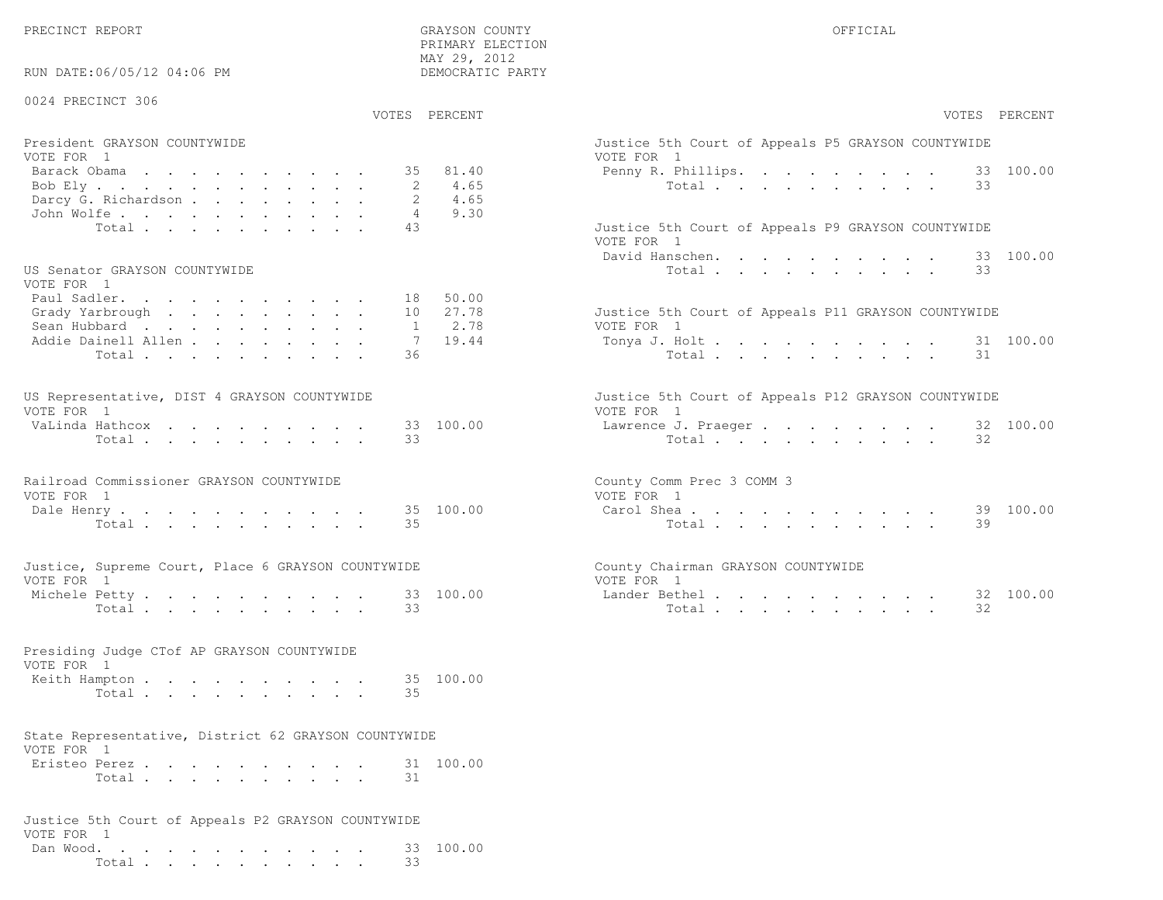PRECINCT REPORT OF THE SERVICE OF THE GRAYSON COUNTY OF THE GRAYSON COUNTY OF THE GRAYSON OF THE GRAYSON COUNTY

RUN DATE:06/05/12 04:06 PM

0024 PRECINCT 306

VOTES PERCENT VOTES PERCENT

 PRIMARY ELECTION MAY 29, 2012DEMOCRATIC PARTY

## President GRAYSON COUNTYWIDE<br>VOTE FOR 1 VOTE FOR 1 Barack Obama . . . . . . . . . . . 35 81.40 Penny<br>Bob Elv . . . . . . . . . . . . 2 4.65 Bob Ely . . . . . . . . . . . . . . 2 4.65<br>Darcy G. Richardson . . . . . . . . 2 4.65 Darcy G. Richardson . . . . . . . . 2<br>John Wolfe . . . . . . . . . . . . . 4 9.30 John Wolfe. . . . . . . . . . . Total . . . . . . . . . 43 Justic

#### US Senator GRAYSON COUNTYWIDE

| VOTE FOR 1                  |  |  |  |  |                                                     |
|-----------------------------|--|--|--|--|-----------------------------------------------------|
| Paul Sadler. 18 50.00       |  |  |  |  |                                                     |
| Grady Yarbrough 10 $27.78$  |  |  |  |  | Justice 5th Court of Appeals P11 GRAYSON COUNTYWIDE |
| Sean Hubbard 1 2.78         |  |  |  |  | VOTE FOR 1                                          |
| Addie Dainell Allen 7 19.44 |  |  |  |  | Tonya J. Holt 31 100.00                             |
| Total 36                    |  |  |  |  | Total 31                                            |
|                             |  |  |  |  |                                                     |

| US Representative, DIST 4 GRAYSON COUNTYWIDE |  |  |  |  |  | Justice 5th Court of Appeals P12 GRAYSON COUNTYWIDE |  |
|----------------------------------------------|--|--|--|--|--|-----------------------------------------------------|--|
| VOTE FOR 1                                   |  |  |  |  |  | VOTE FOR 1                                          |  |
| VaLinda Hathcox 33 100.00                    |  |  |  |  |  | Lawrence J. Praeger 32 100.00                       |  |
| Total 33                                     |  |  |  |  |  | Total 32                                            |  |

| Railroad Commissioner GRAYSON COUNTYWIDE | County Comm Prec 3 COMM 3 |  |
|------------------------------------------|---------------------------|--|
| VOTE FOR                                 | VOTE FOR                  |  |
| Dale Henry 35 100.00                     | Carol Shea 39 100.00      |  |
| Total 35                                 | Total 39                  |  |

|          |  |               | Justice, Supreme Court, Place 6 GRAYSON COUNTYWIDE |           | County Chairman GRAYSON COUNTYWIDE |           |
|----------|--|---------------|----------------------------------------------------|-----------|------------------------------------|-----------|
| VOTE FOR |  |               |                                                    |           | VOTE FOR                           |           |
|          |  | Michele Petty |                                                    | 33 100.00 | Lander Bethel,                     | 32 100.00 |

|                         |  |  | Presiding Judge CTof AP GRAYSON COUNTYWIDE |  |                                      |
|-------------------------|--|--|--------------------------------------------|--|--------------------------------------|
| VOTE FOR 1              |  |  |                                            |  |                                      |
| エアオン・プログラム アディー・ショー シーン |  |  |                                            |  | $\cap$ $\Gamma$ $\cap$ $\cap$ $\cap$ |

Total . . . . . . . . . . 33

| Keith Hampton |  |  |  |  |  | 35 100.00 |
|---------------|--|--|--|--|--|-----------|
| Total         |  |  |  |  |  |           |

## State Representative, District 62 GRAYSON COUNTYWIDEVOTE FOR 1

| Eristeo Perez |       |  |  |  |  |  | 31 100.00 |
|---------------|-------|--|--|--|--|--|-----------|
|               | Total |  |  |  |  |  |           |

|            |  |  |  |  |  |  | Justice 5th Court of Appeals P2 GRAYSON COUNTYWIDE |                     |
|------------|--|--|--|--|--|--|----------------------------------------------------|---------------------|
| VOTE FOR 1 |  |  |  |  |  |  |                                                    |                     |
|            |  |  |  |  |  |  |                                                    | Dan Wood. 33 100.00 |
|            |  |  |  |  |  |  | Total 33                                           |                     |

| PERCENT                         | VOTES PERCENT                                                                                                                                                                                                                                                                                                                                                |
|---------------------------------|--------------------------------------------------------------------------------------------------------------------------------------------------------------------------------------------------------------------------------------------------------------------------------------------------------------------------------------------------------------|
| 81.40<br>4.65<br>4.65           | Justice 5th Court of Appeals P5 GRAYSON COUNTYWIDE<br>VOTE FOR 1<br>Penny R. Phillips. 33 100.00<br>Total<br>33                                                                                                                                                                                                                                              |
| 9.30                            | Justice 5th Court of Appeals P9 GRAYSON COUNTYWIDE<br>VOTE FOR 1<br>David Hanschen.<br>100.00<br>33<br>Total<br>33                                                                                                                                                                                                                                           |
| 50.00<br>27.78<br>2.78<br>19.44 | Justice 5th Court of Appeals P11 GRAYSON COUNTYWIDE<br>VOTE FOR 1<br>100.00<br>Tonya J. Holt<br>31<br>$Total \cdot \cdot \cdot \cdot \cdot \cdot \cdot \cdot \cdot \cdot$<br>31                                                                                                                                                                              |
| 100.00                          | Justice 5th Court of Appeals P12 GRAYSON COUNTYWIDE<br>VOTE FOR 1<br>32 100.00<br>Lawrence J. Praeger<br>32<br>Total                                                                                                                                                                                                                                         |
| 100.00                          | County Comm Prec 3 COMM 3<br>VOTE FOR 1<br>100.00<br>Carol Shea<br>39<br>39<br>Total                                                                                                                                                                                                                                                                         |
| 100.00                          | County Chairman GRAYSON COUNTYWIDE<br>VOTE FOR 1<br>Lander Bethel<br>100.00<br>32<br>32<br>Total .<br>and the contract of the contract of the contract of the contract of the contract of the contract of the contract of the contract of the contract of the contract of the contract of the contract of the contract of the contra<br>$\ddot{\phantom{a}}$ |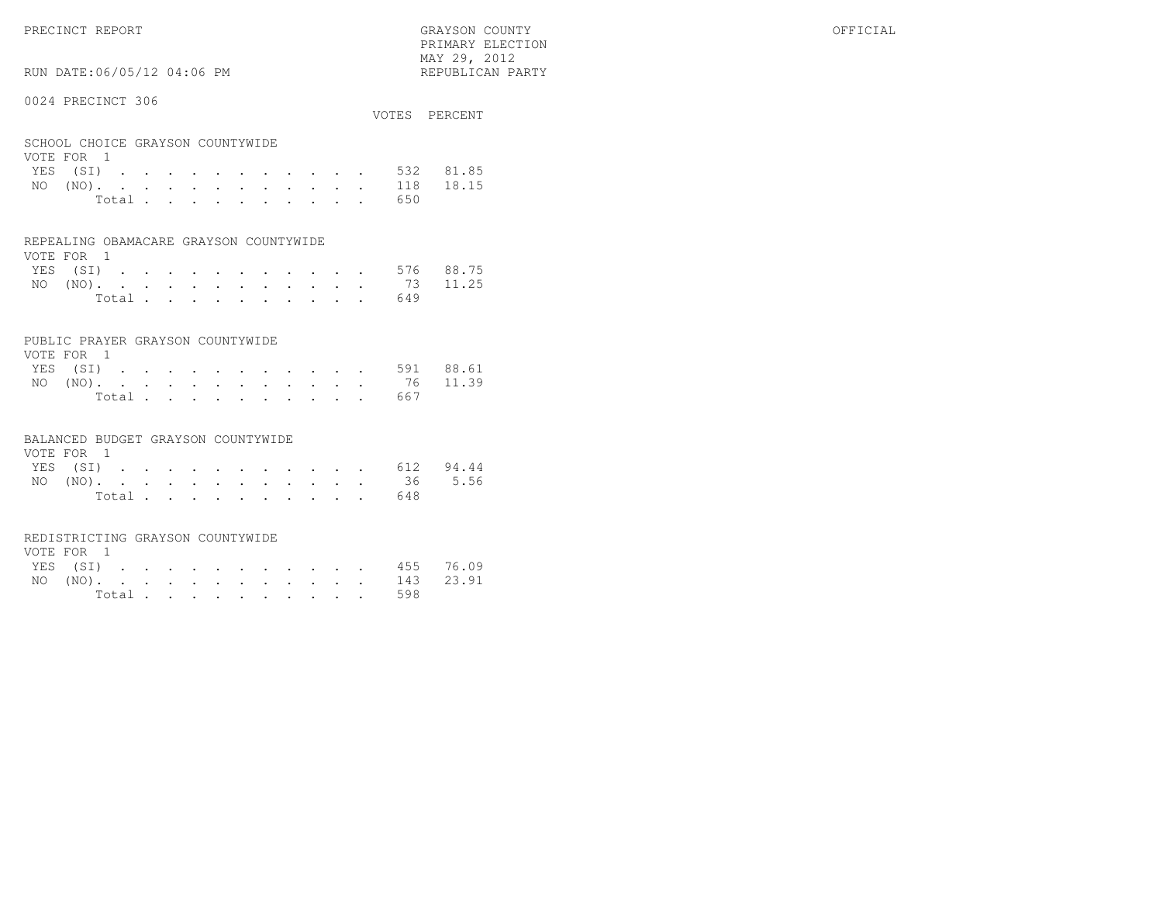PRIMARY ELECTION $\text{MAX } 29, \quad 2012$ 

# RUN DATE:06/05/12 04:06 PM

## 0024 PRECINCT 306

|                                  |  |  |  |  |       |  |  |     | VOTES PERCENT      |
|----------------------------------|--|--|--|--|-------|--|--|-----|--------------------|
| SCHOOL CHOICE GRAYSON COUNTYWIDE |  |  |  |  |       |  |  |     |                    |
| VOTE FOR 1                       |  |  |  |  |       |  |  |     |                    |
|                                  |  |  |  |  |       |  |  |     | YES (SI) 532 81.85 |
|                                  |  |  |  |  |       |  |  |     | NO (NO). 118 18.15 |
|                                  |  |  |  |  | Total |  |  | 650 |                    |

#### REPEALING OBAMACARE GRAYSON COUNTYWIDE

| VOTE FOR 1 |  |  |  |  |  |                    |  |
|------------|--|--|--|--|--|--------------------|--|
|            |  |  |  |  |  | YES (SI) 576 88.75 |  |
|            |  |  |  |  |  | NO (NO). 73 11.25  |  |
|            |  |  |  |  |  | Total 649          |  |

# PUBLIC PRAYER GRAYSON COUNTYWIDE

| VOTE FOR 1 |  |  |  |  |  |                    |  |
|------------|--|--|--|--|--|--------------------|--|
|            |  |  |  |  |  | YES (SI) 591 88.61 |  |
|            |  |  |  |  |  | NO (NO). 76 11.39  |  |
|            |  |  |  |  |  | Total 667          |  |

#### BALANCED BUDGET GRAYSON COUNTYWIDE

| VOTE FOR 1 |  |  |  |  |  |  |           |                    |
|------------|--|--|--|--|--|--|-----------|--------------------|
|            |  |  |  |  |  |  |           | YES (SI) 612 94.44 |
|            |  |  |  |  |  |  |           | NO (NO). 36 5.56   |
|            |  |  |  |  |  |  | Total 648 |                    |

# REDISTRICTING GRAYSON COUNTYWIDE

| VOTE FOR 1 |  |  |  |  |  |  |                    |  |
|------------|--|--|--|--|--|--|--------------------|--|
|            |  |  |  |  |  |  | YES (SI) 455 76.09 |  |
|            |  |  |  |  |  |  | NO (NO). 143 23.91 |  |
|            |  |  |  |  |  |  | Total 598          |  |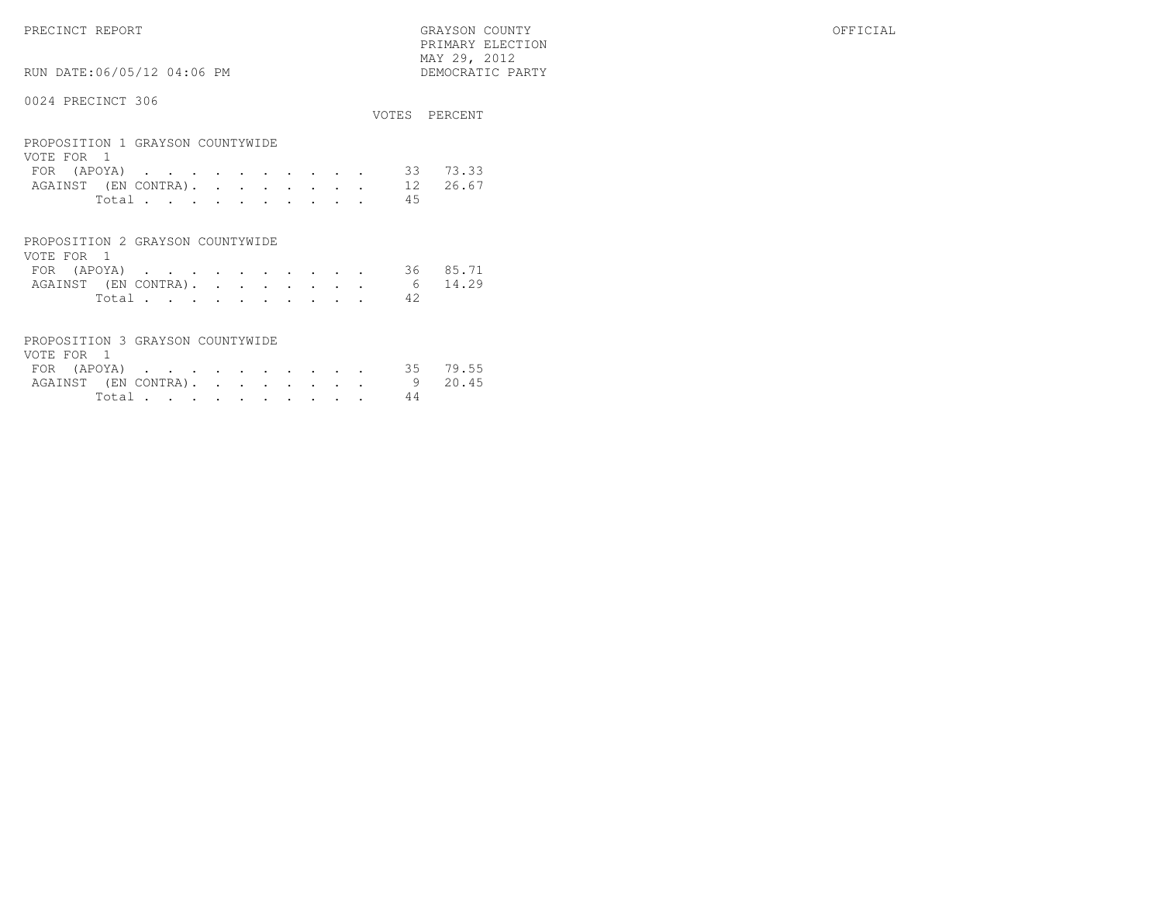$\begin{array}{lll} \text{MAX} & 29, & 2012 \\ \text{NAY} & 29, & 2012 \end{array}$ RUN DATE:06/05/12 04:06 PM

# 0024 PRECINCT 306

|                                                |  |  |  |    | VOTES PERCENT |
|------------------------------------------------|--|--|--|----|---------------|
| PROPOSITION 1 GRAYSON COUNTYWIDE<br>VOTE FOR 1 |  |  |  |    |               |
| FOR $(APOYA)$ 33                               |  |  |  |    | 73.33         |
| AGAINST (EN CONTRA). 12 26.67                  |  |  |  |    |               |
| Total                                          |  |  |  | 45 |               |
|                                                |  |  |  |    |               |

PRIMARY ELECTION

| PROPOSITION 2 GRAYSON COUNTYWIDE |  |  |  |  |       |     |  |
|----------------------------------|--|--|--|--|-------|-----|--|
| VOTE FOR 1                       |  |  |  |  |       |     |  |
| FOR (APOYA) 36 85.71             |  |  |  |  |       |     |  |
| AGAINST (EN CONTRA). 6 14.29     |  |  |  |  |       |     |  |
|                                  |  |  |  |  | Total | -42 |  |

| PROPOSITION 3 GRAYSON COUNTYWIDE |        |  |  |  |    |  |
|----------------------------------|--------|--|--|--|----|--|
| VOTE FOR 1                       |        |  |  |  |    |  |
| FOR (APOYA) 35 79.55             |        |  |  |  |    |  |
| AGAINST (EN CONTRA). 9 20.45     |        |  |  |  |    |  |
|                                  | Total. |  |  |  | 44 |  |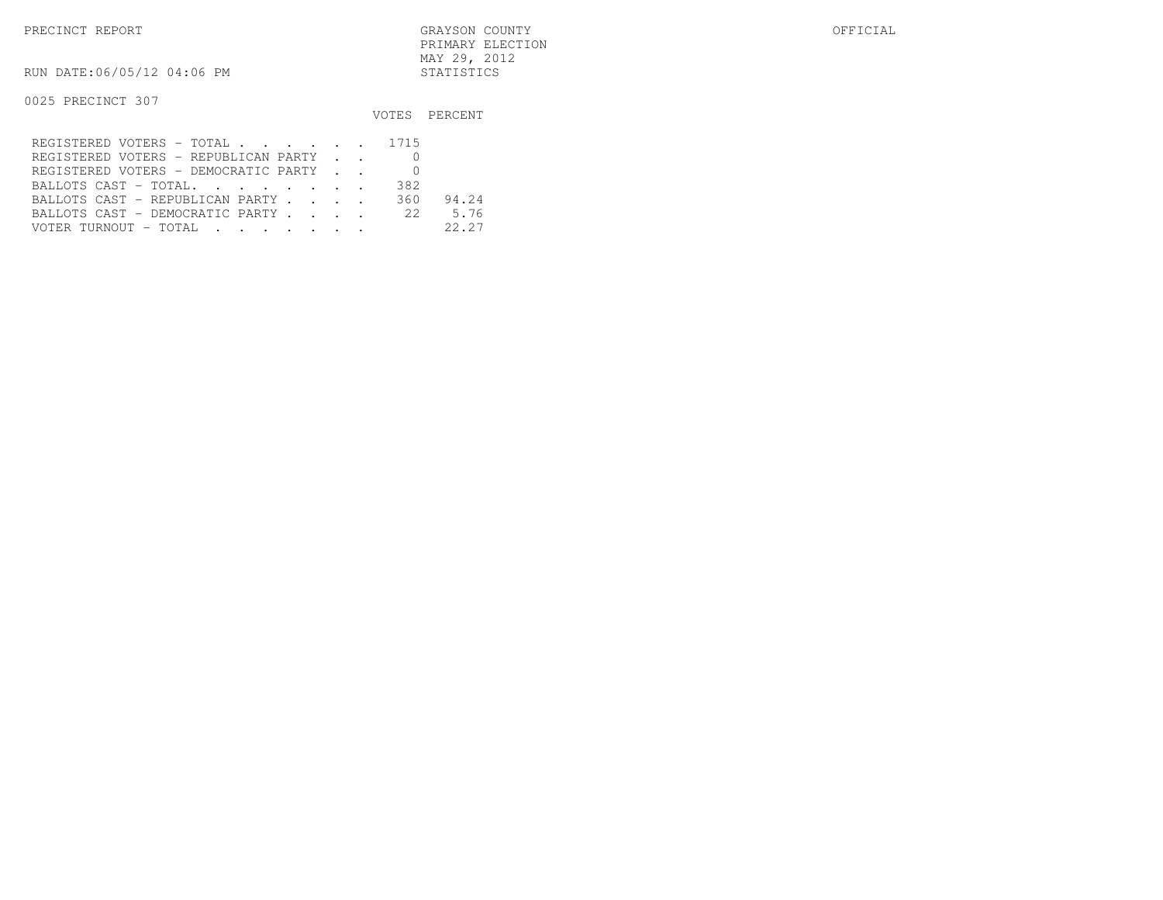RUN DATE:06/05/12 04:06 PM STATISTICS

|                                               |     | VOTES PERCENT |
|-----------------------------------------------|-----|---------------|
| REGISTERED VOTERS - TOTAL 1715                |     |               |
| REGISTERED VOTERS - REPUBLICAN PARTY          |     |               |
| REGISTERED VOTERS - DEMOCRATIC PARTY          |     |               |
| BALLOTS CAST - TOTAL.                         | 382 |               |
| BALLOTS CAST - REPUBLICAN PARTY               | 360 | 94.24         |
| BALLOTS CAST - DEMOCRATIC PARTY 22 5.76       |     |               |
| VOTER TURNOUT – TOTAL   .   .   .   .   .   . |     | 22.27         |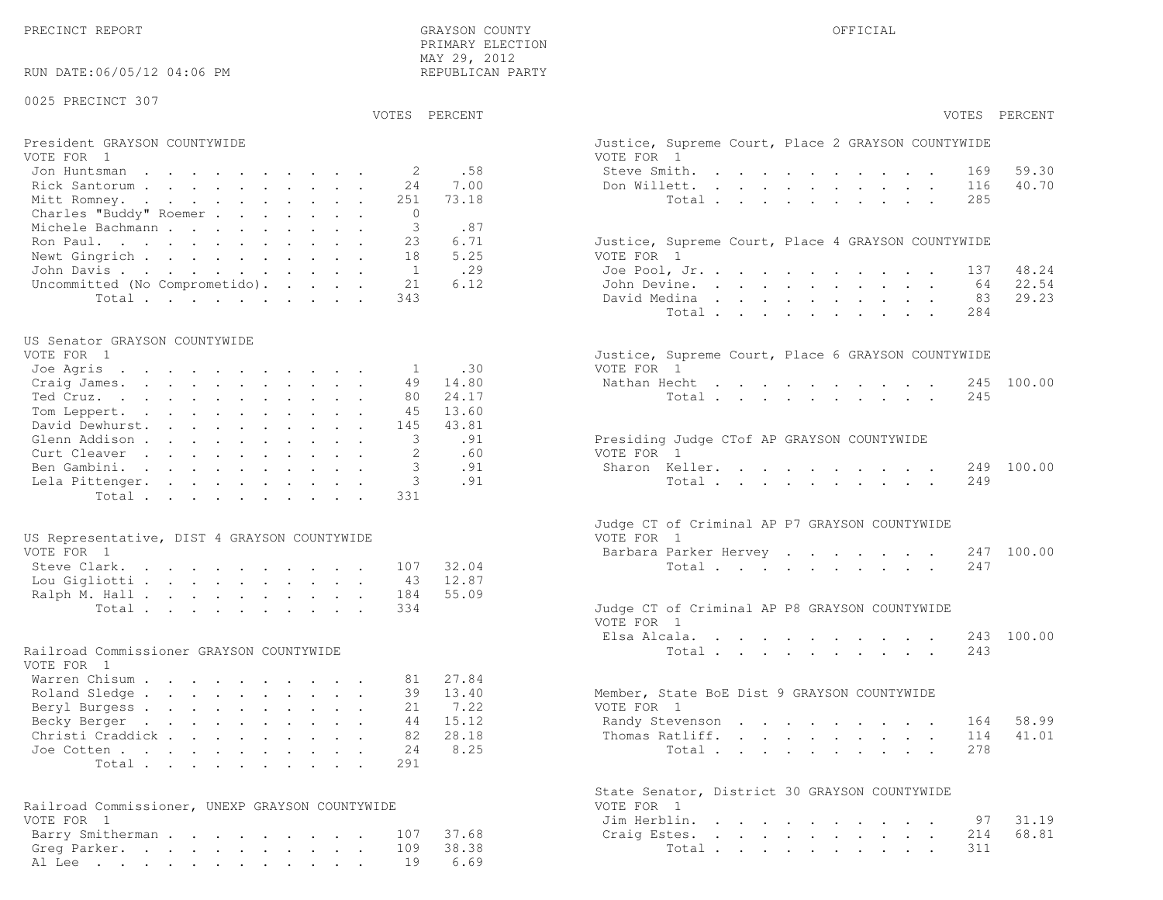| RUN DATE:06/05/12 04:06 PM                      | MAY 29, 2012<br>REPUBLICAN PARTY |                                                                  |
|-------------------------------------------------|----------------------------------|------------------------------------------------------------------|
| 0025 PRECINCT 307                               | VOTES PERCENT                    | VOTES PERCENT                                                    |
| President GRAYSON COUNTYWIDE                    |                                  | Justice, Supreme Court, Place 2 GRAYSON COUNTYWIDE               |
| VOTE FOR 1                                      |                                  | VOTE FOR 1                                                       |
| Jon Huntsman                                    | .58<br>2                         | Steve Smith.<br>59.30<br>169                                     |
| Rick Santorum<br>24                             | 7.00                             | Don Willett.<br>40.70<br>116                                     |
| Mitt Romney.<br>251                             | 73.18                            | Total<br>285                                                     |
| Charles "Buddy" Roemer                          | $\circ$                          |                                                                  |
| Michele Bachmann                                | 3<br>.87                         |                                                                  |
| Ron Paul.<br>23<br>18                           | 6.71<br>5.25                     | Justice, Supreme Court, Place 4 GRAYSON COUNTYWIDE<br>VOTE FOR 1 |
| Newt Gingrich<br>John Davis                     | .29<br><sup>1</sup>              | Joe Pool, Jr.<br>48.24<br>137                                    |
| Uncommitted (No Comprometido).<br>21            | 6.12                             | John Devine.<br>22.54<br>64                                      |
| Total<br>343                                    |                                  | 29.23<br>David Medina<br>83                                      |
|                                                 |                                  | Total<br>284                                                     |
| US Senator GRAYSON COUNTYWIDE                   |                                  |                                                                  |
| VOTE FOR 1                                      |                                  | Justice, Supreme Court, Place 6 GRAYSON COUNTYWIDE               |
| Joe Agris                                       | .30<br>1                         | VOTE FOR 1                                                       |
| Craig James.<br>49                              | 14.80                            | Nathan Hecht<br>245 100.00                                       |
| Ted Cruz.<br>80<br>Tom Leppert.<br>45           | 24.17<br>13.60                   | Total<br>245                                                     |
| David Dewhurst.<br>145                          | 43.81                            |                                                                  |
| Glenn Addison                                   | 3<br>.91                         | Presiding Judge CTof AP GRAYSON COUNTYWIDE                       |
| Curt Cleaver                                    | 2<br>.60                         | VOTE FOR 1                                                       |
| Ben Gambini.                                    | .91                              | Sharon Keller.<br>249 100.00                                     |
| Lela Pittenger.                                 | 3<br>.91                         | Total<br>249                                                     |
| Total<br>331                                    |                                  |                                                                  |
|                                                 |                                  | Judge CT of Criminal AP P7 GRAYSON COUNTYWIDE                    |
| US Representative, DIST 4 GRAYSON COUNTYWIDE    |                                  | VOTE FOR 1                                                       |
| VOTE FOR 1<br>Steve Clark.<br>107               | 32.04                            | Barbara Parker Hervey<br>247 100.00<br>Total<br>247              |
| Lou Gigliotti<br>43                             | 12.87                            |                                                                  |
| Ralph M. Hall<br>184                            | 55.09                            |                                                                  |
| Total<br>334                                    |                                  | Judge CT of Criminal AP P8 GRAYSON COUNTYWIDE                    |
|                                                 |                                  | VOTE FOR 1                                                       |
|                                                 |                                  | Elsa Alcala.<br>100.00<br>243                                    |
| Railroad Commissioner GRAYSON COUNTYWIDE        |                                  | 243<br>Total                                                     |
| VOTE FOR 1                                      |                                  |                                                                  |
| Warren Chisum<br>81                             | 27.84                            |                                                                  |
| Roland Sledge<br>39<br>21                       | 13.40<br>7.22                    | Member, State BoE Dist 9 GRAYSON COUNTYWIDE<br>VOTE FOR 1        |
| Beryl Burgess<br>Becky Berger<br>44             | 15.12                            | 58.99<br>Randy Stevenson<br>164                                  |
| Christi Craddick<br>82                          | 28.18                            | 41.01<br>Thomas Ratliff.<br>114                                  |
| Joe Cotten<br>24                                | 8.25                             | Total<br>278                                                     |
| Total<br>291                                    |                                  |                                                                  |
|                                                 |                                  | State Senator, District 30 GRAYSON COUNTYWIDE                    |
| Railroad Commissioner, UNEXP GRAYSON COUNTYWIDE |                                  | VOTE FOR 1                                                       |
| VOTE FOR 1                                      |                                  | Jim Herblin.<br>31.19<br>97                                      |
| Barry Smitherman.<br>107                        | 37.68                            | 68.81<br>214<br>Craig Estes.                                     |
| Greg Parker.<br>109                             | 38.38                            | Total<br>311                                                     |

Al Lee . . . . . . . . . . . . . 19 6.69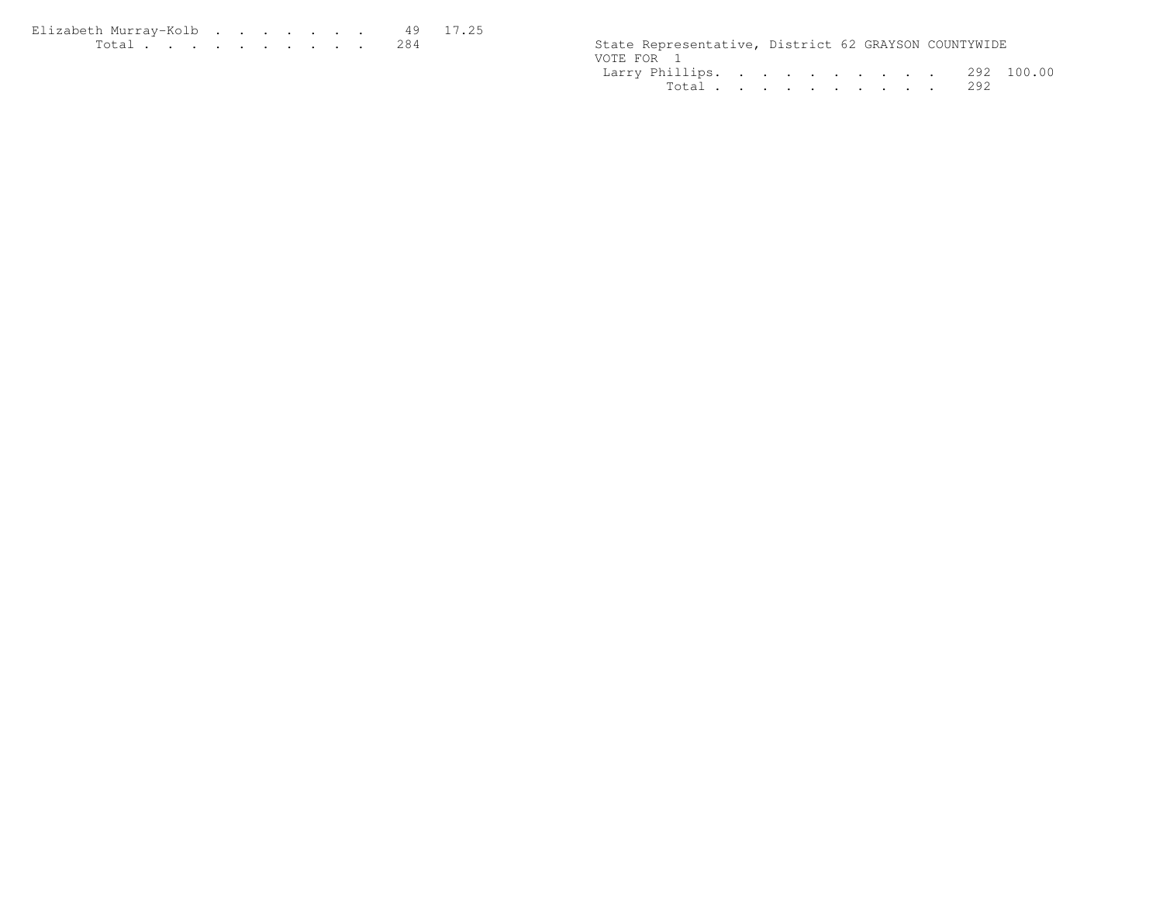| Elizabeth Murrav-Kolb                                                                                           |  |  |  |  |                                                      |  |
|-----------------------------------------------------------------------------------------------------------------|--|--|--|--|------------------------------------------------------|--|
| the contract of the contract of the contract of the contract of the contract of the contract of the contract of |  |  |  |  | State Representative, District 62 GRAYSON COUNTYWIDE |  |

|  |  |  |  | State Representative, District 62 GRAYSON COUNTYWIDE<br>Larry Phillips. 292 100.00<br>Total 292 |
|--|--|--|--|-------------------------------------------------------------------------------------------------|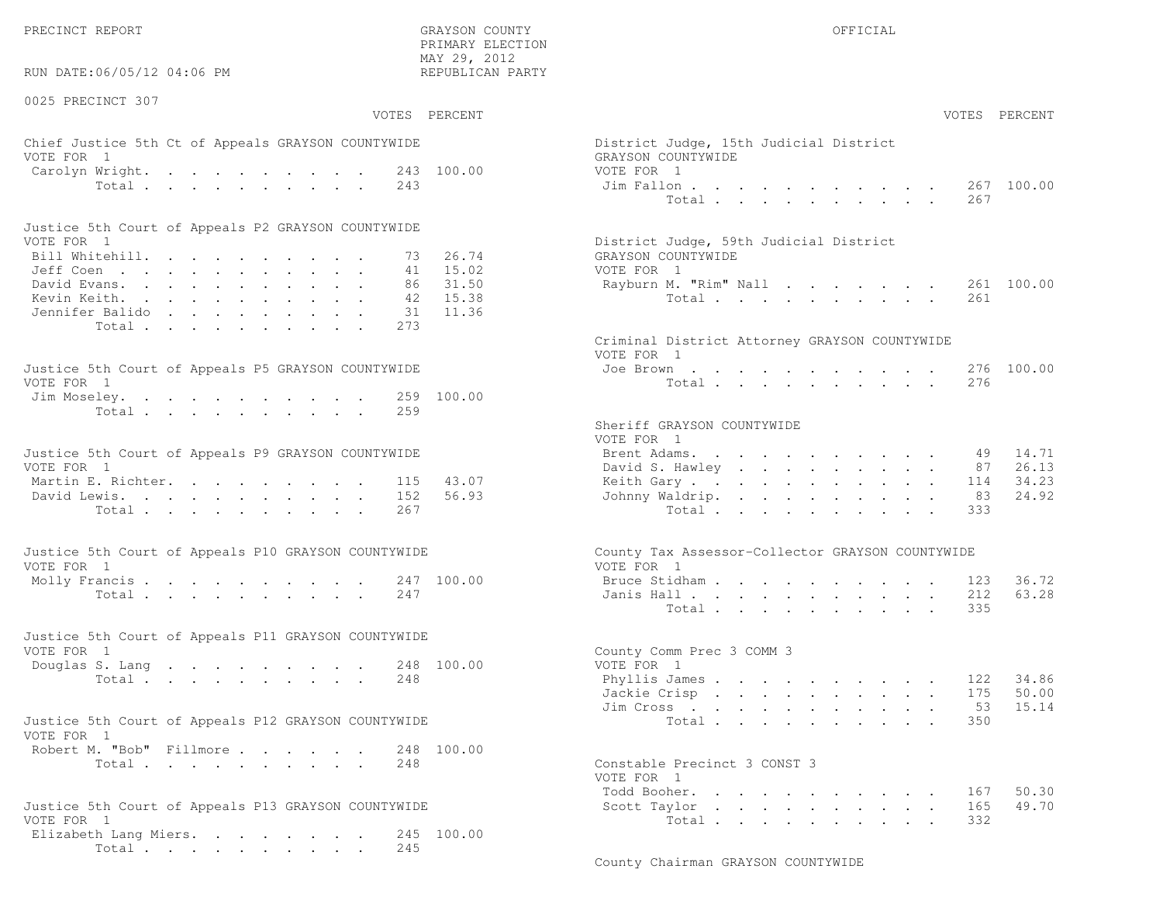$\text{MAX } 29, \quad 2012$ RUN DATE:06/05/12 04:06 PM

0025 PRECINCT 307

PRIMARY ELECTION

# Chief Justice 5th Ct of Appeals GRAYSON COUNTYWIDE District District District District District District District District District District District District District District District District District District District VOTE FOR 1 GRAYSON COUNTY WITH SALE COUNTY OF REAL GRAYSON COUNTY OF REAL COUNTY OF REAL COUNTY OF REAL COUNTY OF REAL COUNTY OF REAL COUNTY OF REAL COUNTY OF REAL COUNTY OF REAL COUNTY OF REAL COUNTY OF REAL COUNTY OF REA Carolyn Wright. . . . . . . . . 243 100.00 VOT

| Justice 5th Court of Appeals P2 GRAYSON COUNTYWIDE |  |  |  |  |  |                                        |  |
|----------------------------------------------------|--|--|--|--|--|----------------------------------------|--|
| VOTE FOR 1                                         |  |  |  |  |  | District Judge, 59th Judicial District |  |
| Bill Whitehill. 73 26.74                           |  |  |  |  |  | GRAYSON COUNTYWIDE                     |  |
| Jeff Coen 41 15.02                                 |  |  |  |  |  | VOTE FOR 1                             |  |
| David Evans. 86 31.50                              |  |  |  |  |  | Rayburn M. "Rim" Nall 261 100.00       |  |
| Kevin Keith. 42 15.38                              |  |  |  |  |  | Total 261                              |  |
| Jennifer Balido 31 11.36                           |  |  |  |  |  |                                        |  |
| Total 273                                          |  |  |  |  |  |                                        |  |

| Justice 5th Court of Appeals P5 GRAYSON COUNTYWIDE | Joe Brown 276 100.00 |
|----------------------------------------------------|----------------------|
| VOTE FOR 1                                         | Total 276            |
| Jim Moseley. 259 100.00                            |                      |
| Total 259                                          |                      |
|                                                    |                      |

| Justice 5th Court of Appeals P9 GRAYSON COUNTYWIDE |  |  |  |  |  | Brent Adams. 49 14.71    |  |  |  |  |  |  |
|----------------------------------------------------|--|--|--|--|--|--------------------------|--|--|--|--|--|--|
| VOTE FOR 1                                         |  |  |  |  |  | David S. Hawley 87 26.13 |  |  |  |  |  |  |
| Martin E. Richter. 115 43.07                       |  |  |  |  |  | Keith Gary 114 34.23     |  |  |  |  |  |  |
| David Lewis. 152 56.93                             |  |  |  |  |  | Johnny Waldrip. 83 24.92 |  |  |  |  |  |  |
| Total 267                                          |  |  |  |  |  | Total 333                |  |  |  |  |  |  |

| Justice 5th Court of Appeals P10 GRAYSON COUNTYWIDE | County Tax Assessor-Collector GRAYSON COUNTYWIDE |
|-----------------------------------------------------|--------------------------------------------------|
| VOTE FOR 1                                          | VOTE FOR 1                                       |
| Molly Francis 247 100.00                            | Bruce Stidham 123 36.72                          |
| Total 247                                           | Janis Hall 212 63.28                             |

| Justice 5th Court of Appeals P11 GRAYSON COUNTYWIDE |  |  |  |  |           |                           |  |
|-----------------------------------------------------|--|--|--|--|-----------|---------------------------|--|
| VOTE FOR 1                                          |  |  |  |  |           | County Comm Prec 3 COMM 3 |  |
| Douglas S. Lang 248 100.00                          |  |  |  |  |           | VOTE FOR 1                |  |
|                                                     |  |  |  |  | Total 248 | Phyllis James 122 34.86   |  |

| Justice 5th Court of Appeals P12 GRAYSON COUNTYWIDE |           |  |  |  | Total 350                    |  |
|-----------------------------------------------------|-----------|--|--|--|------------------------------|--|
| VOTE FOR 1                                          |           |  |  |  |                              |  |
| Robert M. "Bob" Fillmore 248 100.00                 |           |  |  |  |                              |  |
|                                                     | Total 248 |  |  |  | Constable Precinct 3 CONST 3 |  |

| Justice 5th Court of Appeals P13 GRAYSON COUNTYWIDE | Scott Taylor 165 49.70 |  |
|-----------------------------------------------------|------------------------|--|
| VOTE FOR 1                                          | Total 332              |  |
| Elizabeth Lang Miers. 245 100.00                    |                        |  |
| Total 245                                           |                        |  |

| :06/05/12 04:06 PM                                             | MAY 29, 2012<br>REPUBLICAN PARTY                                                                |
|----------------------------------------------------------------|-------------------------------------------------------------------------------------------------|
| CINCT 307<br>VOTES PERCENT                                     | VOTES PERCENT                                                                                   |
| stice 5th Ct of Appeals GRAYSON COUNTYWIDE<br>$\overline{1}$   | District Judge, 15th Judicial District<br>GRAYSON COUNTYWIDE                                    |
| Wright. 243 100.00<br>Total<br>243                             | VOTE FOR 1<br>267 100.00<br>Jim Fallon<br>Total<br>267                                          |
| ith Court of Appeals P2 GRAYSON COUNTYWIDE                     |                                                                                                 |
| $\overline{1}$<br>.tehill.<br>73<br>$\mathbb{R}^{n}$<br>41     | District Judge, 59th Judicial District<br>26.74<br>GRAYSON COUNTYWIDE<br>15.02<br>VOTE FOR 1    |
| rans.<br>86 —<br>eith.<br>42<br>: Balido<br>31                 | 31.50<br>261 100.00<br>Rayburn M. "Rim" Nall<br>15.38<br>Total<br>261<br>11.36                  |
| Total<br>273                                                   | Criminal District Attorney GRAYSON COUNTYWIDE<br>VOTE FOR 1                                     |
| ith Court of Appeals P5 GRAYSON COUNTYWIDE<br>$\overline{1}$   | 276 100.00<br>Joe Brown<br>Total<br>276                                                         |
| eley.<br>259 100.00<br>Total<br>259                            |                                                                                                 |
|                                                                | Sheriff GRAYSON COUNTYWIDE<br>VOTE FOR 1                                                        |
| ith Court of Appeals P9 GRAYSON COUNTYWIDE<br>$\mathbf{1}$     | 14.71<br>Brent Adams.<br>49<br>David S. Hawley<br>87<br>26.13                                   |
| $\mathbb{E}$ . Richter.<br>115<br>ewis.<br>152<br>Total<br>267 | 43.07<br>34.23<br>Keith Gary.<br>114<br>56.93<br>24.92<br>Johnny Waldrip.<br>83<br>333<br>Total |
| ith Court of Appeals P10 GRAYSON COUNTYWIDE<br>$\overline{1}$  | County Tax Assessor-Collector GRAYSON COUNTYWIDE<br>VOTE FOR 1                                  |
| rancis 247 100.00<br>247<br>Total                              | 36.72<br>Bruce Stidham<br>123<br>63.28<br>Janis Hall<br>212<br>335<br>Total                     |
| ith Court of Appeals P11 GRAYSON COUNTYWIDE<br>$\mathbf{1}$    | County Comm Prec 3 COMM 3                                                                       |
| S. Lang 248 100.00<br>Total.<br>248                            | VOTE FOR 1<br>34.86<br>Phyllis James<br>122<br>50.00<br>Jackie Crisp<br>175<br>15.14<br>53      |
| oth Court of Appeals P12 GRAYSON COUNTYWIDE<br>$\overline{1}$  | Jim Cross<br>Total<br>350                                                                       |
| 1. "Bob" Fillmore<br>248 100.00<br>248<br>Total                | Constable Precinct 3 CONST 3<br>VOTE FOR 1                                                      |
| ith Court of Appeals P13 GRAYSON COUNTYWIDE<br>$\mathbf{1}$    | Todd Booher.<br>167<br>50.30<br>49.70<br>Scott Taylor<br>165<br>332<br>Total                    |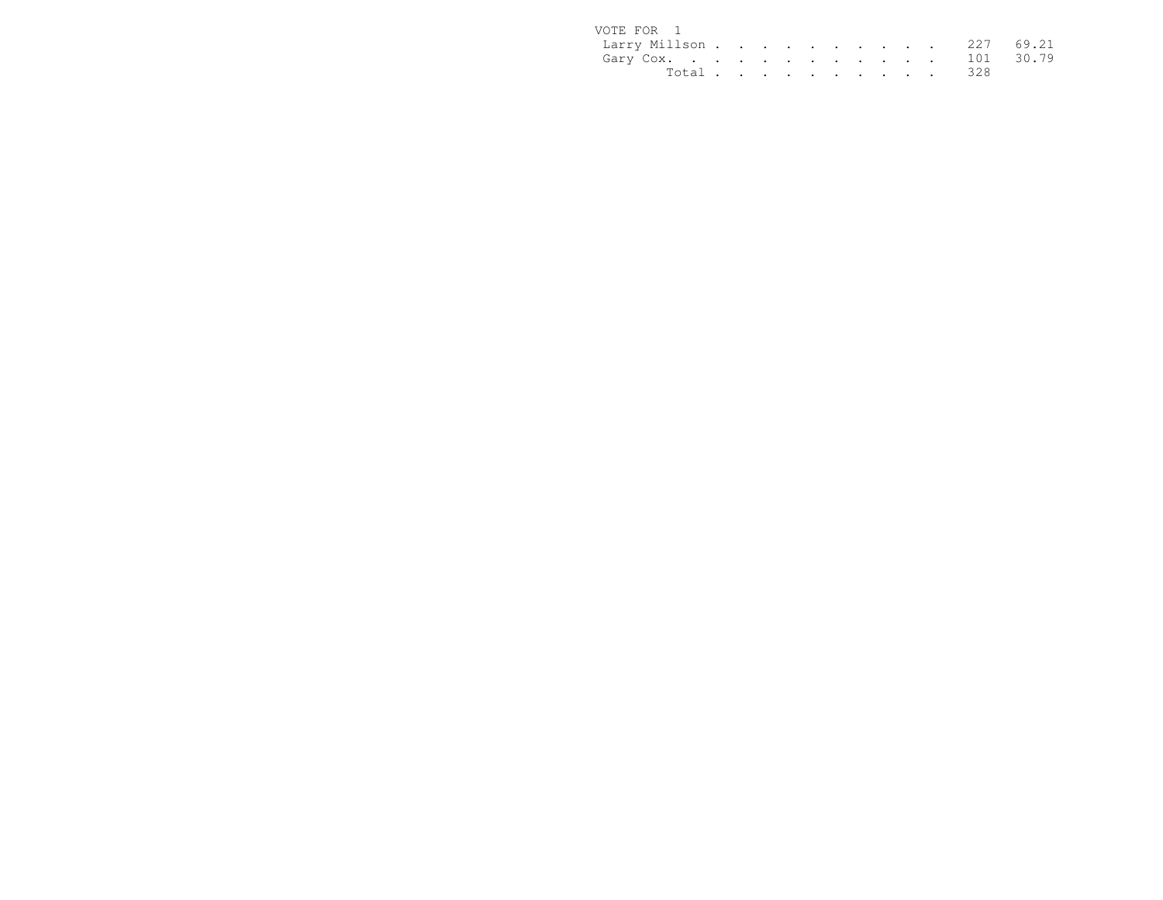| VOTE FOR 1              |  |  |  |  |  |           |  |
|-------------------------|--|--|--|--|--|-----------|--|
| Larry Millson 227 69.21 |  |  |  |  |  |           |  |
| Gary Cox. 101 30.79     |  |  |  |  |  |           |  |
|                         |  |  |  |  |  | Total 328 |  |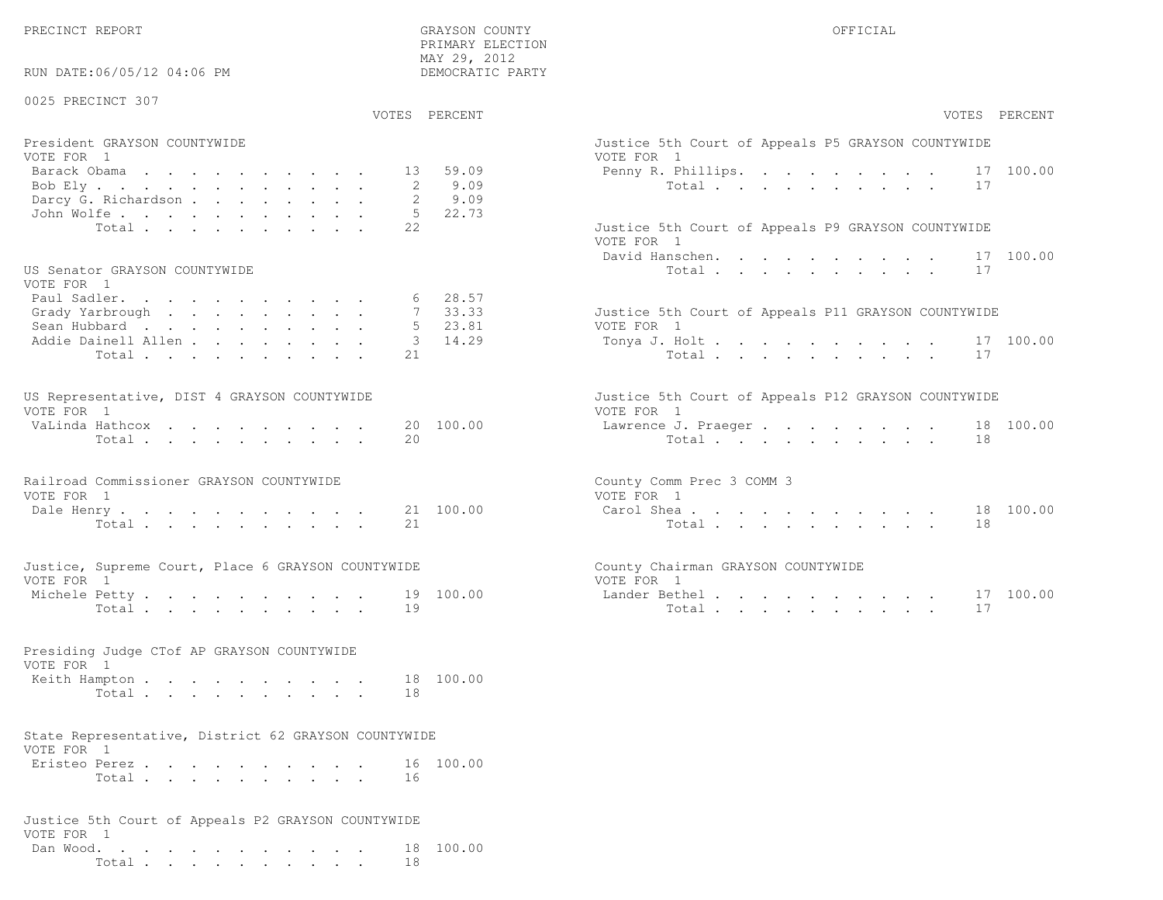PRIMARY ELECTION

| RUN DATE:06/05/12 04:06 PM                                                                      | MAY 29, 2012<br>DEMOCRATIC PARTY                    |                                                                                                                      |
|-------------------------------------------------------------------------------------------------|-----------------------------------------------------|----------------------------------------------------------------------------------------------------------------------|
| 0025 PRECINCT 307                                                                               | VOTES PERCENT                                       | VOTES PERCENT                                                                                                        |
| President GRAYSON COUNTYWIDE<br>VOTE FOR 1<br>Barack Obama<br>Bob Ely<br>Darcy G. Richardson    | 59.09<br>13<br>9.09<br>2<br>9.09                    | Justice 5th Court of Appeals P5 GRAYSON COUNTYWIDE<br>VOTE FOR 1<br>17 100.00<br>Penny R. Phillips.<br>Total<br>17   |
| John Wolfe.<br>Total<br>US Senator GRAYSON COUNTYWIDE                                           | 5 22.73<br>22                                       | Justice 5th Court of Appeals P9 GRAYSON COUNTYWIDE<br>VOTE FOR 1<br>David Hanschen.<br>17 100.00<br>Total<br>17      |
| VOTE FOR 1<br>Paul Sadler.<br>Grady Yarbrough<br>Sean Hubbard<br>Addie Dainell Allen<br>Total   | $6$ 28.57<br>7 33.33<br>5 23.81<br>14.29<br>3<br>21 | Justice 5th Court of Appeals P11 GRAYSON COUNTYWIDE<br>VOTE FOR 1<br>17 100.00<br>Tonya J. Holt<br>Total<br>17       |
| US Representative, DIST 4 GRAYSON COUNTYWIDE<br>VOTE FOR 1<br>VaLinda Hathcox<br>Total $\cdots$ | 20 100.00<br>20                                     | Justice 5th Court of Appeals P12 GRAYSON COUNTYWIDE<br>VOTE FOR 1<br>18 100.00<br>Lawrence J. Praeger<br>Total<br>18 |
| Railroad Commissioner GRAYSON COUNTYWIDE<br>VOTE FOR 1<br>Dale Henry.<br>Total $\cdots$         | 21 100.00<br>21                                     | County Comm Prec 3 COMM 3<br>VOTE FOR 1<br>Carol Shea 18 100.00<br>18<br>Total                                       |
| Justice, Supreme Court, Place 6 GRAYSON COUNTYWIDE<br>VOTE FOR 1<br>Michele Petty<br>Total      | 19 100.00<br>19                                     | County Chairman GRAYSON COUNTYWIDE<br>VOTE FOR 1<br>17 100.00<br>Lander Bethel.<br>Total<br>17                       |
| Presiding Judge CTof AP GRAYSON COUNTYWIDE<br>VOTE FOR 1<br>Keith Hampton<br>Total              | 18 100.00<br>18                                     |                                                                                                                      |
| State Representative, District 62 GRAYSON COUNTYWIDE<br>VOTE FOR 1<br>Eristeo Perez<br>Total    | 16 100.00<br>16                                     |                                                                                                                      |
| Justice 5th Court of Appeals P2 GRAYSON COUNTYWIDE<br>VOTE FOR 1<br>Dan Wood.<br>Total          | 18 100.00<br>18                                     |                                                                                                                      |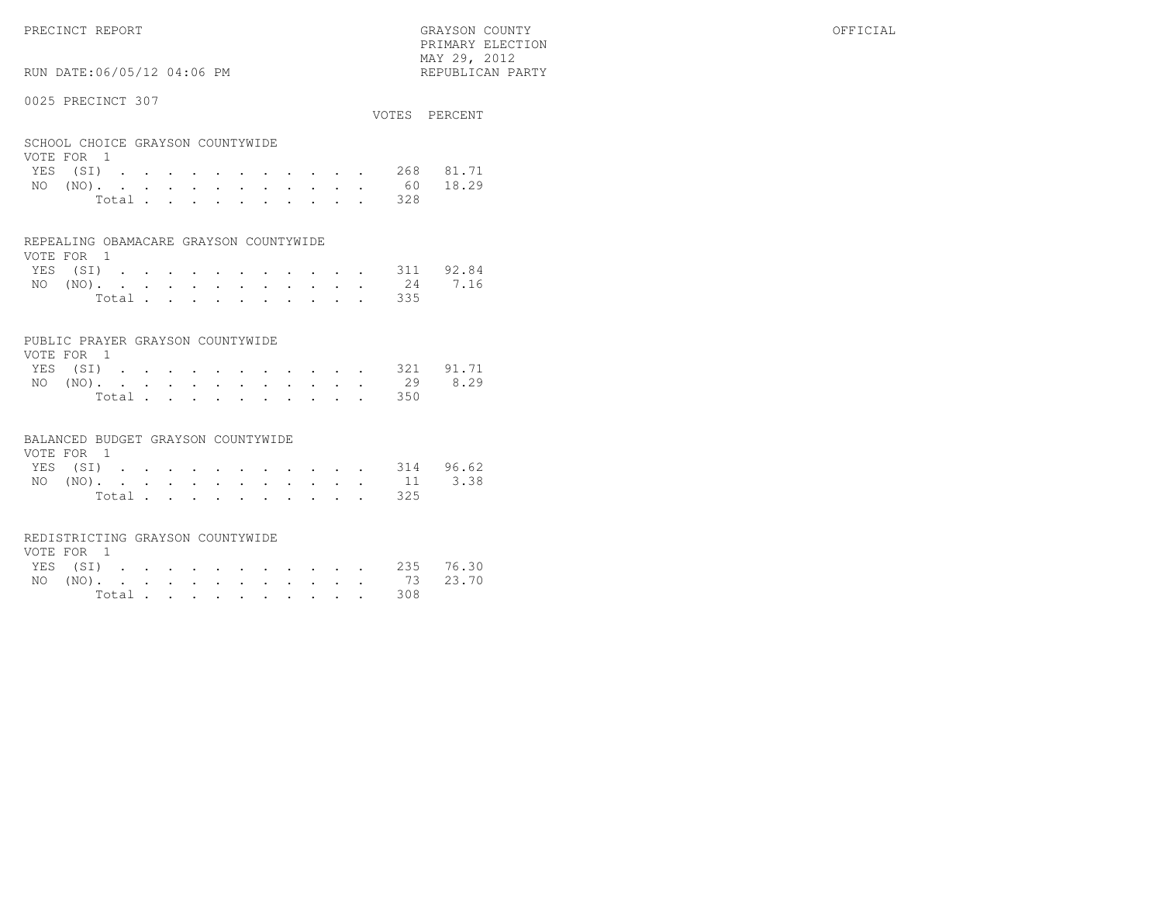# RUN DATE:06/05/12 04:06 PM

## 0025 PRECINCT 307

|                                                |  |  |  |  |  |  | VOTES PERCENT      |
|------------------------------------------------|--|--|--|--|--|--|--------------------|
| SCHOOL CHOICE GRAYSON COUNTYWIDE<br>VOTE FOR 1 |  |  |  |  |  |  |                    |
|                                                |  |  |  |  |  |  | YES (SI) 268 81.71 |
|                                                |  |  |  |  |  |  | NO (NO). 60 18.29  |

| Total |  |  |  |  |  | 328 |
|-------|--|--|--|--|--|-----|
|       |  |  |  |  |  |     |

#### REPEALING OBAMACARE GRAYSON COUNTYWIDE

| VOTE FOR 1 |  |  |  |  |  |                    |  |
|------------|--|--|--|--|--|--------------------|--|
|            |  |  |  |  |  | YES (SI) 311 92.84 |  |
|            |  |  |  |  |  | NO (NO). 24 7.16   |  |
|            |  |  |  |  |  | Total 335          |  |

## PUBLIC PRAYER GRAYSON COUNTYWIDE

| VOTE FOR 1 |  |  |  |  |  |                    |  |
|------------|--|--|--|--|--|--------------------|--|
|            |  |  |  |  |  | YES (SI) 321 91.71 |  |
|            |  |  |  |  |  | NO (NO). 29 8.29   |  |
|            |  |  |  |  |  | Total 350          |  |

#### BALANCED BUDGET GRAYSON COUNTYWIDE

| VOTE FOR 1 |  |  |  |  |  |                    |  |
|------------|--|--|--|--|--|--------------------|--|
|            |  |  |  |  |  | YES (SI) 314 96.62 |  |
|            |  |  |  |  |  | NO (NO). 11 3.38   |  |
|            |  |  |  |  |  | Total 325          |  |

# REDISTRICTING GRAYSON COUNTYWIDE

| VOTE FOR 1 |  |  |  |  |  |  |                    |  |
|------------|--|--|--|--|--|--|--------------------|--|
|            |  |  |  |  |  |  | YES (SI) 235 76.30 |  |
|            |  |  |  |  |  |  | NO (NO). 73 23.70  |  |
|            |  |  |  |  |  |  | Total 308          |  |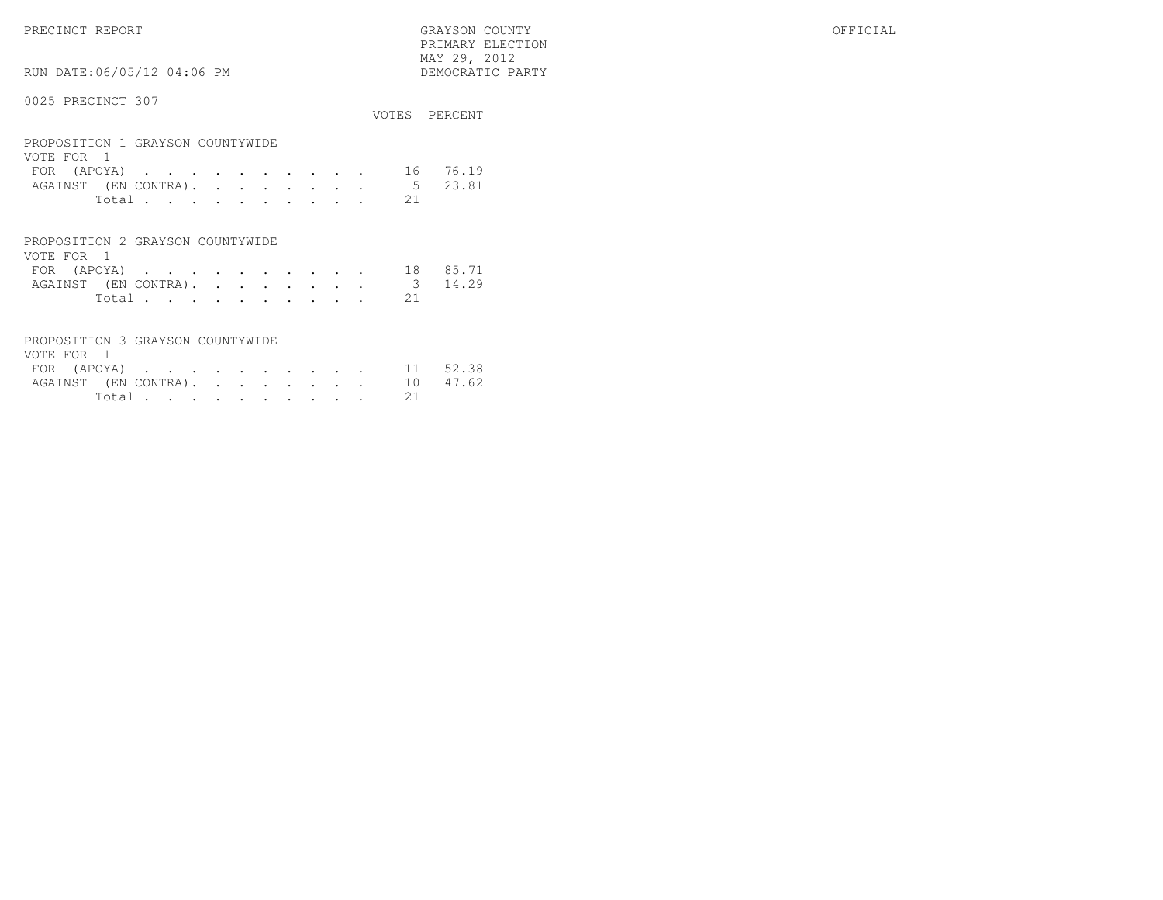PRECINCT REPORT GRAYSON COUNTY OFFICIAL PRIMARY ELECTION $\begin{array}{lll} \text{MAX} & 29, & 2012 \\ \text{NAY} & 29, & 2012 \end{array}$ 

# RUN DATE:06/05/12 04:06 PM

|                                                |       |  |  |  |  |  |    | VOTES PERCENT |
|------------------------------------------------|-------|--|--|--|--|--|----|---------------|
| PROPOSITION 1 GRAYSON COUNTYWIDE<br>VOTE FOR 1 |       |  |  |  |  |  |    |               |
| FOR $(APOYA)$ 16                               |       |  |  |  |  |  |    | 76.19         |
| AGAINST (EN CONTRA).                           |       |  |  |  |  |  | 5  | 23.81         |
|                                                | Total |  |  |  |  |  | 21 |               |
|                                                |       |  |  |  |  |  |    |               |

| PROPOSITION 2 GRAYSON COUNTYWIDE |  |  |  |  |  |                              |                      |
|----------------------------------|--|--|--|--|--|------------------------------|----------------------|
| VOTE FOR 1                       |  |  |  |  |  |                              |                      |
|                                  |  |  |  |  |  |                              | FOR (APOYA) 18 85.71 |
|                                  |  |  |  |  |  | AGAINST (EN CONTRA). 3 14.29 |                      |
|                                  |  |  |  |  |  | Total 21                     |                      |

| PROPOSITION 3 GRAYSON COUNTYWIDE |  |  |  |  |  |          |  |
|----------------------------------|--|--|--|--|--|----------|--|
| VOTE FOR 1                       |  |  |  |  |  |          |  |
| FOR (APOYA) 11 52.38             |  |  |  |  |  |          |  |
| AGAINST (EN CONTRA). 10 47.62    |  |  |  |  |  |          |  |
|                                  |  |  |  |  |  | Total 21 |  |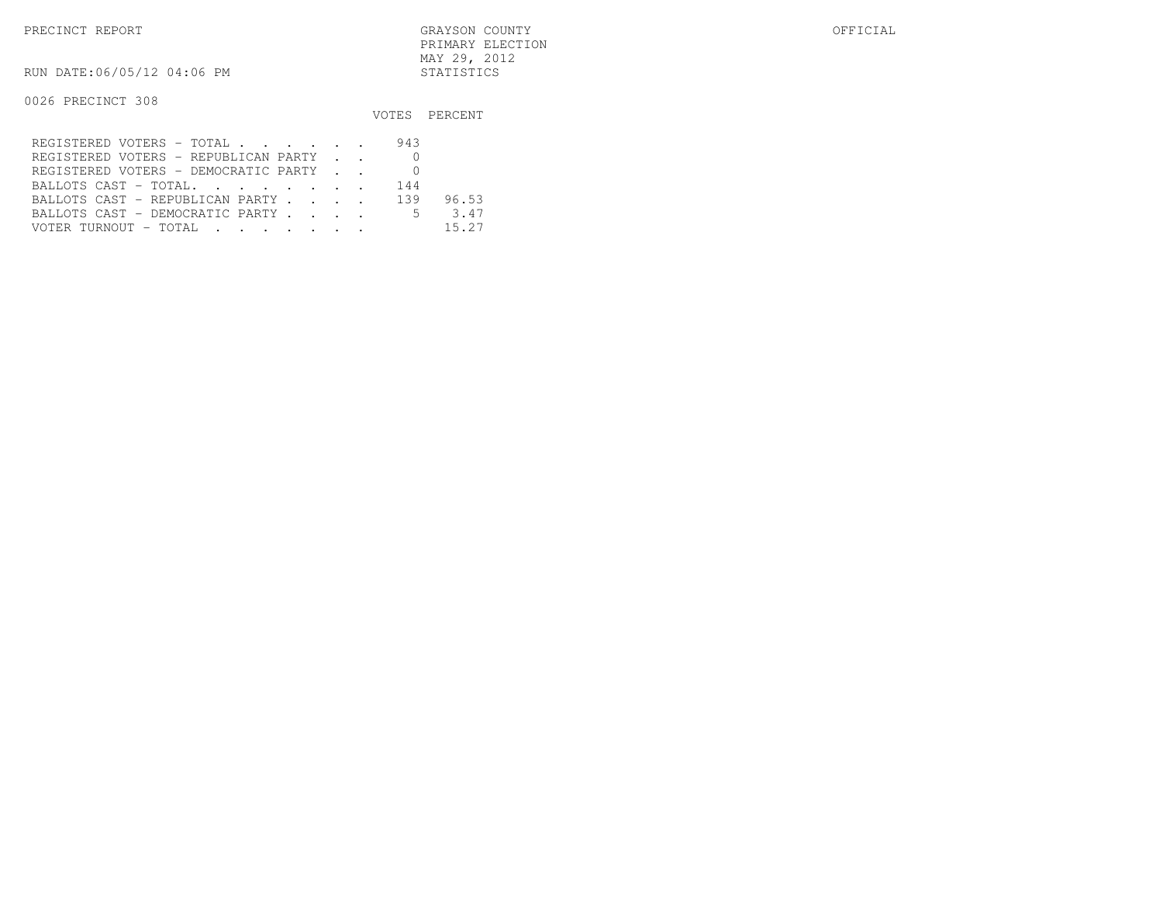RUN DATE:06/05/12 04:06 PM STATISTICS

|                                                                                                                                            |     | VOTES PERCENT |
|--------------------------------------------------------------------------------------------------------------------------------------------|-----|---------------|
| REGISTERED VOTERS - TOTAL                                                                                                                  | 943 |               |
| REGISTERED VOTERS - REPUBLICAN PARTY                                                                                                       |     |               |
| REGISTERED VOTERS - DEMOCRATIC PARTY                                                                                                       |     |               |
| BALLOTS CAST - TOTAL.                                                                                                                      | 144 |               |
| BALLOTS CAST - REPUBLICAN PARTY 139                                                                                                        |     | 96.53         |
| BALLOTS CAST - DEMOCRATIC PARTY                                                                                                            | .5  | 3.47          |
| VOTER TURNOUT - TOTAL .<br>the contract of the contract of the contract of the contract of the contract of the contract of the contract of |     | 15.27         |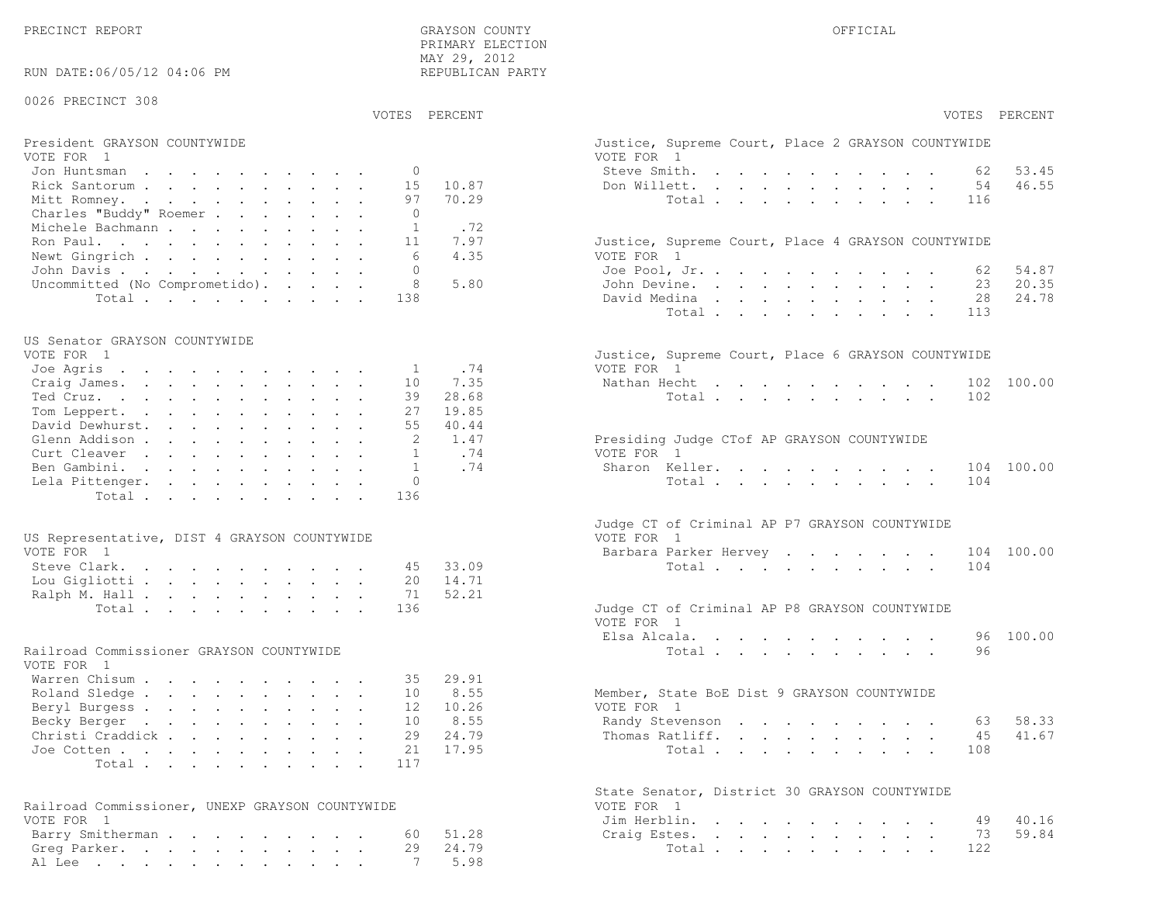PRECINCT REPORT THE COUNTY GRAYSON COUNTY THE COUNTY OFFICIAL OFFICIAL COUNTY OF THE COUNTY OF THE COUNTY OF THE COUNTY OF THE COUNTY OF THE COUNTY OF THE COUNTY OF THE COUNTY OF THE COUNTY OF THE COUNTY OF THE COUNTY OF T PRIMARY ELECTION MAY 29, 2012REPUBLICAN PARTY

# RUN DATE:06/05/12 04:06 PM

# 0026 PRECINCT 308

VOTES PERCENT VOTES PERCENT

# President GRAYSON COUNTYWIDE Justice, Superior Court, Superior Court, Place 2 Grammary 2 Grammary 2 Grammary 2 G<br>Vote 2 Grammary 2 Grammary 2 Grammary 2 Grammary 2 Grammary 2 Grammary 2 Grammary 2 Grammary 2 Grammary 2 Gra

| VOTE FOR 1                            | VOTE FOR 1                                         |
|---------------------------------------|----------------------------------------------------|
| Jon Huntsman 0                        | Steve Smith. 62<br>53.45                           |
| Rick Santorum 15 10.87                | Don Willett. 54 46.55                              |
| Mitt Romney. 97 70.29                 | Total 116                                          |
| Charles "Buddy" Roemer                |                                                    |
| Michele Bachmann 1 .72                |                                                    |
| Ron Paul. 11 7.97                     | Justice, Supreme Court, Place 4 GRAYSON COUNTYWIDE |
| Newt Gingrich<br>6 4.35               | VOTE FOR 1                                         |
| John Davis                            | 54.87<br>Joe Pool, Jr. 62                          |
| Uncommitted (No Comprometido). 8 5.80 | 20.35<br>John Devine. 23                           |
| Total 138                             | 28 24.78<br>David Medina                           |

#### US Senator GRAYSON COUNTYWIDE

| Justice, Supreme Court, Place 6 GRAYSON COUNTYWIDE |
|----------------------------------------------------|
| VOTE FOR 1                                         |
| Nathan Hecht 102 100.00                            |
| Total 102                                          |
|                                                    |
|                                                    |
| Presiding Judge CTof AP GRAYSON COUNTYWIDE         |
| VOTE FOR 1                                         |
| Sharon Keller. 104 100.00                          |
| Total 104                                          |
|                                                    |
|                                                    |

| US Representative, DIST 4 GRAYSON COUNTYWIDE |                        | VOTE FOR 1                                    |
|----------------------------------------------|------------------------|-----------------------------------------------|
| VOTE FOR 1                                   |                        | Barbara Parker Hervey 104 100.00              |
|                                              | Steve Clark. 45 33.09  | Total 104                                     |
|                                              | Lou Gigliotti 20 14.71 |                                               |
|                                              | Ralph M. Hall 71 52.21 |                                               |
|                                              | Total 136              | Judge CT of Criminal AP P8 GRAYSON COUNTYWIDE |

#### Railroad Commissioner GRAYSON COUNTYWIDE

| VOTE FOR 1                |  |  |  |  |  |                                             |
|---------------------------|--|--|--|--|--|---------------------------------------------|
| Warren Chisum 35 29.91    |  |  |  |  |  |                                             |
| Roland Sledge 10 8.55     |  |  |  |  |  | Member, State BoE Dist 9 GRAYSON COUNTYWIDE |
| Beryl Burgess 12 10.26    |  |  |  |  |  | VOTE FOR 1                                  |
| Becky Berger 10 8.55      |  |  |  |  |  | Randy Stevenson 63 58.33                    |
| Christi Craddick 29 24.79 |  |  |  |  |  | Thomas Ratliff. 45 41.67                    |
| Joe Cotten 21 17.95       |  |  |  |  |  | Total 108                                   |
| Total 117                 |  |  |  |  |  |                                             |

| Railroad Commissioner, UNEXP GRAYSON COUNTYWIDE | VOTE FOR 1            |
|-------------------------------------------------|-----------------------|
| VOTE FOR 1                                      | Jim Herblin. 49 40.16 |
| Barry Smitherman 60 51.28                       | Craig Estes. 73 59.84 |
| Greg Parker. 29 24.79                           | Total 122             |
| Al Lee 7 5.98                                   |                       |

|                                                        | VOTES PERCENT  | VOTES PERCENT                                                                                                                                   |
|--------------------------------------------------------|----------------|-------------------------------------------------------------------------------------------------------------------------------------------------|
| President GRAYSON COUNTYWIDE<br>VOTE FOR 1             |                | Justice, Supreme Court, Place 2 GRAYSON COUNTYWIDE<br>VOTE FOR 1                                                                                |
| Jon Huntsman<br>$\Omega$                               |                | Steve Smith.<br>53.45<br>62                                                                                                                     |
| 15<br>Rick Santorum                                    | 10.87          | 54<br>46.55<br>Don Willett.<br>$\mathbf{r}$ , and $\mathbf{r}$ , and $\mathbf{r}$ , and $\mathbf{r}$ , and $\mathbf{r}$                         |
| Mitt Romney.<br>97                                     | 70.29          | Total<br>116                                                                                                                                    |
| Charles "Buddy" Roemer<br>$\Omega$                     |                |                                                                                                                                                 |
| Michele Bachmann<br>1                                  | .72            |                                                                                                                                                 |
| Ron Paul.<br>11                                        | 7.97           | Justice, Supreme Court, Place 4 GRAYSON COUNTYWIDE                                                                                              |
| Newt Gingrich<br>6                                     | 4.35           | VOTE FOR 1                                                                                                                                      |
| John Davis<br>$\bigcap$                                |                | 54.87<br>Joe Pool, Jr.<br>62                                                                                                                    |
| Uncommitted (No Comprometido).<br>8                    | 5.80           | John Devine.<br>23<br>20.35                                                                                                                     |
| Total<br>138                                           |                | David Medina<br>28<br>24.78                                                                                                                     |
|                                                        |                | Total<br>113                                                                                                                                    |
| US Senator GRAYSON COUNTYWIDE                          |                |                                                                                                                                                 |
| VOTE FOR 1                                             |                | Justice, Supreme Court, Place 6 GRAYSON COUNTYWIDE                                                                                              |
| Joe Agris<br>1                                         | .74            | VOTE FOR 1                                                                                                                                      |
| Craig James.<br>10                                     | 7.35           | 102 100.00<br>Nathan Hecht                                                                                                                      |
| Ted Cruz.<br>39                                        | 28.68          | 102<br>Total                                                                                                                                    |
| Tom Leppert.<br>27<br>55                               | 19.85<br>40.44 |                                                                                                                                                 |
| David Dewhurst.<br>2                                   | 1.47           |                                                                                                                                                 |
| Glenn Addison<br>Curt Cleaver<br>$\mathbf{1}$          | .74            | Presiding Judge CTof AP GRAYSON COUNTYWIDE<br>VOTE FOR 1                                                                                        |
| $\mathbf{1}$<br>Ben Gambini.                           | .74            | Sharon Keller.<br>104 100.00                                                                                                                    |
| Lela Pittenger.<br>$\mathbf{0}$                        |                | Total<br>104                                                                                                                                    |
| Total<br>136                                           |                |                                                                                                                                                 |
| US Representative, DIST 4 GRAYSON COUNTYWIDE           |                | Judge CT of Criminal AP P7 GRAYSON COUNTYWIDE<br>VOTE FOR 1                                                                                     |
| VOTE FOR 1                                             |                | Barbara Parker Hervey<br>104 100.00                                                                                                             |
| Steve Clark.<br>45<br>20                               | 33.09          | Total<br>104                                                                                                                                    |
| Lou Gigliotti                                          | 14.71<br>52.21 |                                                                                                                                                 |
| Ralph M. Hall<br>71<br>136                             |                |                                                                                                                                                 |
| Total                                                  |                | Judge CT of Criminal AP P8 GRAYSON COUNTYWIDE<br>VOTE FOR 1                                                                                     |
|                                                        |                | 100.00<br>Elsa Alcala.<br>the contract of the contract of the contract of the contract of the contract of the contract of the contract of<br>96 |
| Railroad Commissioner GRAYSON COUNTYWIDE<br>VOTE FOR 1 |                | 96<br>Total                                                                                                                                     |
| Warren Chisum<br>35                                    | 29.91          |                                                                                                                                                 |
| Roland Sledge<br>10                                    | 8.55           | Member, State BoE Dist 9 GRAYSON COUNTYWIDE                                                                                                     |
| Beryl Burgess<br>12                                    | 10.26          | VOTE FOR 1                                                                                                                                      |
| Becky Berger<br>10                                     | 8.55           | 58.33<br>Randy Stevenson<br>63                                                                                                                  |
| Christi Craddick<br>29                                 | 24.79          | Thomas Ratliff.<br>41.67<br>45                                                                                                                  |
| Joe Cotten<br>21                                       | 17.95          | Total<br>108                                                                                                                                    |
| Total<br>117                                           |                |                                                                                                                                                 |
| Railroad Commissioner, UNEXP GRAYSON COUNTYWIDE        |                | State Senator, District 30 GRAYSON COUNTYWIDE<br>VOTE FOR 1                                                                                     |
| VOTE FOR 1                                             |                | 40.16<br>Jim Herblin.<br>49                                                                                                                     |
| Barry Smitherman.<br>60                                | 51.28          | 59.84<br>Craig Estes.<br>73                                                                                                                     |
| Greg Parker.<br>29                                     | 24.79          | Total<br>122                                                                                                                                    |
| Al Lee                                                 | 5.98           |                                                                                                                                                 |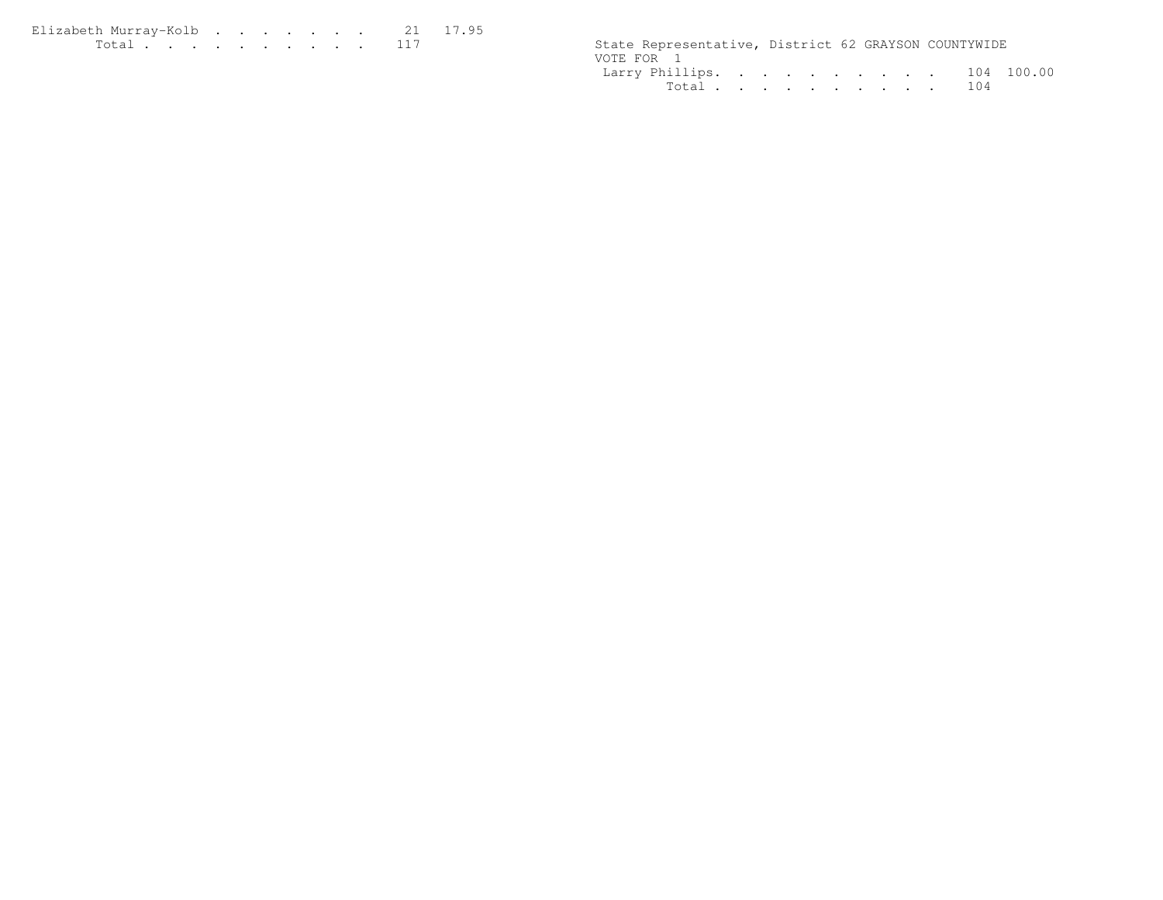$\begin{tabular}{cccccccccccccc} Elizabeth Murray-Kolb & . & . & . & . & . & . & . & . & . & 21 & 17.95 \\ Total & . & . & . & . & . & . & . & . & . & 117 \\ \end{tabular}$ 

State Representative, District 62 GRAYSON COUNTYWIDE VOTE FOR 1 Larry Phillips. . . . . . . . . . 104 100.00Total . . . . . . . . . . 104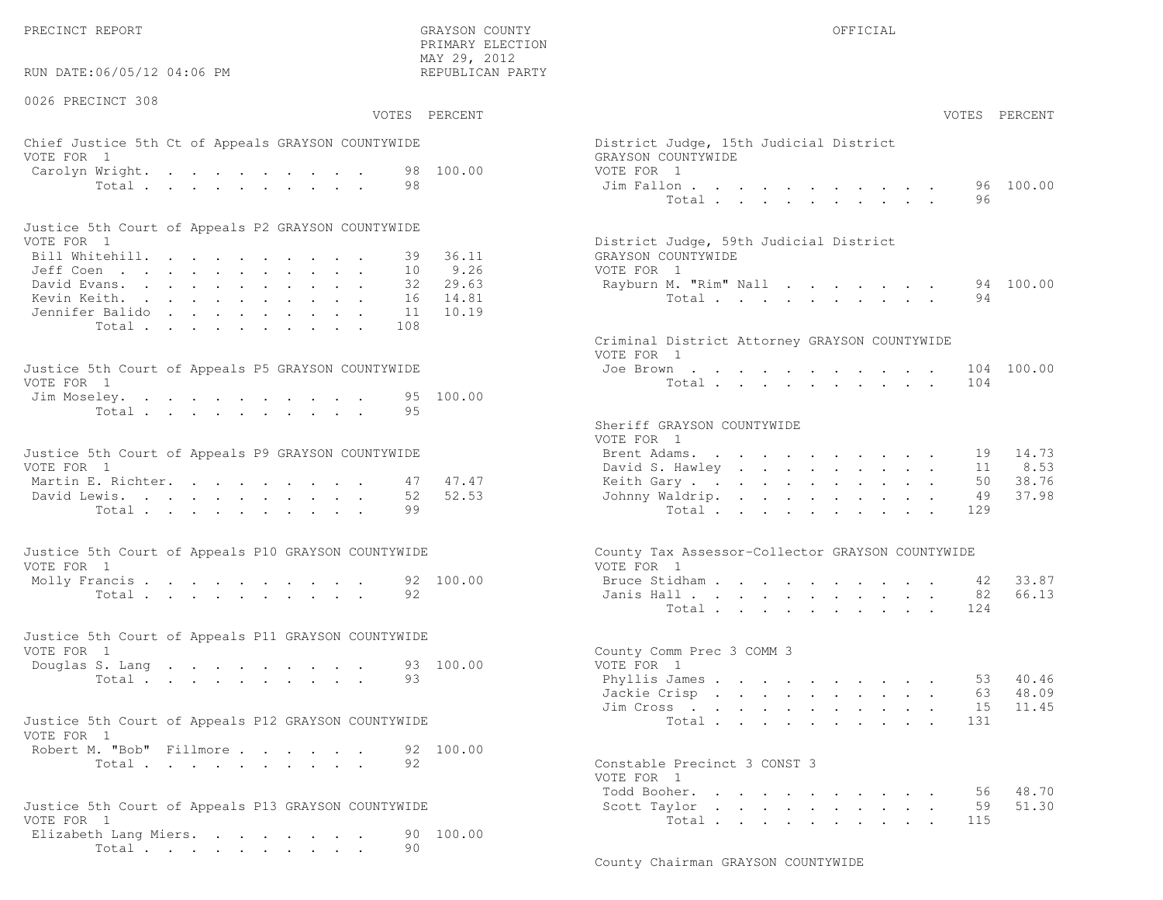PRECINCT REPORT OF THE SERVICE OF THE GRAYSON COUNTY OF THE GRAYSON COUNTY OF THE GRAYSON OF THE GRAYSON COUNTY

RUN DATE:06/05/12 04:06 PM

0026 PRECINCT 308

 PRIMARY ELECTION MAY 29, 2012REPUBLICAN PARTY

# Chief Justice 5th Ct of Appeals GRAYSON COUNTYWIDE District District District District District District District District District District District District District District District District District District District VOTE FOR 1 GRAYSON COUNTY WITH SALES AND COUNTY OF SALES AND GRAYSON COUNTY OF SALES AND GRAYSON COUNTY OF SALES AND GRAYSON CONTROL OF SALES AND GRAYSON CONTROL OF SALES AND GRAYSON CONTROL OF SALES AND GRAYSON CONTROL OF Carolyn Wright. . . . . . . . . 98 100.00 VOT

| Justice 5th Court of Appeals P2 GRAYSON COUNTYWIDE |  |  |  |  |  |                                        |  |
|----------------------------------------------------|--|--|--|--|--|----------------------------------------|--|
| VOTE FOR 1                                         |  |  |  |  |  | District Judge, 59th Judicial District |  |
| Bill Whitehill. 39 36.11                           |  |  |  |  |  | GRAYSON COUNTYWIDE                     |  |
| Jeff Coen 10 9.26                                  |  |  |  |  |  | VOTE FOR 1                             |  |
| David Evans. 32 29.63                              |  |  |  |  |  | Rayburn M. "Rim" Nall 94 100.00        |  |
| Kevin Keith. 16 14.81                              |  |  |  |  |  | Total 94                               |  |
| Jennifer Balido 11 10.19                           |  |  |  |  |  |                                        |  |
| Total 108                                          |  |  |  |  |  |                                        |  |

| Justice 5th Court of Appeals P5 GRAYSON COUNTYWIDE | Joe Brown 104 100.00 |
|----------------------------------------------------|----------------------|
| VOTE FOR 1                                         | Total 104            |
| Jim Moseley. 95 100.00                             |                      |
| Total 95                                           |                      |

| Justice 5th Court of Appeals P9 GRAYSON COUNTYWIDE |  |  |  |  |  | Brent Adams. 19 14.73    |  |  |  |  |  |  |
|----------------------------------------------------|--|--|--|--|--|--------------------------|--|--|--|--|--|--|
| VOTE FOR 1                                         |  |  |  |  |  | David S. Hawley 11 8.53  |  |  |  |  |  |  |
| Martin E. Richter. 47 47.47                        |  |  |  |  |  | Keith Gary 50 38.76      |  |  |  |  |  |  |
| David Lewis. 52 52.53                              |  |  |  |  |  | Johnny Waldrip. 49 37.98 |  |  |  |  |  |  |
| Total 99                                           |  |  |  |  |  | Total 129                |  |  |  |  |  |  |

| Justice 5th Court of Appeals P10 GRAYSON COUNTYWIDE | County Tax Assessor-Collector GRAYSON COUNTYWIDE |
|-----------------------------------------------------|--------------------------------------------------|
| VOTE FOR 1                                          | VOTE FOR 1                                       |
| Molly Francis 92 100.00                             | Bruce Stidham 42 33.87                           |
| Total 92                                            | Janis Hall 82 66.13                              |

| Justice 5th Court of Appeals P11 GRAYSON COUNTYWIDE |  |  |  |          |  |                           |  |
|-----------------------------------------------------|--|--|--|----------|--|---------------------------|--|
| VOTE FOR 1                                          |  |  |  |          |  | County Comm Prec 3 COMM 3 |  |
| Douglas S. Lang 93 100.00                           |  |  |  |          |  | VOTE FOR 1                |  |
|                                                     |  |  |  | Total 93 |  | Phyllis James 53 40.46    |  |

| Justice 5th Court of Appeals P12 GRAYSON COUNTYWIDE |          |  |  |  | Total 131                    |  |
|-----------------------------------------------------|----------|--|--|--|------------------------------|--|
| VOTE FOR 1                                          |          |  |  |  |                              |  |
| Robert M. "Bob" Fillmore 92 100.00                  |          |  |  |  |                              |  |
|                                                     | Total 92 |  |  |  | Constable Precinct 3 CONST 3 |  |

```
Justice 5th Court of Appeals P13 GRAYSON COUNTYWIDE Scott Taylor . . . . . . . . . . 59 51.30Elizabeth Lang Miers. . . . . . . 90 100.00
        Total . . . . . . . . . . 90
```

| :06/05/12 04:06 PM                                            | MAI 49, 4014<br>REPUBLICAN PARTY          |                                                                                        |
|---------------------------------------------------------------|-------------------------------------------|----------------------------------------------------------------------------------------|
| INCT 308                                                      | VOTES PERCENT                             | VOTES PERCENT                                                                          |
| stice 5th Ct of Appeals GRAYSON COUNTYWIDE<br>$\overline{1}$  |                                           | District Judge, 15th Judicial District<br>GRAYSON COUNTYWIDE                           |
| Wright.<br>Total                                              | 98 100.00<br>98                           | VOTE FOR 1<br>96 100.00<br>Jim Fallon<br>Total<br>96                                   |
| ith Court of Appeals P2 GRAYSON COUNTYWIDE                    |                                           |                                                                                        |
| $\mathbf{1}$<br>ltehill.<br>$\mathbb{R}^{n}$                  | 36.11<br>39<br>10<br>9.26                 | District Judge, 59th Judicial District<br>GRAYSON COUNTYWIDE<br>VOTE FOR 1             |
| rans.<br>eith.<br>: Balido                                    | 29.63<br>32<br>14.81<br>16<br>10.19<br>11 | 94 100.00<br>Rayburn M. "Rim" Nall<br>Total<br>94                                      |
| Total                                                         | 108                                       | Criminal District Attorney GRAYSON COUNTYWIDE<br>VOTE FOR 1                            |
| ith Court of Appeals P5 GRAYSON COUNTYWIDE<br>$\overline{1}$  |                                           | 104 100.00<br>Joe Brown $\cdots$ $\cdots$ $\cdots$ $\cdots$<br>Total<br>104            |
| eley.<br>Total                                                | 100.00<br>95<br>95                        | Sheriff GRAYSON COUNTYWIDE                                                             |
| ith Court of Appeals P9 GRAYSON COUNTYWIDE                    |                                           | VOTE FOR 1<br>14.73<br>Brent Adams.<br>19                                              |
| $\sim$ 1<br>. Richter.                                        | 47.47<br>47                               | David S. Hawley<br>8.53<br>11<br>38.76<br>Keith Gary.<br>50                            |
| ewis.<br>Total                                                | 52<br>52.53<br>99                         | 37.98<br>Johnny Waldrip.<br>49<br>Total<br>129                                         |
| ith Court of Appeals P10 GRAYSON COUNTYWIDE<br>$\overline{1}$ |                                           | County Tax Assessor-Collector GRAYSON COUNTYWIDE<br>VOTE FOR 1                         |
|                                                               | 92 100.00                                 | Bruce Stidham<br>33.87<br>42                                                           |
| Total                                                         | 92                                        | 66.13<br>Janis Hall<br>82<br>Total<br>124                                              |
| oth Court of Appeals P11 GRAYSON COUNTYWIDE                   |                                           |                                                                                        |
| $\overline{1}$<br>S. Lang                                     | 93 100.00                                 | County Comm Prec 3 COMM 3<br>VOTE FOR 1                                                |
| Total                                                         | 93                                        | Phyllis James<br>53 40.46<br>48.09<br>Jackie Crisp<br>63 —<br>11.45<br>Jim Cross<br>15 |
| ith Court of Appeals P12 GRAYSON COUNTYWIDE<br>$\overline{1}$ |                                           | Total<br>131                                                                           |
| 1. "Bob" Fillmore<br>Total                                    | 92 100.00<br>92                           | Constable Precinct 3 CONST 3<br>VOTE FOR 1                                             |
| oth Court of Appeals P13 GRAYSON COUNTYWIDE                   |                                           | 56 48.70<br>Todd Booher.<br>59<br>51.30<br>Scott Taylor                                |

Total . . . . . . . . . . 115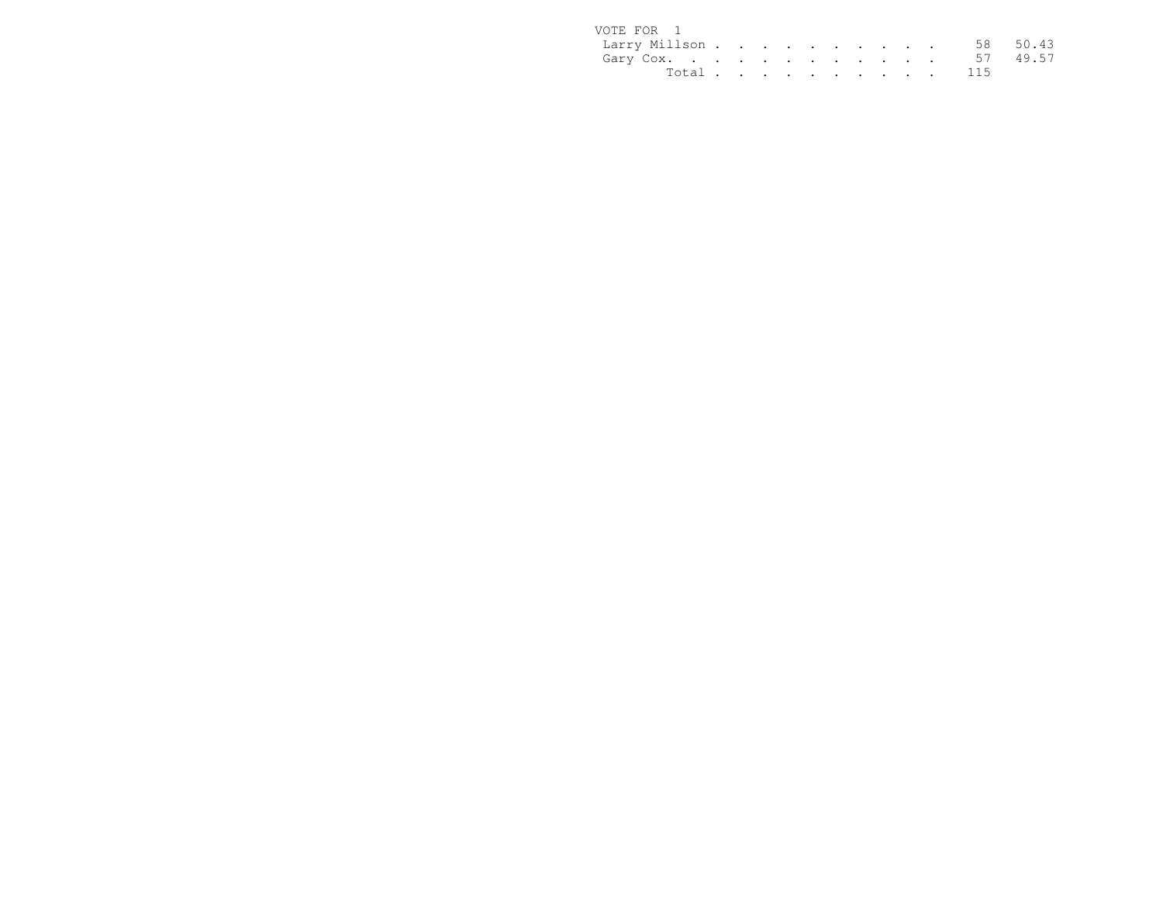| VOTE FOR 1             |  |  |  |  |  |           |  |
|------------------------|--|--|--|--|--|-----------|--|
| Larry Millson 58 50.43 |  |  |  |  |  |           |  |
| Gary Cox. 57 49.57     |  |  |  |  |  |           |  |
|                        |  |  |  |  |  | Total 115 |  |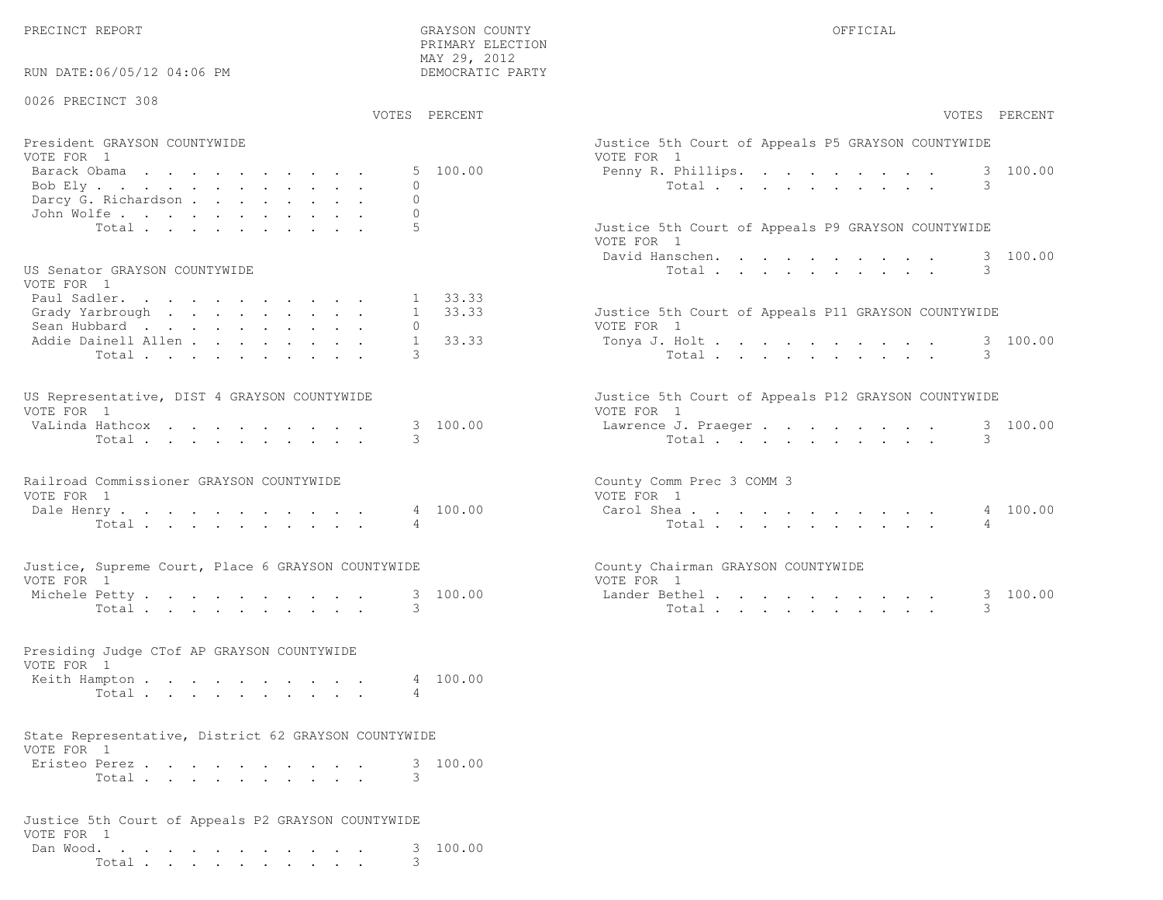PRECINCT REPORT COUNTY GRAYSON COUNTY COUNTY OFFICIAL

PRIMARY ELECTION

| RUN DATE:06/05/12 04:06 PM                                         | MAY 29, 2012<br>DEMOCRATIC PARTY     |                                                                   |
|--------------------------------------------------------------------|--------------------------------------|-------------------------------------------------------------------|
| 0026 PRECINCT 308                                                  | VOTES PERCENT                        | VOTES PERCENT                                                     |
| President GRAYSON COUNTYWIDE                                       |                                      | Justice 5th Court of Appeals P5 GRAYSON COUNTYWIDE                |
| VOTE FOR 1<br>Barack Obama<br>Bob Ely<br>Darcy G. Richardson       | 5 100.00<br>$\mathbf{0}$<br>$\Omega$ | VOTE FOR 1<br>100.00<br>Penny R. Phillips.<br>3<br>3<br>Total     |
| John Wolfe.<br>Total                                               | $\Omega$<br>5                        | Justice 5th Court of Appeals P9 GRAYSON COUNTYWIDE<br>VOTE FOR 1  |
| US Senator GRAYSON COUNTYWIDE                                      |                                      | 3 100.00<br>David Hanschen.<br>3<br>Total                         |
| VOTE FOR 1<br>Paul Sadler.<br>Grady Yarbrough<br>Sean Hubbard      | 1 33.33<br>1 33.33<br>$\circ$        | Justice 5th Court of Appeals P11 GRAYSON COUNTYWIDE<br>VOTE FOR 1 |
| Addie Dainell Allen<br>Total                                       | 33.33<br>$\mathbf{1}$<br>3           | 3 100.00<br>Tonya J. Holt<br>3<br>Total                           |
| US Representative, DIST 4 GRAYSON COUNTYWIDE<br>VOTE FOR 1         |                                      | Justice 5th Court of Appeals P12 GRAYSON COUNTYWIDE<br>VOTE FOR 1 |
| VaLinda Hathcox<br>Total                                           | 3 100.00<br>3                        | 3 100.00<br>Lawrence J. Praeger<br>Total<br>3                     |
| Railroad Commissioner GRAYSON COUNTYWIDE<br>VOTE FOR 1             |                                      | County Comm Prec 3 COMM 3<br>VOTE FOR 1                           |
| Dale Henry<br>Total                                                | 4 100.00<br>4                        | 4 100.00<br>Carol Shea<br>Total<br>4                              |
| Justice, Supreme Court, Place 6 GRAYSON COUNTYWIDE<br>VOTE FOR 1   |                                      | County Chairman GRAYSON COUNTYWIDE<br>VOTE FOR 1                  |
| Michele Petty<br>Total                                             | 3 100.00<br>3                        | 3 100.00<br>Lander Bethel.<br>3<br>Total                          |
| Presiding Judge CTof AP GRAYSON COUNTYWIDE<br>VOTE FOR 1           |                                      |                                                                   |
| Keith Hampton<br>Total                                             | 4 100.00<br>4                        |                                                                   |
| State Representative, District 62 GRAYSON COUNTYWIDE<br>VOTE FOR 1 |                                      |                                                                   |
| Eristeo Perez<br>Total                                             | 3 100.00<br>3                        |                                                                   |
| Justice 5th Court of Appeals P2 GRAYSON COUNTYWIDE<br>VOTE FOR 1   |                                      |                                                                   |
| Dan Wood.<br>Total                                                 | 100.00<br>3.<br>3.                   |                                                                   |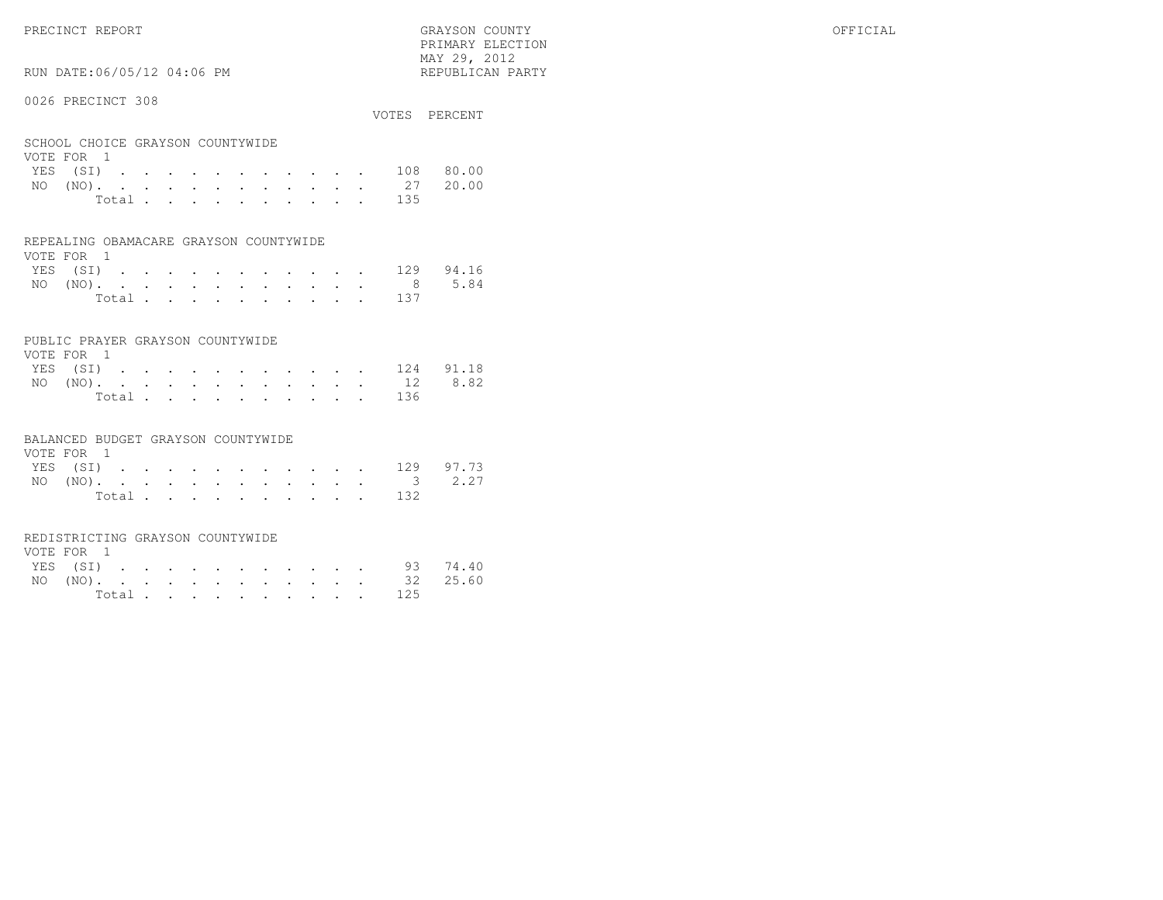RUN DATE:06/05/12 04:06 PM

## 0026 PRECINCT 308

|                                  |  |  |  |  |  |           | VOTES PERCENT |
|----------------------------------|--|--|--|--|--|-----------|---------------|
| SCHOOL CHOICE GRAYSON COUNTYWIDE |  |  |  |  |  |           |               |
| VOTE FOR 1<br>YES (SI) 108 80.00 |  |  |  |  |  |           |               |
| NO (NO). 27 20.00                |  |  |  |  |  |           |               |
|                                  |  |  |  |  |  | Total 135 |               |

 PRIMARY ELECTION MAY 29, 2012REPUBLICAN PARTY

|  | REPEALING OBAMACARE GRAYSON COUNTYWIDE |
|--|----------------------------------------|
|  |                                        |

| VOTE FOR 1 |  |  |  |  |  |                                          |  |
|------------|--|--|--|--|--|------------------------------------------|--|
|            |  |  |  |  |  | YES (SI) 129 94.16                       |  |
|            |  |  |  |  |  | NO $(NO)$ , , , , , , , , , , , , 8 5.84 |  |
|            |  |  |  |  |  | Total 137                                |  |

# PUBLIC PRAYER GRAYSON COUNTYWIDE

| VOTE FOR 1 |  |  |  |  |  |  |           |                    |
|------------|--|--|--|--|--|--|-----------|--------------------|
|            |  |  |  |  |  |  |           | YES (SI) 124 91.18 |
|            |  |  |  |  |  |  |           | NO (NO). 12 8.82   |
|            |  |  |  |  |  |  | Total 136 |                    |

#### BALANCED BUDGET GRAYSON COUNTYWIDE

| VOTE FOR 1 |  |  |  |  |  |                    |  |
|------------|--|--|--|--|--|--------------------|--|
|            |  |  |  |  |  | YES (SI) 129 97.73 |  |
|            |  |  |  |  |  | NO (NO). 3 2.27    |  |
|            |  |  |  |  |  | Total 132          |  |

#### REDISTRICTING GRAYSON COUNTYWIDE

| VOTE FOR 1 |  |  |  |  |  |  |                   |  |
|------------|--|--|--|--|--|--|-------------------|--|
|            |  |  |  |  |  |  | YES (SI) 93 74.40 |  |
|            |  |  |  |  |  |  | NO (NO). 32 25.60 |  |
|            |  |  |  |  |  |  | Total 125         |  |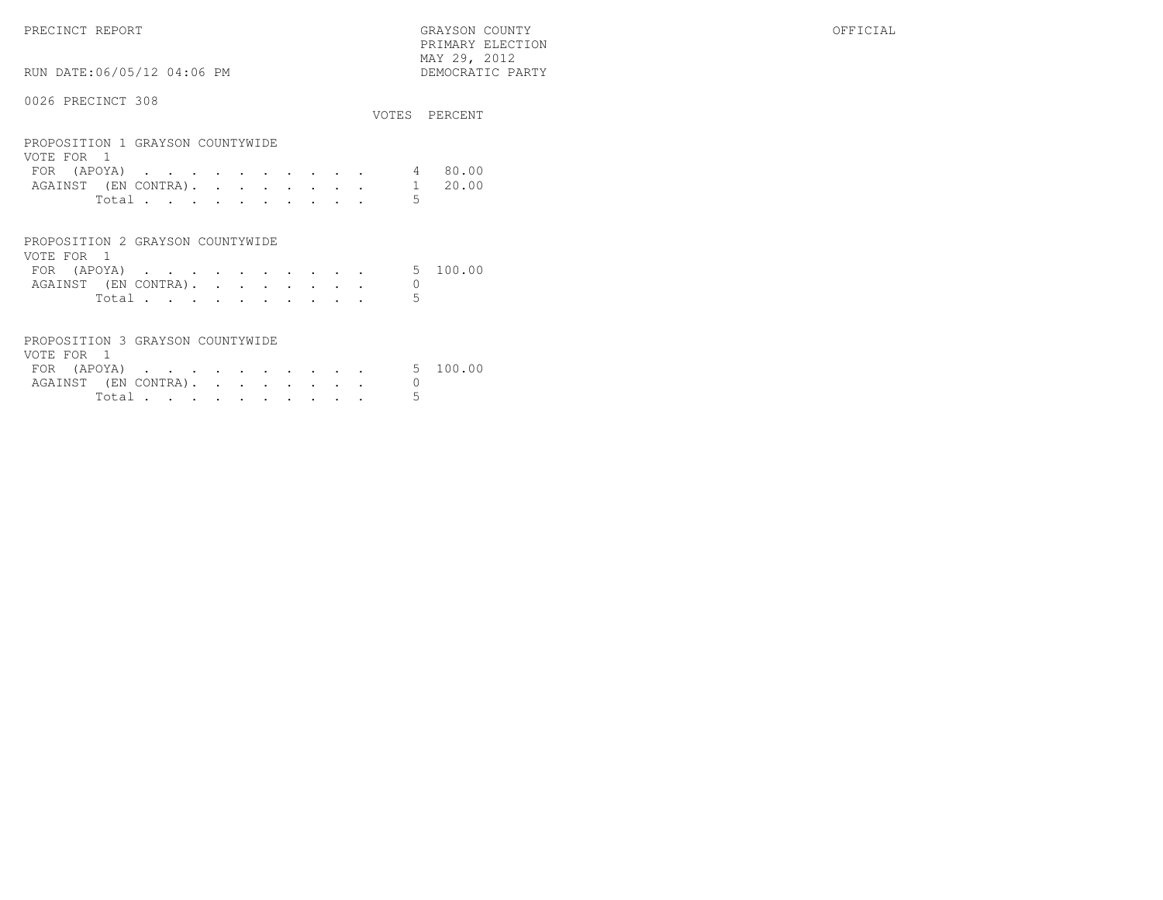PRECINCT REPORT GRAYSON COUNTY OFFICIAL PRIMARY ELECTION $\begin{array}{lll} \text{MAX} & 29, & 2012 \\ \text{NAY} & 29, & 2012 \end{array}$ RUN DATE:06/05/12 04:06 PM 0026 PRECINCT 308VOTES PERCENT

| PROPOSITION 1 GRAYSON COUNTYWIDE |  |  |  |  |  |         |
|----------------------------------|--|--|--|--|--|---------|
| VOTE FOR 1                       |  |  |  |  |  |         |
| FOR (APOYA)                      |  |  |  |  |  | 4 80.00 |
| AGAINST (EN CONTRA). 1 20.00     |  |  |  |  |  |         |
| Total.                           |  |  |  |  |  |         |

| PROPOSITION 2 GRAYSON COUNTYWIDE |       |  |  |  |  |  |
|----------------------------------|-------|--|--|--|--|--|
| VOTE FOR 1                       |       |  |  |  |  |  |
| FOR (APOYA) 5 100.00             |       |  |  |  |  |  |
| AGAINST (EN CONTRA).             |       |  |  |  |  |  |
|                                  | Total |  |  |  |  |  |

| PROPOSITION 3 GRAYSON COUNTYWIDE |        |  |  |  |  |  |
|----------------------------------|--------|--|--|--|--|--|
| VOTE FOR 1                       |        |  |  |  |  |  |
| FOR (APOYA) 5 100.00             |        |  |  |  |  |  |
| AGAINST (EN CONTRA).             |        |  |  |  |  |  |
|                                  | Total. |  |  |  |  |  |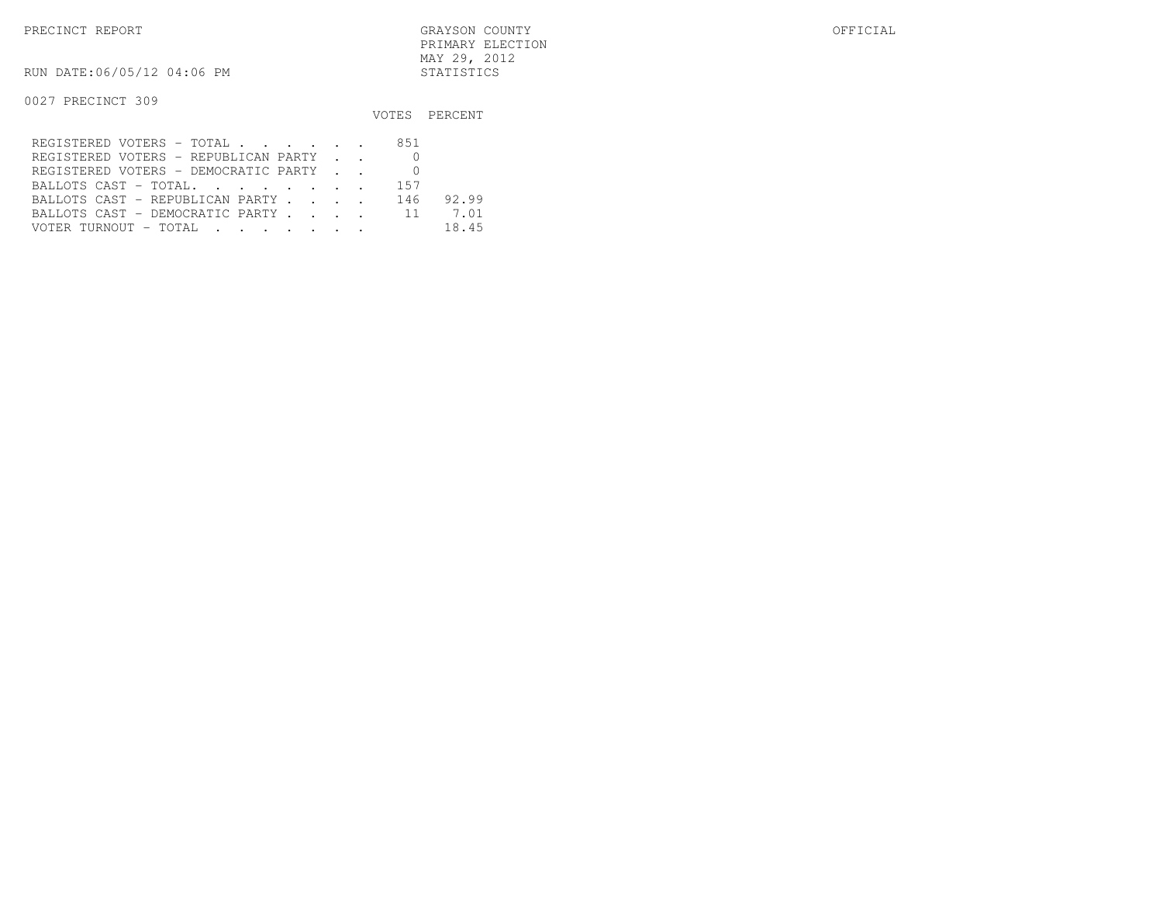RUN DATE:06/05/12 04:06 PM STATISTICS

|                                         |     | VOTES PERCENT |
|-----------------------------------------|-----|---------------|
| REGISTERED VOTERS - TOTAL               | 851 |               |
| REGISTERED VOTERS - REPUBLICAN PARTY    |     |               |
| REGISTERED VOTERS - DEMOCRATIC PARTY    |     |               |
| BALLOTS CAST - TOTAL.                   | 157 |               |
| BALLOTS CAST - REPUBLICAN PARTY         | 146 | 92.99         |
| BALLOTS CAST - DEMOCRATIC PARTY 11      |     | 7.01          |
| VOTER TURNOUT – TOTAL III III IIII IIII |     | 18.45         |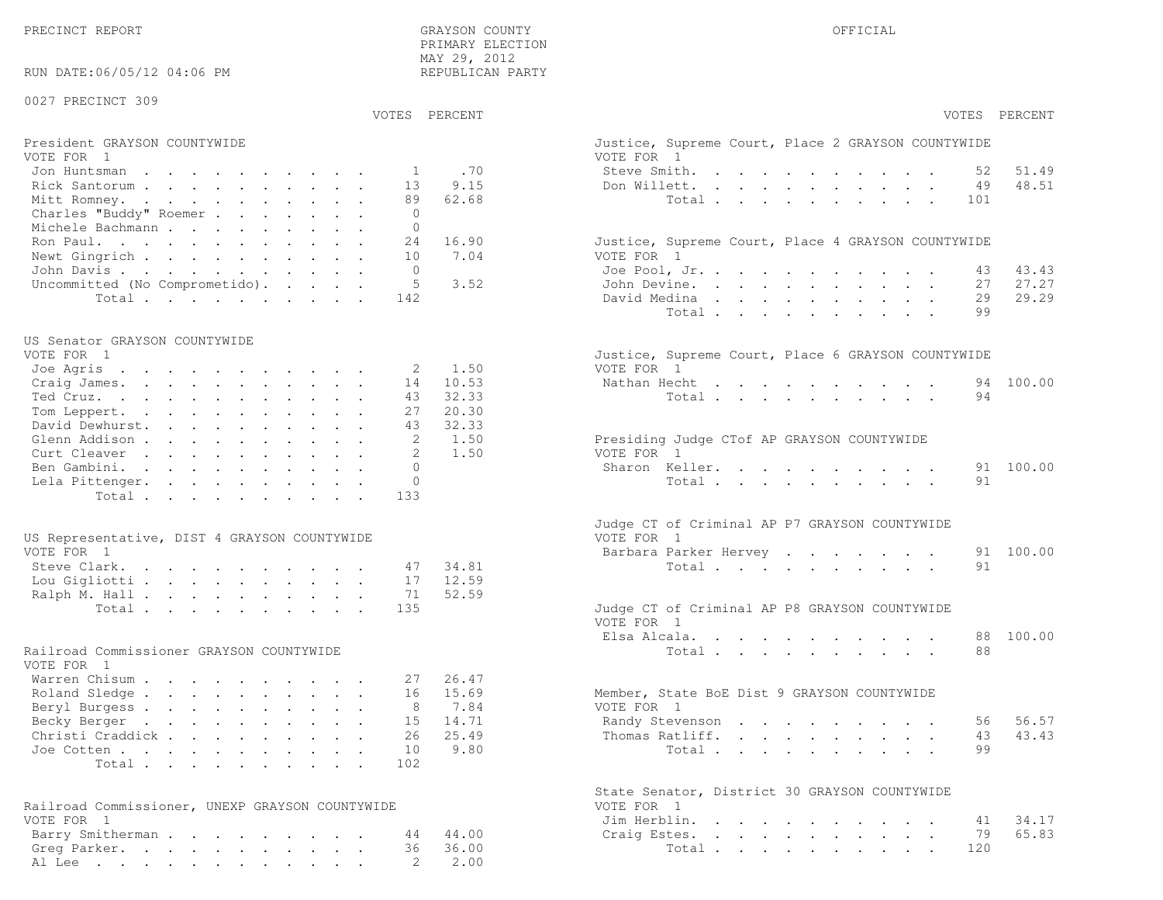48.51

27.27

29.29

43.43

65.83

| RUN DATE:06/05/12 04:06 PM                      |                    | <br>REPUBLICAN PARTY |                                                                  |
|-------------------------------------------------|--------------------|----------------------|------------------------------------------------------------------|
| 0027 PRECINCT 309                               |                    |                      |                                                                  |
|                                                 | VOTES PERCENT      |                      | VOTES PERCENT                                                    |
| President GRAYSON COUNTYWIDE<br>VOTE FOR 1      |                    |                      | Justice, Supreme Court, Place 2 GRAYSON COUNTYWIDE<br>VOTE FOR 1 |
| Jon Huntsman                                    | <sup>1</sup>       | .70                  | 51.49<br>Steve Smith.<br>52                                      |
| Rick Santorum                                   | 13                 | 9.15                 | 48.51<br>Don Willett.<br>49                                      |
| Mitt Romney.                                    | 89                 | 62.68                | Total<br>101                                                     |
| Charles "Buddy" Roemer                          | $\circ$            |                      |                                                                  |
| Michele Bachmann                                | $\Omega$           |                      |                                                                  |
| Ron Paul.                                       | 24                 | 16.90                | Justice, Supreme Court, Place 4 GRAYSON COUNTYWIDE               |
| Newt Gingrich                                   | 10                 | 7.04                 | VOTE FOR 1                                                       |
| John Davis.                                     | $\Omega$           |                      | 43.43<br>Joe Pool, Jr.<br>43                                     |
| Uncommitted (No Comprometido).                  | 5                  | 3.52                 | 27.27<br>John Devine.<br>27                                      |
| Total                                           | 142                |                      | 29.29<br>David Medina<br>29                                      |
|                                                 |                    |                      | Total<br>99                                                      |
| US Senator GRAYSON COUNTYWIDE                   |                    |                      |                                                                  |
| VOTE FOR 1                                      |                    |                      | Justice, Supreme Court, Place 6 GRAYSON COUNTYWIDE               |
| Joe Agris                                       | 2                  | 1.50                 | VOTE FOR 1                                                       |
| Craig James.                                    | 14                 | 10.53                | 100.00<br>Nathan Hecht<br>94                                     |
| Ted Cruz.                                       | 43                 | 32.33                | Total<br>94                                                      |
| Tom Leppert.                                    | 27                 | 20.30                |                                                                  |
| David Dewhurst.                                 | 43                 | 32.33                |                                                                  |
| Glenn Addison<br>Curt Cleaver                   | 2<br>$\mathcal{L}$ | 1.50                 | Presiding Judge CTof AP GRAYSON COUNTYWIDE<br>VOTE FOR 1         |
|                                                 | $\Omega$           | 1.50                 | 100.00<br>Sharon Keller.<br>91                                   |
| Ben Gambini.<br>Lela Pittenger.                 | $\Omega$           |                      | 91<br>Total                                                      |
| Total                                           | 133                |                      |                                                                  |
|                                                 |                    |                      |                                                                  |
|                                                 |                    |                      | Judge CT of Criminal AP P7 GRAYSON COUNTYWIDE                    |
| US Representative, DIST 4 GRAYSON COUNTYWIDE    |                    |                      | VOTE FOR 1<br>100.00                                             |
| VOTE FOR 1                                      | 47                 | 34.81                | Barbara Parker Hervey<br>91<br>91                                |
| Steve Clark.<br>Lou Gigliotti                   | 17                 | 12.59                | Total                                                            |
| Ralph M. Hall                                   | 71                 | 52.59                |                                                                  |
| Total                                           | 135                |                      | Judge CT of Criminal AP P8 GRAYSON COUNTYWIDE                    |
|                                                 |                    |                      | VOTE FOR 1                                                       |
|                                                 |                    |                      | 100.00<br>Elsa Alcala.<br>88                                     |
| Railroad Commissioner GRAYSON COUNTYWIDE        |                    |                      | Total<br>88                                                      |
| VOTE FOR 1                                      |                    |                      |                                                                  |
| Warren Chisum                                   | 27                 | 26.47                |                                                                  |
| Roland Sledge                                   | 16                 | 15.69                | Member, State BoE Dist 9 GRAYSON COUNTYWIDE<br>VOTE FOR 1        |
| Beryl Burgess<br>Becky Berger                   | 8                  | 7.84<br>15 14.71     | 56 56.57<br>Randy Stevenson                                      |
| Christi Craddick                                | 26                 | 25.49                | 43.43<br>Thomas Ratliff.<br>43                                   |
| Joe Cotten                                      | 10                 | 9.80                 | Total<br>99                                                      |
| Total                                           | 102                |                      |                                                                  |
|                                                 |                    |                      |                                                                  |
|                                                 |                    |                      | State Senator, District 30 GRAYSON COUNTYWIDE                    |
| Railroad Commissioner, UNEXP GRAYSON COUNTYWIDE |                    |                      | VOTE FOR 1                                                       |
| VOTE FOR 1                                      |                    |                      | 34.17<br>Jim Herblin.<br>41                                      |
| Barry Smitherman                                | 44<br>36           | 44.00<br>36.00       | 65.83<br>79<br>Craig Estes.<br>Total<br>120                      |
| Greg Parker.<br>Al Lee                          | $\mathbf{2}$       | 2.00                 |                                                                  |
|                                                 |                    |                      |                                                                  |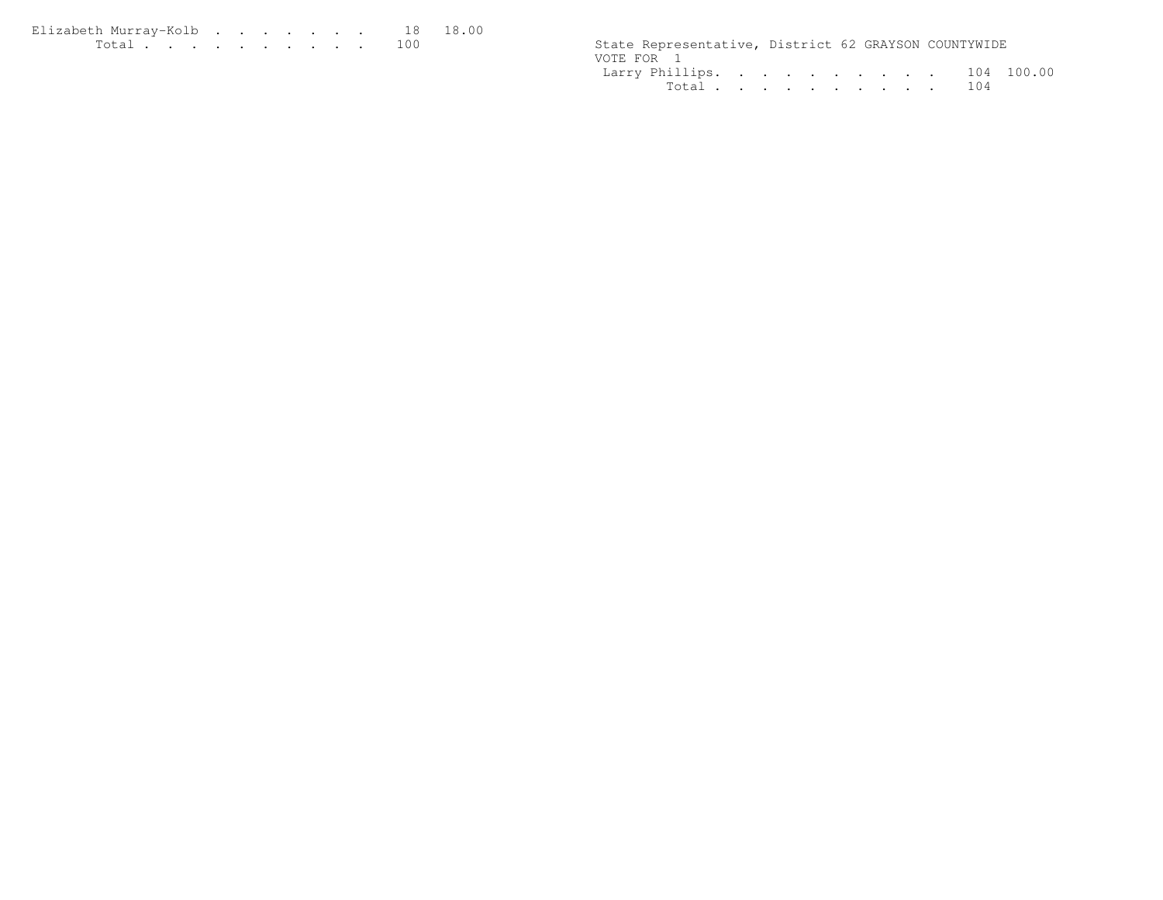| Elizabeth Murrav-Kolb 18 18.00 |  |  |  |  |  |                                                      |  |  |
|--------------------------------|--|--|--|--|--|------------------------------------------------------|--|--|
| <u>. 100</u>                   |  |  |  |  |  | State Representative, District 62 GRAYSON COUNTYWIDE |  |  |

| State Representative, District 62 GRAYSON COUNTYWIDE |  |  |  |  |  |
|------------------------------------------------------|--|--|--|--|--|
| VOTE FOR 1                                           |  |  |  |  |  |
| Larry Phillips. 104 100.00                           |  |  |  |  |  |
| Total 104                                            |  |  |  |  |  |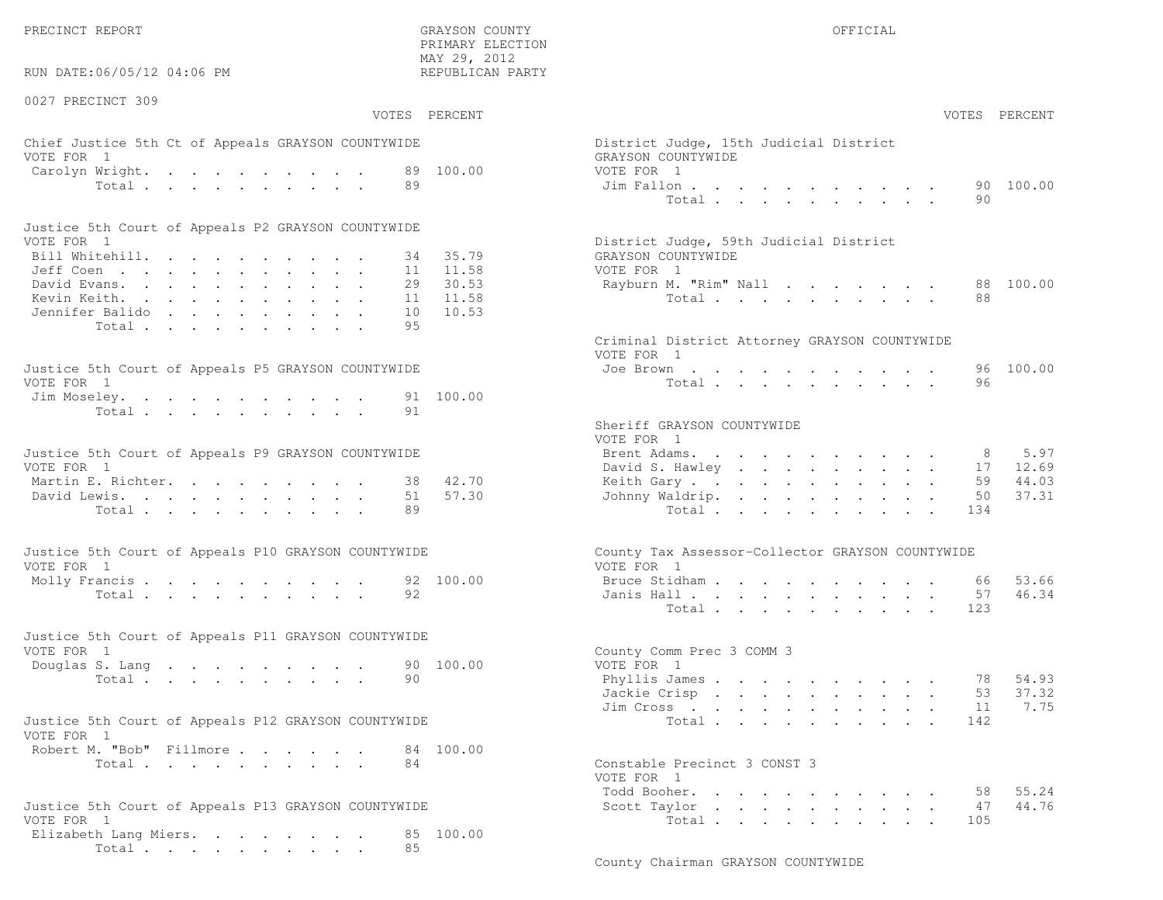PRECINCT REPORT OF THE SERVICE OF THE GRAYSON COUNTY OF THE GRAYSON COUNTY OF THE GRAYSON OF THE GRAYSON COUNTY

RUN DATE:06/05/12 04:06 PM

#### 0027 PRECINCT 309

VOTES PERCENT VOTES PERCENT

 PRIMARY ELECTION MAY 29, 2012REPUBLICAN PARTY

# Chief Justice 5th Ct of Appeals GRAYSON COUNTYWIDE District Appears of District District District District District District District District District District District District District District District District Distric VOTE FOR 1 GRAYSON COUNTY OF REAL EXPLORER COUNTY OF REAL EXPLORER COUNTY OF REAL EXPLORER COUNTY OF REAL EXPLORER COUNTY OF REAL EXPLORER COUNTY OF REAL EXPLORER COUNTY OF REAL EXPLORER COUNTY OF REAL EXPLORER COUNTY OF R Carolyn Wright. . . . . . . . . 89 100.00 VOT Total . . . . . . . . . . 89 Jim Fallon . . . . . . . . . . . 90 100.00

| Justice 5th Court of Appeals P2 GRAYSON COUNTYWIDE |  |  |  |  |  |                                        |
|----------------------------------------------------|--|--|--|--|--|----------------------------------------|
| VOTE FOR 1                                         |  |  |  |  |  | District Judge, 59th Judicial District |
| Bill Whitehill. 34 35.79                           |  |  |  |  |  | GRAYSON COUNTYWIDE                     |
| Jeff Coen 11 11.58                                 |  |  |  |  |  | VOTE FOR 1                             |
| David Evans. 29 30.53                              |  |  |  |  |  | Rayburn M. "Rim" Nall 88 100.00        |
| Kevin Keith. 11 11.58                              |  |  |  |  |  | Total 88                               |
| Jennifer Balido 10 10.53                           |  |  |  |  |  |                                        |
| Total 95                                           |  |  |  |  |  |                                        |

| Justice 5th Court of Appeals P5 GRAYSON COUNTYWIDE | Joe Brown 96 100.00 |
|----------------------------------------------------|---------------------|
| VOTE FOR 1                                         | Total 96            |
| Jim Moseley. 91 100.00                             |                     |
| Total 91                                           |                     |

| Justice 5th Court of Appeals P9 GRAYSON COUNTYWIDE | Brent Adams. 8 5.97      |  |
|----------------------------------------------------|--------------------------|--|
| VOTE FOR 1                                         | David S. Hawley 17 12.69 |  |
| Martin E. Richter. 38 42.70                        | Keith Gary 59 44.03      |  |
| David Lewis. 51 57.30                              | Johnny Waldrip. 50 37.31 |  |
| Total 89                                           | Total 134                |  |

| Justice 5th Court of Appeals P10 GRAYSON COUNTYWIDE | County Tax Assessor-Collector GRAYSON COUNTYWIDE |
|-----------------------------------------------------|--------------------------------------------------|
| VOTE FOR 1                                          | VOTE FOR 1                                       |
| Molly Francis 92 100.00                             | Bruce Stidham 66 53.66                           |
| Total 92                                            | Janis Hall 57 46.34                              |

| Justice 5th Court of Appeals P11 GRAYSON COUNTYWIDE |  |  |  |  |          |                           |  |
|-----------------------------------------------------|--|--|--|--|----------|---------------------------|--|
| VOTE FOR 1                                          |  |  |  |  |          | County Comm Prec 3 COMM 3 |  |
| Douglas S. Lang 90 100.00                           |  |  |  |  |          | VOTE FOR 1                |  |
|                                                     |  |  |  |  | Total 90 | Phyllis James 78 54.93    |  |

| Justice 5th Court of Appeals P12 GRAYSON COUNTYWIDE |  | Total 142 |  |  |  |  |  |
|-----------------------------------------------------|--|-----------|--|--|--|--|--|
| VOTE FOR 1                                          |  |           |  |  |  |  |  |
| Robert M. "Bob" Fillmore 84 100.00                  |  |           |  |  |  |  |  |

```
Total \cdots . . . . . . . 84 Constants 3 Constants 3 Constants 3 Constants 3 Constants 3 Constants 3 Constants 3 Constants 3 Constants 3 Constants 3 Constants 3 Constants 3 Constants 3 Constants 3 Constants 3 Constants 3
```

| Justice 5th Court of Appeals P13 GRAYSON COUNTYWIDE |  |  |  |  |  |                |     |  |
|-----------------------------------------------------|--|--|--|--|--|----------------|-----|--|
| VOTE FOR 1                                          |  |  |  |  |  |                |     |  |
| Elizabeth Lang Miers. 85 100.00                     |  |  |  |  |  |                |     |  |
|                                                     |  |  |  |  |  | Total $\cdots$ | -85 |  |

| AY 29, 2012<br>EPUBLICAN PARTY |                                                                            |                                                             |                                                 |                            |                                                                                                                                                                         |                      |                                                                                                                    |                                                                                      |                                                           |                                                                         |                                                                     |                 |                                         |
|--------------------------------|----------------------------------------------------------------------------|-------------------------------------------------------------|-------------------------------------------------|----------------------------|-------------------------------------------------------------------------------------------------------------------------------------------------------------------------|----------------------|--------------------------------------------------------------------------------------------------------------------|--------------------------------------------------------------------------------------|-----------------------------------------------------------|-------------------------------------------------------------------------|---------------------------------------------------------------------|-----------------|-----------------------------------------|
| PERCENT                        |                                                                            |                                                             |                                                 |                            |                                                                                                                                                                         |                      |                                                                                                                    |                                                                                      |                                                           |                                                                         |                                                                     | VOTES           | PERCENT                                 |
| 100.00                         | District Judge, 15th Judicial District<br>GRAYSON COUNTYWIDE<br>VOTE FOR 1 | Jim Fallon<br>Total .                                       |                                                 |                            | and a series of the series of the series of<br>$\mathbf{r} = \mathbf{r} - \mathbf{r}$ , $\mathbf{r} = \mathbf{r} - \mathbf{r}$ , $\mathbf{r} = \mathbf{r} - \mathbf{r}$ |                      |                                                                                                                    |                                                                                      |                                                           |                                                                         |                                                                     | 90<br>90        | 100.00                                  |
| 35.79<br>11.58<br>30.53        | District Judge, 59th Judicial District<br>GRAYSON COUNTYWIDE<br>VOTE FOR 1 | Rayburn M. "Rim" Nall                                       |                                                 |                            |                                                                                                                                                                         |                      |                                                                                                                    |                                                                                      |                                                           |                                                                         |                                                                     | 88              | 100.00                                  |
| 11.58<br>10.53                 |                                                                            | Total $\cdots$                                              |                                                 |                            |                                                                                                                                                                         |                      |                                                                                                                    | $\bullet$ .                                                                          | $\sim$                                                    | $\bullet$ .<br><br><br><br><br><br><br><br><br><br><br><br>             |                                                                     | 88              |                                         |
|                                | Criminal District Attorney GRAYSON COUNTYWIDE<br>VOTE FOR 1                |                                                             |                                                 |                            |                                                                                                                                                                         |                      |                                                                                                                    |                                                                                      |                                                           |                                                                         |                                                                     |                 |                                         |
| 100.00                         |                                                                            | Joe Brown<br>Total                                          |                                                 |                            |                                                                                                                                                                         |                      |                                                                                                                    |                                                                                      |                                                           |                                                                         |                                                                     | 96<br>96        | 100.00                                  |
|                                | Sheriff GRAYSON COUNTYWIDE<br>VOTE FOR 1                                   |                                                             |                                                 |                            |                                                                                                                                                                         |                      |                                                                                                                    |                                                                                      |                                                           |                                                                         |                                                                     |                 |                                         |
| 42.70<br>57.30                 | Brent Adams.                                                               | David S. Hawley .<br>Keith Gary<br>Johnny Waldrip.<br>Total | the contract of the contract of the contract of | $\mathcal{L}^{\text{max}}$ | $\bullet$ .                                                                                                                                                             | $\ddot{\phantom{a}}$ | $\mathbf{z} = \mathbf{z} + \mathbf{z}$ .<br>$\mathbf{L}^{\text{max}}$ , $\mathbf{L}^{\text{max}}$<br>$\sim$ $\sim$ | $\mathbf{z} = \mathbf{z}$<br>$\mathcal{L}^{\text{max}}$<br>$\mathbf{L}^{\text{max}}$ | $\sim$<br>$\mathcal{L}^{\text{max}}$<br>$\sim$            | $\bullet$ .<br>$\ddot{\phantom{0}}$                                     | $\ddot{\phantom{a}}$<br>$\mathcal{L}^{\pm}$<br>$\ddot{\phantom{0}}$ | 50<br>134       | 8 5.97<br>17 12.69<br>59 44.03<br>37.31 |
|                                | County Tax Assessor-Collector GRAYSON COUNTYWIDE<br>VOTE FOR 1             |                                                             |                                                 |                            |                                                                                                                                                                         |                      |                                                                                                                    |                                                                                      |                                                           |                                                                         |                                                                     |                 |                                         |
| 100.00                         |                                                                            | Bruce Stidham.<br>Janis Hall<br>Total .                     | $\sim$                                          | $\ddot{\phantom{0}}$       | $\ddot{\phantom{a}}$<br>and a series of the series of the series of<br>$\mathbf{r}$ and $\mathbf{r}$ and $\mathbf{r}$                                                   | $\ddot{\phantom{0}}$ | $\ddot{\phantom{0}}$<br>$\mathbf{r}$ . The set of $\mathbf{r}$                                                     | $\mathbf{r}$                                                                         | $\sim 100$                                                | $\ddot{\phantom{0}}$<br>$\mathbf{L}$ and $\mathbf{L}$                   |                                                                     | 66<br>57<br>123 | 53.66<br>46.34                          |
| 100.00                         | County Comm Prec 3 COMM 3<br>VOTE FOR 1                                    |                                                             |                                                 |                            |                                                                                                                                                                         |                      |                                                                                                                    |                                                                                      |                                                           |                                                                         |                                                                     |                 |                                         |
|                                |                                                                            | Phyllis James<br>Jackie Crisp.<br>Jim Cross<br>Total        | $\sim$                                          | $\ddot{\phantom{0}}$       | $\bullet$ .                                                                                                                                                             | $\sim$               | $\mathbf{r} = \mathbf{r} \cdot \mathbf{r}$ .<br>$\mathbf{r}$ . The set of $\mathbf{r}$                             | $\mathbf{L}^{(1)}$                                                                   | $\sim$ $-$                                                | the contract of the contract of the contract of<br>$\ddot{\phantom{0}}$ | $\ddot{\phantom{0}}$<br>$\bullet$                                   | 78<br>53<br>142 | 54.93<br>37.32<br>11 7.75               |
| 100.00                         | Constable Precinct 3 CONST 3                                               |                                                             |                                                 |                            |                                                                                                                                                                         |                      |                                                                                                                    |                                                                                      |                                                           |                                                                         |                                                                     |                 |                                         |
|                                | VOTE FOR 1                                                                 | Todd Booher.<br>Scott Taylor                                |                                                 |                            |                                                                                                                                                                         |                      |                                                                                                                    |                                                                                      | $\bullet$ , $\bullet$ , $\bullet$ , $\bullet$ , $\bullet$ |                                                                         |                                                                     | 58<br>47        | 55.24<br>44.76                          |

Total . . . . . . . . . . 105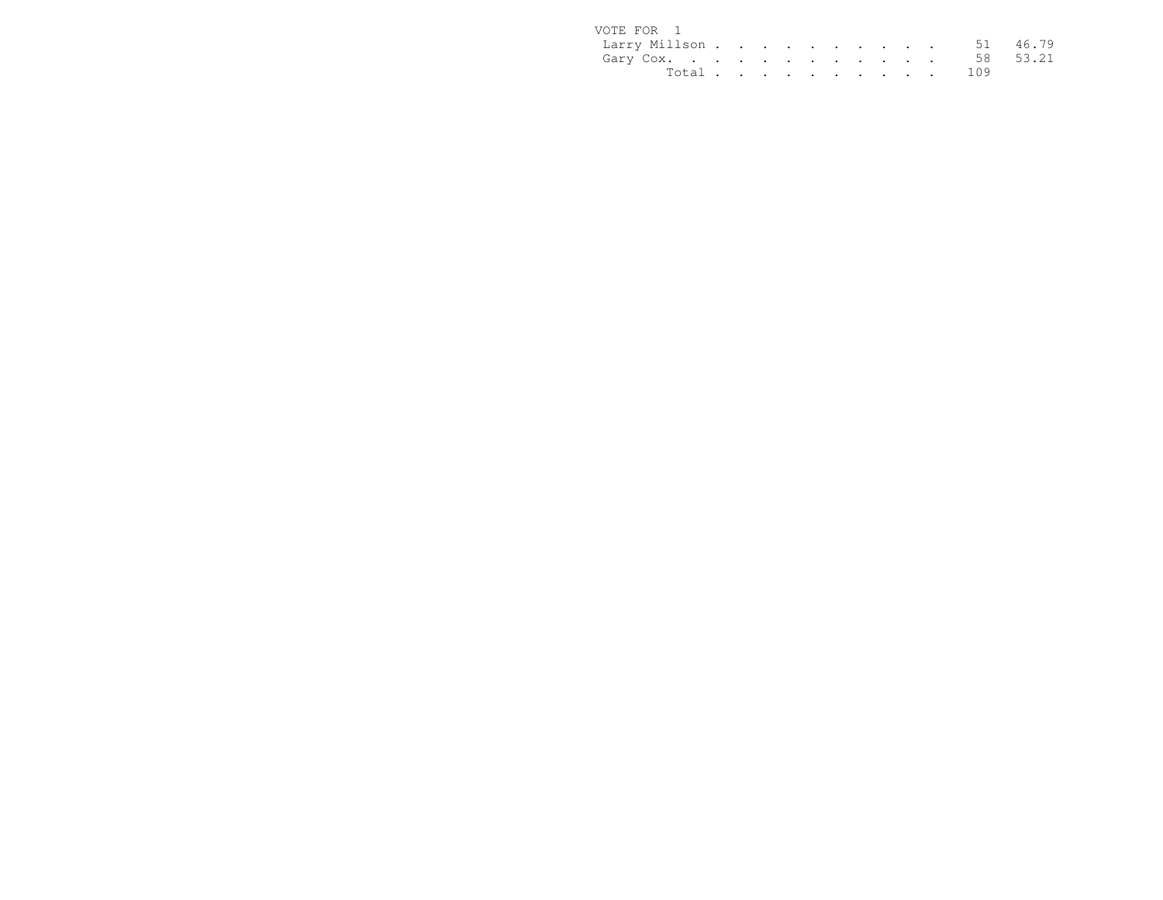| VOTE FOR 1             |  |  |  |  |  |           |  |
|------------------------|--|--|--|--|--|-----------|--|
| Larry Millson 51 46.79 |  |  |  |  |  |           |  |
| Gary Cox. 58 53.21     |  |  |  |  |  |           |  |
|                        |  |  |  |  |  | Total 109 |  |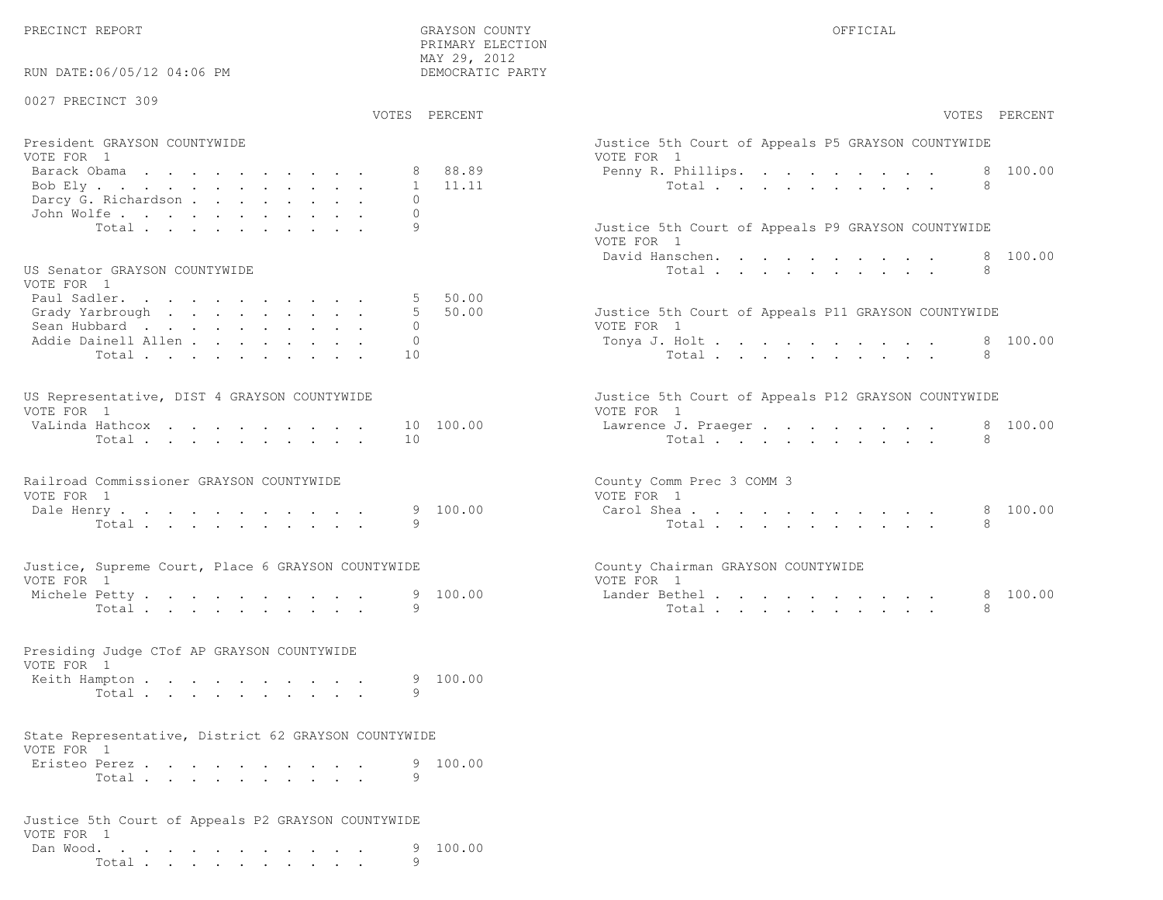PRIMARY ELECTION

| RUN DATE:06/05/12 04:06 PM                                                                                  | MAY 29, 2012<br>DEMOCRATIC PARTY                            |                                                                                                                     |
|-------------------------------------------------------------------------------------------------------------|-------------------------------------------------------------|---------------------------------------------------------------------------------------------------------------------|
| 0027 PRECINCT 309                                                                                           | VOTES PERCENT                                               | VOTES PERCENT                                                                                                       |
| President GRAYSON COUNTYWIDE<br>VOTE FOR 1<br>Barack Obama<br>Bob Ely<br>Darcy G. Richardson<br>John Wolfe. | 88.89<br>11.11<br>$\mathbf{1}$<br>$\Omega$<br>$\bigcap$     | Justice 5th Court of Appeals P5 GRAYSON COUNTYWIDE<br>VOTE FOR 1<br>100.00<br>Penny R. Phillips.<br>8<br>Total<br>8 |
| Total<br>US Senator GRAYSON COUNTYWIDE<br>VOTE FOR 1                                                        | 9                                                           | Justice 5th Court of Appeals P9 GRAYSON COUNTYWIDE<br>VOTE FOR 1<br>100.00<br>David Hanschen.<br>8<br>Total<br>8    |
| Paul Sadler.<br>Grady Yarbrough<br>Sean Hubbard<br>Addie Dainell Allen<br>Total                             | 50.00<br>$5^{\circ}$<br>50.00<br>$\Omega$<br>$\Omega$<br>10 | Justice 5th Court of Appeals P11 GRAYSON COUNTYWIDE<br>VOTE FOR 1<br>Tonya J. Holt<br>8 100.00<br>8<br>Total        |
| US Representative, DIST 4 GRAYSON COUNTYWIDE<br>VOTE FOR 1<br>VaLinda Hathcox<br>Total                      | 10 100.00<br>10                                             | Justice 5th Court of Appeals P12 GRAYSON COUNTYWIDE<br>VOTE FOR 1<br>8 100.00<br>Lawrence J. Praeger<br>Total<br>8  |
| Railroad Commissioner GRAYSON COUNTYWIDE<br>VOTE FOR 1<br>Dale Henry<br>Total                               | 9 100.00<br>9                                               | County Comm Prec 3 COMM 3<br>VOTE FOR 1<br>100.00<br>Carol Shea<br>8<br>8<br>Total                                  |
| Justice, Supreme Court, Place 6 GRAYSON COUNTYWIDE<br>VOTE FOR 1<br>Michele Petty.<br>Total $\cdots$        | 100.00<br>9.<br>9                                           | County Chairman GRAYSON COUNTYWIDE<br>VOTE FOR 1<br>Lander Bethel.<br>8 100.00<br>Total<br>8                        |
| Presiding Judge CTof AP GRAYSON COUNTYWIDE<br>VOTE FOR 1<br>Keith Hampton<br>Total                          | 100.00<br>9<br>9                                            |                                                                                                                     |
| State Representative, District 62 GRAYSON COUNTYWIDE<br>VOTE FOR 1<br>Eristeo Perez.<br>Total               | 100.00<br>9<br>9                                            |                                                                                                                     |
| Justice 5th Court of Appeals P2 GRAYSON COUNTYWIDE<br>VOTE FOR 1<br>Dan Wood.<br>Total                      | 100.00<br>9                                                 |                                                                                                                     |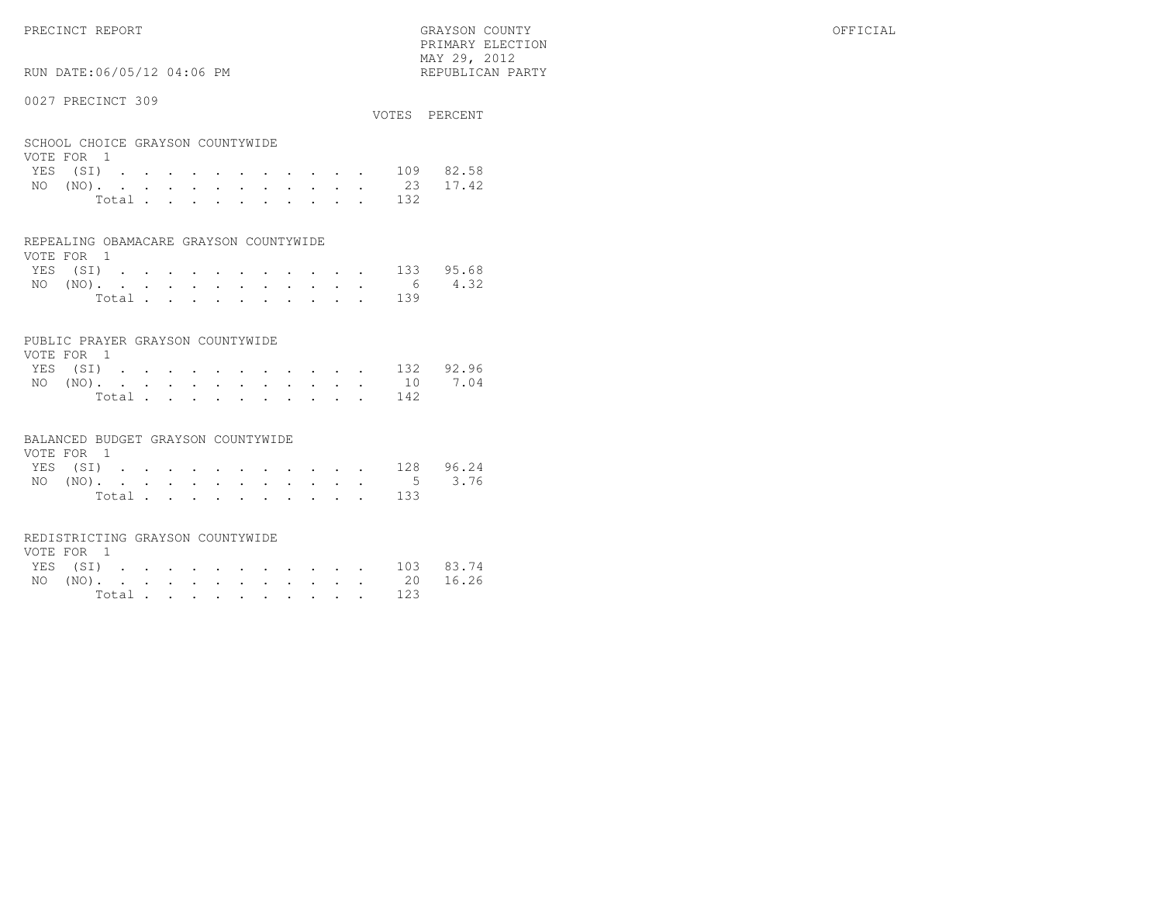PRIMARY ELECTION $\text{MAX } 29, \quad 2012$ 

# RUN DATE:06/05/12 04:06 PM

### 0027 PRECINCT 309

| VV4 / INDVINCI JVJ                             |       |  |  |  |  |  |              | VOTES PERCENT     |
|------------------------------------------------|-------|--|--|--|--|--|--------------|-------------------|
| SCHOOL CHOICE GRAYSON COUNTYWIDE<br>VOTE FOR 1 |       |  |  |  |  |  |              |                   |
|                                                |       |  |  |  |  |  | YES (SI) 109 | 82.58             |
|                                                |       |  |  |  |  |  |              | NO (NO). 23 17.42 |
|                                                | Total |  |  |  |  |  | - 132        |                   |

#### REPEALING OBAMACARE GRAYSON COUNTYWIDE

| VOTE FOR 1 |  |  |  |  |  |  |                    |  |
|------------|--|--|--|--|--|--|--------------------|--|
|            |  |  |  |  |  |  | YES (SI) 133 95.68 |  |
|            |  |  |  |  |  |  | NO (NO). 6 4.32    |  |
|            |  |  |  |  |  |  | Total 139          |  |

### PUBLIC PRAYER GRAYSON COUNTYWIDE

| VOTE FOR 1 |  |  |  |  |  |           |                    |
|------------|--|--|--|--|--|-----------|--------------------|
|            |  |  |  |  |  |           | YES (SI) 132 92.96 |
|            |  |  |  |  |  |           | NO (NO). 10 7.04   |
|            |  |  |  |  |  | Total 142 |                    |

#### BALANCED BUDGET GRAYSON COUNTYWIDE

| VOTE FOR 1 |  |  |  |  |  |                    |  |
|------------|--|--|--|--|--|--------------------|--|
|            |  |  |  |  |  | YES (SI) 128 96.24 |  |
|            |  |  |  |  |  | NO (NO). 5 3.76    |  |
|            |  |  |  |  |  | Total 133          |  |

#### REDISTRICTING GRAYSON COUNTYWIDE

| VOTE FOR 1 |  |  |  |  |  |                    |  |
|------------|--|--|--|--|--|--------------------|--|
|            |  |  |  |  |  | YES (SI) 103 83.74 |  |
|            |  |  |  |  |  | NO (NO). 20 16.26  |  |
|            |  |  |  |  |  | Total 123          |  |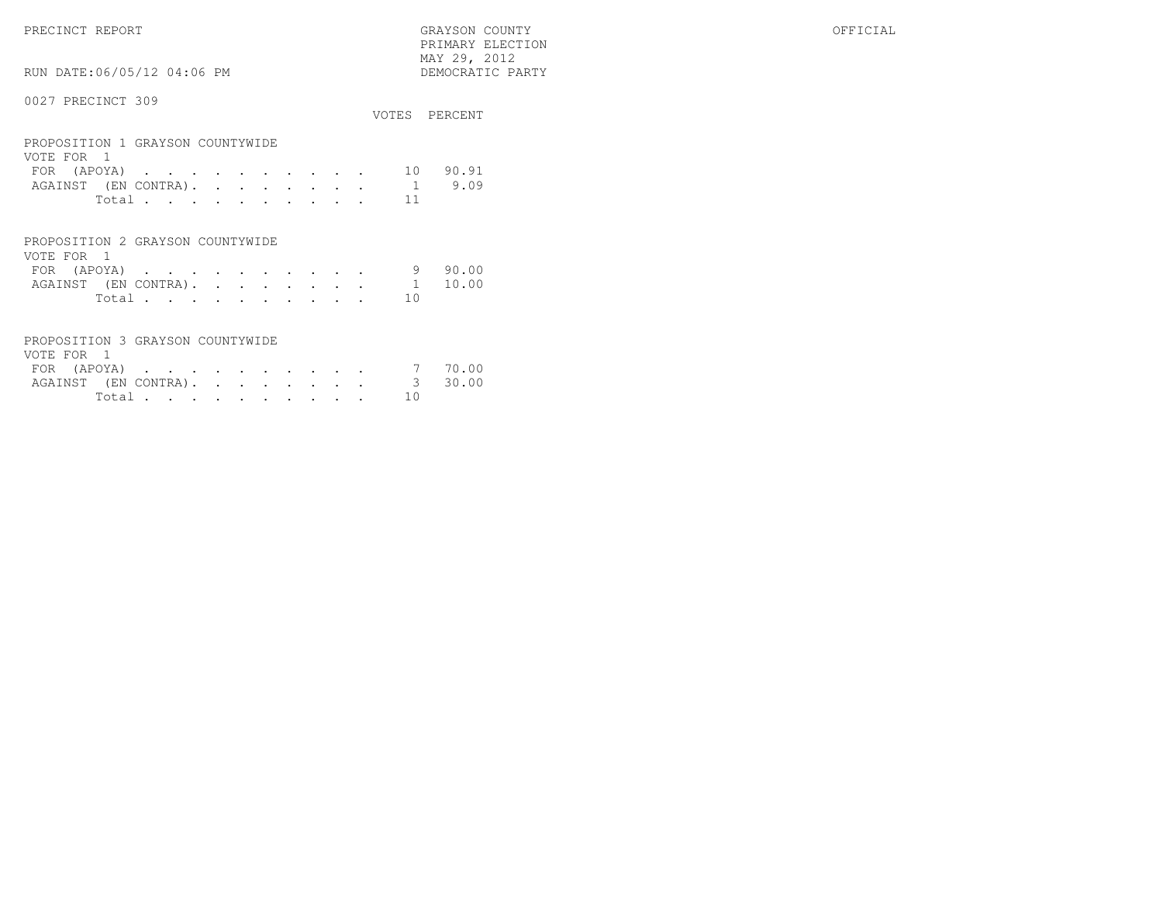PRECINCT REPORT GRAYSON COUNTY OFFICIAL PRIMARY ELECTION $\begin{array}{lll} \text{MAX} & 29, & 2012 \\ \text{NAY} & 29, & 2012 \end{array}$ 

# RUN DATE:06/05/12 04:06 PM

| 0027 PRECINCT 309 |  |
|-------------------|--|
|                   |  |

|                                                |  |  |  |  |  |    | VOTES PERCENT |
|------------------------------------------------|--|--|--|--|--|----|---------------|
| PROPOSITION 1 GRAYSON COUNTYWIDE<br>VOTE FOR 1 |  |  |  |  |  |    |               |
| FOR (APOYA)                                    |  |  |  |  |  | 10 | 90.91         |
| AGAINST (EN CONTRA).                           |  |  |  |  |  |    | 9.09          |
| Total                                          |  |  |  |  |  | 11 |               |
|                                                |  |  |  |  |  |    |               |

| PROPOSITION 2 GRAYSON COUNTYWIDE |  |  |  |  |       |       |
|----------------------------------|--|--|--|--|-------|-------|
| VOTE FOR 1                       |  |  |  |  |       |       |
| FOR $(APOYA)$ 9                  |  |  |  |  |       | 90.00 |
| AGAINST (EN CONTRA). 1 10.00     |  |  |  |  |       |       |
|                                  |  |  |  |  | Total |       |

| PROPOSITION 3 GRAYSON COUNTYWIDE |  |  |  |  |  |        |  |
|----------------------------------|--|--|--|--|--|--------|--|
| VOTE FOR 1                       |  |  |  |  |  |        |  |
| FOR (APOYA) 7 70.00              |  |  |  |  |  |        |  |
| AGAINST (EN CONTRA). 3 30.00     |  |  |  |  |  |        |  |
|                                  |  |  |  |  |  | Total. |  |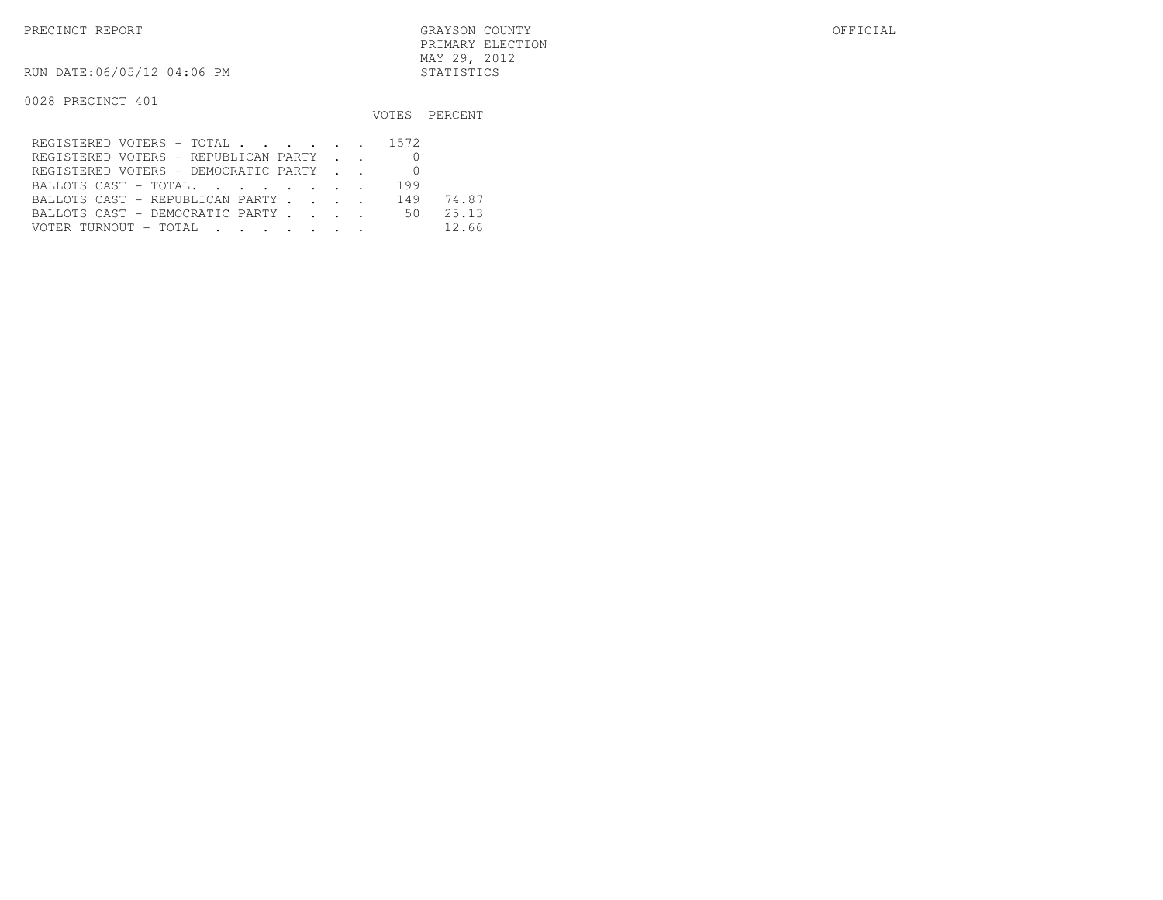RUN DATE:06/05/12 04:06 PM STATISTICS

|                                                                                                                                                           |     | VOTES PERCENT |
|-----------------------------------------------------------------------------------------------------------------------------------------------------------|-----|---------------|
| REGISTERED VOTERS - TOTAL 1572                                                                                                                            |     |               |
| REGISTERED VOTERS - REPUBLICAN PARTY                                                                                                                      |     |               |
| REGISTERED VOTERS - DEMOCRATIC PARTY                                                                                                                      |     |               |
| BALLOTS CAST - TOTAL.                                                                                                                                     | 199 |               |
| BALLOTS CAST - REPUBLICAN PARTY                                                                                                                           | 149 | 74.87         |
| BALLOTS CAST - DEMOCRATIC PARTY                                                                                                                           | 50. | 25.13         |
| VOTER TURNOUT – TOTAL<br>$\mathbf{r} = \mathbf{r} - \mathbf{r}$ , and $\mathbf{r} = \mathbf{r} - \mathbf{r}$ , and $\mathbf{r} = \mathbf{r} - \mathbf{r}$ |     | 12.66         |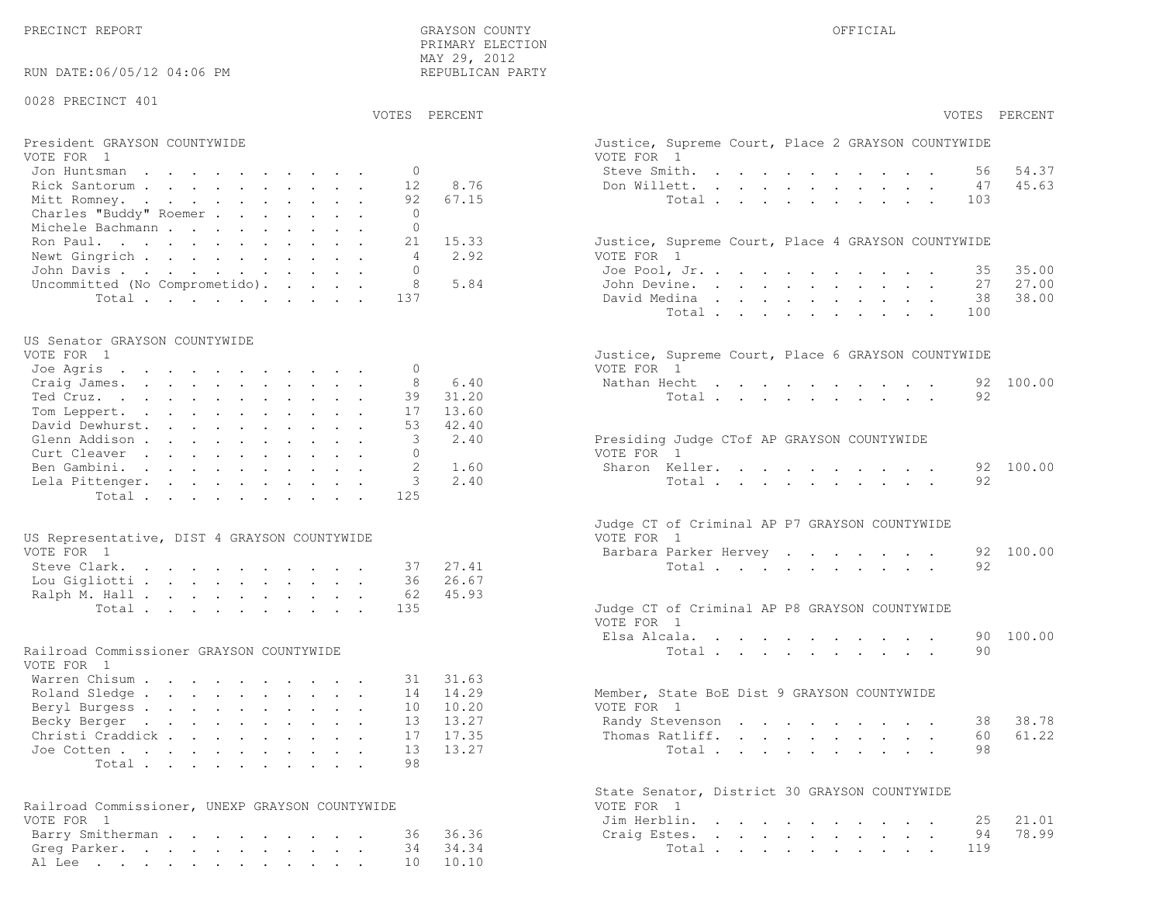PRECINCT REPORT OF THE SERVICE OF THE GRAYSON COUNTY OF THE GRAYSON COUNTY OF THE GRAYSON OF THE GRAYSON COUNTY PRIMARY ELECTION MAY 29, 2012REPUBLICAN PARTY

### RUN DATE:06/05/12 04:06 PM

#### 0028 PRECINCT 401

VOTES PERCENT VOTES PERCENT

# President GRAYSON COUNTYWIDE Justice, Superior Court, Place 2 Grayson, Place 2 Grayson, Place 2 Grayson, Place 2 Grayson, Place 2 Grayson, Place 2 Grayson, Place 2 Grayson, Place 2 Grayson, Place 2 Grayson, Place 2 Grayson

| VOTE FOR 1                            | VOTE FOR 1                                         |
|---------------------------------------|----------------------------------------------------|
| Jon Huntsman 0                        | 54.37<br>Steve Smith. 56                           |
| Rick Santorum 12 8.76                 | 45.63<br>Don Willett. 47                           |
| Mitt Romney. 92 67.15                 | Total 103                                          |
| Charles "Buddy" Roemer                |                                                    |
| Michele Bachmann                      |                                                    |
| Ron Paul. 21 15.33                    | Justice, Supreme Court, Place 4 GRAYSON COUNTYWIDE |
| Newt Gingrich<br>4 2.92               | VOTE FOR 1                                         |
| John Davis                            | Joe Pool, Jr. 35 35.00                             |
| Uncommitted (No Comprometido). 8 5.84 | John Devine. 27 27.00                              |
| Total 137                             | 38 38.00<br>David Medina                           |

#### US Senator GRAYSON COUNTYWIDE

| VOIE FOR I   |                          | JUStice, Supreme Court, Place 6 GRAISON COUNTIWIDE |
|--------------|--------------------------|----------------------------------------------------|
| Joe Agris 0  |                          | VOTE FOR 1                                         |
|              | Craig James. 8 6.40      | Nathan Hecht 92 100.00                             |
|              | Ted Cruz. 39 31.20       | Total 92                                           |
|              | Tom Leppert. 17 13.60    |                                                    |
|              | David Dewhurst. 53 42.40 |                                                    |
|              | Glenn Addison 3 2.40     | Presiding Judge CTof AP GRAYSON COUNTYWIDE         |
| Curt Cleaver |                          | VOTE FOR 1                                         |
|              | Ben Gambini. 2 1.60      | Sharon Keller. 92 100.00                           |
|              | Lela Pittenger. 3 2.40   | Total 92                                           |
|              | Total 125                |                                                    |
|              |                          |                                                    |

| US Representative, DIST 4 GRAYSON COUNTYWIDE | VOTE FOR 1                                    |
|----------------------------------------------|-----------------------------------------------|
| VOTE FOR 1                                   | Barbara Parker Hervey 92 100.00               |
| Steve Clark. 37 27.41                        | Total 92                                      |
| Lou Gigliotti 36 26.67                       |                                               |
| Ralph M. Hall 62 45.93                       |                                               |
| Total 135                                    | Judge CT of Criminal AP P8 GRAYSON COUNTYWIDE |

#### Railroad Commissioner GRAYSON COUNTYWIDE

| VOTE FOR 1                |  |  |  |  |  |                                             |  |
|---------------------------|--|--|--|--|--|---------------------------------------------|--|
| Warren Chisum 31 31.63    |  |  |  |  |  |                                             |  |
| Roland Sledge 14 14.29    |  |  |  |  |  | Member, State BoE Dist 9 GRAYSON COUNTYWIDE |  |
| Beryl Burgess 10 10.20    |  |  |  |  |  | VOTE FOR 1                                  |  |
| Becky Berger 13 13.27     |  |  |  |  |  | Randy Stevenson 38 38.78                    |  |
| Christi Craddick 17 17.35 |  |  |  |  |  | Thomas Ratliff. 60 61.22                    |  |
| Joe Cotten 13 13.27       |  |  |  |  |  | Total 98                                    |  |
| Total 98                  |  |  |  |  |  |                                             |  |

| Railroad Commissioner, UNEXP GRAYSON COUNTYWIDE | VOTE FOR 1            |
|-------------------------------------------------|-----------------------|
| VOTE FOR 1                                      | Jim Herblin. 25 21.01 |
| Barry Smitherman 36 36.36                       | Craig Estes. 94 78.99 |
| Greg Parker. 34 34.34                           | Total 119             |
| Al Lee 10 10.10                                 |                       |

|                                                 | VOTES PERCENT | VOTES PERCENT                                                                                                                                                                                                                                               |
|-------------------------------------------------|---------------|-------------------------------------------------------------------------------------------------------------------------------------------------------------------------------------------------------------------------------------------------------------|
| President GRAYSON COUNTYWIDE                    |               | Justice, Supreme Court, Place 2 GRAYSON COUNTYWIDE                                                                                                                                                                                                          |
| VOTE FOR 1                                      |               | VOTE FOR 1                                                                                                                                                                                                                                                  |
| $\Omega$<br>Jon Huntsman                        |               | Steve Smith.<br>54.37<br>the contract of the contract of the contract of the contract of the contract of the contract of the contract of<br>56                                                                                                              |
| Rick Santorum<br>12                             | 8.76          | Don Willett.<br>47<br>45.63                                                                                                                                                                                                                                 |
| 92<br>Mitt Romney.                              | 67.15         | Total<br>103                                                                                                                                                                                                                                                |
| Charles "Buddy" Roemer<br>$\Omega$              |               |                                                                                                                                                                                                                                                             |
| Michele Bachmann<br>$\Omega$                    |               |                                                                                                                                                                                                                                                             |
| Ron Paul.<br>21                                 | 15.33         | Justice, Supreme Court, Place 4 GRAYSON COUNTYWIDE                                                                                                                                                                                                          |
| Newt Gingrich<br>$\overline{4}$                 | 2.92          | VOTE FOR 1                                                                                                                                                                                                                                                  |
| John Davis<br>$\Omega$                          |               | Joe Pool, Jr.<br>35.00<br>35                                                                                                                                                                                                                                |
| 8<br>Uncommitted (No Comprometido).             | 5.84          | 27.00<br>John Devine.<br>27                                                                                                                                                                                                                                 |
| Total<br>137                                    |               | David Medina<br>38.00<br>38                                                                                                                                                                                                                                 |
|                                                 |               | Total<br>100                                                                                                                                                                                                                                                |
| US Senator GRAYSON COUNTYWIDE                   |               |                                                                                                                                                                                                                                                             |
| VOTE FOR 1                                      |               | Justice, Supreme Court, Place 6 GRAYSON COUNTYWIDE                                                                                                                                                                                                          |
| Joe Agris<br>$\mathbf{0}$                       |               | VOTE FOR 1                                                                                                                                                                                                                                                  |
| 8<br>Craig James.                               | 6.40          | 92 100.00<br>Nathan Hecht<br>and the contract of the contract of the contract of the contract of the contract of the contract of the contract of the contract of the contract of the contract of the contract of the contract of the contract of the contra |
| Ted Cruz.<br>39                                 | 31.20         | 92<br>Total                                                                                                                                                                                                                                                 |
| Tom Leppert.<br>17                              | 13.60         |                                                                                                                                                                                                                                                             |
| David Dewhurst.<br>53                           | 42.40         |                                                                                                                                                                                                                                                             |
| 3                                               | 2.40          |                                                                                                                                                                                                                                                             |
| Glenn Addison<br>$\Omega$                       |               | Presiding Judge CTof AP GRAYSON COUNTYWIDE<br>VOTE FOR 1                                                                                                                                                                                                    |
| Curt Cleaver                                    |               |                                                                                                                                                                                                                                                             |
| Ben Gambini.<br>2                               | 1.60          | Sharon Keller.<br>92 100.00                                                                                                                                                                                                                                 |
| 3<br>Lela Pittenger.                            | 2.40          | Total<br>92                                                                                                                                                                                                                                                 |
| 125<br>Total                                    |               |                                                                                                                                                                                                                                                             |
|                                                 |               | Judge CT of Criminal AP P7 GRAYSON COUNTYWIDE                                                                                                                                                                                                               |
| US Representative, DIST 4 GRAYSON COUNTYWIDE    |               | VOTE FOR 1                                                                                                                                                                                                                                                  |
| VOTE FOR 1                                      |               | 92 100.00<br>Barbara Parker Hervey                                                                                                                                                                                                                          |
| Steve Clark.<br>37                              | 27.41         | 92<br>Total                                                                                                                                                                                                                                                 |
| Lou Gigliotti<br>36                             | 26.67         |                                                                                                                                                                                                                                                             |
| Ralph M. Hall<br>62                             | 45.93         |                                                                                                                                                                                                                                                             |
| 135<br>Total                                    |               | Judge CT of Criminal AP P8 GRAYSON COUNTYWIDE                                                                                                                                                                                                               |
|                                                 |               | VOTE FOR 1                                                                                                                                                                                                                                                  |
|                                                 |               | 90 100.00<br>Elsa Alcala.                                                                                                                                                                                                                                   |
| Railroad Commissioner GRAYSON COUNTYWIDE        |               | Total<br>90                                                                                                                                                                                                                                                 |
| VOTE FOR 1                                      |               |                                                                                                                                                                                                                                                             |
| Warren Chisum<br>31                             | 31.63         |                                                                                                                                                                                                                                                             |
| Roland Sledge<br>14                             | 14.29         | Member, State BoE Dist 9 GRAYSON COUNTYWIDE                                                                                                                                                                                                                 |
| Beryl Burgess<br>10                             | 10.20         | VOTE FOR 1                                                                                                                                                                                                                                                  |
| Becky Berger<br>13                              | 13.27         | 38.78<br>Randy Stevenson<br>38                                                                                                                                                                                                                              |
| Christi Craddick<br>17                          | 17.35         | 61.22<br>Thomas Ratliff.<br>60                                                                                                                                                                                                                              |
|                                                 | 13.27         | 98                                                                                                                                                                                                                                                          |
| Joe Cotten<br>13<br>98                          |               | Total                                                                                                                                                                                                                                                       |
| Total.                                          |               |                                                                                                                                                                                                                                                             |
|                                                 |               | State Senator, District 30 GRAYSON COUNTYWIDE                                                                                                                                                                                                               |
| Railroad Commissioner, UNEXP GRAYSON COUNTYWIDE |               | VOTE FOR 1                                                                                                                                                                                                                                                  |
| VOTE FOR 1                                      |               | Jim Herblin.<br>21.01<br>25                                                                                                                                                                                                                                 |
| Barry Smitherman<br>36                          | 36.36         | 78.99<br>Craig Estes.<br>94                                                                                                                                                                                                                                 |
| Greg Parker.<br>34                              | 34.34         | 119<br>Total                                                                                                                                                                                                                                                |
| Al Lee<br>10                                    | 10.10         |                                                                                                                                                                                                                                                             |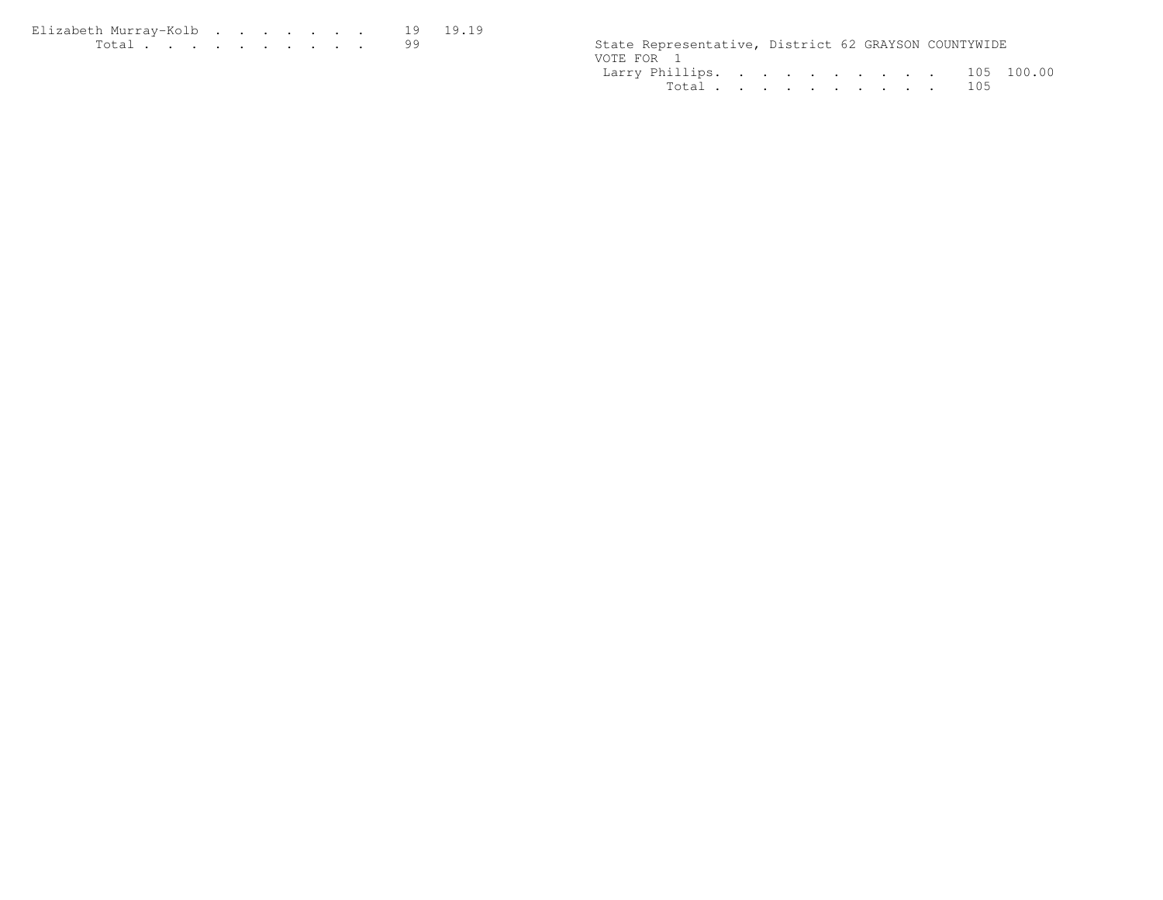| Elizabeth Murrav-Kolb 19 19.19                                                                                                       |  |  |  |  |  |                                                      |  |  |
|--------------------------------------------------------------------------------------------------------------------------------------|--|--|--|--|--|------------------------------------------------------|--|--|
| $\mathbf{r}$ , $\mathbf{r}$ , $\mathbf{r}$ , $\mathbf{r}$ , $\mathbf{r}$ , $\mathbf{r}$ , $\mathbf{r}$ , $\mathbf{r}$ , $\mathbf{r}$ |  |  |  |  |  | State Representative, District 62 GRAYSON COUNTYWIDE |  |  |

| State Representative, District 62 GRAYSON COUNTYWIDE |  |  |  |  |  |
|------------------------------------------------------|--|--|--|--|--|
| VOTE FOR 1                                           |  |  |  |  |  |
| Larry Phillips. 105 100.00                           |  |  |  |  |  |
| Total 105                                            |  |  |  |  |  |
|                                                      |  |  |  |  |  |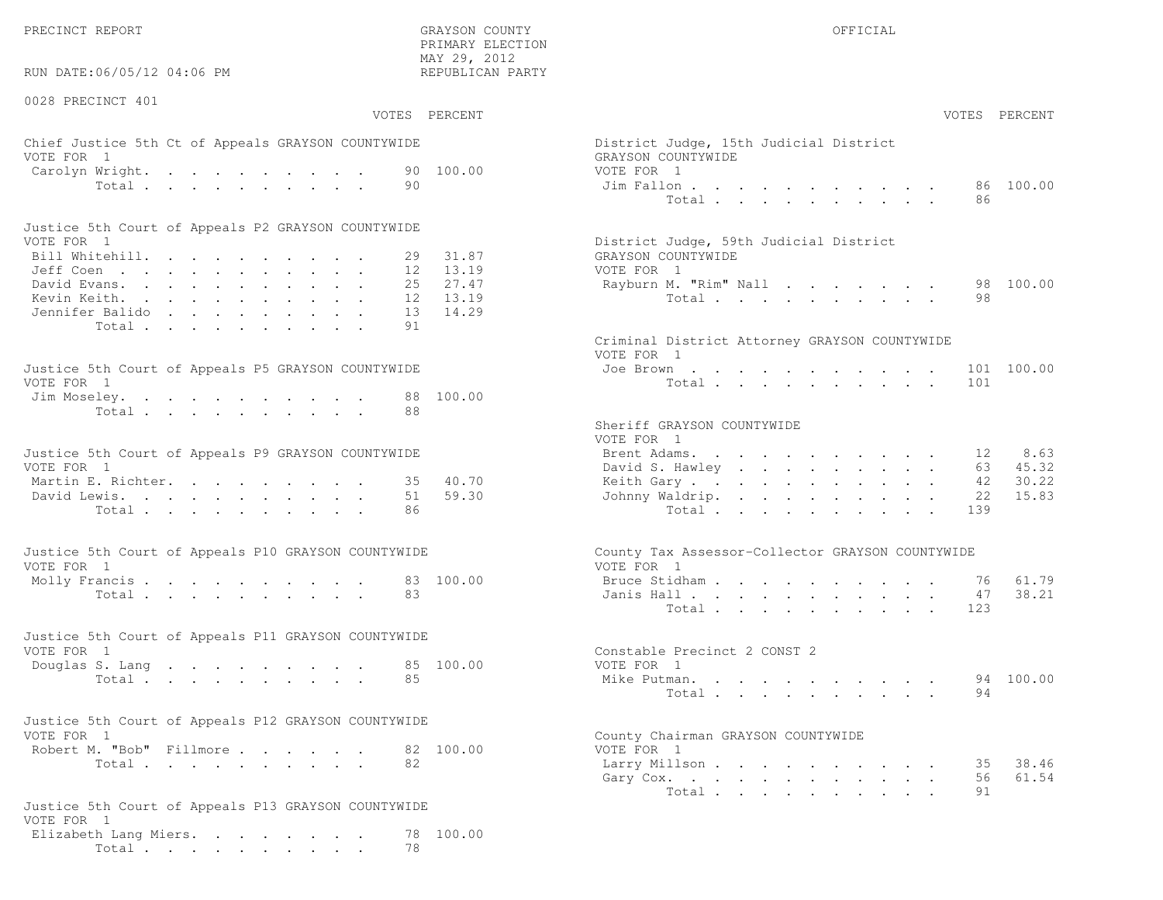RUN DATE:06/05/12 04:06 PM

#### 0028 PRECINCT 401

 PRIMARY ELECTION MAY 29, 2012REPUBLICAN PARTY

## Chief Justice 5th Ct of Appeals GRAYSON COUNTYWIDE District District District District District District District District District District District District District District District District District District District VOTE FOR 1 GRAYSON COUNTY OF SALES AND THE SERIES OF SALES AND GRAYSON COUNTY OF SALES AND GRAYSON COUNTY OF SALES AND GRAYSON CONTROL OF SALES AND GRAYSON CONTROL OF SALES AND GRAYSON CONTROL OF SALES AND GRAYSON CONTROL Carolyn Wright. . . . . . . . . 90  $100.00$  vote  $\begin{array}{cccccccccccc}\n\text{Carcolyn Wright.} & & \text{...} & & \text{...} & & \text{...} & & \text{...} & & \text{...} & & \text{...} & & \text{...} & & \text{...} & & \text{...} & & \text{...} & & \text{...} & & \text{...} & & \text{...} & & \text{...} & & \text{...} & & \text{...} & & \text{...} & & \text{...} & & \text{...} & & \text{...} & & \text{...} & & \text$

| Justice 5th Court of Appeals P2 GRAYSON COUNTYWIDE |  |  |  |  |  |                                        |
|----------------------------------------------------|--|--|--|--|--|----------------------------------------|
| VOTE FOR 1                                         |  |  |  |  |  | District Judge, 59th Judicial District |
| Bill Whitehill. 29 31.87                           |  |  |  |  |  | GRAYSON COUNTYWIDE                     |
| Jeff Coen 12 13.19                                 |  |  |  |  |  | VOTE FOR 1                             |
| David Evans. 25 27.47                              |  |  |  |  |  | Rayburn M. "Rim" Nall 98 100.00        |
| Kevin Keith. 12 13.19                              |  |  |  |  |  | Total 98                               |
| Jennifer Balido 13 14.29                           |  |  |  |  |  |                                        |
| Total 91                                           |  |  |  |  |  |                                        |

| Justice 5th Court of Appeals P5 GRAYSON COUNTYWIDE | Joe Brown 101 100.00 |
|----------------------------------------------------|----------------------|
| VOTE FOR 1                                         | Total 101            |
| Jim Moseley. 88 100.00                             |                      |
| Total 88                                           |                      |

| Justice 5th Court of Appeals P9 GRAYSON COUNTYWIDE | Brent Adams. 12 8.63     |  |
|----------------------------------------------------|--------------------------|--|
| VOTE FOR 1                                         | David S. Hawley 63 45.32 |  |
| Martin E. Richter. 35 40.70                        | Keith Gary 42 30.22      |  |
| David Lewis. 51 59.30                              | Johnny Waldrip. 22 15.83 |  |
| Total 86                                           | Total 139                |  |

| Justice 5th Court of Appeals P10 GRAYSON COUNTYWIDE | County Tax Assessor-Collector GRAYSON COUNTYWIDE |
|-----------------------------------------------------|--------------------------------------------------|
| VOTE FOR 1                                          | VOTE FOR 1                                       |
| Molly Francis 83 100.00                             | Bruce Stidham 76 61.79                           |
| Total 83                                            | Janis Hall 47 38.21                              |

| Justice 5th Court of Appeals P11 GRAYSON COUNTYWIDE |  |  |  |  |  |          |  |                              |           |
|-----------------------------------------------------|--|--|--|--|--|----------|--|------------------------------|-----------|
| VOTE FOR 1                                          |  |  |  |  |  |          |  | Constable Precinct 2 CONST 2 |           |
| Douglas S. Lang 85 100.00                           |  |  |  |  |  |          |  | VOTE FOR 1                   |           |
|                                                     |  |  |  |  |  | Total 85 |  | Mike Putman.                 | 94 100.00 |

| Justice 5th Court of Appeals P12 GRAYSON COUNTYWIDE |          |  |  |  |                                    |
|-----------------------------------------------------|----------|--|--|--|------------------------------------|
| VOTE FOR 1                                          |          |  |  |  | County Chairman GRAYSON COUNTYWIDE |
| Robert M. "Bob" Fillmore 82 100.00                  |          |  |  |  | VOTE FOR 1                         |
|                                                     | Total 82 |  |  |  | Larry Millson                      |

```
Justice 5th Court of Appeals P13 GRAYSON COUNTYWIDEVOTE FOR 1
Elizabeth Lang Miers. . . . . . . . 78 100.00Total . . . . . . . . . 78
```

|                | :06/05/12 04:06 PM                          | REPUBLICAN PARTY           |                                                  |           |               |
|----------------|---------------------------------------------|----------------------------|--------------------------------------------------|-----------|---------------|
| CINCT 401      |                                             | VOTES PERCENT              |                                                  |           | VOTES PERCENT |
|                | stice 5th Ct of Appeals GRAYSON COUNTYWIDE  |                            | District Judge, 15th Judicial District           |           |               |
| $\overline{1}$ | Wright.<br>Total<br>90                      | 90 100.00                  | GRAYSON COUNTYWIDE<br>VOTE FOR 1<br>Jim Fallon   |           | 86 100.00     |
|                |                                             |                            | Total                                            | 86.       |               |
| $\mathbf{1}$   | ith Court of Appeals P2 GRAYSON COUNTYWIDE  |                            | District Judge, 59th Judicial District           |           |               |
|                | tehill.                                     | 31.87<br>29                | GRAYSON COUNTYWIDE                               |           |               |
|                | $\mathbb{R}^n$<br>rans.                     | 12<br>13.19<br>25<br>27.47 | VOTE FOR 1<br>Rayburn M. "Rim" Nall              |           | 98 100.00     |
|                | eith.                                       | 13.19<br>12                | Total                                            | 98        |               |
|                | : Balido<br>13                              | 14.29                      |                                                  |           |               |
|                | Total<br>91                                 |                            |                                                  |           |               |
|                |                                             |                            | Criminal District Attorney GRAYSON COUNTYWIDE    |           |               |
|                |                                             |                            | VOTE FOR 1                                       |           |               |
|                | ith Court of Appeals P5 GRAYSON COUNTYWIDE  |                            | Joe Brown                                        |           | 101 100.00    |
| $\overline{1}$ |                                             |                            | Total                                            | 101       |               |
|                | eley.<br>88                                 | 100.00                     |                                                  |           |               |
|                | Total<br>88                                 |                            | Sheriff GRAYSON COUNTYWIDE<br>VOTE FOR 1         |           |               |
|                | ith Court of Appeals P9 GRAYSON COUNTYWIDE  |                            | Brent Adams.                                     | 12        | 8.63          |
| $\overline{1}$ |                                             |                            | David S. Hawley                                  | 63        | 45.32         |
|                | $\mathbb{E}$ . Richter.                     | 40.70<br>35                | Keith Gary.                                      | 42        | 30.22         |
|                | ewis.                                       | 59.30<br>51                | Johnny Waldrip.                                  | 22        | 15.83         |
|                | Total.<br>86                                |                            | Total                                            | 139       |               |
|                | ith Court of Appeals P10 GRAYSON COUNTYWIDE |                            | County Tax Assessor-Collector GRAYSON COUNTYWIDE |           |               |
| $\overline{1}$ |                                             |                            | VOTE FOR 1                                       |           |               |
|                |                                             | 83 100.00                  | Bruce Stidham                                    | 76        | 61.79         |
|                | Total<br>83                                 |                            | Janis Hall<br>Total                              | 47<br>123 | 38.21         |
|                |                                             |                            |                                                  |           |               |
|                | ith Court of Appeals P11 GRAYSON COUNTYWIDE |                            |                                                  |           |               |
| $\overline{1}$ |                                             |                            | Constable Precinct 2 CONST 2                     |           |               |
|                | S. Lang                                     | 85 100.00                  | VOTE FOR 1                                       |           |               |
|                | Total<br>85                                 |                            | Mike Putman.                                     |           | 94 100.00     |
|                |                                             |                            | Total $\cdots$                                   | 94        |               |
|                | ith Court of Appeals P12 GRAYSON COUNTYWIDE |                            |                                                  |           |               |
| $\mathbf{1}$   |                                             |                            | County Chairman GRAYSON COUNTYWIDE               |           |               |
|                | 1. "Bob" Fillmore.                          | 82 100.00                  | VOTE FOR 1                                       |           |               |
|                | Total<br>82                                 |                            | Larry Millson                                    | 35        | 38.46         |
|                |                                             |                            | Gary Cox.                                        | 56<br>91  | 61.54         |
|                |                                             |                            | Total                                            |           |               |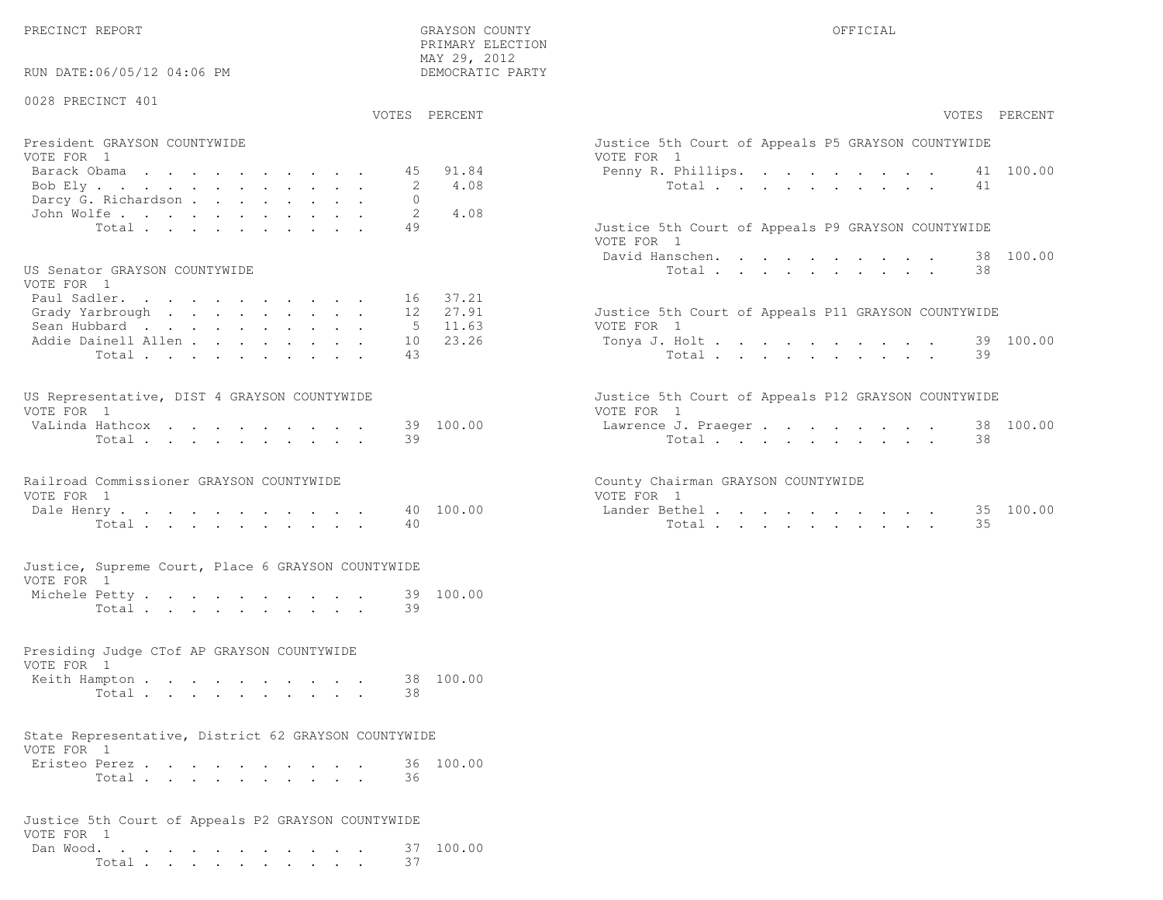PRECINCT REPORT COUNTY GRAYSON COUNTY COUNTY OFFICIAL

PRIMARY ELECTION

| RUN DATE:06/05/12 04:06 PM                                         |          | MAY 29, 2012<br>DEMOCRATIC PARTY |                                                                   |
|--------------------------------------------------------------------|----------|----------------------------------|-------------------------------------------------------------------|
| 0028 PRECINCT 401                                                  |          | VOTES PERCENT                    | VOTES PERCENT                                                     |
|                                                                    |          |                                  |                                                                   |
| President GRAYSON COUNTYWIDE<br>VOTE FOR 1                         |          |                                  | Justice 5th Court of Appeals P5 GRAYSON COUNTYWIDE<br>VOTE FOR 1  |
| Barack Obama<br>Bob Ely                                            | 45<br>2  | 91.84<br>4.08                    | 41 100.00<br>Penny R. Phillips.<br>Total<br>41                    |
| Darcy G. Richardson                                                | $\Omega$ | 4.08                             |                                                                   |
| John Wolfe.<br>Total                                               | 2<br>49  |                                  | Justice 5th Court of Appeals P9 GRAYSON COUNTYWIDE                |
|                                                                    |          |                                  | VOTE FOR 1<br>David Hanschen.<br>38 100.00                        |
| US Senator GRAYSON COUNTYWIDE<br>VOTE FOR 1                        |          |                                  | 38<br>Total                                                       |
| Paul Sadler.<br>Grady Yarbrough                                    |          | 16 37.21<br>12 27.91             | Justice 5th Court of Appeals P11 GRAYSON COUNTYWIDE               |
| Sean Hubbard<br>Addie Dainell Allen                                | 5<br>10  | 11.63<br>23.26                   | VOTE FOR 1<br>39 100.00<br>Tonya J. Holt                          |
| Total                                                              | 43       |                                  | Total<br>39                                                       |
| US Representative, DIST 4 GRAYSON COUNTYWIDE<br>VOTE FOR 1         |          |                                  | Justice 5th Court of Appeals P12 GRAYSON COUNTYWIDE<br>VOTE FOR 1 |
| VaLinda Hathcox<br>Total                                           | 39       | 39 100.00                        | 38 100.00<br>Lawrence J. Praeger<br>Total<br>38                   |
|                                                                    |          |                                  |                                                                   |
| Railroad Commissioner GRAYSON COUNTYWIDE<br>VOTE FOR 1             |          |                                  | County Chairman GRAYSON COUNTYWIDE<br>VOTE FOR 1                  |
| Dale Henry<br>Total                                                | 40       | 40 100.00                        | Lander Bethel 35 100.00<br>Total<br>35                            |
| Justice, Supreme Court, Place 6 GRAYSON COUNTYWIDE<br>VOTE FOR 1   |          |                                  |                                                                   |
| Michele Petty                                                      | 39       | 39 100.00                        |                                                                   |
| Total                                                              |          |                                  |                                                                   |
| Presiding Judge CTof AP GRAYSON COUNTYWIDE<br>VOTE FOR 1           |          |                                  |                                                                   |
| Keith Hampton<br>Total                                             | 38       | 38 100.00                        |                                                                   |
| State Representative, District 62 GRAYSON COUNTYWIDE<br>VOTE FOR 1 |          |                                  |                                                                   |
| Eristeo Perez<br>Total                                             | 36       | 36 100.00                        |                                                                   |
| Justice 5th Court of Appeals P2 GRAYSON COUNTYWIDE<br>VOTE FOR 1   |          |                                  |                                                                   |

 Dan Wood. . . . . . . . . . . . 37 100.00Total . . . . . . . . . . 37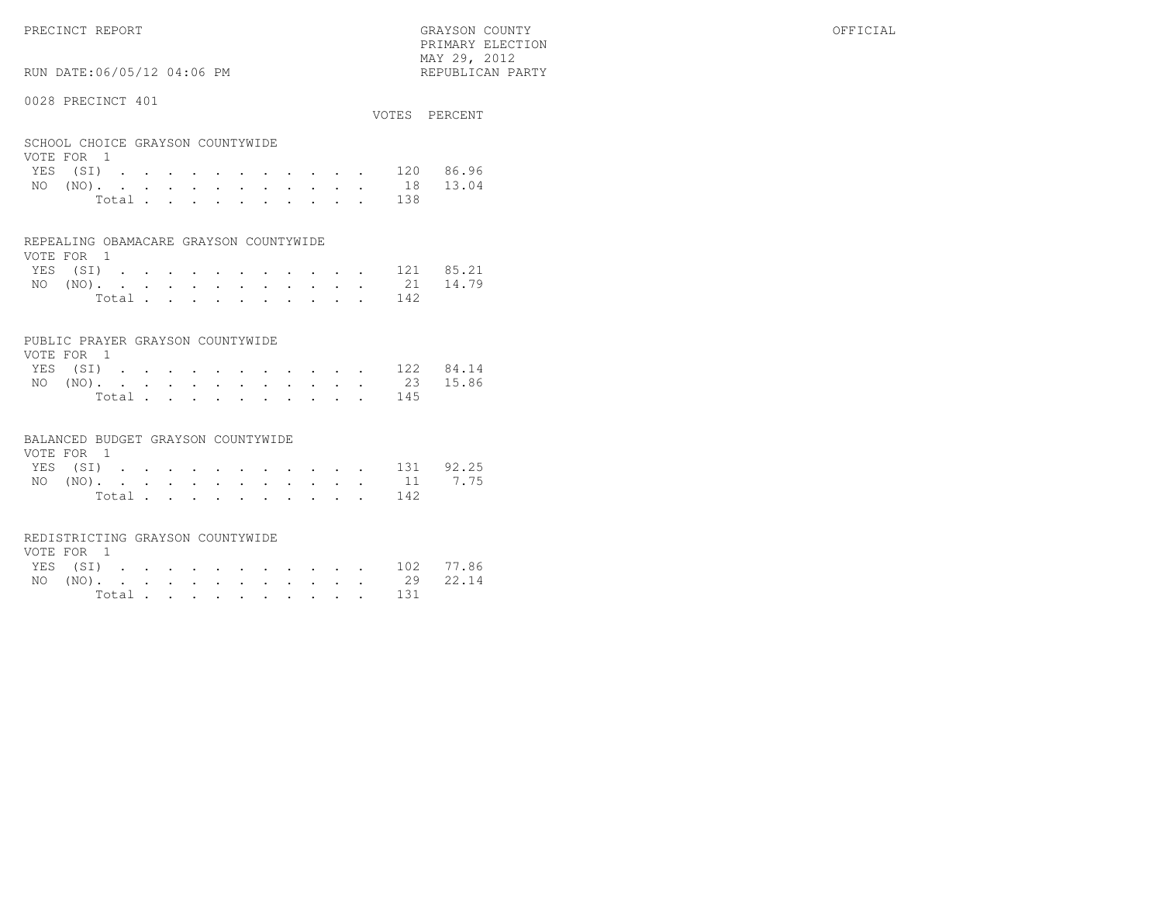PRECINCT REPORT OFFICIAL COUNTY GRAYSON COUNTY OFFICIAL OFFICIAL COUNTY OF THE OFFICIAL COUNTY OF THE OFFICIAL PRIMARY ELECTION $\text{MAX } 29, \quad 2012$ 

## RUN DATE:06/05/12 04:06 PM

#### 0028 PRECINCT 401

|                                                |       |  |  |  |  |       | VOTES PERCENT      |
|------------------------------------------------|-------|--|--|--|--|-------|--------------------|
| SCHOOL CHOICE GRAYSON COUNTYWIDE<br>VOTE FOR 1 |       |  |  |  |  |       |                    |
|                                                |       |  |  |  |  |       | YES (SI) 120 86.96 |
|                                                |       |  |  |  |  |       | NO (NO). 18 13.04  |
|                                                | Total |  |  |  |  | - 138 |                    |

| REPEALING OBAMACARE GRAYSON COUNTYWIDE |  |  |
|----------------------------------------|--|--|
|                                        |  |  |

| VOTE FOR 1 |  |  |  |  |  |  |                    |  |
|------------|--|--|--|--|--|--|--------------------|--|
|            |  |  |  |  |  |  | YES (SI) 121 85.21 |  |
|            |  |  |  |  |  |  | NO (NO). 21 14.79  |  |
|            |  |  |  |  |  |  | Total 142          |  |

#### PUBLIC PRAYER GRAYSON COUNTYWIDE

| VOTE FOR 1         |  |  |  |  |  |           |  |
|--------------------|--|--|--|--|--|-----------|--|
| YES (SI) 122 84.14 |  |  |  |  |  |           |  |
| NO (NO). 23 15.86  |  |  |  |  |  |           |  |
|                    |  |  |  |  |  | Total 145 |  |

#### BALANCED BUDGET GRAYSON COUNTYWIDE

| VOTE FOR 1 |  |  |  |  |  |                    |  |
|------------|--|--|--|--|--|--------------------|--|
|            |  |  |  |  |  | YES (SI) 131 92.25 |  |
|            |  |  |  |  |  | NO (NO). 11 7.75   |  |
|            |  |  |  |  |  | Total 142          |  |

#### REDISTRICTING GRAYSON COUNTYWIDE

| VOTE FOR 1 |  |  |  |  |  |  |                    |  |
|------------|--|--|--|--|--|--|--------------------|--|
|            |  |  |  |  |  |  | YES (SI) 102 77.86 |  |
|            |  |  |  |  |  |  | NO (NO). 29 22.14  |  |
|            |  |  |  |  |  |  | Total 131          |  |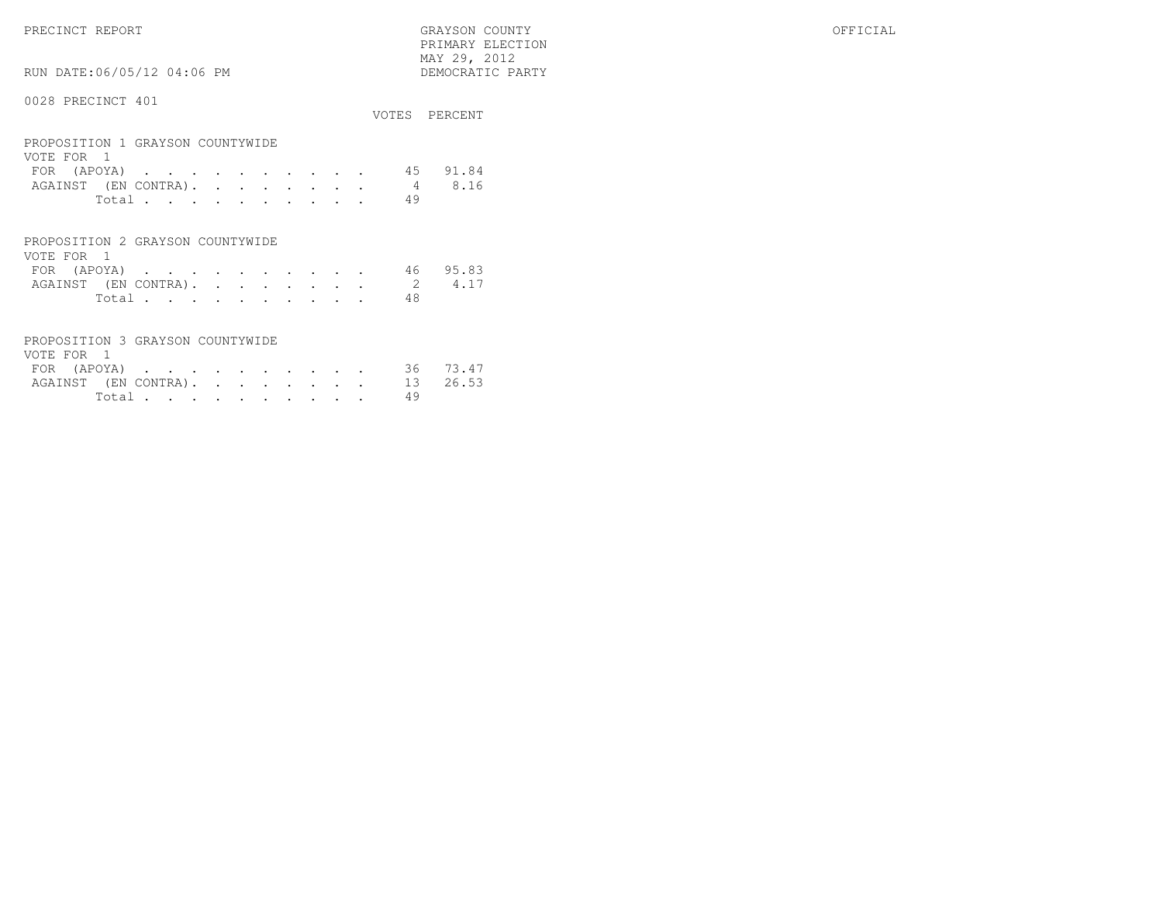PRIMARY ELECTION $\begin{array}{lll} \text{MAX} & 29, & 2012 \\ \text{NAY} & 29, & 2012 \end{array}$ 

## RUN DATE:06/05/12 04:06 PM

|                                                |       |  |  |  |    | VOTES PERCENT |
|------------------------------------------------|-------|--|--|--|----|---------------|
| PROPOSITION 1 GRAYSON COUNTYWIDE<br>VOTE FOR 1 |       |  |  |  |    |               |
| FOR (APOYA)                                    |       |  |  |  |    | 45 91.84      |
| AGAINST (EN CONTRA).                           |       |  |  |  | 4  | 8.16          |
|                                                | Total |  |  |  | 49 |               |
|                                                |       |  |  |  |    |               |

| PROPOSITION 2 GRAYSON COUNTYWIDE |  |  |  |  |  |                |     |                             |
|----------------------------------|--|--|--|--|--|----------------|-----|-----------------------------|
| VOTE FOR 1                       |  |  |  |  |  |                |     |                             |
|                                  |  |  |  |  |  |                |     | FOR (APOYA) 46 95.83        |
|                                  |  |  |  |  |  |                |     | AGAINST (EN CONTRA). 2 4.17 |
|                                  |  |  |  |  |  | Total $\cdots$ | -48 |                             |

| PROPOSITION 3 GRAYSON COUNTYWIDE |          |  |  |  |  |  |
|----------------------------------|----------|--|--|--|--|--|
| VOTE FOR 1                       |          |  |  |  |  |  |
| FOR (APOYA) 36 73.47             |          |  |  |  |  |  |
| AGAINST (EN CONTRA). 13 26.53    |          |  |  |  |  |  |
|                                  | Total 49 |  |  |  |  |  |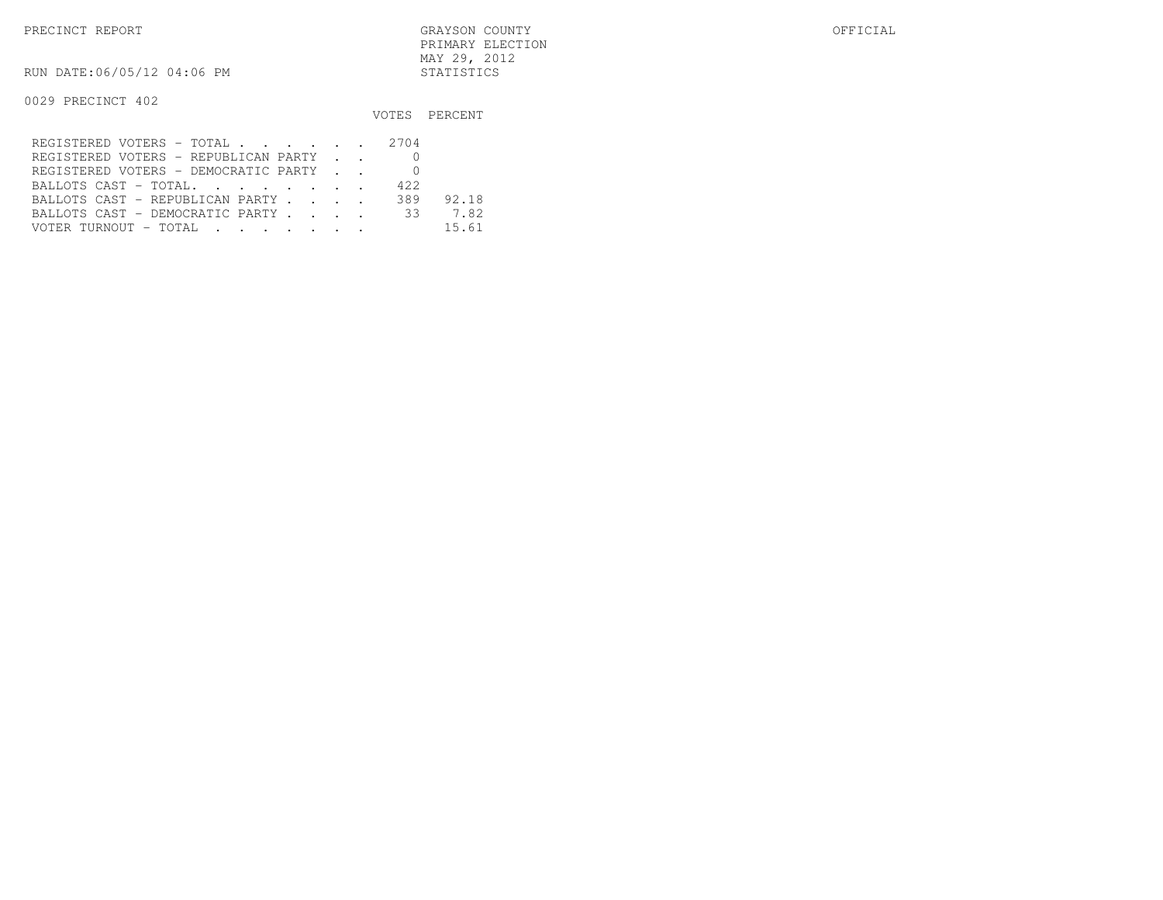RUN DATE:06/05/12 04:06 PM STATISTICS

|                                                                                                                                          |       | VOTES PERCENT |
|------------------------------------------------------------------------------------------------------------------------------------------|-------|---------------|
| REGISTERED VOTERS - TOTAL 2704                                                                                                           |       |               |
| REGISTERED VOTERS - REPUBLICAN PARTY                                                                                                     |       |               |
| REGISTERED VOTERS - DEMOCRATIC PARTY                                                                                                     |       |               |
| BALLOTS CAST - TOTAL.                                                                                                                    | 42.2. |               |
| BALLOTS CAST - REPUBLICAN PARTY                                                                                                          | 389   | 92.18         |
| BALLOTS CAST - DEMOCRATIC PARTY                                                                                                          | 33    | 7.82          |
| VOTER TURNOUT - TOTAL<br>the contract of the contract of the contract of the contract of the contract of the contract of the contract of |       | 15.61         |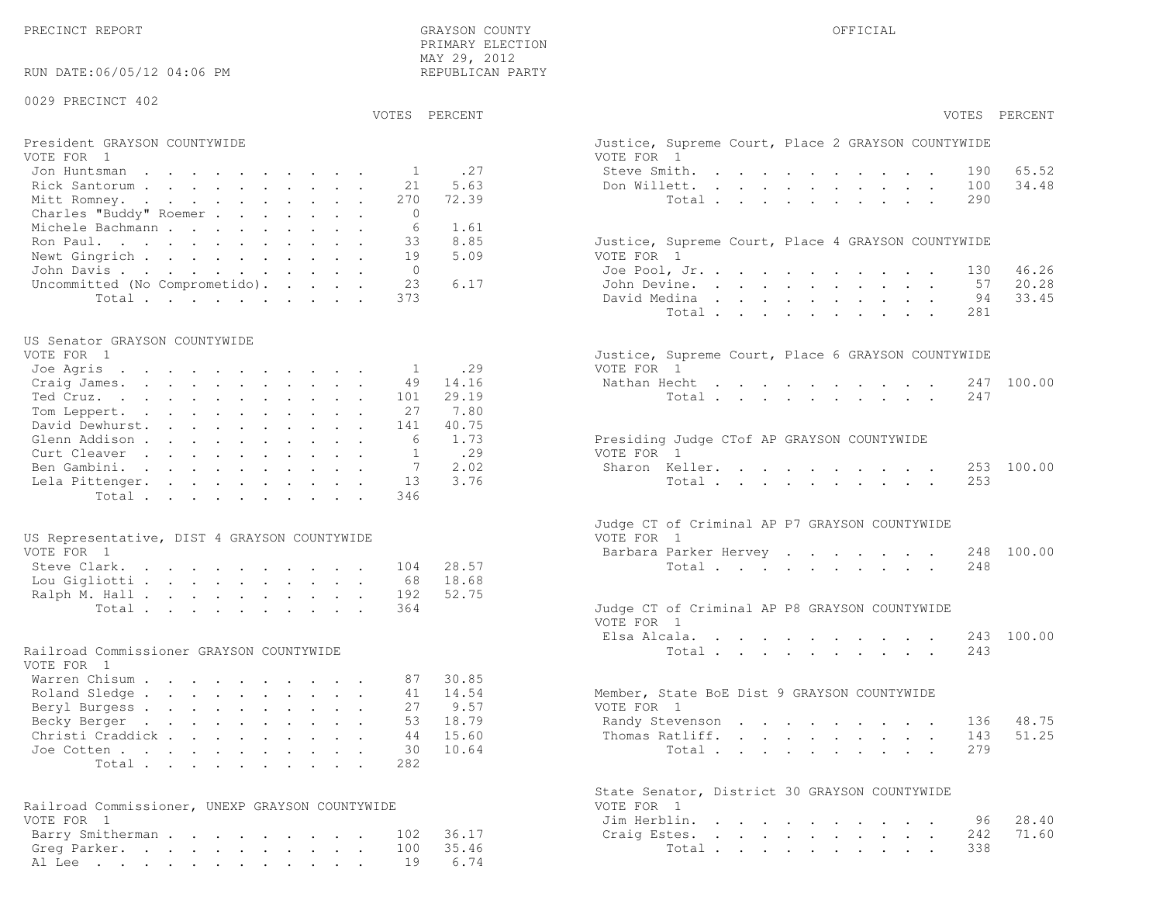| RUN DATE:06/05/12 04:06 PM                      |                | TIME AVI AVIA<br>REPUBLICAN PARTY |                                                                  |
|-------------------------------------------------|----------------|-----------------------------------|------------------------------------------------------------------|
| 0029 PRECINCT 402                               |                |                                   |                                                                  |
|                                                 | VOTES PERCENT  |                                   | VOTES PERCENT                                                    |
| President GRAYSON COUNTYWIDE<br>VOTE FOR 1      |                |                                   | Justice, Supreme Court, Place 2 GRAYSON COUNTYWIDE<br>VOTE FOR 1 |
| Jon Huntsman                                    | 1              | .27                               | Steve Smith.<br>65.52<br>190                                     |
| Rick Santorum                                   | 21             | 5.63                              | 34.48<br>Don Willett.<br>100                                     |
| Mitt Romney.                                    | 270            | 72.39                             | Total<br>290                                                     |
| Charles "Buddy" Roemer                          | $\Omega$       |                                   |                                                                  |
| Michele Bachmann                                | 6              | 1.61                              |                                                                  |
| Ron Paul.                                       | 33             | 8.85                              | Justice, Supreme Court, Place 4 GRAYSON COUNTYWIDE               |
| Newt Gingrich                                   | 19             | 5.09                              | VOTE FOR 1                                                       |
| John Davis                                      | $\overline{0}$ |                                   | Joe Pool, Jr.<br>46.26<br>130                                    |
| Uncommitted (No Comprometido).                  | 23             | 6.17                              | 20.28<br>John Devine.<br>57                                      |
| Total                                           | 373            |                                   | 33.45<br>David Medina<br>94                                      |
|                                                 |                |                                   | Total<br>281                                                     |
|                                                 |                |                                   |                                                                  |
| US Senator GRAYSON COUNTYWIDE                   |                |                                   |                                                                  |
| VOTE FOR 1                                      |                |                                   | Justice, Supreme Court, Place 6 GRAYSON COUNTYWIDE               |
| Joe Agris                                       | 1              | .29                               | VOTE FOR 1                                                       |
| Craig James.                                    | 49             | 14.16                             | Nathan Hecht<br>247 100.00                                       |
| Ted Cruz.                                       | 101            | 29.19                             | 247<br>Total                                                     |
| Tom Leppert.                                    | 27             | 7.80                              |                                                                  |
| David Dewhurst.                                 | 141            | 40.75                             |                                                                  |
| Glenn Addison                                   | 6              | 1.73                              | Presiding Judge CTof AP GRAYSON COUNTYWIDE                       |
| Curt Cleaver                                    | $\mathbf{1}$   | .29                               | VOTE FOR 1                                                       |
| Ben Gambini.                                    | 7              | 2.02                              | Sharon Keller.<br>100.00<br>253                                  |
| Lela Pittenger.                                 | 13             | 3.76                              | Total<br>253                                                     |
| Total                                           | 346            |                                   |                                                                  |
|                                                 |                |                                   | Judge CT of Criminal AP P7 GRAYSON COUNTYWIDE                    |
| US Representative, DIST 4 GRAYSON COUNTYWIDE    |                |                                   | VOTE FOR 1                                                       |
| VOTE FOR 1                                      |                |                                   | Barbara Parker Hervey<br>248 100.00                              |
| Steve Clark.                                    | 104            | 28.57                             | Total<br>248                                                     |
| Lou Gigliotti                                   | 68             | 18.68                             |                                                                  |
| Ralph M. Hall                                   | 192            | 52.75                             |                                                                  |
| Total                                           | 364            |                                   | Judge CT of Criminal AP P8 GRAYSON COUNTYWIDE                    |
|                                                 |                |                                   | VOTE FOR 1                                                       |
|                                                 |                |                                   | Elsa Alcala.<br>243 100.00                                       |
| Railroad Commissioner GRAYSON COUNTYWIDE        |                |                                   | Total<br>243                                                     |
| VOTE FOR 1                                      |                |                                   |                                                                  |
| Warren Chisum                                   | 87             | 30.85                             |                                                                  |
| Roland Sledge                                   | 41             | 14.54                             | Member, State BoE Dist 9 GRAYSON COUNTYWIDE                      |
| Beryl Burgess                                   | 27             | 9.57                              | VOTE FOR 1                                                       |
| Becky Berger                                    |                | 53 18.79                          | Randy Stevenson 136 48.75                                        |
| Christi Craddick                                | 44             | 15.60                             | 51.25<br>Thomas Ratliff.<br>143                                  |
| Joe Cotten                                      | 30             | 10.64                             | 2.79<br>Total                                                    |
| Total                                           | 282            |                                   |                                                                  |
|                                                 |                |                                   |                                                                  |
|                                                 |                |                                   | State Senator, District 30 GRAYSON COUNTYWIDE                    |
| Railroad Commissioner, UNEXP GRAYSON COUNTYWIDE |                |                                   | VOTE FOR 1                                                       |
| VOTE FOR 1                                      |                |                                   | 28.40<br>Jim Herblin.<br>96                                      |
| Barry Smitherman                                | 102            | 36.17                             | 71.60<br>Craig Estes.<br>242                                     |
| Greg Parker.                                    | 100            | 35.46                             | 338<br>Total                                                     |
| Al Lee                                          | 19             | 6.74                              |                                                                  |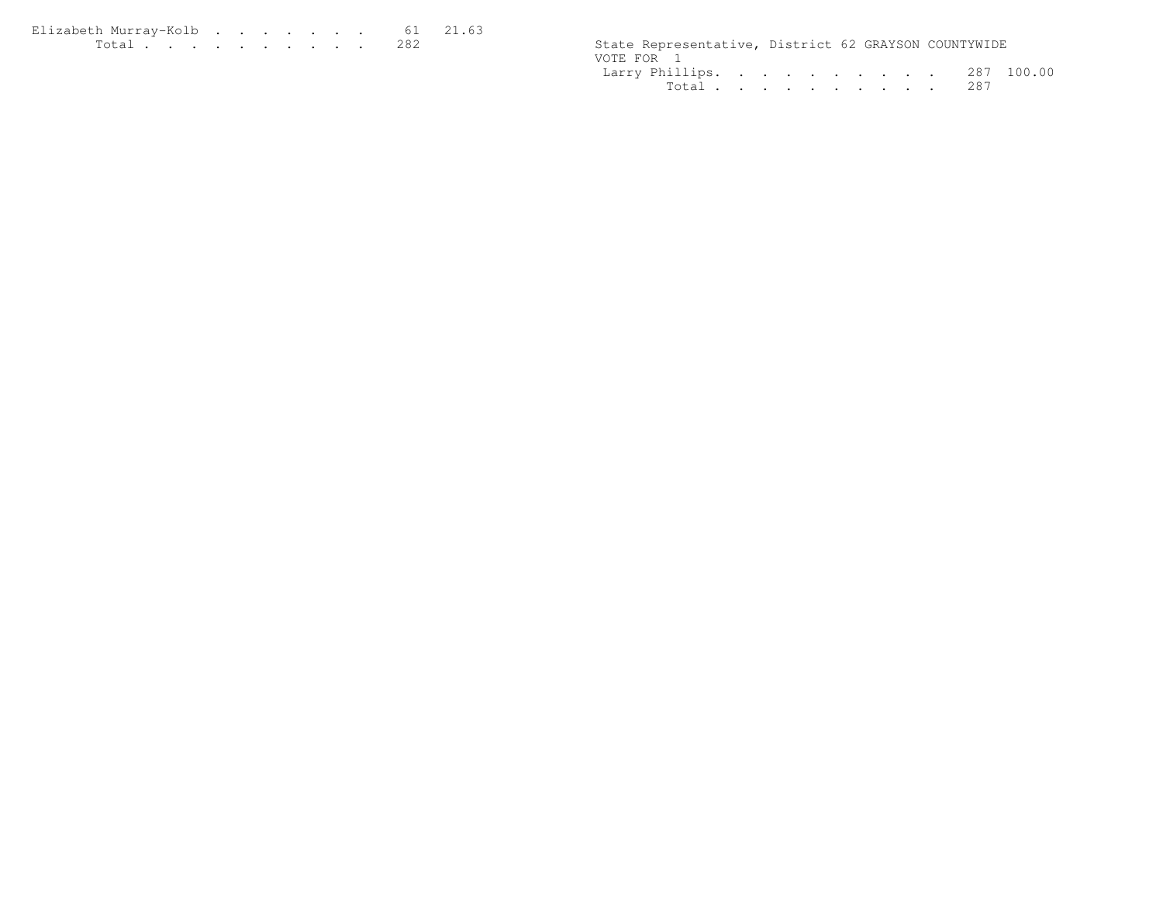| Elizabeth Murrav-Kolb 61 21.63                                                                                                                                                                                                                                                                                                                                                                                               |  |  |  |  |  |                                                      |  |  |
|------------------------------------------------------------------------------------------------------------------------------------------------------------------------------------------------------------------------------------------------------------------------------------------------------------------------------------------------------------------------------------------------------------------------------|--|--|--|--|--|------------------------------------------------------|--|--|
| $\mathbf{r} = \mathbf{r} + \mathbf{r} + \mathbf{r} + \mathbf{r} + \mathbf{r} + \mathbf{r} + \mathbf{r} + \mathbf{r} + \mathbf{r} + \mathbf{r} + \mathbf{r} + \mathbf{r} + \mathbf{r} + \mathbf{r} + \mathbf{r} + \mathbf{r} + \mathbf{r} + \mathbf{r} + \mathbf{r} + \mathbf{r} + \mathbf{r} + \mathbf{r} + \mathbf{r} + \mathbf{r} + \mathbf{r} + \mathbf{r} + \mathbf{r} + \mathbf{r} + \mathbf{r} + \mathbf{r} + \mathbf$ |  |  |  |  |  | State Representative, District 62 GRAYSON COUNTYWIDE |  |  |

| State Representative, District 62 GRAYSON COUNTYWIDE |  |  |  |  |  |
|------------------------------------------------------|--|--|--|--|--|
| VOTE FOR 1                                           |  |  |  |  |  |
| Larry Phillips. 287 100.00                           |  |  |  |  |  |
| Total 287                                            |  |  |  |  |  |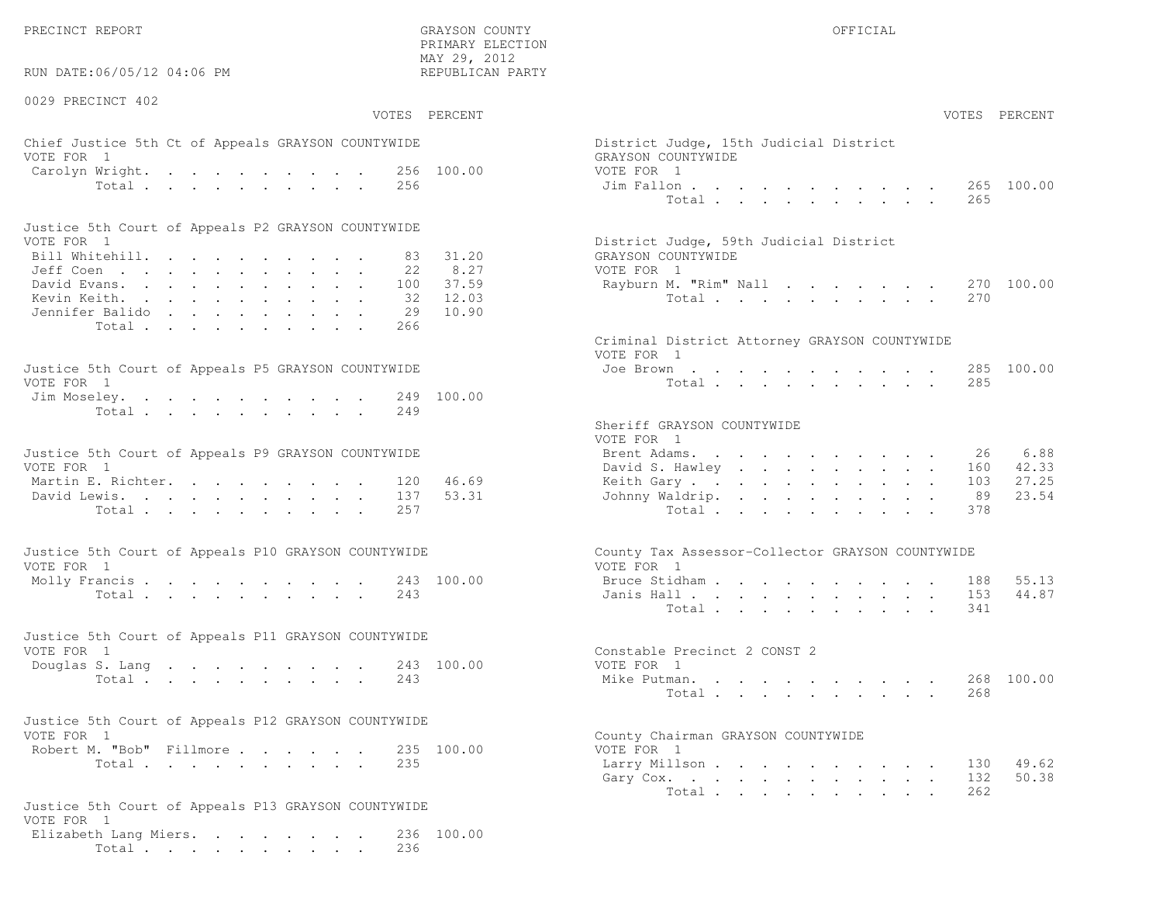RUN DATE:06/05/12 04:06 PM

0029 PRECINCT 402

 PRIMARY ELECTION MAY 29, 2012REPUBLICAN PARTY

## Chief Justice 5th Ct of Appeals GRAYSON COUNTYWIDE District Appeals GRAYSON COUNTYWIDE VOTE FOR 1 GRAYSON COUNTY OF REAL EXPLORER COUNTY OF REAL EXPLORER COUNTY OF REAL EXPLORER COUNTY OF REAL EXPLORER COUNTY OF REAL EXPLORER COUNTY OF REAL EXPLORER COUNTY OF REAL EXPLORER COUNTY OF REAL EXPLORER COUNTY OF R Carolyn Wright. . . . . . . . . 256 100.00 VOT<br>Total . . . . . . . . . 256 100.00 Ji

| Justice 5th Court of Appeals P2 GRAYSON COUNTYWIDE |  |  |  |  |  |                                        |
|----------------------------------------------------|--|--|--|--|--|----------------------------------------|
| VOTE FOR 1                                         |  |  |  |  |  | District Judge, 59th Judicial District |
| Bill Whitehill. 83 31.20                           |  |  |  |  |  | GRAYSON COUNTYWIDE                     |
| Jeff Coen 22 8.27                                  |  |  |  |  |  | VOTE FOR 1                             |
| David Evans. 100 37.59                             |  |  |  |  |  | Rayburn M. "Rim" Nall 270 100.00       |
| Kevin Keith. 32 12.03                              |  |  |  |  |  | Total 270                              |
| Jennifer Balido 29 10.90                           |  |  |  |  |  |                                        |
| Total 266                                          |  |  |  |  |  |                                        |

| Justice 5th Court of Appeals P5 GRAYSON COUNTYWIDE | Joe Brown 285 100.00 |
|----------------------------------------------------|----------------------|
| VOTE FOR 1                                         | Total 285            |
| Jim Moseley. 249 100.00                            |                      |
| Total 249                                          |                      |

| Justice 5th Court of Appeals P9 GRAYSON COUNTYWIDE |  |  |  |  |  | Brent Adams. 26 6.88      |  |  |  |  |  |  |
|----------------------------------------------------|--|--|--|--|--|---------------------------|--|--|--|--|--|--|
| VOTE FOR 1                                         |  |  |  |  |  | David S. Hawley 160 42.33 |  |  |  |  |  |  |
| Martin E. Richter. 120 46.69                       |  |  |  |  |  | Keith Gary 103 27.25      |  |  |  |  |  |  |
| David Lewis. 137 53.31                             |  |  |  |  |  | Johnny Waldrip. 89 23.54  |  |  |  |  |  |  |
| Total 257                                          |  |  |  |  |  | Total 378                 |  |  |  |  |  |  |

| Justice 5th Court of Appeals P10 GRAYSON COUNTYWIDE | County Tax Assessor-Collector GRAYSON COUNTYWIDE |
|-----------------------------------------------------|--------------------------------------------------|
| VOTE FOR 1                                          | VOTE FOR 1                                       |
| Molly Francis 243 100.00                            | Bruce Stidham 188 55.13                          |
| Total 243                                           | Janis Hall 153 44.87                             |

| Justice 5th Court of Appeals P11 GRAYSON COUNTYWIDE |  |  |  |  |  |           |                              |  |
|-----------------------------------------------------|--|--|--|--|--|-----------|------------------------------|--|
| VOTE FOR 1                                          |  |  |  |  |  |           | Constable Precinct 2 CONST 2 |  |
| Douglas S. Lang 243 100.00                          |  |  |  |  |  |           | VOTE FOR 1                   |  |
|                                                     |  |  |  |  |  | Total 243 | Mike Putman. 268 100.00      |  |

| Justice 5th Court of Appeals P12 GRAYSON COUNTYWIDE |           |  |  |  |                                    |
|-----------------------------------------------------|-----------|--|--|--|------------------------------------|
| VOTE FOR 1                                          |           |  |  |  | County Chairman GRAYSON COUNTYWIDE |
| Robert M. "Bob" Fillmore 235 100.00                 |           |  |  |  | VOTE FOR 1                         |
|                                                     | Total 235 |  |  |  | Larry Millson                      |

```
Justice 5th Court of Appeals P13 GRAYSON COUNTYWIDEVOTE FOR 1
Elizabeth Lang Miers. . . . . . . . 236 100.00Total . . . . . . . . . . 236
```

|                | :06/05/12 04:06 PM |                                             |                 | MAY 29, 2012<br>REPUBLICAN PARTY |                                                                |                |
|----------------|--------------------|---------------------------------------------|-----------------|----------------------------------|----------------------------------------------------------------|----------------|
| CINCT 402      |                    |                                             |                 |                                  |                                                                |                |
|                |                    |                                             | VOTES PERCENT   |                                  |                                                                | VOTES PERCENT  |
| $\overline{1}$ |                    | stice 5th Ct of Appeals GRAYSON COUNTYWIDE  |                 |                                  | District Judge, 15th Judicial District<br>GRAYSON COUNTYWIDE   |                |
|                |                    | Wright.<br>Total                            | 256             | 256 100.00                       | VOTE FOR 1<br>Jim Fallon<br>Total<br>265                       | 265 100.00     |
|                |                    | oth Court of Appeals P2 GRAYSON COUNTYWIDE  |                 |                                  |                                                                |                |
| $\overline{1}$ |                    |                                             |                 |                                  | District Judge, 59th Judicial District                         |                |
|                |                    | tehill.                                     | 83.<br>22       | 31.20<br>8.27                    | GRAYSON COUNTYWIDE<br>VOTE FOR 1                               |                |
|                |                    | eith.<br>: Balido                           | 100<br>32<br>29 | 37.59<br>12.03<br>10.90          | Rayburn M. "Rim" Nall<br>Total.<br>270                         | 270 100.00     |
|                |                    | Total                                       | 266             |                                  |                                                                |                |
|                |                    |                                             |                 |                                  | Criminal District Attorney GRAYSON COUNTYWIDE<br>VOTE FOR 1    |                |
| $\overline{1}$ |                    | ith Court of Appeals P5 GRAYSON COUNTYWIDE  |                 |                                  | Joe Brown<br>Total<br>285                                      | 285 100.00     |
|                |                    | eley.<br>Total                              | 249<br>249      | 100.00                           |                                                                |                |
|                |                    |                                             |                 |                                  | Sheriff GRAYSON COUNTYWIDE<br>VOTE FOR 1                       |                |
| $\overline{1}$ |                    | ith Court of Appeals P9 GRAYSON COUNTYWIDE  |                 |                                  | Brent Adams.<br>26<br>David S. Hawley<br>160                   | 6.88<br>42.33  |
|                |                    | $\mathbb{E}$ . Richter.                     | 120             | 46.69                            | Keith Gary.<br>103                                             | 27.25          |
|                |                    | ewis.<br>Total                              | 137<br>257      | 53.31                            | Johnny Waldrip.<br>89<br>Total<br>378                          | 23.54          |
|                |                    |                                             |                 |                                  |                                                                |                |
| $\overline{1}$ |                    | ith Court of Appeals P10 GRAYSON COUNTYWIDE |                 |                                  | County Tax Assessor-Collector GRAYSON COUNTYWIDE<br>VOTE FOR 1 |                |
|                |                    | Total                                       | 243             | 243 100.00                       | Bruce Stidham<br>188<br>Janis Hall<br>153                      | 55.13<br>44.87 |
|                |                    |                                             |                 |                                  | Total<br>341                                                   |                |
| $\mathbf{1}$   |                    | oth Court of Appeals P11 GRAYSON COUNTYWIDE |                 |                                  | Constable Precinct 2 CONST 2                                   |                |
|                |                    | S. Lang 243 100.00                          |                 |                                  | VOTE FOR 1                                                     |                |
|                |                    | Total                                       | 243             |                                  | Mike Putman.<br>Total<br>268                                   | 268 100.00     |
|                |                    | ith Court of Appeals P12 GRAYSON COUNTYWIDE |                 |                                  |                                                                |                |
| $\overline{1}$ |                    | 1. "Bob" Fillmore                           |                 | 235 100.00                       | County Chairman GRAYSON COUNTYWIDE<br>VOTE FOR 1               |                |
|                |                    | Total                                       | 235             |                                  | Larry Millson<br>130<br>Gary Cox.<br>132<br>262<br>Total       | 49.62<br>50.38 |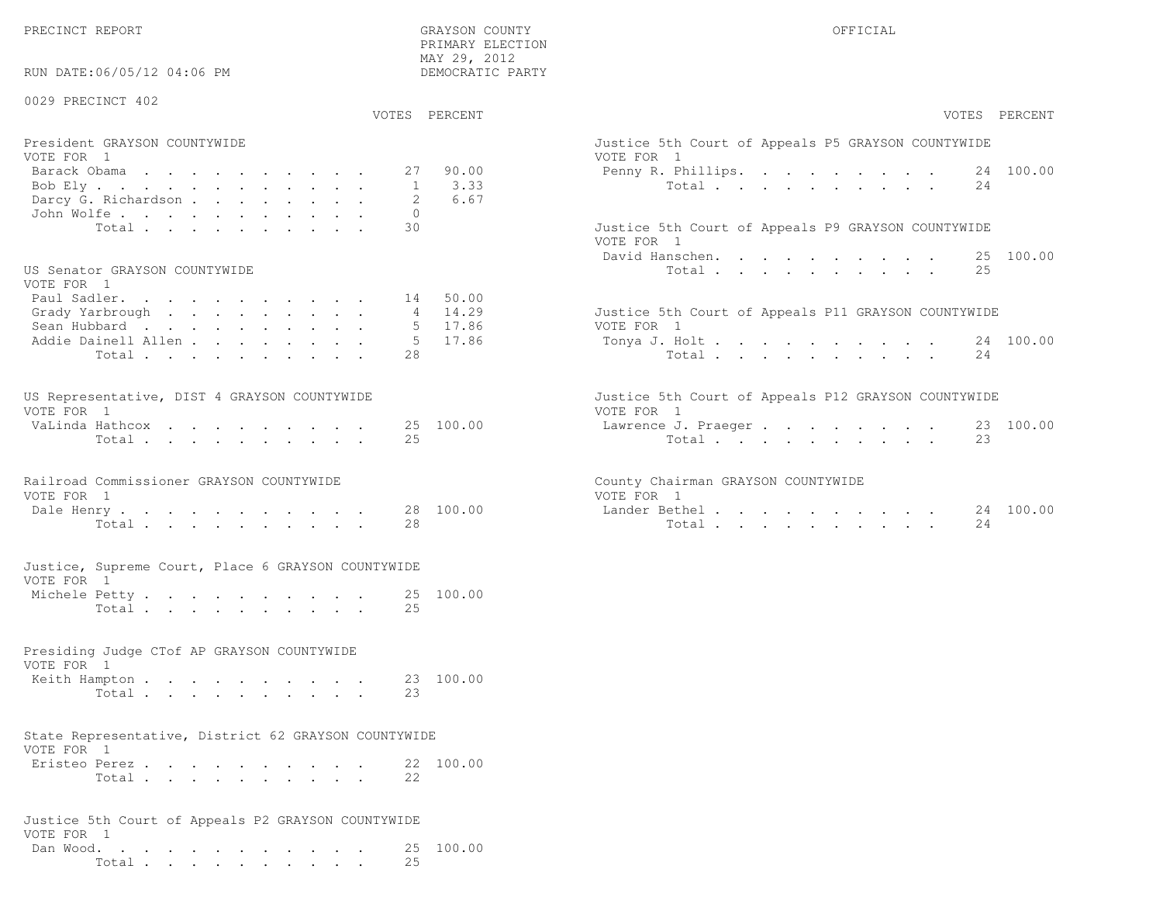RUN DATE:06/05/12 04:06 PM

#### 0029 PRECINCT 402

VOTES PERCENT VOTES PERCENT

 PRIMARY ELECTION MAY 29, 2012DEMOCRATIC PARTY

| President GRAYSON COUNTYWIDE                                 | Justice 5th Court of Appeals P5 GRAYSON COUNTYWIDE |
|--------------------------------------------------------------|----------------------------------------------------|
| VOTE FOR 1                                                   | VOTE FOR 1                                         |
| Barack Obama 27 90.00                                        | Penny R. Phillips. 24 100.00                       |
| Bob Ely 1 3.33                                               | Total 24                                           |
| Darcy G. Richardson 2 6.67                                   |                                                    |
| John Wolfe. 0                                                |                                                    |
| エンジャー・コンピュー しょうしょう しゅうしょう しゅうしゅう しゅうしゅう しゅうしょう しゅうしゅう しゅうしょう |                                                    |

#### US Senator GRAYSON COUNTYWIDE

| VOTE FOR 1                  |  |  |  |  |  |                                                     |
|-----------------------------|--|--|--|--|--|-----------------------------------------------------|
| Paul Sadler. 14 50.00       |  |  |  |  |  |                                                     |
| Grady Yarbrough 4 14.29     |  |  |  |  |  | Justice 5th Court of Appeals P11 GRAYSON COUNTYWIDE |
| Sean Hubbard 5 17.86        |  |  |  |  |  | VOTE FOR 1                                          |
| Addie Dainell Allen 5 17.86 |  |  |  |  |  | Tonya J. Holt 24 100.00                             |
| Total 28                    |  |  |  |  |  | Total 24                                            |

| US Representative, DIST 4 GRAYSON COUNTYWIDE |  |  |  |  |  | Justice 5th Court of Appeals P12 GRAYSON COUNTYWIDE |  |
|----------------------------------------------|--|--|--|--|--|-----------------------------------------------------|--|
| VOTE FOR 1                                   |  |  |  |  |  | VOTE FOR 1                                          |  |
| VaLinda Hathcox 25 100.00                    |  |  |  |  |  | Lawrence J. Praeger 23 100.00                       |  |
| Total 25                                     |  |  |  |  |  | Total 23                                            |  |

|            | Railroad Commissioner GRAYSON COUNTYWIDE |                      | County Chairman GRAYSON COUNTYWIDE |
|------------|------------------------------------------|----------------------|------------------------------------|
| VOTE FOR 1 |                                          |                      | VOTE FOR 1                         |
|            |                                          | Dale Henry 28 100.00 | Lander Bethel                      |

| Tota <sub>+</sub> |  |  |  |  | ה ב<br>-40 | Total |  |  |  |  |  |  | -4 |
|-------------------|--|--|--|--|------------|-------|--|--|--|--|--|--|----|
|                   |  |  |  |  |            |       |  |  |  |  |  |  |    |

|                 |  |  | Justice, Supreme Court, Place 6 GRAYSON COUNTYWIDE |  |
|-----------------|--|--|----------------------------------------------------|--|
| VOTE FOR 1      |  |  |                                                    |  |
| Marchala Detter |  |  |                                                    |  |

| Michele Petty |       |  |  |  |  |  | 25 100.00 |
|---------------|-------|--|--|--|--|--|-----------|
|               | Total |  |  |  |  |  |           |

## Presiding Judge CTof AP GRAYSON COUNTYWIDEVOTE FOR 1

| Keith Hampton <b>.</b> . |          |  |  |  |  |  | 23 100.00 |
|--------------------------|----------|--|--|--|--|--|-----------|
|                          | Total 23 |  |  |  |  |  |           |

#### State Representative, District 62 GRAYSON COUNTYWIDEVOTE FOR 1

| 1011 1011 1   |       |  |  |  |  |  |           |
|---------------|-------|--|--|--|--|--|-----------|
| Eristeo Perez |       |  |  |  |  |  | 22 100.00 |
|               | Total |  |  |  |  |  |           |

#### Justice 5th Court of Appeals P2 GRAYSON COUNTYWIDEVOTE FOR 1 Dan Wood. . . . . . . . . . . . 25 100.00Total . . . . . . . . . . 25

| VOTES PERCENT                                                                                                                                     | VOTES PERCENT                                                                                                  |
|---------------------------------------------------------------------------------------------------------------------------------------------------|----------------------------------------------------------------------------------------------------------------|
| President GRAYSON COUNTYWIDE                                                                                                                      | Justice 5th Court of Appeals P5 GRAYSON COUNTYWIDE                                                             |
| VOTE FOR 1                                                                                                                                        | VOTE FOR 1                                                                                                     |
| 27 90.00<br>Barack Obama<br>3.33<br>Bob Ely<br>$\overline{1}$<br>6.67<br>Darcy G. Richardson<br>John Wolfe.                                       | Penny R. Phillips. 24 100.00<br>Total<br>24                                                                    |
| 30<br>Total                                                                                                                                       | Justice 5th Court of Appeals P9 GRAYSON COUNTYWIDE<br>VOTE FOR 1<br>David Hanschen.<br>100.00<br>25            |
| US Senator GRAYSON COUNTYWIDE                                                                                                                     | 25                                                                                                             |
| VOTE FOR 1                                                                                                                                        | Total                                                                                                          |
| 50.00<br>Paul Sadler.<br>14<br>Grady Yarbrough<br>14.29<br>$\overline{4}$<br>17.86<br>Sean Hubbard<br>Addie Dainell Allen<br>17.86<br>28<br>Total | Justice 5th Court of Appeals P11 GRAYSON COUNTYWIDE<br>VOTE FOR 1<br>24 100.00<br>Tonya J. Holt<br>Total<br>24 |
| US Representative, DIST 4 GRAYSON COUNTYWIDE                                                                                                      | Justice 5th Court of Appeals P12 GRAYSON COUNTYWIDE                                                            |
| VOTE FOR 1                                                                                                                                        | VOTE FOR 1                                                                                                     |
| 25 100.00                                                                                                                                         | 23 100.00                                                                                                      |
| VaLinda Hathcox                                                                                                                                   | Lawrence J. Praeger                                                                                            |
| 2.5                                                                                                                                               | 23                                                                                                             |
| Total                                                                                                                                             | Total                                                                                                          |
| Railroad Commissioner GRAYSON COUNTYWIDE                                                                                                          | County Chairman GRAYSON COUNTYWIDE                                                                             |
| VOTE FOR 1                                                                                                                                        | VOTE FOR 1                                                                                                     |
| 28 100.00                                                                                                                                         | Lander Bethel.                                                                                                 |
| Dale Henry                                                                                                                                        | 24 100.00                                                                                                      |
| 2.8                                                                                                                                               | 2.4                                                                                                            |
| Total                                                                                                                                             | Total $\cdots$                                                                                                 |
| Justice, Supreme Court, Place 6 GRAYSON COUNTYWIDE<br>VOTE FOR 1                                                                                  |                                                                                                                |
| Michele Petty 25 100.00<br>$\mathbf{m}$ and $\mathbf{n}$ and $\mathbf{n}$ and $\mathbf{n}$                                                        |                                                                                                                |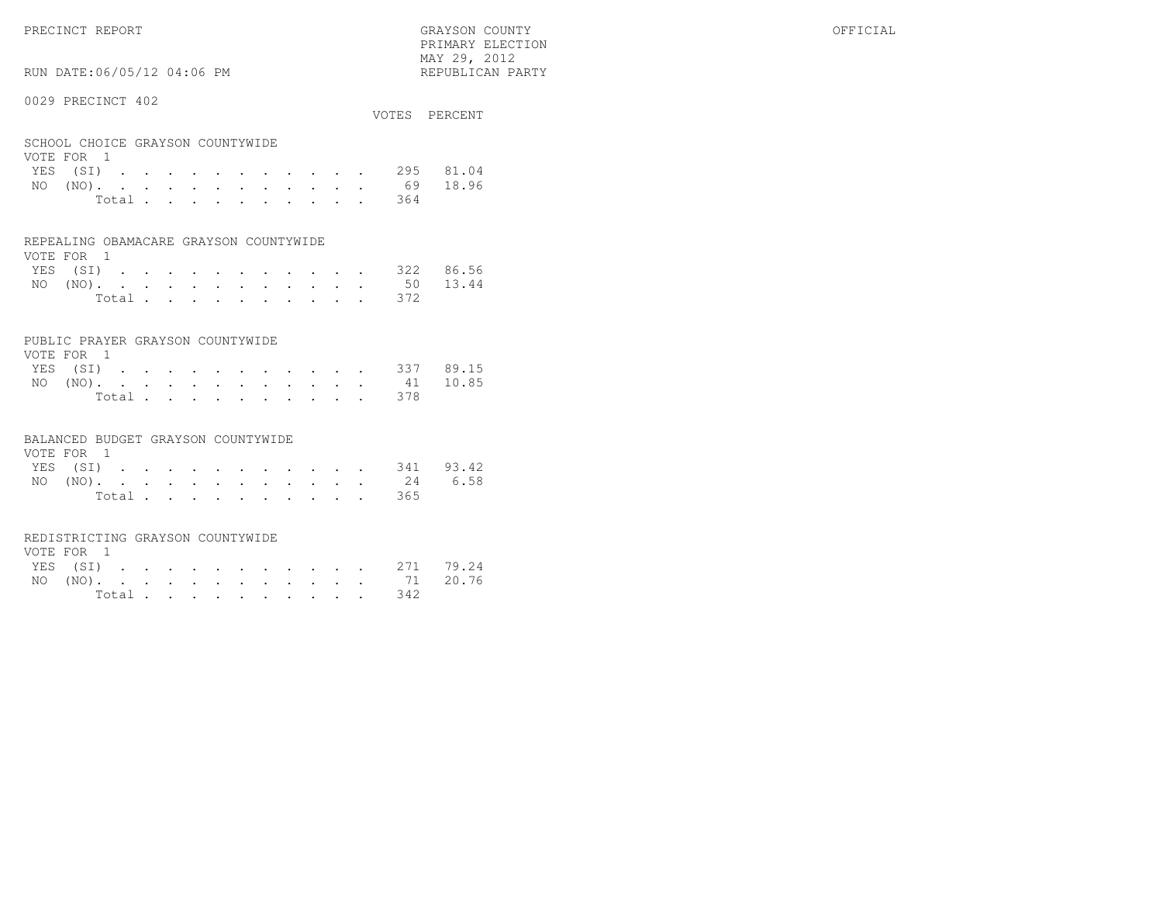PRECINCT REPORT GRAYSON COUNTY OFFICIAL PRIMARY ELECTION $\text{MAX } 29, \quad 2012$ 

## RUN DATE:06/05/12 04:06 PM

#### 0029 PRECINCT 402

|                                                |  |  |  |  |  |  | VOTES PERCENT      |
|------------------------------------------------|--|--|--|--|--|--|--------------------|
| SCHOOL CHOICE GRAYSON COUNTYWIDE<br>VOTE FOR 1 |  |  |  |  |  |  |                    |
|                                                |  |  |  |  |  |  | YES (SI) 295 81.04 |
| NO $(NO)$                                      |  |  |  |  |  |  | 69 18.96           |

| Total |  |  |  |  |  | 364 |  |
|-------|--|--|--|--|--|-----|--|

#### REPEALING OBAMACARE GRAYSON COUNTYWIDE

| VOTE FOR 1 |  |  |  |  |  |                    |  |
|------------|--|--|--|--|--|--------------------|--|
|            |  |  |  |  |  | YES (SI) 322 86.56 |  |
|            |  |  |  |  |  | NO (NO). 50 13.44  |  |
|            |  |  |  |  |  | Total 372          |  |

#### PUBLIC PRAYER GRAYSON COUNTYWIDE

| VOTE FOR 1         |  |  |  |  |  |           |  |
|--------------------|--|--|--|--|--|-----------|--|
| YES (SI) 337 89.15 |  |  |  |  |  |           |  |
| NO (NO). 41 10.85  |  |  |  |  |  |           |  |
|                    |  |  |  |  |  | Total 378 |  |

#### BALANCED BUDGET GRAYSON COUNTYWIDE

| VOTE FOR 1 |  |  |  |  |  |  |                    |  |
|------------|--|--|--|--|--|--|--------------------|--|
|            |  |  |  |  |  |  | YES (SI) 341 93.42 |  |
|            |  |  |  |  |  |  | NO (NO). 24 6.58   |  |
|            |  |  |  |  |  |  | Total 365          |  |

#### REDISTRICTING GRAYSON COUNTYWIDE

| VOTE FOR 1 |  |  |  |  |  |  |                    |  |
|------------|--|--|--|--|--|--|--------------------|--|
|            |  |  |  |  |  |  | YES (SI) 271 79.24 |  |
|            |  |  |  |  |  |  | NO (NO). 71 20.76  |  |
|            |  |  |  |  |  |  | Total 342          |  |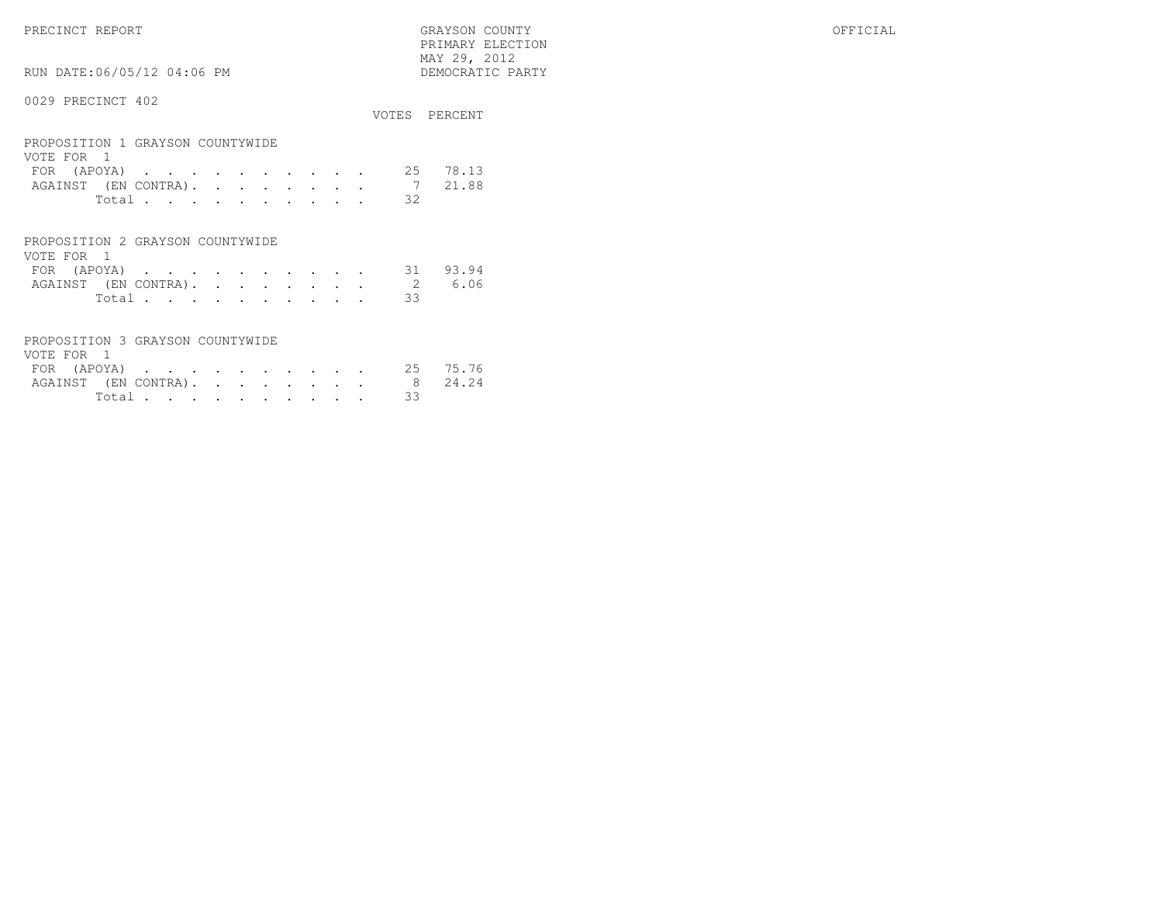PRECINCT REPORT GRAYSON COUNTY OFFICIAL PRIMARY ELECTION $\begin{array}{lll} \text{MAX} & 29, & 2012 \\ \text{NAY} & 29, & 2012 \end{array}$ 

RUN DATE:06/05/12 04:06 PM

|                                                                                                                                                                                                                             |          | VOTES PERCENT  |
|-----------------------------------------------------------------------------------------------------------------------------------------------------------------------------------------------------------------------------|----------|----------------|
| PROPOSITION 1 GRAYSON COUNTYWIDE<br>VOTE FOR 1<br>(APOYA)<br><b>FOR</b><br>the contract of the contract of the contract of the contract of the contract of the contract of the contract of<br>AGAINST (EN CONTRA).<br>Total | 25<br>32 | 78.13<br>21.88 |
|                                                                                                                                                                                                                             |          |                |
| PROPOSITION 2 GRAYSON COUNTYWIDE                                                                                                                                                                                            |          |                |

| VOTE FOR 1 |        |  |  |  |  |  |                             |  |
|------------|--------|--|--|--|--|--|-----------------------------|--|
|            |        |  |  |  |  |  | FOR (APOYA) 31 93.94        |  |
|            |        |  |  |  |  |  | AGAINST (EN CONTRA). 2 6.06 |  |
|            | Total. |  |  |  |  |  |                             |  |

| PROPOSITION 3 GRAYSON COUNTYWIDE |          |  |  |  |  |
|----------------------------------|----------|--|--|--|--|
| VOTE FOR 1                       |          |  |  |  |  |
| FOR (APOYA) 25 75.76             |          |  |  |  |  |
| AGAINST (EN CONTRA). 8 24.24     |          |  |  |  |  |
|                                  | Total 33 |  |  |  |  |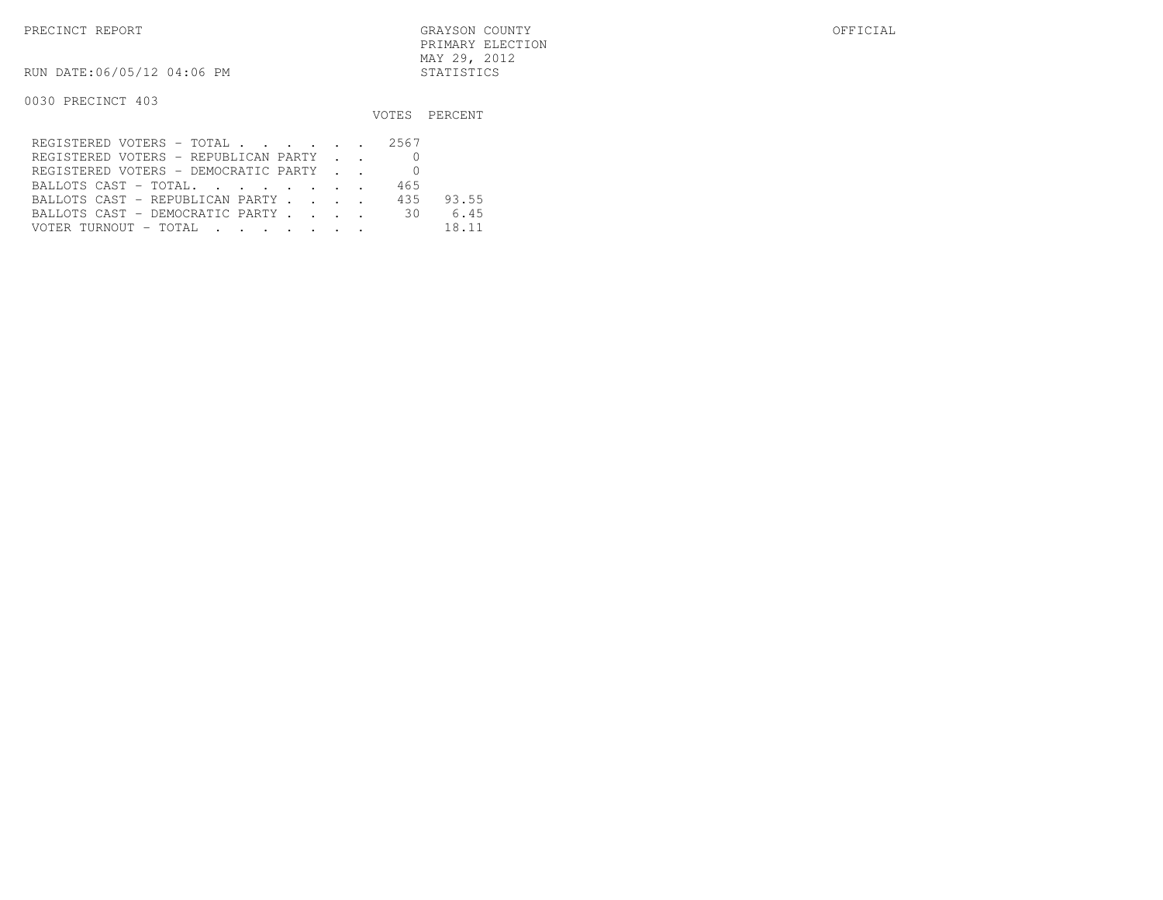RUN DATE:06/05/12 04:06 PM STATISTICS

|                                      |     | VOTES PERCENT |
|--------------------------------------|-----|---------------|
| REGISTERED VOTERS - TOTAL 2567       |     |               |
| REGISTERED VOTERS - REPUBLICAN PARTY |     |               |
| REGISTERED VOTERS - DEMOCRATIC PARTY |     |               |
| BALLOTS CAST - TOTAL.                | 465 |               |
| BALLOTS CAST - REPUBLICAN PARTY      | 435 | 93.55         |
| BALLOTS CAST - DEMOCRATIC PARTY 30   |     | 6.45          |
| VOTER TURNOUT - TOTAL                |     | 18.11         |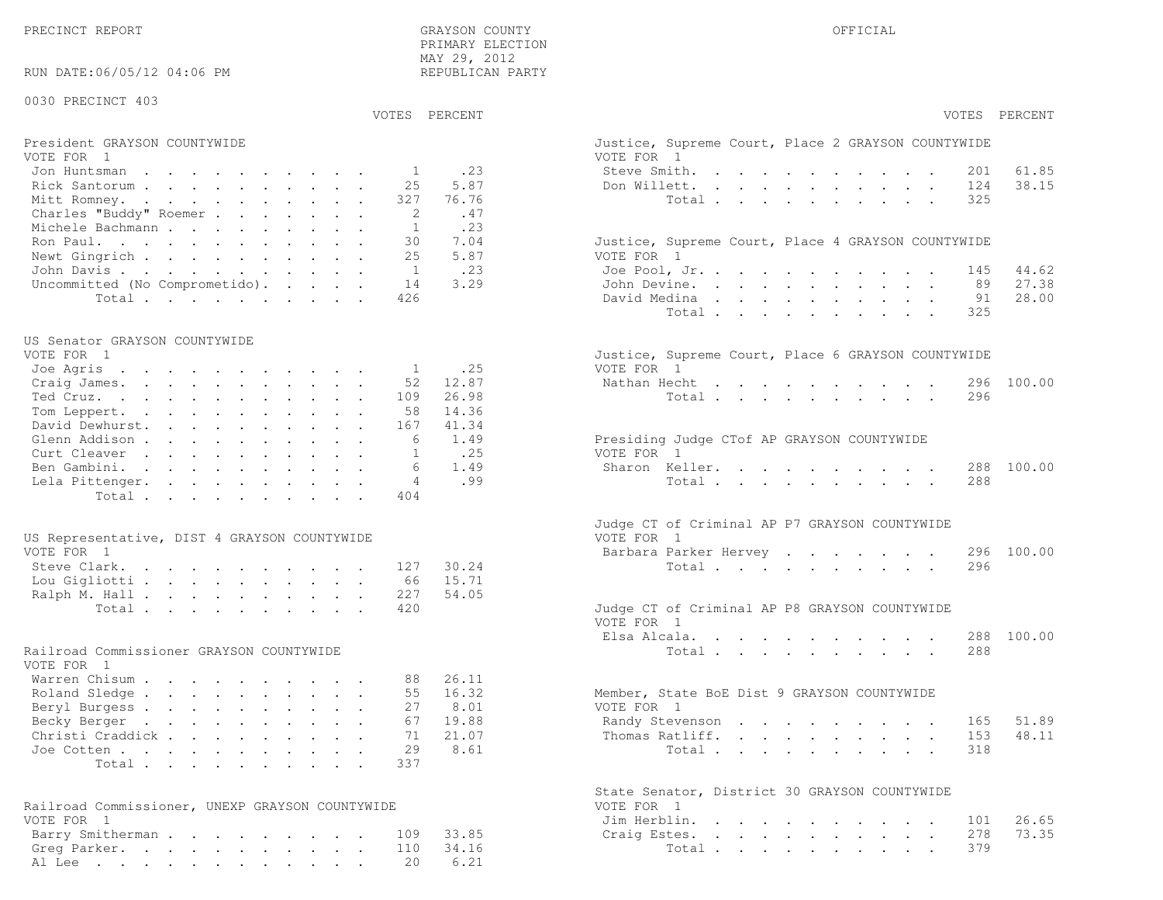PRECINCT REPORT GRAYSON COUNTY OFFICIAL

38.15

27.38

28.00

48.11

73.35

| MAY 29, 2012<br>RUN DATE:06/05/12 04:06 PM<br>REPUBLICAN PARTY                                              |        |
|-------------------------------------------------------------------------------------------------------------|--------|
|                                                                                                             |        |
| 0030 PRECINCT 403                                                                                           |        |
| VOTES PERCENT<br>VOTES PERCENT                                                                              |        |
| President GRAYSON COUNTYWIDE<br>Justice, Supreme Court, Place 2 GRAYSON COUNTYWIDE                          |        |
| VOTE FOR 1<br>VOTE FOR 1                                                                                    |        |
| .23<br>Steve Smith.<br>Jon Huntsman<br>$\mathbf{1}$<br>201                                                  | 61.85  |
| 5.87<br>Rick Santorum<br>25<br>Don Willett.<br>124<br>327<br>76.76<br>Total<br>325<br>Mitt Romney.          | 38.15  |
| Charles "Buddy" Roemer<br>2<br>.47                                                                          |        |
| .23<br>Michele Bachmann<br>1                                                                                |        |
| Ron Paul.<br>30<br>7.04<br>Justice, Supreme Court, Place 4 GRAYSON COUNTYWIDE                               |        |
| 5.87<br>25<br>Newt Gingrich<br>VOTE FOR 1                                                                   |        |
| .23<br>John Davis.<br>1<br>Joe Pool, Jr.<br>145                                                             | 44.62  |
| 3.29<br>Uncommitted (No Comprometido).<br>14<br>John Devine.<br>89                                          | 27.38  |
| 426<br>David Medina<br>Total<br>91                                                                          | 28.00  |
| Total<br>325                                                                                                |        |
| US Senator GRAYSON COUNTYWIDE                                                                               |        |
| VOTE FOR 1<br>Justice, Supreme Court, Place 6 GRAYSON COUNTYWIDE                                            |        |
| VOTE FOR 1<br>.25<br>Joe Agris<br>$\mathbf{1}$                                                              |        |
| 52<br>12.87<br>Nathan Hecht<br>Craig James.<br>296                                                          | 100.00 |
| 26.98<br>Ted Cruz.<br>109<br>296<br>Total                                                                   |        |
| 14.36<br>Tom Leppert.<br>58<br>David Dewhurst.<br>41.34                                                     |        |
| 167<br>1.49<br>Glenn Addison<br>6<br>Presiding Judge CTof AP GRAYSON COUNTYWIDE                             |        |
| .25<br>VOTE FOR 1<br>Curt Cleaver<br>$\mathbf{1}$                                                           |        |
| 1.49<br>Sharon Keller.<br>Ben Gambini.<br>6<br>288                                                          | 100.00 |
| .99<br>4<br>288<br>Lela Pittenger.<br>Total                                                                 |        |
| 404<br>Total                                                                                                |        |
|                                                                                                             |        |
| Judge CT of Criminal AP P7 GRAYSON COUNTYWIDE<br>VOTE FOR 1<br>US Representative, DIST 4 GRAYSON COUNTYWIDE |        |
| VOTE FOR 1<br>Barbara Parker Hervey<br>296                                                                  | 100.00 |
| Steve Clark.<br>127<br>30.24<br>Total<br>296                                                                |        |
| 15.71<br>Lou Gigliotti<br>66                                                                                |        |
| 227<br>54.05<br>Ralph M. Hall                                                                               |        |
| 420<br>Total<br>Judge CT of Criminal AP P8 GRAYSON COUNTYWIDE<br>VOTE FOR 1                                 |        |
| Elsa Alcala.<br>288                                                                                         | 100.00 |
| Railroad Commissioner GRAYSON COUNTYWIDE<br>288<br>Total                                                    |        |
| VOTE FOR 1                                                                                                  |        |
| Warren Chisum<br>26.11<br>88                                                                                |        |
| 16.32<br>Roland Sledge<br>55<br>Member, State BoE Dist 9 GRAYSON COUNTYWIDE                                 |        |
| 8.01<br>VOTE FOR 1<br>Beryl Burgess<br>27                                                                   |        |
| 19.88<br>67<br>Randy Stevenson<br>Becky Berger<br>165                                                       | 51.89  |
| 153<br>Christi Craddick<br>71<br>21.07<br>Thomas Ratliff.<br>29<br>8.61<br>Joe Cotten<br>Total<br>318       | 48.11  |
| 337<br>Total                                                                                                |        |
|                                                                                                             |        |
| State Senator, District 30 GRAYSON COUNTYWIDE                                                               |        |
| Railroad Commissioner, UNEXP GRAYSON COUNTYWIDE<br>VOTE FOR 1                                               |        |
| VOTE FOR 1<br>Jim Herblin.<br>101                                                                           | 26.65  |
| 33.85<br>Barry Smitherman<br>109<br>278<br>Craig Estes.<br>34.16<br>379<br>Greg Parker.<br>110<br>Total     | 73.35  |
| 6.21<br>Al Lee<br>20                                                                                        |        |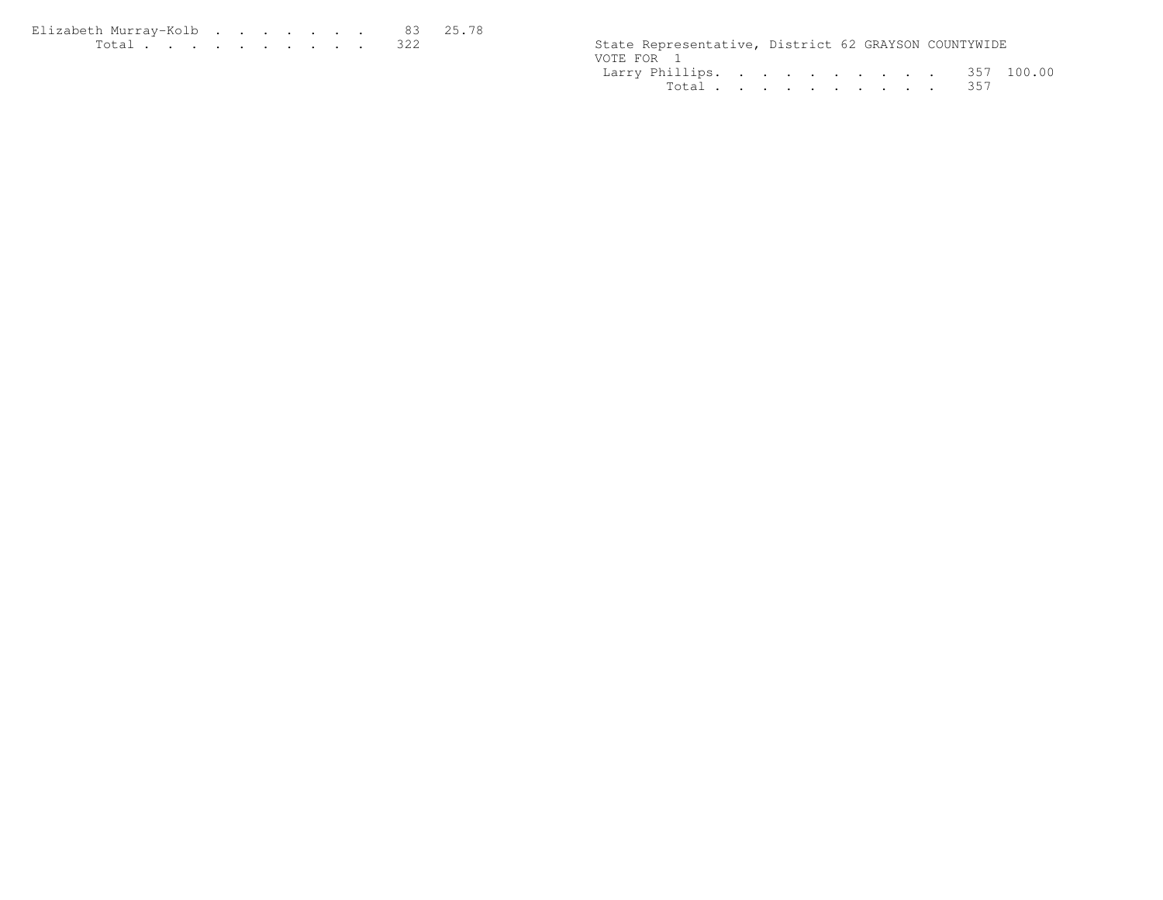| Elizabeth Murrav-Kolb 83 25.78 |  |  |  |  |                                                      |
|--------------------------------|--|--|--|--|------------------------------------------------------|
|                                |  |  |  |  | State Representative, District 62 GRAYSON COUNTYWIDE |

|            | State Representative, District 62 GRAYSON COUNTYWIDE |  |  |  |  |  |
|------------|------------------------------------------------------|--|--|--|--|--|
| VOTE FOR 1 |                                                      |  |  |  |  |  |
|            | Larry Phillips. 357 100.00                           |  |  |  |  |  |
|            | Total 357                                            |  |  |  |  |  |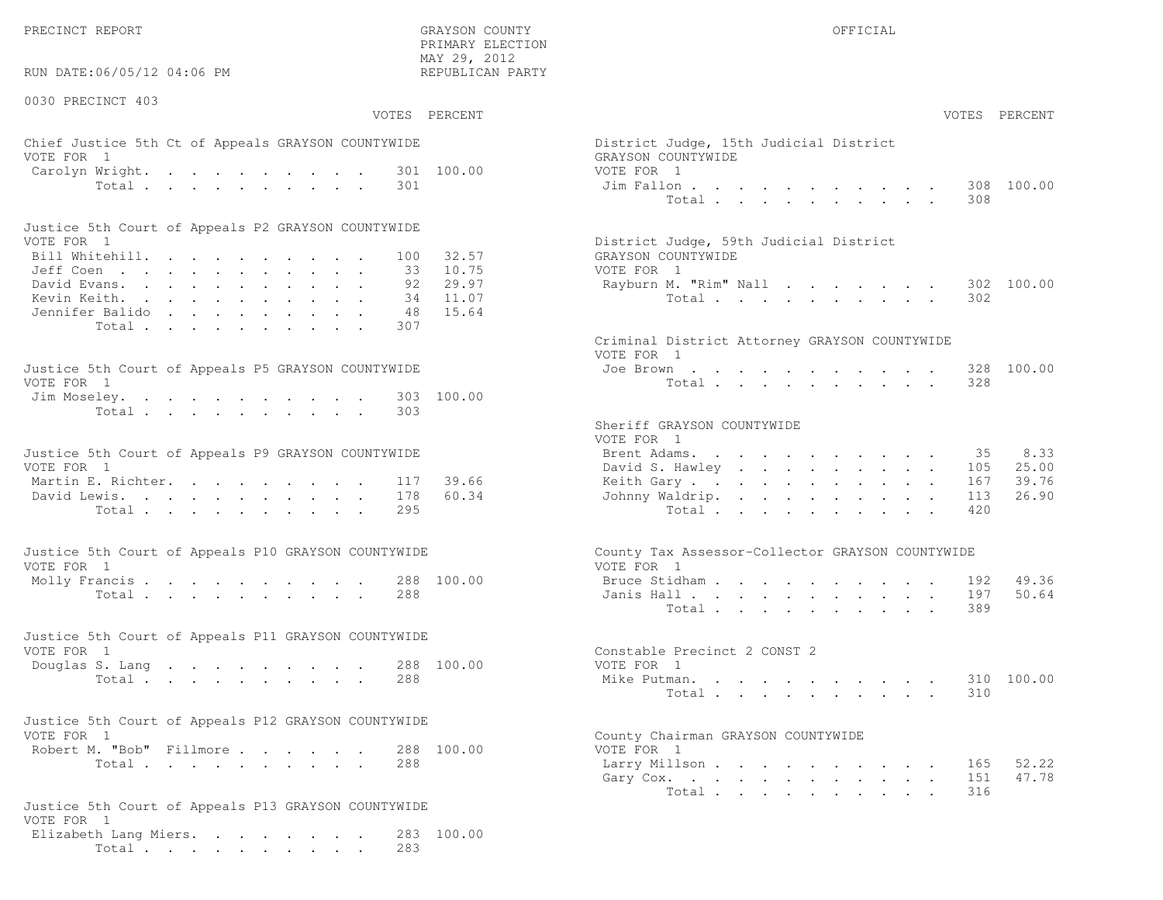RUN DATE:06/05/12 04:06 PM

0030 PRECINCT 403

VOTES PERCENT VOTES PERCENT

 PRIMARY ELECTION MAY 29, 2012REPUBLICAN PARTY

### Chief Justice 5th Ct of Appeals GRAYSON COUNTYWIDE District District District District Only 15th Judge VOTE FOR 1 GRAYSON COUNTY OF REAL EXPLORER COUNTY OF REAL EXPLORER COUNTY OF REAL EXPLORER COUNTY OF REAL EXPLORER COUNTY OF REAL EXPLORER COUNTY OF REAL EXPLORER COUNTY OF REAL EXPLORER COUNTY OF REAL EXPLORER COUNTY OF R Carolyn Wright. . . . . . . . . 301 100.00 VOTE Total . . . . . . . . . 301 Jim

| Justice 5th Court of Appeals P2 GRAYSON COUNTYWIDE |  |  |  |  |  |                                        |
|----------------------------------------------------|--|--|--|--|--|----------------------------------------|
| VOTE FOR 1                                         |  |  |  |  |  | District Judge, 59th Judicial District |
| Bill Whitehill. 100 32.57                          |  |  |  |  |  | GRAYSON COUNTYWIDE                     |
| Jeff Coen 33 10.75                                 |  |  |  |  |  | VOTE FOR 1                             |
| David Evans. 92 29.97                              |  |  |  |  |  | Rayburn M. "Rim" Nall 302 100.00       |
| Kevin Keith. 34 11.07                              |  |  |  |  |  | Total 302                              |
| Jennifer Balido 48 15.64                           |  |  |  |  |  |                                        |
| Total 307                                          |  |  |  |  |  |                                        |

| Justice 5th Court of Appeals P5 GRAYSON COUNTYWIDE | Joe Brown 328 100.00 |
|----------------------------------------------------|----------------------|
| VOTE FOR 1                                         | Total 328            |
| Jim Moseley. 303 100.00                            |                      |
| Total 303                                          |                      |

| Justice 5th Court of Appeals P9 GRAYSON COUNTYWIDE |  |  |  |  |  | Brent Adams. 35 8.33      |  |  |  |  |  |  |
|----------------------------------------------------|--|--|--|--|--|---------------------------|--|--|--|--|--|--|
| VOTE FOR 1                                         |  |  |  |  |  | David S. Hawley 105 25.00 |  |  |  |  |  |  |
| Martin E. Richter. 117 39.66                       |  |  |  |  |  | Keith Gary 167 39.76      |  |  |  |  |  |  |
| David Lewis. 178 60.34                             |  |  |  |  |  | Johnny Waldrip. 113 26.90 |  |  |  |  |  |  |
| Total 295                                          |  |  |  |  |  | Total 420                 |  |  |  |  |  |  |

| Justice 5th Court of Appeals P10 GRAYSON COUNTYWIDE | County Tax Assessor-Collector GRAYSON COUNTYWIDE |
|-----------------------------------------------------|--------------------------------------------------|
| VOTE FOR 1                                          | VOTE FOR 1                                       |
| Molly Francis 288 100.00                            | Bruce Stidham 192 49.36                          |
| Total 288                                           | Janis Hall 197 50.64                             |

| Justice 5th Court of Appeals P11 GRAYSON COUNTYWIDE |  |  |  |  |  |           |  |  |                              |  |  |  |  |  |  |                         |
|-----------------------------------------------------|--|--|--|--|--|-----------|--|--|------------------------------|--|--|--|--|--|--|-------------------------|
| VOTE FOR 1                                          |  |  |  |  |  |           |  |  | Constable Precinct 2 CONST 2 |  |  |  |  |  |  |                         |
| Douglas S. Lang 288 100.00                          |  |  |  |  |  |           |  |  | VOTE FOR 1                   |  |  |  |  |  |  |                         |
|                                                     |  |  |  |  |  | Total 288 |  |  |                              |  |  |  |  |  |  | Mike Putman. 310 100.00 |

| Justice 5th Court of Appeals P12 GRAYSON COUNTYWIDE |           |  |  |                                    |  |
|-----------------------------------------------------|-----------|--|--|------------------------------------|--|
| VOTE FOR 1                                          |           |  |  | County Chairman GRAYSON COUNTYWIDE |  |
| Robert M. "Bob" Fillmore 288 100.00                 |           |  |  | VOTE FOR 1                         |  |
|                                                     | Total 288 |  |  | Larry Millson                      |  |

```
Justice 5th Court of Appeals P13 GRAYSON COUNTYWIDEVOTE FOR 1
Elizabeth Lang Miers. . . . . . . . 283 100.00Total . . . . . . . . . . 283
```

| AY 29, 2012<br>EPUBLICAN PARTY            |                                                                                                                                                                                                                                                                                                                                                                                                                                                                                                                    |                                                                |
|-------------------------------------------|--------------------------------------------------------------------------------------------------------------------------------------------------------------------------------------------------------------------------------------------------------------------------------------------------------------------------------------------------------------------------------------------------------------------------------------------------------------------------------------------------------------------|----------------------------------------------------------------|
| PERCENT                                   |                                                                                                                                                                                                                                                                                                                                                                                                                                                                                                                    | VOTES PERCENT                                                  |
| 100.00                                    | District Judge, 15th Judicial District<br>GRAYSON COUNTYWIDE<br>VOTE FOR 1<br>Jim Fallon<br>and a strong control of the state of the state of the state of the state of the state of the state of the state of the state of the state of the state of the state of the state of the state of the state of the state of the<br>Total                                                                                                                                                                                | 100.00<br>308<br>308                                           |
| 32.57<br>10.75<br>29.97<br>11.07<br>15.64 | District Judge, 59th Judicial District<br>GRAYSON COUNTYWIDE<br>VOTE FOR 1<br>Rayburn M. "Rim" Nall<br>Total                                                                                                                                                                                                                                                                                                                                                                                                       | 302<br>100.00<br>302                                           |
| 100.00                                    | Criminal District Attorney GRAYSON COUNTYWIDE<br>VOTE FOR 1<br>Joe Brown.<br>$\mathbf{r} = \mathbf{r} + \mathbf{r} + \mathbf{r} + \mathbf{r} + \mathbf{r} + \mathbf{r} + \mathbf{r} + \mathbf{r} + \mathbf{r} + \mathbf{r} + \mathbf{r} + \mathbf{r} + \mathbf{r} + \mathbf{r} + \mathbf{r} + \mathbf{r} + \mathbf{r} + \mathbf{r} + \mathbf{r} + \mathbf{r} + \mathbf{r} + \mathbf{r} + \mathbf{r} + \mathbf{r} + \mathbf{r} + \mathbf{r} + \mathbf{r} + \mathbf{r} + \mathbf{r} + \mathbf{r} + \mathbf$<br>Total | 328 100.00<br>328                                              |
| 39.66<br>60.34                            | Sheriff GRAYSON COUNTYWIDE<br>VOTE FOR 1<br>Brent Adams.<br>the contract of the contract of the contract of<br>David S. Hawley<br>Keith Gary<br>$\mathcal{L}^{\text{max}}$ , and $\mathcal{L}^{\text{max}}$<br>$\mathbf{r}$<br>$\ddot{\phantom{a}}$<br>Johnny Waldrip.<br>$\ddot{\phantom{a}}$<br>Total $\cdots$<br>$\cdot$ $\cdot$ $\cdot$                                                                                                                                                                        | 35 8.33<br>25.00<br>105<br>39.76<br>167<br>26.90<br>113<br>420 |
| 100.00                                    | County Tax Assessor-Collector GRAYSON COUNTYWIDE<br>VOTE FOR 1<br>Bruce Stidham<br>Janis Hall<br>$\mathbf{r} = \mathbf{r} - \mathbf{r} = \mathbf{r} - \mathbf{r} = \mathbf{r} - \mathbf{r} = \mathbf{r} - \mathbf{r} = \mathbf{r}$<br>Total<br>$\mathbf{A}^{\text{max}}$ , and $\mathbf{A}^{\text{max}}$<br>and the contract of the contract of<br>$\sim$                                                                                                                                                          | 49.36<br>192<br>50.64<br>197<br>389                            |
| 100.00                                    | Constable Precinct 2 CONST 2<br>VOTE FOR 1<br>Mike Putman<br>and a strong control of the state of the state of the state of the state of the state of the state of the state of the state of the state of the state of the state of the state of the state of the state of the state of the<br>Total $\ldots$                                                                                                                                                                                                      | 310 100.00<br>310                                              |
| 100.00                                    | County Chairman GRAYSON COUNTYWIDE<br>VOTE FOR 1<br>Larry Millson<br>Gary Cox.<br>the contract of the contract of the contract of the contract of the contract of the contract of the contract of<br>$\sim$<br>Total                                                                                                                                                                                                                                                                                               | 52.22<br>165<br>151<br>47.78<br>316                            |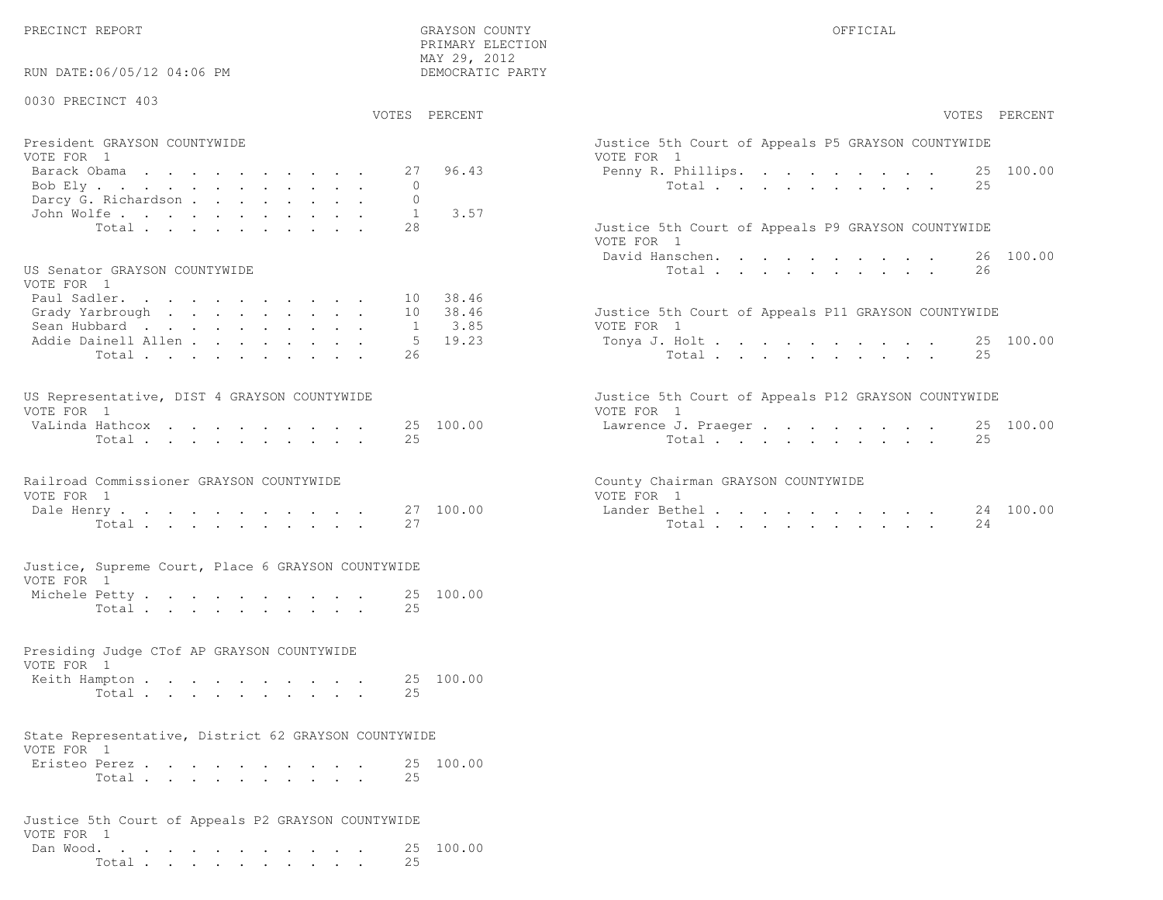PRECINCT REPORT GRAYSON COUNTY OFFICIAL

| RUN DATE:06/05/12 04:06 PM                                         | PRIMARY ELECTION<br>MAY 29, 2012<br>DEMOCRATIC PARTY |                                                                   |
|--------------------------------------------------------------------|------------------------------------------------------|-------------------------------------------------------------------|
| 0030 PRECINCT 403                                                  | VOTES PERCENT                                        | VOTES PERCENT                                                     |
|                                                                    |                                                      |                                                                   |
| President GRAYSON COUNTYWIDE<br>VOTE FOR 1                         |                                                      | Justice 5th Court of Appeals P5 GRAYSON COUNTYWIDE<br>VOTE FOR 1  |
| Barack Obama                                                       | 96.43<br>27                                          | 25 100.00<br>Penny R. Phillips.                                   |
| Bob Ely                                                            | $\Omega$                                             | Total<br>25                                                       |
| Darcy G. Richardson                                                | $\circ$                                              |                                                                   |
| John Wolfe.                                                        | 3.57<br>1<br>2.8                                     |                                                                   |
| Total                                                              |                                                      | Justice 5th Court of Appeals P9 GRAYSON COUNTYWIDE<br>VOTE FOR 1  |
|                                                                    |                                                      | 26 100.00<br>David Hanschen.                                      |
| US Senator GRAYSON COUNTYWIDE                                      |                                                      | Total<br>26                                                       |
| VOTE FOR 1                                                         |                                                      |                                                                   |
| Paul Sadler.                                                       | 10 38.46                                             |                                                                   |
| Grady Yarbrough                                                    | 10 38.46                                             | Justice 5th Court of Appeals P11 GRAYSON COUNTYWIDE<br>VOTE FOR 1 |
| Sean Hubbard<br>Addie Dainell Allen                                | 3.85<br>1<br>$5 \t 19.23$                            | 25 100.00<br>Tonya J. Holt                                        |
| Total                                                              | 26                                                   | 25<br>Total                                                       |
|                                                                    |                                                      |                                                                   |
| US Representative, DIST 4 GRAYSON COUNTYWIDE                       |                                                      | Justice 5th Court of Appeals P12 GRAYSON COUNTYWIDE               |
| VOTE FOR 1                                                         |                                                      | VOTE FOR 1                                                        |
| VaLinda Hathcox                                                    | 25 100.00                                            | 25 100.00<br>Lawrence J. Praeger                                  |
| Total                                                              | 25                                                   | Total<br>25                                                       |
| Railroad Commissioner GRAYSON COUNTYWIDE                           |                                                      | County Chairman GRAYSON COUNTYWIDE                                |
| VOTE FOR 1                                                         |                                                      | VOTE FOR 1                                                        |
| Dale Henry.                                                        | 27 100.00                                            | Lander Bethel.<br>24 100.00                                       |
| Total                                                              | 27                                                   | Total<br>24                                                       |
| Justice, Supreme Court, Place 6 GRAYSON COUNTYWIDE                 |                                                      |                                                                   |
| VOTE FOR 1                                                         |                                                      |                                                                   |
| Michele Petty                                                      | 25 100.00                                            |                                                                   |
| Total                                                              | 2.5                                                  |                                                                   |
| Presiding Judge CTof AP GRAYSON COUNTYWIDE                         |                                                      |                                                                   |
| VOTE FOR 1                                                         |                                                      |                                                                   |
| Keith Hampton                                                      | 25 100.00                                            |                                                                   |
| Total                                                              | 25                                                   |                                                                   |
| State Representative, District 62 GRAYSON COUNTYWIDE<br>VOTE FOR 1 |                                                      |                                                                   |
| Eristeo Perez                                                      | 25 100.00                                            |                                                                   |
| Total                                                              | 25                                                   |                                                                   |
| Justice 5th Court of Appeals P2 GRAYSON COUNTYWIDE<br>VOTE FOR 1   |                                                      |                                                                   |

 Dan Wood. . . . . . . . . . . . 25 100.00Total . . . . . . . . . . 25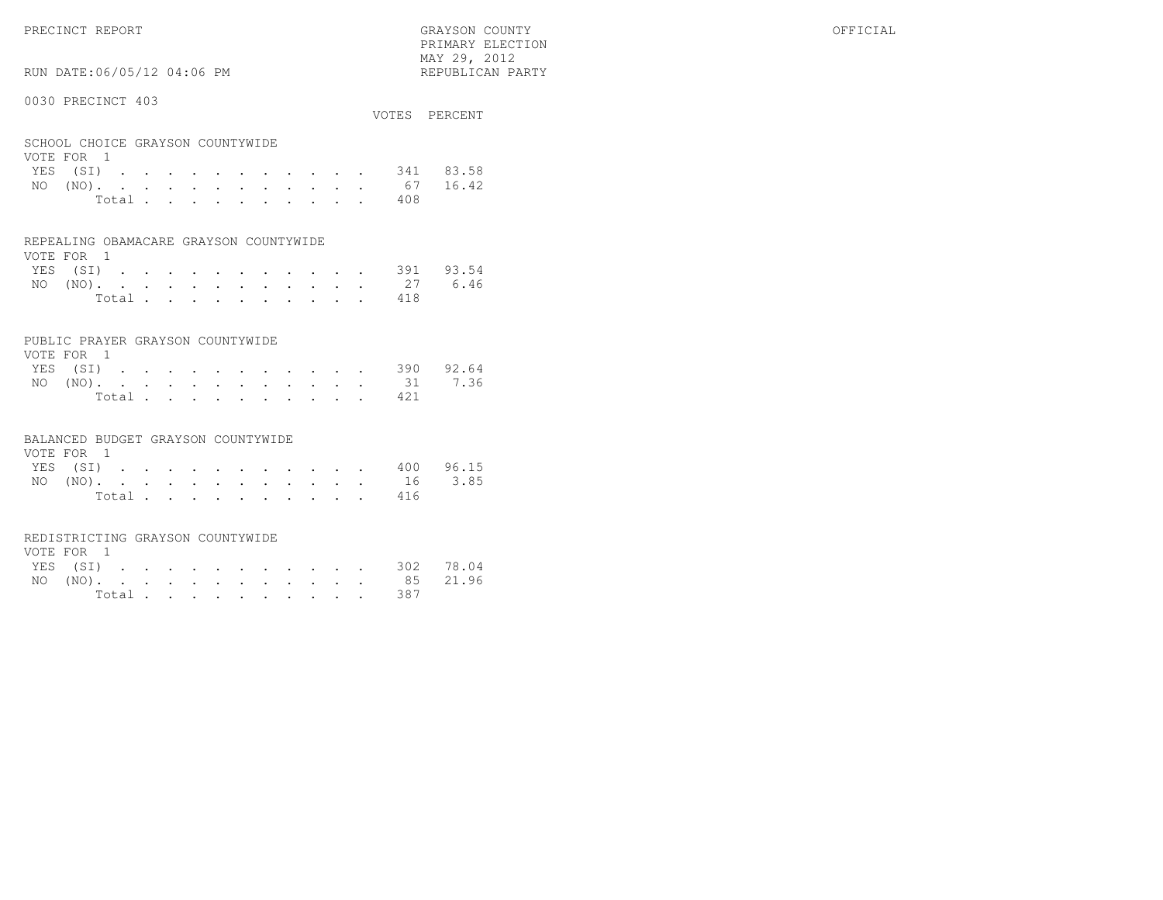PRECINCT REPORT GRAYSON COUNTY OFFICIAL

RUN DATE:06/05/12 04:06 PM

#### 0030 PRECINCT 403

|                                  |       |  |  |  |  |  |     | VOTES PERCENT      |
|----------------------------------|-------|--|--|--|--|--|-----|--------------------|
| SCHOOL CHOICE GRAYSON COUNTYWIDE |       |  |  |  |  |  |     |                    |
| VOTE FOR 1                       |       |  |  |  |  |  |     |                    |
|                                  |       |  |  |  |  |  |     | YES (SI) 341 83.58 |
|                                  |       |  |  |  |  |  |     | NO (NO). 67 16.42  |
|                                  | Total |  |  |  |  |  | 408 |                    |

 PRIMARY ELECTION MAY 29, 2012REPUBLICAN PARTY

#### REPEALING OBAMACARE GRAYSON COUNTYWIDE

| VOTE FOR 1 |  |  |  |  |  |                    |  |
|------------|--|--|--|--|--|--------------------|--|
|            |  |  |  |  |  | YES (SI) 391 93.54 |  |
|            |  |  |  |  |  | NO (NO). 27 6.46   |  |
|            |  |  |  |  |  | Total 418          |  |

#### PUBLIC PRAYER GRAYSON COUNTYWIDE

| VOTE FOR 1 |  |  |  |  |  |           |                    |
|------------|--|--|--|--|--|-----------|--------------------|
|            |  |  |  |  |  |           | YES (SI) 390 92.64 |
|            |  |  |  |  |  |           | NO (NO). 31 7.36   |
|            |  |  |  |  |  | Total 421 |                    |

#### BALANCED BUDGET GRAYSON COUNTYWIDE

| VOTE FOR 1 |  |  |  |  |  |  |                    |  |
|------------|--|--|--|--|--|--|--------------------|--|
|            |  |  |  |  |  |  | YES (SI) 400 96.15 |  |
|            |  |  |  |  |  |  | NO (NO). 16 3.85   |  |
|            |  |  |  |  |  |  | Total 416          |  |

#### REDISTRICTING GRAYSON COUNTYWIDE

| VOTE FOR 1 |  |  |  |  |  |  |                    |  |
|------------|--|--|--|--|--|--|--------------------|--|
|            |  |  |  |  |  |  | YES (SI) 302 78.04 |  |
|            |  |  |  |  |  |  | NO (NO). 85 21.96  |  |
|            |  |  |  |  |  |  | Total 387          |  |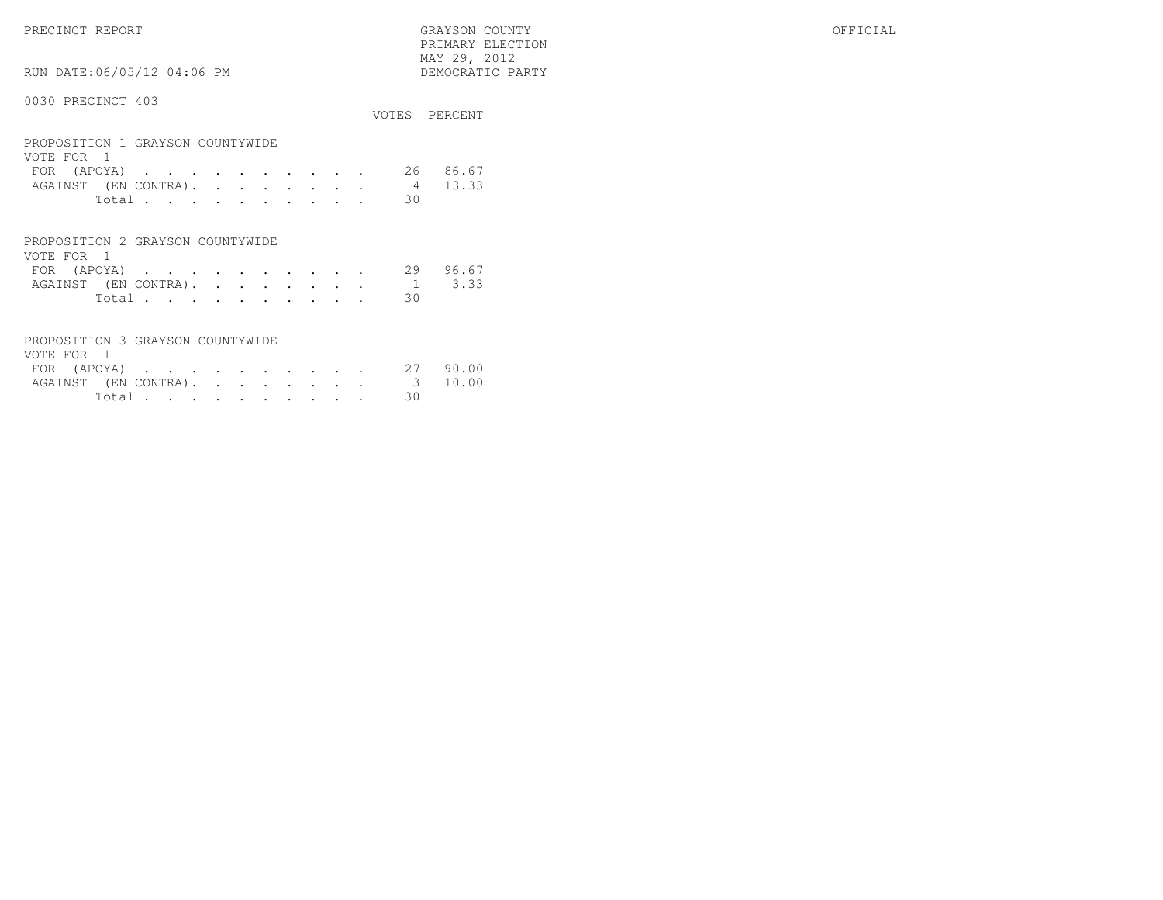PRECINCT REPORT GRAYSON COUNTY OFFICIAL PRIMARY ELECTION $\begin{array}{lll} \text{MAX} & 29, & 2012 \\ \text{NAY} & 29, & 2012 \end{array}$ 

## 0030 PRECINCT 403

RUN DATE:06/05/12 04:06 PM

| VVJV IINDINGI IVJ                                                                                                                           | VOTES.  | PERCENT        |
|---------------------------------------------------------------------------------------------------------------------------------------------|---------|----------------|
| PROPOSITION 1 GRAYSON COUNTYWIDE<br>VOTE FOR 1<br>(APOYA)<br>FOR<br>$\sim$ $\sim$ $\sim$<br>$\sim$ $\sim$<br>AGAINST (EN CONTRA).<br>$\sim$ | 26<br>4 | 86.67<br>13.33 |
| $\ddot{\phantom{0}}$<br>$\bullet$<br>$\bullet$<br>$\bullet$<br>Total                                                                        | 30      |                |
| PROPOSITION 2 GRAYSON COUNTYWIDE<br>VOTE FOR 1                                                                                              |         |                |
| (APOYA)<br>FOR<br>$\sim$<br>$\sim$                                                                                                          | 29      | 96.67          |
| AGAINST (EN CONTRA).<br>$\sim$<br>$\cdot$<br>$\bullet$<br>$\bullet$<br>Total.                                                               | 1<br>30 | 3.33           |

| PROPOSITION 3 GRAYSON COUNTYWIDE |  |  |  |  |  |          |  |
|----------------------------------|--|--|--|--|--|----------|--|
| VOTE FOR 1                       |  |  |  |  |  |          |  |
| FOR (APOYA) 27 90.00             |  |  |  |  |  |          |  |
| AGAINST (EN CONTRA). 3 10.00     |  |  |  |  |  |          |  |
|                                  |  |  |  |  |  | Total 30 |  |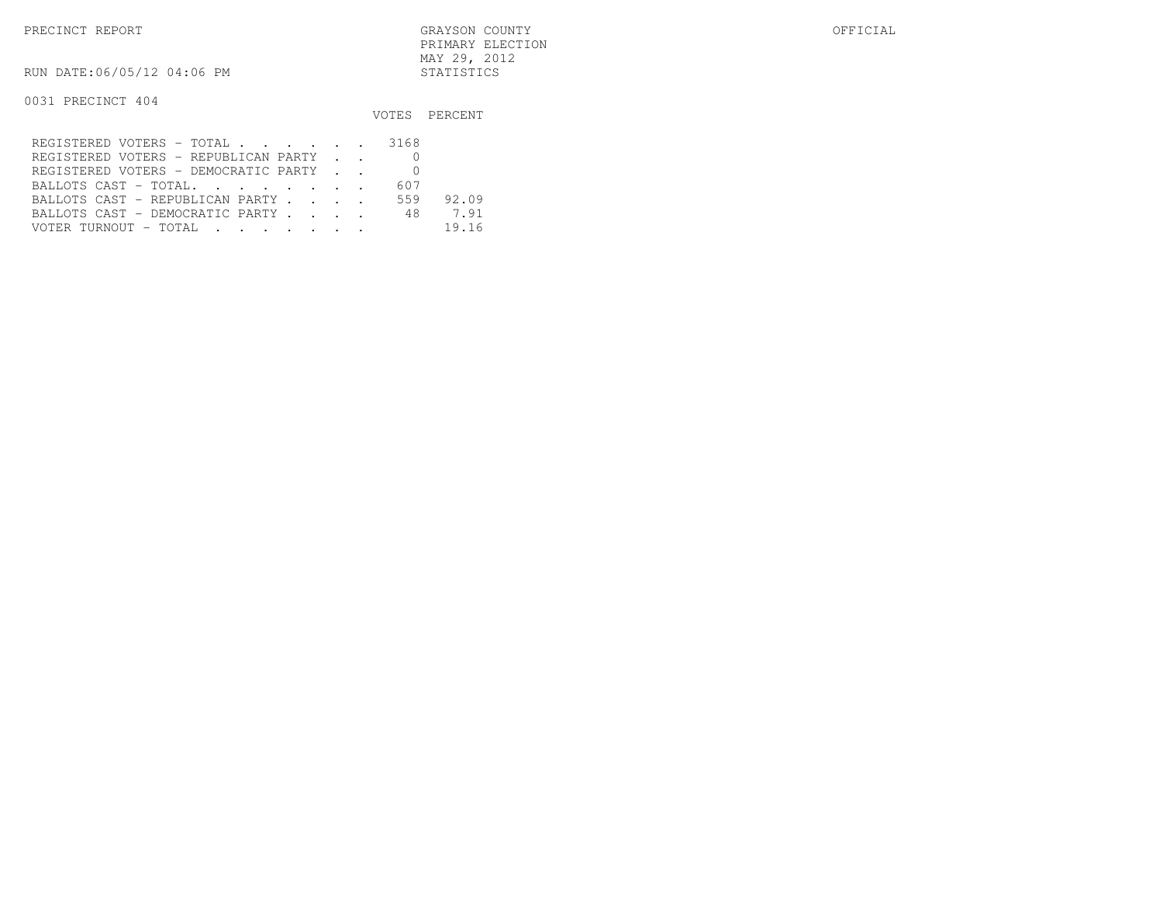RUN DATE:06/05/12 04:06 PM STATISTICS

|                                      |     | VOTES PERCENT |
|--------------------------------------|-----|---------------|
| REGISTERED VOTERS - TOTAL 3168       |     |               |
| REGISTERED VOTERS - REPUBLICAN PARTY |     |               |
| REGISTERED VOTERS - DEMOCRATIC PARTY |     |               |
| BALLOTS CAST - TOTAL.                | 607 |               |
| BALLOTS CAST - REPUBLICAN PARTY      | 559 | 92.09         |
| BALLOTS CAST - DEMOCRATIC PARTY 48   |     | 7.91          |
| VOTER TURNOUT - TOTAL                |     | 19.16         |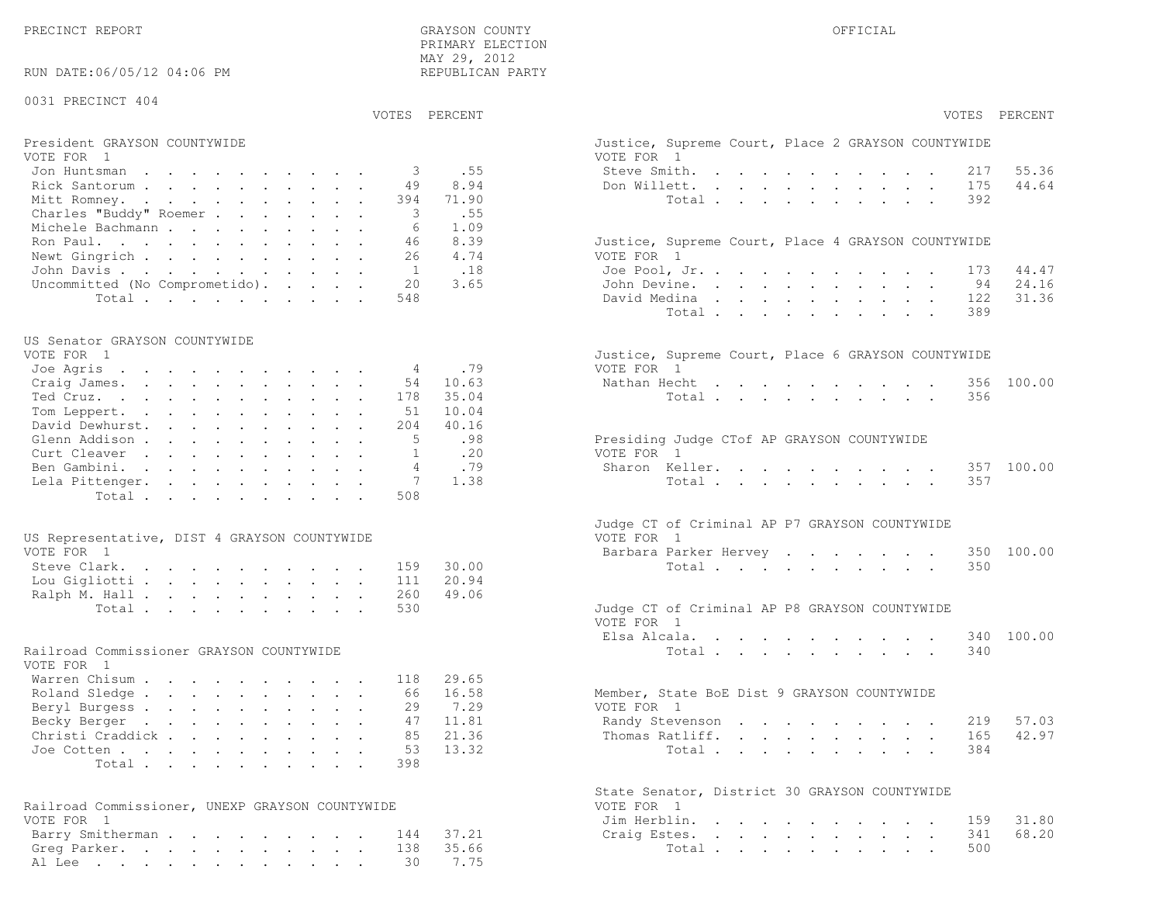| RUN DATE:06/05/12 04:06 PM                      | MAI 29, 2012<br>REPUBLICAN PARTY |                                                    |
|-------------------------------------------------|----------------------------------|----------------------------------------------------|
| 0031 PRECINCT 404                               |                                  |                                                    |
|                                                 | VOTES PERCENT                    | VOTES PERCENT                                      |
| President GRAYSON COUNTYWIDE                    |                                  | Justice, Supreme Court, Place 2 GRAYSON COUNTYWIDE |
| VOTE FOR 1                                      |                                  | VOTE FOR 1                                         |
| Jon Huntsman                                    | .55<br>3                         | Steve Smith.<br>55.36<br>217                       |
| Rick Santorum                                   | 8.94<br>49                       | 44.64<br>Don Willett.<br>175                       |
| Mitt Romney.                                    | 71.90<br>394                     | Total<br>392                                       |
| Charles "Buddy" Roemer                          | .55<br>3                         |                                                    |
| Michele Bachmann                                | 1.09<br>-6                       |                                                    |
| Ron Paul.                                       | 8.39<br>46                       | Justice, Supreme Court, Place 4 GRAYSON COUNTYWIDE |
| Newt Gingrich                                   | 4.74<br>26                       | VOTE FOR 1                                         |
| John Davis.                                     | .18<br>1                         | Joe Pool, Jr.<br>44.47<br>173                      |
| Uncommitted (No Comprometido).                  | 20<br>3.65                       | John Devine.<br>24.16<br>94                        |
| Total                                           | 548                              | 31.36<br>David Medina<br>122                       |
|                                                 |                                  | Total<br>389                                       |
| US Senator GRAYSON COUNTYWIDE                   |                                  |                                                    |
| VOTE FOR 1                                      |                                  | Justice, Supreme Court, Place 6 GRAYSON COUNTYWIDE |
| Joe Agris                                       | .79<br>4                         | VOTE FOR 1                                         |
| Craig James.                                    | 54<br>10.63                      | Nathan Hecht<br>356 100.00                         |
| Ted Cruz.                                       | 35.04<br>178                     | 356<br>Total                                       |
| Tom Leppert.                                    | 10.04<br>51                      |                                                    |
| David Dewhurst.                                 | 40.16<br>204                     |                                                    |
| Glenn Addison                                   | 5<br>.98                         | Presiding Judge CTof AP GRAYSON COUNTYWIDE         |
| Curt Cleaver                                    | .20<br>$\mathbf{1}$              | VOTE FOR 1                                         |
| Ben Gambini.                                    | .79<br>$\overline{4}$            | Sharon Keller.<br>357 100.00                       |
| Lela Pittenger.                                 | 1.38<br>7                        | Total<br>357                                       |
| Total                                           | 508                              |                                                    |
|                                                 |                                  |                                                    |
|                                                 |                                  | Judge CT of Criminal AP P7 GRAYSON COUNTYWIDE      |
| US Representative, DIST 4 GRAYSON COUNTYWIDE    |                                  | VOTE FOR 1                                         |
| VOTE FOR 1                                      |                                  | Barbara Parker Hervey<br>350 100.00                |
| Steve Clark.                                    | 159<br>30.00                     | Total<br>350                                       |
| Lou Gigliotti                                   | 20.94<br>111                     |                                                    |
| Ralph M. Hall                                   | 49.06<br>260                     |                                                    |
| Total                                           | 530                              | Judge CT of Criminal AP P8 GRAYSON COUNTYWIDE      |
|                                                 |                                  | VOTE FOR 1                                         |
|                                                 |                                  | Elsa Alcala.<br>340 100.00                         |
| Railroad Commissioner GRAYSON COUNTYWIDE        |                                  | Total<br>340                                       |
| VOTE FOR 1                                      |                                  |                                                    |
| Warren Chisum                                   | 29.65<br>118                     |                                                    |
| Roland Sledge                                   | 16.58<br>66                      | Member, State BoE Dist 9 GRAYSON COUNTYWIDE        |
| Beryl Burgess                                   | 29<br>7.29                       | VOTE FOR 1                                         |
| Becky Berger                                    | 47 11.81                         | Randy Stevenson 219 57.03                          |
| Christi Craddick                                | 85<br>21.36                      | 42.97<br>Thomas Ratliff.<br>165                    |
| Joe Cotten                                      | 53<br>13.32                      | 384<br>Total                                       |
| Total                                           | 398                              |                                                    |
|                                                 |                                  | State Senator, District 30 GRAYSON COUNTYWIDE      |
| Railroad Commissioner, UNEXP GRAYSON COUNTYWIDE |                                  | VOTE FOR 1                                         |
| VOTE FOR 1                                      |                                  | Jim Herblin.<br>31.80<br>159                       |
| Barry Smitherman 144                            | 37.21                            | 68.20<br>Craig Estes.<br>341                       |
| Greg Parker. 138                                | 35.66                            | Total<br>500                                       |

Al Lee . . . . . . . . . . . . 30 7.75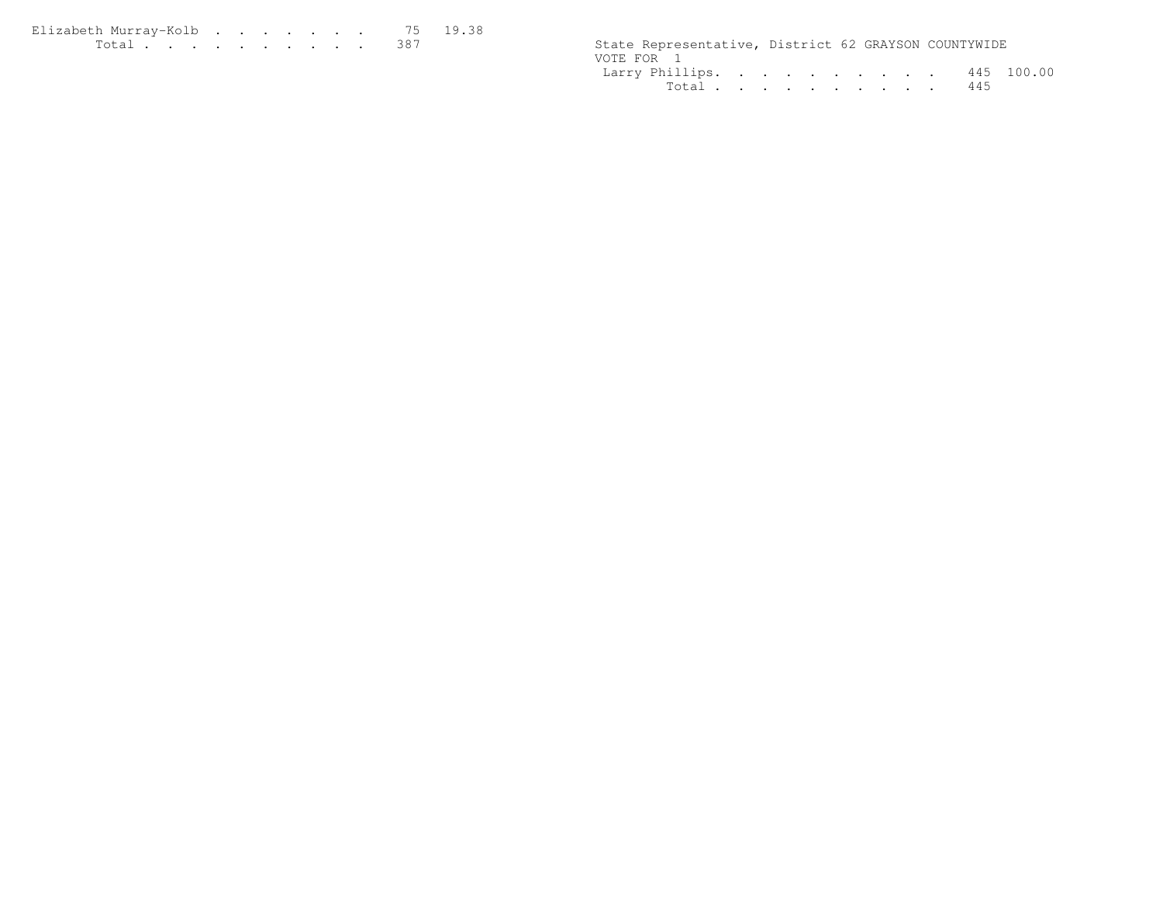| Elizabeth Murrav-Kolb 75 19.38 |  |  |  |  |  |                                                      |  |  |
|--------------------------------|--|--|--|--|--|------------------------------------------------------|--|--|
| <u>. 387</u>                   |  |  |  |  |  | State Representative, District 62 GRAYSON COUNTYWIDE |  |  |

| State Representative, District 62 GRAYSON COUNTYWIDE |  |  |  |  |  |
|------------------------------------------------------|--|--|--|--|--|
| VOTE FOR 1                                           |  |  |  |  |  |
| Larry Phillips. 445 100.00                           |  |  |  |  |  |
| Total 445                                            |  |  |  |  |  |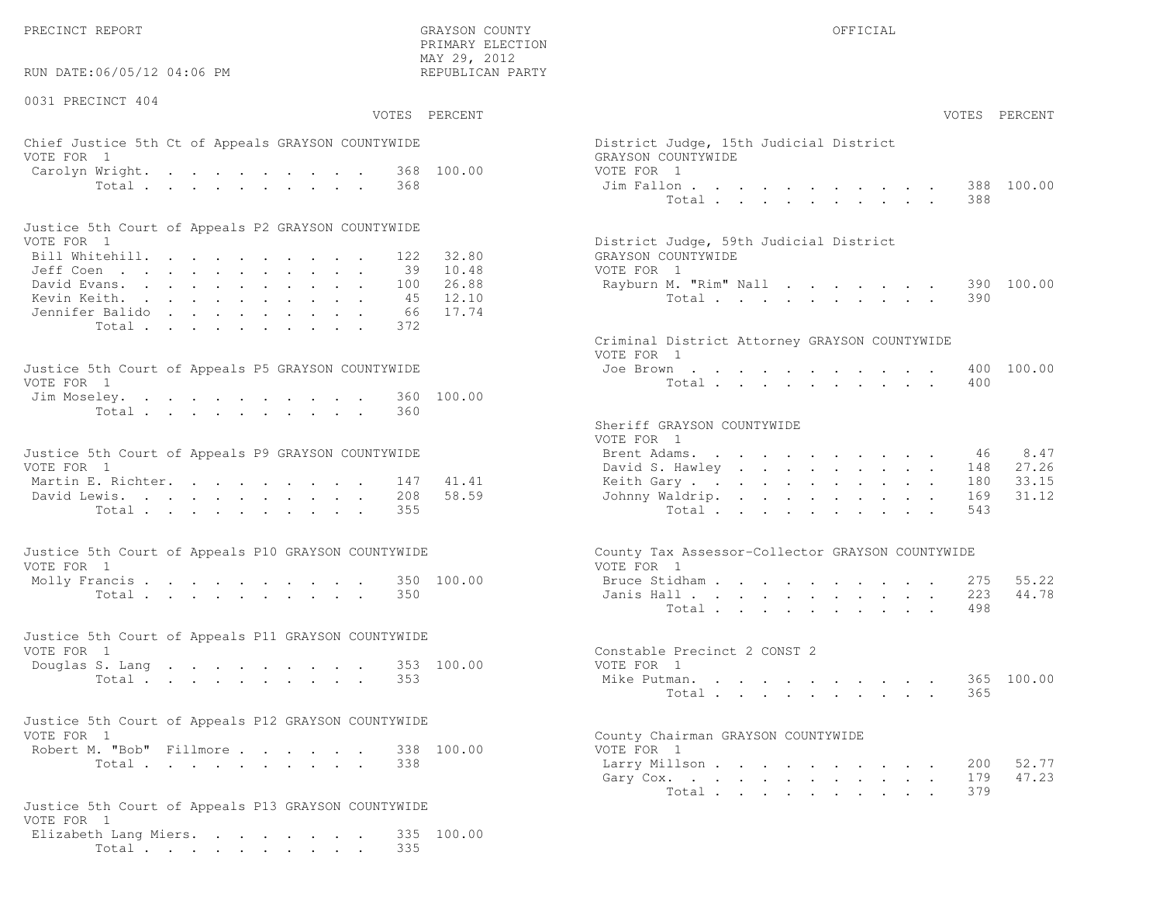RUN DATE:06/05/12 04:06 PM

0031 PRECINCT 404

 PRIMARY ELECTION MAY 29, 2012REPUBLICAN PARTY

## Chief Justice 5th Ct of Appeals GRAYSON COUNTYWIDE District Appeals Only 15th District Judge VOTE FOR 1 GRAYSON COUNTY OF REAL EXPLORER COUNTY OF REAL EXPLORER COUNTY OF REAL EXPLORER COUNTY OF REAL EXPLORER COUNTY OF REAL EXPLORER COUNTY OF REAL EXPLORER COUNTY OF REAL EXPLORER COUNTY OF REAL EXPLORER COUNTY OF R Carolyn Wright. . . . . . . . . 368 100.00 VOT

| Justice 5th Court of Appeals P2 GRAYSON COUNTYWIDE |  |  |  |  |  |                                        |
|----------------------------------------------------|--|--|--|--|--|----------------------------------------|
| VOTE FOR 1                                         |  |  |  |  |  | District Judge, 59th Judicial District |
| Bill Whitehill. 122 32.80                          |  |  |  |  |  | GRAYSON COUNTYWIDE                     |
| Jeff Coen 39 10.48                                 |  |  |  |  |  | VOTE FOR 1                             |
| David Evans. 100 26.88                             |  |  |  |  |  | Rayburn M. "Rim" Nall 390 100.00       |
| Kevin Keith. 45 12.10                              |  |  |  |  |  | Total 390                              |
| Jennifer Balido 66 17.74                           |  |  |  |  |  |                                        |
| Total 372                                          |  |  |  |  |  |                                        |

| Justice 5th Court of Appeals P5 GRAYSON COUNTYWIDE | Joe Brown 400 100.00 |
|----------------------------------------------------|----------------------|
| VOTE FOR 1                                         | Total 400            |
| Jim Moseley. 360 100.00                            |                      |
| Total 360                                          |                      |

| Justice 5th Court of Appeals P9 GRAYSON COUNTYWIDE | Brent Adams. 46 8.47      |  |
|----------------------------------------------------|---------------------------|--|
| VOTE FOR 1                                         | David S. Hawley 148 27.26 |  |
| Martin E. Richter. 147 41.41                       | Keith Gary 180 33.15      |  |
| David Lewis. 208 58.59                             | Johnny Waldrip. 169 31.12 |  |
| Total 355                                          | Total 543                 |  |

| Justice 5th Court of Appeals P10 GRAYSON COUNTYWIDE | County Tax Assessor-Collector GRAYSON COUNTYWIDE |
|-----------------------------------------------------|--------------------------------------------------|
| VOTE FOR 1                                          | VOTE FOR 1                                       |
| Molly Francis 350 100.00                            | Bruce Stidham 275 55.22                          |
| Total 350                                           | Janis Hall 223 44.78                             |

| Justice 5th Court of Appeals P11 GRAYSON COUNTYWIDE |                              |  |
|-----------------------------------------------------|------------------------------|--|
| VOTE FOR 1                                          | Constable Precinct 2 CONST 2 |  |
| Douglas S. Lang 353 100.00                          | VOTE FOR 1                   |  |
| Total 353                                           | Mike Putman. 365 100.00      |  |

| Justice 5th Court of Appeals P12 GRAYSON COUNTYWIDE |  |            |                                                         |
|-----------------------------------------------------|--|------------|---------------------------------------------------------|
| VOTE FOR 1                                          |  |            | County Chairman GRAYSON COUNTYWIDE                      |
| Robert M. "Bob" Fillmore                            |  | 338 100.00 | VOTE FOR 1                                              |
| - -                                                 |  |            | $\sim$ $\sim$ $\sim$ $\sim$ $\sim$ $\sim$ $\sim$ $\sim$ |

```
Justice 5th Court of Appeals P13 GRAYSON COUNTYWIDEVOTE FOR 1
Elizabeth Lang Miers. . . . . . . . 335 100.00Total . . . . . . . . . . 335
```

| :06/05/12 04:06 PM                                                                                                                    | MAY 29, 2012<br>REPUBLICAN PARTY           |                                                                                                                                                                                             |
|---------------------------------------------------------------------------------------------------------------------------------------|--------------------------------------------|---------------------------------------------------------------------------------------------------------------------------------------------------------------------------------------------|
| CINCT 404                                                                                                                             | VOTES PERCENT                              | VOTES PERCENT                                                                                                                                                                               |
| stice 5th Ct of Appeals GRAYSON COUNTYWIDE<br>$\overline{1}$                                                                          |                                            | District Judge, 15th Judicial District<br>GRAYSON COUNTYWIDE                                                                                                                                |
| Wright.<br>Total<br>368                                                                                                               | 368 100.00                                 | VOTE FOR 1<br>388 100.00<br>Jim Fallon<br>Total<br>388                                                                                                                                      |
| ith Court of Appeals P2 GRAYSON COUNTYWIDE                                                                                            |                                            |                                                                                                                                                                                             |
| $\overline{1}$<br>tehill.<br>100<br>rans.<br>eith.<br>45                                                                              | 32.80<br>122<br>39 10.48<br>26.88<br>12.10 | District Judge, 59th Judicial District<br>GRAYSON COUNTYWIDE<br>VOTE FOR 1<br>Rayburn M. "Rim" Nall<br>390 100.00<br>Total<br>390                                                           |
| : Balido<br>66<br>Total<br>372                                                                                                        | 17.74                                      | Criminal District Attorney GRAYSON COUNTYWIDE                                                                                                                                               |
| ith Court of Appeals P5 GRAYSON COUNTYWIDE<br>$\mathbf{1}$<br>eley.                                                                   | 360 100.00                                 | VOTE FOR 1<br>400 100.00<br>Joe Brown<br>Total<br>400                                                                                                                                       |
| Total<br>360<br>ith Court of Appeals P9 GRAYSON COUNTYWIDE<br>$\mathbf{1}$<br>$\mathbb{R}$ . Richter.<br>ewis.<br>208<br>Total<br>355 | 41.41<br>147<br>58.59                      | Sheriff GRAYSON COUNTYWIDE<br>VOTE FOR 1<br>8.47<br>Brent Adams.<br>46<br>27.26<br>David S. Hawley<br>148<br>33.15<br>Keith Gary.<br>180<br>31.12<br>Johnny Waldrip.<br>169<br>Total<br>543 |
| ith Court of Appeals P10 GRAYSON COUNTYWIDE                                                                                           |                                            | County Tax Assessor-Collector GRAYSON COUNTYWIDE                                                                                                                                            |
| $\overline{1}$<br>$\text{rancis}$<br>Total<br>350                                                                                     | 350 100.00                                 | VOTE FOR 1<br>55.22<br>Bruce Stidham<br>275<br>44.78<br>Janis Hall<br>223<br>498<br>Total                                                                                                   |
| ith Court of Appeals P11 GRAYSON COUNTYWIDE<br>$\mathbf{1}$                                                                           |                                            | Constable Precinct 2 CONST 2                                                                                                                                                                |
| S. Lang<br>Total<br>353                                                                                                               | 353 100.00                                 | VOTE FOR 1<br>365 100.00<br>Mike Putman.<br>Total<br>365                                                                                                                                    |
| ith Court of Appeals P12 GRAYSON COUNTYWIDE                                                                                           |                                            |                                                                                                                                                                                             |
| $\overline{1}$<br>1. "Bob" Fillmore.<br>Total<br>338                                                                                  | 338 100.00                                 | County Chairman GRAYSON COUNTYWIDE<br>VOTE FOR 1<br>Larry Millson<br>52.77<br>200<br>47.23<br>Gary Cox.<br>179<br>379<br>Total                                                              |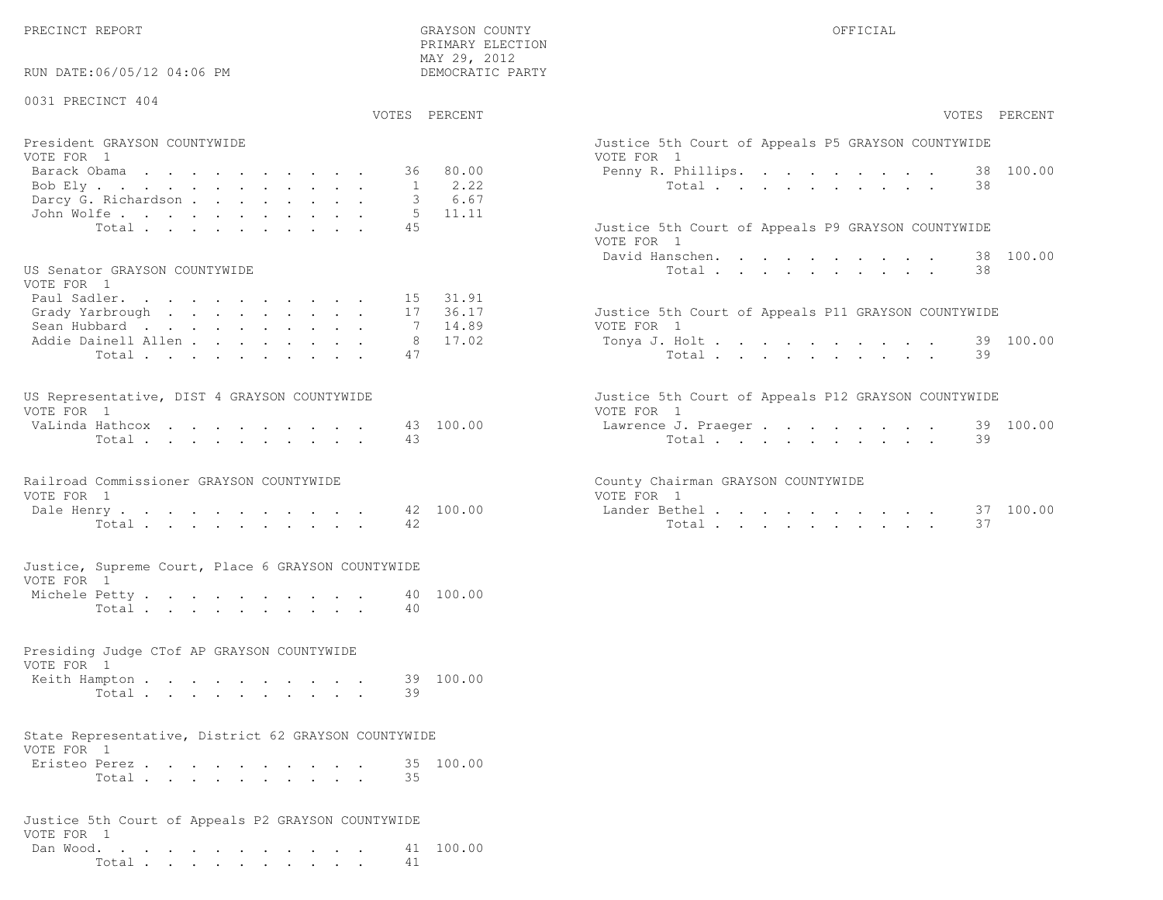RUN DATE:06/05/12 04:06 PM

#### 0031 PRECINCT 404

VOTES PERCENT VOTES PERCENT

 PRIMARY ELECTION MAY 29, 2012DEMOCRATIC PARTY

| President GRAYSON COUNTYWIDE<br>VOTE FOR 1 | Justice 5th Court of Appeals P5 GRAYSON COUNTYWIDE<br>VOTE FOR 1 |
|--------------------------------------------|------------------------------------------------------------------|
|                                            |                                                                  |
| Barack Obama 36 80.00                      | Penny R. Phillips. 38 100.00                                     |
| Bob Ely 1 2.22                             | Total 38                                                         |
| Darcy G. Richardson 3 6.67                 |                                                                  |
| John Wolfe. 5 11.11                        |                                                                  |
| Total 45                                   | Justice 5th Court of Appeals P9 GRAYSON COUNTYWIDE               |

#### US Senator GRAYSON COUNTYWIDE  $U(0,0)$

| VOTE FOR I                  |  |  |  |  |                                                     |
|-----------------------------|--|--|--|--|-----------------------------------------------------|
| Paul Sadler. 15 31.91       |  |  |  |  |                                                     |
| Grady Yarbrough 17 36.17    |  |  |  |  | Justice 5th Court of Appeals P11 GRAYSON COUNTYWIDE |
| Sean Hubbard 7 14.89        |  |  |  |  | VOTE FOR 1                                          |
| Addie Dainell Allen 8 17.02 |  |  |  |  | Tonya J. Holt 39 100.00                             |
| Total 47                    |  |  |  |  | Total 39                                            |
|                             |  |  |  |  |                                                     |

| US Representative, DIST 4 GRAYSON COUNTYWIDE |  |  |  |  |  | Justice 5th Court of Appeals P12 GRAYSON COUNTYWIDE |  |
|----------------------------------------------|--|--|--|--|--|-----------------------------------------------------|--|
| VOTE FOR 1                                   |  |  |  |  |  | VOTE FOR 1                                          |  |
| VaLinda Hathcox 43 100.00                    |  |  |  |  |  | Lawrence J. Praeger 39 100.00                       |  |
| Total 43                                     |  |  |  |  |  | Total 39                                            |  |

| Railroad Commissioner GRAYSON COUNTYWIDE | County Chairman GRAYSON COUNTYWIDE |
|------------------------------------------|------------------------------------|
| VOTE FOR 1                               | VOTE FOR 1                         |
| Dale Henry 42 100.00                     | Lander Bethel. 37 100.00           |
| Total 42                                 | Total 37                           |

|            |  |  |  | Justice, Supreme Court, Place 6 GRAYSON COUNTYWIDE |  |
|------------|--|--|--|----------------------------------------------------|--|
| VOTE FOR 1 |  |  |  |                                                    |  |

| Michele Petty |       |  |  |  |  |  |     | 40 100.00 |
|---------------|-------|--|--|--|--|--|-----|-----------|
|               | Total |  |  |  |  |  | -40 |           |

#### Presiding Judge CTof AP GRAYSON COUNTYWIDEVOTE FOR 1Keith Hampton . . . . . . . . . . 39 100.00

|  | Total 39 |  |  |  |  |  |  |
|--|----------|--|--|--|--|--|--|
|  |          |  |  |  |  |  |  |

#### State Representative, District 62 GRAYSON COUNTYWIDEVOTE FOR 1

| Eristeo Perez |       |  |  |  |  |  | 35 100.00 |
|---------------|-------|--|--|--|--|--|-----------|
|               | Total |  |  |  |  |  |           |

|            |  |  |  |  |  |  | Justice 5th Court of Appeals P2 GRAYSON COUNTYWIDE |                     |
|------------|--|--|--|--|--|--|----------------------------------------------------|---------------------|
| VOTE FOR 1 |  |  |  |  |  |  |                                                    |                     |
|            |  |  |  |  |  |  |                                                    | Dan Wood. 41 100.00 |
|            |  |  |  |  |  |  | Total 41                                           |                     |

| PERCENT                 | VOTES PERCENT                                                                                    |
|-------------------------|--------------------------------------------------------------------------------------------------|
| 80.00                   | Justice 5th Court of Appeals P5 GRAYSON COUNTYWIDE<br>VOTE FOR 1<br>Penny R. Phillips. 38 100.00 |
| 2.22<br>6.67<br>11.11   | 38<br>Total $\cdot$                                                                              |
|                         | Justice 5th Court of Appeals P9 GRAYSON COUNTYWIDE<br>VOTE FOR 1                                 |
|                         | David Hanschen. 38 100.00<br>Total<br>38                                                         |
| 31.91<br>36.17<br>14.89 | Justice 5th Court of Appeals P11 GRAYSON COUNTYWIDE<br>VOTE FOR 1                                |
| 17.02                   | Tonya J. Holt 39 100.00<br>Total $\cdot$<br>39                                                   |
|                         | Justice 5th Court of Appeals P12 GRAYSON COUNTYWIDE<br>VOTE FOR 1                                |
| 100.00                  | Lawrence J. Praeger 39 100.00<br>39<br>Total $\cdot$                                             |
|                         | County Chairman GRAYSON COUNTYWIDE<br>VOTE FOR 1                                                 |
| 100.00                  | 100.00<br>Lander Bethel 37<br>Total<br>37                                                        |
|                         |                                                                                                  |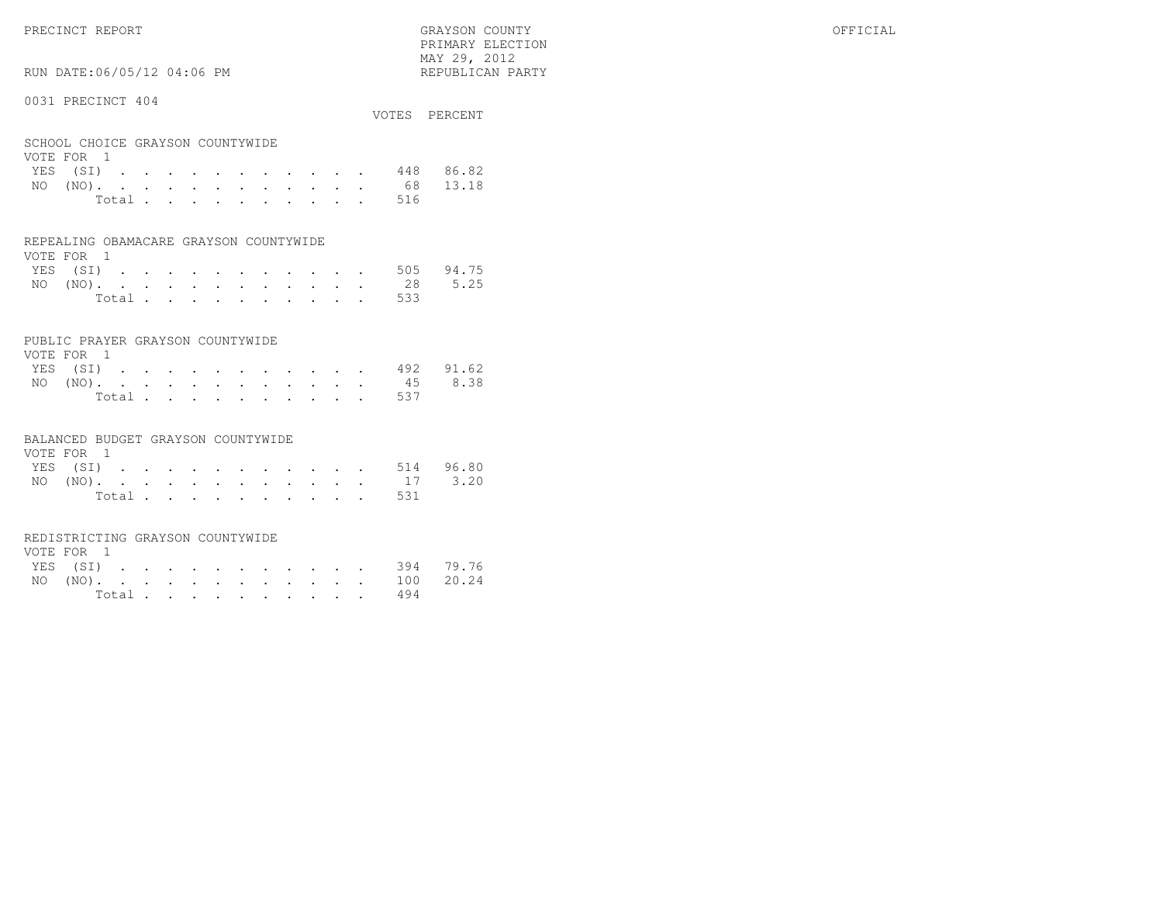PRIMARY ELECTION $\text{MAX } 29, \quad 2012$ 

## RUN DATE:06/05/12 04:06 PM

#### 0031 PRECINCT 404

|                                                | VOTES PERCENT |
|------------------------------------------------|---------------|
| SCHOOL CHOICE GRAYSON COUNTYWIDE<br>VOTE FOR 1 |               |
| YES (SI)                                       | 448 86.82     |
| $\overline{M}$ $\cap$ $\overline{M}$           | $CO$ 10 10    |

| $NO (NO)$ . |  |  |  |  |  |           | 68 13.18 |
|-------------|--|--|--|--|--|-----------|----------|
|             |  |  |  |  |  | Total 516 |          |

#### REPEALING OBAMACARE GRAYSON COUNTYWIDE

| VOTE FOR 1 |  |  |  |  |  |  |                    |  |
|------------|--|--|--|--|--|--|--------------------|--|
|            |  |  |  |  |  |  | YES (SI) 505 94.75 |  |
|            |  |  |  |  |  |  | NO (NO). 28 5.25   |  |
|            |  |  |  |  |  |  | Total 533          |  |

#### PUBLIC PRAYER GRAYSON COUNTYWIDE

| VOTE FOR 1         |  |  |  |  |  |           |  |
|--------------------|--|--|--|--|--|-----------|--|
| YES (SI) 492 91.62 |  |  |  |  |  |           |  |
| NO (NO). 45 8.38   |  |  |  |  |  |           |  |
|                    |  |  |  |  |  | Total 537 |  |

#### BALANCED BUDGET GRAYSON COUNTYWIDE

| VOTE FOR 1 |  |  |  |  |  |                    |  |
|------------|--|--|--|--|--|--------------------|--|
|            |  |  |  |  |  | YES (SI) 514 96.80 |  |
|            |  |  |  |  |  | NO (NO). 17 3.20   |  |
|            |  |  |  |  |  | Total 531          |  |

#### REDISTRICTING GRAYSON COUNTYWIDE

| VOTE FOR 1 |  |  |  |  |  |  |                    |  |
|------------|--|--|--|--|--|--|--------------------|--|
|            |  |  |  |  |  |  | YES (SI) 394 79.76 |  |
|            |  |  |  |  |  |  | NO (NO). 100 20.24 |  |
|            |  |  |  |  |  |  | Total 494          |  |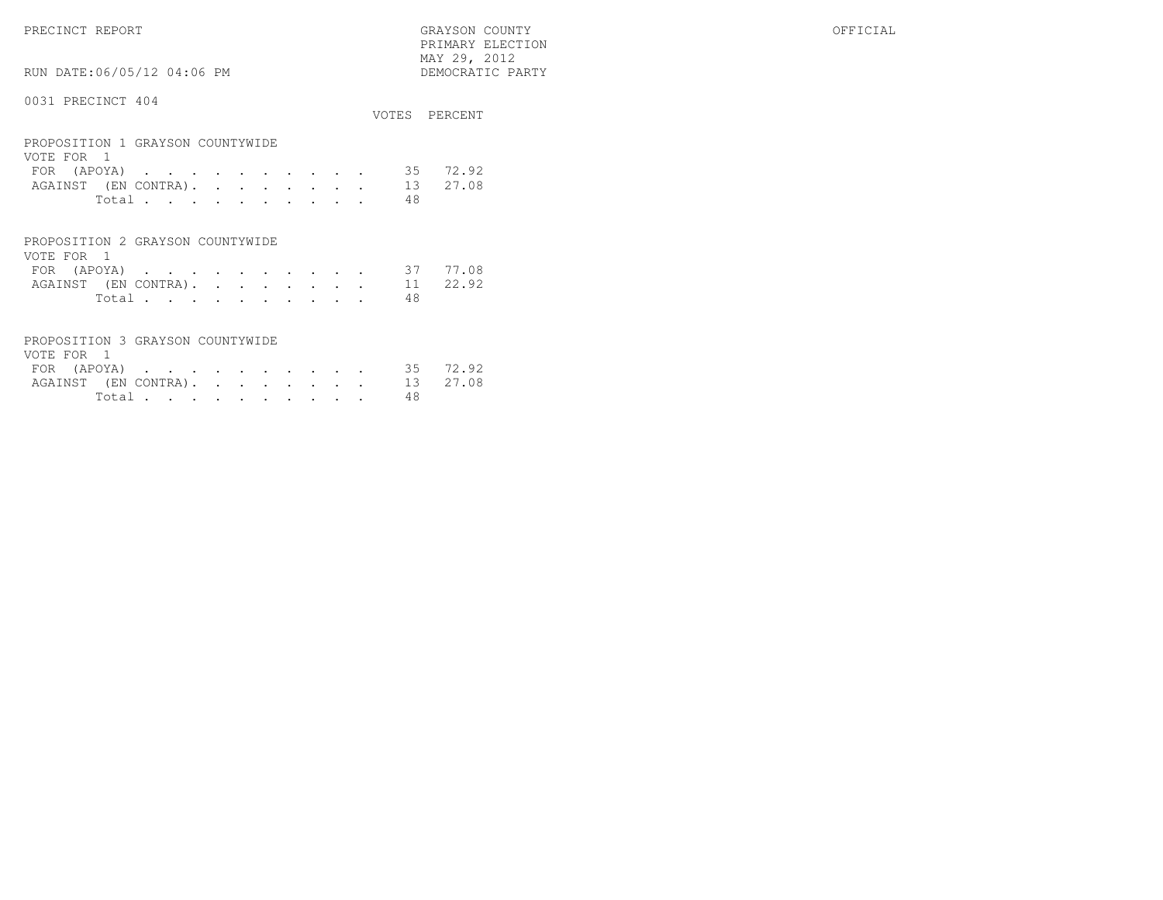PRECINCT REPORT GRAYSON COUNTY OFFICIAL

 $\begin{array}{lll} \text{MAX} & 29, & 2012 \\ \text{NAY} & 29, & 2012 \end{array}$ RUN DATE:06/05/12 04:06 PM

#### 0031 PRECINCT 404

|                                                                                                                                                                                                                              | VOTES.         | PERCENT        |
|------------------------------------------------------------------------------------------------------------------------------------------------------------------------------------------------------------------------------|----------------|----------------|
| PROPOSITION 1 GRAYSON COUNTYWIDE<br>VOTE FOR<br>(APOYA)<br>FOR<br>the contract of the contract of the contract of the contract of the contract of the contract of the contract of<br>$\sim$<br>AGAINST (EN CONTRA).<br>Total | 35<br>13<br>48 | 72.92<br>27.08 |
| PROPOSITION 2 GRAYSON COUNTYWIDE<br>1<br>VATE EAD                                                                                                                                                                            |                |                |

PRIMARY ELECTION

| VOIE FOR I |        |  |  |  |  |  |                               |  |
|------------|--------|--|--|--|--|--|-------------------------------|--|
|            |        |  |  |  |  |  | FOR (APOYA) 37 77.08          |  |
|            |        |  |  |  |  |  | AGAINST (EN CONTRA). 11 22.92 |  |
|            | Total. |  |  |  |  |  |                               |  |

|            | PROPOSITION 3 GRAYSON COUNTYWIDE |  |  |  |  |  |                               |  |
|------------|----------------------------------|--|--|--|--|--|-------------------------------|--|
| VOTE FOR 1 |                                  |  |  |  |  |  |                               |  |
|            |                                  |  |  |  |  |  | FOR (APOYA) 35 72.92          |  |
|            |                                  |  |  |  |  |  | AGAINST (EN CONTRA). 13 27.08 |  |
|            |                                  |  |  |  |  |  | 48                            |  |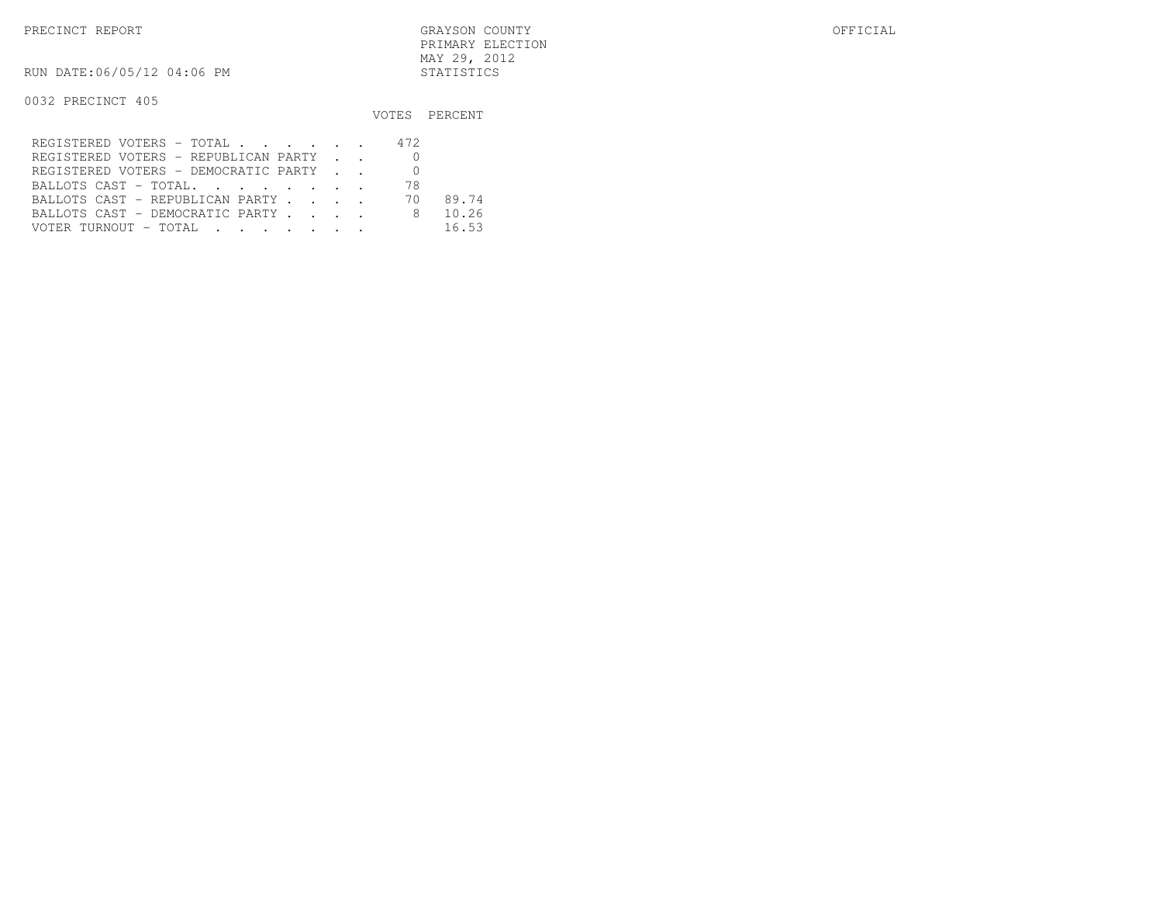RUN DATE:06/05/12 04:06 PM STATISTICS

|                                      |     | VOTES PERCENT |
|--------------------------------------|-----|---------------|
| REGISTERED VOTERS - TOTAL            | 472 |               |
| REGISTERED VOTERS - REPUBLICAN PARTY |     |               |
| REGISTERED VOTERS - DEMOCRATIC PARTY |     |               |
| BALLOTS CAST - TOTAL.                | 78  |               |
| BALLOTS CAST - REPUBLICAN PARTY      | 70. | 89.74         |
| BALLOTS CAST - DEMOCRATIC PARTY      | 8   | 10.26         |
| VOTER TURNOUT - TOTAL                |     | 16.53         |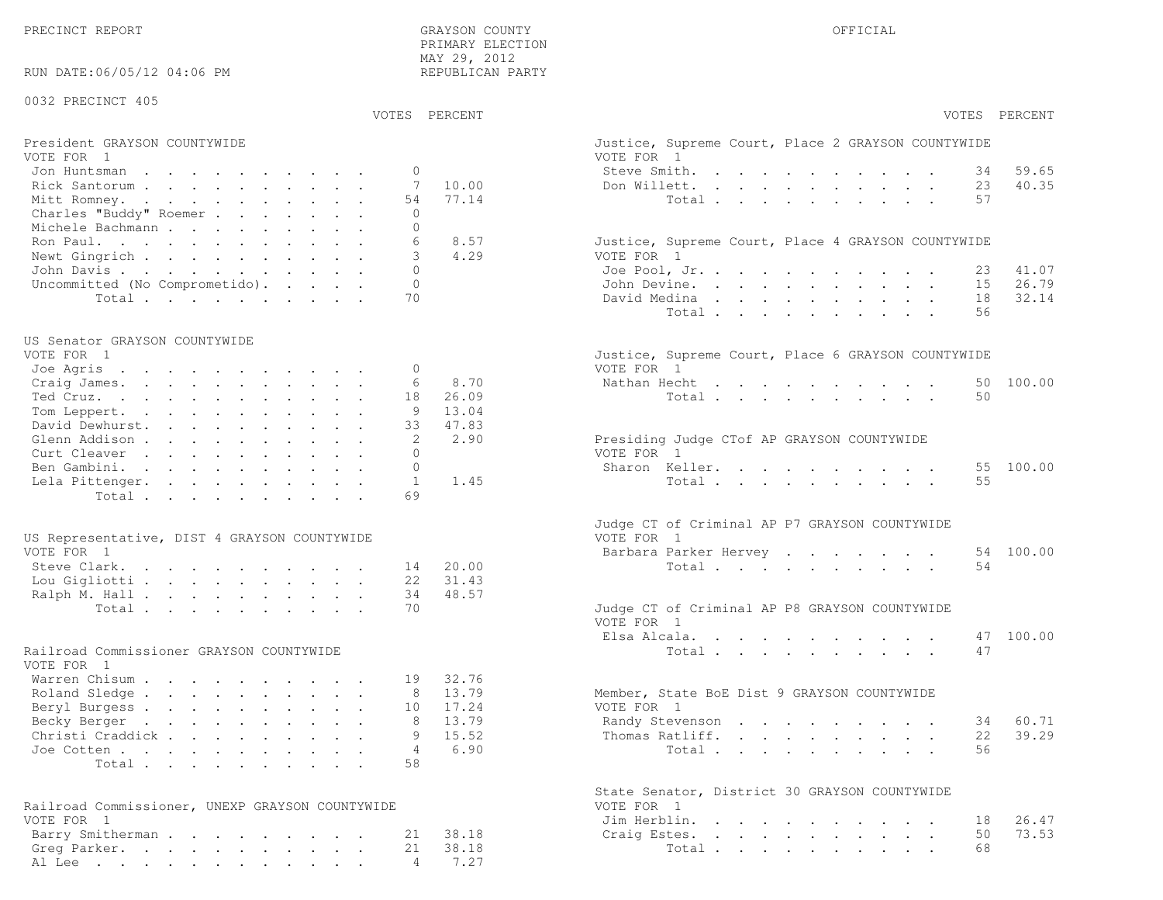PRECINCT REPORT THE COUNTY GRAYSON COUNTY THE COUNTY OFFICIAL OFFICIAL COUNTY OF THE COUNTY OF THE COUNTY OF THE COUNTY OF THE COUNTY OF THE COUNTY OF THE COUNTY OF THE COUNTY OF THE COUNTY OF THE COUNTY OF THE COUNTY OF T PRIMARY ELECTION MAY 29, 2012REPUBLICAN PARTY

RUN DATE:06/05/12 04:06 PM

#### 0032 PRECINCT 405

VOTES PERCENT VOTES PERCENT

# President GRAYSON COUNTYWIDE<br>VOTE FOR 1

| VOTE FOR 1                         | VOTE FOR 1                                                                                                                                    |
|------------------------------------|-----------------------------------------------------------------------------------------------------------------------------------------------|
| Jon Huntsman 0                     | 59.65<br>Steve Smith. 34                                                                                                                      |
| Rick Santorum 7 10.00              | 40.35<br>Don Willett. 23                                                                                                                      |
| Mitt Romney. 54 77.14              | Total 57                                                                                                                                      |
| Charles "Buddy" Roemer<br>$\Omega$ |                                                                                                                                               |
| Michele Bachmann                   |                                                                                                                                               |
| 8.57<br>Ron Paul. 6                | Justice, Supreme Court, Place 4 GRAYSON COUNTYWIDE                                                                                            |
| Newt Gingrich 3<br>4.29            | VOTE FOR 1                                                                                                                                    |
| John Davis 0                       | Joe Pool, Jr. 23 41.07                                                                                                                        |
| Uncommitted (No Comprometido). 0   | John Devine. 15 26.79                                                                                                                         |
| Total, , , , , , , , , , 70        | David Medina $\overline{a}$ , $\overline{a}$ , $\overline{a}$ , $\overline{a}$ , $\overline{a}$ , $\overline{a}$ , $\overline{a}$<br>18 32.14 |

#### US Senator GRAYSON COUNTYWIDE

|         | Justice, Supreme Court, Place 6 GRAYSON COUNTYWIDE                                                                                                                                                     |
|---------|--------------------------------------------------------------------------------------------------------------------------------------------------------------------------------------------------------|
|         | VOTE FOR 1                                                                                                                                                                                             |
|         | Nathan Hecht 50 100.00                                                                                                                                                                                 |
|         | Total 50                                                                                                                                                                                               |
| 9 13.04 |                                                                                                                                                                                                        |
|         |                                                                                                                                                                                                        |
|         | Presiding Judge CTof AP GRAYSON COUNTYWIDE                                                                                                                                                             |
|         | VOTE FOR 1                                                                                                                                                                                             |
|         | Sharon Keller. 55 100.00                                                                                                                                                                               |
|         | Total 55                                                                                                                                                                                               |
|         |                                                                                                                                                                                                        |
|         | Joe Agris 0<br>Craig James. 6 8.70<br>Ted Cruz. 18 26.09<br>Tom Leppert.<br>David Dewhurst. 33 47.83<br>Glenn Addison 2 2.90<br>Curt Cleaver 0<br>Ben Gambini. 0<br>Lela Pittenger. 1 1.45<br>Total 69 |

| US Representative, DIST 4 GRAYSON COUNTYWIDE |  |  |  |  | VOTE FOR 1                                    |  |
|----------------------------------------------|--|--|--|--|-----------------------------------------------|--|
| VOTE FOR 1                                   |  |  |  |  | Barbara Parker Hervey 54 100.00               |  |
| Steve Clark. 14 20.00                        |  |  |  |  | Total 54                                      |  |
| Lou Gigliotti 22 31.43                       |  |  |  |  |                                               |  |
| Ralph M. Hall 34 48.57                       |  |  |  |  |                                               |  |
| Total 70                                     |  |  |  |  | Judge CT of Criminal AP P8 GRAYSON COUNTYWIDE |  |

#### Railroad Commissioner GRAYSON COUNTYWIDE

| VOTE FOR 1               |  |  |  |  |  |                                             |
|--------------------------|--|--|--|--|--|---------------------------------------------|
| Warren Chisum 19 32.76   |  |  |  |  |  |                                             |
| Roland Sledge 8 13.79    |  |  |  |  |  | Member, State BoE Dist 9 GRAYSON COUNTYWIDE |
| Beryl Burgess 10 17.24   |  |  |  |  |  | VOTE FOR 1                                  |
| Becky Berger 8 13.79     |  |  |  |  |  | Randy Stevenson 34 60.71                    |
| Christi Craddick 9 15.52 |  |  |  |  |  | Thomas Ratliff. 22 39.29                    |
| Joe Cotten 4 $6.90$      |  |  |  |  |  | Total 56                                    |
| Total58                  |  |  |  |  |  |                                             |

| Railroad Commissioner, UNEXP GRAYSON COUNTYWIDE | VOTE FOR 1            |
|-------------------------------------------------|-----------------------|
| VOTE FOR 1                                      | Jim Herblin. 18 26.47 |
| Barry Smitherman 21 38.18                       | Craig Estes. 50 73.53 |
| Greg Parker. 21 38.18                           | Total 68              |
| Al Lee 4 7.27                                   |                       |

| PERCENT                 | VOTES PERCENT                                                                                                                                                                                                                     |
|-------------------------|-----------------------------------------------------------------------------------------------------------------------------------------------------------------------------------------------------------------------------------|
|                         | Justice, Supreme Court, Place 2 GRAYSON COUNTYWIDE<br>VOTE FOR 1                                                                                                                                                                  |
|                         | Steve Smith.<br>34<br>59.65                                                                                                                                                                                                       |
| 10.00                   | Don Willett.<br>23 40.35                                                                                                                                                                                                          |
| 77.14                   | 57<br>Total $\cdots$<br>$\mathbf{r}$ , $\mathbf{r}$ , $\mathbf{r}$ , $\mathbf{r}$                                                                                                                                                 |
| 8.57                    | Justice, Supreme Court, Place 4 GRAYSON COUNTYWIDE                                                                                                                                                                                |
| 4.29                    | VOTE FOR 1                                                                                                                                                                                                                        |
|                         | Joe Pool, Jr.<br>41.07<br>23<br>$\mathbf{r} = \mathbf{r} + \mathbf{r} + \mathbf{r} + \mathbf{r} + \mathbf{r}$<br>$\mathbf{r}$                                                                                                     |
|                         | 26.79<br>John Devine.<br>15<br>$\sim$ $-$                                                                                                                                                                                         |
|                         | 32.14<br>David Medina<br>18<br>$\mathbf{z} = \mathbf{z} + \mathbf{z}$ .<br>$\mathcal{A}^{\mathcal{A}}$ and $\mathcal{A}^{\mathcal{A}}$ and $\mathcal{A}^{\mathcal{A}}$<br>$\sim 100$<br>$\bullet$<br>$\bullet$ .<br>$\sim$        |
|                         | Total<br>56<br>$\ddotsc$<br>$\ddot{\phantom{a}}$<br>$\mathbf{L}$<br>$\ddot{\phantom{0}}$<br>$\sim$ $\sim$                                                                                                                         |
|                         | Justice, Supreme Court, Place 6 GRAYSON COUNTYWIDE<br>VOTE FOR 1                                                                                                                                                                  |
| 8.70                    | Nathan Hecht<br>50<br>100.00                                                                                                                                                                                                      |
| 26.09                   | 50<br>Total                                                                                                                                                                                                                       |
| 13.04                   |                                                                                                                                                                                                                                   |
| 47.83                   |                                                                                                                                                                                                                                   |
| 2.90                    | Presiding Judge CTof AP GRAYSON COUNTYWIDE<br>VOTE FOR 1                                                                                                                                                                          |
|                         | Sharon Keller.<br>55<br>100.00                                                                                                                                                                                                    |
| 1.45                    | 55<br>Total<br>$\ddot{\phantom{0}}$                                                                                                                                                                                               |
| 20.00<br>31.43<br>48.57 | Judge CT of Criminal AP P7 GRAYSON COUNTYWIDE<br>VOTE FOR 1<br>Barbara Parker Hervey<br>54 100.00<br>54<br>Total $\cdots$                                                                                                         |
|                         | Judge CT of Criminal AP P8 GRAYSON COUNTYWIDE                                                                                                                                                                                     |
|                         | VOTE FOR 1<br>Elsa Alcala.<br>100.00<br>47                                                                                                                                                                                        |
|                         | $\begin{array}{cccccccccccccc} \bullet & \bullet & \bullet & \bullet & \bullet & \bullet & \bullet & \bullet & \bullet \end{array}$<br>47<br>Total                                                                                |
|                         |                                                                                                                                                                                                                                   |
| 32.76<br>13.79<br>17.24 | Member, State BoE Dist 9 GRAYSON COUNTYWIDE<br>VOTE FOR 1                                                                                                                                                                         |
| 13.79                   | 34 60.71<br>Randy Stevenson                                                                                                                                                                                                       |
| 15.52                   | 39.29<br>Thomas Ratliff.<br>22<br>$\ddot{\phantom{a}}$                                                                                                                                                                            |
| 6.90                    | 56<br>Total                                                                                                                                                                                                                       |
|                         | State Senator, District 30 GRAYSON COUNTYWIDE<br>VOTE FOR<br>$\overline{1}$                                                                                                                                                       |
|                         | Jim Herblin. .<br>26.47<br>18<br>the contract of the contract of the contract of the contract of the contract of the contract of the contract of<br>$\ddot{\phantom{a}}$                                                          |
| 38.18                   | Craig Estes.<br>50<br>73.53<br>$\ddot{\phantom{0}}$<br>$\mathcal{L}^{\text{max}}$<br>$\mathcal{L}^{\text{max}}$<br>$\mathbf{L}^{\text{max}}$<br>$\sim$ $-$<br>$\mathcal{L}^{\text{max}}$<br>$\sim$ $\sim$<br>$\ddot{\phantom{0}}$ |
| 38.18                   | Total<br>68<br>$\bullet$                                                                                                                                                                                                          |
| 7.27                    |                                                                                                                                                                                                                                   |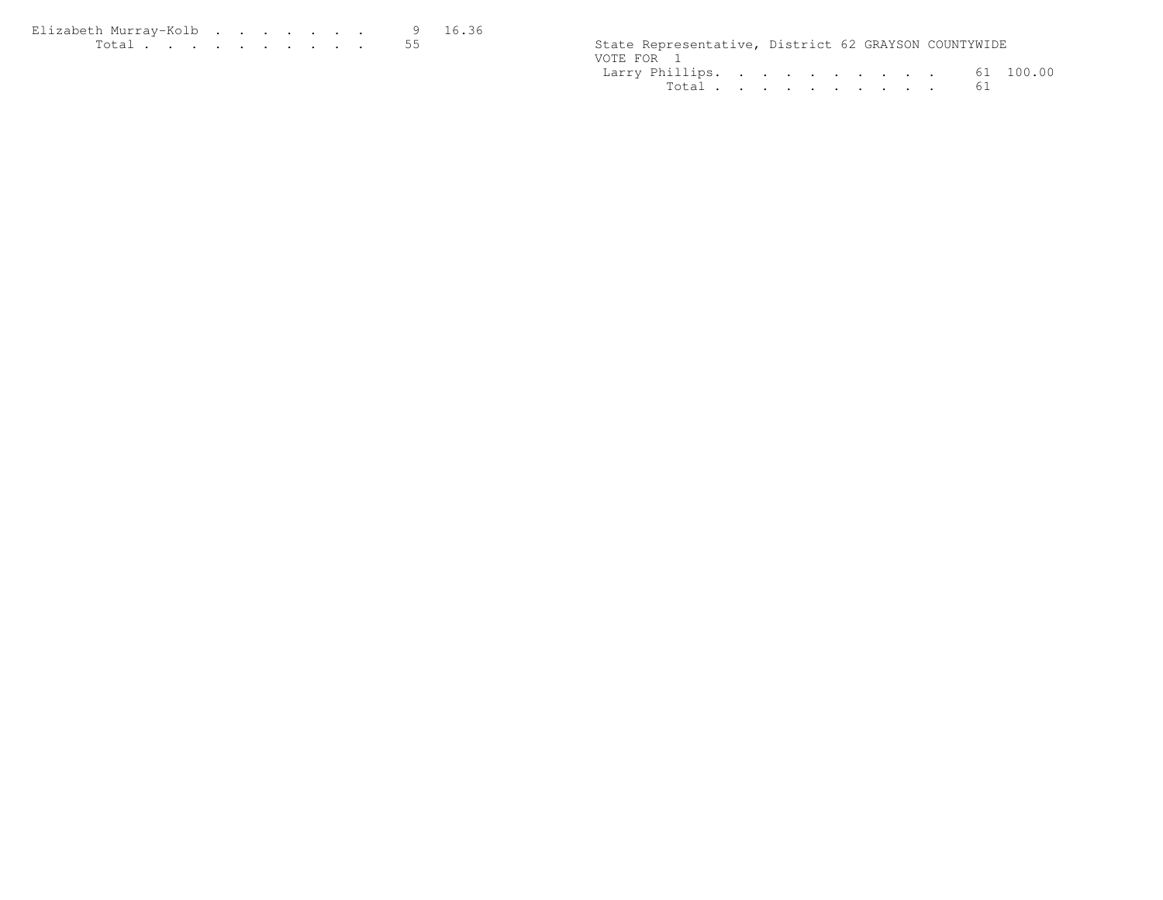| Elizabeth Murray-Kolb |  |  |  |  | 16.36 |                                                      |  |  |
|-----------------------|--|--|--|--|-------|------------------------------------------------------|--|--|
|                       |  |  |  |  |       | State Representative, District 62 GRAYSON COUNTYWIDE |  |  |

| State Representative, District 62 GRAYSON COUNTYWIDE |  |  |  |  |  |
|------------------------------------------------------|--|--|--|--|--|
| VOTE FOR 1                                           |  |  |  |  |  |
| Larry Phillips. 61 100.00                            |  |  |  |  |  |
| Total 61                                             |  |  |  |  |  |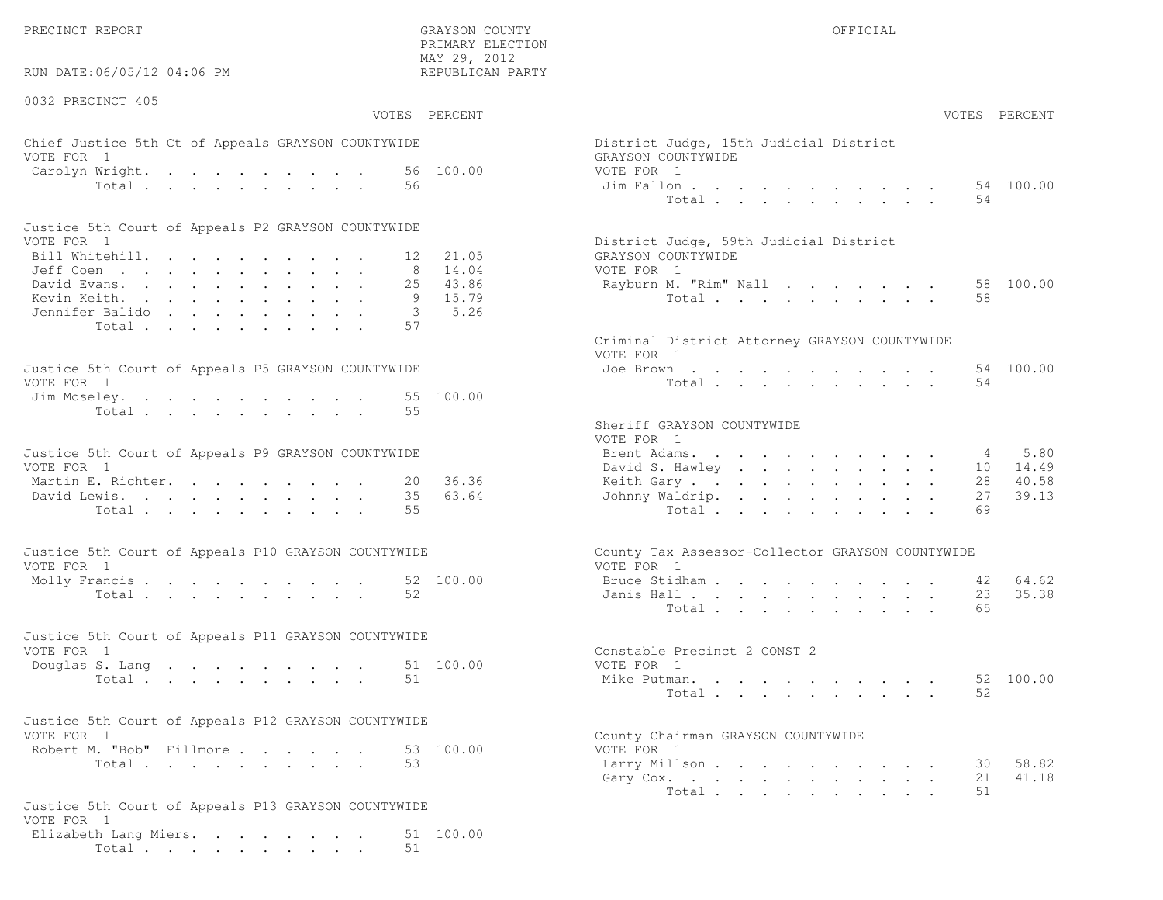RUN DATE:06/05/12 04:06 PM

0032 PRECINCT 405

 PRIMARY ELECTION MAY 29, 2012REPUBLICAN PARTY

### Chief Justice 5th Ct of Appeals GRAYSON COUNTYWIDE District Appeals Only 15th District Judge VOTE FOR 1 GRAYSON COUNTY OF REAL EXPLORER COUNTY OF REAL EXPLORER COUNTY OF REAL EXPLORER COUNTY OF REAL EXPLORER COUNTY OF REAL EXPLORER COUNTY OF REAL EXPLORER COUNTY OF REAL EXPLORER COUNTY OF REAL EXPLORER COUNTY OF R Carolyn Wright. . . . . . . . . 56 100.00 VOT  $Total . . . . . . . . . . . 56$

| Justice 5th Court of Appeals P2 GRAYSON COUNTYWIDE |  |  |  |  |  |                                        |  |
|----------------------------------------------------|--|--|--|--|--|----------------------------------------|--|
| VOTE FOR 1                                         |  |  |  |  |  | District Judge, 59th Judicial District |  |
| Bill Whitehill. 12 21.05                           |  |  |  |  |  | GRAYSON COUNTYWIDE                     |  |
| Jeff Coen 8 14.04                                  |  |  |  |  |  | VOTE FOR 1                             |  |
| David Evans. 25 43.86                              |  |  |  |  |  | Rayburn M. "Rim" Nall 58 100.00        |  |
| Kevin Keith. 9 15.79                               |  |  |  |  |  | Total 58                               |  |
| Jennifer Balido 3 5.26                             |  |  |  |  |  |                                        |  |
| Total 57                                           |  |  |  |  |  |                                        |  |

| Justice 5th Court of Appeals P5 GRAYSON COUNTYWIDE | Joe Brown 54 100.00 |
|----------------------------------------------------|---------------------|
| VOTE FOR 1                                         | Total 54            |
| Jim Moseley. 55 100.00                             |                     |
| Total 55                                           |                     |

| Justice 5th Court of Appeals P9 GRAYSON COUNTYWIDE | Brent Adams. 4 5.80      |
|----------------------------------------------------|--------------------------|
| VOTE FOR 1                                         | David S. Hawley 10 14.49 |
| Martin E. Richter. 20 36.36                        | Keith Gary 28 40.58      |
| David Lewis. 35 63.64                              | Johnny Waldrip. 27 39.13 |
| Total 55                                           | Total 69                 |

| Justice 5th Court of Appeals P10 GRAYSON COUNTYWIDE | County Tax Assessor-Collector GRAYSON COUNTYWIDE |
|-----------------------------------------------------|--------------------------------------------------|
| VOTE FOR 1                                          | VOTE FOR 1                                       |
| Molly Francis 52 100.00                             | Bruce Stidham 42 64.62                           |
| Total 52                                            | Janis Hall 23 35.38                              |

| Justice 5th Court of Appeals P11 GRAYSON COUNTYWIDE |          |  |  |  |  |  |                              |           |
|-----------------------------------------------------|----------|--|--|--|--|--|------------------------------|-----------|
| VOTE FOR 1                                          |          |  |  |  |  |  | Constable Precinct 2 CONST 2 |           |
| Douglas S. Lang 51 100.00                           |          |  |  |  |  |  | VOTE FOR 1                   |           |
|                                                     | Total 51 |  |  |  |  |  | Mike Putman.                 | 52 100.00 |

| Justice 5th Court of Appeals P12 GRAYSON COUNTYWIDE |  |  |                                    |  |
|-----------------------------------------------------|--|--|------------------------------------|--|
| VOTE FOR 1                                          |  |  | County Chairman GRAYSON COUNTYWIDE |  |
| Robert M. "Bob" Fillmore 53 100.00                  |  |  | VOTE FOR 1                         |  |
|                                                     |  |  |                                    |  |

```
Justice 5th Court of Appeals P13 GRAYSON COUNTYWIDEVOTE FOR 1
Elizabeth Lang Miers. . . . . . . . 51 100.00Total . . . . . . . . . . 51
```

|                | :06/05/12 04:06 PM                                                                                                                                                                                                                      | MAY 29, 2012<br>REPUBLICAN PARTY                |                                                                |          |                |
|----------------|-----------------------------------------------------------------------------------------------------------------------------------------------------------------------------------------------------------------------------------------|-------------------------------------------------|----------------------------------------------------------------|----------|----------------|
| CINCT 405      |                                                                                                                                                                                                                                         |                                                 |                                                                |          |                |
|                |                                                                                                                                                                                                                                         | VOTES PERCENT                                   |                                                                |          | VOTES PERCENT  |
| $\overline{1}$ | stice 5th Ct of Appeals GRAYSON COUNTYWIDE                                                                                                                                                                                              |                                                 | District Judge, 15th Judicial District<br>GRAYSON COUNTYWIDE   |          |                |
|                | Wright.<br>Total                                                                                                                                                                                                                        | 56 100.00<br>56                                 | VOTE FOR 1<br>Jim Fallon<br>Total                              | 54       | 54 100.00      |
|                | oth Court of Appeals P2 GRAYSON COUNTYWIDE                                                                                                                                                                                              |                                                 |                                                                |          |                |
| $\mathbf{1}$   |                                                                                                                                                                                                                                         |                                                 | District Judge, 59th Judicial District                         |          |                |
|                | .tehill.                                                                                                                                                                                                                                | 21.05<br>12                                     | GRAYSON COUNTYWIDE                                             |          |                |
|                | $\mathsf{B} \mathbf{n}$ . The set of the set of the set of the set of the set of the set of the set of the set of the set of the set of the set of the set of the set of the set of the set of the set of the set of the set of the set | 14.04<br>8                                      | VOTE FOR 1                                                     |          |                |
|                | rans.                                                                                                                                                                                                                                   | 43.86<br>25                                     | Rayburn M. "Rim" Nall                                          |          | 58 100.00      |
|                | eith.<br>: Balido                                                                                                                                                                                                                       | - 9<br>15.79<br>5.26<br>$\overline{\mathbf{3}}$ | Total                                                          | 58       |                |
|                | Total                                                                                                                                                                                                                                   | 57                                              |                                                                |          |                |
|                |                                                                                                                                                                                                                                         |                                                 | Criminal District Attorney GRAYSON COUNTYWIDE<br>VOTE FOR 1    |          |                |
|                | ith Court of Appeals P5 GRAYSON COUNTYWIDE                                                                                                                                                                                              |                                                 | Joe Brown                                                      |          | 54 100.00      |
| $\overline{1}$ |                                                                                                                                                                                                                                         |                                                 | Total                                                          | 54       |                |
|                | eley.                                                                                                                                                                                                                                   | 55 100.00                                       |                                                                |          |                |
|                | Total                                                                                                                                                                                                                                   | 55                                              | Sheriff GRAYSON COUNTYWIDE<br>VOTE FOR 1                       |          |                |
|                | ith Court of Appeals P9 GRAYSON COUNTYWIDE                                                                                                                                                                                              |                                                 | Brent Adams.                                                   | 4        | 5.80           |
| $\mathbf{1}$   |                                                                                                                                                                                                                                         |                                                 | David S. Hawley                                                | 10       | 14.49          |
|                | $\mathbb{E}$ . Richter.                                                                                                                                                                                                                 | 36.36<br>20<br>35<br>63.64                      | Keith Gary.                                                    | 28<br>27 | 40.58<br>39.13 |
|                | ewis.<br>Total                                                                                                                                                                                                                          | 55                                              | Johnny Waldrip.<br>Total                                       | 69       |                |
|                |                                                                                                                                                                                                                                         |                                                 |                                                                |          |                |
| $\mathbf{1}$   | ith Court of Appeals P10 GRAYSON COUNTYWIDE                                                                                                                                                                                             |                                                 | County Tax Assessor-Collector GRAYSON COUNTYWIDE<br>VOTE FOR 1 |          |                |
|                | rancis $\cdots$                                                                                                                                                                                                                         | 52 100.00                                       | Bruce Stidham                                                  |          | 64.62<br>42    |
|                | Total                                                                                                                                                                                                                                   | 52                                              | Janis Hall                                                     | 23       | 35.38          |
|                |                                                                                                                                                                                                                                         |                                                 | Total                                                          | 65       |                |
|                | ith Court of Appeals P11 GRAYSON COUNTYWIDE                                                                                                                                                                                             |                                                 |                                                                |          |                |
| $\mathbf{1}$   |                                                                                                                                                                                                                                         |                                                 | Constable Precinct 2 CONST 2                                   |          |                |
|                | S. Lang                                                                                                                                                                                                                                 | 51 100.00                                       | VOTE FOR 1                                                     |          |                |
|                | Total                                                                                                                                                                                                                                   | 51                                              | Mike Putman.<br>Total                                          | 52       | 52 100.00      |
|                | ith Court of Appeals P12 GRAYSON COUNTYWIDE                                                                                                                                                                                             |                                                 |                                                                |          |                |
| $\overline{1}$ |                                                                                                                                                                                                                                         |                                                 | County Chairman GRAYSON COUNTYWIDE                             |          |                |
|                | 1. "Bob" Fillmore.                                                                                                                                                                                                                      | 53 100.00                                       | VOTE FOR 1                                                     |          |                |
|                | Total                                                                                                                                                                                                                                   | 53                                              | Larry Millson                                                  | 30       | 58.82<br>41.18 |
|                |                                                                                                                                                                                                                                         |                                                 | Gary Cox.<br>Total                                             | 21<br>51 |                |
|                |                                                                                                                                                                                                                                         |                                                 |                                                                |          |                |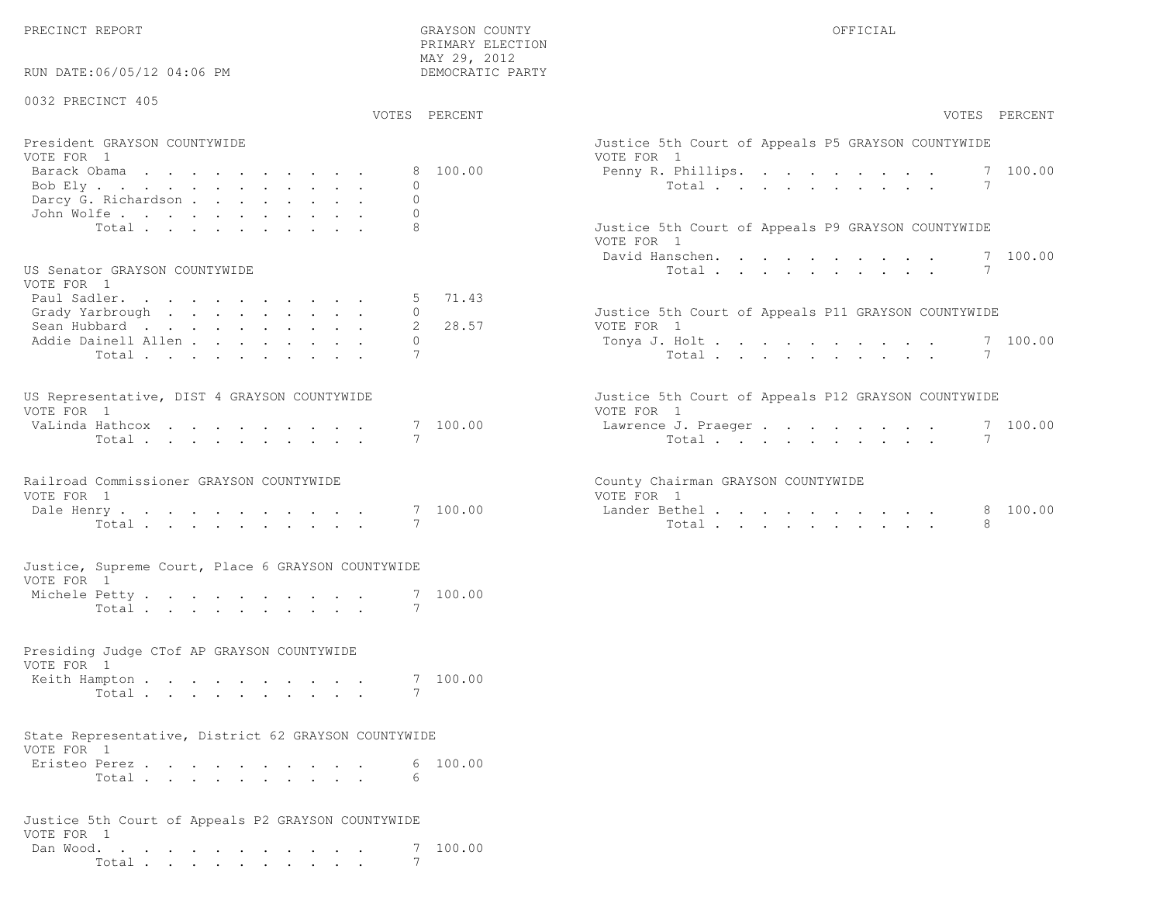PRECINCT REPORT GRAYSON COUNTY OFFICIAL

PRIMARY ELECTION

| RUN DATE:06/05/12 04:06 PM                                         | MAY 29, 2012<br>DEMOCRATIC PARTY |                                                                  |
|--------------------------------------------------------------------|----------------------------------|------------------------------------------------------------------|
| 0032 PRECINCT 405                                                  | VOTES PERCENT                    | VOTES PERCENT                                                    |
|                                                                    |                                  |                                                                  |
| President GRAYSON COUNTYWIDE<br>VOTE FOR 1                         |                                  | Justice 5th Court of Appeals P5 GRAYSON COUNTYWIDE<br>VOTE FOR 1 |
| Barack Obama                                                       | 8 100.00                         | 7 100.00<br>Penny R. Phillips.                                   |
| Bob Ely                                                            | $\Omega$                         | 7<br>Total                                                       |
| Darcy G. Richardson                                                | $\mathbf{0}$                     |                                                                  |
| John Wolfe.                                                        | $\Omega$                         |                                                                  |
| Total                                                              | 8                                | Justice 5th Court of Appeals P9 GRAYSON COUNTYWIDE<br>VOTE FOR 1 |
|                                                                    |                                  | 7 100.00<br>David Hanschen.<br>7                                 |
| US Senator GRAYSON COUNTYWIDE<br>VOTE FOR 1                        |                                  | Total $\cdots$                                                   |
| Paul Sadler.                                                       | 71.43                            |                                                                  |
| Grady Yarbrough                                                    | 0                                | Justice 5th Court of Appeals P11 GRAYSON COUNTYWIDE              |
| Sean Hubbard                                                       | 28.57                            | VOTE FOR 1                                                       |
| Addie Dainell Allen                                                | $\mathbf{0}$                     | 7 100.00<br>Tonya J. Holt                                        |
| Total                                                              | 7                                | $7\phantom{.0}$<br>Total                                         |
| US Representative, DIST 4 GRAYSON COUNTYWIDE                       |                                  | Justice 5th Court of Appeals P12 GRAYSON COUNTYWIDE              |
| VOTE FOR 1                                                         |                                  | VOTE FOR 1                                                       |
| VaLinda Hathcox                                                    | 7 100.00                         | 7 100.00<br>Lawrence J. Praeger                                  |
| Total                                                              | 7                                | Total<br>7                                                       |
| Railroad Commissioner GRAYSON COUNTYWIDE                           |                                  | County Chairman GRAYSON COUNTYWIDE                               |
| VOTE FOR 1                                                         |                                  | VOTE FOR 1                                                       |
| Dale Henry                                                         | 7 100.00                         | Lander Bethel<br>8 100.00                                        |
| Total                                                              | 7                                | Total<br>8                                                       |
| Justice, Supreme Court, Place 6 GRAYSON COUNTYWIDE                 |                                  |                                                                  |
| VOTE FOR 1                                                         |                                  |                                                                  |
| Michele Petty                                                      | 7 100.00                         |                                                                  |
| Total                                                              | 7                                |                                                                  |
| Presiding Judge CTof AP GRAYSON COUNTYWIDE                         |                                  |                                                                  |
| VOTE FOR 1                                                         |                                  |                                                                  |
| Keith Hampton                                                      | 7 100.00                         |                                                                  |
| Total                                                              | 7                                |                                                                  |
| State Representative, District 62 GRAYSON COUNTYWIDE<br>VOTE FOR 1 |                                  |                                                                  |
| Eristeo Perez                                                      | 100.00<br>6                      |                                                                  |
| Total $\cdots$                                                     | 6                                |                                                                  |
| Justice 5th Court of Appeals P2 GRAYSON COUNTYWIDE                 |                                  |                                                                  |
| VOTE FOR 1                                                         |                                  |                                                                  |
| Dan Wood. $\cdots$                                                 | 7 100.00                         |                                                                  |
| Total                                                              | 7                                |                                                                  |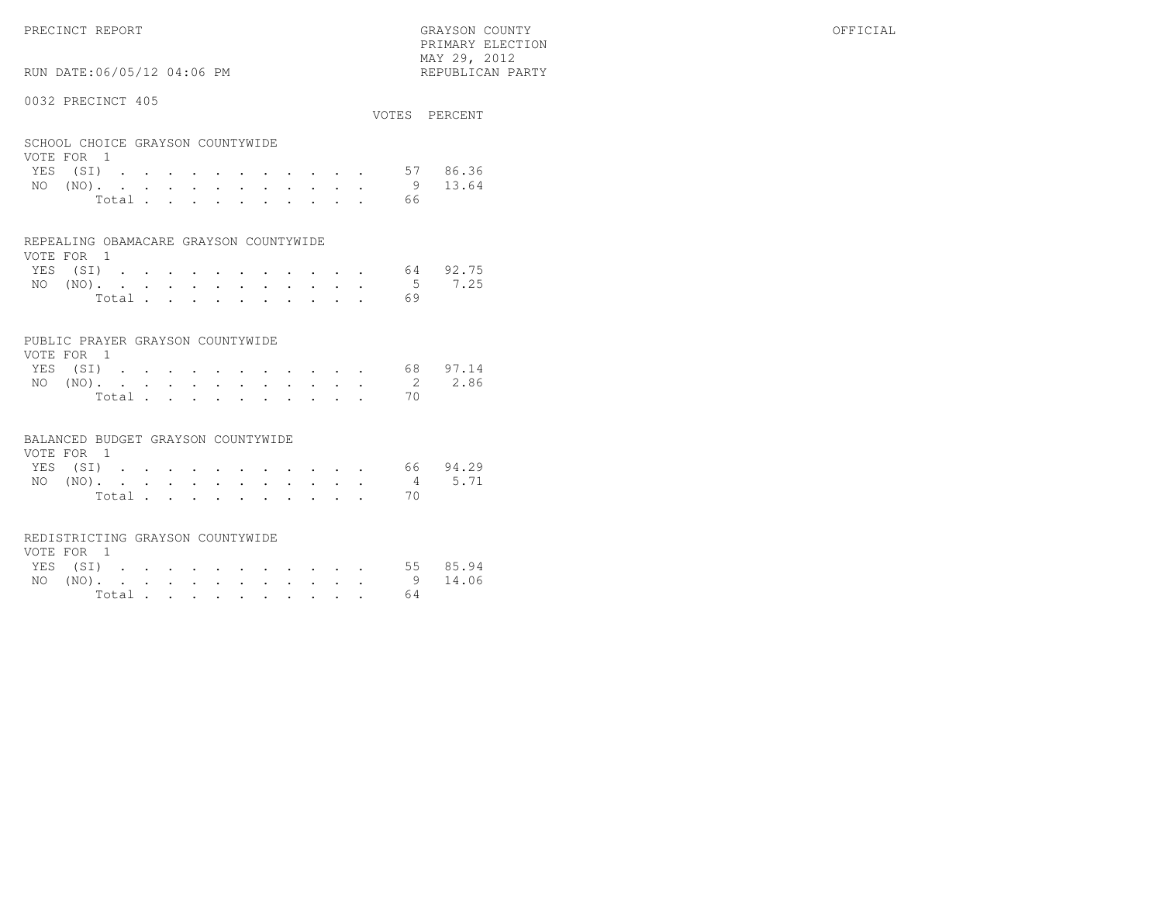PRECINCT REPORT GRAYSON COUNTY OFFICIAL $\text{MAX } 29, \quad 2012$ 

## RUN DATE:06/05/12 04:06 PM

#### 0032 PRECINCT 405

|                                                |  |  |  |  |       |  |  |    | VOTES PERCENT     |
|------------------------------------------------|--|--|--|--|-------|--|--|----|-------------------|
| SCHOOL CHOICE GRAYSON COUNTYWIDE<br>VOTE FOR 1 |  |  |  |  |       |  |  |    |                   |
|                                                |  |  |  |  |       |  |  |    |                   |
|                                                |  |  |  |  |       |  |  |    | YES (SI) 57 86.36 |
|                                                |  |  |  |  |       |  |  |    | 9 13.64           |
|                                                |  |  |  |  | Total |  |  | 66 |                   |
|                                                |  |  |  |  |       |  |  |    |                   |

PRIMARY ELECTION

#### REPEALING OBAMACARE GRAYSON COUNTYWIDE

| VOTE FOR 1 |  |  |  |  |  |                   |  |
|------------|--|--|--|--|--|-------------------|--|
|            |  |  |  |  |  | YES (SI) 64 92.75 |  |
|            |  |  |  |  |  | NO (NO). 5 7.25   |  |
|            |  |  |  |  |  |                   |  |

#### PUBLIC PRAYER GRAYSON COUNTYWIDE

| VOTE FOR 1 |  |  |  |  |  |  |          |                 |
|------------|--|--|--|--|--|--|----------|-----------------|
| YES (SI)   |  |  |  |  |  |  |          | 68 97.14        |
|            |  |  |  |  |  |  |          | NO (NO). 2 2.86 |
|            |  |  |  |  |  |  | Total 70 |                 |

#### BALANCED BUDGET GRAYSON COUNTYWIDE

| VOTE FOR 1 |          |  |  |  |  |  |  |                 |          |
|------------|----------|--|--|--|--|--|--|-----------------|----------|
|            | YES (SI) |  |  |  |  |  |  |                 | 66 94.29 |
|            |          |  |  |  |  |  |  | NO (NO). 4 5.71 |          |
|            |          |  |  |  |  |  |  | Total.          |          |

#### REDISTRICTING GRAYSON COUNTYWIDE

| VOTE FOR 1 |  |  |  |  |  |  |                   |  |
|------------|--|--|--|--|--|--|-------------------|--|
|            |  |  |  |  |  |  | YES (SI) 55 85.94 |  |
|            |  |  |  |  |  |  | NO (NO). 9 14.06  |  |
|            |  |  |  |  |  |  | Total $64$        |  |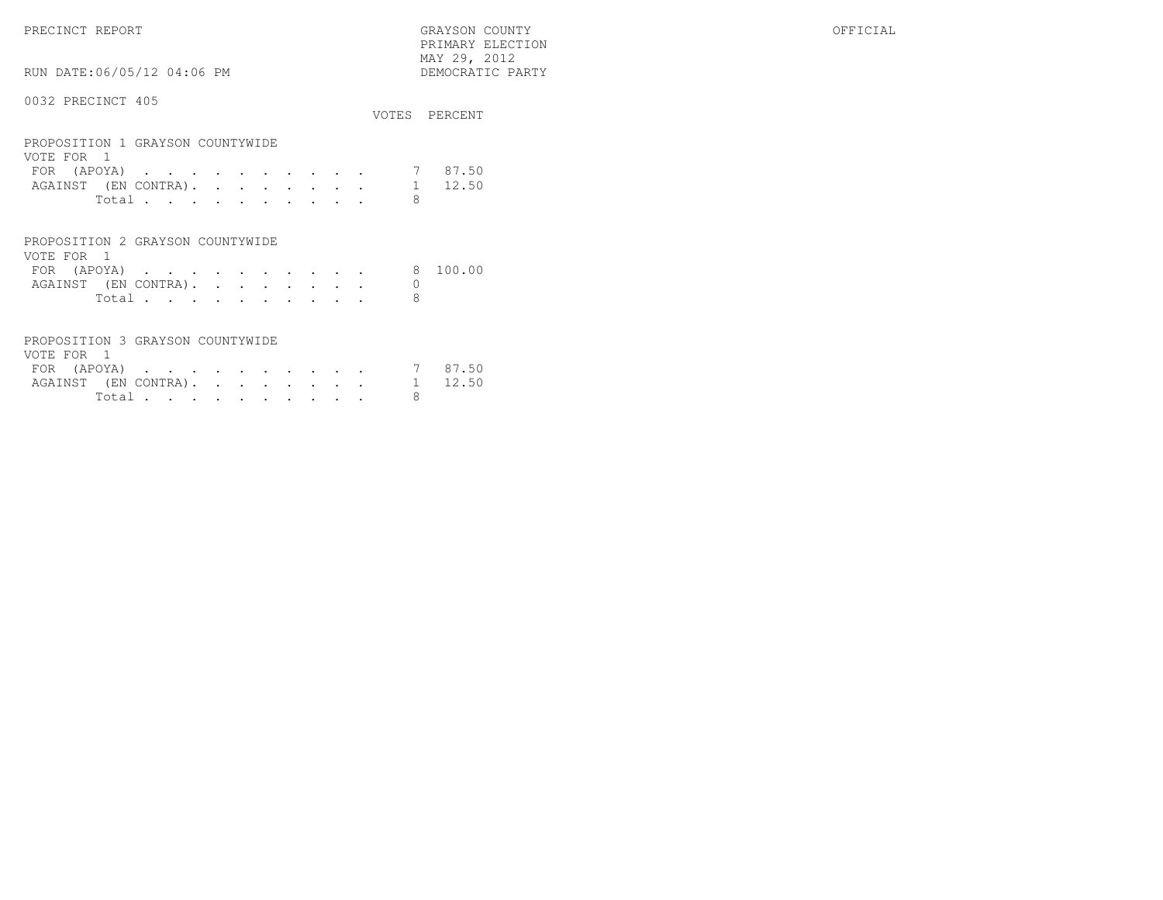PRECINCT REPORT GRAYSON COUNTY OFFICIAL PRIMARY ELECTION $\begin{array}{lll} \text{MAX} & 29, & 2012 \\ \text{NAY} & 29, & 2012 \end{array}$ RUN DATE:06/05/12 04:06 PM

#### 0032 PRECINCT 405

|                                                |   | VOTES PERCENT |
|------------------------------------------------|---|---------------|
| PROPOSITION 1 GRAYSON COUNTYWIDE<br>VOTE FOR 1 |   |               |
| FOR (APOYA)                                    |   | 87.50         |
| AGAINST (EN CONTRA).                           |   | 12.50         |
| Total                                          | 8 |               |
|                                                |   |               |
| PROPOSITION 2 GRAYSON COUNTYWIDE               |   |               |

| VOTE FOR 1 |                      |  |  |  |  |  |         |
|------------|----------------------|--|--|--|--|--|---------|
|            | FOR (APOYA)          |  |  |  |  |  | 8100.00 |
|            | AGAINST (EN CONTRA). |  |  |  |  |  |         |
|            | Total.               |  |  |  |  |  |         |

### PROPOSITION 3 GRAYSON COUNTYWIDE

| VOTE FOR 1                   |        |  |  |  |  |  |         |
|------------------------------|--------|--|--|--|--|--|---------|
| FOR $(APOYA)$                |        |  |  |  |  |  | 7 87.50 |
| AGAINST (EN CONTRA). 1 12.50 |        |  |  |  |  |  |         |
|                              | Total. |  |  |  |  |  |         |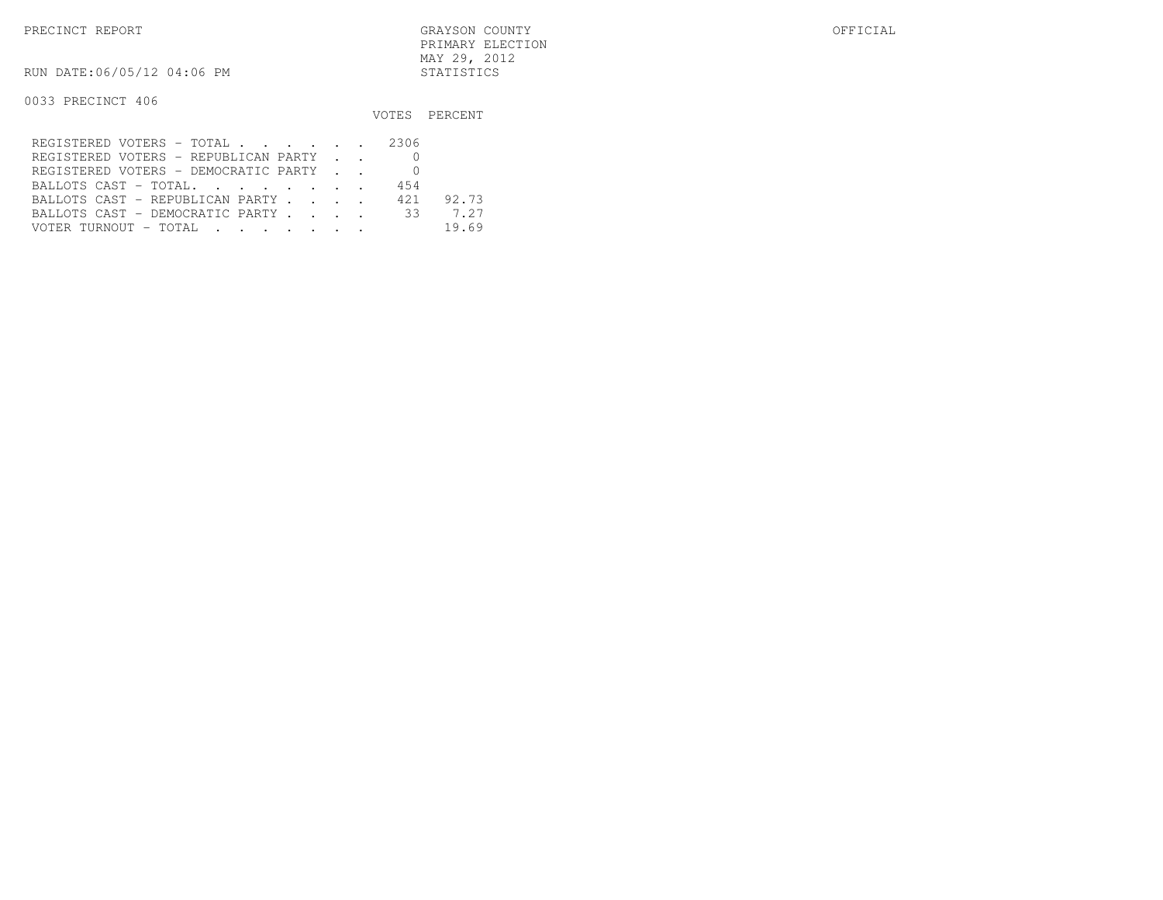RUN DATE:06/05/12 04:06 PM STATISTICS

|                                         |     | VOTES PERCENT |
|-----------------------------------------|-----|---------------|
| REGISTERED VOTERS - TOTAL 2306          |     |               |
| REGISTERED VOTERS - REPUBLICAN PARTY    |     |               |
| REGISTERED VOTERS - DEMOCRATIC PARTY    |     |               |
| BALLOTS CAST - TOTAL.                   | 454 |               |
| BALLOTS CAST - REPUBLICAN PARTY 421     |     | 92.73         |
| BALLOTS CAST - DEMOCRATIC PARTY 33 7.27 |     |               |
|                                         |     | 19.69         |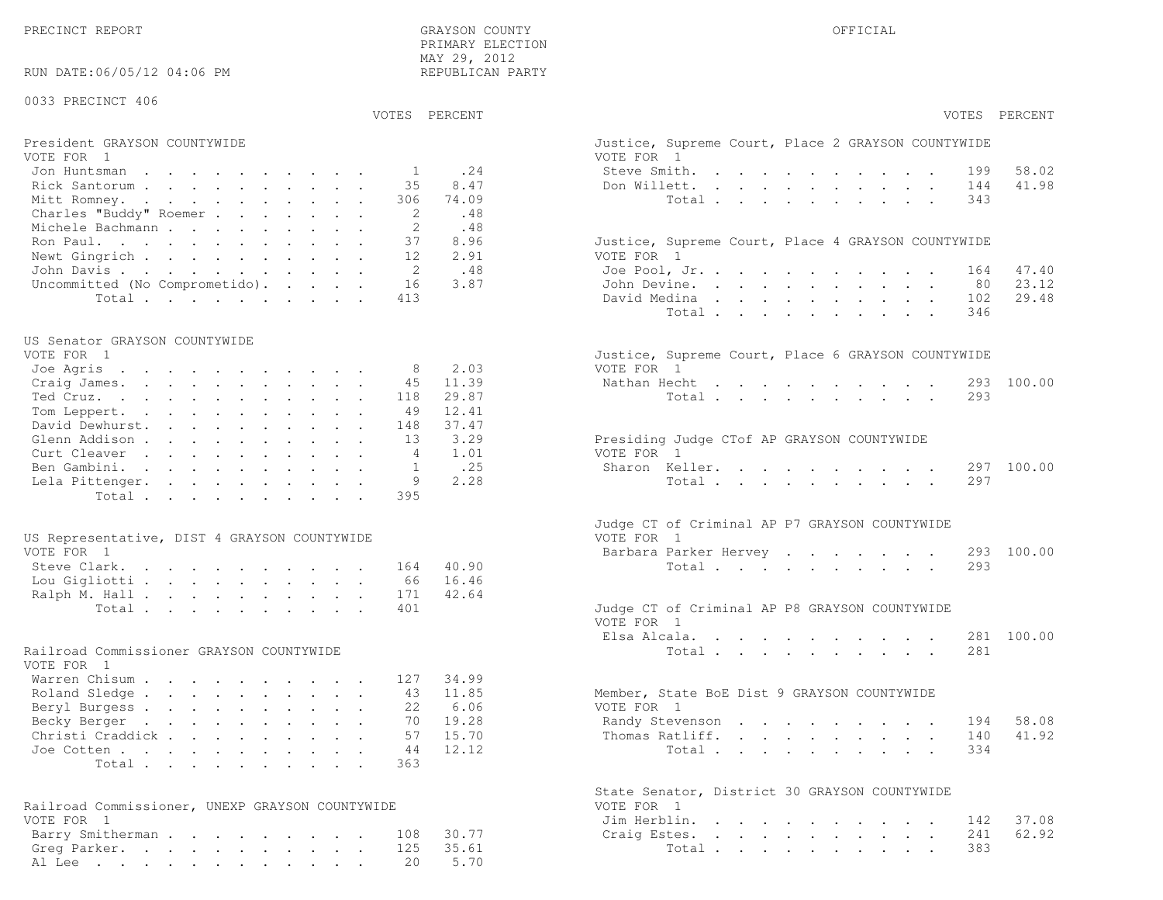41.98

23.12

29.48

41.92

62.92

| RUN DATE:06/05/12 04:06 PM                             | MAI 49, 4014<br>REPUBLICAN PARTY |                                                                  |
|--------------------------------------------------------|----------------------------------|------------------------------------------------------------------|
| 0033 PRECINCT 406                                      |                                  |                                                                  |
|                                                        | VOTES PERCENT                    | VOTES PERCENT                                                    |
| President GRAYSON COUNTYWIDE<br>VOTE FOR 1             |                                  | Justice, Supreme Court, Place 2 GRAYSON COUNTYWIDE<br>VOTE FOR 1 |
| Jon Huntsman                                           | .24<br>$\mathbf{1}$              | Steve Smith.<br>58.02<br>199                                     |
| Rick Santorum                                          | 8.47<br>35                       | 41.98<br>Don Willett.<br>144                                     |
| Mitt Romney.                                           | 74.09<br>306                     | Total<br>343                                                     |
| Charles "Buddy" Roemer                                 | .48<br>2                         |                                                                  |
| Michele Bachmann                                       | .48<br>2                         |                                                                  |
| Ron Paul.                                              | 37<br>8.96                       | Justice, Supreme Court, Place 4 GRAYSON COUNTYWIDE               |
| Newt Gingrich                                          | 2.91<br>12                       | VOTE FOR 1                                                       |
| John Davis.                                            | .48<br>-2                        | 47.40<br>Joe Pool, Jr.<br>164                                    |
| Uncommitted (No Comprometido).                         | 3.87<br>16                       | 23.12<br>John Devine.<br>80                                      |
| Total                                                  | 413                              | 29.48<br>David Medina<br>102                                     |
|                                                        |                                  | Total<br>346                                                     |
|                                                        |                                  |                                                                  |
| US Senator GRAYSON COUNTYWIDE                          |                                  |                                                                  |
| VOTE FOR 1                                             |                                  | Justice, Supreme Court, Place 6 GRAYSON COUNTYWIDE               |
| Joe Agris                                              | 2.03<br>8                        | VOTE FOR 1                                                       |
| Craig James.                                           | 45<br>11.39                      | Nathan Hecht<br>293 100.00                                       |
| Ted Cruz.                                              | 29.87<br>118                     | 293<br>Total                                                     |
| Tom Leppert.<br>David Dewhurst.                        | 12.41<br>49<br>37.47             |                                                                  |
|                                                        | 148<br>3.29<br>13                |                                                                  |
| Glenn Addison<br>Curt Cleaver                          | 1.01<br>4                        | Presiding Judge CTof AP GRAYSON COUNTYWIDE<br>VOTE FOR 1         |
| Ben Gambini.                                           | .25<br>-1                        | 297 100.00<br>Sharon Keller.                                     |
| Lela Pittenger.                                        | 2.28<br>9                        | Total<br>297                                                     |
| Total                                                  | 395                              |                                                                  |
|                                                        |                                  | Judge CT of Criminal AP P7 GRAYSON COUNTYWIDE                    |
| US Representative, DIST 4 GRAYSON COUNTYWIDE           |                                  | VOTE FOR 1                                                       |
| VOTE FOR 1                                             |                                  | 293 100.00<br>Barbara Parker Hervey                              |
| Steve Clark.                                           | 40.90<br>164                     | Total<br>293                                                     |
| Lou Gigliotti                                          | 16.46<br>66                      |                                                                  |
| Ralph M. Hall                                          | 171<br>42.64                     |                                                                  |
| Total                                                  | 401                              | Judge CT of Criminal AP P8 GRAYSON COUNTYWIDE<br>VOTE FOR 1      |
|                                                        |                                  | 281 100.00<br>Elsa Alcala.                                       |
| Railroad Commissioner GRAYSON COUNTYWIDE<br>VOTE FOR 1 |                                  | Total<br>281                                                     |
| Warren Chisum                                          | 34.99<br>127                     |                                                                  |
| Roland Sledge                                          | 11.85<br>43                      | Member, State BoE Dist 9 GRAYSON COUNTYWIDE                      |
| Beryl Burgess                                          | 6.06<br>22                       | VOTE FOR 1                                                       |
| Becky Berger                                           | 70 19.28                         | Randy Stevenson 194 58.08                                        |
| Christi Craddick                                       | 57<br>15.70                      | 41.92<br>Thomas Ratliff.<br>140                                  |
| Joe Cotten                                             | 12.12<br>44                      | Total<br>334                                                     |
| Total                                                  | 363                              |                                                                  |
|                                                        |                                  | State Senator, District 30 GRAYSON COUNTYWIDE                    |
| Railroad Commissioner, UNEXP GRAYSON COUNTYWIDE        |                                  | VOTE FOR 1                                                       |
| VOTE FOR 1                                             |                                  | 37.08<br>Jim Herblin.<br>142                                     |
| Barry Smitherman                                       | 30.77<br>108                     | 62.92<br>Craig Estes.<br>241                                     |
| Greg Parker.                                           | 35.61<br>125                     | Total<br>383                                                     |
| Al Lee                                                 | 5.70<br>20                       |                                                                  |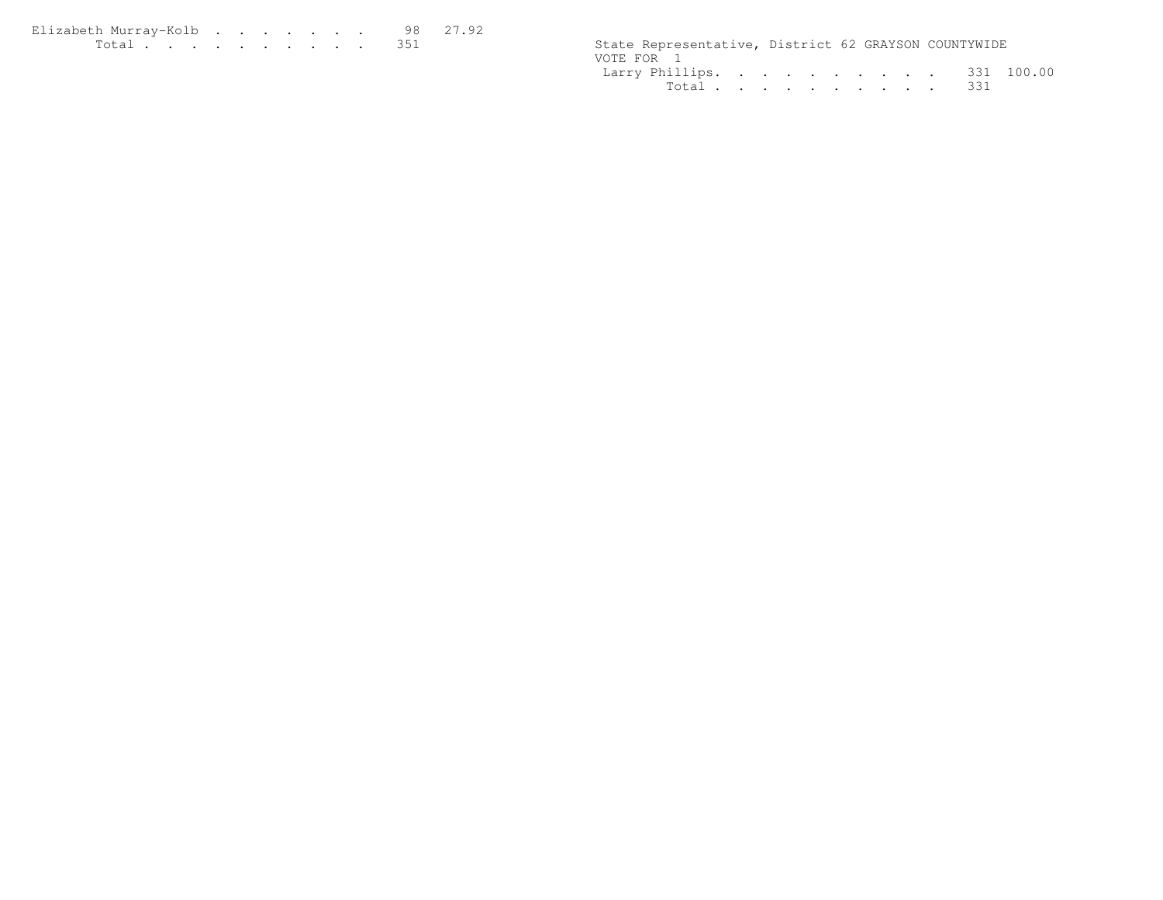| Elizabeth Murrav-Kolb 98 27.92                                                                                  |  |  |  |  |  |                                                      |  |  |
|-----------------------------------------------------------------------------------------------------------------|--|--|--|--|--|------------------------------------------------------|--|--|
| the contract of the contract of the contract of the contract of the contract of the contract of the contract of |  |  |  |  |  | State Representative, District 62 GRAYSON COUNTYWIDE |  |  |

|            | State Representative, District 62 GRAYSON COUNTYWIDE |  |  |  |  |  |
|------------|------------------------------------------------------|--|--|--|--|--|
| VOTE FOR 1 |                                                      |  |  |  |  |  |
|            | Larry Phillips. 331 100.00                           |  |  |  |  |  |
|            | Total 331                                            |  |  |  |  |  |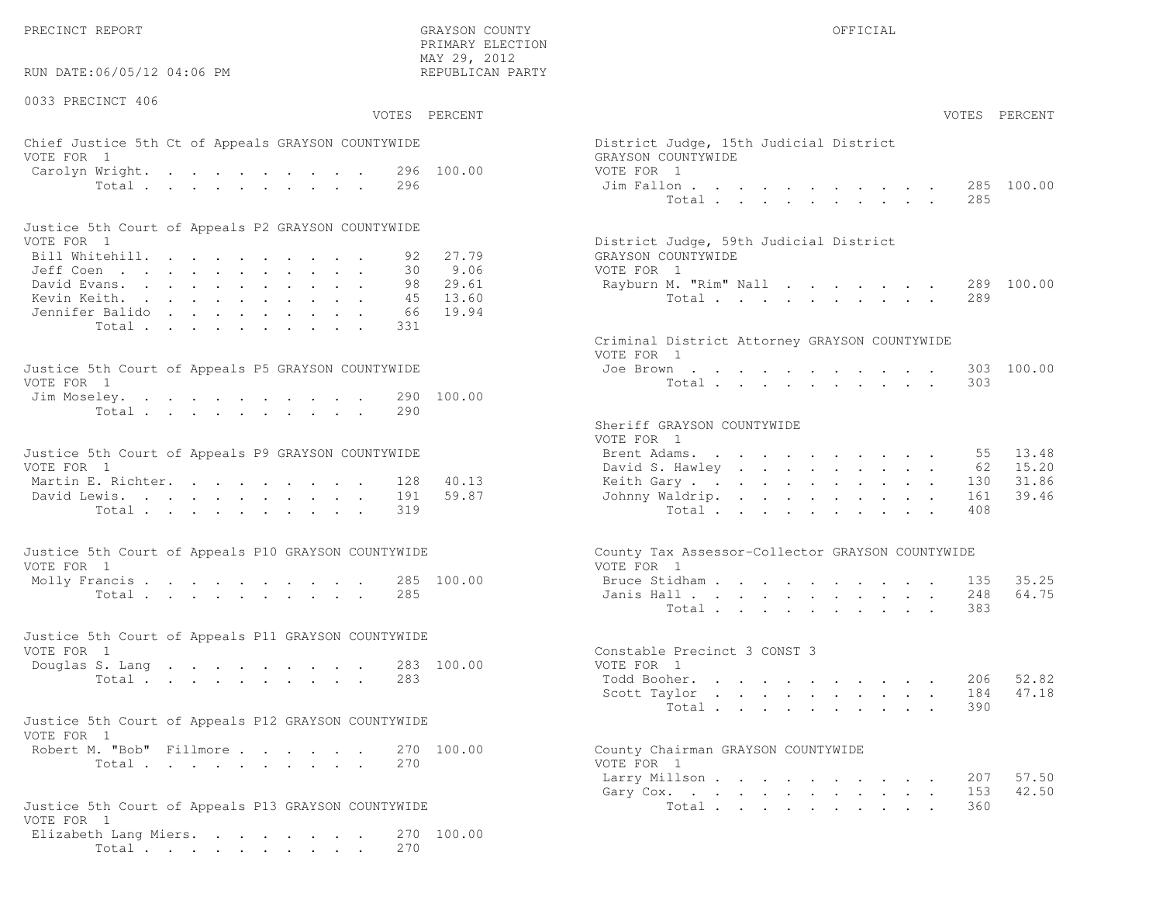PRECINCT REPORT OF THE SERVICE OF THE GRAYSON COUNTY OF THE GRAYSON COUNTY OF THE GRAYSON OF THE GRAYSON COUNTY

RUN DATE:06/05/12 04:06 PM

0033 PRECINCT 406

VOTES PERCENT VOTES PERCENT

 PRIMARY ELECTION MAY 29, 2012REPUBLICAN PARTY

#### Chief Justice 5th Ct of Appeals GRAYSON COUNTYWIDE District Distri VOTE FOR 1 GRAYS Carolyn Wright. . . . . . . . . 296 100.00 VOTE Total . . . . . . . . . 296 Jim

| Justice 5th Court of Appeals P2 GRAYSON COUNTYWIDE |  |  |  |  |  |                                        |
|----------------------------------------------------|--|--|--|--|--|----------------------------------------|
| VOTE FOR 1                                         |  |  |  |  |  | District Judge, 59th Judicial District |
| Bill Whitehill. 92 27.79                           |  |  |  |  |  | GRAYSON COUNTYWIDE                     |
| Jeff Coen 30 9.06                                  |  |  |  |  |  | VOTE FOR 1                             |
| David Evans. 98 29.61                              |  |  |  |  |  | Rayburn M. "Rim" Nall 289 100.00       |
| Kevin Keith. 45 13.60                              |  |  |  |  |  | Total 289                              |
| Jennifer Balido 66 19.94                           |  |  |  |  |  |                                        |
| Total 331                                          |  |  |  |  |  |                                        |

| Justice 5th Court of Appeals P5 GRAYSON COUNTYWIDE | Joe Brown 303 100.00 |
|----------------------------------------------------|----------------------|
| VOTE FOR 1                                         | Total 303            |
| Jim Moseley. 290 100.00                            |                      |
| Total 290                                          |                      |

| Justice 5th Court of Appeals P9 GRAYSON COUNTYWIDE | Brent Adams. 55 13.48     |
|----------------------------------------------------|---------------------------|
| VOTE FOR 1                                         | David S. Hawley 62 15.20  |
| Martin E. Richter. 128 40.13                       | Keith Gary 130 31.86      |
| David Lewis. 191 59.87                             | Johnny Waldrip. 161 39.46 |
| Total 319                                          | Total 408                 |

| Justice 5th Court of Appeals P10 GRAYSON COUNTYWIDE | County Tax Assessor-Collector GRAYSON COUNTYWIDE |
|-----------------------------------------------------|--------------------------------------------------|
| VOTE FOR 1                                          | VOTE FOR 1                                       |
| Molly Francis 285 100.00                            | Bruce Stidham 135 35.25                          |
| Total 285                                           | Janis Hall 248 64.75                             |

| Justice 5th Court of Appeals P11 GRAYSON COUNTYWIDE |  |  |  |           |                              |  |
|-----------------------------------------------------|--|--|--|-----------|------------------------------|--|
| VOTE FOR 1                                          |  |  |  |           | Constable Precinct 3 CONST 3 |  |
| Douglas S. Lang 283 100.00                          |  |  |  |           | VOTE FOR 1                   |  |
|                                                     |  |  |  | Total 283 | Todd Booher. 206 52.82       |  |

| Justice 5th Court of Appeals P12 GRAYSON COUNTYWIDE |           |  |  |  |                                    |
|-----------------------------------------------------|-----------|--|--|--|------------------------------------|
| VOTE FOR 1                                          |           |  |  |  |                                    |
| Robert M. "Bob" Fillmore 270 100.00                 |           |  |  |  | County Chairman GRAYSON COUNTYWIDE |
|                                                     | Total 270 |  |  |  | VOTE FOR 1                         |

```
Justice 5th Court of Appeals P13 GRAYSON COUNTYWIDE Total . . . . . . . . . . . . . 360
VOTE FOR 1
 Elizabeth Lang Miers. . . . . . . . 270 100.00Total . . . . . . . . . . 270
```

| AY 29, 2012<br>EPUBLICAN PARTY           |                                                                                                                  |                |        |                      |                                            |                                                                               |                                       |                                                                                       |                                                                                                                |                               |                                  |
|------------------------------------------|------------------------------------------------------------------------------------------------------------------|----------------|--------|----------------------|--------------------------------------------|-------------------------------------------------------------------------------|---------------------------------------|---------------------------------------------------------------------------------------|----------------------------------------------------------------------------------------------------------------|-------------------------------|----------------------------------|
| PERCENT                                  |                                                                                                                  |                |        |                      |                                            |                                                                               |                                       |                                                                                       |                                                                                                                |                               | VOTES PERCENT                    |
| 100.00                                   | District Judge, 15th Judicial District<br>GRAYSON COUNTYWIDE<br>VOTE FOR 1<br>Jim Fallon                         | Total $\cdots$ |        |                      |                                            |                                                                               |                                       |                                                                                       |                                                                                                                | 285                           | 285 100.00                       |
| 27.79<br>9.06<br>29.61<br>13.60<br>19.94 | District Judge, 59th Judicial District<br>GRAYSON COUNTYWIDE<br>VOTE FOR 1<br>Rayburn M. "Rim" Nall              | Total $\cdots$ |        |                      |                                            |                                                                               |                                       |                                                                                       |                                                                                                                | 289                           | 289 100.00                       |
| 100.00                                   | Criminal District Attorney GRAYSON COUNTYWIDE<br>VOTE FOR 1<br>Joe Brown                                         | Total          |        |                      |                                            |                                                                               |                                       |                                                                                       |                                                                                                                | 303<br>303                    | 100.00                           |
| 40.13<br>59.87                           | Sheriff GRAYSON COUNTYWIDE<br>VOTE FOR 1<br>Brent Adams. .<br>David S. Hawley<br>Keith Gary<br>Johnny Waldrip. . | Total          |        |                      | $\mathbf{r} = \mathbf{r} \cdot \mathbf{r}$ | $\mathbf{z} = \mathbf{z} + \mathbf{z}$ , where $\mathbf{z} = \mathbf{z}$      | and a strategic control<br>$\sim$ $-$ | and a strong control of the strong strong and<br>$\mathcal{L}^{\text{max}}$<br>$\sim$ | $\mathbf{L}$                                                                                                   | 55<br>62<br>130<br>161<br>408 | 13.48<br>15.20<br>31.86<br>39.46 |
| 100.00                                   | County Tax Assessor-Collector GRAYSON COUNTYWIDE<br>VOTE FOR 1<br>Bruce Stidham<br>Janis Hall                    | Total $\cdots$ |        | $\ddot{\phantom{0}}$ |                                            | $\mathbf{r} = \mathbf{r} + \mathbf{r} + \mathbf{r} + \mathbf{r} + \mathbf{r}$ |                                       | $\mathbf{r} = \mathbf{r} \cdot \mathbf{r}$ .                                          | ÷.                                                                                                             | 135<br>248<br>383             | 35.25<br>64.75                   |
| 100.00                                   | Constable Precinct 3 CONST 3<br>VOTE FOR 1<br>Todd Booher.<br>Scott Taylor                                       | Total          | $\sim$ | $\mathbf{r}$         |                                            |                                                                               |                                       | $\mathbf{L} = \mathbf{L}$                                                             | and a series of the series of the series of the series of the series of the series of the series of the series | 206<br>184<br>390             | 52.82<br>47.18                   |
| 100.00                                   | County Chairman GRAYSON COUNTYWIDE<br>VOTE FOR 1<br>Larry Millson<br>Gary Cox.                                   | $T \sim 1$     |        |                      |                                            |                                                                               |                                       |                                                                                       | and a strong control of the strong strong and                                                                  | 207<br>153<br>260             | 57.50<br>42.50                   |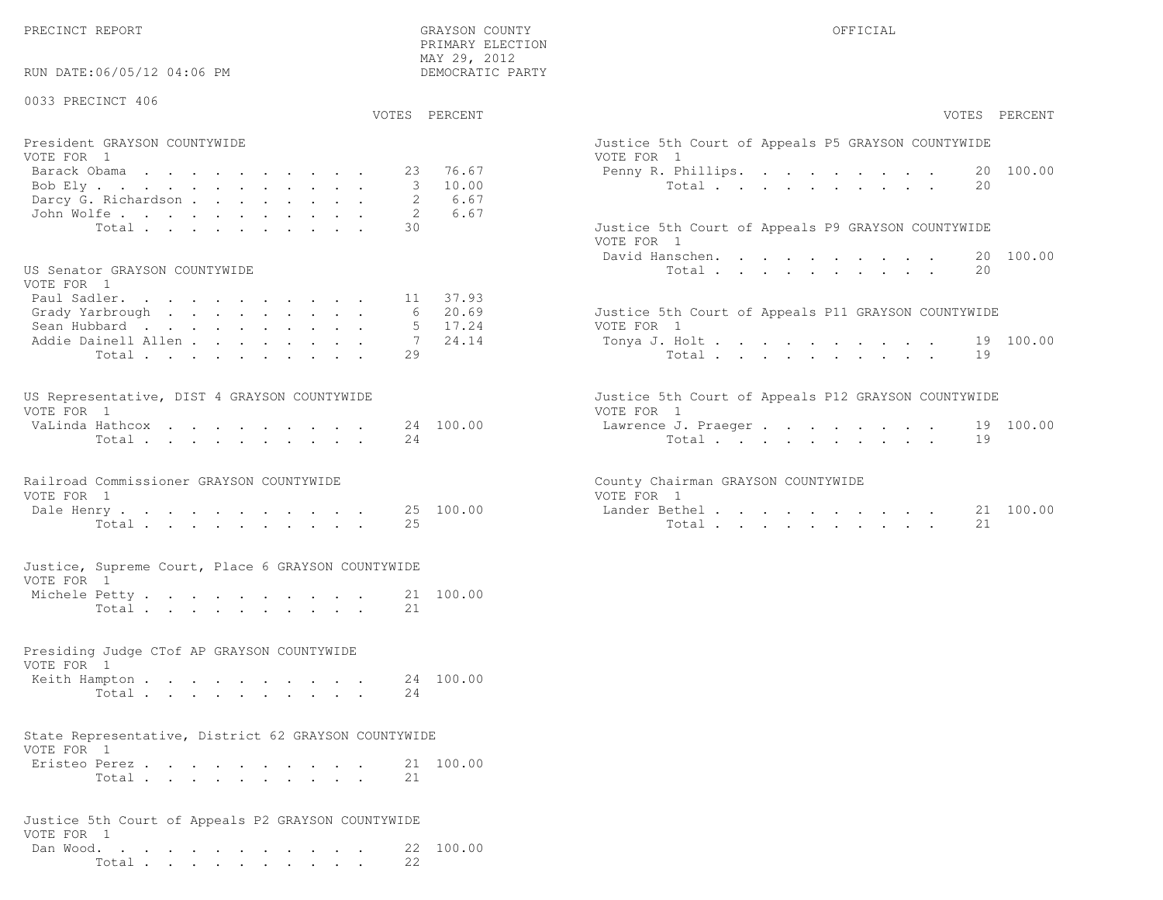PRECINCT REPORT THE COUNTY GRAYSON COUNTY THE COUNTY OFFICIAL SERVICES OF SAMPLE OF STREET OF STREET ALL OF STREET ALL SERVICES OF STREET ALL SERVICES OF STREET ALL SERVICES OF STREET ALL SERVICES OF STREET ALL SERVICES OF

RUN DATE:06/05/12 04:06 PM

#### 0033 PRECINCT 406

VOTES PERCENT VOTES PERCENT

 PRIMARY ELECTION MAY 29, 2012DEMOCRATIC PARTY

| President GRAYSON COUNTYWIDE | Justice 5th Court of Appeals P5 GRAYSON COUNTYWIDE |
|------------------------------|----------------------------------------------------|
| VOTE FOR 1                   | VOTE FOR 1                                         |
|                              | Penny R. Phillips. 20 100.00                       |
| Bob Ely 3 10.00              | Total 20                                           |
| Darcy G. Richardson 2 6.67   |                                                    |
| John Wolfe. 2 6.67           |                                                    |
| Total 30                     | Justice 5th Court of Appeals P9 GRAYSON COUNTYWIDE |

#### US Senator GRAYSON COUNTYWIDE

| VOTE FOR 1                  |  |  |  |  |  |                                                     |  |
|-----------------------------|--|--|--|--|--|-----------------------------------------------------|--|
| Paul Sadler. 11 37.93       |  |  |  |  |  |                                                     |  |
| Grady Yarbrough 6 20.69     |  |  |  |  |  | Justice 5th Court of Appeals P11 GRAYSON COUNTYWIDE |  |
| Sean Hubbard 5 17.24        |  |  |  |  |  | VOTE FOR 1                                          |  |
| Addie Dainell Allen 7 24.14 |  |  |  |  |  | Tonya J. Holt 19 100.00                             |  |
| Total 29                    |  |  |  |  |  | Total 19                                            |  |

| US Representative, DIST 4 GRAYSON COUNTYWIDE |  |  |  |  |  | Justice 5th Court of Appeals P12 GRAYSON COUNTYWIDE |  |
|----------------------------------------------|--|--|--|--|--|-----------------------------------------------------|--|
| VOTE FOR 1                                   |  |  |  |  |  | VOTE FOR 1                                          |  |
| VaLinda Hathcox 24 100.00                    |  |  |  |  |  | Lawrence J. Praeger 19 100.00                       |  |
| Total 24                                     |  |  |  |  |  | Total 19                                            |  |

#### Railroad Commissioner GRAYSON COUNTYWIDE County County VOTE FOR 1 VOTE FOR 1

| Dale<br>$H \leftrightarrow H$ | LO 0.<br>.00<br>ᄼᄂ<br>ر ے | ander<br>Bethe<br>பட | $\sim$<br>100 (<br>. . |
|-------------------------------|---------------------------|----------------------|------------------------|
| $TA + \cdot$                  | ب ہے                      | n+                   | ــ ت                   |

#### Justice, Supreme Court, Place 6 GRAYSON COUNTYWIDEVOTE FOR 1

| 1011 LOI 1    |          |  |  |  |  |  |           |
|---------------|----------|--|--|--|--|--|-----------|
| Michele Petty |          |  |  |  |  |  | 21 100.00 |
|               | Total 21 |  |  |  |  |  |           |

#### Presiding Judge CTof AP GRAYSON COUNTYWIDE

| VOTE FOR 1              |  |  |  |  |  |          |  |
|-------------------------|--|--|--|--|--|----------|--|
| Keith Hampton 24 100.00 |  |  |  |  |  |          |  |
|                         |  |  |  |  |  | Total 24 |  |

### State Representative, District 62 GRAYSON COUNTYWIDE

| VOTE FOR 1    |       |  |  |  |  |  |           |
|---------------|-------|--|--|--|--|--|-----------|
| Eristeo Perez |       |  |  |  |  |  | 21 100.00 |
|               | Total |  |  |  |  |  |           |

#### Justice 5th Court of Appeals P2 GRAYSON COUNTYWIDEVOTE FOR 1 Dan Wood. . . . . . . . . . . . 22 100.00Total . . . . . . . . . . 22

| PERCENT                          | VOTES PERCENT                                                                                                       |
|----------------------------------|---------------------------------------------------------------------------------------------------------------------|
| 76.67<br>10.00<br>6.67<br>6.67   | Justice 5th Court of Appeals P5 GRAYSON COUNTYWIDE<br>VOTE FOR 1<br>Penny R. Phillips.<br>20 100.00<br>Total<br>20  |
|                                  | Justice 5th Court of Appeals P9 GRAYSON COUNTYWIDE<br>VOTE FOR 1<br>David Hanschen. 20 100.00<br>Total<br>20        |
| 37.93<br>20.69<br>17.24<br>24.14 | Justice 5th Court of Appeals P11 GRAYSON COUNTYWIDE<br>VOTE FOR 1<br>Tonya J. Holt 19 100.00<br>Total $\cdot$<br>19 |
| 100.00                           | Justice 5th Court of Appeals P12 GRAYSON COUNTYWIDE<br>VOTE FOR 1<br>Lawrence J. Praeger 19 100.00<br>Total<br>19   |
| 100.00                           | County Chairman GRAYSON COUNTYWIDE<br>VOTE FOR 1<br>100.00<br>Lander Bethel.<br>21<br>2.1<br>Total                  |
|                                  |                                                                                                                     |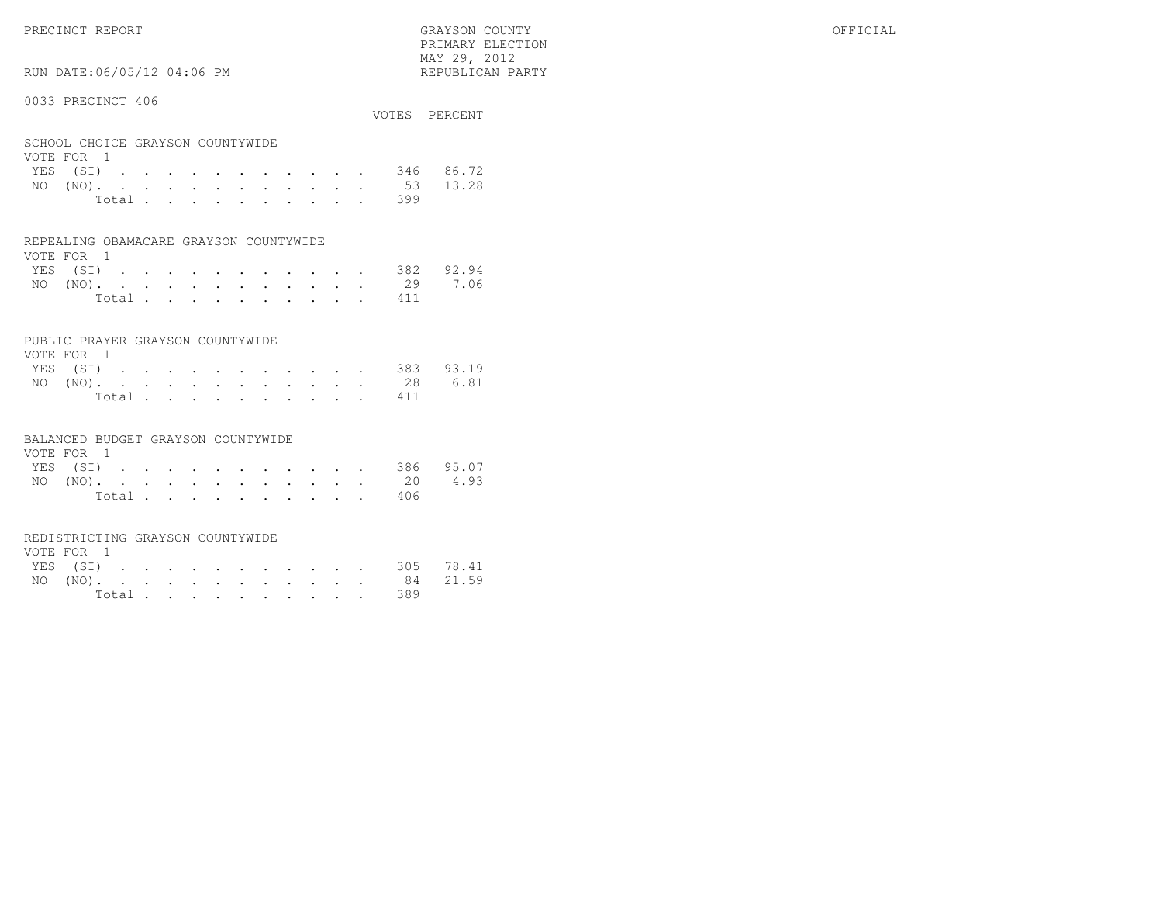PRIMARY ELECTION $\text{MAX } 29, \quad 2012$ 

# RUN DATE:06/05/12 04:06 PM

#### 0033 PRECINCT 406

| OUJJ INDUINUI IUU                              |                |  |  |  |  |  |     | VOTES PERCENT      |
|------------------------------------------------|----------------|--|--|--|--|--|-----|--------------------|
| SCHOOL CHOICE GRAYSON COUNTYWIDE<br>VOTE FOR 1 |                |  |  |  |  |  |     |                    |
|                                                |                |  |  |  |  |  |     | YES (SI) 346 86.72 |
|                                                |                |  |  |  |  |  |     |                    |
|                                                |                |  |  |  |  |  |     | NO (NO). 53 13.28  |
|                                                | Total $\cdots$ |  |  |  |  |  | 399 |                    |

#### REPEALING OBAMACARE GRAYSON COUNTYWIDE

| VOTE FOR 1 |  |  |  |  |  |  |                    |  |
|------------|--|--|--|--|--|--|--------------------|--|
|            |  |  |  |  |  |  | YES (SI) 382 92.94 |  |
|            |  |  |  |  |  |  | NO (NO). 29 7.06   |  |
|            |  |  |  |  |  |  | Total 411          |  |

#### PUBLIC PRAYER GRAYSON COUNTYWIDE

| VOTE FOR 1         |  |  |  |  |  |           |  |
|--------------------|--|--|--|--|--|-----------|--|
| YES (SI) 383 93.19 |  |  |  |  |  |           |  |
| NO (NO). 28 6.81   |  |  |  |  |  |           |  |
|                    |  |  |  |  |  | Total 411 |  |

#### BALANCED BUDGET GRAYSON COUNTYWIDE

| VOTE FOR 1 |  |  |  |  |  |                |                    |  |
|------------|--|--|--|--|--|----------------|--------------------|--|
|            |  |  |  |  |  |                | YES (SI) 386 95.07 |  |
|            |  |  |  |  |  |                | NO (NO). 20 4.93   |  |
|            |  |  |  |  |  | Total $\cdots$ | 406                |  |

#### REDISTRICTING GRAYSON COUNTYWIDE

| VOTE FOR 1 |  |  |  |  |  |  |                    |  |
|------------|--|--|--|--|--|--|--------------------|--|
|            |  |  |  |  |  |  | YES (SI) 305 78.41 |  |
|            |  |  |  |  |  |  | NO (NO). 84 21.59  |  |
|            |  |  |  |  |  |  | Total 389          |  |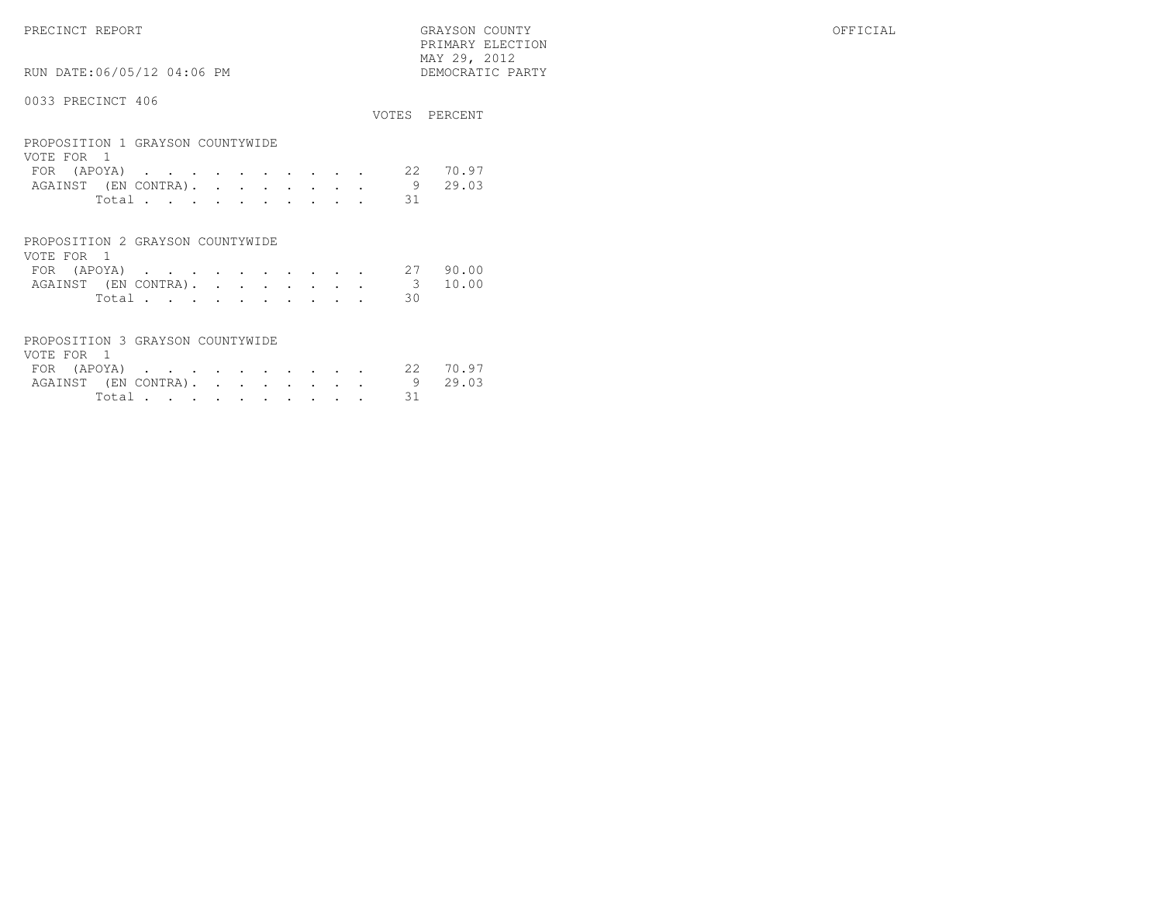PRECINCT REPORT GRAYSON COUNTY OFFICIAL PRIMARY ELECTION $\begin{array}{lll} \text{MAX} & 29, & 2012 \\ \text{NAY} & 29, & 2012 \end{array}$ 

# RUN DATE:06/05/12 04:06 PM

|                                                |  |  |  |  |       | VOTES PERCENT |
|------------------------------------------------|--|--|--|--|-------|---------------|
| PROPOSITION 1 GRAYSON COUNTYWIDE<br>VOTE FOR 1 |  |  |  |  |       |               |
| FOR (APOYA)                                    |  |  |  |  | -2.2. | 70.97         |
| AGAINST (EN CONTRA).                           |  |  |  |  | 9     | 29.03         |
| Total                                          |  |  |  |  | 31    |               |
|                                                |  |  |  |  |       |               |
|                                                |  |  |  |  |       |               |

| PROPOSITION 2 GRAYSON COUNTYWIDE |  |  |  |  |  |        |    |  |
|----------------------------------|--|--|--|--|--|--------|----|--|
| VOTE FOR 1                       |  |  |  |  |  |        |    |  |
| FOR (APOYA) 27 90.00             |  |  |  |  |  |        |    |  |
| AGAINST (EN CONTRA). 3 10.00     |  |  |  |  |  |        |    |  |
|                                  |  |  |  |  |  | Total. | 30 |  |

| PROPOSITION 3 GRAYSON COUNTYWIDE |        |  |  |  |         |
|----------------------------------|--------|--|--|--|---------|
| VOTE FOR 1                       |        |  |  |  |         |
| FOR (APOYA) 22 70.97             |        |  |  |  |         |
| AGAINST (EN CONTRA).             |        |  |  |  | 9 29.03 |
|                                  | Total. |  |  |  |         |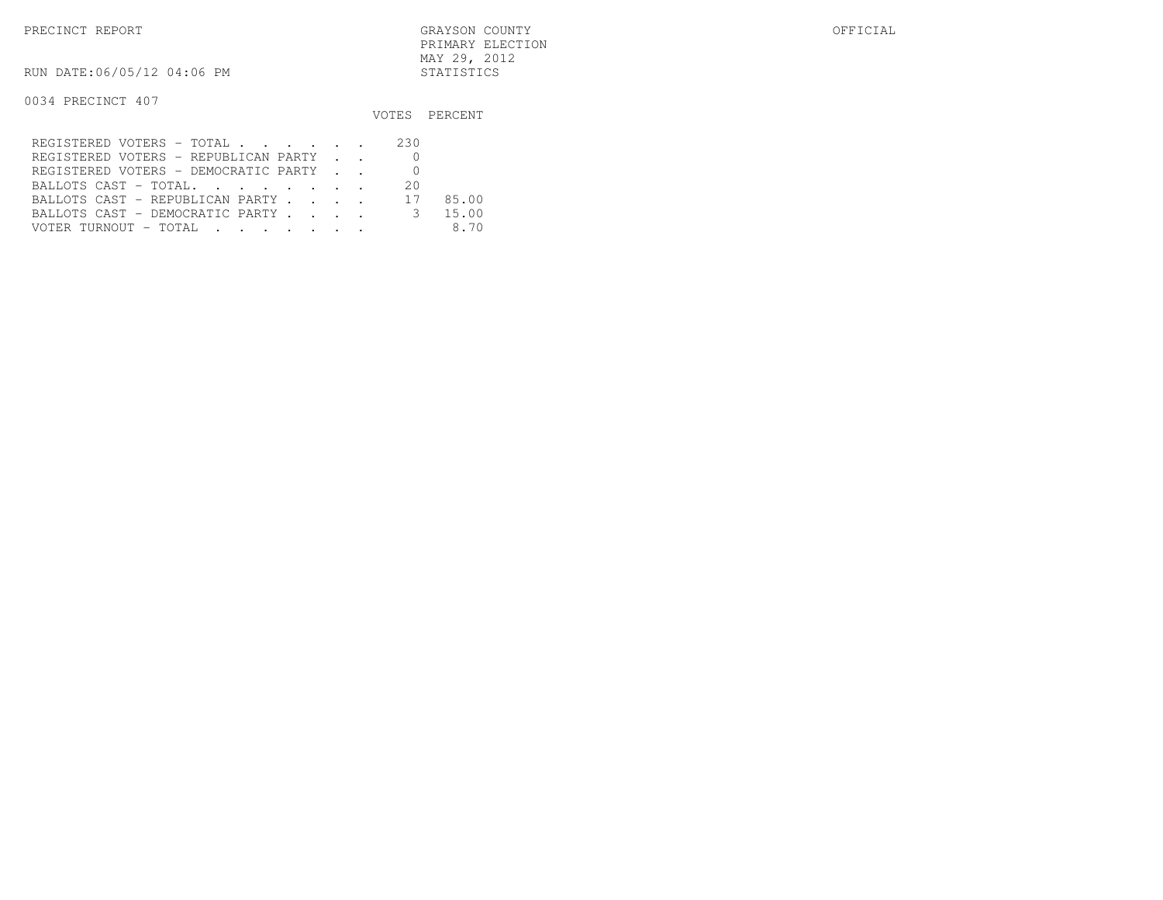RUN DATE:06/05/12 04:06 PM STATISTICS

|                                               |      | VOTES PERCENT |
|-----------------------------------------------|------|---------------|
| REGISTERED VOTERS - TOTAL                     | -230 |               |
| REGISTERED VOTERS - REPUBLICAN PARTY          |      |               |
| REGISTERED VOTERS - DEMOCRATIC PARTY          |      |               |
| BALLOTS CAST - TOTAL.                         | -20  |               |
| BALLOTS CAST - REPUBLICAN PARTY 17            |      | 85.00         |
| BALLOTS CAST - DEMOCRATIC PARTY 3             |      | 15.00         |
| VOTER TURNOUT – TOTAL   .   .   .   .   .   . |      | 8.70          |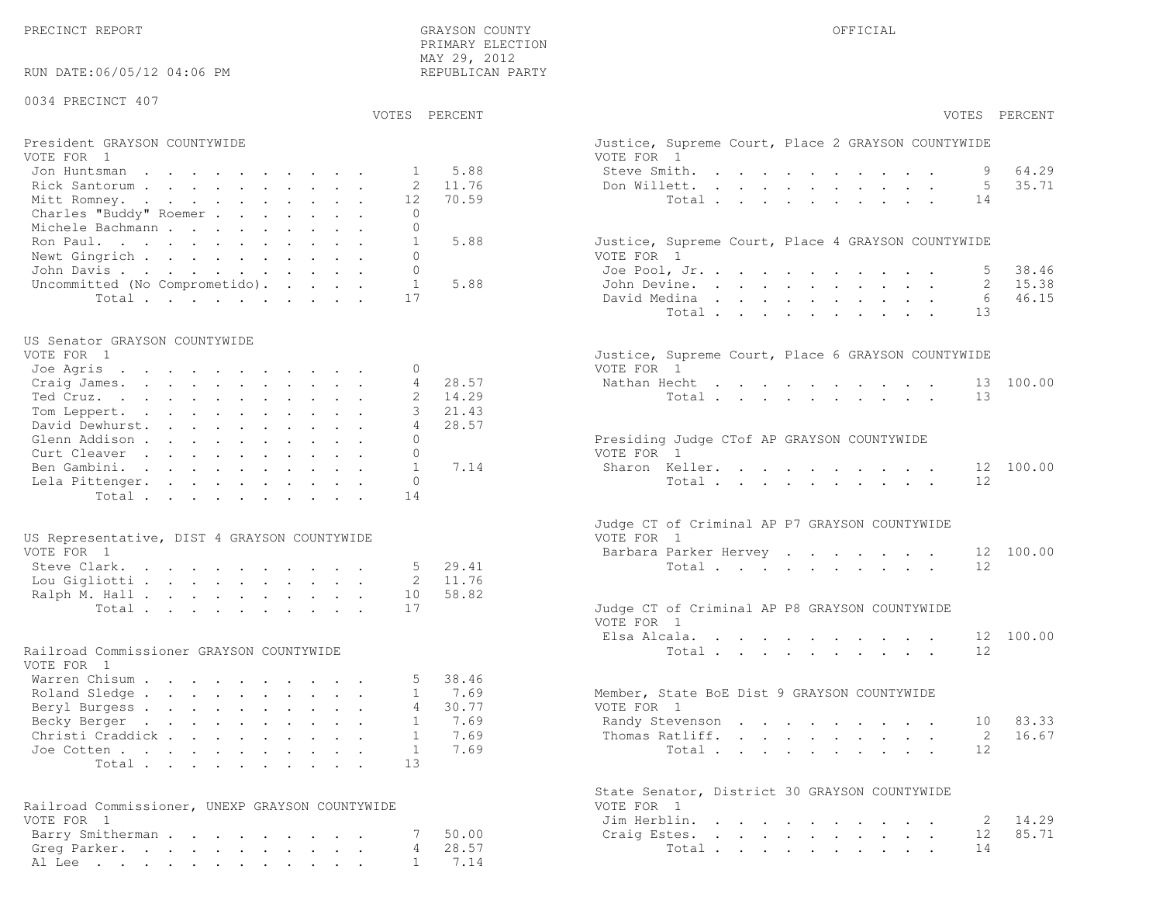PRECINCT REPORT GRAYSON COUNTY OFFICIAL

| RUN DATE:06/05/12 04:06 PM                             | PRIMARY ELECTION<br>MAY 29, 2012<br>REPUBLICAN PARTY |                                                                  |
|--------------------------------------------------------|------------------------------------------------------|------------------------------------------------------------------|
| 0034 PRECINCT 407                                      |                                                      |                                                                  |
|                                                        | VOTES PERCENT                                        | VOTES PERCENT                                                    |
| President GRAYSON COUNTYWIDE<br>VOTE FOR 1             |                                                      | Justice, Supreme Court, Place 2 GRAYSON COUNTYWIDE<br>VOTE FOR 1 |
| Jon Huntsman                                           | 5.88<br>$\mathbf{1}$                                 | 64.29<br>Steve Smith.                                            |
| Rick Santorum                                          | 11.76<br>2                                           | 35.71<br>5<br>Don Willett.                                       |
| Mitt Romney.                                           | 12<br>70.59                                          | Total<br>14                                                      |
| Charles "Buddy" Roemer<br>Michele Bachmann             | $\circ$<br>$\mathbf{0}$                              |                                                                  |
| Ron Paul.                                              | 5.88<br>$\mathbf{1}$                                 | Justice, Supreme Court, Place 4 GRAYSON COUNTYWIDE               |
| Newt Gingrich                                          | $\Omega$                                             | VOTE FOR 1                                                       |
| John Davis                                             | $\mathbf{0}$                                         | 38.46<br>Joe Pool, Jr.                                           |
| Uncommitted (No Comprometido).                         | $\mathbf{1}$<br>5.88                                 | 15.38<br>John Devine.<br>2                                       |
| Total                                                  | 17                                                   | 46.15<br>David Medina<br>6                                       |
|                                                        |                                                      | Total<br>13                                                      |
| US Senator GRAYSON COUNTYWIDE                          |                                                      |                                                                  |
| VOTE FOR 1<br>Joe Agris                                | 0                                                    | Justice, Supreme Court, Place 6 GRAYSON COUNTYWIDE<br>VOTE FOR 1 |
| Craig James.                                           | 4<br>28.57                                           | Nathan Hecht<br>100.00<br>13                                     |
| Ted Cruz.                                              | 14.29                                                | 13<br>Total                                                      |
| Tom Leppert.                                           | 3<br>21.43                                           |                                                                  |
| David Dewhurst.                                        | $\overline{4}$<br>28.57                              |                                                                  |
| Glenn Addison                                          | $\mathbf{0}$<br>$\mathbf{0}$                         | Presiding Judge CTof AP GRAYSON COUNTYWIDE                       |
| Curt Cleaver<br>Ben Gambini.                           | $\mathbf{1}$<br>7.14                                 | VOTE FOR 1<br>Sharon Keller.<br>100.00<br>12                     |
| Lela Pittenger.                                        | $\mathbf{0}$                                         | 12<br>Total                                                      |
| Total                                                  | 14                                                   |                                                                  |
|                                                        |                                                      | Judge CT of Criminal AP P7 GRAYSON COUNTYWIDE                    |
| US Representative, DIST 4 GRAYSON COUNTYWIDE           |                                                      | VOTE FOR 1                                                       |
| VOTE FOR 1                                             |                                                      | 12 100.00<br>Barbara Parker Hervey                               |
| Steve Clark.                                           | 5<br>29.41                                           | Total<br>12                                                      |
| Lou Gigliotti                                          | 11.76<br>2                                           |                                                                  |
| Ralph M. Hall<br>Total                                 | 58.82<br>10<br>17                                    | Judge CT of Criminal AP P8 GRAYSON COUNTYWIDE                    |
|                                                        |                                                      | VOTE FOR 1                                                       |
|                                                        |                                                      | 12 100.00<br>Elsa Alcala.                                        |
| Railroad Commissioner GRAYSON COUNTYWIDE<br>VOTE FOR 1 |                                                      | Total<br>12                                                      |
| Warren Chisum                                          | 38.46                                                |                                                                  |
| Roland Sledge                                          | 7.69<br>$\mathbf{1}$                                 | Member, State BoE Dist 9 GRAYSON COUNTYWIDE                      |
| Beryl Burgess                                          | 4<br>30.77<br>7.69<br>1                              | VOTE FOR 1<br>83.33<br>10                                        |
| Becky Berger<br>Christi Craddick                       | 7.69<br>$\mathbf{1}$                                 | Randy Stevenson<br>2<br>16.67<br>Thomas Ratliff.                 |
| Joe Cotten                                             | 7.69<br>$\mathbf{1}$                                 | 12<br>Total                                                      |
| Total                                                  | 13                                                   |                                                                  |
|                                                        |                                                      | State Senator, District 30 GRAYSON COUNTYWIDE                    |
| Railroad Commissioner, UNEXP GRAYSON COUNTYWIDE        |                                                      | VOTE FOR 1                                                       |
| VOTE FOR 1                                             |                                                      | 14.29<br>Jim Herblin.<br>2                                       |
| Barry Smitherman                                       | 50.00<br>28.57<br>4                                  | 12<br>85.71<br>Craig Estes.                                      |
| Greg Parker.<br>Al Lee                                 | 7.14<br>$\mathbf{1}$                                 | Total<br>14                                                      |
|                                                        |                                                      |                                                                  |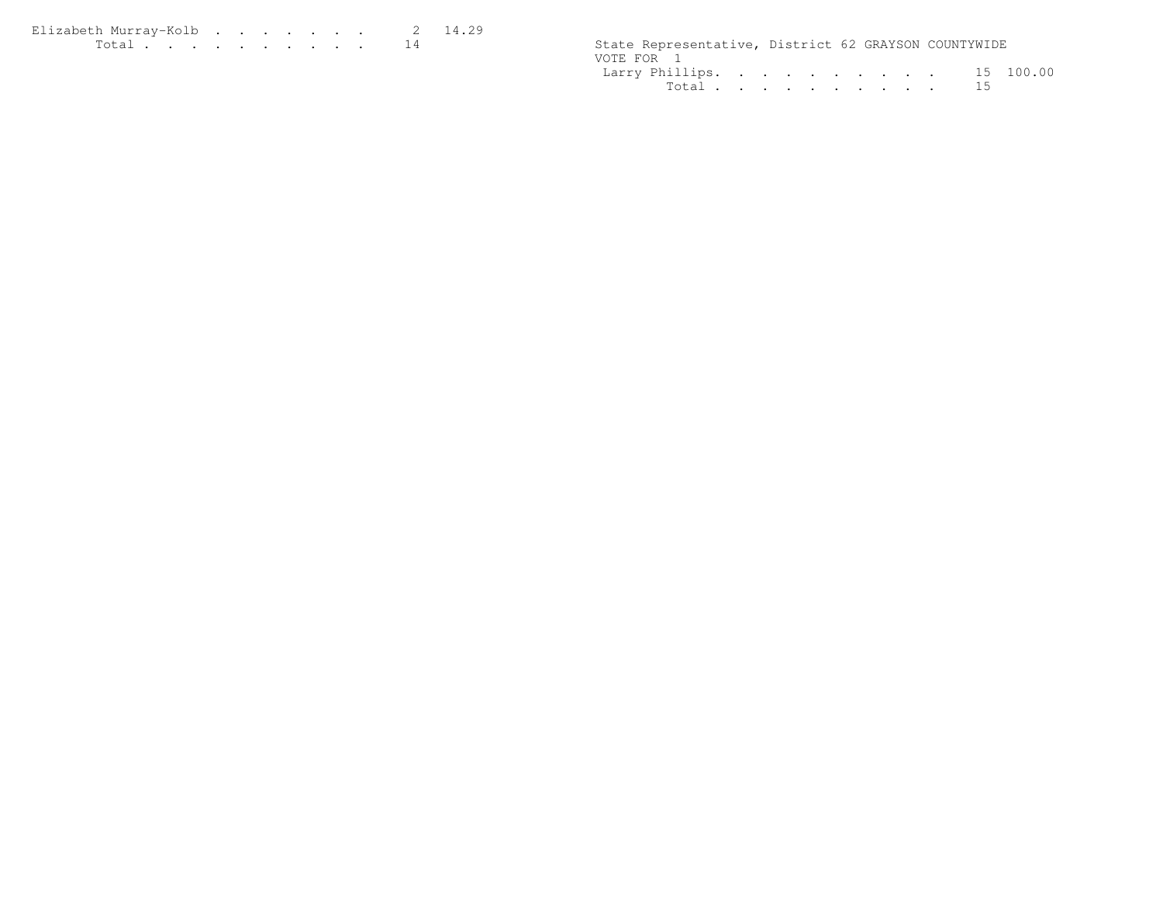Elizabeth Murray-Kolb . . . . . . . 2 14.29<br>Total . . . . . . . . . . 14

State Representative, District 62 GRAYSON COUNTYWIDE VOTE FOR 1 Larry Phillips. . . . . . . . . . 15 100.00Total . . . . . . . . . . 15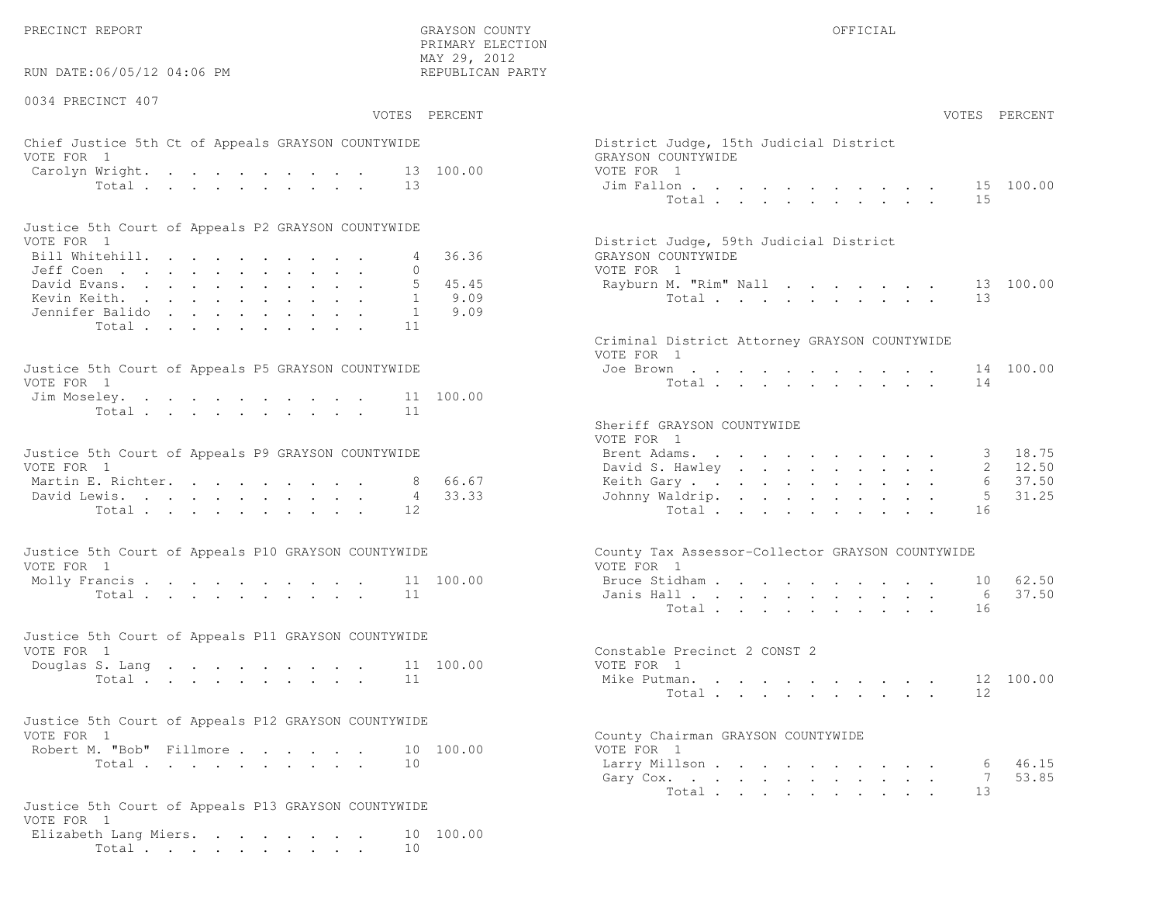PRECINCT REPORT OF THE SERVICE OF THE GRAYSON COUNTY OF THE GRAYSON COUNTY OF THE GRAYSON OF THE GRAYSON COUNTY

RUN DATE:06/05/12 04:06 PM

0034 PRECINCT 407

VOTES PERCENT VOTES PERCENT

 PRIMARY ELECTION MAY 29, 2012REPUBLICAN PARTY

### Chief Justice 5th Ct of Appeals GRAYSON COUNTYWIDE Dist VOTE FOR 1 GRAYSON COUNTY OF SALES AND COUNTY OF SALES AND COUNTY OF SALES AND GRAYSON COUNTY OF SALES AND LOCAL COUNTY OF SALES AND LOCAL COUNTY OF SALES AND LOCAL COUNTY OF SALES AND LOCAL COUNTY OF SALES AND LOCAL COUNT Carolyn Wright. . . . . . . . . 13 100.00 VOTE Total . . . . . . . . . . 13 Jim

| Justice 5th Court of Appeals P2 GRAYSON COUNTYWIDE |  |  |  |  |  |                                        |
|----------------------------------------------------|--|--|--|--|--|----------------------------------------|
| VOTE FOR 1                                         |  |  |  |  |  | District Judge, 59th Judicial District |
| Bill Whitehill. 4 36.36                            |  |  |  |  |  | GRAYSON COUNTYWIDE                     |
| Jeff Coen 0                                        |  |  |  |  |  | VOTE FOR 1                             |
| David Evans. 5 45.45                               |  |  |  |  |  | Rayburn M. "Rim" Nall 13 100.00        |
| Kevin Keith. 1 9.09                                |  |  |  |  |  | Total 13                               |
| Jennifer Balido 1 9.09                             |  |  |  |  |  |                                        |
| Total 11                                           |  |  |  |  |  |                                        |

| Justice 5th Court of Appeals P5 GRAYSON COUNTYWIDE | Joe Brown 14 100.00 |
|----------------------------------------------------|---------------------|
| VOTE FOR 1                                         | Total 14            |
| Jim Moseley. 11 100.00                             |                     |
| Total 11                                           |                     |

| Justice 5th Court of Appeals P9 GRAYSON COUNTYWIDE |  |  |  |  |  | Brent Adams. 3 18.75    |  |  |  |  |  |  |
|----------------------------------------------------|--|--|--|--|--|-------------------------|--|--|--|--|--|--|
| VOTE FOR 1                                         |  |  |  |  |  | David S. Hawley 2 12.50 |  |  |  |  |  |  |
| Martin E. Richter. 8 66.67                         |  |  |  |  |  | Keith Gary 6 37.50      |  |  |  |  |  |  |
| David Lewis. 4 33.33                               |  |  |  |  |  | Johnny Waldrip. 5 31.25 |  |  |  |  |  |  |
| Total 12                                           |  |  |  |  |  | Total 16                |  |  |  |  |  |  |

| Justice 5th Court of Appeals P10 GRAYSON COUNTYWIDE | County Tax Assessor-Collector GRAYSON COUNTYWIDE |
|-----------------------------------------------------|--------------------------------------------------|
| VOTE FOR 1                                          | VOTE FOR 1                                       |
| Molly Francis 11 100.00                             | Bruce Stidham 10 62.50                           |
| Total 11                                            | Janis Hall 6 37.50                               |

| Justice 5th Court of Appeals P11 GRAYSON COUNTYWIDE |          |  |  |  |  |                              |  |
|-----------------------------------------------------|----------|--|--|--|--|------------------------------|--|
| VOTE FOR 1                                          |          |  |  |  |  | Constable Precinct 2 CONST 2 |  |
| Douglas S. Lang 11 100.00                           |          |  |  |  |  | VOTE FOR 1                   |  |
|                                                     | Total 11 |  |  |  |  | Mike Putman. 12 100.00       |  |

| Justice 5th Court of Appeals P12 GRAYSON COUNTYWIDE |          |  |  |  |                                    |
|-----------------------------------------------------|----------|--|--|--|------------------------------------|
| VOTE FOR 1                                          |          |  |  |  | County Chairman GRAYSON COUNTYWIDE |
| Robert M. "Bob" Fillmore 10 100.00                  |          |  |  |  | VOTE FOR 1                         |
|                                                     | Total 10 |  |  |  | Larry Millson                      |

```
Justice 5th Court of Appeals P13 GRAYSON COUNTYWIDEVOTE FOR 1
 Elizabeth Lang Miers. . . . . . . . 10 100.00Total . . . . . . . . . . 10
```

| AY 29, 2012<br>EPUBLICAN PARTY |                                                                                          |                                                                                                                                                                                                                                                      |  |  |                           |                                     |                                  |
|--------------------------------|------------------------------------------------------------------------------------------|------------------------------------------------------------------------------------------------------------------------------------------------------------------------------------------------------------------------------------------------------|--|--|---------------------------|-------------------------------------|----------------------------------|
| PERCENT                        |                                                                                          |                                                                                                                                                                                                                                                      |  |  |                           |                                     | VOTES PERCENT                    |
| 100.00                         | District Judge, 15th Judicial District<br>GRAYSON COUNTYWIDE<br>VOTE FOR 1<br>Jim Fallon |                                                                                                                                                                                                                                                      |  |  |                           |                                     | 15 100.00                        |
|                                | Total                                                                                    |                                                                                                                                                                                                                                                      |  |  |                           | 15                                  |                                  |
| 36.36                          | District Judge, 59th Judicial District<br>GRAYSON COUNTYWIDE<br>VOTE FOR 1               |                                                                                                                                                                                                                                                      |  |  |                           |                                     |                                  |
| 45.45<br>9.09<br>9.09          | Rayburn M. "Rim" Nall<br>Total                                                           |                                                                                                                                                                                                                                                      |  |  |                           | 13                                  | 13 100.00                        |
|                                | Criminal District Attorney GRAYSON COUNTYWIDE<br>VOTE FOR 1                              |                                                                                                                                                                                                                                                      |  |  |                           |                                     |                                  |
| 100.00                         | Joe Brown<br>Total                                                                       | the contract of the contract of the contract of the contract of the contract of the contract of the contract of                                                                                                                                      |  |  |                           | 14                                  | 14 100.00                        |
|                                | Sheriff GRAYSON COUNTYWIDE<br>VOTE FOR 1                                                 |                                                                                                                                                                                                                                                      |  |  |                           |                                     |                                  |
| 66.67<br>33.33                 | Brent Adams.<br>David S. Hawley .<br>Keith Gary.<br>Johnny Waldrip.<br>Total $\cdots$    | the contract of the contract of the contract of the contract of the contract of the contract of the contract of<br>$\mathbf{u} = \mathbf{u} + \mathbf{u} + \mathbf{u} + \mathbf{u} + \mathbf{u} + \mathbf{u} + \mathbf{u} + \mathbf{u} + \mathbf{u}$ |  |  | $\mathbf{L} = \mathbf{L}$ | 3<br>$\overline{2}$<br>6<br>5<br>16 | 18.75<br>12.50<br>37.50<br>31.25 |
|                                | County Tax Assessor-Collector GRAYSON COUNTYWIDE<br>VOTE FOR 1                           |                                                                                                                                                                                                                                                      |  |  |                           |                                     |                                  |
| 100.00                         | Bruce Stidham<br>Janis Hall<br>Total $\cdots$                                            |                                                                                                                                                                                                                                                      |  |  |                           | 6<br>16                             | 10 62.50<br>37.50                |
| 100.00                         | Constable Precinct 2 CONST 2<br>VOTE FOR 1                                               |                                                                                                                                                                                                                                                      |  |  |                           |                                     |                                  |
|                                | Mike Putman<br>Total                                                                     | and a series of the contract of the series of the series of the series of the series of the series of the series of the series of the series of the series of the series of the series of the series of the series of the seri                       |  |  |                           | 12                                  | 12 100.00                        |
| 100.00                         | County Chairman GRAYSON COUNTYWIDE<br>VOTE FOR 1                                         |                                                                                                                                                                                                                                                      |  |  |                           |                                     |                                  |
|                                | Larry Millson<br>Gary Cox.<br>Total                                                      | $\mathbf{r}$ , and $\mathbf{r}$ , and $\mathbf{r}$ , and $\mathbf{r}$ , and $\mathbf{r}$ , and $\mathbf{r}$                                                                                                                                          |  |  |                           | 6<br>$7\phantom{.0}$<br>13          | 46.15<br>53.85                   |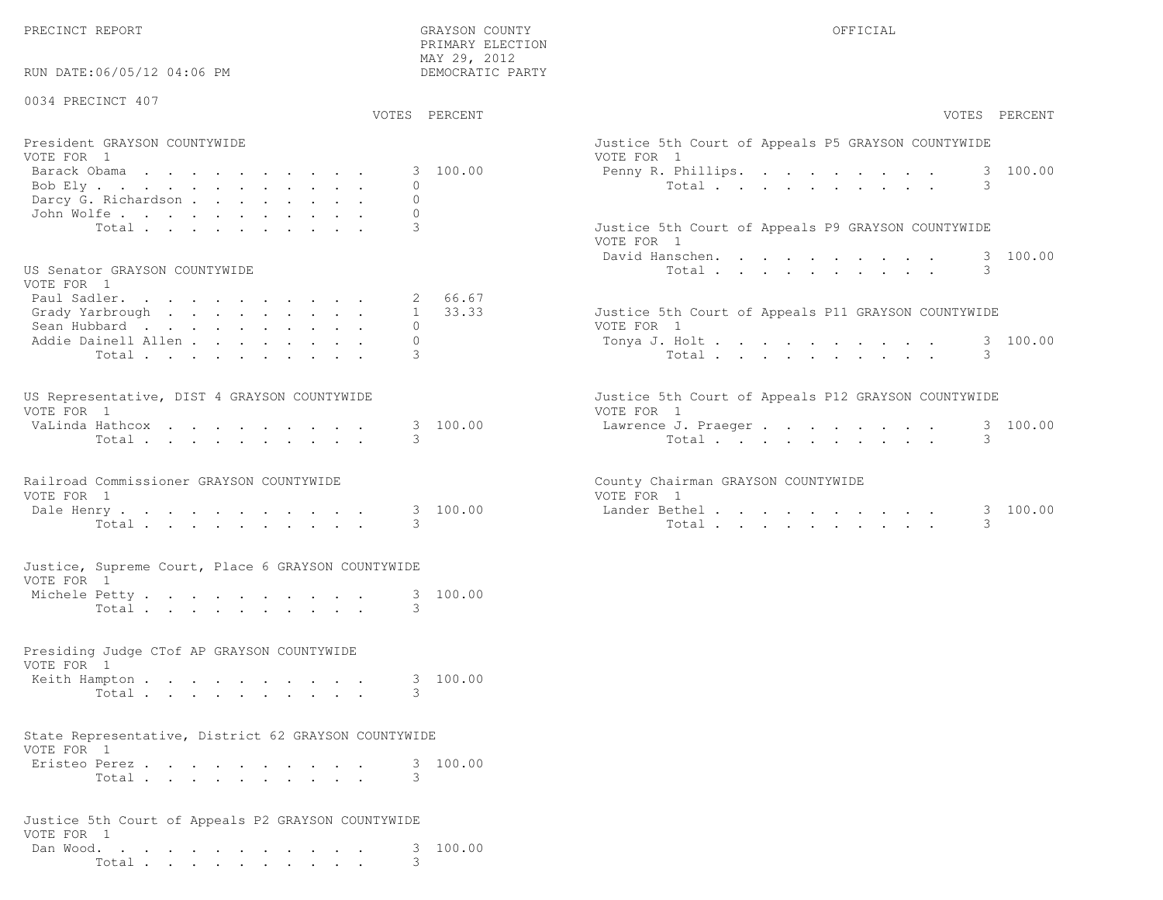PRECINCT REPORT COUNTY GRAYSON COUNTY GRAYSON COUNTY

PRIMARY ELECTION

| RUN DATE:06/05/12 04:06 PM                                 |       | MAY 29, 2012<br>DEMOCRATIC PARTY |                                                                   |
|------------------------------------------------------------|-------|----------------------------------|-------------------------------------------------------------------|
| 0034 PRECINCT 407                                          |       | VOTES PERCENT                    | VOTES PERCENT                                                     |
| President GRAYSON COUNTYWIDE                               |       |                                  | Justice 5th Court of Appeals P5 GRAYSON COUNTYWIDE                |
| VOTE FOR 1<br>Barack Obama<br>Bob Ely                      |       | 3 100.00<br>$\mathbf{0}$         | VOTE FOR 1<br>3 100.00<br>Penny R. Phillips.<br>3<br>Total        |
| Darcy G. Richardson<br>John Wolfe.                         |       | $\Omega$<br>$\Omega$             |                                                                   |
|                                                            | Total | 3                                | Justice 5th Court of Appeals P9 GRAYSON COUNTYWIDE<br>VOTE FOR 1  |
| US Senator GRAYSON COUNTYWIDE<br>VOTE FOR 1                |       |                                  | 3 100.00<br>David Hanschen.<br>3<br>Total                         |
| Paul Sadler.<br>Grady Yarbrough                            |       | 2 66.67<br>$1 \quad 33.33$       | Justice 5th Court of Appeals P11 GRAYSON COUNTYWIDE               |
| Sean Hubbard<br>Addie Dainell Allen                        | Total | $\mathbf{0}$<br>$\circ$<br>3     | VOTE FOR 1<br>3 100.00<br>Tonya J. Holt<br>3<br>Total             |
|                                                            |       |                                  |                                                                   |
| US Representative, DIST 4 GRAYSON COUNTYWIDE<br>VOTE FOR 1 |       |                                  | Justice 5th Court of Appeals P12 GRAYSON COUNTYWIDE<br>VOTE FOR 1 |
| VaLinda Hathcox                                            | Total | 3 100.00<br>3                    | 3 100.00<br>Lawrence J. Praeger<br>Total<br>3                     |
| Railroad Commissioner GRAYSON COUNTYWIDE                   |       |                                  | County Chairman GRAYSON COUNTYWIDE                                |
| VOTE FOR 1<br>Dale Henry                                   | Total | 3 100.00<br>3                    | VOTE FOR 1<br>Lander Bethel.<br>3 100.00<br>3<br>Total            |
| Justice, Supreme Court, Place 6 GRAYSON COUNTYWIDE         |       |                                  |                                                                   |
| VOTE FOR 1<br>Michele Petty.                               |       | 3 100.00                         |                                                                   |
|                                                            | Total | 3                                |                                                                   |
| Presiding Judge CTof AP GRAYSON COUNTYWIDE<br>VOTE FOR 1   |       |                                  |                                                                   |
| Keith Hampton                                              | Total | 3 100.00<br>3                    |                                                                   |
| State Representative, District 62 GRAYSON COUNTYWIDE       |       |                                  |                                                                   |
| VOTE FOR 1<br>Eristeo Perez                                | Total | 3 100.00<br>3                    |                                                                   |
| Justice 5th Court of Appeals P2 GRAYSON COUNTYWIDE         |       |                                  |                                                                   |
| VOTE FOR 1<br>Dan Wood.                                    | Total | 100.00<br>3<br>3                 |                                                                   |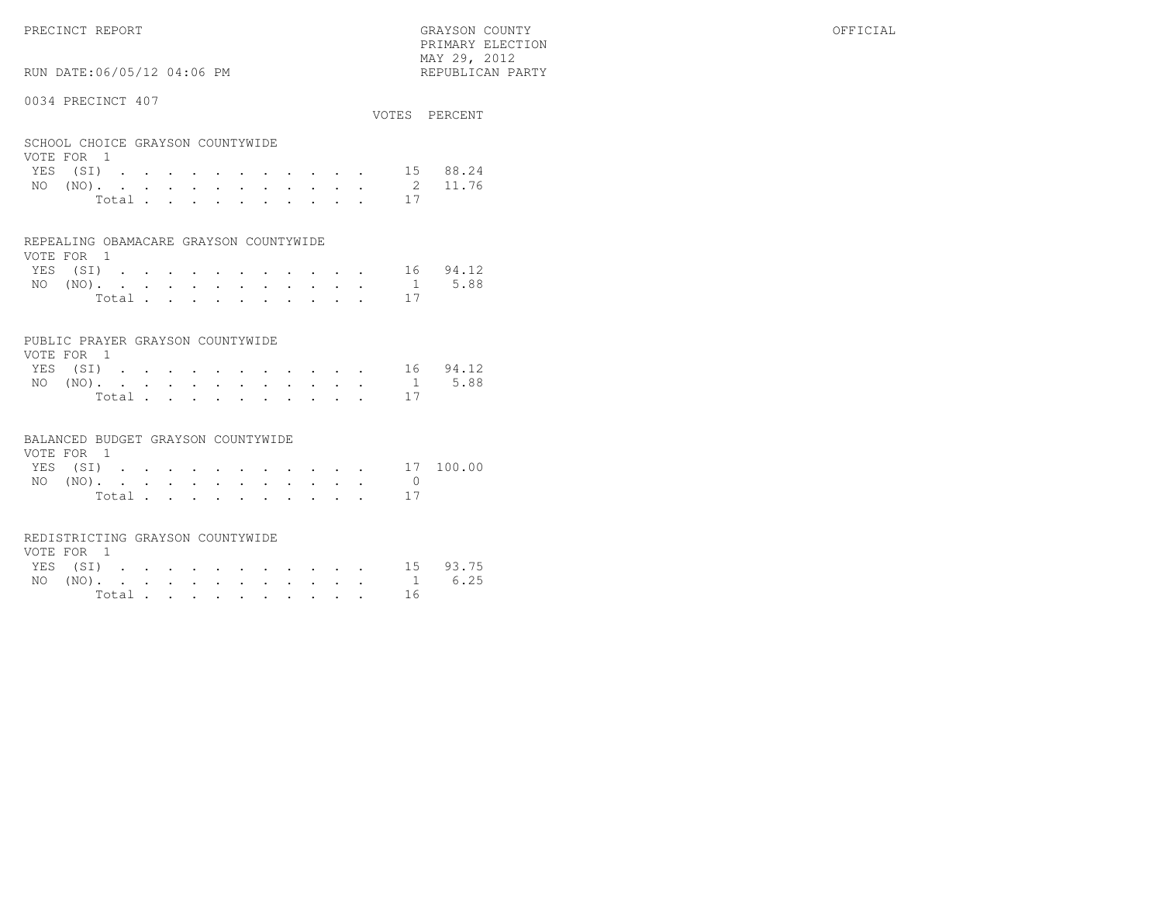PRIMARY ELECTION MAY 29, 2012REPUBLICAN PARTY

# RUN DATE:06/05/12 04:06 PM

#### 0034 PRECINCT 407

|                         |  |                      |                                                                                                              |                      |          |                         | VOTES                                                                                                                     | PERCENT |
|-------------------------|--|----------------------|--------------------------------------------------------------------------------------------------------------|----------------------|----------|-------------------------|---------------------------------------------------------------------------------------------------------------------------|---------|
|                         |  |                      |                                                                                                              |                      |          |                         |                                                                                                                           |         |
|                         |  |                      |                                                                                                              |                      |          |                         | 15                                                                                                                        | 88.24   |
|                         |  |                      |                                                                                                              |                      |          |                         | $\mathcal{L}$                                                                                                             | 11.76   |
|                         |  | $\ddot{\phantom{a}}$ |                                                                                                              | $\bullet$            |          | $\bullet$               |                                                                                                                           |         |
|                         |  |                      |                                                                                                              |                      |          |                         |                                                                                                                           |         |
| $\sim 100$ km s $^{-1}$ |  | Total                | SCHOOL CHOICE GRAYSON COUNTYWIDE<br>$\mathbf{r}$ , $\mathbf{r}$ , $\mathbf{r}$ , $\mathbf{r}$ , $\mathbf{r}$ | $\ddot{\phantom{0}}$ | $\cdots$ | $\sim$ $\sim$<br>$\sim$ | the contract of the contract of the contract of the contract of the contract of the contract of the contract of<br>$\sim$ | 17      |

## REPEALING OBAMACARE GRAYSON COUNTYWIDE

| VOTE FOR 1 |  |  |  |  |  |                                            |          |
|------------|--|--|--|--|--|--------------------------------------------|----------|
| YES (SI)   |  |  |  |  |  |                                            | 16 94.12 |
|            |  |  |  |  |  | NO $(NO)$ , , , , , , , , , , , , , 1 5.88 |          |
|            |  |  |  |  |  | Total 17                                   |          |

#### PUBLIC PRAYER GRAYSON COUNTYWIDE

| VOTE FOR 1 |  |  |  |  |  |                   |  |
|------------|--|--|--|--|--|-------------------|--|
|            |  |  |  |  |  | YES (SI) 16 94.12 |  |
|            |  |  |  |  |  | NO (NO). 1 5.88   |  |
|            |  |  |  |  |  | Total 17          |  |

#### BALANCED BUDGET GRAYSON COUNTYWIDE

| VOTE FOR 1 |  |  |  |  |  |        |           |
|------------|--|--|--|--|--|--------|-----------|
| YES (SI)   |  |  |  |  |  |        | 17 100.00 |
| NO $(NO)$  |  |  |  |  |  |        |           |
|            |  |  |  |  |  | Total. |           |

#### REDISTRICTING GRAYSON COUNTYWIDE

| VOTE FOR 1 |  |  |  |  |  |                 |          |
|------------|--|--|--|--|--|-----------------|----------|
| YES (SI)   |  |  |  |  |  |                 | 15 93.75 |
|            |  |  |  |  |  | NO (NO). 1 6.25 |          |
|            |  |  |  |  |  | Total 16        |          |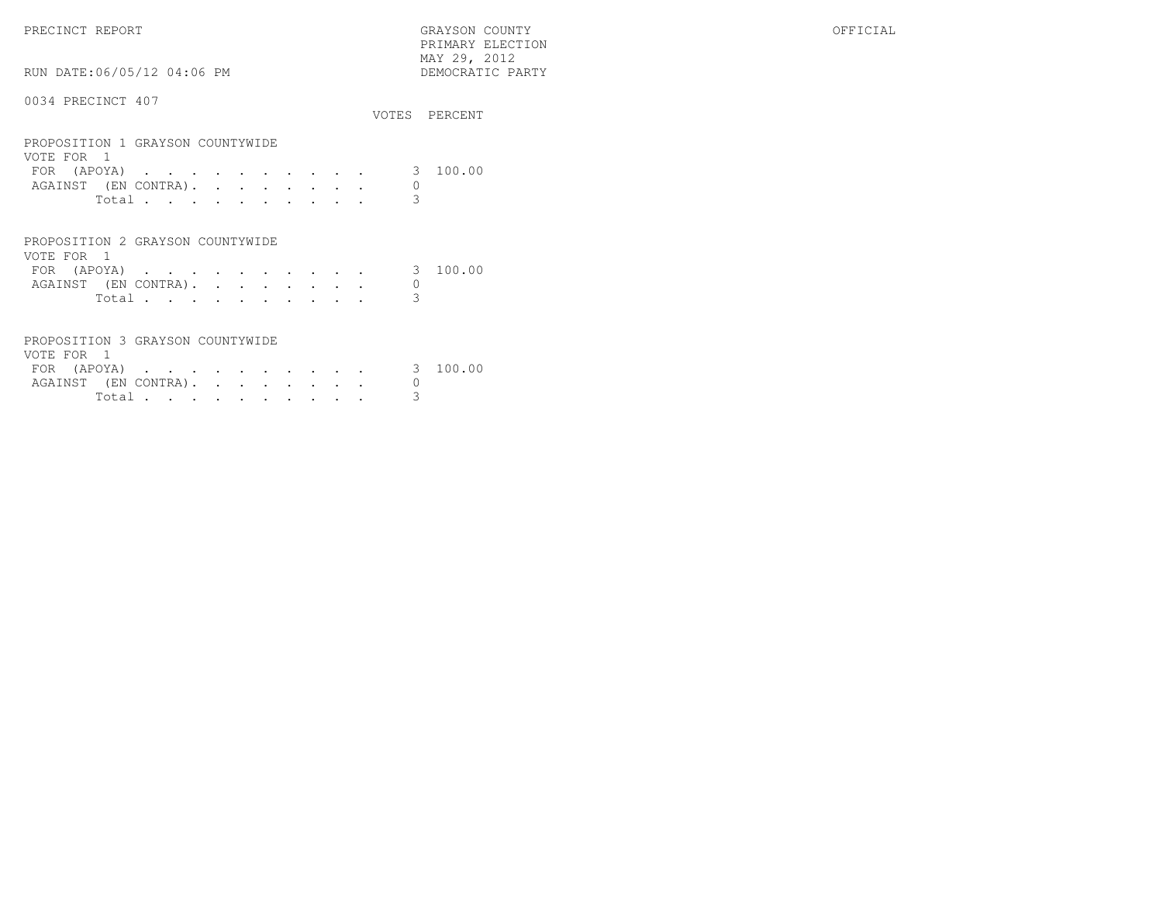PRECINCT REPORT GRAYSON COUNTY OFFICIAL PRIMARY ELECTION $\begin{array}{lll} \text{MAX} & 29, & 2012 \\ \text{NAY} & 29, & 2012 \end{array}$ RUN DATE:06/05/12 04:06 PM 0034 PRECINCT 407

|                                                                                       |                |                                                                          |  |                      |         |                 |                                     |                          |        |             | VOTES PERCENT |
|---------------------------------------------------------------------------------------|----------------|--------------------------------------------------------------------------|--|----------------------|---------|-----------------|-------------------------------------|--------------------------|--------|-------------|---------------|
| PROPOSITION 1 GRAYSON COUNTYWIDE<br>VOTE FOR                                          | $\overline{1}$ |                                                                          |  |                      |         |                 |                                     |                          |        |             |               |
| FOR (APOYA)                                                                           |                | $\mathbf{r}$ , $\mathbf{r}$ , $\mathbf{r}$ , $\mathbf{r}$ , $\mathbf{r}$ |  | $\sim$               |         | $\sim$          | and the contract of the contract of |                          |        | 3           | 100.00        |
| AGAINST (EN CONTRA).                                                                  |                |                                                                          |  | <b>Contractor</b>    | $\cdot$ | $\sim$          |                                     | and a strategic control. |        | 0           |               |
|                                                                                       | Total          |                                                                          |  |                      |         |                 |                                     |                          |        | 3           |               |
| PROPOSITION 2 GRAYSON COUNTYWIDE<br>VOTE FOR 1<br>FOR (APOYA)<br>AGAINST (EN CONTRA). | Total          | the contract of the contract of the contract of                          |  | $\sim$ $\sim$ $\sim$ |         | $\sim$ 10 $\pm$ | $\bullet$                           | $\sim$                   | $\sim$ | 3<br>0<br>3 | 100.00        |

| PROPOSITION 3 GRAYSON COUNTYWIDE |       |  |  |  |  |  |
|----------------------------------|-------|--|--|--|--|--|
| VOTE FOR 1                       |       |  |  |  |  |  |
| FOR (APOYA) 3 100.00             |       |  |  |  |  |  |
| AGAINST (EN CONTRA).             |       |  |  |  |  |  |
|                                  | Total |  |  |  |  |  |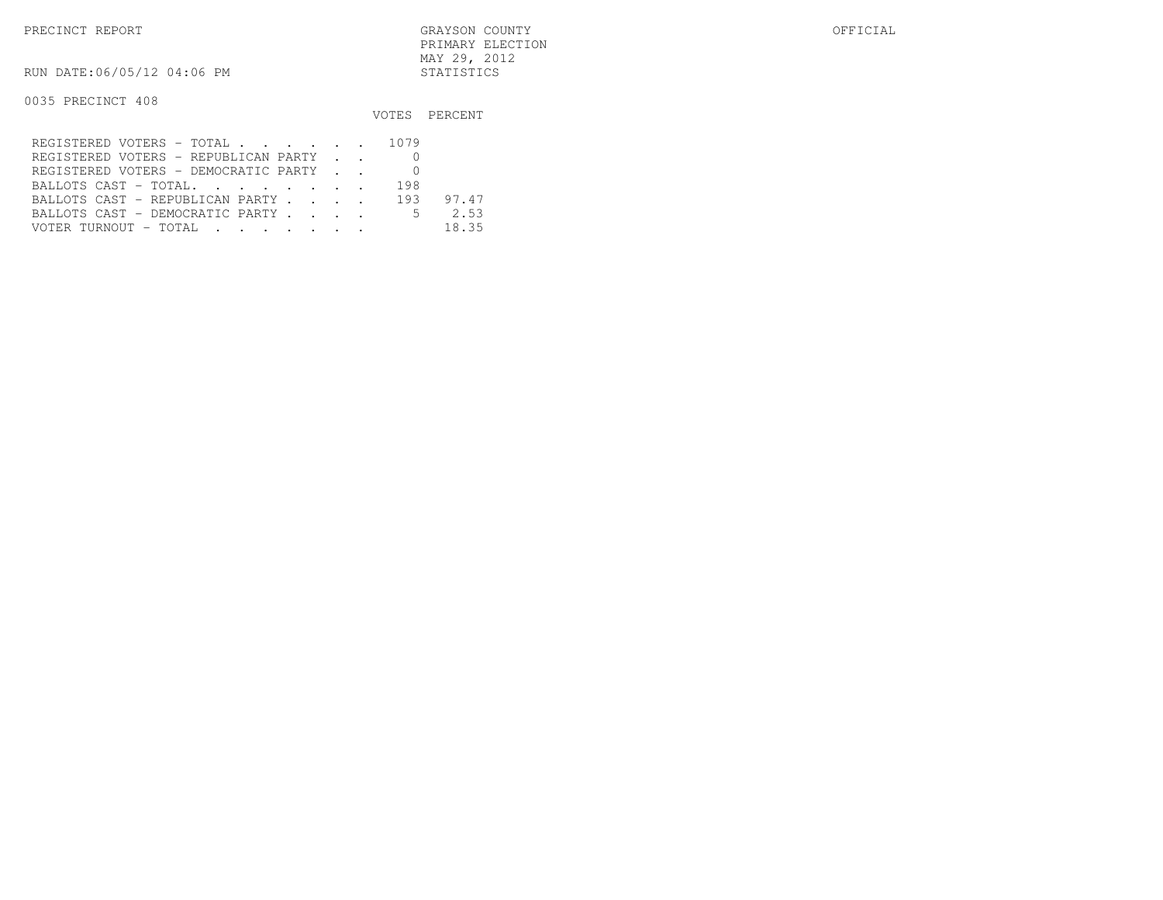RUN DATE:06/05/12 04:06 PM STATISTICS

|                                      |  | VOTES PERCENT |
|--------------------------------------|--|---------------|
| REGISTERED VOTERS - TOTAL 1079       |  |               |
| REGISTERED VOTERS - REPUBLICAN PARTY |  |               |
| REGISTERED VOTERS - DEMOCRATIC PARTY |  |               |
| BALLOTS CAST - TOTAL 198             |  |               |
| BALLOTS CAST - REPUBLICAN PARTY 193  |  | 97.47         |
| BALLOTS CAST - DEMOCRATIC PARTY 5    |  | 2.53          |
|                                      |  | 18.35         |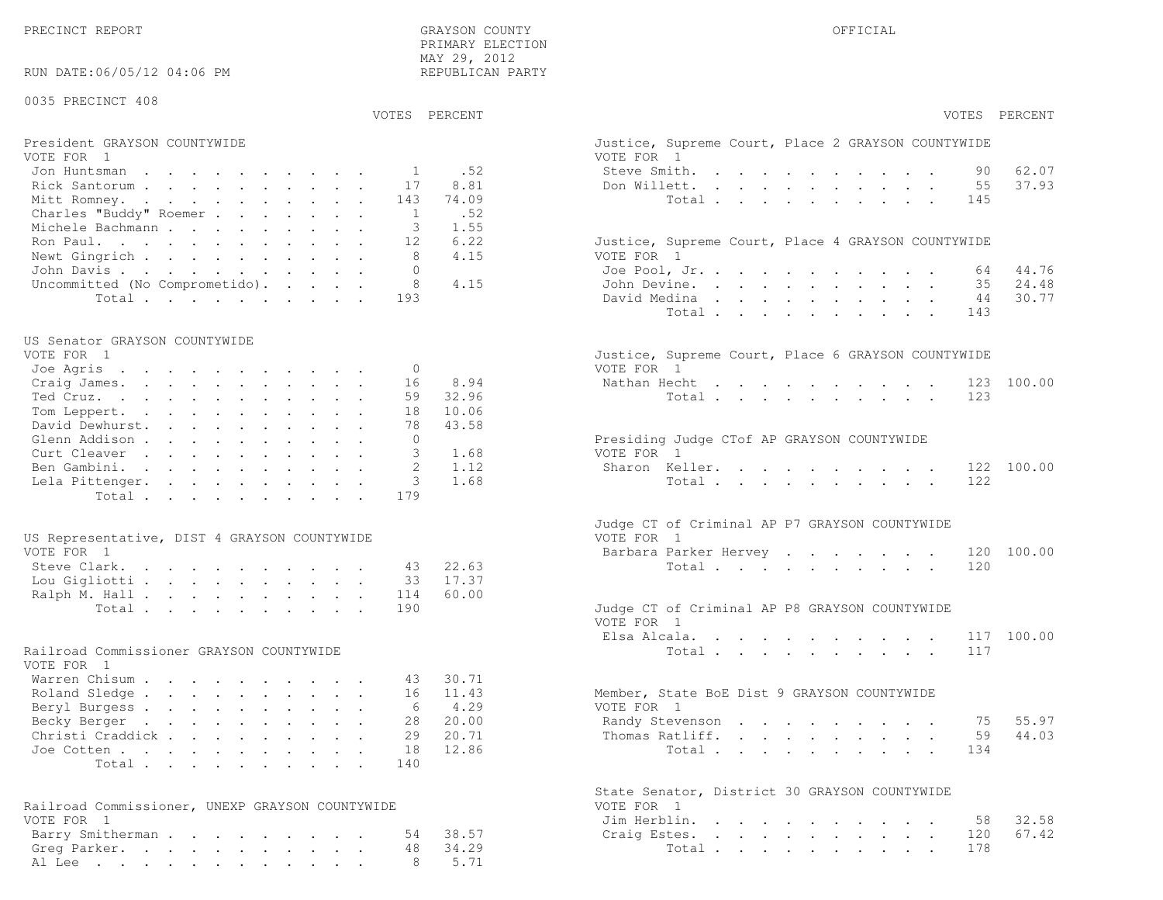PRECINCT REPORT THE COUNTY GRAYSON COUNTY THE COUNTY OFFICIAL OFFICIAL COUNTY OF THE COUNTY OF THE COUNTY OF THE COUNTY OF THE COUNTY OF THE COUNTY OF THE COUNTY OF THE COUNTY OF THE COUNTY OF THE COUNTY OF THE COUNTY OF T PRIMARY ELECTION MAY 29, 2012REPUBLICAN PARTY

# RUN DATE:06/05/12 04:06 PM

### 0035 PRECINCT 408

VOTES PERCENT VOTES PERCENT

# President GRAYSON COUNTYWIDE Justice, Superior Court, Superior Court, Place 2 Grammary 2 Grammary 2 Grammary 2 G<br>Vote 2 Grammary 2 Grammary 2 Grammary 2 Grammary 2 Grammary 2 Grammary 2 Grammary 2 Grammary 2 Grammary 2 Gra

| VOTE FOR 1                            | VOTE FOR 1                                         |
|---------------------------------------|----------------------------------------------------|
| Jon Huntsman 1 .52                    | 62.07<br>Steve Smith. 90                           |
| Rick Santorum 17 8.81                 | 37.93<br>Don Willett. 55                           |
| Mitt Romney. 143 74.09                | Total 145                                          |
| Charles "Buddy" Roemer 1 .52          |                                                    |
| Michele Bachmann 3 1.55               |                                                    |
| Ron Paul. 12 6.22                     | Justice, Supreme Court, Place 4 GRAYSON COUNTYWIDE |
| Newt Gingrich 8 4.15                  | VOTE FOR 1                                         |
| John Davis 0                          | Joe Pool, Jr. 64 44.76                             |
| Uncommitted (No Comprometido). 8 4.15 | John Devine. 35 24.48                              |
| Total 193                             | 44 30.77<br>David Medina                           |

#### US Senator GRAYSON COUNTYWIDE

| VOTE FOR 1               |          | Justice, Supreme Court, Place 6 GRAYSON COUNTYWIDE |
|--------------------------|----------|----------------------------------------------------|
| Joe Agris 0              |          | VOTE FOR 1                                         |
| Craig James. 16 8.94     |          | Nathan Hecht 123 100.00                            |
| Ted Cruz.                | 59 32.96 | Total 123                                          |
| Tom Leppert. 18 10.06    |          |                                                    |
| David Dewhurst. 78 43.58 |          |                                                    |
| Glenn Addison            |          | Presiding Judge CTof AP GRAYSON COUNTYWIDE         |
| Curt Cleaver 3 1.68      |          | VOTE FOR 1                                         |
| Ben Gambini. 2 1.12      |          | Sharon Keller. 122 100.00                          |
| Lela Pittenger. 3 1.68   |          | Total 122                                          |
| Total 179                |          |                                                    |

| US Representative, DIST 4 GRAYSON COUNTYWIDE | VOTE FOR 1                                    |
|----------------------------------------------|-----------------------------------------------|
| VOTE FOR 1                                   | Barbara Parker Hervey 120 100.00              |
| Steve Clark. 43 22.63                        | Total 120                                     |
| Lou Gigliotti 33 17.37                       |                                               |
| Ralph M. Hall 114 60.00                      |                                               |
| Total 190                                    | Judge CT of Criminal AP P8 GRAYSON COUNTYWIDE |

#### Railroad Commissioner GRAYSON COUNTYWIDE

| VOTE FOR 1                |  |  |  |  |  |                                             |  |
|---------------------------|--|--|--|--|--|---------------------------------------------|--|
| Warren Chisum 43 30.71    |  |  |  |  |  |                                             |  |
| Roland Sledge 16 11.43    |  |  |  |  |  | Member, State BoE Dist 9 GRAYSON COUNTYWIDE |  |
| Beryl Burgess 6 4.29      |  |  |  |  |  | VOTE FOR 1                                  |  |
| Becky Berger 28 20.00     |  |  |  |  |  | Randy Stevenson 75 55.97                    |  |
| Christi Craddick 29 20.71 |  |  |  |  |  | Thomas Ratliff. 59 44.03                    |  |
| Joe Cotten 18 12.86       |  |  |  |  |  | Total 134                                   |  |
| Total 140                 |  |  |  |  |  |                                             |  |

| Railroad Commissioner, UNEXP GRAYSON COUNTYWIDE | VOTE FOR 1             |
|-------------------------------------------------|------------------------|
| VOTE FOR 1                                      | Jim Herblin. 58 32.58  |
| Barry Smitherman 54 38.57                       | Craig Estes. 120 67.42 |
| Greg Parker. 48 34.29                           | Total 178              |
| Al Lee 8 5.71                                   |                        |

| PERCENT | VOTES PERCENT                                                                                                                                                                                                      |
|---------|--------------------------------------------------------------------------------------------------------------------------------------------------------------------------------------------------------------------|
|         | Justice, Supreme Court, Place 2 GRAYSON COUNTYWIDE<br>VOTE FOR 1                                                                                                                                                   |
| .52     | Steve Smith.<br>90 62.07<br>$\ddot{\phantom{a}}$                                                                                                                                                                   |
| 8.81    | 55<br>37.93<br>Don Willett.<br>$\mathbf{L}$ and $\mathbf{L}$<br>$\mathcal{L}^{\text{max}}$<br>$\mathbf{L}$ and $\mathbf{L}$<br>$\sim$ 100 $\mu$                                                                    |
| 74.09   | $\ddot{\phantom{a}}$<br>$\cdot$ $\cdot$ $\cdot$<br>145                                                                                                                                                             |
|         | Total<br>$\sim$<br>$\mathbf{L}^{\text{max}}$<br>$\ddot{\phantom{a}}$<br>$\sim$<br>$\sim$ 100 $\pm$<br>$\ddot{\phantom{a}}$<br>$\sim$ $\sim$                                                                        |
| .52     |                                                                                                                                                                                                                    |
| 1.55    |                                                                                                                                                                                                                    |
| 6.22    | Justice, Supreme Court, Place 4 GRAYSON COUNTYWIDE                                                                                                                                                                 |
| 4.15    | VOTE FOR 1                                                                                                                                                                                                         |
|         | Joe Pool, Jr.<br>64 44.76<br>$\sim$<br>$\mathbf{L}$<br>$\mathbf{r}$ , $\mathbf{r}$ , $\mathbf{r}$<br>$\sim$<br>$\mathbf{r}$                                                                                        |
| 4.15    | 24.48<br>John Devine.<br>35<br>and a strong state<br>$\ddotsc$<br>$\ddot{\phantom{a}}$                                                                                                                             |
|         | David Medina<br>30.77<br>44<br>$\sim$ $-$<br>$\mathbf{L}^{\text{max}}$<br>$\mathbf{L}^{\text{max}}$<br>$\sim$ 100 $\pm$<br>$\ddot{\bullet}$                                                                        |
|         | Total .<br>$\sim 100$ km s $^{-1}$<br>$\ddot{\phantom{0}}$<br>143<br>$\mathbf{L}$<br>$\mathcal{L}^{\text{max}}$<br>$\ddot{\phantom{a}}$<br>$\ddot{\phantom{a}}$<br>$\cdot$ $\cdot$ $\cdot$<br>$\ddot{\phantom{a}}$ |
|         |                                                                                                                                                                                                                    |
|         | Justice, Supreme Court, Place 6 GRAYSON COUNTYWIDE                                                                                                                                                                 |
|         | VOTE FOR 1                                                                                                                                                                                                         |
| 8.94    | Nathan Hecht<br>100.00<br>123                                                                                                                                                                                      |
| 32.96   | 123<br>Total                                                                                                                                                                                                       |
| 10.06   |                                                                                                                                                                                                                    |
|         |                                                                                                                                                                                                                    |
| 43.58   |                                                                                                                                                                                                                    |
|         | Presiding Judge CTof AP GRAYSON COUNTYWIDE                                                                                                                                                                         |
| 1.68    | VOTE FOR 1                                                                                                                                                                                                         |
| 1.12    | Sharon Keller.<br>122 100.00                                                                                                                                                                                       |
| 1.68    | 122<br>Total $\cdots$<br>$\mathcal{L}^{\text{max}}$                                                                                                                                                                |
|         |                                                                                                                                                                                                                    |
|         | Judge CT of Criminal AP P7 GRAYSON COUNTYWIDE                                                                                                                                                                      |
|         | VOTE FOR 1                                                                                                                                                                                                         |
|         | Barbara Parker Hervey<br>120 100.00<br>$\sim$                                                                                                                                                                      |
| 22.63   | 120<br>Total $\cdots$                                                                                                                                                                                              |
| 17.37   |                                                                                                                                                                                                                    |
| 60.00   |                                                                                                                                                                                                                    |
|         | Judge CT of Criminal AP P8 GRAYSON COUNTYWIDE                                                                                                                                                                      |
|         | VOTE FOR 1                                                                                                                                                                                                         |
|         | 117 100.00<br>Elsa Alcala. .                                                                                                                                                                                       |
|         | $\mathbf{L}^{\text{max}}$<br>and a strategic control of the strategic<br>$\mathbf{z} = \mathbf{z} + \mathbf{z}$ .<br>$\sim$<br>117                                                                                 |
|         | Total                                                                                                                                                                                                              |
|         |                                                                                                                                                                                                                    |
| 30.71   |                                                                                                                                                                                                                    |
| 11.43   | Member, State BoE Dist 9 GRAYSON COUNTYWIDE                                                                                                                                                                        |
| 4.29    | VOTE FOR 1                                                                                                                                                                                                         |
| 20.00   | Randy Stevenson<br>75<br>55.97                                                                                                                                                                                     |
| 20.71   | 44.03<br>Thomas Ratliff.<br>59<br>$\mathbf{r} = \mathbf{r} \cdot \mathbf{r}$ , where $\mathbf{r} = \mathbf{r} \cdot \mathbf{r}$<br>$\ddot{\phantom{0}}$<br>$\sim 100$<br>$\ddot{\phantom{a}}$                      |
| 12.86   | 134<br>Total                                                                                                                                                                                                       |
|         |                                                                                                                                                                                                                    |
|         | State Senator, District 30 GRAYSON COUNTYWIDE                                                                                                                                                                      |
|         | VOTE FOR<br>$\overline{1}$                                                                                                                                                                                         |
|         | Jim Herblin. .<br>32.58<br>58<br>$\mathbb{Z}^{\mathbb{Z}}$<br>$\ddot{\phantom{a}}$                                                                                                                                 |
| 38.57   | $\sim 100$ km s $^{-1}$<br>$\ddot{\phantom{a}}$<br>$\ddot{\phantom{0}}$<br>$\sim$<br>$\ddot{\phantom{a}}$<br>$\sim 100$<br>67.42<br>120                                                                            |
|         | Craig Estes.<br>$\mathbf{L}^{\text{max}}$<br>$\mathbf{r} = \mathbf{r} + \mathbf{r} + \mathbf{r} + \mathbf{r}$<br>$\mathbf{L}$<br>$\bullet$ .<br>$\ddot{\phantom{0}}$<br>$\sim$<br>$\ddot{\phantom{0}}$             |
| 34.29   | 178<br>Total<br><b>Contract Contract Contract</b>                                                                                                                                                                  |
| 5.71    |                                                                                                                                                                                                                    |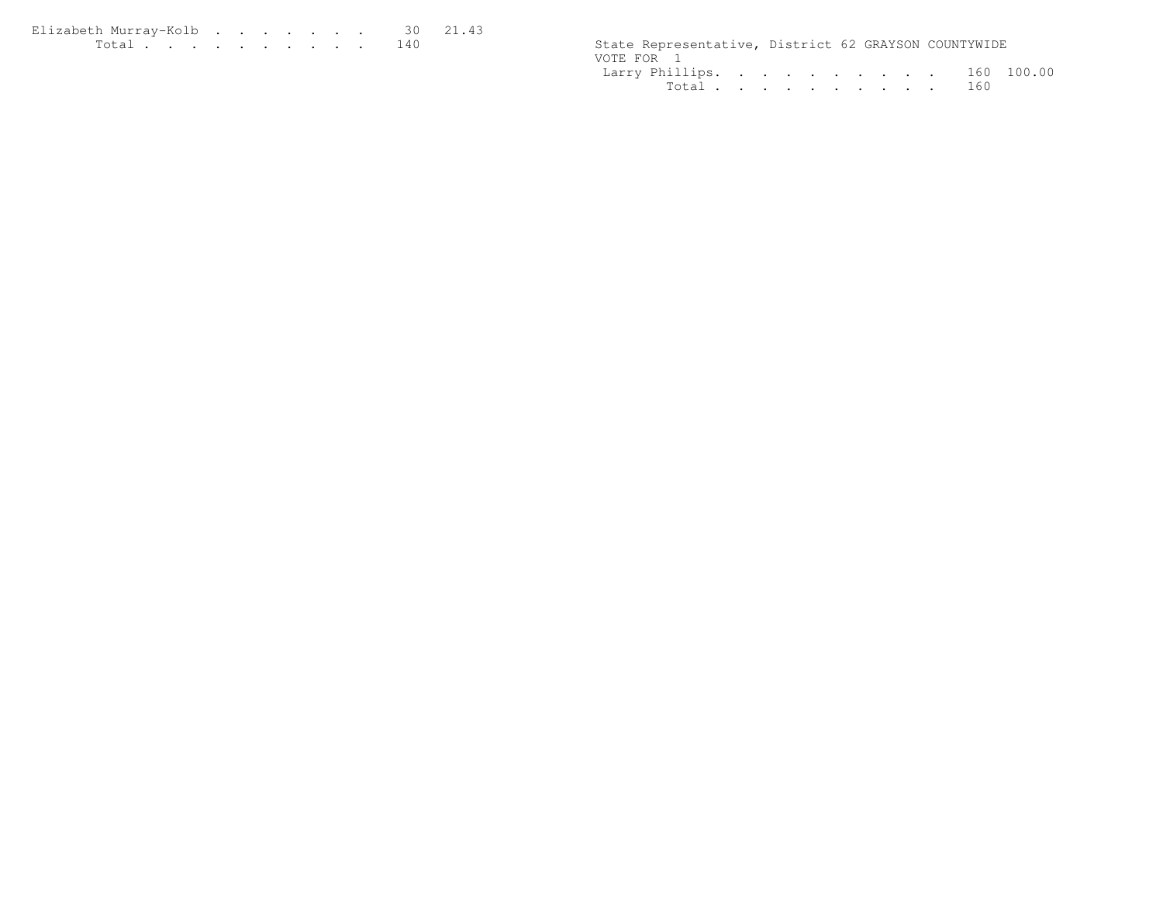| Elizabeth Murrav-Kolb 30 21.43 |  |  |  |  |  |                                                      |  |  |
|--------------------------------|--|--|--|--|--|------------------------------------------------------|--|--|
|                                |  |  |  |  |  | State Representative, District 62 GRAYSON COUNTYWIDE |  |  |

| State Representative, District 62 GRAYSON COUNTYWIDE |  |  |  |  |  |
|------------------------------------------------------|--|--|--|--|--|
| VOTE FOR 1                                           |  |  |  |  |  |
| Larry Phillips. 160 100.00                           |  |  |  |  |  |
| Total 160                                            |  |  |  |  |  |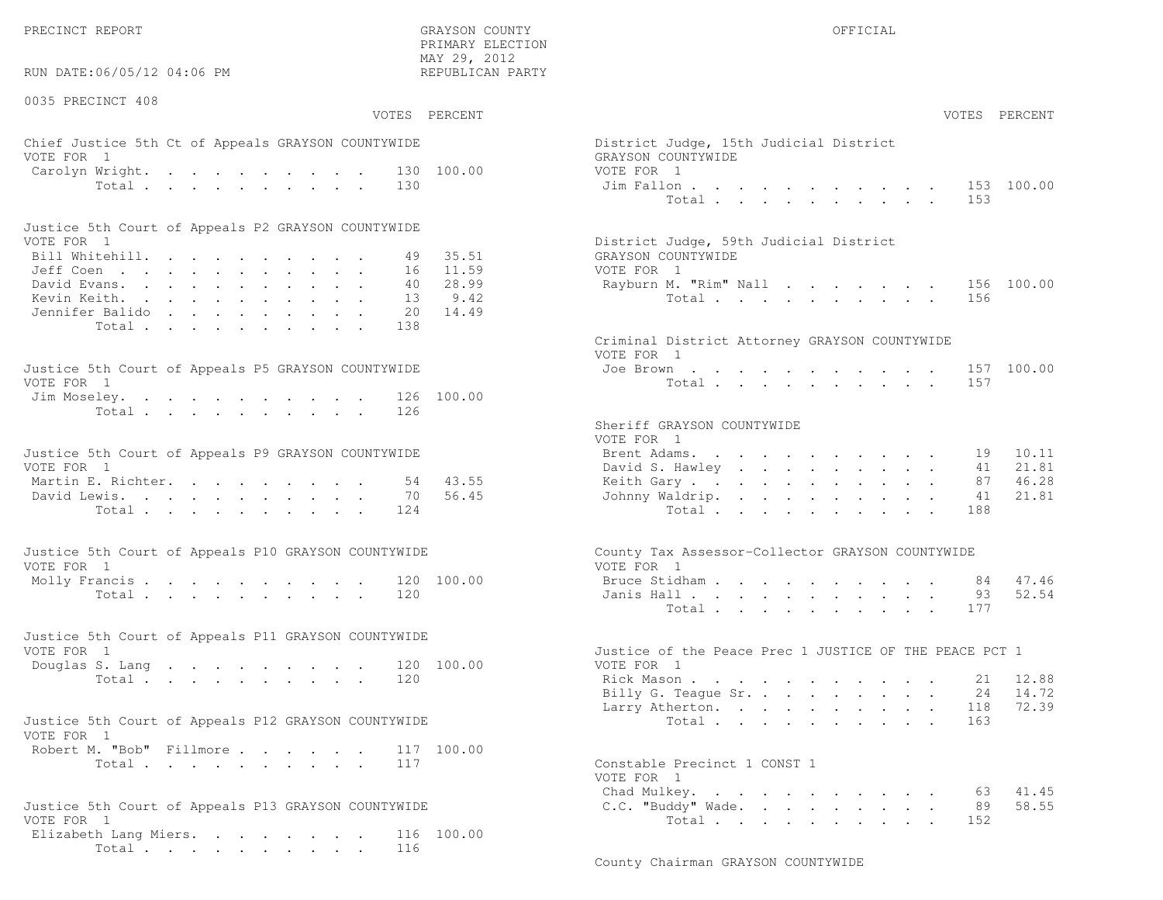PRECINCT REPORT OF THE SERVICE OF THE GRAYSON COUNTY OF THE GRAYSON COUNTY OF THE GRAYSON OF THE GRAYSON COUNTY

RUN DATE:06/05/12 04:06 PM

0035 PRECINCT 408

 PRIMARY ELECTION MAY 29, 2012REPUBLICAN PARTY

# Chief Justice 5th Ct of Appeals GRAYSON COUNTYWIDE  $\rule{1em}{0.15mm}$  Dis VOTE FOR 1 GRAYSON COUNTY WITH SALE COUNTY OF A GRAY COUNTY OF A GRAY COUNTY OF A GRAY COUNTY OF A GRAY COUNTY OF A GRAY COUNTY OF A GRAY COUNTY OF A GRAY COUNTY OF A GRAY COUNTY OF A GRAY COUNTY OF A GRAY COUNTY OF A GRAY Carolyn Wright. . . . . . . . . 130 100.00 VOT

| Justice 5th Court of Appeals P2 GRAYSON COUNTYWIDE |  |  |  |  |  |                                        |
|----------------------------------------------------|--|--|--|--|--|----------------------------------------|
| VOTE FOR 1                                         |  |  |  |  |  | District Judge, 59th Judicial District |
| Bill Whitehill. 49 35.51                           |  |  |  |  |  | GRAYSON COUNTYWIDE                     |
| Jeff Coen 16 11.59                                 |  |  |  |  |  | VOTE FOR 1                             |
| David Evans. 40 28.99                              |  |  |  |  |  | Rayburn M. "Rim" Nall 156 100.00       |
| Kevin Keith. 13 9.42                               |  |  |  |  |  | Total 156                              |
| Jennifer Balido 20 14.49                           |  |  |  |  |  |                                        |
| Total138                                           |  |  |  |  |  |                                        |

| Justice 5th Court of Appeals P5 GRAYSON COUNTYWIDE | Joe Brown 157 100.00 |
|----------------------------------------------------|----------------------|
| VOTE FOR 1                                         | Total 157            |
| Jim Moseley. 126 100.00                            |                      |
| Total 126                                          |                      |

| Justice 5th Court of Appeals P9 GRAYSON COUNTYWIDE |  |  |  |  | Brent Adams. 19 10.11    |  |  |  |  |  |  |
|----------------------------------------------------|--|--|--|--|--------------------------|--|--|--|--|--|--|
| VOTE FOR 1                                         |  |  |  |  | David S. Hawley 41 21.81 |  |  |  |  |  |  |
| Martin E. Richter. 54 43.55                        |  |  |  |  | Keith Gary 87 46.28      |  |  |  |  |  |  |
| David Lewis. 70 56.45                              |  |  |  |  | Johnny Waldrip. 41 21.81 |  |  |  |  |  |  |
| Total 124                                          |  |  |  |  | Total 188                |  |  |  |  |  |  |

| Justice 5th Court of Appeals P10 GRAYSON COUNTYWIDE | County Tax Assessor-Collector GRAYSON COUNTYWIDE |
|-----------------------------------------------------|--------------------------------------------------|
| VOTE FOR 1                                          | VOTE FOR 1                                       |
| Molly Francis 120 100.00                            | Bruce Stidham 84 47.46                           |
| Total 120                                           | Janis Hall 93 52.54                              |

| Justice 5th Court of Appeals P11 GRAYSON COUNTYWIDE |  |  |  |  |  |           |  |                                                        |  |  |  |  |  |  |
|-----------------------------------------------------|--|--|--|--|--|-----------|--|--------------------------------------------------------|--|--|--|--|--|--|
| VOTE FOR 1                                          |  |  |  |  |  |           |  | Justice of the Peace Prec 1 JUSTICE OF THE PEACE PCT 1 |  |  |  |  |  |  |
| Douglas S. Lang 120 100.00                          |  |  |  |  |  |           |  | VOTE FOR 1                                             |  |  |  |  |  |  |
|                                                     |  |  |  |  |  | Total 120 |  | Rick Mason 21 12.88                                    |  |  |  |  |  |  |

| Justice 5th Court of Appeals P12 GRAYSON COUNTYWIDE |           |  | Total 163                    |  |
|-----------------------------------------------------|-----------|--|------------------------------|--|
| VOTE FOR 1                                          |           |  |                              |  |
| Robert M. "Bob" Fillmore 117 100.00                 |           |  |                              |  |
|                                                     | Total 117 |  | Constable Precinct 1 CONST 1 |  |

| Justice 5th Court of Appeals P13 GRAYSON COUNTYWIDE |  |  |  |  |  |           |  |
|-----------------------------------------------------|--|--|--|--|--|-----------|--|
| VOTE FOR 1                                          |  |  |  |  |  |           |  |
| Elizabeth Lang Miers. 116 100.00                    |  |  |  |  |  |           |  |
|                                                     |  |  |  |  |  | Total 116 |  |

|                | :06/05/12 04:06 PM                                                         |  |  |                            | MAY 29, 2012<br>REPUBLICAN PARTY         |                                                                                                                                                                                           |
|----------------|----------------------------------------------------------------------------|--|--|----------------------------|------------------------------------------|-------------------------------------------------------------------------------------------------------------------------------------------------------------------------------------------|
| CINCT 408      |                                                                            |  |  |                            | VOTES PERCENT                            | VOTES PERCENT                                                                                                                                                                             |
| $\overline{1}$ | stice 5th Ct of Appeals GRAYSON COUNTYWIDE                                 |  |  |                            |                                          | District Judge, 15th Judicial District<br>GRAYSON COUNTYWIDE                                                                                                                              |
|                | Wright.<br>Total                                                           |  |  | 130                        | 130 100.00                               | VOTE FOR 1<br>153 100.00<br>Jim Fallon<br>Total<br>153                                                                                                                                    |
|                | ith Court of Appeals P2 GRAYSON COUNTYWIDE                                 |  |  |                            |                                          |                                                                                                                                                                                           |
| $\overline{1}$ | $\mathbb{R}^n$<br>$\lambda$ rans.<br>eith.<br>: Balido                     |  |  | 49<br>16<br>40<br>13<br>20 | 35.51<br>11.59<br>28.99<br>9.42<br>14.49 | District Judge, 59th Judicial District<br>GRAYSON COUNTYWIDE<br>VOTE FOR 1<br>Rayburn M. "Rim" Nall<br>156 100.00<br>Total<br>156                                                         |
|                | Total<br>ith Court of Appeals P5 GRAYSON COUNTYWIDE                        |  |  | 138                        |                                          | Criminal District Attorney GRAYSON COUNTYWIDE<br>VOTE FOR 1<br>Joe Brown<br>157 100.00                                                                                                    |
| $\mathbf{1}$   | eley.<br>Total                                                             |  |  | 126<br>126                 | 100.00                                   | 157<br>Total.                                                                                                                                                                             |
| $\mathbf{1}$   | ith Court of Appeals P9 GRAYSON COUNTYWIDE<br>. Richter.<br>ewis.<br>Total |  |  | 54<br>70<br>124            | 43.55<br>56.45                           | Sheriff GRAYSON COUNTYWIDE<br>VOTE FOR 1<br>Brent Adams.<br>10.11<br>19<br>David S. Hawley<br>21.81<br>41<br>46.28<br>Keith Gary.<br>87<br>Johnny Waldrip.<br>21.81<br>41<br>Total<br>188 |
| $\overline{1}$ | oth Court of Appeals P10 GRAYSON COUNTYWIDE                                |  |  |                            |                                          | County Tax Assessor-Collector GRAYSON COUNTYWIDE<br>VOTE FOR 1                                                                                                                            |
|                | $\text{rancis}$ , , , , , , , , , , ,<br>Total                             |  |  | 120                        | 120 100.00                               | 47.46<br>Bruce Stidham<br>84<br>52.54<br>Janis Hall<br>93<br>177<br>Total                                                                                                                 |
| $\overline{1}$ | ith Court of Appeals P11 GRAYSON COUNTYWIDE                                |  |  |                            |                                          | Justice of the Peace Prec 1 JUSTICE OF THE PEACE PCT 1                                                                                                                                    |
|                | S. Lang<br>Total                                                           |  |  | 120                        | 120 100.00                               | VOTE FOR 1<br>12.88<br>Rick Mason<br>21<br>Billy G. Teague Sr.<br>14.72<br>24<br>72.39<br>Larry Atherton.<br>118                                                                          |
| $\mathbf{1}$   | ith Court of Appeals P12 GRAYSON COUNTYWIDE                                |  |  |                            |                                          | Total<br>163                                                                                                                                                                              |
|                | 1. "Bob" Fillmore.<br>Total                                                |  |  | 117                        | 117 100.00                               | Constable Precinct 1 CONST 1<br>VOTE FOR 1                                                                                                                                                |
|                | oth Court of Appeals P13 GRAYSON COUNTYWIDE                                |  |  |                            |                                          | Chad Mulkey. 63 41.45<br>58.55<br>C.C. "Buddy" Wade.<br>89                                                                                                                                |

Total . . . . . . . . . . 152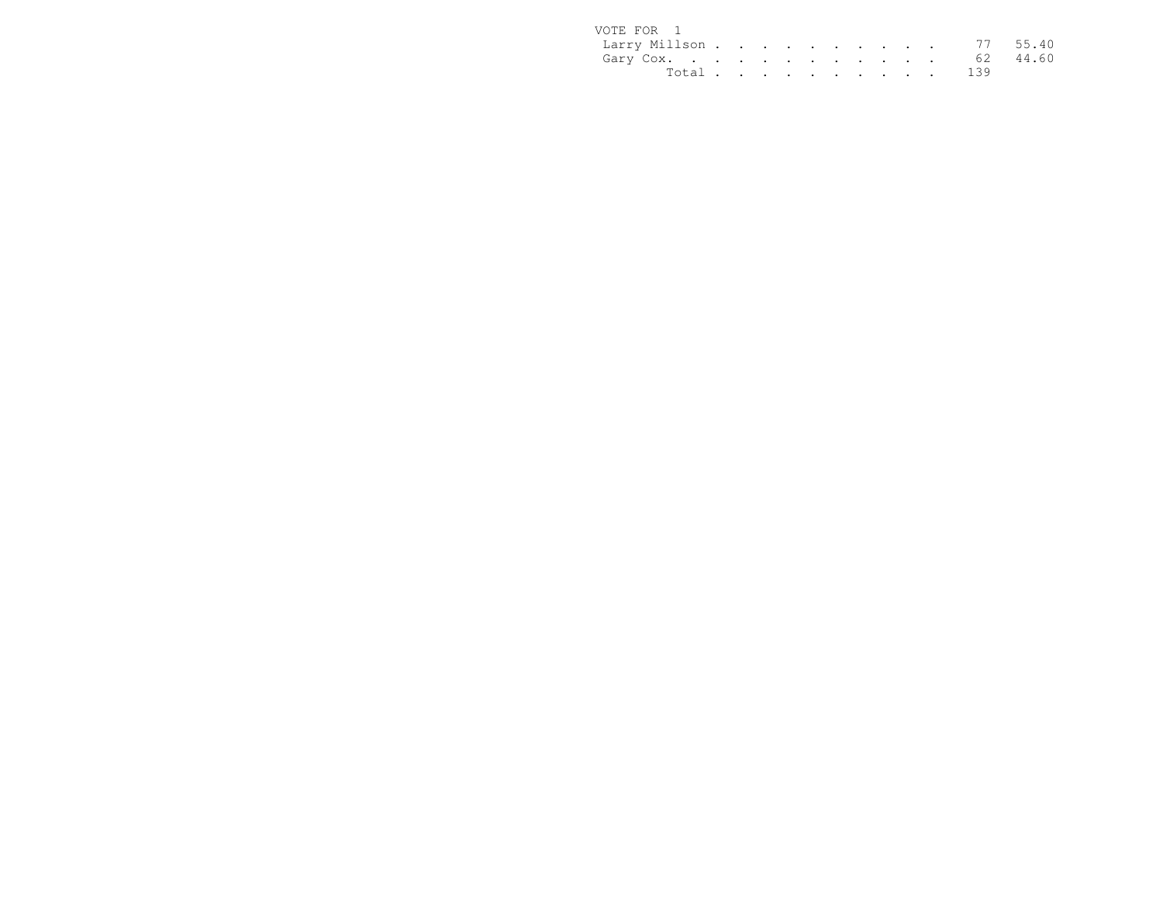| VOTE FOR 1             |  |  |  |  |  |           |  |
|------------------------|--|--|--|--|--|-----------|--|
| Larry Millson 77 55.40 |  |  |  |  |  |           |  |
| Gary Cox. 62 44.60     |  |  |  |  |  |           |  |
|                        |  |  |  |  |  | Total 139 |  |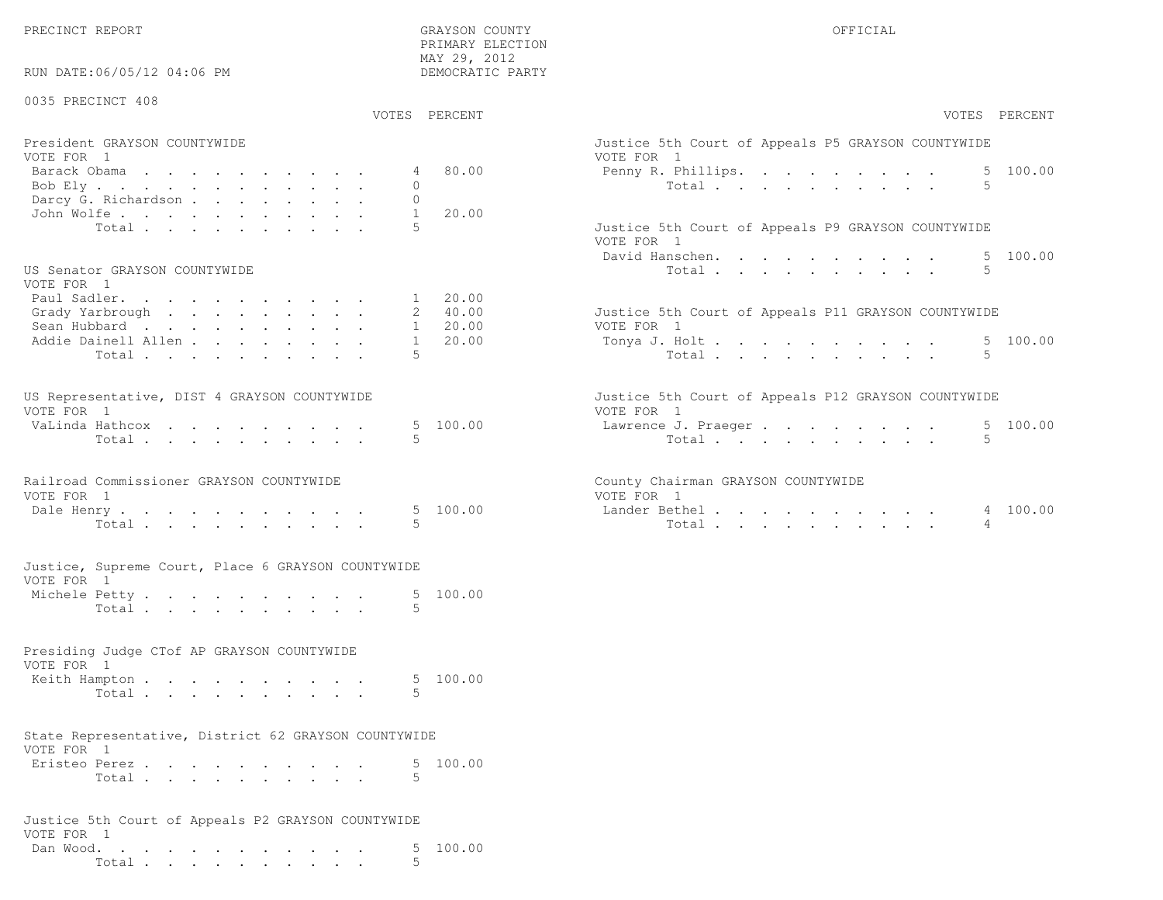PRECINCT REPORT GRAYSON COUNTY OFFICIAL

PRIMARY ELECTION

| RUN DATE:06/05/12 04:06 PM                                         |               | MAY 29, 2012<br>DEMOCRATIC PARTY |                                                                   |
|--------------------------------------------------------------------|---------------|----------------------------------|-------------------------------------------------------------------|
| 0035 PRECINCT 408                                                  |               | VOTES PERCENT                    | VOTES PERCENT                                                     |
|                                                                    |               |                                  |                                                                   |
| President GRAYSON COUNTYWIDE<br>VOTE FOR 1                         |               |                                  | Justice 5th Court of Appeals P5 GRAYSON COUNTYWIDE<br>VOTE FOR 1  |
| Barack Obama<br>Bob Ely                                            | 4<br>$\Omega$ | 80.00                            | 5 100.00<br>Penny R. Phillips.<br>Total<br>$\overline{5}$         |
| Darcy G. Richardson                                                | $\Omega$      |                                  |                                                                   |
| John Wolfe.                                                        | $\mathbf{1}$  | 20.00                            |                                                                   |
| Total                                                              | .5            |                                  | Justice 5th Court of Appeals P9 GRAYSON COUNTYWIDE<br>VOTE FOR 1  |
|                                                                    |               |                                  | 5 100.00<br>David Hanschen.                                       |
| US Senator GRAYSON COUNTYWIDE<br>VOTE FOR 1                        |               |                                  | 5<br>Total                                                        |
| Paul Sadler.<br>Grady Yarbrough                                    |               | 1 20.00<br>2 40.00               | Justice 5th Court of Appeals P11 GRAYSON COUNTYWIDE               |
| Sean Hubbard                                                       |               | 20.00<br>$1 \quad$               | VOTE FOR 1                                                        |
| Addie Dainell Allen                                                | $\mathbf{1}$  | 20.00                            | 5 100.00<br>Tonya J. Holt                                         |
| Total                                                              | 5             |                                  | 5<br>Total                                                        |
| US Representative, DIST 4 GRAYSON COUNTYWIDE<br>VOTE FOR 1         |               |                                  | Justice 5th Court of Appeals P12 GRAYSON COUNTYWIDE<br>VOTE FOR 1 |
| VaLinda Hathcox                                                    |               | 5 100.00                         | 5 100.00<br>Lawrence J. Praeger                                   |
| Total                                                              | 5.            |                                  | 5<br>Total                                                        |
| Railroad Commissioner GRAYSON COUNTYWIDE<br>VOTE FOR 1             |               |                                  | County Chairman GRAYSON COUNTYWIDE<br>VOTE FOR 1                  |
| Dale Henry<br>Total                                                | 5             | 5 100.00                         | 4 100.00<br>Lander Bethel.<br>Total<br>4                          |
| Justice, Supreme Court, Place 6 GRAYSON COUNTYWIDE                 |               |                                  |                                                                   |
| VOTE FOR 1                                                         |               |                                  |                                                                   |
| Michele Petty<br>Total                                             | 5             | 5 100.00                         |                                                                   |
|                                                                    |               |                                  |                                                                   |
| Presiding Judge CTof AP GRAYSON COUNTYWIDE<br>VOTE FOR 1           |               |                                  |                                                                   |
| Keith Hampton                                                      |               | 5 100.00                         |                                                                   |
| Total                                                              | .5            |                                  |                                                                   |
| State Representative, District 62 GRAYSON COUNTYWIDE<br>VOTE FOR 1 |               |                                  |                                                                   |
| Eristeo Perez                                                      |               | 100.00                           |                                                                   |
| Total $\cdots$                                                     |               |                                  |                                                                   |
| Justice 5th Court of Appeals P2 GRAYSON COUNTYWIDE<br>VOTE FOR 1   |               |                                  |                                                                   |
| Dan Wood. $\cdots$                                                 |               | 5 100.00                         |                                                                   |
|                                                                    |               |                                  |                                                                   |

Total . . . . . . . . . . 5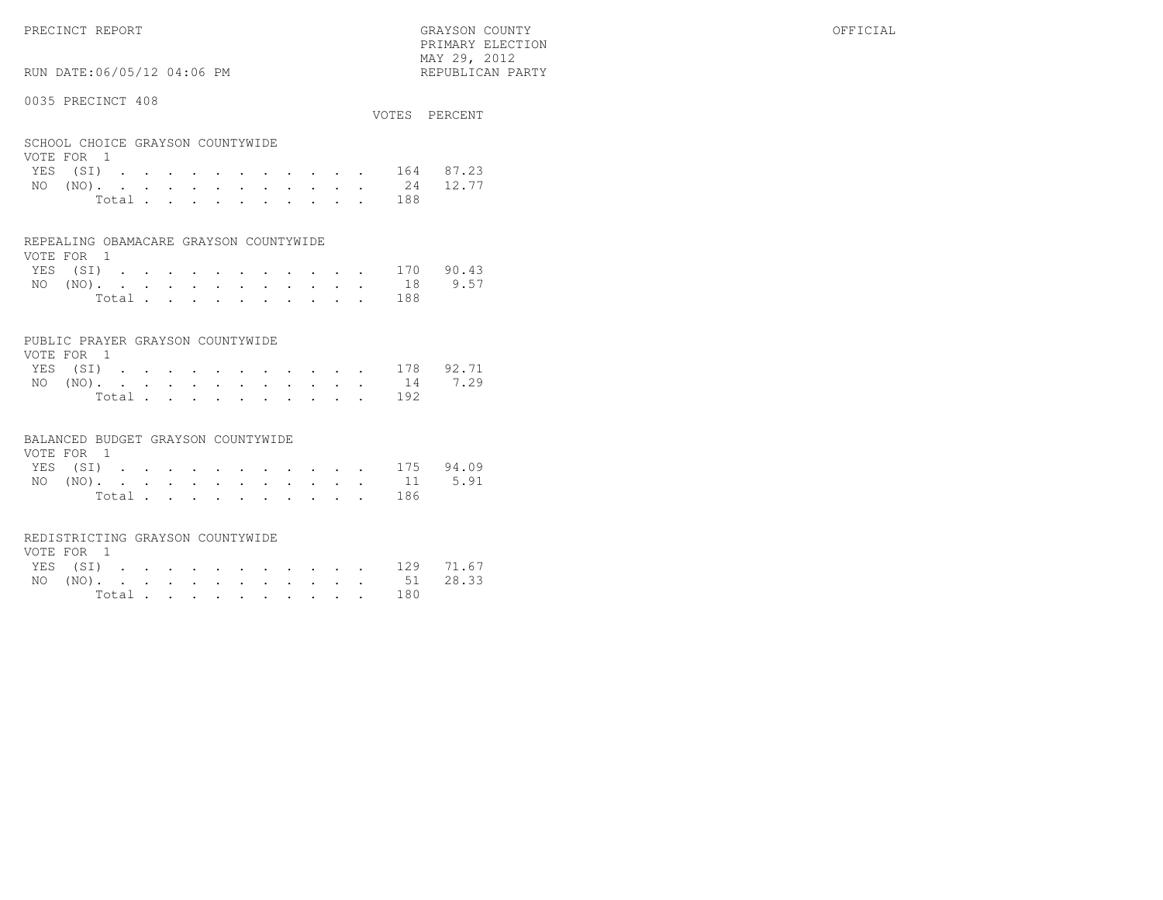PRIMARY ELECTION $\text{MAX } 29, \quad 2012$ 

# RUN DATE:06/05/12 04:06 PM

#### 0035 PRECINCT 408

| VVJJ INDVINCI IVV                              |       |  |  |  |  |  |                                      | VOTES PERCENT      |
|------------------------------------------------|-------|--|--|--|--|--|--------------------------------------|--------------------|
| SCHOOL CHOICE GRAYSON COUNTYWIDE<br>VOTE FOR 1 |       |  |  |  |  |  |                                      |                    |
|                                                |       |  |  |  |  |  |                                      | YES (SI) 164 87.23 |
|                                                |       |  |  |  |  |  | NO $(NO)$ , , , , , , , , , , , , 24 | 12.77              |
|                                                | Total |  |  |  |  |  | 188                                  |                    |

#### REPEALING OBAMACARE GRAYSON COUNTYWIDE

| VOTE FOR 1 |  |  |  |  |  |                    |  |
|------------|--|--|--|--|--|--------------------|--|
|            |  |  |  |  |  | YES (SI) 170 90.43 |  |
|            |  |  |  |  |  | NO (NO). 18 9.57   |  |
|            |  |  |  |  |  | Total 188          |  |

#### PUBLIC PRAYER GRAYSON COUNTYWIDE

| VOTE FOR 1         |  |  |  |  |  |           |  |
|--------------------|--|--|--|--|--|-----------|--|
| YES (SI) 178 92.71 |  |  |  |  |  |           |  |
| NO (NO). 14 7.29   |  |  |  |  |  |           |  |
|                    |  |  |  |  |  | Total 192 |  |

#### BALANCED BUDGET GRAYSON COUNTYWIDE

| VOTE FOR 1 |                |  |  |  |  |  |                    |  |
|------------|----------------|--|--|--|--|--|--------------------|--|
|            |                |  |  |  |  |  | YES (SI) 175 94.09 |  |
|            |                |  |  |  |  |  | NO (NO). 11 5.91   |  |
|            | Total $\cdots$ |  |  |  |  |  | - 186              |  |

#### REDISTRICTING GRAYSON COUNTYWIDE

| VOTE FOR 1 |  |  |  |  |  |  |                    |  |
|------------|--|--|--|--|--|--|--------------------|--|
|            |  |  |  |  |  |  | YES (SI) 129 71.67 |  |
|            |  |  |  |  |  |  | NO (NO). 51 28.33  |  |
|            |  |  |  |  |  |  | Total 180          |  |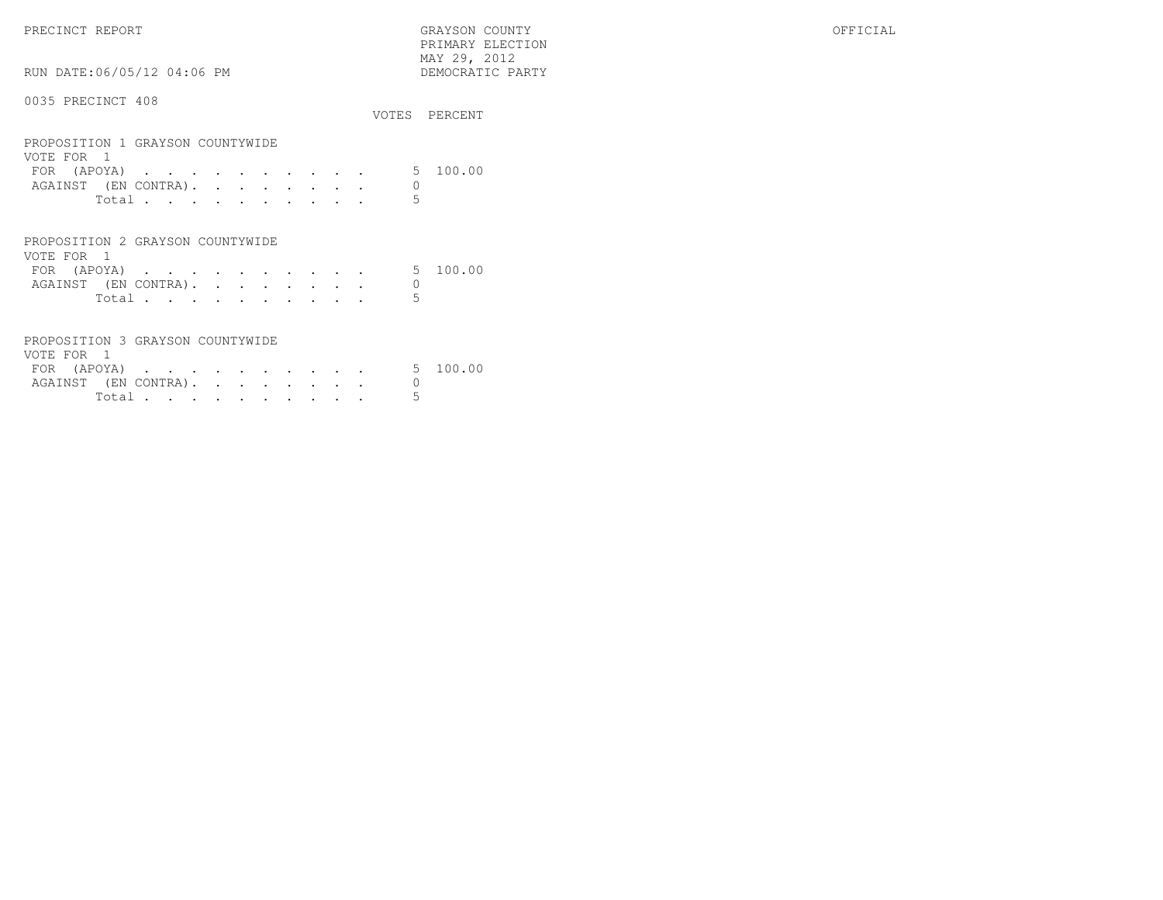PRECINCT REPORT GRAYSON COUNTY OFFICIAL PRIMARY ELECTION $\begin{array}{lll} \text{MAX} & 29, & 2012 \\ \text{NAY} & 29, & 2012 \end{array}$ RUN DATE:06/05/12 04:06 PM 0035 PRECINCT 408VOTES PERCENT

| PROPOSITION 1 GRAYSON COUNTYWIDE<br>VOTE FOR 1<br>FOR (APOYA) |       |  |  |  |  |  |   | 5 100.00 |
|---------------------------------------------------------------|-------|--|--|--|--|--|---|----------|
| AGAINST (EN CONTRA).                                          |       |  |  |  |  |  | 0 |          |
|                                                               | Total |  |  |  |  |  | 5 |          |
| PROPOSITION 2 GRAYSON COUNTYWIDE                              |       |  |  |  |  |  |   |          |
| VOTE FOR 1                                                    |       |  |  |  |  |  |   |          |
| FOR (APOYA)                                                   |       |  |  |  |  |  |   | 5 100.00 |
| AGAINST (EN CONTRA).                                          |       |  |  |  |  |  |   |          |
|                                                               | Total |  |  |  |  |  |   |          |

| PROPOSITION 3 GRAYSON COUNTYWIDE |  |  |  |  |  |  |  |
|----------------------------------|--|--|--|--|--|--|--|
| VOTE FOR 1                       |  |  |  |  |  |  |  |
| FOR (APOYA) 5 100.00             |  |  |  |  |  |  |  |
| AGAINST (EN CONTRA).             |  |  |  |  |  |  |  |
|                                  |  |  |  |  |  |  |  |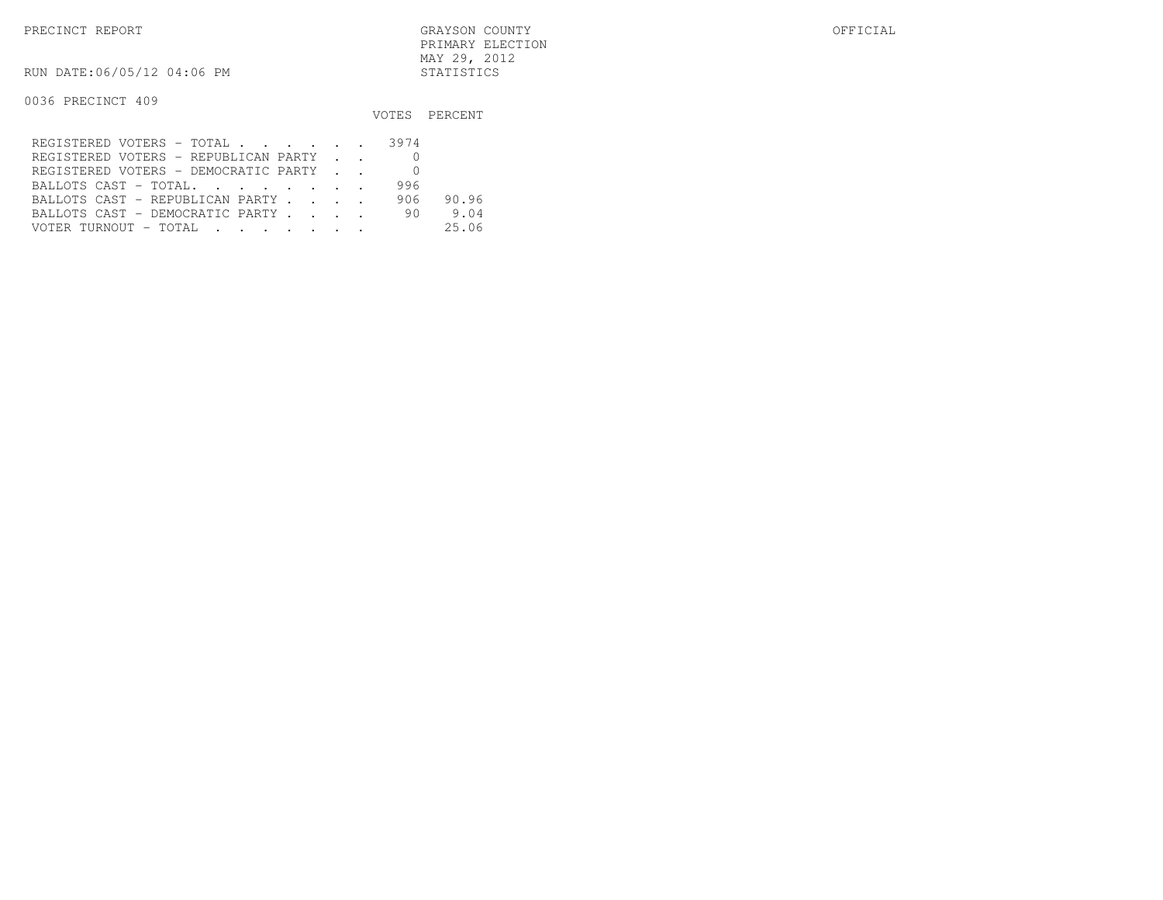RUN DATE:06/05/12 04:06 PM STATISTICS

|                                      |       | VOTES PERCENT |
|--------------------------------------|-------|---------------|
| REGISTERED VOTERS - TOTAL 3974       |       |               |
| REGISTERED VOTERS - REPUBLICAN PARTY |       |               |
| REGISTERED VOTERS - DEMOCRATIC PARTY |       |               |
| BALLOTS CAST - TOTAL.                | 996   |               |
| BALLOTS CAST - REPUBLICAN PARTY      | 906 - | 90.96         |
| BALLOTS CAST - DEMOCRATIC PARTY      | 90    | 9.04          |
| VOTER TURNOUT - TOTAL                |       | 25.06         |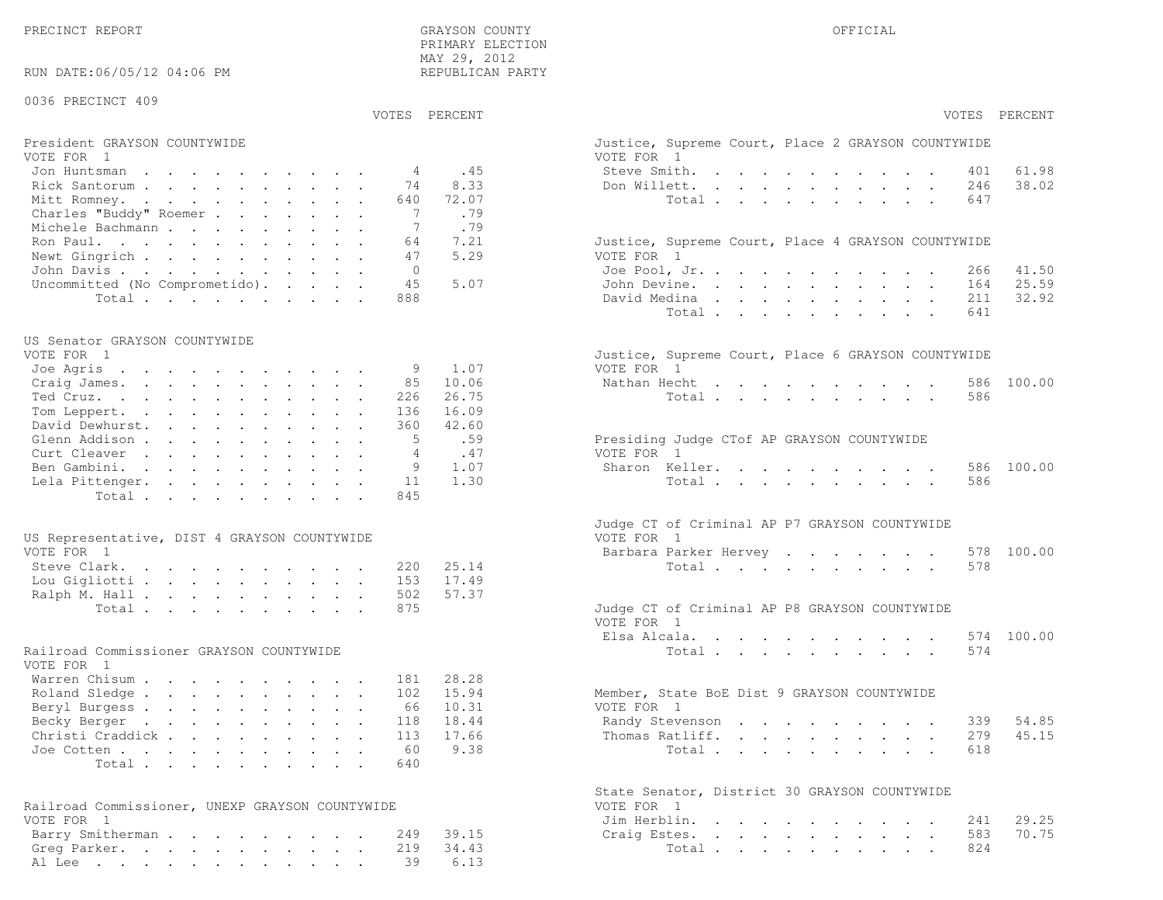PRECINCT REPORT COUNTY GRAYSON COUNTY CHARGES OF SAMPLE OF THE OFFICIAL CHARGES OF STREET OF SAMPLE OF STREET ALL

| RUN DATE:06/05/12 04:06 PM                                    |         | PRIMARY ELECTION<br>MAY 29, 2012<br>REPUBLICAN PARTY |                                                                  |
|---------------------------------------------------------------|---------|------------------------------------------------------|------------------------------------------------------------------|
| 0036 PRECINCT 409                                             |         |                                                      |                                                                  |
|                                                               |         | VOTES PERCENT                                        | VOTES PERCENT                                                    |
| President GRAYSON COUNTYWIDE<br>VOTE FOR 1                    |         |                                                      | Justice, Supreme Court, Place 2 GRAYSON COUNTYWIDE<br>VOTE FOR 1 |
| Jon Huntsman                                                  | 4       | .45                                                  | Steve Smith.<br>61.98<br>401                                     |
| Rick Santorum                                                 | 74      | 8.33                                                 | 38.02<br>Don Willett.<br>246                                     |
| Mitt Romney.                                                  | 640     | 72.07                                                | Total<br>647                                                     |
| Charles "Buddy" Roemer                                        | 7       | .79                                                  |                                                                  |
| Michele Bachmann                                              | 7       | .79                                                  |                                                                  |
| Ron Paul.                                                     | 64      | 7.21                                                 | Justice, Supreme Court, Place 4 GRAYSON COUNTYWIDE               |
| Newt Gingrich                                                 | 47      | 5.29                                                 | VOTE FOR 1                                                       |
| John Davis.<br>Uncommitted (No Comprometido).                 | 0<br>45 | 5.07                                                 | Joe Pool, Jr.<br>41.50<br>266<br>25.59<br>John Devine.<br>164    |
| Total $\cdots$                                                | 888     |                                                      | 32.92<br>David Medina<br>211                                     |
|                                                               |         |                                                      | Total<br>641                                                     |
|                                                               |         |                                                      |                                                                  |
| US Senator GRAYSON COUNTYWIDE<br>VOTE FOR 1                   |         |                                                      | Justice, Supreme Court, Place 6 GRAYSON COUNTYWIDE               |
| Joe Agris                                                     | 9       | 1.07                                                 | VOTE FOR 1                                                       |
| Craig James.                                                  | 85      | 10.06                                                | Nathan Hecht<br>100.00<br>586                                    |
| Ted Cruz.                                                     | 226     | 26.75                                                | 586<br>Total                                                     |
| Tom Leppert.                                                  | 136     | 16.09                                                |                                                                  |
| David Dewhurst.                                               | 360     | 42.60                                                |                                                                  |
| Glenn Addison                                                 | 5       | .59                                                  | Presiding Judge CTof AP GRAYSON COUNTYWIDE                       |
| Curt Cleaver                                                  | 4       | .47                                                  | VOTE FOR 1                                                       |
| Ben Gambini.                                                  | 9       | 1.07                                                 | Sharon Keller.<br>100.00<br>586                                  |
| Lela Pittenger.                                               | 11      | 1.30                                                 | 586<br>Total                                                     |
| Total.                                                        | 845     |                                                      |                                                                  |
| US Representative, DIST 4 GRAYSON COUNTYWIDE                  |         |                                                      | Judge CT of Criminal AP P7 GRAYSON COUNTYWIDE<br>VOTE FOR 1      |
| VOTE FOR 1                                                    |         |                                                      | 578 100.00<br>Barbara Parker Hervey                              |
| Steve Clark.                                                  | 220     | 25.14                                                | Total<br>578                                                     |
| Lou Gigliotti                                                 | 153     | 17.49                                                |                                                                  |
| Ralph M. Hall                                                 | 502     | 57.37                                                |                                                                  |
| Total                                                         | 875     |                                                      | Judge CT of Criminal AP P8 GRAYSON COUNTYWIDE<br>VOTE FOR 1      |
|                                                               |         |                                                      | Elsa Alcala.<br>574 100.00                                       |
| Railroad Commissioner GRAYSON COUNTYWIDE<br>VOTE FOR 1        |         |                                                      | Total<br>574                                                     |
| Warren Chisum                                                 | 181     | 28.28                                                |                                                                  |
| Roland Sledge                                                 | 102     | 15.94                                                | Member, State BoE Dist 9 GRAYSON COUNTYWIDE                      |
| Beryl Burgess                                                 | 66      | 10.31                                                | VOTE FOR 1                                                       |
| Becky Berger                                                  | 118     | 18.44                                                | 54.85<br>Randy Stevenson<br>339                                  |
| Christi Craddick                                              | 113     | 17.66                                                | 279<br>45.15<br>Thomas Ratliff.                                  |
| Joe Cotten                                                    | 60      | 9.38                                                 | Total<br>618                                                     |
| Total                                                         | 640     |                                                      |                                                                  |
|                                                               |         |                                                      | State Senator, District 30 GRAYSON COUNTYWIDE                    |
| Railroad Commissioner, UNEXP GRAYSON COUNTYWIDE<br>VOTE FOR 1 |         |                                                      | VOTE FOR 1                                                       |
| Barry Smitherman                                              | 249     | 39.15                                                | 29.25<br>Jim Herblin.<br>241<br>70.75<br>583<br>Craig Estes.     |
| Greg Parker.                                                  | 219     | 34.43                                                | 824<br>Total                                                     |
| Al Lee                                                        | 39      | 6.13                                                 |                                                                  |
|                                                               |         |                                                      |                                                                  |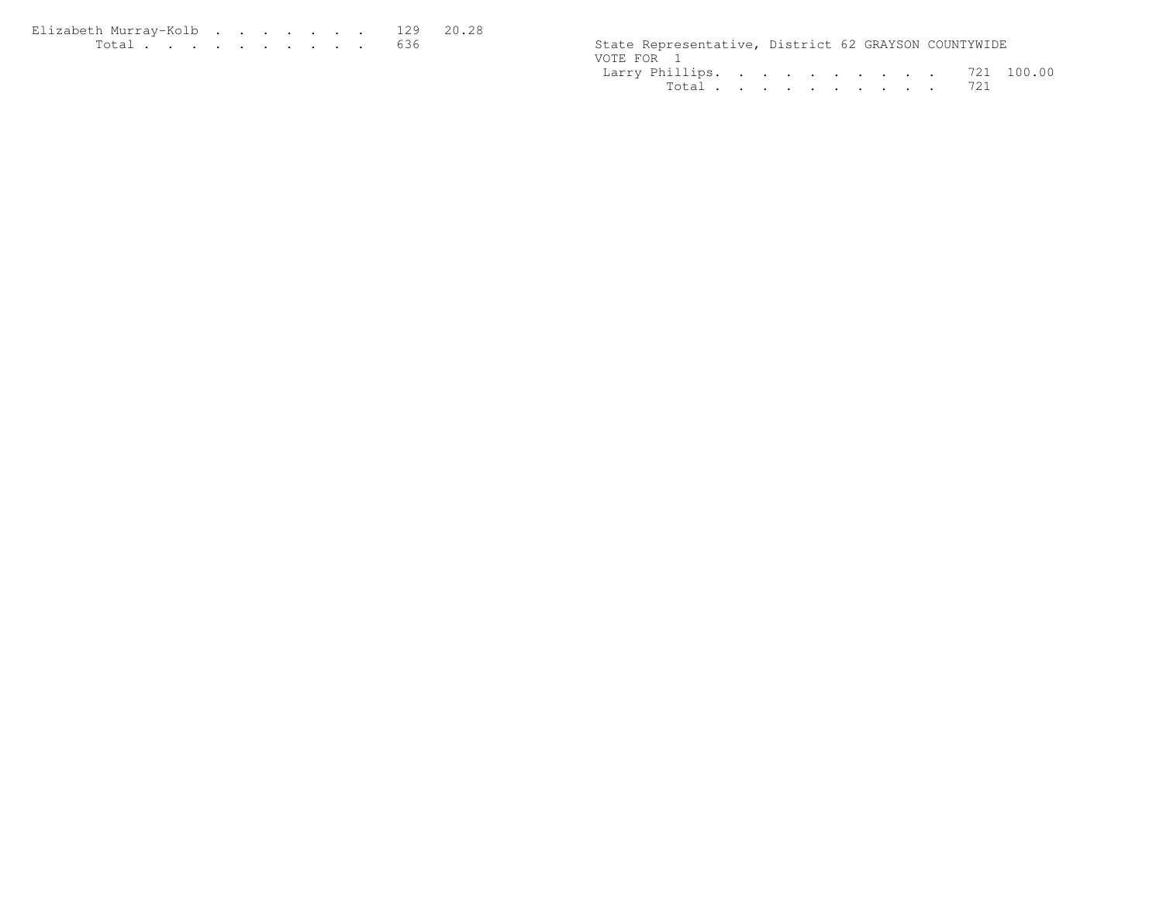| Elizabeth Murray-Kolb 129 20.28                                                                                        |  |  |  |  |  |                                                      |  |  |
|------------------------------------------------------------------------------------------------------------------------|--|--|--|--|--|------------------------------------------------------|--|--|
| <u>in de la companya de la companya de la companya de la companya de la companya de la companya de la companya de </u> |  |  |  |  |  | State Representative, District 62 GRAYSON COUNTYWIDE |  |  |

|            | State Representative, District 62 GRAYSON COUNTYWIDE |  |  |  |  |  |
|------------|------------------------------------------------------|--|--|--|--|--|
| VOTE FOR 1 |                                                      |  |  |  |  |  |
|            | Larry Phillips. 721 100.00                           |  |  |  |  |  |
|            | Total 721                                            |  |  |  |  |  |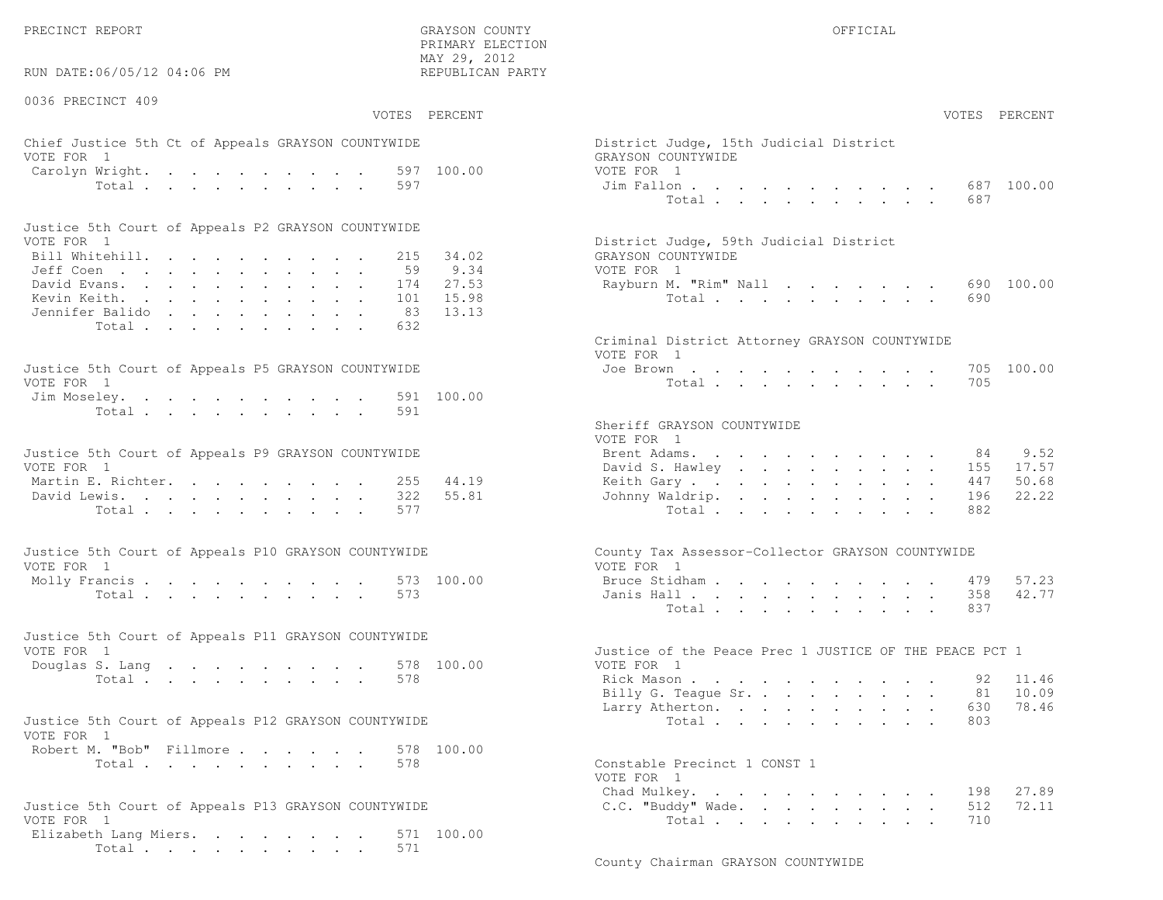PRECINCT REPORT OF THE SERVICE OF THE GRAYSON COUNTY OF THE GRAYSON COUNTY OF THE GRAYSON OF THE GRAYSON COUNTY

RUN DATE:06/05/12 04:06 PM

0036 PRECINCT 409

VOTES PERCENT VOTES PERCENT

 PRIMARY ELECTION MAY 29, 2012REPUBLICAN PARTY

### Chief Justice 5th Ct of Appeals GRAYSON COUNTYWIDE The State of District District Judge VOTE FOR 1 GRAYSON COUNTY OF REAL EXPLORER COUNTY OF REAL EXPLORER COUNTY OF REAL EXPLORER COUNTY OF REAL EXPLORER COUNTY OF REAL EXPLORER COUNTY OF REAL EXPLORER COUNTY OF REAL EXPLORER COUNTY OF REAL EXPLORER COUNTY OF R Carolyn Wright. . . . . . . . . 597 100.00 VOT Total . . . . . . . . . . 597 Ji

| Justice 5th Court of Appeals P2 GRAYSON COUNTYWIDE |  |  |  |  |  |                                        |
|----------------------------------------------------|--|--|--|--|--|----------------------------------------|
| VOTE FOR 1                                         |  |  |  |  |  | District Judge, 59th Judicial District |
| Bill Whitehill. 215 34.02                          |  |  |  |  |  | GRAYSON COUNTYWIDE                     |
| Jeff Coen 59 9.34                                  |  |  |  |  |  | VOTE FOR 1                             |
| David Evans. 174 27.53                             |  |  |  |  |  | Rayburn M. "Rim" Nall 690 100.00       |
| Kevin Keith. 101 15.98                             |  |  |  |  |  | Total 690                              |
| Jennifer Balido 83 13.13                           |  |  |  |  |  |                                        |
| Total 632                                          |  |  |  |  |  |                                        |

| Justice 5th Court of Appeals P5 GRAYSON COUNTYWIDE | Joe Brown 705 100.00 |
|----------------------------------------------------|----------------------|
| VOTE FOR 1                                         | Total 705            |
| Jim Moseley. 591 100.00                            |                      |
| Total 591                                          |                      |

| Justice 5th Court of Appeals P9 GRAYSON COUNTYWIDE |  |  |  |  |  | Brent Adams. 84 9.52      |  |  |  |  |  |  |
|----------------------------------------------------|--|--|--|--|--|---------------------------|--|--|--|--|--|--|
| VOTE FOR 1                                         |  |  |  |  |  | David S. Hawley 155 17.57 |  |  |  |  |  |  |
| Martin E. Richter. 255 44.19                       |  |  |  |  |  | Keith Gary 447 50.68      |  |  |  |  |  |  |
| David Lewis. 322 55.81                             |  |  |  |  |  | Johnny Waldrip. 196 22.22 |  |  |  |  |  |  |
| Total 577                                          |  |  |  |  |  | Total 882                 |  |  |  |  |  |  |

| Justice 5th Court of Appeals P10 GRAYSON COUNTYWIDE | County Tax Assessor-Collector GRAYSON COUNTYWIDE |
|-----------------------------------------------------|--------------------------------------------------|
| VOTE FOR 1                                          | VOTE FOR 1                                       |
| Molly Francis 573 100.00                            | Bruce Stidham 479 57.23                          |
| Total 573                                           | Janis Hall 358 42.77                             |

| Justice 5th Court of Appeals P11 GRAYSON COUNTYWIDE |                                                        |
|-----------------------------------------------------|--------------------------------------------------------|
| VOTE FOR 1                                          | Justice of the Peace Prec 1 JUSTICE OF THE PEACE PCT 1 |
| Douglas S. Lang 578 100.00                          | VOTE FOR 1                                             |
| Total 578                                           | Rick Mason 92 11.46                                    |
|                                                     | $\sim$ $\sim$ $\sim$ $\sim$ $\sim$                     |

| Justice 5th Court of Appeals P12 GRAYSON COUNTYWIDE |           |  |  |  | Total 803                    |  |
|-----------------------------------------------------|-----------|--|--|--|------------------------------|--|
| VOTE FOR 1                                          |           |  |  |  |                              |  |
| Robert M. "Bob" Fillmore 578 100.00                 |           |  |  |  |                              |  |
|                                                     | Total 578 |  |  |  | Constable Precinct 1 CONST 1 |  |

```
Justice 5th Court of Appeals P13 GRAYSON COUNTYWIDE C.C. "Buddy" Wade. . . . . . . . . 512
VOTE FOR 1 Total . . . . . . . . . 710
Elizabeth Lang Miers. . . . . . . . 571 100.00
     Total . . . . . . . . . . 571
```

| AY 29, 2012<br>EPUBLICAN PARTY           |                                                                                                                                                |                                                                                                                                                                                                                                                                                     |
|------------------------------------------|------------------------------------------------------------------------------------------------------------------------------------------------|-------------------------------------------------------------------------------------------------------------------------------------------------------------------------------------------------------------------------------------------------------------------------------------|
| PERCENT                                  |                                                                                                                                                | VOTES PERCENT                                                                                                                                                                                                                                                                       |
| 100.00                                   | District Judge, 15th Judicial District<br>GRAYSON COUNTYWIDE<br>VOTE FOR 1<br>Jim Fallon<br>Total                                              | 687 100.00<br>687                                                                                                                                                                                                                                                                   |
| 34.02<br>9.34<br>27.53<br>15.98<br>13.13 | District Judge, 59th Judicial District<br>GRAYSON COUNTYWIDE<br>VOTE FOR 1<br>Rayburn M. "Rim" Nall<br>Total $\cdots$                          | 690 100.00<br>690                                                                                                                                                                                                                                                                   |
| 100.00                                   | Criminal District Attorney GRAYSON COUNTYWIDE<br>VOTE FOR 1<br>Joe Brown<br>Total                                                              | 100.00<br>705<br>705                                                                                                                                                                                                                                                                |
| 44.19<br>55.81                           | Sheriff GRAYSON COUNTYWIDE<br>VOTE FOR 1<br>Brent Adams.<br>David S. Hawley<br>Keith Gary<br>Johnny Waldrip.<br>Total                          | 9.52<br>84<br>the contract of the contract of the contract of the contract of the contract of the contract of the contract of<br>17.57<br>155<br>50.68<br>447<br>and a strong control of the strong strong<br>$\sim$<br>$\ddot{\phantom{0}}$<br>$\mathbf{A}$<br>22.22<br>196<br>882 |
| 100.00                                   | County Tax Assessor-Collector GRAYSON COUNTYWIDE<br>VOTE FOR 1<br>Bruce Stidham<br>Janis Hall<br>Total.                                        | 479 57.23<br>42.77<br>358<br>837<br>$\mathbf{r}$                                                                                                                                                                                                                                    |
| 100.00                                   | Justice of the Peace Prec 1 JUSTICE OF THE PEACE PCT 1<br>VOTE FOR 1<br>Rick Mason<br>Billy G. Teague Sr.<br>Larry Atherton.<br>Total $\cdots$ | 11.46<br>92<br>10.09<br>81<br>78.46<br>630<br>$\begin{array}{cccccccccccccc} \bullet & \bullet & \bullet & \bullet & \bullet & \bullet & \bullet & \bullet & \bullet & \bullet & \bullet & \bullet & \bullet \end{array}$<br>803                                                    |
| 100.00                                   | Constable Precinct 1 CONST 1<br>VOTE FOR 1<br>Chad Mulkey.                                                                                     | 27.89<br>198                                                                                                                                                                                                                                                                        |

72.11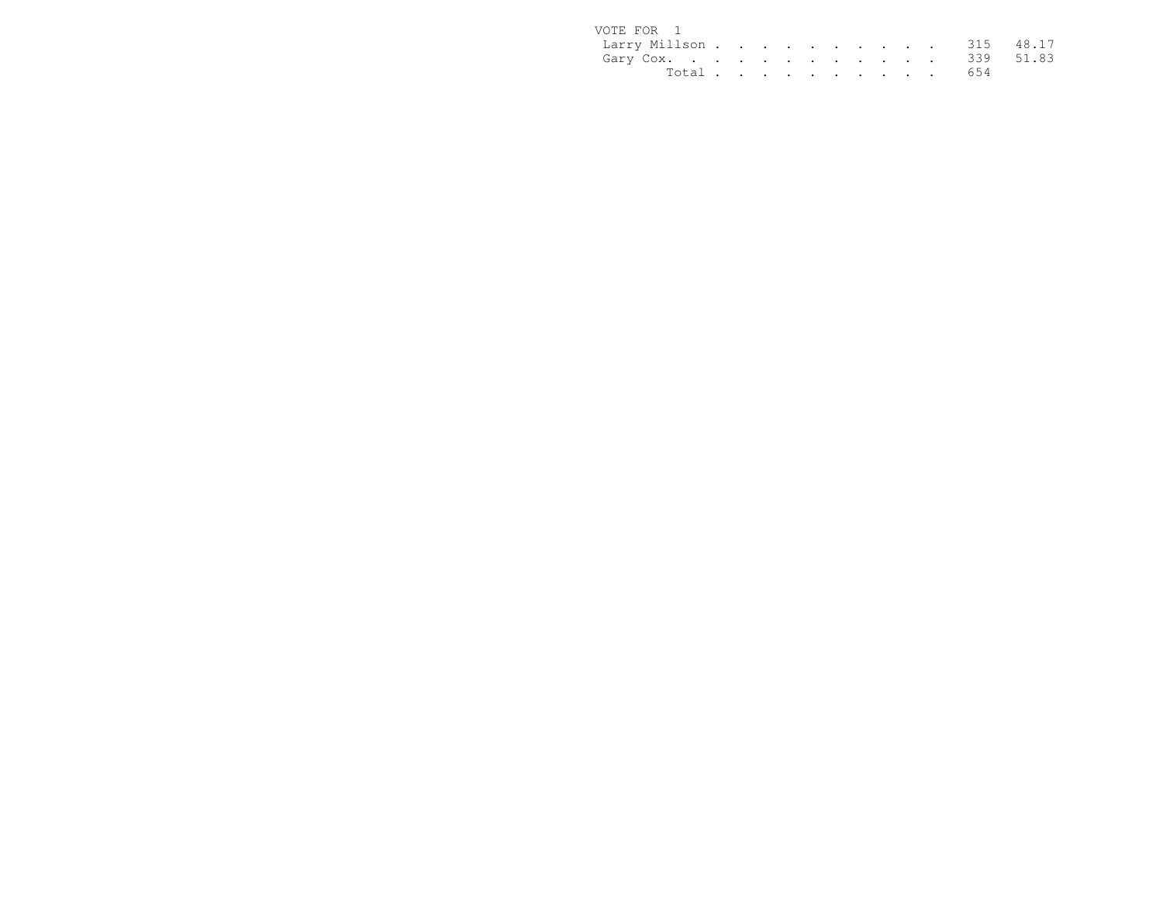| VOTE FOR 1              |  |  |  |  |  |           |  |
|-------------------------|--|--|--|--|--|-----------|--|
| Larry Millson 315 48.17 |  |  |  |  |  |           |  |
| Gary Cox. 339 51.83     |  |  |  |  |  |           |  |
|                         |  |  |  |  |  | Total 654 |  |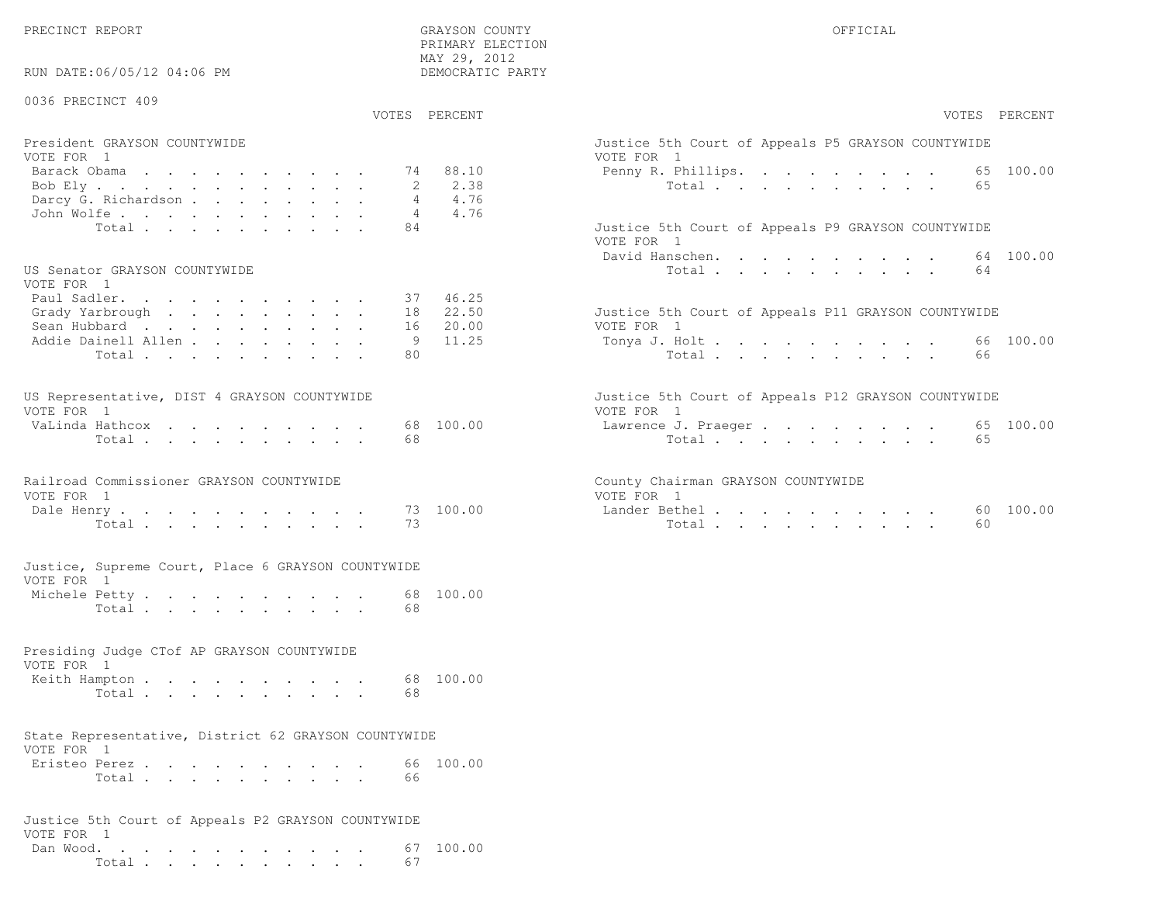PRECINCT REPORT THE COUNTY GRAYSON COUNTY THE COUNTY OFFICIAL SERVICES OF SAMPLE OF STREET OF STREET ALL OF STREET ALL SERVICES OF STREET ALL SERVICES OF STREET ALL SERVICES OF STREET ALL SERVICES OF STREET ALL SERVICES OF

RUN DATE:06/05/12 04:06 PM

#### 0036 PRECINCT 409

VOTES PERCENT VOTES PERCENT

 PRIMARY ELECTION MAY 29, 2012DEMOCRATIC PARTY

| President GRAYSON COUNTYWIDE | Justice 5th Court of Appeals P5 GRAYSON COUNTYWIDE |
|------------------------------|----------------------------------------------------|
| VOTE FOR 1                   | VOTE FOR 1                                         |
| Barack Obama 74 88.10        | Penny R. Phillips. 65 100.00                       |
| Bob Ely 2 2.38               | Total 65                                           |
| Darcy G. Richardson 4 4.76   |                                                    |
| John Wolfe. 4 4.76           |                                                    |
| Total 84                     | Justice 5th Court of Appeals P9 GRAYSON COUNTYWIDE |

#### US Senator GRAYSON COUNTYWIDE

| VOTE FOR 1                  |            |                                                     |
|-----------------------------|------------|-----------------------------------------------------|
| Paul Sadler. 37 46.25       |            |                                                     |
| Grady Yarbrough 18 22.50    |            | Justice 5th Court of Appeals P11 GRAYSON COUNTYWIDE |
| Sean Hubbard 16 20.00       | VOTE FOR 1 |                                                     |
| Addie Dainell Allen 9 11.25 |            | Tonya J. Holt 66 100.00                             |
| Total 80                    |            | Total 66                                            |

| US Representative, DIST 4 GRAYSON COUNTYWIDE |  |  |  |  |  | Justice 5th Court of Appeals P12 GRAYSON COUNTYWIDE |  |
|----------------------------------------------|--|--|--|--|--|-----------------------------------------------------|--|
| VOTE FOR 1                                   |  |  |  |  |  | VOTE FOR 1                                          |  |
| VaLinda Hathcox 68 100.00                    |  |  |  |  |  | Lawrence J. Praeger 65 100.00                       |  |
| Total 68                                     |  |  |  |  |  | Total 65                                            |  |

# Railroad Commissioner GRAYSON COUNTYWIDE County County VOTE FOR 1 VOTE FOR 1

| DUIT | TICITT A                         |  |  |  |  | . |              | $\overline{\phantom{0}}$ | . | nanac. |       |  |  |  |  |  | U U     |
|------|----------------------------------|--|--|--|--|---|--------------|--------------------------|---|--------|-------|--|--|--|--|--|---------|
|      | $T \wedge T + \wedge T$<br>IULdl |  |  |  |  |   | <b>COLOR</b> |                          |   |        | Total |  |  |  |  |  | -<br>ΟU |

#### Justice, Supreme Court, Place 6 GRAYSON COUNTYWIDEVOTE FOR 1

| Michele Petty. |       |  |  |  |  |  |      | 68 100.00 |
|----------------|-------|--|--|--|--|--|------|-----------|
|                | Total |  |  |  |  |  | - 68 |           |

#### Presiding Judge CTof AP GRAYSON COUNTYWIDE

| VOTE FOR 1    |  |  |  |  |  |           |
|---------------|--|--|--|--|--|-----------|
| Keith Hampton |  |  |  |  |  | 68 100.00 |
| Total         |  |  |  |  |  |           |

## State Representative, District 62 GRAYSON COUNTYWIDE

| VOTE FOR 1    |                                                                     |  |  |  |  |  |           |
|---------------|---------------------------------------------------------------------|--|--|--|--|--|-----------|
| Eristeo Perez |                                                                     |  |  |  |  |  | 66 100.00 |
|               | $Total \, . \, . \, . \, . \, . \, . \, . \, . \, . \, . \, . \, .$ |  |  |  |  |  |           |

#### Justice 5th Court of Appeals P2 GRAYSON COUNTYWIDEVOTE FOR 1 Dan Wood. . . . . . . . . . . . 67 100.00Total . . . . . . . . . . 67

| VOTES PERCENT                                                                                                     | VOTES PERCENT                                                                                                  |
|-------------------------------------------------------------------------------------------------------------------|----------------------------------------------------------------------------------------------------------------|
| President GRAYSON COUNTYWIDE<br>VOTE FOR 1                                                                        | Justice 5th Court of Appeals P5 GRAYSON COUNTYWIDE<br>VOTE FOR 1                                               |
| 74 88.10<br>Barack Obama<br>2.38<br>Bob Ely<br>4.76<br>Darcy G. Richardson<br>4.76<br>John Wolfe.                 | 65 100.00<br>Penny R. Phillips.<br>Total<br>65                                                                 |
| 84<br>Total                                                                                                       | Justice 5th Court of Appeals P9 GRAYSON COUNTYWIDE<br>VOTE FOR 1<br>64 100.00<br>David Hanschen.               |
| US Senator GRAYSON COUNTYWIDE<br>VOTE FOR 1<br>37 46.25<br>Paul Sadler.                                           | Total<br>64                                                                                                    |
| 22.50<br>Grady Yarbrough<br>18<br>Sean Hubbard<br>20.00<br>16<br>Addie Dainell Allen<br>11.25<br>9<br>80<br>Total | Justice 5th Court of Appeals P11 GRAYSON COUNTYWIDE<br>VOTE FOR 1<br>66 100.00<br>Tonya J. Holt<br>Total<br>66 |
| US Representative, DIST 4 GRAYSON COUNTYWIDE<br>VOTE FOR 1                                                        | Justice 5th Court of Appeals P12 GRAYSON COUNTYWIDE<br>VOTE FOR 1                                              |
| 68 100.00<br>VaLinda Hathcox<br>68<br>Total                                                                       | 65 100.00<br>Lawrence J. Praeger<br>Total<br>65                                                                |
| Railroad Commissioner GRAYSON COUNTYWIDE<br>VOTE FOR 1                                                            | County Chairman GRAYSON COUNTYWIDE<br>VOTE FOR 1                                                               |
| 73 100.00<br>Dale Henry<br>73<br>Total                                                                            | 60 100.00<br>Lander Bethel.<br>60<br>Total                                                                     |
| Justice, Supreme Court, Place 6 GRAYSON COUNTYWIDE                                                                |                                                                                                                |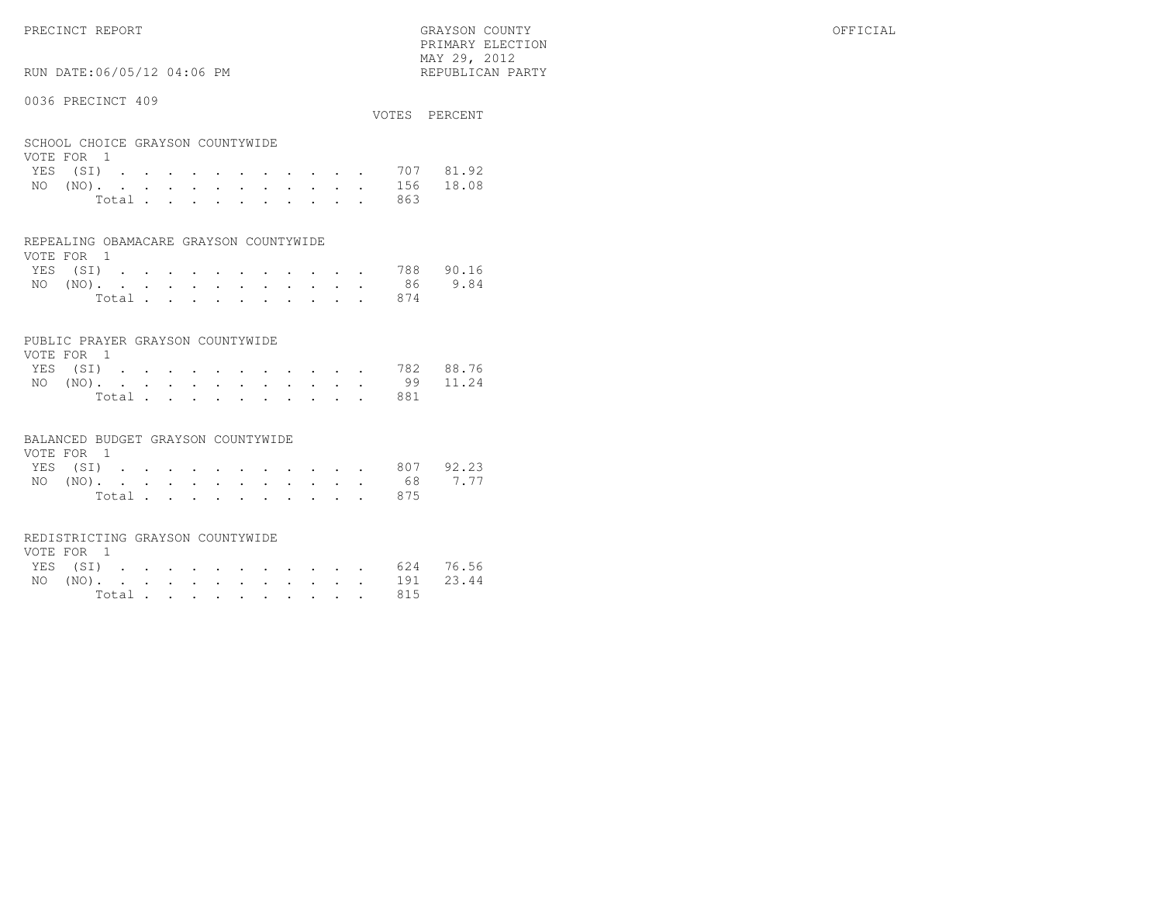PRECINCT REPORT GRAYSON COUNTY OFFICIAL

RUN DATE:06/05/12 04:06 PM

#### 0036 PRECINCT 409

|                                  | VOTES PERCENT |
|----------------------------------|---------------|
| SCHOOL CHOICE GRAYSON COUNTYWIDE |               |
| VOTE FOR 1                       |               |
| YES (SI) 707 81.92               |               |

 PRIMARY ELECTION MAY 29, 2012REPUBLICAN PARTY

| NO (NO). 156 18.08 |  |  |  |  |  |           |  |
|--------------------|--|--|--|--|--|-----------|--|
|                    |  |  |  |  |  | Total 863 |  |

#### REPEALING OBAMACARE GRAYSON COUNTYWIDE

| VOTE FOR 1 |  |  |  |  |  |                    |  |
|------------|--|--|--|--|--|--------------------|--|
|            |  |  |  |  |  | YES (SI) 788 90.16 |  |
|            |  |  |  |  |  | NO (NO). 86 9.84   |  |
|            |  |  |  |  |  | Total 874          |  |

#### PUBLIC PRAYER GRAYSON COUNTYWIDE

| VOTE FOR 1 |  |  |  |  |  |                    |  |
|------------|--|--|--|--|--|--------------------|--|
|            |  |  |  |  |  | YES (SI) 782 88.76 |  |
|            |  |  |  |  |  | NO (NO). 99 11.24  |  |
|            |  |  |  |  |  | Total 881          |  |

#### BALANCED BUDGET GRAYSON COUNTYWIDE

| VOTE FOR 1 |  |  |  |  |  |                    |  |
|------------|--|--|--|--|--|--------------------|--|
|            |  |  |  |  |  | YES (SI) 807 92.23 |  |
|            |  |  |  |  |  | NO (NO). 68 7.77   |  |
|            |  |  |  |  |  | Total 875          |  |

#### REDISTRICTING GRAYSON COUNTYWIDE

| VOTE FOR 1 |  |  |  |  |  |  |                    |  |
|------------|--|--|--|--|--|--|--------------------|--|
|            |  |  |  |  |  |  | YES (SI) 624 76.56 |  |
|            |  |  |  |  |  |  | NO (NO). 191 23.44 |  |
|            |  |  |  |  |  |  | Total 815          |  |